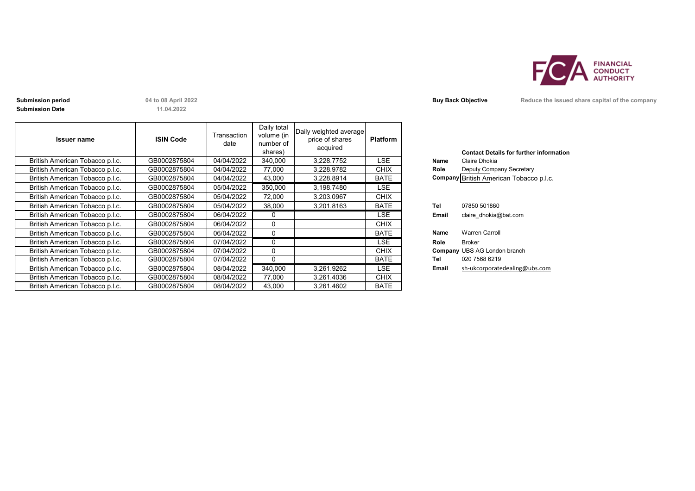

**Submission Date**

**11.04.2022**

| <b>Issuer name</b>              | <b>ISIN Code</b> | Transaction<br>date | Daily total<br>volume (in<br>number of<br>shares) | Daily weighted average<br>price of shares<br>acquired | <b>Platform</b> |       | <b>Contact Details for further inforn</b> |
|---------------------------------|------------------|---------------------|---------------------------------------------------|-------------------------------------------------------|-----------------|-------|-------------------------------------------|
| British American Tobacco p.l.c. | GB0002875804     | 04/04/2022          | 340,000                                           | 3.228.7752                                            | <b>LSE</b>      | Name  | Claire Dhokia                             |
| British American Tobacco p.l.c. | GB0002875804     | 04/04/2022          | 77,000                                            | 3,228.9782                                            | <b>CHIX</b>     | Role  | Deputy Company Secretary                  |
| British American Tobacco p.l.c. | GB0002875804     | 04/04/2022          | 43,000                                            | 3,228.8914                                            | <b>BATE</b>     |       | Company British American Tobacco p.l.c.   |
| British American Tobacco p.l.c. | GB0002875804     | 05/04/2022          | 350,000                                           | 3,198.7480                                            | LSE             |       |                                           |
| British American Tobacco p.l.c. | GB0002875804     | 05/04/2022          | 72,000                                            | 3,203.0967                                            | <b>CHIX</b>     |       |                                           |
| British American Tobacco p.l.c. | GB0002875804     | 05/04/2022          | 38,000                                            | 3,201.8163                                            | <b>BATE</b>     | Tel   | 07850 501860                              |
| British American Tobacco p.l.c. | GB0002875804     | 06/04/2022          |                                                   |                                                       | LSE.            | Email | claire dhokia@bat.com                     |
| British American Tobacco p.l.c. | GB0002875804     | 06/04/2022          | $\Omega$                                          |                                                       | <b>CHIX</b>     |       |                                           |
| British American Tobacco p.l.c. | GB0002875804     | 06/04/2022          | $\Omega$                                          |                                                       | <b>BATE</b>     | Name  | <b>Warren Carroll</b>                     |
| British American Tobacco p.l.c. | GB0002875804     | 07/04/2022          | $\Omega$                                          |                                                       | LSE             | Role  | Broker                                    |
| British American Tobacco p.l.c. | GB0002875804     | 07/04/2022          | $\Omega$                                          |                                                       | <b>CHIX</b>     |       | <b>Company UBS AG London branch</b>       |
| British American Tobacco p.l.c. | GB0002875804     | 07/04/2022          | $\Omega$                                          |                                                       | <b>BATE</b>     | Tel   | 020 7568 6219                             |
| British American Tobacco p.l.c. | GB0002875804     | 08/04/2022          | 340,000                                           | 3,261.9262                                            | LSE.            | Email | sh-ukcorporatedealing@ubs.com             |
| British American Tobacco p.l.c. | GB0002875804     | 08/04/2022          | 77,000                                            | 3,261.4036                                            | <b>CHIX</b>     |       |                                           |
| British American Tobacco p.l.c. | GB0002875804     | 08/04/2022          | 43,000                                            | 3,261.4602                                            | <b>BATE</b>     |       |                                           |

|       | <b>Contact Details for further information</b> |
|-------|------------------------------------------------|
| Name  | Claire Dhokia                                  |
| Role  | Deputy Company Secretary                       |
|       | Company British American Tobacco p.l.c.        |
|       |                                                |
|       |                                                |
| Tel   | 07850 501860                                   |
| Email | claire dhokia@bat.com                          |
|       |                                                |
| Name  | <b>Warren Carroll</b>                          |
| Role  | Broker                                         |
|       | <b>Company UBS AG London branch</b>            |
| Tel   | 020 7568 6219                                  |
| Email | sh-ukcorporatedealing@ubs.com                  |

**Submission period 14 to 08 April 2022 Buy Back Objective Reduce the issued share capital of the company**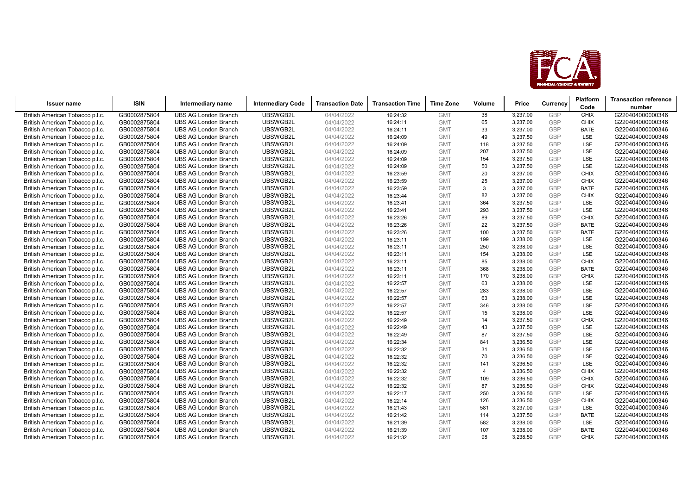

| <b>Issuer name</b>                                                 | <b>ISIN</b>                  | Intermediary name                                          | <b>Intermediary Code</b> | <b>Transaction Date</b>  | <b>Transaction Time</b> | <b>Time Zone</b>         | Volume         | Price                |                   | Platform           | <b>Transaction reference</b>         |
|--------------------------------------------------------------------|------------------------------|------------------------------------------------------------|--------------------------|--------------------------|-------------------------|--------------------------|----------------|----------------------|-------------------|--------------------|--------------------------------------|
|                                                                    |                              |                                                            |                          |                          |                         |                          |                |                      | Currency          | Code               | number                               |
| British American Tobacco p.l.c.                                    | GB0002875804                 | <b>UBS AG London Branch</b>                                | <b>UBSWGB2L</b>          | 04/04/2022               | 16:24:32                | <b>GMT</b>               | 38             | 3,237.00             | GBP               | <b>CHIX</b>        | G220404000000346                     |
| British American Tobacco p.l.c.                                    | GB0002875804                 | <b>UBS AG London Branch</b>                                | UBSWGB2L                 | 04/04/2022               | 16:24:11                | <b>GMT</b>               | 65             | 3,237.00             | GBP               | <b>CHIX</b>        | G220404000000346                     |
| British American Tobacco p.l.c.                                    | GB0002875804                 | <b>UBS AG London Branch</b>                                | UBSWGB2L                 | 04/04/2022               | 16:24:11                | <b>GMT</b>               | 33             | 3,237.00             | <b>GBP</b>        | <b>BATE</b>        | G220404000000346                     |
| British American Tobacco p.l.c.                                    | GB0002875804                 | <b>UBS AG London Branch</b>                                | UBSWGB2L                 | 04/04/2022               | 16:24:09                | <b>GMT</b>               | 49             | 3,237.50             | GBP               | LSE                | G220404000000346                     |
| British American Tobacco p.l.c.                                    | GB0002875804                 | <b>UBS AG London Branch</b>                                | UBSWGB2L                 | 04/04/2022               | 16:24:09                | <b>GMT</b>               | 118            | 3,237.50             | GBP               | LSE                | G220404000000346                     |
| British American Tobacco p.l.c.                                    | GB0002875804                 | <b>UBS AG London Branch</b>                                | UBSWGB2L                 | 04/04/2022               | 16:24:09                | <b>GMT</b>               | 207            | 3,237.50             | <b>GBP</b>        | LSE                | G220404000000346                     |
| British American Tobacco p.l.c.                                    | GB0002875804                 | <b>UBS AG London Branch</b>                                | UBSWGB2L                 | 04/04/2022               | 16:24:09                | <b>GMT</b>               | 154            | 3,237.50             | GBP               | <b>LSE</b>         | G220404000000346                     |
| British American Tobacco p.l.c.                                    | GB0002875804                 | <b>UBS AG London Branch</b>                                | UBSWGB2L                 | 04/04/2022               | 16:24:09                | <b>GMT</b>               | 50             | 3,237.50             | GBP               | LSE                | G220404000000346                     |
| British American Tobacco p.l.c.                                    | GB0002875804                 | <b>UBS AG London Branch</b>                                | UBSWGB2L                 | 04/04/2022               | 16:23:59                | <b>GMT</b>               | 20             | 3,237.00             | <b>GBP</b>        | <b>CHIX</b>        | G220404000000346                     |
| British American Tobacco p.l.c.                                    | GB0002875804                 | <b>UBS AG London Branch</b>                                | UBSWGB2L                 | 04/04/2022               | 16:23:59                | <b>GMT</b>               | 25             | 3,237.00             | GBP               | <b>CHIX</b>        | G220404000000346                     |
| British American Tobacco p.l.c.                                    | GB0002875804                 | <b>UBS AG London Branch</b>                                | UBSWGB2L                 | 04/04/2022               | 16:23:59                | <b>GMT</b>               | $\mathbf{3}$   | 3,237.00             | GBP               | <b>BATE</b>        | G220404000000346                     |
| British American Tobacco p.l.c.                                    | GB0002875804                 | <b>UBS AG London Branch</b>                                | UBSWGB2L                 | 04/04/2022               | 16:23:44                | <b>GMT</b>               | 82             | 3,237.00             | GBP               | <b>CHIX</b>        | G220404000000346                     |
| British American Tobacco p.l.c.                                    | GB0002875804                 | <b>UBS AG London Branch</b>                                | UBSWGB2L                 | 04/04/2022               | 16:23:41                | <b>GMT</b>               | 364            | 3,237.50             | GBP               | <b>LSE</b>         | G220404000000346                     |
| British American Tobacco p.l.c.                                    | GB0002875804                 | <b>UBS AG London Branch</b>                                | UBSWGB2L                 | 04/04/2022               | 16:23:41                | <b>GMT</b>               | 293            | 3,237.50             | GBP               | LSE                | G220404000000346                     |
| British American Tobacco p.l.c.                                    | GB0002875804                 | <b>UBS AG London Branch</b>                                | UBSWGB2L                 | 04/04/2022               | 16:23:26                | <b>GMT</b>               | 89             | 3,237.50             | <b>GBP</b>        | <b>CHIX</b>        | G220404000000346                     |
| British American Tobacco p.l.c.                                    | GB0002875804                 | <b>UBS AG London Branch</b>                                | UBSWGB2L                 | 04/04/2022               | 16:23:26                | <b>GMT</b>               | 22             | 3,237.50             | GBP               | <b>BATE</b>        | G220404000000346                     |
| British American Tobacco p.l.c.                                    | GB0002875804                 | <b>UBS AG London Branch</b>                                | UBSWGB2L                 | 04/04/2022               | 16:23:26                | <b>GMT</b>               | 100            | 3,237.50             | GBP               | <b>BATE</b>        | G220404000000346                     |
| British American Tobacco p.l.c.                                    | GB0002875804                 | <b>UBS AG London Branch</b>                                | UBSWGB2L                 | 04/04/2022               | 16:23:11                | <b>GMT</b>               | 199            | 3,238.00             | <b>GBP</b>        | LSE                | G220404000000346                     |
| British American Tobacco p.l.c.                                    | GB0002875804                 | <b>UBS AG London Branch</b>                                | UBSWGB2L                 | 04/04/2022               | 16:23:11                | <b>GMT</b>               | 250            | 3,238.00             | GBP               | LSE                | G220404000000346                     |
| British American Tobacco p.l.c.                                    | GB0002875804                 | <b>UBS AG London Branch</b>                                | UBSWGB2L                 | 04/04/2022               | 16:23:11                | <b>GMT</b>               | 154            | 3,238.00             | GBP               | LSE                | G220404000000346                     |
| British American Tobacco p.l.c.                                    | GB0002875804                 | <b>UBS AG London Branch</b>                                | UBSWGB2L                 | 04/04/2022               | 16:23:11                | <b>GMT</b>               | 85             | 3,238.00             | <b>GBP</b>        | <b>CHIX</b>        | G220404000000346                     |
| British American Tobacco p.l.c.                                    | GB0002875804                 | <b>UBS AG London Branch</b>                                | UBSWGB2L                 | 04/04/2022               | 16:23:11                | <b>GMT</b>               | 368            | 3,238.00             | GBP               | <b>BATE</b>        | G220404000000346                     |
| British American Tobacco p.l.c.                                    | GB0002875804                 | <b>UBS AG London Branch</b>                                | UBSWGB2L                 | 04/04/2022               | 16:23:11                | <b>GMT</b>               | 170            | 3,238.00             | <b>GBP</b>        | <b>CHIX</b>        | G220404000000346                     |
| British American Tobacco p.l.c.                                    | GB0002875804                 | <b>UBS AG London Branch</b>                                | UBSWGB2L                 | 04/04/2022               | 16:22:57                | <b>GMT</b>               | 63             | 3,238.00             | <b>GBP</b>        | LSE                | G220404000000346                     |
| British American Tobacco p.l.c.                                    | GB0002875804                 | <b>UBS AG London Branch</b>                                | UBSWGB2L                 | 04/04/2022               | 16:22:57                | <b>GMT</b>               | 283            | 3,238.00             | GBP               | LSE                | G220404000000346                     |
| British American Tobacco p.l.c.                                    | GB0002875804                 | <b>UBS AG London Branch</b>                                | UBSWGB2L                 | 04/04/2022               | 16:22:57                | <b>GMT</b>               | 63             | 3,238.00             | <b>GBP</b>        | LSE                | G220404000000346                     |
| British American Tobacco p.l.c.                                    | GB0002875804                 | <b>UBS AG London Branch</b>                                | UBSWGB2L                 | 04/04/2022               | 16:22:57                | <b>GMT</b>               | 346            | 3,238.00             | <b>GBP</b>        | LSE                | G220404000000346                     |
| British American Tobacco p.l.c.                                    | GB0002875804                 | <b>UBS AG London Branch</b>                                | UBSWGB2L                 | 04/04/2022               | 16:22:57                | <b>GMT</b>               | 15             | 3,238.00             | GBP               | LSE                | G220404000000346                     |
| British American Tobacco p.l.c.                                    | GB0002875804                 | <b>UBS AG London Branch</b>                                | UBSWGB2L                 | 04/04/2022               | 16:22:49                | <b>GMT</b>               | 14             | 3,237.50             | <b>GBP</b>        | <b>CHIX</b>        | G220404000000346                     |
| British American Tobacco p.l.c.                                    | GB0002875804                 | <b>UBS AG London Branch</b>                                | UBSWGB2L                 | 04/04/2022               | 16:22:49                | <b>GMT</b>               | 43             | 3,237.50             | <b>GBP</b>        | LSE                | G220404000000346                     |
| British American Tobacco p.l.c.                                    | GB0002875804                 | <b>UBS AG London Branch</b>                                | UBSWGB2L                 | 04/04/2022               | 16:22:49                | <b>GMT</b>               | 87             | 3,237.50             | GBP               | LSE                | G220404000000346                     |
| British American Tobacco p.l.c.                                    | GB0002875804                 | <b>UBS AG London Branch</b>                                | UBSWGB2L                 | 04/04/2022               | 16:22:34                | <b>GMT</b>               | 841            | 3,236.50             | GBP               | LSE                | G220404000000346                     |
| British American Tobacco p.l.c.                                    | GB0002875804                 | <b>UBS AG London Branch</b>                                | UBSWGB2L                 | 04/04/2022               | 16:22:32                | <b>GMT</b>               | 31             | 3,236.50             | <b>GBP</b>        | LSE                | G220404000000346                     |
| British American Tobacco p.l.c.                                    | GB0002875804                 | <b>UBS AG London Branch</b>                                | UBSWGB2L                 | 04/04/2022               | 16:22:32                | <b>GMT</b>               | 70             | 3,236.50             | <b>GBP</b>        | LSE                | G220404000000346                     |
| British American Tobacco p.l.c.                                    | GB0002875804                 | <b>UBS AG London Branch</b>                                | UBSWGB2L                 | 04/04/2022               | 16:22:32                | <b>GMT</b>               | 141            | 3,236.50             | <b>GBP</b>        | LSE                | G220404000000346                     |
| British American Tobacco p.l.c.                                    | GB0002875804                 | <b>UBS AG London Branch</b>                                | UBSWGB2L                 | 04/04/2022               | 16:22:32                | <b>GMT</b>               | $\overline{4}$ | 3,236.50             | GBP               | <b>CHIX</b>        | G220404000000346                     |
| British American Tobacco p.l.c.                                    | GB0002875804                 | <b>UBS AG London Branch</b>                                | UBSWGB2L                 | 04/04/2022               | 16:22:32                | <b>GMT</b>               | 109            | 3,236.50             | <b>GBP</b>        | <b>CHIX</b>        | G220404000000346                     |
| British American Tobacco p.l.c.                                    | GB0002875804                 | <b>UBS AG London Branch</b>                                | UBSWGB2L<br>UBSWGB2L     | 04/04/2022               | 16:22:32                | <b>GMT</b>               | 87<br>250      | 3,236.50             | GBP               | <b>CHIX</b><br>LSE | G220404000000346                     |
| British American Tobacco p.l.c.                                    | GB0002875804                 | <b>UBS AG London Branch</b>                                | UBSWGB2L                 | 04/04/2022               | 16:22:17                | <b>GMT</b>               |                | 3,236.50             | <b>GBP</b><br>GBP |                    | G220404000000346                     |
| British American Tobacco p.l.c.                                    | GB0002875804                 | <b>UBS AG London Branch</b><br><b>UBS AG London Branch</b> | UBSWGB2L                 | 04/04/2022               | 16:22:14                | <b>GMT</b><br><b>GMT</b> | 126<br>581     | 3,236.50<br>3,237.00 | <b>GBP</b>        | <b>CHIX</b><br>LSE | G220404000000346<br>G220404000000346 |
| British American Tobacco p.l.c.<br>British American Tobacco p.l.c. | GB0002875804<br>GB0002875804 | <b>UBS AG London Branch</b>                                | UBSWGB2L                 | 04/04/2022<br>04/04/2022 | 16:21:43<br>16:21:42    | <b>GMT</b>               | 114            | 3,237.50             | <b>GBP</b>        | <b>BATE</b>        | G220404000000346                     |
| British American Tobacco p.l.c.                                    | GB0002875804                 | <b>UBS AG London Branch</b>                                | UBSWGB2L                 | 04/04/2022               | 16:21:39                | <b>GMT</b>               | 582            | 3,238.00             | GBP               | <b>LSE</b>         | G220404000000346                     |
| British American Tobacco p.l.c.                                    | GB0002875804                 | <b>UBS AG London Branch</b>                                | UBSWGB2L                 | 04/04/2022               | 16:21:39                | <b>GMT</b>               | 107            | 3,238.00             | <b>GBP</b>        | <b>BATE</b>        | G220404000000346                     |
| British American Tobacco p.l.c.                                    | GB0002875804                 | <b>UBS AG London Branch</b>                                | UBSWGB2L                 | 04/04/2022               | 16:21:32                | <b>GMT</b>               | 98             | 3,238.50             | GBP               | <b>CHIX</b>        | G220404000000346                     |
|                                                                    |                              |                                                            |                          |                          |                         |                          |                |                      |                   |                    |                                      |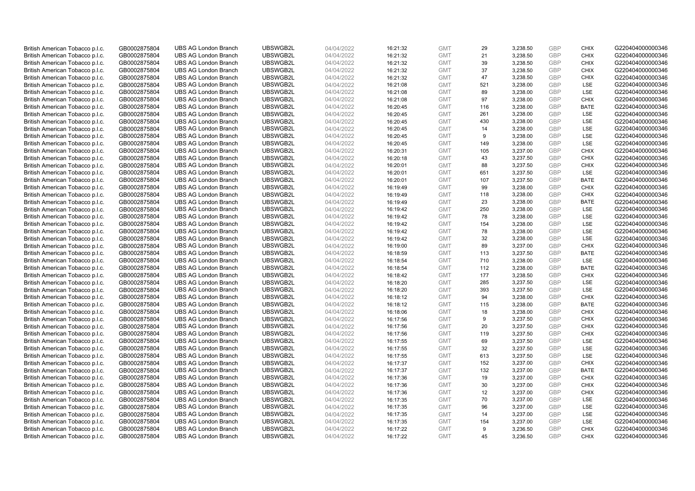| British American Tobacco p.l.c. | GB0002875804 | <b>UBS AG London Branch</b> | UBSWGB2L | 04/04/2022 | 16:21:32 | <b>GMT</b> | 29  | 3,238.50 | <b>GBP</b> | <b>CHIX</b> | G220404000000346 |
|---------------------------------|--------------|-----------------------------|----------|------------|----------|------------|-----|----------|------------|-------------|------------------|
|                                 |              |                             |          |            |          |            | 21  |          | <b>GBP</b> | <b>CHIX</b> |                  |
| British American Tobacco p.l.c. | GB0002875804 | <b>UBS AG London Branch</b> | UBSWGB2L | 04/04/2022 | 16:21:32 | <b>GMT</b> |     | 3,238.50 |            |             | G220404000000346 |
| British American Tobacco p.l.c. | GB0002875804 | <b>UBS AG London Branch</b> | UBSWGB2L | 04/04/2022 | 16:21:32 | <b>GMT</b> | 39  | 3,238.50 | <b>GBP</b> | <b>CHIX</b> | G220404000000346 |
| British American Tobacco p.l.c. | GB0002875804 | <b>UBS AG London Branch</b> | UBSWGB2L | 04/04/2022 | 16:21:32 | <b>GMT</b> | 37  | 3,238.50 | <b>GBP</b> | <b>CHIX</b> | G220404000000346 |
| British American Tobacco p.l.c. | GB0002875804 | <b>UBS AG London Branch</b> | UBSWGB2L | 04/04/2022 | 16:21:32 | <b>GMT</b> | 47  | 3,238.50 | <b>GBP</b> | <b>CHIX</b> | G220404000000346 |
| British American Tobacco p.l.c. | GB0002875804 | <b>UBS AG London Branch</b> | UBSWGB2L | 04/04/2022 | 16:21:08 | <b>GMT</b> | 521 | 3,238.00 | <b>GBP</b> | LSE         | G220404000000346 |
| British American Tobacco p.l.c. | GB0002875804 | <b>UBS AG London Branch</b> | UBSWGB2L | 04/04/2022 | 16:21:08 | <b>GMT</b> | 89  | 3,238.00 | <b>GBP</b> | LSE         | G220404000000346 |
| British American Tobacco p.l.c. | GB0002875804 | <b>UBS AG London Branch</b> | UBSWGB2L | 04/04/2022 | 16:21:08 | <b>GMT</b> | 97  | 3,238.00 | <b>GBP</b> | <b>CHIX</b> | G220404000000346 |
| British American Tobacco p.l.c. | GB0002875804 | <b>UBS AG London Branch</b> | UBSWGB2L | 04/04/2022 | 16:20:45 | <b>GMT</b> | 116 | 3,238.00 | <b>GBP</b> | <b>BATE</b> | G220404000000346 |
| British American Tobacco p.l.c. | GB0002875804 | <b>UBS AG London Branch</b> | UBSWGB2L | 04/04/2022 | 16:20:45 | <b>GMT</b> | 261 | 3,238.00 | <b>GBP</b> | LSE         | G220404000000346 |
| British American Tobacco p.l.c. | GB0002875804 | <b>UBS AG London Branch</b> | UBSWGB2L | 04/04/2022 | 16:20:45 | <b>GMT</b> | 430 | 3,238.00 | <b>GBP</b> | LSE         | G220404000000346 |
| British American Tobacco p.l.c. | GB0002875804 | <b>UBS AG London Branch</b> | UBSWGB2L | 04/04/2022 | 16:20:45 | <b>GMT</b> | 14  | 3,238.00 | <b>GBP</b> | LSE         | G220404000000346 |
| British American Tobacco p.l.c. | GB0002875804 | <b>UBS AG London Branch</b> | UBSWGB2L | 04/04/2022 | 16:20:45 | <b>GMT</b> | 9   | 3,238.00 | <b>GBP</b> | LSE         | G220404000000346 |
| British American Tobacco p.l.c. | GB0002875804 | <b>UBS AG London Branch</b> | UBSWGB2L | 04/04/2022 | 16:20:45 | <b>GMT</b> | 149 | 3,238.00 | <b>GBP</b> | LSE         | G220404000000346 |
| British American Tobacco p.l.c. | GB0002875804 | <b>UBS AG London Branch</b> | UBSWGB2L | 04/04/2022 | 16:20:31 | <b>GMT</b> | 105 | 3,237.00 | <b>GBP</b> | <b>CHIX</b> | G220404000000346 |
| British American Tobacco p.l.c. | GB0002875804 | <b>UBS AG London Branch</b> | UBSWGB2L | 04/04/2022 | 16:20:18 | <b>GMT</b> | 43  | 3,237.50 | <b>GBP</b> | <b>CHIX</b> | G220404000000346 |
| British American Tobacco p.l.c. | GB0002875804 | <b>UBS AG London Branch</b> | UBSWGB2L | 04/04/2022 | 16:20:01 | <b>GMT</b> | 88  | 3,237.50 | <b>GBP</b> | <b>CHIX</b> | G220404000000346 |
| British American Tobacco p.l.c. | GB0002875804 | <b>UBS AG London Branch</b> | UBSWGB2L | 04/04/2022 | 16:20:01 | <b>GMT</b> | 651 | 3,237.50 | <b>GBP</b> | LSE         | G220404000000346 |
|                                 |              | <b>UBS AG London Branch</b> | UBSWGB2L |            |          |            | 107 |          |            |             |                  |
| British American Tobacco p.l.c. | GB0002875804 |                             |          | 04/04/2022 | 16:20:01 | <b>GMT</b> |     | 3,237.50 | <b>GBP</b> | <b>BATE</b> | G220404000000346 |
| British American Tobacco p.l.c. | GB0002875804 | <b>UBS AG London Branch</b> | UBSWGB2L | 04/04/2022 | 16:19:49 | <b>GMT</b> | 99  | 3,238.00 | <b>GBP</b> | <b>CHIX</b> | G220404000000346 |
| British American Tobacco p.l.c. | GB0002875804 | <b>UBS AG London Branch</b> | UBSWGB2L | 04/04/2022 | 16:19:49 | <b>GMT</b> | 118 | 3,238.00 | <b>GBP</b> | <b>CHIX</b> | G220404000000346 |
| British American Tobacco p.l.c. | GB0002875804 | <b>UBS AG London Branch</b> | UBSWGB2L | 04/04/2022 | 16:19:49 | <b>GMT</b> | 23  | 3,238.00 | <b>GBP</b> | <b>BATE</b> | G220404000000346 |
| British American Tobacco p.l.c. | GB0002875804 | <b>UBS AG London Branch</b> | UBSWGB2L | 04/04/2022 | 16:19:42 | <b>GMT</b> | 250 | 3,238.00 | <b>GBP</b> | LSE         | G220404000000346 |
| British American Tobacco p.l.c. | GB0002875804 | <b>UBS AG London Branch</b> | UBSWGB2L | 04/04/2022 | 16:19:42 | <b>GMT</b> | 78  | 3,238.00 | <b>GBP</b> | LSE         | G220404000000346 |
| British American Tobacco p.l.c. | GB0002875804 | <b>UBS AG London Branch</b> | UBSWGB2L | 04/04/2022 | 16:19:42 | <b>GMT</b> | 154 | 3,238.00 | <b>GBP</b> | LSE         | G220404000000346 |
| British American Tobacco p.l.c. | GB0002875804 | <b>UBS AG London Branch</b> | UBSWGB2L | 04/04/2022 | 16:19:42 | <b>GMT</b> | 78  | 3,238.00 | <b>GBP</b> | LSE         | G220404000000346 |
| British American Tobacco p.l.c. | GB0002875804 | <b>UBS AG London Branch</b> | UBSWGB2L | 04/04/2022 | 16:19:42 | <b>GMT</b> | 32  | 3,238.00 | <b>GBP</b> | LSE         | G220404000000346 |
| British American Tobacco p.l.c. | GB0002875804 | <b>UBS AG London Branch</b> | UBSWGB2L | 04/04/2022 | 16:19:00 | <b>GMT</b> | 89  | 3,237.00 | <b>GBP</b> | <b>CHIX</b> | G220404000000346 |
| British American Tobacco p.l.c. | GB0002875804 | <b>UBS AG London Branch</b> | UBSWGB2L | 04/04/2022 | 16:18:59 | <b>GMT</b> | 113 | 3,237.50 | <b>GBP</b> | <b>BATE</b> | G220404000000346 |
| British American Tobacco p.l.c. | GB0002875804 | <b>UBS AG London Branch</b> | UBSWGB2L | 04/04/2022 | 16:18:54 | <b>GMT</b> | 710 | 3,238.00 | <b>GBP</b> | LSE         | G220404000000346 |
| British American Tobacco p.l.c. | GB0002875804 | <b>UBS AG London Branch</b> | UBSWGB2L | 04/04/2022 | 16:18:54 | <b>GMT</b> | 112 | 3,238.00 | <b>GBP</b> | <b>BATE</b> | G220404000000346 |
| British American Tobacco p.l.c. | GB0002875804 | <b>UBS AG London Branch</b> | UBSWGB2L | 04/04/2022 | 16:18:42 | <b>GMT</b> | 177 | 3,238.50 | <b>GBP</b> | <b>CHIX</b> | G220404000000346 |
| British American Tobacco p.l.c. | GB0002875804 | <b>UBS AG London Branch</b> | UBSWGB2L | 04/04/2022 | 16:18:20 | <b>GMT</b> | 285 | 3,237.50 | <b>GBP</b> | LSE         | G220404000000346 |
| British American Tobacco p.l.c. | GB0002875804 | <b>UBS AG London Branch</b> | UBSWGB2L | 04/04/2022 | 16:18:20 | <b>GMT</b> | 393 | 3,237.50 | <b>GBP</b> | LSE         | G220404000000346 |
| British American Tobacco p.l.c. | GB0002875804 | <b>UBS AG London Branch</b> | UBSWGB2L | 04/04/2022 | 16:18:12 | <b>GMT</b> | 94  | 3,238.00 | <b>GBP</b> | <b>CHIX</b> | G220404000000346 |
| British American Tobacco p.l.c. | GB0002875804 | <b>UBS AG London Branch</b> | UBSWGB2L | 04/04/2022 | 16:18:12 | <b>GMT</b> | 115 | 3,238.00 | <b>GBP</b> | <b>BATE</b> | G220404000000346 |
| British American Tobacco p.l.c. | GB0002875804 | <b>UBS AG London Branch</b> | UBSWGB2L | 04/04/2022 | 16:18:06 | <b>GMT</b> | 18  | 3,238.00 | <b>GBP</b> | <b>CHIX</b> | G220404000000346 |
| British American Tobacco p.l.c. | GB0002875804 | <b>UBS AG London Branch</b> | UBSWGB2L | 04/04/2022 | 16:17:56 | <b>GMT</b> | 9   | 3,237.50 | <b>GBP</b> | <b>CHIX</b> | G220404000000346 |
| British American Tobacco p.l.c. | GB0002875804 | <b>UBS AG London Branch</b> | UBSWGB2L | 04/04/2022 | 16:17:56 | <b>GMT</b> | 20  | 3,237.50 | <b>GBP</b> | <b>CHIX</b> | G220404000000346 |
| British American Tobacco p.l.c. | GB0002875804 | <b>UBS AG London Branch</b> | UBSWGB2L | 04/04/2022 | 16:17:56 | <b>GMT</b> | 119 | 3,237.50 | <b>GBP</b> | <b>CHIX</b> | G220404000000346 |
| British American Tobacco p.l.c. | GB0002875804 | <b>UBS AG London Branch</b> | UBSWGB2L | 04/04/2022 | 16:17:55 | <b>GMT</b> | 69  | 3,237.50 | <b>GBP</b> | LSE         | G220404000000346 |
| British American Tobacco p.l.c. | GB0002875804 | <b>UBS AG London Branch</b> | UBSWGB2L | 04/04/2022 | 16:17:55 | <b>GMT</b> | 32  | 3,237.50 | <b>GBP</b> | LSE         | G220404000000346 |
| British American Tobacco p.l.c. | GB0002875804 | <b>UBS AG London Branch</b> | UBSWGB2L | 04/04/2022 | 16:17:55 | <b>GMT</b> | 613 | 3,237.50 | <b>GBP</b> | LSE         | G220404000000346 |
| British American Tobacco p.l.c. |              | <b>UBS AG London Branch</b> | UBSWGB2L | 04/04/2022 |          | <b>GMT</b> | 152 | 3,237.00 | <b>GBP</b> | <b>CHIX</b> |                  |
|                                 | GB0002875804 |                             | UBSWGB2L |            | 16:17:37 |            |     |          |            |             | G220404000000346 |
| British American Tobacco p.l.c. | GB0002875804 | <b>UBS AG London Branch</b> |          | 04/04/2022 | 16:17:37 | <b>GMT</b> | 132 | 3,237.00 | <b>GBP</b> | <b>BATE</b> | G220404000000346 |
| British American Tobacco p.l.c. | GB0002875804 | <b>UBS AG London Branch</b> | UBSWGB2L | 04/04/2022 | 16:17:36 | <b>GMT</b> | 19  | 3,237.00 | <b>GBP</b> | <b>CHIX</b> | G220404000000346 |
| British American Tobacco p.l.c. | GB0002875804 | <b>UBS AG London Branch</b> | UBSWGB2L | 04/04/2022 | 16:17:36 | <b>GMT</b> | 30  | 3,237.00 | <b>GBP</b> | <b>CHIX</b> | G220404000000346 |
| British American Tobacco p.l.c. | GB0002875804 | <b>UBS AG London Branch</b> | UBSWGB2L | 04/04/2022 | 16:17:36 | <b>GMT</b> | 12  | 3,237.00 | <b>GBP</b> | <b>CHIX</b> | G220404000000346 |
| British American Tobacco p.l.c. | GB0002875804 | <b>UBS AG London Branch</b> | UBSWGB2L | 04/04/2022 | 16:17:35 | <b>GMT</b> | 70  | 3,237.00 | <b>GBP</b> | LSE         | G220404000000346 |
| British American Tobacco p.l.c. | GB0002875804 | <b>UBS AG London Branch</b> | UBSWGB2L | 04/04/2022 | 16:17:35 | <b>GMT</b> | 96  | 3,237.00 | <b>GBP</b> | LSE         | G220404000000346 |
| British American Tobacco p.l.c. | GB0002875804 | <b>UBS AG London Branch</b> | UBSWGB2L | 04/04/2022 | 16:17:35 | <b>GMT</b> | 14  | 3,237.00 | <b>GBP</b> | LSE         | G220404000000346 |
| British American Tobacco p.l.c. | GB0002875804 | <b>UBS AG London Branch</b> | UBSWGB2L | 04/04/2022 | 16:17:35 | <b>GMT</b> | 154 | 3,237.00 | <b>GBP</b> | LSE         | G220404000000346 |
| British American Tobacco p.l.c. | GB0002875804 | <b>UBS AG London Branch</b> | UBSWGB2L | 04/04/2022 | 16:17:22 | <b>GMT</b> | 9   | 3,236.50 | <b>GBP</b> | <b>CHIX</b> | G220404000000346 |
| British American Tobacco p.l.c. | GB0002875804 | <b>UBS AG London Branch</b> | UBSWGB2L | 04/04/2022 | 16:17:22 | <b>GMT</b> | 45  | 3.236.50 | GBP        | <b>CHIX</b> | G220404000000346 |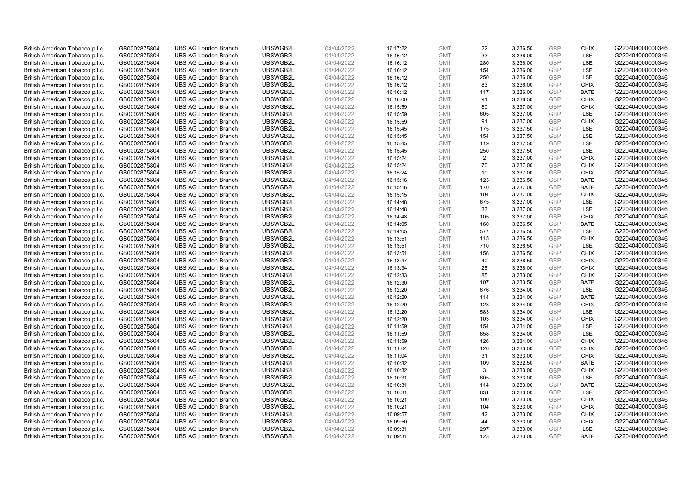| British American Tobacco p.l.c. | GB0002875804 | <b>UBS AG London Branch</b> | UBSWGB2L | 04/04/2022 | 16:17:22 | <b>GMT</b>               | 22         | 3,236.50 | <b>GBP</b> | <b>CHIX</b>               | G220404000000346 |
|---------------------------------|--------------|-----------------------------|----------|------------|----------|--------------------------|------------|----------|------------|---------------------------|------------------|
| British American Tobacco p.l.c. | GB0002875804 | <b>UBS AG London Branch</b> | UBSWGB2L | 04/04/2022 | 16:16:12 | <b>GMT</b>               | 33         | 3,236.00 | <b>GBP</b> | LSE                       | G220404000000346 |
| British American Tobacco p.l.c. | GB0002875804 | <b>UBS AG London Branch</b> | UBSWGB2L | 04/04/2022 | 16:16:12 | <b>GMT</b>               | 280        | 3,236.00 | <b>GBP</b> | LSE                       | G220404000000346 |
| British American Tobacco p.l.c. | GB0002875804 | <b>UBS AG London Branch</b> | UBSWGB2L | 04/04/2022 | 16:16:12 | <b>GMT</b>               | 154        | 3,236.00 | GBP        | LSE                       | G220404000000346 |
|                                 |              |                             |          |            |          |                          |            |          | GBP        | LSE                       |                  |
| British American Tobacco p.l.c. | GB0002875804 | <b>UBS AG London Branch</b> | UBSWGB2L | 04/04/2022 | 16:16:12 | <b>GMT</b>               | 250        | 3,236.00 |            |                           | G220404000000346 |
| British American Tobacco p.l.c. | GB0002875804 | <b>UBS AG London Branch</b> | UBSWGB2L | 04/04/2022 | 16:16:12 | <b>GMT</b>               | 83         | 3,236.00 | <b>GBP</b> | <b>CHIX</b>               | G220404000000346 |
| British American Tobacco p.l.c. | GB0002875804 | <b>UBS AG London Branch</b> | UBSWGB2L | 04/04/2022 | 16:16:12 | <b>GMT</b>               | 117        | 3,236.00 | GBP        | <b>BATE</b>               | G220404000000346 |
| British American Tobacco p.l.c. | GB0002875804 | <b>UBS AG London Branch</b> | UBSWGB2L | 04/04/2022 | 16:16:00 | <b>GMT</b>               | 91         | 3,236.50 | <b>GBP</b> | <b>CHIX</b>               | G220404000000346 |
| British American Tobacco p.l.c. | GB0002875804 | <b>UBS AG London Branch</b> | UBSWGB2L | 04/04/2022 | 16:15:59 | <b>GMT</b>               | 80         | 3,237.00 | <b>GBP</b> | <b>CHIX</b>               | G220404000000346 |
| British American Tobacco p.l.c. | GB0002875804 | <b>UBS AG London Branch</b> | UBSWGB2L | 04/04/2022 | 16:15:59 | <b>GMT</b>               | 605        | 3,237.00 | <b>GBP</b> | LSE                       | G220404000000346 |
| British American Tobacco p.l.c. | GB0002875804 | <b>UBS AG London Branch</b> | UBSWGB2L | 04/04/2022 | 16:15:59 | <b>GMT</b>               | 91         | 3,237.00 | <b>GBP</b> | <b>CHIX</b>               | G220404000000346 |
| British American Tobacco p.l.c. | GB0002875804 | <b>UBS AG London Branch</b> | UBSWGB2L | 04/04/2022 | 16:15:45 | <b>GMT</b>               | 175        | 3,237.50 | <b>GBP</b> | LSE                       | G220404000000346 |
| British American Tobacco p.l.c. | GB0002875804 | <b>UBS AG London Branch</b> | UBSWGB2L | 04/04/2022 | 16:15:45 | <b>GMT</b>               | 154        | 3,237.50 | <b>GBP</b> | LSE                       | G220404000000346 |
| British American Tobacco p.l.c. | GB0002875804 | <b>UBS AG London Branch</b> | UBSWGB2L | 04/04/2022 | 16:15:45 | <b>GMT</b>               | 119        | 3,237.50 | <b>GBP</b> | LSE                       | G220404000000346 |
| British American Tobacco p.l.c. | GB0002875804 | <b>UBS AG London Branch</b> | UBSWGB2L | 04/04/2022 | 16:15:45 | <b>GMT</b>               | 250        | 3,237.50 | <b>GBP</b> | LSE                       | G220404000000346 |
| British American Tobacco p.l.c. | GB0002875804 | <b>UBS AG London Branch</b> | UBSWGB2L | 04/04/2022 | 16:15:24 | <b>GMT</b>               | 2          | 3,237.00 | GBP        | <b>CHIX</b>               | G220404000000346 |
| British American Tobacco p.l.c. | GB0002875804 | <b>UBS AG London Branch</b> | UBSWGB2L | 04/04/2022 | 16:15:24 | <b>GMT</b>               | 70         | 3,237.00 | <b>GBP</b> | <b>CHIX</b>               | G220404000000346 |
| British American Tobacco p.l.c. | GB0002875804 | <b>UBS AG London Branch</b> | UBSWGB2L | 04/04/2022 | 16:15:24 | <b>GMT</b>               | 10         | 3,237.00 | GBP        | <b>CHIX</b>               | G220404000000346 |
| British American Tobacco p.l.c. | GB0002875804 | <b>UBS AG London Branch</b> | UBSWGB2L | 04/04/2022 | 16:15:16 | <b>GMT</b>               | 123        | 3,236.50 | <b>GBP</b> | <b>BATE</b>               | G220404000000346 |
| British American Tobacco p.l.c. | GB0002875804 | <b>UBS AG London Branch</b> | UBSWGB2L | 04/04/2022 | 16:15:16 | <b>GMT</b>               | 170        | 3,237.00 | GBP        | <b>BATE</b>               | G220404000000346 |
| British American Tobacco p.l.c. | GB0002875804 | <b>UBS AG London Branch</b> | UBSWGB2L | 04/04/2022 | 16:15:15 | <b>GMT</b>               | 104        | 3,237.00 | GBP        | <b>CHIX</b>               | G220404000000346 |
| British American Tobacco p.l.c. | GB0002875804 | <b>UBS AG London Branch</b> | UBSWGB2L | 04/04/2022 | 16:14:48 | <b>GMT</b>               | 675        | 3,237.00 | <b>GBP</b> | LSE                       | G220404000000346 |
| British American Tobacco p.l.c. | GB0002875804 | <b>UBS AG London Branch</b> | UBSWGB2L | 04/04/2022 | 16:14:48 | <b>GMT</b>               | 33         | 3,237.00 | <b>GBP</b> | LSE                       | G220404000000346 |
| British American Tobacco p.l.c. | GB0002875804 | <b>UBS AG London Branch</b> | UBSWGB2L | 04/04/2022 | 16:14:48 | <b>GMT</b>               | 105        | 3,237.00 | <b>GBP</b> | <b>CHIX</b>               | G220404000000346 |
| British American Tobacco p.l.c. | GB0002875804 | <b>UBS AG London Branch</b> | UBSWGB2L | 04/04/2022 | 16:14:05 | <b>GMT</b>               | 160        | 3,236.50 | <b>GBP</b> | <b>BATE</b>               | G220404000000346 |
|                                 |              | <b>UBS AG London Branch</b> | UBSWGB2L |            |          | <b>GMT</b>               | 577        |          | <b>GBP</b> | LSE                       | G220404000000346 |
| British American Tobacco p.l.c. | GB0002875804 |                             |          | 04/04/2022 | 16:14:05 |                          |            | 3,236.50 |            |                           |                  |
| British American Tobacco p.l.c. | GB0002875804 | <b>UBS AG London Branch</b> | UBSWGB2L | 04/04/2022 | 16:13:51 | <b>GMT</b>               | 115        | 3,236.50 | <b>GBP</b> | <b>CHIX</b>               | G220404000000346 |
| British American Tobacco p.l.c. | GB0002875804 | <b>UBS AG London Branch</b> | UBSWGB2L | 04/04/2022 | 16:13:51 | <b>GMT</b>               | 710        | 3,236.50 | <b>GBP</b> | LSE                       | G220404000000346 |
| British American Tobacco p.l.c. | GB0002875804 | <b>UBS AG London Branch</b> | UBSWGB2L | 04/04/2022 | 16:13:51 | <b>GMT</b>               | 156        | 3,236.50 | GBP        | <b>CHIX</b>               | G220404000000346 |
| British American Tobacco p.l.c. | GB0002875804 | <b>UBS AG London Branch</b> | UBSWGB2L | 04/04/2022 | 16:13:47 | <b>GMT</b>               | 40         | 3,236.50 | GBP        | <b>CHIX</b>               | G220404000000346 |
| British American Tobacco p.l.c. | GB0002875804 | <b>UBS AG London Branch</b> | UBSWGB2L | 04/04/2022 | 16:13:34 | <b>GMT</b>               | 25         | 3,236.00 | GBP        | <b>CHIX</b>               | G220404000000346 |
| British American Tobacco p.l.c. | GB0002875804 | <b>UBS AG London Branch</b> | UBSWGB2L | 04/04/2022 | 16:12:33 | <b>GMT</b>               | 85         | 3,233.00 | <b>GBP</b> | <b>CHIX</b>               | G220404000000346 |
| British American Tobacco p.l.c. | GB0002875804 | <b>UBS AG London Branch</b> | UBSWGB2L | 04/04/2022 | 16:12:30 | <b>GMT</b>               | 107        | 3,233.50 | <b>GBP</b> | <b>BATE</b>               | G220404000000346 |
| British American Tobacco p.l.c. | GB0002875804 | <b>UBS AG London Branch</b> | UBSWGB2L | 04/04/2022 | 16:12:20 | <b>GMT</b>               | 676        | 3,234.00 | GBP        | LSE                       | G220404000000346 |
| British American Tobacco p.l.c. | GB0002875804 | <b>UBS AG London Branch</b> | UBSWGB2L | 04/04/2022 | 16:12:20 | <b>GMT</b>               | 114        | 3,234.00 | GBP        | <b>BATE</b>               | G220404000000346 |
| British American Tobacco p.l.c. | GB0002875804 | <b>UBS AG London Branch</b> | UBSWGB2L | 04/04/2022 | 16:12:20 | <b>GMT</b>               | 128        | 3,234.00 | <b>GBP</b> | <b>CHIX</b>               | G220404000000346 |
| British American Tobacco p.l.c. | GB0002875804 | <b>UBS AG London Branch</b> | UBSWGB2L | 04/04/2022 | 16:12:20 | <b>GMT</b>               | 583        | 3,234.00 | GBP        | <b>LSE</b>                | G220404000000346 |
| British American Tobacco p.l.c. | GB0002875804 | <b>UBS AG London Branch</b> | UBSWGB2L | 04/04/2022 | 16:12:20 | <b>GMT</b>               | 103        | 3,234.00 | <b>GBP</b> | <b>CHIX</b>               | G220404000000346 |
| British American Tobacco p.l.c. | GB0002875804 | <b>UBS AG London Branch</b> | UBSWGB2L | 04/04/2022 | 16:11:59 | <b>GMT</b>               | 154        | 3,234.00 | <b>GBP</b> | LSE                       | G220404000000346 |
| British American Tobacco p.l.c. | GB0002875804 | <b>UBS AG London Branch</b> | UBSWGB2L | 04/04/2022 | 16:11:59 | <b>GMT</b>               | 658        | 3,234.00 | <b>GBP</b> | <b>LSE</b>                | G220404000000346 |
| British American Tobacco p.l.c. | GB0002875804 | <b>UBS AG London Branch</b> | UBSWGB2L | 04/04/2022 | 16:11:59 | <b>GMT</b>               | 126        | 3,234.00 | GBP        | <b>CHIX</b>               | G220404000000346 |
| British American Tobacco p.l.c. | GB0002875804 | <b>UBS AG London Branch</b> | UBSWGB2L | 04/04/2022 | 16:11:04 | <b>GMT</b>               | 120        | 3,233.00 | <b>GBP</b> | <b>CHIX</b>               | G220404000000346 |
| British American Tobacco p.l.c. | GB0002875804 | <b>UBS AG London Branch</b> | UBSWGB2L | 04/04/2022 | 16:11:04 | <b>GMT</b>               | 31         | 3,233.00 | GBP        | <b>CHIX</b>               | G220404000000346 |
| British American Tobacco p.l.c. | GB0002875804 | <b>UBS AG London Branch</b> | UBSWGB2L | 04/04/2022 | 16:10:32 | <b>GMT</b>               | 109        | 3,232.50 | GBP        | <b>BATE</b>               | G220404000000346 |
| British American Tobacco p.l.c. | GB0002875804 | <b>UBS AG London Branch</b> | UBSWGB2L | 04/04/2022 | 16:10:32 | <b>GMT</b>               | 3          | 3,233.00 | <b>GBP</b> | <b>CHIX</b>               | G220404000000346 |
| British American Tobacco p.l.c. | GB0002875804 | <b>UBS AG London Branch</b> | UBSWGB2L | 04/04/2022 | 16:10:31 | <b>GMT</b>               | 605        | 3,233.00 | <b>GBP</b> | LSE                       | G220404000000346 |
| British American Tobacco p.l.c. | GB0002875804 | <b>UBS AG London Branch</b> | UBSWGB2L | 04/04/2022 | 16:10:31 | <b>GMT</b>               | 114        | 3,233.00 | GBP        | <b>BATE</b>               | G220404000000346 |
| British American Tobacco p.l.c. | GB0002875804 | <b>UBS AG London Branch</b> | UBSWGB2L | 04/04/2022 | 16:10:31 | <b>GMT</b>               | 631        | 3,233.00 | GBP        | LSE                       | G220404000000346 |
| British American Tobacco p.l.c. | GB0002875804 | <b>UBS AG London Branch</b> | UBSWGB2L | 04/04/2022 | 16:10:21 | <b>GMT</b>               | 100        | 3,233.00 | <b>GBP</b> | <b>CHIX</b>               | G220404000000346 |
| British American Tobacco p.l.c. | GB0002875804 | <b>UBS AG London Branch</b> | UBSWGB2L | 04/04/2022 | 16:10:21 | <b>GMT</b>               | 104        | 3,233.00 | GBP        | <b>CHIX</b>               | G220404000000346 |
| British American Tobacco p.l.c. | GB0002875804 | <b>UBS AG London Branch</b> | UBSWGB2L | 04/04/2022 | 16:09:57 | <b>GMT</b>               | 42         | 3,233.00 | <b>GBP</b> | <b>CHIX</b>               | G220404000000346 |
| British American Tobacco p.l.c. | GB0002875804 | <b>UBS AG London Branch</b> | UBSWGB2L | 04/04/2022 | 16:09:50 | <b>GMT</b>               | 44         | 3,233.00 | <b>GBP</b> | <b>CHIX</b>               | G220404000000346 |
|                                 | GB0002875804 |                             |          |            |          |                          |            |          | GBP        |                           |                  |
| British American Tobacco p.l.c. |              | <b>UBS AG London Branch</b> | UBSWGB2L | 04/04/2022 | 16:09:31 | <b>GMT</b><br><b>GMT</b> | 297<br>123 | 3,233.00 | GBP        | <b>LSE</b><br><b>BATE</b> | G220404000000346 |
| British American Tobacco p.l.c. | GB0002875804 | <b>UBS AG London Branch</b> | UBSWGB2L | 04/04/2022 | 16:09:31 |                          |            | 3,233.00 |            |                           | G220404000000346 |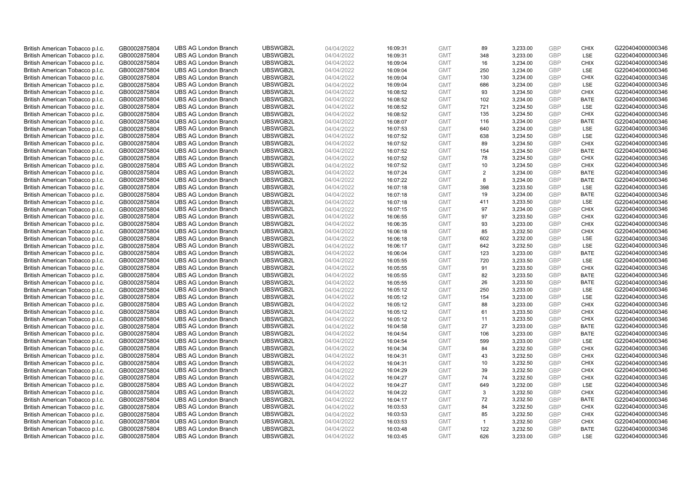| British American Tobacco p.l.c. | GB0002875804 | <b>UBS AG London Branch</b> | UBSWGB2L | 04/04/2022 | 16:09:31 | <b>GMT</b> | 89             | 3,233.00 | <b>GBP</b> | <b>CHIX</b> | G220404000000346 |
|---------------------------------|--------------|-----------------------------|----------|------------|----------|------------|----------------|----------|------------|-------------|------------------|
|                                 |              |                             |          |            |          |            |                |          | GBP        | LSE         |                  |
| British American Tobacco p.l.c. | GB0002875804 | <b>UBS AG London Branch</b> | UBSWGB2L | 04/04/2022 | 16:09:31 | <b>GMT</b> | 348            | 3,233.00 |            |             | G220404000000346 |
| British American Tobacco p.l.c. | GB0002875804 | <b>UBS AG London Branch</b> | UBSWGB2L | 04/04/2022 | 16:09:04 | <b>GMT</b> | 16             | 3,234.00 | <b>GBP</b> | <b>CHIX</b> | G220404000000346 |
| British American Tobacco p.l.c. | GB0002875804 | <b>UBS AG London Branch</b> | UBSWGB2L | 04/04/2022 | 16:09:04 | <b>GMT</b> | 250            | 3,234.00 | <b>GBP</b> | LSE         | G220404000000346 |
| British American Tobacco p.l.c. | GB0002875804 | <b>UBS AG London Branch</b> | UBSWGB2L | 04/04/2022 | 16:09:04 | <b>GMT</b> | 130            | 3,234.00 | <b>GBP</b> | <b>CHIX</b> | G220404000000346 |
| British American Tobacco p.l.c. | GB0002875804 | <b>UBS AG London Branch</b> | UBSWGB2L | 04/04/2022 | 16:09:04 | <b>GMT</b> | 686            | 3,234.00 | <b>GBP</b> | LSE         | G220404000000346 |
| British American Tobacco p.l.c. | GB0002875804 | <b>UBS AG London Branch</b> | UBSWGB2L | 04/04/2022 | 16:08:52 | <b>GMT</b> | 93             | 3,234.50 | <b>GBP</b> | <b>CHIX</b> | G220404000000346 |
| British American Tobacco p.l.c. | GB0002875804 | <b>UBS AG London Branch</b> | UBSWGB2L | 04/04/2022 | 16:08:52 | <b>GMT</b> | 102            | 3,234.00 | <b>GBP</b> | <b>BATE</b> | G220404000000346 |
| British American Tobacco p.l.c. | GB0002875804 | <b>UBS AG London Branch</b> | UBSWGB2L | 04/04/2022 | 16:08:52 | <b>GMT</b> | 721            | 3,234.50 | <b>GBP</b> | LSE         | G220404000000346 |
| British American Tobacco p.l.c. | GB0002875804 | <b>UBS AG London Branch</b> | UBSWGB2L | 04/04/2022 | 16:08:52 | <b>GMT</b> | 135            | 3,234.50 | <b>GBP</b> | <b>CHIX</b> | G220404000000346 |
| British American Tobacco p.l.c. | GB0002875804 | <b>UBS AG London Branch</b> | UBSWGB2L | 04/04/2022 | 16:08:07 | <b>GMT</b> | 116            | 3,234.00 | <b>GBP</b> | <b>BATE</b> | G220404000000346 |
| British American Tobacco p.l.c. | GB0002875804 | <b>UBS AG London Branch</b> | UBSWGB2L | 04/04/2022 | 16:07:53 | <b>GMT</b> | 640            | 3,234.00 | <b>GBP</b> | LSE         | G220404000000346 |
| British American Tobacco p.l.c. | GB0002875804 | <b>UBS AG London Branch</b> | UBSWGB2L | 04/04/2022 | 16:07:52 | <b>GMT</b> | 638            | 3,234.50 | <b>GBP</b> | LSE         | G220404000000346 |
| British American Tobacco p.l.c. | GB0002875804 | <b>UBS AG London Branch</b> | UBSWGB2L | 04/04/2022 | 16:07:52 | <b>GMT</b> | 89             | 3,234.50 | <b>GBP</b> | <b>CHIX</b> | G220404000000346 |
| British American Tobacco p.l.c. | GB0002875804 | <b>UBS AG London Branch</b> | UBSWGB2L | 04/04/2022 | 16:07:52 | <b>GMT</b> | 154            | 3,234.50 | <b>GBP</b> | <b>BATE</b> | G220404000000346 |
| British American Tobacco p.l.c. | GB0002875804 | <b>UBS AG London Branch</b> | UBSWGB2L | 04/04/2022 | 16:07:52 | <b>GMT</b> | 78             | 3,234.50 | <b>GBP</b> | <b>CHIX</b> | G220404000000346 |
| British American Tobacco p.l.c. | GB0002875804 | <b>UBS AG London Branch</b> | UBSWGB2L | 04/04/2022 | 16:07:52 | <b>GMT</b> | 10             | 3,234.50 | <b>GBP</b> | <b>CHIX</b> | G220404000000346 |
| British American Tobacco p.l.c. | GB0002875804 | <b>UBS AG London Branch</b> | UBSWGB2L | 04/04/2022 | 16:07:24 | <b>GMT</b> | $\overline{2}$ | 3,234.00 | <b>GBP</b> | <b>BATE</b> | G220404000000346 |
| British American Tobacco p.l.c. | GB0002875804 | <b>UBS AG London Branch</b> | UBSWGB2L | 04/04/2022 | 16:07:22 | <b>GMT</b> | 8              | 3,234.00 | <b>GBP</b> | <b>BATE</b> | G220404000000346 |
| British American Tobacco p.l.c. | GB0002875804 | <b>UBS AG London Branch</b> | UBSWGB2L | 04/04/2022 | 16:07:18 | <b>GMT</b> | 398            | 3,233.50 | <b>GBP</b> | LSE         | G220404000000346 |
| British American Tobacco p.l.c. | GB0002875804 | <b>UBS AG London Branch</b> | UBSWGB2L | 04/04/2022 | 16:07:18 | <b>GMT</b> | 19             | 3,234.00 | <b>GBP</b> | <b>BATE</b> | G220404000000346 |
| British American Tobacco p.l.c. | GB0002875804 | <b>UBS AG London Branch</b> | UBSWGB2L | 04/04/2022 | 16:07:18 | <b>GMT</b> | 411            | 3,233.50 | <b>GBP</b> | LSE         | G220404000000346 |
| British American Tobacco p.l.c. | GB0002875804 | <b>UBS AG London Branch</b> | UBSWGB2L | 04/04/2022 |          | <b>GMT</b> | 97             | 3,234.00 | <b>GBP</b> | <b>CHIX</b> | G220404000000346 |
| British American Tobacco p.l.c. | GB0002875804 | <b>UBS AG London Branch</b> | UBSWGB2L | 04/04/2022 | 16:07:15 | <b>GMT</b> | 97             |          | <b>GBP</b> | <b>CHIX</b> | G220404000000346 |
|                                 |              |                             |          |            | 16:06:55 |            |                | 3,233.50 |            |             |                  |
| British American Tobacco p.l.c. | GB0002875804 | <b>UBS AG London Branch</b> | UBSWGB2L | 04/04/2022 | 16:06:35 | <b>GMT</b> | 93             | 3,233.00 | <b>GBP</b> | <b>CHIX</b> | G220404000000346 |
| British American Tobacco p.l.c. | GB0002875804 | <b>UBS AG London Branch</b> | UBSWGB2L | 04/04/2022 | 16:06:18 | <b>GMT</b> | 85             | 3,232.50 | <b>GBP</b> | <b>CHIX</b> | G220404000000346 |
| British American Tobacco p.l.c. | GB0002875804 | <b>UBS AG London Branch</b> | UBSWGB2L | 04/04/2022 | 16:06:18 | <b>GMT</b> | 602            | 3,232.00 | <b>GBP</b> | LSE         | G220404000000346 |
| British American Tobacco p.l.c. | GB0002875804 | <b>UBS AG London Branch</b> | UBSWGB2L | 04/04/2022 | 16:06:17 | <b>GMT</b> | 642            | 3,232.50 | <b>GBP</b> | LSE         | G220404000000346 |
| British American Tobacco p.l.c. | GB0002875804 | <b>UBS AG London Branch</b> | UBSWGB2L | 04/04/2022 | 16:06:04 | <b>GMT</b> | 123            | 3,233.00 | <b>GBP</b> | <b>BATE</b> | G220404000000346 |
| British American Tobacco p.l.c. | GB0002875804 | <b>UBS AG London Branch</b> | UBSWGB2L | 04/04/2022 | 16:05:55 | <b>GMT</b> | 720            | 3,233.50 | <b>GBP</b> | LSE         | G220404000000346 |
| British American Tobacco p.l.c. | GB0002875804 | <b>UBS AG London Branch</b> | UBSWGB2L | 04/04/2022 | 16:05:55 | <b>GMT</b> | 91             | 3,233.50 | <b>GBP</b> | <b>CHIX</b> | G220404000000346 |
| British American Tobacco p.l.c. | GB0002875804 | <b>UBS AG London Branch</b> | UBSWGB2L | 04/04/2022 | 16:05:55 | <b>GMT</b> | 82             | 3,233.50 | <b>GBP</b> | <b>BATE</b> | G220404000000346 |
| British American Tobacco p.l.c. | GB0002875804 | <b>UBS AG London Branch</b> | UBSWGB2L | 04/04/2022 | 16:05:55 | <b>GMT</b> | 26             | 3,233.50 | <b>GBP</b> | <b>BATE</b> | G220404000000346 |
| British American Tobacco p.l.c. | GB0002875804 | <b>UBS AG London Branch</b> | UBSWGB2L | 04/04/2022 | 16:05:12 | <b>GMT</b> | 250            | 3,233.00 | <b>GBP</b> | LSE         | G220404000000346 |
| British American Tobacco p.l.c. | GB0002875804 | <b>UBS AG London Branch</b> | UBSWGB2L | 04/04/2022 | 16:05:12 | <b>GMT</b> | 154            | 3,233.00 | <b>GBP</b> | LSE         | G220404000000346 |
| British American Tobacco p.l.c. | GB0002875804 | <b>UBS AG London Branch</b> | UBSWGB2L | 04/04/2022 | 16:05:12 | <b>GMT</b> | 88             | 3,233.00 | <b>GBP</b> | <b>CHIX</b> | G220404000000346 |
| British American Tobacco p.l.c. | GB0002875804 | <b>UBS AG London Branch</b> | UBSWGB2L | 04/04/2022 | 16:05:12 | <b>GMT</b> | 61             | 3,233.50 | <b>GBP</b> | <b>CHIX</b> | G220404000000346 |
| British American Tobacco p.l.c. | GB0002875804 | <b>UBS AG London Branch</b> | UBSWGB2L | 04/04/2022 | 16:05:12 | <b>GMT</b> | 11             | 3,233.50 | <b>GBP</b> | <b>CHIX</b> | G220404000000346 |
| British American Tobacco p.l.c. | GB0002875804 | <b>UBS AG London Branch</b> | UBSWGB2L | 04/04/2022 | 16:04:58 | <b>GMT</b> | 27             | 3,233.00 | <b>GBP</b> | <b>BATE</b> | G220404000000346 |
| British American Tobacco p.l.c. | GB0002875804 | <b>UBS AG London Branch</b> | UBSWGB2L | 04/04/2022 | 16:04:54 | <b>GMT</b> | 106            | 3,233.00 | <b>GBP</b> | <b>BATE</b> | G220404000000346 |
| British American Tobacco p.l.c. | GB0002875804 | <b>UBS AG London Branch</b> | UBSWGB2L | 04/04/2022 | 16:04:54 | <b>GMT</b> | 599            | 3,233.00 | <b>GBP</b> | LSE         | G220404000000346 |
| British American Tobacco p.l.c. | GB0002875804 | <b>UBS AG London Branch</b> | UBSWGB2L | 04/04/2022 | 16:04:34 | <b>GMT</b> | 84             | 3,232.50 | <b>GBP</b> | <b>CHIX</b> | G220404000000346 |
| British American Tobacco p.l.c. | GB0002875804 | <b>UBS AG London Branch</b> | UBSWGB2L | 04/04/2022 | 16:04:31 | <b>GMT</b> | 43             | 3,232.50 | <b>GBP</b> | <b>CHIX</b> | G220404000000346 |
| British American Tobacco p.l.c. | GB0002875804 | <b>UBS AG London Branch</b> | UBSWGB2L | 04/04/2022 | 16:04:31 | <b>GMT</b> | 10             | 3,232.50 | <b>GBP</b> | <b>CHIX</b> | G220404000000346 |
| British American Tobacco p.l.c. | GB0002875804 | <b>UBS AG London Branch</b> | UBSWGB2L | 04/04/2022 | 16:04:29 | <b>GMT</b> | 39             | 3,232.50 | <b>GBP</b> | <b>CHIX</b> | G220404000000346 |
| British American Tobacco p.l.c. | GB0002875804 | <b>UBS AG London Branch</b> | UBSWGB2L | 04/04/2022 | 16:04:27 | <b>GMT</b> | 74             | 3,232.50 | <b>GBP</b> | <b>CHIX</b> | G220404000000346 |
| British American Tobacco p.l.c. | GB0002875804 | <b>UBS AG London Branch</b> | UBSWGB2L | 04/04/2022 | 16:04:27 | <b>GMT</b> | 649            | 3,232.00 | <b>GBP</b> | LSE         | G220404000000346 |
| British American Tobacco p.l.c. | GB0002875804 | <b>UBS AG London Branch</b> | UBSWGB2L | 04/04/2022 | 16:04:22 | <b>GMT</b> | 3              | 3,232.50 | <b>GBP</b> | <b>CHIX</b> | G220404000000346 |
| British American Tobacco p.l.c. | GB0002875804 | <b>UBS AG London Branch</b> | UBSWGB2L | 04/04/2022 | 16:04:17 | <b>GMT</b> | 72             | 3,232.50 | <b>GBP</b> | <b>BATE</b> | G220404000000346 |
| British American Tobacco p.l.c. | GB0002875804 | <b>UBS AG London Branch</b> | UBSWGB2L | 04/04/2022 | 16:03:53 | <b>GMT</b> | 84             | 3,232.50 | <b>GBP</b> | <b>CHIX</b> | G220404000000346 |
| British American Tobacco p.l.c. | GB0002875804 | <b>UBS AG London Branch</b> | UBSWGB2L | 04/04/2022 | 16:03:53 | <b>GMT</b> | 85             | 3,232.50 | <b>GBP</b> | <b>CHIX</b> | G220404000000346 |
| British American Tobacco p.l.c. | GB0002875804 | <b>UBS AG London Branch</b> | UBSWGB2L | 04/04/2022 | 16:03:53 | <b>GMT</b> | $\mathbf{1}$   | 3,232.50 | <b>GBP</b> | <b>CHIX</b> | G220404000000346 |
| British American Tobacco p.l.c. | GB0002875804 | <b>UBS AG London Branch</b> | UBSWGB2L | 04/04/2022 | 16:03:48 | <b>GMT</b> | 122            | 3,232.50 | <b>GBP</b> | <b>BATE</b> | G220404000000346 |
| British American Tobacco p.l.c. | GB0002875804 | <b>UBS AG London Branch</b> | UBSWGB2L | 04/04/2022 | 16:03:45 | <b>GMT</b> | 626            | 3.233.00 | GBP        | LSE         | G220404000000346 |
|                                 |              |                             |          |            |          |            |                |          |            |             |                  |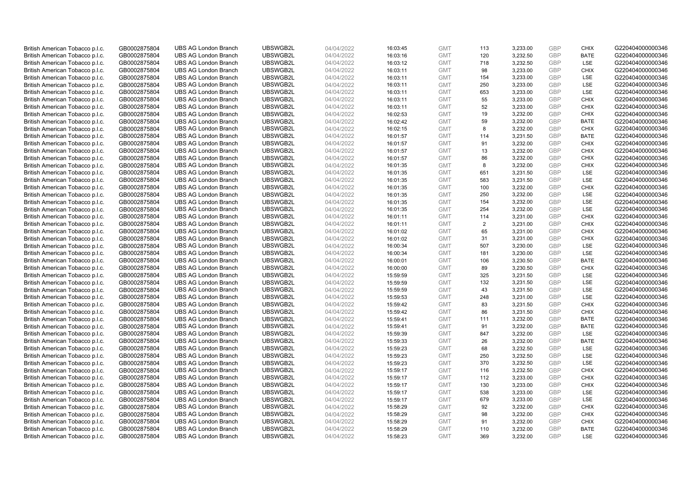| British American Tobacco p.l.c. | GB0002875804 | <b>UBS AG London Branch</b> | UBSWGB2L | 04/04/2022 | 16:03:45 | <b>GMT</b> | 113            | 3,233.00 | <b>GBP</b>        | <b>CHIX</b> | G220404000000346 |
|---------------------------------|--------------|-----------------------------|----------|------------|----------|------------|----------------|----------|-------------------|-------------|------------------|
| British American Tobacco p.l.c. | GB0002875804 | <b>UBS AG London Branch</b> | UBSWGB2L | 04/04/2022 | 16:03:16 | <b>GMT</b> | 120            | 3,232.50 | <b>GBP</b>        | <b>BATE</b> | G220404000000346 |
| British American Tobacco p.l.c. | GB0002875804 | <b>UBS AG London Branch</b> | UBSWGB2L | 04/04/2022 | 16:03:12 | <b>GMT</b> | 718            | 3,232.50 | GBP               | LSE         | G220404000000346 |
| British American Tobacco p.l.c. | GB0002875804 | <b>UBS AG London Branch</b> | UBSWGB2L | 04/04/2022 | 16:03:11 | <b>GMT</b> | 98             | 3,233.00 | GBP               | <b>CHIX</b> | G220404000000346 |
|                                 |              |                             |          |            |          |            |                |          | <b>GBP</b>        | LSE         |                  |
| British American Tobacco p.l.c. | GB0002875804 | <b>UBS AG London Branch</b> | UBSWGB2L | 04/04/2022 | 16:03:11 | <b>GMT</b> | 154            | 3,233.00 |                   |             | G220404000000346 |
| British American Tobacco p.l.c. | GB0002875804 | <b>UBS AG London Branch</b> | UBSWGB2L | 04/04/2022 | 16:03:11 | <b>GMT</b> | 250            | 3,233.00 | <b>GBP</b>        | <b>LSE</b>  | G220404000000346 |
| British American Tobacco p.l.c. | GB0002875804 | <b>UBS AG London Branch</b> | UBSWGB2L | 04/04/2022 | 16:03:11 | <b>GMT</b> | 653            | 3,233.00 | <b>GBP</b>        | LSE         | G220404000000346 |
| British American Tobacco p.l.c. | GB0002875804 | <b>UBS AG London Branch</b> | UBSWGB2L | 04/04/2022 | 16:03:11 | <b>GMT</b> | 55             | 3,233.00 | <b>GBP</b>        | <b>CHIX</b> | G220404000000346 |
| British American Tobacco p.l.c. | GB0002875804 | <b>UBS AG London Branch</b> | UBSWGB2L | 04/04/2022 | 16:03:11 | <b>GMT</b> | 52             | 3,233.00 | <b>GBP</b>        | <b>CHIX</b> | G220404000000346 |
| British American Tobacco p.l.c. | GB0002875804 | <b>UBS AG London Branch</b> | UBSWGB2L | 04/04/2022 | 16:02:53 | <b>GMT</b> | 19             | 3,232.00 | <b>GBP</b>        | <b>CHIX</b> | G220404000000346 |
| British American Tobacco p.l.c. | GB0002875804 | <b>UBS AG London Branch</b> | UBSWGB2L | 04/04/2022 | 16:02:42 | <b>GMT</b> | 59             | 3,232.00 | <b>GBP</b>        | <b>BATE</b> | G220404000000346 |
| British American Tobacco p.l.c. | GB0002875804 | <b>UBS AG London Branch</b> | UBSWGB2L | 04/04/2022 | 16:02:15 | <b>GMT</b> | 8              | 3,232.00 | <b>GBP</b>        | <b>CHIX</b> | G220404000000346 |
| British American Tobacco p.l.c. | GB0002875804 | <b>UBS AG London Branch</b> | UBSWGB2L | 04/04/2022 | 16:01:57 | <b>GMT</b> | 114            | 3,231.50 | <b>GBP</b>        | <b>BATE</b> | G220404000000346 |
| British American Tobacco p.l.c. | GB0002875804 | <b>UBS AG London Branch</b> | UBSWGB2L | 04/04/2022 | 16:01:57 | <b>GMT</b> | 91             | 3,232.00 | <b>GBP</b>        | <b>CHIX</b> | G220404000000346 |
| British American Tobacco p.l.c. | GB0002875804 | <b>UBS AG London Branch</b> | UBSWGB2L | 04/04/2022 | 16:01:57 | <b>GMT</b> | 13             | 3,232.00 | <b>GBP</b>        | <b>CHIX</b> | G220404000000346 |
| British American Tobacco p.l.c. | GB0002875804 | <b>UBS AG London Branch</b> | UBSWGB2L | 04/04/2022 | 16:01:57 | <b>GMT</b> | 86             | 3,232.00 | GBP               | <b>CHIX</b> | G220404000000346 |
| British American Tobacco p.l.c. | GB0002875804 | <b>UBS AG London Branch</b> | UBSWGB2L | 04/04/2022 | 16:01:35 | <b>GMT</b> | 8              | 3,232.00 | GBP               | <b>CHIX</b> | G220404000000346 |
| British American Tobacco p.l.c. | GB0002875804 | <b>UBS AG London Branch</b> | UBSWGB2L | 04/04/2022 | 16:01:35 | <b>GMT</b> | 651            | 3,231.50 | GBP               | LSE         | G220404000000346 |
| British American Tobacco p.l.c. | GB0002875804 | <b>UBS AG London Branch</b> | UBSWGB2L | 04/04/2022 | 16:01:35 | <b>GMT</b> | 583            | 3,231.50 | <b>GBP</b>        | <b>LSE</b>  | G220404000000346 |
| British American Tobacco p.l.c. | GB0002875804 | <b>UBS AG London Branch</b> | UBSWGB2L | 04/04/2022 | 16:01:35 | <b>GMT</b> | 100            | 3,232.00 | <b>GBP</b>        | <b>CHIX</b> | G220404000000346 |
| British American Tobacco p.l.c. | GB0002875804 | <b>UBS AG London Branch</b> | UBSWGB2L | 04/04/2022 | 16:01:35 | <b>GMT</b> | 250            | 3,232.00 | GBP               | LSE         | G220404000000346 |
| British American Tobacco p.l.c. | GB0002875804 | <b>UBS AG London Branch</b> | UBSWGB2L | 04/04/2022 | 16:01:35 | <b>GMT</b> | 154            | 3,232.00 | GBP               | LSE         | G220404000000346 |
| British American Tobacco p.l.c. | GB0002875804 | <b>UBS AG London Branch</b> | UBSWGB2L | 04/04/2022 | 16:01:35 | <b>GMT</b> | 254            | 3,232.00 | <b>GBP</b>        | LSE         | G220404000000346 |
| British American Tobacco p.l.c. | GB0002875804 | <b>UBS AG London Branch</b> | UBSWGB2L | 04/04/2022 | 16:01:11 | <b>GMT</b> | 114            | 3,231.00 | GBP               | <b>CHIX</b> | G220404000000346 |
| British American Tobacco p.l.c. | GB0002875804 | <b>UBS AG London Branch</b> | UBSWGB2L | 04/04/2022 | 16:01:11 | <b>GMT</b> | $\overline{2}$ | 3,231.00 | <b>GBP</b>        | <b>CHIX</b> | G220404000000346 |
| British American Tobacco p.l.c. | GB0002875804 | <b>UBS AG London Branch</b> | UBSWGB2L | 04/04/2022 | 16:01:02 | <b>GMT</b> | 65             | 3,231.00 | GBP               | <b>CHIX</b> | G220404000000346 |
| British American Tobacco p.l.c. | GB0002875804 | <b>UBS AG London Branch</b> | UBSWGB2L | 04/04/2022 | 16:01:02 | <b>GMT</b> | 31             | 3,231.00 | <b>GBP</b>        | <b>CHIX</b> | G220404000000346 |
| British American Tobacco p.l.c. | GB0002875804 | <b>UBS AG London Branch</b> | UBSWGB2L | 04/04/2022 | 16:00:34 | <b>GMT</b> | 507            | 3,230.00 | <b>GBP</b>        | LSE         | G220404000000346 |
|                                 |              |                             | UBSWGB2L |            |          |            |                |          |                   | LSE         |                  |
| British American Tobacco p.l.c. | GB0002875804 | <b>UBS AG London Branch</b> | UBSWGB2L | 04/04/2022 | 16:00:34 | <b>GMT</b> | 181            | 3,230.00 | <b>GBP</b><br>GBP |             | G220404000000346 |
| British American Tobacco p.l.c. | GB0002875804 | <b>UBS AG London Branch</b> |          | 04/04/2022 | 16:00:01 | <b>GMT</b> | 106            | 3,230.50 |                   | <b>BATE</b> | G220404000000346 |
| British American Tobacco p.l.c. | GB0002875804 | <b>UBS AG London Branch</b> | UBSWGB2L | 04/04/2022 | 16:00:00 | <b>GMT</b> | 89             | 3,230.50 | GBP               | <b>CHIX</b> | G220404000000346 |
| British American Tobacco p.l.c. | GB0002875804 | <b>UBS AG London Branch</b> | UBSWGB2L | 04/04/2022 | 15:59:59 | <b>GMT</b> | 325            | 3,231.50 | <b>GBP</b>        | <b>LSE</b>  | G220404000000346 |
| British American Tobacco p.l.c. | GB0002875804 | <b>UBS AG London Branch</b> | UBSWGB2L | 04/04/2022 | 15:59:59 | <b>GMT</b> | 132            | 3,231.50 | <b>GBP</b>        | LSE         | G220404000000346 |
| British American Tobacco p.l.c. | GB0002875804 | <b>UBS AG London Branch</b> | UBSWGB2L | 04/04/2022 | 15:59:59 | <b>GMT</b> | 43             | 3,231.50 | GBP               | LSE         | G220404000000346 |
| British American Tobacco p.l.c. | GB0002875804 | <b>UBS AG London Branch</b> | UBSWGB2L | 04/04/2022 | 15:59:53 | <b>GMT</b> | 248            | 3,231.00 | GBP               | LSE         | G220404000000346 |
| British American Tobacco p.l.c. | GB0002875804 | <b>UBS AG London Branch</b> | UBSWGB2L | 04/04/2022 | 15:59:42 | <b>GMT</b> | 83             | 3,231.50 | <b>GBP</b>        | <b>CHIX</b> | G220404000000346 |
| British American Tobacco p.l.c. | GB0002875804 | <b>UBS AG London Branch</b> | UBSWGB2L | 04/04/2022 | 15:59:42 | <b>GMT</b> | 86             | 3,231.50 | GBP               | <b>CHIX</b> | G220404000000346 |
| British American Tobacco p.l.c. | GB0002875804 | <b>UBS AG London Branch</b> | UBSWGB2L | 04/04/2022 | 15:59:41 | <b>GMT</b> | 111            | 3,232.00 | <b>GBP</b>        | <b>BATE</b> | G220404000000346 |
| British American Tobacco p.l.c. | GB0002875804 | <b>UBS AG London Branch</b> | UBSWGB2L | 04/04/2022 | 15:59:41 | <b>GMT</b> | 91             | 3,232.00 | <b>GBP</b>        | <b>BATE</b> | G220404000000346 |
| British American Tobacco p.l.c. | GB0002875804 | <b>UBS AG London Branch</b> | UBSWGB2L | 04/04/2022 | 15:59:39 | <b>GMT</b> | 847            | 3,232.00 | <b>GBP</b>        | <b>LSE</b>  | G220404000000346 |
| British American Tobacco p.l.c. | GB0002875804 | <b>UBS AG London Branch</b> | UBSWGB2L | 04/04/2022 | 15:59:33 | <b>GMT</b> | 26             | 3,232.00 | <b>GBP</b>        | <b>BATE</b> | G220404000000346 |
| British American Tobacco p.l.c. | GB0002875804 | <b>UBS AG London Branch</b> | UBSWGB2L | 04/04/2022 | 15:59:23 | <b>GMT</b> | 68             | 3,232.50 | <b>GBP</b>        | <b>LSE</b>  | G220404000000346 |
| British American Tobacco p.l.c. | GB0002875804 | <b>UBS AG London Branch</b> | UBSWGB2L | 04/04/2022 | 15:59:23 | <b>GMT</b> | 250            | 3,232.50 | GBP               | LSE         | G220404000000346 |
| British American Tobacco p.l.c. | GB0002875804 | <b>UBS AG London Branch</b> | UBSWGB2L | 04/04/2022 | 15:59:23 | <b>GMT</b> | 370            | 3,232.50 | GBP               | LSE         | G220404000000346 |
| British American Tobacco p.l.c. | GB0002875804 | <b>UBS AG London Branch</b> | UBSWGB2L | 04/04/2022 | 15:59:17 | <b>GMT</b> | 116            | 3,232.50 | <b>GBP</b>        | <b>CHIX</b> | G220404000000346 |
| British American Tobacco p.l.c. | GB0002875804 | <b>UBS AG London Branch</b> | UBSWGB2L | 04/04/2022 | 15:59:17 | <b>GMT</b> | 112            | 3,233.00 | <b>GBP</b>        | <b>CHIX</b> | G220404000000346 |
| British American Tobacco p.l.c. | GB0002875804 | <b>UBS AG London Branch</b> | UBSWGB2L | 04/04/2022 | 15:59:17 | <b>GMT</b> | 130            | 3,233.00 | <b>GBP</b>        | <b>CHIX</b> | G220404000000346 |
| British American Tobacco p.l.c. | GB0002875804 | <b>UBS AG London Branch</b> | UBSWGB2L | 04/04/2022 | 15:59:17 | <b>GMT</b> | 538            | 3,233.00 | GBP               | LSE         | G220404000000346 |
| British American Tobacco p.l.c. | GB0002875804 | <b>UBS AG London Branch</b> | UBSWGB2L | 04/04/2022 | 15:59:17 | <b>GMT</b> | 679            | 3,233.00 | <b>GBP</b>        | LSE         | G220404000000346 |
| British American Tobacco p.l.c. | GB0002875804 | <b>UBS AG London Branch</b> | UBSWGB2L | 04/04/2022 | 15:58:29 | <b>GMT</b> | 92             | 3,232.00 | GBP               | <b>CHIX</b> | G220404000000346 |
| British American Tobacco p.l.c. | GB0002875804 | <b>UBS AG London Branch</b> | UBSWGB2L | 04/04/2022 | 15:58:29 | <b>GMT</b> | 98             | 3,232.00 | <b>GBP</b>        | <b>CHIX</b> | G220404000000346 |
| British American Tobacco p.l.c. | GB0002875804 | <b>UBS AG London Branch</b> | UBSWGB2L | 04/04/2022 | 15:58:29 | <b>GMT</b> | 91             | 3,232.00 | <b>GBP</b>        | <b>CHIX</b> | G220404000000346 |
| British American Tobacco p.l.c. | GB0002875804 | <b>UBS AG London Branch</b> | UBSWGB2L | 04/04/2022 | 15:58:29 | <b>GMT</b> | 110            | 3,232.00 | GBP               | <b>BATE</b> | G220404000000346 |
| British American Tobacco p.l.c. | GB0002875804 | <b>UBS AG London Branch</b> | UBSWGB2L | 04/04/2022 | 15:58:23 | <b>GMT</b> | 369            | 3,232.00 | GBP               | <b>LSE</b>  | G220404000000346 |
|                                 |              |                             |          |            |          |            |                |          |                   |             |                  |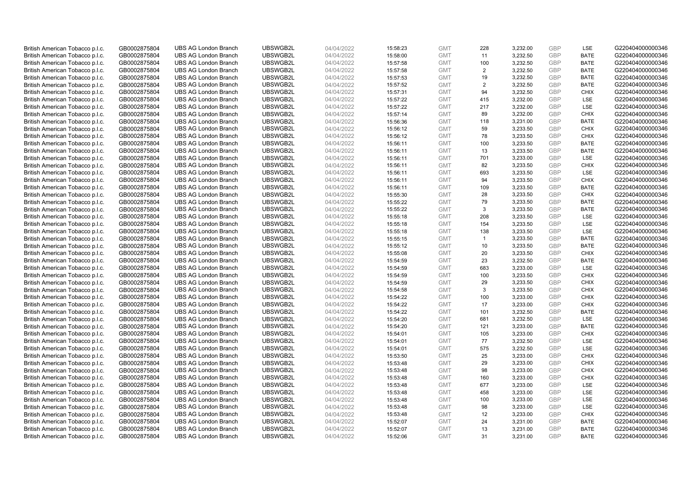| British American Tobacco p.l.c. | GB0002875804                 | <b>UBS AG London Branch</b> | UBSWGB2L | 04/04/2022 | 15:58:23 | <b>GMT</b> | 228            | 3,232.00 | <b>GBP</b> | LSE                | G220404000000346 |
|---------------------------------|------------------------------|-----------------------------|----------|------------|----------|------------|----------------|----------|------------|--------------------|------------------|
| British American Tobacco p.l.c. | GB0002875804                 | <b>UBS AG London Branch</b> | UBSWGB2L | 04/04/2022 | 15:58:00 | <b>GMT</b> | 11             | 3,232.50 | GBP        | <b>BATE</b>        | G220404000000346 |
| British American Tobacco p.l.c. | GB0002875804                 | <b>UBS AG London Branch</b> | UBSWGB2L | 04/04/2022 | 15:57:58 | <b>GMT</b> | 100            | 3,232.50 | GBP        | <b>BATE</b>        | G220404000000346 |
| British American Tobacco p.l.c. | GB0002875804                 | <b>UBS AG London Branch</b> | UBSWGB2L | 04/04/2022 | 15:57:58 | <b>GMT</b> | $\overline{2}$ | 3,232.50 | GBP        | <b>BATE</b>        | G220404000000346 |
| British American Tobacco p.l.c. | GB0002875804                 | <b>UBS AG London Branch</b> | UBSWGB2L | 04/04/2022 | 15:57:53 | <b>GMT</b> | 19             | 3,232.50 | GBP        | <b>BATE</b>        | G220404000000346 |
| British American Tobacco p.l.c. | GB0002875804                 | <b>UBS AG London Branch</b> | UBSWGB2L | 04/04/2022 | 15:57:52 | <b>GMT</b> | 2              | 3,232.50 | <b>GBP</b> | <b>BATE</b>        | G220404000000346 |
| British American Tobacco p.l.c. | GB0002875804                 | <b>UBS AG London Branch</b> | UBSWGB2L | 04/04/2022 | 15:57:31 | <b>GMT</b> | 94             | 3,232.50 | GBP        | <b>CHIX</b>        | G220404000000346 |
| British American Tobacco p.l.c. | GB0002875804                 | <b>UBS AG London Branch</b> | UBSWGB2L | 04/04/2022 | 15:57:22 | <b>GMT</b> | 415            | 3,232.00 | GBP        | <b>LSE</b>         | G220404000000346 |
| British American Tobacco p.l.c. | GB0002875804                 | <b>UBS AG London Branch</b> | UBSWGB2L | 04/04/2022 | 15:57:22 | <b>GMT</b> | 217            | 3,232.00 | GBP        | LSE                | G220404000000346 |
| British American Tobacco p.l.c. | GB0002875804                 | <b>UBS AG London Branch</b> | UBSWGB2L | 04/04/2022 | 15:57:14 | <b>GMT</b> | 89             | 3,232.00 | <b>GBP</b> | <b>CHIX</b>        | G220404000000346 |
| British American Tobacco p.l.c. | GB0002875804                 | <b>UBS AG London Branch</b> | UBSWGB2L | 04/04/2022 | 15:56:36 | <b>GMT</b> | 118            | 3.231.00 | GBP        | <b>BATE</b>        | G220404000000346 |
| British American Tobacco p.l.c. | GB0002875804                 | <b>UBS AG London Branch</b> | UBSWGB2L | 04/04/2022 | 15:56:12 | <b>GMT</b> | 59             | 3,233.50 | <b>GBP</b> | <b>CHIX</b>        | G220404000000346 |
| British American Tobacco p.l.c. | GB0002875804                 | <b>UBS AG London Branch</b> | UBSWGB2L | 04/04/2022 | 15:56:12 | <b>GMT</b> | 78             | 3,233.50 | GBP        | <b>CHIX</b>        | G220404000000346 |
| British American Tobacco p.l.c. | GB0002875804                 | <b>UBS AG London Branch</b> | UBSWGB2L | 04/04/2022 | 15:56:11 | <b>GMT</b> | 100            | 3,233.50 | <b>GBP</b> | <b>BATE</b>        | G220404000000346 |
| British American Tobacco p.l.c. | GB0002875804                 | <b>UBS AG London Branch</b> | UBSWGB2L | 04/04/2022 | 15:56:11 | <b>GMT</b> | 13             | 3,233.50 | <b>GBP</b> | <b>BATE</b>        | G220404000000346 |
| British American Tobacco p.l.c. | GB0002875804                 | <b>UBS AG London Branch</b> | UBSWGB2L | 04/04/2022 | 15:56:11 | <b>GMT</b> | 701            | 3,233.00 | <b>GBP</b> | LSE                | G220404000000346 |
| British American Tobacco p.l.c. | GB0002875804                 | <b>UBS AG London Branch</b> | UBSWGB2L | 04/04/2022 | 15:56:11 | <b>GMT</b> | 82             | 3,233.50 | GBP        | <b>CHIX</b>        | G220404000000346 |
| British American Tobacco p.l.c. | GB0002875804                 | <b>UBS AG London Branch</b> | UBSWGB2L | 04/04/2022 | 15:56:11 | <b>GMT</b> | 693            | 3,233.50 | <b>GBP</b> | LSE                | G220404000000346 |
| British American Tobacco p.l.c. | GB0002875804                 | <b>UBS AG London Branch</b> | UBSWGB2L | 04/04/2022 | 15:56:11 | <b>GMT</b> | 94             | 3,233.50 | <b>GBP</b> | <b>CHIX</b>        | G220404000000346 |
| British American Tobacco p.l.c. | GB0002875804                 | <b>UBS AG London Branch</b> | UBSWGB2L | 04/04/2022 | 15:56:11 | <b>GMT</b> | 109            | 3,233.50 | <b>GBP</b> | <b>BATE</b>        | G220404000000346 |
| British American Tobacco p.l.c. | GB0002875804                 | <b>UBS AG London Branch</b> | UBSWGB2L | 04/04/2022 | 15:55:30 | <b>GMT</b> | 28             | 3,233.50 | GBP        | <b>CHIX</b>        | G220404000000346 |
| British American Tobacco p.l.c. | GB0002875804                 | <b>UBS AG London Branch</b> | UBSWGB2L | 04/04/2022 | 15:55:22 | <b>GMT</b> | 79             | 3,233.50 | GBP        | <b>BATE</b>        | G220404000000346 |
| British American Tobacco p.l.c. | GB0002875804                 | <b>UBS AG London Branch</b> | UBSWGB2L | 04/04/2022 | 15:55:22 | <b>GMT</b> | 3              | 3,233.50 | <b>GBP</b> | <b>BATE</b>        | G220404000000346 |
| British American Tobacco p.l.c. | GB0002875804                 | <b>UBS AG London Branch</b> | UBSWGB2L | 04/04/2022 | 15:55:18 | <b>GMT</b> | 208            | 3,233.50 | GBP        | <b>LSE</b>         | G220404000000346 |
| British American Tobacco p.l.c. | GB0002875804                 | <b>UBS AG London Branch</b> | UBSWGB2L | 04/04/2022 | 15:55:18 | <b>GMT</b> | 154            | 3,233.50 | <b>GBP</b> | LSE                | G220404000000346 |
| British American Tobacco p.l.c. | GB0002875804                 | <b>UBS AG London Branch</b> | UBSWGB2L | 04/04/2022 | 15:55:18 | <b>GMT</b> | 138            | 3,233.50 | <b>GBP</b> | LSE                | G220404000000346 |
| British American Tobacco p.l.c. | GB0002875804                 | <b>UBS AG London Branch</b> | UBSWGB2L | 04/04/2022 | 15:55:15 | <b>GMT</b> | $\mathbf{1}$   | 3,233.50 | <b>GBP</b> | <b>BATE</b>        | G220404000000346 |
| British American Tobacco p.l.c. | GB0002875804                 | <b>UBS AG London Branch</b> | UBSWGB2L | 04/04/2022 | 15:55:12 | <b>GMT</b> | 10             | 3,233.50 | <b>GBP</b> | <b>BATE</b>        | G220404000000346 |
| British American Tobacco p.l.c. | GB0002875804                 | <b>UBS AG London Branch</b> | UBSWGB2L | 04/04/2022 | 15:55:08 | <b>GMT</b> | 20             | 3,233.50 | <b>GBP</b> | <b>CHIX</b>        | G220404000000346 |
| British American Tobacco p.l.c. | GB0002875804                 | <b>UBS AG London Branch</b> | UBSWGB2L | 04/04/2022 | 15:54:59 | <b>GMT</b> | 23             | 3,232.50 | GBP        | <b>BATE</b>        | G220404000000346 |
| British American Tobacco p.l.c. | GB0002875804                 | <b>UBS AG London Branch</b> | UBSWGB2L | 04/04/2022 | 15:54:59 | <b>GMT</b> | 683            | 3,233.00 | GBP        | LSE                | G220404000000346 |
| British American Tobacco p.l.c. | GB0002875804                 | <b>UBS AG London Branch</b> | UBSWGB2L | 04/04/2022 | 15:54:59 | <b>GMT</b> | 100            | 3,233.50 | <b>GBP</b> | <b>CHIX</b>        | G220404000000346 |
| British American Tobacco p.l.c. | GB0002875804                 | <b>UBS AG London Branch</b> | UBSWGB2L | 04/04/2022 | 15:54:59 | <b>GMT</b> | 29             | 3,233.50 | <b>GBP</b> | <b>CHIX</b>        | G220404000000346 |
| British American Tobacco p.l.c. | GB0002875804                 | <b>UBS AG London Branch</b> | UBSWGB2L | 04/04/2022 | 15:54:58 | <b>GMT</b> | 3              | 3,233.50 | GBP        | <b>CHIX</b>        | G220404000000346 |
| British American Tobacco p.l.c. | GB0002875804                 | <b>UBS AG London Branch</b> | UBSWGB2L | 04/04/2022 | 15:54:22 | <b>GMT</b> | 100            | 3,233.00 | GBP        | <b>CHIX</b>        | G220404000000346 |
| British American Tobacco p.l.c. | GB0002875804                 | <b>UBS AG London Branch</b> | UBSWGB2L | 04/04/2022 | 15:54:22 | <b>GMT</b> | 17             | 3,233.00 | <b>GBP</b> | <b>CHIX</b>        | G220404000000346 |
| British American Tobacco p.l.c. | GB0002875804                 | <b>UBS AG London Branch</b> | UBSWGB2L | 04/04/2022 | 15:54:22 | <b>GMT</b> | 101            | 3,232.50 | GBP        | <b>BATE</b>        | G220404000000346 |
| British American Tobacco p.l.c. | GB0002875804                 | <b>UBS AG London Branch</b> | UBSWGB2L | 04/04/2022 | 15:54:20 | <b>GMT</b> | 681            | 3,232.50 | <b>GBP</b> | LSE                | G220404000000346 |
| British American Tobacco p.l.c. | GB0002875804                 | <b>UBS AG London Branch</b> | UBSWGB2L | 04/04/2022 | 15:54:20 | <b>GMT</b> | 121            | 3,233.00 | <b>GBP</b> | <b>BATE</b>        | G220404000000346 |
| British American Tobacco p.l.c. | GB0002875804                 | <b>UBS AG London Branch</b> | UBSWGB2L | 04/04/2022 | 15:54:01 | <b>GMT</b> | 105            | 3,233.00 | <b>GBP</b> | <b>CHIX</b>        | G220404000000346 |
| British American Tobacco p.l.c. | GB0002875804                 | <b>UBS AG London Branch</b> | UBSWGB2L | 04/04/2022 | 15:54:01 | <b>GMT</b> | 77             | 3,232.50 | <b>GBP</b> | <b>LSE</b>         | G220404000000346 |
| British American Tobacco p.l.c. | GB0002875804                 | <b>UBS AG London Branch</b> | UBSWGB2L | 04/04/2022 | 15:54:01 | <b>GMT</b> | 575            | 3,232.50 | <b>GBP</b> | LSE                | G220404000000346 |
| British American Tobacco p.l.c. | GB0002875804                 | <b>UBS AG London Branch</b> | UBSWGB2L | 04/04/2022 | 15:53:50 | <b>GMT</b> | 25             | 3,233.00 | GBP        | <b>CHIX</b>        | G220404000000346 |
| British American Tobacco p.l.c. |                              | <b>UBS AG London Branch</b> | UBSWGB2L | 04/04/2022 | 15:53:48 | <b>GMT</b> | 29             | 3,233.00 | GBP        | <b>CHIX</b>        | G220404000000346 |
| British American Tobacco p.l.c. | GB0002875804<br>GB0002875804 | <b>UBS AG London Branch</b> | UBSWGB2L | 04/04/2022 | 15:53:48 | <b>GMT</b> | 98             | 3,233.00 | <b>GBP</b> | <b>CHIX</b>        | G220404000000346 |
|                                 |                              |                             |          |            |          |            |                |          | <b>GBP</b> |                    |                  |
| British American Tobacco p.l.c. | GB0002875804                 | <b>UBS AG London Branch</b> | UBSWGB2L | 04/04/2022 | 15:53:48 | <b>GMT</b> | 160<br>677     | 3,233.00 |            | <b>CHIX</b><br>LSE | G220404000000346 |
| British American Tobacco p.l.c. | GB0002875804                 | <b>UBS AG London Branch</b> | UBSWGB2L | 04/04/2022 | 15:53:48 | <b>GMT</b> |                | 3,233.00 | <b>GBP</b> |                    | G220404000000346 |
| British American Tobacco p.l.c. | GB0002875804                 | <b>UBS AG London Branch</b> | UBSWGB2L | 04/04/2022 | 15:53:48 | <b>GMT</b> | 458            | 3,233.00 | GBP        | LSE                | G220404000000346 |
| British American Tobacco p.l.c. | GB0002875804                 | <b>UBS AG London Branch</b> | UBSWGB2L | 04/04/2022 | 15:53:48 | <b>GMT</b> | 100            | 3,233.00 | <b>GBP</b> | LSE                | G220404000000346 |
| British American Tobacco p.l.c. | GB0002875804                 | <b>UBS AG London Branch</b> | UBSWGB2L | 04/04/2022 | 15:53:48 | <b>GMT</b> | 98             | 3,233.00 | GBP        | <b>LSE</b>         | G220404000000346 |
| British American Tobacco p.l.c. | GB0002875804                 | <b>UBS AG London Branch</b> | UBSWGB2L | 04/04/2022 | 15:53:48 | <b>GMT</b> | 12             | 3,233.00 | GBP        | <b>CHIX</b>        | G220404000000346 |
| British American Tobacco p.l.c. | GB0002875804                 | <b>UBS AG London Branch</b> | UBSWGB2L | 04/04/2022 | 15:52:07 | <b>GMT</b> | 24             | 3,231.00 | <b>GBP</b> | <b>BATE</b>        | G220404000000346 |
| British American Tobacco p.l.c. | GB0002875804                 | <b>UBS AG London Branch</b> | UBSWGB2L | 04/04/2022 | 15:52:07 | <b>GMT</b> | 13             | 3,231.00 | GBP        | <b>BATE</b>        | G220404000000346 |
| British American Tobacco p.l.c. | GB0002875804                 | <b>UBS AG London Branch</b> | UBSWGB2L | 04/04/2022 | 15:52:06 | <b>GMT</b> | 31             | 3,231.00 | GBP        | <b>BATE</b>        | G220404000000346 |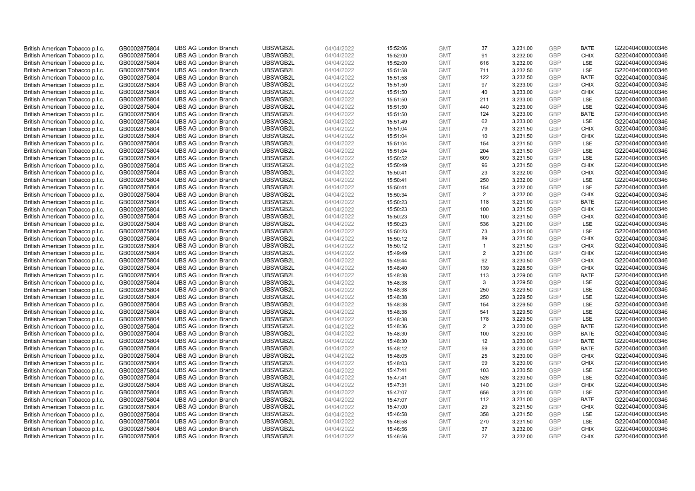| British American Tobacco p.l.c. | GB0002875804 |                             | UBSWGB2L | 04/04/2022 |          | <b>GMT</b> |                |          | <b>GBP</b>               |                            | G220404000000346 |
|---------------------------------|--------------|-----------------------------|----------|------------|----------|------------|----------------|----------|--------------------------|----------------------------|------------------|
|                                 |              | <b>UBS AG London Branch</b> |          |            | 15:52:06 |            | 37<br>91       | 3,231.00 | GBP                      | <b>BATE</b><br><b>CHIX</b> |                  |
| British American Tobacco p.l.c. | GB0002875804 | <b>UBS AG London Branch</b> | UBSWGB2L | 04/04/2022 | 15:52:00 | <b>GMT</b> |                | 3,232.00 |                          |                            | G220404000000346 |
| British American Tobacco p.l.c. | GB0002875804 | <b>UBS AG London Branch</b> | UBSWGB2L | 04/04/2022 | 15:52:00 | <b>GMT</b> | 616            | 3,232.00 | <b>GBP</b>               | LSE                        | G220404000000346 |
| British American Tobacco p.l.c. | GB0002875804 | <b>UBS AG London Branch</b> | UBSWGB2L | 04/04/2022 | 15:51:58 | <b>GMT</b> | 711            | 3,232.50 | <b>GBP</b>               | LSE                        | G220404000000346 |
| British American Tobacco p.l.c. | GB0002875804 | <b>UBS AG London Branch</b> | UBSWGB2L | 04/04/2022 | 15:51:58 | <b>GMT</b> | 122            | 3,232.50 | <b>GBP</b>               | <b>BATE</b>                | G220404000000346 |
| British American Tobacco p.l.c. | GB0002875804 | <b>UBS AG London Branch</b> | UBSWGB2L | 04/04/2022 | 15:51:50 | <b>GMT</b> | 97             | 3,233.00 | <b>GBP</b>               | <b>CHIX</b>                | G220404000000346 |
| British American Tobacco p.l.c. | GB0002875804 | <b>UBS AG London Branch</b> | UBSWGB2L | 04/04/2022 | 15:51:50 | <b>GMT</b> | 40             | 3,233.00 | <b>GBP</b>               | <b>CHIX</b>                | G220404000000346 |
| British American Tobacco p.l.c. | GB0002875804 | <b>UBS AG London Branch</b> | UBSWGB2L | 04/04/2022 | 15:51:50 | <b>GMT</b> | 211            | 3,233.00 | <b>GBP</b>               | LSE                        | G220404000000346 |
| British American Tobacco p.l.c. | GB0002875804 | <b>UBS AG London Branch</b> | UBSWGB2L | 04/04/2022 | 15:51:50 | <b>GMT</b> | 440            | 3,233.00 | <b>GBP</b>               | LSE                        | G220404000000346 |
| British American Tobacco p.l.c. | GB0002875804 | <b>UBS AG London Branch</b> | UBSWGB2L | 04/04/2022 | 15:51:50 | <b>GMT</b> | 124            | 3,233.00 | <b>GBP</b>               | <b>BATE</b>                | G220404000000346 |
| British American Tobacco p.l.c. | GB0002875804 | <b>UBS AG London Branch</b> | UBSWGB2L | 04/04/2022 | 15:51:49 | <b>GMT</b> | 62             | 3,233.00 | <b>GBP</b>               | LSE                        | G220404000000346 |
| British American Tobacco p.l.c. | GB0002875804 | <b>UBS AG London Branch</b> | UBSWGB2L | 04/04/2022 | 15:51:04 | <b>GMT</b> | 79             | 3,231.50 | <b>GBP</b>               | <b>CHIX</b>                | G220404000000346 |
| British American Tobacco p.l.c. | GB0002875804 | <b>UBS AG London Branch</b> | UBSWGB2L | 04/04/2022 | 15:51:04 | <b>GMT</b> | 10             | 3,231.50 | <b>GBP</b>               | <b>CHIX</b>                | G220404000000346 |
| British American Tobacco p.l.c. | GB0002875804 | <b>UBS AG London Branch</b> | UBSWGB2L | 04/04/2022 | 15:51:04 | <b>GMT</b> | 154            | 3,231.50 | <b>GBP</b>               | LSE                        | G220404000000346 |
| British American Tobacco p.l.c. | GB0002875804 | <b>UBS AG London Branch</b> | UBSWGB2L | 04/04/2022 | 15:51:04 | <b>GMT</b> | 204            | 3,231.50 | <b>GBP</b>               | LSE                        | G220404000000346 |
| British American Tobacco p.l.c. | GB0002875804 | <b>UBS AG London Branch</b> | UBSWGB2L | 04/04/2022 | 15:50:52 | <b>GMT</b> | 609            | 3,231.50 | <b>GBP</b>               | LSE                        | G220404000000346 |
| British American Tobacco p.l.c. | GB0002875804 | <b>UBS AG London Branch</b> | UBSWGB2L | 04/04/2022 | 15:50:49 | <b>GMT</b> | 96             | 3,231.50 | <b>GBP</b>               | <b>CHIX</b>                | G220404000000346 |
| British American Tobacco p.l.c. | GB0002875804 | <b>UBS AG London Branch</b> | UBSWGB2L | 04/04/2022 | 15:50:41 | <b>GMT</b> | 23             | 3,232.00 | <b>GBP</b>               | <b>CHIX</b>                | G220404000000346 |
| British American Tobacco p.l.c. | GB0002875804 | <b>UBS AG London Branch</b> | UBSWGB2L | 04/04/2022 | 15:50:41 | <b>GMT</b> | 250            | 3,232.00 | <b>GBP</b>               | <b>LSE</b>                 | G220404000000346 |
| British American Tobacco p.l.c. | GB0002875804 | <b>UBS AG London Branch</b> | UBSWGB2L | 04/04/2022 | 15:50:41 | <b>GMT</b> | 154            | 3,232.00 | <b>GBP</b>               | LSE                        | G220404000000346 |
| British American Tobacco p.l.c. | GB0002875804 | <b>UBS AG London Branch</b> | UBSWGB2L | 04/04/2022 | 15:50:34 | <b>GMT</b> | $\overline{2}$ | 3,232.00 | <b>GBP</b>               | <b>CHIX</b>                | G220404000000346 |
| British American Tobacco p.l.c. | GB0002875804 | <b>UBS AG London Branch</b> | UBSWGB2L | 04/04/2022 | 15:50:23 | <b>GMT</b> | 118            | 3,231.00 | <b>GBP</b>               | <b>BATE</b>                | G220404000000346 |
| British American Tobacco p.l.c. | GB0002875804 | <b>UBS AG London Branch</b> | UBSWGB2L | 04/04/2022 | 15:50:23 | <b>GMT</b> | 100            | 3,231.50 | <b>GBP</b>               | <b>CHIX</b>                | G220404000000346 |
| British American Tobacco p.l.c. | GB0002875804 | <b>UBS AG London Branch</b> | UBSWGB2L | 04/04/2022 | 15:50:23 | <b>GMT</b> | 100            | 3,231.50 | <b>GBP</b>               | <b>CHIX</b>                | G220404000000346 |
| British American Tobacco p.l.c. | GB0002875804 | <b>UBS AG London Branch</b> | UBSWGB2L | 04/04/2022 | 15:50:23 | <b>GMT</b> | 536            | 3,231.00 | <b>GBP</b>               | LSE                        | G220404000000346 |
| British American Tobacco p.l.c. | GB0002875804 | <b>UBS AG London Branch</b> | UBSWGB2L | 04/04/2022 | 15:50:23 | <b>GMT</b> | 73             | 3,231.00 | <b>GBP</b>               | LSE                        | G220404000000346 |
| British American Tobacco p.l.c. | GB0002875804 | <b>UBS AG London Branch</b> | UBSWGB2L | 04/04/2022 | 15:50:12 | <b>GMT</b> | 89             | 3,231.50 | <b>GBP</b>               | <b>CHIX</b>                | G220404000000346 |
| British American Tobacco p.l.c. | GB0002875804 | <b>UBS AG London Branch</b> | UBSWGB2L | 04/04/2022 | 15:50:12 | <b>GMT</b> | $\mathbf{1}$   | 3,231.50 | <b>GBP</b>               | <b>CHIX</b>                | G220404000000346 |
| British American Tobacco p.l.c. | GB0002875804 | <b>UBS AG London Branch</b> | UBSWGB2L | 04/04/2022 | 15:49:49 | <b>GMT</b> | $\overline{2}$ | 3,231.00 | <b>GBP</b>               | <b>CHIX</b>                | G220404000000346 |
| British American Tobacco p.l.c. | GB0002875804 | <b>UBS AG London Branch</b> | UBSWGB2L | 04/04/2022 | 15:49:44 | <b>GMT</b> | 92             | 3,230.50 | <b>GBP</b>               | <b>CHIX</b>                | G220404000000346 |
| British American Tobacco p.l.c. | GB0002875804 | <b>UBS AG London Branch</b> | UBSWGB2L | 04/04/2022 | 15:48:40 | <b>GMT</b> | 139            | 3,228.50 | <b>GBP</b>               | <b>CHIX</b>                | G220404000000346 |
| British American Tobacco p.l.c. | GB0002875804 | <b>UBS AG London Branch</b> | UBSWGB2L | 04/04/2022 | 15:48:38 | <b>GMT</b> | 113            | 3,229.00 | <b>GBP</b>               | <b>BATE</b>                | G220404000000346 |
| British American Tobacco p.l.c. | GB0002875804 | <b>UBS AG London Branch</b> | UBSWGB2L | 04/04/2022 | 15:48:38 | <b>GMT</b> | 3              | 3,229.50 | <b>GBP</b>               | LSE                        | G220404000000346 |
| British American Tobacco p.l.c. | GB0002875804 | <b>UBS AG London Branch</b> | UBSWGB2L | 04/04/2022 | 15:48:38 | <b>GMT</b> | 250            | 3,229.50 | <b>GBP</b>               | LSE                        | G220404000000346 |
| British American Tobacco p.l.c. | GB0002875804 | <b>UBS AG London Branch</b> | UBSWGB2L | 04/04/2022 | 15:48:38 | <b>GMT</b> | 250            | 3,229.50 | <b>GBP</b>               | LSE                        | G220404000000346 |
| British American Tobacco p.l.c. | GB0002875804 | <b>UBS AG London Branch</b> | UBSWGB2L | 04/04/2022 | 15:48:38 | <b>GMT</b> | 154            | 3,229.50 | <b>GBP</b>               | LSE                        | G220404000000346 |
| British American Tobacco p.l.c. | GB0002875804 | <b>UBS AG London Branch</b> | UBSWGB2L | 04/04/2022 | 15:48:38 | <b>GMT</b> | 541            | 3,229.50 | <b>GBP</b>               | LSE                        | G220404000000346 |
| British American Tobacco p.l.c. | GB0002875804 | <b>UBS AG London Branch</b> | UBSWGB2L | 04/04/2022 | 15:48:38 | <b>GMT</b> | 178            | 3,229.50 | <b>GBP</b>               | LSE                        | G220404000000346 |
|                                 |              | <b>UBS AG London Branch</b> | UBSWGB2L |            |          | <b>GMT</b> | 2              |          | <b>GBP</b>               | <b>BATE</b>                | G220404000000346 |
| British American Tobacco p.l.c. | GB0002875804 |                             |          | 04/04/2022 | 15:48:36 |            |                | 3,230.00 |                          |                            |                  |
| British American Tobacco p.l.c. | GB0002875804 | <b>UBS AG London Branch</b> | UBSWGB2L | 04/04/2022 | 15:48:30 | <b>GMT</b> | 100            | 3,230.00 | <b>GBP</b><br><b>GBP</b> | <b>BATE</b>                | G220404000000346 |
| British American Tobacco p.l.c. | GB0002875804 | <b>UBS AG London Branch</b> | UBSWGB2L | 04/04/2022 | 15:48:30 | <b>GMT</b> | 12             | 3,230.00 |                          | <b>BATE</b>                | G220404000000346 |
| British American Tobacco p.l.c. | GB0002875804 | <b>UBS AG London Branch</b> | UBSWGB2L | 04/04/2022 | 15:48:12 | <b>GMT</b> | 59             | 3,230.00 | <b>GBP</b>               | <b>BATE</b>                | G220404000000346 |
| British American Tobacco p.l.c. | GB0002875804 | <b>UBS AG London Branch</b> | UBSWGB2L | 04/04/2022 | 15:48:05 | <b>GMT</b> | 25             | 3,230.00 | <b>GBP</b>               | <b>CHIX</b>                | G220404000000346 |
| British American Tobacco p.l.c. | GB0002875804 | <b>UBS AG London Branch</b> | UBSWGB2L | 04/04/2022 | 15:48:03 | <b>GMT</b> | 99             | 3,230.00 | <b>GBP</b>               | <b>CHIX</b>                | G220404000000346 |
| British American Tobacco p.l.c. | GB0002875804 | <b>UBS AG London Branch</b> | UBSWGB2L | 04/04/2022 | 15:47:41 | <b>GMT</b> | 103            | 3,230.50 | <b>GBP</b>               | <b>LSE</b>                 | G220404000000346 |
| British American Tobacco p.l.c. | GB0002875804 | <b>UBS AG London Branch</b> | UBSWGB2L | 04/04/2022 | 15:47:41 | <b>GMT</b> | 526            | 3,230.50 | <b>GBP</b>               | LSE                        | G220404000000346 |
| British American Tobacco p.l.c. | GB0002875804 | <b>UBS AG London Branch</b> | UBSWGB2L | 04/04/2022 | 15:47:31 | <b>GMT</b> | 140            | 3,231.00 | <b>GBP</b>               | <b>CHIX</b>                | G220404000000346 |
| British American Tobacco p.l.c. | GB0002875804 | <b>UBS AG London Branch</b> | UBSWGB2L | 04/04/2022 | 15:47:07 | <b>GMT</b> | 656            | 3,231.00 | <b>GBP</b>               | LSE                        | G220404000000346 |
| British American Tobacco p.l.c. | GB0002875804 | <b>UBS AG London Branch</b> | UBSWGB2L | 04/04/2022 | 15:47:07 | <b>GMT</b> | 112            | 3,231.00 | <b>GBP</b>               | <b>BATE</b>                | G220404000000346 |
| British American Tobacco p.l.c. | GB0002875804 | <b>UBS AG London Branch</b> | UBSWGB2L | 04/04/2022 | 15:47:00 | <b>GMT</b> | 29             | 3,231.50 | <b>GBP</b>               | <b>CHIX</b>                | G220404000000346 |
| British American Tobacco p.l.c. | GB0002875804 | <b>UBS AG London Branch</b> | UBSWGB2L | 04/04/2022 | 15:46:58 | <b>GMT</b> | 358            | 3,231.50 | <b>GBP</b>               | LSE                        | G220404000000346 |
| British American Tobacco p.l.c. | GB0002875804 | <b>UBS AG London Branch</b> | UBSWGB2L | 04/04/2022 | 15:46:58 | <b>GMT</b> | 270            | 3,231.50 | <b>GBP</b>               | LSE                        | G220404000000346 |
| British American Tobacco p.l.c. | GB0002875804 | <b>UBS AG London Branch</b> | UBSWGB2L | 04/04/2022 | 15:46:56 | <b>GMT</b> | 37             | 3,232.00 | <b>GBP</b>               | <b>CHIX</b>                | G220404000000346 |
| British American Tobacco p.l.c. | GB0002875804 | <b>UBS AG London Branch</b> | UBSWGB2L | 04/04/2022 | 15:46:56 | <b>GMT</b> | 27             | 3.232.00 | GBP                      | <b>CHIX</b>                | G220404000000346 |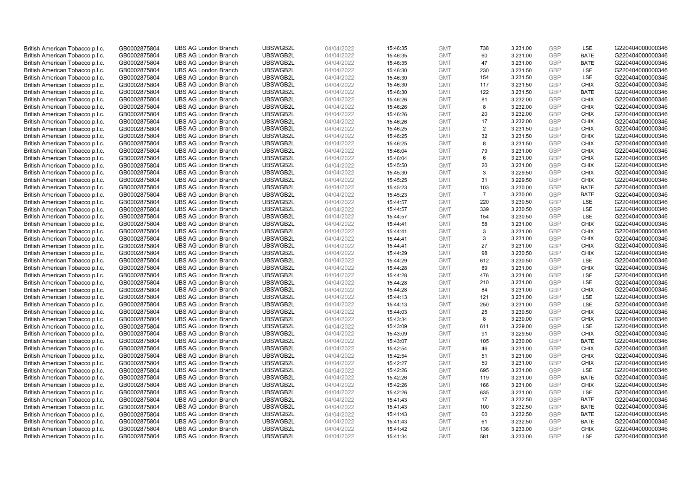| British American Tobacco p.l.c. | GB0002875804 | <b>UBS AG London Branch</b>                                | UBSWGB2L             | 04/04/2022 | 15:46:35 | <b>GMT</b>               | 738            | 3,231.00             | <b>GBP</b>               | LSE                | G220404000000346                     |
|---------------------------------|--------------|------------------------------------------------------------|----------------------|------------|----------|--------------------------|----------------|----------------------|--------------------------|--------------------|--------------------------------------|
| British American Tobacco p.l.c. | GB0002875804 | <b>UBS AG London Branch</b>                                | UBSWGB2L             | 04/04/2022 | 15:46:35 | <b>GMT</b>               | 60             | 3,231.00             | <b>GBP</b>               | <b>BATE</b>        | G220404000000346                     |
| British American Tobacco p.l.c. | GB0002875804 | <b>UBS AG London Branch</b>                                | UBSWGB2L             | 04/04/2022 | 15:46:35 | <b>GMT</b>               | 47             | 3,231.00             | <b>GBP</b>               | <b>BATE</b>        | G220404000000346                     |
| British American Tobacco p.l.c. | GB0002875804 | <b>UBS AG London Branch</b>                                | UBSWGB2L             | 04/04/2022 | 15:46:30 | <b>GMT</b>               | 230            | 3,231.50             | <b>GBP</b>               | LSE                | G220404000000346                     |
|                                 |              |                                                            |                      |            |          |                          |                |                      | <b>GBP</b>               | LSE                |                                      |
| British American Tobacco p.l.c. | GB0002875804 | <b>UBS AG London Branch</b>                                | UBSWGB2L             | 04/04/2022 | 15:46:30 | <b>GMT</b>               | 154            | 3,231.50             |                          |                    | G220404000000346                     |
| British American Tobacco p.l.c. | GB0002875804 | <b>UBS AG London Branch</b>                                | UBSWGB2L             | 04/04/2022 | 15:46:30 | <b>GMT</b>               | 117            | 3,231.50             | <b>GBP</b>               | <b>CHIX</b>        | G220404000000346                     |
| British American Tobacco p.l.c. | GB0002875804 | <b>UBS AG London Branch</b>                                | UBSWGB2L             | 04/04/2022 | 15:46:30 | <b>GMT</b>               | 122            | 3,231.50             | <b>GBP</b>               | <b>BATE</b>        | G220404000000346                     |
| British American Tobacco p.l.c. | GB0002875804 | <b>UBS AG London Branch</b>                                | UBSWGB2L             | 04/04/2022 | 15:46:26 | <b>GMT</b>               | 81             | 3,232.00             | <b>GBP</b>               | <b>CHIX</b>        | G220404000000346                     |
| British American Tobacco p.l.c. | GB0002875804 | <b>UBS AG London Branch</b>                                | UBSWGB2L             | 04/04/2022 | 15:46:26 | <b>GMT</b>               | 8              | 3,232.00             | <b>GBP</b>               | <b>CHIX</b>        | G220404000000346                     |
| British American Tobacco p.l.c. | GB0002875804 | <b>UBS AG London Branch</b>                                | UBSWGB2L             | 04/04/2022 | 15:46:26 | <b>GMT</b>               | 20             | 3,232.00             | <b>GBP</b>               | <b>CHIX</b>        | G220404000000346                     |
| British American Tobacco p.l.c. | GB0002875804 | <b>UBS AG London Branch</b>                                | UBSWGB2L             | 04/04/2022 | 15:46:26 | <b>GMT</b>               | 17             | 3,232.00             | <b>GBP</b>               | <b>CHIX</b>        | G220404000000346                     |
| British American Tobacco p.l.c. | GB0002875804 | <b>UBS AG London Branch</b>                                | UBSWGB2L             | 04/04/2022 | 15:46:25 | <b>GMT</b>               | $\overline{2}$ | 3,231.50             | <b>GBP</b>               | <b>CHIX</b>        | G220404000000346                     |
| British American Tobacco p.l.c. | GB0002875804 | <b>UBS AG London Branch</b>                                | UBSWGB2L             | 04/04/2022 | 15:46:25 | <b>GMT</b>               | 32             | 3,231.50             | <b>GBP</b>               | <b>CHIX</b>        | G220404000000346                     |
| British American Tobacco p.l.c. | GB0002875804 | <b>UBS AG London Branch</b>                                | UBSWGB2L             | 04/04/2022 | 15:46:25 | <b>GMT</b>               | 8              | 3,231.50             | <b>GBP</b>               | <b>CHIX</b>        | G220404000000346                     |
| British American Tobacco p.l.c. | GB0002875804 | <b>UBS AG London Branch</b>                                | UBSWGB2L             | 04/04/2022 | 15:46:04 | <b>GMT</b>               | 79             | 3,231.00             | <b>GBP</b>               | <b>CHIX</b>        | G220404000000346                     |
| British American Tobacco p.l.c. | GB0002875804 | <b>UBS AG London Branch</b>                                | UBSWGB2L             | 04/04/2022 | 15:46:04 | <b>GMT</b>               | 6              | 3,231.00             | <b>GBP</b>               | <b>CHIX</b>        | G220404000000346                     |
| British American Tobacco p.l.c. | GB0002875804 | <b>UBS AG London Branch</b>                                | UBSWGB2L             | 04/04/2022 | 15:45:50 | <b>GMT</b>               | 20             | 3,231.00             | <b>GBP</b>               | <b>CHIX</b>        | G220404000000346                     |
| British American Tobacco p.l.c. | GB0002875804 | <b>UBS AG London Branch</b>                                | UBSWGB2L             | 04/04/2022 | 15:45:30 | <b>GMT</b>               | 3              | 3,229.50             | <b>GBP</b>               | <b>CHIX</b>        | G220404000000346                     |
| British American Tobacco p.l.c. | GB0002875804 | <b>UBS AG London Branch</b>                                | UBSWGB2L             | 04/04/2022 | 15:45:25 | <b>GMT</b>               | 31             | 3,229.50             | <b>GBP</b>               | <b>CHIX</b>        | G220404000000346                     |
| British American Tobacco p.l.c. | GB0002875804 | <b>UBS AG London Branch</b>                                | UBSWGB2L             | 04/04/2022 | 15:45:23 | <b>GMT</b>               | 103            | 3,230.00             | <b>GBP</b>               | <b>BATE</b>        | G220404000000346                     |
| British American Tobacco p.l.c. | GB0002875804 | <b>UBS AG London Branch</b>                                | UBSWGB2L             | 04/04/2022 | 15:45:23 | <b>GMT</b>               | $\overline{7}$ | 3,230.00             | <b>GBP</b>               | <b>BATE</b>        | G220404000000346                     |
| British American Tobacco p.l.c. | GB0002875804 | <b>UBS AG London Branch</b>                                | UBSWGB2L             | 04/04/2022 | 15:44:57 | <b>GMT</b>               | 220            | 3,230.50             | <b>GBP</b>               | LSE                | G220404000000346                     |
| British American Tobacco p.l.c. | GB0002875804 | <b>UBS AG London Branch</b>                                | UBSWGB2L             | 04/04/2022 | 15:44:57 | <b>GMT</b>               | 339            | 3,230.50             | <b>GBP</b>               | LSE                | G220404000000346                     |
| British American Tobacco p.l.c. | GB0002875804 | <b>UBS AG London Branch</b>                                | UBSWGB2L             | 04/04/2022 | 15:44:57 | <b>GMT</b>               | 154            | 3,230.50             | <b>GBP</b>               | LSE                | G220404000000346                     |
| British American Tobacco p.l.c. | GB0002875804 | <b>UBS AG London Branch</b>                                | UBSWGB2L             | 04/04/2022 | 15:44:41 | <b>GMT</b>               | 58             | 3,231.00             | <b>GBP</b>               | <b>CHIX</b>        | G220404000000346                     |
| British American Tobacco p.l.c. | GB0002875804 | <b>UBS AG London Branch</b>                                | UBSWGB2L             | 04/04/2022 | 15:44:41 | <b>GMT</b>               | 3              | 3,231.00             | <b>GBP</b>               | <b>CHIX</b>        | G220404000000346                     |
| British American Tobacco p.l.c. | GB0002875804 | <b>UBS AG London Branch</b>                                | UBSWGB2L             | 04/04/2022 | 15:44:41 | <b>GMT</b>               | 3              | 3,231.00             | <b>GBP</b>               | <b>CHIX</b>        | G220404000000346                     |
| British American Tobacco p.l.c. | GB0002875804 | <b>UBS AG London Branch</b>                                | UBSWGB2L             | 04/04/2022 | 15:44:41 | <b>GMT</b>               | 27             | 3,231.00             | <b>GBP</b>               | <b>CHIX</b>        | G220404000000346                     |
| British American Tobacco p.l.c. | GB0002875804 | <b>UBS AG London Branch</b>                                | UBSWGB2L             | 04/04/2022 | 15:44:29 | <b>GMT</b>               | 98             | 3,230.50             | <b>GBP</b>               | <b>CHIX</b>        | G220404000000346                     |
| British American Tobacco p.l.c. | GB0002875804 | <b>UBS AG London Branch</b>                                | UBSWGB2L             | 04/04/2022 | 15:44:29 | <b>GMT</b>               | 612            | 3,230.50             | <b>GBP</b>               | LSE                | G220404000000346                     |
| British American Tobacco p.l.c. | GB0002875804 | <b>UBS AG London Branch</b>                                | UBSWGB2L             | 04/04/2022 | 15:44:28 | <b>GMT</b>               | 89             | 3,231.00             | <b>GBP</b>               | <b>CHIX</b>        | G220404000000346                     |
| British American Tobacco p.l.c. | GB0002875804 | <b>UBS AG London Branch</b>                                | UBSWGB2L             | 04/04/2022 | 15:44:28 | <b>GMT</b>               | 476            | 3,231.00             | <b>GBP</b>               | LSE                | G220404000000346                     |
| British American Tobacco p.l.c. | GB0002875804 | <b>UBS AG London Branch</b>                                | UBSWGB2L             | 04/04/2022 | 15:44:28 | <b>GMT</b>               | 210            | 3,231.00             | <b>GBP</b>               | LSE                | G220404000000346                     |
|                                 |              |                                                            |                      |            |          |                          | 84             |                      |                          |                    |                                      |
| British American Tobacco p.l.c. | GB0002875804 | <b>UBS AG London Branch</b><br><b>UBS AG London Branch</b> | UBSWGB2L<br>UBSWGB2L | 04/04/2022 | 15:44:28 | <b>GMT</b><br><b>GMT</b> | 121            | 3,231.00<br>3,231.00 | <b>GBP</b><br><b>GBP</b> | <b>CHIX</b><br>LSE | G220404000000346<br>G220404000000346 |
| British American Tobacco p.l.c. | GB0002875804 |                                                            |                      | 04/04/2022 | 15:44:13 |                          |                |                      |                          |                    |                                      |
| British American Tobacco p.l.c. | GB0002875804 | <b>UBS AG London Branch</b>                                | UBSWGB2L             | 04/04/2022 | 15:44:13 | <b>GMT</b>               | 250            | 3,231.00             | <b>GBP</b>               | LSE                | G220404000000346                     |
| British American Tobacco p.l.c. | GB0002875804 | <b>UBS AG London Branch</b>                                | UBSWGB2L             | 04/04/2022 | 15:44:03 | <b>GMT</b>               | 25             | 3,230.50             | <b>GBP</b>               | <b>CHIX</b>        | G220404000000346                     |
| British American Tobacco p.l.c. | GB0002875804 | <b>UBS AG London Branch</b>                                | UBSWGB2L             | 04/04/2022 | 15:43:34 | <b>GMT</b>               | 8              | 3,230.00             | <b>GBP</b>               | <b>CHIX</b>        | G220404000000346                     |
| British American Tobacco p.l.c. | GB0002875804 | <b>UBS AG London Branch</b>                                | UBSWGB2L             | 04/04/2022 | 15:43:09 | <b>GMT</b>               | 611            | 3,229.00             | <b>GBP</b>               | LSE                | G220404000000346                     |
| British American Tobacco p.l.c. | GB0002875804 | <b>UBS AG London Branch</b>                                | UBSWGB2L             | 04/04/2022 | 15:43:09 | <b>GMT</b>               | 91             | 3,229.50             | <b>GBP</b>               | <b>CHIX</b>        | G220404000000346                     |
| British American Tobacco p.l.c. | GB0002875804 | <b>UBS AG London Branch</b>                                | UBSWGB2L             | 04/04/2022 | 15:43:07 | <b>GMT</b>               | 105            | 3,230.00             | <b>GBP</b>               | <b>BATE</b>        | G220404000000346                     |
| British American Tobacco p.l.c. | GB0002875804 | <b>UBS AG London Branch</b>                                | UBSWGB2L             | 04/04/2022 | 15:42:54 | <b>GMT</b>               | 46             | 3,231.00             | <b>GBP</b>               | <b>CHIX</b>        | G220404000000346                     |
| British American Tobacco p.l.c. | GB0002875804 | <b>UBS AG London Branch</b>                                | UBSWGB2L             | 04/04/2022 | 15:42:54 | <b>GMT</b>               | 51             | 3,231.00             | <b>GBP</b>               | <b>CHIX</b>        | G220404000000346                     |
| British American Tobacco p.l.c. | GB0002875804 | <b>UBS AG London Branch</b>                                | UBSWGB2L             | 04/04/2022 | 15:42:27 | <b>GMT</b>               | 50             | 3,231.00             | <b>GBP</b>               | <b>CHIX</b>        | G220404000000346                     |
| British American Tobacco p.l.c. | GB0002875804 | <b>UBS AG London Branch</b>                                | UBSWGB2L             | 04/04/2022 | 15:42:26 | <b>GMT</b>               | 695            | 3,231.00             | <b>GBP</b>               | LSE                | G220404000000346                     |
| British American Tobacco p.l.c. | GB0002875804 | <b>UBS AG London Branch</b>                                | UBSWGB2L             | 04/04/2022 | 15:42:26 | <b>GMT</b>               | 119            | 3,231.00             | <b>GBP</b>               | <b>BATE</b>        | G220404000000346                     |
| British American Tobacco p.l.c. | GB0002875804 | <b>UBS AG London Branch</b>                                | UBSWGB2L             | 04/04/2022 | 15:42:26 | <b>GMT</b>               | 166            | 3,231.00             | <b>GBP</b>               | <b>CHIX</b>        | G220404000000346                     |
| British American Tobacco p.l.c. | GB0002875804 | <b>UBS AG London Branch</b>                                | UBSWGB2L             | 04/04/2022 | 15:42:26 | <b>GMT</b>               | 635            | 3,231.00             | <b>GBP</b>               | LSE                | G220404000000346                     |
| British American Tobacco p.l.c. | GB0002875804 | <b>UBS AG London Branch</b>                                | UBSWGB2L             | 04/04/2022 | 15:41:43 | <b>GMT</b>               | 17             | 3,232.50             | <b>GBP</b>               | <b>BATE</b>        | G220404000000346                     |
| British American Tobacco p.l.c. | GB0002875804 | <b>UBS AG London Branch</b>                                | UBSWGB2L             | 04/04/2022 | 15:41:43 | <b>GMT</b>               | 100            | 3,232.50             | <b>GBP</b>               | <b>BATE</b>        | G220404000000346                     |
| British American Tobacco p.l.c. | GB0002875804 | <b>UBS AG London Branch</b>                                | UBSWGB2L             | 04/04/2022 | 15:41:43 | <b>GMT</b>               | 60             | 3,232.50             | <b>GBP</b>               | <b>BATE</b>        | G220404000000346                     |
| British American Tobacco p.l.c. | GB0002875804 | <b>UBS AG London Branch</b>                                | UBSWGB2L             | 04/04/2022 | 15:41:43 | <b>GMT</b>               | 61             | 3,232.50             | <b>GBP</b>               | <b>BATE</b>        | G220404000000346                     |
| British American Tobacco p.l.c. | GB0002875804 | <b>UBS AG London Branch</b>                                | UBSWGB2L             | 04/04/2022 | 15:41:42 | <b>GMT</b>               | 136            | 3,233.00             | <b>GBP</b>               | <b>CHIX</b>        | G220404000000346                     |
| British American Tobacco p.l.c. | GB0002875804 | <b>UBS AG London Branch</b>                                | UBSWGB2L             | 04/04/2022 | 15:41:34 | <b>GMT</b>               | 581            | 3.233.00             | GBP                      | LSE                | G220404000000346                     |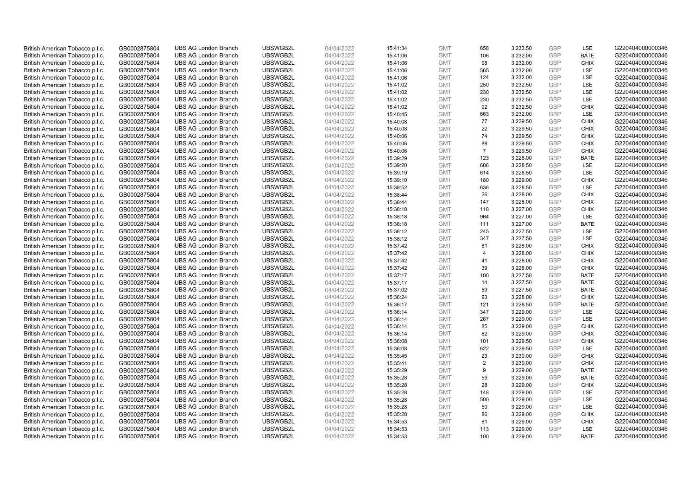| British American Tobacco p.l.c. | GB0002875804                 | <b>UBS AG London Branch</b> | UBSWGB2L | 04/04/2022               | 15:41:34 | <b>GMT</b>               | 658            | 3,233.50             | <b>GBP</b>        | LSE                       | G220404000000346 |
|---------------------------------|------------------------------|-----------------------------|----------|--------------------------|----------|--------------------------|----------------|----------------------|-------------------|---------------------------|------------------|
| British American Tobacco p.l.c. | GB0002875804                 | <b>UBS AG London Branch</b> | UBSWGB2L | 04/04/2022               | 15:41:06 | <b>GMT</b>               | 106            | 3,232.00             | <b>GBP</b>        | <b>BATE</b>               | G220404000000346 |
| British American Tobacco p.l.c. | GB0002875804                 | <b>UBS AG London Branch</b> | UBSWGB2L | 04/04/2022               | 15:41:06 | <b>GMT</b>               | 98             | 3,232.00             | <b>GBP</b>        | <b>CHIX</b>               | G220404000000346 |
| British American Tobacco p.l.c. | GB0002875804                 | <b>UBS AG London Branch</b> | UBSWGB2L | 04/04/2022               | 15:41:06 | <b>GMT</b>               | 565            | 3,232.00             | <b>GBP</b>        | LSE                       | G220404000000346 |
| British American Tobacco p.l.c. | GB0002875804                 | <b>UBS AG London Branch</b> | UBSWGB2L | 04/04/2022               | 15:41:06 | <b>GMT</b>               | 124            | 3,232.00             | <b>GBP</b>        | LSE                       | G220404000000346 |
| British American Tobacco p.l.c. | GB0002875804                 | <b>UBS AG London Branch</b> | UBSWGB2L | 04/04/2022               | 15:41:02 | <b>GMT</b>               | 250            | 3,232.50             | GBP               | LSE                       | G220404000000346 |
| British American Tobacco p.l.c. | GB0002875804                 | <b>UBS AG London Branch</b> | UBSWGB2L | 04/04/2022               | 15:41:02 | <b>GMT</b>               | 230            | 3,232.50             | <b>GBP</b>        | LSE                       | G220404000000346 |
| British American Tobacco p.l.c. | GB0002875804                 | <b>UBS AG London Branch</b> | UBSWGB2L | 04/04/2022               | 15:41:02 | <b>GMT</b>               | 230            | 3,232.50             | <b>GBP</b>        | LSE                       | G220404000000346 |
| British American Tobacco p.l.c. | GB0002875804                 | <b>UBS AG London Branch</b> | UBSWGB2L | 04/04/2022               | 15:41:02 | <b>GMT</b>               | 92             | 3,232.50             | <b>GBP</b>        | <b>CHIX</b>               | G220404000000346 |
| British American Tobacco p.l.c. | GB0002875804                 | <b>UBS AG London Branch</b> | UBSWGB2L | 04/04/2022               | 15:40:45 | <b>GMT</b>               | 663            | 3,232.00             | <b>GBP</b>        | <b>LSE</b>                | G220404000000346 |
| British American Tobacco p.l.c. | GB0002875804                 | <b>UBS AG London Branch</b> | UBSWGB2L | 04/04/2022               | 15:40:08 | <b>GMT</b>               | 77             | 3,229.50             | <b>GBP</b>        | <b>CHIX</b>               | G220404000000346 |
| British American Tobacco p.l.c. | GB0002875804                 | <b>UBS AG London Branch</b> | UBSWGB2L | 04/04/2022               | 15:40:08 | <b>GMT</b>               | 22             | 3,229.50             | <b>GBP</b>        | <b>CHIX</b>               | G220404000000346 |
| British American Tobacco p.l.c. | GB0002875804                 | <b>UBS AG London Branch</b> | UBSWGB2L | 04/04/2022               | 15:40:06 | <b>GMT</b>               | 74             | 3,229.50             | <b>GBP</b>        | <b>CHIX</b>               | G220404000000346 |
| British American Tobacco p.l.c. | GB0002875804                 | <b>UBS AG London Branch</b> | UBSWGB2L | 04/04/2022               | 15:40:06 | <b>GMT</b>               | 88             | 3,229.50             | <b>GBP</b>        | <b>CHIX</b>               | G220404000000346 |
| British American Tobacco p.l.c. | GB0002875804                 | <b>UBS AG London Branch</b> | UBSWGB2L | 04/04/2022               | 15:40:06 | <b>GMT</b>               | $\overline{7}$ | 3,229.50             | <b>GBP</b>        | <b>CHIX</b>               | G220404000000346 |
| British American Tobacco p.l.c. | GB0002875804                 | <b>UBS AG London Branch</b> | UBSWGB2L | 04/04/2022               | 15:39:29 | <b>GMT</b>               | 123            | 3,228.00             | <b>GBP</b>        | <b>BATE</b>               | G220404000000346 |
| British American Tobacco p.l.c. | GB0002875804                 | <b>UBS AG London Branch</b> | UBSWGB2L | 04/04/2022               | 15:39:20 | <b>GMT</b>               | 606            | 3,228.50             | <b>GBP</b>        | LSE                       | G220404000000346 |
| British American Tobacco p.l.c. | GB0002875804                 | <b>UBS AG London Branch</b> | UBSWGB2L | 04/04/2022               | 15:39:19 | <b>GMT</b>               | 614            | 3,228.50             | <b>GBP</b>        | LSE                       | G220404000000346 |
| British American Tobacco p.l.c. | GB0002875804                 | <b>UBS AG London Branch</b> | UBSWGB2L | 04/04/2022               | 15:39:10 | <b>GMT</b>               | 180            | 3,229.00             | <b>GBP</b>        | <b>CHIX</b>               | G220404000000346 |
| British American Tobacco p.l.c. | GB0002875804                 | <b>UBS AG London Branch</b> | UBSWGB2L | 04/04/2022               | 15:38:52 | <b>GMT</b>               | 636            | 3,228.50             | <b>GBP</b>        | LSE                       | G220404000000346 |
| British American Tobacco p.l.c. | GB0002875804                 | <b>UBS AG London Branch</b> | UBSWGB2L | 04/04/2022               | 15:38:44 | <b>GMT</b>               | 26             | 3,228.00             | <b>GBP</b>        | <b>CHIX</b>               | G220404000000346 |
| British American Tobacco p.l.c. | GB0002875804                 | <b>UBS AG London Branch</b> | UBSWGB2L | 04/04/2022               | 15:38:44 | <b>GMT</b>               | 147            | 3,228.00             | <b>GBP</b>        | <b>CHIX</b>               | G220404000000346 |
| British American Tobacco p.l.c. | GB0002875804                 | <b>UBS AG London Branch</b> | UBSWGB2L | 04/04/2022               | 15:38:18 | <b>GMT</b>               | 118            | 3,227.00             | <b>GBP</b>        | <b>CHIX</b>               | G220404000000346 |
| British American Tobacco p.l.c. | GB0002875804                 | <b>UBS AG London Branch</b> | UBSWGB2L | 04/04/2022               | 15:38:18 | <b>GMT</b>               | 964            | 3,227.00             | <b>GBP</b>        | LSE                       | G220404000000346 |
| British American Tobacco p.l.c. | GB0002875804                 | <b>UBS AG London Branch</b> | UBSWGB2L | 04/04/2022               | 15:38:18 | <b>GMT</b>               | 111            | 3,227.00             | <b>GBP</b>        | <b>BATE</b>               | G220404000000346 |
| British American Tobacco p.l.c. | GB0002875804                 | <b>UBS AG London Branch</b> | UBSWGB2L | 04/04/2022               | 15:38:12 | <b>GMT</b>               | 245            | 3,227.50             | <b>GBP</b>        | LSE                       | G220404000000346 |
| British American Tobacco p.l.c. | GB0002875804                 | <b>UBS AG London Branch</b> | UBSWGB2L | 04/04/2022               | 15:38:12 | <b>GMT</b>               | 347            | 3,227.50             | <b>GBP</b>        | LSE                       | G220404000000346 |
| British American Tobacco p.l.c. | GB0002875804                 | <b>UBS AG London Branch</b> | UBSWGB2L | 04/04/2022               | 15:37:42 | <b>GMT</b>               | 81             | 3,228.00             | <b>GBP</b>        | <b>CHIX</b>               | G220404000000346 |
| British American Tobacco p.l.c. | GB0002875804                 | <b>UBS AG London Branch</b> | UBSWGB2L | 04/04/2022               | 15:37:42 | <b>GMT</b>               | $\overline{4}$ | 3,228.00             | <b>GBP</b>        | <b>CHIX</b>               | G220404000000346 |
| British American Tobacco p.l.c. | GB0002875804                 | <b>UBS AG London Branch</b> | UBSWGB2L | 04/04/2022               | 15:37:42 | <b>GMT</b>               | 41             | 3,228.00             | <b>GBP</b>        | <b>CHIX</b>               | G220404000000346 |
| British American Tobacco p.l.c. | GB0002875804                 | <b>UBS AG London Branch</b> | UBSWGB2L | 04/04/2022               | 15:37:42 | <b>GMT</b>               | 39             | 3,228.00             | <b>GBP</b>        | <b>CHIX</b>               | G220404000000346 |
| British American Tobacco p.l.c. | GB0002875804                 | <b>UBS AG London Branch</b> | UBSWGB2L | 04/04/2022               | 15:37:17 | <b>GMT</b>               | 100            | 3,227.50             | <b>GBP</b>        | <b>BATE</b>               | G220404000000346 |
| British American Tobacco p.l.c. | GB0002875804                 | <b>UBS AG London Branch</b> | UBSWGB2L | 04/04/2022               | 15:37:17 | <b>GMT</b>               | 14             | 3,227.50             | <b>GBP</b>        | <b>BATE</b>               | G220404000000346 |
| British American Tobacco p.l.c. | GB0002875804                 | <b>UBS AG London Branch</b> | UBSWGB2L | 04/04/2022               | 15:37:02 | <b>GMT</b>               | 59             | 3,227.50             | <b>GBP</b>        | <b>BATE</b>               | G220404000000346 |
| British American Tobacco p.l.c. | GB0002875804                 | <b>UBS AG London Branch</b> | UBSWGB2L | 04/04/2022               | 15:36:24 | <b>GMT</b>               | 93             | 3,228.00             | <b>GBP</b>        | <b>CHIX</b>               | G220404000000346 |
| British American Tobacco p.l.c. | GB0002875804                 | <b>UBS AG London Branch</b> | UBSWGB2L | 04/04/2022               | 15:36:17 | <b>GMT</b>               | 121            | 3,228.50             | <b>GBP</b>        | <b>BATE</b>               | G220404000000346 |
| British American Tobacco p.l.c. | GB0002875804                 | <b>UBS AG London Branch</b> | UBSWGB2L | 04/04/2022               | 15:36:14 | <b>GMT</b>               | 347            | 3.229.00             | <b>GBP</b>        | LSE                       | G220404000000346 |
| British American Tobacco p.l.c. | GB0002875804                 | <b>UBS AG London Branch</b> | UBSWGB2L | 04/04/2022               | 15:36:14 | <b>GMT</b>               | 267            | 3,229.00             | <b>GBP</b>        | LSE                       | G220404000000346 |
| British American Tobacco p.l.c. | GB0002875804                 | <b>UBS AG London Branch</b> | UBSWGB2L | 04/04/2022               | 15:36:14 | <b>GMT</b>               | 85             | 3,229.00             | <b>GBP</b>        | <b>CHIX</b>               | G220404000000346 |
| British American Tobacco p.l.c. | GB0002875804                 | <b>UBS AG London Branch</b> | UBSWGB2L | 04/04/2022               | 15:36:14 | <b>GMT</b>               | 82             | 3,229.00             | <b>GBP</b>        | <b>CHIX</b>               | G220404000000346 |
| British American Tobacco p.l.c. | GB0002875804                 | <b>UBS AG London Branch</b> | UBSWGB2L | 04/04/2022               | 15:36:08 | <b>GMT</b>               | 101            | 3,229.50             | <b>GBP</b>        | <b>CHIX</b>               | G220404000000346 |
| British American Tobacco p.l.c. | GB0002875804                 | <b>UBS AG London Branch</b> | UBSWGB2L | 04/04/2022               | 15:36:08 | <b>GMT</b>               | 622            | 3,229.50             | <b>GBP</b>        | LSE                       | G220404000000346 |
| British American Tobacco p.l.c. | GB0002875804                 | <b>UBS AG London Branch</b> | UBSWGB2L | 04/04/2022               | 15:35:45 | <b>GMT</b>               | 23             | 3,230.00             | <b>GBP</b>        | <b>CHIX</b>               | G220404000000346 |
| British American Tobacco p.l.c. | GB0002875804                 | <b>UBS AG London Branch</b> | UBSWGB2L | 04/04/2022               | 15:35:41 | <b>GMT</b>               | $\overline{2}$ | 3,230.00             | <b>GBP</b>        | <b>CHIX</b>               | G220404000000346 |
| British American Tobacco p.l.c. | GB0002875804                 | UBS AG London Branch        | UBSWGB2L | 04/04/2022               | 15:35:29 | <b>GMT</b>               | 9              | 3,229.00             | <b>GBP</b>        | <b>BATE</b>               | G220404000000346 |
| British American Tobacco p.l.c. | GB0002875804                 | <b>UBS AG London Branch</b> | UBSWGB2L | 04/04/2022               | 15:35:28 | <b>GMT</b>               | 59             | 3,229.00             | <b>GBP</b>        | <b>BATE</b>               | G220404000000346 |
| British American Tobacco p.l.c. | GB0002875804                 | <b>UBS AG London Branch</b> | UBSWGB2L | 04/04/2022               | 15:35:28 | <b>GMT</b>               | 28             | 3,229.00             | <b>GBP</b>        | <b>CHIX</b>               | G220404000000346 |
| British American Tobacco p.l.c. | GB0002875804                 | <b>UBS AG London Branch</b> | UBSWGB2L | 04/04/2022               | 15:35:28 | <b>GMT</b>               | 148            | 3,229.00             | <b>GBP</b>        | LSE                       | G220404000000346 |
| British American Tobacco p.l.c. | GB0002875804                 | <b>UBS AG London Branch</b> | UBSWGB2L | 04/04/2022               | 15:35:28 | <b>GMT</b>               | 500            | 3,229.00             | <b>GBP</b>        | LSE                       | G220404000000346 |
| British American Tobacco p.l.c. | GB0002875804                 | <b>UBS AG London Branch</b> | UBSWGB2L | 04/04/2022               | 15:35:28 | <b>GMT</b>               | 50             | 3,229.00             | <b>GBP</b>        | LSE                       | G220404000000346 |
| British American Tobacco p.l.c. | GB0002875804                 | <b>UBS AG London Branch</b> | UBSWGB2L | 04/04/2022               | 15:35:28 | <b>GMT</b>               | 86             | 3,229.00             | <b>GBP</b>        | <b>CHIX</b>               | G220404000000346 |
| British American Tobacco p.l.c. | GB0002875804                 | <b>UBS AG London Branch</b> | UBSWGB2L | 04/04/2022               | 15:34:53 | <b>GMT</b>               | 81             | 3,229.00             | <b>GBP</b>        | <b>CHIX</b>               | G220404000000346 |
| British American Tobacco p.l.c. | GB0002875804<br>GB0002875804 | <b>UBS AG London Branch</b> | UBSWGB2L | 04/04/2022<br>04/04/2022 | 15:34:53 | <b>GMT</b><br><b>GMT</b> | 113<br>100     | 3,229.00<br>3.229.00 | <b>GBP</b><br>GBP | <b>LSE</b><br><b>BATE</b> | G220404000000346 |
| British American Tobacco p.l.c. |                              | <b>UBS AG London Branch</b> | UBSWGB2L |                          | 15:34:53 |                          |                |                      |                   |                           | G220404000000346 |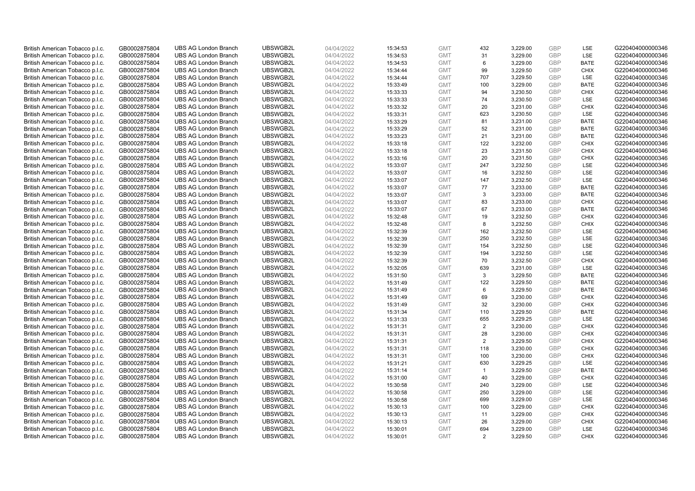| British American Tobacco p.l.c. | GB0002875804 | <b>UBS AG London Branch</b> | UBSWGB2L | 04/04/2022 | 15:34:53 | <b>GMT</b> | 432            | 3,229.00 | <b>GBP</b>               | LSE         | G220404000000346 |
|---------------------------------|--------------|-----------------------------|----------|------------|----------|------------|----------------|----------|--------------------------|-------------|------------------|
| British American Tobacco p.l.c. | GB0002875804 | <b>UBS AG London Branch</b> | UBSWGB2L | 04/04/2022 | 15:34:53 | <b>GMT</b> | 31             | 3,229.00 | <b>GBP</b>               | LSE         | G220404000000346 |
| British American Tobacco p.l.c. | GB0002875804 | <b>UBS AG London Branch</b> | UBSWGB2L | 04/04/2022 | 15:34:53 | <b>GMT</b> | 6              | 3,229.00 | <b>GBP</b>               | <b>BATE</b> | G220404000000346 |
|                                 |              |                             | UBSWGB2L |            |          |            |                |          | <b>GBP</b>               |             |                  |
| British American Tobacco p.l.c. | GB0002875804 | <b>UBS AG London Branch</b> |          | 04/04/2022 | 15:34:44 | <b>GMT</b> | 99             | 3,229.50 |                          | <b>CHIX</b> | G220404000000346 |
| British American Tobacco p.l.c. | GB0002875804 | <b>UBS AG London Branch</b> | UBSWGB2L | 04/04/2022 | 15:34:44 | <b>GMT</b> | 707            | 3,229.50 | <b>GBP</b>               | LSE         | G220404000000346 |
| British American Tobacco p.l.c. | GB0002875804 | <b>UBS AG London Branch</b> | UBSWGB2L | 04/04/2022 | 15:33:49 | <b>GMT</b> | 100            | 3,229.00 | <b>GBP</b>               | <b>BATE</b> | G220404000000346 |
| British American Tobacco p.l.c. | GB0002875804 | <b>UBS AG London Branch</b> | UBSWGB2L | 04/04/2022 | 15:33:33 | <b>GMT</b> | 94             | 3,230.50 | <b>GBP</b>               | <b>CHIX</b> | G220404000000346 |
| British American Tobacco p.l.c. | GB0002875804 | <b>UBS AG London Branch</b> | UBSWGB2L | 04/04/2022 | 15:33:33 | <b>GMT</b> | 74             | 3,230.50 | <b>GBP</b>               | LSE         | G220404000000346 |
| British American Tobacco p.l.c. | GB0002875804 | <b>UBS AG London Branch</b> | UBSWGB2L | 04/04/2022 | 15:33:32 | <b>GMT</b> | 20             | 3,231.00 | <b>GBP</b>               | <b>CHIX</b> | G220404000000346 |
| British American Tobacco p.l.c. | GB0002875804 | <b>UBS AG London Branch</b> | UBSWGB2L | 04/04/2022 | 15:33:31 | <b>GMT</b> | 623            | 3,230.50 | <b>GBP</b>               | LSE         | G220404000000346 |
| British American Tobacco p.l.c. | GB0002875804 | <b>UBS AG London Branch</b> | UBSWGB2L | 04/04/2022 | 15:33:29 | <b>GMT</b> | 81             | 3,231.00 | <b>GBP</b>               | <b>BATE</b> | G220404000000346 |
| British American Tobacco p.l.c. | GB0002875804 | <b>UBS AG London Branch</b> | UBSWGB2L | 04/04/2022 | 15:33:29 | <b>GMT</b> | 52             | 3,231.00 | <b>GBP</b>               | <b>BATE</b> | G220404000000346 |
| British American Tobacco p.l.c. | GB0002875804 | <b>UBS AG London Branch</b> | UBSWGB2L | 04/04/2022 | 15:33:23 | <b>GMT</b> | 21             | 3,231.00 | <b>GBP</b>               | <b>BATE</b> | G220404000000346 |
| British American Tobacco p.l.c. | GB0002875804 | <b>UBS AG London Branch</b> | UBSWGB2L | 04/04/2022 | 15:33:18 | <b>GMT</b> | 122            | 3,232.00 | <b>GBP</b>               | <b>CHIX</b> | G220404000000346 |
| British American Tobacco p.l.c. | GB0002875804 | <b>UBS AG London Branch</b> | UBSWGB2L | 04/04/2022 | 15:33:18 | <b>GMT</b> | 23             | 3,231.50 | <b>GBP</b>               | <b>CHIX</b> | G220404000000346 |
| British American Tobacco p.l.c. | GB0002875804 | <b>UBS AG London Branch</b> | UBSWGB2L | 04/04/2022 | 15:33:16 | <b>GMT</b> | 20             | 3,231.50 | <b>GBP</b>               | <b>CHIX</b> | G220404000000346 |
| British American Tobacco p.l.c. | GB0002875804 | <b>UBS AG London Branch</b> | UBSWGB2L | 04/04/2022 | 15:33:07 | <b>GMT</b> | 247            | 3,232.50 | <b>GBP</b>               | LSE         | G220404000000346 |
| British American Tobacco p.l.c. | GB0002875804 | <b>UBS AG London Branch</b> | UBSWGB2L | 04/04/2022 | 15:33:07 | <b>GMT</b> | 16             | 3,232.50 | <b>GBP</b>               | LSE         | G220404000000346 |
| British American Tobacco p.l.c. | GB0002875804 | <b>UBS AG London Branch</b> | UBSWGB2L | 04/04/2022 | 15:33:07 | <b>GMT</b> | 147            | 3,232.50 | <b>GBP</b>               | <b>LSE</b>  | G220404000000346 |
| British American Tobacco p.l.c. | GB0002875804 | <b>UBS AG London Branch</b> | UBSWGB2L | 04/04/2022 | 15:33:07 | <b>GMT</b> | 77             | 3,233.00 | <b>GBP</b>               | <b>BATE</b> | G220404000000346 |
| British American Tobacco p.l.c. | GB0002875804 | <b>UBS AG London Branch</b> | UBSWGB2L | 04/04/2022 | 15:33:07 | <b>GMT</b> | 3              | 3,233.00 | <b>GBP</b>               | <b>BATE</b> | G220404000000346 |
| British American Tobacco p.l.c. | GB0002875804 | <b>UBS AG London Branch</b> | UBSWGB2L | 04/04/2022 | 15:33:07 | <b>GMT</b> | 83             | 3,233.00 | <b>GBP</b>               | <b>CHIX</b> | G220404000000346 |
| British American Tobacco p.l.c. | GB0002875804 | <b>UBS AG London Branch</b> | UBSWGB2L | 04/04/2022 | 15:33:07 | <b>GMT</b> | 67             | 3,233.00 | <b>GBP</b>               | <b>BATE</b> | G220404000000346 |
| British American Tobacco p.l.c. | GB0002875804 | <b>UBS AG London Branch</b> | UBSWGB2L | 04/04/2022 | 15:32:48 | <b>GMT</b> | 19             | 3,232.50 | <b>GBP</b>               | <b>CHIX</b> | G220404000000346 |
| British American Tobacco p.l.c. | GB0002875804 | <b>UBS AG London Branch</b> | UBSWGB2L | 04/04/2022 | 15:32:48 | <b>GMT</b> | 8              | 3,232.50 | <b>GBP</b>               | <b>CHIX</b> | G220404000000346 |
| British American Tobacco p.l.c. | GB0002875804 | <b>UBS AG London Branch</b> | UBSWGB2L | 04/04/2022 | 15:32:39 | <b>GMT</b> | 162            | 3,232.50 | <b>GBP</b>               | LSE         | G220404000000346 |
| British American Tobacco p.l.c. | GB0002875804 | <b>UBS AG London Branch</b> | UBSWGB2L | 04/04/2022 | 15:32:39 | <b>GMT</b> | 250            | 3,232.50 | <b>GBP</b>               | LSE         | G220404000000346 |
| British American Tobacco p.l.c. | GB0002875804 | <b>UBS AG London Branch</b> | UBSWGB2L | 04/04/2022 | 15:32:39 | <b>GMT</b> | 154            | 3,232.50 | <b>GBP</b>               | LSE         | G220404000000346 |
| British American Tobacco p.l.c. | GB0002875804 | <b>UBS AG London Branch</b> | UBSWGB2L | 04/04/2022 | 15:32:39 | <b>GMT</b> | 194            | 3,232.50 | <b>GBP</b>               | LSE         | G220404000000346 |
| British American Tobacco p.l.c. | GB0002875804 | <b>UBS AG London Branch</b> | UBSWGB2L | 04/04/2022 | 15:32:39 | <b>GMT</b> | 70             | 3,232.50 | <b>GBP</b>               | <b>CHIX</b> | G220404000000346 |
| British American Tobacco p.l.c. | GB0002875804 | <b>UBS AG London Branch</b> | UBSWGB2L | 04/04/2022 | 15:32:05 | <b>GMT</b> | 639            | 3,231.00 | <b>GBP</b>               | LSE         | G220404000000346 |
| British American Tobacco p.l.c. | GB0002875804 | <b>UBS AG London Branch</b> | UBSWGB2L | 04/04/2022 | 15:31:50 | <b>GMT</b> | 3              | 3,229.50 | <b>GBP</b>               | BATE        | G220404000000346 |
| British American Tobacco p.l.c. | GB0002875804 | <b>UBS AG London Branch</b> | UBSWGB2L | 04/04/2022 | 15:31:49 | <b>GMT</b> | 122            | 3,229.50 | <b>GBP</b>               | <b>BATE</b> | G220404000000346 |
| British American Tobacco p.l.c. | GB0002875804 | <b>UBS AG London Branch</b> | UBSWGB2L | 04/04/2022 | 15:31:49 | <b>GMT</b> | 6              | 3,229.50 | GBP                      | <b>BATE</b> | G220404000000346 |
| British American Tobacco p.l.c. | GB0002875804 | <b>UBS AG London Branch</b> | UBSWGB2L | 04/04/2022 | 15:31:49 | <b>GMT</b> | 69             | 3,230.00 | <b>GBP</b>               | <b>CHIX</b> | G220404000000346 |
| British American Tobacco p.l.c. | GB0002875804 | <b>UBS AG London Branch</b> | UBSWGB2L | 04/04/2022 | 15:31:49 | <b>GMT</b> | 32             | 3,230.00 | <b>GBP</b>               | <b>CHIX</b> | G220404000000346 |
| British American Tobacco p.l.c. | GB0002875804 | <b>UBS AG London Branch</b> | UBSWGB2L | 04/04/2022 | 15:31:34 | <b>GMT</b> | 110            | 3,229.50 | <b>GBP</b>               | <b>BATE</b> | G220404000000346 |
| British American Tobacco p.l.c. | GB0002875804 | <b>UBS AG London Branch</b> | UBSWGB2L | 04/04/2022 | 15:31:33 | <b>GMT</b> | 655            | 3,229.25 | <b>GBP</b>               | LSE         | G220404000000346 |
|                                 |              | <b>UBS AG London Branch</b> | UBSWGB2L |            |          | <b>GMT</b> | 2              |          | <b>GBP</b>               | <b>CHIX</b> | G220404000000346 |
| British American Tobacco p.l.c. | GB0002875804 |                             |          | 04/04/2022 | 15:31:31 |            |                | 3,230.00 |                          |             |                  |
| British American Tobacco p.l.c. | GB0002875804 | <b>UBS AG London Branch</b> | UBSWGB2L | 04/04/2022 | 15:31:31 | <b>GMT</b> | 28             | 3,230.00 | <b>GBP</b><br><b>GBP</b> | <b>CHIX</b> | G220404000000346 |
| British American Tobacco p.l.c. | GB0002875804 | <b>UBS AG London Branch</b> | UBSWGB2L | 04/04/2022 | 15:31:31 | <b>GMT</b> | $\overline{2}$ | 3,229.50 |                          | <b>CHIX</b> | G220404000000346 |
| British American Tobacco p.l.c. | GB0002875804 | <b>UBS AG London Branch</b> | UBSWGB2L | 04/04/2022 | 15:31:31 | <b>GMT</b> | 118            | 3,230.00 | <b>GBP</b>               | <b>CHIX</b> | G220404000000346 |
| British American Tobacco p.l.c. | GB0002875804 | <b>UBS AG London Branch</b> | UBSWGB2L | 04/04/2022 | 15:31:31 | <b>GMT</b> | 100            | 3,230.00 | <b>GBP</b>               | <b>CHIX</b> | G220404000000346 |
| British American Tobacco p.l.c. | GB0002875804 | <b>UBS AG London Branch</b> | UBSWGB2L | 04/04/2022 | 15:31:21 | <b>GMT</b> | 630            | 3,229.25 | <b>GBP</b>               | LSE         | G220404000000346 |
| British American Tobacco p.l.c. | GB0002875804 | <b>UBS AG London Branch</b> | UBSWGB2L | 04/04/2022 | 15:31:14 | <b>GMT</b> | $\mathbf{1}$   | 3,229.50 | <b>GBP</b>               | <b>BATE</b> | G220404000000346 |
| British American Tobacco p.l.c. | GB0002875804 | <b>UBS AG London Branch</b> | UBSWGB2L | 04/04/2022 | 15:31:00 | <b>GMT</b> | 40             | 3,229.00 | <b>GBP</b>               | <b>CHIX</b> | G220404000000346 |
| British American Tobacco p.l.c. | GB0002875804 | <b>UBS AG London Branch</b> | UBSWGB2L | 04/04/2022 | 15:30:58 | <b>GMT</b> | 240            | 3,229.00 | <b>GBP</b>               | LSE         | G220404000000346 |
| British American Tobacco p.l.c. | GB0002875804 | <b>UBS AG London Branch</b> | UBSWGB2L | 04/04/2022 | 15:30:58 | <b>GMT</b> | 250            | 3,229.00 | <b>GBP</b>               | LSE         | G220404000000346 |
| British American Tobacco p.l.c. | GB0002875804 | <b>UBS AG London Branch</b> | UBSWGB2L | 04/04/2022 | 15:30:58 | <b>GMT</b> | 699            | 3,229.00 | <b>GBP</b>               | LSE         | G220404000000346 |
| British American Tobacco p.l.c. | GB0002875804 | <b>UBS AG London Branch</b> | UBSWGB2L | 04/04/2022 | 15:30:13 | <b>GMT</b> | 100            | 3,229.00 | <b>GBP</b>               | <b>CHIX</b> | G220404000000346 |
| British American Tobacco p.l.c. | GB0002875804 | <b>UBS AG London Branch</b> | UBSWGB2L | 04/04/2022 | 15:30:13 | <b>GMT</b> | 11             | 3,229.00 | <b>GBP</b>               | <b>CHIX</b> | G220404000000346 |
| British American Tobacco p.l.c. | GB0002875804 | <b>UBS AG London Branch</b> | UBSWGB2L | 04/04/2022 | 15:30:13 | <b>GMT</b> | 26             | 3,229.00 | <b>GBP</b>               | <b>CHIX</b> | G220404000000346 |
| British American Tobacco p.l.c. | GB0002875804 | <b>UBS AG London Branch</b> | UBSWGB2L | 04/04/2022 | 15:30:01 | <b>GMT</b> | 694            | 3,229.00 | <b>GBP</b>               | <b>LSE</b>  | G220404000000346 |
| British American Tobacco p.l.c. | GB0002875804 | <b>UBS AG London Branch</b> | UBSWGB2L | 04/04/2022 | 15:30:01 | <b>GMT</b> | 2              | 3.229.50 | GBP                      | <b>CHIX</b> | G220404000000346 |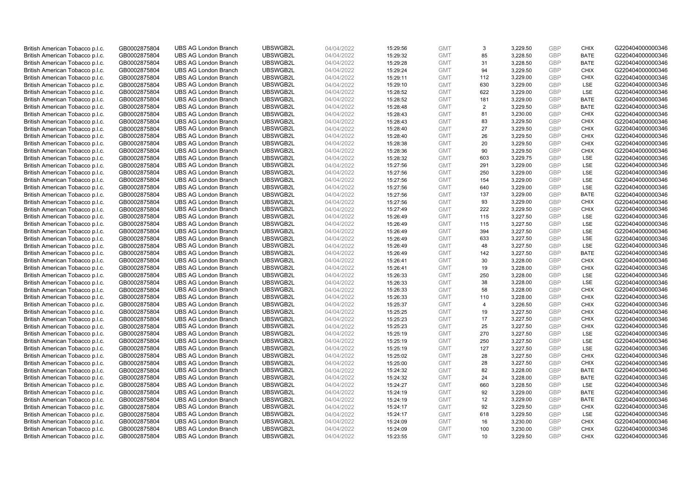| British American Tobacco p.l.c. | GB0002875804 | <b>UBS AG London Branch</b> | UBSWGB2L | 04/04/2022 | 15:29:56 | <b>GMT</b> | 3              | 3,229.50 | <b>GBP</b>               | <b>CHIX</b> | G220404000000346 |
|---------------------------------|--------------|-----------------------------|----------|------------|----------|------------|----------------|----------|--------------------------|-------------|------------------|
| British American Tobacco p.l.c. | GB0002875804 | <b>UBS AG London Branch</b> | UBSWGB2L | 04/04/2022 | 15:29:32 | <b>GMT</b> | 85             | 3,228.50 | <b>GBP</b>               | <b>BATE</b> | G220404000000346 |
| British American Tobacco p.l.c. | GB0002875804 | <b>UBS AG London Branch</b> | UBSWGB2L | 04/04/2022 | 15:29:28 | <b>GMT</b> | 31             | 3,228.50 | <b>GBP</b>               | <b>BATE</b> | G220404000000346 |
|                                 |              |                             | UBSWGB2L |            |          |            |                |          | <b>GBP</b>               |             |                  |
| British American Tobacco p.l.c. | GB0002875804 | <b>UBS AG London Branch</b> |          | 04/04/2022 | 15:29:24 | <b>GMT</b> | 94             | 3,229.50 |                          | <b>CHIX</b> | G220404000000346 |
| British American Tobacco p.l.c. | GB0002875804 | <b>UBS AG London Branch</b> | UBSWGB2L | 04/04/2022 | 15:29:11 | <b>GMT</b> | 112            | 3,229.00 | <b>GBP</b>               | <b>CHIX</b> | G220404000000346 |
| British American Tobacco p.l.c. | GB0002875804 | <b>UBS AG London Branch</b> | UBSWGB2L | 04/04/2022 | 15:29:10 | <b>GMT</b> | 630            | 3,229.00 | <b>GBP</b>               | LSE         | G220404000000346 |
| British American Tobacco p.l.c. | GB0002875804 | <b>UBS AG London Branch</b> | UBSWGB2L | 04/04/2022 | 15:28:52 | <b>GMT</b> | 622            | 3,229.00 | <b>GBP</b>               | LSE         | G220404000000346 |
| British American Tobacco p.l.c. | GB0002875804 | <b>UBS AG London Branch</b> | UBSWGB2L | 04/04/2022 | 15:28:52 | <b>GMT</b> | 181            | 3,229.00 | <b>GBP</b>               | <b>BATE</b> | G220404000000346 |
| British American Tobacco p.l.c. | GB0002875804 | <b>UBS AG London Branch</b> | UBSWGB2L | 04/04/2022 | 15:28:48 | <b>GMT</b> | $\overline{2}$ | 3,229.50 | <b>GBP</b>               | <b>BATE</b> | G220404000000346 |
| British American Tobacco p.l.c. | GB0002875804 | <b>UBS AG London Branch</b> | UBSWGB2L | 04/04/2022 | 15:28:43 | <b>GMT</b> | 81             | 3,230.00 | <b>GBP</b>               | <b>CHIX</b> | G220404000000346 |
| British American Tobacco p.l.c. | GB0002875804 | <b>UBS AG London Branch</b> | UBSWGB2L | 04/04/2022 | 15:28:43 | <b>GMT</b> | 83             | 3,229.50 | <b>GBP</b>               | <b>CHIX</b> | G220404000000346 |
| British American Tobacco p.l.c. | GB0002875804 | <b>UBS AG London Branch</b> | UBSWGB2L | 04/04/2022 | 15:28:40 | <b>GMT</b> | 27             | 3,229.50 | <b>GBP</b>               | <b>CHIX</b> | G220404000000346 |
| British American Tobacco p.l.c. | GB0002875804 | <b>UBS AG London Branch</b> | UBSWGB2L | 04/04/2022 | 15:28:40 | <b>GMT</b> | 26             | 3,229.50 | <b>GBP</b>               | <b>CHIX</b> | G220404000000346 |
| British American Tobacco p.l.c. | GB0002875804 | <b>UBS AG London Branch</b> | UBSWGB2L | 04/04/2022 | 15:28:38 | <b>GMT</b> | 20             | 3,229.50 | <b>GBP</b>               | <b>CHIX</b> | G220404000000346 |
| British American Tobacco p.l.c. | GB0002875804 | <b>UBS AG London Branch</b> | UBSWGB2L | 04/04/2022 | 15:28:36 | <b>GMT</b> | 90             | 3,229.50 | <b>GBP</b>               | <b>CHIX</b> | G220404000000346 |
| British American Tobacco p.l.c. | GB0002875804 | <b>UBS AG London Branch</b> | UBSWGB2L | 04/04/2022 | 15:28:32 | <b>GMT</b> | 603            | 3,229.75 | <b>GBP</b>               | LSE         | G220404000000346 |
| British American Tobacco p.l.c. | GB0002875804 | <b>UBS AG London Branch</b> | UBSWGB2L | 04/04/2022 | 15:27:56 | <b>GMT</b> | 291            | 3,229.00 | <b>GBP</b>               | LSE         | G220404000000346 |
| British American Tobacco p.l.c. | GB0002875804 | <b>UBS AG London Branch</b> | UBSWGB2L | 04/04/2022 | 15:27:56 | <b>GMT</b> | 250            | 3,229.00 | <b>GBP</b>               | LSE         | G220404000000346 |
| British American Tobacco p.l.c. | GB0002875804 | <b>UBS AG London Branch</b> | UBSWGB2L | 04/04/2022 | 15:27:56 | <b>GMT</b> | 154            | 3,229.00 | <b>GBP</b>               | <b>LSE</b>  | G220404000000346 |
| British American Tobacco p.l.c. | GB0002875804 | <b>UBS AG London Branch</b> | UBSWGB2L | 04/04/2022 | 15:27:56 | <b>GMT</b> | 640            | 3,229.00 | <b>GBP</b>               | LSE         | G220404000000346 |
| British American Tobacco p.l.c. | GB0002875804 | <b>UBS AG London Branch</b> | UBSWGB2L | 04/04/2022 | 15:27:56 | <b>GMT</b> | 137            | 3,229.00 | <b>GBP</b>               | <b>BATE</b> | G220404000000346 |
| British American Tobacco p.l.c. | GB0002875804 | <b>UBS AG London Branch</b> | UBSWGB2L | 04/04/2022 | 15:27:56 | <b>GMT</b> | 93             | 3,229.00 | <b>GBP</b>               | <b>CHIX</b> | G220404000000346 |
| British American Tobacco p.l.c. | GB0002875804 | <b>UBS AG London Branch</b> | UBSWGB2L | 04/04/2022 | 15:27:49 | <b>GMT</b> | 222            | 3,229.50 | <b>GBP</b>               | <b>CHIX</b> | G220404000000346 |
| British American Tobacco p.l.c. | GB0002875804 | <b>UBS AG London Branch</b> | UBSWGB2L | 04/04/2022 | 15:26:49 | <b>GMT</b> | 115            | 3,227.50 | <b>GBP</b>               | LSE         | G220404000000346 |
| British American Tobacco p.l.c. | GB0002875804 | <b>UBS AG London Branch</b> | UBSWGB2L | 04/04/2022 | 15:26:49 | <b>GMT</b> | 115            | 3,227.50 | <b>GBP</b>               | LSE         | G220404000000346 |
| British American Tobacco p.l.c. | GB0002875804 | <b>UBS AG London Branch</b> | UBSWGB2L | 04/04/2022 | 15:26:49 | <b>GMT</b> | 394            | 3,227.50 | <b>GBP</b>               | LSE         | G220404000000346 |
| British American Tobacco p.l.c. | GB0002875804 | <b>UBS AG London Branch</b> | UBSWGB2L | 04/04/2022 | 15:26:49 | <b>GMT</b> | 633            | 3,227.50 | <b>GBP</b>               | LSE         | G220404000000346 |
| British American Tobacco p.l.c. | GB0002875804 | <b>UBS AG London Branch</b> | UBSWGB2L | 04/04/2022 | 15:26:49 | <b>GMT</b> | 48             | 3,227.50 | <b>GBP</b>               | LSE         | G220404000000346 |
| British American Tobacco p.l.c. | GB0002875804 | <b>UBS AG London Branch</b> | UBSWGB2L | 04/04/2022 | 15:26:49 | <b>GMT</b> | 142            | 3,227.50 | <b>GBP</b>               | <b>BATE</b> | G220404000000346 |
| British American Tobacco p.l.c. | GB0002875804 | <b>UBS AG London Branch</b> | UBSWGB2L | 04/04/2022 | 15:26:41 | <b>GMT</b> | 30             | 3,228.00 | <b>GBP</b>               | <b>CHIX</b> | G220404000000346 |
| British American Tobacco p.l.c. | GB0002875804 | <b>UBS AG London Branch</b> | UBSWGB2L | 04/04/2022 | 15:26:41 | <b>GMT</b> | 19             | 3,228.00 | <b>GBP</b>               | <b>CHIX</b> | G220404000000346 |
| British American Tobacco p.l.c. | GB0002875804 | <b>UBS AG London Branch</b> | UBSWGB2L | 04/04/2022 | 15:26:33 | <b>GMT</b> | 250            | 3,228.00 | <b>GBP</b>               | LSE         | G220404000000346 |
| British American Tobacco p.l.c. | GB0002875804 | <b>UBS AG London Branch</b> | UBSWGB2L | 04/04/2022 | 15:26:33 | <b>GMT</b> | 38             | 3,228.00 | <b>GBP</b>               | LSE         | G220404000000346 |
| British American Tobacco p.l.c. | GB0002875804 | <b>UBS AG London Branch</b> | UBSWGB2L | 04/04/2022 | 15:26:33 | <b>GMT</b> | 58             | 3,228.00 | <b>GBP</b>               | <b>CHIX</b> | G220404000000346 |
| British American Tobacco p.l.c. | GB0002875804 | <b>UBS AG London Branch</b> | UBSWGB2L | 04/04/2022 | 15:26:33 | <b>GMT</b> | 110            | 3,228.00 | <b>GBP</b>               | <b>CHIX</b> | G220404000000346 |
| British American Tobacco p.l.c. | GB0002875804 | <b>UBS AG London Branch</b> | UBSWGB2L | 04/04/2022 | 15:25:37 | <b>GMT</b> | 4              | 3,226.50 | <b>GBP</b>               | <b>CHIX</b> | G220404000000346 |
| British American Tobacco p.l.c. | GB0002875804 | <b>UBS AG London Branch</b> | UBSWGB2L | 04/04/2022 | 15:25:25 | <b>GMT</b> | 19             | 3,227.50 | <b>GBP</b>               | <b>CHIX</b> | G220404000000346 |
| British American Tobacco p.l.c. | GB0002875804 | <b>UBS AG London Branch</b> | UBSWGB2L | 04/04/2022 | 15:25:23 | <b>GMT</b> | 17             | 3,227.50 | <b>GBP</b>               | <b>CHIX</b> | G220404000000346 |
|                                 |              | <b>UBS AG London Branch</b> | UBSWGB2L |            |          | <b>GMT</b> | 25             |          | <b>GBP</b>               | <b>CHIX</b> | G220404000000346 |
| British American Tobacco p.l.c. | GB0002875804 |                             |          | 04/04/2022 | 15:25:23 |            |                | 3,227.50 |                          |             |                  |
| British American Tobacco p.l.c. | GB0002875804 | <b>UBS AG London Branch</b> | UBSWGB2L | 04/04/2022 | 15:25:19 | <b>GMT</b> | 270<br>250     | 3,227.50 | <b>GBP</b><br><b>GBP</b> | LSE<br>LSE  | G220404000000346 |
| British American Tobacco p.l.c. | GB0002875804 | <b>UBS AG London Branch</b> | UBSWGB2L | 04/04/2022 | 15:25:19 | <b>GMT</b> |                | 3,227.50 |                          |             | G220404000000346 |
| British American Tobacco p.l.c. | GB0002875804 | <b>UBS AG London Branch</b> | UBSWGB2L | 04/04/2022 | 15:25:19 | <b>GMT</b> | 127            | 3,227.50 | <b>GBP</b>               | LSE         | G220404000000346 |
| British American Tobacco p.l.c. | GB0002875804 | <b>UBS AG London Branch</b> | UBSWGB2L | 04/04/2022 | 15:25:02 | <b>GMT</b> | 28             | 3,227.50 | <b>GBP</b>               | <b>CHIX</b> | G220404000000346 |
| British American Tobacco p.l.c. | GB0002875804 | <b>UBS AG London Branch</b> | UBSWGB2L | 04/04/2022 | 15:25:00 | <b>GMT</b> | 28             | 3,227.50 | <b>GBP</b>               | <b>CHIX</b> | G220404000000346 |
| British American Tobacco p.l.c. | GB0002875804 | <b>UBS AG London Branch</b> | UBSWGB2L | 04/04/2022 | 15:24:32 | <b>GMT</b> | 82             | 3,228.00 | <b>GBP</b>               | <b>BATE</b> | G220404000000346 |
| British American Tobacco p.l.c. | GB0002875804 | <b>UBS AG London Branch</b> | UBSWGB2L | 04/04/2022 | 15:24:32 | <b>GMT</b> | 24             | 3,228.00 | <b>GBP</b>               | <b>BATE</b> | G220404000000346 |
| British American Tobacco p.l.c. | GB0002875804 | <b>UBS AG London Branch</b> | UBSWGB2L | 04/04/2022 | 15:24:27 | <b>GMT</b> | 660            | 3,228.50 | <b>GBP</b>               | <b>LSE</b>  | G220404000000346 |
| British American Tobacco p.l.c. | GB0002875804 | <b>UBS AG London Branch</b> | UBSWGB2L | 04/04/2022 | 15:24:19 | <b>GMT</b> | 92             | 3,229.00 | <b>GBP</b>               | <b>BATE</b> | G220404000000346 |
| British American Tobacco p.l.c. | GB0002875804 | <b>UBS AG London Branch</b> | UBSWGB2L | 04/04/2022 | 15:24:19 | <b>GMT</b> | 12             | 3,229.00 | <b>GBP</b>               | <b>BATE</b> | G220404000000346 |
| British American Tobacco p.l.c. | GB0002875804 | <b>UBS AG London Branch</b> | UBSWGB2L | 04/04/2022 | 15:24:17 | <b>GMT</b> | 92             | 3,229.50 | <b>GBP</b>               | <b>CHIX</b> | G220404000000346 |
| British American Tobacco p.l.c. | GB0002875804 | <b>UBS AG London Branch</b> | UBSWGB2L | 04/04/2022 | 15:24:17 | <b>GMT</b> | 618            | 3,229.50 | <b>GBP</b>               | LSE         | G220404000000346 |
| British American Tobacco p.l.c. | GB0002875804 | <b>UBS AG London Branch</b> | UBSWGB2L | 04/04/2022 | 15:24:09 | <b>GMT</b> | 16             | 3,230.00 | <b>GBP</b>               | <b>CHIX</b> | G220404000000346 |
| British American Tobacco p.l.c. | GB0002875804 | <b>UBS AG London Branch</b> | UBSWGB2L | 04/04/2022 | 15:24:09 | <b>GMT</b> | 100            | 3,230.00 | <b>GBP</b>               | <b>CHIX</b> | G220404000000346 |
| British American Tobacco p.l.c. | GB0002875804 | <b>UBS AG London Branch</b> | UBSWGB2L | 04/04/2022 | 15:23:55 | <b>GMT</b> | 10             | 3.229.50 | GBP                      | <b>CHIX</b> | G220404000000346 |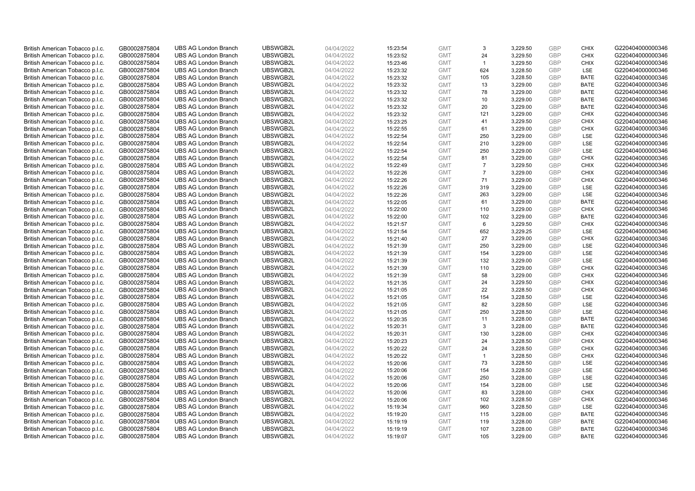| British American Tobacco p.l.c. | GB0002875804 | <b>UBS AG London Branch</b> | UBSWGB2L | 04/04/2022 | 15:23:54 | <b>GMT</b> | 3              | 3,229.50 | <b>GBP</b>               | <b>CHIX</b> | G220404000000346 |
|---------------------------------|--------------|-----------------------------|----------|------------|----------|------------|----------------|----------|--------------------------|-------------|------------------|
| British American Tobacco p.l.c. | GB0002875804 | <b>UBS AG London Branch</b> | UBSWGB2L | 04/04/2022 | 15:23:52 | <b>GMT</b> | 24             | 3,229.50 | <b>GBP</b>               | <b>CHIX</b> | G220404000000346 |
| British American Tobacco p.l.c. | GB0002875804 | <b>UBS AG London Branch</b> | UBSWGB2L | 04/04/2022 | 15:23:46 | <b>GMT</b> | $\mathbf{1}$   | 3,229.50 | <b>GBP</b>               | <b>CHIX</b> | G220404000000346 |
|                                 |              |                             | UBSWGB2L |            |          |            |                |          | <b>GBP</b>               |             |                  |
| British American Tobacco p.l.c. | GB0002875804 | <b>UBS AG London Branch</b> |          | 04/04/2022 | 15:23:32 | <b>GMT</b> | 624            | 3,228.50 |                          | LSE         | G220404000000346 |
| British American Tobacco p.l.c. | GB0002875804 | <b>UBS AG London Branch</b> | UBSWGB2L | 04/04/2022 | 15:23:32 | <b>GMT</b> | 105            | 3,228.50 | <b>GBP</b>               | <b>BATE</b> | G220404000000346 |
| British American Tobacco p.l.c. | GB0002875804 | <b>UBS AG London Branch</b> | UBSWGB2L | 04/04/2022 | 15:23:32 | <b>GMT</b> | 13             | 3,229.00 | <b>GBP</b>               | BATE        | G220404000000346 |
| British American Tobacco p.l.c. | GB0002875804 | <b>UBS AG London Branch</b> | UBSWGB2L | 04/04/2022 | 15:23:32 | <b>GMT</b> | 78             | 3,229.00 | <b>GBP</b>               | <b>BATE</b> | G220404000000346 |
| British American Tobacco p.l.c. | GB0002875804 | <b>UBS AG London Branch</b> | UBSWGB2L | 04/04/2022 | 15:23:32 | <b>GMT</b> | 10             | 3,229.00 | <b>GBP</b>               | <b>BATE</b> | G220404000000346 |
| British American Tobacco p.l.c. | GB0002875804 | <b>UBS AG London Branch</b> | UBSWGB2L | 04/04/2022 | 15:23:32 | <b>GMT</b> | 20             | 3,229.00 | <b>GBP</b>               | <b>BATE</b> | G220404000000346 |
| British American Tobacco p.l.c. | GB0002875804 | <b>UBS AG London Branch</b> | UBSWGB2L | 04/04/2022 | 15:23:32 | <b>GMT</b> | 121            | 3,229.00 | <b>GBP</b>               | <b>CHIX</b> | G220404000000346 |
| British American Tobacco p.l.c. | GB0002875804 | <b>UBS AG London Branch</b> | UBSWGB2L | 04/04/2022 | 15:23:25 | <b>GMT</b> | 41             | 3,229.50 | <b>GBP</b>               | <b>CHIX</b> | G220404000000346 |
| British American Tobacco p.l.c. | GB0002875804 | <b>UBS AG London Branch</b> | UBSWGB2L | 04/04/2022 | 15:22:55 | <b>GMT</b> | 61             | 3,229.00 | <b>GBP</b>               | <b>CHIX</b> | G220404000000346 |
| British American Tobacco p.l.c. | GB0002875804 | <b>UBS AG London Branch</b> | UBSWGB2L | 04/04/2022 | 15:22:54 | <b>GMT</b> | 250            | 3,229.00 | <b>GBP</b>               | LSE         | G220404000000346 |
| British American Tobacco p.l.c. | GB0002875804 | <b>UBS AG London Branch</b> | UBSWGB2L | 04/04/2022 | 15:22:54 | <b>GMT</b> | 210            | 3,229.00 | <b>GBP</b>               | LSE         | G220404000000346 |
| British American Tobacco p.l.c. | GB0002875804 | <b>UBS AG London Branch</b> | UBSWGB2L | 04/04/2022 | 15:22:54 | <b>GMT</b> | 250            | 3,229.00 | <b>GBP</b>               | LSE         | G220404000000346 |
| British American Tobacco p.l.c. | GB0002875804 | <b>UBS AG London Branch</b> | UBSWGB2L | 04/04/2022 | 15:22:54 | <b>GMT</b> | 81             | 3,229.00 | <b>GBP</b>               | <b>CHIX</b> | G220404000000346 |
| British American Tobacco p.l.c. | GB0002875804 | <b>UBS AG London Branch</b> | UBSWGB2L | 04/04/2022 | 15:22:49 | <b>GMT</b> | $\overline{7}$ | 3,229.50 | <b>GBP</b>               | <b>CHIX</b> | G220404000000346 |
| British American Tobacco p.l.c. | GB0002875804 | <b>UBS AG London Branch</b> | UBSWGB2L | 04/04/2022 | 15:22:26 | <b>GMT</b> | $\overline{7}$ | 3,229.00 | <b>GBP</b>               | <b>CHIX</b> | G220404000000346 |
| British American Tobacco p.l.c. | GB0002875804 | <b>UBS AG London Branch</b> | UBSWGB2L | 04/04/2022 | 15:22:26 | <b>GMT</b> | 71             | 3,229.00 | <b>GBP</b>               | <b>CHIX</b> | G220404000000346 |
| British American Tobacco p.l.c. | GB0002875804 | <b>UBS AG London Branch</b> | UBSWGB2L | 04/04/2022 | 15:22:26 | <b>GMT</b> | 319            | 3,229.00 | <b>GBP</b>               | LSE         | G220404000000346 |
| British American Tobacco p.l.c. | GB0002875804 | <b>UBS AG London Branch</b> | UBSWGB2L | 04/04/2022 | 15:22:26 | <b>GMT</b> | 263            | 3,229.00 | <b>GBP</b>               | LSE         | G220404000000346 |
| British American Tobacco p.l.c. | GB0002875804 | <b>UBS AG London Branch</b> | UBSWGB2L | 04/04/2022 | 15:22:05 | <b>GMT</b> | 61             | 3,229.00 | <b>GBP</b>               | <b>BATE</b> | G220404000000346 |
| British American Tobacco p.l.c. | GB0002875804 | <b>UBS AG London Branch</b> | UBSWGB2L | 04/04/2022 | 15:22:00 | <b>GMT</b> | 110            | 3,229.00 | <b>GBP</b>               | <b>CHIX</b> | G220404000000346 |
| British American Tobacco p.l.c. | GB0002875804 | <b>UBS AG London Branch</b> | UBSWGB2L | 04/04/2022 | 15:22:00 | <b>GMT</b> | 102            | 3,229.00 | <b>GBP</b>               | <b>BATE</b> | G220404000000346 |
| British American Tobacco p.l.c. | GB0002875804 | <b>UBS AG London Branch</b> | UBSWGB2L | 04/04/2022 | 15:21:57 | <b>GMT</b> | 6              | 3,229.50 | <b>GBP</b>               | <b>CHIX</b> | G220404000000346 |
| British American Tobacco p.l.c. | GB0002875804 | <b>UBS AG London Branch</b> | UBSWGB2L | 04/04/2022 | 15:21:54 | <b>GMT</b> | 652            | 3,229.25 | <b>GBP</b>               | LSE         | G220404000000346 |
| British American Tobacco p.l.c. | GB0002875804 | <b>UBS AG London Branch</b> | UBSWGB2L | 04/04/2022 | 15:21:40 | <b>GMT</b> | 27             | 3,229.00 | <b>GBP</b>               | <b>CHIX</b> | G220404000000346 |
| British American Tobacco p.l.c. | GB0002875804 | <b>UBS AG London Branch</b> | UBSWGB2L | 04/04/2022 | 15:21:39 | <b>GMT</b> | 250            | 3,229.00 | <b>GBP</b>               | LSE         | G220404000000346 |
| British American Tobacco p.l.c. | GB0002875804 | <b>UBS AG London Branch</b> | UBSWGB2L | 04/04/2022 | 15:21:39 | <b>GMT</b> | 154            | 3,229.00 | <b>GBP</b>               | LSE         | G220404000000346 |
| British American Tobacco p.l.c. | GB0002875804 | <b>UBS AG London Branch</b> | UBSWGB2L | 04/04/2022 | 15:21:39 | <b>GMT</b> | 132            | 3,229.00 | <b>GBP</b>               | LSE         | G220404000000346 |
| British American Tobacco p.l.c. | GB0002875804 | <b>UBS AG London Branch</b> | UBSWGB2L | 04/04/2022 | 15:21:39 | <b>GMT</b> | 110            | 3,229.00 | <b>GBP</b>               | <b>CHIX</b> | G220404000000346 |
| British American Tobacco p.l.c. | GB0002875804 | <b>UBS AG London Branch</b> | UBSWGB2L | 04/04/2022 | 15:21:39 | <b>GMT</b> | 58             | 3,229.00 | <b>GBP</b>               | <b>CHIX</b> | G220404000000346 |
| British American Tobacco p.l.c. | GB0002875804 | <b>UBS AG London Branch</b> | UBSWGB2L | 04/04/2022 | 15:21:35 | <b>GMT</b> | 24             | 3,229.50 | <b>GBP</b>               | <b>CHIX</b> | G220404000000346 |
| British American Tobacco p.l.c. | GB0002875804 | <b>UBS AG London Branch</b> | UBSWGB2L | 04/04/2022 | 15:21:05 | <b>GMT</b> | 22             | 3,228.50 | <b>GBP</b>               | <b>CHIX</b> | G220404000000346 |
| British American Tobacco p.l.c. | GB0002875804 | <b>UBS AG London Branch</b> | UBSWGB2L | 04/04/2022 | 15:21:05 | <b>GMT</b> | 154            | 3,228.50 | <b>GBP</b>               | LSE         | G220404000000346 |
| British American Tobacco p.l.c. | GB0002875804 | <b>UBS AG London Branch</b> | UBSWGB2L | 04/04/2022 | 15:21:05 | <b>GMT</b> | 82             | 3,228.50 | <b>GBP</b>               | LSE         | G220404000000346 |
| British American Tobacco p.l.c. | GB0002875804 | <b>UBS AG London Branch</b> | UBSWGB2L | 04/04/2022 | 15:21:05 | <b>GMT</b> | 250            | 3,228.50 | <b>GBP</b>               | LSE         | G220404000000346 |
| British American Tobacco p.l.c. |              | <b>UBS AG London Branch</b> | UBSWGB2L | 04/04/2022 | 15:20:35 | <b>GMT</b> | 11             | 3,228.00 | <b>GBP</b>               | <b>BATE</b> | G220404000000346 |
|                                 | GB0002875804 | <b>UBS AG London Branch</b> | UBSWGB2L |            |          | <b>GMT</b> | 3              |          |                          | <b>BATE</b> | G220404000000346 |
| British American Tobacco p.l.c. | GB0002875804 |                             |          | 04/04/2022 | 15:20:31 |            |                | 3,228.00 | <b>GBP</b>               |             |                  |
| British American Tobacco p.l.c. | GB0002875804 | <b>UBS AG London Branch</b> | UBSWGB2L | 04/04/2022 | 15:20:31 | <b>GMT</b> | 130<br>24      | 3,228.00 | <b>GBP</b><br><b>GBP</b> | <b>CHIX</b> | G220404000000346 |
| British American Tobacco p.l.c. | GB0002875804 | <b>UBS AG London Branch</b> | UBSWGB2L | 04/04/2022 | 15:20:23 | <b>GMT</b> |                | 3,228.50 |                          | <b>CHIX</b> | G220404000000346 |
| British American Tobacco p.l.c. | GB0002875804 | <b>UBS AG London Branch</b> | UBSWGB2L | 04/04/2022 | 15:20:22 | <b>GMT</b> | 24             | 3,228.50 | <b>GBP</b>               | <b>CHIX</b> | G220404000000346 |
| British American Tobacco p.l.c. | GB0002875804 | <b>UBS AG London Branch</b> | UBSWGB2L | 04/04/2022 | 15:20:22 | <b>GMT</b> | $\mathbf{1}$   | 3,228.50 | <b>GBP</b>               | <b>CHIX</b> | G220404000000346 |
| British American Tobacco p.l.c. | GB0002875804 | <b>UBS AG London Branch</b> | UBSWGB2L | 04/04/2022 | 15:20:06 | <b>GMT</b> | 73             | 3,228.50 | <b>GBP</b>               | LSE         | G220404000000346 |
| British American Tobacco p.l.c. | GB0002875804 | <b>UBS AG London Branch</b> | UBSWGB2L | 04/04/2022 | 15:20:06 | <b>GMT</b> | 154            | 3,228.50 | <b>GBP</b>               | LSE         | G220404000000346 |
| British American Tobacco p.l.c. | GB0002875804 | <b>UBS AG London Branch</b> | UBSWGB2L | 04/04/2022 | 15:20:06 | <b>GMT</b> | 250            | 3,228.00 | <b>GBP</b>               | LSE         | G220404000000346 |
| British American Tobacco p.l.c. | GB0002875804 | <b>UBS AG London Branch</b> | UBSWGB2L | 04/04/2022 | 15:20:06 | <b>GMT</b> | 154            | 3,228.00 | <b>GBP</b>               | LSE         | G220404000000346 |
| British American Tobacco p.l.c. | GB0002875804 | <b>UBS AG London Branch</b> | UBSWGB2L | 04/04/2022 | 15:20:06 | <b>GMT</b> | 83             | 3,228.00 | <b>GBP</b>               | <b>CHIX</b> | G220404000000346 |
| British American Tobacco p.l.c. | GB0002875804 | <b>UBS AG London Branch</b> | UBSWGB2L | 04/04/2022 | 15:20:06 | <b>GMT</b> | 102            | 3,228.50 | <b>GBP</b>               | <b>CHIX</b> | G220404000000346 |
| British American Tobacco p.l.c. | GB0002875804 | <b>UBS AG London Branch</b> | UBSWGB2L | 04/04/2022 | 15:19:34 | <b>GMT</b> | 960            | 3,228.50 | <b>GBP</b>               | LSE         | G220404000000346 |
| British American Tobacco p.l.c. | GB0002875804 | <b>UBS AG London Branch</b> | UBSWGB2L | 04/04/2022 | 15:19:20 | <b>GMT</b> | 115            | 3,228.00 | <b>GBP</b>               | <b>BATE</b> | G220404000000346 |
| British American Tobacco p.l.c. | GB0002875804 | <b>UBS AG London Branch</b> | UBSWGB2L | 04/04/2022 | 15:19:19 | <b>GMT</b> | 119            | 3,228.00 | <b>GBP</b>               | <b>BATE</b> | G220404000000346 |
| British American Tobacco p.l.c. | GB0002875804 | <b>UBS AG London Branch</b> | UBSWGB2L | 04/04/2022 | 15:19:19 | <b>GMT</b> | 107            | 3,228.00 | <b>GBP</b>               | <b>BATE</b> | G220404000000346 |
| British American Tobacco p.l.c. | GB0002875804 | <b>UBS AG London Branch</b> | UBSWGB2L | 04/04/2022 | 15:19:07 | <b>GMT</b> | 105            | 3.229.00 | GBP                      | <b>BATE</b> | G220404000000346 |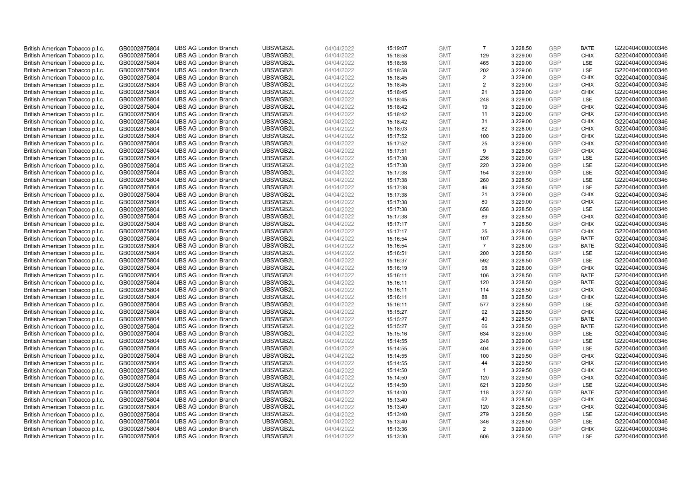| British American Tobacco p.l.c.                                    | GB0002875804                 | <b>UBS AG London Branch</b>                                | UBSWGB2L             | 04/04/2022               | 15:19:07             | <b>GMT</b>               | $\overline{7}$ | 3,228.50             | <b>GBP</b>               | <b>BATE</b>                | G220404000000346                     |
|--------------------------------------------------------------------|------------------------------|------------------------------------------------------------|----------------------|--------------------------|----------------------|--------------------------|----------------|----------------------|--------------------------|----------------------------|--------------------------------------|
| British American Tobacco p.l.c.                                    | GB0002875804                 | <b>UBS AG London Branch</b>                                | UBSWGB2L             | 04/04/2022               | 15:18:58             | <b>GMT</b>               | 129            | 3,229.00             | <b>GBP</b>               | <b>CHIX</b>                | G220404000000346                     |
| British American Tobacco p.l.c.                                    | GB0002875804                 | <b>UBS AG London Branch</b>                                | UBSWGB2L             | 04/04/2022               | 15:18:58             | <b>GMT</b>               | 465            | 3,229.00             | <b>GBP</b>               | LSE                        | G220404000000346                     |
| British American Tobacco p.l.c.                                    | GB0002875804                 | <b>UBS AG London Branch</b>                                | UBSWGB2L             | 04/04/2022               | 15:18:58             | <b>GMT</b>               | 202            | 3,229.00             | <b>GBP</b>               | LSE                        | G220404000000346                     |
| British American Tobacco p.l.c.                                    | GB0002875804                 | <b>UBS AG London Branch</b>                                | UBSWGB2L             | 04/04/2022               | 15:18:45             | <b>GMT</b>               | $\overline{2}$ | 3,229.00             | <b>GBP</b>               | <b>CHIX</b>                | G220404000000346                     |
| British American Tobacco p.l.c.                                    | GB0002875804                 | <b>UBS AG London Branch</b>                                | UBSWGB2L             | 04/04/2022               | 15:18:45             | <b>GMT</b>               | $\overline{2}$ | 3,229.00             | <b>GBP</b>               | <b>CHIX</b>                | G220404000000346                     |
| British American Tobacco p.l.c.                                    | GB0002875804                 | <b>UBS AG London Branch</b>                                | UBSWGB2L             | 04/04/2022               | 15:18:45             | <b>GMT</b>               | 21             | 3,229.00             | <b>GBP</b>               | <b>CHIX</b>                | G220404000000346                     |
| British American Tobacco p.l.c.                                    | GB0002875804                 | <b>UBS AG London Branch</b>                                | UBSWGB2L             | 04/04/2022               | 15:18:45             | <b>GMT</b>               | 248            | 3,229.00             | <b>GBP</b>               | LSE                        | G220404000000346                     |
| British American Tobacco p.l.c.                                    | GB0002875804                 | <b>UBS AG London Branch</b>                                | UBSWGB2L             | 04/04/2022               | 15:18:42             | <b>GMT</b>               | 19             | 3,229.00             | <b>GBP</b>               | <b>CHIX</b>                | G220404000000346                     |
| British American Tobacco p.l.c.                                    | GB0002875804                 | <b>UBS AG London Branch</b>                                | UBSWGB2L             | 04/04/2022               | 15:18:42             | <b>GMT</b>               | 11             | 3,229.00             | <b>GBP</b>               | <b>CHIX</b>                | G220404000000346                     |
| British American Tobacco p.l.c.                                    | GB0002875804                 | <b>UBS AG London Branch</b>                                | UBSWGB2L             | 04/04/2022               | 15:18:42             | <b>GMT</b>               | 31             | 3,229.00             | <b>GBP</b>               | <b>CHIX</b>                | G220404000000346                     |
| British American Tobacco p.l.c.                                    | GB0002875804                 | <b>UBS AG London Branch</b>                                | UBSWGB2L             | 04/04/2022               | 15:18:03             | <b>GMT</b>               | 82             | 3,228.00             | <b>GBP</b>               | <b>CHIX</b>                | G220404000000346                     |
| British American Tobacco p.l.c.                                    | GB0002875804                 | <b>UBS AG London Branch</b>                                | UBSWGB2L             | 04/04/2022               | 15:17:52             | <b>GMT</b>               | 100            | 3,229.00             | <b>GBP</b>               | <b>CHIX</b>                | G220404000000346                     |
| British American Tobacco p.l.c.                                    | GB0002875804                 | <b>UBS AG London Branch</b>                                | UBSWGB2L             | 04/04/2022               | 15:17:52             | <b>GMT</b>               | 25             | 3,229.00             | <b>GBP</b>               | <b>CHIX</b>                | G220404000000346                     |
| British American Tobacco p.l.c.                                    | GB0002875804                 | <b>UBS AG London Branch</b>                                | UBSWGB2L             | 04/04/2022               | 15:17:51             | <b>GMT</b>               | 9              | 3,228.50             | <b>GBP</b>               | <b>CHIX</b>                | G220404000000346                     |
| British American Tobacco p.l.c.                                    | GB0002875804                 | <b>UBS AG London Branch</b>                                | UBSWGB2L             | 04/04/2022               | 15:17:38             | <b>GMT</b>               | 236            | 3,229.00             | <b>GBP</b>               | LSE                        | G220404000000346                     |
| British American Tobacco p.l.c.                                    | GB0002875804                 | <b>UBS AG London Branch</b>                                | UBSWGB2L             | 04/04/2022               | 15:17:38             | <b>GMT</b>               | 220            | 3,229.00             | <b>GBP</b>               | LSE                        | G220404000000346                     |
| British American Tobacco p.l.c.                                    | GB0002875804                 | <b>UBS AG London Branch</b>                                | UBSWGB2L             | 04/04/2022               | 15:17:38             | <b>GMT</b>               | 154            | 3,229.00             | <b>GBP</b>               | LSE                        | G220404000000346                     |
| British American Tobacco p.l.c.                                    | GB0002875804                 | <b>UBS AG London Branch</b>                                | UBSWGB2L             | 04/04/2022               | 15:17:38             | <b>GMT</b>               | 260            | 3,228.50             | <b>GBP</b>               | LSE                        | G220404000000346                     |
| British American Tobacco p.l.c.                                    | GB0002875804                 | <b>UBS AG London Branch</b>                                | UBSWGB2L             | 04/04/2022               | 15:17:38             | <b>GMT</b>               | 46             | 3,228.50             | <b>GBP</b>               | LSE                        | G220404000000346                     |
| British American Tobacco p.l.c.                                    | GB0002875804                 | <b>UBS AG London Branch</b>                                | UBSWGB2L             | 04/04/2022               | 15:17:38             | <b>GMT</b>               | 21             | 3,229.00             | <b>GBP</b>               | <b>CHIX</b>                | G220404000000346                     |
| British American Tobacco p.l.c.                                    | GB0002875804                 | <b>UBS AG London Branch</b>                                | UBSWGB2L             | 04/04/2022               | 15:17:38             | <b>GMT</b>               | 80             | 3,229.00             | <b>GBP</b>               | <b>CHIX</b>                | G220404000000346                     |
| British American Tobacco p.l.c.                                    | GB0002875804                 | <b>UBS AG London Branch</b>                                | UBSWGB2L             | 04/04/2022               | 15:17:38             | <b>GMT</b>               | 658            | 3,228.50             | <b>GBP</b>               | LSE                        | G220404000000346                     |
| British American Tobacco p.l.c.                                    | GB0002875804                 | <b>UBS AG London Branch</b>                                | UBSWGB2L             | 04/04/2022               | 15:17:38             | <b>GMT</b>               | 89             | 3,228.50             | <b>GBP</b>               | <b>CHIX</b>                | G220404000000346                     |
| British American Tobacco p.l.c.                                    | GB0002875804                 | <b>UBS AG London Branch</b>                                | UBSWGB2L             | 04/04/2022               | 15:17:17             | <b>GMT</b>               | $\overline{7}$ | 3,228.50             | <b>GBP</b>               | <b>CHIX</b>                | G220404000000346                     |
| British American Tobacco p.l.c.                                    | GB0002875804                 | <b>UBS AG London Branch</b>                                | UBSWGB2L             | 04/04/2022               | 15:17:17             | <b>GMT</b>               | 25             | 3,228.50             | <b>GBP</b>               | <b>CHIX</b>                | G220404000000346                     |
| British American Tobacco p.l.c.                                    | GB0002875804                 | <b>UBS AG London Branch</b>                                | UBSWGB2L             | 04/04/2022               | 15:16:54             | <b>GMT</b>               | 107            | 3,228.00             | <b>GBP</b>               | <b>BATE</b>                | G220404000000346                     |
| British American Tobacco p.l.c.                                    | GB0002875804                 | <b>UBS AG London Branch</b>                                | UBSWGB2L             | 04/04/2022               | 15:16:54             | <b>GMT</b>               | $\overline{7}$ | 3,228.00             | <b>GBP</b>               | <b>BATE</b>                | G220404000000346                     |
| British American Tobacco p.l.c.                                    | GB0002875804                 | <b>UBS AG London Branch</b>                                | UBSWGB2L             | 04/04/2022               | 15:16:51             | <b>GMT</b>               | 200            | 3,228.50             | <b>GBP</b>               | LSE                        | G220404000000346                     |
| British American Tobacco p.l.c.                                    | GB0002875804                 | <b>UBS AG London Branch</b>                                | UBSWGB2L             | 04/04/2022               | 15:16:37             | <b>GMT</b>               | 592            | 3,228.50             | <b>GBP</b>               | LSE                        | G220404000000346                     |
| British American Tobacco p.l.c.                                    | GB0002875804                 | <b>UBS AG London Branch</b>                                | UBSWGB2L             | 04/04/2022               | 15:16:19             | <b>GMT</b>               | 98             | 3,228.00             | <b>GBP</b>               | <b>CHIX</b>                | G220404000000346                     |
| British American Tobacco p.l.c.                                    | GB0002875804                 | <b>UBS AG London Branch</b>                                | UBSWGB2L             | 04/04/2022               | 15:16:11             | <b>GMT</b>               | 106            | 3,228.50             | <b>GBP</b>               | <b>BATE</b>                | G220404000000346                     |
| British American Tobacco p.l.c.                                    | GB0002875804                 | <b>UBS AG London Branch</b>                                | UBSWGB2L             | 04/04/2022               | 15:16:11             | <b>GMT</b>               | 120            | 3,228.50             | <b>GBP</b>               | <b>BATE</b>                | G220404000000346                     |
| British American Tobacco p.l.c.                                    | GB0002875804                 | <b>UBS AG London Branch</b>                                | UBSWGB2L             | 04/04/2022               | 15:16:11             | <b>GMT</b>               | 114            | 3,228.50             | <b>GBP</b>               | <b>CHIX</b>                | G220404000000346                     |
| British American Tobacco p.l.c.                                    | GB0002875804                 | <b>UBS AG London Branch</b>                                | UBSWGB2L             | 04/04/2022               | 15:16:11             | <b>GMT</b>               | 88             | 3,228.50             | <b>GBP</b>               | <b>CHIX</b>                | G220404000000346                     |
| British American Tobacco p.l.c.                                    | GB0002875804                 | <b>UBS AG London Branch</b>                                | UBSWGB2L             | 04/04/2022               | 15:16:11             | <b>GMT</b>               | 577            | 3,228.50             | <b>GBP</b>               | LSE                        | G220404000000346                     |
| British American Tobacco p.l.c.                                    | GB0002875804                 | <b>UBS AG London Branch</b>                                | UBSWGB2L             | 04/04/2022               | 15:15:27             | <b>GMT</b>               | 92             | 3,228.50             | <b>GBP</b>               | <b>CHIX</b>                | G220404000000346                     |
| British American Tobacco p.l.c.                                    | GB0002875804                 | <b>UBS AG London Branch</b>                                | UBSWGB2L             | 04/04/2022               | 15:15:27             | <b>GMT</b>               | 40             | 3,228.50             | <b>GBP</b>               | <b>BATE</b>                | G220404000000346                     |
| British American Tobacco p.l.c.                                    | GB0002875804                 | <b>UBS AG London Branch</b>                                | UBSWGB2L             | 04/04/2022               | 15:15:27             | <b>GMT</b>               | 66             | 3,228.50             | <b>GBP</b>               | <b>BATE</b>                | G220404000000346                     |
| British American Tobacco p.l.c.                                    | GB0002875804                 | <b>UBS AG London Branch</b>                                | UBSWGB2L             | 04/04/2022               | 15:15:16             | <b>GMT</b>               | 634            | 3,229.00             | <b>GBP</b>               | LSE                        | G220404000000346                     |
| British American Tobacco p.l.c.                                    | GB0002875804                 | <b>UBS AG London Branch</b>                                | UBSWGB2L             | 04/04/2022               | 15:14:55             | <b>GMT</b>               | 248            | 3,229.00             | GBP                      | <b>LSE</b>                 | G220404000000346                     |
| British American Tobacco p.l.c.                                    | GB0002875804                 | <b>UBS AG London Branch</b>                                | UBSWGB2L             | 04/04/2022               | 15:14:55             | <b>GMT</b>               | 404            | 3,229.00             | <b>GBP</b>               | LSE                        | G220404000000346                     |
| British American Tobacco p.l.c.                                    | GB0002875804                 | <b>UBS AG London Branch</b>                                | UBSWGB2L             | 04/04/2022               | 15:14:55             | <b>GMT</b>               | 100            | 3,229.50             | <b>GBP</b>               | <b>CHIX</b>                | G220404000000346                     |
| British American Tobacco p.l.c.                                    | GB0002875804                 | <b>UBS AG London Branch</b>                                | UBSWGB2L             | 04/04/2022               | 15:14:55             | <b>GMT</b>               | 44             | 3,229.50             | <b>GBP</b>               | <b>CHIX</b>                | G220404000000346                     |
| British American Tobacco p.l.c.                                    | GB0002875804                 | UBS AG London Branch                                       | UBSWGB2L             | 04/04/2022               | 15:14:50             | <b>GMT</b>               | $\mathbf{1}$   | 3,229.50             | <b>GBP</b>               | <b>CHIX</b>                | G220404000000346                     |
| British American Tobacco p.l.c.                                    | GB0002875804                 | <b>UBS AG London Branch</b>                                | UBSWGB2L             | 04/04/2022               | 15:14:50             | <b>GMT</b>               | 120            | 3,229.50             | <b>GBP</b>               | <b>CHIX</b>                | G220404000000346                     |
| British American Tobacco p.l.c.                                    | GB0002875804                 | <b>UBS AG London Branch</b>                                | UBSWGB2L<br>UBSWGB2L | 04/04/2022               | 15:14:50             | <b>GMT</b>               | 621            | 3,229.50             | <b>GBP</b><br><b>GBP</b> | LSE<br><b>BATE</b>         | G220404000000346<br>G220404000000346 |
| British American Tobacco p.l.c.                                    | GB0002875804                 | <b>UBS AG London Branch</b>                                |                      | 04/04/2022               | 15:14:00             | <b>GMT</b>               | 118            | 3,227.50             |                          |                            |                                      |
| British American Tobacco p.l.c.<br>British American Tobacco p.l.c. | GB0002875804<br>GB0002875804 | <b>UBS AG London Branch</b><br><b>UBS AG London Branch</b> | UBSWGB2L<br>UBSWGB2L | 04/04/2022<br>04/04/2022 | 15:13:40<br>15:13:40 | <b>GMT</b><br><b>GMT</b> | 62<br>120      | 3,228.50             | <b>GBP</b><br><b>GBP</b> | <b>CHIX</b><br><b>CHIX</b> | G220404000000346<br>G220404000000346 |
| British American Tobacco p.l.c.                                    | GB0002875804                 | <b>UBS AG London Branch</b>                                | UBSWGB2L             | 04/04/2022               | 15:13:40             | <b>GMT</b>               | 279            | 3,228.50<br>3,228.50 | <b>GBP</b>               | LSE                        | G220404000000346                     |
| British American Tobacco p.l.c.                                    | GB0002875804                 | <b>UBS AG London Branch</b>                                | UBSWGB2L             | 04/04/2022               | 15:13:40             | <b>GMT</b>               | 346            | 3,228.50             | <b>GBP</b>               | LSE                        | G220404000000346                     |
| British American Tobacco p.l.c.                                    | GB0002875804                 | <b>UBS AG London Branch</b>                                | UBSWGB2L             | 04/04/2022               | 15:13:36             | <b>GMT</b>               | 2              | 3,229.00             | <b>GBP</b>               | <b>CHIX</b>                | G220404000000346                     |
| British American Tobacco p.l.c.                                    | GB0002875804                 | <b>UBS AG London Branch</b>                                | UBSWGB2L             | 04/04/2022               | 15:13:30             | <b>GMT</b>               | 606            | 3.228.50             | GBP                      | <b>LSE</b>                 | G220404000000346                     |
|                                                                    |                              |                                                            |                      |                          |                      |                          |                |                      |                          |                            |                                      |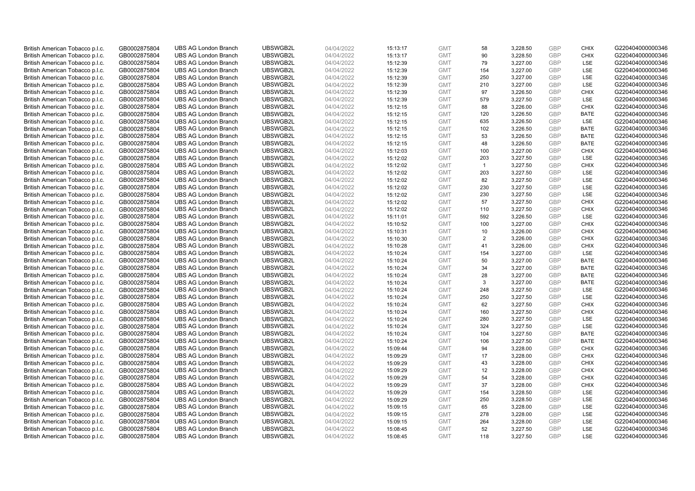| British American Tobacco p.l.c. | GB0002875804 | <b>UBS AG London Branch</b>                                | UBSWGB2L             | 04/04/2022 |          | <b>GMT</b>               | 58             | 3,228.50             | <b>GBP</b>               | <b>CHIX</b> | G220404000000346                     |
|---------------------------------|--------------|------------------------------------------------------------|----------------------|------------|----------|--------------------------|----------------|----------------------|--------------------------|-------------|--------------------------------------|
|                                 |              |                                                            |                      |            | 15:13:17 |                          |                |                      | <b>GBP</b>               | <b>CHIX</b> |                                      |
| British American Tobacco p.l.c. | GB0002875804 | <b>UBS AG London Branch</b>                                | UBSWGB2L             | 04/04/2022 | 15:13:17 | <b>GMT</b>               | 90             | 3,228.50             |                          |             | G220404000000346                     |
| British American Tobacco p.l.c. | GB0002875804 | <b>UBS AG London Branch</b>                                | UBSWGB2L             | 04/04/2022 | 15:12:39 | <b>GMT</b>               | 79             | 3,227.00             | <b>GBP</b>               | LSE         | G220404000000346                     |
| British American Tobacco p.l.c. | GB0002875804 | <b>UBS AG London Branch</b>                                | UBSWGB2L             | 04/04/2022 | 15:12:39 | <b>GMT</b>               | 154            | 3,227.00             | <b>GBP</b>               | LSE         | G220404000000346                     |
| British American Tobacco p.l.c. | GB0002875804 | <b>UBS AG London Branch</b>                                | UBSWGB2L             | 04/04/2022 | 15:12:39 | <b>GMT</b>               | 250            | 3,227.00             | <b>GBP</b>               | LSE         | G220404000000346                     |
| British American Tobacco p.l.c. | GB0002875804 | <b>UBS AG London Branch</b>                                | UBSWGB2L             | 04/04/2022 | 15:12:39 | <b>GMT</b>               | 210            | 3,227.00             | <b>GBP</b>               | LSE         | G220404000000346                     |
| British American Tobacco p.l.c. | GB0002875804 | <b>UBS AG London Branch</b>                                | UBSWGB2L             | 04/04/2022 | 15:12:39 | <b>GMT</b>               | 97             | 3,226.50             | <b>GBP</b>               | <b>CHIX</b> | G220404000000346                     |
| British American Tobacco p.l.c. | GB0002875804 | <b>UBS AG London Branch</b>                                | UBSWGB2L             | 04/04/2022 | 15:12:39 | <b>GMT</b>               | 579            | 3,227.50             | <b>GBP</b>               | LSE         | G220404000000346                     |
| British American Tobacco p.l.c. | GB0002875804 | <b>UBS AG London Branch</b>                                | UBSWGB2L             | 04/04/2022 | 15:12:15 | <b>GMT</b>               | 88             | 3,226.00             | <b>GBP</b>               | <b>CHIX</b> | G220404000000346                     |
| British American Tobacco p.l.c. | GB0002875804 | <b>UBS AG London Branch</b>                                | UBSWGB2L             | 04/04/2022 | 15:12:15 | <b>GMT</b>               | 120            | 3,226.50             | <b>GBP</b>               | <b>BATE</b> | G220404000000346                     |
| British American Tobacco p.l.c. | GB0002875804 | <b>UBS AG London Branch</b>                                | UBSWGB2L             | 04/04/2022 | 15:12:15 | <b>GMT</b>               | 635            | 3,226.50             | <b>GBP</b>               | <b>LSE</b>  | G220404000000346                     |
| British American Tobacco p.l.c. | GB0002875804 | <b>UBS AG London Branch</b>                                | UBSWGB2L             | 04/04/2022 | 15:12:15 | <b>GMT</b>               | 102            | 3,226.50             | <b>GBP</b>               | <b>BATE</b> | G220404000000346                     |
| British American Tobacco p.l.c. | GB0002875804 | <b>UBS AG London Branch</b>                                | UBSWGB2L             | 04/04/2022 | 15:12:15 | <b>GMT</b>               | 53             | 3,226.50             | <b>GBP</b>               | <b>BATE</b> | G220404000000346                     |
| British American Tobacco p.l.c. | GB0002875804 | <b>UBS AG London Branch</b>                                | UBSWGB2L             | 04/04/2022 | 15:12:15 | <b>GMT</b>               | 48             | 3,226.50             | <b>GBP</b>               | <b>BATE</b> | G220404000000346                     |
| British American Tobacco p.l.c. | GB0002875804 | <b>UBS AG London Branch</b>                                | UBSWGB2L             | 04/04/2022 | 15:12:03 | <b>GMT</b>               | 100            | 3,227.00             | <b>GBP</b>               | <b>CHIX</b> | G220404000000346                     |
| British American Tobacco p.l.c. | GB0002875804 | <b>UBS AG London Branch</b>                                | UBSWGB2L             | 04/04/2022 | 15:12:02 | <b>GMT</b>               | 203            | 3,227.50             | <b>GBP</b>               | LSE         | G220404000000346                     |
| British American Tobacco p.l.c. | GB0002875804 | <b>UBS AG London Branch</b>                                | UBSWGB2L             | 04/04/2022 | 15:12:02 | <b>GMT</b>               | $\mathbf{1}$   | 3,227.50             | <b>GBP</b>               | <b>CHIX</b> | G220404000000346                     |
| British American Tobacco p.l.c. | GB0002875804 | <b>UBS AG London Branch</b>                                | UBSWGB2L             | 04/04/2022 | 15:12:02 | <b>GMT</b>               | 203            | 3,227.50             | <b>GBP</b>               | LSE         | G220404000000346                     |
| British American Tobacco p.l.c. | GB0002875804 | <b>UBS AG London Branch</b>                                | UBSWGB2L             | 04/04/2022 | 15:12:02 | <b>GMT</b>               | 82             | 3,227.50             | <b>GBP</b>               | <b>LSE</b>  | G220404000000346                     |
| British American Tobacco p.l.c. | GB0002875804 | <b>UBS AG London Branch</b>                                | UBSWGB2L             | 04/04/2022 | 15:12:02 | <b>GMT</b>               | 230            | 3,227.50             | <b>GBP</b>               | LSE         | G220404000000346                     |
| British American Tobacco p.l.c. | GB0002875804 | <b>UBS AG London Branch</b>                                | UBSWGB2L             | 04/04/2022 | 15:12:02 | <b>GMT</b>               | 230            | 3,227.50             | <b>GBP</b>               | LSE         | G220404000000346                     |
| British American Tobacco p.l.c. | GB0002875804 | <b>UBS AG London Branch</b>                                | UBSWGB2L             | 04/04/2022 | 15:12:02 | <b>GMT</b>               | 57             | 3,227.50             | <b>GBP</b>               | <b>CHIX</b> | G220404000000346                     |
| British American Tobacco p.l.c. | GB0002875804 | <b>UBS AG London Branch</b>                                | UBSWGB2L             | 04/04/2022 | 15:12:02 | <b>GMT</b>               | 110            | 3,227.50             | <b>GBP</b>               | <b>CHIX</b> | G220404000000346                     |
| British American Tobacco p.l.c. | GB0002875804 | <b>UBS AG London Branch</b>                                | UBSWGB2L             | 04/04/2022 | 15:11:01 | <b>GMT</b>               | 592            | 3,226.50             | <b>GBP</b>               | <b>LSE</b>  | G220404000000346                     |
| British American Tobacco p.l.c. | GB0002875804 | <b>UBS AG London Branch</b>                                | UBSWGB2L             | 04/04/2022 | 15:10:52 | <b>GMT</b>               | 100            | 3,227.00             | <b>GBP</b>               | <b>CHIX</b> | G220404000000346                     |
| British American Tobacco p.l.c. | GB0002875804 | <b>UBS AG London Branch</b>                                | UBSWGB2L             | 04/04/2022 | 15:10:31 | <b>GMT</b>               | 10             | 3,226.00             | <b>GBP</b>               | <b>CHIX</b> | G220404000000346                     |
| British American Tobacco p.l.c. | GB0002875804 | <b>UBS AG London Branch</b>                                | UBSWGB2L             | 04/04/2022 | 15:10:30 | <b>GMT</b>               | $\overline{2}$ | 3,226.00             | <b>GBP</b>               | <b>CHIX</b> | G220404000000346                     |
| British American Tobacco p.l.c. | GB0002875804 | <b>UBS AG London Branch</b>                                | UBSWGB2L             | 04/04/2022 | 15:10:28 | <b>GMT</b>               | 41             | 3,226.00             | <b>GBP</b>               | <b>CHIX</b> | G220404000000346                     |
| British American Tobacco p.l.c. | GB0002875804 | <b>UBS AG London Branch</b>                                | UBSWGB2L             | 04/04/2022 | 15:10:24 | <b>GMT</b>               | 154            | 3,227.00             | <b>GBP</b>               | LSE         | G220404000000346                     |
| British American Tobacco p.l.c. | GB0002875804 | <b>UBS AG London Branch</b>                                | UBSWGB2L             | 04/04/2022 | 15:10:24 | <b>GMT</b>               | 50             | 3,227.00             | <b>GBP</b>               | <b>BATE</b> | G220404000000346                     |
| British American Tobacco p.l.c. | GB0002875804 | <b>UBS AG London Branch</b>                                | UBSWGB2L             | 04/04/2022 | 15:10:24 | <b>GMT</b>               | 34             | 3,227.00             | <b>GBP</b>               | <b>BATE</b> | G220404000000346                     |
| British American Tobacco p.l.c. | GB0002875804 | <b>UBS AG London Branch</b>                                | UBSWGB2L             | 04/04/2022 | 15:10:24 | <b>GMT</b>               | 28             | 3,227.00             | <b>GBP</b>               | BATE        | G220404000000346                     |
| British American Tobacco p.l.c. | GB0002875804 | <b>UBS AG London Branch</b>                                | UBSWGB2L             | 04/04/2022 | 15:10:24 | <b>GMT</b>               | 3              | 3,227.00             | <b>GBP</b>               | <b>BATE</b> | G220404000000346                     |
|                                 |              |                                                            |                      |            |          |                          | 248            |                      |                          | LSE         |                                      |
| British American Tobacco p.l.c. | GB0002875804 | <b>UBS AG London Branch</b><br><b>UBS AG London Branch</b> | UBSWGB2L<br>UBSWGB2L | 04/04/2022 | 15:10:24 | <b>GMT</b><br><b>GMT</b> | 250            | 3,227.50<br>3,227.50 | <b>GBP</b><br><b>GBP</b> | LSE         | G220404000000346<br>G220404000000346 |
| British American Tobacco p.l.c. | GB0002875804 |                                                            |                      | 04/04/2022 | 15:10:24 |                          |                |                      |                          |             |                                      |
| British American Tobacco p.l.c. | GB0002875804 | <b>UBS AG London Branch</b>                                | UBSWGB2L             | 04/04/2022 | 15:10:24 | <b>GMT</b>               | 62             | 3,227.50             | <b>GBP</b>               | <b>CHIX</b> | G220404000000346                     |
| British American Tobacco p.l.c. | GB0002875804 | <b>UBS AG London Branch</b>                                | UBSWGB2L             | 04/04/2022 | 15:10:24 | <b>GMT</b>               | 160            | 3,227.50             | <b>GBP</b>               | <b>CHIX</b> | G220404000000346                     |
| British American Tobacco p.l.c. | GB0002875804 | <b>UBS AG London Branch</b>                                | UBSWGB2L             | 04/04/2022 | 15:10:24 | <b>GMT</b>               | 280            | 3,227.50             | <b>GBP</b>               | LSE         | G220404000000346                     |
| British American Tobacco p.l.c. | GB0002875804 | <b>UBS AG London Branch</b>                                | UBSWGB2L             | 04/04/2022 | 15:10:24 | <b>GMT</b>               | 324            | 3,227.50             | <b>GBP</b>               | LSE         | G220404000000346                     |
| British American Tobacco p.l.c. | GB0002875804 | <b>UBS AG London Branch</b>                                | UBSWGB2L             | 04/04/2022 | 15:10:24 | <b>GMT</b>               | 104            | 3,227.50             | <b>GBP</b>               | <b>BATE</b> | G220404000000346                     |
| British American Tobacco p.l.c. | GB0002875804 | <b>UBS AG London Branch</b>                                | UBSWGB2L             | 04/04/2022 | 15:10:24 | <b>GMT</b>               | 106            | 3,227.50             | <b>GBP</b>               | <b>BATE</b> | G220404000000346                     |
| British American Tobacco p.l.c. | GB0002875804 | <b>UBS AG London Branch</b>                                | UBSWGB2L             | 04/04/2022 | 15:09:44 | <b>GMT</b>               | 94             | 3,228.00             | <b>GBP</b>               | <b>CHIX</b> | G220404000000346                     |
| British American Tobacco p.l.c. | GB0002875804 | <b>UBS AG London Branch</b>                                | UBSWGB2L             | 04/04/2022 | 15:09:29 | <b>GMT</b>               | 17             | 3,228.00             | <b>GBP</b>               | <b>CHIX</b> | G220404000000346                     |
| British American Tobacco p.l.c. | GB0002875804 | <b>UBS AG London Branch</b>                                | UBSWGB2L             | 04/04/2022 | 15:09:29 | <b>GMT</b>               | 43             | 3,228.00             | <b>GBP</b>               | <b>CHIX</b> | G220404000000346                     |
| British American Tobacco p.l.c. | GB0002875804 | <b>UBS AG London Branch</b>                                | UBSWGB2L             | 04/04/2022 | 15:09:29 | <b>GMT</b>               | 12             | 3,228.00             | <b>GBP</b>               | <b>CHIX</b> | G220404000000346                     |
| British American Tobacco p.l.c. | GB0002875804 | <b>UBS AG London Branch</b>                                | UBSWGB2L             | 04/04/2022 | 15:09:29 | <b>GMT</b>               | 54             | 3,228.00             | <b>GBP</b>               | <b>CHIX</b> | G220404000000346                     |
| British American Tobacco p.l.c. | GB0002875804 | <b>UBS AG London Branch</b>                                | UBSWGB2L             | 04/04/2022 | 15:09:29 | <b>GMT</b>               | 37             | 3,228.00             | <b>GBP</b>               | <b>CHIX</b> | G220404000000346                     |
| British American Tobacco p.l.c. | GB0002875804 | <b>UBS AG London Branch</b>                                | UBSWGB2L             | 04/04/2022 | 15:09:29 | <b>GMT</b>               | 154            | 3,228.50             | <b>GBP</b>               | LSE         | G220404000000346                     |
| British American Tobacco p.l.c. | GB0002875804 | <b>UBS AG London Branch</b>                                | UBSWGB2L             | 04/04/2022 | 15:09:29 | <b>GMT</b>               | 250            | 3,228.50             | <b>GBP</b>               | LSE         | G220404000000346                     |
| British American Tobacco p.l.c. | GB0002875804 | <b>UBS AG London Branch</b>                                | UBSWGB2L             | 04/04/2022 | 15:09:15 | <b>GMT</b>               | 65             | 3,228.00             | <b>GBP</b>               | <b>LSE</b>  | G220404000000346                     |
| British American Tobacco p.l.c. | GB0002875804 | <b>UBS AG London Branch</b>                                | UBSWGB2L             | 04/04/2022 | 15:09:15 | <b>GMT</b>               | 278            | 3,228.00             | <b>GBP</b>               | LSE         | G220404000000346                     |
| British American Tobacco p.l.c. | GB0002875804 | <b>UBS AG London Branch</b>                                | UBSWGB2L             | 04/04/2022 | 15:09:15 | <b>GMT</b>               | 264            | 3,228.00             | <b>GBP</b>               | LSE         | G220404000000346                     |
| British American Tobacco p.l.c. | GB0002875804 | <b>UBS AG London Branch</b>                                | UBSWGB2L             | 04/04/2022 | 15:08:45 | <b>GMT</b>               | 52             | 3,227.50             | <b>GBP</b>               | LSE         | G220404000000346                     |
| British American Tobacco p.l.c. | GB0002875804 | <b>UBS AG London Branch</b>                                | UBSWGB2L             | 04/04/2022 | 15:08:45 | <b>GMT</b>               | 118            | 3.227.50             | GBP                      | LSE         | G220404000000346                     |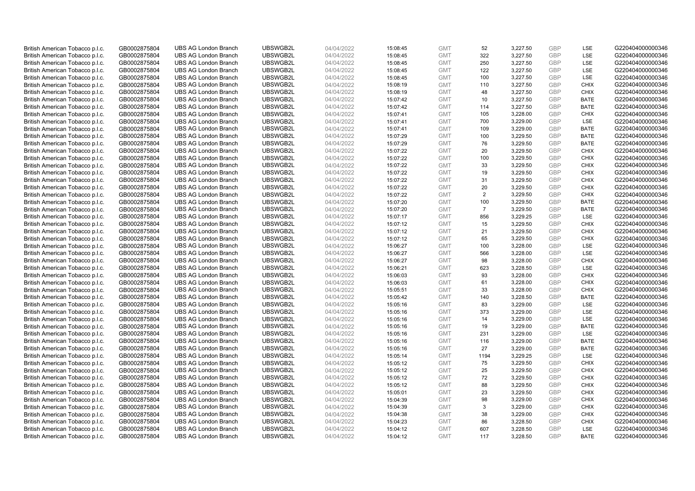| British American Tobacco p.l.c. | GB0002875804                 | <b>UBS AG London Branch</b> | UBSWGB2L | 04/04/2022               | 15:08:45 | <b>GMT</b>               | 52             | 3,227.50             | <b>GBP</b>        | <b>LSE</b>                | G220404000000346 |
|---------------------------------|------------------------------|-----------------------------|----------|--------------------------|----------|--------------------------|----------------|----------------------|-------------------|---------------------------|------------------|
| British American Tobacco p.l.c. | GB0002875804                 | <b>UBS AG London Branch</b> | UBSWGB2L | 04/04/2022               | 15:08:45 | <b>GMT</b>               | 322            | 3,227.50             | <b>GBP</b>        | LSE                       | G220404000000346 |
| British American Tobacco p.l.c. | GB0002875804                 | <b>UBS AG London Branch</b> | UBSWGB2L | 04/04/2022               | 15:08:45 | <b>GMT</b>               | 250            | 3,227.50             | <b>GBP</b>        | LSE                       | G220404000000346 |
| British American Tobacco p.l.c. | GB0002875804                 | <b>UBS AG London Branch</b> | UBSWGB2L | 04/04/2022               | 15:08:45 | <b>GMT</b>               | 122            | 3,227.50             | <b>GBP</b>        | LSE                       | G220404000000346 |
| British American Tobacco p.l.c. | GB0002875804                 | <b>UBS AG London Branch</b> | UBSWGB2L | 04/04/2022               | 15:08:45 | <b>GMT</b>               | 100            | 3,227.50             | <b>GBP</b>        | LSE                       | G220404000000346 |
| British American Tobacco p.l.c. | GB0002875804                 | <b>UBS AG London Branch</b> | UBSWGB2L | 04/04/2022               | 15:08:19 | <b>GMT</b>               | 110            | 3,227.50             | <b>GBP</b>        | <b>CHIX</b>               | G220404000000346 |
| British American Tobacco p.l.c. | GB0002875804                 | <b>UBS AG London Branch</b> | UBSWGB2L | 04/04/2022               | 15:08:19 | <b>GMT</b>               | 48             | 3,227.50             | <b>GBP</b>        | <b>CHIX</b>               | G220404000000346 |
| British American Tobacco p.l.c. | GB0002875804                 | <b>UBS AG London Branch</b> | UBSWGB2L | 04/04/2022               | 15:07:42 | <b>GMT</b>               | 10             | 3,227.50             | <b>GBP</b>        | <b>BATE</b>               | G220404000000346 |
| British American Tobacco p.l.c. | GB0002875804                 | <b>UBS AG London Branch</b> | UBSWGB2L | 04/04/2022               | 15:07:42 | <b>GMT</b>               | 114            | 3,227.50             | <b>GBP</b>        | <b>BATE</b>               | G220404000000346 |
| British American Tobacco p.l.c. | GB0002875804                 | <b>UBS AG London Branch</b> | UBSWGB2L | 04/04/2022               | 15:07:41 | <b>GMT</b>               | 105            | 3,228.00             | <b>GBP</b>        | <b>CHIX</b>               | G220404000000346 |
| British American Tobacco p.l.c. | GB0002875804                 | <b>UBS AG London Branch</b> | UBSWGB2L | 04/04/2022               | 15:07:41 | <b>GMT</b>               | 700            | 3,229.00             | <b>GBP</b>        | LSE                       | G220404000000346 |
| British American Tobacco p.l.c. | GB0002875804                 | <b>UBS AG London Branch</b> | UBSWGB2L | 04/04/2022               | 15:07:41 | <b>GMT</b>               | 109            | 3,229.00             | <b>GBP</b>        | <b>BATE</b>               | G220404000000346 |
| British American Tobacco p.l.c. | GB0002875804                 | <b>UBS AG London Branch</b> | UBSWGB2L | 04/04/2022               | 15:07:29 | <b>GMT</b>               | 100            | 3,229.50             | <b>GBP</b>        | <b>BATE</b>               | G220404000000346 |
| British American Tobacco p.l.c. | GB0002875804                 | <b>UBS AG London Branch</b> | UBSWGB2L | 04/04/2022               | 15:07:29 | <b>GMT</b>               | 76             | 3,229.50             | <b>GBP</b>        | <b>BATE</b>               | G220404000000346 |
| British American Tobacco p.l.c. | GB0002875804                 | <b>UBS AG London Branch</b> | UBSWGB2L | 04/04/2022               | 15:07:22 | <b>GMT</b>               | 20             | 3,229.50             | <b>GBP</b>        | <b>CHIX</b>               | G220404000000346 |
| British American Tobacco p.l.c. | GB0002875804                 | <b>UBS AG London Branch</b> | UBSWGB2L | 04/04/2022               | 15:07:22 | <b>GMT</b>               | 100            | 3,229.50             | <b>GBP</b>        | <b>CHIX</b>               | G220404000000346 |
| British American Tobacco p.l.c. | GB0002875804                 | <b>UBS AG London Branch</b> | UBSWGB2L | 04/04/2022               | 15:07:22 | <b>GMT</b>               | 33             | 3,229.50             | <b>GBP</b>        | <b>CHIX</b>               | G220404000000346 |
| British American Tobacco p.l.c. | GB0002875804                 | <b>UBS AG London Branch</b> | UBSWGB2L | 04/04/2022               | 15:07:22 | <b>GMT</b>               | 19             | 3,229.50             | <b>GBP</b>        | <b>CHIX</b>               | G220404000000346 |
| British American Tobacco p.l.c. | GB0002875804                 | <b>UBS AG London Branch</b> | UBSWGB2L | 04/04/2022               | 15:07:22 | <b>GMT</b>               | 31             | 3,229.50             | <b>GBP</b>        | <b>CHIX</b>               | G220404000000346 |
| British American Tobacco p.l.c. | GB0002875804                 | <b>UBS AG London Branch</b> | UBSWGB2L | 04/04/2022               | 15:07:22 | <b>GMT</b>               | 20             | 3,229.50             | <b>GBP</b>        | <b>CHIX</b>               | G220404000000346 |
| British American Tobacco p.l.c. | GB0002875804                 | <b>UBS AG London Branch</b> | UBSWGB2L | 04/04/2022               | 15:07:22 | <b>GMT</b>               | $\overline{2}$ | 3,229.50             | <b>GBP</b>        | <b>CHIX</b>               | G220404000000346 |
| British American Tobacco p.l.c. | GB0002875804                 | <b>UBS AG London Branch</b> | UBSWGB2L | 04/04/2022               | 15:07:20 | <b>GMT</b>               | 100            | 3,229.50             | <b>GBP</b>        | <b>BATE</b>               | G220404000000346 |
| British American Tobacco p.l.c. | GB0002875804                 | <b>UBS AG London Branch</b> | UBSWGB2L | 04/04/2022               | 15:07:20 | <b>GMT</b>               | $\overline{7}$ | 3,229.50             | <b>GBP</b>        | <b>BATE</b>               | G220404000000346 |
| British American Tobacco p.l.c. | GB0002875804                 | <b>UBS AG London Branch</b> | UBSWGB2L | 04/04/2022               | 15:07:17 | <b>GMT</b>               | 856            | 3,229.25             | <b>GBP</b>        | LSE                       | G220404000000346 |
| British American Tobacco p.l.c. | GB0002875804                 | <b>UBS AG London Branch</b> | UBSWGB2L | 04/04/2022               | 15:07:12 | <b>GMT</b>               | 15             | 3,229.50             | <b>GBP</b>        | <b>CHIX</b>               | G220404000000346 |
| British American Tobacco p.l.c. | GB0002875804                 | <b>UBS AG London Branch</b> | UBSWGB2L | 04/04/2022               | 15:07:12 | <b>GMT</b>               | 21             | 3,229.50             | <b>GBP</b>        | <b>CHIX</b>               | G220404000000346 |
| British American Tobacco p.l.c. | GB0002875804                 | <b>UBS AG London Branch</b> | UBSWGB2L | 04/04/2022               | 15:07:12 | <b>GMT</b>               | 65             | 3,229.50             | <b>GBP</b>        | <b>CHIX</b>               | G220404000000346 |
| British American Tobacco p.l.c. | GB0002875804                 | <b>UBS AG London Branch</b> | UBSWGB2L | 04/04/2022               | 15:06:27 | <b>GMT</b>               | 100            | 3,228.00             | <b>GBP</b>        | LSE                       | G220404000000346 |
| British American Tobacco p.l.c. | GB0002875804                 | <b>UBS AG London Branch</b> | UBSWGB2L | 04/04/2022               | 15:06:27 | <b>GMT</b>               | 566            | 3,228.00             | <b>GBP</b>        | LSE                       | G220404000000346 |
| British American Tobacco p.l.c. | GB0002875804                 | <b>UBS AG London Branch</b> | UBSWGB2L | 04/04/2022               | 15:06:27 | <b>GMT</b>               | 98             | 3,228.00             | <b>GBP</b>        | <b>CHIX</b>               | G220404000000346 |
| British American Tobacco p.l.c. | GB0002875804                 | <b>UBS AG London Branch</b> | UBSWGB2L | 04/04/2022               | 15:06:21 | <b>GMT</b>               | 623            | 3,228.50             | <b>GBP</b>        | LSE                       | G220404000000346 |
| British American Tobacco p.l.c. | GB0002875804                 | <b>UBS AG London Branch</b> | UBSWGB2L | 04/04/2022               | 15:06:03 | <b>GMT</b>               | 93             | 3,228.00             | <b>GBP</b>        | <b>CHIX</b>               | G220404000000346 |
| British American Tobacco p.l.c. | GB0002875804                 | <b>UBS AG London Branch</b> | UBSWGB2L | 04/04/2022               | 15:06:03 | <b>GMT</b>               | 61             | 3,228.00             | <b>GBP</b>        | <b>CHIX</b>               | G220404000000346 |
| British American Tobacco p.l.c. | GB0002875804                 | <b>UBS AG London Branch</b> | UBSWGB2L | 04/04/2022               | 15:05:51 | <b>GMT</b>               | 33             | 3,228.00             | <b>GBP</b>        | <b>CHIX</b>               | G220404000000346 |
| British American Tobacco p.l.c. | GB0002875804                 | <b>UBS AG London Branch</b> | UBSWGB2L | 04/04/2022               | 15:05:42 | <b>GMT</b>               | 140            | 3,228.50             | <b>GBP</b>        | <b>BATE</b>               | G220404000000346 |
| British American Tobacco p.l.c. | GB0002875804                 | <b>UBS AG London Branch</b> | UBSWGB2L | 04/04/2022               | 15:05:16 | <b>GMT</b>               | 83             | 3,229.00             | <b>GBP</b>        | LSE                       | G220404000000346 |
| British American Tobacco p.l.c. | GB0002875804                 | <b>UBS AG London Branch</b> | UBSWGB2L | 04/04/2022               | 15:05:16 | <b>GMT</b>               | 373            | 3.229.00             | <b>GBP</b>        | LSE                       | G220404000000346 |
| British American Tobacco p.l.c. | GB0002875804                 | <b>UBS AG London Branch</b> | UBSWGB2L | 04/04/2022               | 15:05:16 | <b>GMT</b>               | 14             | 3,229.00             | <b>GBP</b>        | LSE                       | G220404000000346 |
| British American Tobacco p.l.c. | GB0002875804                 | <b>UBS AG London Branch</b> | UBSWGB2L | 04/04/2022               | 15:05:16 | <b>GMT</b>               | 19             | 3,229.00             | <b>GBP</b>        | <b>BATE</b>               | G220404000000346 |
| British American Tobacco p.l.c. | GB0002875804                 | <b>UBS AG London Branch</b> | UBSWGB2L | 04/04/2022               | 15:05:16 | <b>GMT</b>               | 231            | 3,229.00             | <b>GBP</b>        | LSE                       | G220404000000346 |
| British American Tobacco p.l.c. | GB0002875804                 | <b>UBS AG London Branch</b> | UBSWGB2L | 04/04/2022               | 15:05:16 | <b>GMT</b>               | 116            | 3,229.00             | <b>GBP</b>        | <b>BATE</b>               | G220404000000346 |
| British American Tobacco p.l.c. | GB0002875804                 | <b>UBS AG London Branch</b> | UBSWGB2L | 04/04/2022               | 15:05:16 | <b>GMT</b>               | 27             | 3,229.00             | <b>GBP</b>        | <b>BATE</b>               | G220404000000346 |
| British American Tobacco p.l.c. | GB0002875804                 | <b>UBS AG London Branch</b> | UBSWGB2L | 04/04/2022               | 15:05:14 | <b>GMT</b>               | 1194           | 3,229.25             | <b>GBP</b>        | LSE                       | G220404000000346 |
| British American Tobacco p.l.c. | GB0002875804                 | <b>UBS AG London Branch</b> | UBSWGB2L | 04/04/2022               | 15:05:12 | <b>GMT</b>               | 75             | 3,229.50             | <b>GBP</b>        | <b>CHIX</b>               | G220404000000346 |
| British American Tobacco p.l.c. | GB0002875804                 | UBS AG London Branch        | UBSWGB2L | 04/04/2022               | 15:05:12 | <b>GMT</b>               | 25             | 3,229.50             | <b>GBP</b>        | <b>CHIX</b>               | G220404000000346 |
| British American Tobacco p.l.c. | GB0002875804                 | <b>UBS AG London Branch</b> | UBSWGB2L | 04/04/2022               | 15:05:12 | <b>GMT</b>               | 72             | 3,229.50             | <b>GBP</b>        | <b>CHIX</b>               | G220404000000346 |
| British American Tobacco p.l.c. | GB0002875804                 | <b>UBS AG London Branch</b> | UBSWGB2L | 04/04/2022               | 15:05:12 | <b>GMT</b>               | 88             | 3,229.50             | <b>GBP</b>        | <b>CHIX</b>               | G220404000000346 |
| British American Tobacco p.l.c. | GB0002875804                 | <b>UBS AG London Branch</b> | UBSWGB2L | 04/04/2022               | 15:05:01 | <b>GMT</b>               | 23             | 3,229.50             | <b>GBP</b>        | <b>CHIX</b>               | G220404000000346 |
| British American Tobacco p.l.c. | GB0002875804                 | <b>UBS AG London Branch</b> | UBSWGB2L | 04/04/2022               | 15:04:39 | <b>GMT</b>               | 98             | 3,229.00             | <b>GBP</b>        | <b>CHIX</b>               | G220404000000346 |
| British American Tobacco p.l.c. | GB0002875804                 | <b>UBS AG London Branch</b> | UBSWGB2L | 04/04/2022               | 15:04:39 | <b>GMT</b>               | 3              | 3,229.00             | <b>GBP</b>        | <b>CHIX</b>               | G220404000000346 |
| British American Tobacco p.l.c. | GB0002875804                 | <b>UBS AG London Branch</b> | UBSWGB2L | 04/04/2022               | 15:04:38 | <b>GMT</b>               | 38             | 3,229.00             | <b>GBP</b>        | <b>CHIX</b>               | G220404000000346 |
| British American Tobacco p.l.c. | GB0002875804                 | <b>UBS AG London Branch</b> | UBSWGB2L | 04/04/2022               | 15:04:23 | <b>GMT</b>               | 86             | 3,228.50             | <b>GBP</b>        | <b>CHIX</b>               | G220404000000346 |
| British American Tobacco p.l.c. | GB0002875804<br>GB0002875804 | <b>UBS AG London Branch</b> | UBSWGB2L | 04/04/2022<br>04/04/2022 | 15:04:12 | <b>GMT</b><br><b>GMT</b> | 607<br>117     | 3,228.50<br>3.228.50 | <b>GBP</b><br>GBP | <b>LSE</b><br><b>BATE</b> | G220404000000346 |
| British American Tobacco p.l.c. |                              | <b>UBS AG London Branch</b> | UBSWGB2L |                          | 15:04:12 |                          |                |                      |                   |                           | G220404000000346 |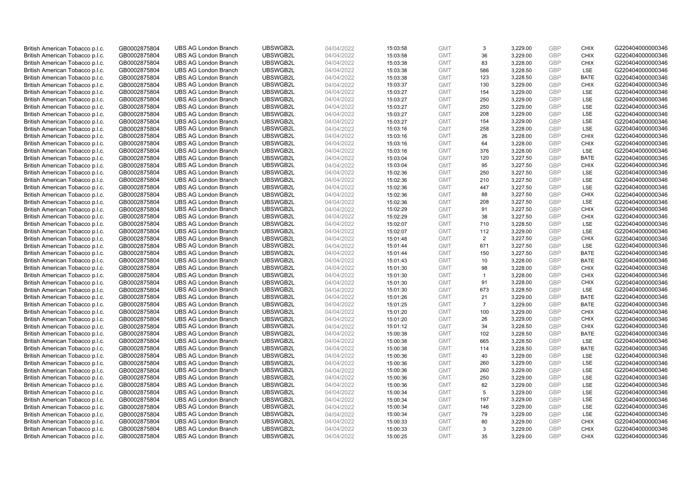| British American Tobacco p.l.c.                                    | GB0002875804                 | <b>UBS AG London Branch</b>                                | UBSWGB2L             | 04/04/2022               | 15:03:58             | <b>GMT</b>               | 3              | 3,229.00             | <b>GBP</b>               | <b>CHIX</b>        | G220404000000346                     |
|--------------------------------------------------------------------|------------------------------|------------------------------------------------------------|----------------------|--------------------------|----------------------|--------------------------|----------------|----------------------|--------------------------|--------------------|--------------------------------------|
| British American Tobacco p.l.c.                                    | GB0002875804                 | <b>UBS AG London Branch</b>                                | UBSWGB2L             | 04/04/2022               | 15:03:58             | <b>GMT</b>               | 36             | 3,229.00             | <b>GBP</b>               | <b>CHIX</b>        | G220404000000346                     |
| British American Tobacco p.l.c.                                    | GB0002875804                 | <b>UBS AG London Branch</b>                                | UBSWGB2L             | 04/04/2022               | 15:03:38             | <b>GMT</b>               | 83             | 3,228.00             | <b>GBP</b>               | <b>CHIX</b>        | G220404000000346                     |
| British American Tobacco p.l.c.                                    | GB0002875804                 | <b>UBS AG London Branch</b>                                | UBSWGB2L             | 04/04/2022               | 15:03:38             | <b>GMT</b>               | 586            | 3,228.50             | <b>GBP</b>               | LSE                | G220404000000346                     |
| British American Tobacco p.l.c.                                    | GB0002875804                 | <b>UBS AG London Branch</b>                                | UBSWGB2L             | 04/04/2022               | 15:03:38             | <b>GMT</b>               | 123            | 3,228.50             | <b>GBP</b>               | <b>BATE</b>        | G220404000000346                     |
| British American Tobacco p.l.c.                                    | GB0002875804                 | <b>UBS AG London Branch</b>                                | UBSWGB2L             | 04/04/2022               | 15:03:37             | <b>GMT</b>               | 130            | 3,229.00             | GBP                      | <b>CHIX</b>        | G220404000000346                     |
| British American Tobacco p.l.c.                                    | GB0002875804                 | <b>UBS AG London Branch</b>                                | UBSWGB2L             | 04/04/2022               | 15:03:27             | <b>GMT</b>               | 154            | 3,229.00             | <b>GBP</b>               | LSE                | G220404000000346                     |
| British American Tobacco p.l.c.                                    | GB0002875804                 | <b>UBS AG London Branch</b>                                | UBSWGB2L             | 04/04/2022               | 15:03:27             | <b>GMT</b>               | 250            | 3,229.00             | <b>GBP</b>               | LSE                | G220404000000346                     |
| British American Tobacco p.l.c.                                    | GB0002875804                 | <b>UBS AG London Branch</b>                                | UBSWGB2L             | 04/04/2022               | 15:03:27             | <b>GMT</b>               | 250            | 3,229.00             | <b>GBP</b>               | LSE                | G220404000000346                     |
| British American Tobacco p.l.c.                                    | GB0002875804                 | <b>UBS AG London Branch</b>                                | UBSWGB2L             | 04/04/2022               | 15:03:27             | <b>GMT</b>               | 208            | 3,229.00             | GBP                      | <b>LSE</b>         | G220404000000346                     |
| British American Tobacco p.l.c.                                    | GB0002875804                 | <b>UBS AG London Branch</b>                                | UBSWGB2L             | 04/04/2022               | 15:03:27             | <b>GMT</b>               | 154            | 3,229.00             | <b>GBP</b>               | LSE                | G220404000000346                     |
| British American Tobacco p.l.c.                                    | GB0002875804                 | <b>UBS AG London Branch</b>                                | UBSWGB2L             | 04/04/2022               | 15:03:16             | <b>GMT</b>               | 258            | 3,228.00             | <b>GBP</b>               | LSE                | G220404000000346                     |
| British American Tobacco p.l.c.                                    | GB0002875804                 | <b>UBS AG London Branch</b>                                | UBSWGB2L             | 04/04/2022               | 15:03:16             | <b>GMT</b>               | 26             | 3,228.00             | <b>GBP</b>               | <b>CHIX</b>        | G220404000000346                     |
| British American Tobacco p.l.c.                                    | GB0002875804                 | <b>UBS AG London Branch</b>                                | UBSWGB2L             | 04/04/2022               | 15:03:16             | <b>GMT</b>               | 64             | 3,228.00             | <b>GBP</b>               | <b>CHIX</b>        | G220404000000346                     |
| British American Tobacco p.l.c.                                    | GB0002875804                 | <b>UBS AG London Branch</b>                                | UBSWGB2L             | 04/04/2022               | 15:03:16             | <b>GMT</b>               | 376            | 3,228.00             | <b>GBP</b>               | LSE                | G220404000000346                     |
| British American Tobacco p.l.c.                                    | GB0002875804                 | <b>UBS AG London Branch</b>                                | UBSWGB2L             | 04/04/2022               | 15:03:04             | <b>GMT</b>               | 120            | 3,227.50             | <b>GBP</b>               | <b>BATE</b>        | G220404000000346                     |
| British American Tobacco p.l.c.                                    | GB0002875804                 | <b>UBS AG London Branch</b>                                | UBSWGB2L             | 04/04/2022               | 15:03:04             | <b>GMT</b>               | 95             | 3,227.50             | <b>GBP</b>               | <b>CHIX</b>        | G220404000000346                     |
| British American Tobacco p.l.c.                                    | GB0002875804                 | <b>UBS AG London Branch</b>                                | UBSWGB2L             | 04/04/2022               | 15:02:36             | <b>GMT</b>               | 250            | 3,227.50             | <b>GBP</b>               | LSE                | G220404000000346                     |
| British American Tobacco p.l.c.                                    | GB0002875804                 | <b>UBS AG London Branch</b>                                | UBSWGB2L             | 04/04/2022               | 15:02:36             | <b>GMT</b>               | 210            | 3,227.50             | <b>GBP</b>               | LSE                | G220404000000346                     |
| British American Tobacco p.l.c.                                    | GB0002875804                 | <b>UBS AG London Branch</b>                                | UBSWGB2L             | 04/04/2022               | 15:02:36             | <b>GMT</b>               | 447            | 3,227.50             | <b>GBP</b>               | LSE                | G220404000000346                     |
| British American Tobacco p.l.c.                                    | GB0002875804                 | <b>UBS AG London Branch</b>                                | UBSWGB2L             | 04/04/2022               | 15:02:36             | <b>GMT</b>               | 88             | 3,227.50             | <b>GBP</b>               | <b>CHIX</b>        | G220404000000346                     |
| British American Tobacco p.l.c.                                    | GB0002875804                 | <b>UBS AG London Branch</b>                                | UBSWGB2L             | 04/04/2022               | 15:02:36             | <b>GMT</b>               | 208            | 3,227.50             | <b>GBP</b>               | LSE                | G220404000000346                     |
| British American Tobacco p.l.c.                                    | GB0002875804                 | <b>UBS AG London Branch</b>                                | UBSWGB2L             | 04/04/2022               | 15:02:29             | <b>GMT</b>               | 91             | 3,227.50             | <b>GBP</b>               | <b>CHIX</b>        | G220404000000346                     |
| British American Tobacco p.l.c.                                    | GB0002875804                 | <b>UBS AG London Branch</b>                                | UBSWGB2L             | 04/04/2022               | 15:02:29             | <b>GMT</b>               | 38             | 3,227.50             | <b>GBP</b>               | <b>CHIX</b>        | G220404000000346                     |
| British American Tobacco p.l.c.                                    | GB0002875804                 | <b>UBS AG London Branch</b>                                | UBSWGB2L             | 04/04/2022               | 15:02:07             | <b>GMT</b>               | 710            | 3,228.50             | <b>GBP</b>               | LSE                | G220404000000346                     |
| British American Tobacco p.l.c.                                    | GB0002875804                 | <b>UBS AG London Branch</b>                                | UBSWGB2L             | 04/04/2022               | 15:02:07             | <b>GMT</b>               | 112            | 3,229.00             | <b>GBP</b>               | LSE                | G220404000000346                     |
| British American Tobacco p.l.c.                                    | GB0002875804                 | <b>UBS AG London Branch</b>                                | UBSWGB2L             | 04/04/2022               | 15:01:48             | <b>GMT</b>               | 2              | 3,227.50             | <b>GBP</b>               | <b>CHIX</b>        | G220404000000346                     |
| British American Tobacco p.l.c.                                    | GB0002875804                 | <b>UBS AG London Branch</b>                                | UBSWGB2L             | 04/04/2022               | 15:01:44             | <b>GMT</b>               | 671            | 3,227.50             | <b>GBP</b>               | LSE                | G220404000000346                     |
| British American Tobacco p.l.c.                                    | GB0002875804                 | <b>UBS AG London Branch</b>                                | UBSWGB2L             | 04/04/2022               | 15:01:44             | <b>GMT</b>               | 150            | 3,227.50             | <b>GBP</b>               | <b>BATE</b>        | G220404000000346                     |
| British American Tobacco p.l.c.                                    | GB0002875804                 | <b>UBS AG London Branch</b>                                | UBSWGB2L             | 04/04/2022               | 15:01:43             | <b>GMT</b>               | 10             | 3,228.00             | <b>GBP</b>               | <b>BATE</b>        | G220404000000346                     |
| British American Tobacco p.l.c.                                    | GB0002875804                 | <b>UBS AG London Branch</b>                                | UBSWGB2L             | 04/04/2022               | 15:01:30             | <b>GMT</b>               | 98             | 3,228.00             | <b>GBP</b>               | <b>CHIX</b>        | G220404000000346                     |
| British American Tobacco p.l.c.                                    | GB0002875804                 | <b>UBS AG London Branch</b>                                | UBSWGB2L             | 04/04/2022               | 15:01:30             | <b>GMT</b>               | $\mathbf{1}$   | 3,228.00             | <b>GBP</b>               | <b>CHIX</b>        | G220404000000346                     |
| British American Tobacco p.l.c.                                    | GB0002875804                 | <b>UBS AG London Branch</b>                                | UBSWGB2L             | 04/04/2022               | 15:01:30             | <b>GMT</b>               | 91             | 3,228.00             | <b>GBP</b>               | <b>CHIX</b>        | G220404000000346                     |
| British American Tobacco p.l.c.                                    | GB0002875804                 | <b>UBS AG London Branch</b>                                | UBSWGB2L             | 04/04/2022               | 15:01:30             | <b>GMT</b>               | 673            | 3,228.50             | <b>GBP</b>               | LSE                | G220404000000346                     |
| British American Tobacco p.l.c.                                    | GB0002875804                 | <b>UBS AG London Branch</b>                                | UBSWGB2L             | 04/04/2022               | 15:01:26             | <b>GMT</b>               | 21             | 3,229.00             | <b>GBP</b>               | <b>BATE</b>        | G220404000000346                     |
| British American Tobacco p.l.c.                                    | GB0002875804                 | <b>UBS AG London Branch</b>                                | UBSWGB2L             | 04/04/2022               | 15:01:25             | <b>GMT</b>               | $\overline{7}$ | 3,229.00             | <b>GBP</b>               | <b>BATE</b>        | G220404000000346                     |
| British American Tobacco p.l.c.                                    | GB0002875804                 | <b>UBS AG London Branch</b>                                | UBSWGB2L             | 04/04/2022               | 15:01:20             | <b>GMT</b>               | 100            | 3.229.00             | <b>GBP</b>               | <b>CHIX</b>        | G220404000000346                     |
| British American Tobacco p.l.c.                                    | GB0002875804                 | <b>UBS AG London Branch</b>                                | UBSWGB2L             | 04/04/2022               | 15:01:20             | <b>GMT</b>               | 26             | 3,229.00             | <b>GBP</b>               | <b>CHIX</b>        | G220404000000346                     |
| British American Tobacco p.l.c.                                    | GB0002875804                 | <b>UBS AG London Branch</b>                                | UBSWGB2L             | 04/04/2022               | 15:01:12             | <b>GMT</b>               | 34             | 3,228.50             | <b>GBP</b>               | <b>CHIX</b>        | G220404000000346                     |
| British American Tobacco p.l.c.                                    | GB0002875804                 | <b>UBS AG London Branch</b>                                | UBSWGB2L             | 04/04/2022               | 15:00:38             | <b>GMT</b>               | 102<br>665     | 3,228.50             | <b>GBP</b><br><b>GBP</b> | <b>BATE</b><br>LSE | G220404000000346                     |
| British American Tobacco p.l.c.                                    | GB0002875804                 | <b>UBS AG London Branch</b><br><b>UBS AG London Branch</b> | UBSWGB2L<br>UBSWGB2L | 04/04/2022               | 15:00:38             | <b>GMT</b><br><b>GMT</b> | 114            | 3,228.50<br>3,228.50 | <b>GBP</b>               | <b>BATE</b>        | G220404000000346<br>G220404000000346 |
| British American Tobacco p.l.c.                                    | GB0002875804<br>GB0002875804 | <b>UBS AG London Branch</b>                                | UBSWGB2L             | 04/04/2022<br>04/04/2022 | 15:00:38<br>15:00:36 | <b>GMT</b>               | 40             |                      | <b>GBP</b>               | LSE                | G220404000000346                     |
| British American Tobacco p.l.c.<br>British American Tobacco p.l.c. | GB0002875804                 | <b>UBS AG London Branch</b>                                | UBSWGB2L             | 04/04/2022               | 15:00:36             | <b>GMT</b>               | 260            | 3,229.00<br>3,229.00 | <b>GBP</b>               | LSE                | G220404000000346                     |
| British American Tobacco p.l.c.                                    | GB0002875804                 | UBS AG London Branch                                       | UBSWGB2L             | 04/04/2022               | 15:00:36             | <b>GMT</b>               | 260            | 3,229.00             | <b>GBP</b>               | <b>LSE</b>         | G220404000000346                     |
| British American Tobacco p.l.c.                                    | GB0002875804                 | <b>UBS AG London Branch</b>                                | UBSWGB2L             | 04/04/2022               | 15:00:36             | <b>GMT</b>               | 250            | 3,229.00             | <b>GBP</b>               | LSE                | G220404000000346                     |
| British American Tobacco p.l.c.                                    | GB0002875804                 | <b>UBS AG London Branch</b>                                | UBSWGB2L             | 04/04/2022               | 15:00:36             | <b>GMT</b>               | 82             | 3,229.00             | <b>GBP</b>               | LSE                | G220404000000346                     |
| British American Tobacco p.l.c.                                    | GB0002875804                 | <b>UBS AG London Branch</b>                                | UBSWGB2L             | 04/04/2022               | 15:00:34             | <b>GMT</b>               | 5              | 3,229.00             | <b>GBP</b>               | LSE                | G220404000000346                     |
| British American Tobacco p.l.c.                                    | GB0002875804                 | <b>UBS AG London Branch</b>                                | UBSWGB2L             | 04/04/2022               | 15:00:34             | <b>GMT</b>               | 197            | 3,229.00             | <b>GBP</b>               | LSE                | G220404000000346                     |
| British American Tobacco p.l.c.                                    | GB0002875804                 | <b>UBS AG London Branch</b>                                | UBSWGB2L             | 04/04/2022               | 15:00:34             | <b>GMT</b>               | 146            | 3,229.00             | <b>GBP</b>               | LSE                | G220404000000346                     |
| British American Tobacco p.l.c.                                    | GB0002875804                 | <b>UBS AG London Branch</b>                                | UBSWGB2L             | 04/04/2022               | 15:00:34             | <b>GMT</b>               | 79             | 3,229.00             | <b>GBP</b>               | LSE                | G220404000000346                     |
| British American Tobacco p.l.c.                                    | GB0002875804                 | <b>UBS AG London Branch</b>                                | UBSWGB2L             | 04/04/2022               | 15:00:33             | <b>GMT</b>               | 80             | 3,229.00             | <b>GBP</b>               | <b>CHIX</b>        | G220404000000346                     |
| British American Tobacco p.l.c.                                    | GB0002875804                 | <b>UBS AG London Branch</b>                                | UBSWGB2L             | 04/04/2022               | 15:00:33             | <b>GMT</b>               | 3              | 3,229.00             | <b>GBP</b>               | <b>CHIX</b>        | G220404000000346                     |
| British American Tobacco p.l.c.                                    | GB0002875804                 | <b>UBS AG London Branch</b>                                | UBSWGB2L             | 04/04/2022               | 15:00:25             | <b>GMT</b>               | 35             | 3.229.00             | GBP                      | <b>CHIX</b>        | G220404000000346                     |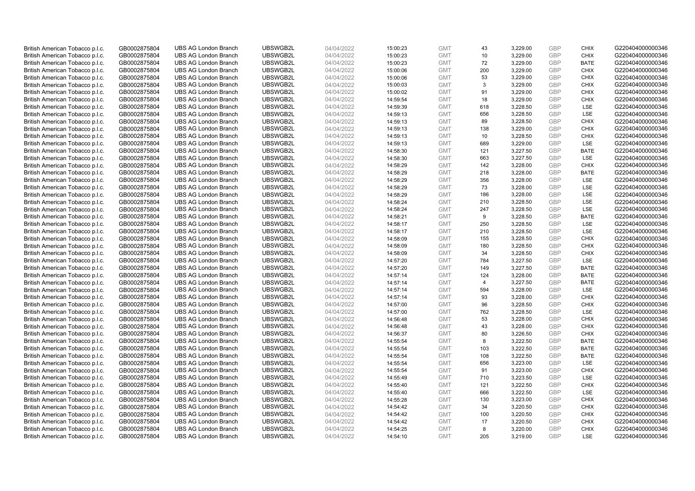| British American Tobacco p.l.c. | GB0002875804 | <b>UBS AG London Branch</b> | UBSWGB2L             | 04/04/2022 | 15:00:23 | <b>GMT</b> | 43             | 3,229.00 | <b>GBP</b> | <b>CHIX</b> | G220404000000346 |
|---------------------------------|--------------|-----------------------------|----------------------|------------|----------|------------|----------------|----------|------------|-------------|------------------|
|                                 | GB0002875804 | <b>UBS AG London Branch</b> | UBSWGB2L             | 04/04/2022 |          | <b>GMT</b> | 10             | 3,229.00 | <b>GBP</b> | <b>CHIX</b> | G220404000000346 |
| British American Tobacco p.l.c. |              |                             |                      |            | 15:00:23 |            |                |          |            |             |                  |
| British American Tobacco p.l.c. | GB0002875804 | <b>UBS AG London Branch</b> | UBSWGB2L             | 04/04/2022 | 15:00:23 | <b>GMT</b> | 72             | 3,229.00 | <b>GBP</b> | <b>BATE</b> | G220404000000346 |
| British American Tobacco p.l.c. | GB0002875804 | <b>UBS AG London Branch</b> | UBSWGB2L             | 04/04/2022 | 15:00:06 | <b>GMT</b> | 200            | 3,229.00 | <b>GBP</b> | <b>CHIX</b> | G220404000000346 |
| British American Tobacco p.l.c. | GB0002875804 | <b>UBS AG London Branch</b> | UBSWGB2L             | 04/04/2022 | 15:00:06 | <b>GMT</b> | 53             | 3,229.00 | <b>GBP</b> | <b>CHIX</b> | G220404000000346 |
| British American Tobacco p.l.c. | GB0002875804 | <b>UBS AG London Branch</b> | UBSWGB2L             | 04/04/2022 | 15:00:03 | <b>GMT</b> | 3              | 3,229.00 | <b>GBP</b> | <b>CHIX</b> | G220404000000346 |
| British American Tobacco p.l.c. | GB0002875804 | <b>UBS AG London Branch</b> | UBSWGB2L             | 04/04/2022 | 15:00:02 | <b>GMT</b> | 91             | 3,229.00 | <b>GBP</b> | <b>CHIX</b> | G220404000000346 |
| British American Tobacco p.l.c. | GB0002875804 | <b>UBS AG London Branch</b> | UBSWGB2L             | 04/04/2022 | 14:59:54 | <b>GMT</b> | 18             | 3,229.00 | <b>GBP</b> | <b>CHIX</b> | G220404000000346 |
| British American Tobacco p.l.c. | GB0002875804 | <b>UBS AG London Branch</b> | UBSWGB2L             | 04/04/2022 | 14:59:39 | <b>GMT</b> | 618            | 3,228.50 | <b>GBP</b> | LSE         | G220404000000346 |
| British American Tobacco p.l.c. | GB0002875804 | <b>UBS AG London Branch</b> | UBSWGB2L             | 04/04/2022 | 14:59:13 | <b>GMT</b> | 656            | 3,228.50 | <b>GBP</b> | LSE         | G220404000000346 |
| British American Tobacco p.l.c. | GB0002875804 | <b>UBS AG London Branch</b> | UBSWGB2L             | 04/04/2022 | 14:59:13 | <b>GMT</b> | 89             | 3,228.50 | <b>GBP</b> | <b>CHIX</b> | G220404000000346 |
| British American Tobacco p.l.c. | GB0002875804 | <b>UBS AG London Branch</b> | UBSWGB2L             | 04/04/2022 | 14:59:13 | <b>GMT</b> | 138            | 3,229.00 | <b>GBP</b> | <b>CHIX</b> | G220404000000346 |
| British American Tobacco p.l.c. | GB0002875804 | <b>UBS AG London Branch</b> | UBSWGB2L             | 04/04/2022 | 14:59:13 | <b>GMT</b> | 10             | 3,228.50 | <b>GBP</b> | <b>CHIX</b> | G220404000000346 |
| British American Tobacco p.l.c. | GB0002875804 | <b>UBS AG London Branch</b> | UBSWGB2L             | 04/04/2022 | 14:59:13 | <b>GMT</b> | 689            | 3,229.00 | <b>GBP</b> | LSE         | G220404000000346 |
| British American Tobacco p.l.c. | GB0002875804 | <b>UBS AG London Branch</b> | UBSWGB2L             | 04/04/2022 | 14:58:30 | <b>GMT</b> | 121            | 3,227.50 | <b>GBP</b> | <b>BATE</b> | G220404000000346 |
| British American Tobacco p.l.c. | GB0002875804 | <b>UBS AG London Branch</b> | UBSWGB2L             | 04/04/2022 | 14:58:30 | <b>GMT</b> | 663            | 3,227.50 | <b>GBP</b> | LSE         | G220404000000346 |
| British American Tobacco p.l.c. | GB0002875804 | <b>UBS AG London Branch</b> | UBSWGB2L             | 04/04/2022 | 14:58:29 | <b>GMT</b> | 142            | 3,228.00 | <b>GBP</b> | <b>CHIX</b> | G220404000000346 |
| British American Tobacco p.l.c. | GB0002875804 | <b>UBS AG London Branch</b> | UBSWGB2L             | 04/04/2022 | 14:58:29 | <b>GMT</b> | 218            | 3,228.00 | <b>GBP</b> | <b>BATE</b> | G220404000000346 |
|                                 |              | <b>UBS AG London Branch</b> | UBSWGB2L             |            |          |            |                |          |            | <b>LSE</b>  |                  |
| British American Tobacco p.l.c. | GB0002875804 |                             |                      | 04/04/2022 | 14:58:29 | <b>GMT</b> | 356            | 3,228.00 | <b>GBP</b> |             | G220404000000346 |
| British American Tobacco p.l.c. | GB0002875804 | <b>UBS AG London Branch</b> | UBSWGB2L             | 04/04/2022 | 14:58:29 | <b>GMT</b> | 73             | 3,228.00 | <b>GBP</b> | LSE         | G220404000000346 |
| British American Tobacco p.l.c. | GB0002875804 | <b>UBS AG London Branch</b> | UBSWGB2L             | 04/04/2022 | 14:58:29 | <b>GMT</b> | 186            | 3,228.00 | <b>GBP</b> | LSE         | G220404000000346 |
| British American Tobacco p.l.c. | GB0002875804 | <b>UBS AG London Branch</b> | UBSWGB2L             | 04/04/2022 | 14:58:24 | <b>GMT</b> | 210            | 3,228.50 | <b>GBP</b> | LSE         | G220404000000346 |
| British American Tobacco p.l.c. | GB0002875804 | <b>UBS AG London Branch</b> | UBSWGB2L             | 04/04/2022 | 14:58:24 | <b>GMT</b> | 247            | 3,228.50 | <b>GBP</b> | LSE         | G220404000000346 |
| British American Tobacco p.l.c. | GB0002875804 | <b>UBS AG London Branch</b> | UBSWGB2L             | 04/04/2022 | 14:58:21 | <b>GMT</b> | 9              | 3,228.50 | <b>GBP</b> | <b>BATE</b> | G220404000000346 |
| British American Tobacco p.l.c. | GB0002875804 | <b>UBS AG London Branch</b> | UBSWGB2L             | 04/04/2022 | 14:58:17 | <b>GMT</b> | 250            | 3,228.50 | <b>GBP</b> | LSE         | G220404000000346 |
| British American Tobacco p.l.c. | GB0002875804 | <b>UBS AG London Branch</b> | UBSWGB2L             | 04/04/2022 | 14:58:17 | <b>GMT</b> | 210            | 3,228.50 | <b>GBP</b> | LSE         | G220404000000346 |
| British American Tobacco p.l.c. | GB0002875804 | <b>UBS AG London Branch</b> | UBSWGB2L             | 04/04/2022 | 14:58:09 | <b>GMT</b> | 155            | 3,228.50 | <b>GBP</b> | <b>CHIX</b> | G220404000000346 |
| British American Tobacco p.l.c. | GB0002875804 | <b>UBS AG London Branch</b> | UBSWGB2L             | 04/04/2022 | 14:58:09 | <b>GMT</b> | 180            | 3,228.50 | <b>GBP</b> | <b>CHIX</b> | G220404000000346 |
| British American Tobacco p.l.c. | GB0002875804 | <b>UBS AG London Branch</b> | UBSWGB2L             | 04/04/2022 | 14:58:09 | <b>GMT</b> | 34             | 3,228.50 | <b>GBP</b> | <b>CHIX</b> | G220404000000346 |
| British American Tobacco p.l.c. | GB0002875804 | <b>UBS AG London Branch</b> | UBSWGB2L             | 04/04/2022 | 14:57:20 | <b>GMT</b> | 784            | 3,227.50 | <b>GBP</b> | LSE         | G220404000000346 |
| British American Tobacco p.l.c. | GB0002875804 | <b>UBS AG London Branch</b> | UBSWGB2L             | 04/04/2022 | 14:57:20 | <b>GMT</b> | 149            | 3,227.50 | <b>GBP</b> | <b>BATE</b> | G220404000000346 |
| British American Tobacco p.l.c. | GB0002875804 | <b>UBS AG London Branch</b> | UBSWGB2L             | 04/04/2022 | 14:57:14 | <b>GMT</b> | 124            | 3,228.00 | <b>GBP</b> | BATE        | G220404000000346 |
| British American Tobacco p.l.c. | GB0002875804 | <b>UBS AG London Branch</b> | UBSWGB2L             | 04/04/2022 | 14:57:14 | <b>GMT</b> | $\overline{4}$ | 3,227.50 | <b>GBP</b> | <b>BATE</b> | G220404000000346 |
| British American Tobacco p.l.c. | GB0002875804 | <b>UBS AG London Branch</b> | UBSWGB2L             | 04/04/2022 | 14:57:14 | <b>GMT</b> | 594            | 3,228.00 | <b>GBP</b> | LSE         | G220404000000346 |
| British American Tobacco p.l.c. | GB0002875804 | <b>UBS AG London Branch</b> | UBSWGB2L             | 04/04/2022 | 14:57:14 | <b>GMT</b> | 93             | 3,228.00 | <b>GBP</b> | <b>CHIX</b> | G220404000000346 |
| British American Tobacco p.l.c. | GB0002875804 | <b>UBS AG London Branch</b> | UBSWGB2L             | 04/04/2022 | 14:57:00 | <b>GMT</b> | 96             | 3,228.50 | <b>GBP</b> | <b>CHIX</b> | G220404000000346 |
| British American Tobacco p.l.c. | GB0002875804 | <b>UBS AG London Branch</b> | UBSWGB2L             | 04/04/2022 | 14:57:00 | <b>GMT</b> | 762            | 3,228.50 | <b>GBP</b> | LSE         | G220404000000346 |
| British American Tobacco p.l.c. | GB0002875804 | <b>UBS AG London Branch</b> | UBSWGB2L             | 04/04/2022 | 14:56:48 | <b>GMT</b> | 53             | 3,228.00 | <b>GBP</b> | <b>CHIX</b> | G220404000000346 |
| British American Tobacco p.l.c. | GB0002875804 | <b>UBS AG London Branch</b> | UBSWGB2L             | 04/04/2022 | 14:56:48 | <b>GMT</b> | 43             | 3,228.00 | <b>GBP</b> | <b>CHIX</b> | G220404000000346 |
| British American Tobacco p.l.c. | GB0002875804 | <b>UBS AG London Branch</b> | UBSWGB2L             | 04/04/2022 | 14:56:37 | <b>GMT</b> | 80             | 3,226.50 | <b>GBP</b> | <b>CHIX</b> | G220404000000346 |
| British American Tobacco p.l.c. | GB0002875804 | <b>UBS AG London Branch</b> | UBSWGB2L             | 04/04/2022 | 14:55:54 | <b>GMT</b> | 8              | 3,222.50 | <b>GBP</b> | <b>BATE</b> | G220404000000346 |
| British American Tobacco p.l.c. | GB0002875804 | <b>UBS AG London Branch</b> | UBSWGB2L             | 04/04/2022 | 14:55:54 | <b>GMT</b> | 103            | 3,222.50 | <b>GBP</b> | <b>BATE</b> | G220404000000346 |
| British American Tobacco p.l.c. | GB0002875804 | <b>UBS AG London Branch</b> | UBSWGB2L             | 04/04/2022 | 14:55:54 | <b>GMT</b> | 108            | 3,222.50 | <b>GBP</b> | <b>BATE</b> | G220404000000346 |
| British American Tobacco p.l.c. | GB0002875804 | <b>UBS AG London Branch</b> | UBSWGB2L             | 04/04/2022 | 14:55:54 | <b>GMT</b> | 656            | 3,223.00 | <b>GBP</b> | LSE         | G220404000000346 |
| British American Tobacco p.l.c. | GB0002875804 | <b>UBS AG London Branch</b> | UBSWGB2L             | 04/04/2022 | 14:55:54 | <b>GMT</b> | 91             | 3,223.00 | <b>GBP</b> | <b>CHIX</b> | G220404000000346 |
|                                 |              | <b>UBS AG London Branch</b> | UBSWGB2L             | 04/04/2022 |          | <b>GMT</b> |                |          | <b>GBP</b> | LSE         | G220404000000346 |
| British American Tobacco p.l.c. | GB0002875804 |                             |                      |            | 14:55:49 | <b>GMT</b> | 710<br>121     | 3,223.50 | <b>GBP</b> | <b>CHIX</b> |                  |
| British American Tobacco p.l.c. | GB0002875804 | <b>UBS AG London Branch</b> | UBSWGB2L<br>UBSWGB2L | 04/04/2022 | 14:55:40 |            |                | 3,222.50 | <b>GBP</b> | <b>LSE</b>  | G220404000000346 |
| British American Tobacco p.l.c. | GB0002875804 | <b>UBS AG London Branch</b> |                      | 04/04/2022 | 14:55:40 | <b>GMT</b> | 666            | 3,222.50 |            |             | G220404000000346 |
| British American Tobacco p.l.c. | GB0002875804 | <b>UBS AG London Branch</b> | UBSWGB2L             | 04/04/2022 | 14:55:28 | <b>GMT</b> | 130            | 3,223.00 | <b>GBP</b> | <b>CHIX</b> | G220404000000346 |
| British American Tobacco p.l.c. | GB0002875804 | <b>UBS AG London Branch</b> | UBSWGB2L             | 04/04/2022 | 14:54:42 | <b>GMT</b> | 34             | 3,220.50 | <b>GBP</b> | <b>CHIX</b> | G220404000000346 |
| British American Tobacco p.l.c. | GB0002875804 | <b>UBS AG London Branch</b> | UBSWGB2L             | 04/04/2022 | 14:54:42 | <b>GMT</b> | 100            | 3,220.50 | <b>GBP</b> | <b>CHIX</b> | G220404000000346 |
| British American Tobacco p.l.c. | GB0002875804 | <b>UBS AG London Branch</b> | UBSWGB2L             | 04/04/2022 | 14:54:42 | <b>GMT</b> | 17             | 3,220.50 | <b>GBP</b> | <b>CHIX</b> | G220404000000346 |
| British American Tobacco p.l.c. | GB0002875804 | <b>UBS AG London Branch</b> | UBSWGB2L             | 04/04/2022 | 14:54:25 | <b>GMT</b> | 8              | 3,220.00 | <b>GBP</b> | <b>CHIX</b> | G220404000000346 |
| British American Tobacco p.l.c. | GB0002875804 | <b>UBS AG London Branch</b> | UBSWGB2L             | 04/04/2022 | 14:54:10 | <b>GMT</b> | 205            | 3.219.00 | GBP        | <b>LSE</b>  | G220404000000346 |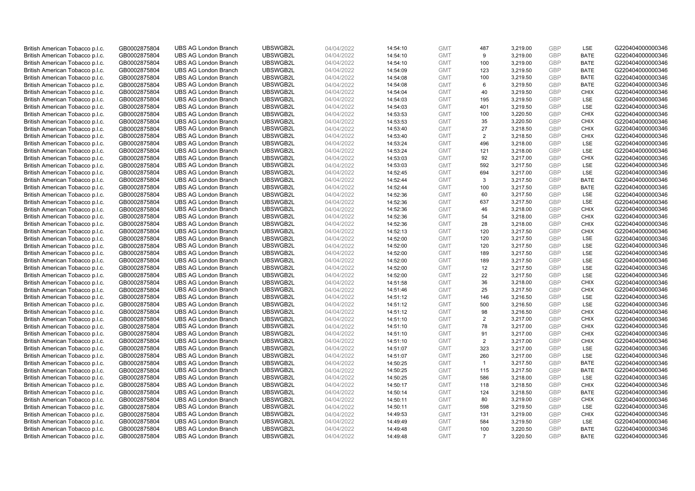| British American Tobacco p.l.c. | GB0002875804                 | <b>UBS AG London Branch</b> | UBSWGB2L | 04/04/2022               | 14:54:10 | <b>GMT</b>               | 487                   | 3,219.00             | <b>GBP</b>        | LSE                        | G220404000000346 |
|---------------------------------|------------------------------|-----------------------------|----------|--------------------------|----------|--------------------------|-----------------------|----------------------|-------------------|----------------------------|------------------|
| British American Tobacco p.l.c. | GB0002875804                 | <b>UBS AG London Branch</b> | UBSWGB2L | 04/04/2022               | 14:54:10 | <b>GMT</b>               | 9                     | 3,219.00             | <b>GBP</b>        | <b>BATE</b>                | G220404000000346 |
| British American Tobacco p.l.c. | GB0002875804                 | <b>UBS AG London Branch</b> | UBSWGB2L | 04/04/2022               | 14:54:10 | <b>GMT</b>               | 100                   | 3,219.00             | <b>GBP</b>        | <b>BATE</b>                | G220404000000346 |
| British American Tobacco p.l.c. | GB0002875804                 | <b>UBS AG London Branch</b> | UBSWGB2L | 04/04/2022               | 14:54:09 | <b>GMT</b>               | 123                   | 3,219.50             | <b>GBP</b>        | <b>BATE</b>                | G220404000000346 |
| British American Tobacco p.l.c. | GB0002875804                 | <b>UBS AG London Branch</b> | UBSWGB2L | 04/04/2022               | 14:54:08 | <b>GMT</b>               | 100                   | 3,219.50             | <b>GBP</b>        | <b>BATE</b>                | G220404000000346 |
| British American Tobacco p.l.c. | GB0002875804                 | <b>UBS AG London Branch</b> | UBSWGB2L | 04/04/2022               | 14:54:08 | <b>GMT</b>               | 6                     | 3,219.50             | <b>GBP</b>        | <b>BATE</b>                | G220404000000346 |
| British American Tobacco p.l.c. | GB0002875804                 | <b>UBS AG London Branch</b> | UBSWGB2L | 04/04/2022               | 14:54:04 | <b>GMT</b>               | 40                    | 3,219.50             | <b>GBP</b>        | <b>CHIX</b>                | G220404000000346 |
| British American Tobacco p.l.c. | GB0002875804                 | <b>UBS AG London Branch</b> | UBSWGB2L | 04/04/2022               | 14:54:03 | <b>GMT</b>               | 195                   | 3,219.50             | <b>GBP</b>        | LSE                        | G220404000000346 |
| British American Tobacco p.l.c. | GB0002875804                 | <b>UBS AG London Branch</b> | UBSWGB2L | 04/04/2022               | 14:54:03 | <b>GMT</b>               | 401                   | 3,219.50             | <b>GBP</b>        | LSE                        | G220404000000346 |
| British American Tobacco p.l.c. | GB0002875804                 | <b>UBS AG London Branch</b> | UBSWGB2L | 04/04/2022               | 14:53:53 | <b>GMT</b>               | 100                   | 3,220.50             | <b>GBP</b>        | <b>CHIX</b>                | G220404000000346 |
| British American Tobacco p.l.c. | GB0002875804                 | <b>UBS AG London Branch</b> | UBSWGB2L | 04/04/2022               | 14:53:53 | <b>GMT</b>               | 35                    | 3,220.50             | <b>GBP</b>        | <b>CHIX</b>                | G220404000000346 |
| British American Tobacco p.l.c. | GB0002875804                 | <b>UBS AG London Branch</b> | UBSWGB2L | 04/04/2022               | 14:53:40 | <b>GMT</b>               | 27                    | 3,218.50             | <b>GBP</b>        | <b>CHIX</b>                | G220404000000346 |
| British American Tobacco p.l.c. | GB0002875804                 | <b>UBS AG London Branch</b> | UBSWGB2L | 04/04/2022               | 14:53:40 | <b>GMT</b>               | $\overline{2}$        | 3,218.50             | <b>GBP</b>        | <b>CHIX</b>                | G220404000000346 |
| British American Tobacco p.l.c. | GB0002875804                 | <b>UBS AG London Branch</b> | UBSWGB2L | 04/04/2022               | 14:53:24 | <b>GMT</b>               | 496                   | 3,218.00             | <b>GBP</b>        | LSE                        | G220404000000346 |
| British American Tobacco p.l.c. | GB0002875804                 | <b>UBS AG London Branch</b> | UBSWGB2L | 04/04/2022               | 14:53:24 | <b>GMT</b>               | 121                   | 3,218.00             | <b>GBP</b>        | LSE                        | G220404000000346 |
| British American Tobacco p.l.c. | GB0002875804                 | <b>UBS AG London Branch</b> | UBSWGB2L | 04/04/2022               | 14:53:03 | <b>GMT</b>               | 92                    | 3,217.00             | <b>GBP</b>        | <b>CHIX</b>                | G220404000000346 |
| British American Tobacco p.l.c. | GB0002875804                 | <b>UBS AG London Branch</b> | UBSWGB2L | 04/04/2022               | 14:53:03 | <b>GMT</b>               | 592                   | 3,217.50             | <b>GBP</b>        | <b>LSE</b>                 | G220404000000346 |
| British American Tobacco p.l.c. | GB0002875804                 | <b>UBS AG London Branch</b> | UBSWGB2L | 04/04/2022               | 14:52:45 | <b>GMT</b>               | 694                   | 3,217.00             | <b>GBP</b>        | LSE                        | G220404000000346 |
| British American Tobacco p.l.c. | GB0002875804                 | <b>UBS AG London Branch</b> | UBSWGB2L | 04/04/2022               | 14:52:44 | <b>GMT</b>               | 3                     | 3,217.50             | <b>GBP</b>        | <b>BATE</b>                | G220404000000346 |
| British American Tobacco p.l.c. | GB0002875804                 | <b>UBS AG London Branch</b> | UBSWGB2L | 04/04/2022               | 14:52:44 | <b>GMT</b>               | 100                   | 3,217.50             | <b>GBP</b>        | <b>BATE</b>                | G220404000000346 |
| British American Tobacco p.l.c. | GB0002875804                 | <b>UBS AG London Branch</b> | UBSWGB2L | 04/04/2022               | 14:52:36 | <b>GMT</b>               | 60                    | 3,217.50             | <b>GBP</b>        | LSE                        | G220404000000346 |
| British American Tobacco p.l.c. | GB0002875804                 | <b>UBS AG London Branch</b> | UBSWGB2L | 04/04/2022               | 14:52:36 | <b>GMT</b>               | 637                   | 3,217.50             | <b>GBP</b>        | LSE                        | G220404000000346 |
| British American Tobacco p.l.c. | GB0002875804                 | <b>UBS AG London Branch</b> | UBSWGB2L | 04/04/2022               | 14:52:36 | <b>GMT</b>               | 46                    | 3,218.00             | <b>GBP</b>        | <b>CHIX</b>                | G220404000000346 |
| British American Tobacco p.l.c. | GB0002875804                 | <b>UBS AG London Branch</b> | UBSWGB2L | 04/04/2022               | 14:52:36 | <b>GMT</b>               | 54                    | 3,218.00             | <b>GBP</b>        | <b>CHIX</b>                | G220404000000346 |
| British American Tobacco p.l.c. | GB0002875804                 | <b>UBS AG London Branch</b> | UBSWGB2L | 04/04/2022               | 14:52:36 | <b>GMT</b>               | 28                    | 3,218.00             | <b>GBP</b>        | <b>CHIX</b>                | G220404000000346 |
| British American Tobacco p.l.c. | GB0002875804                 | <b>UBS AG London Branch</b> | UBSWGB2L | 04/04/2022               | 14:52:13 | <b>GMT</b>               | 120                   | 3,217.50             | <b>GBP</b>        | <b>CHIX</b>                | G220404000000346 |
| British American Tobacco p.l.c. | GB0002875804                 | <b>UBS AG London Branch</b> | UBSWGB2L | 04/04/2022               | 14:52:00 | <b>GMT</b>               | 120                   | 3,217.50             | <b>GBP</b>        | LSE                        | G220404000000346 |
| British American Tobacco p.l.c. | GB0002875804                 | <b>UBS AG London Branch</b> | UBSWGB2L | 04/04/2022               | 14:52:00 | <b>GMT</b>               | 120                   | 3,217.50             | <b>GBP</b>        | LSE                        | G220404000000346 |
| British American Tobacco p.l.c. | GB0002875804                 | <b>UBS AG London Branch</b> | UBSWGB2L | 04/04/2022               | 14:52:00 | <b>GMT</b>               | 189                   | 3,217.50             | <b>GBP</b>        | LSE                        | G220404000000346 |
| British American Tobacco p.l.c. | GB0002875804                 | <b>UBS AG London Branch</b> | UBSWGB2L | 04/04/2022               | 14:52:00 | <b>GMT</b>               | 189                   | 3,217.50             | <b>GBP</b>        | LSE                        | G220404000000346 |
| British American Tobacco p.l.c. | GB0002875804                 | <b>UBS AG London Branch</b> | UBSWGB2L | 04/04/2022               | 14:52:00 | <b>GMT</b>               | 12                    | 3,217.50             | <b>GBP</b>        | LSE                        | G220404000000346 |
| British American Tobacco p.l.c. | GB0002875804                 | <b>UBS AG London Branch</b> | UBSWGB2L | 04/04/2022               | 14:52:00 | <b>GMT</b>               | 22                    | 3,217.50             | <b>GBP</b>        | LSE                        | G220404000000346 |
| British American Tobacco p.l.c. | GB0002875804                 | <b>UBS AG London Branch</b> | UBSWGB2L | 04/04/2022               | 14:51:58 | <b>GMT</b>               | 36                    | 3,218.00             | <b>GBP</b>        | <b>CHIX</b>                | G220404000000346 |
| British American Tobacco p.l.c. | GB0002875804                 | <b>UBS AG London Branch</b> | UBSWGB2L | 04/04/2022               | 14:51:46 | <b>GMT</b>               | 25                    | 3,217.50             | <b>GBP</b>        | <b>CHIX</b>                | G220404000000346 |
| British American Tobacco p.l.c. | GB0002875804                 | <b>UBS AG London Branch</b> | UBSWGB2L | 04/04/2022               | 14:51:12 | <b>GMT</b>               | 146                   | 3,216.50             | <b>GBP</b>        | LSE                        | G220404000000346 |
| British American Tobacco p.l.c. | GB0002875804                 | <b>UBS AG London Branch</b> | UBSWGB2L | 04/04/2022               | 14:51:12 | <b>GMT</b>               | 500                   | 3,216.50             | <b>GBP</b>        | LSE                        | G220404000000346 |
| British American Tobacco p.l.c. | GB0002875804                 | <b>UBS AG London Branch</b> | UBSWGB2L | 04/04/2022               | 14:51:12 | <b>GMT</b>               | 98                    | 3.216.50             | <b>GBP</b>        | <b>CHIX</b>                | G220404000000346 |
| British American Tobacco p.l.c. | GB0002875804                 | <b>UBS AG London Branch</b> | UBSWGB2L | 04/04/2022               | 14:51:10 | <b>GMT</b>               | $\overline{2}$        | 3,217.00             | <b>GBP</b>        | <b>CHIX</b>                | G220404000000346 |
| British American Tobacco p.l.c. | GB0002875804                 | <b>UBS AG London Branch</b> | UBSWGB2L | 04/04/2022               | 14:51:10 | <b>GMT</b>               | 78                    | 3,217.00             | <b>GBP</b>        | <b>CHIX</b>                | G220404000000346 |
| British American Tobacco p.l.c. | GB0002875804                 | <b>UBS AG London Branch</b> | UBSWGB2L | 04/04/2022               | 14:51:10 | <b>GMT</b>               | 91                    | 3,217.00             | <b>GBP</b>        | <b>CHIX</b>                | G220404000000346 |
| British American Tobacco p.l.c. | GB0002875804                 | <b>UBS AG London Branch</b> | UBSWGB2L | 04/04/2022               | 14:51:10 | <b>GMT</b>               | $\overline{2}$        | 3,217.00             | <b>GBP</b>        | <b>CHIX</b>                | G220404000000346 |
| British American Tobacco p.l.c. | GB0002875804                 | <b>UBS AG London Branch</b> | UBSWGB2L | 04/04/2022               | 14:51:07 | <b>GMT</b>               | 323                   | 3,217.00             | <b>GBP</b>        | LSE                        | G220404000000346 |
| British American Tobacco p.l.c. | GB0002875804                 | <b>UBS AG London Branch</b> | UBSWGB2L | 04/04/2022               | 14:51:07 | <b>GMT</b>               | 260                   | 3,217.00             | <b>GBP</b>        | LSE                        | G220404000000346 |
| British American Tobacco p.l.c. | GB0002875804                 | <b>UBS AG London Branch</b> | UBSWGB2L | 04/04/2022               | 14:50:25 | <b>GMT</b>               | $\mathbf{1}$          | 3,217.50             | <b>GBP</b>        | <b>BATE</b>                | G220404000000346 |
| British American Tobacco p.l.c. | GB0002875804                 | UBS AG London Branch        | UBSWGB2L | 04/04/2022               | 14:50:25 | <b>GMT</b>               | 115                   | 3,217.50             | <b>GBP</b>        | <b>BATE</b>                | G220404000000346 |
| British American Tobacco p.l.c. | GB0002875804                 | <b>UBS AG London Branch</b> | UBSWGB2L | 04/04/2022               | 14:50:25 | <b>GMT</b>               | 586                   | 3,218.00             | <b>GBP</b>        | LSE                        | G220404000000346 |
| British American Tobacco p.l.c. | GB0002875804                 | <b>UBS AG London Branch</b> | UBSWGB2L | 04/04/2022               | 14:50:17 | <b>GMT</b>               | 118                   | 3,218.50             | <b>GBP</b>        | <b>CHIX</b>                | G220404000000346 |
| British American Tobacco p.l.c. | GB0002875804                 | <b>UBS AG London Branch</b> | UBSWGB2L | 04/04/2022               | 14:50:14 | <b>GMT</b>               | 124                   | 3,218.50             | <b>GBP</b>        | <b>BATE</b>                | G220404000000346 |
| British American Tobacco p.l.c. | GB0002875804                 | <b>UBS AG London Branch</b> | UBSWGB2L | 04/04/2022               | 14:50:11 | <b>GMT</b>               | 80                    | 3,219.00             | <b>GBP</b>        | <b>CHIX</b>                | G220404000000346 |
| British American Tobacco p.l.c. | GB0002875804                 | <b>UBS AG London Branch</b> | UBSWGB2L | 04/04/2022               | 14:50:11 | <b>GMT</b>               | 598                   | 3,219.50             | <b>GBP</b>        | <b>LSE</b>                 | G220404000000346 |
| British American Tobacco p.l.c. | GB0002875804                 | <b>UBS AG London Branch</b> | UBSWGB2L | 04/04/2022               | 14:49:53 | <b>GMT</b>               | 131                   | 3,219.00             | <b>GBP</b>        | <b>CHIX</b>                | G220404000000346 |
| British American Tobacco p.l.c. | GB0002875804                 | <b>UBS AG London Branch</b> | UBSWGB2L | 04/04/2022               | 14:49:49 | <b>GMT</b>               | 584                   | 3,219.50             | <b>GBP</b>        | LSE                        | G220404000000346 |
| British American Tobacco p.l.c. | GB0002875804<br>GB0002875804 | <b>UBS AG London Branch</b> | UBSWGB2L | 04/04/2022<br>04/04/2022 | 14:49:48 | <b>GMT</b><br><b>GMT</b> | 100<br>$\overline{7}$ | 3,220.50<br>3.220.50 | <b>GBP</b><br>GBP | <b>BATE</b><br><b>BATE</b> | G220404000000346 |
| British American Tobacco p.l.c. |                              | <b>UBS AG London Branch</b> | UBSWGB2L |                          | 14:49:48 |                          |                       |                      |                   |                            | G220404000000346 |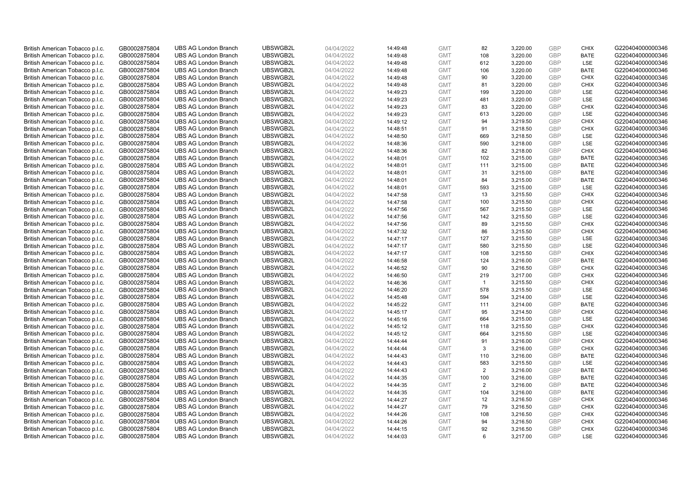| British American Tobacco p.l.c. | GB0002875804 | <b>UBS AG London Branch</b> | UBSWGB2L | 04/04/2022 | 14:49:48 | <b>GMT</b> | 82             | 3,220.00 | <b>GBP</b>               | <b>CHIX</b> | G220404000000346 |
|---------------------------------|--------------|-----------------------------|----------|------------|----------|------------|----------------|----------|--------------------------|-------------|------------------|
| British American Tobacco p.l.c. | GB0002875804 | <b>UBS AG London Branch</b> | UBSWGB2L | 04/04/2022 | 14:49:48 | <b>GMT</b> | 108            | 3,220.00 | <b>GBP</b>               | <b>BATE</b> | G220404000000346 |
| British American Tobacco p.l.c. | GB0002875804 | <b>UBS AG London Branch</b> | UBSWGB2L | 04/04/2022 | 14:49:48 | <b>GMT</b> | 612            | 3,220.00 | <b>GBP</b>               | LSE         | G220404000000346 |
|                                 |              |                             | UBSWGB2L |            |          |            |                |          | <b>GBP</b>               |             |                  |
| British American Tobacco p.l.c. | GB0002875804 | <b>UBS AG London Branch</b> |          | 04/04/2022 | 14:49:48 | <b>GMT</b> | 106            | 3,220.00 |                          | <b>BATE</b> | G220404000000346 |
| British American Tobacco p.l.c. | GB0002875804 | <b>UBS AG London Branch</b> | UBSWGB2L | 04/04/2022 | 14:49:48 | <b>GMT</b> | 90             | 3,220.00 | <b>GBP</b>               | <b>CHIX</b> | G220404000000346 |
| British American Tobacco p.l.c. | GB0002875804 | <b>UBS AG London Branch</b> | UBSWGB2L | 04/04/2022 | 14:49:48 | <b>GMT</b> | 81             | 3,220.00 | <b>GBP</b>               | <b>CHIX</b> | G220404000000346 |
| British American Tobacco p.l.c. | GB0002875804 | <b>UBS AG London Branch</b> | UBSWGB2L | 04/04/2022 | 14:49:23 | <b>GMT</b> | 199            | 3,220.00 | <b>GBP</b>               | LSE         | G220404000000346 |
| British American Tobacco p.l.c. | GB0002875804 | <b>UBS AG London Branch</b> | UBSWGB2L | 04/04/2022 | 14:49:23 | <b>GMT</b> | 481            | 3,220.00 | <b>GBP</b>               | LSE         | G220404000000346 |
| British American Tobacco p.l.c. | GB0002875804 | <b>UBS AG London Branch</b> | UBSWGB2L | 04/04/2022 | 14:49:23 | <b>GMT</b> | 83             | 3,220.00 | <b>GBP</b>               | <b>CHIX</b> | G220404000000346 |
| British American Tobacco p.l.c. | GB0002875804 | <b>UBS AG London Branch</b> | UBSWGB2L | 04/04/2022 | 14:49:23 | <b>GMT</b> | 613            | 3,220.00 | <b>GBP</b>               | LSE         | G220404000000346 |
| British American Tobacco p.l.c. | GB0002875804 | <b>UBS AG London Branch</b> | UBSWGB2L | 04/04/2022 | 14:49:12 | <b>GMT</b> | 94             | 3,219.50 | <b>GBP</b>               | <b>CHIX</b> | G220404000000346 |
| British American Tobacco p.l.c. | GB0002875804 | <b>UBS AG London Branch</b> | UBSWGB2L | 04/04/2022 | 14:48:51 | <b>GMT</b> | 91             | 3,218.50 | <b>GBP</b>               | <b>CHIX</b> | G220404000000346 |
| British American Tobacco p.l.c. | GB0002875804 | <b>UBS AG London Branch</b> | UBSWGB2L | 04/04/2022 | 14:48:50 | <b>GMT</b> | 669            | 3,218.50 | <b>GBP</b>               | LSE         | G220404000000346 |
| British American Tobacco p.l.c. | GB0002875804 | <b>UBS AG London Branch</b> | UBSWGB2L | 04/04/2022 | 14:48:36 | <b>GMT</b> | 590            | 3,218.00 | <b>GBP</b>               | LSE         | G220404000000346 |
| British American Tobacco p.l.c. | GB0002875804 | <b>UBS AG London Branch</b> | UBSWGB2L | 04/04/2022 | 14:48:36 | <b>GMT</b> | 82             | 3,218.00 | <b>GBP</b>               | <b>CHIX</b> | G220404000000346 |
| British American Tobacco p.l.c. | GB0002875804 | <b>UBS AG London Branch</b> | UBSWGB2L | 04/04/2022 | 14:48:01 | <b>GMT</b> | 102            | 3,215.00 | <b>GBP</b>               | <b>BATE</b> | G220404000000346 |
| British American Tobacco p.l.c. | GB0002875804 | <b>UBS AG London Branch</b> | UBSWGB2L | 04/04/2022 | 14:48:01 | <b>GMT</b> | 111            | 3,215.00 | GBP                      | <b>BATE</b> | G220404000000346 |
| British American Tobacco p.l.c. | GB0002875804 | <b>UBS AG London Branch</b> | UBSWGB2L | 04/04/2022 | 14:48:01 | <b>GMT</b> | 31             | 3,215.00 | <b>GBP</b>               | <b>BATE</b> | G220404000000346 |
| British American Tobacco p.l.c. | GB0002875804 | <b>UBS AG London Branch</b> | UBSWGB2L | 04/04/2022 | 14:48:01 | <b>GMT</b> | 84             | 3,215.00 | <b>GBP</b>               | <b>BATE</b> | G220404000000346 |
| British American Tobacco p.l.c. | GB0002875804 | <b>UBS AG London Branch</b> | UBSWGB2L | 04/04/2022 | 14:48:01 | <b>GMT</b> | 593            | 3,215.00 | <b>GBP</b>               | LSE         | G220404000000346 |
| British American Tobacco p.l.c. | GB0002875804 | <b>UBS AG London Branch</b> | UBSWGB2L | 04/04/2022 | 14:47:58 | <b>GMT</b> | 13             | 3,215.50 | <b>GBP</b>               | <b>CHIX</b> | G220404000000346 |
| British American Tobacco p.l.c. | GB0002875804 | <b>UBS AG London Branch</b> | UBSWGB2L | 04/04/2022 | 14:47:58 | <b>GMT</b> | 100            | 3,215.50 | <b>GBP</b>               | <b>CHIX</b> | G220404000000346 |
| British American Tobacco p.l.c. | GB0002875804 | <b>UBS AG London Branch</b> | UBSWGB2L | 04/04/2022 | 14:47:56 | <b>GMT</b> | 567            | 3,215.50 | <b>GBP</b>               | LSE         | G220404000000346 |
| British American Tobacco p.l.c. | GB0002875804 | <b>UBS AG London Branch</b> | UBSWGB2L | 04/04/2022 | 14:47:56 | <b>GMT</b> | 142            | 3,215.50 | <b>GBP</b>               | <b>LSE</b>  | G220404000000346 |
| British American Tobacco p.l.c. | GB0002875804 | <b>UBS AG London Branch</b> | UBSWGB2L | 04/04/2022 | 14:47:56 | <b>GMT</b> | 89             | 3,215.50 | <b>GBP</b>               | <b>CHIX</b> | G220404000000346 |
| British American Tobacco p.l.c. | GB0002875804 | <b>UBS AG London Branch</b> | UBSWGB2L | 04/04/2022 | 14:47:32 | <b>GMT</b> | 86             | 3,215.50 | <b>GBP</b>               | <b>CHIX</b> | G220404000000346 |
| British American Tobacco p.l.c. | GB0002875804 | <b>UBS AG London Branch</b> | UBSWGB2L | 04/04/2022 | 14:47:17 | <b>GMT</b> | 127            | 3,215.50 | <b>GBP</b>               | LSE         | G220404000000346 |
| British American Tobacco p.l.c. | GB0002875804 | <b>UBS AG London Branch</b> | UBSWGB2L | 04/04/2022 | 14:47:17 | <b>GMT</b> | 580            | 3,215.50 | <b>GBP</b>               | LSE         | G220404000000346 |
| British American Tobacco p.l.c. | GB0002875804 | <b>UBS AG London Branch</b> | UBSWGB2L | 04/04/2022 | 14:47:17 | <b>GMT</b> | 108            | 3,215.50 | <b>GBP</b>               | <b>CHIX</b> | G220404000000346 |
| British American Tobacco p.l.c. | GB0002875804 | <b>UBS AG London Branch</b> | UBSWGB2L | 04/04/2022 | 14:46:58 | <b>GMT</b> | 124            | 3,216.00 | <b>GBP</b>               | <b>BATE</b> | G220404000000346 |
| British American Tobacco p.l.c. | GB0002875804 | <b>UBS AG London Branch</b> | UBSWGB2L | 04/04/2022 | 14:46:52 | <b>GMT</b> | 90             | 3,216.50 | <b>GBP</b>               | <b>CHIX</b> | G220404000000346 |
| British American Tobacco p.l.c. | GB0002875804 | <b>UBS AG London Branch</b> | UBSWGB2L | 04/04/2022 | 14:46:50 | <b>GMT</b> | 219            | 3,217.00 | <b>GBP</b>               | <b>CHIX</b> | G220404000000346 |
| British American Tobacco p.l.c. | GB0002875804 | <b>UBS AG London Branch</b> | UBSWGB2L | 04/04/2022 | 14:46:36 | <b>GMT</b> | $\overline{1}$ | 3,215.50 | <b>GBP</b>               | <b>CHIX</b> | G220404000000346 |
| British American Tobacco p.l.c. | GB0002875804 | <b>UBS AG London Branch</b> | UBSWGB2L | 04/04/2022 | 14:46:20 | <b>GMT</b> | 578            | 3,215.50 | <b>GBP</b>               | LSE         | G220404000000346 |
| British American Tobacco p.l.c. | GB0002875804 | <b>UBS AG London Branch</b> | UBSWGB2L | 04/04/2022 | 14:45:48 | <b>GMT</b> | 594            | 3,214.00 | <b>GBP</b>               | LSE         | G220404000000346 |
| British American Tobacco p.l.c. | GB0002875804 | <b>UBS AG London Branch</b> | UBSWGB2L | 04/04/2022 | 14:45:22 | <b>GMT</b> | 111            | 3,214.00 | <b>GBP</b>               | <b>BATE</b> | G220404000000346 |
| British American Tobacco p.l.c. | GB0002875804 | <b>UBS AG London Branch</b> | UBSWGB2L | 04/04/2022 | 14:45:17 | <b>GMT</b> | 95             | 3,214.50 | <b>GBP</b>               | <b>CHIX</b> | G220404000000346 |
| British American Tobacco p.l.c. | GB0002875804 | <b>UBS AG London Branch</b> | UBSWGB2L | 04/04/2022 | 14:45:16 | <b>GMT</b> | 664            | 3,215.00 | <b>GBP</b>               | LSE         | G220404000000346 |
|                                 |              | <b>UBS AG London Branch</b> | UBSWGB2L |            |          | <b>GMT</b> | 118            |          | <b>GBP</b>               | <b>CHIX</b> | G220404000000346 |
| British American Tobacco p.l.c. | GB0002875804 |                             |          | 04/04/2022 | 14:45:12 |            |                | 3,215.50 |                          |             |                  |
| British American Tobacco p.l.c. | GB0002875804 | <b>UBS AG London Branch</b> | UBSWGB2L | 04/04/2022 | 14:45:12 | <b>GMT</b> | 664            | 3,215.50 | <b>GBP</b><br><b>GBP</b> | <b>LSE</b>  | G220404000000346 |
| British American Tobacco p.l.c. | GB0002875804 | <b>UBS AG London Branch</b> | UBSWGB2L | 04/04/2022 | 14:44:44 | <b>GMT</b> | 91             | 3,216.00 |                          | <b>CHIX</b> | G220404000000346 |
| British American Tobacco p.l.c. | GB0002875804 | <b>UBS AG London Branch</b> | UBSWGB2L | 04/04/2022 | 14:44:44 | <b>GMT</b> | 3              | 3,216.00 | <b>GBP</b>               | <b>CHIX</b> | G220404000000346 |
| British American Tobacco p.l.c. | GB0002875804 | <b>UBS AG London Branch</b> | UBSWGB2L | 04/04/2022 | 14:44:43 | <b>GMT</b> | 110            | 3,216.00 | <b>GBP</b>               | <b>BATE</b> | G220404000000346 |
| British American Tobacco p.l.c. | GB0002875804 | <b>UBS AG London Branch</b> | UBSWGB2L | 04/04/2022 | 14:44:43 | <b>GMT</b> | 583            | 3,215.50 | <b>GBP</b>               | LSE         | G220404000000346 |
| British American Tobacco p.l.c. | GB0002875804 | <b>UBS AG London Branch</b> | UBSWGB2L | 04/04/2022 | 14:44:43 | <b>GMT</b> | 2              | 3,216.00 | <b>GBP</b>               | <b>BATE</b> | G220404000000346 |
| British American Tobacco p.l.c. | GB0002875804 | <b>UBS AG London Branch</b> | UBSWGB2L | 04/04/2022 | 14:44:35 | <b>GMT</b> | 100            | 3,216.00 | <b>GBP</b>               | <b>BATE</b> | G220404000000346 |
| British American Tobacco p.l.c. | GB0002875804 | <b>UBS AG London Branch</b> | UBSWGB2L | 04/04/2022 | 14:44:35 | <b>GMT</b> | 2              | 3,216.00 | <b>GBP</b>               | <b>BATE</b> | G220404000000346 |
| British American Tobacco p.l.c. | GB0002875804 | <b>UBS AG London Branch</b> | UBSWGB2L | 04/04/2022 | 14:44:35 | <b>GMT</b> | 104            | 3,216.00 | <b>GBP</b>               | <b>BATE</b> | G220404000000346 |
| British American Tobacco p.l.c. | GB0002875804 | <b>UBS AG London Branch</b> | UBSWGB2L | 04/04/2022 | 14:44:27 | <b>GMT</b> | 12             | 3,216.50 | <b>GBP</b>               | <b>CHIX</b> | G220404000000346 |
| British American Tobacco p.l.c. | GB0002875804 | <b>UBS AG London Branch</b> | UBSWGB2L | 04/04/2022 | 14:44:27 | <b>GMT</b> | 79             | 3,216.50 | <b>GBP</b>               | <b>CHIX</b> | G220404000000346 |
| British American Tobacco p.l.c. | GB0002875804 | <b>UBS AG London Branch</b> | UBSWGB2L | 04/04/2022 | 14:44:26 | <b>GMT</b> | 108            | 3,216.50 | <b>GBP</b>               | <b>CHIX</b> | G220404000000346 |
| British American Tobacco p.l.c. | GB0002875804 | <b>UBS AG London Branch</b> | UBSWGB2L | 04/04/2022 | 14:44:26 | <b>GMT</b> | 94             | 3,216.50 | <b>GBP</b>               | <b>CHIX</b> | G220404000000346 |
| British American Tobacco p.l.c. | GB0002875804 | <b>UBS AG London Branch</b> | UBSWGB2L | 04/04/2022 | 14:44:15 | <b>GMT</b> | 92             | 3,216.50 | <b>GBP</b>               | <b>CHIX</b> | G220404000000346 |
| British American Tobacco p.l.c. | GB0002875804 | <b>UBS AG London Branch</b> | UBSWGB2L | 04/04/2022 | 14:44:03 | <b>GMT</b> | 6              | 3.217.00 | GBP                      | <b>LSE</b>  | G220404000000346 |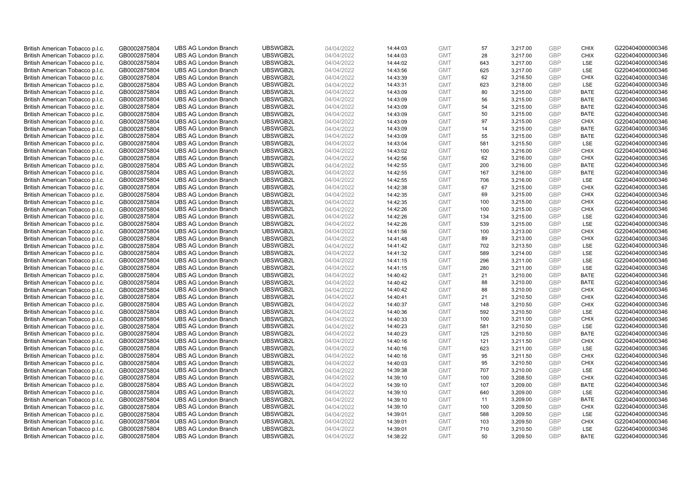| British American Tobacco p.l.c. | GB0002875804 | <b>UBS AG London Branch</b> | UBSWGB2L | 04/04/2022 | 14:44:03 | <b>GMT</b> | 57  | 3,217.00 | <b>GBP</b>               | <b>CHIX</b>                | G220404000000346 |
|---------------------------------|--------------|-----------------------------|----------|------------|----------|------------|-----|----------|--------------------------|----------------------------|------------------|
| British American Tobacco p.l.c. | GB0002875804 | <b>UBS AG London Branch</b> | UBSWGB2L | 04/04/2022 | 14:44:03 | <b>GMT</b> | 28  | 3,217.00 | <b>GBP</b>               | <b>CHIX</b>                | G220404000000346 |
| British American Tobacco p.l.c. | GB0002875804 | <b>UBS AG London Branch</b> | UBSWGB2L | 04/04/2022 | 14:44:02 | <b>GMT</b> | 643 | 3,217.00 | <b>GBP</b>               | LSE                        | G220404000000346 |
|                                 |              |                             | UBSWGB2L |            |          |            |     |          | <b>GBP</b>               |                            |                  |
| British American Tobacco p.l.c. | GB0002875804 | <b>UBS AG London Branch</b> |          | 04/04/2022 | 14:43:56 | <b>GMT</b> | 625 | 3,217.00 |                          | LSE                        | G220404000000346 |
| British American Tobacco p.l.c. | GB0002875804 | <b>UBS AG London Branch</b> | UBSWGB2L | 04/04/2022 | 14:43:39 | <b>GMT</b> | 62  | 3,216.50 | <b>GBP</b>               | <b>CHIX</b>                | G220404000000346 |
| British American Tobacco p.l.c. | GB0002875804 | <b>UBS AG London Branch</b> | UBSWGB2L | 04/04/2022 | 14:43:31 | <b>GMT</b> | 623 | 3,218.00 | <b>GBP</b>               | LSE                        | G220404000000346 |
| British American Tobacco p.l.c. | GB0002875804 | <b>UBS AG London Branch</b> | UBSWGB2L | 04/04/2022 | 14:43:09 | <b>GMT</b> | 80  | 3,215.00 | <b>GBP</b>               | <b>BATE</b>                | G220404000000346 |
| British American Tobacco p.l.c. | GB0002875804 | <b>UBS AG London Branch</b> | UBSWGB2L | 04/04/2022 | 14:43:09 | <b>GMT</b> | 56  | 3,215.00 | <b>GBP</b>               | <b>BATE</b>                | G220404000000346 |
| British American Tobacco p.l.c. | GB0002875804 | <b>UBS AG London Branch</b> | UBSWGB2L | 04/04/2022 | 14:43:09 | <b>GMT</b> | 54  | 3,215.00 | <b>GBP</b>               | <b>BATE</b>                | G220404000000346 |
| British American Tobacco p.l.c. | GB0002875804 | <b>UBS AG London Branch</b> | UBSWGB2L | 04/04/2022 | 14:43:09 | <b>GMT</b> | 50  | 3,215.00 | <b>GBP</b>               | <b>BATE</b>                | G220404000000346 |
| British American Tobacco p.l.c. | GB0002875804 | <b>UBS AG London Branch</b> | UBSWGB2L | 04/04/2022 | 14:43:09 | <b>GMT</b> | 97  | 3,215.00 | <b>GBP</b>               | <b>CHIX</b>                | G220404000000346 |
| British American Tobacco p.l.c. | GB0002875804 | <b>UBS AG London Branch</b> | UBSWGB2L | 04/04/2022 | 14:43:09 | <b>GMT</b> | 14  | 3,215.00 | <b>GBP</b>               | <b>BATE</b>                | G220404000000346 |
| British American Tobacco p.l.c. | GB0002875804 | <b>UBS AG London Branch</b> | UBSWGB2L | 04/04/2022 | 14:43:09 | <b>GMT</b> | 55  | 3,215.00 | <b>GBP</b>               | <b>BATE</b>                | G220404000000346 |
| British American Tobacco p.l.c. | GB0002875804 | <b>UBS AG London Branch</b> | UBSWGB2L | 04/04/2022 | 14:43:04 | <b>GMT</b> | 581 | 3,215.50 | <b>GBP</b>               | LSE                        | G220404000000346 |
| British American Tobacco p.l.c. | GB0002875804 | <b>UBS AG London Branch</b> | UBSWGB2L | 04/04/2022 | 14:43:02 | <b>GMT</b> | 100 | 3,216.00 | <b>GBP</b>               | <b>CHIX</b>                | G220404000000346 |
| British American Tobacco p.l.c. | GB0002875804 | <b>UBS AG London Branch</b> | UBSWGB2L | 04/04/2022 | 14:42:56 | <b>GMT</b> | 62  | 3,216.00 | <b>GBP</b>               | <b>CHIX</b>                | G220404000000346 |
| British American Tobacco p.l.c. | GB0002875804 | <b>UBS AG London Branch</b> | UBSWGB2L | 04/04/2022 | 14:42:55 | <b>GMT</b> | 200 | 3,216.00 | <b>GBP</b>               | <b>BATE</b>                | G220404000000346 |
| British American Tobacco p.l.c. | GB0002875804 | <b>UBS AG London Branch</b> | UBSWGB2L | 04/04/2022 | 14:42:55 | <b>GMT</b> | 167 | 3,216.00 | <b>GBP</b>               | <b>BATE</b>                | G220404000000346 |
| British American Tobacco p.l.c. | GB0002875804 | <b>UBS AG London Branch</b> | UBSWGB2L | 04/04/2022 | 14:42:55 | <b>GMT</b> | 706 | 3,216.00 | <b>GBP</b>               | <b>LSE</b>                 | G220404000000346 |
| British American Tobacco p.l.c. | GB0002875804 | <b>UBS AG London Branch</b> | UBSWGB2L | 04/04/2022 | 14:42:38 | <b>GMT</b> | 67  | 3,215.00 | <b>GBP</b>               | <b>CHIX</b>                | G220404000000346 |
| British American Tobacco p.l.c. | GB0002875804 | <b>UBS AG London Branch</b> | UBSWGB2L | 04/04/2022 | 14:42:35 | <b>GMT</b> | 69  | 3,215.00 | <b>GBP</b>               | <b>CHIX</b>                | G220404000000346 |
| British American Tobacco p.l.c. | GB0002875804 | <b>UBS AG London Branch</b> | UBSWGB2L | 04/04/2022 | 14:42:35 | <b>GMT</b> | 100 | 3,215.00 | <b>GBP</b>               | <b>CHIX</b>                | G220404000000346 |
| British American Tobacco p.l.c. | GB0002875804 | <b>UBS AG London Branch</b> | UBSWGB2L | 04/04/2022 | 14:42:26 | <b>GMT</b> | 100 | 3,215.00 | <b>GBP</b>               | <b>CHIX</b>                | G220404000000346 |
| British American Tobacco p.l.c. | GB0002875804 | <b>UBS AG London Branch</b> | UBSWGB2L | 04/04/2022 | 14:42:26 | <b>GMT</b> | 134 | 3,215.00 | <b>GBP</b>               | <b>LSE</b>                 | G220404000000346 |
| British American Tobacco p.l.c. | GB0002875804 | <b>UBS AG London Branch</b> | UBSWGB2L | 04/04/2022 | 14:42:26 | <b>GMT</b> | 539 | 3,215.00 | <b>GBP</b>               | LSE                        | G220404000000346 |
| British American Tobacco p.l.c. | GB0002875804 | <b>UBS AG London Branch</b> | UBSWGB2L | 04/04/2022 | 14:41:56 | <b>GMT</b> | 100 | 3,213.00 | <b>GBP</b>               | <b>CHIX</b>                | G220404000000346 |
| British American Tobacco p.l.c. | GB0002875804 | <b>UBS AG London Branch</b> | UBSWGB2L | 04/04/2022 | 14:41:48 | <b>GMT</b> | 89  | 3,213.00 | <b>GBP</b>               | <b>CHIX</b>                | G220404000000346 |
| British American Tobacco p.l.c. | GB0002875804 | <b>UBS AG London Branch</b> | UBSWGB2L | 04/04/2022 | 14:41:42 | <b>GMT</b> | 702 | 3,213.50 | <b>GBP</b>               | <b>LSE</b>                 | G220404000000346 |
| British American Tobacco p.l.c. | GB0002875804 | <b>UBS AG London Branch</b> | UBSWGB2L | 04/04/2022 | 14:41:32 | <b>GMT</b> | 589 | 3,214.00 | <b>GBP</b>               | LSE                        | G220404000000346 |
| British American Tobacco p.l.c. | GB0002875804 | <b>UBS AG London Branch</b> | UBSWGB2L | 04/04/2022 | 14:41:15 | <b>GMT</b> | 296 | 3,211.00 | <b>GBP</b>               | LSE                        | G220404000000346 |
| British American Tobacco p.l.c. | GB0002875804 | <b>UBS AG London Branch</b> | UBSWGB2L | 04/04/2022 | 14:41:15 | <b>GMT</b> | 280 | 3,211.00 | <b>GBP</b>               | LSE                        | G220404000000346 |
| British American Tobacco p.l.c. | GB0002875804 | <b>UBS AG London Branch</b> | UBSWGB2L | 04/04/2022 | 14:40:42 | <b>GMT</b> | 21  | 3,210.00 | <b>GBP</b>               | BATE                       | G220404000000346 |
| British American Tobacco p.l.c. | GB0002875804 | <b>UBS AG London Branch</b> | UBSWGB2L | 04/04/2022 | 14:40:42 | <b>GMT</b> | 88  | 3,210.00 | <b>GBP</b>               | <b>BATE</b>                | G220404000000346 |
| British American Tobacco p.l.c. | GB0002875804 | <b>UBS AG London Branch</b> | UBSWGB2L | 04/04/2022 | 14:40:42 | <b>GMT</b> | 88  | 3,210.00 | GBP                      | <b>CHIX</b>                | G220404000000346 |
| British American Tobacco p.l.c. | GB0002875804 | <b>UBS AG London Branch</b> | UBSWGB2L | 04/04/2022 | 14:40:41 | <b>GMT</b> | 21  | 3,210.50 | <b>GBP</b>               | <b>CHIX</b>                | G220404000000346 |
| British American Tobacco p.l.c. | GB0002875804 | <b>UBS AG London Branch</b> | UBSWGB2L | 04/04/2022 | 14:40:37 | <b>GMT</b> | 148 | 3,210.50 | <b>GBP</b>               | <b>CHIX</b>                | G220404000000346 |
| British American Tobacco p.l.c. | GB0002875804 | <b>UBS AG London Branch</b> | UBSWGB2L | 04/04/2022 | 14:40:36 | <b>GMT</b> | 592 | 3,210.50 | <b>GBP</b>               | <b>LSE</b>                 | G220404000000346 |
| British American Tobacco p.l.c. | GB0002875804 | <b>UBS AG London Branch</b> | UBSWGB2L | 04/04/2022 | 14:40:33 | <b>GMT</b> | 100 | 3,211.00 | <b>GBP</b>               | <b>CHIX</b>                | G220404000000346 |
|                                 |              | <b>UBS AG London Branch</b> | UBSWGB2L |            |          | <b>GMT</b> | 581 |          | <b>GBP</b>               | LSE                        | G220404000000346 |
| British American Tobacco p.l.c. | GB0002875804 |                             |          | 04/04/2022 | 14:40:23 |            |     | 3,210.50 |                          |                            |                  |
| British American Tobacco p.l.c. | GB0002875804 | <b>UBS AG London Branch</b> | UBSWGB2L | 04/04/2022 | 14:40:23 | <b>GMT</b> | 125 | 3,210.50 | <b>GBP</b><br><b>GBP</b> | <b>BATE</b><br><b>CHIX</b> | G220404000000346 |
| British American Tobacco p.l.c. | GB0002875804 | <b>UBS AG London Branch</b> | UBSWGB2L | 04/04/2022 | 14:40:16 | <b>GMT</b> | 121 | 3,211.50 |                          |                            | G220404000000346 |
| British American Tobacco p.l.c. | GB0002875804 | <b>UBS AG London Branch</b> | UBSWGB2L | 04/04/2022 | 14:40:16 | <b>GMT</b> | 623 | 3,211.00 | <b>GBP</b>               | LSE                        | G220404000000346 |
| British American Tobacco p.l.c. | GB0002875804 | <b>UBS AG London Branch</b> | UBSWGB2L | 04/04/2022 | 14:40:16 | <b>GMT</b> | 95  | 3,211.50 | <b>GBP</b>               | <b>CHIX</b>                | G220404000000346 |
| British American Tobacco p.l.c. | GB0002875804 | <b>UBS AG London Branch</b> | UBSWGB2L | 04/04/2022 | 14:40:03 | <b>GMT</b> | 95  | 3,210.50 | <b>GBP</b>               | <b>CHIX</b>                | G220404000000346 |
| British American Tobacco p.l.c. | GB0002875804 | <b>UBS AG London Branch</b> | UBSWGB2L | 04/04/2022 | 14:39:38 | <b>GMT</b> | 707 | 3,210.00 | <b>GBP</b>               | LSE                        | G220404000000346 |
| British American Tobacco p.l.c. | GB0002875804 | <b>UBS AG London Branch</b> | UBSWGB2L | 04/04/2022 | 14:39:10 | <b>GMT</b> | 100 | 3,208.50 | <b>GBP</b>               | <b>CHIX</b>                | G220404000000346 |
| British American Tobacco p.l.c. | GB0002875804 | <b>UBS AG London Branch</b> | UBSWGB2L | 04/04/2022 | 14:39:10 | <b>GMT</b> | 107 | 3,209.00 | <b>GBP</b>               | <b>BATE</b>                | G220404000000346 |
| British American Tobacco p.l.c. | GB0002875804 | <b>UBS AG London Branch</b> | UBSWGB2L | 04/04/2022 | 14:39:10 | <b>GMT</b> | 640 | 3,209.00 | <b>GBP</b>               | LSE                        | G220404000000346 |
| British American Tobacco p.l.c. | GB0002875804 | <b>UBS AG London Branch</b> | UBSWGB2L | 04/04/2022 | 14:39:10 | <b>GMT</b> | 11  | 3,209.00 | <b>GBP</b>               | <b>BATE</b>                | G220404000000346 |
| British American Tobacco p.l.c. | GB0002875804 | <b>UBS AG London Branch</b> | UBSWGB2L | 04/04/2022 | 14:39:10 | <b>GMT</b> | 100 | 3,209.50 | <b>GBP</b>               | <b>CHIX</b>                | G220404000000346 |
| British American Tobacco p.l.c. | GB0002875804 | <b>UBS AG London Branch</b> | UBSWGB2L | 04/04/2022 | 14:39:01 | <b>GMT</b> | 588 | 3,209.50 | <b>GBP</b>               | LSE                        | G220404000000346 |
| British American Tobacco p.l.c. | GB0002875804 | <b>UBS AG London Branch</b> | UBSWGB2L | 04/04/2022 | 14:39:01 | <b>GMT</b> | 103 | 3,209.50 | <b>GBP</b>               | <b>CHIX</b>                | G220404000000346 |
| British American Tobacco p.l.c. | GB0002875804 | <b>UBS AG London Branch</b> | UBSWGB2L | 04/04/2022 | 14:39:01 | <b>GMT</b> | 710 | 3,210.50 | <b>GBP</b>               | <b>LSE</b>                 | G220404000000346 |
| British American Tobacco p.l.c. | GB0002875804 | <b>UBS AG London Branch</b> | UBSWGB2L | 04/04/2022 | 14:38:22 | <b>GMT</b> | 50  | 3.209.50 | GBP                      | <b>BATE</b>                | G220404000000346 |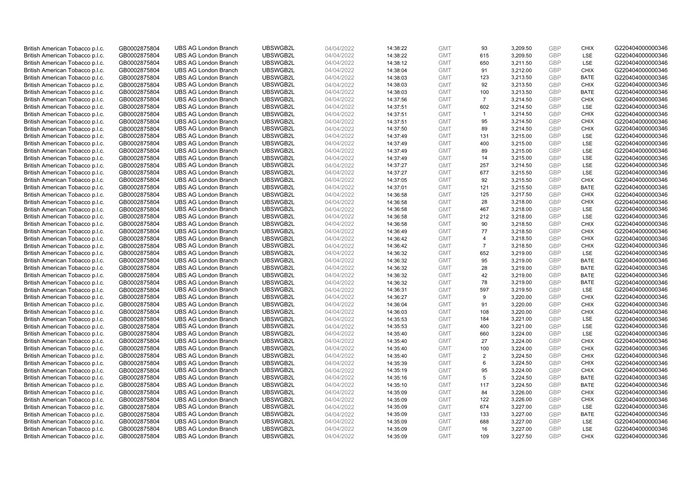| British American Tobacco p.l.c. | GB0002875804 | <b>UBS AG London Branch</b> | UBSWGB2L | 04/04/2022 | 14:38:22 | <b>GMT</b> | 93             | 3,209.50 | <b>GBP</b>               | <b>CHIX</b>        | G220404000000346 |
|---------------------------------|--------------|-----------------------------|----------|------------|----------|------------|----------------|----------|--------------------------|--------------------|------------------|
| British American Tobacco p.l.c. | GB0002875804 | <b>UBS AG London Branch</b> | UBSWGB2L | 04/04/2022 | 14:38:22 | <b>GMT</b> | 615            | 3,209.50 | <b>GBP</b>               | <b>LSE</b>         | G220404000000346 |
| British American Tobacco p.l.c. | GB0002875804 | <b>UBS AG London Branch</b> | UBSWGB2L | 04/04/2022 | 14:38:12 | <b>GMT</b> | 650            | 3,211.50 | <b>GBP</b>               | LSE                | G220404000000346 |
|                                 |              |                             | UBSWGB2L |            |          |            |                |          | <b>GBP</b>               |                    |                  |
| British American Tobacco p.l.c. | GB0002875804 | <b>UBS AG London Branch</b> |          | 04/04/2022 | 14:38:04 | <b>GMT</b> | 91             | 3,212.00 |                          | <b>CHIX</b>        | G220404000000346 |
| British American Tobacco p.l.c. | GB0002875804 | <b>UBS AG London Branch</b> | UBSWGB2L | 04/04/2022 | 14:38:03 | <b>GMT</b> | 123            | 3,213.50 | <b>GBP</b>               | <b>BATE</b>        | G220404000000346 |
| British American Tobacco p.l.c. | GB0002875804 | <b>UBS AG London Branch</b> | UBSWGB2L | 04/04/2022 | 14:38:03 | <b>GMT</b> | 92             | 3,213.50 | <b>GBP</b>               | <b>CHIX</b>        | G220404000000346 |
| British American Tobacco p.l.c. | GB0002875804 | <b>UBS AG London Branch</b> | UBSWGB2L | 04/04/2022 | 14:38:03 | <b>GMT</b> | 100            | 3,213.50 | <b>GBP</b>               | <b>BATE</b>        | G220404000000346 |
| British American Tobacco p.l.c. | GB0002875804 | <b>UBS AG London Branch</b> | UBSWGB2L | 04/04/2022 | 14:37:56 | <b>GMT</b> | $\overline{7}$ | 3,214.50 | <b>GBP</b>               | <b>CHIX</b>        | G220404000000346 |
| British American Tobacco p.l.c. | GB0002875804 | <b>UBS AG London Branch</b> | UBSWGB2L | 04/04/2022 | 14:37:51 | <b>GMT</b> | 602            | 3,214.50 | <b>GBP</b>               | LSE                | G220404000000346 |
| British American Tobacco p.l.c. | GB0002875804 | <b>UBS AG London Branch</b> | UBSWGB2L | 04/04/2022 | 14:37:51 | <b>GMT</b> | $\mathbf{1}$   | 3,214.50 | <b>GBP</b>               | <b>CHIX</b>        | G220404000000346 |
| British American Tobacco p.l.c. | GB0002875804 | <b>UBS AG London Branch</b> | UBSWGB2L | 04/04/2022 | 14:37:51 | <b>GMT</b> | 95             | 3,214.50 | <b>GBP</b>               | <b>CHIX</b>        | G220404000000346 |
| British American Tobacco p.l.c. | GB0002875804 | <b>UBS AG London Branch</b> | UBSWGB2L | 04/04/2022 | 14:37:50 | <b>GMT</b> | 89             | 3,214.50 | <b>GBP</b>               | <b>CHIX</b>        | G220404000000346 |
| British American Tobacco p.l.c. | GB0002875804 | <b>UBS AG London Branch</b> | UBSWGB2L | 04/04/2022 | 14:37:49 | <b>GMT</b> | 131            | 3,215.00 | <b>GBP</b>               | LSE                | G220404000000346 |
| British American Tobacco p.l.c. | GB0002875804 | <b>UBS AG London Branch</b> | UBSWGB2L | 04/04/2022 | 14:37:49 | <b>GMT</b> | 400            | 3,215.00 | <b>GBP</b>               | LSE                | G220404000000346 |
| British American Tobacco p.l.c. | GB0002875804 | <b>UBS AG London Branch</b> | UBSWGB2L | 04/04/2022 | 14:37:49 | <b>GMT</b> | 89             | 3,215.00 | GBP                      | <b>LSE</b>         | G220404000000346 |
| British American Tobacco p.l.c. | GB0002875804 | <b>UBS AG London Branch</b> | UBSWGB2L | 04/04/2022 | 14:37:49 | <b>GMT</b> | 14             | 3,215.00 | <b>GBP</b>               | LSE                | G220404000000346 |
| British American Tobacco p.l.c. | GB0002875804 | <b>UBS AG London Branch</b> | UBSWGB2L | 04/04/2022 | 14:37:27 | <b>GMT</b> | 257            | 3,214.50 | <b>GBP</b>               | LSE                | G220404000000346 |
| British American Tobacco p.l.c. | GB0002875804 | <b>UBS AG London Branch</b> | UBSWGB2L | 04/04/2022 | 14:37:27 | <b>GMT</b> | 677            | 3,215.50 | <b>GBP</b>               | LSE                | G220404000000346 |
| British American Tobacco p.l.c. | GB0002875804 | <b>UBS AG London Branch</b> | UBSWGB2L | 04/04/2022 | 14:37:05 | <b>GMT</b> | 92             | 3,215.50 | <b>GBP</b>               | <b>CHIX</b>        | G220404000000346 |
| British American Tobacco p.l.c. | GB0002875804 | <b>UBS AG London Branch</b> | UBSWGB2L | 04/04/2022 | 14:37:01 | <b>GMT</b> | 121            | 3,215.50 | <b>GBP</b>               | <b>BATE</b>        | G220404000000346 |
| British American Tobacco p.l.c. | GB0002875804 | <b>UBS AG London Branch</b> | UBSWGB2L | 04/04/2022 | 14:36:58 | <b>GMT</b> | 125            | 3,217.50 | <b>GBP</b>               | <b>CHIX</b>        | G220404000000346 |
| British American Tobacco p.l.c. | GB0002875804 | <b>UBS AG London Branch</b> | UBSWGB2L | 04/04/2022 | 14:36:58 | <b>GMT</b> | 28             | 3,218.00 | <b>GBP</b>               | <b>CHIX</b>        | G220404000000346 |
| British American Tobacco p.l.c. | GB0002875804 | <b>UBS AG London Branch</b> | UBSWGB2L | 04/04/2022 | 14:36:58 | <b>GMT</b> | 467            | 3,218.00 | <b>GBP</b>               | LSE                | G220404000000346 |
| British American Tobacco p.l.c. | GB0002875804 | <b>UBS AG London Branch</b> | UBSWGB2L | 04/04/2022 | 14:36:58 | <b>GMT</b> | 212            | 3,218.00 | <b>GBP</b>               | <b>LSE</b>         | G220404000000346 |
| British American Tobacco p.l.c. | GB0002875804 | <b>UBS AG London Branch</b> | UBSWGB2L | 04/04/2022 | 14:36:58 | <b>GMT</b> | 90             | 3,218.50 | <b>GBP</b>               | <b>CHIX</b>        | G220404000000346 |
| British American Tobacco p.l.c. | GB0002875804 | <b>UBS AG London Branch</b> | UBSWGB2L | 04/04/2022 | 14:36:49 | <b>GMT</b> | 77             | 3,218.50 | <b>GBP</b>               | <b>CHIX</b>        | G220404000000346 |
| British American Tobacco p.l.c. | GB0002875804 | <b>UBS AG London Branch</b> | UBSWGB2L | 04/04/2022 | 14:36:42 | <b>GMT</b> | $\overline{4}$ | 3,218.50 | <b>GBP</b>               | <b>CHIX</b>        | G220404000000346 |
| British American Tobacco p.l.c. | GB0002875804 | <b>UBS AG London Branch</b> | UBSWGB2L | 04/04/2022 | 14:36:42 | <b>GMT</b> | $\overline{7}$ | 3,218.50 | <b>GBP</b>               | <b>CHIX</b>        | G220404000000346 |
| British American Tobacco p.l.c. | GB0002875804 | <b>UBS AG London Branch</b> | UBSWGB2L | 04/04/2022 | 14:36:32 | <b>GMT</b> | 652            | 3,219.00 | <b>GBP</b>               | LSE                | G220404000000346 |
| British American Tobacco p.l.c. | GB0002875804 | <b>UBS AG London Branch</b> | UBSWGB2L | 04/04/2022 | 14:36:32 | <b>GMT</b> | 95             | 3,219.00 | <b>GBP</b>               | <b>BATE</b>        | G220404000000346 |
| British American Tobacco p.l.c. | GB0002875804 | <b>UBS AG London Branch</b> | UBSWGB2L | 04/04/2022 | 14:36:32 | <b>GMT</b> | 28             | 3,219.00 | <b>GBP</b>               | <b>BATE</b>        | G220404000000346 |
| British American Tobacco p.l.c. | GB0002875804 | <b>UBS AG London Branch</b> | UBSWGB2L | 04/04/2022 | 14:36:32 | <b>GMT</b> | 42             | 3,219.00 | <b>GBP</b>               | BATE               | G220404000000346 |
| British American Tobacco p.l.c. | GB0002875804 | <b>UBS AG London Branch</b> | UBSWGB2L | 04/04/2022 | 14:36:32 | <b>GMT</b> | 78             | 3,219.00 | <b>GBP</b>               | <b>BATE</b>        | G220404000000346 |
| British American Tobacco p.l.c. | GB0002875804 | <b>UBS AG London Branch</b> | UBSWGB2L | 04/04/2022 | 14:36:31 | <b>GMT</b> | 597            | 3,219.50 | <b>GBP</b>               | LSE                | G220404000000346 |
| British American Tobacco p.l.c. | GB0002875804 | <b>UBS AG London Branch</b> | UBSWGB2L | 04/04/2022 | 14:36:27 | <b>GMT</b> | 9              | 3,220.00 | <b>GBP</b>               | <b>CHIX</b>        | G220404000000346 |
| British American Tobacco p.l.c. | GB0002875804 | <b>UBS AG London Branch</b> | UBSWGB2L | 04/04/2022 | 14:36:04 | <b>GMT</b> | 91             | 3,220.00 | <b>GBP</b>               | <b>CHIX</b>        | G220404000000346 |
| British American Tobacco p.l.c. | GB0002875804 | <b>UBS AG London Branch</b> | UBSWGB2L | 04/04/2022 | 14:36:03 | <b>GMT</b> | 108            | 3,220.00 | <b>GBP</b>               | <b>CHIX</b>        | G220404000000346 |
| British American Tobacco p.l.c. | GB0002875804 | <b>UBS AG London Branch</b> | UBSWGB2L | 04/04/2022 | 14:35:53 | <b>GMT</b> | 184            | 3,221.00 | <b>GBP</b>               | LSE                | G220404000000346 |
|                                 |              | <b>UBS AG London Branch</b> | UBSWGB2L |            |          | <b>GMT</b> | 400            |          | <b>GBP</b>               | LSE                | G220404000000346 |
| British American Tobacco p.l.c. | GB0002875804 |                             |          | 04/04/2022 | 14:35:53 |            |                | 3,221.00 |                          |                    |                  |
| British American Tobacco p.l.c. | GB0002875804 | <b>UBS AG London Branch</b> | UBSWGB2L | 04/04/2022 | 14:35:40 | <b>GMT</b> | 660<br>27      | 3,224.00 | <b>GBP</b><br><b>GBP</b> | LSE<br><b>CHIX</b> | G220404000000346 |
| British American Tobacco p.l.c. | GB0002875804 | <b>UBS AG London Branch</b> | UBSWGB2L | 04/04/2022 | 14:35:40 | <b>GMT</b> |                | 3,224.00 |                          |                    | G220404000000346 |
| British American Tobacco p.l.c. | GB0002875804 | <b>UBS AG London Branch</b> | UBSWGB2L | 04/04/2022 | 14:35:40 | <b>GMT</b> | 100            | 3,224.00 | <b>GBP</b>               | <b>CHIX</b>        | G220404000000346 |
| British American Tobacco p.l.c. | GB0002875804 | <b>UBS AG London Branch</b> | UBSWGB2L | 04/04/2022 | 14:35:40 | <b>GMT</b> | $\overline{2}$ | 3,224.50 | <b>GBP</b>               | <b>CHIX</b>        | G220404000000346 |
| British American Tobacco p.l.c. | GB0002875804 | <b>UBS AG London Branch</b> | UBSWGB2L | 04/04/2022 | 14:35:39 | <b>GMT</b> | 6              | 3,224.50 | <b>GBP</b>               | <b>CHIX</b>        | G220404000000346 |
| British American Tobacco p.l.c. | GB0002875804 | <b>UBS AG London Branch</b> | UBSWGB2L | 04/04/2022 | 14:35:19 | <b>GMT</b> | 95             | 3,224.00 | <b>GBP</b>               | <b>CHIX</b>        | G220404000000346 |
| British American Tobacco p.l.c. | GB0002875804 | <b>UBS AG London Branch</b> | UBSWGB2L | 04/04/2022 | 14:35:16 | <b>GMT</b> | 5              | 3,224.50 | <b>GBP</b>               | <b>BATE</b>        | G220404000000346 |
| British American Tobacco p.l.c. | GB0002875804 | <b>UBS AG London Branch</b> | UBSWGB2L | 04/04/2022 | 14:35:10 | <b>GMT</b> | 117            | 3,224.50 | <b>GBP</b>               | <b>BATE</b>        | G220404000000346 |
| British American Tobacco p.l.c. | GB0002875804 | <b>UBS AG London Branch</b> | UBSWGB2L | 04/04/2022 | 14:35:09 | <b>GMT</b> | 84             | 3,226.00 | <b>GBP</b>               | <b>CHIX</b>        | G220404000000346 |
| British American Tobacco p.l.c. | GB0002875804 | <b>UBS AG London Branch</b> | UBSWGB2L | 04/04/2022 | 14:35:09 | <b>GMT</b> | 122            | 3,226.00 | <b>GBP</b>               | <b>CHIX</b>        | G220404000000346 |
| British American Tobacco p.l.c. | GB0002875804 | <b>UBS AG London Branch</b> | UBSWGB2L | 04/04/2022 | 14:35:09 | <b>GMT</b> | 674            | 3,227.00 | <b>GBP</b>               | <b>LSE</b>         | G220404000000346 |
| British American Tobacco p.l.c. | GB0002875804 | <b>UBS AG London Branch</b> | UBSWGB2L | 04/04/2022 | 14:35:09 | <b>GMT</b> | 133            | 3,227.00 | <b>GBP</b>               | <b>BATE</b>        | G220404000000346 |
| British American Tobacco p.l.c. | GB0002875804 | <b>UBS AG London Branch</b> | UBSWGB2L | 04/04/2022 | 14:35:09 | <b>GMT</b> | 688            | 3,227.00 | <b>GBP</b>               | LSE                | G220404000000346 |
| British American Tobacco p.l.c. | GB0002875804 | <b>UBS AG London Branch</b> | UBSWGB2L | 04/04/2022 | 14:35:09 | <b>GMT</b> | 16             | 3,227.00 | <b>GBP</b>               | LSE                | G220404000000346 |
| British American Tobacco p.l.c. | GB0002875804 | <b>UBS AG London Branch</b> | UBSWGB2L | 04/04/2022 | 14:35:09 | <b>GMT</b> | 109            | 3.227.50 | GBP                      | <b>CHIX</b>        | G220404000000346 |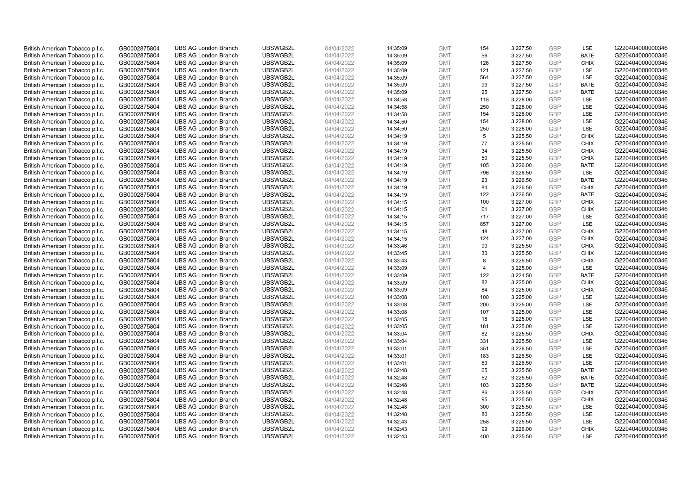| British American Tobacco p.l.c.                                    | GB0002875804                 | <b>UBS AG London Branch</b> | UBSWGB2L | 04/04/2022 | 14:35:09 | <b>GMT</b> | 154            | 3,227.50 | <b>GBP</b> | LSE         | G220404000000346 |
|--------------------------------------------------------------------|------------------------------|-----------------------------|----------|------------|----------|------------|----------------|----------|------------|-------------|------------------|
|                                                                    | GB0002875804                 | <b>UBS AG London Branch</b> | UBSWGB2L | 04/04/2022 |          | <b>GMT</b> | 56             | 3,227.50 | <b>GBP</b> | <b>BATE</b> | G220404000000346 |
| British American Tobacco p.l.c.                                    |                              |                             |          |            | 14:35:09 |            |                |          |            |             |                  |
| British American Tobacco p.l.c.                                    | GB0002875804                 | <b>UBS AG London Branch</b> | UBSWGB2L | 04/04/2022 | 14:35:09 | <b>GMT</b> | 126            | 3,227.50 | <b>GBP</b> | <b>CHIX</b> | G220404000000346 |
| British American Tobacco p.l.c.                                    | GB0002875804                 | <b>UBS AG London Branch</b> | UBSWGB2L | 04/04/2022 | 14:35:09 | <b>GMT</b> | 121            | 3,227.50 | <b>GBP</b> | LSE         | G220404000000346 |
| British American Tobacco p.l.c.                                    | GB0002875804                 | <b>UBS AG London Branch</b> | UBSWGB2L | 04/04/2022 | 14:35:09 | <b>GMT</b> | 564            | 3,227.50 | <b>GBP</b> | LSE         | G220404000000346 |
| British American Tobacco p.l.c.                                    | GB0002875804                 | <b>UBS AG London Branch</b> | UBSWGB2L | 04/04/2022 | 14:35:09 | <b>GMT</b> | 99             | 3,227.50 | <b>GBP</b> | <b>BATE</b> | G220404000000346 |
| British American Tobacco p.l.c.                                    | GB0002875804                 | <b>UBS AG London Branch</b> | UBSWGB2L | 04/04/2022 | 14:35:09 | <b>GMT</b> | 25             | 3,227.50 | <b>GBP</b> | <b>BATE</b> | G220404000000346 |
| British American Tobacco p.l.c.                                    | GB0002875804                 | <b>UBS AG London Branch</b> | UBSWGB2L | 04/04/2022 | 14:34:58 | <b>GMT</b> | 118            | 3,228.00 | <b>GBP</b> | LSE         | G220404000000346 |
| British American Tobacco p.l.c.                                    | GB0002875804                 | <b>UBS AG London Branch</b> | UBSWGB2L | 04/04/2022 | 14:34:58 | <b>GMT</b> | 250            | 3,228.00 | <b>GBP</b> | LSE         | G220404000000346 |
| British American Tobacco p.l.c.                                    | GB0002875804                 | <b>UBS AG London Branch</b> | UBSWGB2L | 04/04/2022 | 14:34:58 | <b>GMT</b> | 154            | 3,228.00 | <b>GBP</b> | LSE         | G220404000000346 |
| British American Tobacco p.l.c.                                    | GB0002875804                 | <b>UBS AG London Branch</b> | UBSWGB2L | 04/04/2022 | 14:34:50 | <b>GMT</b> | 154            | 3,228.00 | <b>GBP</b> | LSE         | G220404000000346 |
| British American Tobacco p.l.c.                                    | GB0002875804                 | <b>UBS AG London Branch</b> | UBSWGB2L | 04/04/2022 | 14:34:50 | <b>GMT</b> | 250            | 3,228.00 | <b>GBP</b> | LSE         | G220404000000346 |
| British American Tobacco p.l.c.                                    | GB0002875804                 | <b>UBS AG London Branch</b> | UBSWGB2L | 04/04/2022 | 14:34:19 | <b>GMT</b> | 5              | 3,225.50 | <b>GBP</b> | <b>CHIX</b> | G220404000000346 |
| British American Tobacco p.l.c.                                    | GB0002875804                 | <b>UBS AG London Branch</b> | UBSWGB2L | 04/04/2022 | 14:34:19 | <b>GMT</b> | 77             | 3,225.50 | <b>GBP</b> | <b>CHIX</b> | G220404000000346 |
| British American Tobacco p.l.c.                                    | GB0002875804                 | <b>UBS AG London Branch</b> | UBSWGB2L | 04/04/2022 | 14:34:19 | <b>GMT</b> | 34             | 3,225.50 | <b>GBP</b> | <b>CHIX</b> | G220404000000346 |
| British American Tobacco p.l.c.                                    | GB0002875804                 | <b>UBS AG London Branch</b> | UBSWGB2L | 04/04/2022 | 14:34:19 | <b>GMT</b> | 50             | 3,225.50 | <b>GBP</b> | <b>CHIX</b> | G220404000000346 |
| British American Tobacco p.l.c.                                    | GB0002875804                 | <b>UBS AG London Branch</b> | UBSWGB2L | 04/04/2022 | 14:34:19 | <b>GMT</b> | 105            | 3,226.00 | <b>GBP</b> | <b>BATE</b> | G220404000000346 |
| British American Tobacco p.l.c.                                    | GB0002875804                 | <b>UBS AG London Branch</b> | UBSWGB2L | 04/04/2022 | 14:34:19 | <b>GMT</b> | 796            | 3,226.50 | <b>GBP</b> | LSE         | G220404000000346 |
| British American Tobacco p.l.c.                                    | GB0002875804                 | <b>UBS AG London Branch</b> | UBSWGB2L | 04/04/2022 | 14:34:19 | <b>GMT</b> | 23             | 3,226.50 | <b>GBP</b> | <b>BATE</b> | G220404000000346 |
| British American Tobacco p.l.c.                                    | GB0002875804                 | <b>UBS AG London Branch</b> | UBSWGB2L | 04/04/2022 | 14:34:19 | <b>GMT</b> | 84             | 3,226.50 | <b>GBP</b> | <b>CHIX</b> | G220404000000346 |
| British American Tobacco p.l.c.                                    | GB0002875804                 | <b>UBS AG London Branch</b> | UBSWGB2L | 04/04/2022 | 14:34:19 | <b>GMT</b> | 122            | 3,226.50 | <b>GBP</b> | <b>BATE</b> | G220404000000346 |
| British American Tobacco p.l.c.                                    | GB0002875804                 | <b>UBS AG London Branch</b> | UBSWGB2L | 04/04/2022 | 14:34:15 | <b>GMT</b> | 100            | 3,227.00 | <b>GBP</b> | <b>CHIX</b> | G220404000000346 |
| British American Tobacco p.l.c.                                    | GB0002875804                 | <b>UBS AG London Branch</b> | UBSWGB2L | 04/04/2022 | 14:34:15 | <b>GMT</b> | 61             | 3,227.00 | <b>GBP</b> | <b>CHIX</b> | G220404000000346 |
| British American Tobacco p.l.c.                                    | GB0002875804                 | <b>UBS AG London Branch</b> | UBSWGB2L | 04/04/2022 | 14:34:15 | <b>GMT</b> | 717            | 3,227.00 | <b>GBP</b> | <b>LSE</b>  | G220404000000346 |
| British American Tobacco p.l.c.                                    | GB0002875804                 | <b>UBS AG London Branch</b> | UBSWGB2L | 04/04/2022 | 14:34:15 | <b>GMT</b> | 857            | 3,227.00 | <b>GBP</b> | LSE         | G220404000000346 |
| British American Tobacco p.l.c.                                    | GB0002875804                 | <b>UBS AG London Branch</b> | UBSWGB2L | 04/04/2022 | 14:34:15 | <b>GMT</b> | 48             | 3,227.00 | <b>GBP</b> | <b>CHIX</b> | G220404000000346 |
| British American Tobacco p.l.c.                                    | GB0002875804                 | <b>UBS AG London Branch</b> | UBSWGB2L | 04/04/2022 | 14:34:15 | <b>GMT</b> | 124            | 3,227.00 | <b>GBP</b> | <b>CHIX</b> | G220404000000346 |
| British American Tobacco p.l.c.                                    | GB0002875804                 | <b>UBS AG London Branch</b> | UBSWGB2L | 04/04/2022 | 14:33:46 | <b>GMT</b> | 90             | 3,225.50 | <b>GBP</b> | <b>CHIX</b> | G220404000000346 |
| British American Tobacco p.l.c.                                    | GB0002875804                 | <b>UBS AG London Branch</b> | UBSWGB2L | 04/04/2022 | 14:33:45 | <b>GMT</b> | 30             | 3,225.50 | <b>GBP</b> | <b>CHIX</b> | G220404000000346 |
| British American Tobacco p.l.c.                                    | GB0002875804                 | <b>UBS AG London Branch</b> | UBSWGB2L | 04/04/2022 | 14:33:43 | <b>GMT</b> | 8              | 3,225.50 | <b>GBP</b> | <b>CHIX</b> | G220404000000346 |
| British American Tobacco p.l.c.                                    | GB0002875804                 | <b>UBS AG London Branch</b> | UBSWGB2L | 04/04/2022 | 14:33:09 | <b>GMT</b> | $\overline{4}$ | 3,225.00 | <b>GBP</b> | LSE         | G220404000000346 |
| British American Tobacco p.l.c.                                    | GB0002875804                 | <b>UBS AG London Branch</b> | UBSWGB2L | 04/04/2022 | 14:33:09 | <b>GMT</b> | 122            | 3,224.50 | <b>GBP</b> | BATE        | G220404000000346 |
| British American Tobacco p.l.c.                                    | GB0002875804                 | <b>UBS AG London Branch</b> | UBSWGB2L | 04/04/2022 | 14:33:09 | <b>GMT</b> | 82             | 3,225.00 | <b>GBP</b> | <b>CHIX</b> | G220404000000346 |
| British American Tobacco p.l.c.                                    | GB0002875804                 | <b>UBS AG London Branch</b> | UBSWGB2L | 04/04/2022 | 14:33:09 | <b>GMT</b> | 84             | 3,225.00 | <b>GBP</b> | <b>CHIX</b> | G220404000000346 |
| British American Tobacco p.l.c.                                    | GB0002875804                 | <b>UBS AG London Branch</b> | UBSWGB2L | 04/04/2022 | 14:33:08 | <b>GMT</b> | 100            | 3,225.00 | <b>GBP</b> | LSE         | G220404000000346 |
| British American Tobacco p.l.c.                                    | GB0002875804                 | <b>UBS AG London Branch</b> | UBSWGB2L | 04/04/2022 | 14:33:08 | <b>GMT</b> | 200            | 3,225.00 | <b>GBP</b> | LSE         | G220404000000346 |
| British American Tobacco p.l.c.                                    | GB0002875804                 | <b>UBS AG London Branch</b> | UBSWGB2L | 04/04/2022 | 14:33:08 | <b>GMT</b> | 107            | 3,225.00 | <b>GBP</b> | <b>LSE</b>  | G220404000000346 |
| British American Tobacco p.l.c.                                    | GB0002875804                 | <b>UBS AG London Branch</b> | UBSWGB2L | 04/04/2022 | 14:33:05 | <b>GMT</b> | 18             | 3,225.00 | <b>GBP</b> | LSE         | G220404000000346 |
| British American Tobacco p.l.c.                                    | GB0002875804                 | <b>UBS AG London Branch</b> | UBSWGB2L | 04/04/2022 | 14:33:05 | <b>GMT</b> | 181            | 3,225.00 | <b>GBP</b> | LSE         | G220404000000346 |
| British American Tobacco p.l.c.                                    | GB0002875804                 | <b>UBS AG London Branch</b> | UBSWGB2L | 04/04/2022 | 14:33:04 | <b>GMT</b> | 82             | 3,225.50 | <b>GBP</b> | <b>CHIX</b> | G220404000000346 |
| British American Tobacco p.l.c.                                    | GB0002875804                 | <b>UBS AG London Branch</b> | UBSWGB2L | 04/04/2022 | 14:33:04 | <b>GMT</b> | 331            | 3,225.50 | <b>GBP</b> | LSE         | G220404000000346 |
| British American Tobacco p.l.c.                                    |                              | <b>UBS AG London Branch</b> | UBSWGB2L | 04/04/2022 | 14:33:01 | <b>GMT</b> | 351            | 3,226.50 | <b>GBP</b> | LSE         | G220404000000346 |
|                                                                    | GB0002875804<br>GB0002875804 | <b>UBS AG London Branch</b> | UBSWGB2L | 04/04/2022 | 14:33:01 | <b>GMT</b> | 183            | 3,226.50 | <b>GBP</b> | LSE         | G220404000000346 |
| British American Tobacco p.l.c.<br>British American Tobacco p.l.c. |                              | <b>UBS AG London Branch</b> | UBSWGB2L | 04/04/2022 |          | <b>GMT</b> | 69             | 3,226.50 | <b>GBP</b> | LSE         |                  |
|                                                                    | GB0002875804                 |                             | UBSWGB2L |            | 14:33:01 |            | 65             |          |            |             | G220404000000346 |
| British American Tobacco p.l.c.                                    | GB0002875804                 | <b>UBS AG London Branch</b> |          | 04/04/2022 | 14:32:48 | <b>GMT</b> |                | 3,225.50 | <b>GBP</b> | <b>BATE</b> | G220404000000346 |
| British American Tobacco p.l.c.                                    | GB0002875804                 | <b>UBS AG London Branch</b> | UBSWGB2L | 04/04/2022 | 14:32:48 | <b>GMT</b> | 52             | 3,225.50 | <b>GBP</b> | <b>BATE</b> | G220404000000346 |
| British American Tobacco p.l.c.                                    | GB0002875804                 | <b>UBS AG London Branch</b> | UBSWGB2L | 04/04/2022 | 14:32:48 | <b>GMT</b> | 103            | 3,225.50 | <b>GBP</b> | <b>BATE</b> | G220404000000346 |
| British American Tobacco p.l.c.                                    | GB0002875804                 | <b>UBS AG London Branch</b> | UBSWGB2L | 04/04/2022 | 14:32:48 | <b>GMT</b> | 86             | 3,225.50 | <b>GBP</b> | <b>CHIX</b> | G220404000000346 |
| British American Tobacco p.l.c.                                    | GB0002875804                 | <b>UBS AG London Branch</b> | UBSWGB2L | 04/04/2022 | 14:32:48 | <b>GMT</b> | 95             | 3,225.50 | <b>GBP</b> | <b>CHIX</b> | G220404000000346 |
| British American Tobacco p.l.c.                                    | GB0002875804                 | <b>UBS AG London Branch</b> | UBSWGB2L | 04/04/2022 | 14:32:48 | <b>GMT</b> | 300            | 3,225.50 | <b>GBP</b> | LSE         | G220404000000346 |
| British American Tobacco p.l.c.                                    | GB0002875804                 | <b>UBS AG London Branch</b> | UBSWGB2L | 04/04/2022 | 14:32:48 | <b>GMT</b> | 80             | 3,225.50 | <b>GBP</b> | LSE         | G220404000000346 |
| British American Tobacco p.l.c.                                    | GB0002875804                 | <b>UBS AG London Branch</b> | UBSWGB2L | 04/04/2022 | 14:32:43 | <b>GMT</b> | 258            | 3,225.50 | <b>GBP</b> | LSE         | G220404000000346 |
| British American Tobacco p.l.c.                                    | GB0002875804                 | <b>UBS AG London Branch</b> | UBSWGB2L | 04/04/2022 | 14:32:43 | <b>GMT</b> | 99             | 3,226.00 | <b>GBP</b> | <b>CHIX</b> | G220404000000346 |
| British American Tobacco p.l.c.                                    | GB0002875804                 | <b>UBS AG London Branch</b> | UBSWGB2L | 04/04/2022 | 14:32:43 | <b>GMT</b> | 400            | 3.225.50 | GBP        | LSE         | G220404000000346 |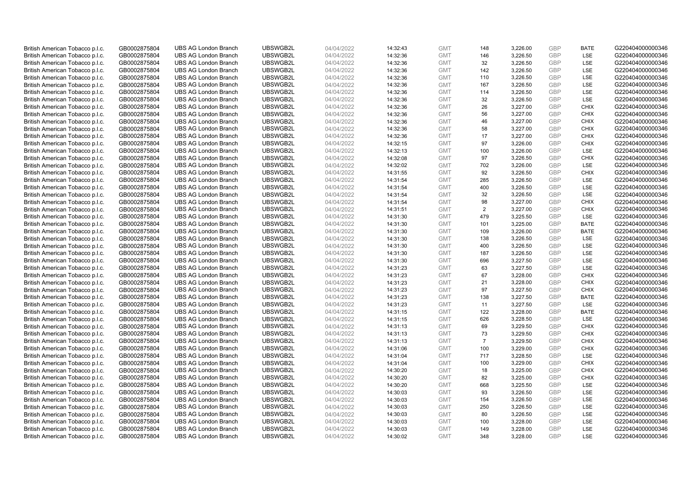| British American Tobacco p.l.c. | GB0002875804 | <b>UBS AG London Branch</b> | UBSWGB2L | 04/04/2022 | 14:32:43 | <b>GMT</b> | 148                  | 3,226.00 | <b>GBP</b>               | <b>BATE</b>                | G220404000000346 |
|---------------------------------|--------------|-----------------------------|----------|------------|----------|------------|----------------------|----------|--------------------------|----------------------------|------------------|
| British American Tobacco p.l.c. | GB0002875804 | <b>UBS AG London Branch</b> | UBSWGB2L | 04/04/2022 | 14:32:36 | <b>GMT</b> | 146                  | 3,226.50 | <b>GBP</b>               | LSE                        | G220404000000346 |
| British American Tobacco p.l.c. | GB0002875804 | <b>UBS AG London Branch</b> | UBSWGB2L | 04/04/2022 | 14:32:36 | <b>GMT</b> | 32                   | 3,226.50 | <b>GBP</b>               | LSE                        | G220404000000346 |
| British American Tobacco p.l.c. | GB0002875804 | <b>UBS AG London Branch</b> | UBSWGB2L | 04/04/2022 | 14:32:36 | <b>GMT</b> | 142                  |          | <b>GBP</b>               | LSE                        | G220404000000346 |
|                                 |              |                             |          |            |          |            | 110                  | 3,226.50 | <b>GBP</b>               | LSE                        |                  |
| British American Tobacco p.l.c. | GB0002875804 | <b>UBS AG London Branch</b> | UBSWGB2L | 04/04/2022 | 14:32:36 | <b>GMT</b> |                      | 3,226.50 |                          |                            | G220404000000346 |
| British American Tobacco p.l.c. | GB0002875804 | <b>UBS AG London Branch</b> | UBSWGB2L | 04/04/2022 | 14:32:36 | <b>GMT</b> | 167                  | 3,226.50 | <b>GBP</b>               | LSE                        | G220404000000346 |
| British American Tobacco p.l.c. | GB0002875804 | <b>UBS AG London Branch</b> | UBSWGB2L | 04/04/2022 | 14:32:36 | <b>GMT</b> | 114                  | 3,226.50 | <b>GBP</b>               | LSE                        | G220404000000346 |
| British American Tobacco p.l.c. | GB0002875804 | <b>UBS AG London Branch</b> | UBSWGB2L | 04/04/2022 | 14:32:36 | <b>GMT</b> | 32                   | 3,226.50 | <b>GBP</b>               | LSE                        | G220404000000346 |
| British American Tobacco p.l.c. | GB0002875804 | <b>UBS AG London Branch</b> | UBSWGB2L | 04/04/2022 | 14:32:36 | <b>GMT</b> | 26                   | 3,227.00 | <b>GBP</b>               | <b>CHIX</b>                | G220404000000346 |
| British American Tobacco p.l.c. | GB0002875804 | <b>UBS AG London Branch</b> | UBSWGB2L | 04/04/2022 | 14:32:36 | <b>GMT</b> | 56                   | 3,227.00 | <b>GBP</b>               | <b>CHIX</b>                | G220404000000346 |
| British American Tobacco p.l.c. | GB0002875804 | <b>UBS AG London Branch</b> | UBSWGB2L | 04/04/2022 | 14:32:36 | <b>GMT</b> | 46                   | 3,227.00 | <b>GBP</b>               | <b>CHIX</b>                | G220404000000346 |
| British American Tobacco p.l.c. | GB0002875804 | <b>UBS AG London Branch</b> | UBSWGB2L | 04/04/2022 | 14:32:36 | <b>GMT</b> | 58                   | 3,227.00 | <b>GBP</b>               | <b>CHIX</b>                | G220404000000346 |
| British American Tobacco p.l.c. | GB0002875804 | <b>UBS AG London Branch</b> | UBSWGB2L | 04/04/2022 | 14:32:36 | <b>GMT</b> | 17                   | 3,227.00 | <b>GBP</b>               | <b>CHIX</b>                | G220404000000346 |
| British American Tobacco p.l.c. | GB0002875804 | <b>UBS AG London Branch</b> | UBSWGB2L | 04/04/2022 | 14:32:15 | <b>GMT</b> | 97                   | 3,226.00 | <b>GBP</b>               | <b>CHIX</b>                | G220404000000346 |
| British American Tobacco p.l.c. | GB0002875804 | <b>UBS AG London Branch</b> | UBSWGB2L | 04/04/2022 | 14:32:13 | <b>GMT</b> | 100                  | 3,226.00 | <b>GBP</b>               | LSE                        | G220404000000346 |
| British American Tobacco p.l.c. | GB0002875804 | <b>UBS AG London Branch</b> | UBSWGB2L | 04/04/2022 | 14:32:08 | <b>GMT</b> | 97                   | 3,226.50 | <b>GBP</b>               | <b>CHIX</b>                | G220404000000346 |
| British American Tobacco p.l.c. | GB0002875804 | <b>UBS AG London Branch</b> | UBSWGB2L | 04/04/2022 | 14:32:02 | <b>GMT</b> | 702                  | 3,226.00 | <b>GBP</b>               | LSE                        | G220404000000346 |
| British American Tobacco p.l.c. | GB0002875804 | <b>UBS AG London Branch</b> | UBSWGB2L | 04/04/2022 | 14:31:55 | <b>GMT</b> | 92                   | 3,226.50 | <b>GBP</b>               | <b>CHIX</b>                | G220404000000346 |
| British American Tobacco p.l.c. | GB0002875804 | <b>UBS AG London Branch</b> | UBSWGB2L | 04/04/2022 | 14:31:54 | <b>GMT</b> | 285                  | 3,226.50 | <b>GBP</b>               | <b>LSE</b>                 | G220404000000346 |
| British American Tobacco p.l.c. | GB0002875804 | <b>UBS AG London Branch</b> | UBSWGB2L | 04/04/2022 | 14:31:54 | <b>GMT</b> | 400                  | 3,226.50 | <b>GBP</b>               | LSE                        | G220404000000346 |
| British American Tobacco p.l.c. | GB0002875804 | <b>UBS AG London Branch</b> | UBSWGB2L | 04/04/2022 | 14:31:54 | <b>GMT</b> | 32                   | 3,226.50 | <b>GBP</b>               | LSE                        | G220404000000346 |
| British American Tobacco p.l.c. | GB0002875804 | <b>UBS AG London Branch</b> | UBSWGB2L | 04/04/2022 | 14:31:54 | <b>GMT</b> | 98                   | 3,227.00 | <b>GBP</b>               | <b>CHIX</b>                | G220404000000346 |
| British American Tobacco p.l.c. | GB0002875804 | <b>UBS AG London Branch</b> | UBSWGB2L | 04/04/2022 | 14:31:51 | <b>GMT</b> | $\overline{2}$       | 3,227.00 | <b>GBP</b>               | <b>CHIX</b>                | G220404000000346 |
| British American Tobacco p.l.c. | GB0002875804 | <b>UBS AG London Branch</b> | UBSWGB2L | 04/04/2022 | 14:31:30 | <b>GMT</b> | 479                  | 3,225.50 | <b>GBP</b>               | LSE                        | G220404000000346 |
| British American Tobacco p.l.c. | GB0002875804 | <b>UBS AG London Branch</b> | UBSWGB2L | 04/04/2022 | 14:31:30 | <b>GMT</b> | 101                  | 3,225.00 | <b>GBP</b>               | <b>BATE</b>                | G220404000000346 |
| British American Tobacco p.l.c. | GB0002875804 | <b>UBS AG London Branch</b> | UBSWGB2L | 04/04/2022 | 14:31:30 | <b>GMT</b> | 109                  | 3,226.00 | <b>GBP</b>               | <b>BATE</b>                | G220404000000346 |
| British American Tobacco p.l.c. | GB0002875804 | <b>UBS AG London Branch</b> | UBSWGB2L | 04/04/2022 | 14:31:30 | <b>GMT</b> | 138                  | 3,226.50 | <b>GBP</b>               | LSE                        | G220404000000346 |
| British American Tobacco p.l.c. | GB0002875804 | <b>UBS AG London Branch</b> | UBSWGB2L | 04/04/2022 | 14:31:30 | <b>GMT</b> | 400                  | 3,226.50 | <b>GBP</b>               | LSE                        | G220404000000346 |
| British American Tobacco p.l.c. | GB0002875804 | <b>UBS AG London Branch</b> | UBSWGB2L | 04/04/2022 | 14:31:30 | <b>GMT</b> | 187                  | 3,226.50 | <b>GBP</b>               | LSE                        | G220404000000346 |
| British American Tobacco p.l.c. | GB0002875804 | <b>UBS AG London Branch</b> | UBSWGB2L | 04/04/2022 | 14:31:30 | <b>GMT</b> | 696                  | 3,227.50 | <b>GBP</b>               | LSE                        | G220404000000346 |
| British American Tobacco p.l.c. | GB0002875804 | <b>UBS AG London Branch</b> | UBSWGB2L | 04/04/2022 | 14:31:23 | <b>GMT</b> | 63                   | 3,227.50 | <b>GBP</b>               | LSE                        | G220404000000346 |
| British American Tobacco p.l.c. | GB0002875804 | <b>UBS AG London Branch</b> | UBSWGB2L | 04/04/2022 | 14:31:23 | <b>GMT</b> | 67                   | 3,228.00 | <b>GBP</b>               | <b>CHIX</b>                | G220404000000346 |
| British American Tobacco p.l.c. | GB0002875804 | <b>UBS AG London Branch</b> | UBSWGB2L | 04/04/2022 | 14:31:23 | <b>GMT</b> | 21                   | 3,228.00 | <b>GBP</b>               | <b>CHIX</b>                | G220404000000346 |
| British American Tobacco p.l.c. | GB0002875804 | <b>UBS AG London Branch</b> | UBSWGB2L | 04/04/2022 | 14:31:23 | <b>GMT</b> | 97                   | 3,227.50 | <b>GBP</b>               | <b>CHIX</b>                | G220404000000346 |
| British American Tobacco p.l.c. | GB0002875804 | <b>UBS AG London Branch</b> | UBSWGB2L | 04/04/2022 | 14:31:23 | <b>GMT</b> | 138                  | 3,227.50 | <b>GBP</b>               | <b>BATE</b>                | G220404000000346 |
| British American Tobacco p.l.c. | GB0002875804 | <b>UBS AG London Branch</b> | UBSWGB2L | 04/04/2022 | 14:31:23 | <b>GMT</b> | 11                   | 3,227.50 | <b>GBP</b>               | LSE                        | G220404000000346 |
| British American Tobacco p.l.c. | GB0002875804 | <b>UBS AG London Branch</b> | UBSWGB2L | 04/04/2022 | 14:31:15 | <b>GMT</b> | 122                  | 3,228.00 | <b>GBP</b>               | <b>BATE</b>                | G220404000000346 |
| British American Tobacco p.l.c. | GB0002875804 | <b>UBS AG London Branch</b> | UBSWGB2L | 04/04/2022 | 14:31:15 | <b>GMT</b> | 626                  | 3,228.50 | <b>GBP</b>               | LSE                        | G220404000000346 |
|                                 |              | <b>UBS AG London Branch</b> | UBSWGB2L |            |          | <b>GMT</b> | 69                   |          | <b>GBP</b>               | <b>CHIX</b>                | G220404000000346 |
| British American Tobacco p.l.c. | GB0002875804 |                             |          | 04/04/2022 | 14:31:13 |            |                      | 3,229.50 |                          |                            |                  |
| British American Tobacco p.l.c. | GB0002875804 | <b>UBS AG London Branch</b> | UBSWGB2L | 04/04/2022 | 14:31:13 | <b>GMT</b> | 73<br>$\overline{7}$ | 3,229.50 | <b>GBP</b><br><b>GBP</b> | <b>CHIX</b><br><b>CHIX</b> | G220404000000346 |
| British American Tobacco p.l.c. | GB0002875804 | <b>UBS AG London Branch</b> | UBSWGB2L | 04/04/2022 | 14:31:13 | <b>GMT</b> |                      | 3,229.50 |                          |                            | G220404000000346 |
| British American Tobacco p.l.c. | GB0002875804 | <b>UBS AG London Branch</b> | UBSWGB2L | 04/04/2022 | 14:31:06 | <b>GMT</b> | 100                  | 3,229.00 | <b>GBP</b>               | <b>CHIX</b>                | G220404000000346 |
| British American Tobacco p.l.c. | GB0002875804 | <b>UBS AG London Branch</b> | UBSWGB2L | 04/04/2022 | 14:31:04 | <b>GMT</b> | 717                  | 3,228.50 | <b>GBP</b>               | LSE                        | G220404000000346 |
| British American Tobacco p.l.c. | GB0002875804 | <b>UBS AG London Branch</b> | UBSWGB2L | 04/04/2022 | 14:31:04 | <b>GMT</b> | 100                  | 3,229.00 | <b>GBP</b>               | <b>CHIX</b>                | G220404000000346 |
| British American Tobacco p.l.c. | GB0002875804 | <b>UBS AG London Branch</b> | UBSWGB2L | 04/04/2022 | 14:30:20 | <b>GMT</b> | 18                   | 3,225.00 | <b>GBP</b>               | <b>CHIX</b>                | G220404000000346 |
| British American Tobacco p.l.c. | GB0002875804 | <b>UBS AG London Branch</b> | UBSWGB2L | 04/04/2022 | 14:30:20 | <b>GMT</b> | 82                   | 3,225.00 | <b>GBP</b>               | <b>CHIX</b>                | G220404000000346 |
| British American Tobacco p.l.c. | GB0002875804 | <b>UBS AG London Branch</b> | UBSWGB2L | 04/04/2022 | 14:30:20 | <b>GMT</b> | 668                  | 3,225.50 | <b>GBP</b>               | LSE                        | G220404000000346 |
| British American Tobacco p.l.c. | GB0002875804 | <b>UBS AG London Branch</b> | UBSWGB2L | 04/04/2022 | 14:30:03 | <b>GMT</b> | 93                   | 3,226.50 | <b>GBP</b>               | LSE                        | G220404000000346 |
| British American Tobacco p.l.c. | GB0002875804 | <b>UBS AG London Branch</b> | UBSWGB2L | 04/04/2022 | 14:30:03 | <b>GMT</b> | 154                  | 3,226.50 | <b>GBP</b>               | LSE                        | G220404000000346 |
| British American Tobacco p.l.c. | GB0002875804 | <b>UBS AG London Branch</b> | UBSWGB2L | 04/04/2022 | 14:30:03 | <b>GMT</b> | 250                  | 3,226.50 | <b>GBP</b>               | LSE                        | G220404000000346 |
| British American Tobacco p.l.c. | GB0002875804 | <b>UBS AG London Branch</b> | UBSWGB2L | 04/04/2022 | 14:30:03 | <b>GMT</b> | 80                   | 3,226.50 | <b>GBP</b>               | LSE                        | G220404000000346 |
| British American Tobacco p.l.c. | GB0002875804 | <b>UBS AG London Branch</b> | UBSWGB2L | 04/04/2022 | 14:30:03 | <b>GMT</b> | 100                  | 3,228.00 | <b>GBP</b>               | LSE                        | G220404000000346 |
| British American Tobacco p.l.c. | GB0002875804 | <b>UBS AG London Branch</b> | UBSWGB2L | 04/04/2022 | 14:30:03 | <b>GMT</b> | 149                  | 3,228.00 | <b>GBP</b>               | LSE                        | G220404000000346 |
| British American Tobacco p.l.c. | GB0002875804 | <b>UBS AG London Branch</b> | UBSWGB2L | 04/04/2022 | 14:30:02 | <b>GMT</b> | 348                  | 3.228.00 | GBP                      | LSE                        | G220404000000346 |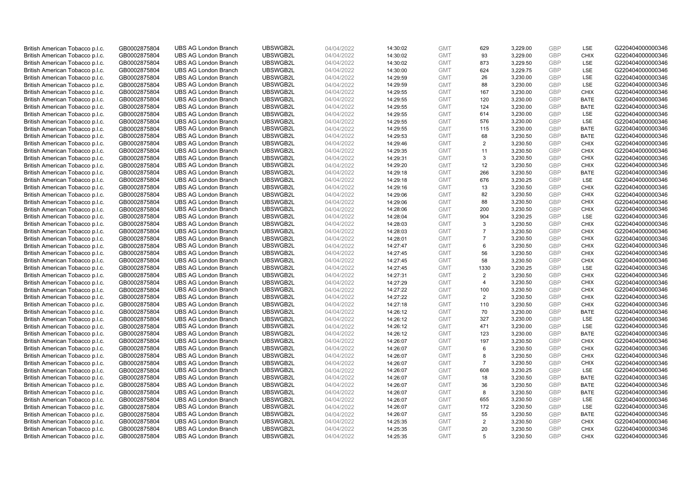| British American Tobacco p.l.c. | GB0002875804 | <b>UBS AG London Branch</b> | UBSWGB2L | 04/04/2022 | 14:30:02 | <b>GMT</b> | 629            | 3,229.00 | <b>GBP</b> | LSE         | G220404000000346 |
|---------------------------------|--------------|-----------------------------|----------|------------|----------|------------|----------------|----------|------------|-------------|------------------|
|                                 |              |                             |          |            |          |            |                |          |            | <b>CHIX</b> |                  |
| British American Tobacco p.l.c. | GB0002875804 | <b>UBS AG London Branch</b> | UBSWGB2L | 04/04/2022 | 14:30:02 | <b>GMT</b> | 93             | 3,229.00 | <b>GBP</b> |             | G220404000000346 |
| British American Tobacco p.l.c. | GB0002875804 | <b>UBS AG London Branch</b> | UBSWGB2L | 04/04/2022 | 14:30:02 | <b>GMT</b> | 873            | 3,229.50 | <b>GBP</b> | LSE         | G220404000000346 |
| British American Tobacco p.l.c. | GB0002875804 | <b>UBS AG London Branch</b> | UBSWGB2L | 04/04/2022 | 14:30:00 | <b>GMT</b> | 624            | 3,229.75 | <b>GBP</b> | LSE         | G220404000000346 |
| British American Tobacco p.l.c. | GB0002875804 | <b>UBS AG London Branch</b> | UBSWGB2L | 04/04/2022 | 14:29:59 | <b>GMT</b> | 26             | 3,230.00 | <b>GBP</b> | LSE         | G220404000000346 |
| British American Tobacco p.l.c. | GB0002875804 | <b>UBS AG London Branch</b> | UBSWGB2L | 04/04/2022 | 14:29:59 | <b>GMT</b> | 88             | 3,230.00 | <b>GBP</b> | LSE         | G220404000000346 |
| British American Tobacco p.l.c. | GB0002875804 | <b>UBS AG London Branch</b> | UBSWGB2L | 04/04/2022 | 14:29:55 | <b>GMT</b> | 167            | 3,230.00 | <b>GBP</b> | <b>CHIX</b> | G220404000000346 |
| British American Tobacco p.l.c. | GB0002875804 | <b>UBS AG London Branch</b> | UBSWGB2L | 04/04/2022 | 14:29:55 | <b>GMT</b> | 120            | 3,230.00 | <b>GBP</b> | <b>BATE</b> | G220404000000346 |
| British American Tobacco p.l.c. | GB0002875804 | <b>UBS AG London Branch</b> | UBSWGB2L | 04/04/2022 | 14:29:55 | <b>GMT</b> | 124            | 3,230.00 | <b>GBP</b> | <b>BATE</b> | G220404000000346 |
| British American Tobacco p.l.c. | GB0002875804 | <b>UBS AG London Branch</b> | UBSWGB2L | 04/04/2022 | 14:29:55 | <b>GMT</b> | 614            | 3,230.00 | <b>GBP</b> | LSE         | G220404000000346 |
| British American Tobacco p.l.c. | GB0002875804 | <b>UBS AG London Branch</b> | UBSWGB2L | 04/04/2022 | 14:29:55 | <b>GMT</b> | 576            | 3,230.00 | <b>GBP</b> | LSE         | G220404000000346 |
| British American Tobacco p.l.c. | GB0002875804 | <b>UBS AG London Branch</b> | UBSWGB2L | 04/04/2022 | 14:29:55 | <b>GMT</b> | 115            | 3,230.00 | <b>GBP</b> | <b>BATE</b> | G220404000000346 |
| British American Tobacco p.l.c. | GB0002875804 | <b>UBS AG London Branch</b> | UBSWGB2L | 04/04/2022 | 14:29:53 | <b>GMT</b> | 68             | 3,230.50 | <b>GBP</b> | <b>BATE</b> | G220404000000346 |
| British American Tobacco p.l.c. | GB0002875804 | <b>UBS AG London Branch</b> | UBSWGB2L | 04/04/2022 | 14:29:46 | <b>GMT</b> | $\overline{2}$ | 3,230.50 | <b>GBP</b> | <b>CHIX</b> | G220404000000346 |
| British American Tobacco p.l.c. | GB0002875804 | <b>UBS AG London Branch</b> | UBSWGB2L | 04/04/2022 | 14:29:35 | <b>GMT</b> | 11             | 3,230.50 | <b>GBP</b> | <b>CHIX</b> | G220404000000346 |
| British American Tobacco p.l.c. | GB0002875804 | <b>UBS AG London Branch</b> | UBSWGB2L | 04/04/2022 | 14:29:31 | <b>GMT</b> | 3              | 3,230.50 | <b>GBP</b> | <b>CHIX</b> | G220404000000346 |
| British American Tobacco p.l.c. | GB0002875804 | <b>UBS AG London Branch</b> | UBSWGB2L | 04/04/2022 | 14:29:20 | <b>GMT</b> | 12             | 3,230.50 | <b>GBP</b> | <b>CHIX</b> | G220404000000346 |
| British American Tobacco p.l.c. | GB0002875804 | <b>UBS AG London Branch</b> | UBSWGB2L | 04/04/2022 | 14:29:18 | <b>GMT</b> | 266            | 3,230.50 | <b>GBP</b> | <b>BATE</b> | G220404000000346 |
| British American Tobacco p.l.c. | GB0002875804 | <b>UBS AG London Branch</b> | UBSWGB2L | 04/04/2022 | 14:29:18 | <b>GMT</b> | 676            | 3,230.25 | <b>GBP</b> | <b>LSE</b>  | G220404000000346 |
| British American Tobacco p.l.c. | GB0002875804 | <b>UBS AG London Branch</b> | UBSWGB2L | 04/04/2022 | 14:29:16 | <b>GMT</b> | 13             | 3,230.50 | <b>GBP</b> | <b>CHIX</b> | G220404000000346 |
|                                 |              |                             |          |            |          |            |                |          |            |             |                  |
| British American Tobacco p.l.c. | GB0002875804 | <b>UBS AG London Branch</b> | UBSWGB2L | 04/04/2022 | 14:29:06 | <b>GMT</b> | 82             | 3,230.50 | <b>GBP</b> | <b>CHIX</b> | G220404000000346 |
| British American Tobacco p.l.c. | GB0002875804 | <b>UBS AG London Branch</b> | UBSWGB2L | 04/04/2022 | 14:29:06 | <b>GMT</b> | 88             | 3,230.50 | <b>GBP</b> | <b>CHIX</b> | G220404000000346 |
| British American Tobacco p.l.c. | GB0002875804 | <b>UBS AG London Branch</b> | UBSWGB2L | 04/04/2022 | 14:28:06 | <b>GMT</b> | 200            | 3,230.50 | <b>GBP</b> | <b>CHIX</b> | G220404000000346 |
| British American Tobacco p.l.c. | GB0002875804 | <b>UBS AG London Branch</b> | UBSWGB2L | 04/04/2022 | 14:28:04 | <b>GMT</b> | 904            | 3,230.25 | <b>GBP</b> | LSE         | G220404000000346 |
| British American Tobacco p.l.c. | GB0002875804 | <b>UBS AG London Branch</b> | UBSWGB2L | 04/04/2022 | 14:28:03 | <b>GMT</b> | 3              | 3,230.50 | <b>GBP</b> | <b>CHIX</b> | G220404000000346 |
| British American Tobacco p.l.c. | GB0002875804 | <b>UBS AG London Branch</b> | UBSWGB2L | 04/04/2022 | 14:28:03 | <b>GMT</b> | $\overline{7}$ | 3,230.50 | <b>GBP</b> | <b>CHIX</b> | G220404000000346 |
| British American Tobacco p.l.c. | GB0002875804 | <b>UBS AG London Branch</b> | UBSWGB2L | 04/04/2022 | 14:28:01 | <b>GMT</b> | $\overline{7}$ | 3,230.50 | <b>GBP</b> | <b>CHIX</b> | G220404000000346 |
| British American Tobacco p.l.c. | GB0002875804 | <b>UBS AG London Branch</b> | UBSWGB2L | 04/04/2022 | 14:27:47 | <b>GMT</b> | 6              | 3,230.50 | <b>GBP</b> | <b>CHIX</b> | G220404000000346 |
| British American Tobacco p.l.c. | GB0002875804 | <b>UBS AG London Branch</b> | UBSWGB2L | 04/04/2022 | 14:27:45 | <b>GMT</b> | 56             | 3,230.50 | <b>GBP</b> | <b>CHIX</b> | G220404000000346 |
| British American Tobacco p.l.c. | GB0002875804 | <b>UBS AG London Branch</b> | UBSWGB2L | 04/04/2022 | 14:27:45 | <b>GMT</b> | 58             | 3,230.50 | <b>GBP</b> | <b>CHIX</b> | G220404000000346 |
| British American Tobacco p.l.c. | GB0002875804 | <b>UBS AG London Branch</b> | UBSWGB2L | 04/04/2022 | 14:27:45 | <b>GMT</b> | 1330           | 3,230.25 | <b>GBP</b> | LSE         | G220404000000346 |
| British American Tobacco p.l.c. | GB0002875804 | <b>UBS AG London Branch</b> | UBSWGB2L | 04/04/2022 | 14:27:31 | <b>GMT</b> | 2              | 3,230.50 | <b>GBP</b> | <b>CHIX</b> | G220404000000346 |
| British American Tobacco p.l.c. | GB0002875804 | <b>UBS AG London Branch</b> | UBSWGB2L | 04/04/2022 | 14:27:29 | <b>GMT</b> | $\overline{4}$ | 3,230.50 | <b>GBP</b> | <b>CHIX</b> | G220404000000346 |
| British American Tobacco p.l.c. | GB0002875804 | <b>UBS AG London Branch</b> | UBSWGB2L | 04/04/2022 | 14:27:22 | <b>GMT</b> | 100            | 3,230.50 | GBP        | <b>CHIX</b> | G220404000000346 |
| British American Tobacco p.l.c. | GB0002875804 | <b>UBS AG London Branch</b> | UBSWGB2L | 04/04/2022 | 14:27:22 | <b>GMT</b> | 2              | 3,230.50 | <b>GBP</b> | <b>CHIX</b> | G220404000000346 |
| British American Tobacco p.l.c. | GB0002875804 | <b>UBS AG London Branch</b> | UBSWGB2L | 04/04/2022 | 14:27:18 | <b>GMT</b> | 110            | 3,230.50 | <b>GBP</b> | <b>CHIX</b> | G220404000000346 |
| British American Tobacco p.l.c. | GB0002875804 | <b>UBS AG London Branch</b> | UBSWGB2L | 04/04/2022 | 14:26:12 | <b>GMT</b> | 70             | 3,230.00 | <b>GBP</b> | <b>BATE</b> | G220404000000346 |
| British American Tobacco p.l.c. | GB0002875804 | <b>UBS AG London Branch</b> | UBSWGB2L | 04/04/2022 | 14:26:12 | <b>GMT</b> | 327            | 3,230.00 | <b>GBP</b> | LSE         | G220404000000346 |
| British American Tobacco p.l.c. | GB0002875804 | <b>UBS AG London Branch</b> | UBSWGB2L | 04/04/2022 | 14:26:12 | <b>GMT</b> | 471            | 3,230.00 | <b>GBP</b> | LSE         | G220404000000346 |
| British American Tobacco p.l.c. | GB0002875804 | <b>UBS AG London Branch</b> | UBSWGB2L | 04/04/2022 | 14:26:12 | <b>GMT</b> | 123            | 3,230.00 | <b>GBP</b> | <b>BATE</b> | G220404000000346 |
| British American Tobacco p.l.c. | GB0002875804 | <b>UBS AG London Branch</b> | UBSWGB2L | 04/04/2022 | 14:26:07 | <b>GMT</b> | 197            | 3,230.50 | <b>GBP</b> | <b>CHIX</b> | G220404000000346 |
| British American Tobacco p.l.c. | GB0002875804 | <b>UBS AG London Branch</b> | UBSWGB2L | 04/04/2022 | 14:26:07 | <b>GMT</b> | 6              | 3,230.50 | <b>GBP</b> | <b>CHIX</b> | G220404000000346 |
| British American Tobacco p.l.c. | GB0002875804 | <b>UBS AG London Branch</b> | UBSWGB2L | 04/04/2022 | 14:26:07 | <b>GMT</b> | 8              | 3,230.50 | <b>GBP</b> | <b>CHIX</b> | G220404000000346 |
| British American Tobacco p.l.c. |              | <b>UBS AG London Branch</b> | UBSWGB2L | 04/04/2022 |          | <b>GMT</b> | $\overline{7}$ | 3,230.50 | <b>GBP</b> | <b>CHIX</b> | G220404000000346 |
|                                 | GB0002875804 |                             | UBSWGB2L |            | 14:26:07 |            | 608            |          |            |             |                  |
| British American Tobacco p.l.c. | GB0002875804 | <b>UBS AG London Branch</b> |          | 04/04/2022 | 14:26:07 | <b>GMT</b> |                | 3,230.25 | <b>GBP</b> | LSE         | G220404000000346 |
| British American Tobacco p.l.c. | GB0002875804 | <b>UBS AG London Branch</b> | UBSWGB2L | 04/04/2022 | 14:26:07 | <b>GMT</b> | 18             | 3,230.50 | <b>GBP</b> | <b>BATE</b> | G220404000000346 |
| British American Tobacco p.l.c. | GB0002875804 | <b>UBS AG London Branch</b> | UBSWGB2L | 04/04/2022 | 14:26:07 | <b>GMT</b> | 36             | 3,230.50 | <b>GBP</b> | <b>BATE</b> | G220404000000346 |
| British American Tobacco p.l.c. | GB0002875804 | <b>UBS AG London Branch</b> | UBSWGB2L | 04/04/2022 | 14:26:07 | <b>GMT</b> | 8              | 3,230.50 | <b>GBP</b> | <b>BATE</b> | G220404000000346 |
| British American Tobacco p.l.c. | GB0002875804 | <b>UBS AG London Branch</b> | UBSWGB2L | 04/04/2022 | 14:26:07 | <b>GMT</b> | 655            | 3,230.50 | <b>GBP</b> | LSE         | G220404000000346 |
| British American Tobacco p.l.c. | GB0002875804 | <b>UBS AG London Branch</b> | UBSWGB2L | 04/04/2022 | 14:26:07 | <b>GMT</b> | 172            | 3,230.50 | <b>GBP</b> | <b>LSE</b>  | G220404000000346 |
| British American Tobacco p.l.c. | GB0002875804 | <b>UBS AG London Branch</b> | UBSWGB2L | 04/04/2022 | 14:26:07 | <b>GMT</b> | 55             | 3,230.50 | <b>GBP</b> | <b>BATE</b> | G220404000000346 |
| British American Tobacco p.l.c. | GB0002875804 | <b>UBS AG London Branch</b> | UBSWGB2L | 04/04/2022 | 14:25:35 | <b>GMT</b> | $\overline{2}$ | 3,230.50 | <b>GBP</b> | <b>CHIX</b> | G220404000000346 |
| British American Tobacco p.l.c. | GB0002875804 | <b>UBS AG London Branch</b> | UBSWGB2L | 04/04/2022 | 14:25:35 | <b>GMT</b> | 20             | 3,230.50 | <b>GBP</b> | <b>CHIX</b> | G220404000000346 |
| British American Tobacco p.l.c. | GB0002875804 | <b>UBS AG London Branch</b> | UBSWGB2L | 04/04/2022 | 14:25:35 | <b>GMT</b> | 5              | 3.230.50 | GBP        | <b>CHIX</b> | G220404000000346 |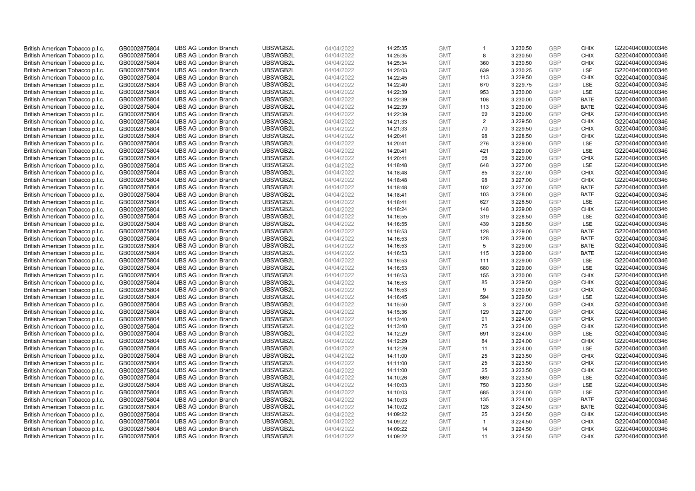| British American Tobacco p.l.c. | GB0002875804 | <b>UBS AG London Branch</b> | UBSWGB2L | 04/04/2022 | 14:25:35 | <b>GMT</b> | $\mathbf{1}$   | 3,230.50 | <b>GBP</b>               | <b>CHIX</b>        | G220404000000346 |
|---------------------------------|--------------|-----------------------------|----------|------------|----------|------------|----------------|----------|--------------------------|--------------------|------------------|
| British American Tobacco p.l.c. | GB0002875804 | <b>UBS AG London Branch</b> | UBSWGB2L | 04/04/2022 | 14:25:35 | <b>GMT</b> | 8              | 3,230.50 | <b>GBP</b>               | <b>CHIX</b>        | G220404000000346 |
| British American Tobacco p.l.c. | GB0002875804 | <b>UBS AG London Branch</b> | UBSWGB2L | 04/04/2022 | 14:25:34 | <b>GMT</b> | 360            | 3,230.50 | <b>GBP</b>               | <b>CHIX</b>        | G220404000000346 |
|                                 |              |                             | UBSWGB2L |            |          |            |                |          | <b>GBP</b>               |                    |                  |
| British American Tobacco p.l.c. | GB0002875804 | <b>UBS AG London Branch</b> |          | 04/04/2022 | 14:25:03 | <b>GMT</b> | 639            | 3,230.25 |                          | LSE                | G220404000000346 |
| British American Tobacco p.l.c. | GB0002875804 | <b>UBS AG London Branch</b> | UBSWGB2L | 04/04/2022 | 14:22:45 | <b>GMT</b> | 113            | 3,229.50 | <b>GBP</b>               | <b>CHIX</b>        | G220404000000346 |
| British American Tobacco p.l.c. | GB0002875804 | <b>UBS AG London Branch</b> | UBSWGB2L | 04/04/2022 | 14:22:40 | <b>GMT</b> | 670            | 3,229.75 | <b>GBP</b>               | LSE                | G220404000000346 |
| British American Tobacco p.l.c. | GB0002875804 | <b>UBS AG London Branch</b> | UBSWGB2L | 04/04/2022 | 14:22:39 | <b>GMT</b> | 953            | 3,230.00 | <b>GBP</b>               | LSE                | G220404000000346 |
| British American Tobacco p.l.c. | GB0002875804 | <b>UBS AG London Branch</b> | UBSWGB2L | 04/04/2022 | 14:22:39 | <b>GMT</b> | 108            | 3,230.00 | <b>GBP</b>               | <b>BATE</b>        | G220404000000346 |
| British American Tobacco p.l.c. | GB0002875804 | <b>UBS AG London Branch</b> | UBSWGB2L | 04/04/2022 | 14:22:39 | <b>GMT</b> | 113            | 3,230.00 | <b>GBP</b>               | <b>BATE</b>        | G220404000000346 |
| British American Tobacco p.l.c. | GB0002875804 | <b>UBS AG London Branch</b> | UBSWGB2L | 04/04/2022 | 14:22:39 | <b>GMT</b> | 99             | 3,230.00 | <b>GBP</b>               | <b>CHIX</b>        | G220404000000346 |
| British American Tobacco p.l.c. | GB0002875804 | <b>UBS AG London Branch</b> | UBSWGB2L | 04/04/2022 | 14:21:33 | <b>GMT</b> | $\overline{2}$ | 3,229.50 | <b>GBP</b>               | <b>CHIX</b>        | G220404000000346 |
| British American Tobacco p.l.c. | GB0002875804 | <b>UBS AG London Branch</b> | UBSWGB2L | 04/04/2022 | 14:21:33 | <b>GMT</b> | 70             | 3,229.50 | <b>GBP</b>               | <b>CHIX</b>        | G220404000000346 |
| British American Tobacco p.l.c. | GB0002875804 | <b>UBS AG London Branch</b> | UBSWGB2L | 04/04/2022 | 14:20:41 | <b>GMT</b> | 98             | 3,228.50 | <b>GBP</b>               | <b>CHIX</b>        | G220404000000346 |
| British American Tobacco p.l.c. | GB0002875804 | <b>UBS AG London Branch</b> | UBSWGB2L | 04/04/2022 | 14:20:41 | <b>GMT</b> | 276            | 3,229.00 | <b>GBP</b>               | LSE                | G220404000000346 |
| British American Tobacco p.l.c. | GB0002875804 | <b>UBS AG London Branch</b> | UBSWGB2L | 04/04/2022 | 14:20:41 | <b>GMT</b> | 421            | 3,229.00 | <b>GBP</b>               | <b>LSE</b>         | G220404000000346 |
| British American Tobacco p.l.c. | GB0002875804 | <b>UBS AG London Branch</b> | UBSWGB2L | 04/04/2022 | 14:20:41 | <b>GMT</b> | 96             | 3,229.00 | <b>GBP</b>               | <b>CHIX</b>        | G220404000000346 |
| British American Tobacco p.l.c. | GB0002875804 | <b>UBS AG London Branch</b> | UBSWGB2L | 04/04/2022 | 14:18:48 | <b>GMT</b> | 648            | 3,227.00 | <b>GBP</b>               | LSE                | G220404000000346 |
| British American Tobacco p.l.c. | GB0002875804 | <b>UBS AG London Branch</b> | UBSWGB2L | 04/04/2022 | 14:18:48 | <b>GMT</b> | 85             | 3,227.00 | <b>GBP</b>               | <b>CHIX</b>        | G220404000000346 |
| British American Tobacco p.l.c. | GB0002875804 | <b>UBS AG London Branch</b> | UBSWGB2L | 04/04/2022 | 14:18:48 | <b>GMT</b> | 98             | 3,227.00 | <b>GBP</b>               | <b>CHIX</b>        | G220404000000346 |
| British American Tobacco p.l.c. | GB0002875804 | <b>UBS AG London Branch</b> | UBSWGB2L | 04/04/2022 | 14:18:48 | <b>GMT</b> | 102            | 3,227.00 | <b>GBP</b>               | <b>BATE</b>        | G220404000000346 |
| British American Tobacco p.l.c. | GB0002875804 | <b>UBS AG London Branch</b> | UBSWGB2L | 04/04/2022 | 14:18:41 | <b>GMT</b> | 103            | 3,228.00 | <b>GBP</b>               | <b>BATE</b>        | G220404000000346 |
| British American Tobacco p.l.c. | GB0002875804 | <b>UBS AG London Branch</b> | UBSWGB2L | 04/04/2022 | 14:18:41 | <b>GMT</b> | 627            | 3,228.50 | <b>GBP</b>               | LSE                | G220404000000346 |
| British American Tobacco p.l.c. | GB0002875804 | <b>UBS AG London Branch</b> | UBSWGB2L | 04/04/2022 | 14:18:24 | <b>GMT</b> | 148            | 3,229.00 | <b>GBP</b>               | <b>CHIX</b>        | G220404000000346 |
| British American Tobacco p.l.c. | GB0002875804 | <b>UBS AG London Branch</b> | UBSWGB2L | 04/04/2022 | 14:16:55 | <b>GMT</b> | 319            | 3,228.50 | <b>GBP</b>               | <b>LSE</b>         | G220404000000346 |
| British American Tobacco p.l.c. | GB0002875804 | <b>UBS AG London Branch</b> | UBSWGB2L | 04/04/2022 | 14:16:55 | <b>GMT</b> | 439            | 3,228.50 | <b>GBP</b>               | LSE                | G220404000000346 |
| British American Tobacco p.l.c. | GB0002875804 | <b>UBS AG London Branch</b> | UBSWGB2L | 04/04/2022 | 14:16:53 | <b>GMT</b> | 128            | 3,229.00 | <b>GBP</b>               | <b>BATE</b>        | G220404000000346 |
| British American Tobacco p.l.c. | GB0002875804 | <b>UBS AG London Branch</b> | UBSWGB2L | 04/04/2022 | 14:16:53 | <b>GMT</b> | 128            | 3,229.00 | <b>GBP</b>               | <b>BATE</b>        | G220404000000346 |
| British American Tobacco p.l.c. | GB0002875804 | <b>UBS AG London Branch</b> | UBSWGB2L | 04/04/2022 | 14:16:53 | <b>GMT</b> | 5              | 3,229.00 | <b>GBP</b>               | <b>BATE</b>        | G220404000000346 |
| British American Tobacco p.l.c. | GB0002875804 | <b>UBS AG London Branch</b> | UBSWGB2L | 04/04/2022 | 14:16:53 | <b>GMT</b> | 115            | 3,229.00 | <b>GBP</b>               | <b>BATE</b>        | G220404000000346 |
| British American Tobacco p.l.c. | GB0002875804 | <b>UBS AG London Branch</b> | UBSWGB2L | 04/04/2022 | 14:16:53 | <b>GMT</b> | 111            | 3,229.00 | <b>GBP</b>               | LSE                | G220404000000346 |
| British American Tobacco p.l.c. | GB0002875804 | <b>UBS AG London Branch</b> | UBSWGB2L | 04/04/2022 | 14:16:53 | <b>GMT</b> | 680            | 3,229.00 | <b>GBP</b>               | LSE                | G220404000000346 |
| British American Tobacco p.l.c. | GB0002875804 | <b>UBS AG London Branch</b> | UBSWGB2L | 04/04/2022 | 14:16:53 | <b>GMT</b> | 155            | 3,230.00 | <b>GBP</b>               | <b>CHIX</b>        | G220404000000346 |
| British American Tobacco p.l.c. | GB0002875804 | <b>UBS AG London Branch</b> | UBSWGB2L | 04/04/2022 | 14:16:53 | <b>GMT</b> | 85             | 3,229.50 | <b>GBP</b>               | <b>CHIX</b>        | G220404000000346 |
| British American Tobacco p.l.c. | GB0002875804 | <b>UBS AG London Branch</b> | UBSWGB2L | 04/04/2022 | 14:16:53 | <b>GMT</b> | 9              | 3,230.00 | <b>GBP</b>               | <b>CHIX</b>        | G220404000000346 |
| British American Tobacco p.l.c. | GB0002875804 | <b>UBS AG London Branch</b> | UBSWGB2L | 04/04/2022 | 14:16:45 | <b>GMT</b> | 594            | 3,229.50 | <b>GBP</b>               | <b>LSE</b>         | G220404000000346 |
| British American Tobacco p.l.c. | GB0002875804 | <b>UBS AG London Branch</b> | UBSWGB2L | 04/04/2022 | 14:15:50 | <b>GMT</b> | 3              | 3,227.00 | <b>GBP</b>               | <b>CHIX</b>        | G220404000000346 |
| British American Tobacco p.l.c. | GB0002875804 | <b>UBS AG London Branch</b> | UBSWGB2L | 04/04/2022 | 14:15:36 | <b>GMT</b> | 129            | 3,227.00 | <b>GBP</b>               | <b>CHIX</b>        | G220404000000346 |
| British American Tobacco p.l.c. | GB0002875804 | <b>UBS AG London Branch</b> | UBSWGB2L | 04/04/2022 | 14:13:40 | <b>GMT</b> | 91             | 3,224.00 | <b>GBP</b>               | <b>CHIX</b>        | G220404000000346 |
|                                 |              | <b>UBS AG London Branch</b> | UBSWGB2L |            |          | <b>GMT</b> | 75             |          | <b>GBP</b>               | <b>CHIX</b>        | G220404000000346 |
| British American Tobacco p.l.c. | GB0002875804 |                             |          | 04/04/2022 | 14:13:40 |            |                | 3,224.00 |                          |                    |                  |
| British American Tobacco p.l.c. | GB0002875804 | <b>UBS AG London Branch</b> | UBSWGB2L | 04/04/2022 | 14:12:29 | <b>GMT</b> | 691            | 3,224.00 | <b>GBP</b><br><b>GBP</b> | LSE<br><b>CHIX</b> | G220404000000346 |
| British American Tobacco p.l.c. | GB0002875804 | <b>UBS AG London Branch</b> | UBSWGB2L | 04/04/2022 | 14:12:29 | <b>GMT</b> | 84             | 3,224.00 |                          |                    | G220404000000346 |
| British American Tobacco p.l.c. | GB0002875804 | <b>UBS AG London Branch</b> | UBSWGB2L | 04/04/2022 | 14:12:29 | <b>GMT</b> | 11             | 3,224.00 | <b>GBP</b>               | LSE                | G220404000000346 |
| British American Tobacco p.l.c. | GB0002875804 | <b>UBS AG London Branch</b> | UBSWGB2L | 04/04/2022 | 14:11:00 | <b>GMT</b> | 25             | 3,223.50 | <b>GBP</b>               | <b>CHIX</b>        | G220404000000346 |
| British American Tobacco p.l.c. | GB0002875804 | <b>UBS AG London Branch</b> | UBSWGB2L | 04/04/2022 | 14:11:00 | <b>GMT</b> | 25             | 3,223.50 | <b>GBP</b>               | <b>CHIX</b>        | G220404000000346 |
| British American Tobacco p.l.c. | GB0002875804 | <b>UBS AG London Branch</b> | UBSWGB2L | 04/04/2022 | 14:11:00 | <b>GMT</b> | 25             | 3,223.50 | <b>GBP</b>               | <b>CHIX</b>        | G220404000000346 |
| British American Tobacco p.l.c. | GB0002875804 | <b>UBS AG London Branch</b> | UBSWGB2L | 04/04/2022 | 14:10:26 | <b>GMT</b> | 669            | 3,223.50 | <b>GBP</b>               | LSE                | G220404000000346 |
| British American Tobacco p.l.c. | GB0002875804 | <b>UBS AG London Branch</b> | UBSWGB2L | 04/04/2022 | 14:10:03 | <b>GMT</b> | 750            | 3,223.50 | <b>GBP</b>               | LSE                | G220404000000346 |
| British American Tobacco p.l.c. | GB0002875804 | <b>UBS AG London Branch</b> | UBSWGB2L | 04/04/2022 | 14:10:03 | <b>GMT</b> | 685            | 3,224.00 | <b>GBP</b>               | LSE                | G220404000000346 |
| British American Tobacco p.l.c. | GB0002875804 | <b>UBS AG London Branch</b> | UBSWGB2L | 04/04/2022 | 14:10:03 | <b>GMT</b> | 135            | 3,224.00 | <b>GBP</b>               | <b>BATE</b>        | G220404000000346 |
| British American Tobacco p.l.c. | GB0002875804 | <b>UBS AG London Branch</b> | UBSWGB2L | 04/04/2022 | 14:10:02 | <b>GMT</b> | 128            | 3,224.50 | <b>GBP</b>               | <b>BATE</b>        | G220404000000346 |
| British American Tobacco p.l.c. | GB0002875804 | <b>UBS AG London Branch</b> | UBSWGB2L | 04/04/2022 | 14:09:22 | <b>GMT</b> | 25             | 3,224.50 | <b>GBP</b>               | <b>CHIX</b>        | G220404000000346 |
| British American Tobacco p.l.c. | GB0002875804 | <b>UBS AG London Branch</b> | UBSWGB2L | 04/04/2022 | 14:09:22 | <b>GMT</b> | $\mathbf{1}$   | 3,224.50 | <b>GBP</b>               | <b>CHIX</b>        | G220404000000346 |
| British American Tobacco p.l.c. | GB0002875804 | <b>UBS AG London Branch</b> | UBSWGB2L | 04/04/2022 | 14:09:22 | <b>GMT</b> | 14             | 3,224.50 | <b>GBP</b>               | <b>CHIX</b>        | G220404000000346 |
| British American Tobacco p.l.c. | GB0002875804 | <b>UBS AG London Branch</b> | UBSWGB2L | 04/04/2022 | 14:09:22 | <b>GMT</b> | 11             | 3.224.50 | GBP                      | <b>CHIX</b>        | G220404000000346 |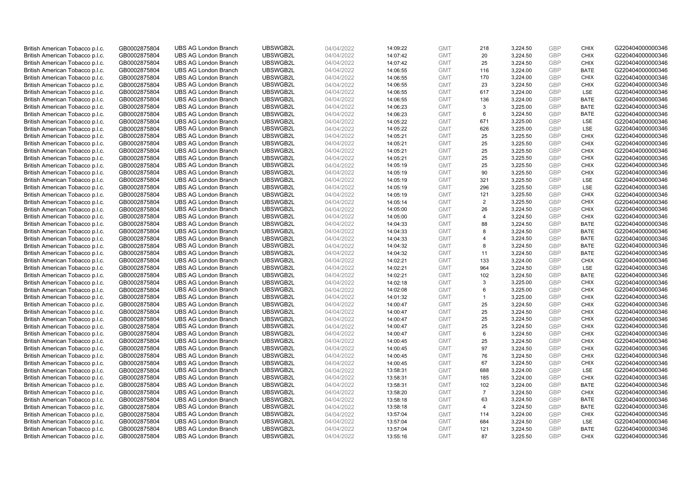| British American Tobacco p.l.c. | GB0002875804 | <b>UBS AG London Branch</b> | UBSWGB2L | 04/04/2022 | 14:09:22 | <b>GMT</b> | 218            | 3,224.50 | <b>GBP</b> | <b>CHIX</b> | G220404000000346 |
|---------------------------------|--------------|-----------------------------|----------|------------|----------|------------|----------------|----------|------------|-------------|------------------|
|                                 |              |                             |          |            |          |            | 20             |          | <b>GBP</b> | <b>CHIX</b> |                  |
| British American Tobacco p.l.c. | GB0002875804 | <b>UBS AG London Branch</b> | UBSWGB2L | 04/04/2022 | 14:07:42 | <b>GMT</b> |                | 3,224.50 |            |             | G220404000000346 |
| British American Tobacco p.l.c. | GB0002875804 | <b>UBS AG London Branch</b> | UBSWGB2L | 04/04/2022 | 14:07:42 | <b>GMT</b> | 25             | 3,224.50 | <b>GBP</b> | <b>CHIX</b> | G220404000000346 |
| British American Tobacco p.l.c. | GB0002875804 | <b>UBS AG London Branch</b> | UBSWGB2L | 04/04/2022 | 14:06:55 | <b>GMT</b> | 116            | 3,224.00 | <b>GBP</b> | <b>BATE</b> | G220404000000346 |
| British American Tobacco p.l.c. | GB0002875804 | <b>UBS AG London Branch</b> | UBSWGB2L | 04/04/2022 | 14:06:55 | <b>GMT</b> | 170            | 3,224.00 | <b>GBP</b> | <b>CHIX</b> | G220404000000346 |
| British American Tobacco p.l.c. | GB0002875804 | <b>UBS AG London Branch</b> | UBSWGB2L | 04/04/2022 | 14:06:55 | <b>GMT</b> | 23             | 3,224.50 | <b>GBP</b> | <b>CHIX</b> | G220404000000346 |
| British American Tobacco p.l.c. | GB0002875804 | <b>UBS AG London Branch</b> | UBSWGB2L | 04/04/2022 | 14:06:55 | <b>GMT</b> | 617            | 3,224.00 | <b>GBP</b> | LSE         | G220404000000346 |
| British American Tobacco p.l.c. | GB0002875804 | <b>UBS AG London Branch</b> | UBSWGB2L | 04/04/2022 | 14:06:55 | <b>GMT</b> | 136            | 3,224.00 | <b>GBP</b> | <b>BATE</b> | G220404000000346 |
| British American Tobacco p.l.c. | GB0002875804 | <b>UBS AG London Branch</b> | UBSWGB2L | 04/04/2022 | 14:06:23 | <b>GMT</b> | 3              | 3,225.00 | <b>GBP</b> | <b>BATE</b> | G220404000000346 |
| British American Tobacco p.l.c. | GB0002875804 | <b>UBS AG London Branch</b> | UBSWGB2L | 04/04/2022 | 14:06:23 | <b>GMT</b> | 6              | 3,224.50 | <b>GBP</b> | <b>BATE</b> | G220404000000346 |
| British American Tobacco p.l.c. | GB0002875804 | <b>UBS AG London Branch</b> | UBSWGB2L | 04/04/2022 | 14:05:22 | <b>GMT</b> | 671            | 3,225.00 | <b>GBP</b> | <b>LSE</b>  | G220404000000346 |
| British American Tobacco p.l.c. | GB0002875804 | <b>UBS AG London Branch</b> | UBSWGB2L | 04/04/2022 | 14:05:22 | <b>GMT</b> | 626            | 3,225.00 | <b>GBP</b> | LSE         | G220404000000346 |
| British American Tobacco p.l.c. | GB0002875804 | <b>UBS AG London Branch</b> | UBSWGB2L | 04/04/2022 | 14:05:21 | <b>GMT</b> | 25             | 3,225.50 | <b>GBP</b> | <b>CHIX</b> | G220404000000346 |
| British American Tobacco p.l.c. | GB0002875804 | <b>UBS AG London Branch</b> | UBSWGB2L | 04/04/2022 | 14:05:21 | <b>GMT</b> | 25             | 3,225.50 | <b>GBP</b> | <b>CHIX</b> | G220404000000346 |
| British American Tobacco p.l.c. | GB0002875804 | <b>UBS AG London Branch</b> | UBSWGB2L | 04/04/2022 | 14:05:21 | <b>GMT</b> | 25             | 3,225.50 | <b>GBP</b> | <b>CHIX</b> | G220404000000346 |
| British American Tobacco p.l.c. | GB0002875804 | <b>UBS AG London Branch</b> | UBSWGB2L | 04/04/2022 | 14:05:21 | <b>GMT</b> | 25             | 3,225.50 | <b>GBP</b> | <b>CHIX</b> | G220404000000346 |
| British American Tobacco p.l.c. | GB0002875804 | <b>UBS AG London Branch</b> | UBSWGB2L | 04/04/2022 | 14:05:19 | <b>GMT</b> | 25             | 3,225.50 | <b>GBP</b> | <b>CHIX</b> | G220404000000346 |
| British American Tobacco p.l.c. | GB0002875804 | <b>UBS AG London Branch</b> | UBSWGB2L | 04/04/2022 | 14:05:19 | <b>GMT</b> | 90             | 3,225.50 | <b>GBP</b> | <b>CHIX</b> | G220404000000346 |
|                                 |              | <b>UBS AG London Branch</b> | UBSWGB2L |            |          |            |                |          |            | <b>LSE</b>  |                  |
| British American Tobacco p.l.c. | GB0002875804 |                             |          | 04/04/2022 | 14:05:19 | <b>GMT</b> | 321            | 3,225.50 | <b>GBP</b> |             | G220404000000346 |
| British American Tobacco p.l.c. | GB0002875804 | <b>UBS AG London Branch</b> | UBSWGB2L | 04/04/2022 | 14:05:19 | <b>GMT</b> | 296            | 3,225.50 | <b>GBP</b> | LSE         | G220404000000346 |
| British American Tobacco p.l.c. | GB0002875804 | <b>UBS AG London Branch</b> | UBSWGB2L | 04/04/2022 | 14:05:19 | <b>GMT</b> | 121            | 3,225.50 | <b>GBP</b> | <b>CHIX</b> | G220404000000346 |
| British American Tobacco p.l.c. | GB0002875804 | <b>UBS AG London Branch</b> | UBSWGB2L | 04/04/2022 | 14:05:14 | <b>GMT</b> | 2              | 3,225.50 | <b>GBP</b> | <b>CHIX</b> | G220404000000346 |
| British American Tobacco p.l.c. | GB0002875804 | <b>UBS AG London Branch</b> | UBSWGB2L | 04/04/2022 | 14:05:00 | <b>GMT</b> | 26             | 3,224.50 | <b>GBP</b> | <b>CHIX</b> | G220404000000346 |
| British American Tobacco p.l.c. | GB0002875804 | <b>UBS AG London Branch</b> | UBSWGB2L | 04/04/2022 | 14:05:00 | <b>GMT</b> | $\overline{4}$ | 3,224.50 | <b>GBP</b> | <b>CHIX</b> | G220404000000346 |
| British American Tobacco p.l.c. | GB0002875804 | <b>UBS AG London Branch</b> | UBSWGB2L | 04/04/2022 | 14:04:33 | <b>GMT</b> | 88             | 3,224.50 | <b>GBP</b> | <b>BATE</b> | G220404000000346 |
| British American Tobacco p.l.c. | GB0002875804 | <b>UBS AG London Branch</b> | UBSWGB2L | 04/04/2022 | 14:04:33 | <b>GMT</b> | 8              | 3,224.50 | <b>GBP</b> | <b>BATE</b> | G220404000000346 |
| British American Tobacco p.l.c. | GB0002875804 | <b>UBS AG London Branch</b> | UBSWGB2L | 04/04/2022 | 14:04:33 | <b>GMT</b> | $\overline{4}$ | 3,224.50 | <b>GBP</b> | <b>BATE</b> | G220404000000346 |
| British American Tobacco p.l.c. | GB0002875804 | <b>UBS AG London Branch</b> | UBSWGB2L | 04/04/2022 | 14:04:32 | <b>GMT</b> | 8              | 3,224.50 | <b>GBP</b> | <b>BATE</b> | G220404000000346 |
| British American Tobacco p.l.c. | GB0002875804 | <b>UBS AG London Branch</b> | UBSWGB2L | 04/04/2022 | 14:04:32 | <b>GMT</b> | 11             | 3,224.50 | <b>GBP</b> | <b>BATE</b> | G220404000000346 |
| British American Tobacco p.l.c. | GB0002875804 | <b>UBS AG London Branch</b> | UBSWGB2L | 04/04/2022 | 14:02:21 | <b>GMT</b> | 133            | 3,224.00 | <b>GBP</b> | <b>CHIX</b> | G220404000000346 |
| British American Tobacco p.l.c. | GB0002875804 | <b>UBS AG London Branch</b> | UBSWGB2L | 04/04/2022 | 14:02:21 | <b>GMT</b> | 964            | 3,224.50 | <b>GBP</b> | LSE         | G220404000000346 |
| British American Tobacco p.l.c. | GB0002875804 | <b>UBS AG London Branch</b> | UBSWGB2L | 04/04/2022 | 14:02:21 | <b>GMT</b> | 102            | 3,224.50 | <b>GBP</b> | BATE        | G220404000000346 |
| British American Tobacco p.l.c. | GB0002875804 | <b>UBS AG London Branch</b> | UBSWGB2L | 04/04/2022 | 14:02:18 | <b>GMT</b> | 3              | 3,225.00 | <b>GBP</b> | <b>CHIX</b> | G220404000000346 |
| British American Tobacco p.l.c. | GB0002875804 | <b>UBS AG London Branch</b> | UBSWGB2L | 04/04/2022 | 14:02:08 | <b>GMT</b> | 6              | 3,225.00 | GBP        | <b>CHIX</b> | G220404000000346 |
| British American Tobacco p.l.c. | GB0002875804 | <b>UBS AG London Branch</b> | UBSWGB2L | 04/04/2022 | 14:01:32 | <b>GMT</b> | $\overline{1}$ | 3,225.00 | <b>GBP</b> | <b>CHIX</b> | G220404000000346 |
| British American Tobacco p.l.c. | GB0002875804 | <b>UBS AG London Branch</b> | UBSWGB2L | 04/04/2022 | 14:00:47 | <b>GMT</b> | 25             | 3,224.50 | <b>GBP</b> | <b>CHIX</b> | G220404000000346 |
| British American Tobacco p.l.c. | GB0002875804 | <b>UBS AG London Branch</b> | UBSWGB2L | 04/04/2022 | 14:00:47 | <b>GMT</b> | 25             | 3,224.50 | <b>GBP</b> | <b>CHIX</b> | G220404000000346 |
| British American Tobacco p.l.c. | GB0002875804 | <b>UBS AG London Branch</b> | UBSWGB2L | 04/04/2022 | 14:00:47 | <b>GMT</b> | 25             | 3,224.50 | <b>GBP</b> | <b>CHIX</b> | G220404000000346 |
| British American Tobacco p.l.c. | GB0002875804 | <b>UBS AG London Branch</b> | UBSWGB2L | 04/04/2022 | 14:00:47 | <b>GMT</b> | 25             | 3,224.50 | <b>GBP</b> | <b>CHIX</b> | G220404000000346 |
| British American Tobacco p.l.c. | GB0002875804 | <b>UBS AG London Branch</b> | UBSWGB2L | 04/04/2022 | 14:00:47 | <b>GMT</b> | 6              | 3,224.50 | <b>GBP</b> | <b>CHIX</b> | G220404000000346 |
| British American Tobacco p.l.c. | GB0002875804 | <b>UBS AG London Branch</b> | UBSWGB2L | 04/04/2022 | 14:00:45 | <b>GMT</b> | 25             | 3,224.50 | <b>GBP</b> | <b>CHIX</b> | G220404000000346 |
| British American Tobacco p.l.c. | GB0002875804 | <b>UBS AG London Branch</b> | UBSWGB2L | 04/04/2022 | 14:00:45 | <b>GMT</b> | 97             | 3,224.50 | <b>GBP</b> | <b>CHIX</b> | G220404000000346 |
| British American Tobacco p.l.c. | GB0002875804 | <b>UBS AG London Branch</b> | UBSWGB2L | 04/04/2022 | 14:00:45 | <b>GMT</b> | 76             | 3,224.50 | <b>GBP</b> | <b>CHIX</b> | G220404000000346 |
| British American Tobacco p.l.c. |              | <b>UBS AG London Branch</b> | UBSWGB2L | 04/04/2022 |          | <b>GMT</b> | 67             | 3,224.50 | <b>GBP</b> | <b>CHIX</b> |                  |
|                                 | GB0002875804 |                             | UBSWGB2L |            | 14:00:45 |            | 688            |          |            |             | G220404000000346 |
| British American Tobacco p.l.c. | GB0002875804 | <b>UBS AG London Branch</b> |          | 04/04/2022 | 13:58:31 | <b>GMT</b> |                | 3,224.00 | <b>GBP</b> | LSE         | G220404000000346 |
| British American Tobacco p.l.c. | GB0002875804 | <b>UBS AG London Branch</b> | UBSWGB2L | 04/04/2022 | 13:58:31 | <b>GMT</b> | 185            | 3,224.00 | <b>GBP</b> | <b>CHIX</b> | G220404000000346 |
| British American Tobacco p.l.c. | GB0002875804 | <b>UBS AG London Branch</b> | UBSWGB2L | 04/04/2022 | 13:58:31 | <b>GMT</b> | 102            | 3,224.00 | <b>GBP</b> | <b>BATE</b> | G220404000000346 |
| British American Tobacco p.l.c. | GB0002875804 | <b>UBS AG London Branch</b> | UBSWGB2L | 04/04/2022 | 13:58:20 | <b>GMT</b> | $\overline{7}$ | 3,224.50 | <b>GBP</b> | <b>CHIX</b> | G220404000000346 |
| British American Tobacco p.l.c. | GB0002875804 | <b>UBS AG London Branch</b> | UBSWGB2L | 04/04/2022 | 13:58:18 | <b>GMT</b> | 63             | 3,224.50 | <b>GBP</b> | <b>BATE</b> | G220404000000346 |
| British American Tobacco p.l.c. | GB0002875804 | <b>UBS AG London Branch</b> | UBSWGB2L | 04/04/2022 | 13:58:18 | <b>GMT</b> | $\overline{4}$ | 3,224.50 | <b>GBP</b> | <b>BATE</b> | G220404000000346 |
| British American Tobacco p.l.c. | GB0002875804 | <b>UBS AG London Branch</b> | UBSWGB2L | 04/04/2022 | 13:57:04 | <b>GMT</b> | 114            | 3,224.00 | <b>GBP</b> | <b>CHIX</b> | G220404000000346 |
| British American Tobacco p.l.c. | GB0002875804 | <b>UBS AG London Branch</b> | UBSWGB2L | 04/04/2022 | 13:57:04 | <b>GMT</b> | 684            | 3,224.50 | <b>GBP</b> | LSE         | G220404000000346 |
| British American Tobacco p.l.c. | GB0002875804 | <b>UBS AG London Branch</b> | UBSWGB2L | 04/04/2022 | 13:57:04 | <b>GMT</b> | 121            | 3,224.50 | <b>GBP</b> | <b>BATE</b> | G220404000000346 |
| British American Tobacco p.l.c. | GB0002875804 | <b>UBS AG London Branch</b> | UBSWGB2L | 04/04/2022 | 13:55:16 | <b>GMT</b> | 87             | 3.225.50 | GBP        | <b>CHIX</b> | G220404000000346 |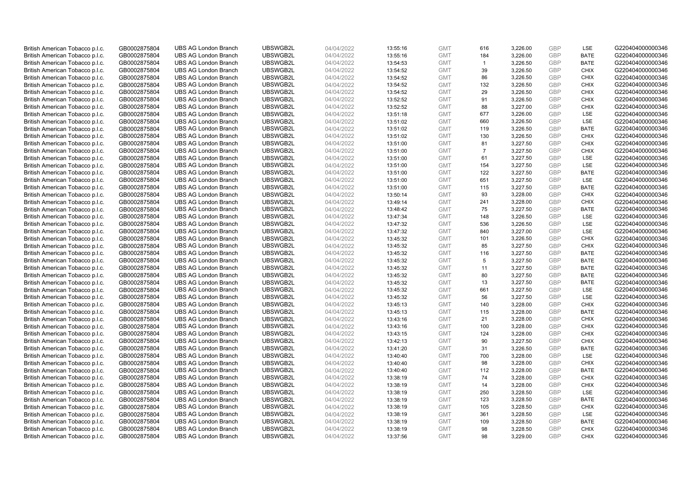| British American Tobacco p.l.c. | GB0002875804 | <b>UBS AG London Branch</b> | UBSWGB2L | 04/04/2022 | 13:55:16 | <b>GMT</b> | 616            | 3,226.00             | <b>GBP</b> | LSE         | G220404000000346 |
|---------------------------------|--------------|-----------------------------|----------|------------|----------|------------|----------------|----------------------|------------|-------------|------------------|
| British American Tobacco p.l.c. | GB0002875804 | <b>UBS AG London Branch</b> | UBSWGB2L | 04/04/2022 | 13:55:16 | <b>GMT</b> | 184            | 3,226.00             | <b>GBP</b> | <b>BATE</b> | G220404000000346 |
| British American Tobacco p.l.c. | GB0002875804 | <b>UBS AG London Branch</b> | UBSWGB2L | 04/04/2022 | 13:54:53 | <b>GMT</b> | $\mathbf{1}$   | 3,226.50             | <b>GBP</b> | <b>BATE</b> | G220404000000346 |
| British American Tobacco p.l.c. | GB0002875804 | <b>UBS AG London Branch</b> | UBSWGB2L | 04/04/2022 | 13:54:52 | <b>GMT</b> | 39             |                      | <b>GBP</b> | <b>CHIX</b> | G220404000000346 |
| British American Tobacco p.l.c. | GB0002875804 | <b>UBS AG London Branch</b> | UBSWGB2L | 04/04/2022 | 13:54:52 | <b>GMT</b> | 86             | 3,226.50<br>3,226.50 | <b>GBP</b> | <b>CHIX</b> | G220404000000346 |
|                                 |              |                             |          |            |          |            |                |                      |            |             |                  |
| British American Tobacco p.l.c. | GB0002875804 | <b>UBS AG London Branch</b> | UBSWGB2L | 04/04/2022 | 13:54:52 | <b>GMT</b> | 132            | 3,226.50             | <b>GBP</b> | <b>CHIX</b> | G220404000000346 |
| British American Tobacco p.l.c. | GB0002875804 | <b>UBS AG London Branch</b> | UBSWGB2L | 04/04/2022 | 13:54:52 | <b>GMT</b> | 29             | 3,226.50             | <b>GBP</b> | <b>CHIX</b> | G220404000000346 |
| British American Tobacco p.l.c. | GB0002875804 | <b>UBS AG London Branch</b> | UBSWGB2L | 04/04/2022 | 13:52:52 | <b>GMT</b> | 91             | 3,226.50             | <b>GBP</b> | <b>CHIX</b> | G220404000000346 |
| British American Tobacco p.l.c. | GB0002875804 | <b>UBS AG London Branch</b> | UBSWGB2L | 04/04/2022 | 13:52:52 | <b>GMT</b> | 88             | 3,227.00             | <b>GBP</b> | <b>CHIX</b> | G220404000000346 |
| British American Tobacco p.l.c. | GB0002875804 | <b>UBS AG London Branch</b> | UBSWGB2L | 04/04/2022 | 13:51:18 | <b>GMT</b> | 677            | 3,226.00             | <b>GBP</b> | LSE         | G220404000000346 |
| British American Tobacco p.l.c. | GB0002875804 | <b>UBS AG London Branch</b> | UBSWGB2L | 04/04/2022 | 13:51:02 | <b>GMT</b> | 660            | 3,226.50             | <b>GBP</b> | LSE         | G220404000000346 |
| British American Tobacco p.l.c. | GB0002875804 | <b>UBS AG London Branch</b> | UBSWGB2L | 04/04/2022 | 13:51:02 | <b>GMT</b> | 119            | 3,226.50             | <b>GBP</b> | <b>BATE</b> | G220404000000346 |
| British American Tobacco p.l.c. | GB0002875804 | <b>UBS AG London Branch</b> | UBSWGB2L | 04/04/2022 | 13:51:02 | <b>GMT</b> | 130            | 3,226.50             | <b>GBP</b> | <b>CHIX</b> | G220404000000346 |
| British American Tobacco p.l.c. | GB0002875804 | <b>UBS AG London Branch</b> | UBSWGB2L | 04/04/2022 | 13:51:00 | <b>GMT</b> | 81             | 3,227.50             | <b>GBP</b> | <b>CHIX</b> | G220404000000346 |
| British American Tobacco p.l.c. | GB0002875804 | <b>UBS AG London Branch</b> | UBSWGB2L | 04/04/2022 | 13:51:00 | <b>GMT</b> | $\overline{7}$ | 3,227.50             | <b>GBP</b> | <b>CHIX</b> | G220404000000346 |
| British American Tobacco p.l.c. | GB0002875804 | <b>UBS AG London Branch</b> | UBSWGB2L | 04/04/2022 | 13:51:00 | <b>GMT</b> | 61             | 3,227.50             | <b>GBP</b> | LSE         | G220404000000346 |
| British American Tobacco p.l.c. | GB0002875804 | <b>UBS AG London Branch</b> | UBSWGB2L | 04/04/2022 | 13:51:00 | <b>GMT</b> | 154            | 3,227.50             | <b>GBP</b> | LSE         | G220404000000346 |
| British American Tobacco p.l.c. | GB0002875804 | <b>UBS AG London Branch</b> | UBSWGB2L | 04/04/2022 | 13:51:00 | <b>GMT</b> | 122            | 3,227.50             | <b>GBP</b> | <b>BATE</b> | G220404000000346 |
| British American Tobacco p.l.c. | GB0002875804 | <b>UBS AG London Branch</b> | UBSWGB2L | 04/04/2022 | 13:51:00 | <b>GMT</b> | 651            | 3,227.50             | <b>GBP</b> | <b>LSE</b>  | G220404000000346 |
| British American Tobacco p.l.c. | GB0002875804 | <b>UBS AG London Branch</b> | UBSWGB2L | 04/04/2022 | 13:51:00 | <b>GMT</b> | 115            | 3,227.50             | <b>GBP</b> | <b>BATE</b> | G220404000000346 |
| British American Tobacco p.l.c. | GB0002875804 | <b>UBS AG London Branch</b> | UBSWGB2L | 04/04/2022 | 13:50:14 | <b>GMT</b> | 93             | 3,228.00             | <b>GBP</b> | <b>CHIX</b> | G220404000000346 |
| British American Tobacco p.l.c. | GB0002875804 | <b>UBS AG London Branch</b> | UBSWGB2L | 04/04/2022 | 13:49:14 | <b>GMT</b> | 241            | 3,228.00             | <b>GBP</b> | <b>CHIX</b> | G220404000000346 |
| British American Tobacco p.l.c. | GB0002875804 | <b>UBS AG London Branch</b> | UBSWGB2L | 04/04/2022 | 13:48:42 | <b>GMT</b> | 75             | 3,227.50             | <b>GBP</b> | <b>BATE</b> | G220404000000346 |
| British American Tobacco p.l.c. | GB0002875804 | <b>UBS AG London Branch</b> | UBSWGB2L | 04/04/2022 | 13:47:34 | <b>GMT</b> | 148            | 3,226.50             | <b>GBP</b> | <b>LSE</b>  | G220404000000346 |
| British American Tobacco p.l.c. | GB0002875804 | <b>UBS AG London Branch</b> | UBSWGB2L | 04/04/2022 | 13:47:32 | <b>GMT</b> | 536            | 3,226.50             | <b>GBP</b> | LSE         | G220404000000346 |
| British American Tobacco p.l.c. | GB0002875804 | <b>UBS AG London Branch</b> | UBSWGB2L | 04/04/2022 | 13:47:32 | <b>GMT</b> | 840            | 3,227.00             | <b>GBP</b> | LSE         | G220404000000346 |
| British American Tobacco p.l.c. | GB0002875804 | <b>UBS AG London Branch</b> | UBSWGB2L | 04/04/2022 | 13:45:32 | <b>GMT</b> | 101            | 3,226.50             | <b>GBP</b> | <b>CHIX</b> | G220404000000346 |
| British American Tobacco p.l.c. | GB0002875804 | <b>UBS AG London Branch</b> | UBSWGB2L | 04/04/2022 | 13:45:32 | <b>GMT</b> | 85             | 3,227.50             | <b>GBP</b> | <b>CHIX</b> | G220404000000346 |
| British American Tobacco p.l.c. | GB0002875804 | <b>UBS AG London Branch</b> | UBSWGB2L | 04/04/2022 | 13:45:32 | <b>GMT</b> | 116            | 3,227.50             | <b>GBP</b> | <b>BATE</b> | G220404000000346 |
| British American Tobacco p.l.c. | GB0002875804 | <b>UBS AG London Branch</b> | UBSWGB2L | 04/04/2022 | 13:45:32 | <b>GMT</b> | 5              | 3,227.50             | <b>GBP</b> | <b>BATE</b> | G220404000000346 |
| British American Tobacco p.l.c. | GB0002875804 | <b>UBS AG London Branch</b> | UBSWGB2L | 04/04/2022 | 13:45:32 | <b>GMT</b> | 11             | 3,227.50             | <b>GBP</b> | <b>BATE</b> | G220404000000346 |
| British American Tobacco p.l.c. | GB0002875804 | <b>UBS AG London Branch</b> | UBSWGB2L | 04/04/2022 | 13:45:32 | <b>GMT</b> | 80             | 3,227.50             | <b>GBP</b> | BATE        | G220404000000346 |
| British American Tobacco p.l.c. | GB0002875804 | <b>UBS AG London Branch</b> | UBSWGB2L | 04/04/2022 | 13:45:32 | <b>GMT</b> | 13             | 3,227.50             | <b>GBP</b> | <b>BATE</b> | G220404000000346 |
| British American Tobacco p.l.c. | GB0002875804 | <b>UBS AG London Branch</b> | UBSWGB2L | 04/04/2022 | 13:45:32 | <b>GMT</b> | 661            | 3,227.50             | <b>GBP</b> | LSE         | G220404000000346 |
| British American Tobacco p.l.c. | GB0002875804 | <b>UBS AG London Branch</b> | UBSWGB2L | 04/04/2022 | 13:45:32 | <b>GMT</b> | 56             | 3,227.50             | <b>GBP</b> | LSE         | G220404000000346 |
| British American Tobacco p.l.c. | GB0002875804 | <b>UBS AG London Branch</b> | UBSWGB2L | 04/04/2022 | 13:45:13 | <b>GMT</b> | 140            | 3,228.00             | <b>GBP</b> | <b>CHIX</b> | G220404000000346 |
| British American Tobacco p.l.c. | GB0002875804 | <b>UBS AG London Branch</b> | UBSWGB2L | 04/04/2022 | 13:45:13 | <b>GMT</b> | 115            | 3,228.00             | <b>GBP</b> | <b>BATE</b> | G220404000000346 |
| British American Tobacco p.l.c. | GB0002875804 | <b>UBS AG London Branch</b> | UBSWGB2L | 04/04/2022 | 13:43:16 | <b>GMT</b> | 21             | 3,228.00             | <b>GBP</b> | <b>CHIX</b> | G220404000000346 |
| British American Tobacco p.l.c. | GB0002875804 | <b>UBS AG London Branch</b> | UBSWGB2L | 04/04/2022 | 13:43:16 | <b>GMT</b> | 100            | 3,228.00             | <b>GBP</b> | <b>CHIX</b> | G220404000000346 |
| British American Tobacco p.l.c. | GB0002875804 | <b>UBS AG London Branch</b> | UBSWGB2L | 04/04/2022 | 13:43:15 | <b>GMT</b> | 124            | 3,228.00             | <b>GBP</b> | <b>CHIX</b> | G220404000000346 |
| British American Tobacco p.l.c. | GB0002875804 | <b>UBS AG London Branch</b> | UBSWGB2L | 04/04/2022 | 13:42:13 | <b>GMT</b> | 90             | 3,227.50             | <b>GBP</b> | <b>CHIX</b> | G220404000000346 |
| British American Tobacco p.l.c. | GB0002875804 | <b>UBS AG London Branch</b> | UBSWGB2L | 04/04/2022 | 13:41:20 | <b>GMT</b> | 31             | 3,226.50             | <b>GBP</b> | <b>BATE</b> | G220404000000346 |
|                                 |              |                             | UBSWGB2L | 04/04/2022 | 13:40:40 | <b>GMT</b> | 700            |                      | <b>GBP</b> | LSE         | G220404000000346 |
| British American Tobacco p.l.c. | GB0002875804 | <b>UBS AG London Branch</b> |          |            |          |            |                | 3,228.00             |            |             |                  |
| British American Tobacco p.l.c. | GB0002875804 | <b>UBS AG London Branch</b> | UBSWGB2L | 04/04/2022 | 13:40:40 | <b>GMT</b> | 98             | 3,228.00             | <b>GBP</b> | <b>CHIX</b> | G220404000000346 |
| British American Tobacco p.l.c. | GB0002875804 | <b>UBS AG London Branch</b> | UBSWGB2L | 04/04/2022 | 13:40:40 | <b>GMT</b> | 112            | 3,228.00             | <b>GBP</b> | <b>BATE</b> | G220404000000346 |
| British American Tobacco p.l.c. | GB0002875804 | <b>UBS AG London Branch</b> | UBSWGB2L | 04/04/2022 | 13:38:19 | <b>GMT</b> | 74             | 3,228.00             | <b>GBP</b> | <b>CHIX</b> | G220404000000346 |
| British American Tobacco p.l.c. | GB0002875804 | <b>UBS AG London Branch</b> | UBSWGB2L | 04/04/2022 | 13:38:19 | <b>GMT</b> | 14             | 3,228.00             | <b>GBP</b> | <b>CHIX</b> | G220404000000346 |
| British American Tobacco p.l.c. | GB0002875804 | <b>UBS AG London Branch</b> | UBSWGB2L | 04/04/2022 | 13:38:19 | <b>GMT</b> | 250            | 3,228.50             | <b>GBP</b> | LSE         | G220404000000346 |
| British American Tobacco p.l.c. | GB0002875804 | <b>UBS AG London Branch</b> | UBSWGB2L | 04/04/2022 | 13:38:19 | <b>GMT</b> | 123            | 3,228.50             | <b>GBP</b> | <b>BATE</b> | G220404000000346 |
| British American Tobacco p.l.c. | GB0002875804 | <b>UBS AG London Branch</b> | UBSWGB2L | 04/04/2022 | 13:38:19 | <b>GMT</b> | 105            | 3,228.50             | <b>GBP</b> | <b>CHIX</b> | G220404000000346 |
| British American Tobacco p.l.c. | GB0002875804 | <b>UBS AG London Branch</b> | UBSWGB2L | 04/04/2022 | 13:38:19 | <b>GMT</b> | 361            | 3,228.50             | <b>GBP</b> | LSE         | G220404000000346 |
| British American Tobacco p.l.c. | GB0002875804 | <b>UBS AG London Branch</b> | UBSWGB2L | 04/04/2022 | 13:38:19 | <b>GMT</b> | 109            | 3,228.50             | <b>GBP</b> | <b>BATE</b> | G220404000000346 |
| British American Tobacco p.l.c. | GB0002875804 | <b>UBS AG London Branch</b> | UBSWGB2L | 04/04/2022 | 13:38:19 | <b>GMT</b> | 98             | 3,228.50             | <b>GBP</b> | <b>CHIX</b> | G220404000000346 |
| British American Tobacco p.l.c. | GB0002875804 | <b>UBS AG London Branch</b> | UBSWGB2L | 04/04/2022 | 13:37:56 | <b>GMT</b> | 98             | 3.229.00             | GBP        | <b>CHIX</b> | G220404000000346 |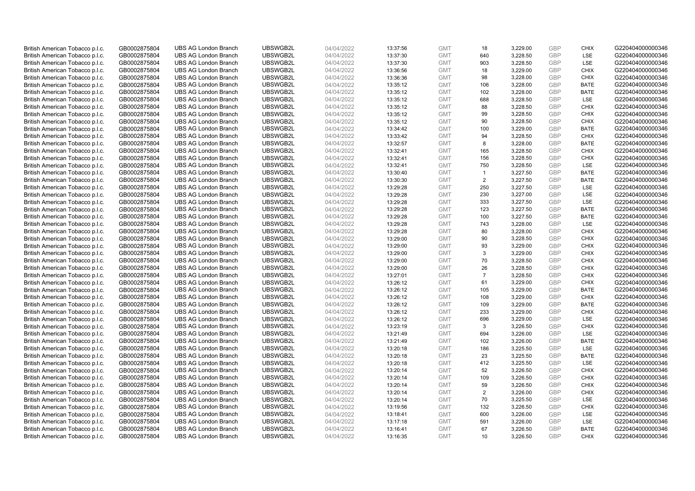| British American Tobacco p.l.c. | GB0002875804 | <b>UBS AG London Branch</b> | UBSWGB2L | 04/04/2022 | 13:37:56 | <b>GMT</b> | 18             | 3,229.00 | <b>GBP</b>               | <b>CHIX</b> | G220404000000346 |
|---------------------------------|--------------|-----------------------------|----------|------------|----------|------------|----------------|----------|--------------------------|-------------|------------------|
| British American Tobacco p.l.c. | GB0002875804 | <b>UBS AG London Branch</b> | UBSWGB2L | 04/04/2022 | 13:37:30 | <b>GMT</b> | 640            | 3,228.50 | <b>GBP</b>               | <b>LSE</b>  | G220404000000346 |
| British American Tobacco p.l.c. | GB0002875804 | <b>UBS AG London Branch</b> | UBSWGB2L | 04/04/2022 | 13:37:30 | <b>GMT</b> | 903            | 3,228.50 | <b>GBP</b>               | LSE         | G220404000000346 |
|                                 |              |                             | UBSWGB2L |            |          |            |                |          | <b>GBP</b>               |             |                  |
| British American Tobacco p.l.c. | GB0002875804 | <b>UBS AG London Branch</b> |          | 04/04/2022 | 13:36:56 | <b>GMT</b> | 18             | 3,229.00 |                          | <b>CHIX</b> | G220404000000346 |
| British American Tobacco p.l.c. | GB0002875804 | <b>UBS AG London Branch</b> | UBSWGB2L | 04/04/2022 | 13:36:36 | <b>GMT</b> | 98             | 3,228.00 | <b>GBP</b>               | <b>CHIX</b> | G220404000000346 |
| British American Tobacco p.l.c. | GB0002875804 | <b>UBS AG London Branch</b> | UBSWGB2L | 04/04/2022 | 13:35:12 | <b>GMT</b> | 106            | 3,228.00 | <b>GBP</b>               | <b>BATE</b> | G220404000000346 |
| British American Tobacco p.l.c. | GB0002875804 | <b>UBS AG London Branch</b> | UBSWGB2L | 04/04/2022 | 13:35:12 | <b>GMT</b> | 102            | 3,228.00 | <b>GBP</b>               | <b>BATE</b> | G220404000000346 |
| British American Tobacco p.l.c. | GB0002875804 | <b>UBS AG London Branch</b> | UBSWGB2L | 04/04/2022 | 13:35:12 | <b>GMT</b> | 688            | 3,228.50 | <b>GBP</b>               | LSE         | G220404000000346 |
| British American Tobacco p.l.c. | GB0002875804 | <b>UBS AG London Branch</b> | UBSWGB2L | 04/04/2022 | 13:35:12 | <b>GMT</b> | 88             | 3,228.50 | <b>GBP</b>               | <b>CHIX</b> | G220404000000346 |
| British American Tobacco p.l.c. | GB0002875804 | <b>UBS AG London Branch</b> | UBSWGB2L | 04/04/2022 | 13:35:12 | <b>GMT</b> | 99             | 3,228.50 | <b>GBP</b>               | <b>CHIX</b> | G220404000000346 |
| British American Tobacco p.l.c. | GB0002875804 | <b>UBS AG London Branch</b> | UBSWGB2L | 04/04/2022 | 13:35:12 | <b>GMT</b> | 90             | 3,228.50 | <b>GBP</b>               | <b>CHIX</b> | G220404000000346 |
| British American Tobacco p.l.c. | GB0002875804 | <b>UBS AG London Branch</b> | UBSWGB2L | 04/04/2022 | 13:34:42 | <b>GMT</b> | 100            | 3,229.00 | <b>GBP</b>               | <b>BATE</b> | G220404000000346 |
| British American Tobacco p.l.c. | GB0002875804 | <b>UBS AG London Branch</b> | UBSWGB2L | 04/04/2022 | 13:33:42 | <b>GMT</b> | 94             | 3,228.50 | <b>GBP</b>               | <b>CHIX</b> | G220404000000346 |
| British American Tobacco p.l.c. | GB0002875804 | <b>UBS AG London Branch</b> | UBSWGB2L | 04/04/2022 | 13:32:57 | <b>GMT</b> | 8              | 3,228.00 | <b>GBP</b>               | <b>BATE</b> | G220404000000346 |
| British American Tobacco p.l.c. | GB0002875804 | <b>UBS AG London Branch</b> | UBSWGB2L | 04/04/2022 | 13:32:41 | <b>GMT</b> | 165            | 3,228.50 | <b>GBP</b>               | <b>CHIX</b> | G220404000000346 |
| British American Tobacco p.l.c. | GB0002875804 | <b>UBS AG London Branch</b> | UBSWGB2L | 04/04/2022 | 13:32:41 | <b>GMT</b> | 156            | 3,228.50 | <b>GBP</b>               | <b>CHIX</b> | G220404000000346 |
| British American Tobacco p.l.c. | GB0002875804 | <b>UBS AG London Branch</b> | UBSWGB2L | 04/04/2022 | 13:32:41 | <b>GMT</b> | 750            | 3,228.50 | <b>GBP</b>               | LSE         | G220404000000346 |
| British American Tobacco p.l.c. | GB0002875804 | <b>UBS AG London Branch</b> | UBSWGB2L | 04/04/2022 | 13:30:40 | <b>GMT</b> | $\mathbf{1}$   | 3,227.50 | <b>GBP</b>               | <b>BATE</b> | G220404000000346 |
| British American Tobacco p.l.c. | GB0002875804 | <b>UBS AG London Branch</b> | UBSWGB2L | 04/04/2022 | 13:30:30 | <b>GMT</b> | $\overline{2}$ | 3,227.50 | <b>GBP</b>               | <b>BATE</b> | G220404000000346 |
| British American Tobacco p.l.c. | GB0002875804 | <b>UBS AG London Branch</b> | UBSWGB2L | 04/04/2022 | 13:29:28 | <b>GMT</b> | 250            | 3,227.50 | <b>GBP</b>               | LSE         | G220404000000346 |
| British American Tobacco p.l.c. | GB0002875804 | <b>UBS AG London Branch</b> | UBSWGB2L | 04/04/2022 | 13:29:28 | <b>GMT</b> | 230            | 3,227.00 | <b>GBP</b>               | LSE         | G220404000000346 |
| British American Tobacco p.l.c. | GB0002875804 | <b>UBS AG London Branch</b> | UBSWGB2L | 04/04/2022 | 13:29:28 | <b>GMT</b> | 333            | 3,227.50 | <b>GBP</b>               | LSE         | G220404000000346 |
| British American Tobacco p.l.c. | GB0002875804 | <b>UBS AG London Branch</b> | UBSWGB2L | 04/04/2022 | 13:29:28 | <b>GMT</b> | 123            | 3,227.50 | <b>GBP</b>               | <b>BATE</b> | G220404000000346 |
| British American Tobacco p.l.c. | GB0002875804 | <b>UBS AG London Branch</b> | UBSWGB2L | 04/04/2022 | 13:29:28 | <b>GMT</b> | 100            | 3,227.50 | <b>GBP</b>               | <b>BATE</b> | G220404000000346 |
| British American Tobacco p.l.c. | GB0002875804 | <b>UBS AG London Branch</b> | UBSWGB2L | 04/04/2022 | 13:29:28 | <b>GMT</b> | 743            | 3,228.00 | <b>GBP</b>               | LSE         | G220404000000346 |
| British American Tobacco p.l.c. | GB0002875804 | <b>UBS AG London Branch</b> | UBSWGB2L | 04/04/2022 | 13:29:28 | <b>GMT</b> | 80             | 3,228.00 | <b>GBP</b>               | <b>CHIX</b> | G220404000000346 |
| British American Tobacco p.l.c. | GB0002875804 | <b>UBS AG London Branch</b> | UBSWGB2L | 04/04/2022 | 13:29:00 | <b>GMT</b> | 90             | 3,228.50 | <b>GBP</b>               | <b>CHIX</b> | G220404000000346 |
| British American Tobacco p.l.c. | GB0002875804 | <b>UBS AG London Branch</b> | UBSWGB2L | 04/04/2022 | 13:29:00 | <b>GMT</b> | 93             | 3,229.00 | <b>GBP</b>               | <b>CHIX</b> | G220404000000346 |
| British American Tobacco p.l.c. | GB0002875804 | <b>UBS AG London Branch</b> | UBSWGB2L | 04/04/2022 | 13:29:00 | <b>GMT</b> | 3              | 3,229.00 | <b>GBP</b>               | <b>CHIX</b> | G220404000000346 |
| British American Tobacco p.l.c. | GB0002875804 | <b>UBS AG London Branch</b> | UBSWGB2L | 04/04/2022 | 13:29:00 | <b>GMT</b> | 70             | 3,228.50 | <b>GBP</b>               | <b>CHIX</b> | G220404000000346 |
| British American Tobacco p.l.c. | GB0002875804 | <b>UBS AG London Branch</b> | UBSWGB2L | 04/04/2022 | 13:29:00 | <b>GMT</b> | 26             | 3,228.50 | <b>GBP</b>               | <b>CHIX</b> | G220404000000346 |
| British American Tobacco p.l.c. | GB0002875804 | <b>UBS AG London Branch</b> | UBSWGB2L | 04/04/2022 | 13:27:01 | <b>GMT</b> | $\overline{7}$ | 3,228.50 | <b>GBP</b>               | <b>CHIX</b> | G220404000000346 |
| British American Tobacco p.l.c. | GB0002875804 | <b>UBS AG London Branch</b> | UBSWGB2L | 04/04/2022 | 13:26:12 | <b>GMT</b> | 61             | 3,229.00 | <b>GBP</b>               | <b>CHIX</b> | G220404000000346 |
| British American Tobacco p.l.c. | GB0002875804 | <b>UBS AG London Branch</b> | UBSWGB2L | 04/04/2022 | 13:26:12 | <b>GMT</b> | 105            | 3,229.00 | GBP                      | <b>BATE</b> | G220404000000346 |
| British American Tobacco p.l.c. | GB0002875804 | <b>UBS AG London Branch</b> | UBSWGB2L | 04/04/2022 | 13:26:12 | <b>GMT</b> | 108            | 3,229.00 | <b>GBP</b>               | <b>CHIX</b> | G220404000000346 |
| British American Tobacco p.l.c. | GB0002875804 | <b>UBS AG London Branch</b> | UBSWGB2L | 04/04/2022 | 13:26:12 | <b>GMT</b> | 109            | 3,229.00 | <b>GBP</b>               | <b>BATE</b> | G220404000000346 |
| British American Tobacco p.l.c. | GB0002875804 | <b>UBS AG London Branch</b> | UBSWGB2L | 04/04/2022 | 13:26:12 | <b>GMT</b> | 233            | 3,229.00 | <b>GBP</b>               | <b>CHIX</b> | G220404000000346 |
| British American Tobacco p.l.c. | GB0002875804 | <b>UBS AG London Branch</b> | UBSWGB2L | 04/04/2022 | 13:26:12 | <b>GMT</b> | 696            | 3,229.00 | <b>GBP</b>               | LSE         | G220404000000346 |
|                                 |              | <b>UBS AG London Branch</b> | UBSWGB2L |            |          | <b>GMT</b> | 3              |          | <b>GBP</b>               | <b>CHIX</b> | G220404000000346 |
| British American Tobacco p.l.c. | GB0002875804 |                             |          | 04/04/2022 | 13:23:19 |            |                | 3,226.50 |                          |             |                  |
| British American Tobacco p.l.c. | GB0002875804 | <b>UBS AG London Branch</b> | UBSWGB2L | 04/04/2022 | 13:21:49 | <b>GMT</b> | 694<br>102     | 3,226.00 | <b>GBP</b><br><b>GBP</b> | LSE         | G220404000000346 |
| British American Tobacco p.l.c. | GB0002875804 | <b>UBS AG London Branch</b> | UBSWGB2L | 04/04/2022 | 13:21:49 | <b>GMT</b> |                | 3,226.00 |                          | <b>BATE</b> | G220404000000346 |
| British American Tobacco p.l.c. | GB0002875804 | <b>UBS AG London Branch</b> | UBSWGB2L | 04/04/2022 | 13:20:18 | <b>GMT</b> | 186            | 3,225.50 | <b>GBP</b>               | LSE         | G220404000000346 |
| British American Tobacco p.l.c. | GB0002875804 | <b>UBS AG London Branch</b> | UBSWGB2L | 04/04/2022 | 13:20:18 | <b>GMT</b> | 23             | 3,225.50 | <b>GBP</b>               | <b>BATE</b> | G220404000000346 |
| British American Tobacco p.l.c. | GB0002875804 | <b>UBS AG London Branch</b> | UBSWGB2L | 04/04/2022 | 13:20:18 | <b>GMT</b> | 412            | 3,225.50 | <b>GBP</b>               | LSE         | G220404000000346 |
| British American Tobacco p.l.c. | GB0002875804 | <b>UBS AG London Branch</b> | UBSWGB2L | 04/04/2022 | 13:20:14 | <b>GMT</b> | 52             | 3,226.50 | <b>GBP</b>               | <b>CHIX</b> | G220404000000346 |
| British American Tobacco p.l.c. | GB0002875804 | <b>UBS AG London Branch</b> | UBSWGB2L | 04/04/2022 | 13:20:14 | <b>GMT</b> | 109            | 3,226.50 | <b>GBP</b>               | <b>CHIX</b> | G220404000000346 |
| British American Tobacco p.l.c. | GB0002875804 | <b>UBS AG London Branch</b> | UBSWGB2L | 04/04/2022 | 13:20:14 | <b>GMT</b> | 59             | 3,226.50 | <b>GBP</b>               | <b>CHIX</b> | G220404000000346 |
| British American Tobacco p.l.c. | GB0002875804 | <b>UBS AG London Branch</b> | UBSWGB2L | 04/04/2022 | 13:20:14 | <b>GMT</b> | $\overline{2}$ | 3,226.00 | <b>GBP</b>               | <b>CHIX</b> | G220404000000346 |
| British American Tobacco p.l.c. | GB0002875804 | <b>UBS AG London Branch</b> | UBSWGB2L | 04/04/2022 | 13:20:14 | <b>GMT</b> | 70             | 3,225.50 | <b>GBP</b>               | LSE         | G220404000000346 |
| British American Tobacco p.l.c. | GB0002875804 | <b>UBS AG London Branch</b> | UBSWGB2L | 04/04/2022 | 13:19:56 | <b>GMT</b> | 132            | 3,226.50 | <b>GBP</b>               | <b>CHIX</b> | G220404000000346 |
| British American Tobacco p.l.c. | GB0002875804 | <b>UBS AG London Branch</b> | UBSWGB2L | 04/04/2022 | 13:18:41 | <b>GMT</b> | 600            | 3,226.00 | <b>GBP</b>               | LSE         | G220404000000346 |
| British American Tobacco p.l.c. | GB0002875804 | <b>UBS AG London Branch</b> | UBSWGB2L | 04/04/2022 | 13:17:18 | <b>GMT</b> | 591            | 3,226.00 | <b>GBP</b>               | LSE         | G220404000000346 |
| British American Tobacco p.l.c. | GB0002875804 | <b>UBS AG London Branch</b> | UBSWGB2L | 04/04/2022 | 13:16:41 | <b>GMT</b> | 67             | 3,226.50 | <b>GBP</b>               | <b>BATE</b> | G220404000000346 |
| British American Tobacco p.l.c. | GB0002875804 | <b>UBS AG London Branch</b> | UBSWGB2L | 04/04/2022 | 13:16:35 | <b>GMT</b> | 10             | 3.226.50 | GBP                      | <b>CHIX</b> | G220404000000346 |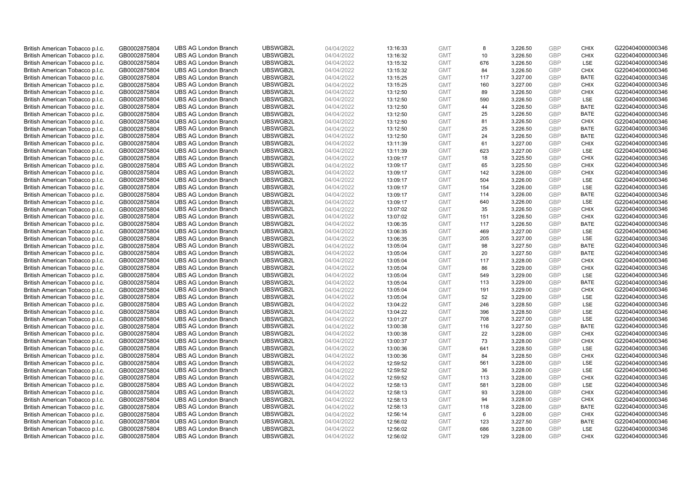| British American Tobacco p.l.c.                                    | GB0002875804 | <b>UBS AG London Branch</b> | UBSWGB2L | 04/04/2022 | 13:16:33 | <b>GMT</b> | 8   | 3,226.50 | <b>GBP</b> | <b>CHIX</b> | G220404000000346 |
|--------------------------------------------------------------------|--------------|-----------------------------|----------|------------|----------|------------|-----|----------|------------|-------------|------------------|
|                                                                    | GB0002875804 | <b>UBS AG London Branch</b> | UBSWGB2L | 04/04/2022 |          | <b>GMT</b> | 10  | 3,226.50 | <b>GBP</b> | <b>CHIX</b> | G220404000000346 |
| British American Tobacco p.l.c.                                    |              |                             | UBSWGB2L |            | 13:16:32 |            |     |          |            | LSE         |                  |
| British American Tobacco p.l.c.                                    | GB0002875804 | <b>UBS AG London Branch</b> |          | 04/04/2022 | 13:15:32 | <b>GMT</b> | 676 | 3,226.50 | <b>GBP</b> |             | G220404000000346 |
| British American Tobacco p.l.c.                                    | GB0002875804 | <b>UBS AG London Branch</b> | UBSWGB2L | 04/04/2022 | 13:15:32 | <b>GMT</b> | 84  | 3,226.50 | <b>GBP</b> | <b>CHIX</b> | G220404000000346 |
| British American Tobacco p.l.c.                                    | GB0002875804 | <b>UBS AG London Branch</b> | UBSWGB2L | 04/04/2022 | 13:15:25 | <b>GMT</b> | 117 | 3,227.00 | <b>GBP</b> | <b>BATE</b> | G220404000000346 |
| British American Tobacco p.l.c.                                    | GB0002875804 | <b>UBS AG London Branch</b> | UBSWGB2L | 04/04/2022 | 13:15:25 | <b>GMT</b> | 160 | 3,227.00 | <b>GBP</b> | <b>CHIX</b> | G220404000000346 |
| British American Tobacco p.l.c.                                    | GB0002875804 | <b>UBS AG London Branch</b> | UBSWGB2L | 04/04/2022 | 13:12:50 | <b>GMT</b> | 89  | 3,226.50 | <b>GBP</b> | <b>CHIX</b> | G220404000000346 |
| British American Tobacco p.l.c.                                    | GB0002875804 | <b>UBS AG London Branch</b> | UBSWGB2L | 04/04/2022 | 13:12:50 | <b>GMT</b> | 590 | 3,226.50 | <b>GBP</b> | LSE         | G220404000000346 |
| British American Tobacco p.l.c.                                    | GB0002875804 | <b>UBS AG London Branch</b> | UBSWGB2L | 04/04/2022 | 13:12:50 | <b>GMT</b> | 44  | 3,226.50 | <b>GBP</b> | <b>BATE</b> | G220404000000346 |
| British American Tobacco p.l.c.                                    | GB0002875804 | <b>UBS AG London Branch</b> | UBSWGB2L | 04/04/2022 | 13:12:50 | <b>GMT</b> | 25  | 3,226.50 | <b>GBP</b> | <b>BATE</b> | G220404000000346 |
| British American Tobacco p.l.c.                                    | GB0002875804 | <b>UBS AG London Branch</b> | UBSWGB2L | 04/04/2022 | 13:12:50 | <b>GMT</b> | 81  | 3,226.50 | <b>GBP</b> | <b>CHIX</b> | G220404000000346 |
| British American Tobacco p.l.c.                                    | GB0002875804 | <b>UBS AG London Branch</b> | UBSWGB2L | 04/04/2022 | 13:12:50 | <b>GMT</b> | 25  | 3,226.50 | <b>GBP</b> | <b>BATE</b> | G220404000000346 |
| British American Tobacco p.l.c.                                    | GB0002875804 | <b>UBS AG London Branch</b> | UBSWGB2L | 04/04/2022 | 13:12:50 | <b>GMT</b> | 24  | 3,226.50 | <b>GBP</b> | <b>BATE</b> | G220404000000346 |
| British American Tobacco p.l.c.                                    | GB0002875804 | <b>UBS AG London Branch</b> | UBSWGB2L | 04/04/2022 | 13:11:39 | <b>GMT</b> | 61  | 3,227.00 | <b>GBP</b> | <b>CHIX</b> | G220404000000346 |
| British American Tobacco p.l.c.                                    | GB0002875804 | <b>UBS AG London Branch</b> | UBSWGB2L | 04/04/2022 | 13:11:39 | <b>GMT</b> | 623 | 3,227.00 | <b>GBP</b> | <b>LSE</b>  | G220404000000346 |
| British American Tobacco p.l.c.                                    | GB0002875804 | <b>UBS AG London Branch</b> | UBSWGB2L | 04/04/2022 | 13:09:17 | <b>GMT</b> | 18  | 3,225.50 | <b>GBP</b> | <b>CHIX</b> | G220404000000346 |
| British American Tobacco p.l.c.                                    | GB0002875804 | <b>UBS AG London Branch</b> | UBSWGB2L | 04/04/2022 | 13:09:17 | <b>GMT</b> | 65  | 3,225.50 | <b>GBP</b> | <b>CHIX</b> | G220404000000346 |
| British American Tobacco p.l.c.                                    | GB0002875804 | <b>UBS AG London Branch</b> | UBSWGB2L | 04/04/2022 | 13:09:17 | <b>GMT</b> | 142 | 3,226.00 | <b>GBP</b> | <b>CHIX</b> | G220404000000346 |
| British American Tobacco p.l.c.                                    | GB0002875804 | <b>UBS AG London Branch</b> | UBSWGB2L | 04/04/2022 | 13:09:17 | <b>GMT</b> | 504 | 3,226.00 | <b>GBP</b> | <b>LSE</b>  | G220404000000346 |
| British American Tobacco p.l.c.                                    | GB0002875804 | <b>UBS AG London Branch</b> | UBSWGB2L | 04/04/2022 | 13:09:17 | <b>GMT</b> | 154 | 3,226.00 | <b>GBP</b> | LSE         | G220404000000346 |
| British American Tobacco p.l.c.                                    | GB0002875804 | <b>UBS AG London Branch</b> | UBSWGB2L | 04/04/2022 | 13:09:17 | <b>GMT</b> | 114 | 3,226.00 | <b>GBP</b> | <b>BATE</b> | G220404000000346 |
| British American Tobacco p.l.c.                                    | GB0002875804 | <b>UBS AG London Branch</b> | UBSWGB2L | 04/04/2022 | 13:09:17 | <b>GMT</b> | 640 | 3,226.00 | <b>GBP</b> | LSE         | G220404000000346 |
| British American Tobacco p.l.c.                                    | GB0002875804 | <b>UBS AG London Branch</b> | UBSWGB2L | 04/04/2022 | 13:07:02 | <b>GMT</b> | 35  | 3,226.50 | <b>GBP</b> | <b>CHIX</b> | G220404000000346 |
| British American Tobacco p.l.c.                                    | GB0002875804 | <b>UBS AG London Branch</b> | UBSWGB2L | 04/04/2022 | 13:07:02 | <b>GMT</b> | 151 | 3,226.50 | <b>GBP</b> | <b>CHIX</b> | G220404000000346 |
| British American Tobacco p.l.c.                                    | GB0002875804 | <b>UBS AG London Branch</b> | UBSWGB2L | 04/04/2022 | 13:06:35 | <b>GMT</b> | 117 | 3,226.50 | <b>GBP</b> | <b>BATE</b> | G220404000000346 |
| British American Tobacco p.l.c.                                    | GB0002875804 | <b>UBS AG London Branch</b> | UBSWGB2L | 04/04/2022 | 13:06:35 | <b>GMT</b> | 469 | 3,227.00 | <b>GBP</b> | LSE         | G220404000000346 |
| British American Tobacco p.l.c.                                    | GB0002875804 | <b>UBS AG London Branch</b> | UBSWGB2L | 04/04/2022 | 13:06:35 | <b>GMT</b> | 205 | 3,227.00 | <b>GBP</b> | LSE         | G220404000000346 |
| British American Tobacco p.l.c.                                    | GB0002875804 | <b>UBS AG London Branch</b> | UBSWGB2L | 04/04/2022 | 13:05:04 | <b>GMT</b> | 98  | 3,227.50 | <b>GBP</b> | <b>BATE</b> | G220404000000346 |
| British American Tobacco p.l.c.                                    | GB0002875804 | <b>UBS AG London Branch</b> | UBSWGB2L | 04/04/2022 | 13:05:04 | <b>GMT</b> | 20  | 3,227.50 | <b>GBP</b> | <b>BATE</b> | G220404000000346 |
| British American Tobacco p.l.c.                                    | GB0002875804 | <b>UBS AG London Branch</b> | UBSWGB2L | 04/04/2022 | 13:05:04 | <b>GMT</b> | 117 | 3,228.00 | <b>GBP</b> | <b>CHIX</b> | G220404000000346 |
| British American Tobacco p.l.c.                                    | GB0002875804 | <b>UBS AG London Branch</b> | UBSWGB2L | 04/04/2022 | 13:05:04 | <b>GMT</b> | 86  | 3,229.00 | <b>GBP</b> | <b>CHIX</b> | G220404000000346 |
| British American Tobacco p.l.c.                                    | GB0002875804 | <b>UBS AG London Branch</b> | UBSWGB2L | 04/04/2022 | 13:05:04 | <b>GMT</b> | 549 | 3,229.00 | <b>GBP</b> | <b>LSE</b>  | G220404000000346 |
| British American Tobacco p.l.c.                                    | GB0002875804 | <b>UBS AG London Branch</b> | UBSWGB2L | 04/04/2022 | 13:05:04 | <b>GMT</b> | 113 | 3,229.00 | <b>GBP</b> | <b>BATE</b> | G220404000000346 |
| British American Tobacco p.l.c.                                    | GB0002875804 | <b>UBS AG London Branch</b> | UBSWGB2L | 04/04/2022 | 13:05:04 | <b>GMT</b> | 191 | 3,229.00 | <b>GBP</b> | <b>CHIX</b> | G220404000000346 |
| British American Tobacco p.l.c.                                    | GB0002875804 | <b>UBS AG London Branch</b> | UBSWGB2L | 04/04/2022 | 13:05:04 | <b>GMT</b> | 52  | 3,229.00 | <b>GBP</b> | LSE         | G220404000000346 |
| British American Tobacco p.l.c.                                    | GB0002875804 | <b>UBS AG London Branch</b> | UBSWGB2L | 04/04/2022 | 13:04:22 | <b>GMT</b> | 246 | 3,228.50 | <b>GBP</b> | LSE         | G220404000000346 |
| British American Tobacco p.l.c.                                    | GB0002875804 | <b>UBS AG London Branch</b> | UBSWGB2L | 04/04/2022 | 13:04:22 | <b>GMT</b> | 396 | 3,228.50 | <b>GBP</b> | LSE         | G220404000000346 |
| British American Tobacco p.l.c.                                    | GB0002875804 | <b>UBS AG London Branch</b> | UBSWGB2L | 04/04/2022 | 13:01:27 | <b>GMT</b> | 708 | 3,227.00 | <b>GBP</b> | LSE         | G220404000000346 |
| British American Tobacco p.l.c.                                    | GB0002875804 | <b>UBS AG London Branch</b> | UBSWGB2L | 04/04/2022 | 13:00:38 | <b>GMT</b> | 116 | 3,227.50 | <b>GBP</b> | <b>BATE</b> | G220404000000346 |
| British American Tobacco p.l.c.                                    | GB0002875804 | <b>UBS AG London Branch</b> | UBSWGB2L | 04/04/2022 | 13:00:38 | <b>GMT</b> | 22  | 3,228.00 | <b>GBP</b> | <b>CHIX</b> | G220404000000346 |
| British American Tobacco p.l.c.                                    | GB0002875804 | <b>UBS AG London Branch</b> | UBSWGB2L | 04/04/2022 | 13:00:37 | <b>GMT</b> | 73  | 3,228.00 | <b>GBP</b> | <b>CHIX</b> | G220404000000346 |
| British American Tobacco p.l.c.                                    | GB0002875804 | <b>UBS AG London Branch</b> | UBSWGB2L | 04/04/2022 | 13:00:36 | <b>GMT</b> | 641 | 3,228.50 | <b>GBP</b> | LSE         | G220404000000346 |
|                                                                    | GB0002875804 | <b>UBS AG London Branch</b> | UBSWGB2L | 04/04/2022 | 13:00:36 | <b>GMT</b> | 84  | 3,228.50 | <b>GBP</b> | <b>CHIX</b> | G220404000000346 |
| British American Tobacco p.l.c.<br>British American Tobacco p.l.c. |              | <b>UBS AG London Branch</b> | UBSWGB2L | 04/04/2022 |          | <b>GMT</b> | 561 | 3,228.00 | <b>GBP</b> | LSE         |                  |
|                                                                    | GB0002875804 |                             | UBSWGB2L |            | 12:59:52 |            | 36  |          |            | LSE         | G220404000000346 |
| British American Tobacco p.l.c.                                    | GB0002875804 | <b>UBS AG London Branch</b> |          | 04/04/2022 | 12:59:52 | <b>GMT</b> |     | 3,228.00 | <b>GBP</b> |             | G220404000000346 |
| British American Tobacco p.l.c.                                    | GB0002875804 | <b>UBS AG London Branch</b> | UBSWGB2L | 04/04/2022 | 12:59:52 | <b>GMT</b> | 113 | 3,228.00 | <b>GBP</b> | <b>CHIX</b> | G220404000000346 |
| British American Tobacco p.l.c.                                    | GB0002875804 | <b>UBS AG London Branch</b> | UBSWGB2L | 04/04/2022 | 12:58:13 | <b>GMT</b> | 581 | 3,228.00 | <b>GBP</b> | LSE         | G220404000000346 |
| British American Tobacco p.l.c.                                    | GB0002875804 | <b>UBS AG London Branch</b> | UBSWGB2L | 04/04/2022 | 12:58:13 | <b>GMT</b> | 93  | 3,228.00 | <b>GBP</b> | <b>CHIX</b> | G220404000000346 |
| British American Tobacco p.l.c.                                    | GB0002875804 | <b>UBS AG London Branch</b> | UBSWGB2L | 04/04/2022 | 12:58:13 | <b>GMT</b> | 94  | 3,228.00 | <b>GBP</b> | <b>CHIX</b> | G220404000000346 |
| British American Tobacco p.l.c.                                    | GB0002875804 | <b>UBS AG London Branch</b> | UBSWGB2L | 04/04/2022 | 12:58:13 | <b>GMT</b> | 118 | 3,228.00 | <b>GBP</b> | <b>BATE</b> | G220404000000346 |
| British American Tobacco p.l.c.                                    | GB0002875804 | <b>UBS AG London Branch</b> | UBSWGB2L | 04/04/2022 | 12:56:14 | <b>GMT</b> | 6   | 3,228.00 | <b>GBP</b> | <b>CHIX</b> | G220404000000346 |
| British American Tobacco p.l.c.                                    | GB0002875804 | <b>UBS AG London Branch</b> | UBSWGB2L | 04/04/2022 | 12:56:02 | <b>GMT</b> | 123 | 3,227.50 | <b>GBP</b> | <b>BATE</b> | G220404000000346 |
| British American Tobacco p.l.c.                                    | GB0002875804 | <b>UBS AG London Branch</b> | UBSWGB2L | 04/04/2022 | 12:56:02 | <b>GMT</b> | 686 | 3,228.00 | <b>GBP</b> | <b>LSE</b>  | G220404000000346 |
| British American Tobacco p.l.c.                                    | GB0002875804 | <b>UBS AG London Branch</b> | UBSWGB2L | 04/04/2022 | 12:56:02 | <b>GMT</b> | 129 | 3.228.00 | GBP        | <b>CHIX</b> | G220404000000346 |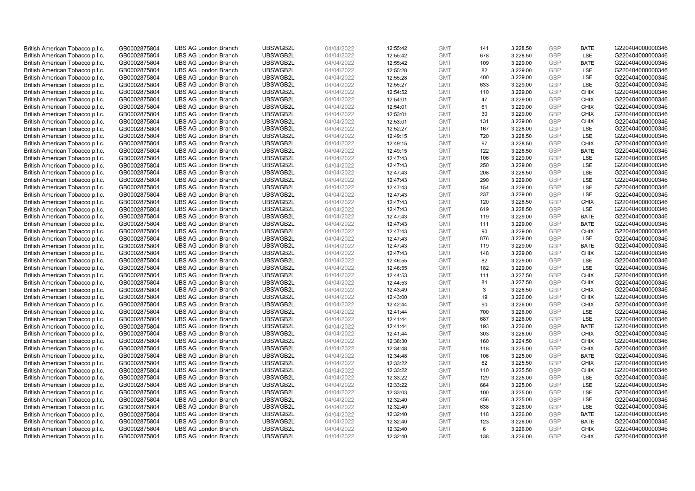| British American Tobacco p.l.c. | GB0002875804 | <b>UBS AG London Branch</b> | UBSWGB2L | 04/04/2022 | 12:55:42 | <b>GMT</b> | 141 | 3,228.50 | <b>GBP</b>               | <b>BATE</b> | G220404000000346 |
|---------------------------------|--------------|-----------------------------|----------|------------|----------|------------|-----|----------|--------------------------|-------------|------------------|
| British American Tobacco p.l.c. | GB0002875804 | <b>UBS AG London Branch</b> | UBSWGB2L | 04/04/2022 | 12:55:42 | <b>GMT</b> | 678 | 3,228.50 | <b>GBP</b>               | LSE         | G220404000000346 |
| British American Tobacco p.l.c. | GB0002875804 | <b>UBS AG London Branch</b> | UBSWGB2L | 04/04/2022 | 12:55:42 | <b>GMT</b> | 109 | 3,229.00 | <b>GBP</b>               | <b>BATE</b> | G220404000000346 |
|                                 |              |                             | UBSWGB2L |            |          |            |     |          | <b>GBP</b>               |             |                  |
| British American Tobacco p.l.c. | GB0002875804 | <b>UBS AG London Branch</b> |          | 04/04/2022 | 12:55:28 | <b>GMT</b> | 82  | 3,229.00 |                          | LSE         | G220404000000346 |
| British American Tobacco p.l.c. | GB0002875804 | <b>UBS AG London Branch</b> | UBSWGB2L | 04/04/2022 | 12:55:28 | <b>GMT</b> | 400 | 3,229.00 | <b>GBP</b>               | LSE         | G220404000000346 |
| British American Tobacco p.l.c. | GB0002875804 | <b>UBS AG London Branch</b> | UBSWGB2L | 04/04/2022 | 12:55:27 | <b>GMT</b> | 633 | 3,229.00 | <b>GBP</b>               | LSE         | G220404000000346 |
| British American Tobacco p.l.c. | GB0002875804 | <b>UBS AG London Branch</b> | UBSWGB2L | 04/04/2022 | 12:54:52 | <b>GMT</b> | 110 | 3,229.00 | <b>GBP</b>               | <b>CHIX</b> | G220404000000346 |
| British American Tobacco p.l.c. | GB0002875804 | <b>UBS AG London Branch</b> | UBSWGB2L | 04/04/2022 | 12:54:01 | <b>GMT</b> | 47  | 3,229.00 | <b>GBP</b>               | <b>CHIX</b> | G220404000000346 |
| British American Tobacco p.l.c. | GB0002875804 | <b>UBS AG London Branch</b> | UBSWGB2L | 04/04/2022 | 12:54:01 | <b>GMT</b> | 61  | 3,229.00 | <b>GBP</b>               | <b>CHIX</b> | G220404000000346 |
| British American Tobacco p.l.c. | GB0002875804 | <b>UBS AG London Branch</b> | UBSWGB2L | 04/04/2022 | 12:53:01 | <b>GMT</b> | 30  | 3,229.00 | <b>GBP</b>               | <b>CHIX</b> | G220404000000346 |
| British American Tobacco p.l.c. | GB0002875804 | <b>UBS AG London Branch</b> | UBSWGB2L | 04/04/2022 | 12:53:01 | <b>GMT</b> | 131 | 3,229.00 | <b>GBP</b>               | <b>CHIX</b> | G220404000000346 |
| British American Tobacco p.l.c. | GB0002875804 | <b>UBS AG London Branch</b> | UBSWGB2L | 04/04/2022 | 12:52:27 | <b>GMT</b> | 167 | 3,228.00 | <b>GBP</b>               | LSE         | G220404000000346 |
| British American Tobacco p.l.c. | GB0002875804 | <b>UBS AG London Branch</b> | UBSWGB2L | 04/04/2022 | 12:49:15 | <b>GMT</b> | 720 | 3,228.50 | <b>GBP</b>               | LSE         | G220404000000346 |
| British American Tobacco p.l.c. | GB0002875804 | <b>UBS AG London Branch</b> | UBSWGB2L | 04/04/2022 | 12:49:15 | <b>GMT</b> | 97  | 3,228.50 | <b>GBP</b>               | <b>CHIX</b> | G220404000000346 |
| British American Tobacco p.l.c. | GB0002875804 | <b>UBS AG London Branch</b> | UBSWGB2L | 04/04/2022 | 12:49:15 | <b>GMT</b> | 122 | 3,228.50 | <b>GBP</b>               | <b>BATE</b> | G220404000000346 |
| British American Tobacco p.l.c. | GB0002875804 | <b>UBS AG London Branch</b> | UBSWGB2L | 04/04/2022 | 12:47:43 | <b>GMT</b> | 106 | 3,229.00 | <b>GBP</b>               | LSE         | G220404000000346 |
| British American Tobacco p.l.c. | GB0002875804 | <b>UBS AG London Branch</b> | UBSWGB2L | 04/04/2022 | 12:47:43 | <b>GMT</b> | 250 | 3,229.00 | <b>GBP</b>               | LSE         | G220404000000346 |
| British American Tobacco p.l.c. | GB0002875804 | <b>UBS AG London Branch</b> | UBSWGB2L | 04/04/2022 | 12:47:43 | <b>GMT</b> | 208 | 3,228.50 | <b>GBP</b>               | LSE         | G220404000000346 |
| British American Tobacco p.l.c. | GB0002875804 | <b>UBS AG London Branch</b> | UBSWGB2L | 04/04/2022 | 12:47:43 | <b>GMT</b> | 290 | 3,229.00 | <b>GBP</b>               | <b>LSE</b>  | G220404000000346 |
| British American Tobacco p.l.c. | GB0002875804 | <b>UBS AG London Branch</b> | UBSWGB2L | 04/04/2022 | 12:47:43 | <b>GMT</b> | 154 | 3,229.00 | <b>GBP</b>               | LSE         | G220404000000346 |
| British American Tobacco p.l.c. | GB0002875804 | <b>UBS AG London Branch</b> | UBSWGB2L | 04/04/2022 | 12:47:43 | <b>GMT</b> | 237 | 3,229.00 | <b>GBP</b>               | LSE         | G220404000000346 |
| British American Tobacco p.l.c. | GB0002875804 | <b>UBS AG London Branch</b> | UBSWGB2L | 04/04/2022 | 12:47:43 | <b>GMT</b> | 120 | 3,228.50 | <b>GBP</b>               | <b>CHIX</b> | G220404000000346 |
| British American Tobacco p.l.c. | GB0002875804 | <b>UBS AG London Branch</b> | UBSWGB2L | 04/04/2022 | 12:47:43 | <b>GMT</b> | 619 | 3,228.50 | <b>GBP</b>               | LSE         | G220404000000346 |
| British American Tobacco p.l.c. | GB0002875804 | <b>UBS AG London Branch</b> | UBSWGB2L | 04/04/2022 | 12:47:43 | <b>GMT</b> | 119 | 3,229.00 | <b>GBP</b>               | <b>BATE</b> | G220404000000346 |
| British American Tobacco p.l.c. | GB0002875804 | <b>UBS AG London Branch</b> | UBSWGB2L | 04/04/2022 | 12:47:43 | <b>GMT</b> | 111 | 3,229.00 | <b>GBP</b>               | <b>BATE</b> | G220404000000346 |
| British American Tobacco p.l.c. | GB0002875804 | <b>UBS AG London Branch</b> | UBSWGB2L | 04/04/2022 | 12:47:43 | <b>GMT</b> | 90  | 3,229.00 | <b>GBP</b>               | <b>CHIX</b> | G220404000000346 |
| British American Tobacco p.l.c. | GB0002875804 | <b>UBS AG London Branch</b> | UBSWGB2L | 04/04/2022 | 12:47:43 | <b>GMT</b> | 876 | 3,229.00 | <b>GBP</b>               | LSE         | G220404000000346 |
| British American Tobacco p.l.c. | GB0002875804 | <b>UBS AG London Branch</b> | UBSWGB2L | 04/04/2022 | 12:47:43 | <b>GMT</b> | 119 | 3,229.00 | <b>GBP</b>               | <b>BATE</b> | G220404000000346 |
| British American Tobacco p.l.c. | GB0002875804 | <b>UBS AG London Branch</b> | UBSWGB2L | 04/04/2022 | 12:47:43 | <b>GMT</b> | 148 | 3,229.00 | <b>GBP</b>               | <b>CHIX</b> | G220404000000346 |
| British American Tobacco p.l.c. | GB0002875804 | <b>UBS AG London Branch</b> | UBSWGB2L | 04/04/2022 | 12:46:55 | <b>GMT</b> | 82  | 3,229.00 | <b>GBP</b>               | LSE         | G220404000000346 |
| British American Tobacco p.l.c. | GB0002875804 | <b>UBS AG London Branch</b> | UBSWGB2L | 04/04/2022 | 12:46:55 | <b>GMT</b> | 182 | 3,229.00 | <b>GBP</b>               | LSE         | G220404000000346 |
| British American Tobacco p.l.c. | GB0002875804 | <b>UBS AG London Branch</b> | UBSWGB2L | 04/04/2022 | 12:44:53 | <b>GMT</b> | 111 | 3,227.50 | <b>GBP</b>               | <b>CHIX</b> | G220404000000346 |
| British American Tobacco p.l.c. | GB0002875804 | <b>UBS AG London Branch</b> | UBSWGB2L | 04/04/2022 | 12:44:53 | <b>GMT</b> | 84  | 3,227.50 | <b>GBP</b>               | <b>CHIX</b> | G220404000000346 |
| British American Tobacco p.l.c. | GB0002875804 | <b>UBS AG London Branch</b> | UBSWGB2L | 04/04/2022 | 12:43:49 | <b>GMT</b> | 3   | 3,226.50 | <b>GBP</b>               | <b>CHIX</b> | G220404000000346 |
| British American Tobacco p.l.c. | GB0002875804 | <b>UBS AG London Branch</b> | UBSWGB2L | 04/04/2022 | 12:43:00 | <b>GMT</b> | 19  | 3,226.00 | <b>GBP</b>               | <b>CHIX</b> | G220404000000346 |
| British American Tobacco p.l.c. | GB0002875804 | <b>UBS AG London Branch</b> | UBSWGB2L | 04/04/2022 | 12:42:44 | <b>GMT</b> | 90  | 3,226.00 | <b>GBP</b>               | <b>CHIX</b> | G220404000000346 |
| British American Tobacco p.l.c. | GB0002875804 | <b>UBS AG London Branch</b> | UBSWGB2L | 04/04/2022 | 12:41:44 | <b>GMT</b> | 700 | 3,226.00 | <b>GBP</b>               | LSE         | G220404000000346 |
| British American Tobacco p.l.c. | GB0002875804 | <b>UBS AG London Branch</b> | UBSWGB2L | 04/04/2022 | 12:41:44 | <b>GMT</b> | 687 | 3,226.00 | <b>GBP</b>               | LSE         | G220404000000346 |
|                                 |              | <b>UBS AG London Branch</b> | UBSWGB2L |            |          | <b>GMT</b> | 193 |          |                          | <b>BATE</b> | G220404000000346 |
| British American Tobacco p.l.c. | GB0002875804 |                             |          | 04/04/2022 | 12:41:44 |            |     | 3,226.00 | <b>GBP</b>               |             |                  |
| British American Tobacco p.l.c. | GB0002875804 | <b>UBS AG London Branch</b> | UBSWGB2L | 04/04/2022 | 12:41:44 | <b>GMT</b> | 303 | 3,226.00 | <b>GBP</b><br><b>GBP</b> | <b>CHIX</b> | G220404000000346 |
| British American Tobacco p.l.c. | GB0002875804 | <b>UBS AG London Branch</b> | UBSWGB2L | 04/04/2022 | 12:38:30 | <b>GMT</b> | 160 | 3,224.50 |                          | <b>CHIX</b> | G220404000000346 |
| British American Tobacco p.l.c. | GB0002875804 | <b>UBS AG London Branch</b> | UBSWGB2L | 04/04/2022 | 12:34:48 | <b>GMT</b> | 118 | 3,225.00 | <b>GBP</b>               | <b>CHIX</b> | G220404000000346 |
| British American Tobacco p.l.c. | GB0002875804 | <b>UBS AG London Branch</b> | UBSWGB2L | 04/04/2022 | 12:34:48 | <b>GMT</b> | 106 | 3,225.00 | <b>GBP</b>               | <b>BATE</b> | G220404000000346 |
| British American Tobacco p.l.c. | GB0002875804 | <b>UBS AG London Branch</b> | UBSWGB2L | 04/04/2022 | 12:33:22 | <b>GMT</b> | 62  | 3,225.50 | <b>GBP</b>               | <b>CHIX</b> | G220404000000346 |
| British American Tobacco p.l.c. | GB0002875804 | <b>UBS AG London Branch</b> | UBSWGB2L | 04/04/2022 | 12:33:22 | <b>GMT</b> | 110 | 3,225.50 | <b>GBP</b>               | <b>CHIX</b> | G220404000000346 |
| British American Tobacco p.l.c. | GB0002875804 | <b>UBS AG London Branch</b> | UBSWGB2L | 04/04/2022 | 12:33:22 | <b>GMT</b> | 129 | 3,225.00 | <b>GBP</b>               | LSE         | G220404000000346 |
| British American Tobacco p.l.c. | GB0002875804 | <b>UBS AG London Branch</b> | UBSWGB2L | 04/04/2022 | 12:33:22 | <b>GMT</b> | 664 | 3,225.00 | <b>GBP</b>               | LSE         | G220404000000346 |
| British American Tobacco p.l.c. | GB0002875804 | <b>UBS AG London Branch</b> | UBSWGB2L | 04/04/2022 | 12:33:03 | <b>GMT</b> | 100 | 3,225.00 | <b>GBP</b>               | LSE         | G220404000000346 |
| British American Tobacco p.l.c. | GB0002875804 | <b>UBS AG London Branch</b> | UBSWGB2L | 04/04/2022 | 12:32:40 | <b>GMT</b> | 456 | 3,225.00 | <b>GBP</b>               | LSE         | G220404000000346 |
| British American Tobacco p.l.c. | GB0002875804 | <b>UBS AG London Branch</b> | UBSWGB2L | 04/04/2022 | 12:32:40 | <b>GMT</b> | 638 | 3,226.00 | <b>GBP</b>               | LSE         | G220404000000346 |
| British American Tobacco p.l.c. | GB0002875804 | <b>UBS AG London Branch</b> | UBSWGB2L | 04/04/2022 | 12:32:40 | <b>GMT</b> | 118 | 3,226.00 | <b>GBP</b>               | <b>BATE</b> | G220404000000346 |
| British American Tobacco p.l.c. | GB0002875804 | <b>UBS AG London Branch</b> | UBSWGB2L | 04/04/2022 | 12:32:40 | <b>GMT</b> | 123 | 3,226.00 | <b>GBP</b>               | <b>BATE</b> | G220404000000346 |
| British American Tobacco p.l.c. | GB0002875804 | <b>UBS AG London Branch</b> | UBSWGB2L | 04/04/2022 | 12:32:40 | <b>GMT</b> | 6   | 3,226.00 | <b>GBP</b>               | <b>CHIX</b> | G220404000000346 |
| British American Tobacco p.l.c. | GB0002875804 | <b>UBS AG London Branch</b> | UBSWGB2L | 04/04/2022 | 12:32:40 | <b>GMT</b> | 138 | 3.226.00 | GBP                      | <b>CHIX</b> | G220404000000346 |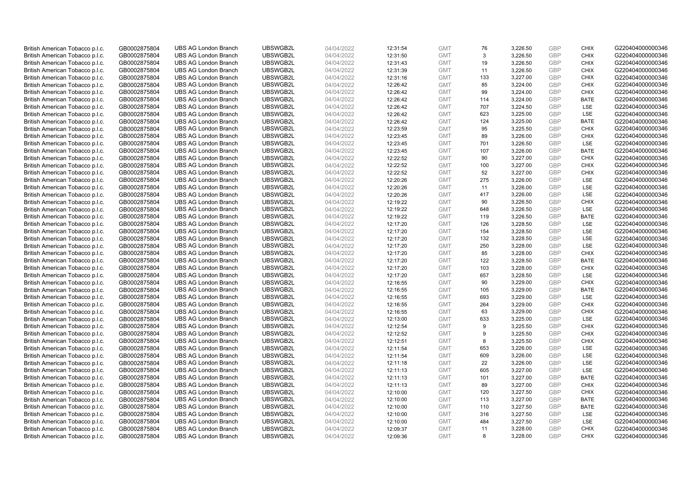| British American Tobacco p.l.c. | GB0002875804                 | <b>UBS AG London Branch</b>                                | UBSWGB2L             | 04/04/2022 | 12:31:54             | <b>GMT</b>               | 76  | 3,226.50             | <b>GBP</b>               | <b>CHIX</b> | G220404000000346 |
|---------------------------------|------------------------------|------------------------------------------------------------|----------------------|------------|----------------------|--------------------------|-----|----------------------|--------------------------|-------------|------------------|
| British American Tobacco p.l.c. | GB0002875804                 | <b>UBS AG London Branch</b>                                | UBSWGB2L             | 04/04/2022 | 12:31:50             | <b>GMT</b>               | 3   | 3,226.50             | <b>GBP</b>               | <b>CHIX</b> | G220404000000346 |
| British American Tobacco p.l.c. | GB0002875804                 | <b>UBS AG London Branch</b>                                | UBSWGB2L             | 04/04/2022 | 12:31:43             | <b>GMT</b>               | 19  | 3,226.50             | <b>GBP</b>               | <b>CHIX</b> | G220404000000346 |
| British American Tobacco p.l.c. | GB0002875804                 | <b>UBS AG London Branch</b>                                | UBSWGB2L             | 04/04/2022 | 12:31:39             | <b>GMT</b>               | 11  |                      | <b>GBP</b>               | <b>CHIX</b> | G220404000000346 |
| British American Tobacco p.l.c. | GB0002875804                 | <b>UBS AG London Branch</b>                                | UBSWGB2L             | 04/04/2022 |                      | <b>GMT</b>               | 133 | 3,226.50<br>3,227.00 | <b>GBP</b>               | <b>CHIX</b> | G220404000000346 |
|                                 |                              | <b>UBS AG London Branch</b>                                | UBSWGB2L             |            | 12:31:16             |                          | 85  |                      |                          | <b>CHIX</b> |                  |
| British American Tobacco p.l.c. | GB0002875804                 |                                                            |                      | 04/04/2022 | 12:26:42             | <b>GMT</b>               |     | 3,224.00             | <b>GBP</b><br><b>GBP</b> |             | G220404000000346 |
| British American Tobacco p.l.c. | GB0002875804                 | <b>UBS AG London Branch</b>                                | UBSWGB2L             | 04/04/2022 | 12:26:42             | <b>GMT</b>               | 99  | 3,224.00             |                          | <b>CHIX</b> | G220404000000346 |
| British American Tobacco p.l.c. | GB0002875804                 | <b>UBS AG London Branch</b>                                | UBSWGB2L             | 04/04/2022 | 12:26:42             | <b>GMT</b>               | 114 | 3,224.00             | <b>GBP</b>               | <b>BATE</b> | G220404000000346 |
| British American Tobacco p.l.c. | GB0002875804                 | <b>UBS AG London Branch</b>                                | UBSWGB2L             | 04/04/2022 | 12:26:42             | <b>GMT</b>               | 707 | 3,224.50             | <b>GBP</b>               | LSE         | G220404000000346 |
| British American Tobacco p.l.c. | GB0002875804                 | <b>UBS AG London Branch</b>                                | UBSWGB2L             | 04/04/2022 | 12:26:42             | <b>GMT</b>               | 623 | 3,225.00             | <b>GBP</b>               | LSE         | G220404000000346 |
| British American Tobacco p.l.c. | GB0002875804                 | <b>UBS AG London Branch</b>                                | UBSWGB2L             | 04/04/2022 | 12:26:42             | <b>GMT</b>               | 124 | 3,225.00             | <b>GBP</b>               | <b>BATE</b> | G220404000000346 |
| British American Tobacco p.l.c. | GB0002875804                 | <b>UBS AG London Branch</b>                                | UBSWGB2L             | 04/04/2022 | 12:23:59             | <b>GMT</b>               | 95  | 3,225.50             | <b>GBP</b>               | <b>CHIX</b> | G220404000000346 |
| British American Tobacco p.l.c. | GB0002875804                 | <b>UBS AG London Branch</b>                                | UBSWGB2L             | 04/04/2022 | 12:23:45             | <b>GMT</b>               | 89  | 3,226.00             | <b>GBP</b>               | <b>CHIX</b> | G220404000000346 |
| British American Tobacco p.l.c. | GB0002875804                 | <b>UBS AG London Branch</b>                                | UBSWGB2L             | 04/04/2022 | 12:23:45             | <b>GMT</b>               | 701 | 3,226.50             | <b>GBP</b>               | LSE         | G220404000000346 |
| British American Tobacco p.l.c. | GB0002875804                 | <b>UBS AG London Branch</b>                                | UBSWGB2L             | 04/04/2022 | 12:23:45             | <b>GMT</b>               | 107 | 3,226.00             | <b>GBP</b>               | <b>BATE</b> | G220404000000346 |
| British American Tobacco p.l.c. | GB0002875804                 | <b>UBS AG London Branch</b>                                | UBSWGB2L             | 04/04/2022 | 12:22:52             | <b>GMT</b>               | 90  | 3,227.00             | <b>GBP</b>               | <b>CHIX</b> | G220404000000346 |
| British American Tobacco p.l.c. | GB0002875804                 | <b>UBS AG London Branch</b>                                | UBSWGB2L             | 04/04/2022 | 12:22:52             | <b>GMT</b>               | 100 | 3,227.00             | <b>GBP</b>               | <b>CHIX</b> | G220404000000346 |
| British American Tobacco p.l.c. | GB0002875804                 | <b>UBS AG London Branch</b>                                | UBSWGB2L             | 04/04/2022 | 12:22:52             | <b>GMT</b>               | 52  | 3,227.00             | <b>GBP</b>               | <b>CHIX</b> | G220404000000346 |
| British American Tobacco p.l.c. | GB0002875804                 | <b>UBS AG London Branch</b>                                | UBSWGB2L             | 04/04/2022 | 12:20:26             | <b>GMT</b>               | 275 | 3,226.00             | <b>GBP</b>               | <b>LSE</b>  | G220404000000346 |
| British American Tobacco p.l.c. | GB0002875804                 | <b>UBS AG London Branch</b>                                | UBSWGB2L             | 04/04/2022 | 12:20:26             | <b>GMT</b>               | 11  | 3,226.00             | <b>GBP</b>               | LSE         | G220404000000346 |
| British American Tobacco p.l.c. | GB0002875804                 | <b>UBS AG London Branch</b>                                | UBSWGB2L             | 04/04/2022 | 12:20:26             | <b>GMT</b>               | 417 | 3,226.00             | <b>GBP</b>               | LSE         | G220404000000346 |
| British American Tobacco p.l.c. | GB0002875804                 | <b>UBS AG London Branch</b>                                | UBSWGB2L             | 04/04/2022 | 12:19:22             | <b>GMT</b>               | 90  | 3,226.50             | <b>GBP</b>               | <b>CHIX</b> | G220404000000346 |
| British American Tobacco p.l.c. | GB0002875804                 | <b>UBS AG London Branch</b>                                | UBSWGB2L             | 04/04/2022 | 12:19:22             | <b>GMT</b>               | 648 | 3,226.50             | <b>GBP</b>               | LSE         | G220404000000346 |
| British American Tobacco p.l.c. | GB0002875804                 | <b>UBS AG London Branch</b>                                | UBSWGB2L             | 04/04/2022 | 12:19:22             | <b>GMT</b>               | 119 | 3,226.50             | <b>GBP</b>               | <b>BATE</b> | G220404000000346 |
| British American Tobacco p.l.c. | GB0002875804                 | <b>UBS AG London Branch</b>                                | UBSWGB2L             | 04/04/2022 | 12:17:20             | <b>GMT</b>               | 126 | 3,228.50             | <b>GBP</b>               | LSE         | G220404000000346 |
| British American Tobacco p.l.c. | GB0002875804                 | <b>UBS AG London Branch</b>                                | UBSWGB2L             | 04/04/2022 | 12:17:20             | <b>GMT</b>               | 154 | 3,228.50             | <b>GBP</b>               | LSE         | G220404000000346 |
| British American Tobacco p.l.c. | GB0002875804                 | <b>UBS AG London Branch</b>                                | UBSWGB2L             | 04/04/2022 | 12:17:20             | <b>GMT</b>               | 132 | 3,228.50             | <b>GBP</b>               | LSE         | G220404000000346 |
| British American Tobacco p.l.c. | GB0002875804                 | <b>UBS AG London Branch</b>                                | UBSWGB2L             | 04/04/2022 | 12:17:20             | <b>GMT</b>               | 250 | 3,228.00             | <b>GBP</b>               | LSE         | G220404000000346 |
| British American Tobacco p.l.c. | GB0002875804                 | <b>UBS AG London Branch</b>                                | UBSWGB2L             | 04/04/2022 | 12:17:20             | <b>GMT</b>               | 85  | 3,228.00             | <b>GBP</b>               | <b>CHIX</b> | G220404000000346 |
| British American Tobacco p.l.c. | GB0002875804                 | <b>UBS AG London Branch</b>                                | UBSWGB2L             | 04/04/2022 | 12:17:20             | <b>GMT</b>               | 122 | 3,228.50             | <b>GBP</b>               | <b>BATE</b> | G220404000000346 |
| British American Tobacco p.l.c. | GB0002875804                 | <b>UBS AG London Branch</b>                                | UBSWGB2L             | 04/04/2022 | 12:17:20             | <b>GMT</b>               | 103 | 3,228.00             | <b>GBP</b>               | <b>CHIX</b> | G220404000000346 |
| British American Tobacco p.l.c. | GB0002875804                 | <b>UBS AG London Branch</b>                                | UBSWGB2L             | 04/04/2022 | 12:17:20             | <b>GMT</b>               | 657 | 3,228.50             | <b>GBP</b>               | LSE         | G220404000000346 |
| British American Tobacco p.l.c. | GB0002875804                 | <b>UBS AG London Branch</b>                                | UBSWGB2L             | 04/04/2022 | 12:16:55             | <b>GMT</b>               | 90  | 3,229.00             | <b>GBP</b>               | <b>CHIX</b> | G220404000000346 |
| British American Tobacco p.l.c. | GB0002875804                 | <b>UBS AG London Branch</b>                                | UBSWGB2L             | 04/04/2022 | 12:16:55             | <b>GMT</b>               | 105 | 3,229.00             | <b>GBP</b>               | <b>BATE</b> | G220404000000346 |
| British American Tobacco p.l.c. | GB0002875804                 | <b>UBS AG London Branch</b>                                | UBSWGB2L             | 04/04/2022 | 12:16:55             | <b>GMT</b>               | 693 | 3,229.00             | <b>GBP</b>               | LSE         | G220404000000346 |
| British American Tobacco p.l.c. | GB0002875804                 | <b>UBS AG London Branch</b>                                | UBSWGB2L             | 04/04/2022 | 12:16:55             | <b>GMT</b>               | 264 | 3,229.00             | <b>GBP</b>               | <b>CHIX</b> | G220404000000346 |
| British American Tobacco p.l.c. | GB0002875804                 | <b>UBS AG London Branch</b>                                | UBSWGB2L             | 04/04/2022 | 12:16:55             | <b>GMT</b>               | 63  | 3,229.00             | <b>GBP</b>               | <b>CHIX</b> | G220404000000346 |
| British American Tobacco p.l.c. | GB0002875804                 | <b>UBS AG London Branch</b>                                | UBSWGB2L             | 04/04/2022 | 12:13:00             | <b>GMT</b>               | 633 | 3,225.00             | <b>GBP</b>               | LSE         | G220404000000346 |
| British American Tobacco p.l.c. | GB0002875804                 | <b>UBS AG London Branch</b>                                | UBSWGB2L             | 04/04/2022 | 12:12:54             | <b>GMT</b>               | 9   | 3,225.50             | <b>GBP</b>               | <b>CHIX</b> | G220404000000346 |
| British American Tobacco p.l.c. | GB0002875804                 | <b>UBS AG London Branch</b>                                | UBSWGB2L             | 04/04/2022 | 12:12:52             | <b>GMT</b>               | 9   | 3,225.50             | <b>GBP</b>               | <b>CHIX</b> | G220404000000346 |
| British American Tobacco p.l.c. | GB0002875804                 | <b>UBS AG London Branch</b>                                | UBSWGB2L             | 04/04/2022 | 12:12:51             | <b>GMT</b>               | 8   | 3,225.50             | <b>GBP</b>               | <b>CHIX</b> | G220404000000346 |
| British American Tobacco p.l.c. | GB0002875804                 | <b>UBS AG London Branch</b>                                | UBSWGB2L             | 04/04/2022 | 12:11:54             | <b>GMT</b>               | 653 | 3,226.00             | <b>GBP</b>               | LSE         | G220404000000346 |
| British American Tobacco p.l.c. | GB0002875804                 | <b>UBS AG London Branch</b>                                | UBSWGB2L             | 04/04/2022 | 12:11:54             | <b>GMT</b>               | 609 | 3,226.00             | <b>GBP</b>               | LSE         | G220404000000346 |
| British American Tobacco p.l.c. | GB0002875804                 | <b>UBS AG London Branch</b>                                | UBSWGB2L             | 04/04/2022 | 12:11:18             | <b>GMT</b>               | 22  | 3,226.00             | <b>GBP</b>               | LSE         | G220404000000346 |
| British American Tobacco p.l.c. | GB0002875804                 | <b>UBS AG London Branch</b>                                | UBSWGB2L             | 04/04/2022 | 12:11:13             | <b>GMT</b>               | 605 | 3,227.00             | <b>GBP</b>               | LSE         | G220404000000346 |
| British American Tobacco p.l.c. | GB0002875804                 | <b>UBS AG London Branch</b>                                | UBSWGB2L             | 04/04/2022 | 12:11:13             | <b>GMT</b>               | 101 | 3,227.00             | <b>GBP</b>               | <b>BATE</b> | G220404000000346 |
| British American Tobacco p.l.c. | GB0002875804                 | <b>UBS AG London Branch</b>                                | UBSWGB2L             | 04/04/2022 | 12:11:13             | <b>GMT</b>               | 89  | 3,227.00             | <b>GBP</b>               | <b>CHIX</b> | G220404000000346 |
| British American Tobacco p.l.c. | GB0002875804                 | <b>UBS AG London Branch</b>                                | UBSWGB2L             | 04/04/2022 | 12:10:00             | <b>GMT</b>               | 120 | 3,227.50             | <b>GBP</b>               | <b>CHIX</b> | G220404000000346 |
| British American Tobacco p.l.c. | GB0002875804                 | <b>UBS AG London Branch</b>                                | UBSWGB2L             | 04/04/2022 | 12:10:00             | <b>GMT</b>               | 113 | 3,227.00             | <b>GBP</b>               | <b>BATE</b> | G220404000000346 |
| British American Tobacco p.l.c. | GB0002875804                 | <b>UBS AG London Branch</b>                                | UBSWGB2L             | 04/04/2022 | 12:10:00             | <b>GMT</b>               | 110 | 3,227.50             | <b>GBP</b>               | <b>BATE</b> | G220404000000346 |
| British American Tobacco p.l.c. |                              | <b>UBS AG London Branch</b>                                | UBSWGB2L             | 04/04/2022 | 12:10:00             | <b>GMT</b>               | 316 | 3,227.50             | <b>GBP</b>               | LSE         | G220404000000346 |
| British American Tobacco p.l.c. | GB0002875804<br>GB0002875804 | <b>UBS AG London Branch</b>                                | UBSWGB2L             | 04/04/2022 | 12:10:00             | <b>GMT</b>               | 484 | 3,227.50             | <b>GBP</b>               | LSE         | G220404000000346 |
|                                 |                              |                                                            |                      |            |                      |                          | 11  |                      | <b>GBP</b>               | <b>CHIX</b> | G220404000000346 |
| British American Tobacco p.l.c. | GB0002875804                 | <b>UBS AG London Branch</b><br><b>UBS AG London Branch</b> | UBSWGB2L<br>UBSWGB2L | 04/04/2022 | 12:09:37<br>12:09:36 | <b>GMT</b><br><b>GMT</b> | 8   | 3,228.00<br>3.228.00 | GBP                      | <b>CHIX</b> | G220404000000346 |
| British American Tobacco p.l.c. | GB0002875804                 |                                                            |                      | 04/04/2022 |                      |                          |     |                      |                          |             |                  |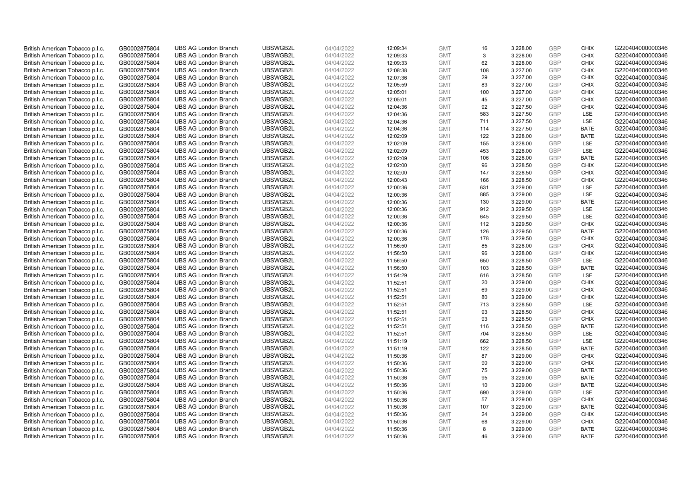| British American Tobacco p.l.c. | GB0002875804 | <b>UBS AG London Branch</b> | UBSWGB2L | 04/04/2022 | 12:09:34 | <b>GMT</b> | 16         | 3,228.00 | <b>GBP</b>               | <b>CHIX</b> | G220404000000346 |
|---------------------------------|--------------|-----------------------------|----------|------------|----------|------------|------------|----------|--------------------------|-------------|------------------|
| British American Tobacco p.l.c. | GB0002875804 | <b>UBS AG London Branch</b> | UBSWGB2L | 04/04/2022 | 12:09:33 | <b>GMT</b> | 3          | 3,228.00 | <b>GBP</b>               | <b>CHIX</b> | G220404000000346 |
| British American Tobacco p.l.c. | GB0002875804 | <b>UBS AG London Branch</b> | UBSWGB2L | 04/04/2022 | 12:09:33 | <b>GMT</b> | 62         | 3,228.00 | <b>GBP</b>               | <b>CHIX</b> | G220404000000346 |
|                                 |              |                             | UBSWGB2L |            |          |            |            |          | <b>GBP</b>               |             |                  |
| British American Tobacco p.l.c. | GB0002875804 | <b>UBS AG London Branch</b> |          | 04/04/2022 | 12:08:38 | <b>GMT</b> | 108        | 3,227.00 |                          | <b>CHIX</b> | G220404000000346 |
| British American Tobacco p.l.c. | GB0002875804 | <b>UBS AG London Branch</b> | UBSWGB2L | 04/04/2022 | 12:07:36 | <b>GMT</b> | 29         | 3,227.00 | <b>GBP</b>               | <b>CHIX</b> | G220404000000346 |
| British American Tobacco p.l.c. | GB0002875804 | <b>UBS AG London Branch</b> | UBSWGB2L | 04/04/2022 | 12:05:59 | <b>GMT</b> | 83         | 3,227.00 | <b>GBP</b>               | <b>CHIX</b> | G220404000000346 |
| British American Tobacco p.l.c. | GB0002875804 | <b>UBS AG London Branch</b> | UBSWGB2L | 04/04/2022 | 12:05:01 | <b>GMT</b> | 100        | 3,227.00 | <b>GBP</b>               | <b>CHIX</b> | G220404000000346 |
| British American Tobacco p.l.c. | GB0002875804 | <b>UBS AG London Branch</b> | UBSWGB2L | 04/04/2022 | 12:05:01 | <b>GMT</b> | 45         | 3,227.00 | <b>GBP</b>               | <b>CHIX</b> | G220404000000346 |
| British American Tobacco p.l.c. | GB0002875804 | <b>UBS AG London Branch</b> | UBSWGB2L | 04/04/2022 | 12:04:36 | <b>GMT</b> | 92         | 3,227.50 | <b>GBP</b>               | <b>CHIX</b> | G220404000000346 |
| British American Tobacco p.l.c. | GB0002875804 | <b>UBS AG London Branch</b> | UBSWGB2L | 04/04/2022 | 12:04:36 | <b>GMT</b> | 583        | 3,227.50 | <b>GBP</b>               | LSE         | G220404000000346 |
| British American Tobacco p.l.c. | GB0002875804 | <b>UBS AG London Branch</b> | UBSWGB2L | 04/04/2022 | 12:04:36 | <b>GMT</b> | 711        | 3,227.50 | <b>GBP</b>               | LSE         | G220404000000346 |
| British American Tobacco p.l.c. | GB0002875804 | <b>UBS AG London Branch</b> | UBSWGB2L | 04/04/2022 | 12:04:36 | <b>GMT</b> | 114        | 3,227.50 | <b>GBP</b>               | <b>BATE</b> | G220404000000346 |
| British American Tobacco p.l.c. | GB0002875804 | <b>UBS AG London Branch</b> | UBSWGB2L | 04/04/2022 | 12:02:09 | <b>GMT</b> | 122        | 3,228.00 | <b>GBP</b>               | <b>BATE</b> | G220404000000346 |
| British American Tobacco p.l.c. | GB0002875804 | <b>UBS AG London Branch</b> | UBSWGB2L | 04/04/2022 | 12:02:09 | <b>GMT</b> | 155        | 3,228.00 | <b>GBP</b>               | LSE         | G220404000000346 |
| British American Tobacco p.l.c. | GB0002875804 | <b>UBS AG London Branch</b> | UBSWGB2L | 04/04/2022 | 12:02:09 | <b>GMT</b> | 453        | 3,228.00 | <b>GBP</b>               | <b>LSE</b>  | G220404000000346 |
| British American Tobacco p.l.c. | GB0002875804 | <b>UBS AG London Branch</b> | UBSWGB2L | 04/04/2022 | 12:02:09 | <b>GMT</b> | 106        | 3,228.00 | <b>GBP</b>               | <b>BATE</b> | G220404000000346 |
| British American Tobacco p.l.c. | GB0002875804 | <b>UBS AG London Branch</b> | UBSWGB2L | 04/04/2022 | 12:02:00 | <b>GMT</b> | 96         | 3,228.50 | <b>GBP</b>               | <b>CHIX</b> | G220404000000346 |
| British American Tobacco p.l.c. | GB0002875804 | <b>UBS AG London Branch</b> | UBSWGB2L | 04/04/2022 | 12:02:00 | <b>GMT</b> | 147        | 3,228.50 | <b>GBP</b>               | <b>CHIX</b> | G220404000000346 |
| British American Tobacco p.l.c. | GB0002875804 | <b>UBS AG London Branch</b> | UBSWGB2L | 04/04/2022 | 12:00:43 | <b>GMT</b> | 166        | 3,228.50 | <b>GBP</b>               | <b>CHIX</b> | G220404000000346 |
| British American Tobacco p.l.c. | GB0002875804 | <b>UBS AG London Branch</b> | UBSWGB2L | 04/04/2022 | 12:00:36 | <b>GMT</b> | 631        | 3,229.00 | <b>GBP</b>               | LSE         | G220404000000346 |
| British American Tobacco p.l.c. | GB0002875804 | <b>UBS AG London Branch</b> | UBSWGB2L | 04/04/2022 | 12:00:36 | <b>GMT</b> | 885        | 3,229.00 | <b>GBP</b>               | LSE         | G220404000000346 |
| British American Tobacco p.l.c. | GB0002875804 | <b>UBS AG London Branch</b> | UBSWGB2L | 04/04/2022 | 12:00:36 | <b>GMT</b> | 130        | 3,229.00 | <b>GBP</b>               | <b>BATE</b> | G220404000000346 |
| British American Tobacco p.l.c. | GB0002875804 | <b>UBS AG London Branch</b> | UBSWGB2L | 04/04/2022 | 12:00:36 | <b>GMT</b> | 912        | 3,229.50 | <b>GBP</b>               | LSE         | G220404000000346 |
| British American Tobacco p.l.c. | GB0002875804 | <b>UBS AG London Branch</b> | UBSWGB2L | 04/04/2022 | 12:00:36 | <b>GMT</b> | 645        | 3,229.50 | <b>GBP</b>               | <b>LSE</b>  | G220404000000346 |
| British American Tobacco p.l.c. | GB0002875804 | <b>UBS AG London Branch</b> | UBSWGB2L | 04/04/2022 | 12:00:36 | <b>GMT</b> | 112        | 3,229.50 | <b>GBP</b>               | <b>CHIX</b> | G220404000000346 |
| British American Tobacco p.l.c. | GB0002875804 | <b>UBS AG London Branch</b> | UBSWGB2L | 04/04/2022 | 12:00:36 | <b>GMT</b> | 126        | 3,229.50 | <b>GBP</b>               | <b>BATE</b> | G220404000000346 |
| British American Tobacco p.l.c. | GB0002875804 | <b>UBS AG London Branch</b> | UBSWGB2L | 04/04/2022 | 12:00:36 | <b>GMT</b> | 178        | 3,229.50 | <b>GBP</b>               | <b>CHIX</b> | G220404000000346 |
| British American Tobacco p.l.c. | GB0002875804 | <b>UBS AG London Branch</b> | UBSWGB2L | 04/04/2022 | 11:56:50 | <b>GMT</b> | 85         | 3,228.00 | <b>GBP</b>               | <b>CHIX</b> | G220404000000346 |
| British American Tobacco p.l.c. | GB0002875804 | <b>UBS AG London Branch</b> | UBSWGB2L | 04/04/2022 | 11:56:50 | <b>GMT</b> | 96         | 3,228.00 | <b>GBP</b>               | <b>CHIX</b> | G220404000000346 |
| British American Tobacco p.l.c. | GB0002875804 | <b>UBS AG London Branch</b> | UBSWGB2L | 04/04/2022 | 11:56:50 | <b>GMT</b> | 650        | 3,228.50 | <b>GBP</b>               | LSE         | G220404000000346 |
| British American Tobacco p.l.c. | GB0002875804 | <b>UBS AG London Branch</b> | UBSWGB2L | 04/04/2022 | 11:56:50 | <b>GMT</b> | 103        | 3,228.50 | <b>GBP</b>               | <b>BATE</b> | G220404000000346 |
| British American Tobacco p.l.c. | GB0002875804 | <b>UBS AG London Branch</b> | UBSWGB2L | 04/04/2022 | 11:54:29 | <b>GMT</b> | 616        | 3,228.50 | <b>GBP</b>               | <b>LSE</b>  | G220404000000346 |
| British American Tobacco p.l.c. | GB0002875804 | <b>UBS AG London Branch</b> | UBSWGB2L | 04/04/2022 | 11:52:51 | <b>GMT</b> | 20         | 3,229.00 | <b>GBP</b>               | <b>CHIX</b> | G220404000000346 |
| British American Tobacco p.l.c. | GB0002875804 | <b>UBS AG London Branch</b> | UBSWGB2L | 04/04/2022 | 11:52:51 | <b>GMT</b> | 69         | 3,229.00 | <b>GBP</b>               | <b>CHIX</b> | G220404000000346 |
| British American Tobacco p.l.c. | GB0002875804 | <b>UBS AG London Branch</b> | UBSWGB2L | 04/04/2022 | 11:52:51 | <b>GMT</b> | 80         | 3,229.00 | <b>GBP</b>               | <b>CHIX</b> | G220404000000346 |
| British American Tobacco p.l.c. | GB0002875804 | <b>UBS AG London Branch</b> | UBSWGB2L | 04/04/2022 | 11:52:51 | <b>GMT</b> | 713        | 3,228.50 | <b>GBP</b>               | LSE         | G220404000000346 |
| British American Tobacco p.l.c. | GB0002875804 | <b>UBS AG London Branch</b> | UBSWGB2L | 04/04/2022 | 11:52:51 | <b>GMT</b> | 93         | 3,228.50 | <b>GBP</b>               | <b>CHIX</b> | G220404000000346 |
| British American Tobacco p.l.c. | GB0002875804 | <b>UBS AG London Branch</b> | UBSWGB2L | 04/04/2022 | 11:52:51 | <b>GMT</b> | 93         | 3,228.50 | <b>GBP</b>               | <b>CHIX</b> | G220404000000346 |
|                                 |              | <b>UBS AG London Branch</b> | UBSWGB2L |            |          | <b>GMT</b> | 116        |          | <b>GBP</b>               | <b>BATE</b> | G220404000000346 |
| British American Tobacco p.l.c. | GB0002875804 |                             |          | 04/04/2022 | 11:52:51 |            |            | 3,228.50 |                          |             |                  |
| British American Tobacco p.l.c. | GB0002875804 | <b>UBS AG London Branch</b> | UBSWGB2L | 04/04/2022 | 11:52:51 | <b>GMT</b> | 704<br>662 | 3,228.50 | <b>GBP</b><br><b>GBP</b> | LSE<br>LSE  | G220404000000346 |
| British American Tobacco p.l.c. | GB0002875804 | <b>UBS AG London Branch</b> | UBSWGB2L | 04/04/2022 | 11:51:19 | <b>GMT</b> |            | 3,228.50 |                          |             | G220404000000346 |
| British American Tobacco p.l.c. | GB0002875804 | <b>UBS AG London Branch</b> | UBSWGB2L | 04/04/2022 | 11:51:19 | <b>GMT</b> | 122        | 3,228.50 | <b>GBP</b>               | <b>BATE</b> | G220404000000346 |
| British American Tobacco p.l.c. | GB0002875804 | <b>UBS AG London Branch</b> | UBSWGB2L | 04/04/2022 | 11:50:36 | <b>GMT</b> | 87         | 3,229.00 | <b>GBP</b>               | <b>CHIX</b> | G220404000000346 |
| British American Tobacco p.l.c. | GB0002875804 | <b>UBS AG London Branch</b> | UBSWGB2L | 04/04/2022 | 11:50:36 | <b>GMT</b> | 90         | 3,229.00 | <b>GBP</b>               | <b>CHIX</b> | G220404000000346 |
| British American Tobacco p.l.c. | GB0002875804 | <b>UBS AG London Branch</b> | UBSWGB2L | 04/04/2022 | 11:50:36 | <b>GMT</b> | 75         | 3,229.00 | <b>GBP</b>               | <b>BATE</b> | G220404000000346 |
| British American Tobacco p.l.c. | GB0002875804 | <b>UBS AG London Branch</b> | UBSWGB2L | 04/04/2022 | 11:50:36 | <b>GMT</b> | 95         | 3,229.00 | <b>GBP</b>               | <b>BATE</b> | G220404000000346 |
| British American Tobacco p.l.c. | GB0002875804 | <b>UBS AG London Branch</b> | UBSWGB2L | 04/04/2022 | 11:50:36 | <b>GMT</b> | 10         | 3,229.00 | <b>GBP</b>               | <b>BATE</b> | G220404000000346 |
| British American Tobacco p.l.c. | GB0002875804 | <b>UBS AG London Branch</b> | UBSWGB2L | 04/04/2022 | 11:50:36 | <b>GMT</b> | 690        | 3,229.00 | <b>GBP</b>               | LSE         | G220404000000346 |
| British American Tobacco p.l.c. | GB0002875804 | <b>UBS AG London Branch</b> | UBSWGB2L | 04/04/2022 | 11:50:36 | <b>GMT</b> | 57         | 3,229.00 | <b>GBP</b>               | <b>CHIX</b> | G220404000000346 |
| British American Tobacco p.l.c. | GB0002875804 | <b>UBS AG London Branch</b> | UBSWGB2L | 04/04/2022 | 11:50:36 | <b>GMT</b> | 107        | 3,229.00 | <b>GBP</b>               | <b>BATE</b> | G220404000000346 |
| British American Tobacco p.l.c. | GB0002875804 | <b>UBS AG London Branch</b> | UBSWGB2L | 04/04/2022 | 11:50:36 | <b>GMT</b> | 24         | 3,229.00 | <b>GBP</b>               | <b>CHIX</b> | G220404000000346 |
| British American Tobacco p.l.c. | GB0002875804 | <b>UBS AG London Branch</b> | UBSWGB2L | 04/04/2022 | 11:50:36 | <b>GMT</b> | 68         | 3,229.00 | <b>GBP</b>               | <b>CHIX</b> | G220404000000346 |
| British American Tobacco p.l.c. | GB0002875804 | <b>UBS AG London Branch</b> | UBSWGB2L | 04/04/2022 | 11:50:36 | <b>GMT</b> | 8          | 3,229.00 | <b>GBP</b>               | <b>BATE</b> | G220404000000346 |
| British American Tobacco p.l.c. | GB0002875804 | <b>UBS AG London Branch</b> | UBSWGB2L | 04/04/2022 | 11:50:36 | <b>GMT</b> | 46         | 3.229.00 | GBP                      | <b>BATE</b> | G220404000000346 |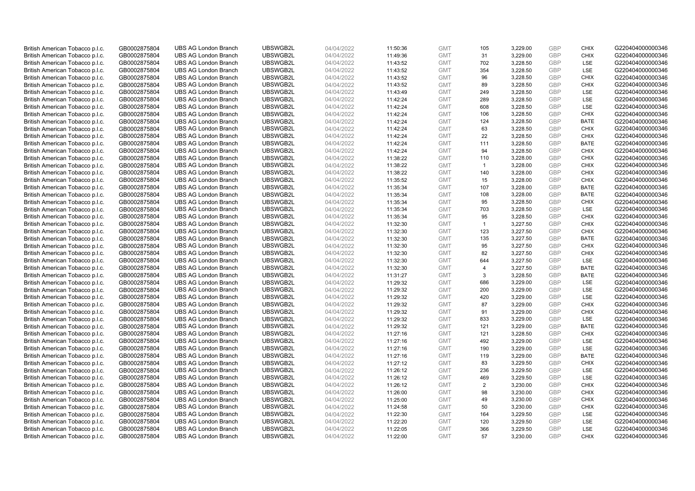| British American Tobacco p.l.c. | GB0002875804 | <b>UBS AG London Branch</b> | UBSWGB2L | 04/04/2022 | 11:50:36 | <b>GMT</b> | 105            | 3,229.00 | <b>GBP</b>               | <b>CHIX</b>               | G220404000000346 |
|---------------------------------|--------------|-----------------------------|----------|------------|----------|------------|----------------|----------|--------------------------|---------------------------|------------------|
| British American Tobacco p.l.c. | GB0002875804 | <b>UBS AG London Branch</b> | UBSWGB2L | 04/04/2022 | 11:49:36 | <b>GMT</b> | 31             | 3,229.00 | <b>GBP</b>               | <b>CHIX</b>               | G220404000000346 |
| British American Tobacco p.l.c. | GB0002875804 | <b>UBS AG London Branch</b> | UBSWGB2L | 04/04/2022 | 11:43:52 | <b>GMT</b> | 702            | 3,228.50 | <b>GBP</b>               | LSE                       | G220404000000346 |
|                                 |              |                             | UBSWGB2L |            |          |            |                |          | <b>GBP</b>               |                           |                  |
| British American Tobacco p.l.c. | GB0002875804 | <b>UBS AG London Branch</b> |          | 04/04/2022 | 11:43:52 | <b>GMT</b> | 354            | 3,228.50 |                          | LSE                       | G220404000000346 |
| British American Tobacco p.l.c. | GB0002875804 | <b>UBS AG London Branch</b> | UBSWGB2L | 04/04/2022 | 11:43:52 | <b>GMT</b> | 96             | 3,228.50 | <b>GBP</b>               | <b>CHIX</b>               | G220404000000346 |
| British American Tobacco p.l.c. | GB0002875804 | <b>UBS AG London Branch</b> | UBSWGB2L | 04/04/2022 | 11:43:52 | <b>GMT</b> | 89             | 3,228.50 | <b>GBP</b>               | <b>CHIX</b>               | G220404000000346 |
| British American Tobacco p.l.c. | GB0002875804 | <b>UBS AG London Branch</b> | UBSWGB2L | 04/04/2022 | 11:43:49 | <b>GMT</b> | 249            | 3,228.50 | <b>GBP</b>               | LSE                       | G220404000000346 |
| British American Tobacco p.l.c. | GB0002875804 | <b>UBS AG London Branch</b> | UBSWGB2L | 04/04/2022 | 11:42:24 | <b>GMT</b> | 289            | 3,228.50 | <b>GBP</b>               | LSE                       | G220404000000346 |
| British American Tobacco p.l.c. | GB0002875804 | <b>UBS AG London Branch</b> | UBSWGB2L | 04/04/2022 | 11:42:24 | <b>GMT</b> | 608            | 3,228.50 | <b>GBP</b>               | LSE                       | G220404000000346 |
| British American Tobacco p.l.c. | GB0002875804 | <b>UBS AG London Branch</b> | UBSWGB2L | 04/04/2022 | 11:42:24 | <b>GMT</b> | 106            | 3,228.50 | <b>GBP</b>               | <b>CHIX</b>               | G220404000000346 |
| British American Tobacco p.l.c. | GB0002875804 | <b>UBS AG London Branch</b> | UBSWGB2L | 04/04/2022 | 11:42:24 | <b>GMT</b> | 124            | 3,228.50 | <b>GBP</b>               | <b>BATE</b>               | G220404000000346 |
| British American Tobacco p.l.c. | GB0002875804 | <b>UBS AG London Branch</b> | UBSWGB2L | 04/04/2022 | 11:42:24 | <b>GMT</b> | 63             | 3,228.50 | <b>GBP</b>               | <b>CHIX</b>               | G220404000000346 |
| British American Tobacco p.l.c. | GB0002875804 | <b>UBS AG London Branch</b> | UBSWGB2L | 04/04/2022 | 11:42:24 | <b>GMT</b> | 22             | 3,228.50 | <b>GBP</b>               | <b>CHIX</b>               | G220404000000346 |
| British American Tobacco p.l.c. | GB0002875804 | <b>UBS AG London Branch</b> | UBSWGB2L | 04/04/2022 | 11:42:24 | <b>GMT</b> | 111            | 3,228.50 | <b>GBP</b>               | <b>BATE</b>               | G220404000000346 |
| British American Tobacco p.l.c. | GB0002875804 | <b>UBS AG London Branch</b> | UBSWGB2L | 04/04/2022 | 11:42:24 | <b>GMT</b> | 94             | 3,228.50 | <b>GBP</b>               | <b>CHIX</b>               | G220404000000346 |
| British American Tobacco p.l.c. | GB0002875804 | <b>UBS AG London Branch</b> | UBSWGB2L | 04/04/2022 | 11:38:22 | <b>GMT</b> | 110            | 3,228.00 | <b>GBP</b>               | <b>CHIX</b>               | G220404000000346 |
| British American Tobacco p.l.c. | GB0002875804 | <b>UBS AG London Branch</b> | UBSWGB2L | 04/04/2022 | 11:38:22 | <b>GMT</b> | $\mathbf{1}$   | 3,228.00 | <b>GBP</b>               | <b>CHIX</b>               | G220404000000346 |
| British American Tobacco p.l.c. | GB0002875804 | <b>UBS AG London Branch</b> | UBSWGB2L | 04/04/2022 | 11:38:22 | <b>GMT</b> | 140            | 3,228.00 | <b>GBP</b>               | <b>CHIX</b>               | G220404000000346 |
| British American Tobacco p.l.c. | GB0002875804 | <b>UBS AG London Branch</b> | UBSWGB2L | 04/04/2022 | 11:35:52 | <b>GMT</b> | 15             | 3,228.00 | <b>GBP</b>               | <b>CHIX</b>               | G220404000000346 |
| British American Tobacco p.l.c. | GB0002875804 | <b>UBS AG London Branch</b> | UBSWGB2L | 04/04/2022 | 11:35:34 | <b>GMT</b> | 107            | 3,228.00 | <b>GBP</b>               | <b>BATE</b>               | G220404000000346 |
| British American Tobacco p.l.c. | GB0002875804 | <b>UBS AG London Branch</b> | UBSWGB2L | 04/04/2022 | 11:35:34 | <b>GMT</b> | 108            | 3,228.00 | <b>GBP</b>               | <b>BATE</b>               | G220404000000346 |
| British American Tobacco p.l.c. | GB0002875804 | <b>UBS AG London Branch</b> | UBSWGB2L | 04/04/2022 | 11:35:34 | <b>GMT</b> | 95             | 3,228.50 | <b>GBP</b>               | <b>CHIX</b>               | G220404000000346 |
| British American Tobacco p.l.c. | GB0002875804 | <b>UBS AG London Branch</b> | UBSWGB2L | 04/04/2022 | 11:35:34 | <b>GMT</b> | 703            | 3,228.50 | <b>GBP</b>               | LSE                       | G220404000000346 |
| British American Tobacco p.l.c. | GB0002875804 | <b>UBS AG London Branch</b> | UBSWGB2L | 04/04/2022 | 11:35:34 | <b>GMT</b> | 95             | 3,228.50 | <b>GBP</b>               | <b>CHIX</b>               | G220404000000346 |
| British American Tobacco p.l.c. | GB0002875804 | <b>UBS AG London Branch</b> | UBSWGB2L | 04/04/2022 | 11:32:30 | <b>GMT</b> | $\mathbf{1}$   | 3,227.50 | <b>GBP</b>               | <b>CHIX</b>               | G220404000000346 |
| British American Tobacco p.l.c. | GB0002875804 | <b>UBS AG London Branch</b> | UBSWGB2L | 04/04/2022 | 11:32:30 | <b>GMT</b> | 123            | 3,227.50 | <b>GBP</b>               | <b>CHIX</b>               | G220404000000346 |
| British American Tobacco p.l.c. | GB0002875804 | <b>UBS AG London Branch</b> | UBSWGB2L | 04/04/2022 | 11:32:30 | <b>GMT</b> | 135            | 3,227.50 | <b>GBP</b>               | <b>BATE</b>               | G220404000000346 |
| British American Tobacco p.l.c. | GB0002875804 | <b>UBS AG London Branch</b> | UBSWGB2L | 04/04/2022 | 11:32:30 | <b>GMT</b> | 95             | 3,227.50 | <b>GBP</b>               | <b>CHIX</b>               | G220404000000346 |
| British American Tobacco p.l.c. | GB0002875804 | <b>UBS AG London Branch</b> | UBSWGB2L | 04/04/2022 | 11:32:30 | <b>GMT</b> | 82             | 3,227.50 | <b>GBP</b>               | <b>CHIX</b>               | G220404000000346 |
| British American Tobacco p.l.c. | GB0002875804 | <b>UBS AG London Branch</b> | UBSWGB2L | 04/04/2022 | 11:32:30 | <b>GMT</b> | 644            | 3,227.50 | <b>GBP</b>               | LSE                       | G220404000000346 |
| British American Tobacco p.l.c. | GB0002875804 | <b>UBS AG London Branch</b> | UBSWGB2L | 04/04/2022 | 11:32:30 | <b>GMT</b> | 4              | 3,227.50 | <b>GBP</b>               | <b>BATE</b>               | G220404000000346 |
| British American Tobacco p.l.c. | GB0002875804 | <b>UBS AG London Branch</b> | UBSWGB2L | 04/04/2022 | 11:31:27 | <b>GMT</b> | 3              | 3,228.50 | <b>GBP</b>               | <b>BATE</b>               | G220404000000346 |
| British American Tobacco p.l.c. | GB0002875804 | <b>UBS AG London Branch</b> | UBSWGB2L | 04/04/2022 | 11:29:32 | <b>GMT</b> | 686            | 3,229.00 | <b>GBP</b>               | LSE                       | G220404000000346 |
| British American Tobacco p.l.c. | GB0002875804 | <b>UBS AG London Branch</b> | UBSWGB2L | 04/04/2022 | 11:29:32 | <b>GMT</b> | 200            | 3,229.00 | <b>GBP</b>               | LSE                       | G220404000000346 |
| British American Tobacco p.l.c. | GB0002875804 | <b>UBS AG London Branch</b> | UBSWGB2L | 04/04/2022 | 11:29:32 | <b>GMT</b> | 420            | 3,229.00 | <b>GBP</b>               | LSE                       | G220404000000346 |
| British American Tobacco p.l.c. | GB0002875804 | <b>UBS AG London Branch</b> | UBSWGB2L | 04/04/2022 | 11:29:32 | <b>GMT</b> | 87             | 3,229.00 | <b>GBP</b>               | <b>CHIX</b>               | G220404000000346 |
| British American Tobacco p.l.c. | GB0002875804 | <b>UBS AG London Branch</b> | UBSWGB2L | 04/04/2022 | 11:29:32 | <b>GMT</b> | 91             | 3,229.00 | <b>GBP</b>               | <b>CHIX</b>               | G220404000000346 |
| British American Tobacco p.l.c. | GB0002875804 | <b>UBS AG London Branch</b> | UBSWGB2L | 04/04/2022 | 11:29:32 | <b>GMT</b> | 833            | 3,229.00 | <b>GBP</b>               | LSE                       | G220404000000346 |
|                                 |              | <b>UBS AG London Branch</b> | UBSWGB2L |            |          | <b>GMT</b> | 121            |          | <b>GBP</b>               | <b>BATE</b>               | G220404000000346 |
| British American Tobacco p.l.c. | GB0002875804 |                             |          | 04/04/2022 | 11:29:32 |            |                | 3,229.00 |                          |                           |                  |
| British American Tobacco p.l.c. | GB0002875804 | <b>UBS AG London Branch</b> | UBSWGB2L | 04/04/2022 | 11:27:16 | <b>GMT</b> | 121<br>492     | 3,228.50 | <b>GBP</b><br><b>GBP</b> | <b>CHIX</b><br><b>LSE</b> | G220404000000346 |
| British American Tobacco p.l.c. | GB0002875804 | <b>UBS AG London Branch</b> | UBSWGB2L | 04/04/2022 | 11:27:16 | <b>GMT</b> |                | 3,229.00 |                          |                           | G220404000000346 |
| British American Tobacco p.l.c. | GB0002875804 | <b>UBS AG London Branch</b> | UBSWGB2L | 04/04/2022 | 11:27:16 | <b>GMT</b> | 190            | 3,229.00 | <b>GBP</b>               | LSE                       | G220404000000346 |
| British American Tobacco p.l.c. | GB0002875804 | <b>UBS AG London Branch</b> | UBSWGB2L | 04/04/2022 | 11:27:16 | <b>GMT</b> | 119            | 3,229.00 | <b>GBP</b>               | <b>BATE</b>               | G220404000000346 |
| British American Tobacco p.l.c. | GB0002875804 | <b>UBS AG London Branch</b> | UBSWGB2L | 04/04/2022 | 11:27:12 | <b>GMT</b> | 83             | 3,229.50 | <b>GBP</b>               | <b>CHIX</b>               | G220404000000346 |
| British American Tobacco p.l.c. | GB0002875804 | <b>UBS AG London Branch</b> | UBSWGB2L | 04/04/2022 | 11:26:12 | <b>GMT</b> | 236            | 3,229.50 | <b>GBP</b>               | <b>LSE</b>                | G220404000000346 |
| British American Tobacco p.l.c. | GB0002875804 | <b>UBS AG London Branch</b> | UBSWGB2L | 04/04/2022 | 11:26:12 | <b>GMT</b> | 469            | 3,229.50 | <b>GBP</b>               | LSE                       | G220404000000346 |
| British American Tobacco p.l.c. | GB0002875804 | <b>UBS AG London Branch</b> | UBSWGB2L | 04/04/2022 | 11:26:12 | <b>GMT</b> | $\overline{2}$ | 3,230.00 | <b>GBP</b>               | <b>CHIX</b>               | G220404000000346 |
| British American Tobacco p.l.c. | GB0002875804 | <b>UBS AG London Branch</b> | UBSWGB2L | 04/04/2022 | 11:26:00 | <b>GMT</b> | 98             | 3,230.00 | <b>GBP</b>               | <b>CHIX</b>               | G220404000000346 |
| British American Tobacco p.l.c. | GB0002875804 | <b>UBS AG London Branch</b> | UBSWGB2L | 04/04/2022 | 11:25:00 | <b>GMT</b> | 49             | 3,230.00 | <b>GBP</b>               | <b>CHIX</b>               | G220404000000346 |
| British American Tobacco p.l.c. | GB0002875804 | <b>UBS AG London Branch</b> | UBSWGB2L | 04/04/2022 | 11:24:58 | <b>GMT</b> | 50             | 3,230.00 | <b>GBP</b>               | <b>CHIX</b>               | G220404000000346 |
| British American Tobacco p.l.c. | GB0002875804 | <b>UBS AG London Branch</b> | UBSWGB2L | 04/04/2022 | 11:22:30 | <b>GMT</b> | 164            | 3,229.50 | <b>GBP</b>               | LSE                       | G220404000000346 |
| British American Tobacco p.l.c. | GB0002875804 | <b>UBS AG London Branch</b> | UBSWGB2L | 04/04/2022 | 11:22:20 | <b>GMT</b> | 120            | 3,229.50 | <b>GBP</b>               | LSE                       | G220404000000346 |
| British American Tobacco p.l.c. | GB0002875804 | <b>UBS AG London Branch</b> | UBSWGB2L | 04/04/2022 | 11:22:05 | <b>GMT</b> | 366            | 3,229.50 | <b>GBP</b>               | LSE                       | G220404000000346 |
| British American Tobacco p.l.c. | GB0002875804 | <b>UBS AG London Branch</b> | UBSWGB2L | 04/04/2022 | 11:22:00 | <b>GMT</b> | 57             | 3.230.00 | GBP                      | <b>CHIX</b>               | G220404000000346 |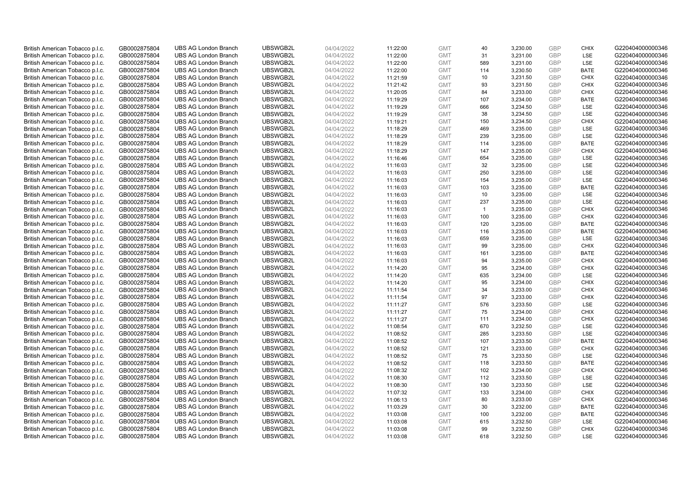| British American Tobacco p.l.c. | GB0002875804 | <b>UBS AG London Branch</b> | UBSWGB2L | 04/04/2022 | 11:22:00 | <b>GMT</b> | 40             | 3,230.00 | <b>GBP</b>               | <b>CHIX</b> | G220404000000346 |
|---------------------------------|--------------|-----------------------------|----------|------------|----------|------------|----------------|----------|--------------------------|-------------|------------------|
| British American Tobacco p.l.c. | GB0002875804 | <b>UBS AG London Branch</b> | UBSWGB2L | 04/04/2022 | 11:22:00 | <b>GMT</b> | 31             | 3,231.00 | <b>GBP</b>               | <b>LSE</b>  | G220404000000346 |
| British American Tobacco p.l.c. | GB0002875804 | <b>UBS AG London Branch</b> | UBSWGB2L | 04/04/2022 | 11:22:00 | <b>GMT</b> | 589            | 3,231.00 | <b>GBP</b>               | LSE         | G220404000000346 |
| British American Tobacco p.l.c. | GB0002875804 | <b>UBS AG London Branch</b> | UBSWGB2L | 04/04/2022 | 11:22:00 | <b>GMT</b> | 114            | 3,230.50 | <b>GBP</b>               | <b>BATE</b> | G220404000000346 |
| British American Tobacco p.l.c. | GB0002875804 | <b>UBS AG London Branch</b> | UBSWGB2L | 04/04/2022 |          | <b>GMT</b> | 10             | 3,231.50 | <b>GBP</b>               | <b>CHIX</b> | G220404000000346 |
|                                 |              | <b>UBS AG London Branch</b> | UBSWGB2L |            | 11:21:59 |            | 93             |          |                          |             |                  |
| British American Tobacco p.l.c. | GB0002875804 |                             |          | 04/04/2022 | 11:21:42 | <b>GMT</b> |                | 3,231.50 | <b>GBP</b><br><b>GBP</b> | <b>CHIX</b> | G220404000000346 |
| British American Tobacco p.l.c. | GB0002875804 | <b>UBS AG London Branch</b> | UBSWGB2L | 04/04/2022 | 11:20:05 | <b>GMT</b> | 84             | 3,233.00 |                          | <b>CHIX</b> | G220404000000346 |
| British American Tobacco p.l.c. | GB0002875804 | <b>UBS AG London Branch</b> | UBSWGB2L | 04/04/2022 | 11:19:29 | <b>GMT</b> | 107            | 3,234.00 | <b>GBP</b>               | <b>BATE</b> | G220404000000346 |
| British American Tobacco p.l.c. | GB0002875804 | <b>UBS AG London Branch</b> | UBSWGB2L | 04/04/2022 | 11:19:29 | <b>GMT</b> | 666            | 3,234.50 | <b>GBP</b>               | LSE         | G220404000000346 |
| British American Tobacco p.l.c. | GB0002875804 | <b>UBS AG London Branch</b> | UBSWGB2L | 04/04/2022 | 11:19:29 | <b>GMT</b> | 38             | 3,234.50 | <b>GBP</b>               | LSE         | G220404000000346 |
| British American Tobacco p.l.c. | GB0002875804 | <b>UBS AG London Branch</b> | UBSWGB2L | 04/04/2022 | 11:19:21 | <b>GMT</b> | 150            | 3,234.50 | <b>GBP</b>               | <b>CHIX</b> | G220404000000346 |
| British American Tobacco p.l.c. | GB0002875804 | <b>UBS AG London Branch</b> | UBSWGB2L | 04/04/2022 | 11:18:29 | <b>GMT</b> | 469            | 3,235.00 | <b>GBP</b>               | LSE         | G220404000000346 |
| British American Tobacco p.l.c. | GB0002875804 | <b>UBS AG London Branch</b> | UBSWGB2L | 04/04/2022 | 11:18:29 | <b>GMT</b> | 239            | 3,235.00 | <b>GBP</b>               | LSE         | G220404000000346 |
| British American Tobacco p.l.c. | GB0002875804 | <b>UBS AG London Branch</b> | UBSWGB2L | 04/04/2022 | 11:18:29 | <b>GMT</b> | 114            | 3,235.00 | <b>GBP</b>               | <b>BATE</b> | G220404000000346 |
| British American Tobacco p.l.c. | GB0002875804 | <b>UBS AG London Branch</b> | UBSWGB2L | 04/04/2022 | 11:18:29 | <b>GMT</b> | 147            | 3,235.00 | <b>GBP</b>               | <b>CHIX</b> | G220404000000346 |
| British American Tobacco p.l.c. | GB0002875804 | <b>UBS AG London Branch</b> | UBSWGB2L | 04/04/2022 | 11:16:46 | <b>GMT</b> | 654            | 3,235.00 | <b>GBP</b>               | LSE         | G220404000000346 |
| British American Tobacco p.l.c. | GB0002875804 | <b>UBS AG London Branch</b> | UBSWGB2L | 04/04/2022 | 11:16:03 | <b>GMT</b> | 32             | 3,235.00 | <b>GBP</b>               | LSE         | G220404000000346 |
| British American Tobacco p.l.c. | GB0002875804 | <b>UBS AG London Branch</b> | UBSWGB2L | 04/04/2022 | 11:16:03 | <b>GMT</b> | 250            | 3,235.00 | <b>GBP</b>               | LSE         | G220404000000346 |
| British American Tobacco p.l.c. | GB0002875804 | <b>UBS AG London Branch</b> | UBSWGB2L | 04/04/2022 | 11:16:03 | <b>GMT</b> | 154            | 3,235.00 | <b>GBP</b>               | <b>LSE</b>  | G220404000000346 |
| British American Tobacco p.l.c. | GB0002875804 | <b>UBS AG London Branch</b> | UBSWGB2L | 04/04/2022 | 11:16:03 | <b>GMT</b> | 103            | 3,235.00 | <b>GBP</b>               | <b>BATE</b> | G220404000000346 |
| British American Tobacco p.l.c. | GB0002875804 | <b>UBS AG London Branch</b> | UBSWGB2L | 04/04/2022 | 11:16:03 | <b>GMT</b> | 10             | 3,235.00 | <b>GBP</b>               | LSE         | G220404000000346 |
| British American Tobacco p.l.c. | GB0002875804 | <b>UBS AG London Branch</b> | UBSWGB2L | 04/04/2022 | 11:16:03 | <b>GMT</b> | 237            | 3,235.00 | <b>GBP</b>               | LSE         | G220404000000346 |
| British American Tobacco p.l.c. | GB0002875804 | <b>UBS AG London Branch</b> | UBSWGB2L | 04/04/2022 | 11:16:03 | <b>GMT</b> | $\overline{1}$ | 3,235.00 | <b>GBP</b>               | <b>CHIX</b> | G220404000000346 |
| British American Tobacco p.l.c. | GB0002875804 | <b>UBS AG London Branch</b> | UBSWGB2L | 04/04/2022 | 11:16:03 | <b>GMT</b> | 100            | 3,235.00 | <b>GBP</b>               | <b>CHIX</b> | G220404000000346 |
| British American Tobacco p.l.c. | GB0002875804 | <b>UBS AG London Branch</b> | UBSWGB2L | 04/04/2022 | 11:16:03 | <b>GMT</b> | 120            | 3,235.00 | <b>GBP</b>               | <b>BATE</b> | G220404000000346 |
| British American Tobacco p.l.c. | GB0002875804 | <b>UBS AG London Branch</b> | UBSWGB2L | 04/04/2022 | 11:16:03 | <b>GMT</b> | 116            | 3,235.00 | <b>GBP</b>               | <b>BATE</b> | G220404000000346 |
| British American Tobacco p.l.c. | GB0002875804 | <b>UBS AG London Branch</b> | UBSWGB2L | 04/04/2022 | 11:16:03 | <b>GMT</b> | 659            | 3,235.00 | <b>GBP</b>               | LSE         | G220404000000346 |
| British American Tobacco p.l.c. | GB0002875804 | <b>UBS AG London Branch</b> | UBSWGB2L | 04/04/2022 | 11:16:03 | <b>GMT</b> | 99             | 3,235.00 | <b>GBP</b>               | <b>CHIX</b> | G220404000000346 |
| British American Tobacco p.l.c. | GB0002875804 | <b>UBS AG London Branch</b> | UBSWGB2L | 04/04/2022 | 11:16:03 | <b>GMT</b> | 161            | 3,235.00 | <b>GBP</b>               | <b>BATE</b> | G220404000000346 |
| British American Tobacco p.l.c. | GB0002875804 | <b>UBS AG London Branch</b> | UBSWGB2L | 04/04/2022 | 11:16:03 | <b>GMT</b> | 94             | 3,235.00 | <b>GBP</b>               | <b>CHIX</b> | G220404000000346 |
| British American Tobacco p.l.c. | GB0002875804 | <b>UBS AG London Branch</b> | UBSWGB2L | 04/04/2022 | 11:14:20 | <b>GMT</b> | 95             | 3,234.00 | <b>GBP</b>               | <b>CHIX</b> | G220404000000346 |
| British American Tobacco p.l.c. | GB0002875804 | <b>UBS AG London Branch</b> | UBSWGB2L | 04/04/2022 | 11:14:20 | <b>GMT</b> | 635            | 3,234.00 | <b>GBP</b>               | <b>LSE</b>  | G220404000000346 |
| British American Tobacco p.l.c. | GB0002875804 | <b>UBS AG London Branch</b> | UBSWGB2L | 04/04/2022 | 11:14:20 | <b>GMT</b> | 95             | 3,234.00 | <b>GBP</b>               | <b>CHIX</b> | G220404000000346 |
| British American Tobacco p.l.c. | GB0002875804 | <b>UBS AG London Branch</b> | UBSWGB2L | 04/04/2022 | 11:11:54 | <b>GMT</b> | 34             | 3,233.00 | <b>GBP</b>               | <b>CHIX</b> | G220404000000346 |
| British American Tobacco p.l.c. | GB0002875804 | <b>UBS AG London Branch</b> | UBSWGB2L | 04/04/2022 | 11:11:54 | <b>GMT</b> | 97             | 3,233.00 | <b>GBP</b>               | <b>CHIX</b> | G220404000000346 |
| British American Tobacco p.l.c. | GB0002875804 | <b>UBS AG London Branch</b> | UBSWGB2L | 04/04/2022 | 11:11:27 | <b>GMT</b> | 576            | 3,233.50 | <b>GBP</b>               | LSE         | G220404000000346 |
| British American Tobacco p.l.c. | GB0002875804 | <b>UBS AG London Branch</b> | UBSWGB2L | 04/04/2022 | 11:11:27 | <b>GMT</b> | 75             | 3,234.00 | <b>GBP</b>               | <b>CHIX</b> | G220404000000346 |
| British American Tobacco p.l.c. | GB0002875804 | <b>UBS AG London Branch</b> | UBSWGB2L | 04/04/2022 | 11:11:27 | <b>GMT</b> | 111            | 3,234.00 | <b>GBP</b>               | <b>CHIX</b> | G220404000000346 |
| British American Tobacco p.l.c. | GB0002875804 | <b>UBS AG London Branch</b> | UBSWGB2L | 04/04/2022 | 11:08:54 | <b>GMT</b> | 670            | 3,232.50 | <b>GBP</b>               | LSE         | G220404000000346 |
| British American Tobacco p.l.c. | GB0002875804 | <b>UBS AG London Branch</b> | UBSWGB2L | 04/04/2022 | 11:08:52 | <b>GMT</b> | 285            | 3,233.50 | <b>GBP</b>               | LSE         | G220404000000346 |
| British American Tobacco p.l.c. | GB0002875804 | <b>UBS AG London Branch</b> | UBSWGB2L | 04/04/2022 | 11:08:52 | <b>GMT</b> | 107            | 3,233.50 | <b>GBP</b>               | <b>BATE</b> | G220404000000346 |
| British American Tobacco p.l.c. | GB0002875804 | <b>UBS AG London Branch</b> | UBSWGB2L | 04/04/2022 | 11:08:52 | <b>GMT</b> | 121            | 3,233.00 | <b>GBP</b>               | <b>CHIX</b> | G220404000000346 |
| British American Tobacco p.l.c. | GB0002875804 | <b>UBS AG London Branch</b> | UBSWGB2L | 04/04/2022 | 11:08:52 | <b>GMT</b> | 75             | 3,233.50 | <b>GBP</b>               | LSE         | G220404000000346 |
| British American Tobacco p.l.c. | GB0002875804 | <b>UBS AG London Branch</b> | UBSWGB2L | 04/04/2022 | 11:08:52 | <b>GMT</b> | 118            | 3,233.50 | <b>GBP</b>               | <b>BATE</b> | G220404000000346 |
| British American Tobacco p.l.c. | GB0002875804 | <b>UBS AG London Branch</b> | UBSWGB2L | 04/04/2022 | 11:08:32 | <b>GMT</b> | 102            | 3,234.00 | <b>GBP</b>               | <b>CHIX</b> | G220404000000346 |
| British American Tobacco p.l.c. | GB0002875804 | <b>UBS AG London Branch</b> | UBSWGB2L | 04/04/2022 | 11:08:30 | <b>GMT</b> | 112            | 3,233.50 | <b>GBP</b>               | LSE         | G220404000000346 |
| British American Tobacco p.l.c. | GB0002875804 | <b>UBS AG London Branch</b> | UBSWGB2L | 04/04/2022 | 11:08:30 | <b>GMT</b> | 130            | 3,233.50 | <b>GBP</b>               | LSE         | G220404000000346 |
| British American Tobacco p.l.c. | GB0002875804 | <b>UBS AG London Branch</b> | UBSWGB2L | 04/04/2022 | 11:07:32 | <b>GMT</b> | 133            | 3,234.00 | <b>GBP</b>               | <b>CHIX</b> | G220404000000346 |
| British American Tobacco p.l.c. | GB0002875804 | <b>UBS AG London Branch</b> | UBSWGB2L | 04/04/2022 | 11:06:13 | <b>GMT</b> | 80             | 3,233.00 | <b>GBP</b>               | <b>CHIX</b> | G220404000000346 |
| British American Tobacco p.l.c. | GB0002875804 | <b>UBS AG London Branch</b> | UBSWGB2L | 04/04/2022 | 11:03:29 | <b>GMT</b> | 30             | 3,232.00 | <b>GBP</b>               | <b>BATE</b> | G220404000000346 |
| British American Tobacco p.l.c. | GB0002875804 | <b>UBS AG London Branch</b> | UBSWGB2L | 04/04/2022 | 11:03:08 | <b>GMT</b> | 100            | 3,232.00 | <b>GBP</b>               | <b>BATE</b> | G220404000000346 |
| British American Tobacco p.l.c. | GB0002875804 | <b>UBS AG London Branch</b> | UBSWGB2L | 04/04/2022 | 11:03:08 | <b>GMT</b> | 615            | 3,232.50 | <b>GBP</b>               | LSE         | G220404000000346 |
| British American Tobacco p.l.c. | GB0002875804 | <b>UBS AG London Branch</b> | UBSWGB2L | 04/04/2022 | 11:03:08 | <b>GMT</b> | 99             | 3,232.50 | <b>GBP</b>               | <b>CHIX</b> | G220404000000346 |
| British American Tobacco p.l.c. | GB0002875804 | <b>UBS AG London Branch</b> | UBSWGB2L | 04/04/2022 | 11:03:08 | <b>GMT</b> | 618            | 3.232.50 | GBP                      | LSE         | G220404000000346 |
|                                 |              |                             |          |            |          |            |                |          |                          |             |                  |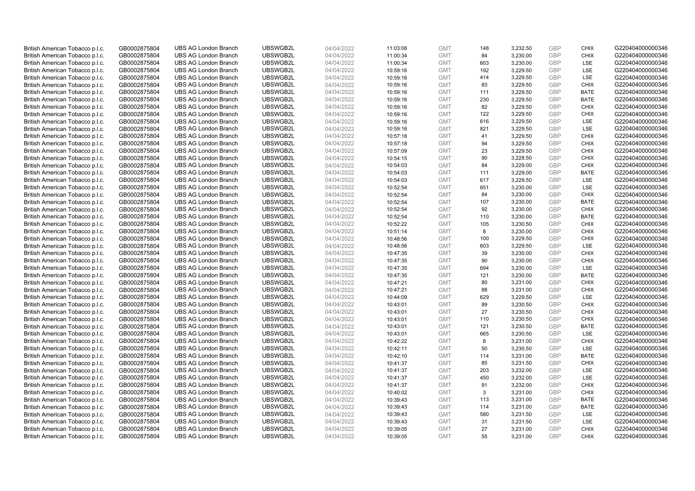| British American Tobacco p.l.c. | GB0002875804 | <b>UBS AG London Branch</b> | UBSWGB2L | 04/04/2022 | 11:03:08 | <b>GMT</b> | 148 | 3,232.50 | <b>GBP</b>               | <b>CHIX</b>        | G220404000000346 |
|---------------------------------|--------------|-----------------------------|----------|------------|----------|------------|-----|----------|--------------------------|--------------------|------------------|
| British American Tobacco p.l.c. | GB0002875804 | <b>UBS AG London Branch</b> | UBSWGB2L | 04/04/2022 | 11:00:34 | <b>GMT</b> | 84  | 3,230.00 | <b>GBP</b>               | <b>CHIX</b>        | G220404000000346 |
| British American Tobacco p.l.c. | GB0002875804 | <b>UBS AG London Branch</b> | UBSWGB2L | 04/04/2022 | 11:00:34 | <b>GMT</b> | 603 | 3,230.00 | <b>GBP</b>               | LSE                | G220404000000346 |
|                                 |              |                             | UBSWGB2L |            |          |            |     |          | <b>GBP</b>               |                    |                  |
| British American Tobacco p.l.c. | GB0002875804 | <b>UBS AG London Branch</b> |          | 04/04/2022 | 10:59:16 | <b>GMT</b> | 192 | 3,229.50 |                          | LSE                | G220404000000346 |
| British American Tobacco p.l.c. | GB0002875804 | <b>UBS AG London Branch</b> | UBSWGB2L | 04/04/2022 | 10:59:16 | <b>GMT</b> | 414 | 3,229.50 | <b>GBP</b>               | LSE                | G220404000000346 |
| British American Tobacco p.l.c. | GB0002875804 | <b>UBS AG London Branch</b> | UBSWGB2L | 04/04/2022 | 10:59:16 | <b>GMT</b> | 83  | 3,229.50 | <b>GBP</b>               | <b>CHIX</b>        | G220404000000346 |
| British American Tobacco p.l.c. | GB0002875804 | <b>UBS AG London Branch</b> | UBSWGB2L | 04/04/2022 | 10:59:16 | <b>GMT</b> | 111 | 3,229.50 | <b>GBP</b>               | <b>BATE</b>        | G220404000000346 |
| British American Tobacco p.l.c. | GB0002875804 | <b>UBS AG London Branch</b> | UBSWGB2L | 04/04/2022 | 10:59:16 | <b>GMT</b> | 230 | 3,229.50 | <b>GBP</b>               | <b>BATE</b>        | G220404000000346 |
| British American Tobacco p.l.c. | GB0002875804 | <b>UBS AG London Branch</b> | UBSWGB2L | 04/04/2022 | 10:59:16 | <b>GMT</b> | 82  | 3,229.50 | <b>GBP</b>               | <b>CHIX</b>        | G220404000000346 |
| British American Tobacco p.l.c. | GB0002875804 | <b>UBS AG London Branch</b> | UBSWGB2L | 04/04/2022 | 10:59:16 | <b>GMT</b> | 122 | 3,229.50 | <b>GBP</b>               | <b>CHIX</b>        | G220404000000346 |
| British American Tobacco p.l.c. | GB0002875804 | <b>UBS AG London Branch</b> | UBSWGB2L | 04/04/2022 | 10:59:16 | <b>GMT</b> | 616 | 3,229.50 | <b>GBP</b>               | LSE                | G220404000000346 |
| British American Tobacco p.l.c. | GB0002875804 | <b>UBS AG London Branch</b> | UBSWGB2L | 04/04/2022 | 10:59:16 | <b>GMT</b> | 821 | 3,229.50 | <b>GBP</b>               | LSE                | G220404000000346 |
| British American Tobacco p.l.c. | GB0002875804 | <b>UBS AG London Branch</b> | UBSWGB2L | 04/04/2022 | 10:57:18 | <b>GMT</b> | 41  | 3,229.50 | <b>GBP</b>               | <b>CHIX</b>        | G220404000000346 |
| British American Tobacco p.l.c. | GB0002875804 | <b>UBS AG London Branch</b> | UBSWGB2L | 04/04/2022 | 10:57:18 | <b>GMT</b> | 94  | 3,229.50 | <b>GBP</b>               | <b>CHIX</b>        | G220404000000346 |
| British American Tobacco p.l.c. | GB0002875804 | <b>UBS AG London Branch</b> | UBSWGB2L | 04/04/2022 | 10:57:09 | <b>GMT</b> | 23  | 3,229.50 | <b>GBP</b>               | <b>CHIX</b>        | G220404000000346 |
| British American Tobacco p.l.c. | GB0002875804 | <b>UBS AG London Branch</b> | UBSWGB2L | 04/04/2022 | 10:54:15 | <b>GMT</b> | 90  | 3,228.50 | <b>GBP</b>               | <b>CHIX</b>        | G220404000000346 |
| British American Tobacco p.l.c. | GB0002875804 | <b>UBS AG London Branch</b> | UBSWGB2L | 04/04/2022 | 10:54:03 | <b>GMT</b> | 84  | 3,229.00 | <b>GBP</b>               | <b>CHIX</b>        | G220404000000346 |
| British American Tobacco p.l.c. | GB0002875804 | <b>UBS AG London Branch</b> | UBSWGB2L | 04/04/2022 | 10:54:03 | <b>GMT</b> | 111 | 3,229.00 | <b>GBP</b>               | <b>BATE</b>        | G220404000000346 |
| British American Tobacco p.l.c. | GB0002875804 | <b>UBS AG London Branch</b> | UBSWGB2L | 04/04/2022 | 10:54:03 | <b>GMT</b> | 617 | 3,229.50 | <b>GBP</b>               | <b>LSE</b>         | G220404000000346 |
| British American Tobacco p.l.c. | GB0002875804 | <b>UBS AG London Branch</b> | UBSWGB2L | 04/04/2022 | 10:52:54 | <b>GMT</b> | 651 | 3,230.00 | <b>GBP</b>               | LSE                | G220404000000346 |
| British American Tobacco p.l.c. | GB0002875804 | <b>UBS AG London Branch</b> | UBSWGB2L | 04/04/2022 | 10:52:54 | <b>GMT</b> | 84  | 3,230.00 | <b>GBP</b>               | <b>CHIX</b>        | G220404000000346 |
| British American Tobacco p.l.c. | GB0002875804 | <b>UBS AG London Branch</b> | UBSWGB2L | 04/04/2022 | 10:52:54 | <b>GMT</b> | 107 | 3,230.00 | <b>GBP</b>               | <b>BATE</b>        | G220404000000346 |
| British American Tobacco p.l.c. | GB0002875804 | <b>UBS AG London Branch</b> | UBSWGB2L | 04/04/2022 | 10:52:54 | <b>GMT</b> | 92  | 3,230.00 | <b>GBP</b>               | <b>CHIX</b>        | G220404000000346 |
| British American Tobacco p.l.c. | GB0002875804 | <b>UBS AG London Branch</b> | UBSWGB2L | 04/04/2022 | 10:52:54 | <b>GMT</b> | 110 | 3,230.00 | <b>GBP</b>               | <b>BATE</b>        | G220404000000346 |
| British American Tobacco p.l.c. | GB0002875804 | <b>UBS AG London Branch</b> | UBSWGB2L | 04/04/2022 | 10:52:22 | <b>GMT</b> | 105 | 3,230.50 | <b>GBP</b>               | <b>CHIX</b>        | G220404000000346 |
| British American Tobacco p.l.c. | GB0002875804 | <b>UBS AG London Branch</b> | UBSWGB2L | 04/04/2022 | 10:51:14 | <b>GMT</b> | 8   | 3,230.00 | <b>GBP</b>               | <b>CHIX</b>        | G220404000000346 |
| British American Tobacco p.l.c. | GB0002875804 | <b>UBS AG London Branch</b> | UBSWGB2L | 04/04/2022 | 10:48:56 | <b>GMT</b> | 100 | 3,229.50 | <b>GBP</b>               | <b>CHIX</b>        | G220404000000346 |
| British American Tobacco p.l.c. | GB0002875804 | <b>UBS AG London Branch</b> | UBSWGB2L | 04/04/2022 | 10:48:56 | <b>GMT</b> | 603 | 3,229.50 | <b>GBP</b>               | LSE                | G220404000000346 |
| British American Tobacco p.l.c. | GB0002875804 | <b>UBS AG London Branch</b> | UBSWGB2L | 04/04/2022 | 10:47:35 | <b>GMT</b> | 39  | 3,230.00 | <b>GBP</b>               | <b>CHIX</b>        | G220404000000346 |
| British American Tobacco p.l.c. | GB0002875804 | <b>UBS AG London Branch</b> | UBSWGB2L | 04/04/2022 | 10:47:35 | <b>GMT</b> | 90  | 3,230.00 | <b>GBP</b>               | <b>CHIX</b>        | G220404000000346 |
| British American Tobacco p.l.c. | GB0002875804 | <b>UBS AG London Branch</b> | UBSWGB2L | 04/04/2022 | 10:47:35 | <b>GMT</b> | 694 | 3,230.00 | <b>GBP</b>               | LSE                | G220404000000346 |
| British American Tobacco p.l.c. | GB0002875804 | <b>UBS AG London Branch</b> | UBSWGB2L | 04/04/2022 | 10:47:35 | <b>GMT</b> | 121 | 3,230.00 | <b>GBP</b>               | BATE               | G220404000000346 |
| British American Tobacco p.l.c. | GB0002875804 | <b>UBS AG London Branch</b> | UBSWGB2L | 04/04/2022 | 10:47:21 | <b>GMT</b> | 80  | 3,231.00 | <b>GBP</b>               | <b>CHIX</b>        | G220404000000346 |
| British American Tobacco p.l.c. | GB0002875804 | <b>UBS AG London Branch</b> | UBSWGB2L | 04/04/2022 | 10:47:21 | <b>GMT</b> | 88  | 3,231.00 | <b>GBP</b>               | <b>CHIX</b>        | G220404000000346 |
| British American Tobacco p.l.c. | GB0002875804 | <b>UBS AG London Branch</b> | UBSWGB2L | 04/04/2022 | 10:44:09 | <b>GMT</b> | 629 | 3,229.50 | <b>GBP</b>               | LSE                | G220404000000346 |
| British American Tobacco p.l.c. | GB0002875804 | <b>UBS AG London Branch</b> | UBSWGB2L | 04/04/2022 | 10:43:01 | <b>GMT</b> | 89  | 3,230.50 | <b>GBP</b>               | <b>CHIX</b>        | G220404000000346 |
| British American Tobacco p.l.c. | GB0002875804 | <b>UBS AG London Branch</b> | UBSWGB2L | 04/04/2022 | 10:43:01 | <b>GMT</b> | 27  | 3,230.50 | <b>GBP</b>               | <b>CHIX</b>        | G220404000000346 |
| British American Tobacco p.l.c. | GB0002875804 | <b>UBS AG London Branch</b> | UBSWGB2L | 04/04/2022 |          | <b>GMT</b> | 110 | 3,230.50 | <b>GBP</b>               | <b>CHIX</b>        | G220404000000346 |
|                                 |              | <b>UBS AG London Branch</b> | UBSWGB2L |            | 10:43:01 | <b>GMT</b> | 121 |          | <b>GBP</b>               | <b>BATE</b>        | G220404000000346 |
| British American Tobacco p.l.c. | GB0002875804 |                             |          | 04/04/2022 | 10:43:01 |            |     | 3,230.50 |                          |                    |                  |
| British American Tobacco p.l.c. | GB0002875804 | <b>UBS AG London Branch</b> | UBSWGB2L | 04/04/2022 | 10:43:01 | <b>GMT</b> | 665 | 3,230.50 | <b>GBP</b><br><b>GBP</b> | LSE<br><b>CHIX</b> | G220404000000346 |
| British American Tobacco p.l.c. | GB0002875804 | <b>UBS AG London Branch</b> | UBSWGB2L | 04/04/2022 | 10:42:22 | <b>GMT</b> | 8   | 3,231.00 |                          |                    | G220404000000346 |
| British American Tobacco p.l.c. | GB0002875804 | <b>UBS AG London Branch</b> | UBSWGB2L | 04/04/2022 | 10:42:11 | <b>GMT</b> | 50  | 3,230.50 | <b>GBP</b>               | LSE                | G220404000000346 |
| British American Tobacco p.l.c. | GB0002875804 | <b>UBS AG London Branch</b> | UBSWGB2L | 04/04/2022 | 10:42:10 | <b>GMT</b> | 114 | 3,231.00 | <b>GBP</b>               | <b>BATE</b>        | G220404000000346 |
| British American Tobacco p.l.c. | GB0002875804 | <b>UBS AG London Branch</b> | UBSWGB2L | 04/04/2022 | 10:41:37 | <b>GMT</b> | 85  | 3,231.50 | <b>GBP</b>               | <b>CHIX</b>        | G220404000000346 |
| British American Tobacco p.l.c. | GB0002875804 | <b>UBS AG London Branch</b> | UBSWGB2L | 04/04/2022 | 10:41:37 | <b>GMT</b> | 203 | 3,232.00 | <b>GBP</b>               | <b>LSE</b>         | G220404000000346 |
| British American Tobacco p.l.c. | GB0002875804 | <b>UBS AG London Branch</b> | UBSWGB2L | 04/04/2022 | 10:41:37 | <b>GMT</b> | 450 | 3,232.00 | <b>GBP</b>               | LSE                | G220404000000346 |
| British American Tobacco p.l.c. | GB0002875804 | <b>UBS AG London Branch</b> | UBSWGB2L | 04/04/2022 | 10:41:37 | <b>GMT</b> | 91  | 3,232.00 | <b>GBP</b>               | <b>CHIX</b>        | G220404000000346 |
| British American Tobacco p.l.c. | GB0002875804 | <b>UBS AG London Branch</b> | UBSWGB2L | 04/04/2022 | 10:40:02 | <b>GMT</b> | 3   | 3,231.00 | <b>GBP</b>               | <b>CHIX</b>        | G220404000000346 |
| British American Tobacco p.l.c. | GB0002875804 | <b>UBS AG London Branch</b> | UBSWGB2L | 04/04/2022 | 10:39:43 | <b>GMT</b> | 113 | 3,231.00 | <b>GBP</b>               | <b>BATE</b>        | G220404000000346 |
| British American Tobacco p.l.c. | GB0002875804 | <b>UBS AG London Branch</b> | UBSWGB2L | 04/04/2022 | 10:39:43 | <b>GMT</b> | 114 | 3,231.00 | <b>GBP</b>               | <b>BATE</b>        | G220404000000346 |
| British American Tobacco p.l.c. | GB0002875804 | <b>UBS AG London Branch</b> | UBSWGB2L | 04/04/2022 | 10:39:43 | <b>GMT</b> | 580 | 3,231.50 | <b>GBP</b>               | LSE                | G220404000000346 |
| British American Tobacco p.l.c. | GB0002875804 | <b>UBS AG London Branch</b> | UBSWGB2L | 04/04/2022 | 10:39:43 | <b>GMT</b> | 31  | 3,231.50 | <b>GBP</b>               | LSE                | G220404000000346 |
| British American Tobacco p.l.c. | GB0002875804 | <b>UBS AG London Branch</b> | UBSWGB2L | 04/04/2022 | 10:39:05 | <b>GMT</b> | 27  | 3,231.00 | <b>GBP</b>               | <b>CHIX</b>        | G220404000000346 |
| British American Tobacco p.l.c. | GB0002875804 | <b>UBS AG London Branch</b> | UBSWGB2L | 04/04/2022 | 10:39:05 | <b>GMT</b> | 55  | 3.231.00 | GBP                      | <b>CHIX</b>        | G220404000000346 |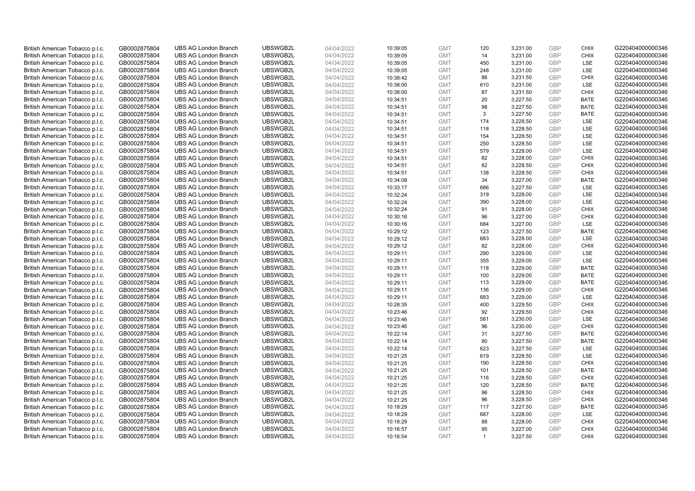| British American Tobacco p.l.c.                                    | GB0002875804                 | <b>UBS AG London Branch</b>                                | UBSWGB2L             | 04/04/2022               | 10:39:05             | <b>GMT</b>               | 120          | 3,231.00             | <b>GBP</b>               | <b>CHIX</b>        | G220404000000346                     |
|--------------------------------------------------------------------|------------------------------|------------------------------------------------------------|----------------------|--------------------------|----------------------|--------------------------|--------------|----------------------|--------------------------|--------------------|--------------------------------------|
| British American Tobacco p.l.c.                                    | GB0002875804                 | <b>UBS AG London Branch</b>                                | UBSWGB2L             | 04/04/2022               | 10:39:05             | <b>GMT</b>               | 14           | 3,231.00             | <b>GBP</b>               | <b>CHIX</b>        | G220404000000346                     |
| British American Tobacco p.l.c.                                    | GB0002875804                 | <b>UBS AG London Branch</b>                                | UBSWGB2L             | 04/04/2022               | 10:39:05             | <b>GMT</b>               | 450          | 3,231.00             | <b>GBP</b>               | LSE                | G220404000000346                     |
| British American Tobacco p.l.c.                                    | GB0002875804                 | <b>UBS AG London Branch</b>                                | UBSWGB2L             | 04/04/2022               | 10:39:05             | <b>GMT</b>               | 248          | 3,231.00             | <b>GBP</b>               | <b>LSE</b>         | G220404000000346                     |
| British American Tobacco p.l.c.                                    | GB0002875804                 | <b>UBS AG London Branch</b>                                | UBSWGB2L             | 04/04/2022               | 10:38:42             | <b>GMT</b>               | 86           | 3,231.50             | <b>GBP</b>               | <b>CHIX</b>        | G220404000000346                     |
| British American Tobacco p.l.c.                                    | GB0002875804                 | <b>UBS AG London Branch</b>                                | UBSWGB2L             | 04/04/2022               | 10:38:00             | <b>GMT</b>               | 610          | 3,231.00             | <b>GBP</b>               | <b>LSE</b>         | G220404000000346                     |
| British American Tobacco p.l.c.                                    | GB0002875804                 | <b>UBS AG London Branch</b>                                | UBSWGB2L             | 04/04/2022               | 10:38:00             | <b>GMT</b>               | 87           | 3,231.50             | <b>GBP</b>               | <b>CHIX</b>        | G220404000000346                     |
| British American Tobacco p.l.c.                                    | GB0002875804                 | <b>UBS AG London Branch</b>                                | UBSWGB2L             | 04/04/2022               | 10:34:51             | <b>GMT</b>               | 20           | 3,227.50             | <b>GBP</b>               | <b>BATE</b>        | G220404000000346                     |
| British American Tobacco p.l.c.                                    | GB0002875804                 | <b>UBS AG London Branch</b>                                | UBSWGB2L             | 04/04/2022               | 10:34:51             | <b>GMT</b>               | 98           | 3,227.50             | <b>GBP</b>               | <b>BATE</b>        | G220404000000346                     |
| British American Tobacco p.l.c.                                    | GB0002875804                 | <b>UBS AG London Branch</b>                                | UBSWGB2L             | 04/04/2022               | 10:34:51             | <b>GMT</b>               | 3            | 3,227.50             | <b>GBP</b>               | <b>BATE</b>        | G220404000000346                     |
| British American Tobacco p.l.c.                                    | GB0002875804                 | <b>UBS AG London Branch</b>                                | UBSWGB2L             | 04/04/2022               | 10:34:51             | <b>GMT</b>               | 174          | 3,228.50             | <b>GBP</b>               | LSE                | G220404000000346                     |
| British American Tobacco p.l.c.                                    | GB0002875804                 | <b>UBS AG London Branch</b>                                | UBSWGB2L             | 04/04/2022               | 10:34:51             | <b>GMT</b>               | 118          | 3,228.50             | <b>GBP</b>               | LSE                | G220404000000346                     |
| British American Tobacco p.l.c.                                    | GB0002875804                 | <b>UBS AG London Branch</b>                                | UBSWGB2L             | 04/04/2022               | 10:34:51             | <b>GMT</b>               | 154          | 3,228.50             | <b>GBP</b>               | LSE                | G220404000000346                     |
| British American Tobacco p.l.c.                                    | GB0002875804                 | <b>UBS AG London Branch</b>                                | UBSWGB2L             | 04/04/2022               | 10:34:51             | <b>GMT</b>               | 250          | 3,228.50             | <b>GBP</b>               | LSE                | G220404000000346                     |
| British American Tobacco p.l.c.                                    | GB0002875804                 | <b>UBS AG London Branch</b>                                | UBSWGB2L             | 04/04/2022               | 10:34:51             | <b>GMT</b>               | 579          | 3,228.00             | <b>GBP</b>               | LSE                | G220404000000346                     |
| British American Tobacco p.l.c.                                    | GB0002875804                 | <b>UBS AG London Branch</b>                                | UBSWGB2L             | 04/04/2022               | 10:34:51             | <b>GMT</b>               | 82           | 3,228.00             | <b>GBP</b>               | <b>CHIX</b>        | G220404000000346                     |
| British American Tobacco p.l.c.                                    | GB0002875804                 | <b>UBS AG London Branch</b>                                | UBSWGB2L             | 04/04/2022               | 10:34:51             | <b>GMT</b>               | 82           | 3,228.50             | <b>GBP</b>               | <b>CHIX</b>        | G220404000000346                     |
| British American Tobacco p.l.c.                                    | GB0002875804                 | <b>UBS AG London Branch</b>                                | UBSWGB2L             | 04/04/2022               | 10:34:51             | <b>GMT</b>               | 138          | 3,228.50             | <b>GBP</b>               | <b>CHIX</b>        | G220404000000346                     |
| British American Tobacco p.l.c.                                    | GB0002875804                 | <b>UBS AG London Branch</b>                                | UBSWGB2L             | 04/04/2022               | 10:34:08             | <b>GMT</b>               | 34           | 3,227.00             | <b>GBP</b>               | <b>BATE</b>        | G220404000000346                     |
| British American Tobacco p.l.c.                                    | GB0002875804                 | <b>UBS AG London Branch</b>                                | UBSWGB2L             | 04/04/2022               | 10:33:17             | <b>GMT</b>               | 686          | 3,227.50             | <b>GBP</b>               | LSE                | G220404000000346                     |
| British American Tobacco p.l.c.                                    | GB0002875804                 | <b>UBS AG London Branch</b>                                | UBSWGB2L             | 04/04/2022               | 10:32:24             | <b>GMT</b>               | 319          | 3,228.00             | <b>GBP</b>               | LSE                | G220404000000346                     |
| British American Tobacco p.l.c.                                    | GB0002875804                 | <b>UBS AG London Branch</b>                                | UBSWGB2L             | 04/04/2022               | 10:32:24             | <b>GMT</b>               | 390          | 3,228.00             | <b>GBP</b>               | LSE                | G220404000000346                     |
| British American Tobacco p.l.c.                                    | GB0002875804                 | <b>UBS AG London Branch</b>                                | UBSWGB2L             | 04/04/2022               | 10:32:24             | <b>GMT</b>               | 91           | 3,228.00             | <b>GBP</b>               | <b>CHIX</b>        | G220404000000346                     |
| British American Tobacco p.l.c.                                    | GB0002875804                 | <b>UBS AG London Branch</b>                                | UBSWGB2L             | 04/04/2022               | 10:30:16             | <b>GMT</b>               | 96           | 3,227.00             | <b>GBP</b>               | <b>CHIX</b>        | G220404000000346                     |
| British American Tobacco p.l.c.                                    | GB0002875804                 | <b>UBS AG London Branch</b>                                | UBSWGB2L             | 04/04/2022               | 10:30:16             | <b>GMT</b>               | 684          | 3,227.00             | <b>GBP</b>               | LSE                | G220404000000346                     |
| British American Tobacco p.l.c.                                    | GB0002875804                 | <b>UBS AG London Branch</b>                                | UBSWGB2L             | 04/04/2022               | 10:29:12             | <b>GMT</b>               | 123          | 3,227.50             | <b>GBP</b>               | <b>BATE</b>        | G220404000000346                     |
| British American Tobacco p.l.c.                                    | GB0002875804                 | <b>UBS AG London Branch</b>                                | UBSWGB2L             | 04/04/2022               | 10:29:12             | <b>GMT</b>               | 683          | 3,228.00             | <b>GBP</b>               | LSE                | G220404000000346                     |
| British American Tobacco p.l.c.                                    | GB0002875804                 | <b>UBS AG London Branch</b>                                | UBSWGB2L             | 04/04/2022               | 10:29:12             | <b>GMT</b>               | 82           | 3,228.00             | <b>GBP</b>               | <b>CHIX</b>        | G220404000000346                     |
| British American Tobacco p.l.c.                                    | GB0002875804                 | <b>UBS AG London Branch</b>                                | UBSWGB2L             | 04/04/2022               | 10:29:11             | <b>GMT</b>               | 290          | 3,229.00             | <b>GBP</b>               | LSE                | G220404000000346                     |
| British American Tobacco p.l.c.                                    | GB0002875804                 | <b>UBS AG London Branch</b>                                | UBSWGB2L             | 04/04/2022               | 10:29:11             | <b>GMT</b>               | 355          | 3,229.00             | <b>GBP</b>               | LSE                | G220404000000346                     |
| British American Tobacco p.l.c.                                    | GB0002875804                 | <b>UBS AG London Branch</b>                                | UBSWGB2L             | 04/04/2022               | 10:29:11             | <b>GMT</b>               | 118          | 3,229.00             | <b>GBP</b>               | <b>BATE</b>        | G220404000000346                     |
| British American Tobacco p.l.c.                                    | GB0002875804                 | <b>UBS AG London Branch</b>                                | UBSWGB2L             | 04/04/2022               | 10:29:11             | <b>GMT</b>               | 100          | 3,229.00             | <b>GBP</b>               | <b>BATE</b>        | G220404000000346                     |
| British American Tobacco p.l.c.                                    | GB0002875804                 | <b>UBS AG London Branch</b>                                | UBSWGB2L             | 04/04/2022               | 10:29:11             | <b>GMT</b>               | 113          | 3,229.00             | <b>GBP</b>               | <b>BATE</b>        | G220404000000346                     |
| British American Tobacco p.l.c.                                    | GB0002875804                 | <b>UBS AG London Branch</b>                                | UBSWGB2L             | 04/04/2022               | 10:29:11             | <b>GMT</b>               | 136          | 3,229.00             | <b>GBP</b>               | <b>CHIX</b>        | G220404000000346                     |
| British American Tobacco p.l.c.                                    | GB0002875804                 | <b>UBS AG London Branch</b>                                | UBSWGB2L             | 04/04/2022               | 10:29:11             | <b>GMT</b>               | 683          | 3,229.00             | <b>GBP</b>               | LSE                | G220404000000346                     |
| British American Tobacco p.l.c.                                    | GB0002875804                 | <b>UBS AG London Branch</b>                                | UBSWGB2L             | 04/04/2022               | 10:28:35             | <b>GMT</b>               | 400          | 3,229.50             | <b>GBP</b>               | <b>CHIX</b>        | G220404000000346                     |
| British American Tobacco p.l.c.                                    | GB0002875804                 | <b>UBS AG London Branch</b>                                | UBSWGB2L             | 04/04/2022               | 10:23:46             | <b>GMT</b>               | 92           | 3.229.50             | <b>GBP</b>               | <b>CHIX</b>        | G220404000000346                     |
| British American Tobacco p.l.c.                                    | GB0002875804                 | <b>UBS AG London Branch</b>                                | UBSWGB2L             | 04/04/2022               | 10:23:46             | <b>GMT</b>               | 581          | 3,230.00             | <b>GBP</b>               | LSE                | G220404000000346                     |
| British American Tobacco p.l.c.                                    | GB0002875804                 | <b>UBS AG London Branch</b>                                | UBSWGB2L             | 04/04/2022               | 10:23:46             | <b>GMT</b>               | 96           | 3,230.00             | <b>GBP</b>               | <b>CHIX</b>        | G220404000000346                     |
| British American Tobacco p.l.c.                                    | GB0002875804                 | <b>UBS AG London Branch</b>                                | UBSWGB2L             | 04/04/2022               | 10:22:14             | <b>GMT</b>               | 31<br>90     | 3,227.50             | <b>GBP</b><br><b>GBP</b> | <b>BATE</b>        | G220404000000346                     |
| British American Tobacco p.l.c.                                    | GB0002875804                 | <b>UBS AG London Branch</b>                                | UBSWGB2L<br>UBSWGB2L | 04/04/2022               | 10:22:14             | <b>GMT</b>               |              | 3,227.50             | <b>GBP</b>               | <b>BATE</b><br>LSE | G220404000000346<br>G220404000000346 |
| British American Tobacco p.l.c.                                    | GB0002875804                 | <b>UBS AG London Branch</b><br><b>UBS AG London Branch</b> | UBSWGB2L             | 04/04/2022               | 10:22:14             | <b>GMT</b><br><b>GMT</b> | 623<br>619   | 3,227.50             | <b>GBP</b>               |                    |                                      |
| British American Tobacco p.l.c.<br>British American Tobacco p.l.c. | GB0002875804<br>GB0002875804 | <b>UBS AG London Branch</b>                                | UBSWGB2L             | 04/04/2022<br>04/04/2022 | 10:21:25<br>10:21:25 | <b>GMT</b>               | 190          | 3,228.50<br>3,228.50 | <b>GBP</b>               | LSE<br><b>CHIX</b> | G220404000000346<br>G220404000000346 |
| British American Tobacco p.l.c.                                    | GB0002875804                 | UBS AG London Branch                                       | UBSWGB2L             | 04/04/2022               | 10:21:25             | <b>GMT</b>               | 101          | 3,228.50             | <b>GBP</b>               | <b>BATE</b>        | G220404000000346                     |
| British American Tobacco p.l.c.                                    | GB0002875804                 | <b>UBS AG London Branch</b>                                | UBSWGB2L             | 04/04/2022               | 10:21:25             | <b>GMT</b>               | 116          | 3,228.50             | <b>GBP</b>               | <b>CHIX</b>        | G220404000000346                     |
| British American Tobacco p.l.c.                                    | GB0002875804                 | <b>UBS AG London Branch</b>                                | UBSWGB2L             | 04/04/2022               | 10:21:25             | <b>GMT</b>               | 120          | 3,228.50             | <b>GBP</b>               | <b>BATE</b>        | G220404000000346                     |
| British American Tobacco p.l.c.                                    | GB0002875804                 | <b>UBS AG London Branch</b>                                | UBSWGB2L             | 04/04/2022               | 10:21:25             | <b>GMT</b>               | 96           | 3,228.50             | <b>GBP</b>               | <b>CHIX</b>        | G220404000000346                     |
| British American Tobacco p.l.c.                                    | GB0002875804                 | <b>UBS AG London Branch</b>                                | UBSWGB2L             | 04/04/2022               | 10:21:25             | <b>GMT</b>               | 96           | 3,228.50             | <b>GBP</b>               | <b>CHIX</b>        | G220404000000346                     |
| British American Tobacco p.l.c.                                    | GB0002875804                 | <b>UBS AG London Branch</b>                                | UBSWGB2L             | 04/04/2022               | 10:18:29             | <b>GMT</b>               | 117          | 3,227.50             | <b>GBP</b>               | <b>BATE</b>        | G220404000000346                     |
| British American Tobacco p.l.c.                                    | GB0002875804                 | <b>UBS AG London Branch</b>                                | UBSWGB2L             | 04/04/2022               | 10:18:29             | <b>GMT</b>               | 687          | 3,228.00             | <b>GBP</b>               | LSE                | G220404000000346                     |
| British American Tobacco p.l.c.                                    | GB0002875804                 | <b>UBS AG London Branch</b>                                | UBSWGB2L             | 04/04/2022               | 10:18:29             | <b>GMT</b>               | 88           | 3,228.00             | <b>GBP</b>               | <b>CHIX</b>        | G220404000000346                     |
| British American Tobacco p.l.c.                                    | GB0002875804                 | <b>UBS AG London Branch</b>                                | UBSWGB2L             | 04/04/2022               | 10:16:57             | <b>GMT</b>               | 95           | 3,227.00             | <b>GBP</b>               | <b>CHIX</b>        | G220404000000346                     |
| British American Tobacco p.l.c.                                    | GB0002875804                 | <b>UBS AG London Branch</b>                                | UBSWGB2L             | 04/04/2022               | 10:16:54             | <b>GMT</b>               | $\mathbf{1}$ | 3.227.50             | GBP                      | <b>CHIX</b>        | G220404000000346                     |
|                                                                    |                              |                                                            |                      |                          |                      |                          |              |                      |                          |                    |                                      |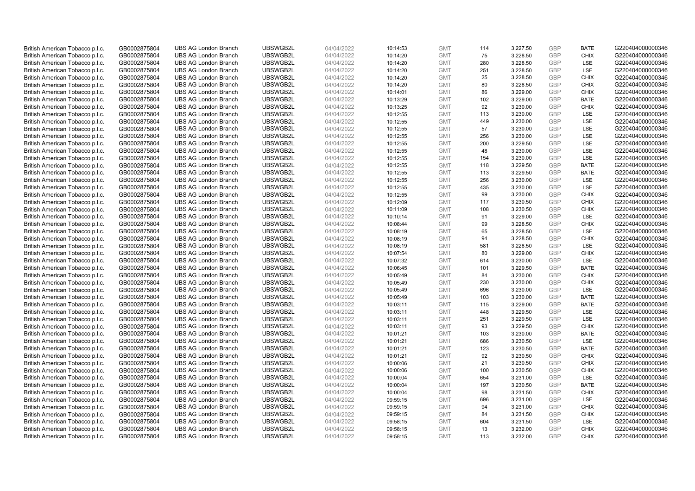| British American Tobacco p.l.c. | GB0002875804 | <b>UBS AG London Branch</b> | UBSWGB2L | 04/04/2022 | 10:14:53 | <b>GMT</b> | 114 | 3,227.50 | <b>GBP</b>               | <b>BATE</b>        | G220404000000346 |
|---------------------------------|--------------|-----------------------------|----------|------------|----------|------------|-----|----------|--------------------------|--------------------|------------------|
|                                 | GB0002875804 | <b>UBS AG London Branch</b> | UBSWGB2L | 04/04/2022 |          | <b>GMT</b> | 75  | 3,228.50 | <b>GBP</b>               | <b>CHIX</b>        | G220404000000346 |
| British American Tobacco p.l.c. |              |                             | UBSWGB2L |            | 10:14:20 |            |     |          |                          | LSE                | G220404000000346 |
| British American Tobacco p.l.c. | GB0002875804 | <b>UBS AG London Branch</b> |          | 04/04/2022 | 10:14:20 | <b>GMT</b> | 280 | 3,228.50 | <b>GBP</b>               |                    |                  |
| British American Tobacco p.l.c. | GB0002875804 | <b>UBS AG London Branch</b> | UBSWGB2L | 04/04/2022 | 10:14:20 | <b>GMT</b> | 251 | 3,228.50 | <b>GBP</b>               | LSE                | G220404000000346 |
| British American Tobacco p.l.c. | GB0002875804 | <b>UBS AG London Branch</b> | UBSWGB2L | 04/04/2022 | 10:14:20 | <b>GMT</b> | 25  | 3,228.50 | <b>GBP</b>               | <b>CHIX</b>        | G220404000000346 |
| British American Tobacco p.l.c. | GB0002875804 | <b>UBS AG London Branch</b> | UBSWGB2L | 04/04/2022 | 10:14:20 | <b>GMT</b> | 80  | 3,228.50 | <b>GBP</b>               | <b>CHIX</b>        | G220404000000346 |
| British American Tobacco p.l.c. | GB0002875804 | <b>UBS AG London Branch</b> | UBSWGB2L | 04/04/2022 | 10:14:01 | <b>GMT</b> | 86  | 3,229.00 | <b>GBP</b>               | <b>CHIX</b>        | G220404000000346 |
| British American Tobacco p.l.c. | GB0002875804 | <b>UBS AG London Branch</b> | UBSWGB2L | 04/04/2022 | 10:13:29 | <b>GMT</b> | 102 | 3,229.00 | <b>GBP</b>               | <b>BATE</b>        | G220404000000346 |
| British American Tobacco p.l.c. | GB0002875804 | <b>UBS AG London Branch</b> | UBSWGB2L | 04/04/2022 | 10:13:25 | <b>GMT</b> | 92  | 3,230.00 | <b>GBP</b>               | <b>CHIX</b>        | G220404000000346 |
| British American Tobacco p.l.c. | GB0002875804 | <b>UBS AG London Branch</b> | UBSWGB2L | 04/04/2022 | 10:12:55 | <b>GMT</b> | 113 | 3,230.00 | <b>GBP</b>               | LSE                | G220404000000346 |
| British American Tobacco p.l.c. | GB0002875804 | <b>UBS AG London Branch</b> | UBSWGB2L | 04/04/2022 | 10:12:55 | <b>GMT</b> | 449 | 3,230.00 | <b>GBP</b>               | <b>LSE</b>         | G220404000000346 |
| British American Tobacco p.l.c. | GB0002875804 | <b>UBS AG London Branch</b> | UBSWGB2L | 04/04/2022 | 10:12:55 | <b>GMT</b> | 57  | 3,230.00 | <b>GBP</b>               | LSE                | G220404000000346 |
| British American Tobacco p.l.c. | GB0002875804 | <b>UBS AG London Branch</b> | UBSWGB2L | 04/04/2022 | 10:12:55 | <b>GMT</b> | 256 | 3,230.00 | <b>GBP</b>               | <b>LSE</b>         | G220404000000346 |
| British American Tobacco p.l.c. | GB0002875804 | <b>UBS AG London Branch</b> | UBSWGB2L | 04/04/2022 | 10:12:55 | <b>GMT</b> | 200 | 3,229.50 | <b>GBP</b>               | LSE                | G220404000000346 |
| British American Tobacco p.l.c. | GB0002875804 | <b>UBS AG London Branch</b> | UBSWGB2L | 04/04/2022 | 10:12:55 | <b>GMT</b> | 48  | 3,230.00 | <b>GBP</b>               | <b>LSE</b>         | G220404000000346 |
| British American Tobacco p.l.c. | GB0002875804 | <b>UBS AG London Branch</b> | UBSWGB2L | 04/04/2022 | 10:12:55 | <b>GMT</b> | 154 | 3,230.00 | <b>GBP</b>               | LSE                | G220404000000346 |
| British American Tobacco p.l.c. | GB0002875804 | <b>UBS AG London Branch</b> | UBSWGB2L | 04/04/2022 | 10:12:55 | <b>GMT</b> | 118 | 3,229.50 | <b>GBP</b>               | <b>BATE</b>        | G220404000000346 |
| British American Tobacco p.l.c. | GB0002875804 | <b>UBS AG London Branch</b> | UBSWGB2L | 04/04/2022 | 10:12:55 | <b>GMT</b> | 113 | 3,229.50 | <b>GBP</b>               | <b>BATE</b>        | G220404000000346 |
| British American Tobacco p.l.c. | GB0002875804 | <b>UBS AG London Branch</b> | UBSWGB2L | 04/04/2022 | 10:12:55 | <b>GMT</b> | 256 | 3,230.00 | <b>GBP</b>               | <b>LSE</b>         | G220404000000346 |
| British American Tobacco p.l.c. | GB0002875804 | <b>UBS AG London Branch</b> | UBSWGB2L | 04/04/2022 | 10:12:55 | <b>GMT</b> | 435 | 3,230.00 | <b>GBP</b>               | LSE                | G220404000000346 |
| British American Tobacco p.l.c. | GB0002875804 | <b>UBS AG London Branch</b> | UBSWGB2L | 04/04/2022 | 10:12:55 | <b>GMT</b> | 99  | 3,230.00 | <b>GBP</b>               | <b>CHIX</b>        | G220404000000346 |
| British American Tobacco p.l.c. | GB0002875804 | <b>UBS AG London Branch</b> | UBSWGB2L | 04/04/2022 | 10:12:09 | <b>GMT</b> | 117 | 3,230.50 | <b>GBP</b>               | <b>CHIX</b>        | G220404000000346 |
| British American Tobacco p.l.c. | GB0002875804 | <b>UBS AG London Branch</b> | UBSWGB2L | 04/04/2022 | 10:11:09 | <b>GMT</b> | 108 | 3,230.50 | <b>GBP</b>               | <b>CHIX</b>        | G220404000000346 |
| British American Tobacco p.l.c. | GB0002875804 | <b>UBS AG London Branch</b> | UBSWGB2L | 04/04/2022 | 10:10:14 | <b>GMT</b> | 91  | 3,229.00 | <b>GBP</b>               | <b>LSE</b>         | G220404000000346 |
| British American Tobacco p.l.c. | GB0002875804 | <b>UBS AG London Branch</b> | UBSWGB2L | 04/04/2022 | 10:08:44 | <b>GMT</b> | 99  | 3,228.50 | <b>GBP</b>               | <b>CHIX</b>        | G220404000000346 |
| British American Tobacco p.l.c. | GB0002875804 | <b>UBS AG London Branch</b> | UBSWGB2L | 04/04/2022 | 10:08:19 | <b>GMT</b> | 65  | 3,228.50 | <b>GBP</b>               | LSE                | G220404000000346 |
| British American Tobacco p.l.c. | GB0002875804 | <b>UBS AG London Branch</b> | UBSWGB2L | 04/04/2022 | 10:08:19 | <b>GMT</b> | 94  | 3,228.50 | <b>GBP</b>               | <b>CHIX</b>        | G220404000000346 |
| British American Tobacco p.l.c. | GB0002875804 | <b>UBS AG London Branch</b> | UBSWGB2L | 04/04/2022 | 10:08:19 | <b>GMT</b> | 581 | 3,228.50 | <b>GBP</b>               | <b>LSE</b>         | G220404000000346 |
| British American Tobacco p.l.c. | GB0002875804 | <b>UBS AG London Branch</b> | UBSWGB2L | 04/04/2022 | 10:07:54 | <b>GMT</b> | 80  | 3,229.00 | <b>GBP</b>               | <b>CHIX</b>        | G220404000000346 |
| British American Tobacco p.l.c. | GB0002875804 | <b>UBS AG London Branch</b> | UBSWGB2L | 04/04/2022 | 10:07:32 | <b>GMT</b> | 614 | 3,230.00 | <b>GBP</b>               | LSE                | G220404000000346 |
| British American Tobacco p.l.c. | GB0002875804 | <b>UBS AG London Branch</b> | UBSWGB2L | 04/04/2022 | 10:06:45 | <b>GMT</b> | 101 | 3,229.50 | <b>GBP</b>               | <b>BATE</b>        | G220404000000346 |
| British American Tobacco p.l.c. | GB0002875804 | <b>UBS AG London Branch</b> | UBSWGB2L | 04/04/2022 | 10:05:49 | <b>GMT</b> | 84  | 3,230.00 | <b>GBP</b>               | <b>CHIX</b>        | G220404000000346 |
| British American Tobacco p.l.c. | GB0002875804 | <b>UBS AG London Branch</b> | UBSWGB2L | 04/04/2022 | 10:05:49 | <b>GMT</b> | 230 | 3,230.00 | <b>GBP</b>               | <b>CHIX</b>        | G220404000000346 |
| British American Tobacco p.l.c. | GB0002875804 | <b>UBS AG London Branch</b> | UBSWGB2L | 04/04/2022 | 10:05:49 | <b>GMT</b> | 696 | 3,230.00 | <b>GBP</b>               | LSE                | G220404000000346 |
| British American Tobacco p.l.c. | GB0002875804 | <b>UBS AG London Branch</b> | UBSWGB2L | 04/04/2022 | 10:05:49 | <b>GMT</b> | 103 | 3,230.00 | <b>GBP</b>               | <b>BATE</b>        | G220404000000346 |
| British American Tobacco p.l.c. | GB0002875804 | <b>UBS AG London Branch</b> | UBSWGB2L | 04/04/2022 | 10:03:11 | <b>GMT</b> | 115 | 3,229.00 | <b>GBP</b>               | <b>BATE</b>        | G220404000000346 |
| British American Tobacco p.l.c. | GB0002875804 | <b>UBS AG London Branch</b> | UBSWGB2L | 04/04/2022 | 10:03:11 | <b>GMT</b> | 448 | 3,229.50 | <b>GBP</b>               | <b>LSE</b>         | G220404000000346 |
| British American Tobacco p.l.c. | GB0002875804 | <b>UBS AG London Branch</b> | UBSWGB2L | 04/04/2022 |          | <b>GMT</b> | 251 | 3,229.50 | <b>GBP</b>               | LSE                | G220404000000346 |
|                                 |              | <b>UBS AG London Branch</b> | UBSWGB2L |            | 10:03:11 | <b>GMT</b> | 93  |          | <b>GBP</b>               | <b>CHIX</b>        | G220404000000346 |
| British American Tobacco p.l.c. | GB0002875804 |                             |          | 04/04/2022 | 10:03:11 |            |     | 3,229.50 |                          |                    |                  |
| British American Tobacco p.l.c. | GB0002875804 | <b>UBS AG London Branch</b> | UBSWGB2L | 04/04/2022 | 10:01:21 | <b>GMT</b> | 103 | 3,230.00 | <b>GBP</b><br><b>GBP</b> | <b>BATE</b><br>LSE | G220404000000346 |
| British American Tobacco p.l.c. | GB0002875804 | <b>UBS AG London Branch</b> | UBSWGB2L | 04/04/2022 | 10:01:21 | <b>GMT</b> | 686 | 3,230.50 |                          |                    | G220404000000346 |
| British American Tobacco p.l.c. | GB0002875804 | <b>UBS AG London Branch</b> | UBSWGB2L | 04/04/2022 | 10:01:21 | <b>GMT</b> | 123 | 3,230.50 | <b>GBP</b>               | <b>BATE</b>        | G220404000000346 |
| British American Tobacco p.l.c. | GB0002875804 | <b>UBS AG London Branch</b> | UBSWGB2L | 04/04/2022 | 10:01:21 | <b>GMT</b> | 92  | 3,230.50 | <b>GBP</b>               | <b>CHIX</b>        | G220404000000346 |
| British American Tobacco p.l.c. | GB0002875804 | <b>UBS AG London Branch</b> | UBSWGB2L | 04/04/2022 | 10:00:06 | <b>GMT</b> | 21  | 3,230.50 | <b>GBP</b>               | <b>CHIX</b>        | G220404000000346 |
| British American Tobacco p.l.c. | GB0002875804 | <b>UBS AG London Branch</b> | UBSWGB2L | 04/04/2022 | 10:00:06 | <b>GMT</b> | 100 | 3,230.50 | <b>GBP</b>               | <b>CHIX</b>        | G220404000000346 |
| British American Tobacco p.l.c. | GB0002875804 | <b>UBS AG London Branch</b> | UBSWGB2L | 04/04/2022 | 10:00:04 | <b>GMT</b> | 654 | 3,231.00 | <b>GBP</b>               | LSE                | G220404000000346 |
| British American Tobacco p.l.c. | GB0002875804 | <b>UBS AG London Branch</b> | UBSWGB2L | 04/04/2022 | 10:00:04 | <b>GMT</b> | 197 | 3,230.50 | <b>GBP</b>               | <b>BATE</b>        | G220404000000346 |
| British American Tobacco p.l.c. | GB0002875804 | <b>UBS AG London Branch</b> | UBSWGB2L | 04/04/2022 | 10:00:04 | <b>GMT</b> | 98  | 3,231.50 | <b>GBP</b>               | <b>CHIX</b>        | G220404000000346 |
| British American Tobacco p.l.c. | GB0002875804 | <b>UBS AG London Branch</b> | UBSWGB2L | 04/04/2022 | 09:59:15 | <b>GMT</b> | 696 | 3,231.00 | <b>GBP</b>               | LSE                | G220404000000346 |
| British American Tobacco p.l.c. | GB0002875804 | <b>UBS AG London Branch</b> | UBSWGB2L | 04/04/2022 | 09:59:15 | <b>GMT</b> | 94  | 3,231.00 | <b>GBP</b>               | <b>CHIX</b>        | G220404000000346 |
| British American Tobacco p.l.c. | GB0002875804 | <b>UBS AG London Branch</b> | UBSWGB2L | 04/04/2022 | 09:59:15 | <b>GMT</b> | 84  | 3,231.50 | <b>GBP</b>               | <b>CHIX</b>        | G220404000000346 |
| British American Tobacco p.l.c. | GB0002875804 | <b>UBS AG London Branch</b> | UBSWGB2L | 04/04/2022 | 09:58:15 | <b>GMT</b> | 604 | 3,231.50 | <b>GBP</b>               | LSE                | G220404000000346 |
| British American Tobacco p.l.c. | GB0002875804 | <b>UBS AG London Branch</b> | UBSWGB2L | 04/04/2022 | 09:58:15 | <b>GMT</b> | 13  | 3,232.00 | <b>GBP</b>               | <b>CHIX</b>        | G220404000000346 |
| British American Tobacco p.l.c. | GB0002875804 | <b>UBS AG London Branch</b> | UBSWGB2L | 04/04/2022 | 09:58:15 | <b>GMT</b> | 113 | 3.232.00 | GBP                      | <b>CHIX</b>        | G220404000000346 |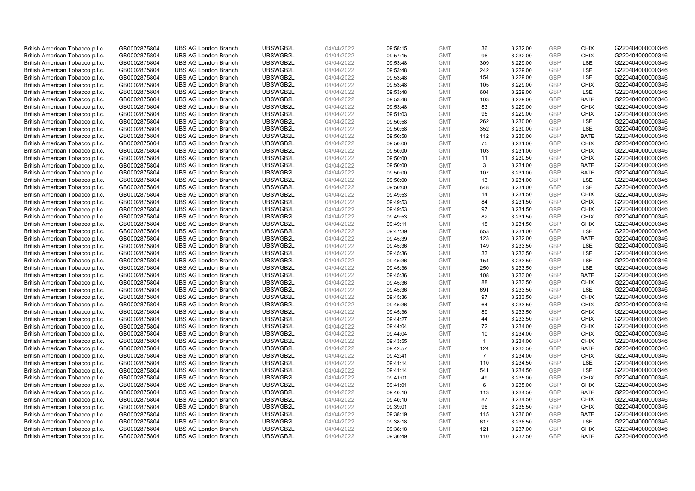| British American Tobacco p.l.c.                                    | GB0002875804                 | <b>UBS AG London Branch</b> | UBSWGB2L | 04/04/2022 | 09:58:15 | <b>GMT</b> | 36             | 3,232.00 | <b>GBP</b> | <b>CHIX</b> | G220404000000346 |
|--------------------------------------------------------------------|------------------------------|-----------------------------|----------|------------|----------|------------|----------------|----------|------------|-------------|------------------|
|                                                                    |                              |                             |          |            |          |            |                |          | <b>GBP</b> | <b>CHIX</b> |                  |
| British American Tobacco p.l.c.                                    | GB0002875804                 | <b>UBS AG London Branch</b> | UBSWGB2L | 04/04/2022 | 09:57:15 | <b>GMT</b> | 96             | 3,232.00 |            |             | G220404000000346 |
| British American Tobacco p.l.c.                                    | GB0002875804                 | <b>UBS AG London Branch</b> | UBSWGB2L | 04/04/2022 | 09:53:48 | <b>GMT</b> | 309            | 3,229.00 | <b>GBP</b> | LSE         | G220404000000346 |
| British American Tobacco p.l.c.                                    | GB0002875804                 | <b>UBS AG London Branch</b> | UBSWGB2L | 04/04/2022 | 09:53:48 | <b>GMT</b> | 242            | 3,229.00 | <b>GBP</b> | LSE         | G220404000000346 |
| British American Tobacco p.l.c.                                    | GB0002875804                 | <b>UBS AG London Branch</b> | UBSWGB2L | 04/04/2022 | 09:53:48 | <b>GMT</b> | 154            | 3,229.00 | <b>GBP</b> | LSE         | G220404000000346 |
| British American Tobacco p.l.c.                                    | GB0002875804                 | <b>UBS AG London Branch</b> | UBSWGB2L | 04/04/2022 | 09:53:48 | <b>GMT</b> | 105            | 3,229.00 | <b>GBP</b> | <b>CHIX</b> | G220404000000346 |
| British American Tobacco p.l.c.                                    | GB0002875804                 | <b>UBS AG London Branch</b> | UBSWGB2L | 04/04/2022 | 09:53:48 | <b>GMT</b> | 604            | 3,229.00 | <b>GBP</b> | LSE         | G220404000000346 |
| British American Tobacco p.l.c.                                    | GB0002875804                 | <b>UBS AG London Branch</b> | UBSWGB2L | 04/04/2022 | 09:53:48 | <b>GMT</b> | 103            | 3,229.00 | <b>GBP</b> | <b>BATE</b> | G220404000000346 |
| British American Tobacco p.l.c.                                    | GB0002875804                 | <b>UBS AG London Branch</b> | UBSWGB2L | 04/04/2022 | 09:53:48 | <b>GMT</b> | 83             | 3,229.00 | <b>GBP</b> | <b>CHIX</b> | G220404000000346 |
| British American Tobacco p.l.c.                                    | GB0002875804                 | <b>UBS AG London Branch</b> | UBSWGB2L | 04/04/2022 | 09:51:03 | <b>GMT</b> | 95             | 3,229.00 | <b>GBP</b> | <b>CHIX</b> | G220404000000346 |
| British American Tobacco p.l.c.                                    | GB0002875804                 | <b>UBS AG London Branch</b> | UBSWGB2L | 04/04/2022 | 09:50:58 | <b>GMT</b> | 262            | 3,230.00 | <b>GBP</b> | LSE         | G220404000000346 |
| British American Tobacco p.l.c.                                    | GB0002875804                 | <b>UBS AG London Branch</b> | UBSWGB2L | 04/04/2022 | 09:50:58 | <b>GMT</b> | 352            | 3,230.00 | <b>GBP</b> | LSE         | G220404000000346 |
| British American Tobacco p.l.c.                                    | GB0002875804                 | <b>UBS AG London Branch</b> | UBSWGB2L | 04/04/2022 | 09:50:58 | <b>GMT</b> | 112            | 3,230.00 | <b>GBP</b> | <b>BATE</b> | G220404000000346 |
| British American Tobacco p.l.c.                                    | GB0002875804                 | <b>UBS AG London Branch</b> | UBSWGB2L | 04/04/2022 | 09:50:00 | <b>GMT</b> | 75             | 3,231.00 | <b>GBP</b> | <b>CHIX</b> | G220404000000346 |
| British American Tobacco p.l.c.                                    | GB0002875804                 | <b>UBS AG London Branch</b> | UBSWGB2L | 04/04/2022 | 09:50:00 | <b>GMT</b> | 103            | 3,231.00 | <b>GBP</b> | <b>CHIX</b> | G220404000000346 |
| British American Tobacco p.l.c.                                    | GB0002875804                 | <b>UBS AG London Branch</b> | UBSWGB2L | 04/04/2022 | 09:50:00 | <b>GMT</b> | 11             | 3,230.50 | <b>GBP</b> | <b>CHIX</b> | G220404000000346 |
| British American Tobacco p.l.c.                                    | GB0002875804                 | <b>UBS AG London Branch</b> | UBSWGB2L | 04/04/2022 | 09:50:00 | <b>GMT</b> | 3              | 3,231.00 | <b>GBP</b> | <b>BATE</b> | G220404000000346 |
| British American Tobacco p.l.c.                                    | GB0002875804                 | <b>UBS AG London Branch</b> | UBSWGB2L | 04/04/2022 | 09:50:00 | <b>GMT</b> | 107            | 3,231.00 | <b>GBP</b> | <b>BATE</b> | G220404000000346 |
|                                                                    |                              | <b>UBS AG London Branch</b> | UBSWGB2L |            |          |            |                |          |            | <b>LSE</b>  |                  |
| British American Tobacco p.l.c.                                    | GB0002875804                 |                             |          | 04/04/2022 | 09:50:00 | <b>GMT</b> | 13             | 3,231.00 | <b>GBP</b> |             | G220404000000346 |
| British American Tobacco p.l.c.                                    | GB0002875804                 | <b>UBS AG London Branch</b> | UBSWGB2L | 04/04/2022 | 09:50:00 | <b>GMT</b> | 648            | 3,231.00 | <b>GBP</b> | LSE         | G220404000000346 |
| British American Tobacco p.l.c.                                    | GB0002875804                 | <b>UBS AG London Branch</b> | UBSWGB2L | 04/04/2022 | 09:49:53 | <b>GMT</b> | 14             | 3,231.50 | <b>GBP</b> | <b>CHIX</b> | G220404000000346 |
| British American Tobacco p.l.c.                                    | GB0002875804                 | <b>UBS AG London Branch</b> | UBSWGB2L | 04/04/2022 | 09:49:53 | <b>GMT</b> | 84             | 3,231.50 | <b>GBP</b> | <b>CHIX</b> | G220404000000346 |
| British American Tobacco p.l.c.                                    | GB0002875804                 | <b>UBS AG London Branch</b> | UBSWGB2L | 04/04/2022 | 09:49:53 | <b>GMT</b> | 97             | 3,231.50 | <b>GBP</b> | <b>CHIX</b> | G220404000000346 |
| British American Tobacco p.l.c.                                    | GB0002875804                 | <b>UBS AG London Branch</b> | UBSWGB2L | 04/04/2022 | 09:49:53 | <b>GMT</b> | 82             | 3,231.50 | <b>GBP</b> | <b>CHIX</b> | G220404000000346 |
| British American Tobacco p.l.c.                                    | GB0002875804                 | <b>UBS AG London Branch</b> | UBSWGB2L | 04/04/2022 | 09:49:11 | <b>GMT</b> | 18             | 3,231.50 | <b>GBP</b> | <b>CHIX</b> | G220404000000346 |
| British American Tobacco p.l.c.                                    | GB0002875804                 | <b>UBS AG London Branch</b> | UBSWGB2L | 04/04/2022 | 09:47:39 | <b>GMT</b> | 653            | 3,231.00 | <b>GBP</b> | LSE         | G220404000000346 |
| British American Tobacco p.l.c.                                    | GB0002875804                 | <b>UBS AG London Branch</b> | UBSWGB2L | 04/04/2022 | 09:45:39 | <b>GMT</b> | 123            | 3,232.00 | <b>GBP</b> | <b>BATE</b> | G220404000000346 |
| British American Tobacco p.l.c.                                    | GB0002875804                 | <b>UBS AG London Branch</b> | UBSWGB2L | 04/04/2022 | 09:45:36 | <b>GMT</b> | 149            | 3,233.50 | <b>GBP</b> | LSE         | G220404000000346 |
| British American Tobacco p.l.c.                                    | GB0002875804                 | <b>UBS AG London Branch</b> | UBSWGB2L | 04/04/2022 | 09:45:36 | <b>GMT</b> | 33             | 3,233.50 | <b>GBP</b> | LSE         | G220404000000346 |
| British American Tobacco p.l.c.                                    | GB0002875804                 | <b>UBS AG London Branch</b> | UBSWGB2L | 04/04/2022 | 09:45:36 | <b>GMT</b> | 154            | 3,233.50 | <b>GBP</b> | LSE         | G220404000000346 |
| British American Tobacco p.l.c.                                    | GB0002875804                 | <b>UBS AG London Branch</b> | UBSWGB2L | 04/04/2022 | 09:45:36 | <b>GMT</b> | 250            | 3,233.50 | <b>GBP</b> | LSE         | G220404000000346 |
| British American Tobacco p.l.c.                                    | GB0002875804                 | <b>UBS AG London Branch</b> | UBSWGB2L | 04/04/2022 | 09:45:36 | <b>GMT</b> | 108            | 3,233.00 | <b>GBP</b> | BATE        | G220404000000346 |
| British American Tobacco p.l.c.                                    | GB0002875804                 | <b>UBS AG London Branch</b> | UBSWGB2L | 04/04/2022 | 09:45:36 | <b>GMT</b> | 88             | 3,233.50 | <b>GBP</b> | <b>CHIX</b> | G220404000000346 |
| British American Tobacco p.l.c.                                    | GB0002875804                 | <b>UBS AG London Branch</b> | UBSWGB2L | 04/04/2022 | 09:45:36 | <b>GMT</b> | 691            | 3,233.50 | <b>GBP</b> | LSE         | G220404000000346 |
| British American Tobacco p.l.c.                                    | GB0002875804                 | <b>UBS AG London Branch</b> | UBSWGB2L | 04/04/2022 | 09:45:36 | <b>GMT</b> | 97             | 3,233.50 | <b>GBP</b> | <b>CHIX</b> | G220404000000346 |
| British American Tobacco p.l.c.                                    | GB0002875804                 | <b>UBS AG London Branch</b> | UBSWGB2L | 04/04/2022 | 09:45:36 | <b>GMT</b> | 64             | 3,233.50 | <b>GBP</b> | <b>CHIX</b> | G220404000000346 |
| British American Tobacco p.l.c.                                    | GB0002875804                 | <b>UBS AG London Branch</b> | UBSWGB2L | 04/04/2022 | 09:45:36 | <b>GMT</b> | 89             | 3,233.50 | <b>GBP</b> | <b>CHIX</b> | G220404000000346 |
| British American Tobacco p.l.c.                                    | GB0002875804                 | <b>UBS AG London Branch</b> | UBSWGB2L | 04/04/2022 | 09:44:27 | <b>GMT</b> | 44             | 3,233.50 | <b>GBP</b> | <b>CHIX</b> | G220404000000346 |
| British American Tobacco p.l.c.                                    | GB0002875804                 | <b>UBS AG London Branch</b> | UBSWGB2L | 04/04/2022 | 09:44:04 | <b>GMT</b> | 72             | 3,234.00 | <b>GBP</b> | <b>CHIX</b> | G220404000000346 |
| British American Tobacco p.l.c.                                    | GB0002875804                 | <b>UBS AG London Branch</b> | UBSWGB2L | 04/04/2022 | 09:44:04 | <b>GMT</b> | 10             | 3,234.00 | <b>GBP</b> | <b>CHIX</b> | G220404000000346 |
| British American Tobacco p.l.c.                                    | GB0002875804                 | <b>UBS AG London Branch</b> | UBSWGB2L | 04/04/2022 | 09:43:55 | <b>GMT</b> | $\mathbf{1}$   | 3,234.00 | <b>GBP</b> | <b>CHIX</b> | G220404000000346 |
| British American Tobacco p.l.c.                                    | GB0002875804                 | <b>UBS AG London Branch</b> | UBSWGB2L | 04/04/2022 | 09:42:57 | <b>GMT</b> | 124            | 3,233.50 | <b>GBP</b> | <b>BATE</b> | G220404000000346 |
| British American Tobacco p.l.c.                                    | GB0002875804                 | <b>UBS AG London Branch</b> | UBSWGB2L | 04/04/2022 | 09:42:41 | <b>GMT</b> | $\overline{7}$ | 3,234.00 | <b>GBP</b> | <b>CHIX</b> | G220404000000346 |
| British American Tobacco p.l.c.                                    | GB0002875804                 | <b>UBS AG London Branch</b> | UBSWGB2L | 04/04/2022 | 09:41:14 | <b>GMT</b> | 110            | 3,234.50 | <b>GBP</b> | LSE         | G220404000000346 |
| British American Tobacco p.l.c.                                    | GB0002875804                 | <b>UBS AG London Branch</b> | UBSWGB2L | 04/04/2022 | 09:41:14 | <b>GMT</b> | 541            | 3,234.50 | <b>GBP</b> | LSE         | G220404000000346 |
|                                                                    |                              | <b>UBS AG London Branch</b> | UBSWGB2L | 04/04/2022 | 09:41:01 | <b>GMT</b> | 49             | 3,235.00 | <b>GBP</b> | <b>CHIX</b> | G220404000000346 |
| British American Tobacco p.l.c.<br>British American Tobacco p.l.c. | GB0002875804<br>GB0002875804 | <b>UBS AG London Branch</b> | UBSWGB2L | 04/04/2022 | 09:41:01 | <b>GMT</b> | 6              | 3,235.00 | <b>GBP</b> | <b>CHIX</b> | G220404000000346 |
|                                                                    |                              | <b>UBS AG London Branch</b> | UBSWGB2L |            |          | <b>GMT</b> | 113            |          | <b>GBP</b> | <b>BATE</b> | G220404000000346 |
| British American Tobacco p.l.c.                                    | GB0002875804                 |                             |          | 04/04/2022 | 09:40:10 |            |                | 3,234.50 |            |             |                  |
| British American Tobacco p.l.c.                                    | GB0002875804                 | <b>UBS AG London Branch</b> | UBSWGB2L | 04/04/2022 | 09:40:10 | <b>GMT</b> | 87             | 3,234.50 | <b>GBP</b> | <b>CHIX</b> | G220404000000346 |
| British American Tobacco p.l.c.                                    | GB0002875804                 | <b>UBS AG London Branch</b> | UBSWGB2L | 04/04/2022 | 09:39:01 | <b>GMT</b> | 96             | 3,235.50 | <b>GBP</b> | <b>CHIX</b> | G220404000000346 |
| British American Tobacco p.l.c.                                    | GB0002875804                 | <b>UBS AG London Branch</b> | UBSWGB2L | 04/04/2022 | 09:38:19 | <b>GMT</b> | 115            | 3,236.00 | <b>GBP</b> | <b>BATE</b> | G220404000000346 |
| British American Tobacco p.l.c.                                    | GB0002875804                 | <b>UBS AG London Branch</b> | UBSWGB2L | 04/04/2022 | 09:38:18 | <b>GMT</b> | 617            | 3,236.50 | <b>GBP</b> | LSE         | G220404000000346 |
| British American Tobacco p.l.c.                                    | GB0002875804                 | <b>UBS AG London Branch</b> | UBSWGB2L | 04/04/2022 | 09:38:18 | <b>GMT</b> | 121            | 3,237.00 | <b>GBP</b> | <b>CHIX</b> | G220404000000346 |
| British American Tobacco p.l.c.                                    | GB0002875804                 | <b>UBS AG London Branch</b> | UBSWGB2L | 04/04/2022 | 09:36:49 | <b>GMT</b> | 110            | 3,237.50 | GBP        | <b>BATE</b> | G220404000000346 |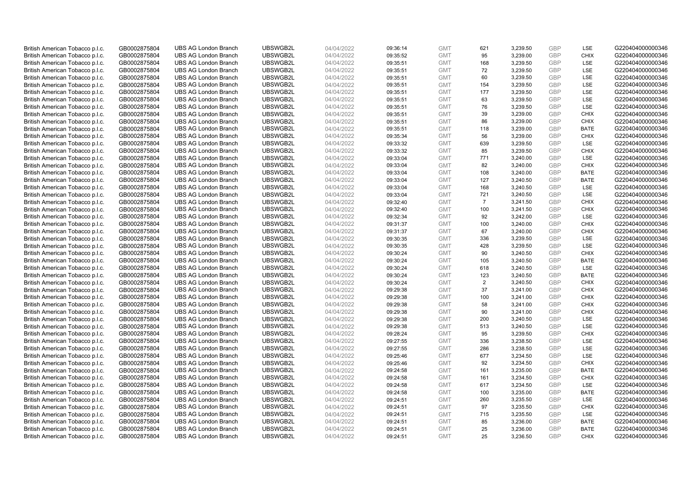| British American Tobacco p.l.c. | GB0002875804 | <b>UBS AG London Branch</b> | UBSWGB2L | 04/04/2022 | 09:36:14 | <b>GMT</b>               | 621            | 3,239.50 | <b>GBP</b>               | LSE         | G220404000000346 |
|---------------------------------|--------------|-----------------------------|----------|------------|----------|--------------------------|----------------|----------|--------------------------|-------------|------------------|
|                                 | GB0002875804 | <b>UBS AG London Branch</b> | UBSWGB2L | 04/04/2022 |          | <b>GMT</b>               | 95             | 3,239.00 | GBP                      | <b>CHIX</b> | G220404000000346 |
| British American Tobacco p.l.c. |              |                             |          |            | 09:35:52 |                          |                |          | <b>GBP</b>               | LSE         |                  |
| British American Tobacco p.l.c. | GB0002875804 | <b>UBS AG London Branch</b> | UBSWGB2L | 04/04/2022 | 09:35:51 | <b>GMT</b>               | 168            | 3,239.50 |                          |             | G220404000000346 |
| British American Tobacco p.l.c. | GB0002875804 | <b>UBS AG London Branch</b> | UBSWGB2L | 04/04/2022 | 09:35:51 | <b>GMT</b>               | 72             | 3,239.50 | <b>GBP</b>               | LSE         | G220404000000346 |
| British American Tobacco p.l.c. | GB0002875804 | <b>UBS AG London Branch</b> | UBSWGB2L | 04/04/2022 | 09:35:51 | <b>GMT</b>               | 60             | 3,239.50 | <b>GBP</b>               | LSE         | G220404000000346 |
| British American Tobacco p.l.c. | GB0002875804 | <b>UBS AG London Branch</b> | UBSWGB2L | 04/04/2022 | 09:35:51 | <b>GMT</b>               | 154            | 3,239.50 | <b>GBP</b>               | LSE         | G220404000000346 |
| British American Tobacco p.l.c. | GB0002875804 | <b>UBS AG London Branch</b> | UBSWGB2L | 04/04/2022 | 09:35:51 | <b>GMT</b>               | 177            | 3,239.50 | <b>GBP</b>               | LSE         | G220404000000346 |
| British American Tobacco p.l.c. | GB0002875804 | <b>UBS AG London Branch</b> | UBSWGB2L | 04/04/2022 | 09:35:51 | <b>GMT</b>               | 63             | 3,239.50 | <b>GBP</b>               | LSE         | G220404000000346 |
| British American Tobacco p.l.c. | GB0002875804 | <b>UBS AG London Branch</b> | UBSWGB2L | 04/04/2022 | 09:35:51 | <b>GMT</b>               | 76             | 3,239.50 | <b>GBP</b>               | LSE         | G220404000000346 |
| British American Tobacco p.l.c. | GB0002875804 | <b>UBS AG London Branch</b> | UBSWGB2L | 04/04/2022 | 09:35:51 | <b>GMT</b>               | 39             | 3,239.00 | <b>GBP</b>               | <b>CHIX</b> | G220404000000346 |
| British American Tobacco p.l.c. | GB0002875804 | <b>UBS AG London Branch</b> | UBSWGB2L | 04/04/2022 | 09:35:51 | <b>GMT</b>               | 86             | 3,239.00 | <b>GBP</b>               | <b>CHIX</b> | G220404000000346 |
| British American Tobacco p.l.c. | GB0002875804 | <b>UBS AG London Branch</b> | UBSWGB2L | 04/04/2022 | 09:35:51 | <b>GMT</b>               | 118            | 3,239.00 | <b>GBP</b>               | <b>BATE</b> | G220404000000346 |
| British American Tobacco p.l.c. | GB0002875804 | <b>UBS AG London Branch</b> | UBSWGB2L | 04/04/2022 | 09:35:34 | <b>GMT</b>               | 56             | 3,239.00 | <b>GBP</b>               | <b>CHIX</b> | G220404000000346 |
| British American Tobacco p.l.c. | GB0002875804 | <b>UBS AG London Branch</b> | UBSWGB2L | 04/04/2022 | 09:33:32 | <b>GMT</b>               | 639            | 3,239.50 | <b>GBP</b>               | LSE         | G220404000000346 |
| British American Tobacco p.l.c. | GB0002875804 | <b>UBS AG London Branch</b> | UBSWGB2L | 04/04/2022 | 09:33:32 | <b>GMT</b>               | 85             | 3,239.50 | <b>GBP</b>               | <b>CHIX</b> | G220404000000346 |
| British American Tobacco p.l.c. | GB0002875804 | <b>UBS AG London Branch</b> | UBSWGB2L | 04/04/2022 | 09:33:04 | <b>GMT</b>               | 771            | 3,240.00 | <b>GBP</b>               | LSE         | G220404000000346 |
| British American Tobacco p.l.c. | GB0002875804 | <b>UBS AG London Branch</b> | UBSWGB2L | 04/04/2022 | 09:33:04 | <b>GMT</b>               | 82             | 3,240.00 | <b>GBP</b>               | <b>CHIX</b> | G220404000000346 |
| British American Tobacco p.l.c. | GB0002875804 | <b>UBS AG London Branch</b> | UBSWGB2L | 04/04/2022 | 09:33:04 | <b>GMT</b>               | 108            | 3,240.00 | <b>GBP</b>               | <b>BATE</b> | G220404000000346 |
| British American Tobacco p.l.c. | GB0002875804 | <b>UBS AG London Branch</b> | UBSWGB2L | 04/04/2022 | 09:33:04 | <b>GMT</b>               | 127            | 3,240.50 | <b>GBP</b>               | <b>BATE</b> | G220404000000346 |
| British American Tobacco p.l.c. | GB0002875804 | <b>UBS AG London Branch</b> | UBSWGB2L | 04/04/2022 | 09:33:04 | <b>GMT</b>               | 168            | 3,240.50 | <b>GBP</b>               | LSE         | G220404000000346 |
| British American Tobacco p.l.c. | GB0002875804 | <b>UBS AG London Branch</b> | UBSWGB2L | 04/04/2022 | 09:33:04 | <b>GMT</b>               | 721            | 3,240.50 | <b>GBP</b>               | LSE         | G220404000000346 |
| British American Tobacco p.l.c. | GB0002875804 | <b>UBS AG London Branch</b> | UBSWGB2L | 04/04/2022 | 09:32:40 | <b>GMT</b>               | $\overline{7}$ | 3,241.50 | <b>GBP</b>               | <b>CHIX</b> | G220404000000346 |
| British American Tobacco p.l.c. | GB0002875804 | <b>UBS AG London Branch</b> | UBSWGB2L | 04/04/2022 | 09:32:40 | <b>GMT</b>               | 100            | 3,241.50 | <b>GBP</b>               | <b>CHIX</b> | G220404000000346 |
| British American Tobacco p.l.c. | GB0002875804 | <b>UBS AG London Branch</b> | UBSWGB2L | 04/04/2022 | 09:32:34 | <b>GMT</b>               | 92             | 3,242.00 | <b>GBP</b>               | LSE         | G220404000000346 |
| British American Tobacco p.l.c. | GB0002875804 | <b>UBS AG London Branch</b> | UBSWGB2L | 04/04/2022 | 09:31:37 | <b>GMT</b>               | 100            | 3,240.00 | <b>GBP</b>               | <b>CHIX</b> | G220404000000346 |
| British American Tobacco p.l.c. | GB0002875804 | <b>UBS AG London Branch</b> | UBSWGB2L | 04/04/2022 | 09:31:37 | <b>GMT</b>               | 67             | 3,240.00 | <b>GBP</b>               | <b>CHIX</b> | G220404000000346 |
| British American Tobacco p.l.c. | GB0002875804 | <b>UBS AG London Branch</b> | UBSWGB2L | 04/04/2022 | 09:30:35 | <b>GMT</b>               | 336            | 3,239.50 | <b>GBP</b>               | LSE         | G220404000000346 |
| British American Tobacco p.l.c. | GB0002875804 | <b>UBS AG London Branch</b> | UBSWGB2L | 04/04/2022 | 09:30:35 | <b>GMT</b>               | 428            | 3,239.50 | <b>GBP</b>               | LSE         | G220404000000346 |
| British American Tobacco p.l.c. | GB0002875804 | <b>UBS AG London Branch</b> | UBSWGB2L | 04/04/2022 | 09:30:24 | <b>GMT</b>               | 90             | 3,240.50 | <b>GBP</b>               | <b>CHIX</b> | G220404000000346 |
| British American Tobacco p.l.c. | GB0002875804 | <b>UBS AG London Branch</b> | UBSWGB2L | 04/04/2022 | 09:30:24 | <b>GMT</b>               | 105            | 3,240.50 | <b>GBP</b>               | <b>BATE</b> | G220404000000346 |
| British American Tobacco p.l.c. | GB0002875804 | <b>UBS AG London Branch</b> | UBSWGB2L | 04/04/2022 | 09:30:24 | <b>GMT</b>               | 618            | 3,240.50 | <b>GBP</b>               | LSE         | G220404000000346 |
| British American Tobacco p.l.c. | GB0002875804 | <b>UBS AG London Branch</b> | UBSWGB2L | 04/04/2022 | 09:30:24 | <b>GMT</b>               | 123            | 3,240.50 | <b>GBP</b>               | BATE        | G220404000000346 |
| British American Tobacco p.l.c. | GB0002875804 | <b>UBS AG London Branch</b> | UBSWGB2L | 04/04/2022 | 09:30:24 | <b>GMT</b>               | 2              | 3,240.50 | <b>GBP</b>               | <b>CHIX</b> | G220404000000346 |
| British American Tobacco p.l.c. | GB0002875804 | <b>UBS AG London Branch</b> | UBSWGB2L | 04/04/2022 | 09:29:38 | <b>GMT</b>               | 37             | 3,241.00 | <b>GBP</b>               | <b>CHIX</b> | G220404000000346 |
|                                 | GB0002875804 | <b>UBS AG London Branch</b> | UBSWGB2L | 04/04/2022 | 09:29:38 | <b>GMT</b>               | 100            | 3,241.00 | <b>GBP</b>               | <b>CHIX</b> | G220404000000346 |
| British American Tobacco p.l.c. |              |                             |          |            |          |                          |                |          |                          |             |                  |
| British American Tobacco p.l.c. | GB0002875804 | <b>UBS AG London Branch</b> | UBSWGB2L | 04/04/2022 | 09:29:38 | <b>GMT</b><br><b>GMT</b> | 58             | 3,241.00 | <b>GBP</b><br><b>GBP</b> | <b>CHIX</b> | G220404000000346 |
| British American Tobacco p.l.c. | GB0002875804 | <b>UBS AG London Branch</b> | UBSWGB2L | 04/04/2022 | 09:29:38 |                          | 90             | 3,241.00 |                          | <b>CHIX</b> | G220404000000346 |
| British American Tobacco p.l.c. | GB0002875804 | <b>UBS AG London Branch</b> | UBSWGB2L | 04/04/2022 | 09:29:38 | <b>GMT</b>               | 200            | 3,240.50 | <b>GBP</b>               | LSE         | G220404000000346 |
| British American Tobacco p.l.c. | GB0002875804 | <b>UBS AG London Branch</b> | UBSWGB2L | 04/04/2022 | 09:29:38 | <b>GMT</b>               | 513            | 3,240.50 | <b>GBP</b>               | LSE         | G220404000000346 |
| British American Tobacco p.l.c. | GB0002875804 | <b>UBS AG London Branch</b> | UBSWGB2L | 04/04/2022 | 09:28:24 | <b>GMT</b>               | 95             | 3,239.50 | <b>GBP</b>               | <b>CHIX</b> | G220404000000346 |
| British American Tobacco p.l.c. | GB0002875804 | <b>UBS AG London Branch</b> | UBSWGB2L | 04/04/2022 | 09:27:55 | <b>GMT</b>               | 336            | 3,238.50 | <b>GBP</b>               | LSE         | G220404000000346 |
| British American Tobacco p.l.c. | GB0002875804 | <b>UBS AG London Branch</b> | UBSWGB2L | 04/04/2022 | 09:27:55 | <b>GMT</b>               | 286            | 3,238.50 | <b>GBP</b>               | LSE         | G220404000000346 |
| British American Tobacco p.l.c. | GB0002875804 | <b>UBS AG London Branch</b> | UBSWGB2L | 04/04/2022 | 09:25:46 | <b>GMT</b>               | 677            | 3,234.50 | <b>GBP</b>               | LSE         | G220404000000346 |
| British American Tobacco p.l.c. | GB0002875804 | <b>UBS AG London Branch</b> | UBSWGB2L | 04/04/2022 | 09:25:46 | <b>GMT</b>               | 92             | 3,234.50 | <b>GBP</b>               | <b>CHIX</b> | G220404000000346 |
| British American Tobacco p.l.c. | GB0002875804 | <b>UBS AG London Branch</b> | UBSWGB2L | 04/04/2022 | 09:24:58 | <b>GMT</b>               | 161            | 3,235.00 | <b>GBP</b>               | <b>BATE</b> | G220404000000346 |
| British American Tobacco p.l.c. | GB0002875804 | <b>UBS AG London Branch</b> | UBSWGB2L | 04/04/2022 | 09:24:58 | <b>GMT</b>               | 161            | 3,234.50 | <b>GBP</b>               | <b>CHIX</b> | G220404000000346 |
| British American Tobacco p.l.c. | GB0002875804 | <b>UBS AG London Branch</b> | UBSWGB2L | 04/04/2022 | 09:24:58 | <b>GMT</b>               | 617            | 3,234.50 | <b>GBP</b>               | <b>LSE</b>  | G220404000000346 |
| British American Tobacco p.l.c. | GB0002875804 | <b>UBS AG London Branch</b> | UBSWGB2L | 04/04/2022 | 09:24:58 | <b>GMT</b>               | 100            | 3,235.00 | <b>GBP</b>               | <b>BATE</b> | G220404000000346 |
| British American Tobacco p.l.c. | GB0002875804 | <b>UBS AG London Branch</b> | UBSWGB2L | 04/04/2022 | 09:24:51 | <b>GMT</b>               | 260            | 3,235.50 | <b>GBP</b>               | LSE         | G220404000000346 |
| British American Tobacco p.l.c. | GB0002875804 | <b>UBS AG London Branch</b> | UBSWGB2L | 04/04/2022 | 09:24:51 | <b>GMT</b>               | 97             | 3,235.50 | <b>GBP</b>               | <b>CHIX</b> | G220404000000346 |
| British American Tobacco p.l.c. | GB0002875804 | <b>UBS AG London Branch</b> | UBSWGB2L | 04/04/2022 | 09:24:51 | <b>GMT</b>               | 715            | 3,235.50 | <b>GBP</b>               | LSE         | G220404000000346 |
| British American Tobacco p.l.c. | GB0002875804 | <b>UBS AG London Branch</b> | UBSWGB2L | 04/04/2022 | 09:24:51 | <b>GMT</b>               | 85             | 3,236.00 | <b>GBP</b>               | <b>BATE</b> | G220404000000346 |
| British American Tobacco p.l.c. | GB0002875804 | <b>UBS AG London Branch</b> | UBSWGB2L | 04/04/2022 | 09:24:51 | <b>GMT</b>               | 25             | 3,236.00 | <b>GBP</b>               | <b>BATE</b> | G220404000000346 |
| British American Tobacco p.l.c. | GB0002875804 | <b>UBS AG London Branch</b> | UBSWGB2L | 04/04/2022 | 09:24:51 | <b>GMT</b>               | 25             | 3.236.50 | GBP                      | <b>CHIX</b> | G220404000000346 |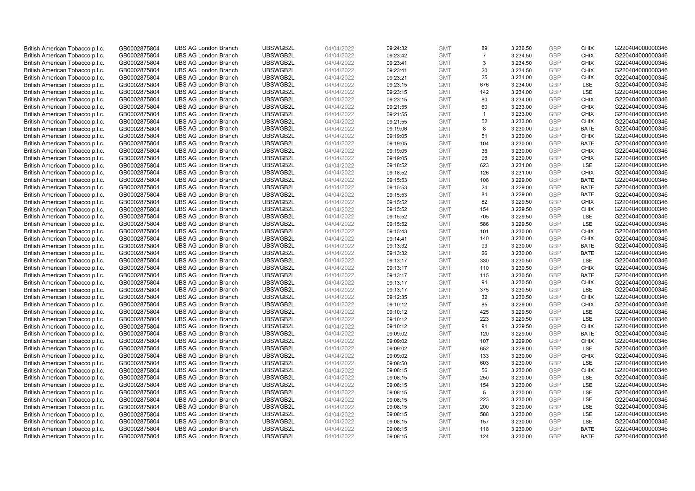| British American Tobacco p.l.c. | GB0002875804 | <b>UBS AG London Branch</b> | UBSWGB2L | 04/04/2022 | 09:24:32 | <b>GMT</b> | 89             | 3,236.50 | <b>GBP</b> | <b>CHIX</b> | G220404000000346 |
|---------------------------------|--------------|-----------------------------|----------|------------|----------|------------|----------------|----------|------------|-------------|------------------|
| British American Tobacco p.l.c. | GB0002875804 | <b>UBS AG London Branch</b> | UBSWGB2L | 04/04/2022 | 09:23:42 | <b>GMT</b> | $\overline{7}$ | 3,234.50 | <b>GBP</b> | <b>CHIX</b> | G220404000000346 |
| British American Tobacco p.l.c. | GB0002875804 | <b>UBS AG London Branch</b> | UBSWGB2L | 04/04/2022 | 09:23:41 | <b>GMT</b> | 3              | 3,234.50 | <b>GBP</b> | <b>CHIX</b> | G220404000000346 |
|                                 |              |                             | UBSWGB2L |            |          |            |                |          | <b>GBP</b> |             |                  |
| British American Tobacco p.l.c. | GB0002875804 | <b>UBS AG London Branch</b> |          | 04/04/2022 | 09:23:41 | <b>GMT</b> | 20             | 3,234.50 |            | <b>CHIX</b> | G220404000000346 |
| British American Tobacco p.l.c. | GB0002875804 | <b>UBS AG London Branch</b> | UBSWGB2L | 04/04/2022 | 09:23:21 | <b>GMT</b> | 25             | 3,234.00 | <b>GBP</b> | <b>CHIX</b> | G220404000000346 |
| British American Tobacco p.l.c. | GB0002875804 | <b>UBS AG London Branch</b> | UBSWGB2L | 04/04/2022 | 09:23:15 | <b>GMT</b> | 676            | 3,234.00 | <b>GBP</b> | LSE         | G220404000000346 |
| British American Tobacco p.l.c. | GB0002875804 | <b>UBS AG London Branch</b> | UBSWGB2L | 04/04/2022 | 09:23:15 | <b>GMT</b> | 142            | 3,234.00 | <b>GBP</b> | LSE         | G220404000000346 |
| British American Tobacco p.l.c. | GB0002875804 | <b>UBS AG London Branch</b> | UBSWGB2L | 04/04/2022 | 09:23:15 | <b>GMT</b> | 80             | 3,234.00 | <b>GBP</b> | <b>CHIX</b> | G220404000000346 |
| British American Tobacco p.l.c. | GB0002875804 | <b>UBS AG London Branch</b> | UBSWGB2L | 04/04/2022 | 09:21:55 | <b>GMT</b> | 60             | 3,233.00 | <b>GBP</b> | <b>CHIX</b> | G220404000000346 |
| British American Tobacco p.l.c. | GB0002875804 | <b>UBS AG London Branch</b> | UBSWGB2L | 04/04/2022 | 09:21:55 | <b>GMT</b> | $\mathbf{1}$   | 3,233.00 | <b>GBP</b> | <b>CHIX</b> | G220404000000346 |
| British American Tobacco p.l.c. | GB0002875804 | <b>UBS AG London Branch</b> | UBSWGB2L | 04/04/2022 | 09:21:55 | <b>GMT</b> | 52             | 3,233.00 | <b>GBP</b> | <b>CHIX</b> | G220404000000346 |
| British American Tobacco p.l.c. | GB0002875804 | <b>UBS AG London Branch</b> | UBSWGB2L | 04/04/2022 | 09:19:06 | <b>GMT</b> | 8              | 3,230.00 | <b>GBP</b> | <b>BATE</b> | G220404000000346 |
| British American Tobacco p.l.c. | GB0002875804 | <b>UBS AG London Branch</b> | UBSWGB2L | 04/04/2022 | 09:19:05 | <b>GMT</b> | 51             | 3,230.00 | <b>GBP</b> | <b>CHIX</b> | G220404000000346 |
| British American Tobacco p.l.c. | GB0002875804 | <b>UBS AG London Branch</b> | UBSWGB2L | 04/04/2022 | 09:19:05 | <b>GMT</b> | 104            | 3,230.00 | <b>GBP</b> | <b>BATE</b> | G220404000000346 |
| British American Tobacco p.l.c. | GB0002875804 | <b>UBS AG London Branch</b> | UBSWGB2L | 04/04/2022 | 09:19:05 | <b>GMT</b> | 36             | 3,230.00 | <b>GBP</b> | <b>CHIX</b> | G220404000000346 |
| British American Tobacco p.l.c. | GB0002875804 | <b>UBS AG London Branch</b> | UBSWGB2L | 04/04/2022 | 09:19:05 | <b>GMT</b> | 96             | 3,230.00 | <b>GBP</b> | <b>CHIX</b> | G220404000000346 |
| British American Tobacco p.l.c. | GB0002875804 | <b>UBS AG London Branch</b> | UBSWGB2L | 04/04/2022 | 09:18:52 | <b>GMT</b> | 623            | 3,231.00 | <b>GBP</b> | LSE         | G220404000000346 |
| British American Tobacco p.l.c. | GB0002875804 | <b>UBS AG London Branch</b> | UBSWGB2L | 04/04/2022 | 09:18:52 | <b>GMT</b> | 126            | 3,231.00 | <b>GBP</b> | <b>CHIX</b> | G220404000000346 |
| British American Tobacco p.l.c. | GB0002875804 | <b>UBS AG London Branch</b> | UBSWGB2L | 04/04/2022 | 09:15:53 | <b>GMT</b> | 108            | 3,229.00 | <b>GBP</b> | <b>BATE</b> | G220404000000346 |
| British American Tobacco p.l.c. | GB0002875804 | <b>UBS AG London Branch</b> | UBSWGB2L | 04/04/2022 | 09:15:53 | <b>GMT</b> | 24             | 3,229.00 | <b>GBP</b> | <b>BATE</b> | G220404000000346 |
| British American Tobacco p.l.c. | GB0002875804 | <b>UBS AG London Branch</b> | UBSWGB2L | 04/04/2022 | 09:15:53 | <b>GMT</b> | 84             | 3,229.00 | <b>GBP</b> | <b>BATE</b> | G220404000000346 |
| British American Tobacco p.l.c. | GB0002875804 | <b>UBS AG London Branch</b> | UBSWGB2L | 04/04/2022 | 09:15:52 | <b>GMT</b> | 82             | 3,229.50 | <b>GBP</b> | <b>CHIX</b> | G220404000000346 |
| British American Tobacco p.l.c. | GB0002875804 | <b>UBS AG London Branch</b> | UBSWGB2L | 04/04/2022 | 09:15:52 | <b>GMT</b> | 154            | 3,229.50 | <b>GBP</b> | <b>CHIX</b> | G220404000000346 |
| British American Tobacco p.l.c. | GB0002875804 | <b>UBS AG London Branch</b> | UBSWGB2L | 04/04/2022 | 09:15:52 | <b>GMT</b> | 705            | 3,229.50 | <b>GBP</b> | LSE         | G220404000000346 |
| British American Tobacco p.l.c. | GB0002875804 | <b>UBS AG London Branch</b> | UBSWGB2L | 04/04/2022 | 09:15:52 | <b>GMT</b> | 586            | 3,229.50 | <b>GBP</b> | LSE         | G220404000000346 |
| British American Tobacco p.l.c. | GB0002875804 | <b>UBS AG London Branch</b> | UBSWGB2L | 04/04/2022 | 09:15:43 | <b>GMT</b> | 101            | 3,230.00 | <b>GBP</b> | <b>CHIX</b> | G220404000000346 |
| British American Tobacco p.l.c. | GB0002875804 | <b>UBS AG London Branch</b> | UBSWGB2L | 04/04/2022 | 09:14:41 | <b>GMT</b> | 140            | 3,230.00 | <b>GBP</b> | <b>CHIX</b> | G220404000000346 |
| British American Tobacco p.l.c. | GB0002875804 | <b>UBS AG London Branch</b> | UBSWGB2L | 04/04/2022 | 09:13:32 | <b>GMT</b> | 93             | 3,230.00 | <b>GBP</b> | <b>BATE</b> | G220404000000346 |
| British American Tobacco p.l.c. | GB0002875804 | <b>UBS AG London Branch</b> | UBSWGB2L | 04/04/2022 | 09:13:32 | <b>GMT</b> | 26             | 3,230.00 | <b>GBP</b> | <b>BATE</b> | G220404000000346 |
| British American Tobacco p.l.c. | GB0002875804 | <b>UBS AG London Branch</b> | UBSWGB2L | 04/04/2022 | 09:13:17 | <b>GMT</b> | 330            | 3,230.50 | <b>GBP</b> | LSE         | G220404000000346 |
| British American Tobacco p.l.c. | GB0002875804 | <b>UBS AG London Branch</b> | UBSWGB2L | 04/04/2022 | 09:13:17 | <b>GMT</b> | 110            | 3,230.50 | <b>GBP</b> | <b>CHIX</b> | G220404000000346 |
| British American Tobacco p.l.c. | GB0002875804 | <b>UBS AG London Branch</b> | UBSWGB2L | 04/04/2022 | 09:13:17 | <b>GMT</b> | 115            | 3,230.50 | <b>GBP</b> | <b>BATE</b> | G220404000000346 |
| British American Tobacco p.l.c. | GB0002875804 | <b>UBS AG London Branch</b> | UBSWGB2L | 04/04/2022 | 09:13:17 | <b>GMT</b> | 94             | 3,230.50 | <b>GBP</b> | <b>CHIX</b> | G220404000000346 |
| British American Tobacco p.l.c. | GB0002875804 | <b>UBS AG London Branch</b> | UBSWGB2L | 04/04/2022 | 09:13:17 | <b>GMT</b> | 375            | 3,230.50 | <b>GBP</b> | LSE         | G220404000000346 |
| British American Tobacco p.l.c. | GB0002875804 | <b>UBS AG London Branch</b> | UBSWGB2L | 04/04/2022 | 09:12:35 | <b>GMT</b> | 32             | 3,230.50 | <b>GBP</b> | <b>CHIX</b> | G220404000000346 |
| British American Tobacco p.l.c. | GB0002875804 | <b>UBS AG London Branch</b> | UBSWGB2L | 04/04/2022 | 09:10:12 | <b>GMT</b> | 85             | 3,229.00 | <b>GBP</b> | <b>CHIX</b> | G220404000000346 |
| British American Tobacco p.l.c. | GB0002875804 | <b>UBS AG London Branch</b> | UBSWGB2L | 04/04/2022 | 09:10:12 | <b>GMT</b> | 425            | 3,229.50 | <b>GBP</b> | LSE         | G220404000000346 |
| British American Tobacco p.l.c. | GB0002875804 | <b>UBS AG London Branch</b> | UBSWGB2L | 04/04/2022 | 09:10:12 | <b>GMT</b> | 223            | 3,229.50 | <b>GBP</b> | LSE         | G220404000000346 |
|                                 |              | <b>UBS AG London Branch</b> | UBSWGB2L |            |          | <b>GMT</b> | 91             |          | <b>GBP</b> | <b>CHIX</b> | G220404000000346 |
| British American Tobacco p.l.c. | GB0002875804 |                             |          | 04/04/2022 | 09:10:12 |            |                | 3,229.50 |            |             |                  |
| British American Tobacco p.l.c. | GB0002875804 | <b>UBS AG London Branch</b> | UBSWGB2L | 04/04/2022 | 09:09:02 | <b>GMT</b> | 120            | 3,229.00 | <b>GBP</b> | <b>BATE</b> | G220404000000346 |
| British American Tobacco p.l.c. | GB0002875804 | <b>UBS AG London Branch</b> | UBSWGB2L | 04/04/2022 | 09:09:02 | <b>GMT</b> | 107            | 3,229.00 | <b>GBP</b> | <b>CHIX</b> | G220404000000346 |
| British American Tobacco p.l.c. | GB0002875804 | <b>UBS AG London Branch</b> | UBSWGB2L | 04/04/2022 | 09:09:02 | <b>GMT</b> | 652            | 3,229.00 | <b>GBP</b> | LSE         | G220404000000346 |
| British American Tobacco p.l.c. | GB0002875804 | <b>UBS AG London Branch</b> | UBSWGB2L | 04/04/2022 | 09:09:02 | <b>GMT</b> | 133            | 3,230.00 | <b>GBP</b> | <b>CHIX</b> | G220404000000346 |
| British American Tobacco p.l.c. | GB0002875804 | <b>UBS AG London Branch</b> | UBSWGB2L | 04/04/2022 | 09:08:50 | <b>GMT</b> | 603            | 3,230.00 | <b>GBP</b> | LSE         | G220404000000346 |
| British American Tobacco p.l.c. | GB0002875804 | <b>UBS AG London Branch</b> | UBSWGB2L | 04/04/2022 | 09:08:15 | <b>GMT</b> | 56             | 3,230.00 | <b>GBP</b> | <b>CHIX</b> | G220404000000346 |
| British American Tobacco p.l.c. | GB0002875804 | <b>UBS AG London Branch</b> | UBSWGB2L | 04/04/2022 | 09:08:15 | <b>GMT</b> | 250            | 3,230.00 | <b>GBP</b> | LSE         | G220404000000346 |
| British American Tobacco p.l.c. | GB0002875804 | <b>UBS AG London Branch</b> | UBSWGB2L | 04/04/2022 | 09:08:15 | <b>GMT</b> | 154            | 3,230.00 | <b>GBP</b> | LSE         | G220404000000346 |
| British American Tobacco p.l.c. | GB0002875804 | <b>UBS AG London Branch</b> | UBSWGB2L | 04/04/2022 | 09:08:15 | <b>GMT</b> | 5              | 3,230.00 | <b>GBP</b> | LSE         | G220404000000346 |
| British American Tobacco p.l.c. | GB0002875804 | <b>UBS AG London Branch</b> | UBSWGB2L | 04/04/2022 | 09:08:15 | <b>GMT</b> | 223            | 3,230.00 | <b>GBP</b> | LSE         | G220404000000346 |
| British American Tobacco p.l.c. | GB0002875804 | <b>UBS AG London Branch</b> | UBSWGB2L | 04/04/2022 | 09:08:15 | <b>GMT</b> | 200            | 3,230.00 | <b>GBP</b> | LSE         | G220404000000346 |
| British American Tobacco p.l.c. | GB0002875804 | <b>UBS AG London Branch</b> | UBSWGB2L | 04/04/2022 | 09:08:15 | <b>GMT</b> | 588            | 3,230.00 | <b>GBP</b> | LSE         | G220404000000346 |
| British American Tobacco p.l.c. | GB0002875804 | <b>UBS AG London Branch</b> | UBSWGB2L | 04/04/2022 | 09:08:15 | <b>GMT</b> | 157            | 3,230.00 | <b>GBP</b> | LSE         | G220404000000346 |
| British American Tobacco p.l.c. | GB0002875804 | <b>UBS AG London Branch</b> | UBSWGB2L | 04/04/2022 | 09:08:15 | <b>GMT</b> | 118            | 3,230.00 | <b>GBP</b> | <b>BATE</b> | G220404000000346 |
| British American Tobacco p.l.c. | GB0002875804 | <b>UBS AG London Branch</b> | UBSWGB2L | 04/04/2022 | 09:08:15 | <b>GMT</b> | 124            | 3.230.00 | GBP        | <b>BATE</b> | G220404000000346 |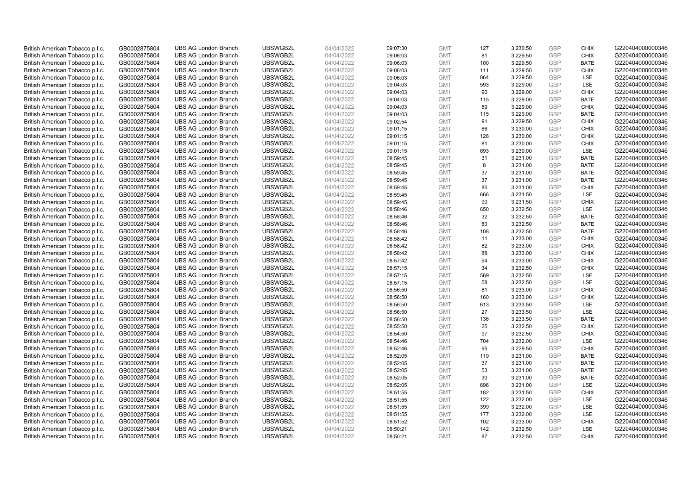| British American Tobacco p.l.c.                                    | GB0002875804                 | <b>UBS AG London Branch</b>                                | UBSWGB2L             | 04/04/2022               | 09:07:30             | <b>GMT</b>               | 127       | 3,230.50             | <b>GBP</b>               | <b>CHIX</b>        | G220404000000346                     |
|--------------------------------------------------------------------|------------------------------|------------------------------------------------------------|----------------------|--------------------------|----------------------|--------------------------|-----------|----------------------|--------------------------|--------------------|--------------------------------------|
| British American Tobacco p.l.c.                                    | GB0002875804                 | <b>UBS AG London Branch</b>                                | UBSWGB2L             | 04/04/2022               | 09:06:03             | <b>GMT</b>               | 81        | 3,229.50             | <b>GBP</b>               | <b>CHIX</b>        | G220404000000346                     |
| British American Tobacco p.l.c.                                    | GB0002875804                 | <b>UBS AG London Branch</b>                                | UBSWGB2L             | 04/04/2022               | 09:06:03             | <b>GMT</b>               | 100       | 3,229.50             | <b>GBP</b>               | <b>BATE</b>        | G220404000000346                     |
| British American Tobacco p.l.c.                                    | GB0002875804                 | <b>UBS AG London Branch</b>                                | UBSWGB2L             | 04/04/2022               | 09:06:03             | <b>GMT</b>               | 111       | 3,229.50             | <b>GBP</b>               | <b>CHIX</b>        | G220404000000346                     |
| British American Tobacco p.l.c.                                    | GB0002875804                 | <b>UBS AG London Branch</b>                                | UBSWGB2L             | 04/04/2022               | 09:06:03             | <b>GMT</b>               | 864       | 3,229.50             | <b>GBP</b>               | LSE                | G220404000000346                     |
| British American Tobacco p.l.c.                                    | GB0002875804                 | <b>UBS AG London Branch</b>                                | UBSWGB2L             | 04/04/2022               | 09:04:03             | <b>GMT</b>               | 593       | 3.229.00             | GBP                      | LSE                | G220404000000346                     |
| British American Tobacco p.l.c.                                    | GB0002875804                 | <b>UBS AG London Branch</b>                                | UBSWGB2L             | 04/04/2022               | 09:04:03             | <b>GMT</b>               | 90        | 3,229.00             | <b>GBP</b>               | <b>CHIX</b>        | G220404000000346                     |
| British American Tobacco p.l.c.                                    | GB0002875804                 | <b>UBS AG London Branch</b>                                | UBSWGB2L             | 04/04/2022               | 09:04:03             | <b>GMT</b>               | 115       | 3,229.00             | <b>GBP</b>               | <b>BATE</b>        | G220404000000346                     |
| British American Tobacco p.l.c.                                    | GB0002875804                 | <b>UBS AG London Branch</b>                                | UBSWGB2L             | 04/04/2022               | 09:04:03             | <b>GMT</b>               | 89        | 3,229.00             | <b>GBP</b>               | <b>CHIX</b>        | G220404000000346                     |
| British American Tobacco p.l.c.                                    | GB0002875804                 | <b>UBS AG London Branch</b>                                | UBSWGB2L             | 04/04/2022               | 09:04:03             | <b>GMT</b>               | 115       | 3,229.00             | <b>GBP</b>               | <b>BATE</b>        | G220404000000346                     |
| British American Tobacco p.l.c.                                    | GB0002875804                 | <b>UBS AG London Branch</b>                                | UBSWGB2L             | 04/04/2022               | 09:02:54             | <b>GMT</b>               | 91        | 3,229.50             | <b>GBP</b>               | <b>CHIX</b>        | G220404000000346                     |
| British American Tobacco p.l.c.                                    | GB0002875804                 | <b>UBS AG London Branch</b>                                | UBSWGB2L             | 04/04/2022               | 09:01:15             | <b>GMT</b>               | 86        | 3,230.00             | <b>GBP</b>               | <b>CHIX</b>        | G220404000000346                     |
| British American Tobacco p.l.c.                                    | GB0002875804                 | <b>UBS AG London Branch</b>                                | UBSWGB2L             | 04/04/2022               | 09:01:15             | <b>GMT</b>               | 128       | 3,230.00             | <b>GBP</b>               | <b>CHIX</b>        | G220404000000346                     |
| British American Tobacco p.l.c.                                    | GB0002875804                 | <b>UBS AG London Branch</b>                                | UBSWGB2L             | 04/04/2022               | 09:01:15             | <b>GMT</b>               | 81        | 3,230.00             | <b>GBP</b>               | <b>CHIX</b>        | G220404000000346                     |
| British American Tobacco p.l.c.                                    | GB0002875804                 | <b>UBS AG London Branch</b>                                | UBSWGB2L             | 04/04/2022               | 09:01:15             | <b>GMT</b>               | 693       | 3,230.00             | <b>GBP</b>               | LSE                | G220404000000346                     |
| British American Tobacco p.l.c.                                    | GB0002875804                 | <b>UBS AG London Branch</b>                                | UBSWGB2L             | 04/04/2022               | 08:59:45             | <b>GMT</b>               | 31        | 3,231.00             | <b>GBP</b>               | <b>BATE</b>        | G220404000000346                     |
| British American Tobacco p.l.c.                                    | GB0002875804                 | <b>UBS AG London Branch</b>                                | UBSWGB2L             | 04/04/2022               | 08:59:45             | <b>GMT</b>               | 8         | 3,231.00             | <b>GBP</b>               | <b>BATE</b>        | G220404000000346                     |
| British American Tobacco p.l.c.                                    | GB0002875804                 | <b>UBS AG London Branch</b>                                | UBSWGB2L             | 04/04/2022               | 08:59:45             | <b>GMT</b>               | 37        | 3,231.00             | <b>GBP</b>               | <b>BATE</b>        | G220404000000346                     |
| British American Tobacco p.l.c.                                    | GB0002875804                 | <b>UBS AG London Branch</b>                                | UBSWGB2L             | 04/04/2022               | 08:59:45             | <b>GMT</b>               | 37        | 3,231.00             | <b>GBP</b>               | <b>BATE</b>        | G220404000000346                     |
| British American Tobacco p.l.c.                                    | GB0002875804                 | <b>UBS AG London Branch</b>                                | UBSWGB2L             | 04/04/2022               | 08:59:45             | <b>GMT</b>               | 85        | 3,231.00             | <b>GBP</b>               | <b>CHIX</b>        | G220404000000346                     |
| British American Tobacco p.l.c.                                    | GB0002875804                 | <b>UBS AG London Branch</b>                                | UBSWGB2L             | 04/04/2022               | 08:59:45             | <b>GMT</b>               | 666       | 3,231.50             | <b>GBP</b>               | LSE                | G220404000000346                     |
| British American Tobacco p.l.c.                                    | GB0002875804                 | <b>UBS AG London Branch</b>                                | UBSWGB2L             | 04/04/2022               | 08:59:45             | <b>GMT</b>               | 90        | 3,231.50             | <b>GBP</b>               | <b>CHIX</b>        | G220404000000346                     |
| British American Tobacco p.l.c.                                    | GB0002875804                 | <b>UBS AG London Branch</b>                                | UBSWGB2L             | 04/04/2022               | 08:58:46             | <b>GMT</b>               | 650       | 3,232.50             | <b>GBP</b>               | LSE                | G220404000000346                     |
| British American Tobacco p.l.c.                                    | GB0002875804                 | <b>UBS AG London Branch</b>                                | UBSWGB2L             | 04/04/2022               | 08:58:46             | <b>GMT</b>               | 32        | 3,232.50             | <b>GBP</b>               | <b>BATE</b>        | G220404000000346                     |
| British American Tobacco p.l.c.                                    | GB0002875804                 | <b>UBS AG London Branch</b>                                | UBSWGB2L             | 04/04/2022               | 08:58:46             | <b>GMT</b>               | 80        | 3,232.50             | <b>GBP</b>               | <b>BATE</b>        | G220404000000346                     |
| British American Tobacco p.l.c.                                    | GB0002875804                 | <b>UBS AG London Branch</b>                                | UBSWGB2L             | 04/04/2022               | 08:58:46             | <b>GMT</b>               | 108       | 3,232.50             | <b>GBP</b>               | <b>BATE</b>        | G220404000000346                     |
| British American Tobacco p.l.c.                                    | GB0002875804                 | <b>UBS AG London Branch</b>                                | UBSWGB2L             | 04/04/2022               | 08:58:42             | <b>GMT</b>               | 11        | 3,233.00             | <b>GBP</b>               | <b>CHIX</b>        | G220404000000346                     |
| British American Tobacco p.l.c.                                    | GB0002875804                 | <b>UBS AG London Branch</b>                                | UBSWGB2L             | 04/04/2022               | 08:58:42             | <b>GMT</b>               | 82        | 3,233.00             | <b>GBP</b>               | <b>CHIX</b>        | G220404000000346                     |
| British American Tobacco p.l.c.                                    | GB0002875804                 | <b>UBS AG London Branch</b>                                | UBSWGB2L             | 04/04/2022               | 08:58:42             | <b>GMT</b>               | 88        | 3,233.00             | <b>GBP</b>               | <b>CHIX</b>        | G220404000000346                     |
| British American Tobacco p.l.c.                                    | GB0002875804                 | <b>UBS AG London Branch</b>                                | UBSWGB2L             | 04/04/2022               | 08:57:42             | <b>GMT</b>               | 94        | 3,233.00             | <b>GBP</b>               | <b>CHIX</b>        | G220404000000346                     |
| British American Tobacco p.l.c.                                    | GB0002875804                 | <b>UBS AG London Branch</b>                                | UBSWGB2L             | 04/04/2022               | 08:57:15             | <b>GMT</b>               | 34        | 3,232.50             | <b>GBP</b>               | <b>CHIX</b>        | G220404000000346                     |
| British American Tobacco p.l.c.                                    | GB0002875804                 | <b>UBS AG London Branch</b>                                | UBSWGB2L             | 04/04/2022               | 08:57:15             | <b>GMT</b>               | 569       | 3,232.50             | <b>GBP</b>               | LSE                | G220404000000346                     |
| British American Tobacco p.l.c.                                    | GB0002875804                 | <b>UBS AG London Branch</b>                                | UBSWGB2L             | 04/04/2022               | 08:57:15             | <b>GMT</b>               | 58        | 3,232.50             | <b>GBP</b>               | LSE                | G220404000000346                     |
| British American Tobacco p.l.c.                                    | GB0002875804                 | <b>UBS AG London Branch</b>                                | UBSWGB2L             | 04/04/2022               | 08:56:50             | <b>GMT</b>               | 81        | 3,233.00             | <b>GBP</b>               | <b>CHIX</b>        | G220404000000346                     |
| British American Tobacco p.l.c.                                    | GB0002875804                 | <b>UBS AG London Branch</b>                                | UBSWGB2L             | 04/04/2022               | 08:56:50             | <b>GMT</b>               | 160       | 3,233.00             | <b>GBP</b>               | <b>CHIX</b>        | G220404000000346                     |
| British American Tobacco p.l.c.                                    | GB0002875804                 | <b>UBS AG London Branch</b>                                | UBSWGB2L             | 04/04/2022               | 08:56:50             | <b>GMT</b>               | 613       | 3,233.50             | <b>GBP</b>               | LSE                | G220404000000346                     |
| British American Tobacco p.l.c.                                    | GB0002875804                 | <b>UBS AG London Branch</b>                                | UBSWGB2L             | 04/04/2022               | 08:56:50             | <b>GMT</b>               | 27        | 3.233.50             | <b>GBP</b>               | LSE                | G220404000000346                     |
| British American Tobacco p.l.c.                                    | GB0002875804                 | <b>UBS AG London Branch</b>                                | UBSWGB2L             | 04/04/2022               | 08:56:50             | <b>GMT</b>               | 136       | 3,233.50             | <b>GBP</b>               | <b>BATE</b>        | G220404000000346                     |
| British American Tobacco p.l.c.                                    | GB0002875804                 | <b>UBS AG London Branch</b>                                | UBSWGB2L             | 04/04/2022               | 08:55:50             | <b>GMT</b>               | 25        | 3,232.50             | <b>GBP</b>               | <b>CHIX</b>        | G220404000000346                     |
| British American Tobacco p.l.c.                                    | GB0002875804                 | <b>UBS AG London Branch</b>                                | UBSWGB2L             | 04/04/2022               | 08:54:50             | <b>GMT</b>               | 97<br>704 | 3,232.50             | <b>GBP</b><br><b>GBP</b> | <b>CHIX</b><br>LSE | G220404000000346                     |
| British American Tobacco p.l.c.                                    | GB0002875804                 | <b>UBS AG London Branch</b><br><b>UBS AG London Branch</b> | UBSWGB2L<br>UBSWGB2L | 04/04/2022               | 08:54:46             | <b>GMT</b><br><b>GMT</b> | 95        | 3,232.00<br>3,229.50 | <b>GBP</b>               | <b>CHIX</b>        | G220404000000346<br>G220404000000346 |
| British American Tobacco p.l.c.                                    | GB0002875804<br>GB0002875804 | <b>UBS AG London Branch</b>                                | UBSWGB2L             | 04/04/2022<br>04/04/2022 | 08:52:46<br>08:52:05 | <b>GMT</b>               | 119       |                      | <b>GBP</b>               | <b>BATE</b>        | G220404000000346                     |
| British American Tobacco p.l.c.<br>British American Tobacco p.l.c. | GB0002875804                 | <b>UBS AG London Branch</b>                                | UBSWGB2L             | 04/04/2022               | 08:52:05             | <b>GMT</b>               | 37        | 3,231.00<br>3,231.00 | <b>GBP</b>               | <b>BATE</b>        | G220404000000346                     |
| British American Tobacco p.l.c.                                    | GB0002875804                 | <b>UBS AG London Branch</b>                                | UBSWGB2L             | 04/04/2022               | 08:52:05             | <b>GMT</b>               | 53        | 3,231.00             | <b>GBP</b>               | <b>BATE</b>        | G220404000000346                     |
| British American Tobacco p.l.c.                                    | GB0002875804                 | <b>UBS AG London Branch</b>                                | UBSWGB2L             | 04/04/2022               | 08:52:05             | <b>GMT</b>               | 30        | 3,231.00             | <b>GBP</b>               | <b>BATE</b>        | G220404000000346                     |
| British American Tobacco p.l.c.                                    | GB0002875804                 | <b>UBS AG London Branch</b>                                | UBSWGB2L             | 04/04/2022               | 08:52:05             | <b>GMT</b>               | 696       | 3,231.00             | <b>GBP</b>               | LSE                | G220404000000346                     |
| British American Tobacco p.l.c.                                    | GB0002875804                 | <b>UBS AG London Branch</b>                                | UBSWGB2L             | 04/04/2022               | 08:51:55             | <b>GMT</b>               | 182       | 3,231.50             | <b>GBP</b>               | <b>CHIX</b>        | G220404000000346                     |
| British American Tobacco p.l.c.                                    | GB0002875804                 | <b>UBS AG London Branch</b>                                | UBSWGB2L             | 04/04/2022               | 08:51:55             | <b>GMT</b>               | 122       | 3,232.00             | <b>GBP</b>               | LSE                | G220404000000346                     |
| British American Tobacco p.l.c.                                    | GB0002875804                 | <b>UBS AG London Branch</b>                                | UBSWGB2L             | 04/04/2022               | 08:51:55             | <b>GMT</b>               | 399       | 3,232.00             | <b>GBP</b>               | LSE                | G220404000000346                     |
| British American Tobacco p.l.c.                                    | GB0002875804                 | <b>UBS AG London Branch</b>                                | UBSWGB2L             | 04/04/2022               | 08:51:55             | <b>GMT</b>               | 177       | 3,232.00             | <b>GBP</b>               | LSE                | G220404000000346                     |
| British American Tobacco p.l.c.                                    | GB0002875804                 | <b>UBS AG London Branch</b>                                | UBSWGB2L             | 04/04/2022               | 08:51:52             | <b>GMT</b>               | 102       | 3,233.00             | <b>GBP</b>               | <b>CHIX</b>        | G220404000000346                     |
| British American Tobacco p.l.c.                                    | GB0002875804                 | <b>UBS AG London Branch</b>                                | UBSWGB2L             | 04/04/2022               | 08:50:21             | <b>GMT</b>               | 142       | 3,232.50             | <b>GBP</b>               | <b>LSE</b>         | G220404000000346                     |
| British American Tobacco p.l.c.                                    | GB0002875804                 | <b>UBS AG London Branch</b>                                | UBSWGB2L             | 04/04/2022               | 08:50:21             | <b>GMT</b>               | 87        | 3.232.50             | GBP                      | <b>CHIX</b>        | G220404000000346                     |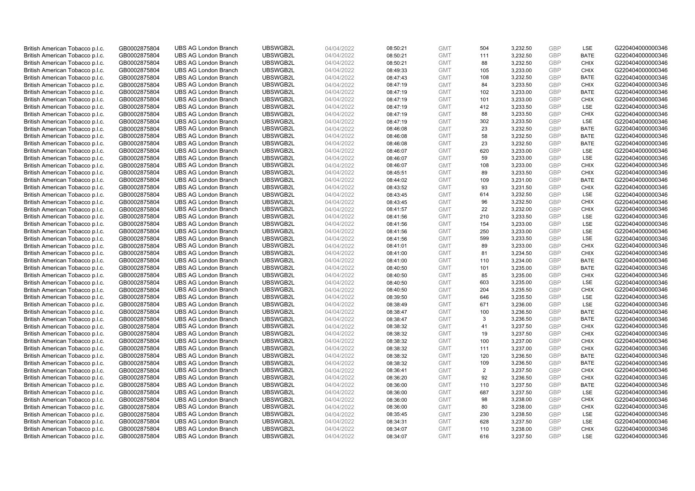| British American Tobacco p.l.c. | GB0002875804 | <b>UBS AG London Branch</b> | UBSWGB2L | 04/04/2022 | 08:50:21 | <b>GMT</b> | 504            | 3,232.50 | <b>GBP</b>               | LSE         | G220404000000346 |
|---------------------------------|--------------|-----------------------------|----------|------------|----------|------------|----------------|----------|--------------------------|-------------|------------------|
| British American Tobacco p.l.c. | GB0002875804 | <b>UBS AG London Branch</b> | UBSWGB2L | 04/04/2022 | 08:50:21 | <b>GMT</b> | 111            | 3,232.50 | <b>GBP</b>               | <b>BATE</b> | G220404000000346 |
| British American Tobacco p.l.c. | GB0002875804 | <b>UBS AG London Branch</b> | UBSWGB2L | 04/04/2022 | 08:50:21 | <b>GMT</b> | 88             | 3,232.50 | <b>GBP</b>               | <b>CHIX</b> | G220404000000346 |
|                                 |              |                             | UBSWGB2L |            |          |            |                |          | <b>GBP</b>               |             |                  |
| British American Tobacco p.l.c. | GB0002875804 | <b>UBS AG London Branch</b> |          | 04/04/2022 | 08:49:33 | <b>GMT</b> | 105            | 3,233.00 |                          | <b>CHIX</b> | G220404000000346 |
| British American Tobacco p.l.c. | GB0002875804 | <b>UBS AG London Branch</b> | UBSWGB2L | 04/04/2022 | 08:47:43 | <b>GMT</b> | 108            | 3,232.50 | <b>GBP</b>               | <b>BATE</b> | G220404000000346 |
| British American Tobacco p.l.c. | GB0002875804 | <b>UBS AG London Branch</b> | UBSWGB2L | 04/04/2022 | 08:47:19 | <b>GMT</b> | 84             | 3,233.50 | <b>GBP</b>               | <b>CHIX</b> | G220404000000346 |
| British American Tobacco p.l.c. | GB0002875804 | <b>UBS AG London Branch</b> | UBSWGB2L | 04/04/2022 | 08:47:19 | <b>GMT</b> | 102            | 3,233.00 | <b>GBP</b>               | <b>BATE</b> | G220404000000346 |
| British American Tobacco p.l.c. | GB0002875804 | <b>UBS AG London Branch</b> | UBSWGB2L | 04/04/2022 | 08:47:19 | <b>GMT</b> | 101            | 3,233.00 | <b>GBP</b>               | <b>CHIX</b> | G220404000000346 |
| British American Tobacco p.l.c. | GB0002875804 | <b>UBS AG London Branch</b> | UBSWGB2L | 04/04/2022 | 08:47:19 | <b>GMT</b> | 412            | 3,233.50 | <b>GBP</b>               | LSE         | G220404000000346 |
| British American Tobacco p.l.c. | GB0002875804 | <b>UBS AG London Branch</b> | UBSWGB2L | 04/04/2022 | 08:47:19 | <b>GMT</b> | 88             | 3,233.50 | <b>GBP</b>               | <b>CHIX</b> | G220404000000346 |
| British American Tobacco p.l.c. | GB0002875804 | <b>UBS AG London Branch</b> | UBSWGB2L | 04/04/2022 | 08:47:19 | <b>GMT</b> | 302            | 3,233.50 | <b>GBP</b>               | LSE         | G220404000000346 |
| British American Tobacco p.l.c. | GB0002875804 | <b>UBS AG London Branch</b> | UBSWGB2L | 04/04/2022 | 08:46:08 | <b>GMT</b> | 23             | 3,232.50 | <b>GBP</b>               | <b>BATE</b> | G220404000000346 |
| British American Tobacco p.l.c. | GB0002875804 | <b>UBS AG London Branch</b> | UBSWGB2L | 04/04/2022 | 08:46:08 | <b>GMT</b> | 58             | 3,232.50 | <b>GBP</b>               | <b>BATE</b> | G220404000000346 |
| British American Tobacco p.l.c. | GB0002875804 | <b>UBS AG London Branch</b> | UBSWGB2L | 04/04/2022 | 08:46:08 | <b>GMT</b> | 23             | 3,232.50 | <b>GBP</b>               | <b>BATE</b> | G220404000000346 |
| British American Tobacco p.l.c. | GB0002875804 | <b>UBS AG London Branch</b> | UBSWGB2L | 04/04/2022 | 08:46:07 | <b>GMT</b> | 620            | 3,233.00 | <b>GBP</b>               | LSE         | G220404000000346 |
| British American Tobacco p.l.c. | GB0002875804 | <b>UBS AG London Branch</b> | UBSWGB2L | 04/04/2022 | 08:46:07 | <b>GMT</b> | 59             | 3,233.00 | <b>GBP</b>               | LSE         | G220404000000346 |
| British American Tobacco p.l.c. | GB0002875804 | <b>UBS AG London Branch</b> | UBSWGB2L | 04/04/2022 | 08:46:07 | <b>GMT</b> | 108            | 3,233.00 | <b>GBP</b>               | <b>CHIX</b> | G220404000000346 |
| British American Tobacco p.l.c. | GB0002875804 | <b>UBS AG London Branch</b> | UBSWGB2L | 04/04/2022 | 08:45:51 | <b>GMT</b> | 89             | 3,233.50 | <b>GBP</b>               | <b>CHIX</b> | G220404000000346 |
| British American Tobacco p.l.c. | GB0002875804 | <b>UBS AG London Branch</b> | UBSWGB2L | 04/04/2022 | 08:44:02 | <b>GMT</b> | 109            | 3,231.00 | <b>GBP</b>               | <b>BATE</b> | G220404000000346 |
| British American Tobacco p.l.c. | GB0002875804 | <b>UBS AG London Branch</b> | UBSWGB2L | 04/04/2022 | 08:43:52 | <b>GMT</b> | 93             | 3,231.50 | <b>GBP</b>               | <b>CHIX</b> | G220404000000346 |
| British American Tobacco p.l.c. | GB0002875804 | <b>UBS AG London Branch</b> | UBSWGB2L | 04/04/2022 | 08:43:45 | <b>GMT</b> | 614            | 3,232.50 | <b>GBP</b>               | LSE         | G220404000000346 |
| British American Tobacco p.l.c. | GB0002875804 | <b>UBS AG London Branch</b> | UBSWGB2L | 04/04/2022 | 08:43:45 | <b>GMT</b> | 96             | 3,232.50 | <b>GBP</b>               | <b>CHIX</b> | G220404000000346 |
| British American Tobacco p.l.c. | GB0002875804 | <b>UBS AG London Branch</b> | UBSWGB2L | 04/04/2022 | 08:41:57 | <b>GMT</b> | 22             | 3,232.00 | <b>GBP</b>               | <b>CHIX</b> | G220404000000346 |
| British American Tobacco p.l.c. | GB0002875804 | <b>UBS AG London Branch</b> | UBSWGB2L | 04/04/2022 | 08:41:56 | <b>GMT</b> | 210            | 3,233.50 | <b>GBP</b>               | LSE         | G220404000000346 |
| British American Tobacco p.l.c. | GB0002875804 | <b>UBS AG London Branch</b> | UBSWGB2L | 04/04/2022 | 08:41:56 | <b>GMT</b> | 154            | 3,233.00 | <b>GBP</b>               | LSE         | G220404000000346 |
| British American Tobacco p.l.c. | GB0002875804 | <b>UBS AG London Branch</b> | UBSWGB2L | 04/04/2022 | 08:41:56 | <b>GMT</b> | 250            | 3,233.00 | <b>GBP</b>               | LSE         | G220404000000346 |
| British American Tobacco p.l.c. | GB0002875804 | <b>UBS AG London Branch</b> | UBSWGB2L | 04/04/2022 | 08:41:56 | <b>GMT</b> | 599            | 3,233.50 | <b>GBP</b>               | LSE         | G220404000000346 |
| British American Tobacco p.l.c. | GB0002875804 | <b>UBS AG London Branch</b> | UBSWGB2L | 04/04/2022 | 08:41:01 | <b>GMT</b> | 89             | 3,233.00 | <b>GBP</b>               | <b>CHIX</b> | G220404000000346 |
| British American Tobacco p.l.c. | GB0002875804 | <b>UBS AG London Branch</b> | UBSWGB2L | 04/04/2022 | 08:41:00 | <b>GMT</b> | 81             | 3,234.50 | <b>GBP</b>               | <b>CHIX</b> | G220404000000346 |
| British American Tobacco p.l.c. | GB0002875804 | <b>UBS AG London Branch</b> | UBSWGB2L | 04/04/2022 | 08:41:00 | <b>GMT</b> | 110            | 3,234.00 | <b>GBP</b>               | <b>BATE</b> | G220404000000346 |
| British American Tobacco p.l.c. | GB0002875804 | <b>UBS AG London Branch</b> | UBSWGB2L | 04/04/2022 | 08:40:50 | <b>GMT</b> | 101            | 3,235.00 | <b>GBP</b>               | <b>BATE</b> | G220404000000346 |
| British American Tobacco p.l.c. | GB0002875804 | <b>UBS AG London Branch</b> | UBSWGB2L | 04/04/2022 | 08:40:50 | <b>GMT</b> | 85             | 3,235.00 | <b>GBP</b>               | <b>CHIX</b> | G220404000000346 |
| British American Tobacco p.l.c. | GB0002875804 | <b>UBS AG London Branch</b> | UBSWGB2L | 04/04/2022 | 08:40:50 | <b>GMT</b> | 603            | 3,235.00 | <b>GBP</b>               | LSE         | G220404000000346 |
| British American Tobacco p.l.c. | GB0002875804 | <b>UBS AG London Branch</b> | UBSWGB2L | 04/04/2022 | 08:40:50 | <b>GMT</b> | 204            | 3,235.50 | <b>GBP</b>               | <b>CHIX</b> | G220404000000346 |
| British American Tobacco p.l.c. | GB0002875804 | <b>UBS AG London Branch</b> | UBSWGB2L | 04/04/2022 | 08:39:50 | <b>GMT</b> | 646            | 3,235.50 | <b>GBP</b>               | LSE         | G220404000000346 |
| British American Tobacco p.l.c. | GB0002875804 | <b>UBS AG London Branch</b> | UBSWGB2L | 04/04/2022 | 08:38:49 | <b>GMT</b> | 671            | 3,236.00 | <b>GBP</b>               | LSE         | G220404000000346 |
| British American Tobacco p.l.c. | GB0002875804 | <b>UBS AG London Branch</b> | UBSWGB2L | 04/04/2022 | 08:38:47 | <b>GMT</b> | 100            | 3,236.50 | <b>GBP</b>               | <b>BATE</b> | G220404000000346 |
| British American Tobacco p.l.c. | GB0002875804 | <b>UBS AG London Branch</b> | UBSWGB2L | 04/04/2022 | 08:38:47 | <b>GMT</b> | 3              | 3,236.50 | <b>GBP</b>               | <b>BATE</b> | G220404000000346 |
|                                 |              | <b>UBS AG London Branch</b> | UBSWGB2L |            |          | <b>GMT</b> | 41             |          |                          | <b>CHIX</b> | G220404000000346 |
| British American Tobacco p.l.c. | GB0002875804 |                             |          | 04/04/2022 | 08:38:32 |            |                | 3,237.50 | <b>GBP</b>               |             |                  |
| British American Tobacco p.l.c. | GB0002875804 | <b>UBS AG London Branch</b> | UBSWGB2L | 04/04/2022 | 08:38:32 | <b>GMT</b> | 19             | 3,237.50 | <b>GBP</b><br><b>GBP</b> | <b>CHIX</b> | G220404000000346 |
| British American Tobacco p.l.c. | GB0002875804 | <b>UBS AG London Branch</b> | UBSWGB2L | 04/04/2022 | 08:38:32 | <b>GMT</b> | 100            | 3,237.00 |                          | <b>CHIX</b> | G220404000000346 |
| British American Tobacco p.l.c. | GB0002875804 | <b>UBS AG London Branch</b> | UBSWGB2L | 04/04/2022 | 08:38:32 | <b>GMT</b> | 111            | 3,237.00 | <b>GBP</b>               | <b>CHIX</b> | G220404000000346 |
| British American Tobacco p.l.c. | GB0002875804 | <b>UBS AG London Branch</b> | UBSWGB2L | 04/04/2022 | 08:38:32 | <b>GMT</b> | 120            | 3,236.50 | <b>GBP</b>               | <b>BATE</b> | G220404000000346 |
| British American Tobacco p.l.c. | GB0002875804 | <b>UBS AG London Branch</b> | UBSWGB2L | 04/04/2022 | 08:38:32 | <b>GMT</b> | 109            | 3,236.50 | <b>GBP</b>               | <b>BATE</b> | G220404000000346 |
| British American Tobacco p.l.c. | GB0002875804 | <b>UBS AG London Branch</b> | UBSWGB2L | 04/04/2022 | 08:36:41 | <b>GMT</b> | $\overline{2}$ | 3,237.50 | <b>GBP</b>               | <b>CHIX</b> | G220404000000346 |
| British American Tobacco p.l.c. | GB0002875804 | <b>UBS AG London Branch</b> | UBSWGB2L | 04/04/2022 | 08:36:20 | <b>GMT</b> | 92             | 3,236.50 | <b>GBP</b>               | <b>CHIX</b> | G220404000000346 |
| British American Tobacco p.l.c. | GB0002875804 | <b>UBS AG London Branch</b> | UBSWGB2L | 04/04/2022 | 08:36:00 | <b>GMT</b> | 110            | 3,237.50 | <b>GBP</b>               | <b>BATE</b> | G220404000000346 |
| British American Tobacco p.l.c. | GB0002875804 | <b>UBS AG London Branch</b> | UBSWGB2L | 04/04/2022 | 08:36:00 | <b>GMT</b> | 687            | 3,237.50 | <b>GBP</b>               | LSE         | G220404000000346 |
| British American Tobacco p.l.c. | GB0002875804 | <b>UBS AG London Branch</b> | UBSWGB2L | 04/04/2022 | 08:36:00 | <b>GMT</b> | 98             | 3,238.00 | <b>GBP</b>               | <b>CHIX</b> | G220404000000346 |
| British American Tobacco p.l.c. | GB0002875804 | <b>UBS AG London Branch</b> | UBSWGB2L | 04/04/2022 | 08:36:00 | <b>GMT</b> | 80             | 3,238.00 | <b>GBP</b>               | <b>CHIX</b> | G220404000000346 |
| British American Tobacco p.l.c. | GB0002875804 | <b>UBS AG London Branch</b> | UBSWGB2L | 04/04/2022 | 08:35:45 | <b>GMT</b> | 230            | 3,238.50 | <b>GBP</b>               | LSE         | G220404000000346 |
| British American Tobacco p.l.c. | GB0002875804 | <b>UBS AG London Branch</b> | UBSWGB2L | 04/04/2022 | 08:34:31 | <b>GMT</b> | 628            | 3,237.50 | <b>GBP</b>               | LSE         | G220404000000346 |
| British American Tobacco p.l.c. | GB0002875804 | <b>UBS AG London Branch</b> | UBSWGB2L | 04/04/2022 | 08:34:07 | <b>GMT</b> | 110            | 3,238.00 | <b>GBP</b>               | <b>CHIX</b> | G220404000000346 |
| British American Tobacco p.l.c. | GB0002875804 | <b>UBS AG London Branch</b> | UBSWGB2L | 04/04/2022 | 08:34:07 | <b>GMT</b> | 616            | 3,237.50 | GBP                      | LSE         | G220404000000346 |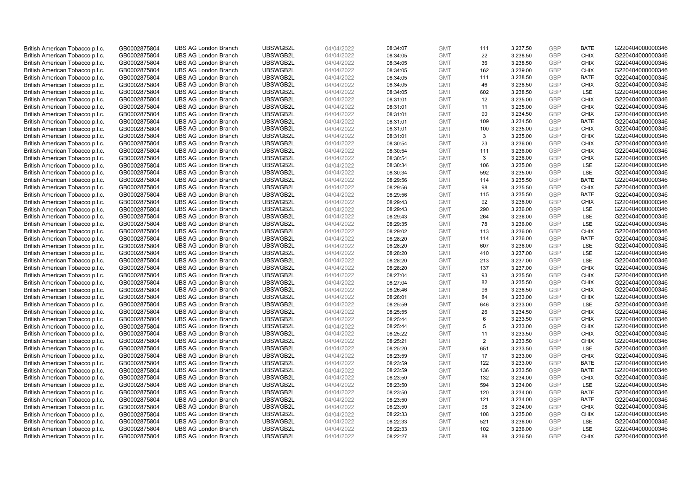| British American Tobacco p.l.c. | GB0002875804 | <b>UBS AG London Branch</b> | UBSWGB2L | 04/04/2022 | 08:34:07 | <b>GMT</b> | 111            | 3,237.50 | <b>GBP</b> | <b>BATE</b> | G220404000000346 |
|---------------------------------|--------------|-----------------------------|----------|------------|----------|------------|----------------|----------|------------|-------------|------------------|
|                                 | GB0002875804 | <b>UBS AG London Branch</b> | UBSWGB2L | 04/04/2022 |          | <b>GMT</b> | 22             | 3,238.50 | <b>GBP</b> | <b>CHIX</b> | G220404000000346 |
| British American Tobacco p.l.c. |              |                             |          |            | 08:34:05 |            |                |          |            |             |                  |
| British American Tobacco p.l.c. | GB0002875804 | <b>UBS AG London Branch</b> | UBSWGB2L | 04/04/2022 | 08:34:05 | <b>GMT</b> | 36             | 3,238.50 | <b>GBP</b> | <b>CHIX</b> | G220404000000346 |
| British American Tobacco p.l.c. | GB0002875804 | <b>UBS AG London Branch</b> | UBSWGB2L | 04/04/2022 | 08:34:05 | <b>GMT</b> | 162            | 3,239.00 | <b>GBP</b> | <b>CHIX</b> | G220404000000346 |
| British American Tobacco p.l.c. | GB0002875804 | <b>UBS AG London Branch</b> | UBSWGB2L | 04/04/2022 | 08:34:05 | <b>GMT</b> | 111            | 3,238.50 | <b>GBP</b> | <b>BATE</b> | G220404000000346 |
| British American Tobacco p.l.c. | GB0002875804 | <b>UBS AG London Branch</b> | UBSWGB2L | 04/04/2022 | 08:34:05 | <b>GMT</b> | 46             | 3,238.50 | <b>GBP</b> | <b>CHIX</b> | G220404000000346 |
| British American Tobacco p.l.c. | GB0002875804 | <b>UBS AG London Branch</b> | UBSWGB2L | 04/04/2022 | 08:34:05 | <b>GMT</b> | 602            | 3,238.50 | <b>GBP</b> | LSE         | G220404000000346 |
| British American Tobacco p.l.c. | GB0002875804 | <b>UBS AG London Branch</b> | UBSWGB2L | 04/04/2022 | 08:31:01 | <b>GMT</b> | 12             | 3,235.00 | <b>GBP</b> | <b>CHIX</b> | G220404000000346 |
| British American Tobacco p.l.c. | GB0002875804 | <b>UBS AG London Branch</b> | UBSWGB2L | 04/04/2022 | 08:31:01 | <b>GMT</b> | 11             | 3,235.00 | <b>GBP</b> | <b>CHIX</b> | G220404000000346 |
| British American Tobacco p.l.c. | GB0002875804 | <b>UBS AG London Branch</b> | UBSWGB2L | 04/04/2022 | 08:31:01 | <b>GMT</b> | 90             | 3,234.50 | <b>GBP</b> | <b>CHIX</b> | G220404000000346 |
| British American Tobacco p.l.c. | GB0002875804 | <b>UBS AG London Branch</b> | UBSWGB2L | 04/04/2022 | 08:31:01 | <b>GMT</b> | 109            | 3,234.50 | <b>GBP</b> | <b>BATE</b> | G220404000000346 |
| British American Tobacco p.l.c. | GB0002875804 | <b>UBS AG London Branch</b> | UBSWGB2L | 04/04/2022 | 08:31:01 | <b>GMT</b> | 100            | 3,235.00 | <b>GBP</b> | <b>CHIX</b> | G220404000000346 |
| British American Tobacco p.l.c. | GB0002875804 | <b>UBS AG London Branch</b> | UBSWGB2L | 04/04/2022 | 08:31:01 | <b>GMT</b> | 3              | 3,235.00 | <b>GBP</b> | <b>CHIX</b> | G220404000000346 |
| British American Tobacco p.l.c. | GB0002875804 | <b>UBS AG London Branch</b> | UBSWGB2L | 04/04/2022 | 08:30:54 | <b>GMT</b> | 23             | 3,236.00 | <b>GBP</b> | <b>CHIX</b> | G220404000000346 |
| British American Tobacco p.l.c. | GB0002875804 | <b>UBS AG London Branch</b> | UBSWGB2L | 04/04/2022 | 08:30:54 | <b>GMT</b> | 111            | 3,236.00 | <b>GBP</b> | <b>CHIX</b> | G220404000000346 |
| British American Tobacco p.l.c. | GB0002875804 | <b>UBS AG London Branch</b> | UBSWGB2L | 04/04/2022 | 08:30:54 | <b>GMT</b> | 3              | 3,236.00 | <b>GBP</b> | <b>CHIX</b> | G220404000000346 |
| British American Tobacco p.l.c. | GB0002875804 | <b>UBS AG London Branch</b> | UBSWGB2L | 04/04/2022 | 08:30:34 | <b>GMT</b> | 106            | 3,235.00 | <b>GBP</b> | LSE         | G220404000000346 |
| British American Tobacco p.l.c. | GB0002875804 | <b>UBS AG London Branch</b> | UBSWGB2L | 04/04/2022 | 08:30:34 | <b>GMT</b> | 592            | 3,235.00 | <b>GBP</b> | LSE         | G220404000000346 |
|                                 |              | <b>UBS AG London Branch</b> | UBSWGB2L |            |          |            | 114            |          |            | <b>BATE</b> |                  |
| British American Tobacco p.l.c. | GB0002875804 |                             |          | 04/04/2022 | 08:29:56 | <b>GMT</b> |                | 3,235.50 | <b>GBP</b> |             | G220404000000346 |
| British American Tobacco p.l.c. | GB0002875804 | <b>UBS AG London Branch</b> | UBSWGB2L | 04/04/2022 | 08:29:56 | <b>GMT</b> | 98             | 3,235.50 | <b>GBP</b> | <b>CHIX</b> | G220404000000346 |
| British American Tobacco p.l.c. | GB0002875804 | <b>UBS AG London Branch</b> | UBSWGB2L | 04/04/2022 | 08:29:56 | <b>GMT</b> | 115            | 3,235.50 | <b>GBP</b> | <b>BATE</b> | G220404000000346 |
| British American Tobacco p.l.c. | GB0002875804 | <b>UBS AG London Branch</b> | UBSWGB2L | 04/04/2022 | 08:29:43 | <b>GMT</b> | 92             | 3,236.00 | <b>GBP</b> | <b>CHIX</b> | G220404000000346 |
| British American Tobacco p.l.c. | GB0002875804 | <b>UBS AG London Branch</b> | UBSWGB2L | 04/04/2022 | 08:29:43 | <b>GMT</b> | 290            | 3,236.00 | <b>GBP</b> | LSE         | G220404000000346 |
| British American Tobacco p.l.c. | GB0002875804 | <b>UBS AG London Branch</b> | UBSWGB2L | 04/04/2022 | 08:29:43 | <b>GMT</b> | 264            | 3,236.00 | <b>GBP</b> | LSE         | G220404000000346 |
| British American Tobacco p.l.c. | GB0002875804 | <b>UBS AG London Branch</b> | UBSWGB2L | 04/04/2022 | 08:29:35 | <b>GMT</b> | 78             | 3,236.00 | <b>GBP</b> | LSE         | G220404000000346 |
| British American Tobacco p.l.c. | GB0002875804 | <b>UBS AG London Branch</b> | UBSWGB2L | 04/04/2022 | 08:29:02 | <b>GMT</b> | 113            | 3,236.00 | <b>GBP</b> | <b>CHIX</b> | G220404000000346 |
| British American Tobacco p.l.c. | GB0002875804 | <b>UBS AG London Branch</b> | UBSWGB2L | 04/04/2022 | 08:28:20 | <b>GMT</b> | 114            | 3,236.00 | <b>GBP</b> | <b>BATE</b> | G220404000000346 |
| British American Tobacco p.l.c. | GB0002875804 | <b>UBS AG London Branch</b> | UBSWGB2L | 04/04/2022 | 08:28:20 | <b>GMT</b> | 607            | 3,236.00 | <b>GBP</b> | LSE         | G220404000000346 |
| British American Tobacco p.l.c. | GB0002875804 | <b>UBS AG London Branch</b> | UBSWGB2L | 04/04/2022 | 08:28:20 | <b>GMT</b> | 410            | 3,237.00 | <b>GBP</b> | LSE         | G220404000000346 |
| British American Tobacco p.l.c. | GB0002875804 | <b>UBS AG London Branch</b> | UBSWGB2L | 04/04/2022 | 08:28:20 | <b>GMT</b> | 213            | 3,237.00 | <b>GBP</b> | LSE         | G220404000000346 |
| British American Tobacco p.l.c. | GB0002875804 | <b>UBS AG London Branch</b> | UBSWGB2L | 04/04/2022 | 08:28:20 | <b>GMT</b> | 137            | 3,237.00 | <b>GBP</b> | <b>CHIX</b> | G220404000000346 |
| British American Tobacco p.l.c. | GB0002875804 | <b>UBS AG London Branch</b> | UBSWGB2L | 04/04/2022 | 08:27:04 | <b>GMT</b> | 93             | 3,235.50 | <b>GBP</b> | <b>CHIX</b> | G220404000000346 |
| British American Tobacco p.l.c. | GB0002875804 | <b>UBS AG London Branch</b> | UBSWGB2L | 04/04/2022 | 08:27:04 | <b>GMT</b> | 82             | 3,235.50 | <b>GBP</b> | <b>CHIX</b> | G220404000000346 |
| British American Tobacco p.l.c. | GB0002875804 | <b>UBS AG London Branch</b> | UBSWGB2L | 04/04/2022 | 08:26:46 | <b>GMT</b> | 96             | 3,236.50 | <b>GBP</b> | <b>CHIX</b> | G220404000000346 |
| British American Tobacco p.l.c. | GB0002875804 | <b>UBS AG London Branch</b> | UBSWGB2L | 04/04/2022 | 08:26:01 | <b>GMT</b> | 84             | 3,233.00 | <b>GBP</b> | <b>CHIX</b> | G220404000000346 |
| British American Tobacco p.l.c. | GB0002875804 | <b>UBS AG London Branch</b> | UBSWGB2L | 04/04/2022 | 08:25:59 | <b>GMT</b> | 646            | 3,233.00 | <b>GBP</b> | LSE         | G220404000000346 |
| British American Tobacco p.l.c. | GB0002875804 | <b>UBS AG London Branch</b> | UBSWGB2L | 04/04/2022 | 08:25:55 | <b>GMT</b> | 26             | 3,234.50 | <b>GBP</b> | <b>CHIX</b> | G220404000000346 |
| British American Tobacco p.l.c. | GB0002875804 | <b>UBS AG London Branch</b> | UBSWGB2L | 04/04/2022 | 08:25:44 | <b>GMT</b> | 6              | 3,233.50 | <b>GBP</b> | <b>CHIX</b> | G220404000000346 |
| British American Tobacco p.l.c. | GB0002875804 | <b>UBS AG London Branch</b> | UBSWGB2L | 04/04/2022 | 08:25:44 | <b>GMT</b> | 5              | 3,233.00 | <b>GBP</b> | <b>CHIX</b> | G220404000000346 |
| British American Tobacco p.l.c. | GB0002875804 | <b>UBS AG London Branch</b> | UBSWGB2L | 04/04/2022 | 08:25:22 | <b>GMT</b> | 11             | 3,233.50 | <b>GBP</b> | <b>CHIX</b> | G220404000000346 |
| British American Tobacco p.l.c. | GB0002875804 | <b>UBS AG London Branch</b> | UBSWGB2L | 04/04/2022 | 08:25:21 | <b>GMT</b> | $\overline{2}$ | 3,233.50 | <b>GBP</b> | <b>CHIX</b> | G220404000000346 |
| British American Tobacco p.l.c. | GB0002875804 | <b>UBS AG London Branch</b> | UBSWGB2L | 04/04/2022 | 08:25:20 | <b>GMT</b> | 651            | 3,233.50 | <b>GBP</b> | LSE         | G220404000000346 |
| British American Tobacco p.l.c. | GB0002875804 | <b>UBS AG London Branch</b> | UBSWGB2L | 04/04/2022 | 08:23:59 | <b>GMT</b> | 17             | 3,233.00 | <b>GBP</b> | <b>CHIX</b> | G220404000000346 |
| British American Tobacco p.l.c. | GB0002875804 | <b>UBS AG London Branch</b> | UBSWGB2L | 04/04/2022 | 08:23:59 | <b>GMT</b> | 122            | 3,233.00 | <b>GBP</b> | <b>BATE</b> | G220404000000346 |
| British American Tobacco p.l.c. | GB0002875804 | <b>UBS AG London Branch</b> | UBSWGB2L | 04/04/2022 | 08:23:59 | <b>GMT</b> | 136            | 3,233.50 | <b>GBP</b> | <b>BATE</b> | G220404000000346 |
| British American Tobacco p.l.c. | GB0002875804 | <b>UBS AG London Branch</b> | UBSWGB2L | 04/04/2022 | 08:23:50 | <b>GMT</b> | 132            | 3,234.00 | <b>GBP</b> | <b>CHIX</b> | G220404000000346 |
| British American Tobacco p.l.c. | GB0002875804 | <b>UBS AG London Branch</b> | UBSWGB2L | 04/04/2022 | 08:23:50 | <b>GMT</b> | 594            | 3,234.00 | <b>GBP</b> | <b>LSE</b>  | G220404000000346 |
| British American Tobacco p.l.c. | GB0002875804 | <b>UBS AG London Branch</b> | UBSWGB2L | 04/04/2022 | 08:23:50 | <b>GMT</b> | 120            | 3,234.00 | <b>GBP</b> | <b>BATE</b> | G220404000000346 |
|                                 |              |                             |          |            |          | <b>GMT</b> |                |          | <b>GBP</b> |             |                  |
| British American Tobacco p.l.c. | GB0002875804 | <b>UBS AG London Branch</b> | UBSWGB2L | 04/04/2022 | 08:23:50 |            | 121            | 3,234.00 | <b>GBP</b> | <b>BATE</b> | G220404000000346 |
| British American Tobacco p.l.c. | GB0002875804 | <b>UBS AG London Branch</b> | UBSWGB2L | 04/04/2022 | 08:23:50 | <b>GMT</b> | 98             | 3,234.00 |            | <b>CHIX</b> | G220404000000346 |
| British American Tobacco p.l.c. | GB0002875804 | <b>UBS AG London Branch</b> | UBSWGB2L | 04/04/2022 | 08:22:33 | <b>GMT</b> | 108            | 3,235.00 | <b>GBP</b> | <b>CHIX</b> | G220404000000346 |
| British American Tobacco p.l.c. | GB0002875804 | <b>UBS AG London Branch</b> | UBSWGB2L | 04/04/2022 | 08:22:33 | <b>GMT</b> | 521            | 3,236.00 | <b>GBP</b> | LSE         | G220404000000346 |
| British American Tobacco p.l.c. | GB0002875804 | <b>UBS AG London Branch</b> | UBSWGB2L | 04/04/2022 | 08:22:33 | <b>GMT</b> | 102            | 3,236.00 | <b>GBP</b> | LSE         | G220404000000346 |
| British American Tobacco p.l.c. | GB0002875804 | <b>UBS AG London Branch</b> | UBSWGB2L | 04/04/2022 | 08:22:27 | <b>GMT</b> | 88             | 3.236.50 | GBP        | <b>CHIX</b> | G220404000000346 |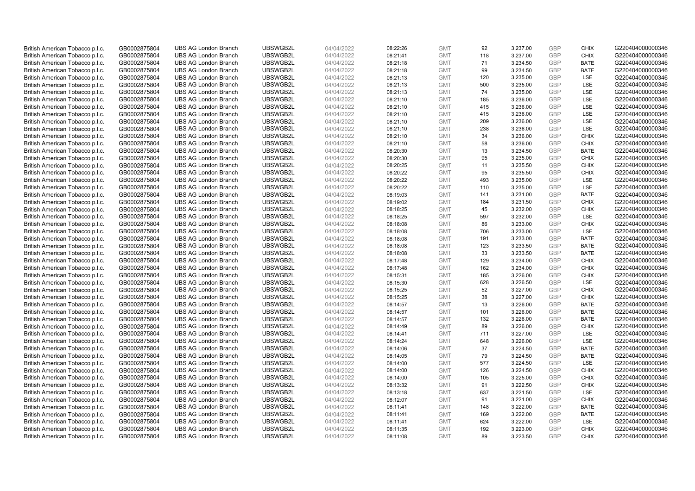| British American Tobacco p.l.c. | GB0002875804 | <b>UBS AG London Branch</b> | UBSWGB2L | 04/04/2022 | 08:22:26 | <b>GMT</b> | 92  | 3,237.00 | <b>GBP</b>               | <b>CHIX</b> | G220404000000346 |
|---------------------------------|--------------|-----------------------------|----------|------------|----------|------------|-----|----------|--------------------------|-------------|------------------|
|                                 |              |                             |          |            |          |            |     |          |                          | <b>CHIX</b> |                  |
| British American Tobacco p.l.c. | GB0002875804 | <b>UBS AG London Branch</b> | UBSWGB2L | 04/04/2022 | 08:21:41 | <b>GMT</b> | 118 | 3,237.00 | <b>GBP</b>               |             | G220404000000346 |
| British American Tobacco p.l.c. | GB0002875804 | <b>UBS AG London Branch</b> | UBSWGB2L | 04/04/2022 | 08:21:18 | <b>GMT</b> | 71  | 3,234.50 | <b>GBP</b>               | <b>BATE</b> | G220404000000346 |
| British American Tobacco p.l.c. | GB0002875804 | <b>UBS AG London Branch</b> | UBSWGB2L | 04/04/2022 | 08:21:18 | <b>GMT</b> | 99  | 3,234.50 | <b>GBP</b>               | <b>BATE</b> | G220404000000346 |
| British American Tobacco p.l.c. | GB0002875804 | <b>UBS AG London Branch</b> | UBSWGB2L | 04/04/2022 | 08:21:13 | <b>GMT</b> | 120 | 3,235.00 | <b>GBP</b>               | LSE         | G220404000000346 |
| British American Tobacco p.l.c. | GB0002875804 | <b>UBS AG London Branch</b> | UBSWGB2L | 04/04/2022 | 08:21:13 | <b>GMT</b> | 500 | 3,235.00 | <b>GBP</b>               | LSE         | G220404000000346 |
| British American Tobacco p.l.c. | GB0002875804 | <b>UBS AG London Branch</b> | UBSWGB2L | 04/04/2022 | 08:21:13 | <b>GMT</b> | 74  | 3,235.00 | <b>GBP</b>               | LSE         | G220404000000346 |
| British American Tobacco p.l.c. | GB0002875804 | <b>UBS AG London Branch</b> | UBSWGB2L | 04/04/2022 | 08:21:10 | <b>GMT</b> | 185 | 3,236.00 | <b>GBP</b>               | LSE         | G220404000000346 |
| British American Tobacco p.l.c. | GB0002875804 | <b>UBS AG London Branch</b> | UBSWGB2L | 04/04/2022 | 08:21:10 | <b>GMT</b> | 415 | 3,236.00 | <b>GBP</b>               | LSE         | G220404000000346 |
| British American Tobacco p.l.c. | GB0002875804 | <b>UBS AG London Branch</b> | UBSWGB2L | 04/04/2022 | 08:21:10 | <b>GMT</b> | 415 | 3,236.00 | <b>GBP</b>               | LSE         | G220404000000346 |
| British American Tobacco p.l.c. | GB0002875804 | <b>UBS AG London Branch</b> | UBSWGB2L | 04/04/2022 | 08:21:10 | <b>GMT</b> | 209 | 3,236.00 | <b>GBP</b>               | LSE         | G220404000000346 |
| British American Tobacco p.l.c. | GB0002875804 | <b>UBS AG London Branch</b> | UBSWGB2L | 04/04/2022 | 08:21:10 | <b>GMT</b> | 238 | 3,236.00 | <b>GBP</b>               | LSE         | G220404000000346 |
| British American Tobacco p.l.c. | GB0002875804 | <b>UBS AG London Branch</b> | UBSWGB2L | 04/04/2022 | 08:21:10 | <b>GMT</b> | 34  | 3,236.00 | <b>GBP</b>               | <b>CHIX</b> | G220404000000346 |
| British American Tobacco p.l.c. | GB0002875804 | <b>UBS AG London Branch</b> | UBSWGB2L | 04/04/2022 | 08:21:10 | <b>GMT</b> | 58  | 3,236.00 | <b>GBP</b>               | <b>CHIX</b> | G220404000000346 |
| British American Tobacco p.l.c. | GB0002875804 | <b>UBS AG London Branch</b> | UBSWGB2L | 04/04/2022 | 08:20:30 | <b>GMT</b> | 13  | 3,234.50 | <b>GBP</b>               | <b>BATE</b> | G220404000000346 |
| British American Tobacco p.l.c. | GB0002875804 | <b>UBS AG London Branch</b> | UBSWGB2L | 04/04/2022 | 08:20:30 | <b>GMT</b> | 95  | 3,235.00 | <b>GBP</b>               | <b>CHIX</b> | G220404000000346 |
|                                 | GB0002875804 | <b>UBS AG London Branch</b> | UBSWGB2L | 04/04/2022 | 08:20:25 | <b>GMT</b> | 11  |          | <b>GBP</b>               | <b>CHIX</b> | G220404000000346 |
| British American Tobacco p.l.c. |              |                             |          |            |          |            | 95  | 3,235.50 | <b>GBP</b>               | <b>CHIX</b> |                  |
| British American Tobacco p.l.c. | GB0002875804 | <b>UBS AG London Branch</b> | UBSWGB2L | 04/04/2022 | 08:20:22 | <b>GMT</b> |     | 3,235.50 |                          |             | G220404000000346 |
| British American Tobacco p.l.c. | GB0002875804 | <b>UBS AG London Branch</b> | UBSWGB2L | 04/04/2022 | 08:20:22 | <b>GMT</b> | 493 | 3,235.00 | <b>GBP</b>               | <b>LSE</b>  | G220404000000346 |
| British American Tobacco p.l.c. | GB0002875804 | <b>UBS AG London Branch</b> | UBSWGB2L | 04/04/2022 | 08:20:22 | <b>GMT</b> | 110 | 3,235.00 | <b>GBP</b>               | LSE         | G220404000000346 |
| British American Tobacco p.l.c. | GB0002875804 | <b>UBS AG London Branch</b> | UBSWGB2L | 04/04/2022 | 08:19:03 | <b>GMT</b> | 141 | 3,231.00 | <b>GBP</b>               | <b>BATE</b> | G220404000000346 |
| British American Tobacco p.l.c. | GB0002875804 | <b>UBS AG London Branch</b> | UBSWGB2L | 04/04/2022 | 08:19:02 | <b>GMT</b> | 184 | 3,231.50 | <b>GBP</b>               | <b>CHIX</b> | G220404000000346 |
| British American Tobacco p.l.c. | GB0002875804 | <b>UBS AG London Branch</b> | UBSWGB2L | 04/04/2022 | 08:18:25 | <b>GMT</b> | 45  | 3,232.00 | <b>GBP</b>               | <b>CHIX</b> | G220404000000346 |
| British American Tobacco p.l.c. | GB0002875804 | <b>UBS AG London Branch</b> | UBSWGB2L | 04/04/2022 | 08:18:25 | <b>GMT</b> | 597 | 3,232.00 | <b>GBP</b>               | LSE         | G220404000000346 |
| British American Tobacco p.l.c. | GB0002875804 | <b>UBS AG London Branch</b> | UBSWGB2L | 04/04/2022 | 08:18:08 | <b>GMT</b> | 86  | 3,233.00 | <b>GBP</b>               | <b>CHIX</b> | G220404000000346 |
| British American Tobacco p.l.c. | GB0002875804 | <b>UBS AG London Branch</b> | UBSWGB2L | 04/04/2022 | 08:18:08 | <b>GMT</b> | 706 | 3,233.00 | <b>GBP</b>               | LSE         | G220404000000346 |
| British American Tobacco p.l.c. | GB0002875804 | <b>UBS AG London Branch</b> | UBSWGB2L | 04/04/2022 | 08:18:08 | <b>GMT</b> | 191 | 3,233.00 | <b>GBP</b>               | <b>BATE</b> | G220404000000346 |
| British American Tobacco p.l.c. | GB0002875804 | <b>UBS AG London Branch</b> | UBSWGB2L | 04/04/2022 | 08:18:08 | <b>GMT</b> | 123 | 3,233.50 | <b>GBP</b>               | <b>BATE</b> | G220404000000346 |
| British American Tobacco p.l.c. | GB0002875804 | <b>UBS AG London Branch</b> | UBSWGB2L | 04/04/2022 | 08:18:08 | <b>GMT</b> | 33  | 3,233.50 | <b>GBP</b>               | <b>BATE</b> | G220404000000346 |
| British American Tobacco p.l.c. | GB0002875804 | <b>UBS AG London Branch</b> | UBSWGB2L | 04/04/2022 | 08:17:48 | <b>GMT</b> | 129 | 3,234.00 | <b>GBP</b>               | <b>CHIX</b> | G220404000000346 |
| British American Tobacco p.l.c. | GB0002875804 | <b>UBS AG London Branch</b> | UBSWGB2L | 04/04/2022 | 08:17:48 | <b>GMT</b> | 162 | 3,234.00 | <b>GBP</b>               | <b>CHIX</b> | G220404000000346 |
| British American Tobacco p.l.c. | GB0002875804 | <b>UBS AG London Branch</b> | UBSWGB2L | 04/04/2022 | 08:15:31 | <b>GMT</b> | 185 | 3,226.00 | <b>GBP</b>               | <b>CHIX</b> | G220404000000346 |
| British American Tobacco p.l.c. | GB0002875804 | <b>UBS AG London Branch</b> | UBSWGB2L | 04/04/2022 | 08:15:30 | <b>GMT</b> | 628 | 3,226.50 | <b>GBP</b>               | LSE         | G220404000000346 |
| British American Tobacco p.l.c. | GB0002875804 | <b>UBS AG London Branch</b> | UBSWGB2L | 04/04/2022 | 08:15:25 | <b>GMT</b> | 52  | 3,227.00 | <b>GBP</b>               | <b>CHIX</b> | G220404000000346 |
| British American Tobacco p.l.c. | GB0002875804 | <b>UBS AG London Branch</b> | UBSWGB2L | 04/04/2022 | 08:15:25 | <b>GMT</b> | 38  | 3,227.00 | <b>GBP</b>               | <b>CHIX</b> | G220404000000346 |
| British American Tobacco p.l.c. | GB0002875804 | <b>UBS AG London Branch</b> | UBSWGB2L | 04/04/2022 | 08:14:57 | <b>GMT</b> | 13  | 3,226.00 | <b>GBP</b>               | <b>BATE</b> | G220404000000346 |
| British American Tobacco p.l.c. | GB0002875804 | <b>UBS AG London Branch</b> | UBSWGB2L | 04/04/2022 | 08:14:57 | <b>GMT</b> | 101 | 3,226.00 | <b>GBP</b>               | <b>BATE</b> | G220404000000346 |
| British American Tobacco p.l.c. | GB0002875804 | <b>UBS AG London Branch</b> | UBSWGB2L | 04/04/2022 | 08:14:57 | <b>GMT</b> | 132 | 3,226.00 | <b>GBP</b>               | <b>BATE</b> | G220404000000346 |
| British American Tobacco p.l.c. | GB0002875804 | <b>UBS AG London Branch</b> | UBSWGB2L | 04/04/2022 | 08:14:49 | <b>GMT</b> | 89  | 3,226.00 | <b>GBP</b>               | <b>CHIX</b> | G220404000000346 |
| British American Tobacco p.l.c. | GB0002875804 | <b>UBS AG London Branch</b> | UBSWGB2L | 04/04/2022 | 08:14:41 | <b>GMT</b> | 711 | 3,227.00 | <b>GBP</b>               | LSE         | G220404000000346 |
| British American Tobacco p.l.c. | GB0002875804 | <b>UBS AG London Branch</b> | UBSWGB2L | 04/04/2022 | 08:14:24 | <b>GMT</b> | 648 | 3,226.00 | <b>GBP</b>               | LSE         | G220404000000346 |
|                                 |              |                             |          |            |          |            | 37  |          |                          | <b>BATE</b> |                  |
| British American Tobacco p.l.c. | GB0002875804 | <b>UBS AG London Branch</b> | UBSWGB2L | 04/04/2022 | 08:14:06 | <b>GMT</b> |     | 3,224.50 | <b>GBP</b><br><b>GBP</b> |             | G220404000000346 |
| British American Tobacco p.l.c. | GB0002875804 | <b>UBS AG London Branch</b> | UBSWGB2L | 04/04/2022 | 08:14:05 | <b>GMT</b> | 79  | 3,224.50 |                          | <b>BATE</b> | G220404000000346 |
| British American Tobacco p.l.c. | GB0002875804 | <b>UBS AG London Branch</b> | UBSWGB2L | 04/04/2022 | 08:14:00 | <b>GMT</b> | 577 | 3,224.50 | <b>GBP</b>               | LSE         | G220404000000346 |
| British American Tobacco p.l.c. | GB0002875804 | <b>UBS AG London Branch</b> | UBSWGB2L | 04/04/2022 | 08:14:00 | <b>GMT</b> | 126 | 3,224.50 | <b>GBP</b>               | <b>CHIX</b> | G220404000000346 |
| British American Tobacco p.l.c. | GB0002875804 | <b>UBS AG London Branch</b> | UBSWGB2L | 04/04/2022 | 08:14:00 | <b>GMT</b> | 105 | 3,225.00 | <b>GBP</b>               | <b>CHIX</b> | G220404000000346 |
| British American Tobacco p.l.c. | GB0002875804 | <b>UBS AG London Branch</b> | UBSWGB2L | 04/04/2022 | 08:13:32 | <b>GMT</b> | 91  | 3,222.50 | <b>GBP</b>               | <b>CHIX</b> | G220404000000346 |
| British American Tobacco p.l.c. | GB0002875804 | <b>UBS AG London Branch</b> | UBSWGB2L | 04/04/2022 | 08:13:18 | <b>GMT</b> | 637 | 3,221.50 | <b>GBP</b>               | LSE         | G220404000000346 |
| British American Tobacco p.l.c. | GB0002875804 | <b>UBS AG London Branch</b> | UBSWGB2L | 04/04/2022 | 08:12:07 | <b>GMT</b> | 91  | 3,221.00 | <b>GBP</b>               | <b>CHIX</b> | G220404000000346 |
| British American Tobacco p.l.c. | GB0002875804 | <b>UBS AG London Branch</b> | UBSWGB2L | 04/04/2022 | 08:11:41 | <b>GMT</b> | 148 | 3,222.00 | <b>GBP</b>               | <b>BATE</b> | G220404000000346 |
| British American Tobacco p.l.c. | GB0002875804 | <b>UBS AG London Branch</b> | UBSWGB2L | 04/04/2022 | 08:11:41 | <b>GMT</b> | 169 | 3,222.00 | <b>GBP</b>               | <b>BATE</b> | G220404000000346 |
| British American Tobacco p.l.c. | GB0002875804 | <b>UBS AG London Branch</b> | UBSWGB2L | 04/04/2022 | 08:11:41 | <b>GMT</b> | 624 | 3,222.00 | <b>GBP</b>               | LSE         | G220404000000346 |
| British American Tobacco p.l.c. | GB0002875804 | <b>UBS AG London Branch</b> | UBSWGB2L | 04/04/2022 | 08:11:35 | <b>GMT</b> | 192 | 3,223.00 | <b>GBP</b>               | <b>CHIX</b> | G220404000000346 |
| British American Tobacco p.l.c. | GB0002875804 | <b>UBS AG London Branch</b> | UBSWGB2L | 04/04/2022 | 08:11:08 | <b>GMT</b> | 89  | 3.223.50 | GBP                      | <b>CHIX</b> | G220404000000346 |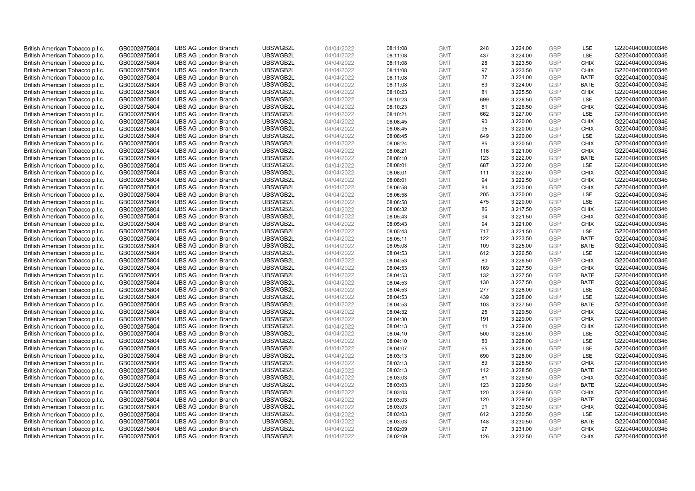| British American Tobacco p.l.c. | GB0002875804 | <b>UBS AG London Branch</b> | UBSWGB2L | 04/04/2022 | 08:11:08 | <b>GMT</b> | 248 | 3,224.00 | <b>GBP</b>               | LSE         | G220404000000346 |
|---------------------------------|--------------|-----------------------------|----------|------------|----------|------------|-----|----------|--------------------------|-------------|------------------|
| British American Tobacco p.l.c. | GB0002875804 | <b>UBS AG London Branch</b> | UBSWGB2L | 04/04/2022 | 08:11:08 | <b>GMT</b> | 437 | 3,224.00 | <b>GBP</b>               | LSE         | G220404000000346 |
| British American Tobacco p.l.c. | GB0002875804 | <b>UBS AG London Branch</b> | UBSWGB2L | 04/04/2022 | 08:11:08 | <b>GMT</b> | 28  | 3,223.50 | <b>GBP</b>               | <b>CHIX</b> | G220404000000346 |
|                                 |              |                             | UBSWGB2L |            |          |            |     |          | <b>GBP</b>               |             |                  |
| British American Tobacco p.l.c. | GB0002875804 | <b>UBS AG London Branch</b> |          | 04/04/2022 | 08:11:08 | <b>GMT</b> | 97  | 3,223.50 |                          | <b>CHIX</b> | G220404000000346 |
| British American Tobacco p.l.c. | GB0002875804 | <b>UBS AG London Branch</b> | UBSWGB2L | 04/04/2022 | 08:11:08 | <b>GMT</b> | 37  | 3,224.00 | <b>GBP</b>               | <b>BATE</b> | G220404000000346 |
| British American Tobacco p.l.c. | GB0002875804 | <b>UBS AG London Branch</b> | UBSWGB2L | 04/04/2022 | 08:11:08 | <b>GMT</b> | 63  | 3,224.00 | <b>GBP</b>               | BATE        | G220404000000346 |
| British American Tobacco p.l.c. | GB0002875804 | <b>UBS AG London Branch</b> | UBSWGB2L | 04/04/2022 | 08:10:23 | <b>GMT</b> | 81  | 3,225.50 | <b>GBP</b>               | <b>CHIX</b> | G220404000000346 |
| British American Tobacco p.l.c. | GB0002875804 | <b>UBS AG London Branch</b> | UBSWGB2L | 04/04/2022 | 08:10:23 | <b>GMT</b> | 699 | 3,226.50 | <b>GBP</b>               | LSE         | G220404000000346 |
| British American Tobacco p.l.c. | GB0002875804 | <b>UBS AG London Branch</b> | UBSWGB2L | 04/04/2022 | 08:10:23 | <b>GMT</b> | 81  | 3,226.50 | <b>GBP</b>               | <b>CHIX</b> | G220404000000346 |
| British American Tobacco p.l.c. | GB0002875804 | <b>UBS AG London Branch</b> | UBSWGB2L | 04/04/2022 | 08:10:21 | <b>GMT</b> | 662 | 3,227.00 | <b>GBP</b>               | LSE         | G220404000000346 |
| British American Tobacco p.l.c. | GB0002875804 | <b>UBS AG London Branch</b> | UBSWGB2L | 04/04/2022 | 08:08:45 | <b>GMT</b> | 90  | 3,220.00 | <b>GBP</b>               | <b>CHIX</b> | G220404000000346 |
| British American Tobacco p.l.c. | GB0002875804 | <b>UBS AG London Branch</b> | UBSWGB2L | 04/04/2022 | 08:08:45 | <b>GMT</b> | 95  | 3,220.00 | <b>GBP</b>               | <b>CHIX</b> | G220404000000346 |
| British American Tobacco p.l.c. | GB0002875804 | <b>UBS AG London Branch</b> | UBSWGB2L | 04/04/2022 | 08:08:45 | <b>GMT</b> | 649 | 3,220.00 | <b>GBP</b>               | LSE         | G220404000000346 |
| British American Tobacco p.l.c. | GB0002875804 | <b>UBS AG London Branch</b> | UBSWGB2L | 04/04/2022 | 08:08:24 | <b>GMT</b> | 85  | 3,220.50 | <b>GBP</b>               | <b>CHIX</b> | G220404000000346 |
| British American Tobacco p.l.c. | GB0002875804 | <b>UBS AG London Branch</b> | UBSWGB2L | 04/04/2022 | 08:08:21 | <b>GMT</b> | 116 | 3,221.00 | <b>GBP</b>               | <b>CHIX</b> | G220404000000346 |
| British American Tobacco p.l.c. | GB0002875804 | <b>UBS AG London Branch</b> | UBSWGB2L | 04/04/2022 | 08:08:10 | <b>GMT</b> | 123 | 3,222.00 | <b>GBP</b>               | <b>BATE</b> | G220404000000346 |
| British American Tobacco p.l.c. | GB0002875804 | <b>UBS AG London Branch</b> | UBSWGB2L | 04/04/2022 | 08:08:01 | <b>GMT</b> | 687 | 3,222.00 | <b>GBP</b>               | LSE         | G220404000000346 |
| British American Tobacco p.l.c. | GB0002875804 | <b>UBS AG London Branch</b> | UBSWGB2L | 04/04/2022 | 08:08:01 | <b>GMT</b> | 111 | 3,222.00 | <b>GBP</b>               | <b>CHIX</b> | G220404000000346 |
| British American Tobacco p.l.c. | GB0002875804 | <b>UBS AG London Branch</b> | UBSWGB2L | 04/04/2022 | 08:08:01 | <b>GMT</b> | 94  | 3,222.50 | <b>GBP</b>               | <b>CHIX</b> | G220404000000346 |
| British American Tobacco p.l.c. | GB0002875804 | <b>UBS AG London Branch</b> | UBSWGB2L | 04/04/2022 | 08:06:58 | <b>GMT</b> | 84  | 3,220.00 | <b>GBP</b>               | <b>CHIX</b> | G220404000000346 |
| British American Tobacco p.l.c. | GB0002875804 | <b>UBS AG London Branch</b> | UBSWGB2L | 04/04/2022 | 08:06:58 | <b>GMT</b> | 205 | 3,220.00 | <b>GBP</b>               | LSE         | G220404000000346 |
| British American Tobacco p.l.c. | GB0002875804 | <b>UBS AG London Branch</b> | UBSWGB2L | 04/04/2022 | 08:06:58 | <b>GMT</b> | 475 | 3,220.00 | <b>GBP</b>               | LSE         | G220404000000346 |
| British American Tobacco p.l.c. | GB0002875804 | <b>UBS AG London Branch</b> | UBSWGB2L | 04/04/2022 | 08:06:32 | <b>GMT</b> | 86  | 3,217.50 | <b>GBP</b>               | <b>CHIX</b> | G220404000000346 |
| British American Tobacco p.l.c. | GB0002875804 | <b>UBS AG London Branch</b> | UBSWGB2L | 04/04/2022 | 08:05:43 | <b>GMT</b> | 94  | 3,221.50 | <b>GBP</b>               | <b>CHIX</b> | G220404000000346 |
| British American Tobacco p.l.c. | GB0002875804 | <b>UBS AG London Branch</b> | UBSWGB2L | 04/04/2022 | 08:05:43 | <b>GMT</b> | 94  | 3,221.00 | <b>GBP</b>               | <b>CHIX</b> | G220404000000346 |
| British American Tobacco p.l.c. | GB0002875804 | <b>UBS AG London Branch</b> | UBSWGB2L | 04/04/2022 | 08:05:43 | <b>GMT</b> | 717 | 3,221.50 | <b>GBP</b>               | LSE         | G220404000000346 |
| British American Tobacco p.l.c. | GB0002875804 | <b>UBS AG London Branch</b> | UBSWGB2L | 04/04/2022 | 08:05:11 | <b>GMT</b> | 122 | 3,223.50 | <b>GBP</b>               | <b>BATE</b> | G220404000000346 |
| British American Tobacco p.l.c. | GB0002875804 | <b>UBS AG London Branch</b> | UBSWGB2L | 04/04/2022 | 08:05:08 | <b>GMT</b> | 109 | 3,225.00 | <b>GBP</b>               | <b>BATE</b> | G220404000000346 |
| British American Tobacco p.l.c. | GB0002875804 | <b>UBS AG London Branch</b> | UBSWGB2L | 04/04/2022 | 08:04:53 | <b>GMT</b> | 612 | 3,226.50 | <b>GBP</b>               | LSE         | G220404000000346 |
| British American Tobacco p.l.c. | GB0002875804 | <b>UBS AG London Branch</b> | UBSWGB2L | 04/04/2022 | 08:04:53 | <b>GMT</b> | 80  | 3,226.50 | <b>GBP</b>               | <b>CHIX</b> | G220404000000346 |
| British American Tobacco p.l.c. | GB0002875804 | <b>UBS AG London Branch</b> | UBSWGB2L | 04/04/2022 | 08:04:53 | <b>GMT</b> | 169 | 3,227.50 | <b>GBP</b>               | <b>CHIX</b> | G220404000000346 |
| British American Tobacco p.l.c. | GB0002875804 | <b>UBS AG London Branch</b> | UBSWGB2L | 04/04/2022 | 08:04:53 | <b>GMT</b> | 132 | 3,227.50 | <b>GBP</b>               | <b>BATE</b> | G220404000000346 |
| British American Tobacco p.l.c. | GB0002875804 | <b>UBS AG London Branch</b> | UBSWGB2L | 04/04/2022 | 08:04:53 | <b>GMT</b> | 130 | 3,227.50 | <b>GBP</b>               | <b>BATE</b> | G220404000000346 |
| British American Tobacco p.l.c. | GB0002875804 | <b>UBS AG London Branch</b> | UBSWGB2L | 04/04/2022 | 08:04:53 | <b>GMT</b> | 277 | 3,228.00 | <b>GBP</b>               | LSE         | G220404000000346 |
| British American Tobacco p.l.c. | GB0002875804 | <b>UBS AG London Branch</b> | UBSWGB2L | 04/04/2022 | 08:04:53 | <b>GMT</b> | 439 | 3,228.00 | <b>GBP</b>               | LSE         | G220404000000346 |
| British American Tobacco p.l.c. | GB0002875804 | <b>UBS AG London Branch</b> | UBSWGB2L | 04/04/2022 | 08:04:53 | <b>GMT</b> | 103 | 3,227.50 | <b>GBP</b>               | <b>BATE</b> | G220404000000346 |
| British American Tobacco p.l.c. | GB0002875804 | <b>UBS AG London Branch</b> | UBSWGB2L | 04/04/2022 | 08:04:32 | <b>GMT</b> | 25  | 3,229.50 | <b>GBP</b>               | <b>CHIX</b> | G220404000000346 |
| British American Tobacco p.l.c. | GB0002875804 | <b>UBS AG London Branch</b> | UBSWGB2L | 04/04/2022 | 08:04:30 | <b>GMT</b> | 191 | 3,229.00 | <b>GBP</b>               | <b>CHIX</b> | G220404000000346 |
|                                 |              | <b>UBS AG London Branch</b> | UBSWGB2L |            |          | <b>GMT</b> | 11  |          | <b>GBP</b>               | <b>CHIX</b> | G220404000000346 |
| British American Tobacco p.l.c. | GB0002875804 |                             |          | 04/04/2022 | 08:04:13 |            |     | 3,229.00 |                          |             |                  |
| British American Tobacco p.l.c. | GB0002875804 | <b>UBS AG London Branch</b> | UBSWGB2L | 04/04/2022 | 08:04:10 | <b>GMT</b> | 500 | 3,228.00 | <b>GBP</b><br><b>GBP</b> | LSE<br>LSE  | G220404000000346 |
| British American Tobacco p.l.c. | GB0002875804 | <b>UBS AG London Branch</b> | UBSWGB2L | 04/04/2022 | 08:04:10 | <b>GMT</b> | 80  | 3,228.00 |                          |             | G220404000000346 |
| British American Tobacco p.l.c. | GB0002875804 | <b>UBS AG London Branch</b> | UBSWGB2L | 04/04/2022 | 08:04:07 | <b>GMT</b> | 65  | 3,228.00 | <b>GBP</b>               | LSE         | G220404000000346 |
| British American Tobacco p.l.c. | GB0002875804 | <b>UBS AG London Branch</b> | UBSWGB2L | 04/04/2022 | 08:03:13 | <b>GMT</b> | 690 | 3,228.00 | <b>GBP</b>               | LSE         | G220404000000346 |
| British American Tobacco p.l.c. | GB0002875804 | <b>UBS AG London Branch</b> | UBSWGB2L | 04/04/2022 | 08:03:13 | <b>GMT</b> | 89  | 3,228.50 | <b>GBP</b>               | <b>CHIX</b> | G220404000000346 |
| British American Tobacco p.l.c. | GB0002875804 | <b>UBS AG London Branch</b> | UBSWGB2L | 04/04/2022 | 08:03:13 | <b>GMT</b> | 112 | 3,228.50 | <b>GBP</b>               | <b>BATE</b> | G220404000000346 |
| British American Tobacco p.l.c. | GB0002875804 | <b>UBS AG London Branch</b> | UBSWGB2L | 04/04/2022 | 08:03:03 | <b>GMT</b> | 81  | 3,229.50 | <b>GBP</b>               | <b>CHIX</b> | G220404000000346 |
| British American Tobacco p.l.c. | GB0002875804 | <b>UBS AG London Branch</b> | UBSWGB2L | 04/04/2022 | 08:03:03 | <b>GMT</b> | 123 | 3,229.50 | <b>GBP</b>               | <b>BATE</b> | G220404000000346 |
| British American Tobacco p.l.c. | GB0002875804 | <b>UBS AG London Branch</b> | UBSWGB2L | 04/04/2022 | 08:03:03 | <b>GMT</b> | 120 | 3,229.50 | <b>GBP</b>               | <b>CHIX</b> | G220404000000346 |
| British American Tobacco p.l.c. | GB0002875804 | <b>UBS AG London Branch</b> | UBSWGB2L | 04/04/2022 | 08:03:03 | <b>GMT</b> | 120 | 3,229.50 | <b>GBP</b>               | <b>BATE</b> | G220404000000346 |
| British American Tobacco p.l.c. | GB0002875804 | <b>UBS AG London Branch</b> | UBSWGB2L | 04/04/2022 | 08:03:03 | <b>GMT</b> | 91  | 3,230.50 | <b>GBP</b>               | <b>CHIX</b> | G220404000000346 |
| British American Tobacco p.l.c. | GB0002875804 | <b>UBS AG London Branch</b> | UBSWGB2L | 04/04/2022 | 08:03:03 | <b>GMT</b> | 612 | 3,230.50 | <b>GBP</b>               | LSE         | G220404000000346 |
| British American Tobacco p.l.c. | GB0002875804 | <b>UBS AG London Branch</b> | UBSWGB2L | 04/04/2022 | 08:03:03 | <b>GMT</b> | 148 | 3,230.50 | <b>GBP</b>               | <b>BATE</b> | G220404000000346 |
| British American Tobacco p.l.c. | GB0002875804 | <b>UBS AG London Branch</b> | UBSWGB2L | 04/04/2022 | 08:02:09 | <b>GMT</b> | 97  | 3,231.00 | <b>GBP</b>               | <b>CHIX</b> | G220404000000346 |
| British American Tobacco p.l.c. | GB0002875804 | <b>UBS AG London Branch</b> | UBSWGB2L | 04/04/2022 | 08:02:09 | <b>GMT</b> | 126 | 3.232.50 | GBP                      | <b>CHIX</b> | G220404000000346 |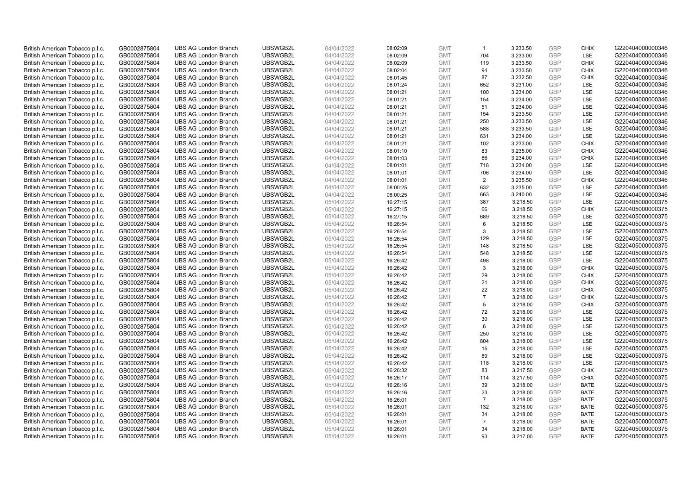| British American Tobacco p.l.c. | GB0002875804 | <b>UBS AG London Branch</b> | UBSWGB2L | 04/04/2022 | 08:02:09 | <b>GMT</b> | $\mathbf{1}$   | 3,233.50 | <b>GBP</b> | <b>CHIX</b> | G220404000000346 |
|---------------------------------|--------------|-----------------------------|----------|------------|----------|------------|----------------|----------|------------|-------------|------------------|
| British American Tobacco p.l.c. | GB0002875804 | <b>UBS AG London Branch</b> | UBSWGB2L | 04/04/2022 | 08:02:09 | <b>GMT</b> | 704            | 3,233.00 | GBP        | LSE         | G220404000000346 |
| British American Tobacco p.l.c. | GB0002875804 | <b>UBS AG London Branch</b> | UBSWGB2L | 04/04/2022 | 08:02:09 | <b>GMT</b> | 119            | 3,233.50 | <b>GBP</b> | <b>CHIX</b> | G220404000000346 |
| British American Tobacco p.l.c. | GB0002875804 | <b>UBS AG London Branch</b> | UBSWGB2L | 04/04/2022 | 08:02:04 | <b>GMT</b> | 94             | 3,233.50 | GBP        | CHIX        | G220404000000346 |
| British American Tobacco p.l.c. | GB0002875804 | <b>UBS AG London Branch</b> | UBSWGB2L | 04/04/2022 | 08:01:45 | <b>GMT</b> | 87             | 3,232.50 | <b>GBP</b> | <b>CHIX</b> | G220404000000346 |
| British American Tobacco p.l.c. | GB0002875804 | <b>UBS AG London Branch</b> | UBSWGB2L | 04/04/2022 | 08:01:24 | <b>GMT</b> | 652            | 3,231.00 | GBP        | <b>LSE</b>  | G220404000000346 |
| British American Tobacco p.l.c. | GB0002875804 | <b>UBS AG London Branch</b> | UBSWGB2L | 04/04/2022 | 08:01:21 | <b>GMT</b> | 100            | 3,234.00 | <b>GBP</b> | LSE         | G220404000000346 |
| British American Tobacco p.l.c. | GB0002875804 | <b>UBS AG London Branch</b> | UBSWGB2L | 04/04/2022 | 08:01:21 | <b>GMT</b> | 154            | 3,234.00 | <b>GBP</b> | LSE         | G220404000000346 |
| British American Tobacco p.l.c. | GB0002875804 | <b>UBS AG London Branch</b> | UBSWGB2L | 04/04/2022 | 08:01:21 | <b>GMT</b> | 51             | 3,234.00 | <b>GBP</b> | LSE         | G220404000000346 |
| British American Tobacco p.l.c. | GB0002875804 | <b>UBS AG London Branch</b> | UBSWGB2L | 04/04/2022 | 08:01:21 | <b>GMT</b> | 154            | 3,233.50 | GBP        | <b>LSE</b>  | G220404000000346 |
| British American Tobacco p.l.c. | GB0002875804 | <b>UBS AG London Branch</b> | UBSWGB2L | 04/04/2022 | 08:01:21 | <b>GMT</b> | 250            | 3,233.50 | <b>GBP</b> | LSE         | G220404000000346 |
| British American Tobacco p.l.c. | GB0002875804 | <b>UBS AG London Branch</b> | UBSWGB2L | 04/04/2022 | 08:01:21 | <b>GMT</b> | 588            | 3,233.50 | <b>GBP</b> | LSE         | G220404000000346 |
| British American Tobacco p.l.c. | GB0002875804 | <b>UBS AG London Branch</b> | UBSWGB2L | 04/04/2022 | 08:01:21 | <b>GMT</b> | 631            | 3,234.00 | GBP        | LSE         | G220404000000346 |
| British American Tobacco p.l.c. | GB0002875804 | <b>UBS AG London Branch</b> | UBSWGB2L | 04/04/2022 | 08:01:21 | <b>GMT</b> | 102            | 3,233.00 | <b>GBP</b> | <b>CHIX</b> | G220404000000346 |
| British American Tobacco p.l.c. | GB0002875804 | <b>UBS AG London Branch</b> | UBSWGB2L | 04/04/2022 | 08:01:10 | <b>GMT</b> | 83             | 3,235.00 | GBP        | <b>CHIX</b> | G220404000000346 |
| British American Tobacco p.l.c. | GB0002875804 | <b>UBS AG London Branch</b> | UBSWGB2L | 04/04/2022 | 08:01:03 | <b>GMT</b> | 86             | 3,234.00 | <b>GBP</b> | <b>CHIX</b> | G220404000000346 |
| British American Tobacco p.l.c. | GB0002875804 | <b>UBS AG London Branch</b> | UBSWGB2L | 04/04/2022 | 08:01:01 | <b>GMT</b> | 718            | 3,234.00 | <b>GBP</b> | LSE         | G220404000000346 |
| British American Tobacco p.l.c. | GB0002875804 | <b>UBS AG London Branch</b> | UBSWGB2L | 04/04/2022 | 08:01:01 | <b>GMT</b> | 706            | 3,234.00 | <b>GBP</b> | LSE         | G220404000000346 |
| British American Tobacco p.l.c. | GB0002875804 | <b>UBS AG London Branch</b> | UBSWGB2L | 04/04/2022 | 08:01:01 | <b>GMT</b> | 2              | 3,235.50 | GBP        | <b>CHIX</b> | G220404000000346 |
| British American Tobacco p.l.c. | GB0002875804 | <b>UBS AG London Branch</b> | UBSWGB2L | 04/04/2022 | 08:00:25 | <b>GMT</b> | 632            | 3,235.00 | <b>GBP</b> | <b>LSE</b>  | G220404000000346 |
| British American Tobacco p.l.c. | GB0002875804 | <b>UBS AG London Branch</b> | UBSWGB2L | 04/04/2022 | 08:00:25 | <b>GMT</b> | 663            | 3,240.00 | <b>GBP</b> | LSE         | G220404000000346 |
| British American Tobacco p.l.c. | GB0002875804 | <b>UBS AG London Branch</b> | UBSWGB2L | 05/04/2022 | 16:27:15 | <b>GMT</b> | 387            | 3,218.50 | <b>GBP</b> | <b>LSE</b>  | G220405000000375 |
| British American Tobacco p.l.c. | GB0002875804 | <b>UBS AG London Branch</b> | UBSWGB2L | 05/04/2022 | 16:27:15 | <b>GMT</b> | 66             | 3,218.50 | <b>GBP</b> | <b>CHIX</b> | G220405000000375 |
| British American Tobacco p.l.c. | GB0002875804 | <b>UBS AG London Branch</b> | UBSWGB2L | 05/04/2022 | 16:27:15 | <b>GMT</b> | 689            | 3,218.50 | <b>GBP</b> | LSE         | G220405000000375 |
| British American Tobacco p.l.c. | GB0002875804 | <b>UBS AG London Branch</b> | UBSWGB2L | 05/04/2022 | 16:26:54 | <b>GMT</b> | 6              | 3,218.50 | <b>GBP</b> | LSE         | G220405000000375 |
| British American Tobacco p.l.c. | GB0002875804 | <b>UBS AG London Branch</b> | UBSWGB2L | 05/04/2022 | 16:26:54 | <b>GMT</b> | 3              | 3,218.50 | GBP        | LSE         | G220405000000375 |
| British American Tobacco p.l.c. | GB0002875804 | <b>UBS AG London Branch</b> | UBSWGB2L | 05/04/2022 | 16:26:54 | <b>GMT</b> | 129            | 3,218.50 | <b>GBP</b> | LSE         | G220405000000375 |
| British American Tobacco p.l.c. | GB0002875804 | <b>UBS AG London Branch</b> | UBSWGB2L | 05/04/2022 | 16:26:54 | <b>GMT</b> | 148            | 3,218.50 | <b>GBP</b> | LSE         | G220405000000375 |
| British American Tobacco p.l.c. | GB0002875804 | <b>UBS AG London Branch</b> | UBSWGB2L | 05/04/2022 | 16:26:54 | <b>GMT</b> | 548            | 3,218.50 | GBP        | LSE         | G220405000000375 |
| British American Tobacco p.l.c. | GB0002875804 | <b>UBS AG London Branch</b> | UBSWGB2L | 05/04/2022 | 16:26:42 | <b>GMT</b> | 498            | 3,218.00 | <b>GBP</b> | LSE         | G220405000000375 |
| British American Tobacco p.l.c. | GB0002875804 | <b>UBS AG London Branch</b> | UBSWGB2L | 05/04/2022 | 16:26:42 | <b>GMT</b> | 3              | 3,218.00 | GBP        | <b>CHIX</b> | G220405000000375 |
| British American Tobacco p.l.c. | GB0002875804 | <b>UBS AG London Branch</b> | UBSWGB2L | 05/04/2022 | 16:26:42 | <b>GMT</b> | 29             | 3,218.00 | <b>GBP</b> | <b>CHIX</b> | G220405000000375 |
| British American Tobacco p.l.c. | GB0002875804 | <b>UBS AG London Branch</b> | UBSWGB2L | 05/04/2022 | 16:26:42 | <b>GMT</b> | 21             | 3,218.00 | GBP        | <b>CHIX</b> | G220405000000375 |
| British American Tobacco p.l.c. | GB0002875804 | <b>UBS AG London Branch</b> | UBSWGB2L | 05/04/2022 | 16:26:42 | <b>GMT</b> | 22             | 3,218.00 | <b>GBP</b> | <b>CHIX</b> | G220405000000375 |
| British American Tobacco p.l.c. | GB0002875804 | <b>UBS AG London Branch</b> | UBSWGB2L | 05/04/2022 | 16:26:42 | <b>GMT</b> | $\overline{7}$ | 3,218.00 | GBP        | <b>CHIX</b> | G220405000000375 |
| British American Tobacco p.l.c. | GB0002875804 | <b>UBS AG London Branch</b> | UBSWGB2L | 05/04/2022 | 16:26:42 | <b>GMT</b> | 5              | 3,218.00 | <b>GBP</b> | <b>CHIX</b> | G220405000000375 |
| British American Tobacco p.l.c. | GB0002875804 | <b>UBS AG London Branch</b> | UBSWGB2L | 05/04/2022 | 16:26:42 | <b>GMT</b> | 72             | 3,218.00 | GBP        | <b>LSE</b>  | G220405000000375 |
| British American Tobacco p.l.c. | GB0002875804 | <b>UBS AG London Branch</b> | UBSWGB2L | 05/04/2022 | 16:26:42 | <b>GMT</b> | 30             | 3,218.00 | <b>GBP</b> | LSE         | G220405000000375 |
| British American Tobacco p.l.c. | GB0002875804 | <b>UBS AG London Branch</b> | UBSWGB2L | 05/04/2022 | 16:26:42 | <b>GMT</b> | 6              | 3,218.00 | GBP        | LSE         | G220405000000375 |
| British American Tobacco p.l.c. | GB0002875804 | <b>UBS AG London Branch</b> | UBSWGB2L | 05/04/2022 | 16:26:42 | <b>GMT</b> | 250            | 3,218.00 | <b>GBP</b> | LSE         | G220405000000375 |
| British American Tobacco p.l.c. | GB0002875804 | <b>UBS AG London Branch</b> | UBSWGB2L | 05/04/2022 | 16:26:42 | <b>GMT</b> | 804            | 3,218.00 | GBP        | <b>LSE</b>  | G220405000000375 |
| British American Tobacco p.l.c. | GB0002875804 | <b>UBS AG London Branch</b> | UBSWGB2L | 05/04/2022 | 16:26:42 | <b>GMT</b> | 15             | 3,218.00 | GBP        | LSE         | G220405000000375 |
| British American Tobacco p.l.c. | GB0002875804 | <b>UBS AG London Branch</b> | UBSWGB2L | 05/04/2022 | 16:26:42 | <b>GMT</b> | 89             | 3,218.00 | <b>GBP</b> | LSE         | G220405000000375 |
| British American Tobacco p.l.c. | GB0002875804 | <b>UBS AG London Branch</b> | UBSWGB2L | 05/04/2022 | 16:26:42 | <b>GMT</b> | 118            | 3,218.00 | GBP        | LSE         | G220405000000375 |
| British American Tobacco p.l.c. | GB0002875804 | <b>UBS AG London Branch</b> | UBSWGB2L | 05/04/2022 | 16:26:32 | <b>GMT</b> | 83             | 3,217.50 | <b>GBP</b> | <b>CHIX</b> | G220405000000375 |
| British American Tobacco p.l.c. | GB0002875804 | <b>UBS AG London Branch</b> | UBSWGB2L | 05/04/2022 | 16:26:17 | <b>GMT</b> | 114            | 3,217.50 | GBP        | <b>CHIX</b> | G220405000000375 |
| British American Tobacco p.l.c. | GB0002875804 | <b>UBS AG London Branch</b> | UBSWGB2L | 05/04/2022 | 16:26:16 | <b>GMT</b> | 39             | 3,218.00 | <b>GBP</b> | <b>BATE</b> | G220405000000375 |
| British American Tobacco p.l.c. | GB0002875804 | <b>UBS AG London Branch</b> | UBSWGB2L | 05/04/2022 | 16:26:16 | <b>GMT</b> | 23             | 3,218.00 | GBP        | <b>BATE</b> | G220405000000375 |
| British American Tobacco p.l.c. | GB0002875804 | <b>UBS AG London Branch</b> | UBSWGB2L | 05/04/2022 | 16:26:01 | <b>GMT</b> | $\overline{7}$ | 3,218.00 | <b>GBP</b> | <b>BATE</b> | G220405000000375 |
| British American Tobacco p.l.c. | GB0002875804 | <b>UBS AG London Branch</b> | UBSWGB2L | 05/04/2022 | 16:26:01 | <b>GMT</b> | 132            | 3,218.00 | GBP        | <b>BATE</b> | G220405000000375 |
| British American Tobacco p.l.c. | GB0002875804 | <b>UBS AG London Branch</b> | UBSWGB2L | 05/04/2022 | 16:26:01 | <b>GMT</b> | 34             | 3,218.00 | <b>GBP</b> | <b>BATE</b> | G220405000000375 |
| British American Tobacco p.l.c. | GB0002875804 | <b>UBS AG London Branch</b> | UBSWGB2L | 05/04/2022 | 16:26:01 | <b>GMT</b> | $\overline{7}$ | 3,218.00 | <b>GBP</b> | <b>BATE</b> | G220405000000375 |
| British American Tobacco p.l.c. | GB0002875804 | <b>UBS AG London Branch</b> | UBSWGB2L | 05/04/2022 | 16:26:01 | <b>GMT</b> | 34             | 3,218.00 | <b>GBP</b> | <b>BATE</b> | G220405000000375 |
| British American Tobacco p.l.c. | GB0002875804 | <b>UBS AG London Branch</b> | UBSWGB2L | 05/04/2022 | 16:26:01 | <b>GMT</b> | 93             | 3.217.00 | GBP        | <b>BATE</b> | G220405000000375 |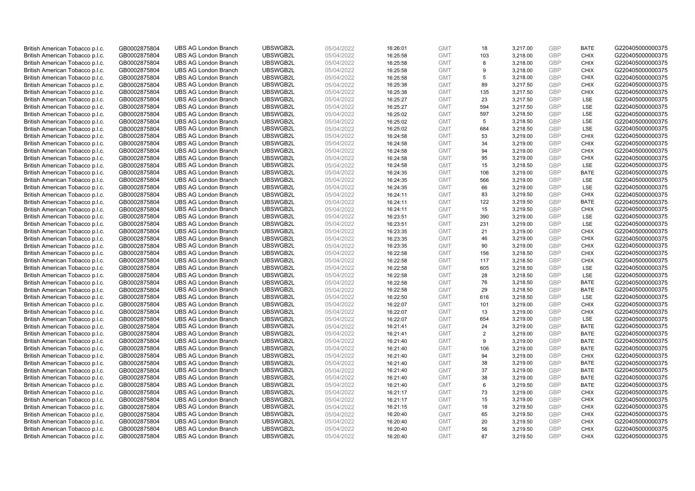| British American Tobacco p.l.c.                                    | GB0002875804                 | <b>UBS AG London Branch</b>                                | UBSWGB2L             | 05/04/2022               | 16:26:01             | <b>GMT</b> | 18  | 3,217.00 | <b>GBP</b>        | <b>BATE</b> | G220405000000375 |
|--------------------------------------------------------------------|------------------------------|------------------------------------------------------------|----------------------|--------------------------|----------------------|------------|-----|----------|-------------------|-------------|------------------|
| British American Tobacco p.l.c.                                    | GB0002875804                 | <b>UBS AG London Branch</b>                                | UBSWGB2L             | 05/04/2022               | 16:25:58             | <b>GMT</b> | 103 | 3,218.00 | GBP               | <b>CHIX</b> | G220405000000375 |
| British American Tobacco p.l.c.                                    | GB0002875804                 | <b>UBS AG London Branch</b>                                | UBSWGB2L             | 05/04/2022               | 16:25:58             | <b>GMT</b> | 8   | 3,218.00 | <b>GBP</b>        | <b>CHIX</b> | G220405000000375 |
| British American Tobacco p.l.c.                                    | GB0002875804                 | <b>UBS AG London Branch</b>                                | UBSWGB2L             | 05/04/2022               | 16:25:58             | <b>GMT</b> | 9   | 3,218.00 | <b>GBP</b>        | <b>CHIX</b> | G220405000000375 |
| British American Tobacco p.l.c.                                    | GB0002875804                 | <b>UBS AG London Branch</b>                                | UBSWGB2L             | 05/04/2022               | 16:25:58             | <b>GMT</b> | 5   | 3,218.00 | <b>GBP</b>        | <b>CHIX</b> | G220405000000375 |
| British American Tobacco p.l.c.                                    | GB0002875804                 | <b>UBS AG London Branch</b>                                | UBSWGB2L             | 05/04/2022               | 16:25:38             | <b>GMT</b> | 89  | 3,217.50 | <b>GBP</b>        | <b>CHIX</b> | G220405000000375 |
| British American Tobacco p.l.c.                                    | GB0002875804                 | <b>UBS AG London Branch</b>                                | UBSWGB2L             | 05/04/2022               | 16:25:38             | <b>GMT</b> | 135 | 3,217.50 | <b>GBP</b>        | <b>CHIX</b> | G220405000000375 |
| British American Tobacco p.l.c.                                    | GB0002875804                 | <b>UBS AG London Branch</b>                                | UBSWGB2L             | 05/04/2022               | 16:25:27             | <b>GMT</b> | 23  | 3,217.50 | <b>GBP</b>        | <b>LSE</b>  | G220405000000375 |
| British American Tobacco p.l.c.                                    | GB0002875804                 | <b>UBS AG London Branch</b>                                | UBSWGB2L             | 05/04/2022               | 16:25:27             | <b>GMT</b> | 594 | 3,217.50 | GBP               | LSE         | G220405000000375 |
| British American Tobacco p.l.c.                                    | GB0002875804                 | <b>UBS AG London Branch</b>                                | UBSWGB2L             | 05/04/2022               | 16:25:02             | <b>GMT</b> | 597 | 3,218.50 | <b>GBP</b>        | LSE         | G220405000000375 |
| British American Tobacco p.l.c.                                    | GB0002875804                 | <b>UBS AG London Branch</b>                                | UBSWGB2L             | 05/04/2022               | 16:25:02             | <b>GMT</b> | 5   | 3,218.50 | <b>GBP</b>        | <b>LSE</b>  | G220405000000375 |
| British American Tobacco p.l.c.                                    | GB0002875804                 | <b>UBS AG London Branch</b>                                | UBSWGB2L             | 05/04/2022               | 16:25:02             | <b>GMT</b> | 684 | 3,218.50 | <b>GBP</b>        | LSE         | G220405000000375 |
| British American Tobacco p.l.c.                                    | GB0002875804                 | <b>UBS AG London Branch</b>                                | UBSWGB2L             | 05/04/2022               | 16:24:58             | <b>GMT</b> | 53  | 3,219.00 | <b>GBP</b>        | <b>CHIX</b> | G220405000000375 |
| British American Tobacco p.l.c.                                    | GB0002875804                 | <b>UBS AG London Branch</b>                                | UBSWGB2L             | 05/04/2022               | 16:24:58             | <b>GMT</b> | 34  | 3,219.00 | <b>GBP</b>        | <b>CHIX</b> | G220405000000375 |
| British American Tobacco p.l.c.                                    | GB0002875804                 | <b>UBS AG London Branch</b>                                | UBSWGB2L             | 05/04/2022               | 16:24:58             | <b>GMT</b> | 94  | 3,219.00 | GBP               | <b>CHIX</b> | G220405000000375 |
| British American Tobacco p.l.c.                                    | GB0002875804                 | <b>UBS AG London Branch</b>                                | UBSWGB2L             | 05/04/2022               | 16:24:58             | <b>GMT</b> | 95  | 3,219.00 | <b>GBP</b>        | <b>CHIX</b> | G220405000000375 |
| British American Tobacco p.l.c.                                    | GB0002875804                 | <b>UBS AG London Branch</b>                                | UBSWGB2L             | 05/04/2022               | 16:24:58             | <b>GMT</b> | 15  | 3,218.50 | <b>GBP</b>        | LSE         | G220405000000375 |
| British American Tobacco p.l.c.                                    | GB0002875804                 | <b>UBS AG London Branch</b>                                | UBSWGB2L             | 05/04/2022               | 16:24:35             | <b>GMT</b> | 106 | 3,219.00 | <b>GBP</b>        | <b>BATE</b> | G220405000000375 |
| British American Tobacco p.l.c.                                    | GB0002875804                 | <b>UBS AG London Branch</b>                                | UBSWGB2L             | 05/04/2022               | 16:24:35             | <b>GMT</b> | 566 | 3,219.00 | <b>GBP</b>        | <b>LSE</b>  | G220405000000375 |
| British American Tobacco p.l.c.                                    | GB0002875804                 | <b>UBS AG London Branch</b>                                | UBSWGB2L             | 05/04/2022               | 16:24:35             | <b>GMT</b> | 66  | 3,219.00 | <b>GBP</b>        | LSE         | G220405000000375 |
| British American Tobacco p.l.c.                                    | GB0002875804                 | <b>UBS AG London Branch</b>                                | UBSWGB2L             | 05/04/2022               | 16:24:11             | <b>GMT</b> | 83  | 3,219.50 | <b>GBP</b>        | <b>CHIX</b> | G220405000000375 |
| British American Tobacco p.l.c.                                    | GB0002875804                 | <b>UBS AG London Branch</b>                                | UBSWGB2L             | 05/04/2022               | 16:24:11             | <b>GMT</b> | 122 | 3,219.50 | <b>GBP</b>        | <b>BATE</b> | G220405000000375 |
| British American Tobacco p.l.c.                                    | GB0002875804                 | <b>UBS AG London Branch</b>                                | UBSWGB2L             | 05/04/2022               | 16:24:11             | <b>GMT</b> | 15  | 3,219.50 | <b>GBP</b>        | <b>CHIX</b> | G220405000000375 |
| British American Tobacco p.l.c.                                    | GB0002875804                 | <b>UBS AG London Branch</b>                                | UBSWGB2L             | 05/04/2022               | 16:23:51             | <b>GMT</b> | 390 | 3,219.00 | GBP               | <b>LSE</b>  | G220405000000375 |
| British American Tobacco p.l.c.                                    | GB0002875804                 | <b>UBS AG London Branch</b>                                | UBSWGB2L             | 05/04/2022               | 16:23:51             | <b>GMT</b> | 231 | 3,219.00 | <b>GBP</b>        | LSE         | G220405000000375 |
| British American Tobacco p.l.c.                                    | GB0002875804                 | <b>UBS AG London Branch</b>                                | UBSWGB2L             | 05/04/2022               | 16:23:35             | <b>GMT</b> | 21  | 3,219.00 | <b>GBP</b>        | <b>CHIX</b> | G220405000000375 |
| British American Tobacco p.l.c.                                    | GB0002875804                 | <b>UBS AG London Branch</b>                                | UBSWGB2L             | 05/04/2022               | 16:23:35             | <b>GMT</b> | 46  | 3,219.00 | <b>GBP</b>        | <b>CHIX</b> | G220405000000375 |
| British American Tobacco p.l.c.                                    | GB0002875804                 | <b>UBS AG London Branch</b>                                | UBSWGB2L             | 05/04/2022               | 16:23:35             | <b>GMT</b> | 90  | 3,219.00 | GBP               | <b>CHIX</b> | G220405000000375 |
| British American Tobacco p.l.c.                                    | GB0002875804                 | <b>UBS AG London Branch</b>                                | UBSWGB2L             | 05/04/2022               | 16:22:58             | <b>GMT</b> | 156 | 3,218.50 | <b>GBP</b>        | <b>CHIX</b> | G220405000000375 |
| British American Tobacco p.l.c.                                    | GB0002875804                 | <b>UBS AG London Branch</b>                                | UBSWGB2L             | 05/04/2022               | 16:22:58             | <b>GMT</b> | 117 | 3,218.50 | GBP               | <b>CHIX</b> | G220405000000375 |
| British American Tobacco p.l.c.                                    | GB0002875804                 | <b>UBS AG London Branch</b>                                | UBSWGB2L             | 05/04/2022               | 16:22:58             | <b>GMT</b> | 605 | 3,218.50 | <b>GBP</b>        | <b>LSE</b>  | G220405000000375 |
| British American Tobacco p.l.c.                                    | GB0002875804                 | <b>UBS AG London Branch</b>                                | UBSWGB2L             | 05/04/2022               | 16:22:58             | <b>GMT</b> | 28  | 3,218.50 | GBP               | <b>LSE</b>  | G220405000000375 |
| British American Tobacco p.l.c.                                    | GB0002875804                 | <b>UBS AG London Branch</b>                                | UBSWGB2L             | 05/04/2022               | 16:22:58             | <b>GMT</b> | 76  | 3,218.50 | <b>GBP</b>        | <b>BATE</b> | G220405000000375 |
|                                                                    |                              |                                                            |                      |                          |                      | <b>GMT</b> | 29  | 3,218.50 | <b>GBP</b>        | <b>BATE</b> | G220405000000375 |
| British American Tobacco p.l.c.<br>British American Tobacco p.l.c. | GB0002875804<br>GB0002875804 | <b>UBS AG London Branch</b><br><b>UBS AG London Branch</b> | UBSWGB2L<br>UBSWGB2L | 05/04/2022<br>05/04/2022 | 16:22:58<br>16:22:50 | <b>GMT</b> | 616 | 3,218.50 | GBP               | LSE         | G220405000000375 |
|                                                                    |                              |                                                            |                      |                          |                      |            |     |          |                   |             |                  |
| British American Tobacco p.l.c.                                    | GB0002875804                 | <b>UBS AG London Branch</b>                                | UBSWGB2L             | 05/04/2022               | 16:22:07             | <b>GMT</b> | 101 | 3,219.00 | <b>GBP</b><br>GBP | <b>CHIX</b> | G220405000000375 |
| British American Tobacco p.l.c.                                    | GB0002875804                 | <b>UBS AG London Branch</b>                                | UBSWGB2L             | 05/04/2022               | 16:22:07             | <b>GMT</b> | 13  | 3,219.00 |                   | <b>CHIX</b> | G220405000000375 |
| British American Tobacco p.l.c.                                    | GB0002875804                 | <b>UBS AG London Branch</b>                                | UBSWGB2L             | 05/04/2022               | 16:22:07             | <b>GMT</b> | 654 | 3,219.00 | <b>GBP</b>        | LSE         | G220405000000375 |
| British American Tobacco p.l.c.                                    | GB0002875804                 | <b>UBS AG London Branch</b>                                | UBSWGB2L             | 05/04/2022               | 16:21:41             | <b>GMT</b> | 24  | 3,219.00 | GBP               | <b>BATE</b> | G220405000000375 |
| British American Tobacco p.l.c.                                    | GB0002875804                 | <b>UBS AG London Branch</b>                                | UBSWGB2L             | 05/04/2022               | 16:21:41             | <b>GMT</b> | 2   | 3,219.00 | <b>GBP</b>        | <b>BATE</b> | G220405000000375 |
| British American Tobacco p.l.c.                                    | GB0002875804                 | <b>UBS AG London Branch</b>                                | UBSWGB2L             | 05/04/2022               | 16:21:40             | <b>GMT</b> | 9   | 3,219.00 | GBP               | <b>BATE</b> | G220405000000375 |
| British American Tobacco p.l.c.                                    | GB0002875804                 | <b>UBS AG London Branch</b>                                | UBSWGB2L             | 05/04/2022               | 16:21:40             | <b>GMT</b> | 106 | 3,219.00 | <b>GBP</b>        | <b>BATE</b> | G220405000000375 |
| British American Tobacco p.l.c.                                    | GB0002875804                 | <b>UBS AG London Branch</b>                                | UBSWGB2L             | 05/04/2022               | 16:21:40             | <b>GMT</b> | 94  | 3,219.00 | <b>GBP</b>        | <b>CHIX</b> | G220405000000375 |
| British American Tobacco p.l.c.                                    | GB0002875804                 | <b>UBS AG London Branch</b>                                | UBSWGB2L             | 05/04/2022               | 16:21:40             | <b>GMT</b> | 38  | 3,219.00 | <b>GBP</b>        | <b>BATE</b> | G220405000000375 |
| British American Tobacco p.l.c.                                    | GB0002875804                 | <b>UBS AG London Branch</b>                                | UBSWGB2L             | 05/04/2022               | 16:21:40             | <b>GMT</b> | 37  | 3,219.00 | GBP               | <b>BATE</b> | G220405000000375 |
| British American Tobacco p.l.c.                                    | GB0002875804                 | <b>UBS AG London Branch</b>                                | UBSWGB2L             | 05/04/2022               | 16:21:40             | <b>GMT</b> | 38  | 3,219.00 | <b>GBP</b>        | <b>BATE</b> | G220405000000375 |
| British American Tobacco p.l.c.                                    | GB0002875804                 | <b>UBS AG London Branch</b>                                | UBSWGB2L             | 05/04/2022               | 16:21:40             | <b>GMT</b> | 6   | 3,219.50 | <b>GBP</b>        | <b>BATE</b> | G220405000000375 |
| British American Tobacco p.l.c.                                    | GB0002875804                 | <b>UBS AG London Branch</b>                                | UBSWGB2L             | 05/04/2022               | 16:21:17             | <b>GMT</b> | 73  | 3,219.00 | GBP               | <b>CHIX</b> | G220405000000375 |
| British American Tobacco p.l.c.                                    | GB0002875804                 | <b>UBS AG London Branch</b>                                | UBSWGB2L             | 05/04/2022               | 16:21:17             | <b>GMT</b> | 15  | 3,219.00 | <b>GBP</b>        | <b>CHIX</b> | G220405000000375 |
| British American Tobacco p.l.c.                                    | GB0002875804                 | <b>UBS AG London Branch</b>                                | UBSWGB2L             | 05/04/2022               | 16:21:15             | <b>GMT</b> | 18  | 3,219.50 | <b>GBP</b>        | <b>CHIX</b> | G220405000000375 |
| British American Tobacco p.l.c.                                    | GB0002875804                 | <b>UBS AG London Branch</b>                                | UBSWGB2L             | 05/04/2022               | 16:20:40             | <b>GMT</b> | 65  | 3,219.50 | <b>GBP</b>        | <b>CHIX</b> | G220405000000375 |
| British American Tobacco p.l.c.                                    | GB0002875804                 | <b>UBS AG London Branch</b>                                | UBSWGB2L             | 05/04/2022               | 16:20:40             | <b>GMT</b> | 20  | 3,219.50 | <b>GBP</b>        | <b>CHIX</b> | G220405000000375 |
| British American Tobacco p.l.c.                                    | GB0002875804                 | <b>UBS AG London Branch</b>                                | UBSWGB2L             | 05/04/2022               | 16:20:40             | <b>GMT</b> | 56  | 3,219.50 | <b>GBP</b>        | <b>CHIX</b> | G220405000000375 |
| British American Tobacco p.l.c.                                    | GB0002875804                 | <b>UBS AG London Branch</b>                                | UBSWGB2L             | 05/04/2022               | 16:20:40             | <b>GMT</b> | 87  | 3.219.50 | GBP               | CHIX        | G220405000000375 |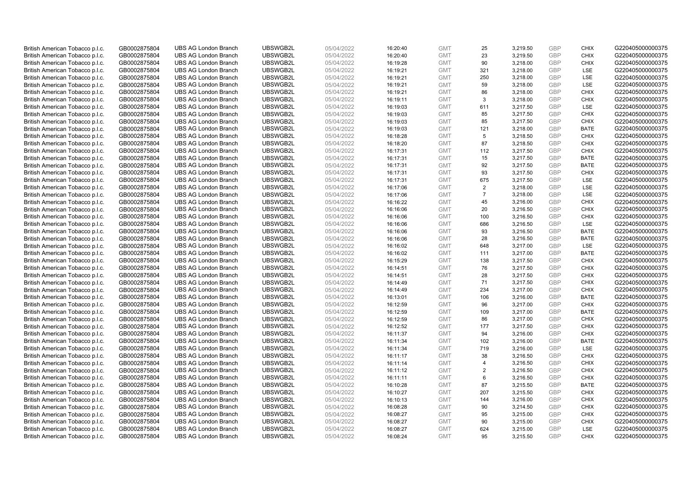| British American Tobacco p.l.c. | GB0002875804 | <b>UBS AG London Branch</b> | UBSWGB2L | 05/04/2022 | 16:20:40 | <b>GMT</b> | 25             | 3,219.50 | <b>GBP</b> | <b>CHIX</b> | G220405000000375 |
|---------------------------------|--------------|-----------------------------|----------|------------|----------|------------|----------------|----------|------------|-------------|------------------|
| British American Tobacco p.l.c. | GB0002875804 | <b>UBS AG London Branch</b> | UBSWGB2L | 05/04/2022 | 16:20:40 | <b>GMT</b> | 23             | 3,219.50 | <b>GBP</b> | CHIX        | G220405000000375 |
| British American Tobacco p.l.c. | GB0002875804 | <b>UBS AG London Branch</b> | UBSWGB2L | 05/04/2022 | 16:19:28 | <b>GMT</b> | 90             | 3,218.00 | <b>GBP</b> | <b>CHIX</b> | G220405000000375 |
| British American Tobacco p.l.c. | GB0002875804 | <b>UBS AG London Branch</b> | UBSWGB2L | 05/04/2022 | 16:19:21 | <b>GMT</b> | 321            | 3,218.00 | <b>GBP</b> | LSE         | G220405000000375 |
| British American Tobacco p.l.c. | GB0002875804 | <b>UBS AG London Branch</b> | UBSWGB2L | 05/04/2022 | 16:19:21 | <b>GMT</b> | 250            | 3,218.00 | <b>GBP</b> | LSE         | G220405000000375 |
| British American Tobacco p.l.c. | GB0002875804 | <b>UBS AG London Branch</b> | UBSWGB2L | 05/04/2022 | 16:19:21 | <b>GMT</b> | 59             | 3,218.00 | <b>GBP</b> | <b>LSE</b>  | G220405000000375 |
| British American Tobacco p.l.c. | GB0002875804 | <b>UBS AG London Branch</b> | UBSWGB2L | 05/04/2022 | 16:19:21 | <b>GMT</b> | 86             | 3,218.00 | <b>GBP</b> | <b>CHIX</b> | G220405000000375 |
| British American Tobacco p.l.c. | GB0002875804 | <b>UBS AG London Branch</b> | UBSWGB2L | 05/04/2022 | 16:19:11 | <b>GMT</b> | 3              | 3,218.00 | <b>GBP</b> | <b>CHIX</b> | G220405000000375 |
| British American Tobacco p.l.c. | GB0002875804 | <b>UBS AG London Branch</b> | UBSWGB2L | 05/04/2022 | 16:19:03 | <b>GMT</b> | 611            | 3,217.50 | <b>GBP</b> | LSE         | G220405000000375 |
| British American Tobacco p.l.c. | GB0002875804 | <b>UBS AG London Branch</b> | UBSWGB2L | 05/04/2022 | 16:19:03 | <b>GMT</b> | 85             | 3,217.50 | <b>GBP</b> | <b>CHIX</b> | G220405000000375 |
| British American Tobacco p.l.c. | GB0002875804 | <b>UBS AG London Branch</b> | UBSWGB2L | 05/04/2022 | 16:19:03 | <b>GMT</b> | 85             | 3,217.50 | <b>GBP</b> | <b>CHIX</b> | G220405000000375 |
| British American Tobacco p.l.c. | GB0002875804 | <b>UBS AG London Branch</b> | UBSWGB2L | 05/04/2022 | 16:19:03 | <b>GMT</b> | 121            | 3,218.00 | <b>GBP</b> | <b>BATE</b> | G220405000000375 |
| British American Tobacco p.l.c. | GB0002875804 | <b>UBS AG London Branch</b> | UBSWGB2L | 05/04/2022 | 16:18:28 | <b>GMT</b> | 5              | 3,218.50 | <b>GBP</b> | <b>CHIX</b> | G220405000000375 |
| British American Tobacco p.l.c. | GB0002875804 | <b>UBS AG London Branch</b> | UBSWGB2L | 05/04/2022 | 16:18:20 | <b>GMT</b> | 87             | 3,218.50 | <b>GBP</b> | <b>CHIX</b> | G220405000000375 |
| British American Tobacco p.l.c. | GB0002875804 | <b>UBS AG London Branch</b> | UBSWGB2L | 05/04/2022 | 16:17:31 | <b>GMT</b> | 112            | 3,217.50 | GBP        | <b>CHIX</b> | G220405000000375 |
| British American Tobacco p.l.c. | GB0002875804 | <b>UBS AG London Branch</b> | UBSWGB2L | 05/04/2022 | 16:17:31 | <b>GMT</b> | 15             | 3,217.50 | <b>GBP</b> | <b>BATE</b> | G220405000000375 |
| British American Tobacco p.l.c. | GB0002875804 | <b>UBS AG London Branch</b> | UBSWGB2L | 05/04/2022 | 16:17:31 | <b>GMT</b> | 92             | 3,217.50 | GBP        | <b>BATE</b> | G220405000000375 |
| British American Tobacco p.l.c. | GB0002875804 | <b>UBS AG London Branch</b> | UBSWGB2L | 05/04/2022 | 16:17:31 | <b>GMT</b> | 93             | 3,217.50 | GBP        | <b>CHIX</b> | G220405000000375 |
| British American Tobacco p.l.c. | GB0002875804 | <b>UBS AG London Branch</b> | UBSWGB2L | 05/04/2022 | 16:17:31 | <b>GMT</b> | 675            | 3,217.50 | <b>GBP</b> | <b>LSE</b>  | G220405000000375 |
| British American Tobacco p.l.c. | GB0002875804 | <b>UBS AG London Branch</b> | UBSWGB2L | 05/04/2022 | 16:17:06 | <b>GMT</b> | 2              | 3,218.00 | <b>GBP</b> | LSE         | G220405000000375 |
| British American Tobacco p.l.c. | GB0002875804 | <b>UBS AG London Branch</b> | UBSWGB2L | 05/04/2022 | 16:17:06 | <b>GMT</b> | $\overline{7}$ | 3,218.00 | <b>GBP</b> | LSE         | G220405000000375 |
| British American Tobacco p.l.c. | GB0002875804 | <b>UBS AG London Branch</b> | UBSWGB2L | 05/04/2022 | 16:16:22 | <b>GMT</b> | 45             | 3,216.00 | GBP        | <b>CHIX</b> | G220405000000375 |
| British American Tobacco p.l.c. | GB0002875804 | <b>UBS AG London Branch</b> | UBSWGB2L | 05/04/2022 | 16:16:06 | <b>GMT</b> | 20             | 3,216.50 | <b>GBP</b> | <b>CHIX</b> | G220405000000375 |
| British American Tobacco p.l.c. | GB0002875804 | <b>UBS AG London Branch</b> | UBSWGB2L | 05/04/2022 | 16:16:06 | <b>GMT</b> | 100            | 3,216.50 | GBP        | <b>CHIX</b> | G220405000000375 |
| British American Tobacco p.l.c. | GB0002875804 | <b>UBS AG London Branch</b> | UBSWGB2L | 05/04/2022 | 16:16:06 | <b>GMT</b> | 686            | 3,216.50 | <b>GBP</b> | LSE         | G220405000000375 |
| British American Tobacco p.l.c. | GB0002875804 | <b>UBS AG London Branch</b> | UBSWGB2L | 05/04/2022 | 16:16:06 | <b>GMT</b> | 93             | 3,216.50 | <b>GBP</b> | <b>BATE</b> | G220405000000375 |
| British American Tobacco p.l.c. | GB0002875804 | <b>UBS AG London Branch</b> | UBSWGB2L | 05/04/2022 | 16:16:06 | <b>GMT</b> | 28             | 3,216.50 | <b>GBP</b> | <b>BATE</b> | G220405000000375 |
| British American Tobacco p.l.c. | GB0002875804 | <b>UBS AG London Branch</b> | UBSWGB2L | 05/04/2022 | 16:16:02 | <b>GMT</b> | 648            | 3,217.00 | GBP        | LSE         | G220405000000375 |
| British American Tobacco p.l.c. | GB0002875804 | <b>UBS AG London Branch</b> | UBSWGB2L | 05/04/2022 | 16:16:02 | <b>GMT</b> | 111            | 3,217.00 | <b>GBP</b> | <b>BATE</b> | G220405000000375 |
| British American Tobacco p.l.c. | GB0002875804 | <b>UBS AG London Branch</b> | UBSWGB2L | 05/04/2022 | 16:15:29 | <b>GMT</b> | 138            | 3,217.50 | GBP        | <b>CHIX</b> | G220405000000375 |
| British American Tobacco p.l.c. | GB0002875804 | <b>UBS AG London Branch</b> | UBSWGB2L | 05/04/2022 | 16:14:51 | <b>GMT</b> | 76             | 3,217.50 | <b>GBP</b> | <b>CHIX</b> | G220405000000375 |
| British American Tobacco p.l.c. | GB0002875804 | <b>UBS AG London Branch</b> | UBSWGB2L | 05/04/2022 | 16:14:51 | <b>GMT</b> | 28             | 3,217.50 | GBP        | <b>CHIX</b> | G220405000000375 |
| British American Tobacco p.l.c. | GB0002875804 | <b>UBS AG London Branch</b> | UBSWGB2L | 05/04/2022 | 16:14:49 | <b>GMT</b> | 71             | 3,217.50 | <b>GBP</b> | <b>CHIX</b> | G220405000000375 |
| British American Tobacco p.l.c. | GB0002875804 | <b>UBS AG London Branch</b> | UBSWGB2L | 05/04/2022 | 16:14:49 | <b>GMT</b> | 234            | 3,217.00 | <b>GBP</b> | <b>CHIX</b> | G220405000000375 |
| British American Tobacco p.l.c. | GB0002875804 | <b>UBS AG London Branch</b> | UBSWGB2L | 05/04/2022 | 16:13:01 | <b>GMT</b> | 106            | 3,216.00 | GBP        | <b>BATE</b> | G220405000000375 |
| British American Tobacco p.l.c. | GB0002875804 | <b>UBS AG London Branch</b> | UBSWGB2L | 05/04/2022 | 16:12:59 | <b>GMT</b> | 96             | 3,217.00 | <b>GBP</b> | <b>CHIX</b> | G220405000000375 |
| British American Tobacco p.l.c. | GB0002875804 | <b>UBS AG London Branch</b> | UBSWGB2L | 05/04/2022 | 16:12:59 | <b>GMT</b> | 109            | 3,217.00 | <b>GBP</b> | <b>BATE</b> | G220405000000375 |
| British American Tobacco p.l.c. | GB0002875804 | <b>UBS AG London Branch</b> | UBSWGB2L | 05/04/2022 | 16:12:59 | <b>GMT</b> | 86             | 3,217.00 | <b>GBP</b> | <b>CHIX</b> | G220405000000375 |
| British American Tobacco p.l.c. | GB0002875804 | <b>UBS AG London Branch</b> | UBSWGB2L | 05/04/2022 | 16:12:52 | <b>GMT</b> | 177            | 3,217.50 | <b>GBP</b> | <b>CHIX</b> | G220405000000375 |
| British American Tobacco p.l.c. | GB0002875804 | <b>UBS AG London Branch</b> | UBSWGB2L | 05/04/2022 | 16:11:37 | <b>GMT</b> | 94             | 3,216.00 | <b>GBP</b> | <b>CHIX</b> | G220405000000375 |
| British American Tobacco p.l.c. | GB0002875804 | <b>UBS AG London Branch</b> | UBSWGB2L | 05/04/2022 | 16:11:34 | <b>GMT</b> | 102            | 3,216.00 | GBP        | <b>BATE</b> | G220405000000375 |
| British American Tobacco p.l.c. | GB0002875804 | <b>UBS AG London Branch</b> | UBSWGB2L | 05/04/2022 | 16:11:34 | <b>GMT</b> | 719            | 3,216.00 | <b>GBP</b> | <b>LSE</b>  | G220405000000375 |
| British American Tobacco p.l.c. | GB0002875804 | <b>UBS AG London Branch</b> | UBSWGB2L | 05/04/2022 | 16:11:17 | <b>GMT</b> | 38             | 3,216.50 | <b>GBP</b> | <b>CHIX</b> | G220405000000375 |
| British American Tobacco p.l.c. | GB0002875804 | <b>UBS AG London Branch</b> | UBSWGB2L | 05/04/2022 | 16:11:14 | <b>GMT</b> | $\overline{4}$ | 3,216.50 | <b>GBP</b> | <b>CHIX</b> | G220405000000375 |
| British American Tobacco p.l.c. | GB0002875804 | <b>UBS AG London Branch</b> | UBSWGB2L | 05/04/2022 | 16:11:12 | <b>GMT</b> | 2              | 3,216.50 | <b>GBP</b> | <b>CHIX</b> | G220405000000375 |
| British American Tobacco p.l.c. | GB0002875804 | <b>UBS AG London Branch</b> | UBSWGB2L | 05/04/2022 | 16:11:11 | <b>GMT</b> | 6              | 3,216.50 | <b>GBP</b> | <b>CHIX</b> | G220405000000375 |
| British American Tobacco p.l.c. | GB0002875804 | <b>UBS AG London Branch</b> | UBSWGB2L | 05/04/2022 | 16:10:28 | <b>GMT</b> | 87             | 3,215.50 | <b>GBP</b> | <b>BATE</b> | G220405000000375 |
| British American Tobacco p.l.c. | GB0002875804 | <b>UBS AG London Branch</b> | UBSWGB2L | 05/04/2022 | 16:10:27 | <b>GMT</b> | 207            | 3,215.50 | GBP        | <b>CHIX</b> | G220405000000375 |
| British American Tobacco p.l.c. | GB0002875804 | <b>UBS AG London Branch</b> | UBSWGB2L | 05/04/2022 | 16:10:13 | <b>GMT</b> | 144            | 3,216.00 | <b>GBP</b> | <b>CHIX</b> | G220405000000375 |
| British American Tobacco p.l.c. | GB0002875804 | <b>UBS AG London Branch</b> | UBSWGB2L | 05/04/2022 | 16:08:28 | <b>GMT</b> | 90             | 3,214.50 | GBP        | <b>CHIX</b> | G220405000000375 |
| British American Tobacco p.l.c. | GB0002875804 | <b>UBS AG London Branch</b> | UBSWGB2L | 05/04/2022 | 16:08:27 | <b>GMT</b> | 95             | 3,215.00 | <b>GBP</b> | <b>CHIX</b> | G220405000000375 |
| British American Tobacco p.l.c. | GB0002875804 | <b>UBS AG London Branch</b> | UBSWGB2L | 05/04/2022 | 16:08:27 | <b>GMT</b> | 90             | 3,215.00 | <b>GBP</b> | <b>CHIX</b> | G220405000000375 |
| British American Tobacco p.l.c. | GB0002875804 | <b>UBS AG London Branch</b> | UBSWGB2L | 05/04/2022 | 16:08:27 | <b>GMT</b> | 624            | 3,215.00 | <b>GBP</b> | <b>LSE</b>  | G220405000000375 |
| British American Tobacco p.l.c. | GB0002875804 | <b>UBS AG London Branch</b> | UBSWGB2L | 05/04/2022 | 16:08:24 | <b>GMT</b> | 95             | 3.215.50 | GBP        | <b>CHIX</b> | G220405000000375 |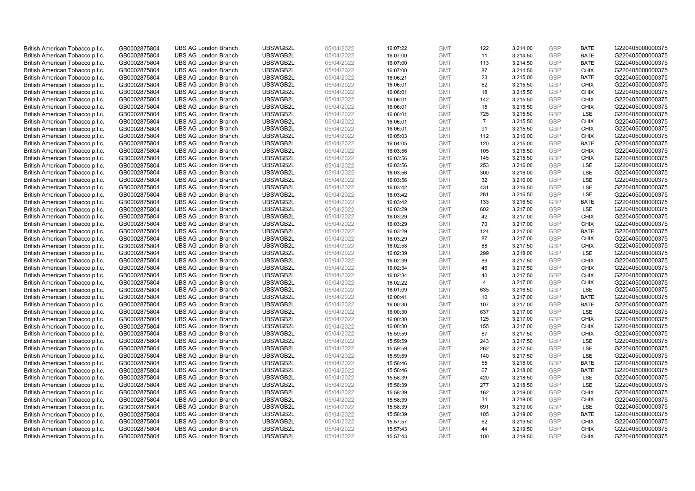| British American Tobacco p.l.c. | GB0002875804 | <b>UBS AG London Branch</b> | UBSWGB2L | 05/04/2022 | 16:07:22 | <b>GMT</b> | 122            | 3,214.00 | <b>GBP</b> | <b>BATE</b> | G220405000000375 |
|---------------------------------|--------------|-----------------------------|----------|------------|----------|------------|----------------|----------|------------|-------------|------------------|
| British American Tobacco p.l.c. | GB0002875804 | <b>UBS AG London Branch</b> | UBSWGB2L | 05/04/2022 | 16:07:00 | <b>GMT</b> | 11             | 3,214.50 | GBP        | <b>BATE</b> | G220405000000375 |
| British American Tobacco p.l.c. | GB0002875804 | <b>UBS AG London Branch</b> | UBSWGB2L | 05/04/2022 | 16:07:00 | <b>GMT</b> | 113            | 3,214.50 | GBP        | <b>BATE</b> | G220405000000375 |
| British American Tobacco p.l.c. | GB0002875804 | <b>UBS AG London Branch</b> | UBSWGB2L | 05/04/2022 | 16:07:00 | <b>GMT</b> | 87             | 3,214.50 | <b>GBP</b> | <b>CHIX</b> | G220405000000375 |
| British American Tobacco p.l.c. | GB0002875804 | <b>UBS AG London Branch</b> | UBSWGB2L | 05/04/2022 | 16:06:21 | <b>GMT</b> | 23             | 3,215.00 | GBP        | <b>BATE</b> | G220405000000375 |
| British American Tobacco p.l.c. | GB0002875804 | <b>UBS AG London Branch</b> | UBSWGB2L | 05/04/2022 | 16:06:01 | <b>GMT</b> | 62             | 3,215.50 | <b>GBP</b> | <b>CHIX</b> | G220405000000375 |
| British American Tobacco p.l.c. | GB0002875804 | <b>UBS AG London Branch</b> | UBSWGB2L | 05/04/2022 | 16:06:01 | <b>GMT</b> | 18             | 3,215.50 | GBP        | <b>CHIX</b> | G220405000000375 |
| British American Tobacco p.l.c. | GB0002875804 | <b>UBS AG London Branch</b> | UBSWGB2L | 05/04/2022 | 16:06:01 | <b>GMT</b> | 142            | 3,215.50 | <b>GBP</b> | <b>CHIX</b> | G220405000000375 |
| British American Tobacco p.l.c. | GB0002875804 | <b>UBS AG London Branch</b> | UBSWGB2L | 05/04/2022 | 16:06:01 | <b>GMT</b> | 15             | 3,215.50 | GBP        | <b>CHIX</b> | G220405000000375 |
| British American Tobacco p.l.c. | GB0002875804 | <b>UBS AG London Branch</b> | UBSWGB2L | 05/04/2022 | 16:06:01 | <b>GMT</b> | 725            | 3,215.50 | <b>GBP</b> | LSE         | G220405000000375 |
| British American Tobacco p.l.c. | GB0002875804 | <b>UBS AG London Branch</b> | UBSWGB2L | 05/04/2022 | 16:06:01 | <b>GMT</b> | $\overline{7}$ | 3,215.50 | GBP        | CHIX        | G220405000000375 |
| British American Tobacco p.l.c. | GB0002875804 | <b>UBS AG London Branch</b> | UBSWGB2L | 05/04/2022 | 16:06:01 | <b>GMT</b> | 91             | 3,215.50 | <b>GBP</b> | <b>CHIX</b> | G220405000000375 |
| British American Tobacco p.l.c. | GB0002875804 | <b>UBS AG London Branch</b> | UBSWGB2L | 05/04/2022 | 16:05:03 | <b>GMT</b> | 112            | 3,216.00 | GBP        | <b>CHIX</b> | G220405000000375 |
| British American Tobacco p.l.c. | GB0002875804 | <b>UBS AG London Branch</b> | UBSWGB2L | 05/04/2022 | 16:04:05 | <b>GMT</b> | 120            | 3,215.00 | <b>GBP</b> | <b>BATE</b> | G220405000000375 |
| British American Tobacco p.l.c. | GB0002875804 | <b>UBS AG London Branch</b> | UBSWGB2L | 05/04/2022 | 16:03:56 | <b>GMT</b> | 105            | 3,215.50 | GBP        | <b>CHIX</b> | G220405000000375 |
| British American Tobacco p.l.c. | GB0002875804 | <b>UBS AG London Branch</b> | UBSWGB2L | 05/04/2022 | 16:03:56 | <b>GMT</b> | 145            | 3,215.50 | GBP        | <b>CHIX</b> | G220405000000375 |
| British American Tobacco p.l.c. | GB0002875804 | <b>UBS AG London Branch</b> | UBSWGB2L | 05/04/2022 | 16:03:56 | <b>GMT</b> | 253            | 3,216.00 | GBP        | LSE         | G220405000000375 |
| British American Tobacco p.l.c. | GB0002875804 | <b>UBS AG London Branch</b> | UBSWGB2L | 05/04/2022 | 16:03:56 | <b>GMT</b> | 300            | 3,216.00 | <b>GBP</b> | <b>LSE</b>  | G220405000000375 |
| British American Tobacco p.l.c. | GB0002875804 | <b>UBS AG London Branch</b> | UBSWGB2L | 05/04/2022 | 16:03:56 | <b>GMT</b> | 32             | 3,216.00 | <b>GBP</b> | <b>LSE</b>  | G220405000000375 |
| British American Tobacco p.l.c. | GB0002875804 | <b>UBS AG London Branch</b> | UBSWGB2L | 05/04/2022 | 16:03:42 | <b>GMT</b> | 431            | 3,216.50 | <b>GBP</b> | LSE         | G220405000000375 |
| British American Tobacco p.l.c. | GB0002875804 | <b>UBS AG London Branch</b> | UBSWGB2L | 05/04/2022 | 16:03:42 | <b>GMT</b> | 281            | 3,216.50 | <b>GBP</b> | LSE         | G220405000000375 |
| British American Tobacco p.l.c. | GB0002875804 | <b>UBS AG London Branch</b> | UBSWGB2L | 05/04/2022 | 16:03:42 | <b>GMT</b> | 133            | 3,216.50 | GBP        | <b>BATE</b> | G220405000000375 |
| British American Tobacco p.l.c. | GB0002875804 | <b>UBS AG London Branch</b> | UBSWGB2L | 05/04/2022 | 16:03:29 | <b>GMT</b> | 602            | 3,217.00 | <b>GBP</b> | LSE         | G220405000000375 |
| British American Tobacco p.l.c. | GB0002875804 | <b>UBS AG London Branch</b> | UBSWGB2L | 05/04/2022 | 16:03:29 | <b>GMT</b> | 42             | 3.217.00 | GBP        | <b>CHIX</b> | G220405000000375 |
| British American Tobacco p.l.c. | GB0002875804 | <b>UBS AG London Branch</b> | UBSWGB2L | 05/04/2022 | 16:03:29 | <b>GMT</b> | 70             | 3,217.00 | <b>GBP</b> | <b>CHIX</b> | G220405000000375 |
| British American Tobacco p.l.c. | GB0002875804 | <b>UBS AG London Branch</b> | UBSWGB2L | 05/04/2022 | 16:03:29 | <b>GMT</b> | 124            | 3,217.00 | GBP        | <b>BATE</b> | G220405000000375 |
| British American Tobacco p.l.c. | GB0002875804 | <b>UBS AG London Branch</b> | UBSWGB2L | 05/04/2022 | 16:03:29 | <b>GMT</b> | 87             | 3,217.00 | <b>GBP</b> | <b>CHIX</b> | G220405000000375 |
| British American Tobacco p.l.c. | GB0002875804 | <b>UBS AG London Branch</b> | UBSWGB2L | 05/04/2022 | 16:02:58 | <b>GMT</b> | 88             | 3,217.50 | GBP        | <b>CHIX</b> | G220405000000375 |
| British American Tobacco p.l.c. | GB0002875804 | <b>UBS AG London Branch</b> | UBSWGB2L | 05/04/2022 | 16:02:39 | <b>GMT</b> | 299            | 3,218.00 | <b>GBP</b> | <b>LSE</b>  | G220405000000375 |
| British American Tobacco p.l.c. | GB0002875804 | <b>UBS AG London Branch</b> | UBSWGB2L | 05/04/2022 | 16:02:39 | <b>GMT</b> | 89             | 3,217.50 | GBP        | <b>CHIX</b> | G220405000000375 |
| British American Tobacco p.l.c. | GB0002875804 | <b>UBS AG London Branch</b> | UBSWGB2L | 05/04/2022 | 16:02:34 | <b>GMT</b> | 46             | 3,217.50 | <b>GBP</b> | <b>CHIX</b> | G220405000000375 |
| British American Tobacco p.l.c. | GB0002875804 | <b>UBS AG London Branch</b> | UBSWGB2L | 05/04/2022 | 16:02:34 | <b>GMT</b> | 40             | 3,217.50 | GBP        | <b>CHIX</b> | G220405000000375 |
| British American Tobacco p.l.c. | GB0002875804 | <b>UBS AG London Branch</b> | UBSWGB2L | 05/04/2022 | 16:02:22 | <b>GMT</b> | $\overline{4}$ | 3,217.00 | <b>GBP</b> | <b>CHIX</b> | G220405000000375 |
| British American Tobacco p.l.c. | GB0002875804 | <b>UBS AG London Branch</b> | UBSWGB2L | 05/04/2022 | 16:01:09 | <b>GMT</b> | 635            | 3,216.50 | <b>GBP</b> | LSE         | G220405000000375 |
| British American Tobacco p.l.c. | GB0002875804 | <b>UBS AG London Branch</b> | UBSWGB2L | 05/04/2022 | 16:00:41 | <b>GMT</b> | 10             | 3,217.00 | GBP        | <b>BATE</b> | G220405000000375 |
| British American Tobacco p.l.c. | GB0002875804 | <b>UBS AG London Branch</b> | UBSWGB2L | 05/04/2022 | 16:00:30 | <b>GMT</b> | 107            | 3,217.00 | <b>GBP</b> | <b>BATE</b> | G220405000000375 |
| British American Tobacco p.l.c. | GB0002875804 | <b>UBS AG London Branch</b> | UBSWGB2L | 05/04/2022 | 16:00:30 | <b>GMT</b> | 637            | 3,217.00 | GBP        | <b>LSE</b>  | G220405000000375 |
| British American Tobacco p.l.c. | GB0002875804 | <b>UBS AG London Branch</b> | UBSWGB2L | 05/04/2022 | 16:00:30 | <b>GMT</b> | 125            | 3,217.00 | <b>GBP</b> | <b>CHIX</b> | G220405000000375 |
| British American Tobacco p.l.c. | GB0002875804 | <b>UBS AG London Branch</b> | UBSWGB2L | 05/04/2022 | 16:00:30 | <b>GMT</b> | 155            | 3,217.00 | <b>GBP</b> | <b>CHIX</b> | G220405000000375 |
| British American Tobacco p.l.c. | GB0002875804 | <b>UBS AG London Branch</b> | UBSWGB2L | 05/04/2022 | 15:59:59 | <b>GMT</b> | 87             | 3,217.50 | <b>GBP</b> | <b>CHIX</b> | G220405000000375 |
| British American Tobacco p.l.c. | GB0002875804 | <b>UBS AG London Branch</b> | UBSWGB2L | 05/04/2022 | 15:59:59 | <b>GMT</b> | 243            | 3,217.50 | GBP        | <b>LSE</b>  | G220405000000375 |
| British American Tobacco p.l.c. | GB0002875804 | <b>UBS AG London Branch</b> | UBSWGB2L | 05/04/2022 | 15:59:59 | <b>GMT</b> | 262            | 3,217.50 | <b>GBP</b> | LSE         | G220405000000375 |
| British American Tobacco p.l.c. | GB0002875804 | <b>UBS AG London Branch</b> | UBSWGB2L | 05/04/2022 | 15:59:59 | <b>GMT</b> | 140            | 3,217.50 | <b>GBP</b> | LSE         | G220405000000375 |
| British American Tobacco p.l.c. | GB0002875804 | <b>UBS AG London Branch</b> | UBSWGB2L | 05/04/2022 | 15:58:46 | <b>GMT</b> | 55             | 3,218.00 | <b>GBP</b> | <b>BATE</b> | G220405000000375 |
| British American Tobacco p.l.c. | GB0002875804 | <b>UBS AG London Branch</b> | UBSWGB2L | 05/04/2022 | 15:58:46 | <b>GMT</b> | 67             | 3,218.00 | GBP        | <b>BATE</b> | G220405000000375 |
| British American Tobacco p.l.c. | GB0002875804 | <b>UBS AG London Branch</b> | UBSWGB2L | 05/04/2022 | 15:58:39 | <b>GMT</b> | 420            | 3,218.50 | <b>GBP</b> | LSE         | G220405000000375 |
| British American Tobacco p.l.c. | GB0002875804 | <b>UBS AG London Branch</b> | UBSWGB2L | 05/04/2022 | 15:58:39 | <b>GMT</b> | 277            | 3,218.50 | <b>GBP</b> | LSE         | G220405000000375 |
| British American Tobacco p.l.c. | GB0002875804 | <b>UBS AG London Branch</b> | UBSWGB2L | 05/04/2022 | 15:58:39 | <b>GMT</b> | 162            | 3,219.00 | GBP        | <b>CHIX</b> | G220405000000375 |
| British American Tobacco p.l.c. | GB0002875804 | <b>UBS AG London Branch</b> | UBSWGB2L | 05/04/2022 | 15:58:39 | <b>GMT</b> | 34             | 3,219.00 | <b>GBP</b> | <b>CHIX</b> | G220405000000375 |
| British American Tobacco p.l.c. | GB0002875804 | <b>UBS AG London Branch</b> | UBSWGB2L | 05/04/2022 | 15:58:39 | <b>GMT</b> | 691            | 3,219.00 | <b>GBP</b> | <b>LSE</b>  | G220405000000375 |
| British American Tobacco p.l.c. | GB0002875804 | <b>UBS AG London Branch</b> | UBSWGB2L | 05/04/2022 | 15:58:39 | <b>GMT</b> | 105            | 3,219.00 | <b>GBP</b> | <b>BATE</b> | G220405000000375 |
| British American Tobacco p.l.c. | GB0002875804 | <b>UBS AG London Branch</b> | UBSWGB2L | 05/04/2022 | 15:57:57 | <b>GMT</b> | 62             | 3,219.50 | <b>GBP</b> | <b>CHIX</b> | G220405000000375 |
| British American Tobacco p.l.c. | GB0002875804 | <b>UBS AG London Branch</b> | UBSWGB2L | 05/04/2022 | 15:57:43 | <b>GMT</b> | 44             | 3,219.50 | <b>GBP</b> | <b>CHIX</b> | G220405000000375 |
| British American Tobacco p.l.c. | GB0002875804 | <b>UBS AG London Branch</b> | UBSWGB2L | 05/04/2022 | 15:57:43 | <b>GMT</b> | 100            | 3.219.50 | GBP        | CHIX        | G220405000000375 |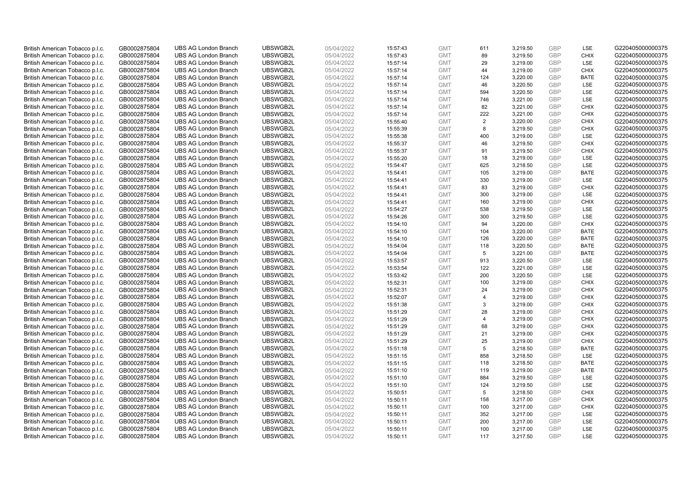| British American Tobacco p.l.c. | GB0002875804 | <b>UBS AG London Branch</b> | UBSWGB2L | 05/04/2022 | 15:57:43 | <b>GMT</b> | 611            | 3,219.50 | <b>GBP</b> | LSE         | G220405000000375 |
|---------------------------------|--------------|-----------------------------|----------|------------|----------|------------|----------------|----------|------------|-------------|------------------|
| British American Tobacco p.l.c. | GB0002875804 | <b>UBS AG London Branch</b> | UBSWGB2L | 05/04/2022 | 15:57:43 | <b>GMT</b> | 89             | 3,219.50 | GBP        | CHIX        | G220405000000375 |
| British American Tobacco p.l.c. | GB0002875804 | <b>UBS AG London Branch</b> | UBSWGB2L | 05/04/2022 | 15:57:14 | <b>GMT</b> | 29             | 3,219.00 | <b>GBP</b> | LSE         | G220405000000375 |
| British American Tobacco p.l.c. | GB0002875804 | <b>UBS AG London Branch</b> | UBSWGB2L | 05/04/2022 | 15:57:14 | <b>GMT</b> | 44             | 3,219.00 | <b>GBP</b> | <b>CHIX</b> | G220405000000375 |
| British American Tobacco p.l.c. | GB0002875804 | <b>UBS AG London Branch</b> | UBSWGB2L | 05/04/2022 | 15:57:14 | <b>GMT</b> | 124            | 3,220.00 | <b>GBP</b> | <b>BATE</b> | G220405000000375 |
| British American Tobacco p.l.c. | GB0002875804 | <b>UBS AG London Branch</b> | UBSWGB2L | 05/04/2022 | 15:57:14 | <b>GMT</b> | 46             | 3,220.50 | <b>GBP</b> | <b>LSE</b>  | G220405000000375 |
| British American Tobacco p.l.c. | GB0002875804 | <b>UBS AG London Branch</b> | UBSWGB2L | 05/04/2022 | 15:57:14 | <b>GMT</b> | 594            | 3,220.50 | <b>GBP</b> | LSE         | G220405000000375 |
| British American Tobacco p.l.c. | GB0002875804 | <b>UBS AG London Branch</b> | UBSWGB2L | 05/04/2022 | 15:57:14 | <b>GMT</b> | 746            | 3,221.00 | <b>GBP</b> | LSE         | G220405000000375 |
| British American Tobacco p.l.c. | GB0002875804 | <b>UBS AG London Branch</b> | UBSWGB2L | 05/04/2022 | 15:57:14 | <b>GMT</b> | 82             | 3,221.00 | <b>GBP</b> | <b>CHIX</b> | G220405000000375 |
| British American Tobacco p.l.c. | GB0002875804 | <b>UBS AG London Branch</b> | UBSWGB2L | 05/04/2022 | 15:57:14 | <b>GMT</b> | 222            | 3,221.00 | <b>GBP</b> | <b>CHIX</b> | G220405000000375 |
| British American Tobacco p.l.c. | GB0002875804 | <b>UBS AG London Branch</b> | UBSWGB2L | 05/04/2022 | 15:55:40 | <b>GMT</b> | 2              | 3.220.00 | <b>GBP</b> | <b>CHIX</b> | G220405000000375 |
| British American Tobacco p.l.c. | GB0002875804 | <b>UBS AG London Branch</b> | UBSWGB2L | 05/04/2022 | 15:55:39 | <b>GMT</b> | 8              | 3,219.50 | <b>GBP</b> | <b>CHIX</b> | G220405000000375 |
| British American Tobacco p.l.c. | GB0002875804 | <b>UBS AG London Branch</b> | UBSWGB2L | 05/04/2022 | 15:55:38 | <b>GMT</b> | 400            | 3,219.00 | <b>GBP</b> | LSE         | G220405000000375 |
| British American Tobacco p.l.c. | GB0002875804 | <b>UBS AG London Branch</b> | UBSWGB2L | 05/04/2022 | 15:55:37 | <b>GMT</b> | 46             | 3,219.50 | <b>GBP</b> | <b>CHIX</b> | G220405000000375 |
| British American Tobacco p.l.c. | GB0002875804 | <b>UBS AG London Branch</b> | UBSWGB2L | 05/04/2022 | 15:55:37 | <b>GMT</b> | 91             | 3,219.50 | GBP        | CHIX        | G220405000000375 |
| British American Tobacco p.l.c. | GB0002875804 | <b>UBS AG London Branch</b> | UBSWGB2L | 05/04/2022 | 15:55:20 | <b>GMT</b> | 18             | 3,219.00 | <b>GBP</b> | <b>LSE</b>  | G220405000000375 |
| British American Tobacco p.l.c. | GB0002875804 | <b>UBS AG London Branch</b> | UBSWGB2L | 05/04/2022 | 15:54:47 | <b>GMT</b> | 625            | 3,218.50 | <b>GBP</b> | LSE         | G220405000000375 |
| British American Tobacco p.l.c. | GB0002875804 | <b>UBS AG London Branch</b> | UBSWGB2L | 05/04/2022 | 15:54:41 | <b>GMT</b> | 105            | 3,219.00 | <b>GBP</b> | <b>BATE</b> | G220405000000375 |
| British American Tobacco p.l.c. | GB0002875804 | <b>UBS AG London Branch</b> | UBSWGB2L | 05/04/2022 | 15:54:41 | <b>GMT</b> | 330            | 3,219.00 | <b>GBP</b> | <b>LSE</b>  | G220405000000375 |
| British American Tobacco p.l.c. | GB0002875804 | <b>UBS AG London Branch</b> | UBSWGB2L | 05/04/2022 | 15:54:41 | <b>GMT</b> | 83             | 3,219.00 | <b>GBP</b> | <b>CHIX</b> | G220405000000375 |
| British American Tobacco p.l.c. | GB0002875804 | <b>UBS AG London Branch</b> | UBSWGB2L | 05/04/2022 | 15:54:41 | <b>GMT</b> | 300            | 3,219.00 | <b>GBP</b> | LSE         | G220405000000375 |
| British American Tobacco p.l.c. | GB0002875804 | <b>UBS AG London Branch</b> | UBSWGB2L | 05/04/2022 | 15:54:41 | <b>GMT</b> | 160            | 3,219.00 | GBP        | <b>CHIX</b> | G220405000000375 |
| British American Tobacco p.l.c. | GB0002875804 | <b>UBS AG London Branch</b> | UBSWGB2L | 05/04/2022 | 15:54:27 | <b>GMT</b> | 538            | 3,219.50 | <b>GBP</b> | LSE         | G220405000000375 |
| British American Tobacco p.l.c. | GB0002875804 | <b>UBS AG London Branch</b> | UBSWGB2L | 05/04/2022 | 15:54:26 | <b>GMT</b> | 300            | 3,219.50 | GBP        | <b>LSE</b>  | G220405000000375 |
| British American Tobacco p.l.c. | GB0002875804 | <b>UBS AG London Branch</b> | UBSWGB2L | 05/04/2022 | 15:54:10 | <b>GMT</b> | 94             | 3,220.00 | <b>GBP</b> | <b>CHIX</b> | G220405000000375 |
| British American Tobacco p.l.c. | GB0002875804 | <b>UBS AG London Branch</b> | UBSWGB2L | 05/04/2022 | 15:54:10 | <b>GMT</b> | 104            | 3,220.00 | <b>GBP</b> | <b>BATE</b> | G220405000000375 |
| British American Tobacco p.l.c. | GB0002875804 | <b>UBS AG London Branch</b> | UBSWGB2L | 05/04/2022 | 15:54:10 | <b>GMT</b> | 126            | 3,220.00 | <b>GBP</b> | <b>BATE</b> | G220405000000375 |
| British American Tobacco p.l.c. | GB0002875804 | <b>UBS AG London Branch</b> | UBSWGB2L | 05/04/2022 | 15:54:04 | <b>GMT</b> | 118            | 3,220.50 | GBP        | <b>BATE</b> | G220405000000375 |
| British American Tobacco p.l.c. | GB0002875804 | <b>UBS AG London Branch</b> | UBSWGB2L | 05/04/2022 | 15:54:04 | <b>GMT</b> | 5              | 3,221.00 | <b>GBP</b> | <b>BATE</b> | G220405000000375 |
| British American Tobacco p.l.c. | GB0002875804 | <b>UBS AG London Branch</b> | UBSWGB2L | 05/04/2022 | 15:53:57 | <b>GMT</b> | 913            | 3,220.50 | GBP        | LSE         | G220405000000375 |
| British American Tobacco p.l.c. | GB0002875804 | <b>UBS AG London Branch</b> | UBSWGB2L | 05/04/2022 | 15:53:54 | <b>GMT</b> | 122            | 3,221.00 | <b>GBP</b> | <b>LSE</b>  | G220405000000375 |
| British American Tobacco p.l.c. | GB0002875804 | <b>UBS AG London Branch</b> | UBSWGB2L | 05/04/2022 | 15:53:42 | <b>GMT</b> | 200            | 3,220.50 | GBP        | <b>LSE</b>  | G220405000000375 |
| British American Tobacco p.l.c. | GB0002875804 | <b>UBS AG London Branch</b> | UBSWGB2L | 05/04/2022 | 15:52:31 | <b>GMT</b> | 100            | 3,219.00 | <b>GBP</b> | <b>CHIX</b> | G220405000000375 |
| British American Tobacco p.l.c. | GB0002875804 | <b>UBS AG London Branch</b> | UBSWGB2L | 05/04/2022 | 15:52:31 | <b>GMT</b> | 24             | 3,219.00 | <b>GBP</b> | <b>CHIX</b> | G220405000000375 |
| British American Tobacco p.l.c. | GB0002875804 | <b>UBS AG London Branch</b> | UBSWGB2L | 05/04/2022 | 15:52:07 | <b>GMT</b> | $\overline{4}$ | 3,219.00 | GBP        | <b>CHIX</b> | G220405000000375 |
| British American Tobacco p.l.c. | GB0002875804 | <b>UBS AG London Branch</b> | UBSWGB2L | 05/04/2022 | 15:51:38 | <b>GMT</b> | 3              | 3,219.00 | <b>GBP</b> | <b>CHIX</b> | G220405000000375 |
| British American Tobacco p.l.c. | GB0002875804 | <b>UBS AG London Branch</b> | UBSWGB2L | 05/04/2022 | 15:51:29 | <b>GMT</b> | 28             | 3,219.00 | GBP        | <b>CHIX</b> | G220405000000375 |
| British American Tobacco p.l.c. | GB0002875804 | <b>UBS AG London Branch</b> | UBSWGB2L | 05/04/2022 | 15:51:29 | <b>GMT</b> | 4              | 3,219.00 | <b>GBP</b> | <b>CHIX</b> | G220405000000375 |
| British American Tobacco p.l.c. | GB0002875804 | <b>UBS AG London Branch</b> | UBSWGB2L | 05/04/2022 | 15:51:29 | <b>GMT</b> | 68             | 3,219.00 | GBP        | <b>CHIX</b> | G220405000000375 |
| British American Tobacco p.l.c. | GB0002875804 | <b>UBS AG London Branch</b> | UBSWGB2L | 05/04/2022 | 15:51:29 | <b>GMT</b> | 21             | 3,219.00 | <b>GBP</b> | <b>CHIX</b> | G220405000000375 |
| British American Tobacco p.l.c. | GB0002875804 | <b>UBS AG London Branch</b> | UBSWGB2L | 05/04/2022 | 15:51:29 | <b>GMT</b> | 25             | 3,219.00 | GBP        | <b>CHIX</b> | G220405000000375 |
| British American Tobacco p.l.c. | GB0002875804 | <b>UBS AG London Branch</b> | UBSWGB2L | 05/04/2022 | 15:51:18 | <b>GMT</b> | 5              | 3,218.50 | <b>GBP</b> | <b>BATE</b> | G220405000000375 |
| British American Tobacco p.l.c. | GB0002875804 | <b>UBS AG London Branch</b> | UBSWGB2L | 05/04/2022 | 15:51:15 | <b>GMT</b> | 858            | 3,218.50 | <b>GBP</b> | LSE         | G220405000000375 |
| British American Tobacco p.l.c. | GB0002875804 | <b>UBS AG London Branch</b> | UBSWGB2L | 05/04/2022 | 15:51:15 | <b>GMT</b> | 118            | 3,218.50 | <b>GBP</b> | <b>BATE</b> | G220405000000375 |
| British American Tobacco p.l.c. | GB0002875804 | <b>UBS AG London Branch</b> | UBSWGB2L | 05/04/2022 | 15:51:10 | <b>GMT</b> | 119            | 3,219.00 | GBP        | <b>BATE</b> | G220405000000375 |
| British American Tobacco p.l.c. | GB0002875804 | <b>UBS AG London Branch</b> | UBSWGB2L | 05/04/2022 | 15:51:10 | <b>GMT</b> | 884            | 3,219.50 | <b>GBP</b> | LSE         | G220405000000375 |
| British American Tobacco p.l.c. | GB0002875804 | <b>UBS AG London Branch</b> | UBSWGB2L | 05/04/2022 | 15:51:10 | <b>GMT</b> | 124            | 3,219.50 | <b>GBP</b> | LSE         | G220405000000375 |
| British American Tobacco p.l.c. | GB0002875804 | <b>UBS AG London Branch</b> | UBSWGB2L | 05/04/2022 | 15:50:51 | <b>GMT</b> | 5              | 3,218.50 | <b>GBP</b> | <b>CHIX</b> | G220405000000375 |
| British American Tobacco p.l.c. | GB0002875804 | <b>UBS AG London Branch</b> | UBSWGB2L | 05/04/2022 | 15:50:11 | <b>GMT</b> | 158            | 3,217.00 | <b>GBP</b> | <b>CHIX</b> | G220405000000375 |
| British American Tobacco p.l.c. | GB0002875804 | <b>UBS AG London Branch</b> | UBSWGB2L | 05/04/2022 | 15:50:11 | <b>GMT</b> | 100            | 3,217.00 | <b>GBP</b> | <b>CHIX</b> | G220405000000375 |
| British American Tobacco p.l.c. | GB0002875804 | <b>UBS AG London Branch</b> | UBSWGB2L | 05/04/2022 | 15:50:11 | <b>GMT</b> | 352            | 3,217.00 | <b>GBP</b> | LSE         | G220405000000375 |
| British American Tobacco p.l.c. | GB0002875804 | <b>UBS AG London Branch</b> | UBSWGB2L | 05/04/2022 | 15:50:11 | <b>GMT</b> | 200            | 3,217.00 | <b>GBP</b> | LSE         | G220405000000375 |
| British American Tobacco p.l.c. | GB0002875804 | <b>UBS AG London Branch</b> | UBSWGB2L | 05/04/2022 | 15:50:11 | <b>GMT</b> | 100            | 3,217.00 | <b>GBP</b> | LSE         | G220405000000375 |
| British American Tobacco p.l.c. | GB0002875804 | <b>UBS AG London Branch</b> | UBSWGB2L | 05/04/2022 | 15:50:11 | <b>GMT</b> | 117            | 3.217.50 | GBP        | <b>LSE</b>  | G220405000000375 |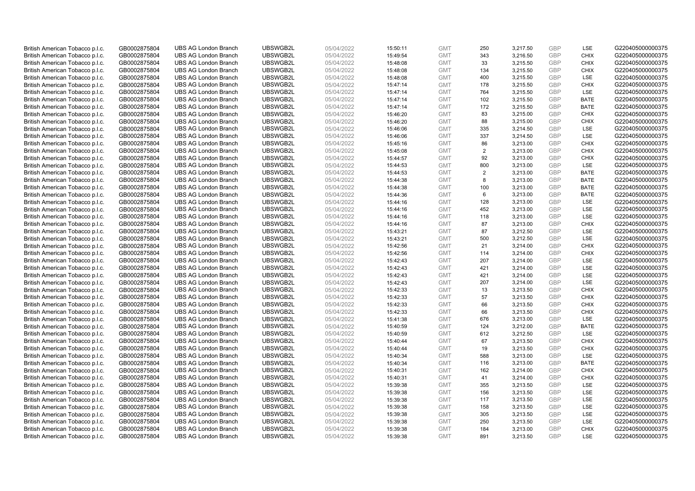| British American Tobacco p.l.c.                                    | GB0002875804                 | <b>UBS AG London Branch</b>                                | UBSWGB2L             | 05/04/2022               | 15:50:11             | <b>GMT</b>               | 250            | 3,217.50             | <b>GBP</b>               | LSE                 | G220405000000375                     |
|--------------------------------------------------------------------|------------------------------|------------------------------------------------------------|----------------------|--------------------------|----------------------|--------------------------|----------------|----------------------|--------------------------|---------------------|--------------------------------------|
| British American Tobacco p.l.c.                                    | GB0002875804                 | <b>UBS AG London Branch</b>                                | UBSWGB2L             | 05/04/2022               | 15:49:54             | <b>GMT</b>               | 343            | 3,216.50             | <b>GBP</b>               | <b>CHIX</b>         | G220405000000375                     |
| British American Tobacco p.l.c.                                    | GB0002875804                 | <b>UBS AG London Branch</b>                                | UBSWGB2L             | 05/04/2022               | 15:48:08             | <b>GMT</b>               | 33             | 3,215.50             | <b>GBP</b>               | <b>CHIX</b>         | G220405000000375                     |
| British American Tobacco p.l.c.                                    | GB0002875804                 | <b>UBS AG London Branch</b>                                | UBSWGB2L             | 05/04/2022               | 15:48:08             | <b>GMT</b>               | 134            | 3,215.50             | <b>GBP</b>               | <b>CHIX</b>         | G220405000000375                     |
| British American Tobacco p.l.c.                                    | GB0002875804                 | <b>UBS AG London Branch</b>                                | UBSWGB2L             | 05/04/2022               | 15:48:08             | <b>GMT</b>               | 400            | 3,215.50             | <b>GBP</b>               | <b>LSE</b>          | G220405000000375                     |
| British American Tobacco p.l.c.                                    | GB0002875804                 | <b>UBS AG London Branch</b>                                | UBSWGB2L             | 05/04/2022               | 15:47:14             | <b>GMT</b>               | 178            | 3,215.50             | <b>GBP</b>               | <b>CHIX</b>         | G220405000000375                     |
| British American Tobacco p.l.c.                                    | GB0002875804                 | <b>UBS AG London Branch</b>                                | UBSWGB2L             | 05/04/2022               | 15:47:14             | <b>GMT</b>               | 764            | 3,215.50             | <b>GBP</b>               | LSE                 | G220405000000375                     |
| British American Tobacco p.l.c.                                    | GB0002875804                 | <b>UBS AG London Branch</b>                                | UBSWGB2L             | 05/04/2022               | 15:47:14             | <b>GMT</b>               | 102            | 3,215.50             | <b>GBP</b>               | <b>BATE</b>         | G220405000000375                     |
| British American Tobacco p.l.c.                                    | GB0002875804                 | <b>UBS AG London Branch</b>                                | UBSWGB2L             | 05/04/2022               | 15:47:14             | <b>GMT</b>               | 172            | 3,215.50             | <b>GBP</b>               | <b>BATE</b>         | G220405000000375                     |
| British American Tobacco p.l.c.                                    | GB0002875804                 | <b>UBS AG London Branch</b>                                | UBSWGB2L             | 05/04/2022               | 15:46:20             | <b>GMT</b>               | 83             | 3,215.00             | <b>GBP</b>               | <b>CHIX</b>         | G220405000000375                     |
| British American Tobacco p.l.c.                                    | GB0002875804                 | <b>UBS AG London Branch</b>                                | UBSWGB2L             | 05/04/2022               | 15:46:20             | <b>GMT</b>               | 88             | 3,215.00             | <b>GBP</b>               | <b>CHIX</b>         | G220405000000375                     |
| British American Tobacco p.l.c.                                    | GB0002875804                 | <b>UBS AG London Branch</b>                                | UBSWGB2L             | 05/04/2022               | 15:46:06             | <b>GMT</b>               | 335            | 3,214.50             | <b>GBP</b>               | LSE                 | G220405000000375                     |
| British American Tobacco p.l.c.                                    | GB0002875804                 | <b>UBS AG London Branch</b>                                | UBSWGB2L             | 05/04/2022               | 15:46:06             | <b>GMT</b>               | 337            | 3,214.50             | <b>GBP</b>               | LSE                 | G220405000000375                     |
| British American Tobacco p.l.c.                                    | GB0002875804                 | <b>UBS AG London Branch</b>                                | UBSWGB2L             | 05/04/2022               | 15:45:16             | <b>GMT</b>               | 86             | 3,213.00             | <b>GBP</b>               | <b>CHIX</b><br>CHIX | G220405000000375                     |
| British American Tobacco p.l.c.                                    | GB0002875804                 | <b>UBS AG London Branch</b>                                | UBSWGB2L             | 05/04/2022               | 15:45:08             | <b>GMT</b>               | 2              | 3,213.00             | GBP                      |                     | G220405000000375                     |
| British American Tobacco p.l.c.                                    | GB0002875804                 | <b>UBS AG London Branch</b>                                | UBSWGB2L             | 05/04/2022               | 15:44:57             | <b>GMT</b>               | 92             | 3,213.00             | <b>GBP</b><br><b>GBP</b> | <b>CHIX</b>         | G220405000000375                     |
| British American Tobacco p.l.c.                                    | GB0002875804                 | <b>UBS AG London Branch</b>                                | UBSWGB2L             | 05/04/2022               | 15:44:53             | <b>GMT</b>               | 800            | 3,213.00             |                          | LSE                 | G220405000000375                     |
| British American Tobacco p.l.c.                                    | GB0002875804                 | <b>UBS AG London Branch</b>                                | UBSWGB2L             | 05/04/2022               | 15:44:53             | <b>GMT</b>               | $\overline{2}$ | 3,213.00             | <b>GBP</b>               | <b>BATE</b>         | G220405000000375                     |
| British American Tobacco p.l.c.                                    | GB0002875804                 | <b>UBS AG London Branch</b>                                | UBSWGB2L             | 05/04/2022               | 15:44:38             | <b>GMT</b>               | 8              | 3,213.00             | <b>GBP</b>               | <b>BATE</b>         | G220405000000375                     |
| British American Tobacco p.l.c.                                    | GB0002875804                 | <b>UBS AG London Branch</b>                                | UBSWGB2L             | 05/04/2022               | 15:44:38             | <b>GMT</b>               | 100            | 3,213.00             | <b>GBP</b>               | <b>BATE</b>         | G220405000000375                     |
| British American Tobacco p.l.c.                                    | GB0002875804                 | <b>UBS AG London Branch</b>                                | UBSWGB2L<br>UBSWGB2L | 05/04/2022<br>05/04/2022 | 15:44:36             | <b>GMT</b>               | 6<br>128       | 3,213.00             | <b>GBP</b><br>GBP        | <b>BATE</b><br>LSE  | G220405000000375<br>G220405000000375 |
| British American Tobacco p.l.c.                                    | GB0002875804                 | <b>UBS AG London Branch</b>                                |                      |                          | 15:44:16             | <b>GMT</b>               |                | 3,213.00             | <b>GBP</b>               |                     |                                      |
| British American Tobacco p.l.c.                                    | GB0002875804                 | <b>UBS AG London Branch</b>                                | UBSWGB2L             | 05/04/2022               | 15:44:16             | <b>GMT</b><br><b>GMT</b> | 452            | 3,213.00             | GBP                      | LSE<br><b>LSE</b>   | G220405000000375                     |
| British American Tobacco p.l.c.                                    | GB0002875804                 | <b>UBS AG London Branch</b>                                | UBSWGB2L             | 05/04/2022               | 15:44:16             |                          | 118<br>87      | 3,213.00             |                          |                     | G220405000000375                     |
| British American Tobacco p.l.c.<br>British American Tobacco p.l.c. | GB0002875804<br>GB0002875804 | <b>UBS AG London Branch</b><br><b>UBS AG London Branch</b> | UBSWGB2L<br>UBSWGB2L | 05/04/2022<br>05/04/2022 | 15:44:16<br>15:43:21 | <b>GMT</b><br><b>GMT</b> | 87             | 3,213.00<br>3,212.50 | <b>GBP</b><br><b>GBP</b> | <b>CHIX</b><br>LSE  | G220405000000375<br>G220405000000375 |
| British American Tobacco p.l.c.                                    | GB0002875804                 | <b>UBS AG London Branch</b>                                | UBSWGB2L             | 05/04/2022               | 15:43:21             | <b>GMT</b>               | 500            | 3,212.50             | <b>GBP</b>               | LSE                 | G220405000000375                     |
| British American Tobacco p.l.c.                                    | GB0002875804                 | <b>UBS AG London Branch</b>                                | UBSWGB2L             | 05/04/2022               | 15:42:56             | <b>GMT</b>               | 21             | 3,214.00             | GBP                      | <b>CHIX</b>         | G220405000000375                     |
| British American Tobacco p.l.c.                                    | GB0002875804                 | <b>UBS AG London Branch</b>                                | UBSWGB2L             | 05/04/2022               | 15:42:56             | <b>GMT</b>               | 114            | 3,214.00             | <b>GBP</b>               | <b>CHIX</b>         | G220405000000375                     |
| British American Tobacco p.l.c.                                    | GB0002875804                 | <b>UBS AG London Branch</b>                                | UBSWGB2L             | 05/04/2022               | 15:42:43             | <b>GMT</b>               | 207            | 3,214.00             | GBP                      | LSE                 | G220405000000375                     |
| British American Tobacco p.l.c.                                    | GB0002875804                 | <b>UBS AG London Branch</b>                                | UBSWGB2L             | 05/04/2022               | 15:42:43             | <b>GMT</b>               | 421            | 3,214.00             | <b>GBP</b>               | <b>LSE</b>          | G220405000000375                     |
| British American Tobacco p.l.c.                                    | GB0002875804                 | <b>UBS AG London Branch</b>                                | UBSWGB2L             | 05/04/2022               | 15:42:43             | <b>GMT</b>               | 421            | 3,214.00             | GBP                      | <b>LSE</b>          | G220405000000375                     |
| British American Tobacco p.l.c.                                    | GB0002875804                 | <b>UBS AG London Branch</b>                                | UBSWGB2L             | 05/04/2022               | 15:42:43             | <b>GMT</b>               | 207            | 3,214.00             | <b>GBP</b>               | LSE                 | G220405000000375                     |
| British American Tobacco p.l.c.                                    | GB0002875804                 | <b>UBS AG London Branch</b>                                | UBSWGB2L             | 05/04/2022               | 15:42:33             | <b>GMT</b>               | 13             | 3,213.50             | <b>GBP</b>               | <b>CHIX</b>         | G220405000000375                     |
| British American Tobacco p.l.c.                                    | GB0002875804                 | <b>UBS AG London Branch</b>                                | UBSWGB2L             | 05/04/2022               | 15:42:33             | <b>GMT</b>               | 57             | 3,213.50             | GBP                      | <b>CHIX</b>         | G220405000000375                     |
| British American Tobacco p.l.c.                                    | GB0002875804                 | <b>UBS AG London Branch</b>                                | UBSWGB2L             | 05/04/2022               | 15:42:33             | <b>GMT</b>               | 66             | 3,213.50             | <b>GBP</b>               | <b>CHIX</b>         | G220405000000375                     |
| British American Tobacco p.l.c.                                    | GB0002875804                 | <b>UBS AG London Branch</b>                                | UBSWGB2L             | 05/04/2022               | 15:42:33             | <b>GMT</b>               | 66             | 3,213.50             | GBP                      | <b>CHIX</b>         | G220405000000375                     |
| British American Tobacco p.l.c.                                    | GB0002875804                 | <b>UBS AG London Branch</b>                                | UBSWGB2L             | 05/04/2022               | 15:41:38             | <b>GMT</b>               | 676            | 3,213.00             | <b>GBP</b>               | LSE                 | G220405000000375                     |
| British American Tobacco p.l.c.                                    | GB0002875804                 | <b>UBS AG London Branch</b>                                | UBSWGB2L             | 05/04/2022               | 15:40:59             | <b>GMT</b>               | 124            | 3,212.00             | GBP                      | <b>BATE</b>         | G220405000000375                     |
| British American Tobacco p.l.c.                                    | GB0002875804                 | <b>UBS AG London Branch</b>                                | UBSWGB2L             | 05/04/2022               | 15:40:59             | <b>GMT</b>               | 612            | 3,212.50             | <b>GBP</b>               | LSE                 | G220405000000375                     |
| British American Tobacco p.l.c.                                    | GB0002875804                 | <b>UBS AG London Branch</b>                                | UBSWGB2L             | 05/04/2022               | 15:40:44             | <b>GMT</b>               | 67             | 3,213.50             | GBP                      | <b>CHIX</b>         | G220405000000375                     |
| British American Tobacco p.l.c.                                    | GB0002875804                 | <b>UBS AG London Branch</b>                                | UBSWGB2L             | 05/04/2022               | 15:40:44             | <b>GMT</b>               | 19             | 3,213.50             | <b>GBP</b>               | <b>CHIX</b>         | G220405000000375                     |
| British American Tobacco p.l.c.                                    | GB0002875804                 | <b>UBS AG London Branch</b>                                | UBSWGB2L             | 05/04/2022               | 15:40:34             | <b>GMT</b>               | 588            | 3,213.00             | <b>GBP</b>               | LSE                 | G220405000000375                     |
| British American Tobacco p.l.c.                                    | GB0002875804                 | <b>UBS AG London Branch</b>                                | UBSWGB2L             | 05/04/2022               | 15:40:34             | <b>GMT</b>               | 116            | 3,213.00             | <b>GBP</b>               | <b>BATE</b>         | G220405000000375                     |
| British American Tobacco p.l.c.                                    | GB0002875804                 | <b>UBS AG London Branch</b>                                | UBSWGB2L             | 05/04/2022               | 15:40:31             | <b>GMT</b>               | 162            | 3,214.00             | <b>GBP</b>               | <b>CHIX</b>         | G220405000000375                     |
| British American Tobacco p.l.c.                                    | GB0002875804                 | <b>UBS AG London Branch</b>                                | UBSWGB2L             | 05/04/2022               | 15:40:31             | <b>GMT</b>               | 41             | 3,214.00             | <b>GBP</b>               | <b>CHIX</b>         | G220405000000375                     |
| British American Tobacco p.l.c.                                    | GB0002875804                 | <b>UBS AG London Branch</b>                                | UBSWGB2L             | 05/04/2022               | 15:39:38             | <b>GMT</b>               | 355            | 3,213.50             | <b>GBP</b>               | LSE                 | G220405000000375                     |
| British American Tobacco p.l.c.                                    | GB0002875804                 | <b>UBS AG London Branch</b>                                | UBSWGB2L             | 05/04/2022               | 15:39:38             | <b>GMT</b>               | 156            | 3,213.50             | <b>GBP</b>               | LSE                 | G220405000000375                     |
| British American Tobacco p.l.c.                                    | GB0002875804                 | <b>UBS AG London Branch</b>                                | UBSWGB2L             | 05/04/2022               | 15:39:38             | <b>GMT</b>               | 117            | 3,213.50             | <b>GBP</b>               | LSE                 | G220405000000375                     |
| British American Tobacco p.l.c.                                    | GB0002875804                 | <b>UBS AG London Branch</b>                                | UBSWGB2L             | 05/04/2022               | 15:39:38             | <b>GMT</b>               | 158            | 3,213.50             | <b>GBP</b>               | <b>LSE</b>          | G220405000000375                     |
| British American Tobacco p.l.c.                                    | GB0002875804                 | <b>UBS AG London Branch</b>                                | UBSWGB2L             | 05/04/2022               | 15:39:38             | <b>GMT</b>               | 305            | 3,213.50             | <b>GBP</b>               | LSE                 | G220405000000375                     |
| British American Tobacco p.l.c.                                    | GB0002875804                 | <b>UBS AG London Branch</b>                                | UBSWGB2L             | 05/04/2022               | 15:39:38             | <b>GMT</b>               | 250            | 3,213.50             | <b>GBP</b>               | LSE                 | G220405000000375                     |
| British American Tobacco p.l.c.                                    | GB0002875804                 | <b>UBS AG London Branch</b>                                | UBSWGB2L             | 05/04/2022               | 15:39:38             | <b>GMT</b>               | 184            | 3,213.00             | <b>GBP</b>               | <b>CHIX</b>         | G220405000000375                     |
| British American Tobacco p.l.c.                                    | GB0002875804                 | <b>UBS AG London Branch</b>                                | UBSWGB2L             | 05/04/2022               | 15:39:38             | <b>GMT</b>               | 891            | 3.213.50             | GBP                      | <b>LSE</b>          | G220405000000375                     |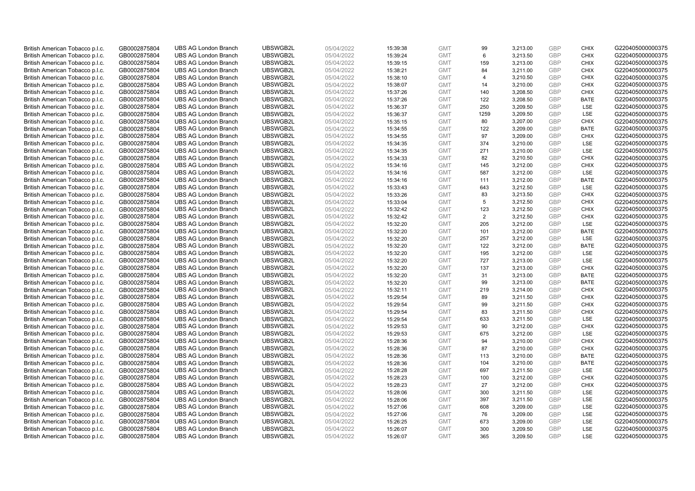| British American Tobacco p.l.c.                                    | GB0002875804                 | <b>UBS AG London Branch</b>                                | UBSWGB2L             | 05/04/2022               | 15:39:38             | <b>GMT</b>               | 99       | 3,213.00             | <b>GBP</b>        | <b>CHIX</b>                | G220405000000375                     |
|--------------------------------------------------------------------|------------------------------|------------------------------------------------------------|----------------------|--------------------------|----------------------|--------------------------|----------|----------------------|-------------------|----------------------------|--------------------------------------|
| British American Tobacco p.l.c.                                    | GB0002875804                 | <b>UBS AG London Branch</b>                                | UBSWGB2L             | 05/04/2022               | 15:39:24             | <b>GMT</b>               | 6        | 3,213.50             | <b>GBP</b>        | CHIX                       | G220405000000375                     |
| British American Tobacco p.l.c.                                    | GB0002875804                 | <b>UBS AG London Branch</b>                                | UBSWGB2L             | 05/04/2022               | 15:39:15             | <b>GMT</b>               | 159      | 3,213.00             | <b>GBP</b>        | <b>CHIX</b>                | G220405000000375                     |
| British American Tobacco p.l.c.                                    | GB0002875804                 | <b>UBS AG London Branch</b>                                | UBSWGB2L             | 05/04/2022               | 15:38:21             | <b>GMT</b>               | 84       | 3,211.00             | <b>GBP</b>        | <b>CHIX</b>                | G220405000000375                     |
| British American Tobacco p.l.c.                                    | GB0002875804                 | <b>UBS AG London Branch</b>                                | UBSWGB2L             | 05/04/2022               | 15:38:10             | <b>GMT</b>               | 4        | 3,210.50             | <b>GBP</b>        | <b>CHIX</b>                | G220405000000375                     |
| British American Tobacco p.l.c.                                    | GB0002875804                 | <b>UBS AG London Branch</b>                                | UBSWGB2L             | 05/04/2022               | 15:38:07             | <b>GMT</b>               | 14       | 3,210.00             | <b>GBP</b>        | <b>CHIX</b>                | G220405000000375                     |
| British American Tobacco p.l.c.                                    | GB0002875804                 | <b>UBS AG London Branch</b>                                | UBSWGB2L             | 05/04/2022               | 15:37:26             | <b>GMT</b>               | 140      | 3,208.50             | <b>GBP</b>        | <b>CHIX</b>                | G220405000000375                     |
| British American Tobacco p.l.c.                                    | GB0002875804                 | <b>UBS AG London Branch</b>                                | UBSWGB2L             | 05/04/2022               | 15:37:26             | <b>GMT</b>               | 122      | 3,208.50             | <b>GBP</b>        | <b>BATE</b>                | G220405000000375                     |
| British American Tobacco p.l.c.                                    | GB0002875804                 | <b>UBS AG London Branch</b>                                | UBSWGB2L             | 05/04/2022               | 15:36:37             | <b>GMT</b>               | 250      | 3,209.50             | <b>GBP</b>        | LSE                        | G220405000000375                     |
| British American Tobacco p.l.c.                                    | GB0002875804                 | <b>UBS AG London Branch</b>                                | UBSWGB2L             | 05/04/2022               | 15:36:37             | <b>GMT</b>               | 1259     | 3,209.50             | <b>GBP</b>        | LSE                        | G220405000000375                     |
| British American Tobacco p.l.c.                                    | GB0002875804                 | <b>UBS AG London Branch</b>                                | UBSWGB2L             | 05/04/2022               | 15:35:15             | <b>GMT</b>               | 80       | 3.207.00             | <b>GBP</b>        | CHIX                       | G220405000000375                     |
| British American Tobacco p.l.c.                                    | GB0002875804                 | <b>UBS AG London Branch</b>                                | UBSWGB2L             | 05/04/2022               | 15:34:55             | <b>GMT</b>               | 122      | 3,209.00             | <b>GBP</b>        | <b>BATE</b>                | G220405000000375                     |
| British American Tobacco p.l.c.                                    | GB0002875804                 | <b>UBS AG London Branch</b>                                | UBSWGB2L             | 05/04/2022               | 15:34:55             | <b>GMT</b>               | 97       | 3,209.00             | <b>GBP</b>        | <b>CHIX</b>                | G220405000000375                     |
| British American Tobacco p.l.c.                                    | GB0002875804                 | <b>UBS AG London Branch</b>                                | UBSWGB2L             | 05/04/2022               | 15:34:35             | <b>GMT</b>               | 374      | 3,210.00             | <b>GBP</b><br>GBP | <b>LSE</b>                 | G220405000000375                     |
| British American Tobacco p.l.c.                                    | GB0002875804                 | <b>UBS AG London Branch</b>                                | UBSWGB2L             | 05/04/2022               | 15:34:35             | <b>GMT</b>               | 271      | 3,210.00             |                   | LSE                        | G220405000000375                     |
| British American Tobacco p.l.c.                                    | GB0002875804                 | <b>UBS AG London Branch</b>                                | UBSWGB2L<br>UBSWGB2L | 05/04/2022               | 15:34:33             | <b>GMT</b>               | 82       | 3,210.50             | GBP<br>GBP        | <b>CHIX</b>                | G220405000000375                     |
| British American Tobacco p.l.c.                                    | GB0002875804                 | <b>UBS AG London Branch</b>                                |                      | 05/04/2022               | 15:34:16             | <b>GMT</b>               | 145      | 3,212.00             |                   | <b>CHIX</b>                | G220405000000375                     |
| British American Tobacco p.l.c.                                    | GB0002875804                 | <b>UBS AG London Branch</b>                                | UBSWGB2L             | 05/04/2022               | 15:34:16             | <b>GMT</b>               | 587      | 3,212.00             | <b>GBP</b>        | <b>LSE</b>                 | G220405000000375                     |
| British American Tobacco p.l.c.                                    | GB0002875804                 | <b>UBS AG London Branch</b>                                | UBSWGB2L             | 05/04/2022               | 15:34:16             | <b>GMT</b>               | 111      | 3,212.00             | <b>GBP</b>        | <b>BATE</b>                | G220405000000375                     |
| British American Tobacco p.l.c.                                    | GB0002875804                 | <b>UBS AG London Branch</b>                                | UBSWGB2L             | 05/04/2022               | 15:33:43             | <b>GMT</b>               | 643      | 3,212.50             | <b>GBP</b>        | LSE                        | G220405000000375                     |
| British American Tobacco p.l.c.                                    | GB0002875804                 | <b>UBS AG London Branch</b>                                | UBSWGB2L<br>UBSWGB2L | 05/04/2022<br>05/04/2022 | 15:33:26             | <b>GMT</b>               | 83<br>5  | 3,213.50             | <b>GBP</b><br>GBP | <b>CHIX</b><br><b>CHIX</b> | G220405000000375<br>G220405000000375 |
| British American Tobacco p.l.c.                                    | GB0002875804                 | <b>UBS AG London Branch</b>                                |                      |                          | 15:33:04             | <b>GMT</b>               |          | 3,212.50             | <b>GBP</b>        |                            |                                      |
| British American Tobacco p.l.c.<br>British American Tobacco p.l.c. | GB0002875804<br>GB0002875804 | <b>UBS AG London Branch</b><br><b>UBS AG London Branch</b> | UBSWGB2L<br>UBSWGB2L | 05/04/2022<br>05/04/2022 | 15:32:42             | <b>GMT</b><br><b>GMT</b> | 123<br>2 | 3,212.50             | GBP               | <b>CHIX</b><br><b>CHIX</b> | G220405000000375<br>G220405000000375 |
|                                                                    |                              | <b>UBS AG London Branch</b>                                | UBSWGB2L             |                          | 15:32:42             |                          | 205      | 3,212.50<br>3,212.00 | <b>GBP</b>        | LSE                        | G220405000000375                     |
| British American Tobacco p.l.c.<br>British American Tobacco p.l.c. | GB0002875804<br>GB0002875804 | <b>UBS AG London Branch</b>                                | UBSWGB2L             | 05/04/2022<br>05/04/2022 | 15:32:20<br>15:32:20 | <b>GMT</b><br><b>GMT</b> | 101      | 3,212.00             | GBP               | <b>BATE</b>                | G220405000000375                     |
| British American Tobacco p.l.c.                                    | GB0002875804                 | <b>UBS AG London Branch</b>                                | UBSWGB2L             | 05/04/2022               | 15:32:20             | <b>GMT</b>               | 257      | 3,212.00             | <b>GBP</b>        | LSE                        | G220405000000375                     |
| British American Tobacco p.l.c.                                    | GB0002875804                 | <b>UBS AG London Branch</b>                                | UBSWGB2L             | 05/04/2022               | 15:32:20             | <b>GMT</b>               | 122      | 3,212.00             | GBP               | <b>BATE</b>                | G220405000000375                     |
| British American Tobacco p.l.c.                                    | GB0002875804                 | <b>UBS AG London Branch</b>                                | UBSWGB2L             | 05/04/2022               | 15:32:20             | <b>GMT</b>               | 195      | 3,212.00             | <b>GBP</b>        | LSE                        | G220405000000375                     |
| British American Tobacco p.l.c.                                    | GB0002875804                 | <b>UBS AG London Branch</b>                                | UBSWGB2L             | 05/04/2022               | 15:32:20             | <b>GMT</b>               | 727      | 3,213.00             | GBP               | LSE                        | G220405000000375                     |
| British American Tobacco p.l.c.                                    | GB0002875804                 | <b>UBS AG London Branch</b>                                | UBSWGB2L             | 05/04/2022               | 15:32:20             | <b>GMT</b>               | 137      | 3,213.00             | <b>GBP</b>        | <b>CHIX</b>                | G220405000000375                     |
| British American Tobacco p.l.c.                                    | GB0002875804                 | <b>UBS AG London Branch</b>                                | UBSWGB2L             | 05/04/2022               | 15:32:20             | <b>GMT</b>               | 31       | 3,213.00             | GBP               | <b>BATE</b>                | G220405000000375                     |
| British American Tobacco p.l.c.                                    | GB0002875804                 | <b>UBS AG London Branch</b>                                | UBSWGB2L             | 05/04/2022               | 15:32:20             | <b>GMT</b>               | 99       | 3,213.00             | <b>GBP</b>        | <b>BATE</b>                | G220405000000375                     |
| British American Tobacco p.l.c.                                    | GB0002875804                 | <b>UBS AG London Branch</b>                                | UBSWGB2L             | 05/04/2022               | 15:32:11             | <b>GMT</b>               | 219      | 3,214.00             | <b>GBP</b>        | <b>CHIX</b>                | G220405000000375                     |
| British American Tobacco p.l.c.                                    | GB0002875804                 | <b>UBS AG London Branch</b>                                | UBSWGB2L             | 05/04/2022               | 15:29:54             | <b>GMT</b>               | 89       | 3,211.50             | GBP               | <b>CHIX</b>                | G220405000000375                     |
| British American Tobacco p.l.c.                                    | GB0002875804                 | <b>UBS AG London Branch</b>                                | UBSWGB2L             | 05/04/2022               | 15:29:54             | <b>GMT</b>               | 99       | 3,211.50             | <b>GBP</b>        | <b>CHIX</b>                | G220405000000375                     |
| British American Tobacco p.l.c.                                    | GB0002875804                 | <b>UBS AG London Branch</b>                                | UBSWGB2L             | 05/04/2022               | 15:29:54             | <b>GMT</b>               | 83       | 3,211.50             | GBP               | <b>CHIX</b>                | G220405000000375                     |
| British American Tobacco p.l.c.                                    | GB0002875804                 | <b>UBS AG London Branch</b>                                | UBSWGB2L             | 05/04/2022               | 15:29:54             | <b>GMT</b>               | 633      | 3,211.50             | <b>GBP</b>        | LSE                        | G220405000000375                     |
| British American Tobacco p.l.c.                                    | GB0002875804                 | <b>UBS AG London Branch</b>                                | UBSWGB2L             | 05/04/2022               | 15:29:53             | <b>GMT</b>               | 90       | 3,212.00             | GBP               | <b>CHIX</b>                | G220405000000375                     |
| British American Tobacco p.l.c.                                    | GB0002875804                 | <b>UBS AG London Branch</b>                                | UBSWGB2L             | 05/04/2022               | 15:29:53             | <b>GMT</b>               | 675      | 3,212.00             | <b>GBP</b>        | <b>LSE</b>                 | G220405000000375                     |
| British American Tobacco p.l.c.                                    | GB0002875804                 | <b>UBS AG London Branch</b>                                | UBSWGB2L             | 05/04/2022               | 15:28:36             | <b>GMT</b>               | 94       | 3,210.00             | GBP               | <b>CHIX</b>                | G220405000000375                     |
| British American Tobacco p.l.c.                                    | GB0002875804                 | <b>UBS AG London Branch</b>                                | UBSWGB2L             | 05/04/2022               | 15:28:36             | <b>GMT</b>               | 87       | 3,210.00             | <b>GBP</b>        | <b>CHIX</b>                | G220405000000375                     |
| British American Tobacco p.l.c.                                    | GB0002875804                 | <b>UBS AG London Branch</b>                                | UBSWGB2L             | 05/04/2022               | 15:28:36             | <b>GMT</b>               | 113      | 3,210.00             | <b>GBP</b>        | <b>BATE</b>                | G220405000000375                     |
| British American Tobacco p.l.c.                                    | GB0002875804                 | <b>UBS AG London Branch</b>                                | UBSWGB2L             | 05/04/2022               | 15:28:36             | <b>GMT</b>               | 104      | 3,210.00             | <b>GBP</b>        | <b>BATE</b>                | G220405000000375                     |
| British American Tobacco p.l.c.                                    | GB0002875804                 | <b>UBS AG London Branch</b>                                | UBSWGB2L             | 05/04/2022               | 15:28:28             | <b>GMT</b>               | 697      | 3,211.50             | <b>GBP</b>        | LSE                        | G220405000000375                     |
| British American Tobacco p.l.c.                                    | GB0002875804                 | <b>UBS AG London Branch</b>                                | UBSWGB2L             | 05/04/2022               | 15:28:23             | <b>GMT</b>               | 100      | 3,212.00             | <b>GBP</b>        | <b>CHIX</b>                | G220405000000375                     |
| British American Tobacco p.l.c.                                    | GB0002875804                 | <b>UBS AG London Branch</b>                                | UBSWGB2L             | 05/04/2022               | 15:28:23             | <b>GMT</b>               | 27       | 3,212.00             | <b>GBP</b>        | <b>CHIX</b>                | G220405000000375                     |
| British American Tobacco p.l.c.                                    | GB0002875804                 | <b>UBS AG London Branch</b>                                | UBSWGB2L             | 05/04/2022               | 15:28:06             | <b>GMT</b>               | 300      | 3,211.50             | <b>GBP</b>        | LSE                        | G220405000000375                     |
| British American Tobacco p.l.c.                                    | GB0002875804                 | <b>UBS AG London Branch</b>                                | UBSWGB2L             | 05/04/2022               | 15:28:06             | <b>GMT</b>               | 397      | 3,211.50             | <b>GBP</b>        | LSE                        | G220405000000375                     |
| British American Tobacco p.l.c.                                    | GB0002875804                 | <b>UBS AG London Branch</b>                                | UBSWGB2L             | 05/04/2022               | 15:27:06             | <b>GMT</b>               | 608      | 3,209.00             | <b>GBP</b>        | <b>LSE</b>                 | G220405000000375                     |
| British American Tobacco p.l.c.                                    | GB0002875804                 | <b>UBS AG London Branch</b>                                | UBSWGB2L             | 05/04/2022               | 15:27:06             | <b>GMT</b>               | 76       | 3,209.00             | <b>GBP</b>        | LSE                        | G220405000000375                     |
| British American Tobacco p.l.c.                                    | GB0002875804                 | <b>UBS AG London Branch</b>                                | UBSWGB2L             | 05/04/2022               | 15:26:25             | <b>GMT</b>               | 673      | 3,209.00             | <b>GBP</b>        | LSE                        | G220405000000375                     |
| British American Tobacco p.l.c.                                    | GB0002875804                 | <b>UBS AG London Branch</b>                                | UBSWGB2L             | 05/04/2022               | 15:26:07             | <b>GMT</b>               | 300      | 3,209.50             | <b>GBP</b>        | LSE                        | G220405000000375                     |
| British American Tobacco p.l.c.                                    | GB0002875804                 | <b>UBS AG London Branch</b>                                | UBSWGB2L             | 05/04/2022               | 15:26:07             | <b>GMT</b>               | 365      | 3.209.50             | GBP               | <b>LSE</b>                 | G220405000000375                     |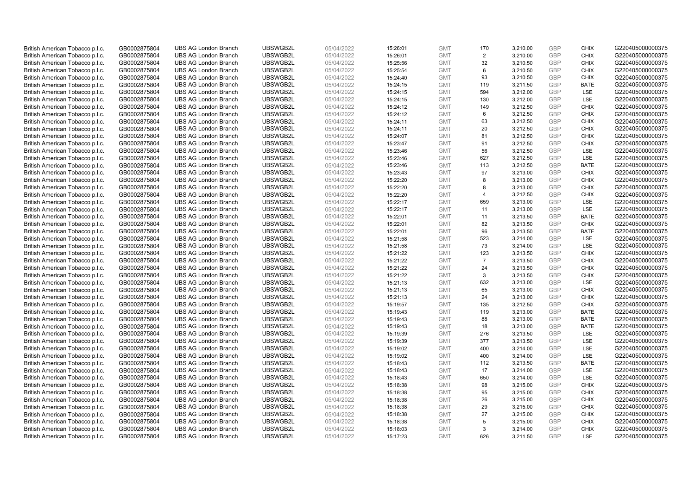| British American Tobacco p.l.c.                                    | GB0002875804                 | <b>UBS AG London Branch</b>                                | UBSWGB2L             | 05/04/2022               | 15:26:01             | <b>GMT</b>               | 170            | 3,210.00             | <b>GBP</b>               | <b>CHIX</b>                | G220405000000375                     |
|--------------------------------------------------------------------|------------------------------|------------------------------------------------------------|----------------------|--------------------------|----------------------|--------------------------|----------------|----------------------|--------------------------|----------------------------|--------------------------------------|
| British American Tobacco p.l.c.                                    | GB0002875804                 | <b>UBS AG London Branch</b>                                | UBSWGB2L             | 05/04/2022               | 15:26:01             | <b>GMT</b>               | 2              | 3,210.00             | <b>GBP</b>               | <b>CHIX</b>                | G220405000000375                     |
| British American Tobacco p.l.c.                                    | GB0002875804                 | <b>UBS AG London Branch</b>                                | UBSWGB2L             | 05/04/2022               | 15:25:56             | <b>GMT</b>               | 32             | 3,210.50             | <b>GBP</b>               | <b>CHIX</b>                | G220405000000375                     |
| British American Tobacco p.l.c.                                    | GB0002875804                 | <b>UBS AG London Branch</b>                                | UBSWGB2L             | 05/04/2022               | 15:25:54             | <b>GMT</b>               | 6              | 3,210.50             | <b>GBP</b>               | CHIX                       | G220405000000375                     |
| British American Tobacco p.l.c.                                    | GB0002875804                 | <b>UBS AG London Branch</b>                                | UBSWGB2L             | 05/04/2022               | 15:24:40             | <b>GMT</b>               | 93             | 3,210.50             | <b>GBP</b>               | <b>CHIX</b>                | G220405000000375                     |
| British American Tobacco p.l.c.                                    | GB0002875804                 | <b>UBS AG London Branch</b>                                | UBSWGB2L             | 05/04/2022               | 15:24:15             | <b>GMT</b>               | 119            | 3.211.50             | GBP                      | <b>BATE</b>                | G220405000000375                     |
| British American Tobacco p.l.c.                                    | GB0002875804                 | <b>UBS AG London Branch</b>                                | UBSWGB2L             | 05/04/2022               | 15:24:15             | <b>GMT</b>               | 594            | 3,212.00             | <b>GBP</b>               | LSE                        | G220405000000375                     |
| British American Tobacco p.l.c.                                    | GB0002875804                 | <b>UBS AG London Branch</b>                                | UBSWGB2L             | 05/04/2022               | 15:24:15             | <b>GMT</b>               | 130            | 3,212.00             | <b>GBP</b>               | LSE                        | G220405000000375                     |
| British American Tobacco p.l.c.                                    | GB0002875804                 | <b>UBS AG London Branch</b>                                | UBSWGB2L             | 05/04/2022               | 15:24:12             | <b>GMT</b>               | 149            | 3,212.50             | <b>GBP</b>               | <b>CHIX</b>                | G220405000000375                     |
| British American Tobacco p.l.c.                                    | GB0002875804                 | <b>UBS AG London Branch</b>                                | UBSWGB2L             | 05/04/2022               | 15:24:12             | <b>GMT</b>               | 6              | 3,212.50             | <b>GBP</b>               | <b>CHIX</b>                | G220405000000375                     |
| British American Tobacco p.l.c.                                    | GB0002875804                 | <b>UBS AG London Branch</b>                                | UBSWGB2L             | 05/04/2022               | 15:24:11             | <b>GMT</b>               | 63             | 3,212.50             | <b>GBP</b>               | <b>CHIX</b>                | G220405000000375                     |
| British American Tobacco p.l.c.                                    | GB0002875804                 | <b>UBS AG London Branch</b>                                | UBSWGB2L             | 05/04/2022               | 15:24:11             | <b>GMT</b>               | 20             | 3,212.50             | <b>GBP</b>               | <b>CHIX</b>                | G220405000000375                     |
| British American Tobacco p.l.c.                                    | GB0002875804                 | <b>UBS AG London Branch</b>                                | UBSWGB2L             | 05/04/2022               | 15:24:07             | <b>GMT</b>               | 81             | 3,212.50             | GBP                      | <b>CHIX</b>                | G220405000000375                     |
| British American Tobacco p.l.c.                                    | GB0002875804                 | <b>UBS AG London Branch</b>                                | UBSWGB2L             | 05/04/2022               | 15:23:47             | <b>GMT</b>               | 91             | 3,212.50             | <b>GBP</b>               | <b>CHIX</b>                | G220405000000375                     |
| British American Tobacco p.l.c.                                    | GB0002875804                 | <b>UBS AG London Branch</b>                                | UBSWGB2L             | 05/04/2022               | 15:23:46             | <b>GMT</b>               | 56             | 3,212.50             | GBP                      | LSE                        | G220405000000375                     |
| British American Tobacco p.l.c.                                    | GB0002875804                 | <b>UBS AG London Branch</b>                                | UBSWGB2L             | 05/04/2022               | 15:23:46             | <b>GMT</b>               | 627            | 3,212.50             | <b>GBP</b>               | LSE                        | G220405000000375                     |
| British American Tobacco p.l.c.                                    | GB0002875804                 | <b>UBS AG London Branch</b>                                | UBSWGB2L             | 05/04/2022               | 15:23:46             | <b>GMT</b>               | 113            | 3,212.50             | <b>GBP</b>               | <b>BATE</b>                | G220405000000375                     |
| British American Tobacco p.l.c.                                    | GB0002875804                 | <b>UBS AG London Branch</b>                                | UBSWGB2L             | 05/04/2022               | 15:23:43             | <b>GMT</b>               | 97             | 3,213.00             | <b>GBP</b>               | <b>CHIX</b>                | G220405000000375                     |
| British American Tobacco p.l.c.                                    | GB0002875804                 | <b>UBS AG London Branch</b>                                | UBSWGB2L             | 05/04/2022               | 15:22:20             | <b>GMT</b>               | 8              | 3,213.00             | GBP                      | <b>CHIX</b>                | G220405000000375                     |
| British American Tobacco p.l.c.                                    | GB0002875804                 | <b>UBS AG London Branch</b>                                | UBSWGB2L             | 05/04/2022               | 15:22:20             | <b>GMT</b>               | 8              | 3,213.00             | <b>GBP</b>               | <b>CHIX</b>                | G220405000000375                     |
| British American Tobacco p.l.c.                                    | GB0002875804                 | <b>UBS AG London Branch</b>                                | UBSWGB2L             | 05/04/2022               | 15:22:20             | <b>GMT</b>               | $\overline{4}$ | 3,212.50             | GBP                      | <b>CHIX</b>                | G220405000000375                     |
| British American Tobacco p.l.c.                                    | GB0002875804                 | <b>UBS AG London Branch</b>                                | UBSWGB2L             | 05/04/2022               | 15:22:17             | <b>GMT</b>               | 659            | 3,213.00             | <b>GBP</b>               | <b>LSE</b>                 | G220405000000375                     |
| British American Tobacco p.l.c.                                    | GB0002875804                 | <b>UBS AG London Branch</b>                                | UBSWGB2L             | 05/04/2022               | 15:22:17             | <b>GMT</b>               | 11             | 3,213.00             | <b>GBP</b>               | LSE                        | G220405000000375                     |
| British American Tobacco p.l.c.                                    | GB0002875804                 | <b>UBS AG London Branch</b>                                | UBSWGB2L             | 05/04/2022               | 15:22:01             | <b>GMT</b>               | 11             | 3,213.50             | <b>GBP</b>               | <b>BATE</b>                | G220405000000375                     |
| British American Tobacco p.l.c.                                    | GB0002875804                 | <b>UBS AG London Branch</b>                                | UBSWGB2L             | 05/04/2022               | 15:22:01             | <b>GMT</b>               | 82             | 3,213.50             | <b>GBP</b>               | <b>CHIX</b>                | G220405000000375                     |
| British American Tobacco p.l.c.                                    | GB0002875804                 | <b>UBS AG London Branch</b>                                | UBSWGB2L             | 05/04/2022               | 15:22:01             | <b>GMT</b>               | 96             | 3,213.50             | GBP                      | <b>BATE</b>                | G220405000000375                     |
| British American Tobacco p.l.c.                                    | GB0002875804                 | <b>UBS AG London Branch</b>                                | UBSWGB2L             | 05/04/2022               | 15:21:58             | <b>GMT</b>               | 523            | 3,214.00             | <b>GBP</b>               | LSE                        | G220405000000375                     |
| British American Tobacco p.l.c.                                    | GB0002875804                 | <b>UBS AG London Branch</b>                                | UBSWGB2L             | 05/04/2022               | 15:21:58             | <b>GMT</b>               | 73             | 3,214.00             | <b>GBP</b>               | LSE                        | G220405000000375                     |
| British American Tobacco p.l.c.                                    | GB0002875804                 | <b>UBS AG London Branch</b>                                | UBSWGB2L             | 05/04/2022               | 15:21:22             | <b>GMT</b>               | 123            | 3,213.50             | <b>GBP</b>               | <b>CHIX</b>                | G220405000000375                     |
| British American Tobacco p.l.c.                                    | GB0002875804                 | <b>UBS AG London Branch</b>                                | UBSWGB2L             | 05/04/2022               | 15:21:22             | <b>GMT</b>               | $\overline{7}$ | 3,213.50             | <b>GBP</b>               | <b>CHIX</b>                | G220405000000375                     |
| British American Tobacco p.l.c.                                    | GB0002875804                 | <b>UBS AG London Branch</b>                                | UBSWGB2L             | 05/04/2022               | 15:21:22             | <b>GMT</b>               | 24             | 3,213.50             | <b>GBP</b>               | <b>CHIX</b>                | G220405000000375                     |
| British American Tobacco p.l.c.                                    | GB0002875804                 | <b>UBS AG London Branch</b>                                | UBSWGB2L             | 05/04/2022               | 15:21:22             | <b>GMT</b>               | 3              | 3,213.50             | <b>GBP</b>               | <b>CHIX</b>                | G220405000000375                     |
| British American Tobacco p.l.c.                                    | GB0002875804                 | <b>UBS AG London Branch</b>                                | UBSWGB2L             | 05/04/2022               | 15:21:13             | <b>GMT</b>               | 632            | 3,213.00             | <b>GBP</b>               | LSE                        | G220405000000375                     |
| British American Tobacco p.l.c.                                    | GB0002875804                 | <b>UBS AG London Branch</b>                                | UBSWGB2L             | 05/04/2022               | 15:21:13             | <b>GMT</b>               | 65             | 3,213.00             | <b>GBP</b>               | <b>CHIX</b>                | G220405000000375                     |
| British American Tobacco p.l.c.                                    | GB0002875804                 | <b>UBS AG London Branch</b>                                | UBSWGB2L             | 05/04/2022               | 15:21:13             | <b>GMT</b>               | 24             | 3,213.00             | <b>GBP</b>               | <b>CHIX</b>                | G220405000000375                     |
| British American Tobacco p.l.c.                                    | GB0002875804                 | <b>UBS AG London Branch</b>                                | UBSWGB2L             | 05/04/2022               | 15:19:57             | <b>GMT</b>               | 135            | 3,212.50             | <b>GBP</b>               | <b>CHIX</b>                | G220405000000375                     |
| British American Tobacco p.l.c.                                    | GB0002875804                 | <b>UBS AG London Branch</b>                                | UBSWGB2L             | 05/04/2022               | 15:19:43             | <b>GMT</b>               | 119            | 3.213.00             | <b>GBP</b>               | <b>BATE</b>                | G220405000000375                     |
| British American Tobacco p.l.c.                                    | GB0002875804                 | <b>UBS AG London Branch</b><br><b>UBS AG London Branch</b> | UBSWGB2L<br>UBSWGB2L | 05/04/2022<br>05/04/2022 | 15:19:43             | <b>GMT</b>               | 88<br>18       | 3,213.00             | <b>GBP</b><br><b>GBP</b> | <b>BATE</b><br><b>BATE</b> | G220405000000375<br>G220405000000375 |
| British American Tobacco p.l.c.<br>British American Tobacco p.l.c. | GB0002875804<br>GB0002875804 | <b>UBS AG London Branch</b>                                | UBSWGB2L             | 05/04/2022               | 15:19:43             | <b>GMT</b><br><b>GMT</b> | 276            | 3,213.00<br>3,213.50 | <b>GBP</b>               | <b>LSE</b>                 | G220405000000375                     |
| British American Tobacco p.l.c.                                    | GB0002875804                 | <b>UBS AG London Branch</b>                                | UBSWGB2L             | 05/04/2022               | 15:19:39             | <b>GMT</b>               | 377            | 3,213.50             | GBP                      | <b>LSE</b>                 | G220405000000375                     |
| British American Tobacco p.l.c.                                    | GB0002875804                 | <b>UBS AG London Branch</b>                                | UBSWGB2L             | 05/04/2022               | 15:19:39<br>15:19:02 | <b>GMT</b>               | 400            | 3,214.00             | <b>GBP</b>               | LSE                        | G220405000000375                     |
| British American Tobacco p.l.c.                                    | GB0002875804                 | <b>UBS AG London Branch</b>                                | UBSWGB2L             | 05/04/2022               | 15:19:02             | <b>GMT</b>               | 400            | 3,214.00             | <b>GBP</b>               | LSE                        | G220405000000375                     |
| British American Tobacco p.l.c.                                    | GB0002875804                 | <b>UBS AG London Branch</b>                                | UBSWGB2L             | 05/04/2022               | 15:18:43             | <b>GMT</b>               | 112            | 3,213.50             | <b>GBP</b>               | <b>BATE</b>                | G220405000000375                     |
| British American Tobacco p.l.c.                                    | GB0002875804                 | <b>UBS AG London Branch</b>                                | UBSWGB2L             | 05/04/2022               | 15:18:43             | <b>GMT</b>               | 17             | 3,214.00             | <b>GBP</b>               | LSE                        | G220405000000375                     |
| British American Tobacco p.l.c.                                    | GB0002875804                 | <b>UBS AG London Branch</b>                                | UBSWGB2L             | 05/04/2022               | 15:18:43             | <b>GMT</b>               | 650            | 3,214.00             | <b>GBP</b>               | LSE                        | G220405000000375                     |
| British American Tobacco p.l.c.                                    | GB0002875804                 | <b>UBS AG London Branch</b>                                | UBSWGB2L             | 05/04/2022               | 15:18:38             | <b>GMT</b>               | 98             | 3,215.00             | <b>GBP</b>               | <b>CHIX</b>                | G220405000000375                     |
| British American Tobacco p.l.c.                                    | GB0002875804                 | <b>UBS AG London Branch</b>                                | UBSWGB2L             | 05/04/2022               | 15:18:38             | <b>GMT</b>               | 95             | 3,215.00             | <b>GBP</b>               | <b>CHIX</b>                | G220405000000375                     |
| British American Tobacco p.l.c.                                    | GB0002875804                 | <b>UBS AG London Branch</b>                                | UBSWGB2L             | 05/04/2022               | 15:18:38             | <b>GMT</b>               | 26             | 3,215.00             | <b>GBP</b>               | <b>CHIX</b>                | G220405000000375                     |
| British American Tobacco p.l.c.                                    | GB0002875804                 | <b>UBS AG London Branch</b>                                | UBSWGB2L             | 05/04/2022               | 15:18:38             | <b>GMT</b>               | 29             | 3,215.00             | <b>GBP</b>               | <b>CHIX</b>                | G220405000000375                     |
| British American Tobacco p.l.c.                                    | GB0002875804                 | <b>UBS AG London Branch</b>                                | UBSWGB2L             | 05/04/2022               | 15:18:38             | <b>GMT</b>               | 27             | 3,215.00             | <b>GBP</b>               | <b>CHIX</b>                | G220405000000375                     |
| British American Tobacco p.l.c.                                    | GB0002875804                 | <b>UBS AG London Branch</b>                                | UBSWGB2L             | 05/04/2022               | 15:18:38             | <b>GMT</b>               | 5              | 3,215.00             | <b>GBP</b>               | <b>CHIX</b>                | G220405000000375                     |
| British American Tobacco p.l.c.                                    | GB0002875804                 | <b>UBS AG London Branch</b>                                | UBSWGB2L             | 05/04/2022               | 15:18:03             | <b>GMT</b>               | 3              | 3,214.00             | <b>GBP</b>               | <b>CHIX</b>                | G220405000000375                     |
| British American Tobacco p.l.c.                                    | GB0002875804                 | <b>UBS AG London Branch</b>                                | UBSWGB2L             | 05/04/2022               | 15:17:23             | <b>GMT</b>               | 626            | 3.211.50             | GBP                      | <b>LSE</b>                 | G220405000000375                     |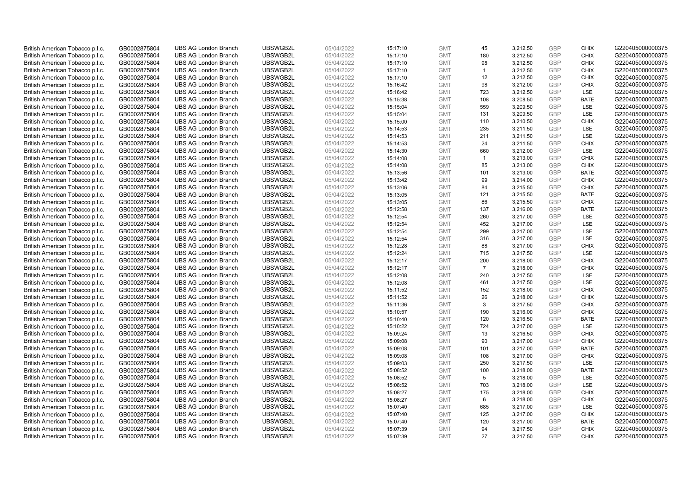| British American Tobacco p.l.c. | GB0002875804 | <b>UBS AG London Branch</b> | UBSWGB2L | 05/04/2022 | 15:17:10 | <b>GMT</b> | 45             | 3,212.50 | <b>GBP</b> | <b>CHIX</b> | G220405000000375 |
|---------------------------------|--------------|-----------------------------|----------|------------|----------|------------|----------------|----------|------------|-------------|------------------|
| British American Tobacco p.l.c. | GB0002875804 | <b>UBS AG London Branch</b> | UBSWGB2L | 05/04/2022 | 15:17:10 | <b>GMT</b> | 180            | 3,212.50 | <b>GBP</b> | CHIX        | G220405000000375 |
| British American Tobacco p.l.c. | GB0002875804 | <b>UBS AG London Branch</b> | UBSWGB2L | 05/04/2022 | 15:17:10 | <b>GMT</b> | 98             | 3,212.50 | <b>GBP</b> | <b>CHIX</b> | G220405000000375 |
| British American Tobacco p.l.c. | GB0002875804 | <b>UBS AG London Branch</b> | UBSWGB2L | 05/04/2022 | 15:17:10 | <b>GMT</b> | $\mathbf{1}$   | 3,212.50 | <b>GBP</b> | <b>CHIX</b> | G220405000000375 |
| British American Tobacco p.l.c. | GB0002875804 | <b>UBS AG London Branch</b> | UBSWGB2L | 05/04/2022 | 15:17:10 | <b>GMT</b> | 12             | 3,212.50 | <b>GBP</b> | <b>CHIX</b> | G220405000000375 |
| British American Tobacco p.l.c. | GB0002875804 | <b>UBS AG London Branch</b> | UBSWGB2L | 05/04/2022 | 15:16:42 | <b>GMT</b> | 98             | 3,212.00 | <b>GBP</b> | <b>CHIX</b> | G220405000000375 |
| British American Tobacco p.l.c. | GB0002875804 | <b>UBS AG London Branch</b> | UBSWGB2L | 05/04/2022 | 15:16:42 | <b>GMT</b> | 723            | 3,212.50 | <b>GBP</b> | LSE         | G220405000000375 |
| British American Tobacco p.l.c. | GB0002875804 | <b>UBS AG London Branch</b> | UBSWGB2L | 05/04/2022 | 15:15:38 | <b>GMT</b> | 108            | 3,208.50 | <b>GBP</b> | <b>BATE</b> | G220405000000375 |
| British American Tobacco p.l.c. | GB0002875804 | <b>UBS AG London Branch</b> | UBSWGB2L | 05/04/2022 | 15:15:04 | <b>GMT</b> | 559            | 3,209.50 | GBP        | LSE         | G220405000000375 |
| British American Tobacco p.l.c. | GB0002875804 | <b>UBS AG London Branch</b> | UBSWGB2L | 05/04/2022 | 15:15:04 | <b>GMT</b> | 131            | 3,209.50 | <b>GBP</b> | LSE         | G220405000000375 |
| British American Tobacco p.l.c. | GB0002875804 | <b>UBS AG London Branch</b> | UBSWGB2L | 05/04/2022 | 15:15:00 | <b>GMT</b> | 110            | 3,210.50 | GBP        | CHIX        | G220405000000375 |
| British American Tobacco p.l.c. | GB0002875804 | <b>UBS AG London Branch</b> | UBSWGB2L | 05/04/2022 | 15:14:53 | <b>GMT</b> | 235            | 3,211.50 | <b>GBP</b> | LSE         | G220405000000375 |
| British American Tobacco p.l.c. | GB0002875804 | <b>UBS AG London Branch</b> | UBSWGB2L | 05/04/2022 | 15:14:53 | <b>GMT</b> | 211            | 3,211.50 | <b>GBP</b> | LSE         | G220405000000375 |
| British American Tobacco p.l.c. | GB0002875804 | <b>UBS AG London Branch</b> | UBSWGB2L | 05/04/2022 | 15:14:53 | <b>GMT</b> | 24             | 3,211.50 | <b>GBP</b> | <b>CHIX</b> | G220405000000375 |
| British American Tobacco p.l.c. | GB0002875804 | <b>UBS AG London Branch</b> | UBSWGB2L | 05/04/2022 | 15:14:30 | <b>GMT</b> | 660            | 3,212.00 | GBP        | <b>LSE</b>  | G220405000000375 |
| British American Tobacco p.l.c. | GB0002875804 | <b>UBS AG London Branch</b> | UBSWGB2L | 05/04/2022 | 15:14:08 | <b>GMT</b> | $\mathbf{1}$   | 3,213.00 | <b>GBP</b> | <b>CHIX</b> | G220405000000375 |
| British American Tobacco p.l.c. | GB0002875804 | <b>UBS AG London Branch</b> | UBSWGB2L | 05/04/2022 | 15:14:08 | <b>GMT</b> | 85             | 3,213.00 | <b>GBP</b> | <b>CHIX</b> | G220405000000375 |
| British American Tobacco p.l.c. | GB0002875804 | <b>UBS AG London Branch</b> | UBSWGB2L | 05/04/2022 | 15:13:56 | <b>GMT</b> | 101            | 3,213.00 | <b>GBP</b> | <b>BATE</b> | G220405000000375 |
| British American Tobacco p.l.c. | GB0002875804 | <b>UBS AG London Branch</b> | UBSWGB2L | 05/04/2022 | 15:13:42 | <b>GMT</b> | 99             | 3,214.00 | <b>GBP</b> | <b>CHIX</b> | G220405000000375 |
| British American Tobacco p.l.c. | GB0002875804 | <b>UBS AG London Branch</b> | UBSWGB2L | 05/04/2022 | 15:13:06 | <b>GMT</b> | 84             | 3,215.50 | <b>GBP</b> | <b>CHIX</b> | G220405000000375 |
| British American Tobacco p.l.c. | GB0002875804 | <b>UBS AG London Branch</b> | UBSWGB2L | 05/04/2022 | 15:13:05 | <b>GMT</b> | 121            | 3,215.50 | <b>GBP</b> | <b>BATE</b> | G220405000000375 |
| British American Tobacco p.l.c. | GB0002875804 | <b>UBS AG London Branch</b> | UBSWGB2L | 05/04/2022 | 15:13:05 | <b>GMT</b> | 86             | 3,215.50 | <b>GBP</b> | <b>CHIX</b> | G220405000000375 |
| British American Tobacco p.l.c. | GB0002875804 | <b>UBS AG London Branch</b> | UBSWGB2L | 05/04/2022 | 15:12:58 | <b>GMT</b> | 137            | 3,216.00 | <b>GBP</b> | <b>BATE</b> | G220405000000375 |
| British American Tobacco p.l.c. | GB0002875804 | <b>UBS AG London Branch</b> | UBSWGB2L | 05/04/2022 | 15:12:54 | <b>GMT</b> | 260            | 3,217.00 | <b>GBP</b> | <b>LSE</b>  | G220405000000375 |
| British American Tobacco p.l.c. | GB0002875804 | <b>UBS AG London Branch</b> | UBSWGB2L | 05/04/2022 | 15:12:54 | <b>GMT</b> | 452            | 3,217.00 | GBP        | LSE         | G220405000000375 |
| British American Tobacco p.l.c. | GB0002875804 | <b>UBS AG London Branch</b> | UBSWGB2L | 05/04/2022 | 15:12:54 | <b>GMT</b> | 299            | 3,217.00 | <b>GBP</b> | LSE         | G220405000000375 |
| British American Tobacco p.l.c. | GB0002875804 | <b>UBS AG London Branch</b> | UBSWGB2L | 05/04/2022 | 15:12:54 | <b>GMT</b> | 316            | 3,217.00 | <b>GBP</b> | <b>LSE</b>  | G220405000000375 |
| British American Tobacco p.l.c. | GB0002875804 | <b>UBS AG London Branch</b> | UBSWGB2L | 05/04/2022 | 15:12:28 | <b>GMT</b> | 88             | 3,217.00 | <b>GBP</b> | <b>CHIX</b> | G220405000000375 |
| British American Tobacco p.l.c. | GB0002875804 | <b>UBS AG London Branch</b> | UBSWGB2L | 05/04/2022 | 15:12:24 | <b>GMT</b> | 715            | 3,217.50 | GBP        | LSE         | G220405000000375 |
| British American Tobacco p.l.c. | GB0002875804 | <b>UBS AG London Branch</b> | UBSWGB2L | 05/04/2022 | 15:12:17 | <b>GMT</b> | 200            | 3,218.00 | <b>GBP</b> | <b>CHIX</b> | G220405000000375 |
| British American Tobacco p.l.c. | GB0002875804 | <b>UBS AG London Branch</b> | UBSWGB2L | 05/04/2022 | 15:12:17 | <b>GMT</b> | $\overline{7}$ | 3,218.00 | GBP        | <b>CHIX</b> | G220405000000375 |
| British American Tobacco p.l.c. | GB0002875804 | <b>UBS AG London Branch</b> | UBSWGB2L | 05/04/2022 | 15:12:08 | <b>GMT</b> | 240            | 3,217.50 | <b>GBP</b> | <b>LSE</b>  | G220405000000375 |
| British American Tobacco p.l.c. | GB0002875804 | <b>UBS AG London Branch</b> | UBSWGB2L | 05/04/2022 | 15:12:08 | <b>GMT</b> | 461            | 3,217.50 | GBP        | <b>LSE</b>  | G220405000000375 |
| British American Tobacco p.l.c. | GB0002875804 | <b>UBS AG London Branch</b> | UBSWGB2L | 05/04/2022 | 15:11:52 | <b>GMT</b> | 152            | 3,218.00 | <b>GBP</b> | <b>CHIX</b> | G220405000000375 |
| British American Tobacco p.l.c. | GB0002875804 | <b>UBS AG London Branch</b> | UBSWGB2L | 05/04/2022 | 15:11:52 | <b>GMT</b> | 26             | 3,218.00 | GBP        | <b>CHIX</b> | G220405000000375 |
| British American Tobacco p.l.c. | GB0002875804 | <b>UBS AG London Branch</b> | UBSWGB2L | 05/04/2022 | 15:11:36 | <b>GMT</b> | 3              | 3,217.50 | <b>GBP</b> | <b>CHIX</b> | G220405000000375 |
| British American Tobacco p.l.c. | GB0002875804 | <b>UBS AG London Branch</b> | UBSWGB2L | 05/04/2022 | 15:10:57 | <b>GMT</b> | 190            | 3,216.00 | GBP        | <b>CHIX</b> | G220405000000375 |
| British American Tobacco p.l.c. | GB0002875804 | <b>UBS AG London Branch</b> | UBSWGB2L | 05/04/2022 | 15:10:40 | <b>GMT</b> | 120            | 3,216.50 | <b>GBP</b> | <b>BATE</b> | G220405000000375 |
| British American Tobacco p.l.c. | GB0002875804 | <b>UBS AG London Branch</b> | UBSWGB2L | 05/04/2022 | 15:10:22 | <b>GMT</b> | 724            | 3,217.00 | <b>GBP</b> | LSE         | G220405000000375 |
| British American Tobacco p.l.c. | GB0002875804 | <b>UBS AG London Branch</b> | UBSWGB2L | 05/04/2022 | 15:09:24 | <b>GMT</b> | 13             | 3,216.50 | <b>GBP</b> | <b>CHIX</b> | G220405000000375 |
| British American Tobacco p.l.c. | GB0002875804 | <b>UBS AG London Branch</b> | UBSWGB2L | 05/04/2022 | 15:09:08 | <b>GMT</b> | 90             | 3,217.00 | <b>GBP</b> | <b>CHIX</b> | G220405000000375 |
| British American Tobacco p.l.c. | GB0002875804 | <b>UBS AG London Branch</b> | UBSWGB2L | 05/04/2022 | 15:09:08 | <b>GMT</b> | 101            | 3,217.00 | GBP        | <b>BATE</b> | G220405000000375 |
| British American Tobacco p.l.c. | GB0002875804 | <b>UBS AG London Branch</b> | UBSWGB2L | 05/04/2022 | 15:09:08 | <b>GMT</b> | 108            | 3,217.00 | <b>GBP</b> | <b>CHIX</b> | G220405000000375 |
| British American Tobacco p.l.c. | GB0002875804 | <b>UBS AG London Branch</b> | UBSWGB2L | 05/04/2022 | 15:09:03 | <b>GMT</b> | 250            | 3,217.50 | GBP        | LSE         | G220405000000375 |
| British American Tobacco p.l.c. | GB0002875804 | <b>UBS AG London Branch</b> | UBSWGB2L | 05/04/2022 | 15:08:52 | <b>GMT</b> | 100            | 3,218.00 | <b>GBP</b> | <b>BATE</b> | G220405000000375 |
| British American Tobacco p.l.c. | GB0002875804 | <b>UBS AG London Branch</b> | UBSWGB2L | 05/04/2022 | 15:08:52 | <b>GMT</b> | 5              | 3,218.00 | GBP        | LSE         | G220405000000375 |
| British American Tobacco p.l.c. | GB0002875804 | <b>UBS AG London Branch</b> | UBSWGB2L | 05/04/2022 | 15:08:52 | <b>GMT</b> | 703            | 3,218.00 | <b>GBP</b> | LSE         | G220405000000375 |
| British American Tobacco p.l.c. | GB0002875804 | <b>UBS AG London Branch</b> | UBSWGB2L | 05/04/2022 | 15:08:27 | <b>GMT</b> | 175            | 3,218.00 | GBP        | <b>CHIX</b> | G220405000000375 |
| British American Tobacco p.l.c. | GB0002875804 | <b>UBS AG London Branch</b> | UBSWGB2L | 05/04/2022 | 15:08:27 | <b>GMT</b> | 6              | 3,218.00 | <b>GBP</b> | <b>CHIX</b> | G220405000000375 |
| British American Tobacco p.l.c. | GB0002875804 | <b>UBS AG London Branch</b> | UBSWGB2L | 05/04/2022 | 15:07:40 | <b>GMT</b> | 685            | 3,217.00 | <b>GBP</b> | <b>LSE</b>  | G220405000000375 |
| British American Tobacco p.l.c. | GB0002875804 | <b>UBS AG London Branch</b> | UBSWGB2L | 05/04/2022 | 15:07:40 | <b>GMT</b> | 125            | 3,217.00 | <b>GBP</b> | <b>CHIX</b> | G220405000000375 |
| British American Tobacco p.l.c. | GB0002875804 | <b>UBS AG London Branch</b> | UBSWGB2L | 05/04/2022 | 15:07:40 | <b>GMT</b> | 120            | 3,217.00 | <b>GBP</b> | <b>BATE</b> | G220405000000375 |
| British American Tobacco p.l.c. | GB0002875804 | <b>UBS AG London Branch</b> | UBSWGB2L | 05/04/2022 | 15:07:39 | <b>GMT</b> | 94             | 3,217.50 | <b>GBP</b> | <b>CHIX</b> | G220405000000375 |
| British American Tobacco p.l.c. | GB0002875804 | <b>UBS AG London Branch</b> | UBSWGB2L | 05/04/2022 | 15:07:39 | <b>GMT</b> | 27             | 3,217.50 | GBP        | CHIX        | G220405000000375 |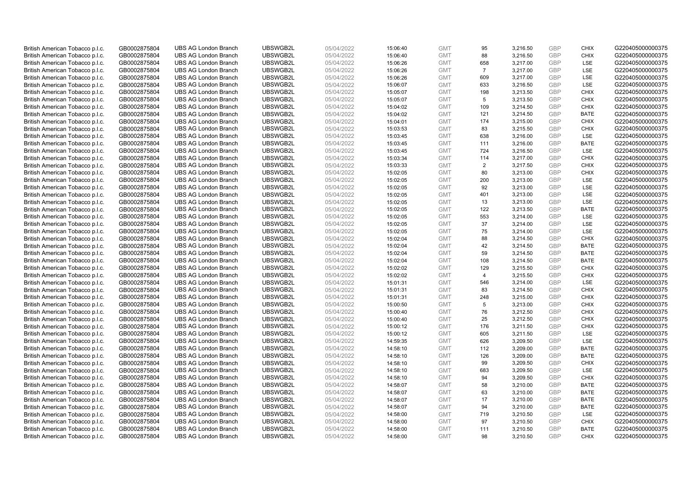| British American Tobacco p.l.c.                                    | GB0002875804                 | <b>UBS AG London Branch</b>                                | UBSWGB2L             | 05/04/2022               | 15:06:40             | <b>GMT</b>               | 95             | 3,216.50             | <b>GBP</b>               | <b>CHIX</b>               | G220405000000375                     |
|--------------------------------------------------------------------|------------------------------|------------------------------------------------------------|----------------------|--------------------------|----------------------|--------------------------|----------------|----------------------|--------------------------|---------------------------|--------------------------------------|
| British American Tobacco p.l.c.                                    | GB0002875804                 | <b>UBS AG London Branch</b>                                | UBSWGB2L             | 05/04/2022               | 15:06:40             | <b>GMT</b>               | 88             | 3,216.50             | GBP                      | CHIX                      | G220405000000375                     |
| British American Tobacco p.l.c.                                    | GB0002875804                 | <b>UBS AG London Branch</b>                                | UBSWGB2L             | 05/04/2022               | 15:06:26             | <b>GMT</b>               | 658            | 3,217.00             | <b>GBP</b>               | <b>LSE</b>                | G220405000000375                     |
| British American Tobacco p.l.c.                                    | GB0002875804                 | <b>UBS AG London Branch</b>                                | UBSWGB2L             | 05/04/2022               | 15:06:26             | <b>GMT</b>               | $\overline{7}$ | 3,217.00             | <b>GBP</b>               | LSE                       | G220405000000375                     |
| British American Tobacco p.l.c.                                    | GB0002875804                 | <b>UBS AG London Branch</b>                                | UBSWGB2L             | 05/04/2022               | 15:06:26             | <b>GMT</b>               | 609            | 3,217.00             | GBP                      | LSE                       | G220405000000375                     |
| British American Tobacco p.l.c.                                    | GB0002875804                 | <b>UBS AG London Branch</b>                                | UBSWGB2L             | 05/04/2022               | 15:06:07             | <b>GMT</b>               | 633            | 3,216.50             | <b>GBP</b>               | <b>LSE</b>                | G220405000000375                     |
| British American Tobacco p.l.c.                                    | GB0002875804                 | <b>UBS AG London Branch</b>                                | UBSWGB2L             | 05/04/2022               | 15:05:07             | <b>GMT</b>               | 198            | 3,213.50             | GBP                      | <b>CHIX</b>               | G220405000000375                     |
| British American Tobacco p.l.c.                                    | GB0002875804                 | <b>UBS AG London Branch</b>                                | UBSWGB2L             | 05/04/2022               | 15:05:07             | <b>GMT</b>               | 5              | 3,213.50             | <b>GBP</b>               | <b>CHIX</b>               | G220405000000375                     |
| British American Tobacco p.l.c.                                    | GB0002875804                 | <b>UBS AG London Branch</b>                                | UBSWGB2L             | 05/04/2022               | 15:04:02             | <b>GMT</b>               | 109            | 3,214.50             | GBP                      | <b>CHIX</b>               | G220405000000375                     |
| British American Tobacco p.l.c.                                    | GB0002875804                 | <b>UBS AG London Branch</b>                                | UBSWGB2L             | 05/04/2022               | 15:04:02             | <b>GMT</b>               | 121            | 3,214.50             | <b>GBP</b>               | <b>BATE</b>               | G220405000000375                     |
| British American Tobacco p.l.c.                                    | GB0002875804                 | <b>UBS AG London Branch</b>                                | UBSWGB2L             | 05/04/2022               | 15:04:01             | <b>GMT</b>               | 174            | 3,215.00             | GBP                      | <b>CHIX</b>               | G220405000000375                     |
| British American Tobacco p.l.c.                                    | GB0002875804                 | <b>UBS AG London Branch</b>                                | UBSWGB2L             | 05/04/2022               | 15:03:53             | <b>GMT</b>               | 83             | 3,215.50             | <b>GBP</b>               | <b>CHIX</b>               | G220405000000375                     |
| British American Tobacco p.l.c.                                    | GB0002875804                 | <b>UBS AG London Branch</b>                                | UBSWGB2L             | 05/04/2022               | 15:03:45             | <b>GMT</b>               | 638            | 3,216.00             | GBP                      | LSE                       | G220405000000375                     |
| British American Tobacco p.l.c.                                    | GB0002875804                 | <b>UBS AG London Branch</b>                                | UBSWGB2L             | 05/04/2022               | 15:03:45             | <b>GMT</b>               | 111            | 3,216.00             | <b>GBP</b>               | <b>BATE</b>               | G220405000000375                     |
| British American Tobacco p.l.c.                                    | GB0002875804                 | <b>UBS AG London Branch</b>                                | UBSWGB2L             | 05/04/2022               | 15:03:45             | <b>GMT</b>               | 724            | 3,216.50             | GBP                      | LSE                       | G220405000000375                     |
| British American Tobacco p.l.c.                                    | GB0002875804                 | <b>UBS AG London Branch</b>                                | UBSWGB2L             | 05/04/2022               | 15:03:34             | <b>GMT</b>               | 114            | 3,217.00             | GBP<br><b>GBP</b>        | <b>CHIX</b>               | G220405000000375                     |
| British American Tobacco p.l.c.                                    | GB0002875804                 | <b>UBS AG London Branch</b>                                | UBSWGB2L             | 05/04/2022               | 15:03:33             | <b>GMT</b>               | $\overline{2}$ | 3,217.50             |                          | <b>CHIX</b>               | G220405000000375                     |
| British American Tobacco p.l.c.                                    | GB0002875804                 | <b>UBS AG London Branch</b>                                | UBSWGB2L             | 05/04/2022               | 15:02:05             | <b>GMT</b>               | 80             | 3,213.00             | GBP                      | <b>CHIX</b>               | G220405000000375                     |
| British American Tobacco p.l.c.                                    | GB0002875804                 | <b>UBS AG London Branch</b>                                | UBSWGB2L             | 05/04/2022               | 15:02:05             | <b>GMT</b>               | 200            | 3,213.00             | <b>GBP</b>               | <b>LSE</b>                | G220405000000375                     |
| British American Tobacco p.l.c.                                    | GB0002875804                 | <b>UBS AG London Branch</b>                                | UBSWGB2L             | 05/04/2022               | 15:02:05             | <b>GMT</b>               | 92             | 3,213.00             | <b>GBP</b>               | LSE                       | G220405000000375                     |
| British American Tobacco p.l.c.                                    | GB0002875804                 | <b>UBS AG London Branch</b>                                | UBSWGB2L<br>UBSWGB2L | 05/04/2022<br>05/04/2022 | 15:02:05             | <b>GMT</b>               | 401<br>13      | 3,213.00             | <b>GBP</b><br>GBP        | LSE<br>LSE                | G220405000000375<br>G220405000000375 |
| British American Tobacco p.l.c.                                    | GB0002875804                 | <b>UBS AG London Branch</b>                                |                      |                          | 15:02:05             | <b>GMT</b>               |                | 3,213.00             |                          |                           |                                      |
| British American Tobacco p.l.c.                                    | GB0002875804                 | <b>UBS AG London Branch</b>                                | UBSWGB2L             | 05/04/2022               | 15:02:05             | <b>GMT</b><br><b>GMT</b> | 122            | 3,213.50             | <b>GBP</b><br>GBP        | <b>BATE</b><br><b>LSE</b> | G220405000000375                     |
| British American Tobacco p.l.c.                                    | GB0002875804                 | <b>UBS AG London Branch</b>                                | UBSWGB2L             | 05/04/2022               | 15:02:05             |                          | 553            | 3,214.00             |                          |                           | G220405000000375                     |
| British American Tobacco p.l.c.<br>British American Tobacco p.l.c. | GB0002875804<br>GB0002875804 | <b>UBS AG London Branch</b><br><b>UBS AG London Branch</b> | UBSWGB2L<br>UBSWGB2L | 05/04/2022<br>05/04/2022 | 15:02:05<br>15:02:05 | <b>GMT</b><br><b>GMT</b> | 37<br>75       | 3,214.00<br>3,214.00 | <b>GBP</b><br><b>GBP</b> | LSE<br>LSE                | G220405000000375<br>G220405000000375 |
| British American Tobacco p.l.c.                                    | GB0002875804                 | <b>UBS AG London Branch</b>                                | UBSWGB2L             | 05/04/2022               | 15:02:04             | <b>GMT</b>               | 88             | 3,214.50             | <b>GBP</b>               | <b>CHIX</b>               | G220405000000375                     |
| British American Tobacco p.l.c.                                    | GB0002875804                 | <b>UBS AG London Branch</b>                                | UBSWGB2L             | 05/04/2022               | 15:02:04             | <b>GMT</b>               | 42             | 3,214.50             | GBP                      | <b>BATE</b>               | G220405000000375                     |
| British American Tobacco p.l.c.                                    | GB0002875804                 | <b>UBS AG London Branch</b>                                | UBSWGB2L             | 05/04/2022               | 15:02:04             | <b>GMT</b>               | 59             | 3,214.50             | <b>GBP</b>               | <b>BATE</b>               | G220405000000375                     |
| British American Tobacco p.l.c.                                    | GB0002875804                 | <b>UBS AG London Branch</b>                                | UBSWGB2L             | 05/04/2022               | 15:02:04             | <b>GMT</b>               | 108            | 3,214.50             | GBP                      | <b>BATE</b>               | G220405000000375                     |
| British American Tobacco p.l.c.                                    | GB0002875804                 | <b>UBS AG London Branch</b>                                | UBSWGB2L             | 05/04/2022               | 15:02:02             | <b>GMT</b>               | 129            | 3,215.50             | <b>GBP</b>               | <b>CHIX</b>               | G220405000000375                     |
| British American Tobacco p.l.c.                                    | GB0002875804                 | <b>UBS AG London Branch</b>                                | UBSWGB2L             | 05/04/2022               | 15:02:02             | <b>GMT</b>               | $\overline{4}$ | 3,215.50             | GBP                      | <b>CHIX</b>               | G220405000000375                     |
| British American Tobacco p.l.c.                                    | GB0002875804                 | <b>UBS AG London Branch</b>                                | UBSWGB2L             | 05/04/2022               | 15:01:31             | <b>GMT</b>               | 546            | 3,214.00             | <b>GBP</b>               | LSE                       | G220405000000375                     |
| British American Tobacco p.l.c.                                    | GB0002875804                 | <b>UBS AG London Branch</b>                                | UBSWGB2L             | 05/04/2022               | 15:01:31             | <b>GMT</b>               | 83             | 3,214.50             | <b>GBP</b>               | <b>CHIX</b>               | G220405000000375                     |
| British American Tobacco p.l.c.                                    | GB0002875804                 | <b>UBS AG London Branch</b>                                | UBSWGB2L             | 05/04/2022               | 15:01:31             | <b>GMT</b>               | 248            | 3,215.00             | GBP                      | <b>CHIX</b>               | G220405000000375                     |
| British American Tobacco p.l.c.                                    | GB0002875804                 | <b>UBS AG London Branch</b>                                | UBSWGB2L             | 05/04/2022               | 15:00:50             | <b>GMT</b>               | 5              | 3,213.00             | <b>GBP</b>               | <b>CHIX</b>               | G220405000000375                     |
| British American Tobacco p.l.c.                                    | GB0002875804                 | <b>UBS AG London Branch</b>                                | UBSWGB2L             | 05/04/2022               | 15:00:40             | <b>GMT</b>               | 76             | 3,212.50             | <b>GBP</b>               | <b>CHIX</b>               | G220405000000375                     |
| British American Tobacco p.l.c.                                    | GB0002875804                 | <b>UBS AG London Branch</b>                                | UBSWGB2L             | 05/04/2022               | 15:00:40             | <b>GMT</b>               | 25             | 3,212.50             | <b>GBP</b>               | <b>CHIX</b>               | G220405000000375                     |
| British American Tobacco p.l.c.                                    | GB0002875804                 | <b>UBS AG London Branch</b>                                | UBSWGB2L             | 05/04/2022               | 15:00:12             | <b>GMT</b>               | 176            | 3,211.50             | GBP                      | <b>CHIX</b>               | G220405000000375                     |
| British American Tobacco p.l.c.                                    | GB0002875804                 | <b>UBS AG London Branch</b>                                | UBSWGB2L             | 05/04/2022               | 15:00:12             | <b>GMT</b>               | 605            | 3,211.50             | <b>GBP</b>               | <b>LSE</b>                | G220405000000375                     |
| British American Tobacco p.l.c.                                    | GB0002875804                 | <b>UBS AG London Branch</b>                                | UBSWGB2L             | 05/04/2022               | 14:59:35             | <b>GMT</b>               | 626            | 3,209.50             | <b>GBP</b>               | LSE                       | G220405000000375                     |
| British American Tobacco p.l.c.                                    | GB0002875804                 | <b>UBS AG London Branch</b>                                | UBSWGB2L             | 05/04/2022               | 14:58:10             | <b>GMT</b>               | 112            | 3,209.00             | <b>GBP</b>               | <b>BATE</b>               | G220405000000375                     |
| British American Tobacco p.l.c.                                    | GB0002875804                 | <b>UBS AG London Branch</b>                                | UBSWGB2L             | 05/04/2022               | 14:58:10             | <b>GMT</b>               | 126            | 3,209.00             | <b>GBP</b>               | <b>BATE</b>               | G220405000000375                     |
| British American Tobacco p.l.c.                                    | GB0002875804                 | <b>UBS AG London Branch</b>                                | UBSWGB2L             | 05/04/2022               | 14:58:10             | <b>GMT</b>               | 99             | 3,209.50             | <b>GBP</b>               | <b>CHIX</b>               | G220405000000375                     |
| British American Tobacco p.l.c.                                    | GB0002875804                 | <b>UBS AG London Branch</b>                                | UBSWGB2L             | 05/04/2022               | 14:58:10             | <b>GMT</b>               | 683            | 3,209.50             | <b>GBP</b>               | LSE                       | G220405000000375                     |
| British American Tobacco p.l.c.                                    | GB0002875804                 | <b>UBS AG London Branch</b>                                | UBSWGB2L             | 05/04/2022               | 14:58:10             | <b>GMT</b>               | 94             | 3,209.50             | <b>GBP</b>               | <b>CHIX</b>               | G220405000000375                     |
| British American Tobacco p.l.c.                                    | GB0002875804                 | <b>UBS AG London Branch</b>                                | UBSWGB2L             | 05/04/2022               | 14:58:07             | <b>GMT</b>               | 58             | 3,210.00             | <b>GBP</b>               | <b>BATE</b>               | G220405000000375                     |
| British American Tobacco p.l.c.                                    | GB0002875804                 | <b>UBS AG London Branch</b>                                | UBSWGB2L             | 05/04/2022               | 14:58:07             | <b>GMT</b>               | 63             | 3,210.00             | <b>GBP</b>               | <b>BATE</b>               | G220405000000375                     |
| British American Tobacco p.l.c.                                    | GB0002875804                 | <b>UBS AG London Branch</b>                                | UBSWGB2L             | 05/04/2022               | 14:58:07             | <b>GMT</b>               | 17             | 3,210.00             | <b>GBP</b>               | <b>BATE</b>               | G220405000000375                     |
| British American Tobacco p.l.c.                                    | GB0002875804                 | <b>UBS AG London Branch</b>                                | UBSWGB2L             | 05/04/2022               | 14:58:07             | <b>GMT</b>               | 94             | 3,210.00             | <b>GBP</b>               | <b>BATE</b>               | G220405000000375                     |
| British American Tobacco p.l.c.                                    | GB0002875804                 | <b>UBS AG London Branch</b>                                | UBSWGB2L             | 05/04/2022               | 14:58:00             | <b>GMT</b>               | 719            | 3,210.50             | <b>GBP</b>               | LSE                       | G220405000000375                     |
| British American Tobacco p.l.c.                                    | GB0002875804                 | <b>UBS AG London Branch</b>                                | UBSWGB2L             | 05/04/2022               | 14:58:00             | <b>GMT</b>               | 97             | 3,210.50             | <b>GBP</b>               | <b>CHIX</b>               | G220405000000375                     |
| British American Tobacco p.l.c.                                    | GB0002875804                 | <b>UBS AG London Branch</b>                                | UBSWGB2L             | 05/04/2022               | 14:58:00             | <b>GMT</b>               | 111            | 3,210.50             | <b>GBP</b>               | <b>BATE</b>               | G220405000000375                     |
| British American Tobacco p.l.c.                                    | GB0002875804                 | <b>UBS AG London Branch</b>                                | UBSWGB2L             | 05/04/2022               | 14:58:00             | <b>GMT</b>               | 98             | 3.210.50             | GBP                      | <b>CHIX</b>               | G220405000000375                     |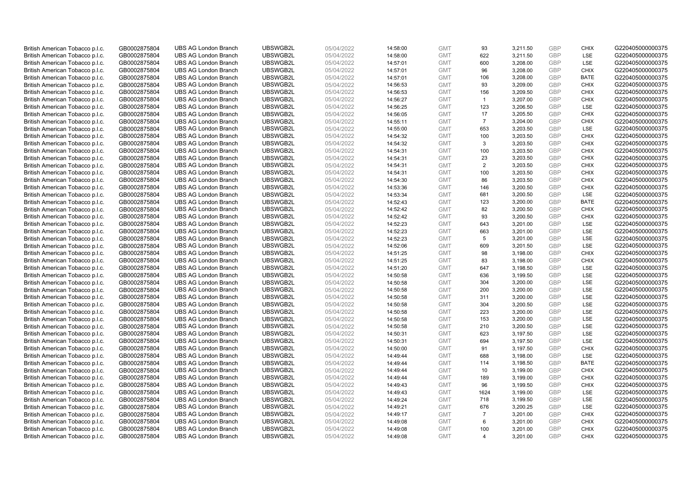| British American Tobacco p.l.c.                                    | GB0002875804                 | <b>UBS AG London Branch</b>                                | UBSWGB2L             | 05/04/2022               | 14:58:00             | <b>GMT</b> | 93             | 3,211.50 | <b>GBP</b> | <b>CHIX</b> | G220405000000375 |
|--------------------------------------------------------------------|------------------------------|------------------------------------------------------------|----------------------|--------------------------|----------------------|------------|----------------|----------|------------|-------------|------------------|
| British American Tobacco p.l.c.                                    | GB0002875804                 | <b>UBS AG London Branch</b>                                | UBSWGB2L             | 05/04/2022               | 14:58:00             | <b>GMT</b> | 622            | 3,211.50 | GBP        | <b>LSE</b>  | G220405000000375 |
| British American Tobacco p.l.c.                                    | GB0002875804                 | <b>UBS AG London Branch</b>                                | UBSWGB2L             | 05/04/2022               | 14:57:01             | <b>GMT</b> | 600            | 3,208.00 | <b>GBP</b> | LSE         | G220405000000375 |
| British American Tobacco p.l.c.                                    | GB0002875804                 | <b>UBS AG London Branch</b>                                | UBSWGB2L             | 05/04/2022               | 14:57:01             | <b>GMT</b> | 96             | 3,208.00 | <b>GBP</b> | <b>CHIX</b> | G220405000000375 |
| British American Tobacco p.l.c.                                    | GB0002875804                 | <b>UBS AG London Branch</b>                                | UBSWGB2L             | 05/04/2022               | 14:57:01             | <b>GMT</b> | 106            | 3,208.00 | <b>GBP</b> | <b>BATE</b> | G220405000000375 |
| British American Tobacco p.l.c.                                    | GB0002875804                 | <b>UBS AG London Branch</b>                                | UBSWGB2L             | 05/04/2022               | 14:56:53             | <b>GMT</b> | 93             | 3,209.00 | <b>GBP</b> | <b>CHIX</b> | G220405000000375 |
| British American Tobacco p.l.c.                                    | GB0002875804                 | <b>UBS AG London Branch</b>                                | UBSWGB2L             | 05/04/2022               | 14:56:53             | <b>GMT</b> | 156            | 3,209.50 | <b>GBP</b> | <b>CHIX</b> | G220405000000375 |
| British American Tobacco p.l.c.                                    | GB0002875804                 | <b>UBS AG London Branch</b>                                | UBSWGB2L             | 05/04/2022               | 14:56:27             | <b>GMT</b> | $\overline{1}$ | 3,207.00 | <b>GBP</b> | <b>CHIX</b> | G220405000000375 |
| British American Tobacco p.l.c.                                    | GB0002875804                 | <b>UBS AG London Branch</b>                                | UBSWGB2L             | 05/04/2022               | 14:56:25             | <b>GMT</b> | 123            | 3,206.50 | GBP        | LSE         | G220405000000375 |
| British American Tobacco p.l.c.                                    | GB0002875804                 | <b>UBS AG London Branch</b>                                | UBSWGB2L             | 05/04/2022               | 14:56:05             | <b>GMT</b> | 17             | 3,205.50 | <b>GBP</b> | <b>CHIX</b> | G220405000000375 |
| British American Tobacco p.l.c.                                    | GB0002875804                 | <b>UBS AG London Branch</b>                                | UBSWGB2L             | 05/04/2022               | 14:55:11             | <b>GMT</b> | $\overline{7}$ | 3,204.00 | GBP        | CHIX        | G220405000000375 |
| British American Tobacco p.l.c.                                    | GB0002875804                 | <b>UBS AG London Branch</b>                                | UBSWGB2L             | 05/04/2022               | 14:55:00             | <b>GMT</b> | 653            | 3,203.50 | <b>GBP</b> | LSE         | G220405000000375 |
| British American Tobacco p.l.c.                                    | GB0002875804                 | <b>UBS AG London Branch</b>                                | UBSWGB2L             | 05/04/2022               | 14:54:32             | <b>GMT</b> | 100            | 3,203.50 | GBP        | <b>CHIX</b> | G220405000000375 |
| British American Tobacco p.l.c.                                    | GB0002875804                 | <b>UBS AG London Branch</b>                                | UBSWGB2L             | 05/04/2022               | 14:54:32             | <b>GMT</b> | 3              | 3,203.50 | <b>GBP</b> | <b>CHIX</b> | G220405000000375 |
| British American Tobacco p.l.c.                                    | GB0002875804                 | <b>UBS AG London Branch</b>                                | UBSWGB2L             | 05/04/2022               | 14:54:31             | <b>GMT</b> | 100            | 3,203.50 | GBP        | <b>CHIX</b> | G220405000000375 |
| British American Tobacco p.l.c.                                    | GB0002875804                 | <b>UBS AG London Branch</b>                                | UBSWGB2L             | 05/04/2022               | 14:54:31             | <b>GMT</b> | 23             | 3,203.50 | GBP        | <b>CHIX</b> | G220405000000375 |
| British American Tobacco p.l.c.                                    | GB0002875804                 | <b>UBS AG London Branch</b>                                | UBSWGB2L             | 05/04/2022               | 14:54:31             | <b>GMT</b> | $\overline{2}$ | 3,203.50 | GBP        | <b>CHIX</b> | G220405000000375 |
| British American Tobacco p.l.c.                                    | GB0002875804                 | <b>UBS AG London Branch</b>                                | UBSWGB2L             | 05/04/2022               | 14:54:31             | <b>GMT</b> | 100            | 3,203.50 | GBP        | <b>CHIX</b> | G220405000000375 |
| British American Tobacco p.l.c.                                    | GB0002875804                 | <b>UBS AG London Branch</b>                                | UBSWGB2L             | 05/04/2022               | 14:54:30             | <b>GMT</b> | 86             | 3,203.50 | <b>GBP</b> | <b>CHIX</b> | G220405000000375 |
| British American Tobacco p.l.c.                                    | GB0002875804                 | <b>UBS AG London Branch</b>                                | UBSWGB2L             | 05/04/2022               | 14:53:36             | <b>GMT</b> | 146            | 3,200.50 | <b>GBP</b> | <b>CHIX</b> | G220405000000375 |
|                                                                    |                              |                                                            |                      |                          |                      | <b>GMT</b> | 681            | 3,200.50 | <b>GBP</b> | LSE         | G220405000000375 |
| British American Tobacco p.l.c.<br>British American Tobacco p.l.c. | GB0002875804<br>GB0002875804 | <b>UBS AG London Branch</b><br><b>UBS AG London Branch</b> | UBSWGB2L<br>UBSWGB2L | 05/04/2022<br>05/04/2022 | 14:53:34<br>14:52:43 | <b>GMT</b> | 123            | 3,200.00 | GBP        | <b>BATE</b> | G220405000000375 |
|                                                                    |                              |                                                            |                      |                          |                      |            |                |          |            |             |                  |
| British American Tobacco p.l.c.                                    | GB0002875804                 | <b>UBS AG London Branch</b>                                | UBSWGB2L             | 05/04/2022               | 14:52:42             | <b>GMT</b> | 82             | 3,200.50 | <b>GBP</b> | <b>CHIX</b> | G220405000000375 |
| British American Tobacco p.l.c.                                    | GB0002875804                 | <b>UBS AG London Branch</b>                                | UBSWGB2L             | 05/04/2022               | 14:52:42             | <b>GMT</b> | 93             | 3,200.50 | GBP        | <b>CHIX</b> | G220405000000375 |
| British American Tobacco p.l.c.                                    | GB0002875804                 | <b>UBS AG London Branch</b>                                | UBSWGB2L             | 05/04/2022               | 14:52:23             | <b>GMT</b> | 643            | 3,201.00 | <b>GBP</b> | LSE         | G220405000000375 |
| British American Tobacco p.l.c.                                    | GB0002875804                 | <b>UBS AG London Branch</b>                                | UBSWGB2L             | 05/04/2022               | 14:52:23             | <b>GMT</b> | 663            | 3,201.00 | GBP        | LSE         | G220405000000375 |
| British American Tobacco p.l.c.                                    | GB0002875804                 | <b>UBS AG London Branch</b>                                | UBSWGB2L             | 05/04/2022               | 14:52:23             | <b>GMT</b> | 5              | 3,201.00 | <b>GBP</b> | LSE         | G220405000000375 |
| British American Tobacco p.l.c.                                    | GB0002875804                 | <b>UBS AG London Branch</b>                                | UBSWGB2L             | 05/04/2022               | 14:52:06             | <b>GMT</b> | 609            | 3,201.50 | GBP        | LSE         | G220405000000375 |
| British American Tobacco p.l.c.                                    | GB0002875804                 | <b>UBS AG London Branch</b>                                | UBSWGB2L             | 05/04/2022               | 14:51:25             | <b>GMT</b> | 98             | 3,198.00 | <b>GBP</b> | <b>CHIX</b> | G220405000000375 |
| British American Tobacco p.l.c.                                    | GB0002875804                 | <b>UBS AG London Branch</b>                                | UBSWGB2L             | 05/04/2022               | 14:51:25             | <b>GMT</b> | 83             | 3,198.00 | GBP        | <b>CHIX</b> | G220405000000375 |
| British American Tobacco p.l.c.                                    | GB0002875804                 | <b>UBS AG London Branch</b>                                | UBSWGB2L             | 05/04/2022               | 14:51:20             | <b>GMT</b> | 647            | 3,198.50 | <b>GBP</b> | <b>LSE</b>  | G220405000000375 |
| British American Tobacco p.l.c.                                    | GB0002875804                 | <b>UBS AG London Branch</b>                                | UBSWGB2L             | 05/04/2022               | 14:50:58             | <b>GMT</b> | 636            | 3,199.50 | GBP        | <b>LSE</b>  | G220405000000375 |
| British American Tobacco p.l.c.                                    | GB0002875804                 | <b>UBS AG London Branch</b>                                | UBSWGB2L             | 05/04/2022               | 14:50:58             | <b>GMT</b> | 304            | 3,200.00 | <b>GBP</b> | LSE         | G220405000000375 |
| British American Tobacco p.l.c.                                    | GB0002875804                 | <b>UBS AG London Branch</b>                                | UBSWGB2L             | 05/04/2022               | 14:50:58             | <b>GMT</b> | 200            | 3,200.00 | <b>GBP</b> | LSE         | G220405000000375 |
| British American Tobacco p.l.c.                                    | GB0002875804                 | <b>UBS AG London Branch</b>                                | UBSWGB2L             | 05/04/2022               | 14:50:58             | <b>GMT</b> | 311            | 3,200.00 | GBP        | LSE         | G220405000000375 |
| British American Tobacco p.l.c.                                    | GB0002875804                 | <b>UBS AG London Branch</b>                                | UBSWGB2L             | 05/04/2022               | 14:50:58             | <b>GMT</b> | 304            | 3,200.50 | <b>GBP</b> | LSE         | G220405000000375 |
| British American Tobacco p.l.c.                                    | GB0002875804                 | <b>UBS AG London Branch</b>                                | UBSWGB2L             | 05/04/2022               | 14:50:58             | <b>GMT</b> | 223            | 3,200.00 | GBP        | <b>LSE</b>  | G220405000000375 |
| British American Tobacco p.l.c.                                    | GB0002875804                 | <b>UBS AG London Branch</b>                                | UBSWGB2L             | 05/04/2022               | 14:50:58             | <b>GMT</b> | 153            | 3,200.00 | <b>GBP</b> | LSE         | G220405000000375 |
| British American Tobacco p.l.c.                                    | GB0002875804                 | <b>UBS AG London Branch</b>                                | UBSWGB2L             | 05/04/2022               | 14:50:58             | <b>GMT</b> | 210            | 3,200.50 | <b>GBP</b> | LSE         | G220405000000375 |
| British American Tobacco p.l.c.                                    | GB0002875804                 | <b>UBS AG London Branch</b>                                | UBSWGB2L             | 05/04/2022               | 14:50:31             | <b>GMT</b> | 623            | 3,197.50 | <b>GBP</b> | LSE         | G220405000000375 |
| British American Tobacco p.l.c.                                    | GB0002875804                 | <b>UBS AG London Branch</b>                                | UBSWGB2L             | 05/04/2022               | 14:50:31             | <b>GMT</b> | 694            | 3,197.50 | GBP        | LSE         | G220405000000375 |
| British American Tobacco p.l.c.                                    | GB0002875804                 | <b>UBS AG London Branch</b>                                | UBSWGB2L             | 05/04/2022               | 14:50:00             | <b>GMT</b> | 91             | 3,197.50 | <b>GBP</b> | <b>CHIX</b> | G220405000000375 |
| British American Tobacco p.l.c.                                    | GB0002875804                 | <b>UBS AG London Branch</b>                                | UBSWGB2L             | 05/04/2022               | 14:49:44             | <b>GMT</b> | 688            | 3,198.00 | <b>GBP</b> | LSE         | G220405000000375 |
| British American Tobacco p.l.c.                                    | GB0002875804                 | <b>UBS AG London Branch</b>                                | UBSWGB2L             | 05/04/2022               | 14:49:44             | <b>GMT</b> | 114            | 3,198.50 | <b>GBP</b> | <b>BATE</b> | G220405000000375 |
| British American Tobacco p.l.c.                                    | GB0002875804                 | <b>UBS AG London Branch</b>                                | UBSWGB2L             | 05/04/2022               | 14:49:44             | <b>GMT</b> | 10             | 3,199.00 | GBP        | <b>CHIX</b> | G220405000000375 |
| British American Tobacco p.l.c.                                    | GB0002875804                 | <b>UBS AG London Branch</b>                                | UBSWGB2L             | 05/04/2022               | 14:49:44             | <b>GMT</b> | 189            | 3,199.00 | <b>GBP</b> | <b>CHIX</b> | G220405000000375 |
| British American Tobacco p.l.c.                                    | GB0002875804                 | <b>UBS AG London Branch</b>                                | UBSWGB2L             | 05/04/2022               | 14:49:43             | <b>GMT</b> | 96             | 3,199.50 | <b>GBP</b> | <b>CHIX</b> | G220405000000375 |
| British American Tobacco p.l.c.                                    | GB0002875804                 | <b>UBS AG London Branch</b>                                | UBSWGB2L             | 05/04/2022               | 14:49:43             | <b>GMT</b> | 1624           | 3,199.00 | GBP        | LSE         | G220405000000375 |
| British American Tobacco p.l.c.                                    | GB0002875804                 | <b>UBS AG London Branch</b>                                | UBSWGB2L             | 05/04/2022               | 14:49:24             | <b>GMT</b> | 718            | 3,199.50 | <b>GBP</b> | LSE         | G220405000000375 |
| British American Tobacco p.l.c.                                    | GB0002875804                 | <b>UBS AG London Branch</b>                                | UBSWGB2L             | 05/04/2022               | 14:49:21             | <b>GMT</b> | 676            | 3,200.25 | GBP        | LSE         | G220405000000375 |
| British American Tobacco p.l.c.                                    | GB0002875804                 | <b>UBS AG London Branch</b>                                | UBSWGB2L             | 05/04/2022               | 14:49:17             | <b>GMT</b> | $\overline{7}$ | 3,201.00 | <b>GBP</b> | <b>CHIX</b> | G220405000000375 |
| British American Tobacco p.l.c.                                    | GB0002875804                 | <b>UBS AG London Branch</b>                                | UBSWGB2L             | 05/04/2022               | 14:49:08             | <b>GMT</b> | 6              | 3,201.00 | <b>GBP</b> | <b>CHIX</b> | G220405000000375 |
| British American Tobacco p.l.c.                                    | GB0002875804                 | <b>UBS AG London Branch</b>                                | UBSWGB2L             | 05/04/2022               | 14:49:08             | <b>GMT</b> | 100            | 3,201.00 | <b>GBP</b> | <b>CHIX</b> | G220405000000375 |
| British American Tobacco p.l.c.                                    | GB0002875804                 | <b>UBS AG London Branch</b>                                | UBSWGB2L             | 05/04/2022               | 14:49:08             | <b>GMT</b> | 4              | 3.201.00 | GBP        | CHIX        | G220405000000375 |
|                                                                    |                              |                                                            |                      |                          |                      |            |                |          |            |             |                  |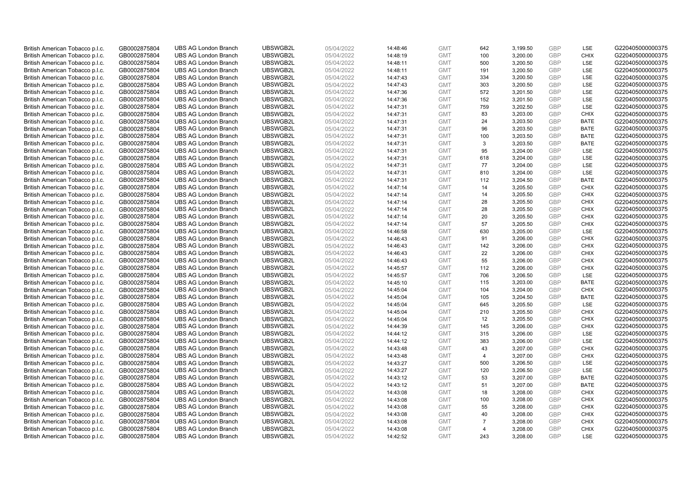| British American Tobacco p.l.c. | GB0002875804 | <b>UBS AG London Branch</b> | UBSWGB2L | 05/04/2022 | 14:48:46 | <b>GMT</b> | 642            | 3,199.50 | <b>GBP</b> | LSE         | G220405000000375 |
|---------------------------------|--------------|-----------------------------|----------|------------|----------|------------|----------------|----------|------------|-------------|------------------|
| British American Tobacco p.l.c. | GB0002875804 | <b>UBS AG London Branch</b> | UBSWGB2L | 05/04/2022 | 14:48:19 | <b>GMT</b> | 100            | 3,200.00 | GBP        | CHIX        | G220405000000375 |
| British American Tobacco p.l.c. | GB0002875804 | <b>UBS AG London Branch</b> | UBSWGB2L | 05/04/2022 | 14:48:11 | <b>GMT</b> | 500            | 3,200.50 | GBP        | LSE         | G220405000000375 |
| British American Tobacco p.l.c. | GB0002875804 | <b>UBS AG London Branch</b> | UBSWGB2L | 05/04/2022 | 14:48:11 | <b>GMT</b> | 191            | 3,200.50 | <b>GBP</b> | LSE         | G220405000000375 |
| British American Tobacco p.l.c. | GB0002875804 | <b>UBS AG London Branch</b> | UBSWGB2L | 05/04/2022 | 14:47:43 | <b>GMT</b> | 334            | 3,200.50 | GBP        | LSE         | G220405000000375 |
| British American Tobacco p.l.c. | GB0002875804 | <b>UBS AG London Branch</b> | UBSWGB2L | 05/04/2022 | 14:47:43 | <b>GMT</b> | 303            | 3,200.50 | <b>GBP</b> | <b>LSE</b>  | G220405000000375 |
| British American Tobacco p.l.c. | GB0002875804 | <b>UBS AG London Branch</b> | UBSWGB2L | 05/04/2022 | 14:47:36 | <b>GMT</b> | 572            | 3,201.50 | GBP        | LSE         | G220405000000375 |
| British American Tobacco p.l.c. | GB0002875804 | <b>UBS AG London Branch</b> | UBSWGB2L | 05/04/2022 | 14:47:36 | <b>GMT</b> | 152            | 3,201.50 | <b>GBP</b> | LSE         | G220405000000375 |
| British American Tobacco p.l.c. | GB0002875804 | <b>UBS AG London Branch</b> | UBSWGB2L | 05/04/2022 | 14:47:31 | <b>GMT</b> | 759            | 3,202.50 | <b>GBP</b> | LSE         | G220405000000375 |
| British American Tobacco p.l.c. | GB0002875804 | <b>UBS AG London Branch</b> | UBSWGB2L | 05/04/2022 | 14:47:31 | <b>GMT</b> | 83             | 3,203.00 | <b>GBP</b> | <b>CHIX</b> | G220405000000375 |
| British American Tobacco p.l.c. | GB0002875804 | <b>UBS AG London Branch</b> | UBSWGB2L | 05/04/2022 | 14:47:31 | <b>GMT</b> | 24             | 3,203.50 | <b>GBP</b> | <b>BATE</b> | G220405000000375 |
| British American Tobacco p.l.c. | GB0002875804 | <b>UBS AG London Branch</b> | UBSWGB2L | 05/04/2022 | 14:47:31 | <b>GMT</b> | 96             | 3,203.50 | <b>GBP</b> | <b>BATE</b> | G220405000000375 |
| British American Tobacco p.l.c. | GB0002875804 | <b>UBS AG London Branch</b> | UBSWGB2L | 05/04/2022 | 14:47:31 | <b>GMT</b> | 100            | 3,203.50 | <b>GBP</b> | <b>BATE</b> | G220405000000375 |
| British American Tobacco p.l.c. | GB0002875804 | <b>UBS AG London Branch</b> | UBSWGB2L | 05/04/2022 | 14:47:31 | <b>GMT</b> | 3              | 3,203.50 | <b>GBP</b> | <b>BATE</b> | G220405000000375 |
| British American Tobacco p.l.c. | GB0002875804 | <b>UBS AG London Branch</b> | UBSWGB2L | 05/04/2022 | 14:47:31 | <b>GMT</b> | 95             | 3,204.00 | <b>GBP</b> | <b>LSE</b>  | G220405000000375 |
| British American Tobacco p.l.c. | GB0002875804 | <b>UBS AG London Branch</b> | UBSWGB2L | 05/04/2022 | 14:47:31 | <b>GMT</b> | 618            | 3,204.00 | <b>GBP</b> | LSE         | G220405000000375 |
| British American Tobacco p.l.c. | GB0002875804 | <b>UBS AG London Branch</b> | UBSWGB2L | 05/04/2022 | 14:47:31 | <b>GMT</b> | 77             | 3,204.00 | <b>GBP</b> | LSE         | G220405000000375 |
| British American Tobacco p.l.c. | GB0002875804 | <b>UBS AG London Branch</b> | UBSWGB2L | 05/04/2022 | 14:47:31 | <b>GMT</b> | 810            | 3,204.00 | <b>GBP</b> | LSE         | G220405000000375 |
| British American Tobacco p.l.c. | GB0002875804 | <b>UBS AG London Branch</b> | UBSWGB2L | 05/04/2022 | 14:47:31 | <b>GMT</b> | 112            | 3,204.50 | <b>GBP</b> | <b>BATE</b> | G220405000000375 |
| British American Tobacco p.l.c. | GB0002875804 | <b>UBS AG London Branch</b> | UBSWGB2L | 05/04/2022 | 14:47:14 | <b>GMT</b> | 14             | 3,205.50 | <b>GBP</b> | <b>CHIX</b> | G220405000000375 |
| British American Tobacco p.l.c. | GB0002875804 | <b>UBS AG London Branch</b> | UBSWGB2L | 05/04/2022 | 14:47:14 | <b>GMT</b> | 14             | 3,205.50 | <b>GBP</b> | <b>CHIX</b> | G220405000000375 |
| British American Tobacco p.l.c. | GB0002875804 | <b>UBS AG London Branch</b> | UBSWGB2L | 05/04/2022 | 14:47:14 | <b>GMT</b> | 28             | 3,205.50 | GBP        | <b>CHIX</b> | G220405000000375 |
| British American Tobacco p.l.c. | GB0002875804 | <b>UBS AG London Branch</b> | UBSWGB2L | 05/04/2022 | 14:47:14 | <b>GMT</b> | 28             | 3,205.50 | <b>GBP</b> | <b>CHIX</b> | G220405000000375 |
| British American Tobacco p.l.c. | GB0002875804 | <b>UBS AG London Branch</b> | UBSWGB2L | 05/04/2022 | 14:47:14 | <b>GMT</b> | 20             | 3,205.50 | GBP        | <b>CHIX</b> | G220405000000375 |
| British American Tobacco p.l.c. | GB0002875804 | <b>UBS AG London Branch</b> | UBSWGB2L | 05/04/2022 | 14:47:14 | <b>GMT</b> | 57             | 3,205.50 | GBP        | <b>CHIX</b> | G220405000000375 |
| British American Tobacco p.l.c. | GB0002875804 | <b>UBS AG London Branch</b> | UBSWGB2L | 05/04/2022 | 14:46:58 | <b>GMT</b> | 630            | 3,205.00 | <b>GBP</b> | <b>LSE</b>  | G220405000000375 |
| British American Tobacco p.l.c. | GB0002875804 | <b>UBS AG London Branch</b> | UBSWGB2L | 05/04/2022 | 14:46:43 | <b>GMT</b> | 91             | 3,206.00 | <b>GBP</b> | <b>CHIX</b> | G220405000000375 |
| British American Tobacco p.l.c. | GB0002875804 | <b>UBS AG London Branch</b> | UBSWGB2L | 05/04/2022 | 14:46:43 | <b>GMT</b> | 142            | 3,206.00 | <b>GBP</b> | <b>CHIX</b> | G220405000000375 |
| British American Tobacco p.l.c. | GB0002875804 | <b>UBS AG London Branch</b> | UBSWGB2L | 05/04/2022 | 14:46:43 | <b>GMT</b> | 22             | 3,206.00 | GBP        | <b>CHIX</b> | G220405000000375 |
| British American Tobacco p.l.c. | GB0002875804 | <b>UBS AG London Branch</b> | UBSWGB2L | 05/04/2022 | 14:46:43 | <b>GMT</b> | 55             | 3,206.00 | <b>GBP</b> | <b>CHIX</b> | G220405000000375 |
| British American Tobacco p.l.c. | GB0002875804 | <b>UBS AG London Branch</b> | UBSWGB2L | 05/04/2022 | 14:45:57 | <b>GMT</b> | 112            | 3,206.00 | GBP        | <b>CHIX</b> | G220405000000375 |
| British American Tobacco p.l.c. | GB0002875804 | <b>UBS AG London Branch</b> | UBSWGB2L | 05/04/2022 | 14:45:57 | <b>GMT</b> | 706            | 3,206.50 | <b>GBP</b> | <b>LSE</b>  | G220405000000375 |
| British American Tobacco p.l.c. | GB0002875804 | <b>UBS AG London Branch</b> | UBSWGB2L | 05/04/2022 | 14:45:10 | <b>GMT</b> | 115            | 3,203.00 | GBP        | <b>BATE</b> | G220405000000375 |
| British American Tobacco p.l.c. | GB0002875804 | <b>UBS AG London Branch</b> | UBSWGB2L | 05/04/2022 | 14:45:04 | <b>GMT</b> | 104            | 3,204.00 | <b>GBP</b> | <b>CHIX</b> | G220405000000375 |
| British American Tobacco p.l.c. | GB0002875804 | <b>UBS AG London Branch</b> | UBSWGB2L | 05/04/2022 | 14:45:04 | <b>GMT</b> | 105            | 3,204.50 | GBP        | <b>BATE</b> | G220405000000375 |
| British American Tobacco p.l.c. | GB0002875804 | <b>UBS AG London Branch</b> | UBSWGB2L | 05/04/2022 | 14:45:04 | <b>GMT</b> | 645            | 3,205.50 | <b>GBP</b> | LSE         | G220405000000375 |
| British American Tobacco p.l.c. | GB0002875804 | <b>UBS AG London Branch</b> | UBSWGB2L | 05/04/2022 | 14:45:04 | <b>GMT</b> | 210            | 3,205.50 | <b>GBP</b> | <b>CHIX</b> | G220405000000375 |
| British American Tobacco p.l.c. | GB0002875804 | <b>UBS AG London Branch</b> | UBSWGB2L | 05/04/2022 | 14:45:04 | <b>GMT</b> | 12             | 3,205.50 | <b>GBP</b> | <b>CHIX</b> | G220405000000375 |
| British American Tobacco p.l.c. | GB0002875804 | <b>UBS AG London Branch</b> | UBSWGB2L | 05/04/2022 | 14:44:39 | <b>GMT</b> | 145            | 3,206.00 | <b>GBP</b> | <b>CHIX</b> | G220405000000375 |
| British American Tobacco p.l.c. | GB0002875804 | <b>UBS AG London Branch</b> | UBSWGB2L | 05/04/2022 | 14:44:12 | <b>GMT</b> | 315            | 3,206.00 | <b>GBP</b> | LSE         | G220405000000375 |
| British American Tobacco p.l.c. | GB0002875804 | <b>UBS AG London Branch</b> | UBSWGB2L | 05/04/2022 | 14:44:12 | <b>GMT</b> | 383            | 3,206.00 | GBP        | LSE         | G220405000000375 |
| British American Tobacco p.l.c. | GB0002875804 | <b>UBS AG London Branch</b> | UBSWGB2L | 05/04/2022 | 14:43:48 | <b>GMT</b> | 43             | 3,207.00 | <b>GBP</b> | <b>CHIX</b> | G220405000000375 |
| British American Tobacco p.l.c. | GB0002875804 | <b>UBS AG London Branch</b> | UBSWGB2L | 05/04/2022 | 14:43:48 | <b>GMT</b> | 4              | 3,207.00 | <b>GBP</b> | <b>CHIX</b> | G220405000000375 |
| British American Tobacco p.l.c. | GB0002875804 | <b>UBS AG London Branch</b> | UBSWGB2L | 05/04/2022 | 14:43:27 | <b>GMT</b> | 500            | 3,206.50 | <b>GBP</b> | LSE         | G220405000000375 |
| British American Tobacco p.l.c. | GB0002875804 | <b>UBS AG London Branch</b> | UBSWGB2L | 05/04/2022 | 14:43:27 | <b>GMT</b> | 120            | 3,206.50 | <b>GBP</b> | LSE         | G220405000000375 |
| British American Tobacco p.l.c. | GB0002875804 | <b>UBS AG London Branch</b> | UBSWGB2L | 05/04/2022 | 14:43:12 | <b>GMT</b> | 53             | 3,207.00 | <b>GBP</b> | <b>BATE</b> | G220405000000375 |
| British American Tobacco p.l.c. | GB0002875804 | <b>UBS AG London Branch</b> | UBSWGB2L | 05/04/2022 | 14:43:12 | <b>GMT</b> | 51             | 3,207.00 | <b>GBP</b> | <b>BATE</b> | G220405000000375 |
| British American Tobacco p.l.c. | GB0002875804 | <b>UBS AG London Branch</b> | UBSWGB2L | 05/04/2022 | 14:43:08 | <b>GMT</b> | 18             | 3,208.00 | <b>GBP</b> | <b>CHIX</b> | G220405000000375 |
| British American Tobacco p.l.c. | GB0002875804 | <b>UBS AG London Branch</b> | UBSWGB2L | 05/04/2022 | 14:43:08 | <b>GMT</b> | 100            | 3,208.00 | <b>GBP</b> | <b>CHIX</b> | G220405000000375 |
| British American Tobacco p.l.c. | GB0002875804 | <b>UBS AG London Branch</b> | UBSWGB2L | 05/04/2022 | 14:43:08 | <b>GMT</b> | 55             | 3,208.00 | <b>GBP</b> | <b>CHIX</b> | G220405000000375 |
| British American Tobacco p.l.c. | GB0002875804 | <b>UBS AG London Branch</b> | UBSWGB2L | 05/04/2022 | 14:43:08 | <b>GMT</b> | 40             | 3,208.00 | <b>GBP</b> | <b>CHIX</b> | G220405000000375 |
| British American Tobacco p.l.c. | GB0002875804 | <b>UBS AG London Branch</b> | UBSWGB2L | 05/04/2022 | 14:43:08 | <b>GMT</b> | $\overline{7}$ | 3,208.00 | <b>GBP</b> | <b>CHIX</b> | G220405000000375 |
| British American Tobacco p.l.c. | GB0002875804 | <b>UBS AG London Branch</b> | UBSWGB2L | 05/04/2022 | 14:43:08 | <b>GMT</b> | $\overline{4}$ | 3,208.00 | <b>GBP</b> | <b>CHIX</b> | G220405000000375 |
| British American Tobacco p.l.c. | GB0002875804 | <b>UBS AG London Branch</b> | UBSWGB2L | 05/04/2022 | 14:42:52 | <b>GMT</b> | 243            | 3,208.00 | GBP        | <b>LSE</b>  | G220405000000375 |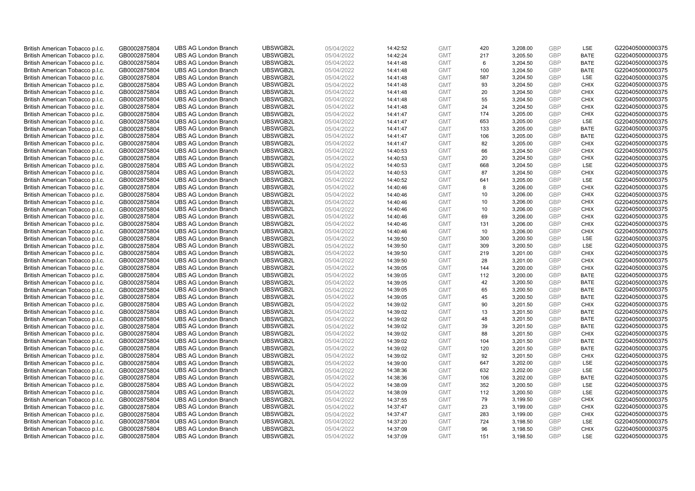| British American Tobacco p.l.c.                                    | GB0002875804                 | <b>UBS AG London Branch</b>                                | UBSWGB2L             | 05/04/2022               | 14:42:52             | <b>GMT</b>               | 420        | 3,208.00             | <b>GBP</b>        | LSE                        | G220405000000375                     |
|--------------------------------------------------------------------|------------------------------|------------------------------------------------------------|----------------------|--------------------------|----------------------|--------------------------|------------|----------------------|-------------------|----------------------------|--------------------------------------|
| British American Tobacco p.l.c.                                    | GB0002875804                 | <b>UBS AG London Branch</b>                                | UBSWGB2L             | 05/04/2022               | 14:42:24             | <b>GMT</b>               | 217        | 3,205.50             | GBP               | <b>BATE</b>                | G220405000000375                     |
| British American Tobacco p.l.c.                                    | GB0002875804                 | <b>UBS AG London Branch</b>                                | UBSWGB2L             | 05/04/2022               | 14:41:48             | <b>GMT</b>               | 6          | 3,204.50             | <b>GBP</b>        | <b>BATE</b>                | G220405000000375                     |
| British American Tobacco p.l.c.                                    | GB0002875804                 | <b>UBS AG London Branch</b>                                | UBSWGB2L             | 05/04/2022               | 14:41:48             | <b>GMT</b>               | 100        | 3,204.50             | <b>GBP</b>        | <b>BATE</b>                | G220405000000375                     |
| British American Tobacco p.l.c.                                    | GB0002875804                 | <b>UBS AG London Branch</b>                                | UBSWGB2L             | 05/04/2022               | 14:41:48             | <b>GMT</b>               | 587        | 3,204.50             | GBP               | LSE                        | G220405000000375                     |
| British American Tobacco p.l.c.                                    | GB0002875804                 | <b>UBS AG London Branch</b>                                | UBSWGB2L             | 05/04/2022               | 14:41:48             | <b>GMT</b>               | 93         | 3,204.50             | <b>GBP</b>        | <b>CHIX</b>                | G220405000000375                     |
| British American Tobacco p.l.c.                                    | GB0002875804                 | <b>UBS AG London Branch</b>                                | UBSWGB2L             | 05/04/2022               | 14:41:48             | <b>GMT</b>               | 20         | 3,204.50             | GBP               | <b>CHIX</b>                | G220405000000375                     |
| British American Tobacco p.l.c.                                    | GB0002875804                 | <b>UBS AG London Branch</b>                                | UBSWGB2L             | 05/04/2022               | 14:41:48             | <b>GMT</b>               | 55         | 3,204.50             | <b>GBP</b>        | <b>CHIX</b>                | G220405000000375                     |
| British American Tobacco p.l.c.                                    | GB0002875804                 | <b>UBS AG London Branch</b>                                | UBSWGB2L             | 05/04/2022               | 14:41:48             | <b>GMT</b>               | 24         | 3,204.50             | GBP               | <b>CHIX</b>                | G220405000000375                     |
| British American Tobacco p.l.c.                                    | GB0002875804                 | <b>UBS AG London Branch</b>                                | UBSWGB2L             | 05/04/2022               | 14:41:47             | <b>GMT</b>               | 174        | 3,205.00             | <b>GBP</b>        | <b>CHIX</b>                | G220405000000375                     |
| British American Tobacco p.l.c.                                    | GB0002875804                 | <b>UBS AG London Branch</b>                                | UBSWGB2L             | 05/04/2022               | 14:41:47             | <b>GMT</b>               | 653        | 3,205.00             | GBP               | <b>LSE</b>                 | G220405000000375                     |
| British American Tobacco p.l.c.                                    | GB0002875804                 | <b>UBS AG London Branch</b>                                | UBSWGB2L             | 05/04/2022               | 14:41:47             | <b>GMT</b>               | 133        | 3,205.00             | <b>GBP</b>        | <b>BATE</b>                | G220405000000375                     |
| British American Tobacco p.l.c.                                    | GB0002875804                 | <b>UBS AG London Branch</b>                                | UBSWGB2L             | 05/04/2022               | 14:41:47             | <b>GMT</b>               | 106        | 3,205.00             | GBP               | <b>BATE</b>                | G220405000000375                     |
| British American Tobacco p.l.c.                                    | GB0002875804                 | <b>UBS AG London Branch</b>                                | UBSWGB2L             | 05/04/2022               | 14:41:47             | <b>GMT</b>               | 82         | 3,205.00             | <b>GBP</b>        | <b>CHIX</b>                | G220405000000375                     |
| British American Tobacco p.l.c.                                    | GB0002875804                 | <b>UBS AG London Branch</b>                                | UBSWGB2L             | 05/04/2022               | 14:40:53             | <b>GMT</b>               | 66         | 3,204.50             | GBP               | <b>CHIX</b>                | G220405000000375                     |
| British American Tobacco p.l.c.                                    | GB0002875804                 | <b>UBS AG London Branch</b>                                | UBSWGB2L             | 05/04/2022               | 14:40:53             | <b>GMT</b>               | 20         | 3,204.50             | GBP<br>GBP        | <b>CHIX</b>                | G220405000000375                     |
| British American Tobacco p.l.c.                                    | GB0002875804                 | <b>UBS AG London Branch</b>                                | UBSWGB2L             | 05/04/2022               | 14:40:53             | <b>GMT</b>               | 668        | 3,204.50             | GBP               | LSE                        | G220405000000375                     |
| British American Tobacco p.l.c.                                    | GB0002875804                 | <b>UBS AG London Branch</b>                                | UBSWGB2L             | 05/04/2022               | 14:40:53             | <b>GMT</b>               | 87         | 3,204.50             |                   | <b>CHIX</b>                | G220405000000375                     |
| British American Tobacco p.l.c.                                    | GB0002875804                 | <b>UBS AG London Branch</b>                                | UBSWGB2L             | 05/04/2022               | 14:40:52             | <b>GMT</b>               | 641        | 3,205.00             | <b>GBP</b>        | <b>LSE</b>                 | G220405000000375                     |
| British American Tobacco p.l.c.                                    | GB0002875804                 | <b>UBS AG London Branch</b>                                | UBSWGB2L             | 05/04/2022               | 14:40:46             | <b>GMT</b>               | 8          | 3,206.00             | <b>GBP</b>        | <b>CHIX</b>                | G220405000000375                     |
| British American Tobacco p.l.c.                                    | GB0002875804                 | <b>UBS AG London Branch</b>                                | UBSWGB2L             | 05/04/2022               | 14:40:46             | <b>GMT</b>               | 10         | 3,206.00             | <b>GBP</b>        | <b>CHIX</b>                | G220405000000375                     |
| British American Tobacco p.l.c.                                    | GB0002875804                 | <b>UBS AG London Branch</b>                                | UBSWGB2L             | 05/04/2022               | 14:40:46             | <b>GMT</b>               | 10         | 3,206.00             | GBP               | <b>CHIX</b>                | G220405000000375                     |
| British American Tobacco p.l.c.                                    | GB0002875804                 | <b>UBS AG London Branch</b>                                | UBSWGB2L             | 05/04/2022               | 14:40:46             | <b>GMT</b>               | 10         | 3,206.00             | <b>GBP</b><br>GBP | <b>CHIX</b>                | G220405000000375                     |
| British American Tobacco p.l.c.                                    | GB0002875804                 | <b>UBS AG London Branch</b>                                | UBSWGB2L             | 05/04/2022               | 14:40:46             | <b>GMT</b>               | 69         | 3,206.00             |                   | <b>CHIX</b>                | G220405000000375                     |
| British American Tobacco p.l.c.                                    | GB0002875804                 | <b>UBS AG London Branch</b>                                | UBSWGB2L<br>UBSWGB2L | 05/04/2022               | 14:40:46             | <b>GMT</b>               | 131<br>10  | 3,206.00             | <b>GBP</b><br>GBP | <b>CHIX</b><br><b>CHIX</b> | G220405000000375<br>G220405000000375 |
| British American Tobacco p.l.c.                                    | GB0002875804                 | <b>UBS AG London Branch</b><br><b>UBS AG London Branch</b> | UBSWGB2L             | 05/04/2022               | 14:40:46             | <b>GMT</b>               |            | 3,206.00             | <b>GBP</b>        |                            | G220405000000375                     |
| British American Tobacco p.l.c.<br>British American Tobacco p.l.c. | GB0002875804                 | <b>UBS AG London Branch</b>                                | UBSWGB2L             | 05/04/2022<br>05/04/2022 | 14:39:50             | <b>GMT</b><br><b>GMT</b> | 300<br>309 | 3,200.50<br>3,200.50 | GBP               | <b>LSE</b><br>LSE          | G220405000000375                     |
| British American Tobacco p.l.c.                                    | GB0002875804<br>GB0002875804 | <b>UBS AG London Branch</b>                                | UBSWGB2L             | 05/04/2022               | 14:39:50<br>14:39:50 | <b>GMT</b>               | 219        | 3,201.00             | <b>GBP</b>        | <b>CHIX</b>                | G220405000000375                     |
| British American Tobacco p.l.c.                                    | GB0002875804                 | <b>UBS AG London Branch</b>                                | UBSWGB2L             | 05/04/2022               | 14:39:50             | <b>GMT</b>               | 28         | 3,201.00             | GBP               | <b>CHIX</b>                | G220405000000375                     |
| British American Tobacco p.l.c.                                    | GB0002875804                 | <b>UBS AG London Branch</b>                                | UBSWGB2L             | 05/04/2022               | 14:39:05             | <b>GMT</b>               | 144        | 3,200.00             | <b>GBP</b>        | <b>CHIX</b>                | G220405000000375                     |
| British American Tobacco p.l.c.                                    | GB0002875804                 | <b>UBS AG London Branch</b>                                | UBSWGB2L             | 05/04/2022               | 14:39:05             | <b>GMT</b>               | 112        | 3,200.00             | <b>GBP</b>        | <b>BATE</b>                | G220405000000375                     |
| British American Tobacco p.l.c.                                    | GB0002875804                 | <b>UBS AG London Branch</b>                                | UBSWGB2L             | 05/04/2022               | 14:39:05             | <b>GMT</b>               | 42         | 3,200.50             | <b>GBP</b>        | <b>BATE</b>                | G220405000000375                     |
| British American Tobacco p.l.c.                                    | GB0002875804                 | <b>UBS AG London Branch</b>                                | UBSWGB2L             | 05/04/2022               | 14:39:05             | <b>GMT</b>               | 65         | 3,200.50             | <b>GBP</b>        | <b>BATE</b>                | G220405000000375                     |
| British American Tobacco p.l.c.                                    | GB0002875804                 | <b>UBS AG London Branch</b>                                | UBSWGB2L             | 05/04/2022               | 14:39:05             | <b>GMT</b>               | 45         | 3,200.50             | <b>GBP</b>        | <b>BATE</b>                | G220405000000375                     |
| British American Tobacco p.l.c.                                    | GB0002875804                 | <b>UBS AG London Branch</b>                                | UBSWGB2L             | 05/04/2022               | 14:39:02             | <b>GMT</b>               | 90         | 3,201.50             | <b>GBP</b>        | <b>CHIX</b>                | G220405000000375                     |
| British American Tobacco p.l.c.                                    | GB0002875804                 | <b>UBS AG London Branch</b>                                | UBSWGB2L             | 05/04/2022               | 14:39:02             | <b>GMT</b>               | 13         | 3,201.50             | <b>GBP</b>        | <b>BATE</b>                | G220405000000375                     |
| British American Tobacco p.l.c.                                    | GB0002875804                 | <b>UBS AG London Branch</b>                                | UBSWGB2L             | 05/04/2022               | 14:39:02             | <b>GMT</b>               | 48         | 3,201.50             | <b>GBP</b>        | <b>BATE</b>                | G220405000000375                     |
| British American Tobacco p.l.c.                                    | GB0002875804                 | <b>UBS AG London Branch</b>                                | UBSWGB2L             | 05/04/2022               | 14:39:02             | <b>GMT</b>               | 39         | 3,201.50             | <b>GBP</b>        | <b>BATE</b>                | G220405000000375                     |
| British American Tobacco p.l.c.                                    | GB0002875804                 | <b>UBS AG London Branch</b>                                | UBSWGB2L             | 05/04/2022               | 14:39:02             | <b>GMT</b>               | 88         | 3,201.50             | <b>GBP</b>        | <b>CHIX</b>                | G220405000000375                     |
| British American Tobacco p.l.c.                                    | GB0002875804                 | <b>UBS AG London Branch</b>                                | UBSWGB2L             | 05/04/2022               | 14:39:02             | <b>GMT</b>               | 104        | 3,201.50             | <b>GBP</b>        | <b>BATE</b>                | G220405000000375                     |
| British American Tobacco p.l.c.                                    | GB0002875804                 | <b>UBS AG London Branch</b>                                | UBSWGB2L             | 05/04/2022               | 14:39:02             | <b>GMT</b>               | 120        | 3,201.50             | <b>GBP</b>        | <b>BATE</b>                | G220405000000375                     |
| British American Tobacco p.l.c.                                    | GB0002875804                 | <b>UBS AG London Branch</b>                                | UBSWGB2L             | 05/04/2022               | 14:39:02             | <b>GMT</b>               | 92         | 3,201.50             | <b>GBP</b>        | <b>CHIX</b>                | G220405000000375                     |
| British American Tobacco p.l.c.                                    | GB0002875804                 | <b>UBS AG London Branch</b>                                | UBSWGB2L             | 05/04/2022               | 14:39:00             | <b>GMT</b>               | 647        | 3,202.00             | <b>GBP</b>        | LSE                        | G220405000000375                     |
| British American Tobacco p.l.c.                                    | GB0002875804                 | <b>UBS AG London Branch</b>                                | UBSWGB2L             | 05/04/2022               | 14:38:36             | <b>GMT</b>               | 632        | 3,202.00             | <b>GBP</b>        | LSE                        | G220405000000375                     |
| British American Tobacco p.l.c.                                    | GB0002875804                 | <b>UBS AG London Branch</b>                                | UBSWGB2L             | 05/04/2022               | 14:38:36             | <b>GMT</b>               | 106        | 3,202.00             | <b>GBP</b>        | <b>BATE</b>                | G220405000000375                     |
| British American Tobacco p.l.c.                                    | GB0002875804                 | <b>UBS AG London Branch</b>                                | UBSWGB2L             | 05/04/2022               | 14:38:09             | <b>GMT</b>               | 352        | 3,200.50             | <b>GBP</b>        | LSE                        | G220405000000375                     |
| British American Tobacco p.l.c.                                    | GB0002875804                 | <b>UBS AG London Branch</b>                                | UBSWGB2L             | 05/04/2022               | 14:38:09             | <b>GMT</b>               | 112        | 3,200.50             | <b>GBP</b>        | LSE                        | G220405000000375                     |
| British American Tobacco p.l.c.                                    | GB0002875804                 | <b>UBS AG London Branch</b>                                | UBSWGB2L             | 05/04/2022               | 14:37:55             | <b>GMT</b>               | 79         | 3,199.50             | <b>GBP</b>        | <b>CHIX</b>                | G220405000000375                     |
| British American Tobacco p.l.c.                                    | GB0002875804                 | <b>UBS AG London Branch</b>                                | UBSWGB2L             | 05/04/2022               | 14:37:47             | <b>GMT</b>               | 23         | 3,199.00             | <b>GBP</b>        | <b>CHIX</b>                | G220405000000375                     |
| British American Tobacco p.l.c.                                    | GB0002875804                 | <b>UBS AG London Branch</b>                                | UBSWGB2L             | 05/04/2022               | 14:37:47             | <b>GMT</b>               | 283        | 3,199.00             | <b>GBP</b>        | <b>CHIX</b>                | G220405000000375                     |
| British American Tobacco p.l.c.                                    | GB0002875804                 | <b>UBS AG London Branch</b>                                | UBSWGB2L             | 05/04/2022               | 14:37:20             | <b>GMT</b>               | 724        | 3,198.50             | <b>GBP</b>        | LSE                        | G220405000000375                     |
| British American Tobacco p.l.c.                                    | GB0002875804                 | <b>UBS AG London Branch</b>                                | UBSWGB2L             | 05/04/2022               | 14:37:09             | <b>GMT</b>               | 96         | 3,198.50             | <b>GBP</b>        | <b>CHIX</b>                | G220405000000375                     |
| British American Tobacco p.l.c.                                    | GB0002875804                 | <b>UBS AG London Branch</b>                                | UBSWGB2L             | 05/04/2022               | 14:37:09             | <b>GMT</b>               | 151        | 3,198.50             | GBP               | <b>LSE</b>                 | G220405000000375                     |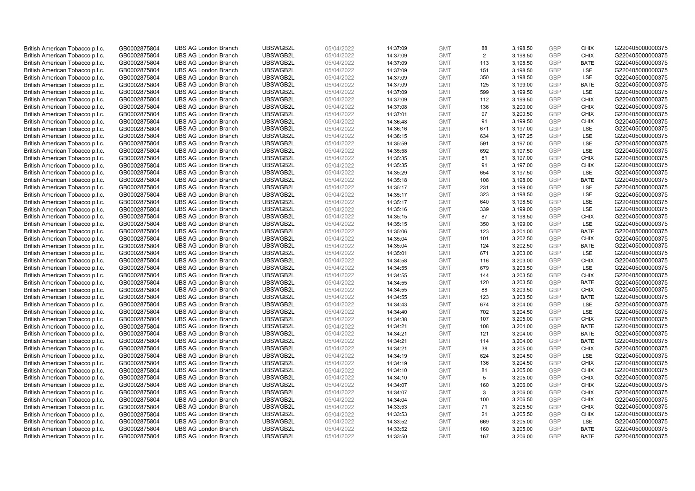| British American Tobacco p.l.c.                                    | GB0002875804                 | <b>UBS AG London Branch</b>                                | UBSWGB2L             | 05/04/2022               | 14:37:09             | <b>GMT</b>               | 88        | 3,198.50             | <b>GBP</b>        | <b>CHIX</b> | G220405000000375                     |
|--------------------------------------------------------------------|------------------------------|------------------------------------------------------------|----------------------|--------------------------|----------------------|--------------------------|-----------|----------------------|-------------------|-------------|--------------------------------------|
| British American Tobacco p.l.c.                                    | GB0002875804                 | <b>UBS AG London Branch</b>                                | UBSWGB2L             | 05/04/2022               | 14:37:09             | <b>GMT</b>               | 2         | 3,198.50             | GBP               | CHIX        | G220405000000375                     |
| British American Tobacco p.l.c.                                    | GB0002875804                 | <b>UBS AG London Branch</b>                                | UBSWGB2L             | 05/04/2022               | 14:37:09             | <b>GMT</b>               | 113       | 3,198.50             | GBP               | <b>BATE</b> | G220405000000375                     |
| British American Tobacco p.l.c.                                    | GB0002875804                 | <b>UBS AG London Branch</b>                                | UBSWGB2L             | 05/04/2022               | 14:37:09             | <b>GMT</b>               | 151       | 3,198.50             | <b>GBP</b>        | LSE         | G220405000000375                     |
| British American Tobacco p.l.c.                                    | GB0002875804                 | <b>UBS AG London Branch</b>                                | UBSWGB2L             | 05/04/2022               | 14:37:09             | <b>GMT</b>               | 350       | 3,198.50             | GBP               | LSE         | G220405000000375                     |
| British American Tobacco p.l.c.                                    | GB0002875804                 | <b>UBS AG London Branch</b>                                | UBSWGB2L             | 05/04/2022               | 14:37:09             | <b>GMT</b>               | 125       | 3,199.00             | <b>GBP</b>        | <b>BATE</b> | G220405000000375                     |
| British American Tobacco p.l.c.                                    | GB0002875804                 | <b>UBS AG London Branch</b>                                | UBSWGB2L             | 05/04/2022               | 14:37:09             | <b>GMT</b>               | 599       | 3,199.50             | GBP               | LSE         | G220405000000375                     |
| British American Tobacco p.l.c.                                    | GB0002875804                 | <b>UBS AG London Branch</b>                                | UBSWGB2L             | 05/04/2022               | 14:37:09             | <b>GMT</b>               | 112       | 3,199.50             | <b>GBP</b>        | <b>CHIX</b> | G220405000000375                     |
| British American Tobacco p.l.c.                                    | GB0002875804                 | <b>UBS AG London Branch</b>                                | UBSWGB2L             | 05/04/2022               | 14:37:08             | <b>GMT</b>               | 136       | 3,200.00             | GBP               | <b>CHIX</b> | G220405000000375                     |
| British American Tobacco p.l.c.                                    | GB0002875804                 | <b>UBS AG London Branch</b>                                | UBSWGB2L             | 05/04/2022               | 14:37:01             | <b>GMT</b>               | 97        | 3,200.50             | <b>GBP</b>        | <b>CHIX</b> | G220405000000375                     |
| British American Tobacco p.l.c.                                    | GB0002875804                 | <b>UBS AG London Branch</b>                                | UBSWGB2L             | 05/04/2022               | 14:36:48             | <b>GMT</b>               | 91        | 3,199.50             | GBP               | <b>CHIX</b> | G220405000000375                     |
| British American Tobacco p.l.c.                                    | GB0002875804                 | <b>UBS AG London Branch</b>                                | UBSWGB2L             | 05/04/2022               | 14:36:16             | <b>GMT</b>               | 671       | 3,197.00             | <b>GBP</b>        | LSE         | G220405000000375                     |
| British American Tobacco p.l.c.                                    | GB0002875804                 | <b>UBS AG London Branch</b>                                | UBSWGB2L             | 05/04/2022               | 14:36:15             | <b>GMT</b>               | 634       | 3,197.25             | <b>GBP</b>        | LSE         | G220405000000375                     |
| British American Tobacco p.l.c.                                    | GB0002875804                 | <b>UBS AG London Branch</b>                                | UBSWGB2L             | 05/04/2022               | 14:35:59             | <b>GMT</b>               | 591       | 3,197.00             | <b>GBP</b><br>GBP | LSE         | G220405000000375                     |
| British American Tobacco p.l.c.                                    | GB0002875804                 | <b>UBS AG London Branch</b>                                | UBSWGB2L             | 05/04/2022               | 14:35:58             | <b>GMT</b>               | 692       | 3,197.50             |                   | LSE         | G220405000000375                     |
| British American Tobacco p.l.c.                                    | GB0002875804                 | <b>UBS AG London Branch</b>                                | UBSWGB2L             | 05/04/2022               | 14:35:35             | <b>GMT</b>               | 81        | 3,197.00             | GBP<br><b>GBP</b> | <b>CHIX</b> | G220405000000375                     |
| British American Tobacco p.l.c.                                    | GB0002875804                 | <b>UBS AG London Branch</b>                                | UBSWGB2L             | 05/04/2022               | 14:35:35             | <b>GMT</b>               | 91        | 3,197.00             |                   | <b>CHIX</b> | G220405000000375                     |
| British American Tobacco p.l.c.                                    | GB0002875804                 | <b>UBS AG London Branch</b>                                | UBSWGB2L             | 05/04/2022               | 14:35:29             | <b>GMT</b>               | 654       | 3,197.50             | <b>GBP</b>        | <b>LSE</b>  | G220405000000375                     |
| British American Tobacco p.l.c.                                    | GB0002875804                 | <b>UBS AG London Branch</b>                                | UBSWGB2L             | 05/04/2022               | 14:35:18             | <b>GMT</b>               | 108       | 3,198.00             | <b>GBP</b>        | <b>BATE</b> | G220405000000375                     |
| British American Tobacco p.l.c.                                    | GB0002875804                 | <b>UBS AG London Branch</b>                                | UBSWGB2L             | 05/04/2022               | 14:35:17             | <b>GMT</b>               | 231       | 3,199.00             | <b>GBP</b>        | LSE         | G220405000000375                     |
| British American Tobacco p.l.c.                                    | GB0002875804                 | <b>UBS AG London Branch</b>                                | UBSWGB2L<br>UBSWGB2L | 05/04/2022<br>05/04/2022 | 14:35:17             | <b>GMT</b>               | 323       | 3,198.50             | <b>GBP</b><br>GBP | LSE<br>LSE  | G220405000000375<br>G220405000000375 |
| British American Tobacco p.l.c.                                    | GB0002875804                 | <b>UBS AG London Branch</b>                                |                      |                          | 14:35:17             | <b>GMT</b>               | 640       | 3,198.50             |                   |             |                                      |
| British American Tobacco p.l.c.<br>British American Tobacco p.l.c. | GB0002875804<br>GB0002875804 | <b>UBS AG London Branch</b><br><b>UBS AG London Branch</b> | UBSWGB2L<br>UBSWGB2L | 05/04/2022<br>05/04/2022 | 14:35:16             | <b>GMT</b><br><b>GMT</b> | 339<br>87 | 3,199.00             | <b>GBP</b><br>GBP | LSE<br>CHIX | G220405000000375<br>G220405000000375 |
|                                                                    |                              | <b>UBS AG London Branch</b>                                | UBSWGB2L             | 05/04/2022               | 14:35:15             |                          | 350       | 3,198.50<br>3,199.00 | <b>GBP</b>        | LSE         | G220405000000375                     |
| British American Tobacco p.l.c.<br>British American Tobacco p.l.c. | GB0002875804<br>GB0002875804 | <b>UBS AG London Branch</b>                                | UBSWGB2L             | 05/04/2022               | 14:35:15<br>14:35:06 | <b>GMT</b><br><b>GMT</b> | 123       | 3,201.00             | <b>GBP</b>        | <b>BATE</b> | G220405000000375                     |
| British American Tobacco p.l.c.                                    | GB0002875804                 | <b>UBS AG London Branch</b>                                | UBSWGB2L             | 05/04/2022               | 14:35:04             | <b>GMT</b>               | 101       | 3,202.50             | <b>GBP</b>        | <b>CHIX</b> | G220405000000375                     |
| British American Tobacco p.l.c.                                    | GB0002875804                 | <b>UBS AG London Branch</b>                                | UBSWGB2L             | 05/04/2022               | 14:35:04             | <b>GMT</b>               | 124       | 3,202.50             | GBP               | <b>BATE</b> | G220405000000375                     |
| British American Tobacco p.l.c.                                    | GB0002875804                 | <b>UBS AG London Branch</b>                                | UBSWGB2L             | 05/04/2022               | 14:35:01             | <b>GMT</b>               | 671       | 3,203.00             | <b>GBP</b>        | <b>LSE</b>  | G220405000000375                     |
| British American Tobacco p.l.c.                                    | GB0002875804                 | <b>UBS AG London Branch</b>                                | UBSWGB2L             | 05/04/2022               | 14:34:58             | <b>GMT</b>               | 116       | 3,203.00             | GBP               | <b>CHIX</b> | G220405000000375                     |
| British American Tobacco p.l.c.                                    | GB0002875804                 | <b>UBS AG London Branch</b>                                | UBSWGB2L             | 05/04/2022               | 14:34:55             | <b>GMT</b>               | 679       | 3,203.50             | <b>GBP</b>        | <b>LSE</b>  | G220405000000375                     |
| British American Tobacco p.l.c.                                    | GB0002875804                 | <b>UBS AG London Branch</b>                                | UBSWGB2L             | 05/04/2022               | 14:34:55             | <b>GMT</b>               | 144       | 3,203.50             | GBP               | <b>CHIX</b> | G220405000000375                     |
| British American Tobacco p.l.c.                                    | GB0002875804                 | <b>UBS AG London Branch</b>                                | UBSWGB2L             | 05/04/2022               | 14:34:55             | <b>GMT</b>               | 120       | 3,203.50             | <b>GBP</b>        | <b>BATE</b> | G220405000000375                     |
| British American Tobacco p.l.c.                                    | GB0002875804                 | <b>UBS AG London Branch</b>                                | UBSWGB2L             | 05/04/2022               | 14:34:55             | <b>GMT</b>               | 88        | 3,203.50             | <b>GBP</b>        | <b>CHIX</b> | G220405000000375                     |
| British American Tobacco p.l.c.                                    | GB0002875804                 | <b>UBS AG London Branch</b>                                | UBSWGB2L             | 05/04/2022               | 14:34:55             | <b>GMT</b>               | 123       | 3,203.50             | GBP               | <b>BATE</b> | G220405000000375                     |
| British American Tobacco p.l.c.                                    | GB0002875804                 | <b>UBS AG London Branch</b>                                | UBSWGB2L             | 05/04/2022               | 14:34:43             | <b>GMT</b>               | 674       | 3,204.00             | <b>GBP</b>        | LSE         | G220405000000375                     |
| British American Tobacco p.l.c.                                    | GB0002875804                 | <b>UBS AG London Branch</b>                                | UBSWGB2L             | 05/04/2022               | 14:34:40             | <b>GMT</b>               | 702       | 3,204.50             | GBP               | <b>LSE</b>  | G220405000000375                     |
| British American Tobacco p.l.c.                                    | GB0002875804                 | <b>UBS AG London Branch</b>                                | UBSWGB2L             | 05/04/2022               | 14:34:38             | <b>GMT</b>               | 107       | 3,205.00             | <b>GBP</b>        | <b>CHIX</b> | G220405000000375                     |
| British American Tobacco p.l.c.                                    | GB0002875804                 | <b>UBS AG London Branch</b>                                | UBSWGB2L             | 05/04/2022               | 14:34:21             | <b>GMT</b>               | 108       | 3,204.00             | GBP               | <b>BATE</b> | G220405000000375                     |
| British American Tobacco p.l.c.                                    | GB0002875804                 | <b>UBS AG London Branch</b>                                | UBSWGB2L             | 05/04/2022               | 14:34:21             | <b>GMT</b>               | 121       | 3,204.00             | <b>GBP</b>        | <b>BATE</b> | G220405000000375                     |
| British American Tobacco p.l.c.                                    | GB0002875804                 | <b>UBS AG London Branch</b>                                | UBSWGB2L             | 05/04/2022               | 14:34:21             | <b>GMT</b>               | 114       | 3,204.00             | GBP               | <b>BATE</b> | G220405000000375                     |
| British American Tobacco p.l.c.                                    | GB0002875804                 | <b>UBS AG London Branch</b>                                | UBSWGB2L             | 05/04/2022               | 14:34:21             | <b>GMT</b>               | 38        | 3,205.00             | <b>GBP</b>        | <b>CHIX</b> | G220405000000375                     |
| British American Tobacco p.l.c.                                    | GB0002875804                 | <b>UBS AG London Branch</b>                                | UBSWGB2L             | 05/04/2022               | 14:34:19             | <b>GMT</b>               | 624       | 3,204.50             | <b>GBP</b>        | LSE         | G220405000000375                     |
| British American Tobacco p.l.c.                                    | GB0002875804                 | <b>UBS AG London Branch</b>                                | UBSWGB2L             | 05/04/2022               | 14:34:19             | <b>GMT</b>               | 136       | 3,204.50             | <b>GBP</b>        | <b>CHIX</b> | G220405000000375                     |
| British American Tobacco p.l.c.                                    | GB0002875804                 | <b>UBS AG London Branch</b>                                | UBSWGB2L             | 05/04/2022               | 14:34:10             | <b>GMT</b>               | 81        | 3,205.00             | GBP               | <b>CHIX</b> | G220405000000375                     |
| British American Tobacco p.l.c.                                    | GB0002875804                 | <b>UBS AG London Branch</b>                                | UBSWGB2L             | 05/04/2022               | 14:34:10             | <b>GMT</b>               | 5         | 3,205.00             | <b>GBP</b>        | <b>CHIX</b> | G220405000000375                     |
| British American Tobacco p.l.c.                                    | GB0002875804                 | <b>UBS AG London Branch</b>                                | UBSWGB2L             | 05/04/2022               | 14:34:07             | <b>GMT</b>               | 160       | 3,206.00             | <b>GBP</b>        | <b>CHIX</b> | G220405000000375                     |
| British American Tobacco p.l.c.                                    | GB0002875804                 | <b>UBS AG London Branch</b>                                | UBSWGB2L             | 05/04/2022               | 14:34:07             | <b>GMT</b>               | 3         | 3,206.00             | GBP               | <b>CHIX</b> | G220405000000375                     |
| British American Tobacco p.l.c.                                    | GB0002875804                 | <b>UBS AG London Branch</b>                                | UBSWGB2L             | 05/04/2022               | 14:34:04             | <b>GMT</b>               | 100       | 3,206.50             | <b>GBP</b>        | <b>CHIX</b> | G220405000000375                     |
| British American Tobacco p.l.c.                                    | GB0002875804                 | <b>UBS AG London Branch</b>                                | UBSWGB2L             | 05/04/2022               | 14:33:53             | <b>GMT</b>               | 71        | 3,205.50             | GBP               | <b>CHIX</b> | G220405000000375                     |
| British American Tobacco p.l.c.                                    | GB0002875804                 | <b>UBS AG London Branch</b>                                | UBSWGB2L             | 05/04/2022               | 14:33:53             | <b>GMT</b>               | 21        | 3,205.50             | <b>GBP</b>        | <b>CHIX</b> | G220405000000375                     |
| British American Tobacco p.l.c.                                    | GB0002875804                 | <b>UBS AG London Branch</b>                                | UBSWGB2L             | 05/04/2022               | 14:33:52             | <b>GMT</b>               | 669       | 3,205.00             | <b>GBP</b>        | LSE         | G220405000000375                     |
| British American Tobacco p.l.c.                                    | GB0002875804                 | <b>UBS AG London Branch</b>                                | UBSWGB2L             | 05/04/2022               | 14:33:52             | <b>GMT</b>               | 160       | 3,205.00             | <b>GBP</b>        | <b>BATE</b> | G220405000000375                     |
| British American Tobacco p.l.c.                                    | GB0002875804                 | <b>UBS AG London Branch</b>                                | UBSWGB2L             | 05/04/2022               | 14:33:50             | <b>GMT</b>               | 167       | 3.206.00             | GBP               | <b>BATE</b> | G220405000000375                     |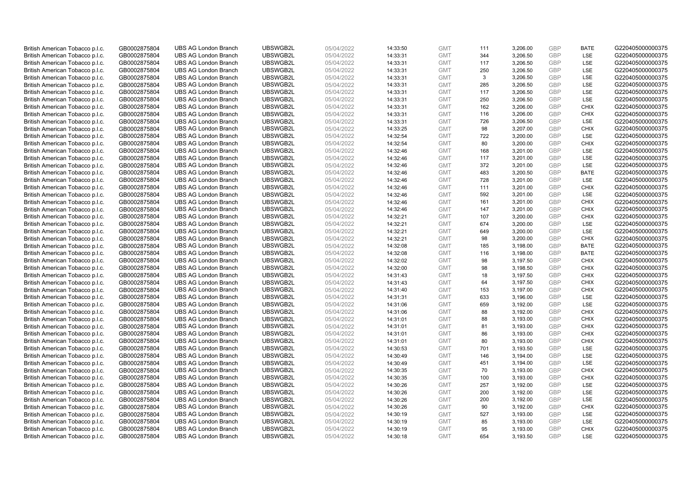| British American Tobacco p.l.c. | GB0002875804 | <b>UBS AG London Branch</b> | UBSWGB2L | 05/04/2022 | 14:33:50 | <b>GMT</b> | 111        | 3,206.00 | <b>GBP</b> | <b>BATE</b>        | G220405000000375 |
|---------------------------------|--------------|-----------------------------|----------|------------|----------|------------|------------|----------|------------|--------------------|------------------|
|                                 | GB0002875804 | <b>UBS AG London Branch</b> | UBSWGB2L | 05/04/2022 |          | <b>GMT</b> | 344        | 3,206.50 | GBP        | LSE                | G220405000000375 |
| British American Tobacco p.l.c. |              |                             | UBSWGB2L |            | 14:33:31 |            |            |          | GBP        | LSE                | G220405000000375 |
| British American Tobacco p.l.c. | GB0002875804 | <b>UBS AG London Branch</b> |          | 05/04/2022 | 14:33:31 | <b>GMT</b> | 117        | 3,206.50 |            |                    |                  |
| British American Tobacco p.l.c. | GB0002875804 | <b>UBS AG London Branch</b> | UBSWGB2L | 05/04/2022 | 14:33:31 | <b>GMT</b> | 250        | 3,206.50 | <b>GBP</b> | LSE                | G220405000000375 |
| British American Tobacco p.l.c. | GB0002875804 | <b>UBS AG London Branch</b> | UBSWGB2L | 05/04/2022 | 14:33:31 | <b>GMT</b> | 3          | 3,206.50 | GBP        | LSE                | G220405000000375 |
| British American Tobacco p.l.c. | GB0002875804 | <b>UBS AG London Branch</b> | UBSWGB2L | 05/04/2022 | 14:33:31 | <b>GMT</b> | 285        | 3,206.50 | <b>GBP</b> | <b>LSE</b>         | G220405000000375 |
| British American Tobacco p.l.c. | GB0002875804 | <b>UBS AG London Branch</b> | UBSWGB2L | 05/04/2022 | 14:33:31 | <b>GMT</b> | 117        | 3,206.50 | GBP        | LSE                | G220405000000375 |
| British American Tobacco p.l.c. | GB0002875804 | <b>UBS AG London Branch</b> | UBSWGB2L | 05/04/2022 | 14:33:31 | <b>GMT</b> | 250        | 3,206.50 | <b>GBP</b> | LSE                | G220405000000375 |
| British American Tobacco p.l.c. | GB0002875804 | <b>UBS AG London Branch</b> | UBSWGB2L | 05/04/2022 | 14:33:31 | <b>GMT</b> | 162        | 3,206.00 | GBP        | <b>CHIX</b>        | G220405000000375 |
| British American Tobacco p.l.c. | GB0002875804 | <b>UBS AG London Branch</b> | UBSWGB2L | 05/04/2022 | 14:33:31 | <b>GMT</b> | 116        | 3,206.00 | <b>GBP</b> | <b>CHIX</b>        | G220405000000375 |
| British American Tobacco p.l.c. | GB0002875804 | <b>UBS AG London Branch</b> | UBSWGB2L | 05/04/2022 | 14:33:31 | <b>GMT</b> | 726        | 3.206.50 | GBP        | <b>LSE</b>         | G220405000000375 |
| British American Tobacco p.l.c. | GB0002875804 | <b>UBS AG London Branch</b> | UBSWGB2L | 05/04/2022 | 14:33:25 | <b>GMT</b> | 98         | 3,207.00 | <b>GBP</b> | <b>CHIX</b>        | G220405000000375 |
| British American Tobacco p.l.c. | GB0002875804 | <b>UBS AG London Branch</b> | UBSWGB2L | 05/04/2022 | 14:32:54 | <b>GMT</b> | 722        | 3,200.00 | <b>GBP</b> | LSE                | G220405000000375 |
| British American Tobacco p.l.c. | GB0002875804 | <b>UBS AG London Branch</b> | UBSWGB2L | 05/04/2022 | 14:32:54 | <b>GMT</b> | 80         | 3,200.00 | <b>GBP</b> | <b>CHIX</b>        | G220405000000375 |
| British American Tobacco p.l.c. | GB0002875804 | <b>UBS AG London Branch</b> | UBSWGB2L | 05/04/2022 | 14:32:46 | <b>GMT</b> | 168        | 3,201.00 | GBP        | <b>LSE</b>         | G220405000000375 |
| British American Tobacco p.l.c. | GB0002875804 | <b>UBS AG London Branch</b> | UBSWGB2L | 05/04/2022 | 14:32:46 | <b>GMT</b> | 117        | 3,201.00 | GBP        | LSE                | G220405000000375 |
| British American Tobacco p.l.c. | GB0002875804 | <b>UBS AG London Branch</b> | UBSWGB2L | 05/04/2022 | 14:32:46 | <b>GMT</b> | 372        | 3,201.00 | GBP        | LSE                | G220405000000375 |
| British American Tobacco p.l.c. | GB0002875804 | <b>UBS AG London Branch</b> | UBSWGB2L | 05/04/2022 | 14:32:46 | <b>GMT</b> | 483        | 3,200.50 | GBP        | <b>BATE</b>        | G220405000000375 |
| British American Tobacco p.l.c. | GB0002875804 | <b>UBS AG London Branch</b> | UBSWGB2L | 05/04/2022 | 14:32:46 | <b>GMT</b> | 728        | 3,201.00 | <b>GBP</b> | <b>LSE</b>         | G220405000000375 |
| British American Tobacco p.l.c. | GB0002875804 | <b>UBS AG London Branch</b> | UBSWGB2L | 05/04/2022 | 14:32:46 | <b>GMT</b> | 111        | 3,201.00 | <b>GBP</b> | <b>CHIX</b>        | G220405000000375 |
| British American Tobacco p.l.c. | GB0002875804 | <b>UBS AG London Branch</b> | UBSWGB2L | 05/04/2022 | 14:32:46 | <b>GMT</b> | 592        | 3,201.00 | <b>GBP</b> | LSE                | G220405000000375 |
| British American Tobacco p.l.c. | GB0002875804 | <b>UBS AG London Branch</b> | UBSWGB2L | 05/04/2022 | 14:32:46 | <b>GMT</b> | 161        | 3,201.00 | GBP        | <b>CHIX</b>        | G220405000000375 |
| British American Tobacco p.l.c. | GB0002875804 | <b>UBS AG London Branch</b> | UBSWGB2L | 05/04/2022 | 14:32:46 | <b>GMT</b> | 147        | 3,201.00 | <b>GBP</b> | <b>CHIX</b>        | G220405000000375 |
| British American Tobacco p.l.c. | GB0002875804 | <b>UBS AG London Branch</b> | UBSWGB2L | 05/04/2022 | 14:32:21 | <b>GMT</b> | 107        | 3.200.00 | GBP        | <b>CHIX</b>        | G220405000000375 |
| British American Tobacco p.l.c. | GB0002875804 | <b>UBS AG London Branch</b> | UBSWGB2L | 05/04/2022 | 14:32:21 | <b>GMT</b> | 674        | 3,200.00 | <b>GBP</b> | LSE                | G220405000000375 |
| British American Tobacco p.l.c. | GB0002875804 | <b>UBS AG London Branch</b> | UBSWGB2L | 05/04/2022 | 14:32:21 | <b>GMT</b> | 649        | 3,200.00 | <b>GBP</b> | LSE                | G220405000000375 |
| British American Tobacco p.l.c. | GB0002875804 | <b>UBS AG London Branch</b> | UBSWGB2L | 05/04/2022 | 14:32:21 | <b>GMT</b> | 98         | 3,200.00 | <b>GBP</b> | <b>CHIX</b>        | G220405000000375 |
| British American Tobacco p.l.c. | GB0002875804 | <b>UBS AG London Branch</b> | UBSWGB2L | 05/04/2022 | 14:32:08 | <b>GMT</b> | 185        | 3,198.00 | GBP        | <b>BATE</b>        | G220405000000375 |
| British American Tobacco p.l.c. | GB0002875804 | <b>UBS AG London Branch</b> | UBSWGB2L | 05/04/2022 | 14:32:08 | <b>GMT</b> | 116        | 3,198.00 | <b>GBP</b> | <b>BATE</b>        | G220405000000375 |
| British American Tobacco p.l.c. | GB0002875804 | <b>UBS AG London Branch</b> | UBSWGB2L | 05/04/2022 | 14:32:02 | <b>GMT</b> | 98         | 3,197.50 | GBP        | <b>CHIX</b>        | G220405000000375 |
| British American Tobacco p.l.c. | GB0002875804 | <b>UBS AG London Branch</b> | UBSWGB2L | 05/04/2022 | 14:32:00 | <b>GMT</b> | 98         | 3,198.50 | <b>GBP</b> | <b>CHIX</b>        | G220405000000375 |
| British American Tobacco p.l.c. | GB0002875804 | <b>UBS AG London Branch</b> | UBSWGB2L | 05/04/2022 | 14:31:43 | <b>GMT</b> | 18         | 3,197.50 | <b>GBP</b> | <b>CHIX</b>        | G220405000000375 |
| British American Tobacco p.l.c. | GB0002875804 | <b>UBS AG London Branch</b> | UBSWGB2L | 05/04/2022 | 14:31:43 | <b>GMT</b> | 64         | 3,197.50 | <b>GBP</b> | <b>CHIX</b>        | G220405000000375 |
| British American Tobacco p.l.c. | GB0002875804 | <b>UBS AG London Branch</b> | UBSWGB2L | 05/04/2022 | 14:31:40 | <b>GMT</b> | 153        | 3,197.00 | <b>GBP</b> | <b>CHIX</b>        | G220405000000375 |
| British American Tobacco p.l.c. | GB0002875804 | <b>UBS AG London Branch</b> | UBSWGB2L | 05/04/2022 | 14:31:31 | <b>GMT</b> | 633        | 3,196.00 | GBP        | LSE                | G220405000000375 |
| British American Tobacco p.l.c. | GB0002875804 | <b>UBS AG London Branch</b> | UBSWGB2L | 05/04/2022 | 14:31:06 | <b>GMT</b> | 659        | 3,192.00 | <b>GBP</b> | LSE                | G220405000000375 |
| British American Tobacco p.l.c. | GB0002875804 | <b>UBS AG London Branch</b> | UBSWGB2L | 05/04/2022 | 14:31:06 | <b>GMT</b> | 88         | 3,192.00 | <b>GBP</b> | CHIX               | G220405000000375 |
| British American Tobacco p.l.c. | GB0002875804 | <b>UBS AG London Branch</b> | UBSWGB2L | 05/04/2022 | 14:31:01 | <b>GMT</b> | 88         | 3,193.00 | <b>GBP</b> | <b>CHIX</b>        | G220405000000375 |
| British American Tobacco p.l.c. | GB0002875804 | <b>UBS AG London Branch</b> | UBSWGB2L | 05/04/2022 | 14:31:01 | <b>GMT</b> | 81         | 3,193.00 | <b>GBP</b> | <b>CHIX</b>        | G220405000000375 |
| British American Tobacco p.l.c. | GB0002875804 | <b>UBS AG London Branch</b> | UBSWGB2L | 05/04/2022 | 14:31:01 | <b>GMT</b> | 86         | 3,193.00 | <b>GBP</b> | <b>CHIX</b>        | G220405000000375 |
| British American Tobacco p.l.c. | GB0002875804 | <b>UBS AG London Branch</b> | UBSWGB2L | 05/04/2022 | 14:31:01 | <b>GMT</b> | 80         | 3,193.00 | GBP        | <b>CHIX</b>        | G220405000000375 |
| British American Tobacco p.l.c. | GB0002875804 | <b>UBS AG London Branch</b> | UBSWGB2L | 05/04/2022 | 14:30:53 | <b>GMT</b> | 701        | 3,193.50 | <b>GBP</b> | <b>LSE</b>         | G220405000000375 |
| British American Tobacco p.l.c. | GB0002875804 | <b>UBS AG London Branch</b> | UBSWGB2L | 05/04/2022 | 14:30:49 | <b>GMT</b> | 146        | 3,194.00 | <b>GBP</b> | LSE                | G220405000000375 |
| British American Tobacco p.l.c. | GB0002875804 | <b>UBS AG London Branch</b> | UBSWGB2L | 05/04/2022 | 14:30:49 | <b>GMT</b> | 451        | 3,194.00 | <b>GBP</b> | LSE                | G220405000000375 |
| British American Tobacco p.l.c. | GB0002875804 | <b>UBS AG London Branch</b> | UBSWGB2L | 05/04/2022 | 14:30:35 | <b>GMT</b> | 70         | 3,193.00 | <b>GBP</b> | <b>CHIX</b>        | G220405000000375 |
|                                 |              |                             |          |            |          |            |            |          |            |                    |                  |
| British American Tobacco p.l.c. | GB0002875804 | <b>UBS AG London Branch</b> | UBSWGB2L | 05/04/2022 | 14:30:35 | <b>GMT</b> | 100<br>257 | 3,193.00 | <b>GBP</b> | <b>CHIX</b><br>LSE | G220405000000375 |
| British American Tobacco p.l.c. | GB0002875804 | <b>UBS AG London Branch</b> | UBSWGB2L | 05/04/2022 | 14:30:26 | <b>GMT</b> |            | 3,192.00 | <b>GBP</b> |                    | G220405000000375 |
| British American Tobacco p.l.c. | GB0002875804 | <b>UBS AG London Branch</b> | UBSWGB2L | 05/04/2022 | 14:30:26 | <b>GMT</b> | 200        | 3,192.00 | <b>GBP</b> | LSE                | G220405000000375 |
| British American Tobacco p.l.c. | GB0002875804 | <b>UBS AG London Branch</b> | UBSWGB2L | 05/04/2022 | 14:30:26 | <b>GMT</b> | 200        | 3,192.00 | <b>GBP</b> | LSE                | G220405000000375 |
| British American Tobacco p.l.c. | GB0002875804 | <b>UBS AG London Branch</b> | UBSWGB2L | 05/04/2022 | 14:30:26 | <b>GMT</b> | 90         | 3,192.00 | <b>GBP</b> | <b>CHIX</b>        | G220405000000375 |
| British American Tobacco p.l.c. | GB0002875804 | <b>UBS AG London Branch</b> | UBSWGB2L | 05/04/2022 | 14:30:19 | <b>GMT</b> | 527        | 3,193.00 | <b>GBP</b> | LSE                | G220405000000375 |
| British American Tobacco p.l.c. | GB0002875804 | <b>UBS AG London Branch</b> | UBSWGB2L | 05/04/2022 | 14:30:19 | <b>GMT</b> | 85         | 3,193.00 | <b>GBP</b> | LSE                | G220405000000375 |
| British American Tobacco p.l.c. | GB0002875804 | <b>UBS AG London Branch</b> | UBSWGB2L | 05/04/2022 | 14:30:19 | <b>GMT</b> | 95         | 3,193.00 | <b>GBP</b> | <b>CHIX</b>        | G220405000000375 |
| British American Tobacco p.l.c. | GB0002875804 | <b>UBS AG London Branch</b> | UBSWGB2L | 05/04/2022 | 14:30:18 | <b>GMT</b> | 654        | 3,193.50 | GBP        | <b>LSE</b>         | G220405000000375 |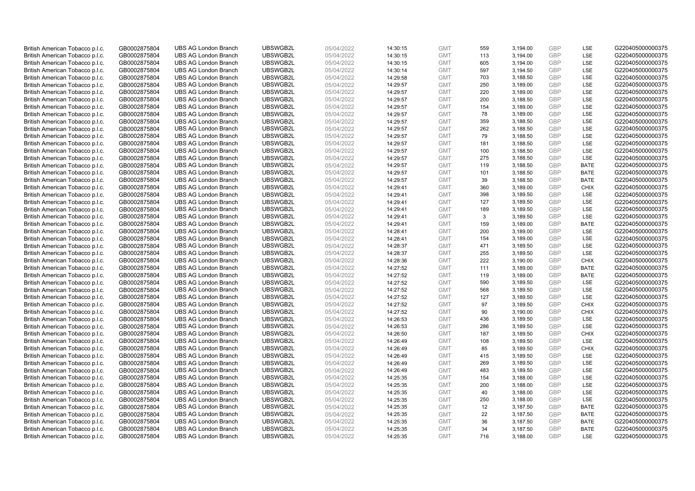| British American Tobacco p.l.c. | GB0002875804                 | <b>UBS AG London Branch</b> | UBSWGB2L             | 05/04/2022               | 14:30:15             | <b>GMT</b>               | 559        | 3,194.00 | <b>GBP</b>               | LSE               | G220405000000375                     |
|---------------------------------|------------------------------|-----------------------------|----------------------|--------------------------|----------------------|--------------------------|------------|----------|--------------------------|-------------------|--------------------------------------|
|                                 | GB0002875804                 | <b>UBS AG London Branch</b> | UBSWGB2L             | 05/04/2022               |                      | <b>GMT</b>               | 113        | 3,194.00 | GBP                      | LSE               | G220405000000375                     |
| British American Tobacco p.l.c. |                              |                             | UBSWGB2L             |                          | 14:30:15             |                          |            |          | <b>GBP</b>               | LSE               |                                      |
| British American Tobacco p.l.c. | GB0002875804                 | <b>UBS AG London Branch</b> |                      | 05/04/2022               | 14:30:15             | <b>GMT</b>               | 605        | 3,194.00 |                          |                   | G220405000000375                     |
| British American Tobacco p.l.c. | GB0002875804                 | <b>UBS AG London Branch</b> | UBSWGB2L             | 05/04/2022               | 14:30:14             | <b>GMT</b>               | 597        | 3,194.50 | <b>GBP</b>               | LSE               | G220405000000375                     |
| British American Tobacco p.l.c. | GB0002875804                 | <b>UBS AG London Branch</b> | UBSWGB2L             | 05/04/2022               | 14:29:58             | <b>GMT</b>               | 703        | 3,188.50 | <b>GBP</b>               | LSE               | G220405000000375                     |
| British American Tobacco p.l.c. | GB0002875804                 | <b>UBS AG London Branch</b> | UBSWGB2L             | 05/04/2022               | 14:29:57             | <b>GMT</b>               | 250        | 3,189.00 | <b>GBP</b>               | LSE               | G220405000000375                     |
| British American Tobacco p.l.c. | GB0002875804                 | <b>UBS AG London Branch</b> | UBSWGB2L             | 05/04/2022               | 14:29:57             | <b>GMT</b>               | 220        | 3,189.00 | <b>GBP</b>               | LSE               | G220405000000375                     |
| British American Tobacco p.l.c. | GB0002875804                 | <b>UBS AG London Branch</b> | UBSWGB2L             | 05/04/2022               | 14:29:57             | <b>GMT</b>               | 200        | 3,188.50 | <b>GBP</b>               | LSE               | G220405000000375                     |
| British American Tobacco p.l.c. | GB0002875804                 | <b>UBS AG London Branch</b> | UBSWGB2L             | 05/04/2022               | 14:29:57             | <b>GMT</b>               | 154        | 3,189.00 | <b>GBP</b>               | LSE               | G220405000000375                     |
| British American Tobacco p.l.c. | GB0002875804                 | <b>UBS AG London Branch</b> | UBSWGB2L             | 05/04/2022               | 14:29:57             | <b>GMT</b>               | 78         | 3,189.00 | <b>GBP</b>               | LSE               | G220405000000375                     |
| British American Tobacco p.l.c. | GB0002875804                 | <b>UBS AG London Branch</b> | UBSWGB2L             | 05/04/2022               | 14:29:57             | <b>GMT</b>               | 359        | 3,188.50 | <b>GBP</b>               | LSE               | G220405000000375                     |
| British American Tobacco p.l.c. | GB0002875804                 | <b>UBS AG London Branch</b> | UBSWGB2L             | 05/04/2022               | 14:29:57             | <b>GMT</b>               | 262        | 3,188.50 | <b>GBP</b>               | LSE               | G220405000000375                     |
| British American Tobacco p.l.c. | GB0002875804                 | <b>UBS AG London Branch</b> | UBSWGB2L             | 05/04/2022               | 14:29:57             | <b>GMT</b>               | 79         | 3,188.50 | <b>GBP</b>               | LSE               | G220405000000375                     |
| British American Tobacco p.l.c. | GB0002875804                 | <b>UBS AG London Branch</b> | UBSWGB2L             | 05/04/2022               | 14:29:57             | <b>GMT</b>               | 181        | 3,188.50 | <b>GBP</b>               | LSE               | G220405000000375                     |
| British American Tobacco p.l.c. | GB0002875804                 | <b>UBS AG London Branch</b> | UBSWGB2L             | 05/04/2022               | 14:29:57             | <b>GMT</b>               | 100        | 3,188.50 | <b>GBP</b>               | LSE               | G220405000000375                     |
| British American Tobacco p.l.c. | GB0002875804                 | <b>UBS AG London Branch</b> | UBSWGB2L             | 05/04/2022               | 14:29:57             | <b>GMT</b>               | 275        | 3,188.50 | <b>GBP</b>               | LSE               | G220405000000375                     |
| British American Tobacco p.l.c. | GB0002875804                 | <b>UBS AG London Branch</b> | UBSWGB2L             | 05/04/2022               | 14:29:57             | <b>GMT</b>               | 119        | 3,188.50 | <b>GBP</b>               | <b>BATE</b>       | G220405000000375                     |
| British American Tobacco p.l.c. | GB0002875804                 | <b>UBS AG London Branch</b> | UBSWGB2L             | 05/04/2022               | 14:29:57             | <b>GMT</b>               | 101        | 3,188.50 | <b>GBP</b>               | <b>BATE</b>       | G220405000000375                     |
| British American Tobacco p.l.c. | GB0002875804                 | <b>UBS AG London Branch</b> | UBSWGB2L             | 05/04/2022               | 14:29:57             | <b>GMT</b>               | 39         | 3,188.50 | <b>GBP</b>               | <b>BATE</b>       | G220405000000375                     |
| British American Tobacco p.l.c. | GB0002875804                 | <b>UBS AG London Branch</b> | UBSWGB2L             | 05/04/2022               | 14:29:41             | <b>GMT</b>               | 360        | 3,189.00 | <b>GBP</b>               | <b>CHIX</b>       | G220405000000375                     |
| British American Tobacco p.l.c. | GB0002875804                 | <b>UBS AG London Branch</b> | UBSWGB2L             | 05/04/2022               | 14:29:41             | <b>GMT</b>               | 398        | 3,189.50 | <b>GBP</b>               | LSE               | G220405000000375                     |
| British American Tobacco p.l.c. | GB0002875804                 | <b>UBS AG London Branch</b> | UBSWGB2L             | 05/04/2022               | 14:29:41             | <b>GMT</b>               | 127        | 3,189.50 | <b>GBP</b>               | LSE               | G220405000000375                     |
| British American Tobacco p.l.c. | GB0002875804                 | <b>UBS AG London Branch</b> | UBSWGB2L             | 05/04/2022               | 14:29:41             | <b>GMT</b>               | 189        | 3,189.50 | <b>GBP</b>               | LSE               | G220405000000375                     |
| British American Tobacco p.l.c. | GB0002875804                 | <b>UBS AG London Branch</b> | UBSWGB2L             | 05/04/2022               | 14:29:41             | <b>GMT</b>               | 3          | 3,189.50 | <b>GBP</b>               | LSE               | G220405000000375                     |
| British American Tobacco p.l.c. | GB0002875804                 | <b>UBS AG London Branch</b> | UBSWGB2L             | 05/04/2022               | 14:29:41             | <b>GMT</b>               | 159        | 3,189.00 | <b>GBP</b>               | <b>BATE</b>       | G220405000000375                     |
| British American Tobacco p.l.c. | GB0002875804                 | <b>UBS AG London Branch</b> | UBSWGB2L             | 05/04/2022               | 14:28:41             | <b>GMT</b>               | 200        | 3,189.00 | <b>GBP</b>               | LSE               | G220405000000375                     |
| British American Tobacco p.l.c. | GB0002875804                 | <b>UBS AG London Branch</b> | UBSWGB2L             | 05/04/2022               | 14:28:41             | <b>GMT</b>               | 154        | 3,189.00 | <b>GBP</b>               | LSE               | G220405000000375                     |
| British American Tobacco p.l.c. | GB0002875804                 | <b>UBS AG London Branch</b> | UBSWGB2L             | 05/04/2022               | 14:28:37             | <b>GMT</b>               | 471        | 3,189.50 | <b>GBP</b>               | LSE               | G220405000000375                     |
| British American Tobacco p.l.c. | GB0002875804                 | <b>UBS AG London Branch</b> | UBSWGB2L             | 05/04/2022               | 14:28:37             | <b>GMT</b>               | 255        | 3,189.50 | <b>GBP</b>               | LSE               | G220405000000375                     |
| British American Tobacco p.l.c. | GB0002875804                 | <b>UBS AG London Branch</b> | UBSWGB2L             | 05/04/2022               | 14:28:36             | <b>GMT</b>               | 222        | 3,190.00 | <b>GBP</b>               | <b>CHIX</b>       | G220405000000375                     |
| British American Tobacco p.l.c. | GB0002875804                 | <b>UBS AG London Branch</b> | UBSWGB2L             | 05/04/2022               | 14:27:52             | <b>GMT</b>               | 111        | 3,189.00 | <b>GBP</b>               | <b>BATE</b>       | G220405000000375                     |
| British American Tobacco p.l.c. | GB0002875804                 | <b>UBS AG London Branch</b> | UBSWGB2L             | 05/04/2022               | 14:27:52             | <b>GMT</b>               | 119        | 3,189.00 | <b>GBP</b>               | <b>BATE</b>       | G220405000000375                     |
| British American Tobacco p.l.c. | GB0002875804                 | <b>UBS AG London Branch</b> | UBSWGB2L             | 05/04/2022               | 14:27:52             | <b>GMT</b>               | 590        | 3,189.50 | <b>GBP</b>               | LSE               | G220405000000375                     |
| British American Tobacco p.l.c. | GB0002875804                 | <b>UBS AG London Branch</b> | UBSWGB2L             | 05/04/2022               | 14:27:52             | <b>GMT</b>               | 568        | 3,189.50 | <b>GBP</b>               | LSE               | G220405000000375                     |
| British American Tobacco p.l.c. | GB0002875804                 | <b>UBS AG London Branch</b> | UBSWGB2L             | 05/04/2022               | 14:27:52             | <b>GMT</b>               | 127        | 3,189.50 | <b>GBP</b>               | LSE               | G220405000000375                     |
| British American Tobacco p.l.c. | GB0002875804                 | <b>UBS AG London Branch</b> | UBSWGB2L             | 05/04/2022               | 14:27:52             | <b>GMT</b>               | 97         | 3,189.50 | <b>GBP</b>               | <b>CHIX</b>       | G220405000000375                     |
| British American Tobacco p.l.c. | GB0002875804                 | <b>UBS AG London Branch</b> | UBSWGB2L             | 05/04/2022               | 14:27:52             | <b>GMT</b>               | 90         | 3,190.00 | <b>GBP</b>               | <b>CHIX</b>       | G220405000000375                     |
| British American Tobacco p.l.c. | GB0002875804                 | <b>UBS AG London Branch</b> | UBSWGB2L             | 05/04/2022               | 14:26:53             | <b>GMT</b>               | 436        | 3,189.50 | <b>GBP</b>               | LSE               | G220405000000375                     |
| British American Tobacco p.l.c. | GB0002875804                 | <b>UBS AG London Branch</b> | UBSWGB2L             | 05/04/2022               | 14:26:53             | <b>GMT</b>               | 286        | 3,189.50 | <b>GBP</b>               | LSE               | G220405000000375                     |
| British American Tobacco p.l.c. | GB0002875804                 | <b>UBS AG London Branch</b> | UBSWGB2L             | 05/04/2022               | 14:26:50             | <b>GMT</b>               | 187        | 3,189.50 | <b>GBP</b>               | <b>CHIX</b>       | G220405000000375                     |
| British American Tobacco p.l.c. |                              | <b>UBS AG London Branch</b> | UBSWGB2L             | 05/04/2022               |                      | <b>GMT</b>               | 108        | 3,189.50 | <b>GBP</b>               | <b>LSE</b>        | G220405000000375                     |
|                                 | GB0002875804                 |                             |                      |                          | 14:26:49             |                          | 85         |          |                          | <b>CHIX</b>       |                                      |
| British American Tobacco p.l.c. | GB0002875804<br>GB0002875804 | <b>UBS AG London Branch</b> | UBSWGB2L<br>UBSWGB2L | 05/04/2022<br>05/04/2022 | 14:26:49<br>14:26:49 | <b>GMT</b><br><b>GMT</b> |            | 3,189.50 | <b>GBP</b><br><b>GBP</b> | LSE               | G220405000000375<br>G220405000000375 |
| British American Tobacco p.l.c. |                              | <b>UBS AG London Branch</b> |                      |                          |                      |                          | 415        | 3,189.50 |                          |                   |                                      |
| British American Tobacco p.l.c. | GB0002875804                 | <b>UBS AG London Branch</b> | UBSWGB2L             | 05/04/2022               | 14:26:49             | <b>GMT</b>               | 269<br>483 | 3,189.50 | <b>GBP</b>               | LSE<br><b>LSE</b> | G220405000000375                     |
| British American Tobacco p.l.c. | GB0002875804                 | <b>UBS AG London Branch</b> | UBSWGB2L             | 05/04/2022               | 14:26:49             | <b>GMT</b>               |            | 3,189.50 | <b>GBP</b>               |                   | G220405000000375                     |
| British American Tobacco p.l.c. | GB0002875804                 | <b>UBS AG London Branch</b> | UBSWGB2L             | 05/04/2022               | 14:25:35             | <b>GMT</b>               | 154        | 3,188.00 | <b>GBP</b>               | LSE               | G220405000000375                     |
| British American Tobacco p.l.c. | GB0002875804                 | <b>UBS AG London Branch</b> | UBSWGB2L             | 05/04/2022               | 14:25:35             | <b>GMT</b>               | 200        | 3,188.00 | <b>GBP</b>               | LSE               | G220405000000375                     |
| British American Tobacco p.l.c. | GB0002875804                 | <b>UBS AG London Branch</b> | UBSWGB2L             | 05/04/2022               | 14:25:35             | <b>GMT</b>               | 40         | 3,188.00 | <b>GBP</b>               | LSE               | G220405000000375                     |
| British American Tobacco p.l.c. | GB0002875804                 | <b>UBS AG London Branch</b> | UBSWGB2L             | 05/04/2022               | 14:25:35             | <b>GMT</b>               | 250        | 3,188.00 | <b>GBP</b>               | LSE               | G220405000000375                     |
| British American Tobacco p.l.c. | GB0002875804                 | <b>UBS AG London Branch</b> | UBSWGB2L             | 05/04/2022               | 14:25:35             | <b>GMT</b>               | 12         | 3,187.50 | <b>GBP</b>               | <b>BATE</b>       | G220405000000375                     |
| British American Tobacco p.l.c. | GB0002875804                 | <b>UBS AG London Branch</b> | UBSWGB2L             | 05/04/2022               | 14:25:35             | <b>GMT</b>               | 22         | 3,187.50 | <b>GBP</b>               | <b>BATE</b>       | G220405000000375                     |
| British American Tobacco p.l.c. | GB0002875804                 | <b>UBS AG London Branch</b> | UBSWGB2L             | 05/04/2022               | 14:25:35             | <b>GMT</b>               | 36         | 3,187.50 | <b>GBP</b>               | <b>BATE</b>       | G220405000000375                     |
| British American Tobacco p.l.c. | GB0002875804                 | <b>UBS AG London Branch</b> | UBSWGB2L             | 05/04/2022               | 14:25:35             | <b>GMT</b>               | 34         | 3,187.50 | <b>GBP</b>               | <b>BATE</b>       | G220405000000375                     |
| British American Tobacco p.l.c. | GB0002875804                 | <b>UBS AG London Branch</b> | UBSWGB2L             | 05/04/2022               | 14:25:35             | <b>GMT</b>               | 716        | 3.188.00 | GBP                      | LSE               | G220405000000375                     |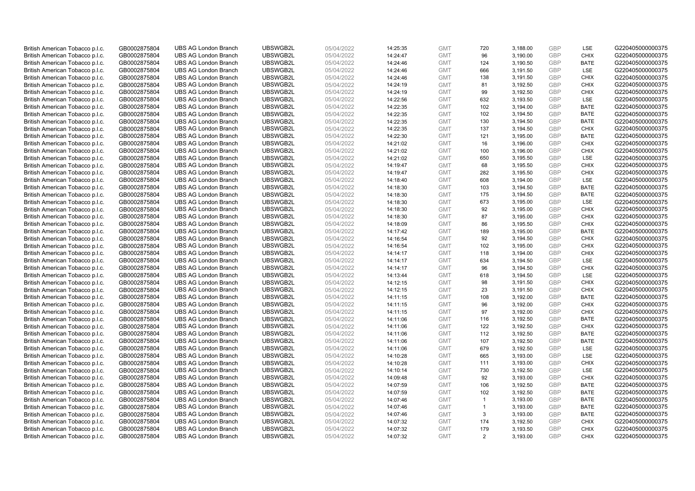| British American Tobacco p.l.c. | GB0002875804 | <b>UBS AG London Branch</b> | UBSWGB2L | 05/04/2022 | 14:25:35 | <b>GMT</b> | 720          | 3,188.00 | <b>GBP</b> | LSE         | G220405000000375 |
|---------------------------------|--------------|-----------------------------|----------|------------|----------|------------|--------------|----------|------------|-------------|------------------|
| British American Tobacco p.l.c. | GB0002875804 | <b>UBS AG London Branch</b> | UBSWGB2L | 05/04/2022 | 14:24:47 | <b>GMT</b> | 96           | 3,190.00 | GBP        | <b>CHIX</b> | G220405000000375 |
| British American Tobacco p.l.c. | GB0002875804 | <b>UBS AG London Branch</b> | UBSWGB2L | 05/04/2022 | 14:24:46 | <b>GMT</b> | 124          | 3,190.50 | GBP        | <b>BATE</b> | G220405000000375 |
| British American Tobacco p.l.c. | GB0002875804 | <b>UBS AG London Branch</b> | UBSWGB2L | 05/04/2022 | 14:24:46 | <b>GMT</b> | 666          | 3,191.50 | <b>GBP</b> | LSE         | G220405000000375 |
| British American Tobacco p.l.c. | GB0002875804 | <b>UBS AG London Branch</b> | UBSWGB2L | 05/04/2022 | 14:24:46 | <b>GMT</b> | 138          | 3,191.50 | GBP        | <b>CHIX</b> | G220405000000375 |
| British American Tobacco p.l.c. | GB0002875804 | <b>UBS AG London Branch</b> | UBSWGB2L | 05/04/2022 | 14:24:19 | <b>GMT</b> | 81           | 3,192.50 | <b>GBP</b> | <b>CHIX</b> | G220405000000375 |
| British American Tobacco p.l.c. | GB0002875804 | <b>UBS AG London Branch</b> | UBSWGB2L | 05/04/2022 | 14:24:19 | <b>GMT</b> | 99           | 3,192.50 | GBP        | <b>CHIX</b> | G220405000000375 |
| British American Tobacco p.l.c. | GB0002875804 | <b>UBS AG London Branch</b> | UBSWGB2L | 05/04/2022 | 14:22:56 | <b>GMT</b> | 632          | 3,193.50 | <b>GBP</b> | LSE         | G220405000000375 |
| British American Tobacco p.l.c. | GB0002875804 | <b>UBS AG London Branch</b> | UBSWGB2L | 05/04/2022 | 14:22:35 | <b>GMT</b> | 102          | 3,194.00 | GBP        | <b>BATE</b> | G220405000000375 |
| British American Tobacco p.l.c. | GB0002875804 | <b>UBS AG London Branch</b> | UBSWGB2L | 05/04/2022 | 14:22:35 | <b>GMT</b> | 102          | 3,194.50 | <b>GBP</b> | <b>BATE</b> | G220405000000375 |
| British American Tobacco p.l.c. | GB0002875804 | <b>UBS AG London Branch</b> | UBSWGB2L | 05/04/2022 | 14:22:35 | <b>GMT</b> | 130          | 3,194.50 | GBP        | <b>BATE</b> | G220405000000375 |
| British American Tobacco p.l.c. | GB0002875804 | <b>UBS AG London Branch</b> | UBSWGB2L | 05/04/2022 | 14:22:35 | <b>GMT</b> | 137          | 3,194.50 | <b>GBP</b> | <b>CHIX</b> | G220405000000375 |
| British American Tobacco p.l.c. | GB0002875804 | <b>UBS AG London Branch</b> | UBSWGB2L | 05/04/2022 | 14:22:30 | <b>GMT</b> | 121          | 3,195.00 | <b>GBP</b> | <b>BATE</b> | G220405000000375 |
| British American Tobacco p.l.c. | GB0002875804 | <b>UBS AG London Branch</b> | UBSWGB2L | 05/04/2022 | 14:21:02 | <b>GMT</b> | 16           | 3,196.00 | <b>GBP</b> | <b>CHIX</b> | G220405000000375 |
| British American Tobacco p.l.c. | GB0002875804 | <b>UBS AG London Branch</b> | UBSWGB2L | 05/04/2022 | 14:21:02 | <b>GMT</b> | 100          | 3,196.00 | GBP        | <b>CHIX</b> | G220405000000375 |
| British American Tobacco p.l.c. | GB0002875804 | <b>UBS AG London Branch</b> | UBSWGB2L | 05/04/2022 | 14:21:02 | <b>GMT</b> | 650          | 3,195.50 | <b>GBP</b> | <b>LSE</b>  | G220405000000375 |
| British American Tobacco p.l.c. | GB0002875804 | <b>UBS AG London Branch</b> | UBSWGB2L | 05/04/2022 | 14:19:47 | <b>GMT</b> | 68           | 3,195.50 | <b>GBP</b> | <b>CHIX</b> | G220405000000375 |
| British American Tobacco p.l.c. | GB0002875804 | <b>UBS AG London Branch</b> | UBSWGB2L | 05/04/2022 | 14:19:47 | <b>GMT</b> | 282          | 3,195.50 | <b>GBP</b> | <b>CHIX</b> | G220405000000375 |
| British American Tobacco p.l.c. | GB0002875804 | <b>UBS AG London Branch</b> | UBSWGB2L | 05/04/2022 | 14:18:40 | <b>GMT</b> | 608          | 3,194.00 | <b>GBP</b> | <b>LSE</b>  | G220405000000375 |
| British American Tobacco p.l.c. | GB0002875804 | <b>UBS AG London Branch</b> | UBSWGB2L | 05/04/2022 | 14:18:30 | <b>GMT</b> | 103          | 3,194.50 | <b>GBP</b> | <b>BATE</b> | G220405000000375 |
| British American Tobacco p.l.c. | GB0002875804 | <b>UBS AG London Branch</b> | UBSWGB2L | 05/04/2022 | 14:18:30 | <b>GMT</b> | 175          | 3,194.50 | <b>GBP</b> | <b>BATE</b> | G220405000000375 |
| British American Tobacco p.l.c. | GB0002875804 | <b>UBS AG London Branch</b> | UBSWGB2L | 05/04/2022 | 14:18:30 | <b>GMT</b> | 673          | 3,195.00 | <b>GBP</b> | LSE         | G220405000000375 |
| British American Tobacco p.l.c. | GB0002875804 | <b>UBS AG London Branch</b> | UBSWGB2L | 05/04/2022 | 14:18:30 | <b>GMT</b> | 92           | 3,195.00 | <b>GBP</b> | <b>CHIX</b> | G220405000000375 |
| British American Tobacco p.l.c. | GB0002875804 | <b>UBS AG London Branch</b> | UBSWGB2L | 05/04/2022 | 14:18:30 | <b>GMT</b> | 87           | 3,195.00 | <b>GBP</b> | <b>CHIX</b> | G220405000000375 |
| British American Tobacco p.l.c. | GB0002875804 | <b>UBS AG London Branch</b> | UBSWGB2L | 05/04/2022 | 14:18:09 | <b>GMT</b> | 86           | 3,195.50 | <b>GBP</b> | <b>CHIX</b> | G220405000000375 |
| British American Tobacco p.l.c. | GB0002875804 | <b>UBS AG London Branch</b> | UBSWGB2L | 05/04/2022 | 14:17:42 | <b>GMT</b> | 189          | 3,195.00 | <b>GBP</b> | <b>BATE</b> | G220405000000375 |
| British American Tobacco p.l.c. | GB0002875804 | <b>UBS AG London Branch</b> | UBSWGB2L | 05/04/2022 | 14:16:54 | <b>GMT</b> | 92           | 3,194.50 | <b>GBP</b> | <b>CHIX</b> | G220405000000375 |
| British American Tobacco p.l.c. | GB0002875804 | <b>UBS AG London Branch</b> | UBSWGB2L | 05/04/2022 | 14:16:54 | <b>GMT</b> | 102          | 3,195.00 | GBP        | <b>CHIX</b> | G220405000000375 |
| British American Tobacco p.l.c. | GB0002875804 | <b>UBS AG London Branch</b> | UBSWGB2L | 05/04/2022 | 14:14:17 | <b>GMT</b> | 118          | 3,194.00 | <b>GBP</b> | <b>CHIX</b> | G220405000000375 |
| British American Tobacco p.l.c. | GB0002875804 | <b>UBS AG London Branch</b> | UBSWGB2L | 05/04/2022 | 14:14:17 | <b>GMT</b> | 634          | 3,194.50 | <b>GBP</b> | LSE         | G220405000000375 |
| British American Tobacco p.l.c. | GB0002875804 | <b>UBS AG London Branch</b> | UBSWGB2L | 05/04/2022 | 14:14:17 | <b>GMT</b> | 96           | 3,194.50 | <b>GBP</b> | <b>CHIX</b> | G220405000000375 |
| British American Tobacco p.l.c. | GB0002875804 | <b>UBS AG London Branch</b> | UBSWGB2L | 05/04/2022 | 14:13:44 | <b>GMT</b> | 618          | 3,194.50 | <b>GBP</b> | <b>LSE</b>  | G220405000000375 |
| British American Tobacco p.l.c. | GB0002875804 | <b>UBS AG London Branch</b> | UBSWGB2L | 05/04/2022 | 14:12:15 | <b>GMT</b> | 98           | 3,191.50 | <b>GBP</b> | <b>CHIX</b> | G220405000000375 |
| British American Tobacco p.l.c. | GB0002875804 | <b>UBS AG London Branch</b> | UBSWGB2L | 05/04/2022 | 14:12:15 | <b>GMT</b> | 23           | 3,191.50 | <b>GBP</b> | <b>CHIX</b> | G220405000000375 |
| British American Tobacco p.l.c. | GB0002875804 | <b>UBS AG London Branch</b> | UBSWGB2L | 05/04/2022 | 14:11:15 | <b>GMT</b> | 108          | 3,192.00 | GBP        | <b>BATE</b> | G220405000000375 |
| British American Tobacco p.l.c. | GB0002875804 | <b>UBS AG London Branch</b> | UBSWGB2L | 05/04/2022 | 14:11:15 | <b>GMT</b> | 96           | 3,192.00 | <b>GBP</b> | <b>CHIX</b> | G220405000000375 |
| British American Tobacco p.l.c. | GB0002875804 | <b>UBS AG London Branch</b> | UBSWGB2L | 05/04/2022 | 14:11:15 | <b>GMT</b> | 97           | 3,192.00 | GBP        | <b>CHIX</b> | G220405000000375 |
| British American Tobacco p.l.c. | GB0002875804 | <b>UBS AG London Branch</b> | UBSWGB2L | 05/04/2022 | 14:11:06 | <b>GMT</b> | 116          | 3,192.50 | <b>GBP</b> | <b>BATE</b> | G220405000000375 |
| British American Tobacco p.l.c. | GB0002875804 | <b>UBS AG London Branch</b> | UBSWGB2L | 05/04/2022 | 14:11:06 | <b>GMT</b> | 122          | 3,192.50 | GBP        | <b>CHIX</b> | G220405000000375 |
| British American Tobacco p.l.c. | GB0002875804 | <b>UBS AG London Branch</b> | UBSWGB2L | 05/04/2022 | 14:11:06 | <b>GMT</b> | 112          | 3,192.50 | <b>GBP</b> | <b>BATE</b> | G220405000000375 |
| British American Tobacco p.l.c. | GB0002875804 | <b>UBS AG London Branch</b> | UBSWGB2L | 05/04/2022 | 14:11:06 | <b>GMT</b> | 107          | 3,192.50 | GBP        | <b>BATE</b> | G220405000000375 |
| British American Tobacco p.l.c. | GB0002875804 | <b>UBS AG London Branch</b> | UBSWGB2L | 05/04/2022 | 14:11:06 | <b>GMT</b> | 679          | 3,192.50 | <b>GBP</b> | <b>LSE</b>  | G220405000000375 |
| British American Tobacco p.l.c. | GB0002875804 | <b>UBS AG London Branch</b> | UBSWGB2L | 05/04/2022 | 14:10:28 | <b>GMT</b> | 665          | 3,193.00 | <b>GBP</b> | LSE         | G220405000000375 |
| British American Tobacco p.l.c. | GB0002875804 | <b>UBS AG London Branch</b> | UBSWGB2L | 05/04/2022 | 14:10:28 | <b>GMT</b> | 111          | 3,193.00 | <b>GBP</b> | <b>CHIX</b> | G220405000000375 |
| British American Tobacco p.l.c. | GB0002875804 | <b>UBS AG London Branch</b> | UBSWGB2L | 05/04/2022 | 14:10:14 | <b>GMT</b> | 730          | 3,192.50 | GBP        | LSE         | G220405000000375 |
| British American Tobacco p.l.c. | GB0002875804 | <b>UBS AG London Branch</b> | UBSWGB2L | 05/04/2022 | 14:09:48 | <b>GMT</b> | 92           | 3,193.00 | <b>GBP</b> | <b>CHIX</b> | G220405000000375 |
| British American Tobacco p.l.c. | GB0002875804 | <b>UBS AG London Branch</b> | UBSWGB2L | 05/04/2022 | 14:07:59 | <b>GMT</b> | 106          | 3,192.50 | <b>GBP</b> | <b>BATE</b> | G220405000000375 |
| British American Tobacco p.l.c. | GB0002875804 | <b>UBS AG London Branch</b> | UBSWGB2L | 05/04/2022 | 14:07:59 | <b>GMT</b> | 102          | 3,192.50 | GBP        | <b>BATE</b> | G220405000000375 |
| British American Tobacco p.l.c. | GB0002875804 | <b>UBS AG London Branch</b> | UBSWGB2L | 05/04/2022 | 14:07:46 | <b>GMT</b> | $\mathbf{1}$ | 3,193.00 | <b>GBP</b> | <b>BATE</b> | G220405000000375 |
| British American Tobacco p.l.c. | GB0002875804 | <b>UBS AG London Branch</b> | UBSWGB2L | 05/04/2022 | 14:07:46 | <b>GMT</b> | $\mathbf{1}$ | 3,193.00 | GBP        | <b>BATE</b> | G220405000000375 |
| British American Tobacco p.l.c. | GB0002875804 | <b>UBS AG London Branch</b> | UBSWGB2L | 05/04/2022 | 14:07:46 | <b>GMT</b> | 3            | 3,193.00 | <b>GBP</b> | <b>BATE</b> | G220405000000375 |
| British American Tobacco p.l.c. | GB0002875804 | <b>UBS AG London Branch</b> | UBSWGB2L | 05/04/2022 | 14:07:32 | <b>GMT</b> | 174          | 3,192.50 | <b>GBP</b> | <b>CHIX</b> | G220405000000375 |
| British American Tobacco p.l.c. | GB0002875804 | <b>UBS AG London Branch</b> | UBSWGB2L | 05/04/2022 | 14:07:32 | <b>GMT</b> | 179          | 3,193.50 | <b>GBP</b> | <b>CHIX</b> | G220405000000375 |
| British American Tobacco p.l.c. | GB0002875804 | <b>UBS AG London Branch</b> | UBSWGB2L | 05/04/2022 | 14:07:32 | <b>GMT</b> | 2            | 3.193.00 | GBP        | <b>CHIX</b> | G220405000000375 |
|                                 |              |                             |          |            |          |            |              |          |            |             |                  |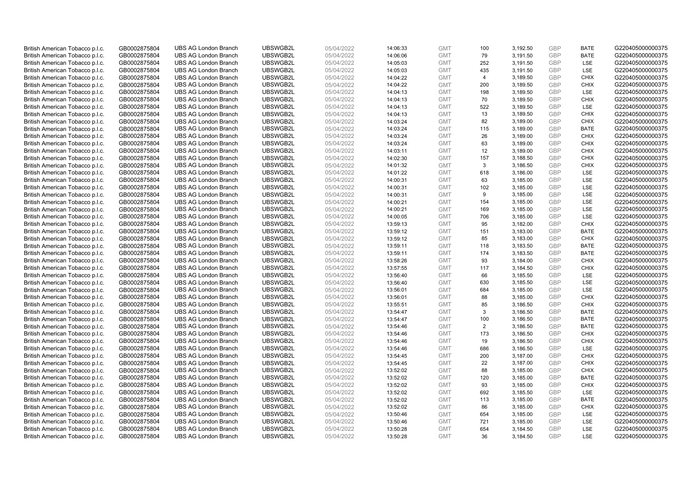| British American Tobacco p.l.c. | GB0002875804 | <b>UBS AG London Branch</b> | UBSWGB2L | 05/04/2022 | 14:06:33 | <b>GMT</b> | 100            | 3,192.50 | <b>GBP</b> | <b>BATE</b> | G220405000000375 |
|---------------------------------|--------------|-----------------------------|----------|------------|----------|------------|----------------|----------|------------|-------------|------------------|
| British American Tobacco p.l.c. | GB0002875804 | <b>UBS AG London Branch</b> | UBSWGB2L | 05/04/2022 | 14:06:06 | <b>GMT</b> | 79             | 3,191.50 | GBP        | <b>BATE</b> | G220405000000375 |
| British American Tobacco p.l.c. | GB0002875804 | <b>UBS AG London Branch</b> | UBSWGB2L | 05/04/2022 | 14:05:03 | <b>GMT</b> | 252            | 3,191.50 | <b>GBP</b> | LSE         | G220405000000375 |
| British American Tobacco p.l.c. | GB0002875804 | <b>UBS AG London Branch</b> | UBSWGB2L | 05/04/2022 | 14:05:03 | <b>GMT</b> | 435            | 3,191.50 | <b>GBP</b> | LSE         | G220405000000375 |
| British American Tobacco p.l.c. | GB0002875804 | <b>UBS AG London Branch</b> | UBSWGB2L | 05/04/2022 | 14:04:22 | <b>GMT</b> | $\overline{4}$ | 3,189.50 | GBP        | <b>CHIX</b> | G220405000000375 |
| British American Tobacco p.l.c. | GB0002875804 | <b>UBS AG London Branch</b> | UBSWGB2L | 05/04/2022 | 14:04:22 | <b>GMT</b> | 200            | 3,189.50 | <b>GBP</b> | <b>CHIX</b> | G220405000000375 |
| British American Tobacco p.l.c. | GB0002875804 | <b>UBS AG London Branch</b> | UBSWGB2L | 05/04/2022 | 14:04:13 | <b>GMT</b> | 198            | 3,189.50 | <b>GBP</b> | LSE         | G220405000000375 |
| British American Tobacco p.l.c. | GB0002875804 | <b>UBS AG London Branch</b> | UBSWGB2L | 05/04/2022 | 14:04:13 | <b>GMT</b> | 70             | 3,189.50 | <b>GBP</b> | <b>CHIX</b> | G220405000000375 |
| British American Tobacco p.l.c. | GB0002875804 | <b>UBS AG London Branch</b> | UBSWGB2L | 05/04/2022 | 14:04:13 | <b>GMT</b> | 522            | 3,189.50 | <b>GBP</b> | LSE         | G220405000000375 |
| British American Tobacco p.l.c. | GB0002875804 | <b>UBS AG London Branch</b> | UBSWGB2L | 05/04/2022 | 14:04:13 | <b>GMT</b> | 13             | 3,189.50 | <b>GBP</b> | <b>CHIX</b> | G220405000000375 |
| British American Tobacco p.l.c. | GB0002875804 | <b>UBS AG London Branch</b> | UBSWGB2L | 05/04/2022 | 14:03:24 | <b>GMT</b> | 82             | 3,189.00 | <b>GBP</b> | <b>CHIX</b> | G220405000000375 |
| British American Tobacco p.l.c. | GB0002875804 | <b>UBS AG London Branch</b> | UBSWGB2L | 05/04/2022 | 14:03:24 | <b>GMT</b> | 115            | 3,189.00 | <b>GBP</b> | <b>BATE</b> | G220405000000375 |
| British American Tobacco p.l.c. | GB0002875804 | <b>UBS AG London Branch</b> | UBSWGB2L | 05/04/2022 | 14:03:24 | <b>GMT</b> | 26             | 3,189.00 | <b>GBP</b> | <b>CHIX</b> | G220405000000375 |
| British American Tobacco p.l.c. | GB0002875804 | <b>UBS AG London Branch</b> | UBSWGB2L | 05/04/2022 | 14:03:24 | <b>GMT</b> | 63             | 3,189.00 | <b>GBP</b> | <b>CHIX</b> | G220405000000375 |
| British American Tobacco p.l.c. | GB0002875804 | <b>UBS AG London Branch</b> | UBSWGB2L | 05/04/2022 | 14:03:11 | <b>GMT</b> | 12             | 3,189.00 | GBP        | <b>CHIX</b> | G220405000000375 |
| British American Tobacco p.l.c. | GB0002875804 | <b>UBS AG London Branch</b> | UBSWGB2L | 05/04/2022 | 14:02:30 | <b>GMT</b> | 157            | 3,188.50 | <b>GBP</b> | <b>CHIX</b> | G220405000000375 |
| British American Tobacco p.l.c. | GB0002875804 | <b>UBS AG London Branch</b> | UBSWGB2L | 05/04/2022 | 14:01:32 | <b>GMT</b> | $\mathbf{3}$   | 3,186.50 | GBP        | <b>CHIX</b> | G220405000000375 |
| British American Tobacco p.l.c. | GB0002875804 | <b>UBS AG London Branch</b> | UBSWGB2L | 05/04/2022 | 14:01:22 | <b>GMT</b> | 618            | 3,186.00 | <b>GBP</b> | <b>LSE</b>  | G220405000000375 |
| British American Tobacco p.l.c. | GB0002875804 | <b>UBS AG London Branch</b> | UBSWGB2L | 05/04/2022 | 14:00:31 | <b>GMT</b> | 63             | 3,185.00 | <b>GBP</b> | <b>LSE</b>  | G220405000000375 |
| British American Tobacco p.l.c. | GB0002875804 | <b>UBS AG London Branch</b> | UBSWGB2L | 05/04/2022 | 14:00:31 | <b>GMT</b> | 102            | 3,185.00 | <b>GBP</b> | LSE         | G220405000000375 |
| British American Tobacco p.l.c. | GB0002875804 | <b>UBS AG London Branch</b> | UBSWGB2L | 05/04/2022 | 14:00:31 | <b>GMT</b> | 9              | 3,185.00 | <b>GBP</b> | LSE         | G220405000000375 |
| British American Tobacco p.l.c. | GB0002875804 | <b>UBS AG London Branch</b> | UBSWGB2L | 05/04/2022 | 14:00:21 | <b>GMT</b> | 154            | 3,185.00 | GBP        | LSE         | G220405000000375 |
| British American Tobacco p.l.c. | GB0002875804 | <b>UBS AG London Branch</b> | UBSWGB2L | 05/04/2022 | 14:00:21 | <b>GMT</b> | 169            | 3,185.00 | <b>GBP</b> | LSE         | G220405000000375 |
| British American Tobacco p.l.c. | GB0002875804 | <b>UBS AG London Branch</b> | UBSWGB2L | 05/04/2022 | 14:00:05 | <b>GMT</b> | 706            | 3,185.00 | <b>GBP</b> | <b>LSE</b>  | G220405000000375 |
| British American Tobacco p.l.c. | GB0002875804 | <b>UBS AG London Branch</b> | UBSWGB2L | 05/04/2022 | 13:59:13 | <b>GMT</b> | 95             | 3,182.00 | <b>GBP</b> | <b>CHIX</b> | G220405000000375 |
| British American Tobacco p.l.c. | GB0002875804 | <b>UBS AG London Branch</b> | UBSWGB2L | 05/04/2022 | 13:59:12 | <b>GMT</b> | 151            | 3,183.00 | <b>GBP</b> | <b>BATE</b> | G220405000000375 |
| British American Tobacco p.l.c. | GB0002875804 | <b>UBS AG London Branch</b> | UBSWGB2L | 05/04/2022 | 13:59:12 | <b>GMT</b> | 85             | 3,183.00 | <b>GBP</b> | <b>CHIX</b> | G220405000000375 |
| British American Tobacco p.l.c. | GB0002875804 | <b>UBS AG London Branch</b> | UBSWGB2L | 05/04/2022 | 13:59:11 | <b>GMT</b> | 118            | 3,183.50 | <b>GBP</b> | <b>BATE</b> | G220405000000375 |
| British American Tobacco p.l.c. | GB0002875804 | <b>UBS AG London Branch</b> | UBSWGB2L | 05/04/2022 | 13:59:11 | <b>GMT</b> | 174            | 3,183.50 | <b>GBP</b> | <b>BATE</b> | G220405000000375 |
| British American Tobacco p.l.c. | GB0002875804 | <b>UBS AG London Branch</b> | UBSWGB2L | 05/04/2022 | 13:58:26 | <b>GMT</b> | 93             | 3,184.00 | <b>GBP</b> | <b>CHIX</b> | G220405000000375 |
| British American Tobacco p.l.c. | GB0002875804 | <b>UBS AG London Branch</b> | UBSWGB2L | 05/04/2022 | 13:57:55 | <b>GMT</b> | 117            | 3,184.50 | <b>GBP</b> | <b>CHIX</b> | G220405000000375 |
| British American Tobacco p.l.c. | GB0002875804 | <b>UBS AG London Branch</b> | UBSWGB2L | 05/04/2022 | 13:56:40 | <b>GMT</b> | 66             | 3,185.50 | GBP        | <b>LSE</b>  | G220405000000375 |
| British American Tobacco p.l.c. | GB0002875804 | <b>UBS AG London Branch</b> | UBSWGB2L | 05/04/2022 | 13:56:40 | <b>GMT</b> | 630            | 3,185.50 | <b>GBP</b> | LSE         | G220405000000375 |
| British American Tobacco p.l.c. | GB0002875804 | <b>UBS AG London Branch</b> | UBSWGB2L | 05/04/2022 | 13:56:01 | <b>GMT</b> | 684            | 3,185.00 | <b>GBP</b> | LSE         | G220405000000375 |
| British American Tobacco p.l.c. | GB0002875804 | <b>UBS AG London Branch</b> | UBSWGB2L | 05/04/2022 | 13:56:01 | <b>GMT</b> | 88             | 3,185.00 | GBP        | <b>CHIX</b> | G220405000000375 |
| British American Tobacco p.l.c. | GB0002875804 | <b>UBS AG London Branch</b> | UBSWGB2L | 05/04/2022 | 13:55:51 | <b>GMT</b> | 85             | 3,186.50 | <b>GBP</b> | <b>CHIX</b> | G220405000000375 |
| British American Tobacco p.l.c. | GB0002875804 | <b>UBS AG London Branch</b> | UBSWGB2L | 05/04/2022 | 13:54:47 | <b>GMT</b> | 3              | 3,186.50 | GBP        | <b>BATE</b> | G220405000000375 |
| British American Tobacco p.l.c. | GB0002875804 | <b>UBS AG London Branch</b> | UBSWGB2L | 05/04/2022 | 13:54:47 | <b>GMT</b> | 100            | 3,186.50 | <b>GBP</b> | <b>BATE</b> | G220405000000375 |
| British American Tobacco p.l.c. | GB0002875804 | <b>UBS AG London Branch</b> | UBSWGB2L | 05/04/2022 | 13:54:46 | <b>GMT</b> | $\overline{2}$ | 3,186.50 | GBP        | <b>BATE</b> | G220405000000375 |
| British American Tobacco p.l.c. | GB0002875804 | <b>UBS AG London Branch</b> | UBSWGB2L | 05/04/2022 | 13:54:46 | <b>GMT</b> | 173            | 3,186.50 | <b>GBP</b> | <b>CHIX</b> | G220405000000375 |
| British American Tobacco p.l.c. | GB0002875804 | <b>UBS AG London Branch</b> | UBSWGB2L | 05/04/2022 | 13:54:46 | <b>GMT</b> | 19             | 3,186.50 | GBP        | <b>CHIX</b> | G220405000000375 |
| British American Tobacco p.l.c. | GB0002875804 | <b>UBS AG London Branch</b> | UBSWGB2L | 05/04/2022 | 13:54:46 | <b>GMT</b> | 686            | 3,186.50 | <b>GBP</b> | <b>LSE</b>  | G220405000000375 |
| British American Tobacco p.l.c. | GB0002875804 | <b>UBS AG London Branch</b> | UBSWGB2L | 05/04/2022 | 13:54:45 | <b>GMT</b> | 200            | 3,187.00 | <b>GBP</b> | <b>CHIX</b> | G220405000000375 |
| British American Tobacco p.l.c. | GB0002875804 | <b>UBS AG London Branch</b> | UBSWGB2L | 05/04/2022 | 13:54:45 | <b>GMT</b> | 22             | 3,187.00 | <b>GBP</b> | <b>CHIX</b> | G220405000000375 |
| British American Tobacco p.l.c. | GB0002875804 | <b>UBS AG London Branch</b> | UBSWGB2L | 05/04/2022 | 13:52:02 | <b>GMT</b> | 88             | 3,185.00 | GBP        | <b>CHIX</b> | G220405000000375 |
| British American Tobacco p.l.c. | GB0002875804 | <b>UBS AG London Branch</b> | UBSWGB2L | 05/04/2022 | 13:52:02 | <b>GMT</b> | 120            | 3,185.00 | <b>GBP</b> | <b>BATE</b> | G220405000000375 |
| British American Tobacco p.l.c. | GB0002875804 | <b>UBS AG London Branch</b> | UBSWGB2L | 05/04/2022 | 13:52:02 | <b>GMT</b> | 93             | 3,185.00 | <b>GBP</b> | <b>CHIX</b> | G220405000000375 |
| British American Tobacco p.l.c. | GB0002875804 | <b>UBS AG London Branch</b> | UBSWGB2L | 05/04/2022 | 13:52:02 | <b>GMT</b> | 692            | 3,185.50 | GBP        | LSE         | G220405000000375 |
| British American Tobacco p.l.c. | GB0002875804 | <b>UBS AG London Branch</b> | UBSWGB2L | 05/04/2022 | 13:52:02 | <b>GMT</b> | 113            | 3,185.00 | <b>GBP</b> | <b>BATE</b> | G220405000000375 |
| British American Tobacco p.l.c. | GB0002875804 | <b>UBS AG London Branch</b> | UBSWGB2L | 05/04/2022 | 13:52:02 | <b>GMT</b> | 86             | 3,185.00 | GBP        | <b>CHIX</b> | G220405000000375 |
| British American Tobacco p.l.c. | GB0002875804 | <b>UBS AG London Branch</b> | UBSWGB2L | 05/04/2022 | 13:50:46 | <b>GMT</b> | 654            | 3,185.00 | <b>GBP</b> | LSE         | G220405000000375 |
| British American Tobacco p.l.c. | GB0002875804 | <b>UBS AG London Branch</b> | UBSWGB2L | 05/04/2022 | 13:50:46 | <b>GMT</b> | 721            | 3,185.00 | <b>GBP</b> | LSE         | G220405000000375 |
| British American Tobacco p.l.c. | GB0002875804 | <b>UBS AG London Branch</b> | UBSWGB2L | 05/04/2022 | 13:50:28 | <b>GMT</b> | 654            | 3,184.50 | <b>GBP</b> | LSE         | G220405000000375 |
| British American Tobacco p.l.c. | GB0002875804 | <b>UBS AG London Branch</b> | UBSWGB2L | 05/04/2022 | 13:50:28 | <b>GMT</b> | 36             | 3,184.50 | GBP        | <b>LSE</b>  | G220405000000375 |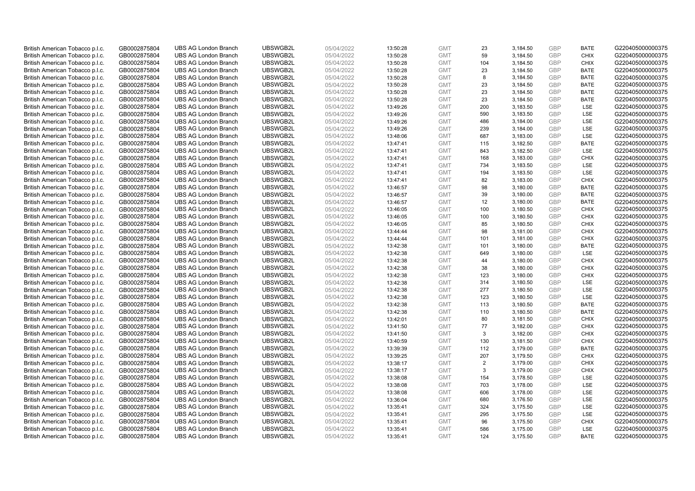| British American Tobacco p.l.c. | GB0002875804 | <b>UBS AG London Branch</b> | UBSWGB2L | 05/04/2022 | 13:50:28 | <b>GMT</b> | 23  | 3,184.50 | <b>GBP</b> | <b>BATE</b> | G220405000000375 |
|---------------------------------|--------------|-----------------------------|----------|------------|----------|------------|-----|----------|------------|-------------|------------------|
| British American Tobacco p.l.c. | GB0002875804 | <b>UBS AG London Branch</b> | UBSWGB2L | 05/04/2022 | 13:50:28 | <b>GMT</b> | 59  | 3,184.50 | <b>GBP</b> | <b>CHIX</b> | G220405000000375 |
| British American Tobacco p.l.c. | GB0002875804 | <b>UBS AG London Branch</b> | UBSWGB2L | 05/04/2022 | 13:50:28 | <b>GMT</b> | 104 | 3,184.50 | <b>GBP</b> | <b>CHIX</b> | G220405000000375 |
| British American Tobacco p.l.c. | GB0002875804 | <b>UBS AG London Branch</b> | UBSWGB2L | 05/04/2022 | 13:50:28 | <b>GMT</b> | 23  | 3,184.50 | <b>GBP</b> | <b>BATE</b> | G220405000000375 |
| British American Tobacco p.l.c. | GB0002875804 | <b>UBS AG London Branch</b> | UBSWGB2L | 05/04/2022 | 13:50:28 | <b>GMT</b> | 8   | 3,184.50 | <b>GBP</b> | <b>BATE</b> | G220405000000375 |
| British American Tobacco p.l.c. | GB0002875804 | <b>UBS AG London Branch</b> | UBSWGB2L | 05/04/2022 | 13:50:28 | <b>GMT</b> | 23  | 3,184.50 | <b>GBP</b> | <b>BATE</b> | G220405000000375 |
| British American Tobacco p.l.c. | GB0002875804 | <b>UBS AG London Branch</b> | UBSWGB2L | 05/04/2022 | 13:50:28 | <b>GMT</b> | 23  | 3,184.50 | <b>GBP</b> | <b>BATE</b> | G220405000000375 |
| British American Tobacco p.l.c. | GB0002875804 | <b>UBS AG London Branch</b> | UBSWGB2L | 05/04/2022 | 13:50:28 | <b>GMT</b> | 23  | 3,184.50 | <b>GBP</b> | <b>BATE</b> | G220405000000375 |
| British American Tobacco p.l.c. | GB0002875804 | <b>UBS AG London Branch</b> | UBSWGB2L | 05/04/2022 | 13:49:26 | <b>GMT</b> | 200 | 3,183.50 | <b>GBP</b> | LSE         | G220405000000375 |
| British American Tobacco p.l.c. | GB0002875804 | <b>UBS AG London Branch</b> | UBSWGB2L | 05/04/2022 | 13:49:26 | <b>GMT</b> | 590 | 3,183.50 | <b>GBP</b> | LSE         | G220405000000375 |
| British American Tobacco p.l.c. | GB0002875804 | <b>UBS AG London Branch</b> | UBSWGB2L | 05/04/2022 | 13:49:26 | <b>GMT</b> | 486 | 3,184.00 | <b>GBP</b> | <b>LSE</b>  | G220405000000375 |
| British American Tobacco p.l.c. | GB0002875804 | <b>UBS AG London Branch</b> | UBSWGB2L | 05/04/2022 | 13:49:26 | <b>GMT</b> | 239 | 3,184.00 | <b>GBP</b> | LSE         | G220405000000375 |
| British American Tobacco p.l.c. | GB0002875804 | <b>UBS AG London Branch</b> | UBSWGB2L | 05/04/2022 | 13:48:06 | <b>GMT</b> | 687 | 3,183.00 | <b>GBP</b> | LSE         | G220405000000375 |
| British American Tobacco p.l.c. | GB0002875804 | <b>UBS AG London Branch</b> | UBSWGB2L | 05/04/2022 | 13:47:41 | <b>GMT</b> | 115 | 3,182.50 | <b>GBP</b> | <b>BATE</b> | G220405000000375 |
| British American Tobacco p.l.c. | GB0002875804 | <b>UBS AG London Branch</b> | UBSWGB2L | 05/04/2022 | 13:47:41 | <b>GMT</b> | 843 | 3,182.50 | <b>GBP</b> | <b>LSE</b>  | G220405000000375 |
| British American Tobacco p.l.c. | GB0002875804 | <b>UBS AG London Branch</b> | UBSWGB2L | 05/04/2022 | 13:47:41 | <b>GMT</b> | 168 | 3,183.00 | <b>GBP</b> | <b>CHIX</b> | G220405000000375 |
| British American Tobacco p.l.c. | GB0002875804 | <b>UBS AG London Branch</b> | UBSWGB2L | 05/04/2022 | 13:47:41 | <b>GMT</b> | 734 | 3,183.50 | <b>GBP</b> | LSE         | G220405000000375 |
| British American Tobacco p.l.c. | GB0002875804 | <b>UBS AG London Branch</b> | UBSWGB2L | 05/04/2022 | 13:47:41 | <b>GMT</b> | 194 | 3,183.50 | <b>GBP</b> | LSE         | G220405000000375 |
| British American Tobacco p.l.c. | GB0002875804 | <b>UBS AG London Branch</b> | UBSWGB2L | 05/04/2022 | 13:47:41 | <b>GMT</b> | 82  | 3,183.00 | <b>GBP</b> | <b>CHIX</b> | G220405000000375 |
| British American Tobacco p.l.c. | GB0002875804 | <b>UBS AG London Branch</b> | UBSWGB2L | 05/04/2022 | 13:46:57 | <b>GMT</b> | 98  | 3,180.00 | <b>GBP</b> | <b>BATE</b> | G220405000000375 |
| British American Tobacco p.l.c. | GB0002875804 | <b>UBS AG London Branch</b> | UBSWGB2L | 05/04/2022 | 13:46:57 | <b>GMT</b> | 39  | 3,180.00 | <b>GBP</b> | <b>BATE</b> | G220405000000375 |
| British American Tobacco p.l.c. | GB0002875804 | <b>UBS AG London Branch</b> | UBSWGB2L | 05/04/2022 | 13:46:57 | <b>GMT</b> | 12  | 3,180.00 | <b>GBP</b> | <b>BATE</b> | G220405000000375 |
| British American Tobacco p.l.c. | GB0002875804 | <b>UBS AG London Branch</b> | UBSWGB2L | 05/04/2022 | 13:46:05 | <b>GMT</b> | 100 | 3,180.50 | <b>GBP</b> | <b>CHIX</b> | G220405000000375 |
| British American Tobacco p.l.c. | GB0002875804 | <b>UBS AG London Branch</b> | UBSWGB2L | 05/04/2022 | 13:46:05 | <b>GMT</b> | 100 | 3,180.50 | <b>GBP</b> | <b>CHIX</b> | G220405000000375 |
| British American Tobacco p.l.c. | GB0002875804 | <b>UBS AG London Branch</b> | UBSWGB2L | 05/04/2022 | 13:46:05 | <b>GMT</b> | 85  | 3,180.50 | <b>GBP</b> | <b>CHIX</b> | G220405000000375 |
| British American Tobacco p.l.c. | GB0002875804 | <b>UBS AG London Branch</b> | UBSWGB2L | 05/04/2022 | 13:44:44 | <b>GMT</b> | 98  | 3,181.00 | <b>GBP</b> | <b>CHIX</b> | G220405000000375 |
| British American Tobacco p.l.c. | GB0002875804 | <b>UBS AG London Branch</b> | UBSWGB2L | 05/04/2022 | 13:44:44 | <b>GMT</b> | 101 | 3,181.00 | <b>GBP</b> | <b>CHIX</b> | G220405000000375 |
| British American Tobacco p.l.c. | GB0002875804 | <b>UBS AG London Branch</b> | UBSWGB2L | 05/04/2022 | 13:42:38 | <b>GMT</b> | 101 | 3,180.00 | <b>GBP</b> | <b>BATE</b> | G220405000000375 |
| British American Tobacco p.l.c. | GB0002875804 | <b>UBS AG London Branch</b> | UBSWGB2L | 05/04/2022 | 13:42:38 | <b>GMT</b> | 649 | 3,180.00 | GBP        | LSE         | G220405000000375 |
| British American Tobacco p.l.c. | GB0002875804 | <b>UBS AG London Branch</b> | UBSWGB2L | 05/04/2022 | 13:42:38 | <b>GMT</b> | 44  | 3,180.00 | <b>GBP</b> | <b>CHIX</b> | G220405000000375 |
| British American Tobacco p.l.c. | GB0002875804 | <b>UBS AG London Branch</b> | UBSWGB2L | 05/04/2022 | 13:42:38 | <b>GMT</b> | 38  | 3,180.00 | GBP        | <b>CHIX</b> | G220405000000375 |
| British American Tobacco p.l.c. | GB0002875804 | <b>UBS AG London Branch</b> | UBSWGB2L | 05/04/2022 | 13:42:38 | <b>GMT</b> | 123 | 3,180.00 | <b>GBP</b> | <b>CHIX</b> | G220405000000375 |
| British American Tobacco p.l.c. | GB0002875804 | <b>UBS AG London Branch</b> | UBSWGB2L | 05/04/2022 | 13:42:38 | <b>GMT</b> | 314 | 3,180.50 | GBP        | <b>LSE</b>  | G220405000000375 |
| British American Tobacco p.l.c. | GB0002875804 | <b>UBS AG London Branch</b> | UBSWGB2L | 05/04/2022 | 13:42:38 | <b>GMT</b> | 277 | 3,180.50 | <b>GBP</b> | LSE         | G220405000000375 |
| British American Tobacco p.l.c. | GB0002875804 | <b>UBS AG London Branch</b> | UBSWGB2L | 05/04/2022 | 13:42:38 | <b>GMT</b> | 123 | 3,180.50 | GBP        | LSE         | G220405000000375 |
| British American Tobacco p.l.c. | GB0002875804 | <b>UBS AG London Branch</b> | UBSWGB2L | 05/04/2022 | 13:42:38 | <b>GMT</b> | 113 | 3,180.50 | <b>GBP</b> | <b>BATE</b> | G220405000000375 |
| British American Tobacco p.l.c. | GB0002875804 | <b>UBS AG London Branch</b> | UBSWGB2L | 05/04/2022 | 13:42:38 | <b>GMT</b> | 110 | 3,180.50 | GBP        | <b>BATE</b> | G220405000000375 |
| British American Tobacco p.l.c. | GB0002875804 | <b>UBS AG London Branch</b> | UBSWGB2L | 05/04/2022 | 13:42:01 | <b>GMT</b> | 80  | 3,181.50 | <b>GBP</b> | <b>CHIX</b> | G220405000000375 |
| British American Tobacco p.l.c. | GB0002875804 | <b>UBS AG London Branch</b> | UBSWGB2L | 05/04/2022 | 13:41:50 | <b>GMT</b> | 77  | 3,182.00 | <b>GBP</b> | <b>CHIX</b> | G220405000000375 |
| British American Tobacco p.l.c. | GB0002875804 | <b>UBS AG London Branch</b> | UBSWGB2L | 05/04/2022 | 13:41:50 | <b>GMT</b> | 3   | 3,182.00 | <b>GBP</b> | <b>CHIX</b> | G220405000000375 |
| British American Tobacco p.l.c. | GB0002875804 | <b>UBS AG London Branch</b> | UBSWGB2L | 05/04/2022 | 13:40:59 | <b>GMT</b> | 130 | 3,181.50 | <b>GBP</b> | <b>CHIX</b> | G220405000000375 |
| British American Tobacco p.l.c. | GB0002875804 | <b>UBS AG London Branch</b> | UBSWGB2L | 05/04/2022 | 13:39:39 | <b>GMT</b> | 112 | 3,179.00 | GBP        | <b>BATE</b> | G220405000000375 |
| British American Tobacco p.l.c. | GB0002875804 | <b>UBS AG London Branch</b> | UBSWGB2L | 05/04/2022 | 13:39:25 | <b>GMT</b> | 207 | 3,179.50 | <b>GBP</b> | <b>CHIX</b> | G220405000000375 |
| British American Tobacco p.l.c. | GB0002875804 | <b>UBS AG London Branch</b> | UBSWGB2L | 05/04/2022 | 13:38:17 | <b>GMT</b> | 2   | 3,179.00 | GBP        | <b>CHIX</b> | G220405000000375 |
| British American Tobacco p.l.c. | GB0002875804 | <b>UBS AG London Branch</b> | UBSWGB2L | 05/04/2022 | 13:38:17 | <b>GMT</b> | 3   | 3,179.00 | <b>GBP</b> | <b>CHIX</b> | G220405000000375 |
| British American Tobacco p.l.c. | GB0002875804 | <b>UBS AG London Branch</b> | UBSWGB2L | 05/04/2022 | 13:38:08 | <b>GMT</b> | 154 | 3,178.50 | <b>GBP</b> | <b>LSE</b>  | G220405000000375 |
| British American Tobacco p.l.c. | GB0002875804 | <b>UBS AG London Branch</b> | UBSWGB2L | 05/04/2022 | 13:38:08 | <b>GMT</b> | 703 | 3,178.00 | <b>GBP</b> | LSE         | G220405000000375 |
| British American Tobacco p.l.c. | GB0002875804 | <b>UBS AG London Branch</b> | UBSWGB2L | 05/04/2022 | 13:38:08 | <b>GMT</b> | 606 | 3,178.00 | <b>GBP</b> | LSE         | G220405000000375 |
| British American Tobacco p.l.c. | GB0002875804 | <b>UBS AG London Branch</b> | UBSWGB2L | 05/04/2022 | 13:36:04 | <b>GMT</b> | 680 | 3,176.50 | <b>GBP</b> | <b>LSE</b>  | G220405000000375 |
| British American Tobacco p.l.c. | GB0002875804 | <b>UBS AG London Branch</b> | UBSWGB2L | 05/04/2022 | 13:35:41 | <b>GMT</b> | 324 | 3,175.50 | <b>GBP</b> | LSE         | G220405000000375 |
| British American Tobacco p.l.c. | GB0002875804 | <b>UBS AG London Branch</b> | UBSWGB2L | 05/04/2022 | 13:35:41 | <b>GMT</b> | 295 | 3,175.50 | <b>GBP</b> | <b>LSE</b>  | G220405000000375 |
| British American Tobacco p.l.c. | GB0002875804 | <b>UBS AG London Branch</b> | UBSWGB2L | 05/04/2022 | 13:35:41 | <b>GMT</b> | 96  | 3,175.50 | <b>GBP</b> | <b>CHIX</b> | G220405000000375 |
| British American Tobacco p.l.c. | GB0002875804 | <b>UBS AG London Branch</b> | UBSWGB2L | 05/04/2022 | 13:35:41 | <b>GMT</b> | 586 | 3,175.00 | <b>GBP</b> | LSE         | G220405000000375 |
| British American Tobacco p.l.c. | GB0002875804 | <b>UBS AG London Branch</b> | UBSWGB2L | 05/04/2022 | 13:35:41 | <b>GMT</b> | 124 | 3,175.50 | GBP        | <b>BATE</b> | G220405000000375 |
|                                 |              |                             |          |            |          |            |     |          |            |             |                  |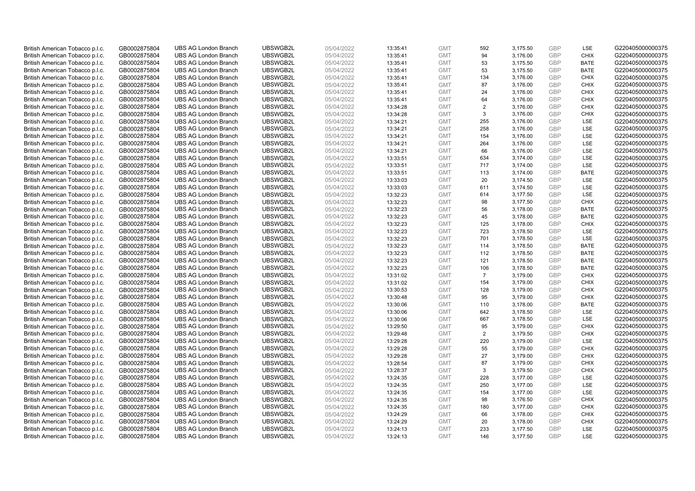| British American Tobacco p.l.c.                                    | GB0002875804                 | <b>UBS AG London Branch</b>                                | UBSWGB2L             | 05/04/2022               | 13:35:41             | <b>GMT</b>               | 592            | 3,175.50             | <b>GBP</b>               | LSE                | G220405000000375                     |
|--------------------------------------------------------------------|------------------------------|------------------------------------------------------------|----------------------|--------------------------|----------------------|--------------------------|----------------|----------------------|--------------------------|--------------------|--------------------------------------|
| British American Tobacco p.l.c.                                    | GB0002875804                 | <b>UBS AG London Branch</b>                                | UBSWGB2L             | 05/04/2022               | 13:35:41             | <b>GMT</b>               | 94             | 3,176.00             | GBP                      | <b>CHIX</b>        | G220405000000375                     |
| British American Tobacco p.l.c.                                    | GB0002875804                 | <b>UBS AG London Branch</b>                                | UBSWGB2L             | 05/04/2022               | 13:35:41             | <b>GMT</b>               | 53             | 3,175.50             | <b>GBP</b>               | <b>BATE</b>        | G220405000000375                     |
| British American Tobacco p.l.c.                                    | GB0002875804                 | <b>UBS AG London Branch</b>                                | UBSWGB2L             | 05/04/2022               | 13:35:41             | <b>GMT</b>               | 53             | 3,175.50             | <b>GBP</b>               | <b>BATE</b>        | G220405000000375                     |
| British American Tobacco p.l.c.                                    | GB0002875804                 | <b>UBS AG London Branch</b>                                | UBSWGB2L             | 05/04/2022               | 13:35:41             | <b>GMT</b>               | 134            | 3,176.00             | <b>GBP</b>               | <b>CHIX</b>        | G220405000000375                     |
| British American Tobacco p.l.c.                                    | GB0002875804                 | <b>UBS AG London Branch</b>                                | UBSWGB2L             | 05/04/2022               | 13:35:41             | <b>GMT</b>               | 87             | 3,176.00             | <b>GBP</b>               | <b>CHIX</b>        | G220405000000375                     |
| British American Tobacco p.l.c.                                    | GB0002875804                 | <b>UBS AG London Branch</b>                                | UBSWGB2L             | 05/04/2022               | 13:35:41             | <b>GMT</b>               | 24             | 3,176.00             | <b>GBP</b>               | <b>CHIX</b>        | G220405000000375                     |
| British American Tobacco p.l.c.                                    | GB0002875804                 | <b>UBS AG London Branch</b>                                | UBSWGB2L             | 05/04/2022               | 13:35:41             | <b>GMT</b>               | 64             | 3,176.00             | <b>GBP</b>               | <b>CHIX</b>        | G220405000000375                     |
| British American Tobacco p.l.c.                                    | GB0002875804                 | <b>UBS AG London Branch</b>                                | UBSWGB2L             | 05/04/2022               | 13:34:28             | <b>GMT</b>               | $\overline{2}$ | 3,176.00             | <b>GBP</b>               | <b>CHIX</b>        | G220405000000375                     |
| British American Tobacco p.l.c.                                    | GB0002875804                 | <b>UBS AG London Branch</b>                                | UBSWGB2L             | 05/04/2022               | 13:34:28             | <b>GMT</b>               | 3              | 3,176.00             | <b>GBP</b>               | <b>CHIX</b>        | G220405000000375                     |
| British American Tobacco p.l.c.                                    | GB0002875804                 | <b>UBS AG London Branch</b>                                | UBSWGB2L             | 05/04/2022               | 13:34:21             | <b>GMT</b>               | 255            | 3,176.00             | <b>GBP</b>               | <b>LSE</b>         | G220405000000375                     |
| British American Tobacco p.l.c.                                    | GB0002875804                 | <b>UBS AG London Branch</b>                                | UBSWGB2L             | 05/04/2022               | 13:34:21             | <b>GMT</b>               | 258            | 3,176.00             | <b>GBP</b>               | LSE                | G220405000000375                     |
| British American Tobacco p.l.c.                                    | GB0002875804                 | <b>UBS AG London Branch</b>                                | UBSWGB2L             | 05/04/2022               | 13:34:21             | <b>GMT</b>               | 154            | 3,176.00             | <b>GBP</b>               | LSE                | G220405000000375                     |
| British American Tobacco p.l.c.                                    | GB0002875804                 | <b>UBS AG London Branch</b>                                | UBSWGB2L             | 05/04/2022               | 13:34:21             | <b>GMT</b>               | 264            | 3,176.00             | <b>GBP</b><br>GBP        | LSE<br><b>LSE</b>  | G220405000000375                     |
| British American Tobacco p.l.c.                                    | GB0002875804                 | <b>UBS AG London Branch</b>                                | UBSWGB2L             | 05/04/2022               | 13:34:21             | <b>GMT</b>               | 66             | 3,176.00             |                          |                    | G220405000000375                     |
| British American Tobacco p.l.c.                                    | GB0002875804                 | <b>UBS AG London Branch</b>                                | UBSWGB2L<br>UBSWGB2L | 05/04/2022               | 13:33:51             | <b>GMT</b>               | 634            | 3,174.00             | <b>GBP</b><br><b>GBP</b> | LSE                | G220405000000375                     |
| British American Tobacco p.l.c.                                    | GB0002875804                 | <b>UBS AG London Branch</b>                                |                      | 05/04/2022               | 13:33:51             | <b>GMT</b>               | 717            | 3,174.00             |                          | LSE                | G220405000000375                     |
| British American Tobacco p.l.c.                                    | GB0002875804                 | <b>UBS AG London Branch</b>                                | UBSWGB2L             | 05/04/2022               | 13:33:51             | <b>GMT</b>               | 113            | 3,174.00             | <b>GBP</b>               | <b>BATE</b>        | G220405000000375                     |
| British American Tobacco p.l.c.                                    | GB0002875804                 | <b>UBS AG London Branch</b>                                | UBSWGB2L             | 05/04/2022               | 13:33:03             | <b>GMT</b>               | 20             | 3,174.50             | <b>GBP</b>               | <b>LSE</b>         | G220405000000375                     |
| British American Tobacco p.l.c.                                    | GB0002875804                 | <b>UBS AG London Branch</b>                                | UBSWGB2L             | 05/04/2022               | 13:33:03             | <b>GMT</b>               | 611            | 3,174.50             | <b>GBP</b>               | LSE                | G220405000000375                     |
| British American Tobacco p.l.c.                                    | GB0002875804                 | <b>UBS AG London Branch</b>                                | UBSWGB2L<br>UBSWGB2L | 05/04/2022<br>05/04/2022 | 13:32:23             | <b>GMT</b>               | 614<br>98      | 3,177.50             | <b>GBP</b><br>GBP        | LSE<br><b>CHIX</b> | G220405000000375<br>G220405000000375 |
| British American Tobacco p.l.c.                                    | GB0002875804                 | <b>UBS AG London Branch</b>                                |                      |                          | 13:32:23             | <b>GMT</b>               |                | 3,177.50             |                          |                    |                                      |
| British American Tobacco p.l.c.                                    | GB0002875804                 | <b>UBS AG London Branch</b>                                | UBSWGB2L             | 05/04/2022               | 13:32:23             | <b>GMT</b><br><b>GMT</b> | 56             | 3,178.00             | <b>GBP</b><br><b>GBP</b> | <b>BATE</b>        | G220405000000375                     |
| British American Tobacco p.l.c.                                    | GB0002875804                 | <b>UBS AG London Branch</b>                                | UBSWGB2L             | 05/04/2022               | 13:32:23             |                          | 45             | 3,178.00             |                          | <b>BATE</b>        | G220405000000375                     |
| British American Tobacco p.l.c.<br>British American Tobacco p.l.c. | GB0002875804<br>GB0002875804 | <b>UBS AG London Branch</b><br><b>UBS AG London Branch</b> | UBSWGB2L<br>UBSWGB2L | 05/04/2022<br>05/04/2022 | 13:32:23<br>13:32:23 | <b>GMT</b><br><b>GMT</b> | 125<br>723     | 3,178.00<br>3,178.50 | <b>GBP</b><br><b>GBP</b> | <b>CHIX</b><br>LSE | G220405000000375<br>G220405000000375 |
| British American Tobacco p.l.c.                                    | GB0002875804                 | <b>UBS AG London Branch</b>                                | UBSWGB2L             | 05/04/2022               | 13:32:23             | <b>GMT</b>               | 701            | 3,178.50             | <b>GBP</b>               | LSE                | G220405000000375                     |
| British American Tobacco p.l.c.                                    | GB0002875804                 | <b>UBS AG London Branch</b>                                | UBSWGB2L             | 05/04/2022               | 13:32:23             | <b>GMT</b>               | 114            | 3,178.50             | GBP                      | <b>BATE</b>        | G220405000000375                     |
| British American Tobacco p.l.c.                                    | GB0002875804                 | <b>UBS AG London Branch</b>                                | UBSWGB2L             | 05/04/2022               | 13:32:23             | <b>GMT</b>               | 112            | 3,178.50             | <b>GBP</b>               | <b>BATE</b>        | G220405000000375                     |
| British American Tobacco p.l.c.                                    | GB0002875804                 | <b>UBS AG London Branch</b>                                | UBSWGB2L             | 05/04/2022               | 13:32:23             | <b>GMT</b>               | 121            | 3,178.50             | <b>GBP</b>               | <b>BATE</b>        | G220405000000375                     |
| British American Tobacco p.l.c.                                    | GB0002875804                 | <b>UBS AG London Branch</b>                                | UBSWGB2L             | 05/04/2022               | 13:32:23             | <b>GMT</b>               | 106            | 3,178.50             | <b>GBP</b>               | <b>BATE</b>        | G220405000000375                     |
| British American Tobacco p.l.c.                                    | GB0002875804                 | <b>UBS AG London Branch</b>                                | UBSWGB2L             | 05/04/2022               | 13:31:02             | <b>GMT</b>               | $\overline{7}$ | 3,179.00             | <b>GBP</b>               | <b>CHIX</b>        | G220405000000375                     |
| British American Tobacco p.l.c.                                    | GB0002875804                 | <b>UBS AG London Branch</b>                                | UBSWGB2L             | 05/04/2022               | 13:31:02             | <b>GMT</b>               | 154            | 3,179.00             | <b>GBP</b>               | <b>CHIX</b>        | G220405000000375                     |
| British American Tobacco p.l.c.                                    | GB0002875804                 | <b>UBS AG London Branch</b>                                | UBSWGB2L             | 05/04/2022               | 13:30:53             | <b>GMT</b>               | 128            | 3,179.00             | <b>GBP</b>               | <b>CHIX</b>        | G220405000000375                     |
| British American Tobacco p.l.c.                                    | GB0002875804                 | <b>UBS AG London Branch</b>                                | UBSWGB2L             | 05/04/2022               | 13:30:48             | <b>GMT</b>               | 95             | 3,179.00             | GBP                      | <b>CHIX</b>        | G220405000000375                     |
| British American Tobacco p.l.c.                                    | GB0002875804                 | <b>UBS AG London Branch</b>                                | UBSWGB2L             | 05/04/2022               | 13:30:06             | <b>GMT</b>               | 110            | 3,178.00             | <b>GBP</b>               | <b>BATE</b>        | G220405000000375                     |
| British American Tobacco p.l.c.                                    | GB0002875804                 | <b>UBS AG London Branch</b>                                | UBSWGB2L             | 05/04/2022               | 13:30:06             | <b>GMT</b>               | 642            | 3,178.50             | GBP                      | <b>LSE</b>         | G220405000000375                     |
| British American Tobacco p.l.c.                                    | GB0002875804                 | <b>UBS AG London Branch</b>                                | UBSWGB2L             | 05/04/2022               | 13:30:06             | <b>GMT</b>               | 667            | 3,178.50             | <b>GBP</b>               | LSE                | G220405000000375                     |
| British American Tobacco p.l.c.                                    | GB0002875804                 | <b>UBS AG London Branch</b>                                | UBSWGB2L             | 05/04/2022               | 13:29:50             | <b>GMT</b>               | 95             | 3,179.00             | <b>GBP</b>               | <b>CHIX</b>        | G220405000000375                     |
| British American Tobacco p.l.c.                                    | GB0002875804                 | <b>UBS AG London Branch</b>                                | UBSWGB2L             | 05/04/2022               | 13:29:48             | <b>GMT</b>               | 2              | 3,179.50             | <b>GBP</b>               | <b>CHIX</b>        | G220405000000375                     |
| British American Tobacco p.l.c.                                    | GB0002875804                 | <b>UBS AG London Branch</b>                                | UBSWGB2L             | 05/04/2022               | 13:29:28             | <b>GMT</b>               | 220            | 3,179.00             | GBP                      | <b>LSE</b>         | G220405000000375                     |
| British American Tobacco p.l.c.                                    | GB0002875804                 | <b>UBS AG London Branch</b>                                | UBSWGB2L             | 05/04/2022               | 13:29:28             | <b>GMT</b>               | 55             | 3,179.00             | <b>GBP</b>               | <b>CHIX</b>        | G220405000000375                     |
| British American Tobacco p.l.c.                                    | GB0002875804                 | <b>UBS AG London Branch</b>                                | UBSWGB2L             | 05/04/2022               | 13:29:28             | <b>GMT</b>               | 27             | 3,179.00             | <b>GBP</b>               | <b>CHIX</b>        | G220405000000375                     |
| British American Tobacco p.l.c.                                    | GB0002875804                 | <b>UBS AG London Branch</b>                                | UBSWGB2L             | 05/04/2022               | 13:28:54             | <b>GMT</b>               | 87             | 3,179.00             | <b>GBP</b>               | <b>CHIX</b>        | G220405000000375                     |
| British American Tobacco p.l.c.                                    | GB0002875804                 | <b>UBS AG London Branch</b>                                | UBSWGB2L             | 05/04/2022               | 13:28:37             | <b>GMT</b>               | 3              | 3,179.50             | <b>GBP</b>               | <b>CHIX</b>        | G220405000000375                     |
| British American Tobacco p.l.c.                                    | GB0002875804                 | <b>UBS AG London Branch</b>                                | UBSWGB2L             | 05/04/2022               | 13:24:35             | <b>GMT</b>               | 228            | 3,177.00             | <b>GBP</b>               | LSE                | G220405000000375                     |
| British American Tobacco p.l.c.                                    | GB0002875804                 | <b>UBS AG London Branch</b>                                | UBSWGB2L             | 05/04/2022               | 13:24:35             | <b>GMT</b>               | 250            | 3,177.00             | <b>GBP</b>               | LSE                | G220405000000375                     |
| British American Tobacco p.l.c.                                    | GB0002875804                 | <b>UBS AG London Branch</b>                                | UBSWGB2L             | 05/04/2022               | 13:24:35             | <b>GMT</b>               | 154            | 3,177.00             | GBP                      | LSE                | G220405000000375                     |
| British American Tobacco p.l.c.                                    | GB0002875804                 | <b>UBS AG London Branch</b>                                | UBSWGB2L             | 05/04/2022               | 13:24:35             | <b>GMT</b>               | 98             | 3,176.50             | <b>GBP</b>               | <b>CHIX</b>        | G220405000000375                     |
| British American Tobacco p.l.c.                                    | GB0002875804                 | <b>UBS AG London Branch</b>                                | UBSWGB2L             | 05/04/2022               | 13:24:35             | <b>GMT</b>               | 180            | 3,177.00             | GBP                      | <b>CHIX</b>        | G220405000000375                     |
| British American Tobacco p.l.c.                                    | GB0002875804                 | <b>UBS AG London Branch</b>                                | UBSWGB2L             | 05/04/2022               | 13:24:29             | <b>GMT</b>               | 66             | 3,178.00             | <b>GBP</b>               | <b>CHIX</b>        | G220405000000375                     |
| British American Tobacco p.l.c.                                    | GB0002875804                 | <b>UBS AG London Branch</b>                                | UBSWGB2L             | 05/04/2022               | 13:24:29             | <b>GMT</b>               | 20             | 3,178.00             | <b>GBP</b>               | <b>CHIX</b>        | G220405000000375                     |
| British American Tobacco p.l.c.                                    | GB0002875804                 | <b>UBS AG London Branch</b>                                | UBSWGB2L             | 05/04/2022               | 13:24:13             | <b>GMT</b>               | 233            | 3,177.50             | <b>GBP</b>               | <b>LSE</b>         | G220405000000375                     |
| British American Tobacco p.l.c.                                    | GB0002875804                 | <b>UBS AG London Branch</b>                                | UBSWGB2L             | 05/04/2022               | 13:24:13             | <b>GMT</b>               | 146            | 3,177.50             | GBP                      | <b>LSE</b>         | G220405000000375                     |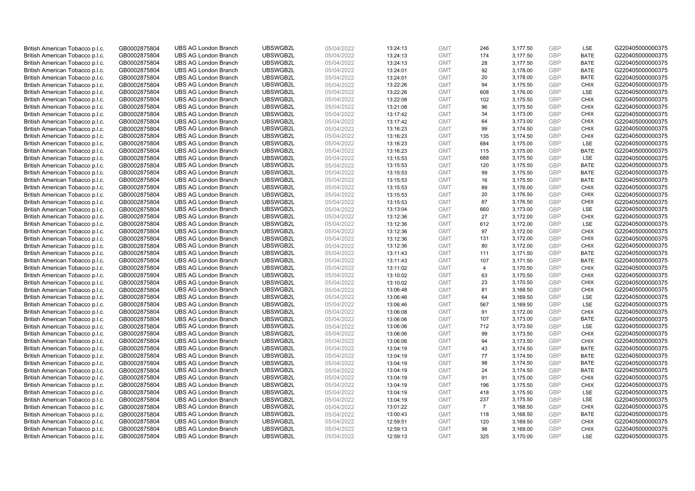| British American Tobacco p.l.c. | GB0002875804 | <b>UBS AG London Branch</b> | UBSWGB2L | 05/04/2022 |          | <b>GMT</b> | 246            | 3,177.50 | <b>GBP</b> | LSE         | G220405000000375 |
|---------------------------------|--------------|-----------------------------|----------|------------|----------|------------|----------------|----------|------------|-------------|------------------|
|                                 |              |                             |          |            | 13:24:13 |            | 174            |          | GBP        | <b>BATE</b> |                  |
| British American Tobacco p.l.c. | GB0002875804 | <b>UBS AG London Branch</b> | UBSWGB2L | 05/04/2022 | 13:24:13 | <b>GMT</b> |                | 3,177.50 |            |             | G220405000000375 |
| British American Tobacco p.l.c. | GB0002875804 | <b>UBS AG London Branch</b> | UBSWGB2L | 05/04/2022 | 13:24:13 | <b>GMT</b> | 28             | 3,177.50 | <b>GBP</b> | <b>BATE</b> | G220405000000375 |
| British American Tobacco p.l.c. | GB0002875804 | <b>UBS AG London Branch</b> | UBSWGB2L | 05/04/2022 | 13:24:01 | <b>GMT</b> | 92             | 3,178.00 | <b>GBP</b> | <b>BATE</b> | G220405000000375 |
| British American Tobacco p.l.c. | GB0002875804 | <b>UBS AG London Branch</b> | UBSWGB2L | 05/04/2022 | 13:24:01 | <b>GMT</b> | 20             | 3,178.00 | <b>GBP</b> | <b>BATE</b> | G220405000000375 |
| British American Tobacco p.l.c. | GB0002875804 | <b>UBS AG London Branch</b> | UBSWGB2L | 05/04/2022 | 13:22:26 | <b>GMT</b> | 94             | 3,175.50 | <b>GBP</b> | <b>CHIX</b> | G220405000000375 |
| British American Tobacco p.l.c. | GB0002875804 | <b>UBS AG London Branch</b> | UBSWGB2L | 05/04/2022 | 13:22:26 | <b>GMT</b> | 608            | 3,176.00 | <b>GBP</b> | LSE         | G220405000000375 |
| British American Tobacco p.l.c. | GB0002875804 | <b>UBS AG London Branch</b> | UBSWGB2L | 05/04/2022 | 13:22:08 | <b>GMT</b> | 102            | 3,175.50 | <b>GBP</b> | <b>CHIX</b> | G220405000000375 |
| British American Tobacco p.l.c. | GB0002875804 | <b>UBS AG London Branch</b> | UBSWGB2L | 05/04/2022 | 13:21:08 | <b>GMT</b> | 96             | 3,175.50 | <b>GBP</b> | <b>CHIX</b> | G220405000000375 |
| British American Tobacco p.l.c. | GB0002875804 | <b>UBS AG London Branch</b> | UBSWGB2L | 05/04/2022 | 13:17:42 | <b>GMT</b> | 34             | 3,173.00 | <b>GBP</b> | <b>CHIX</b> | G220405000000375 |
| British American Tobacco p.l.c. | GB0002875804 | <b>UBS AG London Branch</b> | UBSWGB2L | 05/04/2022 | 13:17:42 | <b>GMT</b> | 64             | 3,173.00 | <b>GBP</b> | <b>CHIX</b> | G220405000000375 |
| British American Tobacco p.l.c. | GB0002875804 | <b>UBS AG London Branch</b> | UBSWGB2L | 05/04/2022 | 13:16:23 | <b>GMT</b> | 99             | 3,174.50 | <b>GBP</b> | <b>CHIX</b> | G220405000000375 |
| British American Tobacco p.l.c. | GB0002875804 | <b>UBS AG London Branch</b> | UBSWGB2L | 05/04/2022 | 13:16:23 | <b>GMT</b> | 135            | 3,174.50 | <b>GBP</b> | <b>CHIX</b> | G220405000000375 |
| British American Tobacco p.l.c. | GB0002875804 | <b>UBS AG London Branch</b> | UBSWGB2L | 05/04/2022 | 13:16:23 | <b>GMT</b> | 684            | 3,175.00 | <b>GBP</b> | <b>LSE</b>  | G220405000000375 |
| British American Tobacco p.l.c. | GB0002875804 | <b>UBS AG London Branch</b> | UBSWGB2L | 05/04/2022 | 13:16:23 | <b>GMT</b> | 115            | 3,175.00 | GBP        | <b>BATE</b> | G220405000000375 |
| British American Tobacco p.l.c. | GB0002875804 | <b>UBS AG London Branch</b> | UBSWGB2L | 05/04/2022 | 13:15:53 | <b>GMT</b> | 688            | 3,175.50 | <b>GBP</b> | LSE         | G220405000000375 |
| British American Tobacco p.l.c. | GB0002875804 | <b>UBS AG London Branch</b> | UBSWGB2L | 05/04/2022 | 13:15:53 | <b>GMT</b> | 120            | 3,175.50 | <b>GBP</b> | <b>BATE</b> | G220405000000375 |
| British American Tobacco p.l.c. | GB0002875804 | <b>UBS AG London Branch</b> | UBSWGB2L | 05/04/2022 | 13:15:53 | <b>GMT</b> | 99             | 3,175.50 | <b>GBP</b> | <b>BATE</b> | G220405000000375 |
| British American Tobacco p.l.c. | GB0002875804 | <b>UBS AG London Branch</b> | UBSWGB2L | 05/04/2022 | 13:15:53 | <b>GMT</b> | 16             | 3,175.50 | <b>GBP</b> | <b>BATE</b> | G220405000000375 |
| British American Tobacco p.l.c. | GB0002875804 | <b>UBS AG London Branch</b> | UBSWGB2L | 05/04/2022 | 13:15:53 | <b>GMT</b> | 89             | 3,176.00 | <b>GBP</b> | <b>CHIX</b> | G220405000000375 |
| British American Tobacco p.l.c. | GB0002875804 | <b>UBS AG London Branch</b> | UBSWGB2L | 05/04/2022 | 13:15:53 | <b>GMT</b> | 20             | 3,176.50 | <b>GBP</b> | <b>CHIX</b> | G220405000000375 |
| British American Tobacco p.l.c. | GB0002875804 | <b>UBS AG London Branch</b> | UBSWGB2L | 05/04/2022 | 13:15:53 | <b>GMT</b> | 87             | 3,176.50 | GBP        | <b>CHIX</b> | G220405000000375 |
| British American Tobacco p.l.c. | GB0002875804 | <b>UBS AG London Branch</b> | UBSWGB2L | 05/04/2022 | 13:13:04 | <b>GMT</b> | 660            | 3,173.00 | <b>GBP</b> | LSE         | G220405000000375 |
| British American Tobacco p.l.c. | GB0002875804 | <b>UBS AG London Branch</b> | UBSWGB2L | 05/04/2022 | 13:12:36 | <b>GMT</b> | 27             | 3,172.00 | GBP        | <b>CHIX</b> | G220405000000375 |
| British American Tobacco p.l.c. | GB0002875804 | <b>UBS AG London Branch</b> | UBSWGB2L | 05/04/2022 | 13:12:36 | <b>GMT</b> | 612            | 3,172.00 | <b>GBP</b> | LSE         | G220405000000375 |
| British American Tobacco p.l.c. | GB0002875804 | <b>UBS AG London Branch</b> | UBSWGB2L | 05/04/2022 | 13:12:36 | <b>GMT</b> | 97             | 3,172.00 | <b>GBP</b> | <b>CHIX</b> | G220405000000375 |
| British American Tobacco p.l.c. | GB0002875804 | <b>UBS AG London Branch</b> | UBSWGB2L | 05/04/2022 | 13:12:36 | <b>GMT</b> | 131            | 3,172.00 | <b>GBP</b> | <b>CHIX</b> | G220405000000375 |
| British American Tobacco p.l.c. | GB0002875804 | <b>UBS AG London Branch</b> | UBSWGB2L | 05/04/2022 | 13:12:36 | <b>GMT</b> | 80             | 3,172.00 | GBP        | <b>CHIX</b> | G220405000000375 |
| British American Tobacco p.l.c. | GB0002875804 | <b>UBS AG London Branch</b> | UBSWGB2L | 05/04/2022 | 13:11:43 | <b>GMT</b> | 111            | 3,171.50 | <b>GBP</b> | <b>BATE</b> | G220405000000375 |
| British American Tobacco p.l.c. | GB0002875804 | <b>UBS AG London Branch</b> | UBSWGB2L | 05/04/2022 | 13:11:43 | <b>GMT</b> | 107            | 3,171.50 | GBP        | <b>BATE</b> | G220405000000375 |
| British American Tobacco p.l.c. | GB0002875804 | <b>UBS AG London Branch</b> | UBSWGB2L | 05/04/2022 | 13:11:02 | <b>GMT</b> | 4              | 3,170.50 | <b>GBP</b> | <b>CHIX</b> | G220405000000375 |
| British American Tobacco p.l.c. | GB0002875804 | <b>UBS AG London Branch</b> | UBSWGB2L | 05/04/2022 | 13:10:02 | <b>GMT</b> | 63             | 3,170.50 | GBP        | <b>CHIX</b> | G220405000000375 |
| British American Tobacco p.l.c. | GB0002875804 | <b>UBS AG London Branch</b> | UBSWGB2L | 05/04/2022 | 13:10:02 | <b>GMT</b> | 23             | 3,170.50 | <b>GBP</b> | <b>CHIX</b> | G220405000000375 |
| British American Tobacco p.l.c. | GB0002875804 | <b>UBS AG London Branch</b> | UBSWGB2L | 05/04/2022 | 13:06:48 | <b>GMT</b> | 81             | 3,168.50 | <b>GBP</b> | <b>CHIX</b> | G220405000000375 |
| British American Tobacco p.l.c. | GB0002875804 | <b>UBS AG London Branch</b> | UBSWGB2L | 05/04/2022 | 13:06:46 | <b>GMT</b> | 64             | 3,169.50 | GBP        | LSE         | G220405000000375 |
| British American Tobacco p.l.c. | GB0002875804 | <b>UBS AG London Branch</b> | UBSWGB2L | 05/04/2022 | 13:06:46 | <b>GMT</b> | 567            | 3,169.50 | <b>GBP</b> | LSE         | G220405000000375 |
| British American Tobacco p.l.c. | GB0002875804 | <b>UBS AG London Branch</b> | UBSWGB2L | 05/04/2022 | 13:06:08 | <b>GMT</b> | 91             | 3,172.00 | GBP        | <b>CHIX</b> | G220405000000375 |
| British American Tobacco p.l.c. | GB0002875804 | <b>UBS AG London Branch</b> | UBSWGB2L | 05/04/2022 | 13:06:06 | <b>GMT</b> | 107            | 3,173.00 | <b>GBP</b> | <b>BATE</b> | G220405000000375 |
| British American Tobacco p.l.c. | GB0002875804 | <b>UBS AG London Branch</b> | UBSWGB2L | 05/04/2022 | 13:06:06 | <b>GMT</b> | 712            | 3,173.50 | GBP        | LSE         | G220405000000375 |
| British American Tobacco p.l.c. | GB0002875804 | <b>UBS AG London Branch</b> | UBSWGB2L | 05/04/2022 | 13:06:06 | <b>GMT</b> | 99             | 3,173.50 | <b>GBP</b> | <b>CHIX</b> | G220405000000375 |
| British American Tobacco p.l.c. | GB0002875804 | <b>UBS AG London Branch</b> | UBSWGB2L | 05/04/2022 | 13:06:06 | <b>GMT</b> | 94             | 3,173.50 | GBP        | <b>CHIX</b> | G220405000000375 |
| British American Tobacco p.l.c. | GB0002875804 | <b>UBS AG London Branch</b> | UBSWGB2L | 05/04/2022 | 13:04:19 | <b>GMT</b> | 43             | 3,174.50 | <b>GBP</b> | <b>BATE</b> | G220405000000375 |
| British American Tobacco p.l.c. | GB0002875804 | <b>UBS AG London Branch</b> | UBSWGB2L | 05/04/2022 | 13:04:19 | <b>GMT</b> | 77             | 3,174.50 | <b>GBP</b> | <b>BATE</b> | G220405000000375 |
| British American Tobacco p.l.c. | GB0002875804 | <b>UBS AG London Branch</b> | UBSWGB2L | 05/04/2022 | 13:04:19 | <b>GMT</b> | 98             | 3,174.50 | <b>GBP</b> | <b>BATE</b> | G220405000000375 |
| British American Tobacco p.l.c. | GB0002875804 | <b>UBS AG London Branch</b> | UBSWGB2L | 05/04/2022 | 13:04:19 | <b>GMT</b> | 24             | 3,174.50 | <b>GBP</b> | <b>BATE</b> | G220405000000375 |
| British American Tobacco p.l.c. | GB0002875804 | <b>UBS AG London Branch</b> | UBSWGB2L | 05/04/2022 | 13:04:19 | <b>GMT</b> | 91             | 3,175.00 | <b>GBP</b> | <b>CHIX</b> | G220405000000375 |
| British American Tobacco p.l.c. | GB0002875804 | <b>UBS AG London Branch</b> | UBSWGB2L | 05/04/2022 | 13:04:19 | <b>GMT</b> | 196            | 3,175.50 | <b>GBP</b> | <b>CHIX</b> | G220405000000375 |
| British American Tobacco p.l.c. | GB0002875804 | <b>UBS AG London Branch</b> | UBSWGB2L | 05/04/2022 | 13:04:19 | <b>GMT</b> | 418            | 3,175.50 | <b>GBP</b> | LSE         | G220405000000375 |
| British American Tobacco p.l.c. | GB0002875804 | <b>UBS AG London Branch</b> | UBSWGB2L | 05/04/2022 | 13:04:19 | <b>GMT</b> | 237            | 3,175.50 | <b>GBP</b> | LSE         | G220405000000375 |
| British American Tobacco p.l.c. | GB0002875804 | <b>UBS AG London Branch</b> | UBSWGB2L | 05/04/2022 | 13:01:22 | <b>GMT</b> | $\overline{7}$ | 3,168.50 | <b>GBP</b> | <b>CHIX</b> | G220405000000375 |
| British American Tobacco p.l.c. | GB0002875804 | <b>UBS AG London Branch</b> | UBSWGB2L | 05/04/2022 | 13:00:43 | <b>GMT</b> | 118            | 3,168.50 | <b>GBP</b> | <b>BATE</b> | G220405000000375 |
| British American Tobacco p.l.c. | GB0002875804 | <b>UBS AG London Branch</b> | UBSWGB2L | 05/04/2022 | 12:59:51 | <b>GMT</b> | 120            | 3,169.50 | <b>GBP</b> | <b>CHIX</b> | G220405000000375 |
| British American Tobacco p.l.c. | GB0002875804 | <b>UBS AG London Branch</b> | UBSWGB2L | 05/04/2022 | 12:59:13 | <b>GMT</b> | 98             | 3,169.00 | <b>GBP</b> | <b>CHIX</b> | G220405000000375 |
| British American Tobacco p.l.c. | GB0002875804 | <b>UBS AG London Branch</b> | UBSWGB2L | 05/04/2022 | 12:59:13 | <b>GMT</b> | 325            | 3,170.00 | GBP        | <b>LSE</b>  | G220405000000375 |
|                                 |              |                             |          |            |          |            |                |          |            |             |                  |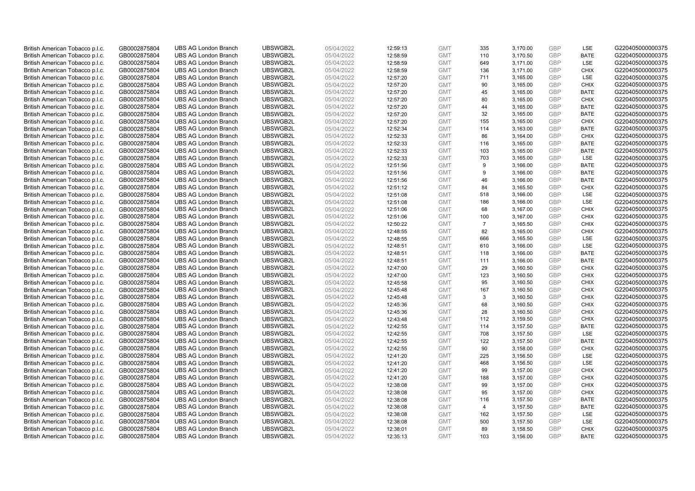| British American Tobacco p.l.c. | GB0002875804 | <b>UBS AG London Branch</b> | UBSWGB2L | 05/04/2022 | 12:59:13 | <b>GMT</b> | 335            | 3,170.00 | <b>GBP</b> | LSE         | G220405000000375 |
|---------------------------------|--------------|-----------------------------|----------|------------|----------|------------|----------------|----------|------------|-------------|------------------|
| British American Tobacco p.l.c. | GB0002875804 | <b>UBS AG London Branch</b> | UBSWGB2L | 05/04/2022 | 12:58:59 | <b>GMT</b> | 110            | 3,170.50 | GBP        | <b>BATE</b> | G220405000000375 |
| British American Tobacco p.l.c. | GB0002875804 | <b>UBS AG London Branch</b> | UBSWGB2L | 05/04/2022 | 12:58:59 | <b>GMT</b> | 649            | 3,171.00 | <b>GBP</b> | LSE         | G220405000000375 |
| British American Tobacco p.l.c. | GB0002875804 | <b>UBS AG London Branch</b> | UBSWGB2L | 05/04/2022 | 12:58:59 | <b>GMT</b> | 136            | 3,171.00 | <b>GBP</b> | <b>CHIX</b> | G220405000000375 |
| British American Tobacco p.l.c. | GB0002875804 | <b>UBS AG London Branch</b> | UBSWGB2L | 05/04/2022 | 12:57:20 | <b>GMT</b> | 711            | 3,165.00 | <b>GBP</b> | LSE         | G220405000000375 |
| British American Tobacco p.l.c. | GB0002875804 | <b>UBS AG London Branch</b> | UBSWGB2L | 05/04/2022 | 12:57:20 | <b>GMT</b> | 90             | 3,165.00 | <b>GBP</b> | <b>CHIX</b> | G220405000000375 |
| British American Tobacco p.l.c. | GB0002875804 | <b>UBS AG London Branch</b> | UBSWGB2L | 05/04/2022 | 12:57:20 | <b>GMT</b> | 45             | 3,165.00 | <b>GBP</b> | <b>BATE</b> | G220405000000375 |
| British American Tobacco p.l.c. | GB0002875804 | <b>UBS AG London Branch</b> | UBSWGB2L | 05/04/2022 | 12:57:20 | <b>GMT</b> | 80             | 3,165.00 | <b>GBP</b> | <b>CHIX</b> | G220405000000375 |
| British American Tobacco p.l.c. | GB0002875804 | <b>UBS AG London Branch</b> | UBSWGB2L | 05/04/2022 | 12:57:20 | <b>GMT</b> | 44             | 3,165.00 | <b>GBP</b> | <b>BATE</b> | G220405000000375 |
| British American Tobacco p.l.c. | GB0002875804 | <b>UBS AG London Branch</b> | UBSWGB2L | 05/04/2022 | 12:57:20 | <b>GMT</b> | 32             | 3,165.00 | <b>GBP</b> | <b>BATE</b> | G220405000000375 |
| British American Tobacco p.l.c. | GB0002875804 | <b>UBS AG London Branch</b> | UBSWGB2L | 05/04/2022 | 12:57:20 | <b>GMT</b> | 155            | 3,165.00 | <b>GBP</b> | <b>CHIX</b> | G220405000000375 |
| British American Tobacco p.l.c. | GB0002875804 | <b>UBS AG London Branch</b> | UBSWGB2L | 05/04/2022 | 12:52:34 | <b>GMT</b> | 114            | 3,163.00 | <b>GBP</b> | <b>BATE</b> | G220405000000375 |
| British American Tobacco p.l.c. | GB0002875804 | <b>UBS AG London Branch</b> | UBSWGB2L | 05/04/2022 | 12:52:33 | <b>GMT</b> | 86             | 3,164.00 | <b>GBP</b> | <b>CHIX</b> | G220405000000375 |
| British American Tobacco p.l.c. | GB0002875804 | <b>UBS AG London Branch</b> | UBSWGB2L | 05/04/2022 | 12:52:33 | <b>GMT</b> | 116            | 3,165.00 | <b>GBP</b> | <b>BATE</b> | G220405000000375 |
| British American Tobacco p.l.c. | GB0002875804 | <b>UBS AG London Branch</b> | UBSWGB2L | 05/04/2022 | 12:52:33 | <b>GMT</b> | 103            | 3,165.00 | GBP        | <b>BATE</b> | G220405000000375 |
| British American Tobacco p.l.c. | GB0002875804 | <b>UBS AG London Branch</b> | UBSWGB2L | 05/04/2022 | 12:52:33 | <b>GMT</b> | 703            | 3,165.00 | <b>GBP</b> | LSE         | G220405000000375 |
| British American Tobacco p.l.c. | GB0002875804 | <b>UBS AG London Branch</b> | UBSWGB2L | 05/04/2022 | 12:51:56 | <b>GMT</b> | 9              | 3,166.00 | <b>GBP</b> | <b>BATE</b> | G220405000000375 |
| British American Tobacco p.l.c. | GB0002875804 | <b>UBS AG London Branch</b> | UBSWGB2L | 05/04/2022 | 12:51:56 | <b>GMT</b> | 9              | 3,166.00 | GBP        | <b>BATE</b> | G220405000000375 |
| British American Tobacco p.l.c. | GB0002875804 | <b>UBS AG London Branch</b> | UBSWGB2L | 05/04/2022 | 12:51:56 | <b>GMT</b> | 46             | 3,166.00 | <b>GBP</b> | <b>BATE</b> | G220405000000375 |
| British American Tobacco p.l.c. | GB0002875804 | <b>UBS AG London Branch</b> | UBSWGB2L | 05/04/2022 | 12:51:12 | <b>GMT</b> | 84             | 3,165.50 | <b>GBP</b> | <b>CHIX</b> | G220405000000375 |
| British American Tobacco p.l.c. | GB0002875804 | <b>UBS AG London Branch</b> | UBSWGB2L | 05/04/2022 | 12:51:08 | <b>GMT</b> | 518            | 3,166.00 | <b>GBP</b> | LSE         | G220405000000375 |
| British American Tobacco p.l.c. | GB0002875804 | <b>UBS AG London Branch</b> | UBSWGB2L | 05/04/2022 | 12:51:08 | <b>GMT</b> | 186            | 3,166.00 | GBP        | LSE         | G220405000000375 |
| British American Tobacco p.l.c. | GB0002875804 | <b>UBS AG London Branch</b> | UBSWGB2L | 05/04/2022 | 12:51:06 | <b>GMT</b> | 68             | 3,167.00 | <b>GBP</b> | <b>CHIX</b> | G220405000000375 |
| British American Tobacco p.l.c. | GB0002875804 | <b>UBS AG London Branch</b> | UBSWGB2L | 05/04/2022 | 12:51:06 | <b>GMT</b> | 100            | 3,167.00 | GBP        | <b>CHIX</b> | G220405000000375 |
| British American Tobacco p.l.c. | GB0002875804 | <b>UBS AG London Branch</b> | UBSWGB2L | 05/04/2022 | 12:50:22 | <b>GMT</b> | $\overline{7}$ | 3,165.50 | <b>GBP</b> | <b>CHIX</b> | G220405000000375 |
| British American Tobacco p.l.c. | GB0002875804 | <b>UBS AG London Branch</b> | UBSWGB2L | 05/04/2022 | 12:48:55 | <b>GMT</b> | 82             | 3,165.00 | GBP        | <b>CHIX</b> | G220405000000375 |
| British American Tobacco p.l.c. | GB0002875804 | <b>UBS AG London Branch</b> | UBSWGB2L | 05/04/2022 | 12:48:55 | <b>GMT</b> | 666            | 3,165.50 | <b>GBP</b> | <b>LSE</b>  | G220405000000375 |
| British American Tobacco p.l.c. | GB0002875804 | <b>UBS AG London Branch</b> | UBSWGB2L | 05/04/2022 | 12:48:51 | <b>GMT</b> | 610            | 3,166.00 | GBP        | LSE         | G220405000000375 |
| British American Tobacco p.l.c. | GB0002875804 | <b>UBS AG London Branch</b> | UBSWGB2L | 05/04/2022 | 12:48:51 | <b>GMT</b> | 118            | 3,166.00 | <b>GBP</b> | <b>BATE</b> | G220405000000375 |
| British American Tobacco p.l.c. | GB0002875804 | <b>UBS AG London Branch</b> | UBSWGB2L | 05/04/2022 | 12:48:51 | <b>GMT</b> | 111            | 3,166.00 | GBP        | <b>BATE</b> | G220405000000375 |
| British American Tobacco p.l.c. | GB0002875804 | <b>UBS AG London Branch</b> | UBSWGB2L | 05/04/2022 | 12:47:00 | <b>GMT</b> | 29             | 3,160.50 | <b>GBP</b> | <b>CHIX</b> | G220405000000375 |
| British American Tobacco p.l.c. | GB0002875804 | <b>UBS AG London Branch</b> | UBSWGB2L | 05/04/2022 | 12:47:00 | <b>GMT</b> | 123            | 3,160.50 | GBP        | <b>CHIX</b> | G220405000000375 |
| British American Tobacco p.l.c. | GB0002875804 | <b>UBS AG London Branch</b> | UBSWGB2L | 05/04/2022 | 12:45:58 | <b>GMT</b> | 95             | 3,160.50 | <b>GBP</b> | <b>CHIX</b> | G220405000000375 |
| British American Tobacco p.l.c. | GB0002875804 | <b>UBS AG London Branch</b> | UBSWGB2L | 05/04/2022 | 12:45:48 | <b>GMT</b> | 167            | 3,160.50 | <b>GBP</b> | <b>CHIX</b> | G220405000000375 |
| British American Tobacco p.l.c. | GB0002875804 | <b>UBS AG London Branch</b> | UBSWGB2L | 05/04/2022 | 12:45:48 | <b>GMT</b> | 3              | 3,160.50 | GBP        | <b>CHIX</b> | G220405000000375 |
| British American Tobacco p.l.c. | GB0002875804 | <b>UBS AG London Branch</b> | UBSWGB2L | 05/04/2022 | 12:45:36 | <b>GMT</b> | 68             | 3,160.50 | <b>GBP</b> | <b>CHIX</b> | G220405000000375 |
| British American Tobacco p.l.c. | GB0002875804 | <b>UBS AG London Branch</b> | UBSWGB2L | 05/04/2022 | 12:45:36 | <b>GMT</b> | 28             | 3,160.50 | GBP        | <b>CHIX</b> | G220405000000375 |
| British American Tobacco p.l.c. | GB0002875804 | <b>UBS AG London Branch</b> | UBSWGB2L | 05/04/2022 | 12:43:48 | <b>GMT</b> | 112            | 3,159.50 | <b>GBP</b> | <b>CHIX</b> | G220405000000375 |
| British American Tobacco p.l.c. | GB0002875804 | <b>UBS AG London Branch</b> | UBSWGB2L | 05/04/2022 | 12:42:55 | <b>GMT</b> | 114            | 3,157.50 | GBP        | <b>BATE</b> | G220405000000375 |
| British American Tobacco p.l.c. | GB0002875804 | <b>UBS AG London Branch</b> | UBSWGB2L | 05/04/2022 | 12:42:55 | <b>GMT</b> | 708            | 3,157.50 | <b>GBP</b> | <b>LSE</b>  | G220405000000375 |
| British American Tobacco p.l.c. | GB0002875804 | <b>UBS AG London Branch</b> | UBSWGB2L | 05/04/2022 | 12:42:55 | <b>GMT</b> | 122            | 3,157.50 | GBP        | <b>BATE</b> | G220405000000375 |
| British American Tobacco p.l.c. | GB0002875804 | <b>UBS AG London Branch</b> | UBSWGB2L | 05/04/2022 | 12:42:55 | <b>GMT</b> | 90             | 3,158.00 | <b>GBP</b> | <b>CHIX</b> | G220405000000375 |
| British American Tobacco p.l.c. | GB0002875804 | <b>UBS AG London Branch</b> | UBSWGB2L | 05/04/2022 | 12:41:20 | <b>GMT</b> | 225            | 3,156.50 | <b>GBP</b> | LSE         | G220405000000375 |
| British American Tobacco p.l.c. | GB0002875804 | <b>UBS AG London Branch</b> | UBSWGB2L | 05/04/2022 | 12:41:20 | <b>GMT</b> | 468            | 3,156.50 | <b>GBP</b> | LSE         | G220405000000375 |
| British American Tobacco p.l.c. | GB0002875804 | <b>UBS AG London Branch</b> | UBSWGB2L | 05/04/2022 | 12:41:20 | <b>GMT</b> | 99             | 3,157.00 | <b>GBP</b> | <b>CHIX</b> | G220405000000375 |
| British American Tobacco p.l.c. | GB0002875804 | <b>UBS AG London Branch</b> | UBSWGB2L | 05/04/2022 | 12:41:20 | <b>GMT</b> | 188            | 3,157.00 | <b>GBP</b> | <b>CHIX</b> | G220405000000375 |
| British American Tobacco p.l.c. | GB0002875804 | <b>UBS AG London Branch</b> | UBSWGB2L | 05/04/2022 | 12:38:08 | <b>GMT</b> | 99             | 3,157.00 | <b>GBP</b> | <b>CHIX</b> | G220405000000375 |
| British American Tobacco p.l.c. | GB0002875804 | <b>UBS AG London Branch</b> | UBSWGB2L | 05/04/2022 | 12:38:08 | <b>GMT</b> | 95             | 3,157.00 | GBP        | <b>CHIX</b> | G220405000000375 |
| British American Tobacco p.l.c. | GB0002875804 | <b>UBS AG London Branch</b> | UBSWGB2L | 05/04/2022 | 12:38:08 | <b>GMT</b> | 116            | 3,157.50 | <b>GBP</b> | <b>BATE</b> | G220405000000375 |
| British American Tobacco p.l.c. | GB0002875804 | <b>UBS AG London Branch</b> | UBSWGB2L | 05/04/2022 | 12:38:08 | <b>GMT</b> | $\overline{4}$ | 3,157.50 | GBP        | <b>BATE</b> | G220405000000375 |
| British American Tobacco p.l.c. | GB0002875804 | <b>UBS AG London Branch</b> | UBSWGB2L | 05/04/2022 | 12:38:08 | <b>GMT</b> | 162            | 3,157.50 | <b>GBP</b> | LSE         | G220405000000375 |
| British American Tobacco p.l.c. | GB0002875804 | <b>UBS AG London Branch</b> | UBSWGB2L | 05/04/2022 | 12:38:08 | <b>GMT</b> | 500            | 3,157.50 | <b>GBP</b> | LSE         | G220405000000375 |
| British American Tobacco p.l.c. | GB0002875804 | <b>UBS AG London Branch</b> | UBSWGB2L | 05/04/2022 | 12:38:01 | <b>GMT</b> | 89             | 3,158.50 | <b>GBP</b> | <b>CHIX</b> | G220405000000375 |
| British American Tobacco p.l.c. | GB0002875804 | <b>UBS AG London Branch</b> | UBSWGB2L | 05/04/2022 | 12:35:13 | <b>GMT</b> | 103            | 3,156.00 | GBP        | <b>BATE</b> | G220405000000375 |
|                                 |              |                             |          |            |          |            |                |          |            |             |                  |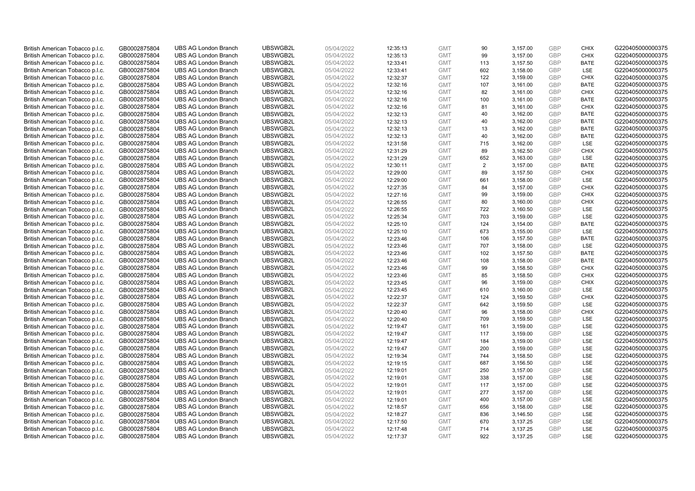| British American Tobacco p.l.c.                                    | GB0002875804                 | <b>UBS AG London Branch</b>                                | UBSWGB2L             | 05/04/2022               | 12:35:13             | <b>GMT</b>               | 90             | 3,157.00             | <b>GBP</b>        | <b>CHIX</b>                | G220405000000375                     |
|--------------------------------------------------------------------|------------------------------|------------------------------------------------------------|----------------------|--------------------------|----------------------|--------------------------|----------------|----------------------|-------------------|----------------------------|--------------------------------------|
| British American Tobacco p.l.c.                                    | GB0002875804                 | <b>UBS AG London Branch</b>                                | UBSWGB2L             | 05/04/2022               | 12:35:13             | <b>GMT</b>               | 99             | 3,157.00             | GBP               | CHIX                       | G220405000000375                     |
| British American Tobacco p.l.c.                                    | GB0002875804                 | <b>UBS AG London Branch</b>                                | UBSWGB2L             | 05/04/2022               | 12:33:41             | <b>GMT</b>               | 113            | 3,157.50             | GBP               | <b>BATE</b>                | G220405000000375                     |
| British American Tobacco p.l.c.                                    | GB0002875804                 | <b>UBS AG London Branch</b>                                | UBSWGB2L             | 05/04/2022               | 12:33:41             | <b>GMT</b>               | 602            | 3,158.00             | <b>GBP</b>        | LSE                        | G220405000000375                     |
| British American Tobacco p.l.c.                                    | GB0002875804                 | <b>UBS AG London Branch</b>                                | UBSWGB2L             | 05/04/2022               | 12:32:37             | <b>GMT</b>               | 122            | 3,159.00             | GBP               | <b>CHIX</b>                | G220405000000375                     |
| British American Tobacco p.l.c.                                    | GB0002875804                 | <b>UBS AG London Branch</b>                                | UBSWGB2L             | 05/04/2022               | 12:32:16             | <b>GMT</b>               | 107            | 3,161.00             | <b>GBP</b>        | <b>BATE</b>                | G220405000000375                     |
| British American Tobacco p.l.c.                                    | GB0002875804                 | <b>UBS AG London Branch</b>                                | UBSWGB2L             | 05/04/2022               | 12:32:16             | <b>GMT</b>               | 82             | 3,161.00             | GBP               | <b>CHIX</b>                | G220405000000375                     |
| British American Tobacco p.l.c.                                    | GB0002875804                 | <b>UBS AG London Branch</b>                                | UBSWGB2L             | 05/04/2022               | 12:32:16             | <b>GMT</b>               | 100            | 3,161.00             | <b>GBP</b>        | <b>BATE</b>                | G220405000000375                     |
| British American Tobacco p.l.c.                                    | GB0002875804                 | <b>UBS AG London Branch</b>                                | UBSWGB2L             | 05/04/2022               | 12:32:16             | <b>GMT</b>               | 81             | 3,161.00             | GBP               | <b>CHIX</b>                | G220405000000375                     |
| British American Tobacco p.l.c.                                    | GB0002875804                 | <b>UBS AG London Branch</b>                                | UBSWGB2L             | 05/04/2022               | 12:32:13             | <b>GMT</b>               | 40             | 3,162.00             | <b>GBP</b>        | <b>BATE</b>                | G220405000000375                     |
| British American Tobacco p.l.c.                                    | GB0002875804                 | <b>UBS AG London Branch</b>                                | UBSWGB2L             | 05/04/2022               | 12:32:13             | <b>GMT</b>               | 40             | 3,162.00             | GBP               | <b>BATE</b>                | G220405000000375                     |
| British American Tobacco p.l.c.                                    | GB0002875804                 | <b>UBS AG London Branch</b>                                | UBSWGB2L             | 05/04/2022               | 12:32:13             | <b>GMT</b>               | 13             | 3,162.00             | <b>GBP</b>        | <b>BATE</b>                | G220405000000375                     |
| British American Tobacco p.l.c.                                    | GB0002875804                 | <b>UBS AG London Branch</b>                                | UBSWGB2L             | 05/04/2022               | 12:32:13             | <b>GMT</b>               | 40             | 3,162.00             | <b>GBP</b>        | <b>BATE</b>                | G220405000000375                     |
| British American Tobacco p.l.c.                                    | GB0002875804                 | <b>UBS AG London Branch</b>                                | UBSWGB2L             | 05/04/2022               | 12:31:58             | <b>GMT</b>               | 715            | 3,162.00             | <b>GBP</b><br>GBP | LSE<br>CHIX                | G220405000000375                     |
| British American Tobacco p.l.c.                                    | GB0002875804                 | <b>UBS AG London Branch</b>                                | UBSWGB2L             | 05/04/2022               | 12:31:29             | <b>GMT</b>               | 89             | 3,162.50             |                   |                            | G220405000000375                     |
| British American Tobacco p.l.c.                                    | GB0002875804                 | <b>UBS AG London Branch</b>                                | UBSWGB2L             | 05/04/2022               | 12:31:29             | <b>GMT</b>               | 652            | 3,163.00             | GBP<br>GBP        | <b>LSE</b>                 | G220405000000375                     |
| British American Tobacco p.l.c.                                    | GB0002875804                 | <b>UBS AG London Branch</b>                                | UBSWGB2L             | 05/04/2022               | 12:30:11             | <b>GMT</b>               | $\overline{2}$ | 3,157.00             |                   | <b>BATE</b>                | G220405000000375                     |
| British American Tobacco p.l.c.                                    | GB0002875804                 | <b>UBS AG London Branch</b>                                | UBSWGB2L             | 05/04/2022               | 12:29:00             | <b>GMT</b>               | 89             | 3,157.50             | <b>GBP</b>        | <b>CHIX</b>                | G220405000000375                     |
| British American Tobacco p.l.c.                                    | GB0002875804                 | <b>UBS AG London Branch</b>                                | UBSWGB2L             | 05/04/2022               | 12:29:00             | <b>GMT</b>               | 661            | 3,158.00             | <b>GBP</b>        | <b>LSE</b>                 | G220405000000375                     |
| British American Tobacco p.l.c.                                    | GB0002875804                 | <b>UBS AG London Branch</b>                                | UBSWGB2L             | 05/04/2022               | 12:27:35             | <b>GMT</b>               | 84             | 3,157.00             | <b>GBP</b>        | <b>CHIX</b>                | G220405000000375                     |
| British American Tobacco p.l.c.                                    | GB0002875804                 | <b>UBS AG London Branch</b>                                | UBSWGB2L<br>UBSWGB2L | 05/04/2022<br>05/04/2022 | 12:27:16<br>12:26:55 | <b>GMT</b>               | 99<br>80       | 3,159.00             | <b>GBP</b><br>GBP | <b>CHIX</b><br><b>CHIX</b> | G220405000000375<br>G220405000000375 |
| British American Tobacco p.l.c.                                    | GB0002875804                 | <b>UBS AG London Branch</b>                                |                      |                          |                      | <b>GMT</b>               |                | 3,160.00             | <b>GBP</b>        |                            |                                      |
| British American Tobacco p.l.c.<br>British American Tobacco p.l.c. | GB0002875804<br>GB0002875804 | <b>UBS AG London Branch</b><br><b>UBS AG London Branch</b> | UBSWGB2L<br>UBSWGB2L | 05/04/2022<br>05/04/2022 | 12:26:55             | <b>GMT</b><br><b>GMT</b> | 722<br>703     | 3,160.50             | GBP               | LSE<br><b>LSE</b>          | G220405000000375<br>G220405000000375 |
|                                                                    |                              | <b>UBS AG London Branch</b>                                | UBSWGB2L             | 05/04/2022               | 12:25:34             |                          | 124            | 3,159.00             | <b>GBP</b>        | <b>BATE</b>                | G220405000000375                     |
| British American Tobacco p.l.c.<br>British American Tobacco p.l.c. | GB0002875804<br>GB0002875804 | <b>UBS AG London Branch</b>                                | UBSWGB2L             | 05/04/2022               | 12:25:10<br>12:25:10 | <b>GMT</b><br><b>GMT</b> | 673            | 3,154.00<br>3,155.00 | <b>GBP</b>        | LSE                        | G220405000000375                     |
| British American Tobacco p.l.c.                                    | GB0002875804                 | <b>UBS AG London Branch</b>                                | UBSWGB2L             | 05/04/2022               | 12:23:46             | <b>GMT</b>               | 106            | 3,157.50             | <b>GBP</b>        | <b>BATE</b>                | G220405000000375                     |
| British American Tobacco p.l.c.                                    | GB0002875804                 | <b>UBS AG London Branch</b>                                | UBSWGB2L             | 05/04/2022               | 12:23:46             | <b>GMT</b>               | 707            | 3,158.00             | GBP               | LSE                        | G220405000000375                     |
| British American Tobacco p.l.c.                                    | GB0002875804                 | <b>UBS AG London Branch</b>                                | UBSWGB2L             | 05/04/2022               | 12:23:46             | <b>GMT</b>               | 102            | 3,157.50             | <b>GBP</b>        | <b>BATE</b>                | G220405000000375                     |
| British American Tobacco p.l.c.                                    | GB0002875804                 | <b>UBS AG London Branch</b>                                | UBSWGB2L             | 05/04/2022               | 12:23:46             | <b>GMT</b>               | 108            | 3,158.00             | GBP               | <b>BATE</b>                | G220405000000375                     |
| British American Tobacco p.l.c.                                    | GB0002875804                 | <b>UBS AG London Branch</b>                                | UBSWGB2L             | 05/04/2022               | 12:23:46             | <b>GMT</b>               | 99             | 3,158.50             | <b>GBP</b>        | <b>CHIX</b>                | G220405000000375                     |
| British American Tobacco p.l.c.                                    | GB0002875804                 | <b>UBS AG London Branch</b>                                | UBSWGB2L             | 05/04/2022               | 12:23:46             | <b>GMT</b>               | 85             | 3,158.50             | GBP               | <b>CHIX</b>                | G220405000000375                     |
| British American Tobacco p.l.c.                                    | GB0002875804                 | <b>UBS AG London Branch</b>                                | UBSWGB2L             | 05/04/2022               | 12:23:45             | <b>GMT</b>               | 96             | 3,159.00             | <b>GBP</b>        | <b>CHIX</b>                | G220405000000375                     |
| British American Tobacco p.l.c.                                    | GB0002875804                 | <b>UBS AG London Branch</b>                                | UBSWGB2L             | 05/04/2022               | 12:23:45             | <b>GMT</b>               | 610            | 3,160.00             | <b>GBP</b>        | LSE                        | G220405000000375                     |
| British American Tobacco p.l.c.                                    | GB0002875804                 | <b>UBS AG London Branch</b>                                | UBSWGB2L             | 05/04/2022               | 12:22:37             | <b>GMT</b>               | 124            | 3,159.50             | GBP               | <b>CHIX</b>                | G220405000000375                     |
| British American Tobacco p.l.c.                                    | GB0002875804                 | <b>UBS AG London Branch</b>                                | UBSWGB2L             | 05/04/2022               | 12:22:37             | <b>GMT</b>               | 642            | 3,159.50             | <b>GBP</b>        | LSE                        | G220405000000375                     |
| British American Tobacco p.l.c.                                    | GB0002875804                 | <b>UBS AG London Branch</b>                                | UBSWGB2L             | 05/04/2022               | 12:20:40             | <b>GMT</b>               | 96             | 3,158.00             | GBP               | <b>CHIX</b>                | G220405000000375                     |
| British American Tobacco p.l.c.                                    | GB0002875804                 | <b>UBS AG London Branch</b>                                | UBSWGB2L             | 05/04/2022               | 12:20:40             | <b>GMT</b>               | 709            | 3,159.50             | <b>GBP</b>        | LSE                        | G220405000000375                     |
| British American Tobacco p.l.c.                                    | GB0002875804                 | <b>UBS AG London Branch</b>                                | UBSWGB2L             | 05/04/2022               | 12:19:47             | <b>GMT</b>               | 161            | 3,159.00             | <b>GBP</b>        | LSE                        | G220405000000375                     |
| British American Tobacco p.l.c.                                    | GB0002875804                 | <b>UBS AG London Branch</b>                                | UBSWGB2L             | 05/04/2022               | 12:19:47             | <b>GMT</b>               | 117            | 3,159.00             | <b>GBP</b>        | LSE                        | G220405000000375                     |
| British American Tobacco p.l.c.                                    | GB0002875804                 | <b>UBS AG London Branch</b>                                | UBSWGB2L             | 05/04/2022               | 12:19:47             | <b>GMT</b>               | 184            | 3,159.00             | GBP               | LSE                        | G220405000000375                     |
| British American Tobacco p.l.c.                                    | GB0002875804                 | <b>UBS AG London Branch</b>                                | UBSWGB2L             | 05/04/2022               | 12:19:47             | <b>GMT</b>               | 200            | 3,159.00             | <b>GBP</b>        | LSE                        | G220405000000375                     |
| British American Tobacco p.l.c.                                    | GB0002875804                 | <b>UBS AG London Branch</b>                                | UBSWGB2L             | 05/04/2022               | 12:19:34             | <b>GMT</b>               | 744            | 3,158.50             | <b>GBP</b>        | LSE                        | G220405000000375                     |
| British American Tobacco p.l.c.                                    | GB0002875804                 | <b>UBS AG London Branch</b>                                | UBSWGB2L             | 05/04/2022               | 12:19:15             | <b>GMT</b>               | 687            | 3,156.50             | <b>GBP</b>        | <b>LSE</b>                 | G220405000000375                     |
| British American Tobacco p.l.c.                                    | GB0002875804                 | <b>UBS AG London Branch</b>                                | UBSWGB2L             | 05/04/2022               | 12:19:01             | <b>GMT</b>               | 250            | 3,157.00             | <b>GBP</b>        | LSE                        | G220405000000375                     |
| British American Tobacco p.l.c.                                    | GB0002875804                 | <b>UBS AG London Branch</b>                                | UBSWGB2L             | 05/04/2022               | 12:19:01             | <b>GMT</b>               | 338            | 3,157.00             | <b>GBP</b>        | LSE                        | G220405000000375                     |
| British American Tobacco p.l.c.                                    | GB0002875804                 | <b>UBS AG London Branch</b>                                | UBSWGB2L             | 05/04/2022               | 12:19:01             | <b>GMT</b>               | 117            | 3,157.00             | <b>GBP</b>        | LSE                        | G220405000000375                     |
| British American Tobacco p.l.c.                                    | GB0002875804                 | <b>UBS AG London Branch</b>                                | UBSWGB2L             | 05/04/2022               | 12:19:01             | <b>GMT</b>               | 277            | 3,157.00             | GBP               | LSE                        | G220405000000375                     |
| British American Tobacco p.l.c.                                    | GB0002875804                 | <b>UBS AG London Branch</b>                                | UBSWGB2L             | 05/04/2022               | 12:19:01             | <b>GMT</b>               | 400            | 3,157.00             | <b>GBP</b>        | LSE                        | G220405000000375                     |
| British American Tobacco p.l.c.                                    | GB0002875804                 | <b>UBS AG London Branch</b>                                | UBSWGB2L             | 05/04/2022               | 12:18:57             | <b>GMT</b>               | 656            | 3,158.00             | GBP               | <b>LSE</b>                 | G220405000000375                     |
| British American Tobacco p.l.c.                                    | GB0002875804                 | <b>UBS AG London Branch</b>                                | UBSWGB2L             | 05/04/2022               | 12:18:27             | <b>GMT</b>               | 836            | 3,146.50             | <b>GBP</b>        | LSE                        | G220405000000375                     |
| British American Tobacco p.l.c.                                    | GB0002875804                 | <b>UBS AG London Branch</b>                                | UBSWGB2L             | 05/04/2022               | 12:17:50             | <b>GMT</b>               | 670            | 3,137.25             | <b>GBP</b>        | LSE                        | G220405000000375                     |
| British American Tobacco p.l.c.                                    | GB0002875804                 | <b>UBS AG London Branch</b>                                | UBSWGB2L             | 05/04/2022               | 12:17:48             | <b>GMT</b>               | 714            | 3,137.25             | <b>GBP</b>        | LSE                        | G220405000000375                     |
| British American Tobacco p.l.c.                                    | GB0002875804                 | <b>UBS AG London Branch</b>                                | UBSWGB2L             | 05/04/2022               | 12:17:37             | <b>GMT</b>               | 922            | 3,137.25             | GBP               | <b>LSE</b>                 | G220405000000375                     |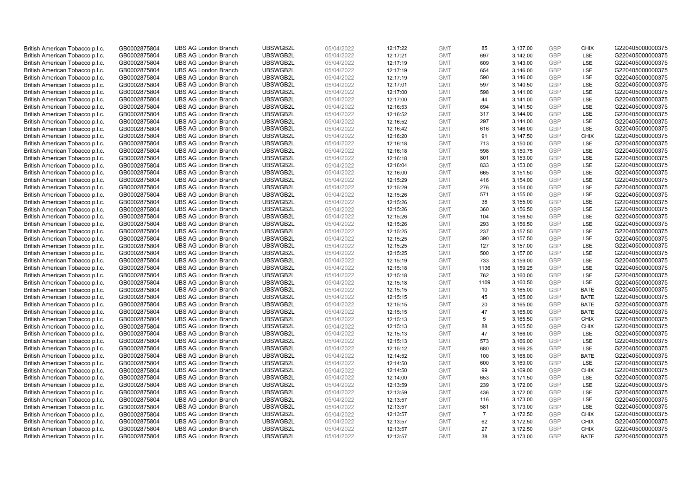| British American Tobacco p.l.c. | GB0002875804 | <b>UBS AG London Branch</b> | UBSWGB2L | 05/04/2022 | 12:17:22 | <b>GMT</b> | 85             | 3,137.00 | <b>GBP</b>               | <b>CHIX</b> | G220405000000375 |
|---------------------------------|--------------|-----------------------------|----------|------------|----------|------------|----------------|----------|--------------------------|-------------|------------------|
| British American Tobacco p.l.c. | GB0002875804 | <b>UBS AG London Branch</b> | UBSWGB2L | 05/04/2022 | 12:17:21 | <b>GMT</b> | 697            | 3,142.00 | GBP                      | <b>LSE</b>  | G220405000000375 |
| British American Tobacco p.l.c. | GB0002875804 | <b>UBS AG London Branch</b> | UBSWGB2L | 05/04/2022 | 12:17:19 | <b>GMT</b> | 609            | 3,143.00 | <b>GBP</b>               | LSE         | G220405000000375 |
| British American Tobacco p.l.c. | GB0002875804 | <b>UBS AG London Branch</b> | UBSWGB2L | 05/04/2022 | 12:17:19 | <b>GMT</b> | 654            | 3,146.00 | <b>GBP</b>               | LSE         | G220405000000375 |
| British American Tobacco p.l.c. | GB0002875804 | <b>UBS AG London Branch</b> | UBSWGB2L | 05/04/2022 | 12:17:19 | <b>GMT</b> | 590            | 3,146.00 | <b>GBP</b>               | LSE         | G220405000000375 |
| British American Tobacco p.l.c. | GB0002875804 | <b>UBS AG London Branch</b> | UBSWGB2L | 05/04/2022 | 12:17:01 | <b>GMT</b> | 597            | 3,140.50 | <b>GBP</b>               | <b>LSE</b>  | G220405000000375 |
| British American Tobacco p.l.c. | GB0002875804 | <b>UBS AG London Branch</b> | UBSWGB2L | 05/04/2022 | 12:17:00 | <b>GMT</b> | 598            | 3,141.00 | <b>GBP</b>               | LSE         | G220405000000375 |
| British American Tobacco p.l.c. | GB0002875804 | <b>UBS AG London Branch</b> | UBSWGB2L | 05/04/2022 | 12:17:00 | <b>GMT</b> | 44             | 3,141.00 | <b>GBP</b>               | LSE         | G220405000000375 |
| British American Tobacco p.l.c. | GB0002875804 | <b>UBS AG London Branch</b> | UBSWGB2L | 05/04/2022 | 12:16:53 | <b>GMT</b> | 694            | 3,141.50 | <b>GBP</b>               | LSE         | G220405000000375 |
| British American Tobacco p.l.c. | GB0002875804 | <b>UBS AG London Branch</b> | UBSWGB2L | 05/04/2022 | 12:16:52 | <b>GMT</b> | 317            | 3,144.00 | <b>GBP</b>               | LSE         | G220405000000375 |
| British American Tobacco p.l.c. | GB0002875804 | <b>UBS AG London Branch</b> | UBSWGB2L | 05/04/2022 | 12:16:52 | <b>GMT</b> | 297            | 3,144.00 | <b>GBP</b>               | <b>LSE</b>  | G220405000000375 |
| British American Tobacco p.l.c. | GB0002875804 | <b>UBS AG London Branch</b> | UBSWGB2L | 05/04/2022 | 12:16:42 | <b>GMT</b> | 616            | 3,146.00 | <b>GBP</b>               | LSE         | G220405000000375 |
| British American Tobacco p.l.c. | GB0002875804 | <b>UBS AG London Branch</b> | UBSWGB2L | 05/04/2022 | 12:16:20 | <b>GMT</b> | 91             | 3,147.50 | <b>GBP</b>               | <b>CHIX</b> | G220405000000375 |
| British American Tobacco p.l.c. | GB0002875804 | <b>UBS AG London Branch</b> | UBSWGB2L | 05/04/2022 | 12:16:18 | <b>GMT</b> | 713            | 3,150.00 | <b>GBP</b>               | <b>LSE</b>  | G220405000000375 |
| British American Tobacco p.l.c. | GB0002875804 | <b>UBS AG London Branch</b> | UBSWGB2L | 05/04/2022 | 12:16:18 | <b>GMT</b> | 598            | 3,150.75 | GBP                      | LSE         | G220405000000375 |
| British American Tobacco p.l.c. | GB0002875804 | <b>UBS AG London Branch</b> | UBSWGB2L | 05/04/2022 | 12:16:18 | <b>GMT</b> | 801            | 3,153.00 | <b>GBP</b>               | LSE         | G220405000000375 |
| British American Tobacco p.l.c. | GB0002875804 | <b>UBS AG London Branch</b> | UBSWGB2L | 05/04/2022 | 12:16:04 | <b>GMT</b> | 833            | 3,153.00 | GBP                      | LSE         | G220405000000375 |
| British American Tobacco p.l.c. | GB0002875804 | <b>UBS AG London Branch</b> | UBSWGB2L | 05/04/2022 | 12:16:00 | <b>GMT</b> | 665            | 3,151.50 | <b>GBP</b>               | LSE         | G220405000000375 |
| British American Tobacco p.l.c. | GB0002875804 | <b>UBS AG London Branch</b> | UBSWGB2L | 05/04/2022 | 12:15:29 | <b>GMT</b> | 416            | 3,154.00 | <b>GBP</b>               | <b>LSE</b>  | G220405000000375 |
| British American Tobacco p.l.c. | GB0002875804 | <b>UBS AG London Branch</b> | UBSWGB2L | 05/04/2022 | 12:15:29 | <b>GMT</b> | 276            | 3,154.00 | <b>GBP</b>               | LSE         | G220405000000375 |
| British American Tobacco p.l.c. | GB0002875804 | <b>UBS AG London Branch</b> | UBSWGB2L | 05/04/2022 | 12:15:26 | <b>GMT</b> | 571            | 3,155.00 | <b>GBP</b>               | LSE         | G220405000000375 |
| British American Tobacco p.l.c. | GB0002875804 | <b>UBS AG London Branch</b> | UBSWGB2L | 05/04/2022 | 12:15:26 | <b>GMT</b> | 38             | 3,155.00 | GBP                      | LSE         | G220405000000375 |
| British American Tobacco p.l.c. | GB0002875804 | <b>UBS AG London Branch</b> | UBSWGB2L | 05/04/2022 | 12:15:26 | <b>GMT</b> | 360            | 3,156.50 | <b>GBP</b>               | LSE         | G220405000000375 |
| British American Tobacco p.l.c. | GB0002875804 | <b>UBS AG London Branch</b> | UBSWGB2L | 05/04/2022 | 12:15:26 | <b>GMT</b> | 104            | 3,156.50 | GBP                      | <b>LSE</b>  | G220405000000375 |
| British American Tobacco p.l.c. | GB0002875804 | <b>UBS AG London Branch</b> | UBSWGB2L | 05/04/2022 | 12:15:26 | <b>GMT</b> | 293            | 3,156.50 | <b>GBP</b>               | LSE         | G220405000000375 |
| British American Tobacco p.l.c. | GB0002875804 | <b>UBS AG London Branch</b> | UBSWGB2L | 05/04/2022 | 12:15:25 | <b>GMT</b> | 237            | 3,157.50 | GBP                      | LSE         | G220405000000375 |
| British American Tobacco p.l.c. | GB0002875804 | <b>UBS AG London Branch</b> | UBSWGB2L | 05/04/2022 | 12:15:25 | <b>GMT</b> | 390            | 3,157.50 | <b>GBP</b>               | LSE         | G220405000000375 |
| British American Tobacco p.l.c. | GB0002875804 | <b>UBS AG London Branch</b> | UBSWGB2L | 05/04/2022 | 12:15:25 | <b>GMT</b> | 127            | 3,157.00 | GBP                      | LSE         | G220405000000375 |
| British American Tobacco p.l.c. | GB0002875804 | <b>UBS AG London Branch</b> | UBSWGB2L | 05/04/2022 | 12:15:25 | <b>GMT</b> | 500            | 3,157.00 | <b>GBP</b>               | LSE         | G220405000000375 |
| British American Tobacco p.l.c. | GB0002875804 | <b>UBS AG London Branch</b> | UBSWGB2L | 05/04/2022 | 12:15:19 | <b>GMT</b> | 733            | 3,159.00 | <b>GBP</b>               | LSE         | G220405000000375 |
| British American Tobacco p.l.c. | GB0002875804 | <b>UBS AG London Branch</b> | UBSWGB2L | 05/04/2022 | 12:15:18 | <b>GMT</b> | 1136           | 3,159.25 | <b>GBP</b>               | <b>LSE</b>  | G220405000000375 |
| British American Tobacco p.l.c. | GB0002875804 | <b>UBS AG London Branch</b> | UBSWGB2L | 05/04/2022 | 12:15:18 | <b>GMT</b> | 762            | 3,160.00 | GBP                      | <b>LSE</b>  | G220405000000375 |
| British American Tobacco p.l.c. | GB0002875804 | <b>UBS AG London Branch</b> | UBSWGB2L | 05/04/2022 | 12:15:18 | <b>GMT</b> | 1109           | 3,160.50 | <b>GBP</b>               | LSE         | G220405000000375 |
| British American Tobacco p.l.c. | GB0002875804 | <b>UBS AG London Branch</b> | UBSWGB2L | 05/04/2022 | 12:15:15 | <b>GMT</b> | 10             | 3,165.00 | <b>GBP</b>               | <b>BATE</b> | G220405000000375 |
| British American Tobacco p.l.c. | GB0002875804 | <b>UBS AG London Branch</b> | UBSWGB2L | 05/04/2022 | 12:15:15 | <b>GMT</b> | 45             | 3,165.00 | GBP                      | <b>BATE</b> | G220405000000375 |
| British American Tobacco p.l.c. | GB0002875804 | <b>UBS AG London Branch</b> | UBSWGB2L | 05/04/2022 | 12:15:15 | <b>GMT</b> | 20             | 3,165.00 | <b>GBP</b>               | <b>BATE</b> | G220405000000375 |
| British American Tobacco p.l.c. | GB0002875804 | <b>UBS AG London Branch</b> | UBSWGB2L | 05/04/2022 | 12:15:15 | <b>GMT</b> | 47             | 3,165.00 | GBP                      | <b>BATE</b> | G220405000000375 |
| British American Tobacco p.l.c. | GB0002875804 | <b>UBS AG London Branch</b> | UBSWGB2L | 05/04/2022 | 12:15:13 | <b>GMT</b> | 5              | 3,165.50 | <b>GBP</b>               | <b>CHIX</b> | G220405000000375 |
| British American Tobacco p.l.c. | GB0002875804 | <b>UBS AG London Branch</b> | UBSWGB2L | 05/04/2022 | 12:15:13 | <b>GMT</b> | 88             | 3,165.50 | <b>GBP</b>               | <b>CHIX</b> | G220405000000375 |
| British American Tobacco p.l.c. | GB0002875804 | <b>UBS AG London Branch</b> | UBSWGB2L | 05/04/2022 | 12:15:13 | <b>GMT</b> | 47             | 3,166.00 | <b>GBP</b>               | <b>LSE</b>  | G220405000000375 |
| British American Tobacco p.l.c. | GB0002875804 | <b>UBS AG London Branch</b> | UBSWGB2L | 05/04/2022 | 12:15:13 | <b>GMT</b> | 573            | 3,166.00 | GBP                      | LSE         | G220405000000375 |
| British American Tobacco p.l.c. | GB0002875804 | <b>UBS AG London Branch</b> | UBSWGB2L | 05/04/2022 | 12:15:12 | <b>GMT</b> | 680            | 3,166.25 | <b>GBP</b>               | LSE         | G220405000000375 |
| British American Tobacco p.l.c. | GB0002875804 | <b>UBS AG London Branch</b> | UBSWGB2L | 05/04/2022 | 12:14:52 | <b>GMT</b> | 100            | 3,168.00 | <b>GBP</b>               | <b>BATE</b> | G220405000000375 |
| British American Tobacco p.l.c. |              | <b>UBS AG London Branch</b> | UBSWGB2L | 05/04/2022 |          | <b>GMT</b> | 600            |          | <b>GBP</b>               | LSE         | G220405000000375 |
|                                 | GB0002875804 |                             | UBSWGB2L |            | 12:14:50 |            |                | 3,169.00 |                          |             | G220405000000375 |
| British American Tobacco p.l.c. | GB0002875804 | <b>UBS AG London Branch</b> |          | 05/04/2022 | 12:14:50 | <b>GMT</b> | 99             | 3,169.00 | <b>GBP</b><br><b>GBP</b> | <b>CHIX</b> |                  |
| British American Tobacco p.l.c. | GB0002875804 | <b>UBS AG London Branch</b> | UBSWGB2L | 05/04/2022 | 12:14:00 | <b>GMT</b> | 653            | 3,171.50 |                          | LSE         | G220405000000375 |
| British American Tobacco p.l.c. | GB0002875804 | <b>UBS AG London Branch</b> | UBSWGB2L | 05/04/2022 | 12:13:59 | <b>GMT</b> | 239            | 3,172.00 | <b>GBP</b>               | LSE         | G220405000000375 |
| British American Tobacco p.l.c. | GB0002875804 | <b>UBS AG London Branch</b> | UBSWGB2L | 05/04/2022 | 12:13:59 | <b>GMT</b> | 436            | 3,172.00 | GBP                      | LSE         | G220405000000375 |
| British American Tobacco p.l.c. | GB0002875804 | <b>UBS AG London Branch</b> | UBSWGB2L | 05/04/2022 | 12:13:57 | <b>GMT</b> | 116            | 3,173.00 | <b>GBP</b>               | LSE         | G220405000000375 |
| British American Tobacco p.l.c. | GB0002875804 | <b>UBS AG London Branch</b> | UBSWGB2L | 05/04/2022 | 12:13:57 | <b>GMT</b> | 581            | 3,173.00 | <b>GBP</b>               | LSE         | G220405000000375 |
| British American Tobacco p.l.c. | GB0002875804 | <b>UBS AG London Branch</b> | UBSWGB2L | 05/04/2022 | 12:13:57 | <b>GMT</b> | $\overline{7}$ | 3,172.50 | <b>GBP</b>               | <b>CHIX</b> | G220405000000375 |
| British American Tobacco p.l.c. | GB0002875804 | <b>UBS AG London Branch</b> | UBSWGB2L | 05/04/2022 | 12:13:57 | <b>GMT</b> | 62             | 3,172.50 | <b>GBP</b>               | <b>CHIX</b> | G220405000000375 |
| British American Tobacco p.l.c. | GB0002875804 | <b>UBS AG London Branch</b> | UBSWGB2L | 05/04/2022 | 12:13:57 | <b>GMT</b> | 27             | 3,172.50 | <b>GBP</b>               | <b>CHIX</b> | G220405000000375 |
| British American Tobacco p.l.c. | GB0002875804 | <b>UBS AG London Branch</b> | UBSWGB2L | 05/04/2022 | 12:13:57 | <b>GMT</b> | 38             | 3,173.00 | GBP                      | <b>BATE</b> | G220405000000375 |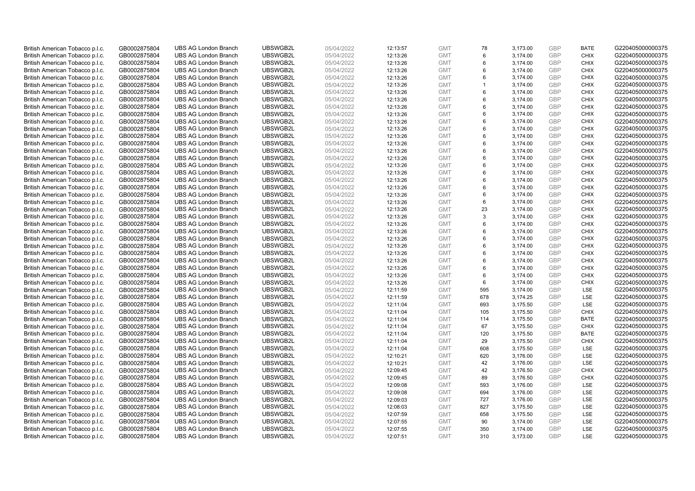| British American Tobacco p.l.c.                                    | GB0002875804                 | <b>UBS AG London Branch</b>                                | UBSWGB2L             | 05/04/2022               | 12:13:57             | <b>GMT</b>               | 78                | 3,173.00             | <b>GBP</b>               | <b>BATE</b>                | G220405000000375                     |
|--------------------------------------------------------------------|------------------------------|------------------------------------------------------------|----------------------|--------------------------|----------------------|--------------------------|-------------------|----------------------|--------------------------|----------------------------|--------------------------------------|
| British American Tobacco p.l.c.                                    | GB0002875804                 | <b>UBS AG London Branch</b>                                | UBSWGB2L             | 05/04/2022               | 12:13:26             | <b>GMT</b>               | 6                 | 3,174.00             | <b>GBP</b>               | <b>CHIX</b>                | G220405000000375                     |
| British American Tobacco p.l.c.                                    | GB0002875804                 | <b>UBS AG London Branch</b>                                | UBSWGB2L             | 05/04/2022               | 12:13:26             | <b>GMT</b>               | 6                 | 3,174.00             | <b>GBP</b>               | <b>CHIX</b>                | G220405000000375                     |
| British American Tobacco p.l.c.                                    | GB0002875804                 | <b>UBS AG London Branch</b>                                | UBSWGB2L             | 05/04/2022               | 12:13:26             | <b>GMT</b>               | 6                 | 3,174.00             | <b>GBP</b>               | <b>CHIX</b>                | G220405000000375                     |
| British American Tobacco p.l.c.                                    | GB0002875804                 | <b>UBS AG London Branch</b>                                | UBSWGB2L             | 05/04/2022               | 12:13:26             | <b>GMT</b>               | 6<br>$\mathbf{1}$ | 3,174.00             | <b>GBP</b>               | <b>CHIX</b>                | G220405000000375                     |
| British American Tobacco p.l.c.                                    | GB0002875804                 | <b>UBS AG London Branch</b>                                | UBSWGB2L             | 05/04/2022               | 12:13:26             | <b>GMT</b>               |                   | 3,174.00             | <b>GBP</b><br><b>GBP</b> | <b>CHIX</b>                | G220405000000375                     |
| British American Tobacco p.l.c.                                    | GB0002875804                 | <b>UBS AG London Branch</b>                                | UBSWGB2L             | 05/04/2022               | 12:13:26             | <b>GMT</b>               | 6                 | 3,174.00             |                          | <b>CHIX</b>                | G220405000000375                     |
| British American Tobacco p.l.c.                                    | GB0002875804                 | <b>UBS AG London Branch</b><br><b>UBS AG London Branch</b> | UBSWGB2L<br>UBSWGB2L | 05/04/2022<br>05/04/2022 | 12:13:26<br>12:13:26 | <b>GMT</b>               | 6<br>6            | 3,174.00             | <b>GBP</b><br><b>GBP</b> | <b>CHIX</b><br><b>CHIX</b> | G220405000000375<br>G220405000000375 |
| British American Tobacco p.l.c.                                    | GB0002875804                 |                                                            |                      |                          |                      | <b>GMT</b>               |                   | 3,174.00             | <b>GBP</b>               |                            |                                      |
| British American Tobacco p.l.c.                                    | GB0002875804                 | <b>UBS AG London Branch</b>                                | UBSWGB2L             | 05/04/2022<br>05/04/2022 | 12:13:26             | <b>GMT</b><br><b>GMT</b> | 6<br>6            | 3,174.00             | <b>GBP</b>               | <b>CHIX</b>                | G220405000000375                     |
| British American Tobacco p.l.c.                                    | GB0002875804                 | <b>UBS AG London Branch</b>                                | UBSWGB2L             |                          | 12:13:26             |                          | 6                 | 3,174.00             |                          | <b>CHIX</b>                | G220405000000375                     |
| British American Tobacco p.l.c.                                    | GB0002875804                 | <b>UBS AG London Branch</b><br><b>UBS AG London Branch</b> | UBSWGB2L<br>UBSWGB2L | 05/04/2022<br>05/04/2022 | 12:13:26             | <b>GMT</b>               | 6                 | 3,174.00             | <b>GBP</b><br><b>GBP</b> | <b>CHIX</b><br><b>CHIX</b> | G220405000000375<br>G220405000000375 |
| British American Tobacco p.l.c.                                    | GB0002875804                 | <b>UBS AG London Branch</b>                                | UBSWGB2L             |                          | 12:13:26             | <b>GMT</b>               |                   | 3,174.00             | <b>GBP</b>               |                            | G220405000000375                     |
| British American Tobacco p.l.c.<br>British American Tobacco p.l.c. | GB0002875804                 | <b>UBS AG London Branch</b>                                | UBSWGB2L             | 05/04/2022<br>05/04/2022 | 12:13:26             | <b>GMT</b><br><b>GMT</b> | 6<br>6            | 3,174.00<br>3,174.00 | GBP                      | <b>CHIX</b><br><b>CHIX</b> |                                      |
|                                                                    | GB0002875804                 | <b>UBS AG London Branch</b>                                | UBSWGB2L             |                          | 12:13:26             | <b>GMT</b>               | 6                 |                      | GBP                      | <b>CHIX</b>                | G220405000000375<br>G220405000000375 |
| British American Tobacco p.l.c.                                    | GB0002875804                 | <b>UBS AG London Branch</b>                                | UBSWGB2L             | 05/04/2022<br>05/04/2022 | 12:13:26             | <b>GMT</b>               |                   | 3,174.00             | GBP                      |                            |                                      |
| British American Tobacco p.l.c.<br>British American Tobacco p.l.c. | GB0002875804<br>GB0002875804 | <b>UBS AG London Branch</b>                                | UBSWGB2L             | 05/04/2022               | 12:13:26             | <b>GMT</b>               | 6<br>6            | 3,174.00<br>3,174.00 | GBP                      | <b>CHIX</b><br><b>CHIX</b> | G220405000000375<br>G220405000000375 |
|                                                                    |                              | <b>UBS AG London Branch</b>                                | UBSWGB2L             |                          | 12:13:26             |                          | 6                 |                      | <b>GBP</b>               | <b>CHIX</b>                | G220405000000375                     |
| British American Tobacco p.l.c.                                    | GB0002875804<br>GB0002875804 | <b>UBS AG London Branch</b>                                | UBSWGB2L             | 05/04/2022<br>05/04/2022 | 12:13:26<br>12:13:26 | <b>GMT</b><br><b>GMT</b> | 6                 | 3,174.00<br>3,174.00 | <b>GBP</b>               | <b>CHIX</b>                | G220405000000375                     |
| British American Tobacco p.l.c.                                    |                              |                                                            |                      |                          |                      | <b>GMT</b>               | 6                 | 3,174.00             | <b>GBP</b>               | <b>CHIX</b>                | G220405000000375                     |
| British American Tobacco p.l.c.<br>British American Tobacco p.l.c. | GB0002875804<br>GB0002875804 | <b>UBS AG London Branch</b><br><b>UBS AG London Branch</b> | UBSWGB2L<br>UBSWGB2L | 05/04/2022<br>05/04/2022 | 12:13:26<br>12:13:26 | <b>GMT</b>               | 6                 | 3,174.00             | GBP                      | <b>CHIX</b>                | G220405000000375                     |
| British American Tobacco p.l.c.                                    | GB0002875804                 | <b>UBS AG London Branch</b>                                | UBSWGB2L             | 05/04/2022               | 12:13:26             | <b>GMT</b>               | 23                | 3,174.00             | <b>GBP</b>               | <b>CHIX</b>                | G220405000000375                     |
| British American Tobacco p.l.c.                                    | GB0002875804                 | <b>UBS AG London Branch</b>                                | UBSWGB2L             | 05/04/2022               | 12:13:26             | <b>GMT</b>               | 3                 | 3,174.00             | GBP                      | <b>CHIX</b>                | G220405000000375                     |
| British American Tobacco p.l.c.                                    | GB0002875804                 | <b>UBS AG London Branch</b>                                | UBSWGB2L             | 05/04/2022               | 12:13:26             | <b>GMT</b>               | 6                 | 3,174.00             | <b>GBP</b>               | <b>CHIX</b>                | G220405000000375                     |
| British American Tobacco p.l.c.                                    | GB0002875804                 | <b>UBS AG London Branch</b>                                | UBSWGB2L             | 05/04/2022               | 12:13:26             | <b>GMT</b>               | 6                 | 3,174.00             | GBP                      | <b>CHIX</b>                | G220405000000375                     |
| British American Tobacco p.l.c.                                    | GB0002875804                 | <b>UBS AG London Branch</b>                                | UBSWGB2L             | 05/04/2022               | 12:13:26             | <b>GMT</b>               | 6                 | 3,174.00             | <b>GBP</b>               | <b>CHIX</b>                | G220405000000375                     |
| British American Tobacco p.l.c.                                    | GB0002875804                 | <b>UBS AG London Branch</b>                                | UBSWGB2L             | 05/04/2022               | 12:13:26             | <b>GMT</b>               | 6                 | 3,174.00             | GBP                      | <b>CHIX</b>                | G220405000000375                     |
| British American Tobacco p.l.c.                                    | GB0002875804                 | <b>UBS AG London Branch</b>                                | UBSWGB2L             | 05/04/2022               | 12:13:26             | <b>GMT</b>               | 6                 | 3,174.00             | <b>GBP</b>               | <b>CHIX</b>                | G220405000000375                     |
| British American Tobacco p.l.c.                                    | GB0002875804                 | <b>UBS AG London Branch</b>                                | UBSWGB2L             | 05/04/2022               | 12:13:26             | <b>GMT</b>               | 6                 | 3,174.00             | GBP                      | <b>CHIX</b>                | G220405000000375                     |
| British American Tobacco p.l.c.                                    | GB0002875804                 | <b>UBS AG London Branch</b>                                | UBSWGB2L             | 05/04/2022               | 12:13:26             | <b>GMT</b>               | 6                 | 3,174.00             | <b>GBP</b>               | <b>CHIX</b>                | G220405000000375                     |
| British American Tobacco p.l.c.                                    | GB0002875804                 | <b>UBS AG London Branch</b>                                | UBSWGB2L             | 05/04/2022               | 12:13:26             | <b>GMT</b>               | 6                 | 3,174.00             | GBP                      | <b>CHIX</b>                | G220405000000375                     |
| British American Tobacco p.l.c.                                    | GB0002875804                 | <b>UBS AG London Branch</b>                                | UBSWGB2L             | 05/04/2022               | 12:13:26             | <b>GMT</b>               | 6                 | 3,174.00             | <b>GBP</b>               | <b>CHIX</b>                | G220405000000375                     |
| British American Tobacco p.l.c.                                    | GB0002875804                 | <b>UBS AG London Branch</b>                                | UBSWGB2L             | 05/04/2022               | 12:11:59             | <b>GMT</b>               | 595               | 3,174.00             | <b>GBP</b>               | LSE                        | G220405000000375                     |
| British American Tobacco p.l.c.                                    | GB0002875804                 | <b>UBS AG London Branch</b>                                | UBSWGB2L             | 05/04/2022               | 12:11:59             | <b>GMT</b>               | 678               | 3,174.25             | GBP                      | LSE                        | G220405000000375                     |
| British American Tobacco p.l.c.                                    | GB0002875804                 | <b>UBS AG London Branch</b>                                | UBSWGB2L             | 05/04/2022               | 12:11:04             | <b>GMT</b>               | 693               | 3,175.50             | <b>GBP</b>               | LSE                        | G220405000000375                     |
| British American Tobacco p.l.c.                                    | GB0002875804                 | <b>UBS AG London Branch</b>                                | UBSWGB2L             | 05/04/2022               | 12:11:04             | <b>GMT</b>               | 105               | 3,175.50             | GBP                      | CHIX                       | G220405000000375                     |
| British American Tobacco p.l.c.                                    | GB0002875804                 | <b>UBS AG London Branch</b>                                | UBSWGB2L             | 05/04/2022               | 12:11:04             | <b>GMT</b>               | 114               | 3,175.50             | <b>GBP</b>               | <b>BATE</b>                | G220405000000375                     |
| British American Tobacco p.l.c.                                    | GB0002875804                 | <b>UBS AG London Branch</b>                                | UBSWGB2L             | 05/04/2022               | 12:11:04             | <b>GMT</b>               | 67                | 3,175.50             | GBP                      | <b>CHIX</b>                | G220405000000375                     |
| British American Tobacco p.l.c.                                    | GB0002875804                 | <b>UBS AG London Branch</b>                                | UBSWGB2L             | 05/04/2022               | 12:11:04             | <b>GMT</b>               | 120               | 3,175.50             | <b>GBP</b>               | <b>BATE</b>                | G220405000000375                     |
| British American Tobacco p.l.c.                                    | GB0002875804                 | <b>UBS AG London Branch</b>                                | UBSWGB2L             | 05/04/2022               | 12:11:04             | <b>GMT</b>               | 29                | 3,175.50             | GBP                      | <b>CHIX</b>                | G220405000000375                     |
| British American Tobacco p.l.c.                                    | GB0002875804                 | <b>UBS AG London Branch</b>                                | UBSWGB2L             | 05/04/2022               | 12:11:04             | <b>GMT</b>               | 608               | 3,175.50             | <b>GBP</b>               | <b>LSE</b>                 | G220405000000375                     |
| British American Tobacco p.l.c.                                    | GB0002875804                 | <b>UBS AG London Branch</b>                                | UBSWGB2L             | 05/04/2022               | 12:10:21             | <b>GMT</b>               | 620               | 3,176.00             | <b>GBP</b>               | LSE                        | G220405000000375                     |
| British American Tobacco p.l.c.                                    | GB0002875804                 | <b>UBS AG London Branch</b>                                | UBSWGB2L             | 05/04/2022               | 12:10:21             | <b>GMT</b>               | 42                | 3,176.00             | <b>GBP</b>               | LSE                        | G220405000000375                     |
| British American Tobacco p.l.c.                                    | GB0002875804                 | <b>UBS AG London Branch</b>                                | UBSWGB2L             | 05/04/2022               | 12:09:45             | <b>GMT</b>               | 42                | 3,176.50             | <b>GBP</b>               | <b>CHIX</b>                | G220405000000375                     |
| British American Tobacco p.l.c.                                    | GB0002875804                 | <b>UBS AG London Branch</b>                                | UBSWGB2L             | 05/04/2022               | 12:09:45             | <b>GMT</b>               | 89                | 3,176.50             | <b>GBP</b>               | <b>CHIX</b>                | G220405000000375                     |
| British American Tobacco p.l.c.                                    | GB0002875804                 | <b>UBS AG London Branch</b>                                | UBSWGB2L             | 05/04/2022               | 12:09:08             | <b>GMT</b>               | 593               | 3,176.00             | <b>GBP</b>               | LSE                        | G220405000000375                     |
| British American Tobacco p.l.c.                                    | GB0002875804                 | <b>UBS AG London Branch</b>                                | UBSWGB2L             | 05/04/2022               | 12:09:08             | <b>GMT</b>               | 694               | 3,176.00             | <b>GBP</b>               | LSE                        | G220405000000375                     |
| British American Tobacco p.l.c.                                    | GB0002875804                 | <b>UBS AG London Branch</b>                                | UBSWGB2L             | 05/04/2022               | 12:09:03             | <b>GMT</b>               | 727               | 3,176.00             | <b>GBP</b>               | LSE                        | G220405000000375                     |
| British American Tobacco p.l.c.                                    | GB0002875804                 | <b>UBS AG London Branch</b>                                | UBSWGB2L             | 05/04/2022               | 12:08:03             | <b>GMT</b>               | 827               | 3,175.50             | <b>GBP</b>               | <b>LSE</b>                 | G220405000000375                     |
| British American Tobacco p.l.c.                                    | GB0002875804                 | <b>UBS AG London Branch</b>                                | UBSWGB2L             | 05/04/2022               | 12:07:59             | <b>GMT</b>               | 658               | 3,175.50             | <b>GBP</b>               | LSE                        | G220405000000375                     |
| British American Tobacco p.l.c.                                    | GB0002875804                 | <b>UBS AG London Branch</b>                                | UBSWGB2L             | 05/04/2022               | 12:07:55             | <b>GMT</b>               | 90                | 3,174.00             | <b>GBP</b>               | LSE                        | G220405000000375                     |
| British American Tobacco p.l.c.                                    | GB0002875804                 | <b>UBS AG London Branch</b>                                | UBSWGB2L             | 05/04/2022               | 12:07:55             | <b>GMT</b>               | 350               | 3,174.00             | <b>GBP</b>               | LSE                        | G220405000000375                     |
| British American Tobacco p.l.c.                                    | GB0002875804                 | <b>UBS AG London Branch</b>                                | UBSWGB2L             | 05/04/2022               | 12:07:51             | <b>GMT</b>               | 310               | 3,173.00             | GBP                      | <b>LSE</b>                 | G220405000000375                     |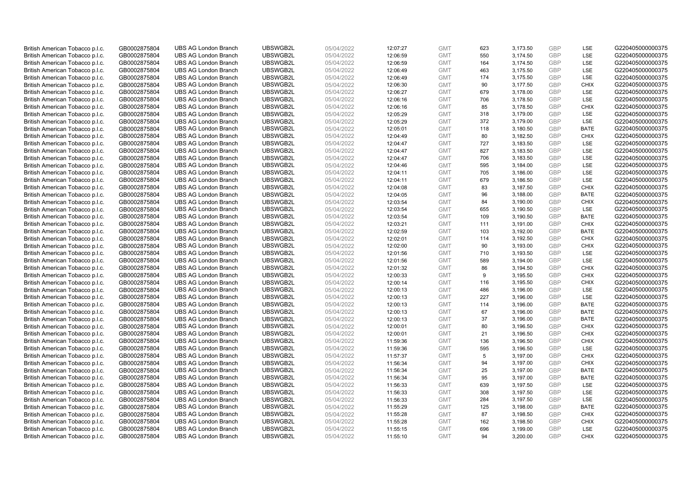| British American Tobacco p.l.c. | GB0002875804 | <b>UBS AG London Branch</b> | UBSWGB2L | 05/04/2022 | 12:07:27 | <b>GMT</b> | 623 | 3,173.50 | <b>GBP</b> | LSE         | G220405000000375 |
|---------------------------------|--------------|-----------------------------|----------|------------|----------|------------|-----|----------|------------|-------------|------------------|
| British American Tobacco p.l.c. | GB0002875804 | <b>UBS AG London Branch</b> | UBSWGB2L | 05/04/2022 | 12:06:59 | <b>GMT</b> | 550 | 3,174.50 | GBP        | <b>LSE</b>  | G220405000000375 |
| British American Tobacco p.l.c. | GB0002875804 | <b>UBS AG London Branch</b> | UBSWGB2L | 05/04/2022 | 12:06:59 | <b>GMT</b> | 164 | 3,174.50 | <b>GBP</b> | LSE         | G220405000000375 |
| British American Tobacco p.l.c. | GB0002875804 | <b>UBS AG London Branch</b> | UBSWGB2L | 05/04/2022 | 12:06:49 | <b>GMT</b> | 463 | 3,175.50 | <b>GBP</b> | LSE         | G220405000000375 |
| British American Tobacco p.l.c. | GB0002875804 | <b>UBS AG London Branch</b> | UBSWGB2L | 05/04/2022 | 12:06:49 | <b>GMT</b> | 174 | 3,175.50 | <b>GBP</b> | LSE         | G220405000000375 |
| British American Tobacco p.l.c. | GB0002875804 | <b>UBS AG London Branch</b> | UBSWGB2L | 05/04/2022 | 12:06:30 | <b>GMT</b> | 90  | 3,177.50 | <b>GBP</b> | <b>CHIX</b> | G220405000000375 |
| British American Tobacco p.l.c. | GB0002875804 | <b>UBS AG London Branch</b> | UBSWGB2L | 05/04/2022 | 12:06:27 | <b>GMT</b> | 679 | 3,178.00 | <b>GBP</b> | LSE         | G220405000000375 |
| British American Tobacco p.l.c. | GB0002875804 | <b>UBS AG London Branch</b> | UBSWGB2L | 05/04/2022 | 12:06:16 | <b>GMT</b> | 706 | 3,178.50 | <b>GBP</b> | LSE         | G220405000000375 |
| British American Tobacco p.l.c. | GB0002875804 | <b>UBS AG London Branch</b> | UBSWGB2L | 05/04/2022 | 12:06:16 | <b>GMT</b> | 85  | 3,178.50 | <b>GBP</b> | <b>CHIX</b> | G220405000000375 |
| British American Tobacco p.l.c. | GB0002875804 | <b>UBS AG London Branch</b> | UBSWGB2L | 05/04/2022 | 12:05:29 | <b>GMT</b> | 318 | 3,179.00 | <b>GBP</b> | LSE         | G220405000000375 |
| British American Tobacco p.l.c. | GB0002875804 | <b>UBS AG London Branch</b> | UBSWGB2L | 05/04/2022 | 12:05:29 | <b>GMT</b> | 372 | 3,179.00 | <b>GBP</b> | <b>LSE</b>  | G220405000000375 |
| British American Tobacco p.l.c. | GB0002875804 | <b>UBS AG London Branch</b> | UBSWGB2L | 05/04/2022 | 12:05:01 | <b>GMT</b> | 118 | 3,180.50 | <b>GBP</b> | <b>BATE</b> | G220405000000375 |
| British American Tobacco p.l.c. | GB0002875804 | <b>UBS AG London Branch</b> | UBSWGB2L | 05/04/2022 | 12:04:49 | <b>GMT</b> | 80  | 3,182.50 | <b>GBP</b> | <b>CHIX</b> | G220405000000375 |
| British American Tobacco p.l.c. | GB0002875804 | <b>UBS AG London Branch</b> | UBSWGB2L | 05/04/2022 | 12:04:47 | <b>GMT</b> | 727 | 3,183.50 | <b>GBP</b> | <b>LSE</b>  | G220405000000375 |
| British American Tobacco p.l.c. | GB0002875804 | <b>UBS AG London Branch</b> | UBSWGB2L | 05/04/2022 | 12:04:47 | <b>GMT</b> | 827 | 3,183.50 | GBP        | LSE         | G220405000000375 |
| British American Tobacco p.l.c. | GB0002875804 | <b>UBS AG London Branch</b> | UBSWGB2L | 05/04/2022 | 12:04:47 | <b>GMT</b> | 706 | 3,183.50 | <b>GBP</b> | LSE         | G220405000000375 |
| British American Tobacco p.l.c. | GB0002875804 | <b>UBS AG London Branch</b> | UBSWGB2L | 05/04/2022 | 12:04:46 | <b>GMT</b> | 595 | 3,184.00 | GBP        | LSE         | G220405000000375 |
| British American Tobacco p.l.c. | GB0002875804 | <b>UBS AG London Branch</b> | UBSWGB2L | 05/04/2022 | 12:04:11 | <b>GMT</b> | 705 | 3,186.00 | <b>GBP</b> | LSE         | G220405000000375 |
| British American Tobacco p.l.c. | GB0002875804 | <b>UBS AG London Branch</b> | UBSWGB2L | 05/04/2022 | 12:04:11 | <b>GMT</b> | 679 | 3,186.50 | <b>GBP</b> | <b>LSE</b>  | G220405000000375 |
| British American Tobacco p.l.c. | GB0002875804 | <b>UBS AG London Branch</b> | UBSWGB2L | 05/04/2022 | 12:04:08 | <b>GMT</b> | 83  | 3,187.50 | <b>GBP</b> | <b>CHIX</b> | G220405000000375 |
| British American Tobacco p.l.c. | GB0002875804 | <b>UBS AG London Branch</b> | UBSWGB2L | 05/04/2022 | 12:04:05 | <b>GMT</b> | 96  | 3,188.00 | <b>GBP</b> | <b>BATE</b> | G220405000000375 |
| British American Tobacco p.l.c. | GB0002875804 | <b>UBS AG London Branch</b> | UBSWGB2L | 05/04/2022 | 12:03:54 | <b>GMT</b> | 84  | 3,190.00 | GBP        | <b>CHIX</b> | G220405000000375 |
| British American Tobacco p.l.c. | GB0002875804 | <b>UBS AG London Branch</b> | UBSWGB2L | 05/04/2022 | 12:03:54 | <b>GMT</b> | 655 | 3,190.50 | <b>GBP</b> | LSE         | G220405000000375 |
| British American Tobacco p.l.c. | GB0002875804 | <b>UBS AG London Branch</b> | UBSWGB2L | 05/04/2022 | 12:03:54 | <b>GMT</b> | 109 | 3,190.50 | GBP        | <b>BATE</b> | G220405000000375 |
| British American Tobacco p.l.c. | GB0002875804 | <b>UBS AG London Branch</b> | UBSWGB2L | 05/04/2022 | 12:03:21 | <b>GMT</b> | 111 | 3,191.00 | <b>GBP</b> | <b>CHIX</b> | G220405000000375 |
| British American Tobacco p.l.c. | GB0002875804 | <b>UBS AG London Branch</b> | UBSWGB2L | 05/04/2022 | 12:02:59 | <b>GMT</b> | 103 | 3,192.00 | GBP        | <b>BATE</b> | G220405000000375 |
| British American Tobacco p.l.c. | GB0002875804 | <b>UBS AG London Branch</b> | UBSWGB2L | 05/04/2022 | 12:02:01 | <b>GMT</b> | 114 | 3,192.50 | <b>GBP</b> | <b>CHIX</b> | G220405000000375 |
| British American Tobacco p.l.c. | GB0002875804 | <b>UBS AG London Branch</b> | UBSWGB2L | 05/04/2022 | 12:02:00 | <b>GMT</b> | 90  | 3,193.00 | GBP        | <b>CHIX</b> | G220405000000375 |
| British American Tobacco p.l.c. | GB0002875804 | <b>UBS AG London Branch</b> | UBSWGB2L | 05/04/2022 | 12:01:56 | <b>GMT</b> | 710 | 3,193.50 | <b>GBP</b> | <b>LSE</b>  | G220405000000375 |
| British American Tobacco p.l.c. | GB0002875804 | <b>UBS AG London Branch</b> | UBSWGB2L | 05/04/2022 | 12:01:56 | <b>GMT</b> | 589 | 3,194.00 | GBP        | LSE         | G220405000000375 |
| British American Tobacco p.l.c. | GB0002875804 | <b>UBS AG London Branch</b> | UBSWGB2L | 05/04/2022 | 12:01:32 | <b>GMT</b> | 86  | 3,194.50 | <b>GBP</b> | <b>CHIX</b> | G220405000000375 |
| British American Tobacco p.l.c. | GB0002875804 | <b>UBS AG London Branch</b> | UBSWGB2L | 05/04/2022 | 12:00:33 | <b>GMT</b> | 9   | 3,195.50 | GBP        | <b>CHIX</b> | G220405000000375 |
| British American Tobacco p.l.c. | GB0002875804 | <b>UBS AG London Branch</b> | UBSWGB2L | 05/04/2022 | 12:00:14 | <b>GMT</b> | 116 | 3,195.50 | <b>GBP</b> | <b>CHIX</b> | G220405000000375 |
| British American Tobacco p.l.c. | GB0002875804 | <b>UBS AG London Branch</b> | UBSWGB2L | 05/04/2022 | 12:00:13 | <b>GMT</b> | 486 | 3,196.00 | <b>GBP</b> | LSE         | G220405000000375 |
| British American Tobacco p.l.c. | GB0002875804 | <b>UBS AG London Branch</b> | UBSWGB2L | 05/04/2022 | 12:00:13 | <b>GMT</b> | 227 | 3,196.00 | GBP        | LSE         | G220405000000375 |
| British American Tobacco p.l.c. | GB0002875804 | <b>UBS AG London Branch</b> | UBSWGB2L | 05/04/2022 | 12:00:13 | <b>GMT</b> | 114 | 3,196.00 | <b>GBP</b> | <b>BATE</b> | G220405000000375 |
| British American Tobacco p.l.c. | GB0002875804 | <b>UBS AG London Branch</b> | UBSWGB2L | 05/04/2022 | 12:00:13 | <b>GMT</b> | 67  | 3,196.00 | GBP        | <b>BATE</b> | G220405000000375 |
| British American Tobacco p.l.c. | GB0002875804 | <b>UBS AG London Branch</b> | UBSWGB2L | 05/04/2022 | 12:00:13 | <b>GMT</b> | 37  | 3,196.00 | <b>GBP</b> | <b>BATE</b> | G220405000000375 |
| British American Tobacco p.l.c. | GB0002875804 | <b>UBS AG London Branch</b> | UBSWGB2L | 05/04/2022 | 12:00:01 | <b>GMT</b> | 80  | 3,196.50 | GBP        | <b>CHIX</b> | G220405000000375 |
| British American Tobacco p.l.c. | GB0002875804 | <b>UBS AG London Branch</b> | UBSWGB2L | 05/04/2022 | 12:00:01 | <b>GMT</b> | 21  | 3,196.50 | <b>GBP</b> | <b>CHIX</b> | G220405000000375 |
| British American Tobacco p.l.c. | GB0002875804 | <b>UBS AG London Branch</b> | UBSWGB2L | 05/04/2022 | 11:59:36 | <b>GMT</b> | 136 | 3,196.50 | GBP        | <b>CHIX</b> | G220405000000375 |
| British American Tobacco p.l.c. | GB0002875804 | <b>UBS AG London Branch</b> | UBSWGB2L | 05/04/2022 | 11:59:36 | <b>GMT</b> | 595 | 3,196.50 | <b>GBP</b> | <b>LSE</b>  | G220405000000375 |
| British American Tobacco p.l.c. | GB0002875804 | <b>UBS AG London Branch</b> | UBSWGB2L | 05/04/2022 | 11:57:37 | <b>GMT</b> | 5   | 3,197.00 | <b>GBP</b> | <b>CHIX</b> | G220405000000375 |
| British American Tobacco p.l.c. | GB0002875804 | <b>UBS AG London Branch</b> | UBSWGB2L | 05/04/2022 | 11:56:34 | <b>GMT</b> | 94  | 3,197.00 | <b>GBP</b> | <b>CHIX</b> | G220405000000375 |
| British American Tobacco p.l.c. | GB0002875804 | <b>UBS AG London Branch</b> | UBSWGB2L | 05/04/2022 | 11:56:34 | <b>GMT</b> | 25  | 3,197.00 | GBP        | <b>BATE</b> | G220405000000375 |
| British American Tobacco p.l.c. | GB0002875804 | <b>UBS AG London Branch</b> | UBSWGB2L | 05/04/2022 | 11:56:34 | <b>GMT</b> | 95  | 3,197.00 | <b>GBP</b> | <b>BATE</b> | G220405000000375 |
| British American Tobacco p.l.c. | GB0002875804 | <b>UBS AG London Branch</b> | UBSWGB2L | 05/04/2022 | 11:56:33 | <b>GMT</b> | 639 | 3,197.50 | <b>GBP</b> | LSE         | G220405000000375 |
| British American Tobacco p.l.c. | GB0002875804 | <b>UBS AG London Branch</b> | UBSWGB2L | 05/04/2022 | 11:56:33 | <b>GMT</b> | 308 | 3,197.50 | GBP        | LSE         | G220405000000375 |
| British American Tobacco p.l.c. | GB0002875804 | <b>UBS AG London Branch</b> | UBSWGB2L | 05/04/2022 | 11:56:33 | <b>GMT</b> | 284 | 3,197.50 | <b>GBP</b> | LSE         | G220405000000375 |
| British American Tobacco p.l.c. | GB0002875804 | <b>UBS AG London Branch</b> | UBSWGB2L | 05/04/2022 | 11:55:29 | <b>GMT</b> | 125 | 3,198.00 | GBP        | <b>BATE</b> | G220405000000375 |
| British American Tobacco p.l.c. | GB0002875804 | <b>UBS AG London Branch</b> | UBSWGB2L | 05/04/2022 | 11:55:28 | <b>GMT</b> | 87  | 3,198.50 | <b>GBP</b> | <b>CHIX</b> | G220405000000375 |
| British American Tobacco p.l.c. | GB0002875804 | <b>UBS AG London Branch</b> | UBSWGB2L | 05/04/2022 | 11:55:28 | <b>GMT</b> | 162 | 3,198.50 | <b>GBP</b> | <b>CHIX</b> | G220405000000375 |
| British American Tobacco p.l.c. | GB0002875804 | <b>UBS AG London Branch</b> | UBSWGB2L | 05/04/2022 | 11:55:15 | <b>GMT</b> | 696 | 3,199.00 | <b>GBP</b> | <b>LSE</b>  | G220405000000375 |
| British American Tobacco p.l.c. | GB0002875804 | <b>UBS AG London Branch</b> | UBSWGB2L | 05/04/2022 | 11:55:10 | <b>GMT</b> | 94  | 3.200.00 | GBP        | CHIX        | G220405000000375 |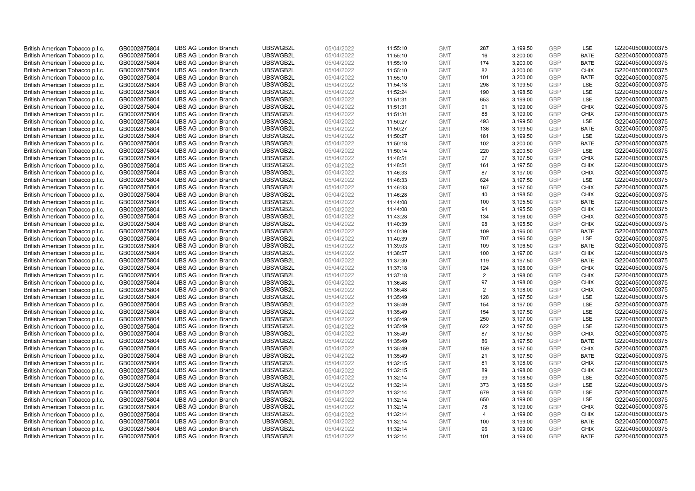| British American Tobacco p.l.c.                                    | GB0002875804                 | <b>UBS AG London Branch</b>                                | UBSWGB2L             | 05/04/2022               | 11:55:10             | <b>GMT</b>               | 287            | 3,199.50             | <b>GBP</b>               | LSE                        | G220405000000375                     |
|--------------------------------------------------------------------|------------------------------|------------------------------------------------------------|----------------------|--------------------------|----------------------|--------------------------|----------------|----------------------|--------------------------|----------------------------|--------------------------------------|
| British American Tobacco p.l.c.                                    | GB0002875804                 | <b>UBS AG London Branch</b>                                | UBSWGB2L             | 05/04/2022               | 11:55:10             | <b>GMT</b>               | 16             | 3,200.00             | GBP                      | <b>BATE</b>                | G220405000000375                     |
| British American Tobacco p.l.c.                                    | GB0002875804                 | <b>UBS AG London Branch</b>                                | UBSWGB2L             | 05/04/2022               | 11:55:10             | <b>GMT</b>               | 174            | 3,200.00             | <b>GBP</b>               | <b>BATE</b>                | G220405000000375                     |
| British American Tobacco p.l.c.                                    | GB0002875804                 | <b>UBS AG London Branch</b>                                | UBSWGB2L             | 05/04/2022               | 11:55:10             | <b>GMT</b>               | 82             | 3,200.00             | <b>GBP</b>               | <b>CHIX</b>                | G220405000000375                     |
| British American Tobacco p.l.c.                                    | GB0002875804                 | <b>UBS AG London Branch</b>                                | UBSWGB2L             | 05/04/2022               | 11:55:10             | <b>GMT</b>               | 101            | 3,200.00             | <b>GBP</b>               | <b>BATE</b>                | G220405000000375                     |
| British American Tobacco p.l.c.                                    | GB0002875804                 | <b>UBS AG London Branch</b>                                | UBSWGB2L             | 05/04/2022               | 11:54:18             | <b>GMT</b>               | 298            | 3,199.50             | <b>GBP</b>               | <b>LSE</b>                 | G220405000000375                     |
| British American Tobacco p.l.c.                                    | GB0002875804                 | <b>UBS AG London Branch</b>                                | UBSWGB2L             | 05/04/2022               | 11:52:24             | <b>GMT</b>               | 190            | 3,198.50             | <b>GBP</b>               | LSE                        | G220405000000375                     |
| British American Tobacco p.l.c.                                    | GB0002875804                 | <b>UBS AG London Branch</b>                                | UBSWGB2L             | 05/04/2022               | 11:51:31             | <b>GMT</b>               | 653            | 3,199.00             | <b>GBP</b>               | LSE                        | G220405000000375                     |
| British American Tobacco p.l.c.                                    | GB0002875804                 | <b>UBS AG London Branch</b>                                | UBSWGB2L             | 05/04/2022               | 11:51:31             | <b>GMT</b>               | 91             | 3,199.00             | <b>GBP</b>               | <b>CHIX</b>                | G220405000000375                     |
| British American Tobacco p.l.c.                                    | GB0002875804                 | <b>UBS AG London Branch</b>                                | UBSWGB2L             | 05/04/2022               | 11:51:31             | <b>GMT</b>               | 88             | 3,199.00             | <b>GBP</b>               | <b>CHIX</b>                | G220405000000375                     |
| British American Tobacco p.l.c.                                    | GB0002875804                 | <b>UBS AG London Branch</b>                                | UBSWGB2L             | 05/04/2022               | 11:50:27             | <b>GMT</b>               | 493            | 3,199.50             | <b>GBP</b>               | <b>LSE</b>                 | G220405000000375                     |
| British American Tobacco p.l.c.                                    | GB0002875804                 | <b>UBS AG London Branch</b>                                | UBSWGB2L             | 05/04/2022               | 11:50:27             | <b>GMT</b>               | 136            | 3,199.50             | <b>GBP</b>               | <b>BATE</b>                | G220405000000375                     |
| British American Tobacco p.l.c.                                    | GB0002875804                 | <b>UBS AG London Branch</b>                                | UBSWGB2L             | 05/04/2022               | 11:50:27             | <b>GMT</b>               | 181            | 3,199.50             | GBP                      | LSE                        | G220405000000375                     |
| British American Tobacco p.l.c.                                    | GB0002875804                 | <b>UBS AG London Branch</b>                                | UBSWGB2L             | 05/04/2022               | 11:50:18             | <b>GMT</b>               | 102            | 3,200.00             | <b>GBP</b>               | <b>BATE</b>                | G220405000000375                     |
| British American Tobacco p.l.c.                                    | GB0002875804                 | <b>UBS AG London Branch</b>                                | UBSWGB2L             | 05/04/2022               | 11:50:14             | <b>GMT</b>               | 220            | 3,200.50             | GBP                      | LSE                        | G220405000000375                     |
| British American Tobacco p.l.c.                                    | GB0002875804                 | <b>UBS AG London Branch</b>                                | UBSWGB2L<br>UBSWGB2L | 05/04/2022               | 11:48:51             | <b>GMT</b>               | 97             | 3,197.50             | GBP<br>GBP               | <b>CHIX</b>                | G220405000000375                     |
| British American Tobacco p.l.c.                                    | GB0002875804                 | <b>UBS AG London Branch</b>                                |                      | 05/04/2022               | 11:48:51             | <b>GMT</b>               | 161            | 3,197.50             |                          | <b>CHIX</b>                | G220405000000375                     |
| British American Tobacco p.l.c.                                    | GB0002875804                 | <b>UBS AG London Branch</b>                                | UBSWGB2L             | 05/04/2022               | 11:46:33             | <b>GMT</b>               | 87             | 3,197.00             | <b>GBP</b>               | <b>CHIX</b>                | G220405000000375                     |
| British American Tobacco p.l.c.                                    | GB0002875804                 | <b>UBS AG London Branch</b>                                | UBSWGB2L             | 05/04/2022               | 11:46:33             | <b>GMT</b>               | 624            | 3,197.50             | <b>GBP</b>               | <b>LSE</b>                 | G220405000000375                     |
| British American Tobacco p.l.c.                                    | GB0002875804                 | <b>UBS AG London Branch</b>                                | UBSWGB2L             | 05/04/2022               | 11:46:33             | <b>GMT</b>               | 167            | 3,197.50             | <b>GBP</b>               | <b>CHIX</b>                | G220405000000375                     |
| British American Tobacco p.l.c.                                    | GB0002875804                 | <b>UBS AG London Branch</b><br><b>UBS AG London Branch</b> | UBSWGB2L<br>UBSWGB2L | 05/04/2022<br>05/04/2022 | 11:46:28             | <b>GMT</b>               | 40             | 3,198.50             | <b>GBP</b><br>GBP        | <b>CHIX</b><br><b>BATE</b> | G220405000000375<br>G220405000000375 |
| British American Tobacco p.l.c.                                    | GB0002875804                 |                                                            |                      |                          | 11:44:08             | <b>GMT</b>               | 100            | 3,195.50             |                          |                            |                                      |
| British American Tobacco p.l.c.                                    | GB0002875804                 | <b>UBS AG London Branch</b>                                | UBSWGB2L             | 05/04/2022               | 11:44:08             | <b>GMT</b><br><b>GMT</b> | 94             | 3,195.50             | <b>GBP</b><br>GBP        | <b>CHIX</b>                | G220405000000375                     |
| British American Tobacco p.l.c.                                    | GB0002875804                 | <b>UBS AG London Branch</b>                                | UBSWGB2L             | 05/04/2022               | 11:43:28             |                          | 134<br>98      | 3,196.00             |                          | <b>CHIX</b>                | G220405000000375                     |
| British American Tobacco p.l.c.<br>British American Tobacco p.l.c. | GB0002875804<br>GB0002875804 | <b>UBS AG London Branch</b><br><b>UBS AG London Branch</b> | UBSWGB2L<br>UBSWGB2L | 05/04/2022<br>05/04/2022 | 11:40:39<br>11:40:39 | <b>GMT</b><br><b>GMT</b> | 109            | 3,195.50<br>3,196.00 | <b>GBP</b><br><b>GBP</b> | <b>CHIX</b><br><b>BATE</b> | G220405000000375<br>G220405000000375 |
| British American Tobacco p.l.c.                                    | GB0002875804                 | <b>UBS AG London Branch</b>                                | UBSWGB2L             | 05/04/2022               | 11:40:39             | <b>GMT</b>               | 707            | 3,196.50             | <b>GBP</b>               | LSE                        | G220405000000375                     |
| British American Tobacco p.l.c.                                    | GB0002875804                 | <b>UBS AG London Branch</b>                                | UBSWGB2L             | 05/04/2022               | 11:39:03             | <b>GMT</b>               | 109            | 3,196.50             | GBP                      | <b>BATE</b>                | G220405000000375                     |
| British American Tobacco p.l.c.                                    | GB0002875804                 | <b>UBS AG London Branch</b>                                | UBSWGB2L             | 05/04/2022               | 11:38:57             | <b>GMT</b>               | 100            | 3,197.00             | <b>GBP</b>               | <b>CHIX</b>                | G220405000000375                     |
| British American Tobacco p.l.c.                                    | GB0002875804                 | <b>UBS AG London Branch</b>                                | UBSWGB2L             | 05/04/2022               | 11:37:30             | <b>GMT</b>               | 119            | 3,197.50             | GBP                      | <b>BATE</b>                | G220405000000375                     |
| British American Tobacco p.l.c.                                    | GB0002875804                 | <b>UBS AG London Branch</b>                                | UBSWGB2L             | 05/04/2022               | 11:37:18             | <b>GMT</b>               | 124            | 3,198.00             | <b>GBP</b>               | <b>CHIX</b>                | G220405000000375                     |
| British American Tobacco p.l.c.                                    | GB0002875804                 | <b>UBS AG London Branch</b>                                | UBSWGB2L             | 05/04/2022               | 11:37:18             | <b>GMT</b>               | 2              | 3,198.00             | GBP                      | <b>CHIX</b>                | G220405000000375                     |
| British American Tobacco p.l.c.                                    | GB0002875804                 | <b>UBS AG London Branch</b>                                | UBSWGB2L             | 05/04/2022               | 11:36:48             | <b>GMT</b>               | 97             | 3,198.00             | <b>GBP</b>               | <b>CHIX</b>                | G220405000000375                     |
| British American Tobacco p.l.c.                                    | GB0002875804                 | <b>UBS AG London Branch</b>                                | UBSWGB2L             | 05/04/2022               | 11:36:48             | <b>GMT</b>               | $\overline{2}$ | 3,198.00             | <b>GBP</b>               | <b>CHIX</b>                | G220405000000375                     |
| British American Tobacco p.l.c.                                    | GB0002875804                 | <b>UBS AG London Branch</b>                                | UBSWGB2L             | 05/04/2022               | 11:35:49             | <b>GMT</b>               | 128            | 3,197.50             | GBP                      | LSE                        | G220405000000375                     |
| British American Tobacco p.l.c.                                    | GB0002875804                 | <b>UBS AG London Branch</b>                                | UBSWGB2L             | 05/04/2022               | 11:35:49             | <b>GMT</b>               | 154            | 3,197.00             | <b>GBP</b>               | LSE                        | G220405000000375                     |
| British American Tobacco p.l.c.                                    | GB0002875804                 | <b>UBS AG London Branch</b>                                | UBSWGB2L             | 05/04/2022               | 11:35:49             | <b>GMT</b>               | 154            | 3,197.50             | GBP                      | <b>LSE</b>                 | G220405000000375                     |
| British American Tobacco p.l.c.                                    | GB0002875804                 | <b>UBS AG London Branch</b>                                | UBSWGB2L             | 05/04/2022               | 11:35:49             | <b>GMT</b>               | 250            | 3,197.00             | <b>GBP</b>               | LSE                        | G220405000000375                     |
| British American Tobacco p.l.c.                                    | GB0002875804                 | <b>UBS AG London Branch</b>                                | UBSWGB2L             | 05/04/2022               | 11:35:49             | <b>GMT</b>               | 622            | 3,197.50             | <b>GBP</b>               | LSE                        | G220405000000375                     |
| British American Tobacco p.l.c.                                    | GB0002875804                 | <b>UBS AG London Branch</b>                                | UBSWGB2L             | 05/04/2022               | 11:35:49             | <b>GMT</b>               | 87             | 3,197.50             | <b>GBP</b>               | <b>CHIX</b>                | G220405000000375                     |
| British American Tobacco p.l.c.                                    | GB0002875804                 | <b>UBS AG London Branch</b>                                | UBSWGB2L             | 05/04/2022               | 11:35:49             | <b>GMT</b>               | 86             | 3,197.50             | GBP                      | <b>BATE</b>                | G220405000000375                     |
| British American Tobacco p.l.c.                                    | GB0002875804                 | <b>UBS AG London Branch</b>                                | UBSWGB2L             | 05/04/2022               | 11:35:49             | <b>GMT</b>               | 159            | 3,197.50             | <b>GBP</b>               | <b>CHIX</b>                | G220405000000375                     |
| British American Tobacco p.l.c.                                    | GB0002875804                 | <b>UBS AG London Branch</b>                                | UBSWGB2L             | 05/04/2022               | 11:35:49             | <b>GMT</b>               | 21             | 3,197.50             | <b>GBP</b>               | <b>BATE</b>                | G220405000000375                     |
| British American Tobacco p.l.c.                                    | GB0002875804                 | <b>UBS AG London Branch</b>                                | UBSWGB2L             | 05/04/2022               | 11:32:15             | <b>GMT</b>               | 81             | 3,198.00             | <b>GBP</b>               | <b>CHIX</b>                | G220405000000375                     |
| British American Tobacco p.l.c.                                    | GB0002875804                 | <b>UBS AG London Branch</b>                                | UBSWGB2L             | 05/04/2022               | 11:32:15             | <b>GMT</b>               | 89             | 3,198.00             | <b>GBP</b>               | <b>CHIX</b>                | G220405000000375                     |
| British American Tobacco p.l.c.                                    | GB0002875804                 | <b>UBS AG London Branch</b>                                | UBSWGB2L             | 05/04/2022               | 11:32:14             | <b>GMT</b>               | 99             | 3,198.50             | <b>GBP</b>               | LSE                        | G220405000000375                     |
| British American Tobacco p.l.c.                                    | GB0002875804                 | <b>UBS AG London Branch</b>                                | UBSWGB2L             | 05/04/2022               | 11:32:14             | <b>GMT</b>               | 373            | 3,198.50             | <b>GBP</b>               | LSE                        | G220405000000375                     |
| British American Tobacco p.l.c.                                    | GB0002875804                 | <b>UBS AG London Branch</b>                                | UBSWGB2L             | 05/04/2022               | 11:32:14             | <b>GMT</b>               | 679            | 3,198.50             | <b>GBP</b>               | LSE                        | G220405000000375                     |
| British American Tobacco p.l.c.                                    | GB0002875804                 | <b>UBS AG London Branch</b>                                | UBSWGB2L             | 05/04/2022               | 11:32:14             | <b>GMT</b>               | 650            | 3,199.00             | <b>GBP</b>               | LSE                        | G220405000000375                     |
| British American Tobacco p.l.c.                                    | GB0002875804                 | <b>UBS AG London Branch</b>                                | UBSWGB2L             | 05/04/2022               | 11:32:14             | <b>GMT</b>               | 78             | 3,199.00             | <b>GBP</b>               | <b>CHIX</b>                | G220405000000375                     |
| British American Tobacco p.l.c.                                    | GB0002875804                 | <b>UBS AG London Branch</b>                                | UBSWGB2L             | 05/04/2022               | 11:32:14             | <b>GMT</b>               | 4              | 3,199.00             | <b>GBP</b>               | <b>CHIX</b>                | G220405000000375                     |
| British American Tobacco p.l.c.                                    | GB0002875804                 | <b>UBS AG London Branch</b>                                | UBSWGB2L             | 05/04/2022               | 11:32:14             | <b>GMT</b>               | 100            | 3,199.00             | <b>GBP</b>               | <b>BATE</b>                | G220405000000375                     |
| British American Tobacco p.l.c.                                    | GB0002875804                 | <b>UBS AG London Branch</b>                                | UBSWGB2L             | 05/04/2022               | 11:32:14             | <b>GMT</b>               | 96             | 3,199.00             | <b>GBP</b>               | <b>CHIX</b>                | G220405000000375                     |
| British American Tobacco p.l.c.                                    | GB0002875804                 | <b>UBS AG London Branch</b>                                | UBSWGB2L             | 05/04/2022               | 11:32:14             | <b>GMT</b>               | 101            | 3.199.00             | GBP                      | <b>BATE</b>                | G220405000000375                     |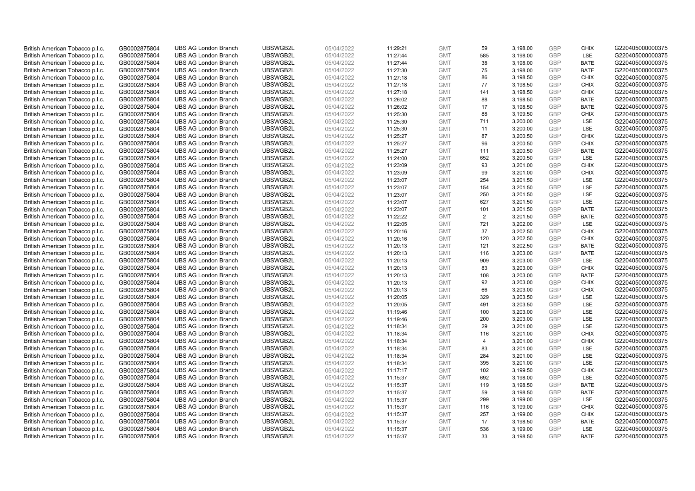| British American Tobacco p.l.c. | GB0002875804 | <b>UBS AG London Branch</b> | UBSWGB2L | 05/04/2022 | 11:29:21 | <b>GMT</b> | 59  | 3,198.00 | <b>GBP</b> | <b>CHIX</b> | G220405000000375 |
|---------------------------------|--------------|-----------------------------|----------|------------|----------|------------|-----|----------|------------|-------------|------------------|
| British American Tobacco p.l.c. | GB0002875804 | <b>UBS AG London Branch</b> | UBSWGB2L | 05/04/2022 | 11:27:44 | <b>GMT</b> | 585 | 3,198.00 | GBP        | LSE         | G220405000000375 |
| British American Tobacco p.l.c. | GB0002875804 | <b>UBS AG London Branch</b> | UBSWGB2L | 05/04/2022 | 11:27:44 | <b>GMT</b> | 38  | 3,198.00 | <b>GBP</b> | <b>BATE</b> | G220405000000375 |
| British American Tobacco p.l.c. | GB0002875804 | <b>UBS AG London Branch</b> | UBSWGB2L | 05/04/2022 | 11:27:30 | <b>GMT</b> | 75  | 3,198.00 | <b>GBP</b> | <b>BATE</b> | G220405000000375 |
| British American Tobacco p.l.c. | GB0002875804 | <b>UBS AG London Branch</b> | UBSWGB2L | 05/04/2022 | 11:27:18 | <b>GMT</b> | 86  | 3,198.50 | <b>GBP</b> | <b>CHIX</b> | G220405000000375 |
| British American Tobacco p.l.c. | GB0002875804 | <b>UBS AG London Branch</b> | UBSWGB2L | 05/04/2022 | 11:27:18 | <b>GMT</b> | 77  | 3,198.50 | <b>GBP</b> | <b>CHIX</b> | G220405000000375 |
| British American Tobacco p.l.c. | GB0002875804 | <b>UBS AG London Branch</b> | UBSWGB2L | 05/04/2022 | 11:27:18 | <b>GMT</b> | 141 | 3,198.50 | <b>GBP</b> | <b>CHIX</b> | G220405000000375 |
| British American Tobacco p.l.c. | GB0002875804 | <b>UBS AG London Branch</b> | UBSWGB2L | 05/04/2022 | 11:26:02 | <b>GMT</b> | 88  | 3,198.50 | <b>GBP</b> | <b>BATE</b> | G220405000000375 |
| British American Tobacco p.l.c. | GB0002875804 | <b>UBS AG London Branch</b> | UBSWGB2L | 05/04/2022 | 11:26:02 | <b>GMT</b> | 17  | 3,198.50 | <b>GBP</b> | <b>BATE</b> | G220405000000375 |
| British American Tobacco p.l.c. | GB0002875804 | <b>UBS AG London Branch</b> | UBSWGB2L | 05/04/2022 | 11:25:30 | <b>GMT</b> | 88  | 3,199.50 | <b>GBP</b> | <b>CHIX</b> | G220405000000375 |
| British American Tobacco p.l.c. | GB0002875804 | <b>UBS AG London Branch</b> | UBSWGB2L | 05/04/2022 | 11:25:30 | <b>GMT</b> | 711 | 3,200.00 | GBP        | <b>LSE</b>  | G220405000000375 |
| British American Tobacco p.l.c. | GB0002875804 | <b>UBS AG London Branch</b> | UBSWGB2L | 05/04/2022 | 11:25:30 | <b>GMT</b> | 11  | 3,200.00 | <b>GBP</b> | LSE         | G220405000000375 |
| British American Tobacco p.l.c. | GB0002875804 | <b>UBS AG London Branch</b> | UBSWGB2L | 05/04/2022 | 11:25:27 | <b>GMT</b> | 87  | 3,200.50 | GBP        | <b>CHIX</b> | G220405000000375 |
| British American Tobacco p.l.c. | GB0002875804 | <b>UBS AG London Branch</b> | UBSWGB2L | 05/04/2022 | 11:25:27 | <b>GMT</b> | 96  | 3,200.50 | <b>GBP</b> | <b>CHIX</b> | G220405000000375 |
| British American Tobacco p.l.c. | GB0002875804 | <b>UBS AG London Branch</b> | UBSWGB2L | 05/04/2022 | 11:25:27 | <b>GMT</b> | 111 | 3,200.50 | GBP        | <b>BATE</b> | G220405000000375 |
| British American Tobacco p.l.c. | GB0002875804 | <b>UBS AG London Branch</b> | UBSWGB2L | 05/04/2022 | 11:24:00 | <b>GMT</b> | 652 | 3,200.50 | GBP        | LSE         | G220405000000375 |
| British American Tobacco p.l.c. | GB0002875804 | <b>UBS AG London Branch</b> | UBSWGB2L | 05/04/2022 | 11:23:09 | <b>GMT</b> | 93  | 3,201.00 | GBP        | <b>CHIX</b> | G220405000000375 |
| British American Tobacco p.l.c. | GB0002875804 | <b>UBS AG London Branch</b> | UBSWGB2L | 05/04/2022 | 11:23:09 | <b>GMT</b> | 99  | 3,201.00 | <b>GBP</b> | <b>CHIX</b> | G220405000000375 |
| British American Tobacco p.l.c. | GB0002875804 | <b>UBS AG London Branch</b> | UBSWGB2L | 05/04/2022 | 11:23:07 | <b>GMT</b> | 254 | 3,201.50 | <b>GBP</b> | <b>LSE</b>  | G220405000000375 |
| British American Tobacco p.l.c. | GB0002875804 | <b>UBS AG London Branch</b> | UBSWGB2L | 05/04/2022 | 11:23:07 | <b>GMT</b> | 154 | 3,201.50 | <b>GBP</b> | LSE         | G220405000000375 |
| British American Tobacco p.l.c. | GB0002875804 | <b>UBS AG London Branch</b> | UBSWGB2L | 05/04/2022 | 11:23:07 | <b>GMT</b> | 250 | 3,201.50 | <b>GBP</b> | LSE         | G220405000000375 |
| British American Tobacco p.l.c. | GB0002875804 | <b>UBS AG London Branch</b> | UBSWGB2L | 05/04/2022 | 11:23:07 | <b>GMT</b> | 627 | 3,201.50 | GBP        | LSE         | G220405000000375 |
| British American Tobacco p.l.c. | GB0002875804 | <b>UBS AG London Branch</b> | UBSWGB2L | 05/04/2022 | 11:23:07 | <b>GMT</b> | 101 | 3,201.50 | <b>GBP</b> | <b>BATE</b> | G220405000000375 |
| British American Tobacco p.l.c. | GB0002875804 | <b>UBS AG London Branch</b> | UBSWGB2L | 05/04/2022 | 11:22:22 | <b>GMT</b> | 2   | 3,201.50 | GBP        | <b>BATE</b> | G220405000000375 |
| British American Tobacco p.l.c. | GB0002875804 | <b>UBS AG London Branch</b> | UBSWGB2L | 05/04/2022 | 11:22:05 | <b>GMT</b> | 721 | 3,202.00 | <b>GBP</b> | LSE         | G220405000000375 |
| British American Tobacco p.l.c. | GB0002875804 | <b>UBS AG London Branch</b> | UBSWGB2L | 05/04/2022 | 11:20:16 | <b>GMT</b> | 37  | 3,202.50 | GBP        | <b>CHIX</b> | G220405000000375 |
| British American Tobacco p.l.c. | GB0002875804 | <b>UBS AG London Branch</b> | UBSWGB2L | 05/04/2022 | 11:20:16 | <b>GMT</b> | 120 | 3,202.50 | <b>GBP</b> | <b>CHIX</b> | G220405000000375 |
| British American Tobacco p.l.c. | GB0002875804 | <b>UBS AG London Branch</b> | UBSWGB2L | 05/04/2022 | 11:20:13 | <b>GMT</b> | 121 | 3,202.50 | GBP        | <b>BATE</b> | G220405000000375 |
| British American Tobacco p.l.c. | GB0002875804 | <b>UBS AG London Branch</b> | UBSWGB2L | 05/04/2022 | 11:20:13 | <b>GMT</b> | 116 | 3,203.00 | <b>GBP</b> | <b>BATE</b> | G220405000000375 |
| British American Tobacco p.l.c. | GB0002875804 | <b>UBS AG London Branch</b> | UBSWGB2L | 05/04/2022 | 11:20:13 | <b>GMT</b> | 909 | 3,203.00 | GBP        | LSE         | G220405000000375 |
| British American Tobacco p.l.c. | GB0002875804 | <b>UBS AG London Branch</b> | UBSWGB2L | 05/04/2022 | 11:20:13 | <b>GMT</b> | 83  | 3,203.00 | <b>GBP</b> | <b>CHIX</b> | G220405000000375 |
| British American Tobacco p.l.c. | GB0002875804 | <b>UBS AG London Branch</b> | UBSWGB2L | 05/04/2022 | 11:20:13 | <b>GMT</b> | 108 | 3,203.00 | GBP        | <b>BATE</b> | G220405000000375 |
| British American Tobacco p.l.c. | GB0002875804 | <b>UBS AG London Branch</b> | UBSWGB2L | 05/04/2022 | 11:20:13 | <b>GMT</b> | 92  | 3,203.00 | <b>GBP</b> | <b>CHIX</b> | G220405000000375 |
| British American Tobacco p.l.c. | GB0002875804 | <b>UBS AG London Branch</b> | UBSWGB2L | 05/04/2022 | 11:20:13 | <b>GMT</b> | 66  | 3,203.00 | <b>GBP</b> | <b>CHIX</b> | G220405000000375 |
| British American Tobacco p.l.c. | GB0002875804 | <b>UBS AG London Branch</b> | UBSWGB2L | 05/04/2022 | 11:20:05 | <b>GMT</b> | 329 | 3,203.50 | GBP        | LSE         | G220405000000375 |
| British American Tobacco p.l.c. | GB0002875804 | <b>UBS AG London Branch</b> | UBSWGB2L | 05/04/2022 | 11:20:05 | <b>GMT</b> | 491 | 3,203.50 | <b>GBP</b> | LSE         | G220405000000375 |
| British American Tobacco p.l.c. | GB0002875804 | <b>UBS AG London Branch</b> | UBSWGB2L | 05/04/2022 | 11:19:46 | <b>GMT</b> | 100 | 3,203.00 | GBP        | <b>LSE</b>  | G220405000000375 |
| British American Tobacco p.l.c. | GB0002875804 | <b>UBS AG London Branch</b> | UBSWGB2L | 05/04/2022 | 11:19:46 | <b>GMT</b> | 200 | 3,203.00 | <b>GBP</b> | LSE         | G220405000000375 |
| British American Tobacco p.l.c. | GB0002875804 | <b>UBS AG London Branch</b> | UBSWGB2L | 05/04/2022 | 11:18:34 | <b>GMT</b> | 29  | 3,201.00 | <b>GBP</b> | LSE         | G220405000000375 |
| British American Tobacco p.l.c. | GB0002875804 | <b>UBS AG London Branch</b> | UBSWGB2L | 05/04/2022 | 11:18:34 | <b>GMT</b> | 116 | 3,201.00 | <b>GBP</b> | <b>CHIX</b> | G220405000000375 |
| British American Tobacco p.l.c. | GB0002875804 | <b>UBS AG London Branch</b> | UBSWGB2L | 05/04/2022 | 11:18:34 | <b>GMT</b> | 4   | 3,201.00 | GBP        | <b>CHIX</b> | G220405000000375 |
| British American Tobacco p.l.c. | GB0002875804 | <b>UBS AG London Branch</b> | UBSWGB2L | 05/04/2022 | 11:18:34 | <b>GMT</b> | 83  | 3,201.00 | <b>GBP</b> | <b>LSE</b>  | G220405000000375 |
| British American Tobacco p.l.c. | GB0002875804 | <b>UBS AG London Branch</b> | UBSWGB2L | 05/04/2022 | 11:18:34 | <b>GMT</b> | 284 | 3,201.00 | <b>GBP</b> | LSE         | G220405000000375 |
| British American Tobacco p.l.c. |              | <b>UBS AG London Branch</b> | UBSWGB2L | 05/04/2022 |          | <b>GMT</b> | 395 | 3,201.00 | <b>GBP</b> | <b>LSE</b>  | G220405000000375 |
|                                 | GB0002875804 |                             | UBSWGB2L |            | 11:18:34 |            | 102 |          | <b>GBP</b> | <b>CHIX</b> | G220405000000375 |
| British American Tobacco p.l.c. | GB0002875804 | <b>UBS AG London Branch</b> |          | 05/04/2022 | 11:17:17 | <b>GMT</b> |     | 3,199.50 |            |             |                  |
| British American Tobacco p.l.c. | GB0002875804 | <b>UBS AG London Branch</b> | UBSWGB2L | 05/04/2022 | 11:15:37 | <b>GMT</b> | 692 | 3,198.00 | <b>GBP</b> | LSE         | G220405000000375 |
| British American Tobacco p.l.c. | GB0002875804 | <b>UBS AG London Branch</b> | UBSWGB2L | 05/04/2022 | 11:15:37 | <b>GMT</b> | 119 | 3,198.50 | <b>GBP</b> | <b>BATE</b> | G220405000000375 |
| British American Tobacco p.l.c. | GB0002875804 | <b>UBS AG London Branch</b> | UBSWGB2L | 05/04/2022 | 11:15:37 | <b>GMT</b> | 59  | 3,198.50 | <b>GBP</b> | <b>BATE</b> | G220405000000375 |
| British American Tobacco p.l.c. | GB0002875804 | <b>UBS AG London Branch</b> | UBSWGB2L | 05/04/2022 | 11:15:37 | <b>GMT</b> | 299 | 3,199.00 | <b>GBP</b> | LSE         | G220405000000375 |
| British American Tobacco p.l.c. | GB0002875804 | <b>UBS AG London Branch</b> | UBSWGB2L | 05/04/2022 | 11:15:37 | <b>GMT</b> | 116 | 3,199.00 | <b>GBP</b> | <b>CHIX</b> | G220405000000375 |
| British American Tobacco p.l.c. | GB0002875804 | <b>UBS AG London Branch</b> | UBSWGB2L | 05/04/2022 | 11:15:37 | <b>GMT</b> | 257 | 3,199.00 | <b>GBP</b> | <b>CHIX</b> | G220405000000375 |
| British American Tobacco p.l.c. | GB0002875804 | <b>UBS AG London Branch</b> | UBSWGB2L | 05/04/2022 | 11:15:37 | <b>GMT</b> | 17  | 3,198.50 | <b>GBP</b> | <b>BATE</b> | G220405000000375 |
| British American Tobacco p.l.c. | GB0002875804 | <b>UBS AG London Branch</b> | UBSWGB2L | 05/04/2022 | 11:15:37 | <b>GMT</b> | 536 | 3,199.00 | <b>GBP</b> | <b>LSE</b>  | G220405000000375 |
| British American Tobacco p.l.c. | GB0002875804 | <b>UBS AG London Branch</b> | UBSWGB2L | 05/04/2022 | 11:15:37 | <b>GMT</b> | 33  | 3.198.50 | GBP        | <b>BATE</b> | G220405000000375 |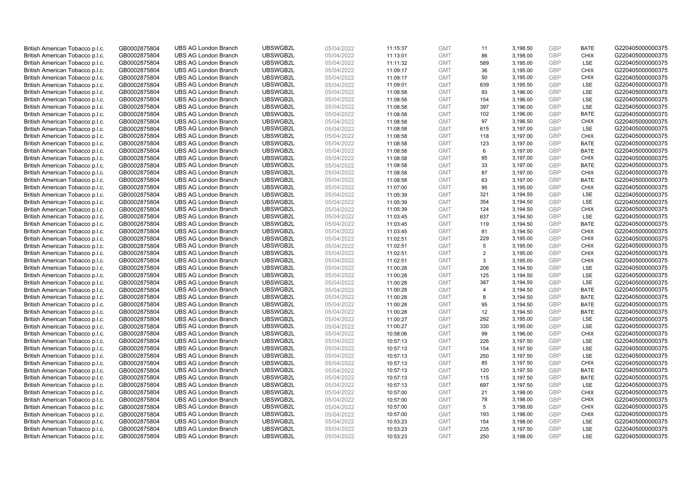| British American Tobacco p.l.c.                                    | GB0002875804                 | <b>UBS AG London Branch</b>                                | UBSWGB2L             | 05/04/2022               | 11:15:37             | <b>GMT</b>               | 11             | 3,198.50             | <b>GBP</b>               | <b>BATE</b>                | G220405000000375                     |
|--------------------------------------------------------------------|------------------------------|------------------------------------------------------------|----------------------|--------------------------|----------------------|--------------------------|----------------|----------------------|--------------------------|----------------------------|--------------------------------------|
| British American Tobacco p.l.c.                                    | GB0002875804                 | <b>UBS AG London Branch</b>                                | UBSWGB2L             | 05/04/2022               | 11:13:01             | <b>GMT</b>               | 86             | 3,198.00             | GBP                      | CHIX                       | G220405000000375                     |
| British American Tobacco p.l.c.                                    | GB0002875804                 | <b>UBS AG London Branch</b>                                | UBSWGB2L             | 05/04/2022               | 11:11:32             | <b>GMT</b>               | 589            | 3,195.00             | <b>GBP</b>               | <b>LSE</b>                 | G220405000000375                     |
| British American Tobacco p.l.c.                                    | GB0002875804                 | <b>UBS AG London Branch</b>                                | UBSWGB2L             | 05/04/2022               | 11:09:17             | <b>GMT</b>               | 36             | 3,195.00             | <b>GBP</b>               | <b>CHIX</b>                | G220405000000375                     |
| British American Tobacco p.l.c.                                    | GB0002875804                 | <b>UBS AG London Branch</b>                                | UBSWGB2L             | 05/04/2022               | 11:09:17             | <b>GMT</b>               | 50             | 3,195.00             | <b>GBP</b>               | <b>CHIX</b>                | G220405000000375                     |
| British American Tobacco p.l.c.                                    | GB0002875804                 | <b>UBS AG London Branch</b>                                | UBSWGB2L             | 05/04/2022               | 11:09:01             | <b>GMT</b>               | 639            | 3,195.50             | <b>GBP</b><br><b>GBP</b> | <b>LSE</b>                 | G220405000000375                     |
| British American Tobacco p.l.c.                                    | GB0002875804                 | <b>UBS AG London Branch</b>                                | UBSWGB2L             | 05/04/2022               | 11:08:58             | <b>GMT</b>               | 93             | 3,196.00             |                          | LSE                        | G220405000000375                     |
| British American Tobacco p.l.c.                                    | GB0002875804                 | <b>UBS AG London Branch</b><br><b>UBS AG London Branch</b> | UBSWGB2L<br>UBSWGB2L | 05/04/2022<br>05/04/2022 | 11:08:58             | <b>GMT</b>               | 154<br>397     | 3,196.00             | <b>GBP</b><br><b>GBP</b> | LSE<br>LSE                 | G220405000000375<br>G220405000000375 |
| British American Tobacco p.l.c.                                    | GB0002875804                 |                                                            |                      |                          | 11:08:58             | <b>GMT</b>               |                | 3,196.00             | <b>GBP</b>               |                            |                                      |
| British American Tobacco p.l.c.                                    | GB0002875804                 | <b>UBS AG London Branch</b>                                | UBSWGB2L             | 05/04/2022<br>05/04/2022 | 11:08:58             | <b>GMT</b><br><b>GMT</b> | 102<br>97      | 3,196.00             | <b>GBP</b>               | <b>BATE</b><br>CHIX        | G220405000000375                     |
| British American Tobacco p.l.c.                                    | GB0002875804                 | <b>UBS AG London Branch</b>                                | UBSWGB2L             |                          | 11:08:58             |                          |                | 3,196.50             |                          |                            | G220405000000375                     |
| British American Tobacco p.l.c.                                    | GB0002875804                 | <b>UBS AG London Branch</b><br><b>UBS AG London Branch</b> | UBSWGB2L<br>UBSWGB2L | 05/04/2022<br>05/04/2022 | 11:08:58             | <b>GMT</b>               | 615            | 3,197.00             | <b>GBP</b><br><b>GBP</b> | LSE<br><b>CHIX</b>         | G220405000000375<br>G220405000000375 |
| British American Tobacco p.l.c.                                    | GB0002875804                 | <b>UBS AG London Branch</b>                                | UBSWGB2L             |                          | 11:08:58             | <b>GMT</b>               | 118            | 3,197.00             | <b>GBP</b>               |                            | G220405000000375                     |
| British American Tobacco p.l.c.<br>British American Tobacco p.l.c. | GB0002875804                 | <b>UBS AG London Branch</b>                                | UBSWGB2L             | 05/04/2022<br>05/04/2022 | 11:08:58             | <b>GMT</b><br><b>GMT</b> | 123<br>6       | 3,197.00<br>3,197.00 | GBP                      | <b>BATE</b><br><b>BATE</b> | G220405000000375                     |
|                                                                    | GB0002875804                 | <b>UBS AG London Branch</b>                                | UBSWGB2L             |                          | 11:08:58             |                          |                |                      | GBP                      |                            | G220405000000375                     |
| British American Tobacco p.l.c.                                    | GB0002875804                 | <b>UBS AG London Branch</b>                                | UBSWGB2L             | 05/04/2022<br>05/04/2022 | 11:08:58             | <b>GMT</b><br><b>GMT</b> | 85             | 3,197.00             | GBP                      | <b>CHIX</b>                |                                      |
| British American Tobacco p.l.c.<br>British American Tobacco p.l.c. | GB0002875804<br>GB0002875804 | <b>UBS AG London Branch</b>                                | UBSWGB2L             | 05/04/2022               | 11:08:58             | <b>GMT</b>               | 33<br>87       | 3,197.00<br>3,197.00 | <b>GBP</b>               | <b>BATE</b><br><b>CHIX</b> | G220405000000375<br>G220405000000375 |
|                                                                    |                              | <b>UBS AG London Branch</b>                                | UBSWGB2L             |                          | 11:08:58             |                          | 63             |                      |                          | <b>BATE</b>                | G220405000000375                     |
| British American Tobacco p.l.c.                                    | GB0002875804<br>GB0002875804 | <b>UBS AG London Branch</b>                                | UBSWGB2L             | 05/04/2022<br>05/04/2022 | 11:08:58<br>11:07:00 | <b>GMT</b><br><b>GMT</b> | 95             | 3,197.00<br>3,195.00 | <b>GBP</b><br><b>GBP</b> | <b>CHIX</b>                | G220405000000375                     |
| British American Tobacco p.l.c.                                    |                              |                                                            |                      |                          |                      | <b>GMT</b>               | 321            | 3,194.50             | <b>GBP</b>               | LSE                        | G220405000000375                     |
| British American Tobacco p.l.c.<br>British American Tobacco p.l.c. | GB0002875804<br>GB0002875804 | <b>UBS AG London Branch</b><br><b>UBS AG London Branch</b> | UBSWGB2L<br>UBSWGB2L | 05/04/2022<br>05/04/2022 | 11:05:39<br>11:05:39 | <b>GMT</b>               | 354            | 3,194.50             | GBP                      | LSE                        | G220405000000375                     |
| British American Tobacco p.l.c.                                    | GB0002875804                 | <b>UBS AG London Branch</b>                                | UBSWGB2L             | 05/04/2022               | 11:05:39             | <b>GMT</b>               | 124            | 3,194.50             | <b>GBP</b>               | <b>CHIX</b>                | G220405000000375                     |
| British American Tobacco p.l.c.                                    | GB0002875804                 | <b>UBS AG London Branch</b>                                | UBSWGB2L             | 05/04/2022               | 11:03:45             | <b>GMT</b>               | 637            | 3,194.50             | GBP                      | <b>LSE</b>                 | G220405000000375                     |
| British American Tobacco p.l.c.                                    | GB0002875804                 | <b>UBS AG London Branch</b>                                | UBSWGB2L             | 05/04/2022               | 11:03:45             | <b>GMT</b>               | 119            | 3,194.50             | <b>GBP</b>               | <b>BATE</b>                | G220405000000375                     |
| British American Tobacco p.l.c.                                    | GB0002875804                 | <b>UBS AG London Branch</b>                                | UBSWGB2L             | 05/04/2022               | 11:03:45             | <b>GMT</b>               | 81             | 3,194.50             | <b>GBP</b>               | <b>CHIX</b>                | G220405000000375                     |
| British American Tobacco p.l.c.                                    | GB0002875804                 | <b>UBS AG London Branch</b>                                | UBSWGB2L             | 05/04/2022               | 11:02:51             | <b>GMT</b>               | 229            | 3,195.00             | <b>GBP</b>               | <b>CHIX</b>                | G220405000000375                     |
| British American Tobacco p.l.c.                                    | GB0002875804                 | <b>UBS AG London Branch</b>                                | UBSWGB2L             | 05/04/2022               | 11:02:51             | <b>GMT</b>               | 5              | 3,195.00             | GBP                      | <b>CHIX</b>                | G220405000000375                     |
| British American Tobacco p.l.c.                                    | GB0002875804                 | <b>UBS AG London Branch</b>                                | UBSWGB2L             | 05/04/2022               | 11:02:51             | <b>GMT</b>               | 2              | 3,195.00             | <b>GBP</b>               | <b>CHIX</b>                | G220405000000375                     |
| British American Tobacco p.l.c.                                    | GB0002875804                 | <b>UBS AG London Branch</b>                                | UBSWGB2L             | 05/04/2022               | 11:02:51             | <b>GMT</b>               | 3              | 3,195.00             | <b>GBP</b>               | <b>CHIX</b>                | G220405000000375                     |
| British American Tobacco p.l.c.                                    | GB0002875804                 | <b>UBS AG London Branch</b>                                | UBSWGB2L             | 05/04/2022               | 11:00:28             | <b>GMT</b>               | 206            | 3,194.50             | <b>GBP</b>               | <b>LSE</b>                 | G220405000000375                     |
| British American Tobacco p.l.c.                                    | GB0002875804                 | <b>UBS AG London Branch</b>                                | UBSWGB2L             | 05/04/2022               | 11:00:28             | <b>GMT</b>               | 125            | 3,194.50             | <b>GBP</b>               | <b>LSE</b>                 | G220405000000375                     |
| British American Tobacco p.l.c.                                    | GB0002875804                 | <b>UBS AG London Branch</b>                                | UBSWGB2L             | 05/04/2022               | 11:00:28             | <b>GMT</b>               | 387            | 3,194.50             | <b>GBP</b>               | LSE                        | G220405000000375                     |
| British American Tobacco p.l.c.                                    | GB0002875804                 | <b>UBS AG London Branch</b>                                | UBSWGB2L             | 05/04/2022               | 11:00:28             | <b>GMT</b>               | $\overline{4}$ | 3,194.50             | <b>GBP</b>               | <b>BATE</b>                | G220405000000375                     |
| British American Tobacco p.l.c.                                    | GB0002875804                 | <b>UBS AG London Branch</b>                                | UBSWGB2L             | 05/04/2022               | 11:00:28             | <b>GMT</b>               | 8              | 3,194.50             | GBP                      | <b>BATE</b>                | G220405000000375                     |
| British American Tobacco p.l.c.                                    | GB0002875804                 | <b>UBS AG London Branch</b>                                | UBSWGB2L             | 05/04/2022               | 11:00:28             | <b>GMT</b>               | 95             | 3,194.50             | <b>GBP</b>               | <b>BATE</b>                | G220405000000375                     |
| British American Tobacco p.l.c.                                    | GB0002875804                 | <b>UBS AG London Branch</b>                                | UBSWGB2L             | 05/04/2022               | 11:00:28             | <b>GMT</b>               | 12             | 3,194.50             | GBP                      | <b>BATE</b>                | G220405000000375                     |
| British American Tobacco p.l.c.                                    | GB0002875804                 | <b>UBS AG London Branch</b>                                | UBSWGB2L             | 05/04/2022               | 11:00:27             | <b>GMT</b>               | 292            | 3,195.00             | <b>GBP</b>               | LSE                        | G220405000000375                     |
| British American Tobacco p.l.c.                                    | GB0002875804                 | <b>UBS AG London Branch</b>                                | UBSWGB2L             | 05/04/2022               | 11:00:27             | <b>GMT</b>               | 330            | 3,195.00             | <b>GBP</b>               | LSE                        | G220405000000375                     |
| British American Tobacco p.l.c.                                    | GB0002875804                 | <b>UBS AG London Branch</b>                                | UBSWGB2L             | 05/04/2022               | 10:58:06             | <b>GMT</b>               | 99             | 3,196.00             | <b>GBP</b>               | <b>CHIX</b>                | G220405000000375                     |
| British American Tobacco p.l.c.                                    | GB0002875804                 | <b>UBS AG London Branch</b>                                | UBSWGB2L             | 05/04/2022               | 10:57:13             | <b>GMT</b>               | 226            | 3,197.50             | GBP                      | LSE                        | G220405000000375                     |
| British American Tobacco p.l.c.                                    | GB0002875804                 | <b>UBS AG London Branch</b>                                | UBSWGB2L             | 05/04/2022               | 10:57:13             | <b>GMT</b>               | 154            | 3,197.50             | <b>GBP</b>               | LSE                        | G220405000000375                     |
| British American Tobacco p.l.c.                                    | GB0002875804                 | <b>UBS AG London Branch</b>                                | UBSWGB2L             | 05/04/2022               | 10:57:13             | <b>GMT</b>               | 250            | 3,197.50             | <b>GBP</b>               | LSE                        | G220405000000375                     |
| British American Tobacco p.l.c.                                    | GB0002875804                 | <b>UBS AG London Branch</b>                                | UBSWGB2L             | 05/04/2022               | 10:57:13             | <b>GMT</b>               | 85             | 3,197.50             | <b>GBP</b>               | <b>CHIX</b>                | G220405000000375                     |
| British American Tobacco p.l.c.                                    | GB0002875804                 | <b>UBS AG London Branch</b>                                | UBSWGB2L             | 05/04/2022               | 10:57:13             | <b>GMT</b>               | 120            | 3,197.50             | GBP                      | <b>BATE</b>                | G220405000000375                     |
| British American Tobacco p.l.c.                                    | GB0002875804                 | <b>UBS AG London Branch</b>                                | UBSWGB2L             | 05/04/2022               | 10:57:13             | <b>GMT</b>               | 115            | 3,197.50             | <b>GBP</b>               | <b>BATE</b>                | G220405000000375                     |
| British American Tobacco p.l.c.                                    | GB0002875804                 | <b>UBS AG London Branch</b>                                | UBSWGB2L             | 05/04/2022               | 10:57:13             | <b>GMT</b>               | 697            | 3,197.50             | <b>GBP</b>               | LSE                        | G220405000000375                     |
| British American Tobacco p.l.c.                                    | GB0002875804                 | <b>UBS AG London Branch</b>                                | UBSWGB2L             | 05/04/2022               | 10:57:00             | <b>GMT</b>               | 21             | 3,198.00             | GBP                      | <b>CHIX</b>                | G220405000000375                     |
| British American Tobacco p.l.c.                                    | GB0002875804                 | <b>UBS AG London Branch</b>                                | UBSWGB2L             | 05/04/2022               | 10:57:00             | <b>GMT</b>               | 78             | 3,198.00             | <b>GBP</b>               | <b>CHIX</b>                | G220405000000375                     |
| British American Tobacco p.l.c.                                    | GB0002875804                 | <b>UBS AG London Branch</b>                                | UBSWGB2L             | 05/04/2022               | 10:57:00             | <b>GMT</b>               | 5              | 3,198.00             | GBP                      | <b>CHIX</b>                | G220405000000375                     |
| British American Tobacco p.l.c.                                    | GB0002875804                 | <b>UBS AG London Branch</b>                                | UBSWGB2L             | 05/04/2022               | 10:57:00             | <b>GMT</b>               | 193            | 3,198.00             | GBP                      | <b>CHIX</b>                | G220405000000375                     |
| British American Tobacco p.l.c.                                    | GB0002875804                 | <b>UBS AG London Branch</b>                                | UBSWGB2L             | 05/04/2022               | 10:53:23             | <b>GMT</b>               | 154            | 3,198.00             | <b>GBP</b>               | LSE                        | G220405000000375                     |
| British American Tobacco p.l.c.                                    | GB0002875804                 | <b>UBS AG London Branch</b>                                | UBSWGB2L             | 05/04/2022               | 10:53:23             | <b>GMT</b>               | 235            | 3,197.50             | <b>GBP</b>               | LSE                        | G220405000000375                     |
| British American Tobacco p.l.c.                                    | GB0002875804                 | <b>UBS AG London Branch</b>                                | UBSWGB2L             | 05/04/2022               | 10:53:23             | <b>GMT</b>               | 250            | 3.198.00             | GBP                      | <b>LSE</b>                 | G220405000000375                     |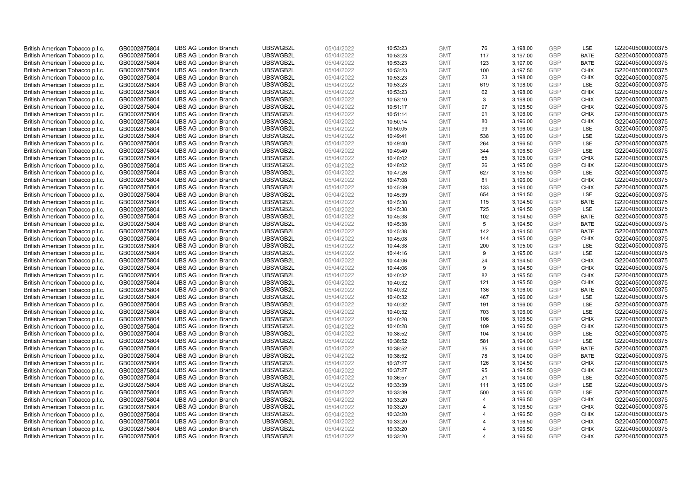| British American Tobacco p.l.c.                                    | GB0002875804                 | <b>UBS AG London Branch</b>                                | UBSWGB2L             | 05/04/2022               | 10:53:23             | <b>GMT</b>               | 76                    | 3,198.00             | <b>GBP</b>        | LSE                        | G220405000000375                     |
|--------------------------------------------------------------------|------------------------------|------------------------------------------------------------|----------------------|--------------------------|----------------------|--------------------------|-----------------------|----------------------|-------------------|----------------------------|--------------------------------------|
| British American Tobacco p.l.c.                                    | GB0002875804                 | <b>UBS AG London Branch</b>                                | UBSWGB2L             | 05/04/2022               | 10:53:23             | <b>GMT</b>               | 117                   | 3,197.00             | GBP               | <b>BATE</b>                | G220405000000375                     |
| British American Tobacco p.l.c.                                    | GB0002875804                 | <b>UBS AG London Branch</b>                                | UBSWGB2L             | 05/04/2022               | 10:53:23             | <b>GMT</b>               | 123                   | 3,197.00             | GBP               | <b>BATE</b>                | G220405000000375                     |
| British American Tobacco p.l.c.                                    | GB0002875804                 | <b>UBS AG London Branch</b>                                | UBSWGB2L             | 05/04/2022               | 10:53:23             | <b>GMT</b>               | 100                   | 3,197.50             | <b>GBP</b>        | <b>CHIX</b>                | G220405000000375                     |
| British American Tobacco p.l.c.                                    | GB0002875804                 | <b>UBS AG London Branch</b>                                | UBSWGB2L             | 05/04/2022               | 10:53:23             | <b>GMT</b>               | 23                    | 3,198.00             | GBP               | <b>CHIX</b>                | G220405000000375                     |
| British American Tobacco p.l.c.                                    | GB0002875804                 | <b>UBS AG London Branch</b>                                | UBSWGB2L             | 05/04/2022               | 10:53:23             | <b>GMT</b>               | 619                   | 3,198.00             | <b>GBP</b>        | <b>LSE</b>                 | G220405000000375                     |
| British American Tobacco p.l.c.                                    | GB0002875804                 | <b>UBS AG London Branch</b>                                | UBSWGB2L             | 05/04/2022               | 10:53:23             | <b>GMT</b>               | 62                    | 3,198.00             | GBP               | <b>CHIX</b>                | G220405000000375                     |
| British American Tobacco p.l.c.                                    | GB0002875804                 | <b>UBS AG London Branch</b>                                | UBSWGB2L             | 05/04/2022               | 10:53:10             | <b>GMT</b>               | 3                     | 3,198.00             | <b>GBP</b>        | <b>CHIX</b>                | G220405000000375                     |
| British American Tobacco p.l.c.                                    | GB0002875804                 | <b>UBS AG London Branch</b>                                | UBSWGB2L             | 05/04/2022               | 10:51:17             | <b>GMT</b>               | 97                    | 3,195.50             | GBP               | <b>CHIX</b>                | G220405000000375                     |
| British American Tobacco p.l.c.                                    | GB0002875804                 | <b>UBS AG London Branch</b>                                | UBSWGB2L             | 05/04/2022               | 10:51:14             | <b>GMT</b>               | 91                    | 3,196.00             | <b>GBP</b>        | <b>CHIX</b>                | G220405000000375                     |
| British American Tobacco p.l.c.                                    | GB0002875804                 | <b>UBS AG London Branch</b>                                | UBSWGB2L             | 05/04/2022               | 10:50:14             | <b>GMT</b>               | 80                    | 3,196.00             | GBP               | <b>CHIX</b>                | G220405000000375                     |
| British American Tobacco p.l.c.                                    | GB0002875804                 | <b>UBS AG London Branch</b>                                | UBSWGB2L             | 05/04/2022               | 10:50:05             | <b>GMT</b>               | 99                    | 3,196.00             | <b>GBP</b>        | LSE                        | G220405000000375                     |
| British American Tobacco p.l.c.                                    | GB0002875804                 | <b>UBS AG London Branch</b>                                | UBSWGB2L             | 05/04/2022               | 10:49:41             | <b>GMT</b>               | 538                   | 3,196.00             | <b>GBP</b>        | LSE                        | G220405000000375                     |
| British American Tobacco p.l.c.                                    | GB0002875804                 | <b>UBS AG London Branch</b>                                | UBSWGB2L             | 05/04/2022               | 10:49:40             | <b>GMT</b>               | 264                   | 3,196.50             | <b>GBP</b>        | LSE                        | G220405000000375                     |
| British American Tobacco p.l.c.                                    | GB0002875804                 | <b>UBS AG London Branch</b>                                | UBSWGB2L             | 05/04/2022               | 10:49:40             | <b>GMT</b>               | 344                   | 3,196.50             | GBP               | LSE                        | G220405000000375                     |
| British American Tobacco p.l.c.                                    | GB0002875804                 | <b>UBS AG London Branch</b>                                | UBSWGB2L             | 05/04/2022               | 10:48:02             | <b>GMT</b>               | 65                    | 3,195.00             | <b>GBP</b>        | <b>CHIX</b>                | G220405000000375                     |
| British American Tobacco p.l.c.                                    | GB0002875804                 | <b>UBS AG London Branch</b>                                | UBSWGB2L             | 05/04/2022               | 10:48:02             | <b>GMT</b>               | 26                    | 3,195.00             | <b>GBP</b>        | <b>CHIX</b>                | G220405000000375                     |
| British American Tobacco p.l.c.                                    | GB0002875804                 | <b>UBS AG London Branch</b>                                | UBSWGB2L             | 05/04/2022               | 10:47:26             | <b>GMT</b>               | 627                   | 3,195.50             | <b>GBP</b>        | <b>LSE</b>                 | G220405000000375                     |
| British American Tobacco p.l.c.                                    | GB0002875804                 | <b>UBS AG London Branch</b>                                | UBSWGB2L             | 05/04/2022               | 10:47:08             | <b>GMT</b>               | 81                    | 3,196.00             | <b>GBP</b>        | <b>CHIX</b>                | G220405000000375                     |
| British American Tobacco p.l.c.                                    | GB0002875804                 | <b>UBS AG London Branch</b>                                | UBSWGB2L             | 05/04/2022               | 10:45:39             | <b>GMT</b>               | 133                   | 3,194.00             | <b>GBP</b>        | <b>CHIX</b>                | G220405000000375                     |
| British American Tobacco p.l.c.                                    | GB0002875804                 | <b>UBS AG London Branch</b>                                | UBSWGB2L             | 05/04/2022               | 10:45:39             | <b>GMT</b>               | 654                   | 3,194.50             | <b>GBP</b>        | LSE                        | G220405000000375                     |
| British American Tobacco p.l.c.                                    | GB0002875804                 | <b>UBS AG London Branch</b>                                | UBSWGB2L             | 05/04/2022               | 10:45:38             | <b>GMT</b>               | 115                   | 3,194.50             | GBP               | <b>BATE</b>                | G220405000000375                     |
| British American Tobacco p.l.c.                                    | GB0002875804                 | <b>UBS AG London Branch</b>                                | UBSWGB2L             | 05/04/2022               | 10:45:38             | <b>GMT</b>               | 725                   | 3,194.50             | <b>GBP</b><br>GBP | LSE                        | G220405000000375                     |
| British American Tobacco p.l.c.                                    | GB0002875804                 | <b>UBS AG London Branch</b>                                | UBSWGB2L             | 05/04/2022               | 10:45:38             | <b>GMT</b>               | 102                   | 3,194.50             |                   | <b>BATE</b>                | G220405000000375                     |
| British American Tobacco p.l.c.<br>British American Tobacco p.l.c. | GB0002875804<br>GB0002875804 | <b>UBS AG London Branch</b><br><b>UBS AG London Branch</b> | UBSWGB2L<br>UBSWGB2L | 05/04/2022<br>05/04/2022 | 10:45:38<br>10:45:38 | <b>GMT</b><br><b>GMT</b> | 5<br>142              | 3,194.50<br>3,194.50 | <b>GBP</b><br>GBP | <b>BATE</b><br><b>BATE</b> | G220405000000375<br>G220405000000375 |
| British American Tobacco p.l.c.                                    | GB0002875804                 | <b>UBS AG London Branch</b>                                | UBSWGB2L             | 05/04/2022               | 10:45:08             | <b>GMT</b>               | 144                   | 3,195.00             | <b>GBP</b>        | <b>CHIX</b>                | G220405000000375                     |
| British American Tobacco p.l.c.                                    | GB0002875804                 | <b>UBS AG London Branch</b>                                | UBSWGB2L             | 05/04/2022               | 10:44:38             | <b>GMT</b>               | 200                   | 3,195.00             | GBP               | LSE                        | G220405000000375                     |
| British American Tobacco p.l.c.                                    | GB0002875804                 | <b>UBS AG London Branch</b>                                | UBSWGB2L             | 05/04/2022               | 10:44:16             | <b>GMT</b>               | 9                     | 3,195.00             | <b>GBP</b>        | LSE                        | G220405000000375                     |
| British American Tobacco p.l.c.                                    | GB0002875804                 | <b>UBS AG London Branch</b>                                | UBSWGB2L             | 05/04/2022               | 10:44:06             | <b>GMT</b>               | 24                    | 3,194.50             | GBP               | <b>CHIX</b>                | G220405000000375                     |
| British American Tobacco p.l.c.                                    | GB0002875804                 | <b>UBS AG London Branch</b>                                | UBSWGB2L             | 05/04/2022               | 10:44:06             | <b>GMT</b>               | 9                     | 3,194.50             | <b>GBP</b>        | <b>CHIX</b>                | G220405000000375                     |
| British American Tobacco p.l.c.                                    | GB0002875804                 | <b>UBS AG London Branch</b>                                | UBSWGB2L             | 05/04/2022               | 10:40:32             | <b>GMT</b>               | 82                    | 3,195.50             | GBP               | <b>CHIX</b>                | G220405000000375                     |
| British American Tobacco p.l.c.                                    | GB0002875804                 | <b>UBS AG London Branch</b>                                | UBSWGB2L             | 05/04/2022               | 10:40:32             | <b>GMT</b>               | 121                   | 3,195.50             | <b>GBP</b>        | <b>CHIX</b>                | G220405000000375                     |
| British American Tobacco p.l.c.                                    | GB0002875804                 | <b>UBS AG London Branch</b>                                | UBSWGB2L             | 05/04/2022               | 10:40:32             | <b>GMT</b>               | 136                   | 3,196.00             | <b>GBP</b>        | <b>BATE</b>                | G220405000000375                     |
| British American Tobacco p.l.c.                                    | GB0002875804                 | <b>UBS AG London Branch</b>                                | UBSWGB2L             | 05/04/2022               | 10:40:32             | <b>GMT</b>               | 467                   | 3,196.00             | GBP               | LSE                        | G220405000000375                     |
| British American Tobacco p.l.c.                                    | GB0002875804                 | <b>UBS AG London Branch</b>                                | UBSWGB2L             | 05/04/2022               | 10:40:32             | <b>GMT</b>               | 191                   | 3,196.00             | <b>GBP</b>        | LSE                        | G220405000000375                     |
| British American Tobacco p.l.c.                                    | GB0002875804                 | <b>UBS AG London Branch</b>                                | UBSWGB2L             | 05/04/2022               | 10:40:32             | <b>GMT</b>               | 703                   | 3,196.00             | GBP               | <b>LSE</b>                 | G220405000000375                     |
| British American Tobacco p.l.c.                                    | GB0002875804                 | <b>UBS AG London Branch</b>                                | UBSWGB2L             | 05/04/2022               | 10:40:28             | <b>GMT</b>               | 106                   | 3,196.50             | <b>GBP</b>        | <b>CHIX</b>                | G220405000000375                     |
| British American Tobacco p.l.c.                                    | GB0002875804                 | <b>UBS AG London Branch</b>                                | UBSWGB2L             | 05/04/2022               | 10:40:28             | <b>GMT</b>               | 109                   | 3,196.50             | <b>GBP</b>        | <b>CHIX</b>                | G220405000000375                     |
| British American Tobacco p.l.c.                                    | GB0002875804                 | <b>UBS AG London Branch</b>                                | UBSWGB2L             | 05/04/2022               | 10:38:52             | <b>GMT</b>               | 104                   | 3,194.00             | <b>GBP</b>        | <b>LSE</b>                 | G220405000000375                     |
| British American Tobacco p.l.c.                                    | GB0002875804                 | <b>UBS AG London Branch</b>                                | UBSWGB2L             | 05/04/2022               | 10:38:52             | <b>GMT</b>               | 581                   | 3,194.00             | GBP               | LSE                        | G220405000000375                     |
| British American Tobacco p.l.c.                                    | GB0002875804                 | <b>UBS AG London Branch</b>                                | UBSWGB2L             | 05/04/2022               | 10:38:52             | <b>GMT</b>               | 35                    | 3,194.00             | <b>GBP</b>        | <b>BATE</b>                | G220405000000375                     |
| British American Tobacco p.l.c.                                    | GB0002875804                 | <b>UBS AG London Branch</b>                                | UBSWGB2L             | 05/04/2022               | 10:38:52             | <b>GMT</b>               | 78                    | 3,194.00             | <b>GBP</b>        | <b>BATE</b>                | G220405000000375                     |
| British American Tobacco p.l.c.                                    | GB0002875804                 | <b>UBS AG London Branch</b>                                | UBSWGB2L             | 05/04/2022               | 10:37:27             | <b>GMT</b>               | 126                   | 3,194.50             | <b>GBP</b>        | <b>CHIX</b>                | G220405000000375                     |
| British American Tobacco p.l.c.                                    | GB0002875804                 | <b>UBS AG London Branch</b>                                | UBSWGB2L             | 05/04/2022               | 10:37:27             | <b>GMT</b>               | 95                    | 3,194.50             | <b>GBP</b>        | <b>CHIX</b>                | G220405000000375                     |
| British American Tobacco p.l.c.                                    | GB0002875804                 | <b>UBS AG London Branch</b>                                | UBSWGB2L             | 05/04/2022               | 10:36:57             | <b>GMT</b>               | 21                    | 3,194.00             | <b>GBP</b>        | LSE                        | G220405000000375                     |
| British American Tobacco p.l.c.                                    | GB0002875804                 | <b>UBS AG London Branch</b>                                | UBSWGB2L             | 05/04/2022               | 10:33:39             | <b>GMT</b>               | 111                   | 3,195.00             | <b>GBP</b>        | LSE                        | G220405000000375                     |
| British American Tobacco p.l.c.                                    | GB0002875804                 | <b>UBS AG London Branch</b>                                | UBSWGB2L             | 05/04/2022               | 10:33:39             | <b>GMT</b>               | 500                   | 3,195.00             | <b>GBP</b>        | LSE                        | G220405000000375                     |
| British American Tobacco p.l.c.                                    | GB0002875804                 | <b>UBS AG London Branch</b>                                | UBSWGB2L             | 05/04/2022               | 10:33:20             | <b>GMT</b>               | $\overline{4}$        | 3,196.50             | <b>GBP</b>        | <b>CHIX</b>                | G220405000000375                     |
| British American Tobacco p.l.c.                                    | GB0002875804                 | <b>UBS AG London Branch</b>                                | UBSWGB2L             | 05/04/2022               | 10:33:20             | <b>GMT</b>               | $\overline{4}$        | 3,196.50             | <b>GBP</b>        | <b>CHIX</b>                | G220405000000375                     |
| British American Tobacco p.l.c.                                    | GB0002875804                 | <b>UBS AG London Branch</b>                                | UBSWGB2L             | 05/04/2022               | 10:33:20             | <b>GMT</b>               | $\overline{4}$        | 3,196.50             | GBP               | <b>CHIX</b>                | G220405000000375                     |
| British American Tobacco p.l.c.                                    | GB0002875804                 | <b>UBS AG London Branch</b>                                | UBSWGB2L             | 05/04/2022               | 10:33:20             | <b>GMT</b>               | 4                     | 3,196.50             | <b>GBP</b>        | <b>CHIX</b>                | G220405000000375                     |
| British American Tobacco p.l.c.                                    | GB0002875804                 | <b>UBS AG London Branch</b>                                | UBSWGB2L             | 05/04/2022               | 10:33:20             | <b>GMT</b>               | 4                     | 3,196.50             | <b>GBP</b>        | <b>CHIX</b>                | G220405000000375                     |
| British American Tobacco p.l.c.                                    | GB0002875804                 | <b>UBS AG London Branch</b>                                | UBSWGB2L             | 05/04/2022               | 10:33:20             | <b>GMT</b>               | $\boldsymbol{\Delta}$ | 3,196.50             | GBP               | CHIX                       | G220405000000375                     |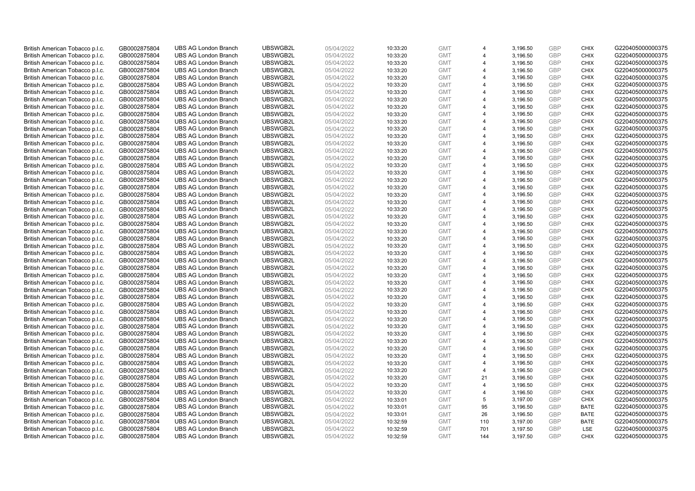| British American Tobacco p.l.c. | GB0002875804 | <b>UBS AG London Branch</b> | UBSWGB2L | 05/04/2022 | 10:33:20 | <b>GMT</b> | $\overline{4}$        | 3,196.50 | <b>GBP</b> | <b>CHIX</b> | G220405000000375 |
|---------------------------------|--------------|-----------------------------|----------|------------|----------|------------|-----------------------|----------|------------|-------------|------------------|
| British American Tobacco p.l.c. | GB0002875804 | <b>UBS AG London Branch</b> | UBSWGB2L | 05/04/2022 | 10:33:20 | <b>GMT</b> |                       | 3,196.50 | <b>GBP</b> | CHIX        | G220405000000375 |
| British American Tobacco p.l.c. | GB0002875804 | <b>UBS AG London Branch</b> | UBSWGB2L | 05/04/2022 | 10:33:20 | <b>GMT</b> | $\overline{4}$        | 3,196.50 | <b>GBP</b> | <b>CHIX</b> | G220405000000375 |
| British American Tobacco p.l.c. | GB0002875804 | <b>UBS AG London Branch</b> | UBSWGB2L | 05/04/2022 | 10:33:20 | <b>GMT</b> | $\overline{4}$        | 3,196.50 | <b>GBP</b> | <b>CHIX</b> | G220405000000375 |
| British American Tobacco p.l.c. | GB0002875804 | <b>UBS AG London Branch</b> | UBSWGB2L | 05/04/2022 | 10:33:20 | <b>GMT</b> | 4                     | 3,196.50 | <b>GBP</b> | <b>CHIX</b> | G220405000000375 |
| British American Tobacco p.l.c. | GB0002875804 | <b>UBS AG London Branch</b> | UBSWGB2L | 05/04/2022 | 10:33:20 | <b>GMT</b> | $\overline{4}$        | 3,196.50 | <b>GBP</b> | <b>CHIX</b> | G220405000000375 |
| British American Tobacco p.l.c. | GB0002875804 | <b>UBS AG London Branch</b> | UBSWGB2L | 05/04/2022 | 10:33:20 | <b>GMT</b> | $\overline{4}$        | 3,196.50 | <b>GBP</b> | <b>CHIX</b> | G220405000000375 |
| British American Tobacco p.l.c. | GB0002875804 | <b>UBS AG London Branch</b> | UBSWGB2L | 05/04/2022 | 10:33:20 | <b>GMT</b> | $\overline{4}$        | 3,196.50 | <b>GBP</b> | <b>CHIX</b> | G220405000000375 |
| British American Tobacco p.l.c. | GB0002875804 | <b>UBS AG London Branch</b> | UBSWGB2L | 05/04/2022 | 10:33:20 | <b>GMT</b> | $\overline{4}$        | 3,196.50 | <b>GBP</b> | <b>CHIX</b> | G220405000000375 |
| British American Tobacco p.l.c. | GB0002875804 | <b>UBS AG London Branch</b> | UBSWGB2L | 05/04/2022 | 10:33:20 | <b>GMT</b> | 4                     | 3,196.50 | <b>GBP</b> | <b>CHIX</b> | G220405000000375 |
| British American Tobacco p.l.c. | GB0002875804 | <b>UBS AG London Branch</b> | UBSWGB2L | 05/04/2022 | 10:33:20 | <b>GMT</b> |                       | 3,196.50 | GBP        | <b>CHIX</b> | G220405000000375 |
| British American Tobacco p.l.c. | GB0002875804 | <b>UBS AG London Branch</b> | UBSWGB2L | 05/04/2022 | 10:33:20 | <b>GMT</b> | $\overline{4}$        | 3,196.50 | <b>GBP</b> | <b>CHIX</b> | G220405000000375 |
| British American Tobacco p.l.c. | GB0002875804 | <b>UBS AG London Branch</b> | UBSWGB2L | 05/04/2022 | 10:33:20 | <b>GMT</b> | $\overline{4}$        | 3,196.50 | GBP        | <b>CHIX</b> | G220405000000375 |
| British American Tobacco p.l.c. | GB0002875804 | <b>UBS AG London Branch</b> | UBSWGB2L | 05/04/2022 | 10:33:20 | <b>GMT</b> | $\overline{4}$        | 3,196.50 | <b>GBP</b> | <b>CHIX</b> | G220405000000375 |
| British American Tobacco p.l.c. | GB0002875804 | <b>UBS AG London Branch</b> | UBSWGB2L | 05/04/2022 | 10:33:20 | <b>GMT</b> | $\overline{4}$        | 3,196.50 | GBP        | <b>CHIX</b> | G220405000000375 |
| British American Tobacco p.l.c. | GB0002875804 | <b>UBS AG London Branch</b> | UBSWGB2L | 05/04/2022 | 10:33:20 | <b>GMT</b> | $\overline{4}$        | 3,196.50 | GBP        | <b>CHIX</b> | G220405000000375 |
| British American Tobacco p.l.c. | GB0002875804 | <b>UBS AG London Branch</b> | UBSWGB2L | 05/04/2022 | 10:33:20 | <b>GMT</b> | $\overline{4}$        | 3,196.50 | GBP        | <b>CHIX</b> | G220405000000375 |
| British American Tobacco p.l.c. | GB0002875804 | <b>UBS AG London Branch</b> | UBSWGB2L | 05/04/2022 | 10:33:20 | <b>GMT</b> | 4                     | 3,196.50 | GBP        | <b>CHIX</b> | G220405000000375 |
| British American Tobacco p.l.c. | GB0002875804 | <b>UBS AG London Branch</b> | UBSWGB2L | 05/04/2022 | 10:33:20 | <b>GMT</b> | $\overline{4}$        | 3,196.50 | <b>GBP</b> | <b>CHIX</b> | G220405000000375 |
| British American Tobacco p.l.c. | GB0002875804 | <b>UBS AG London Branch</b> | UBSWGB2L | 05/04/2022 | 10:33:20 | <b>GMT</b> | $\overline{4}$        | 3,196.50 | <b>GBP</b> | <b>CHIX</b> | G220405000000375 |
| British American Tobacco p.l.c. | GB0002875804 | <b>UBS AG London Branch</b> | UBSWGB2L | 05/04/2022 | 10:33:20 | <b>GMT</b> | $\overline{4}$        | 3,196.50 | <b>GBP</b> | <b>CHIX</b> | G220405000000375 |
| British American Tobacco p.l.c. | GB0002875804 | <b>UBS AG London Branch</b> | UBSWGB2L | 05/04/2022 | 10:33:20 | <b>GMT</b> | $\overline{4}$        | 3,196.50 | GBP        | <b>CHIX</b> | G220405000000375 |
| British American Tobacco p.l.c. | GB0002875804 | <b>UBS AG London Branch</b> | UBSWGB2L | 05/04/2022 | 10:33:20 | <b>GMT</b> | 4                     | 3,196.50 | <b>GBP</b> | <b>CHIX</b> | G220405000000375 |
| British American Tobacco p.l.c. | GB0002875804 | <b>UBS AG London Branch</b> | UBSWGB2L | 05/04/2022 | 10:33:20 | <b>GMT</b> | $\overline{4}$        | 3,196.50 | GBP        | <b>CHIX</b> | G220405000000375 |
| British American Tobacco p.l.c. | GB0002875804 | <b>UBS AG London Branch</b> | UBSWGB2L | 05/04/2022 | 10:33:20 | <b>GMT</b> | $\overline{4}$        | 3,196.50 | <b>GBP</b> | <b>CHIX</b> | G220405000000375 |
| British American Tobacco p.l.c. | GB0002875804 | <b>UBS AG London Branch</b> | UBSWGB2L | 05/04/2022 | 10:33:20 | <b>GMT</b> | $\overline{4}$        | 3,196.50 | GBP        | <b>CHIX</b> | G220405000000375 |
| British American Tobacco p.l.c. | GB0002875804 | <b>UBS AG London Branch</b> | UBSWGB2L | 05/04/2022 | 10:33:20 | <b>GMT</b> | $\overline{4}$        | 3,196.50 | <b>GBP</b> | <b>CHIX</b> | G220405000000375 |
| British American Tobacco p.l.c. | GB0002875804 | <b>UBS AG London Branch</b> | UBSWGB2L | 05/04/2022 | 10:33:20 | <b>GMT</b> | $\overline{4}$        | 3,196.50 | GBP        | <b>CHIX</b> | G220405000000375 |
| British American Tobacco p.l.c. | GB0002875804 | <b>UBS AG London Branch</b> | UBSWGB2L | 05/04/2022 | 10:33:20 | <b>GMT</b> | $\overline{4}$        | 3,196.50 | <b>GBP</b> | <b>CHIX</b> | G220405000000375 |
| British American Tobacco p.l.c. | GB0002875804 | <b>UBS AG London Branch</b> | UBSWGB2L | 05/04/2022 | 10:33:20 | <b>GMT</b> | $\overline{4}$        | 3,196.50 | GBP        | <b>CHIX</b> | G220405000000375 |
| British American Tobacco p.l.c. | GB0002875804 | <b>UBS AG London Branch</b> | UBSWGB2L | 05/04/2022 | 10:33:20 | <b>GMT</b> | 4                     | 3,196.50 | <b>GBP</b> | <b>CHIX</b> | G220405000000375 |
| British American Tobacco p.l.c. | GB0002875804 | <b>UBS AG London Branch</b> | UBSWGB2L | 05/04/2022 | 10:33:20 | <b>GMT</b> | $\overline{4}$        | 3,196.50 | GBP        | <b>CHIX</b> | G220405000000375 |
| British American Tobacco p.l.c. | GB0002875804 | <b>UBS AG London Branch</b> | UBSWGB2L | 05/04/2022 | 10:33:20 | <b>GMT</b> | $\overline{4}$        | 3,196.50 | <b>GBP</b> | <b>CHIX</b> | G220405000000375 |
| British American Tobacco p.l.c. | GB0002875804 | <b>UBS AG London Branch</b> | UBSWGB2L | 05/04/2022 | 10:33:20 | <b>GMT</b> | $\overline{4}$        | 3,196.50 | <b>GBP</b> | <b>CHIX</b> | G220405000000375 |
| British American Tobacco p.l.c. | GB0002875804 | <b>UBS AG London Branch</b> | UBSWGB2L | 05/04/2022 | 10:33:20 | <b>GMT</b> | $\overline{4}$        | 3,196.50 | GBP        | <b>CHIX</b> | G220405000000375 |
| British American Tobacco p.l.c. | GB0002875804 | <b>UBS AG London Branch</b> | UBSWGB2L | 05/04/2022 | 10:33:20 | <b>GMT</b> | 4                     | 3,196.50 | <b>GBP</b> | <b>CHIX</b> | G220405000000375 |
| British American Tobacco p.l.c. | GB0002875804 | <b>UBS AG London Branch</b> | UBSWGB2L | 05/04/2022 | 10:33:20 | <b>GMT</b> | $\overline{4}$        | 3,196.50 | GBP        | <b>CHIX</b> | G220405000000375 |
| British American Tobacco p.l.c. | GB0002875804 | <b>UBS AG London Branch</b> | UBSWGB2L | 05/04/2022 | 10:33:20 | <b>GMT</b> | $\boldsymbol{\Delta}$ | 3,196.50 | <b>GBP</b> | <b>CHIX</b> | G220405000000375 |
| British American Tobacco p.l.c. | GB0002875804 | <b>UBS AG London Branch</b> | UBSWGB2L | 05/04/2022 | 10:33:20 | <b>GMT</b> | $\overline{4}$        | 3,196.50 | GBP        | <b>CHIX</b> | G220405000000375 |
| British American Tobacco p.l.c. | GB0002875804 | <b>UBS AG London Branch</b> | UBSWGB2L | 05/04/2022 | 10:33:20 | <b>GMT</b> | $\overline{4}$        | 3,196.50 | <b>GBP</b> | <b>CHIX</b> | G220405000000375 |
| British American Tobacco p.l.c. | GB0002875804 | <b>UBS AG London Branch</b> | UBSWGB2L | 05/04/2022 | 10:33:20 | <b>GMT</b> | $\overline{4}$        | 3,196.50 | GBP        | <b>CHIX</b> | G220405000000375 |
| British American Tobacco p.l.c. | GB0002875804 | <b>UBS AG London Branch</b> | UBSWGB2L | 05/04/2022 | 10:33:20 | <b>GMT</b> | $\overline{4}$        | 3,196.50 | <b>GBP</b> | <b>CHIX</b> | G220405000000375 |
| British American Tobacco p.l.c. | GB0002875804 | <b>UBS AG London Branch</b> | UBSWGB2L | 05/04/2022 | 10:33:20 | <b>GMT</b> | $\overline{4}$        | 3,196.50 | <b>GBP</b> | <b>CHIX</b> | G220405000000375 |
| British American Tobacco p.l.c. | GB0002875804 | <b>UBS AG London Branch</b> | UBSWGB2L | 05/04/2022 | 10:33:20 | <b>GMT</b> | 4                     | 3,196.50 | GBP        | <b>CHIX</b> | G220405000000375 |
| British American Tobacco p.l.c. | GB0002875804 | <b>UBS AG London Branch</b> | UBSWGB2L | 05/04/2022 | 10:33:20 | <b>GMT</b> | $\overline{4}$        | 3,196.50 | GBP        | <b>CHIX</b> | G220405000000375 |
| British American Tobacco p.l.c. | GB0002875804 | <b>UBS AG London Branch</b> | UBSWGB2L | 05/04/2022 | 10:33:20 | <b>GMT</b> | 21                    | 3,196.50 | <b>GBP</b> | <b>CHIX</b> | G220405000000375 |
| British American Tobacco p.l.c. | GB0002875804 | <b>UBS AG London Branch</b> | UBSWGB2L | 05/04/2022 | 10:33:20 | <b>GMT</b> | $\overline{4}$        | 3,196.50 | <b>GBP</b> | <b>CHIX</b> | G220405000000375 |
| British American Tobacco p.l.c. | GB0002875804 | <b>UBS AG London Branch</b> | UBSWGB2L | 05/04/2022 | 10:33:20 | <b>GMT</b> | $\overline{4}$        | 3,196.50 | <b>GBP</b> | <b>CHIX</b> | G220405000000375 |
| British American Tobacco p.l.c. | GB0002875804 | <b>UBS AG London Branch</b> | UBSWGB2L | 05/04/2022 | 10:33:01 | <b>GMT</b> | 5                     | 3,197.00 | <b>GBP</b> | <b>CHIX</b> | G220405000000375 |
| British American Tobacco p.l.c. | GB0002875804 | <b>UBS AG London Branch</b> | UBSWGB2L | 05/04/2022 | 10:33:01 | <b>GMT</b> | 95                    | 3,196.50 | <b>GBP</b> | <b>BATE</b> | G220405000000375 |
| British American Tobacco p.l.c. | GB0002875804 | <b>UBS AG London Branch</b> | UBSWGB2L | 05/04/2022 | 10:33:01 | <b>GMT</b> | 26                    | 3,196.50 | <b>GBP</b> | <b>BATE</b> | G220405000000375 |
| British American Tobacco p.l.c. | GB0002875804 | <b>UBS AG London Branch</b> | UBSWGB2L | 05/04/2022 | 10:32:59 | <b>GMT</b> | 110                   | 3,197.00 | <b>GBP</b> | <b>BATE</b> | G220405000000375 |
| British American Tobacco p.l.c. | GB0002875804 | <b>UBS AG London Branch</b> | UBSWGB2L | 05/04/2022 | 10:32:59 | <b>GMT</b> | 701                   | 3,197.50 | <b>GBP</b> | LSE         | G220405000000375 |
| British American Tobacco p.l.c. | GB0002875804 | <b>UBS AG London Branch</b> | UBSWGB2L | 05/04/2022 | 10:32:59 | <b>GMT</b> | 144                   | 3,197.50 | GBP        | CHIX        | G220405000000375 |
|                                 |              |                             |          |            |          |            |                       |          |            |             |                  |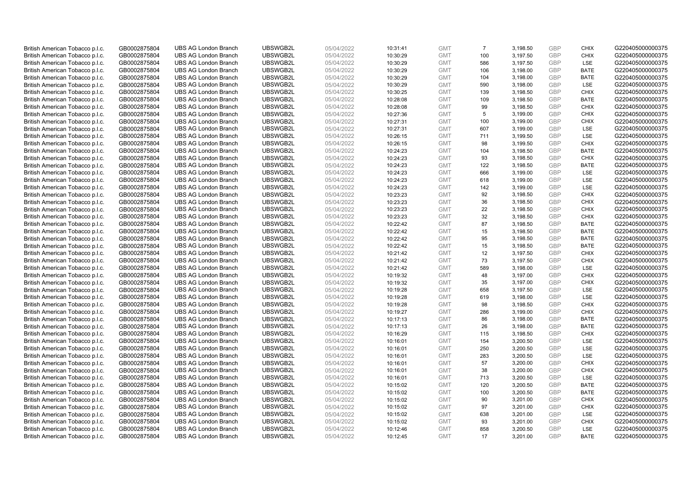| British American Tobacco p.l.c.                                    | GB0002875804                 | <b>UBS AG London Branch</b>                                | UBSWGB2L             | 05/04/2022               | 10:31:41             | <b>GMT</b>               | $\overline{7}$ | 3,198.50             | <b>GBP</b>        | <b>CHIX</b>        | G220405000000375                     |
|--------------------------------------------------------------------|------------------------------|------------------------------------------------------------|----------------------|--------------------------|----------------------|--------------------------|----------------|----------------------|-------------------|--------------------|--------------------------------------|
| British American Tobacco p.l.c.                                    | GB0002875804                 | <b>UBS AG London Branch</b>                                | UBSWGB2L             | 05/04/2022               | 10:30:29             | <b>GMT</b>               | 100            | 3,197.50             | <b>GBP</b>        | <b>CHIX</b>        | G220405000000375                     |
| British American Tobacco p.l.c.                                    | GB0002875804                 | <b>UBS AG London Branch</b>                                | UBSWGB2L             | 05/04/2022               | 10:30:29             | <b>GMT</b>               | 586            | 3,197.50             | <b>GBP</b>        | LSE                | G220405000000375                     |
| British American Tobacco p.l.c.                                    | GB0002875804                 | <b>UBS AG London Branch</b>                                | UBSWGB2L             | 05/04/2022               | 10:30:29             | <b>GMT</b>               | 106            | 3,198.00             | <b>GBP</b>        | <b>BATE</b>        | G220405000000375                     |
| British American Tobacco p.l.c.                                    | GB0002875804                 | <b>UBS AG London Branch</b>                                | UBSWGB2L             | 05/04/2022               | 10:30:29             | <b>GMT</b>               | 104            | 3,198.00             | <b>GBP</b>        | <b>BATE</b>        | G220405000000375                     |
| British American Tobacco p.l.c.                                    | GB0002875804                 | <b>UBS AG London Branch</b>                                | UBSWGB2L             | 05/04/2022               | 10:30:29             | <b>GMT</b>               | 590            | 3,198.00             | GBP               | <b>LSE</b>         | G220405000000375                     |
| British American Tobacco p.l.c.                                    | GB0002875804                 | <b>UBS AG London Branch</b>                                | UBSWGB2L             | 05/04/2022               | 10:30:25             | <b>GMT</b>               | 139            | 3,198.50             | <b>GBP</b>        | <b>CHIX</b>        | G220405000000375                     |
| British American Tobacco p.l.c.                                    | GB0002875804                 | <b>UBS AG London Branch</b>                                | UBSWGB2L             | 05/04/2022               | 10:28:08             | <b>GMT</b>               | 109            | 3,198.50             | <b>GBP</b>        | <b>BATE</b>        | G220405000000375                     |
| British American Tobacco p.l.c.                                    | GB0002875804                 | <b>UBS AG London Branch</b>                                | UBSWGB2L             | 05/04/2022               | 10:28:08             | <b>GMT</b>               | 99             | 3,198.50             | <b>GBP</b>        | <b>CHIX</b>        | G220405000000375                     |
| British American Tobacco p.l.c.                                    | GB0002875804                 | <b>UBS AG London Branch</b>                                | UBSWGB2L             | 05/04/2022               | 10:27:36             | <b>GMT</b>               | 5              | 3,199.00             | <b>GBP</b>        | <b>CHIX</b>        | G220405000000375                     |
| British American Tobacco p.l.c.                                    | GB0002875804                 | <b>UBS AG London Branch</b>                                | UBSWGB2L             | 05/04/2022               | 10:27:31             | <b>GMT</b>               | 100            | 3,199.00             | <b>GBP</b>        | <b>CHIX</b>        | G220405000000375                     |
| British American Tobacco p.l.c.                                    | GB0002875804                 | <b>UBS AG London Branch</b>                                | UBSWGB2L             | 05/04/2022               | 10:27:31             | <b>GMT</b>               | 607            | 3,199.00             | <b>GBP</b>        | <b>LSE</b>         | G220405000000375                     |
| British American Tobacco p.l.c.                                    | GB0002875804                 | <b>UBS AG London Branch</b>                                | UBSWGB2L             | 05/04/2022               | 10:26:15             | <b>GMT</b>               | 711            | 3,199.50             | <b>GBP</b>        | LSE                | G220405000000375                     |
| British American Tobacco p.l.c.                                    | GB0002875804                 | <b>UBS AG London Branch</b>                                | UBSWGB2L             | 05/04/2022               | 10:26:15             | <b>GMT</b>               | 98             | 3,199.50             | <b>GBP</b>        | <b>CHIX</b>        | G220405000000375                     |
| British American Tobacco p.l.c.                                    | GB0002875804                 | <b>UBS AG London Branch</b>                                | UBSWGB2L             | 05/04/2022               | 10:24:23             | <b>GMT</b>               | 104            | 3,198.50             | <b>GBP</b>        | <b>BATE</b>        | G220405000000375                     |
| British American Tobacco p.l.c.                                    | GB0002875804                 | <b>UBS AG London Branch</b>                                | UBSWGB2L             | 05/04/2022               | 10:24:23             | <b>GMT</b>               | 93             | 3,198.50             | <b>GBP</b>        | <b>CHIX</b>        | G220405000000375                     |
| British American Tobacco p.l.c.                                    | GB0002875804                 | <b>UBS AG London Branch</b>                                | UBSWGB2L             | 05/04/2022               | 10:24:23             | <b>GMT</b>               | 122            | 3,198.50             | <b>GBP</b>        | <b>BATE</b>        | G220405000000375                     |
| British American Tobacco p.l.c.                                    | GB0002875804                 | <b>UBS AG London Branch</b>                                | UBSWGB2L             | 05/04/2022               | 10:24:23             | <b>GMT</b>               | 666            | 3,199.00             | <b>GBP</b>        | LSE                | G220405000000375                     |
| British American Tobacco p.l.c.                                    | GB0002875804                 | <b>UBS AG London Branch</b>                                | UBSWGB2L             | 05/04/2022               | 10:24:23             | <b>GMT</b>               | 618            | 3,199.00             | <b>GBP</b>        | LSE                | G220405000000375                     |
| British American Tobacco p.l.c.                                    | GB0002875804                 | <b>UBS AG London Branch</b>                                | UBSWGB2L             | 05/04/2022               | 10:24:23             | <b>GMT</b>               | 142            | 3,199.00             | GBP               | LSE                | G220405000000375                     |
| British American Tobacco p.l.c.                                    | GB0002875804                 | <b>UBS AG London Branch</b>                                | UBSWGB2L             | 05/04/2022               | 10:23:23             | <b>GMT</b>               | 92             | 3,198.50             | <b>GBP</b>        | <b>CHIX</b>        | G220405000000375                     |
| British American Tobacco p.l.c.                                    | GB0002875804                 | <b>UBS AG London Branch</b>                                | UBSWGB2L             | 05/04/2022               | 10:23:23             | <b>GMT</b>               | 36             | 3,198.50             | GBP               | <b>CHIX</b>        | G220405000000375                     |
| British American Tobacco p.l.c.                                    | GB0002875804                 | <b>UBS AG London Branch</b>                                | UBSWGB2L             | 05/04/2022               | 10:23:23             | <b>GMT</b>               | 22             | 3,198.50             | <b>GBP</b>        | <b>CHIX</b>        | G220405000000375                     |
| British American Tobacco p.l.c.                                    | GB0002875804                 | <b>UBS AG London Branch</b>                                | UBSWGB2L             | 05/04/2022               | 10:23:23             | <b>GMT</b>               | 32             | 3,198.50             | GBP               | <b>CHIX</b>        | G220405000000375                     |
| British American Tobacco p.l.c.                                    | GB0002875804                 | <b>UBS AG London Branch</b>                                | UBSWGB2L             | 05/04/2022               | 10:22:42             | <b>GMT</b>               | 87             | 3,198.50             | <b>GBP</b>        | <b>BATE</b>        | G220405000000375                     |
| British American Tobacco p.l.c.                                    | GB0002875804                 | <b>UBS AG London Branch</b>                                | UBSWGB2L             | 05/04/2022               | 10:22:42             | <b>GMT</b>               | 15             | 3,198.50             | GBP               | <b>BATE</b>        | G220405000000375                     |
| British American Tobacco p.l.c.                                    | GB0002875804                 | <b>UBS AG London Branch</b>                                | UBSWGB2L             | 05/04/2022               | 10:22:42             | <b>GMT</b>               | 95             | 3,198.50             | <b>GBP</b>        | <b>BATE</b>        | G220405000000375                     |
| British American Tobacco p.l.c.                                    | GB0002875804                 | <b>UBS AG London Branch</b>                                | UBSWGB2L             | 05/04/2022               | 10:22:42             | <b>GMT</b>               | 15             | 3,198.50             | GBP               | <b>BATE</b>        | G220405000000375                     |
| British American Tobacco p.l.c.                                    | GB0002875804                 | <b>UBS AG London Branch</b>                                | UBSWGB2L             | 05/04/2022               | 10:21:42             | <b>GMT</b>               | 12             | 3,197.50             | <b>GBP</b>        | <b>CHIX</b>        | G220405000000375                     |
| British American Tobacco p.l.c.                                    | GB0002875804                 | <b>UBS AG London Branch</b>                                | UBSWGB2L             | 05/04/2022               | 10:21:42             | <b>GMT</b>               | 73             | 3,197.50             | <b>GBP</b>        | <b>CHIX</b>        | G220405000000375                     |
| British American Tobacco p.l.c.                                    | GB0002875804                 | <b>UBS AG London Branch</b>                                | UBSWGB2L             | 05/04/2022               | 10:21:42             | <b>GMT</b>               | 589            | 3,198.00             | <b>GBP</b>        | LSE                | G220405000000375                     |
| British American Tobacco p.l.c.                                    | GB0002875804                 | <b>UBS AG London Branch</b>                                | UBSWGB2L             | 05/04/2022               | 10:19:32             | <b>GMT</b>               | 48             | 3,197.00             | <b>GBP</b>        | <b>CHIX</b>        | G220405000000375                     |
| British American Tobacco p.l.c.                                    | GB0002875804                 | <b>UBS AG London Branch</b>                                | UBSWGB2L             | 05/04/2022               | 10:19:32             | <b>GMT</b>               | 35             | 3,197.00             | <b>GBP</b>        | <b>CHIX</b>        | G220405000000375                     |
| British American Tobacco p.l.c.                                    | GB0002875804                 | <b>UBS AG London Branch</b>                                | UBSWGB2L             | 05/04/2022               | 10:19:28             | <b>GMT</b>               | 658            | 3,197.50             | <b>GBP</b>        | <b>LSE</b>         | G220405000000375                     |
| British American Tobacco p.l.c.                                    | GB0002875804                 | <b>UBS AG London Branch</b>                                | UBSWGB2L             | 05/04/2022               | 10:19:28             | <b>GMT</b>               | 619            | 3,198.00             | <b>GBP</b>        | LSE                | G220405000000375                     |
| British American Tobacco p.l.c.                                    | GB0002875804                 | <b>UBS AG London Branch</b>                                | UBSWGB2L             | 05/04/2022               | 10:19:28             | <b>GMT</b>               | 98             | 3,198.50             | <b>GBP</b>        | <b>CHIX</b>        | G220405000000375                     |
| British American Tobacco p.l.c.                                    | GB0002875804                 | <b>UBS AG London Branch</b>                                | UBSWGB2L             | 05/04/2022               | 10:19:27             | <b>GMT</b>               | 286            | 3,199.00             | GBP               | <b>CHIX</b>        | G220405000000375                     |
| British American Tobacco p.l.c.                                    | GB0002875804                 | <b>UBS AG London Branch</b>                                | UBSWGB2L             | 05/04/2022               | 10:17:13             | <b>GMT</b>               | 86             | 3,198.00             | GBP               | <b>BATE</b>        | G220405000000375                     |
| British American Tobacco p.l.c.                                    | GB0002875804                 | <b>UBS AG London Branch</b>                                | UBSWGB2L             | 05/04/2022               | 10:17:13             | <b>GMT</b>               | 26             | 3,198.00             | <b>GBP</b>        | <b>BATE</b>        | G220405000000375                     |
| British American Tobacco p.l.c.                                    | GB0002875804                 | <b>UBS AG London Branch</b>                                | UBSWGB2L             | 05/04/2022               | 10:16:29             | <b>GMT</b>               | 115            | 3,198.50             | <b>GBP</b>        | <b>CHIX</b>        | G220405000000375                     |
| British American Tobacco p.l.c.                                    | GB0002875804                 | <b>UBS AG London Branch</b><br><b>UBS AG London Branch</b> | UBSWGB2L<br>UBSWGB2L | 05/04/2022               | 10:16:01             | <b>GMT</b>               | 154<br>250     | 3,200.50             | <b>GBP</b><br>GBP | <b>LSE</b><br>LSE  | G220405000000375<br>G220405000000375 |
| British American Tobacco p.l.c.                                    | GB0002875804                 |                                                            | UBSWGB2L             | 05/04/2022               | 10:16:01             | <b>GMT</b>               |                | 3,200.50             | <b>GBP</b>        |                    |                                      |
| British American Tobacco p.l.c.<br>British American Tobacco p.l.c. | GB0002875804<br>GB0002875804 | <b>UBS AG London Branch</b><br><b>UBS AG London Branch</b> | UBSWGB2L             | 05/04/2022<br>05/04/2022 | 10:16:01<br>10:16:01 | <b>GMT</b><br><b>GMT</b> | 283<br>57      | 3,200.50<br>3,200.00 | GBP               | LSE<br><b>CHIX</b> | G220405000000375<br>G220405000000375 |
| British American Tobacco p.l.c.                                    | GB0002875804                 | <b>UBS AG London Branch</b>                                | UBSWGB2L             | 05/04/2022               | 10:16:01             | <b>GMT</b>               | 38             | 3,200.00             | <b>GBP</b>        | <b>CHIX</b>        | G220405000000375                     |
| British American Tobacco p.l.c.                                    | GB0002875804                 | <b>UBS AG London Branch</b>                                | UBSWGB2L             | 05/04/2022               | 10:16:01             | <b>GMT</b>               | 713            | 3,200.50             | GBP               | <b>LSE</b>         | G220405000000375                     |
| British American Tobacco p.l.c.                                    | GB0002875804                 | <b>UBS AG London Branch</b>                                | UBSWGB2L             | 05/04/2022               | 10:15:02             | <b>GMT</b>               | 120            | 3,200.50             | <b>GBP</b>        | <b>BATE</b>        | G220405000000375                     |
| British American Tobacco p.l.c.                                    | GB0002875804                 | <b>UBS AG London Branch</b>                                | UBSWGB2L             | 05/04/2022               | 10:15:02             | <b>GMT</b>               | 100            | 3,200.50             | GBP               | <b>BATE</b>        | G220405000000375                     |
| British American Tobacco p.l.c.                                    | GB0002875804                 | <b>UBS AG London Branch</b>                                | UBSWGB2L             | 05/04/2022               | 10:15:02             | <b>GMT</b>               | 90             | 3,201.00             | <b>GBP</b>        | <b>CHIX</b>        | G220405000000375                     |
| British American Tobacco p.l.c.                                    | GB0002875804                 | <b>UBS AG London Branch</b>                                | UBSWGB2L             | 05/04/2022               | 10:15:02             | <b>GMT</b>               | 97             | 3,201.00             | <b>GBP</b>        | <b>CHIX</b>        | G220405000000375                     |
| British American Tobacco p.l.c.                                    | GB0002875804                 | <b>UBS AG London Branch</b>                                | UBSWGB2L             | 05/04/2022               | 10:15:02             | <b>GMT</b>               | 638            | 3,201.00             | <b>GBP</b>        | <b>LSE</b>         | G220405000000375                     |
| British American Tobacco p.l.c.                                    | GB0002875804                 | <b>UBS AG London Branch</b>                                | UBSWGB2L             | 05/04/2022               | 10:15:02             | <b>GMT</b>               | 93             | 3,201.00             | <b>GBP</b>        | <b>CHIX</b>        | G220405000000375                     |
| British American Tobacco p.l.c.                                    | GB0002875804                 | <b>UBS AG London Branch</b>                                | UBSWGB2L             | 05/04/2022               | 10:12:46             | <b>GMT</b>               | 858            | 3,200.50             | <b>GBP</b>        | LSE                | G220405000000375                     |
| British American Tobacco p.l.c.                                    | GB0002875804                 | <b>UBS AG London Branch</b>                                | UBSWGB2L             | 05/04/2022               | 10:12:45             | <b>GMT</b>               | 17             | 3,201.00             | GBP               | <b>BATE</b>        | G220405000000375                     |
|                                                                    |                              |                                                            |                      |                          |                      |                          |                |                      |                   |                    |                                      |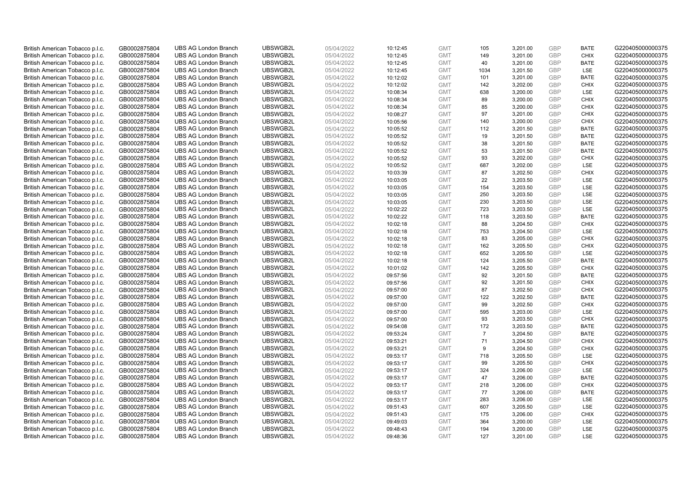| British American Tobacco p.l.c. | GB0002875804 | <b>UBS AG London Branch</b> | UBSWGB2L | 05/04/2022 | 10:12:45 | <b>GMT</b> | 105            | 3,201.00 | <b>GBP</b> | <b>BATE</b> | G220405000000375 |
|---------------------------------|--------------|-----------------------------|----------|------------|----------|------------|----------------|----------|------------|-------------|------------------|
| British American Tobacco p.l.c. | GB0002875804 | <b>UBS AG London Branch</b> | UBSWGB2L | 05/04/2022 | 10:12:45 | <b>GMT</b> | 149            | 3,201.00 | GBP        | <b>CHIX</b> | G220405000000375 |
| British American Tobacco p.l.c. | GB0002875804 | <b>UBS AG London Branch</b> | UBSWGB2L | 05/04/2022 | 10:12:45 | <b>GMT</b> | 40             | 3,201.00 | GBP        | <b>BATE</b> | G220405000000375 |
| British American Tobacco p.l.c. | GB0002875804 | <b>UBS AG London Branch</b> | UBSWGB2L | 05/04/2022 | 10:12:45 | <b>GMT</b> | 1034           | 3,201.50 | <b>GBP</b> | LSE         | G220405000000375 |
| British American Tobacco p.l.c. | GB0002875804 | <b>UBS AG London Branch</b> | UBSWGB2L | 05/04/2022 | 10:12:02 | <b>GMT</b> | 101            | 3,201.00 | GBP        | <b>BATE</b> | G220405000000375 |
| British American Tobacco p.l.c. | GB0002875804 | <b>UBS AG London Branch</b> | UBSWGB2L | 05/04/2022 | 10:12:02 | <b>GMT</b> | 142            | 3,202.00 | <b>GBP</b> | <b>CHIX</b> | G220405000000375 |
| British American Tobacco p.l.c. | GB0002875804 | <b>UBS AG London Branch</b> | UBSWGB2L | 05/04/2022 | 10:08:34 | <b>GMT</b> | 638            | 3,200.00 | GBP        | LSE         | G220405000000375 |
| British American Tobacco p.l.c. | GB0002875804 | <b>UBS AG London Branch</b> | UBSWGB2L | 05/04/2022 | 10:08:34 | <b>GMT</b> | 89             | 3,200.00 | <b>GBP</b> | <b>CHIX</b> | G220405000000375 |
| British American Tobacco p.l.c. | GB0002875804 | <b>UBS AG London Branch</b> | UBSWGB2L | 05/04/2022 | 10:08:34 | <b>GMT</b> | 85             | 3,200.00 | GBP        | <b>CHIX</b> | G220405000000375 |
| British American Tobacco p.l.c. | GB0002875804 | <b>UBS AG London Branch</b> | UBSWGB2L | 05/04/2022 | 10:08:27 | <b>GMT</b> | 97             | 3,201.00 | <b>GBP</b> | <b>CHIX</b> | G220405000000375 |
| British American Tobacco p.l.c. | GB0002875804 | <b>UBS AG London Branch</b> | UBSWGB2L | 05/04/2022 | 10:05:56 | <b>GMT</b> | 140            | 3.200.00 | GBP        | <b>CHIX</b> | G220405000000375 |
| British American Tobacco p.l.c. | GB0002875804 | <b>UBS AG London Branch</b> | UBSWGB2L | 05/04/2022 | 10:05:52 | <b>GMT</b> | 112            | 3,201.50 | <b>GBP</b> | <b>BATE</b> | G220405000000375 |
| British American Tobacco p.l.c. | GB0002875804 | <b>UBS AG London Branch</b> | UBSWGB2L | 05/04/2022 | 10:05:52 | <b>GMT</b> | 19             | 3,201.50 | GBP        | <b>BATE</b> | G220405000000375 |
| British American Tobacco p.l.c. | GB0002875804 | <b>UBS AG London Branch</b> | UBSWGB2L | 05/04/2022 | 10:05:52 | <b>GMT</b> | 38             | 3,201.50 | <b>GBP</b> | <b>BATE</b> | G220405000000375 |
| British American Tobacco p.l.c. | GB0002875804 | <b>UBS AG London Branch</b> | UBSWGB2L | 05/04/2022 | 10:05:52 | <b>GMT</b> | 53             | 3,201.50 | GBP        | <b>BATE</b> | G220405000000375 |
| British American Tobacco p.l.c. | GB0002875804 | <b>UBS AG London Branch</b> | UBSWGB2L | 05/04/2022 | 10:05:52 | <b>GMT</b> | 93             | 3,202.00 | GBP        | <b>CHIX</b> | G220405000000375 |
| British American Tobacco p.l.c. | GB0002875804 | <b>UBS AG London Branch</b> | UBSWGB2L | 05/04/2022 | 10:05:52 | <b>GMT</b> | 687            | 3,202.00 | GBP        | LSE         | G220405000000375 |
| British American Tobacco p.l.c. | GB0002875804 | <b>UBS AG London Branch</b> | UBSWGB2L | 05/04/2022 | 10:03:39 | <b>GMT</b> | 87             | 3,202.50 | <b>GBP</b> | <b>CHIX</b> | G220405000000375 |
| British American Tobacco p.l.c. | GB0002875804 | <b>UBS AG London Branch</b> | UBSWGB2L | 05/04/2022 | 10:03:05 | <b>GMT</b> | 22             | 3,203.50 | <b>GBP</b> | <b>LSE</b>  | G220405000000375 |
| British American Tobacco p.l.c. | GB0002875804 | <b>UBS AG London Branch</b> | UBSWGB2L | 05/04/2022 | 10:03:05 | <b>GMT</b> | 154            | 3,203.50 | <b>GBP</b> | LSE         | G220405000000375 |
| British American Tobacco p.l.c. | GB0002875804 | <b>UBS AG London Branch</b> | UBSWGB2L | 05/04/2022 | 10:03:05 | <b>GMT</b> | 250            | 3,203.50 | <b>GBP</b> | LSE         | G220405000000375 |
| British American Tobacco p.l.c. | GB0002875804 | <b>UBS AG London Branch</b> | UBSWGB2L | 05/04/2022 | 10:03:05 | <b>GMT</b> | 230            | 3,203.50 | GBP        | LSE         | G220405000000375 |
| British American Tobacco p.l.c. | GB0002875804 | <b>UBS AG London Branch</b> | UBSWGB2L | 05/04/2022 | 10:02:22 | <b>GMT</b> | 723            | 3,203.50 | <b>GBP</b> | LSE         | G220405000000375 |
| British American Tobacco p.l.c. | GB0002875804 | <b>UBS AG London Branch</b> | UBSWGB2L | 05/04/2022 | 10:02:22 | <b>GMT</b> | 118            | 3,203.50 | GBP        | <b>BATE</b> | G220405000000375 |
| British American Tobacco p.l.c. | GB0002875804 | <b>UBS AG London Branch</b> | UBSWGB2L | 05/04/2022 | 10:02:18 | <b>GMT</b> | 88             | 3,204.50 | <b>GBP</b> | <b>CHIX</b> | G220405000000375 |
| British American Tobacco p.l.c. | GB0002875804 | <b>UBS AG London Branch</b> | UBSWGB2L | 05/04/2022 | 10:02:18 | <b>GMT</b> | 753            | 3,204.50 | GBP        | LSE         | G220405000000375 |
| British American Tobacco p.l.c. | GB0002875804 | <b>UBS AG London Branch</b> | UBSWGB2L | 05/04/2022 | 10:02:18 | <b>GMT</b> | 83             | 3,205.00 | <b>GBP</b> | <b>CHIX</b> | G220405000000375 |
| British American Tobacco p.l.c. | GB0002875804 | <b>UBS AG London Branch</b> | UBSWGB2L | 05/04/2022 | 10:02:18 | <b>GMT</b> | 162            | 3,205.50 | GBP        | CHIX        | G220405000000375 |
| British American Tobacco p.l.c. | GB0002875804 | <b>UBS AG London Branch</b> | UBSWGB2L | 05/04/2022 | 10:02:18 | <b>GMT</b> | 652            | 3,205.50 | <b>GBP</b> | <b>LSE</b>  | G220405000000375 |
| British American Tobacco p.l.c. | GB0002875804 | <b>UBS AG London Branch</b> | UBSWGB2L | 05/04/2022 | 10:02:18 | <b>GMT</b> | 124            | 3,205.50 | GBP        | <b>BATE</b> | G220405000000375 |
| British American Tobacco p.l.c. | GB0002875804 | <b>UBS AG London Branch</b> | UBSWGB2L | 05/04/2022 | 10:01:02 | <b>GMT</b> | 142            | 3,205.50 | <b>GBP</b> | <b>CHIX</b> | G220405000000375 |
| British American Tobacco p.l.c. | GB0002875804 | <b>UBS AG London Branch</b> | UBSWGB2L | 05/04/2022 | 09:57:56 | <b>GMT</b> | 92             | 3,201.50 | GBP        | <b>BATE</b> | G220405000000375 |
| British American Tobacco p.l.c. | GB0002875804 | <b>UBS AG London Branch</b> | UBSWGB2L | 05/04/2022 | 09:57:56 | <b>GMT</b> | 92             | 3,201.50 | <b>GBP</b> | <b>CHIX</b> | G220405000000375 |
| British American Tobacco p.l.c. | GB0002875804 | <b>UBS AG London Branch</b> | UBSWGB2L | 05/04/2022 | 09:57:00 | <b>GMT</b> | 87             | 3,202.50 | <b>GBP</b> | <b>CHIX</b> | G220405000000375 |
| British American Tobacco p.l.c. | GB0002875804 | <b>UBS AG London Branch</b> | UBSWGB2L | 05/04/2022 | 09:57:00 | <b>GMT</b> | 122            | 3,202.50 | GBP        | <b>BATE</b> | G220405000000375 |
| British American Tobacco p.l.c. | GB0002875804 | <b>UBS AG London Branch</b> | UBSWGB2L | 05/04/2022 | 09:57:00 | <b>GMT</b> | 99             | 3,202.50 | <b>GBP</b> | <b>CHIX</b> | G220405000000375 |
| British American Tobacco p.l.c. | GB0002875804 | <b>UBS AG London Branch</b> | UBSWGB2L | 05/04/2022 | 09:57:00 | <b>GMT</b> | 595            | 3,203.00 | GBP        | <b>LSE</b>  | G220405000000375 |
| British American Tobacco p.l.c. | GB0002875804 | <b>UBS AG London Branch</b> | UBSWGB2L | 05/04/2022 | 09:57:00 | <b>GMT</b> | 93             | 3,203.50 | <b>GBP</b> | <b>CHIX</b> | G220405000000375 |
| British American Tobacco p.l.c. | GB0002875804 | <b>UBS AG London Branch</b> | UBSWGB2L | 05/04/2022 | 09:54:08 | <b>GMT</b> | 172            | 3,203.50 | GBP        | <b>BATE</b> | G220405000000375 |
| British American Tobacco p.l.c. | GB0002875804 | <b>UBS AG London Branch</b> | UBSWGB2L | 05/04/2022 | 09:53:24 | <b>GMT</b> | $\overline{7}$ | 3,204.50 | <b>GBP</b> | <b>BATE</b> | G220405000000375 |
| British American Tobacco p.l.c. | GB0002875804 | <b>UBS AG London Branch</b> | UBSWGB2L | 05/04/2022 | 09:53:21 | <b>GMT</b> | 71             | 3,204.50 | GBP        | <b>CHIX</b> | G220405000000375 |
| British American Tobacco p.l.c. | GB0002875804 | <b>UBS AG London Branch</b> | UBSWGB2L | 05/04/2022 | 09:53:21 | <b>GMT</b> | 9              | 3,204.50 | <b>GBP</b> | <b>CHIX</b> | G220405000000375 |
| British American Tobacco p.l.c. | GB0002875804 | <b>UBS AG London Branch</b> | UBSWGB2L | 05/04/2022 | 09:53:17 | <b>GMT</b> | 718            | 3,205.50 | <b>GBP</b> | LSE         | G220405000000375 |
| British American Tobacco p.l.c. | GB0002875804 | <b>UBS AG London Branch</b> | UBSWGB2L | 05/04/2022 | 09:53:17 | <b>GMT</b> | 99             | 3,205.50 | <b>GBP</b> | <b>CHIX</b> | G220405000000375 |
| British American Tobacco p.l.c. | GB0002875804 | <b>UBS AG London Branch</b> | UBSWGB2L | 05/04/2022 | 09:53:17 | <b>GMT</b> | 324            | 3,206.00 | GBP        | LSE         | G220405000000375 |
| British American Tobacco p.l.c. | GB0002875804 | <b>UBS AG London Branch</b> | UBSWGB2L | 05/04/2022 | 09:53:17 | <b>GMT</b> | 47             | 3,206.00 | <b>GBP</b> | <b>BATE</b> | G220405000000375 |
| British American Tobacco p.l.c. | GB0002875804 | <b>UBS AG London Branch</b> | UBSWGB2L | 05/04/2022 | 09:53:17 | <b>GMT</b> | 218            | 3,206.00 | <b>GBP</b> | <b>CHIX</b> | G220405000000375 |
| British American Tobacco p.l.c. | GB0002875804 | <b>UBS AG London Branch</b> | UBSWGB2L | 05/04/2022 | 09:53:17 | <b>GMT</b> | 77             | 3,206.00 | <b>GBP</b> | <b>BATE</b> | G220405000000375 |
| British American Tobacco p.l.c. | GB0002875804 | <b>UBS AG London Branch</b> | UBSWGB2L | 05/04/2022 | 09:53:17 | <b>GMT</b> | 283            | 3,206.00 | <b>GBP</b> | LSE         | G220405000000375 |
| British American Tobacco p.l.c. | GB0002875804 | <b>UBS AG London Branch</b> | UBSWGB2L | 05/04/2022 | 09:51:43 | <b>GMT</b> | 607            | 3,205.50 | <b>GBP</b> | <b>LSE</b>  | G220405000000375 |
| British American Tobacco p.l.c. | GB0002875804 | <b>UBS AG London Branch</b> | UBSWGB2L | 05/04/2022 | 09:51:43 | <b>GMT</b> | 175            | 3,206.00 | <b>GBP</b> | <b>CHIX</b> | G220405000000375 |
| British American Tobacco p.l.c. | GB0002875804 | <b>UBS AG London Branch</b> | UBSWGB2L | 05/04/2022 | 09:49:03 | <b>GMT</b> | 364            | 3,200.00 | <b>GBP</b> | LSE         | G220405000000375 |
| British American Tobacco p.l.c. | GB0002875804 | <b>UBS AG London Branch</b> | UBSWGB2L | 05/04/2022 | 09:48:43 | <b>GMT</b> | 194            | 3,200.00 | <b>GBP</b> | LSE         | G220405000000375 |
| British American Tobacco p.l.c. | GB0002875804 | <b>UBS AG London Branch</b> | UBSWGB2L | 05/04/2022 | 09:48:36 | <b>GMT</b> | 127            | 3.201.00 | GBP        | <b>LSE</b>  | G220405000000375 |
|                                 |              |                             |          |            |          |            |                |          |            |             |                  |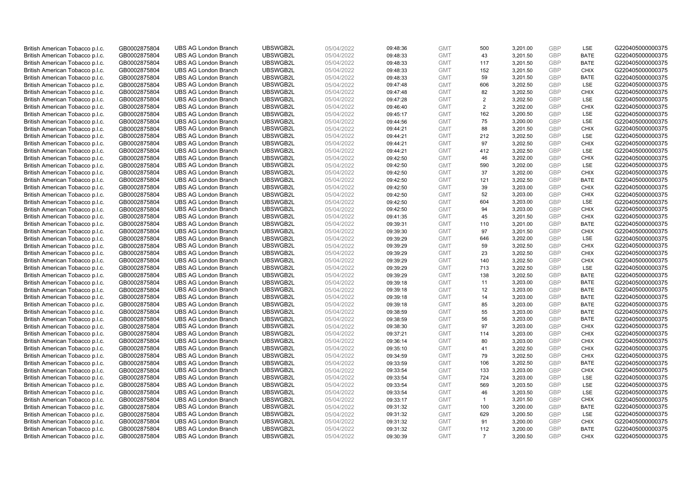| British American Tobacco p.l.c. | GB0002875804 | <b>UBS AG London Branch</b> | UBSWGB2L | 05/04/2022 | 09:48:36 | <b>GMT</b> | 500            | 3,201.00 | <b>GBP</b> | LSE         | G220405000000375 |
|---------------------------------|--------------|-----------------------------|----------|------------|----------|------------|----------------|----------|------------|-------------|------------------|
| British American Tobacco p.l.c. | GB0002875804 | <b>UBS AG London Branch</b> | UBSWGB2L | 05/04/2022 | 09:48:33 | <b>GMT</b> | 43             | 3,201.50 | GBP        | <b>BATE</b> | G220405000000375 |
| British American Tobacco p.l.c. | GB0002875804 | <b>UBS AG London Branch</b> | UBSWGB2L | 05/04/2022 | 09:48:33 | <b>GMT</b> | 117            | 3,201.50 | <b>GBP</b> | <b>BATE</b> | G220405000000375 |
| British American Tobacco p.l.c. | GB0002875804 | <b>UBS AG London Branch</b> | UBSWGB2L | 05/04/2022 | 09:48:33 | <b>GMT</b> | 152            | 3,201.50 | <b>GBP</b> | <b>CHIX</b> | G220405000000375 |
| British American Tobacco p.l.c. | GB0002875804 | <b>UBS AG London Branch</b> | UBSWGB2L | 05/04/2022 | 09:48:33 | <b>GMT</b> | 59             | 3,201.50 | <b>GBP</b> | <b>BATE</b> | G220405000000375 |
| British American Tobacco p.l.c. | GB0002875804 | <b>UBS AG London Branch</b> | UBSWGB2L | 05/04/2022 | 09:47:48 | <b>GMT</b> | 606            | 3,202.50 | <b>GBP</b> | <b>LSE</b>  | G220405000000375 |
| British American Tobacco p.l.c. | GB0002875804 | <b>UBS AG London Branch</b> | UBSWGB2L | 05/04/2022 | 09:47:48 | <b>GMT</b> | 82             | 3,202.50 | <b>GBP</b> | <b>CHIX</b> | G220405000000375 |
| British American Tobacco p.l.c. | GB0002875804 | <b>UBS AG London Branch</b> | UBSWGB2L | 05/04/2022 | 09:47:28 | <b>GMT</b> | $\overline{2}$ | 3,202.50 | <b>GBP</b> | LSE         | G220405000000375 |
| British American Tobacco p.l.c. | GB0002875804 | <b>UBS AG London Branch</b> | UBSWGB2L | 05/04/2022 | 09:46:40 | <b>GMT</b> | 2              | 3,202.00 | <b>GBP</b> | <b>CHIX</b> | G220405000000375 |
| British American Tobacco p.l.c. | GB0002875804 | <b>UBS AG London Branch</b> | UBSWGB2L | 05/04/2022 | 09:45:17 | <b>GMT</b> | 162            | 3,200.50 | <b>GBP</b> | LSE         | G220405000000375 |
| British American Tobacco p.l.c. | GB0002875804 | <b>UBS AG London Branch</b> | UBSWGB2L | 05/04/2022 | 09:44:56 | <b>GMT</b> | 75             | 3.200.00 | <b>GBP</b> | <b>LSE</b>  | G220405000000375 |
| British American Tobacco p.l.c. | GB0002875804 | <b>UBS AG London Branch</b> | UBSWGB2L | 05/04/2022 | 09:44:21 | <b>GMT</b> | 88             | 3,201.50 | <b>GBP</b> | <b>CHIX</b> | G220405000000375 |
| British American Tobacco p.l.c. | GB0002875804 | <b>UBS AG London Branch</b> | UBSWGB2L | 05/04/2022 | 09:44:21 | <b>GMT</b> | 212            | 3,202.50 | <b>GBP</b> | LSE         | G220405000000375 |
| British American Tobacco p.l.c. | GB0002875804 | <b>UBS AG London Branch</b> | UBSWGB2L | 05/04/2022 | 09:44:21 | <b>GMT</b> | 97             | 3,202.50 | <b>GBP</b> | <b>CHIX</b> | G220405000000375 |
| British American Tobacco p.l.c. | GB0002875804 | <b>UBS AG London Branch</b> | UBSWGB2L | 05/04/2022 | 09:44:21 | <b>GMT</b> | 412            | 3,202.50 | GBP        | <b>LSE</b>  | G220405000000375 |
| British American Tobacco p.l.c. | GB0002875804 | <b>UBS AG London Branch</b> | UBSWGB2L | 05/04/2022 | 09:42:50 | <b>GMT</b> | 46             | 3,202.00 | GBP        | <b>CHIX</b> | G220405000000375 |
| British American Tobacco p.l.c. | GB0002875804 | <b>UBS AG London Branch</b> | UBSWGB2L | 05/04/2022 | 09:42:50 | <b>GMT</b> | 590            | 3,202.00 | GBP        | LSE         | G220405000000375 |
| British American Tobacco p.l.c. | GB0002875804 | <b>UBS AG London Branch</b> | UBSWGB2L | 05/04/2022 | 09:42:50 | <b>GMT</b> | 37             | 3,202.00 | <b>GBP</b> | <b>CHIX</b> | G220405000000375 |
| British American Tobacco p.l.c. | GB0002875804 | <b>UBS AG London Branch</b> | UBSWGB2L | 05/04/2022 | 09:42:50 | <b>GMT</b> | 121            | 3,202.50 | <b>GBP</b> | <b>BATE</b> | G220405000000375 |
| British American Tobacco p.l.c. | GB0002875804 | <b>UBS AG London Branch</b> | UBSWGB2L | 05/04/2022 | 09:42:50 | <b>GMT</b> | 39             | 3,203.00 | <b>GBP</b> | <b>CHIX</b> | G220405000000375 |
| British American Tobacco p.l.c. | GB0002875804 | <b>UBS AG London Branch</b> | UBSWGB2L | 05/04/2022 | 09:42:50 | <b>GMT</b> | 52             | 3,203.00 | <b>GBP</b> | <b>CHIX</b> | G220405000000375 |
| British American Tobacco p.l.c. | GB0002875804 | <b>UBS AG London Branch</b> | UBSWGB2L | 05/04/2022 | 09:42:50 | <b>GMT</b> | 604            | 3,203.00 | GBP        | LSE         | G220405000000375 |
| British American Tobacco p.l.c. | GB0002875804 | <b>UBS AG London Branch</b> | UBSWGB2L | 05/04/2022 | 09:42:50 | <b>GMT</b> | 94             | 3,203.00 | <b>GBP</b> | <b>CHIX</b> | G220405000000375 |
| British American Tobacco p.l.c. | GB0002875804 | <b>UBS AG London Branch</b> | UBSWGB2L | 05/04/2022 | 09:41:35 | <b>GMT</b> | 45             | 3,201.50 | GBP        | <b>CHIX</b> | G220405000000375 |
| British American Tobacco p.l.c. | GB0002875804 | <b>UBS AG London Branch</b> | UBSWGB2L | 05/04/2022 | 09:39:31 | <b>GMT</b> | 110            | 3,201.00 | <b>GBP</b> | <b>BATE</b> | G220405000000375 |
| British American Tobacco p.l.c. | GB0002875804 | <b>UBS AG London Branch</b> | UBSWGB2L | 05/04/2022 | 09:39:30 | <b>GMT</b> | 97             | 3,201.50 | GBP        | <b>CHIX</b> | G220405000000375 |
| British American Tobacco p.l.c. | GB0002875804 | <b>UBS AG London Branch</b> | UBSWGB2L | 05/04/2022 | 09:39:29 | <b>GMT</b> | 646            | 3,202.00 | <b>GBP</b> | <b>LSE</b>  | G220405000000375 |
| British American Tobacco p.l.c. | GB0002875804 | <b>UBS AG London Branch</b> | UBSWGB2L | 05/04/2022 | 09:39:29 | <b>GMT</b> | 59             | 3,202.50 | GBP        | <b>CHIX</b> | G220405000000375 |
| British American Tobacco p.l.c. | GB0002875804 | <b>UBS AG London Branch</b> | UBSWGB2L | 05/04/2022 | 09:39:29 | <b>GMT</b> | 23             | 3,202.50 | <b>GBP</b> | <b>CHIX</b> | G220405000000375 |
| British American Tobacco p.l.c. | GB0002875804 | <b>UBS AG London Branch</b> | UBSWGB2L | 05/04/2022 | 09:39:29 | <b>GMT</b> | 140            | 3,202.50 | GBP        | <b>CHIX</b> | G220405000000375 |
| British American Tobacco p.l.c. | GB0002875804 | <b>UBS AG London Branch</b> | UBSWGB2L | 05/04/2022 | 09:39:29 | <b>GMT</b> | 713            | 3,202.50 | <b>GBP</b> | <b>LSE</b>  | G220405000000375 |
| British American Tobacco p.l.c. | GB0002875804 | <b>UBS AG London Branch</b> | UBSWGB2L | 05/04/2022 | 09:39:29 | <b>GMT</b> | 138            | 3,202.50 | GBP        | <b>BATE</b> | G220405000000375 |
| British American Tobacco p.l.c. | GB0002875804 | <b>UBS AG London Branch</b> | UBSWGB2L | 05/04/2022 | 09:39:18 | <b>GMT</b> | 11             | 3,203.00 | <b>GBP</b> | <b>BATE</b> | G220405000000375 |
| British American Tobacco p.l.c. | GB0002875804 | <b>UBS AG London Branch</b> | UBSWGB2L | 05/04/2022 | 09:39:18 | <b>GMT</b> | 12             | 3,203.00 | <b>GBP</b> | <b>BATE</b> | G220405000000375 |
| British American Tobacco p.l.c. | GB0002875804 | <b>UBS AG London Branch</b> | UBSWGB2L | 05/04/2022 | 09:39:18 | <b>GMT</b> | 14             | 3,203.00 | GBP        | <b>BATE</b> | G220405000000375 |
| British American Tobacco p.l.c. | GB0002875804 | <b>UBS AG London Branch</b> | UBSWGB2L | 05/04/2022 | 09:39:18 | <b>GMT</b> | 85             | 3,203.00 | <b>GBP</b> | <b>BATE</b> | G220405000000375 |
| British American Tobacco p.l.c. | GB0002875804 | <b>UBS AG London Branch</b> | UBSWGB2L | 05/04/2022 | 09:38:59 | <b>GMT</b> | 55             | 3,203.00 | GBP        | <b>BATE</b> | G220405000000375 |
| British American Tobacco p.l.c. | GB0002875804 | <b>UBS AG London Branch</b> | UBSWGB2L | 05/04/2022 | 09:38:59 | <b>GMT</b> | 56             | 3,203.00 | <b>GBP</b> | <b>BATE</b> | G220405000000375 |
| British American Tobacco p.l.c. | GB0002875804 | <b>UBS AG London Branch</b> | UBSWGB2L | 05/04/2022 | 09:38:30 | <b>GMT</b> | 97             | 3,203.00 | GBP        | <b>CHIX</b> | G220405000000375 |
| British American Tobacco p.l.c. | GB0002875804 | <b>UBS AG London Branch</b> | UBSWGB2L | 05/04/2022 | 09:37:21 | <b>GMT</b> | 114            | 3,203.00 | <b>GBP</b> | <b>CHIX</b> | G220405000000375 |
| British American Tobacco p.l.c. | GB0002875804 | <b>UBS AG London Branch</b> | UBSWGB2L | 05/04/2022 | 09:36:14 | <b>GMT</b> | 80             | 3,203.00 | GBP        | <b>CHIX</b> | G220405000000375 |
| British American Tobacco p.l.c. | GB0002875804 | <b>UBS AG London Branch</b> | UBSWGB2L | 05/04/2022 | 09:35:10 | <b>GMT</b> | 41             | 3,202.50 | <b>GBP</b> | <b>CHIX</b> | G220405000000375 |
| British American Tobacco p.l.c. | GB0002875804 | <b>UBS AG London Branch</b> | UBSWGB2L | 05/04/2022 | 09:34:59 | <b>GMT</b> | 79             | 3,202.50 | <b>GBP</b> | <b>CHIX</b> | G220405000000375 |
| British American Tobacco p.l.c. | GB0002875804 | <b>UBS AG London Branch</b> | UBSWGB2L | 05/04/2022 | 09:33:59 | <b>GMT</b> | 106            | 3,202.50 | GBP        | <b>BATE</b> | G220405000000375 |
| British American Tobacco p.l.c. | GB0002875804 | <b>UBS AG London Branch</b> | UBSWGB2L | 05/04/2022 | 09:33:54 | <b>GMT</b> | 133            | 3,203.00 | <b>GBP</b> | <b>CHIX</b> | G220405000000375 |
| British American Tobacco p.l.c. | GB0002875804 | <b>UBS AG London Branch</b> | UBSWGB2L | 05/04/2022 | 09:33:54 | <b>GMT</b> | 724            | 3,203.00 | <b>GBP</b> | LSE         | G220405000000375 |
| British American Tobacco p.l.c. | GB0002875804 | <b>UBS AG London Branch</b> | UBSWGB2L | 05/04/2022 | 09:33:54 | <b>GMT</b> | 569            | 3,203.50 | <b>GBP</b> | LSE         | G220405000000375 |
| British American Tobacco p.l.c. | GB0002875804 | <b>UBS AG London Branch</b> | UBSWGB2L | 05/04/2022 | 09:33:54 | <b>GMT</b> | 46             | 3,203.50 | <b>GBP</b> | LSE         | G220405000000375 |
| British American Tobacco p.l.c. | GB0002875804 | <b>UBS AG London Branch</b> | UBSWGB2L | 05/04/2022 | 09:33:17 | <b>GMT</b> | $\mathbf{1}$   | 3,201.50 | <b>GBP</b> | <b>CHIX</b> | G220405000000375 |
| British American Tobacco p.l.c. | GB0002875804 | <b>UBS AG London Branch</b> | UBSWGB2L | 05/04/2022 | 09:31:32 | <b>GMT</b> | 100            | 3,200.00 | <b>GBP</b> | <b>BATE</b> | G220405000000375 |
| British American Tobacco p.l.c. | GB0002875804 | <b>UBS AG London Branch</b> | UBSWGB2L | 05/04/2022 | 09:31:32 | <b>GMT</b> | 629            | 3,200.50 | <b>GBP</b> | LSE         | G220405000000375 |
| British American Tobacco p.l.c. | GB0002875804 | <b>UBS AG London Branch</b> | UBSWGB2L | 05/04/2022 | 09:31:32 | <b>GMT</b> | 91             | 3,200.00 | <b>GBP</b> | <b>CHIX</b> | G220405000000375 |
| British American Tobacco p.l.c. | GB0002875804 | <b>UBS AG London Branch</b> | UBSWGB2L | 05/04/2022 | 09:31:32 | <b>GMT</b> | 112            | 3,200.00 | <b>GBP</b> | <b>BATE</b> | G220405000000375 |
| British American Tobacco p.l.c. | GB0002875804 | <b>UBS AG London Branch</b> | UBSWGB2L | 05/04/2022 | 09:30:39 | <b>GMT</b> | $\overline{7}$ | 3.200.50 | GBP        | CHIX        | G220405000000375 |
|                                 |              |                             |          |            |          |            |                |          |            |             |                  |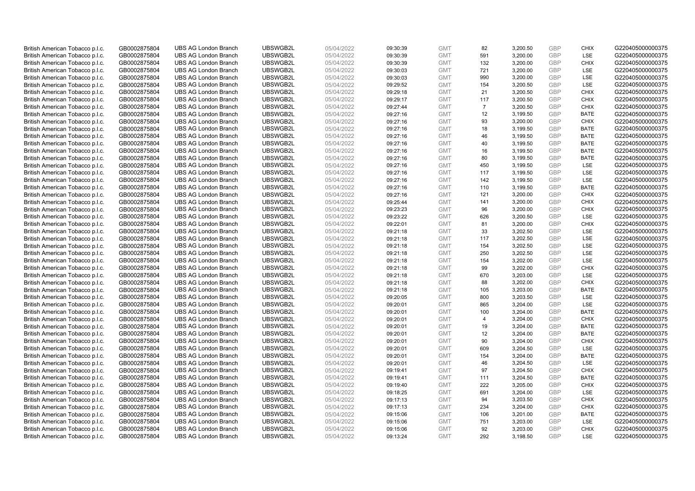| British American Tobacco p.l.c. | GB0002875804 | <b>UBS AG London Branch</b> | UBSWGB2L | 05/04/2022               | 09:30:39 | <b>GMT</b> | 82             | 3,200.50 | <b>GBP</b> | <b>CHIX</b> | G220405000000375 |
|---------------------------------|--------------|-----------------------------|----------|--------------------------|----------|------------|----------------|----------|------------|-------------|------------------|
| British American Tobacco p.l.c. | GB0002875804 | <b>UBS AG London Branch</b> | UBSWGB2L | 05/04/2022               | 09:30:39 | <b>GMT</b> | 591            | 3,200.00 | GBP        | <b>LSE</b>  | G220405000000375 |
| British American Tobacco p.l.c. | GB0002875804 | <b>UBS AG London Branch</b> | UBSWGB2L | 05/04/2022               | 09:30:39 | <b>GMT</b> | 132            | 3,200.00 | <b>GBP</b> | <b>CHIX</b> | G220405000000375 |
| British American Tobacco p.l.c. | GB0002875804 | <b>UBS AG London Branch</b> | UBSWGB2L | 05/04/2022               | 09:30:03 | <b>GMT</b> | 721            | 3,200.00 | <b>GBP</b> | LSE         | G220405000000375 |
| British American Tobacco p.l.c. | GB0002875804 | <b>UBS AG London Branch</b> | UBSWGB2L | 05/04/2022               | 09:30:03 | <b>GMT</b> | 990            | 3,200.00 | <b>GBP</b> | LSE         | G220405000000375 |
| British American Tobacco p.l.c. | GB0002875804 | <b>UBS AG London Branch</b> | UBSWGB2L | 05/04/2022               | 09:29:52 | <b>GMT</b> | 154            | 3,200.50 | <b>GBP</b> | <b>LSE</b>  | G220405000000375 |
| British American Tobacco p.l.c. | GB0002875804 | <b>UBS AG London Branch</b> | UBSWGB2L | 05/04/2022               | 09:29:18 | <b>GMT</b> | 21             | 3,200.50 | <b>GBP</b> | <b>CHIX</b> | G220405000000375 |
| British American Tobacco p.l.c. | GB0002875804 | <b>UBS AG London Branch</b> | UBSWGB2L | 05/04/2022               | 09:29:17 | <b>GMT</b> | 117            | 3,200.50 | <b>GBP</b> | <b>CHIX</b> | G220405000000375 |
| British American Tobacco p.l.c. | GB0002875804 | <b>UBS AG London Branch</b> | UBSWGB2L | 05/04/2022               | 09:27:44 | <b>GMT</b> | $\overline{7}$ | 3,200.50 | <b>GBP</b> | <b>CHIX</b> | G220405000000375 |
| British American Tobacco p.l.c. | GB0002875804 | <b>UBS AG London Branch</b> | UBSWGB2L | 05/04/2022               | 09:27:16 | <b>GMT</b> | 12             | 3,199.50 | <b>GBP</b> | <b>BATE</b> | G220405000000375 |
| British American Tobacco p.l.c. | GB0002875804 | <b>UBS AG London Branch</b> | UBSWGB2L | 05/04/2022               | 09:27:16 | <b>GMT</b> | 93             | 3,200.00 | GBP        | <b>CHIX</b> | G220405000000375 |
| British American Tobacco p.l.c. | GB0002875804 | <b>UBS AG London Branch</b> | UBSWGB2L | 05/04/2022               | 09:27:16 | <b>GMT</b> | 18             | 3,199.50 | <b>GBP</b> | <b>BATE</b> | G220405000000375 |
| British American Tobacco p.l.c. | GB0002875804 | <b>UBS AG London Branch</b> | UBSWGB2L | 05/04/2022               | 09:27:16 | <b>GMT</b> | 46             | 3,199.50 | GBP        | <b>BATE</b> | G220405000000375 |
| British American Tobacco p.l.c. | GB0002875804 | <b>UBS AG London Branch</b> | UBSWGB2L | 05/04/2022               | 09:27:16 | <b>GMT</b> | 40             | 3,199.50 | <b>GBP</b> | <b>BATE</b> | G220405000000375 |
| British American Tobacco p.l.c. | GB0002875804 | <b>UBS AG London Branch</b> | UBSWGB2L | 05/04/2022               | 09:27:16 | <b>GMT</b> | 16             | 3,199.50 | GBP        | <b>BATE</b> | G220405000000375 |
| British American Tobacco p.l.c. | GB0002875804 | <b>UBS AG London Branch</b> | UBSWGB2L | 05/04/2022               | 09:27:16 | <b>GMT</b> | 80             | 3,199.50 | GBP        | <b>BATE</b> | G220405000000375 |
| British American Tobacco p.l.c. | GB0002875804 | <b>UBS AG London Branch</b> | UBSWGB2L | 05/04/2022               | 09:27:16 | <b>GMT</b> | 450            | 3,199.50 | <b>GBP</b> | LSE         | G220405000000375 |
| British American Tobacco p.l.c. | GB0002875804 | <b>UBS AG London Branch</b> | UBSWGB2L | 05/04/2022               | 09:27:16 | <b>GMT</b> | 117            | 3,199.50 | <b>GBP</b> | LSE         | G220405000000375 |
| British American Tobacco p.l.c. | GB0002875804 | <b>UBS AG London Branch</b> | UBSWGB2L | 05/04/2022               | 09:27:16 | <b>GMT</b> | 142            | 3,199.50 | <b>GBP</b> | <b>LSE</b>  | G220405000000375 |
| British American Tobacco p.l.c. | GB0002875804 | <b>UBS AG London Branch</b> | UBSWGB2L | 05/04/2022               | 09:27:16 | <b>GMT</b> | 110            | 3,199.50 | <b>GBP</b> | <b>BATE</b> | G220405000000375 |
| British American Tobacco p.l.c. | GB0002875804 | <b>UBS AG London Branch</b> | UBSWGB2L | 05/04/2022               | 09:27:16 | <b>GMT</b> | 121            | 3,200.00 | <b>GBP</b> | <b>CHIX</b> | G220405000000375 |
| British American Tobacco p.l.c. | GB0002875804 | <b>UBS AG London Branch</b> | UBSWGB2L | 05/04/2022               | 09:25:44 | <b>GMT</b> | 141            | 3,200.00 | GBP        | <b>CHIX</b> | G220405000000375 |
| British American Tobacco p.l.c. | GB0002875804 | <b>UBS AG London Branch</b> | UBSWGB2L | 05/04/2022               | 09:23:23 | <b>GMT</b> | 96             | 3,200.00 | <b>GBP</b> | <b>CHIX</b> | G220405000000375 |
| British American Tobacco p.l.c. | GB0002875804 | <b>UBS AG London Branch</b> | UBSWGB2L | 05/04/2022               | 09:23:22 | <b>GMT</b> | 626            | 3.200.50 | GBP        | <b>LSE</b>  | G220405000000375 |
| British American Tobacco p.l.c. | GB0002875804 | <b>UBS AG London Branch</b> | UBSWGB2L | 05/04/2022               | 09:22:01 | <b>GMT</b> | 81             | 3,200.00 | <b>GBP</b> | <b>CHIX</b> | G220405000000375 |
| British American Tobacco p.l.c. | GB0002875804 | <b>UBS AG London Branch</b> | UBSWGB2L | 05/04/2022               | 09:21:18 | <b>GMT</b> | 33             | 3,202.50 | <b>GBP</b> | LSE         | G220405000000375 |
| British American Tobacco p.l.c. | GB0002875804 | <b>UBS AG London Branch</b> | UBSWGB2L | 05/04/2022               | 09:21:18 | <b>GMT</b> | 117            | 3,202.50 | <b>GBP</b> | LSE         | G220405000000375 |
| British American Tobacco p.l.c. | GB0002875804 | <b>UBS AG London Branch</b> | UBSWGB2L | 05/04/2022               | 09:21:18 | <b>GMT</b> | 154            | 3,202.50 | GBP        | LSE         | G220405000000375 |
| British American Tobacco p.l.c. | GB0002875804 | <b>UBS AG London Branch</b> | UBSWGB2L | 05/04/2022               | 09:21:18 | <b>GMT</b> | 250            | 3,202.50 | <b>GBP</b> | LSE         | G220405000000375 |
| British American Tobacco p.l.c. | GB0002875804 | <b>UBS AG London Branch</b> | UBSWGB2L | 05/04/2022               | 09:21:18 | <b>GMT</b> | 154            | 3,202.00 | GBP        | LSE         | G220405000000375 |
| British American Tobacco p.l.c. | GB0002875804 | <b>UBS AG London Branch</b> | UBSWGB2L | 05/04/2022               | 09:21:18 | <b>GMT</b> | 99             | 3,202.00 | <b>GBP</b> | <b>CHIX</b> | G220405000000375 |
| British American Tobacco p.l.c. | GB0002875804 | <b>UBS AG London Branch</b> | UBSWGB2L | 05/04/2022               | 09:21:18 | <b>GMT</b> | 670            | 3,203.00 | GBP        | <b>LSE</b>  | G220405000000375 |
| British American Tobacco p.l.c. | GB0002875804 | <b>UBS AG London Branch</b> | UBSWGB2L | 05/04/2022               | 09:21:18 | <b>GMT</b> | 88             | 3,202.00 | <b>GBP</b> | <b>CHIX</b> | G220405000000375 |
| British American Tobacco p.l.c. | GB0002875804 | <b>UBS AG London Branch</b> | UBSWGB2L | 05/04/2022               | 09:21:18 | <b>GMT</b> | 105            | 3,203.00 | <b>GBP</b> | <b>BATE</b> | G220405000000375 |
| British American Tobacco p.l.c. | GB0002875804 | <b>UBS AG London Branch</b> | UBSWGB2L | 05/04/2022               | 09:20:05 | <b>GMT</b> | 800            | 3,203.50 | GBP        | LSE         | G220405000000375 |
| British American Tobacco p.l.c. | GB0002875804 | <b>UBS AG London Branch</b> | UBSWGB2L | 05/04/2022               | 09:20:01 | <b>GMT</b> | 865            | 3,204.00 | <b>GBP</b> | LSE         | G220405000000375 |
| British American Tobacco p.l.c. | GB0002875804 | <b>UBS AG London Branch</b> | UBSWGB2L | 05/04/2022               | 09:20:01 | <b>GMT</b> | 100            | 3,204.00 | GBP        | <b>BATE</b> | G220405000000375 |
| British American Tobacco p.l.c. | GB0002875804 | <b>UBS AG London Branch</b> | UBSWGB2L | 05/04/2022               | 09:20:01 | <b>GMT</b> | $\overline{4}$ | 3,204.00 | <b>GBP</b> | <b>CHIX</b> | G220405000000375 |
| British American Tobacco p.l.c. | GB0002875804 | <b>UBS AG London Branch</b> | UBSWGB2L | 05/04/2022               | 09:20:01 | <b>GMT</b> | 19             | 3,204.00 | GBP        | <b>BATE</b> | G220405000000375 |
| British American Tobacco p.l.c. | GB0002875804 | <b>UBS AG London Branch</b> | UBSWGB2L | 05/04/2022               | 09:20:01 | <b>GMT</b> | 12             | 3,204.00 | <b>GBP</b> | <b>BATE</b> | G220405000000375 |
| British American Tobacco p.l.c. | GB0002875804 | <b>UBS AG London Branch</b> | UBSWGB2L | 05/04/2022               | 09:20:01 | <b>GMT</b> | 90             | 3,204.00 | GBP        | <b>CHIX</b> | G220405000000375 |
| British American Tobacco p.l.c. | GB0002875804 | <b>UBS AG London Branch</b> | UBSWGB2L |                          | 09:20:01 | <b>GMT</b> | 609            | 3,204.50 | <b>GBP</b> | <b>LSE</b>  | G220405000000375 |
| British American Tobacco p.l.c. | GB0002875804 | <b>UBS AG London Branch</b> | UBSWGB2L | 05/04/2022<br>05/04/2022 | 09:20:01 | <b>GMT</b> | 154            | 3,204.00 | <b>GBP</b> | <b>BATE</b> | G220405000000375 |
| British American Tobacco p.l.c. |              | <b>UBS AG London Branch</b> | UBSWGB2L | 05/04/2022               |          | <b>GMT</b> | 46             |          | <b>GBP</b> | LSE         | G220405000000375 |
|                                 | GB0002875804 |                             | UBSWGB2L |                          | 09:20:01 |            | 97             | 3,204.50 | GBP        |             | G220405000000375 |
| British American Tobacco p.l.c. | GB0002875804 | <b>UBS AG London Branch</b> |          | 05/04/2022               | 09:19:41 | <b>GMT</b> |                | 3,204.50 |            | <b>CHIX</b> |                  |
| British American Tobacco p.l.c. | GB0002875804 | <b>UBS AG London Branch</b> | UBSWGB2L | 05/04/2022               | 09:19:41 | <b>GMT</b> | 111            | 3,204.50 | <b>GBP</b> | <b>BATE</b> | G220405000000375 |
| British American Tobacco p.l.c. | GB0002875804 | <b>UBS AG London Branch</b> | UBSWGB2L | 05/04/2022               | 09:19:40 | <b>GMT</b> | 222            | 3,205.00 | <b>GBP</b> | <b>CHIX</b> | G220405000000375 |
| British American Tobacco p.l.c. | GB0002875804 | <b>UBS AG London Branch</b> | UBSWGB2L | 05/04/2022               | 09:18:25 | <b>GMT</b> | 691            | 3,204.00 | GBP        | LSE         | G220405000000375 |
| British American Tobacco p.l.c. | GB0002875804 | <b>UBS AG London Branch</b> | UBSWGB2L | 05/04/2022               | 09:17:13 | <b>GMT</b> | 94             | 3,203.50 | <b>GBP</b> | <b>CHIX</b> | G220405000000375 |
| British American Tobacco p.l.c. | GB0002875804 | <b>UBS AG London Branch</b> | UBSWGB2L | 05/04/2022               | 09:17:13 | <b>GMT</b> | 234            | 3,204.00 | GBP        | <b>CHIX</b> | G220405000000375 |
| British American Tobacco p.l.c. | GB0002875804 | <b>UBS AG London Branch</b> | UBSWGB2L | 05/04/2022               | 09:15:06 | <b>GMT</b> | 106            | 3,201.00 | <b>GBP</b> | <b>BATE</b> | G220405000000375 |
| British American Tobacco p.l.c. | GB0002875804 | <b>UBS AG London Branch</b> | UBSWGB2L | 05/04/2022               | 09:15:06 | <b>GMT</b> | 751            | 3,203.00 | <b>GBP</b> | LSE         | G220405000000375 |
| British American Tobacco p.l.c. | GB0002875804 | <b>UBS AG London Branch</b> | UBSWGB2L | 05/04/2022               | 09:15:06 | <b>GMT</b> | 92             | 3,203.00 | <b>GBP</b> | <b>CHIX</b> | G220405000000375 |
| British American Tobacco p.l.c. | GB0002875804 | <b>UBS AG London Branch</b> | UBSWGB2L | 05/04/2022               | 09:13:24 | <b>GMT</b> | 292            | 3.198.50 | GBP        | <b>LSE</b>  | G220405000000375 |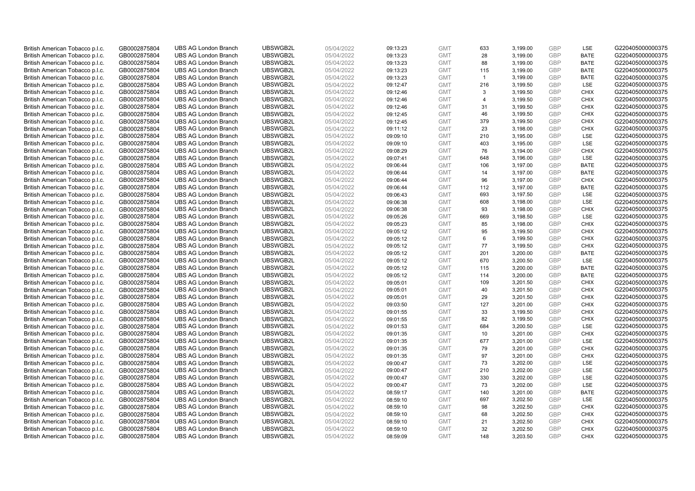| British American Tobacco p.l.c. | GB0002875804 | <b>UBS AG London Branch</b> | UBSWGB2L | 05/04/2022 | 09:13:23 | <b>GMT</b> | 633            | 3,199.00 | <b>GBP</b> | LSE         | G220405000000375 |
|---------------------------------|--------------|-----------------------------|----------|------------|----------|------------|----------------|----------|------------|-------------|------------------|
| British American Tobacco p.l.c. | GB0002875804 | <b>UBS AG London Branch</b> | UBSWGB2L | 05/04/2022 | 09:13:23 | <b>GMT</b> | 28             | 3,199.00 | GBP        | <b>BATE</b> | G220405000000375 |
| British American Tobacco p.l.c. | GB0002875804 | <b>UBS AG London Branch</b> | UBSWGB2L | 05/04/2022 | 09:13:23 | <b>GMT</b> | 88             | 3,199.00 | GBP        | <b>BATE</b> | G220405000000375 |
| British American Tobacco p.l.c. | GB0002875804 | <b>UBS AG London Branch</b> | UBSWGB2L | 05/04/2022 | 09:13:23 | <b>GMT</b> | 115            | 3,199.00 | <b>GBP</b> | <b>BATE</b> | G220405000000375 |
| British American Tobacco p.l.c. | GB0002875804 | <b>UBS AG London Branch</b> | UBSWGB2L | 05/04/2022 | 09:13:23 | <b>GMT</b> | $\mathbf{1}$   | 3,199.00 | GBP        | <b>BATE</b> | G220405000000375 |
| British American Tobacco p.l.c. | GB0002875804 | <b>UBS AG London Branch</b> | UBSWGB2L | 05/04/2022 | 09:12:47 | <b>GMT</b> | 216            | 3,199.50 | <b>GBP</b> | <b>LSE</b>  | G220405000000375 |
| British American Tobacco p.l.c. | GB0002875804 | <b>UBS AG London Branch</b> | UBSWGB2L | 05/04/2022 | 09:12:46 | <b>GMT</b> | 3              | 3,199.50 | GBP        | <b>CHIX</b> | G220405000000375 |
| British American Tobacco p.l.c. | GB0002875804 | <b>UBS AG London Branch</b> | UBSWGB2L | 05/04/2022 | 09:12:46 | <b>GMT</b> | $\overline{4}$ | 3,199.50 | <b>GBP</b> | <b>CHIX</b> | G220405000000375 |
| British American Tobacco p.l.c. | GB0002875804 | <b>UBS AG London Branch</b> | UBSWGB2L | 05/04/2022 | 09:12:46 | <b>GMT</b> | 31             | 3,199.50 | GBP        | <b>CHIX</b> | G220405000000375 |
| British American Tobacco p.l.c. | GB0002875804 | <b>UBS AG London Branch</b> | UBSWGB2L | 05/04/2022 | 09:12:45 | <b>GMT</b> | 46             | 3,199.50 | <b>GBP</b> | <b>CHIX</b> | G220405000000375 |
| British American Tobacco p.l.c. | GB0002875804 | <b>UBS AG London Branch</b> | UBSWGB2L | 05/04/2022 | 09:12:45 | <b>GMT</b> | 379            | 3,199.50 | GBP        | <b>CHIX</b> | G220405000000375 |
| British American Tobacco p.l.c. | GB0002875804 | <b>UBS AG London Branch</b> | UBSWGB2L | 05/04/2022 | 09:11:12 | <b>GMT</b> | 23             | 3,198.00 | <b>GBP</b> | <b>CHIX</b> | G220405000000375 |
| British American Tobacco p.l.c. | GB0002875804 | <b>UBS AG London Branch</b> | UBSWGB2L | 05/04/2022 | 09:09:10 | <b>GMT</b> | 210            | 3,195.00 | GBP        | LSE         | G220405000000375 |
| British American Tobacco p.l.c. | GB0002875804 | <b>UBS AG London Branch</b> | UBSWGB2L | 05/04/2022 | 09:09:10 | <b>GMT</b> | 403            | 3,195.00 | <b>GBP</b> | LSE         | G220405000000375 |
| British American Tobacco p.l.c. | GB0002875804 | <b>UBS AG London Branch</b> | UBSWGB2L | 05/04/2022 | 09:08:29 | <b>GMT</b> | 76             | 3,194.00 | GBP        | <b>CHIX</b> | G220405000000375 |
| British American Tobacco p.l.c. | GB0002875804 | <b>UBS AG London Branch</b> | UBSWGB2L | 05/04/2022 | 09:07:41 | <b>GMT</b> | 648            | 3,196.00 | GBP        | <b>LSE</b>  | G220405000000375 |
| British American Tobacco p.l.c. | GB0002875804 | <b>UBS AG London Branch</b> | UBSWGB2L | 05/04/2022 | 09:06:44 | <b>GMT</b> | 106            | 3,197.00 | GBP        | <b>BATE</b> | G220405000000375 |
| British American Tobacco p.l.c. | GB0002875804 | <b>UBS AG London Branch</b> | UBSWGB2L | 05/04/2022 | 09:06:44 | <b>GMT</b> | 14             | 3,197.00 | GBP        | <b>BATE</b> | G220405000000375 |
| British American Tobacco p.l.c. | GB0002875804 | <b>UBS AG London Branch</b> | UBSWGB2L | 05/04/2022 | 09:06:44 | <b>GMT</b> | 96             | 3,197.00 | <b>GBP</b> | <b>CHIX</b> | G220405000000375 |
| British American Tobacco p.l.c. | GB0002875804 | <b>UBS AG London Branch</b> | UBSWGB2L | 05/04/2022 | 09:06:44 | <b>GMT</b> | 112            | 3,197.00 | <b>GBP</b> | <b>BATE</b> | G220405000000375 |
| British American Tobacco p.l.c. | GB0002875804 | <b>UBS AG London Branch</b> | UBSWGB2L | 05/04/2022 | 09:06:43 | <b>GMT</b> | 693            | 3,197.50 | <b>GBP</b> | LSE         | G220405000000375 |
| British American Tobacco p.l.c. | GB0002875804 | <b>UBS AG London Branch</b> | UBSWGB2L | 05/04/2022 | 09:06:38 | <b>GMT</b> | 608            | 3,198.00 | GBP        | LSE         | G220405000000375 |
| British American Tobacco p.l.c. | GB0002875804 | <b>UBS AG London Branch</b> | UBSWGB2L | 05/04/2022 | 09:06:38 | <b>GMT</b> | 93             | 3,198.00 | <b>GBP</b> | <b>CHIX</b> | G220405000000375 |
| British American Tobacco p.l.c. | GB0002875804 | <b>UBS AG London Branch</b> | UBSWGB2L | 05/04/2022 | 09:05:26 | <b>GMT</b> | 669            | 3,198.50 | GBP        | <b>LSE</b>  | G220405000000375 |
| British American Tobacco p.l.c. | GB0002875804 | <b>UBS AG London Branch</b> | UBSWGB2L | 05/04/2022 | 09:05:23 | <b>GMT</b> | 85             | 3,198.00 | <b>GBP</b> | <b>CHIX</b> | G220405000000375 |
| British American Tobacco p.l.c. | GB0002875804 | <b>UBS AG London Branch</b> | UBSWGB2L | 05/04/2022 | 09:05:12 | <b>GMT</b> | 95             | 3,199.50 | <b>GBP</b> | <b>CHIX</b> | G220405000000375 |
| British American Tobacco p.l.c. | GB0002875804 | <b>UBS AG London Branch</b> | UBSWGB2L | 05/04/2022 | 09:05:12 | <b>GMT</b> | 6              | 3,199.50 | <b>GBP</b> | <b>CHIX</b> | G220405000000375 |
| British American Tobacco p.l.c. | GB0002875804 | <b>UBS AG London Branch</b> | UBSWGB2L | 05/04/2022 | 09:05:12 | <b>GMT</b> | 77             | 3,199.50 | GBP        | <b>CHIX</b> | G220405000000375 |
| British American Tobacco p.l.c. | GB0002875804 | <b>UBS AG London Branch</b> | UBSWGB2L | 05/04/2022 | 09:05:12 | <b>GMT</b> | 201            | 3,200.00 | <b>GBP</b> | <b>BATE</b> | G220405000000375 |
| British American Tobacco p.l.c. | GB0002875804 | <b>UBS AG London Branch</b> | UBSWGB2L | 05/04/2022 | 09:05:12 | <b>GMT</b> | 670            | 3,200.50 | GBP        | LSE         | G220405000000375 |
| British American Tobacco p.l.c. | GB0002875804 | <b>UBS AG London Branch</b> | UBSWGB2L | 05/04/2022 | 09:05:12 | <b>GMT</b> | 115            | 3,200.00 | <b>GBP</b> | <b>BATE</b> | G220405000000375 |
| British American Tobacco p.l.c. | GB0002875804 | <b>UBS AG London Branch</b> | UBSWGB2L | 05/04/2022 | 09:05:12 | <b>GMT</b> | 114            | 3,200.00 | GBP        | <b>BATE</b> | G220405000000375 |
| British American Tobacco p.l.c. | GB0002875804 | <b>UBS AG London Branch</b> | UBSWGB2L | 05/04/2022 | 09:05:01 | <b>GMT</b> | 109            | 3,201.50 | <b>GBP</b> | <b>CHIX</b> | G220405000000375 |
| British American Tobacco p.l.c. | GB0002875804 | <b>UBS AG London Branch</b> | UBSWGB2L | 05/04/2022 | 09:05:01 | <b>GMT</b> | 40             | 3,201.50 | <b>GBP</b> | <b>CHIX</b> | G220405000000375 |
| British American Tobacco p.l.c. | GB0002875804 | <b>UBS AG London Branch</b> | UBSWGB2L | 05/04/2022 | 09:05:01 | <b>GMT</b> | 29             | 3,201.50 | GBP        | <b>CHIX</b> | G220405000000375 |
| British American Tobacco p.l.c. | GB0002875804 | <b>UBS AG London Branch</b> | UBSWGB2L | 05/04/2022 | 09:03:50 | <b>GMT</b> | 127            | 3,201.00 | <b>GBP</b> | <b>CHIX</b> | G220405000000375 |
| British American Tobacco p.l.c. | GB0002875804 | <b>UBS AG London Branch</b> | UBSWGB2L | 05/04/2022 | 09:01:55 | <b>GMT</b> | 33             | 3,199.50 | <b>GBP</b> | <b>CHIX</b> | G220405000000375 |
| British American Tobacco p.l.c. | GB0002875804 | <b>UBS AG London Branch</b> | UBSWGB2L | 05/04/2022 | 09:01:55 | <b>GMT</b> | 82             | 3,199.50 | <b>GBP</b> | <b>CHIX</b> | G220405000000375 |
| British American Tobacco p.l.c. | GB0002875804 | <b>UBS AG London Branch</b> | UBSWGB2L | 05/04/2022 | 09:01:53 | <b>GMT</b> | 684            | 3,200.50 | <b>GBP</b> | LSE         | G220405000000375 |
| British American Tobacco p.l.c. | GB0002875804 | <b>UBS AG London Branch</b> | UBSWGB2L | 05/04/2022 | 09:01:35 | <b>GMT</b> | 10             | 3,201.00 | <b>GBP</b> | <b>CHIX</b> | G220405000000375 |
| British American Tobacco p.l.c. | GB0002875804 | <b>UBS AG London Branch</b> | UBSWGB2L | 05/04/2022 | 09:01:35 | <b>GMT</b> | 677            | 3,201.00 | GBP        | LSE         | G220405000000375 |
| British American Tobacco p.l.c. | GB0002875804 | <b>UBS AG London Branch</b> | UBSWGB2L | 05/04/2022 | 09:01:35 | <b>GMT</b> | 79             | 3,201.00 | <b>GBP</b> | <b>CHIX</b> | G220405000000375 |
| British American Tobacco p.l.c. | GB0002875804 | <b>UBS AG London Branch</b> | UBSWGB2L | 05/04/2022 | 09:01:35 | <b>GMT</b> | 97             | 3,201.00 | <b>GBP</b> | <b>CHIX</b> | G220405000000375 |
| British American Tobacco p.l.c. | GB0002875804 | <b>UBS AG London Branch</b> | UBSWGB2L | 05/04/2022 | 09:00:47 | <b>GMT</b> | 73             | 3,202.00 | <b>GBP</b> | <b>LSE</b>  | G220405000000375 |
| British American Tobacco p.l.c. | GB0002875804 | <b>UBS AG London Branch</b> | UBSWGB2L | 05/04/2022 | 09:00:47 | <b>GMT</b> | 210            | 3,202.00 | <b>GBP</b> | LSE         | G220405000000375 |
| British American Tobacco p.l.c. | GB0002875804 | <b>UBS AG London Branch</b> | UBSWGB2L | 05/04/2022 | 09:00:47 | <b>GMT</b> | 330            | 3,202.00 | <b>GBP</b> | LSE         | G220405000000375 |
| British American Tobacco p.l.c. | GB0002875804 | <b>UBS AG London Branch</b> | UBSWGB2L | 05/04/2022 | 09:00:47 | <b>GMT</b> | 73             | 3,202.00 | <b>GBP</b> | LSE         | G220405000000375 |
| British American Tobacco p.l.c. | GB0002875804 | <b>UBS AG London Branch</b> | UBSWGB2L | 05/04/2022 | 08:59:17 | <b>GMT</b> | 140            | 3,201.00 | <b>GBP</b> | <b>BATE</b> | G220405000000375 |
| British American Tobacco p.l.c. | GB0002875804 | <b>UBS AG London Branch</b> | UBSWGB2L | 05/04/2022 | 08:59:10 | <b>GMT</b> | 697            | 3,202.50 | <b>GBP</b> | LSE         | G220405000000375 |
| British American Tobacco p.l.c. | GB0002875804 | <b>UBS AG London Branch</b> | UBSWGB2L | 05/04/2022 | 08:59:10 | <b>GMT</b> | 98             | 3,202.50 | <b>GBP</b> | <b>CHIX</b> | G220405000000375 |
| British American Tobacco p.l.c. | GB0002875804 | <b>UBS AG London Branch</b> | UBSWGB2L | 05/04/2022 | 08:59:10 | <b>GMT</b> | 68             | 3,202.50 | <b>GBP</b> | <b>CHIX</b> | G220405000000375 |
| British American Tobacco p.l.c. | GB0002875804 | <b>UBS AG London Branch</b> | UBSWGB2L | 05/04/2022 | 08:59:10 | <b>GMT</b> | 21             | 3,202.50 | <b>GBP</b> | <b>CHIX</b> | G220405000000375 |
| British American Tobacco p.l.c. | GB0002875804 | <b>UBS AG London Branch</b> | UBSWGB2L | 05/04/2022 | 08:59:10 | <b>GMT</b> | 32             | 3,202.50 | <b>GBP</b> | <b>CHIX</b> | G220405000000375 |
| British American Tobacco p.l.c. | GB0002875804 | <b>UBS AG London Branch</b> | UBSWGB2L | 05/04/2022 | 08:59:09 | <b>GMT</b> | 148            | 3.203.50 | GBP        | CHIX        | G220405000000375 |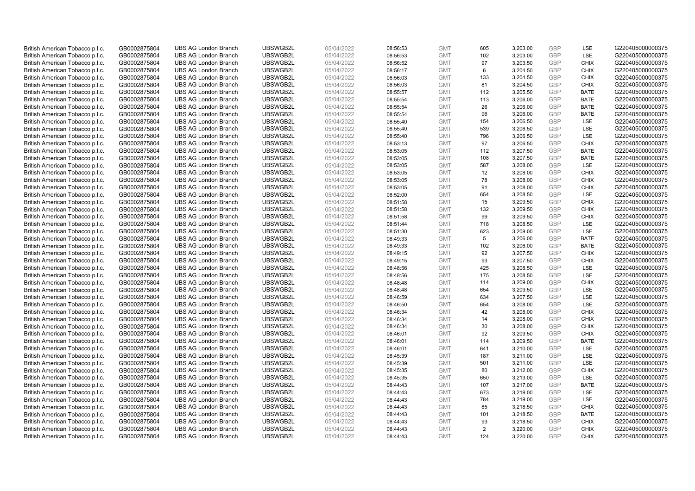| British American Tobacco p.l.c.                                    | GB0002875804                 | <b>UBS AG London Branch</b>                                | UBSWGB2L             | 05/04/2022               | 08:56:53             | <b>GMT</b>               | 605       | 3,203.00             | <b>GBP</b>        | LSE                        | G220405000000375                     |
|--------------------------------------------------------------------|------------------------------|------------------------------------------------------------|----------------------|--------------------------|----------------------|--------------------------|-----------|----------------------|-------------------|----------------------------|--------------------------------------|
| British American Tobacco p.l.c.                                    | GB0002875804                 | <b>UBS AG London Branch</b>                                | UBSWGB2L             | 05/04/2022               | 08:56:53             | <b>GMT</b>               | 102       | 3,203.00             | GBP               | LSE                        | G220405000000375                     |
| British American Tobacco p.l.c.                                    | GB0002875804                 | <b>UBS AG London Branch</b>                                | UBSWGB2L             | 05/04/2022               | 08:56:52             | <b>GMT</b>               | 97        | 3,203.50             | <b>GBP</b>        | <b>CHIX</b>                | G220405000000375                     |
| British American Tobacco p.l.c.                                    | GB0002875804                 | <b>UBS AG London Branch</b>                                | UBSWGB2L             | 05/04/2022               | 08:56:17             | <b>GMT</b>               | 6         | 3,204.50             | <b>GBP</b>        | <b>CHIX</b>                | G220405000000375                     |
| British American Tobacco p.l.c.                                    | GB0002875804                 | <b>UBS AG London Branch</b>                                | UBSWGB2L             | 05/04/2022               | 08:56:03             | <b>GMT</b>               | 133       | 3,204.50             | <b>GBP</b>        | <b>CHIX</b>                | G220405000000375                     |
| British American Tobacco p.l.c.                                    | GB0002875804                 | <b>UBS AG London Branch</b>                                | UBSWGB2L             | 05/04/2022               | 08:56:03             | <b>GMT</b>               | 81        | 3,204.50             | <b>GBP</b>        | <b>CHIX</b>                | G220405000000375                     |
| British American Tobacco p.l.c.                                    | GB0002875804                 | <b>UBS AG London Branch</b>                                | UBSWGB2L             | 05/04/2022               | 08:55:57             | <b>GMT</b>               | 112       | 3,205.50             | GBP               | <b>BATE</b>                | G220405000000375                     |
| British American Tobacco p.l.c.                                    | GB0002875804                 | <b>UBS AG London Branch</b>                                | UBSWGB2L             | 05/04/2022               | 08:55:54             | <b>GMT</b>               | 113       | 3,206.00             | <b>GBP</b>        | <b>BATE</b>                | G220405000000375                     |
| British American Tobacco p.l.c.                                    | GB0002875804                 | <b>UBS AG London Branch</b>                                | UBSWGB2L             | 05/04/2022               | 08:55:54             | <b>GMT</b>               | 26        | 3,206.00             | GBP               | <b>BATE</b>                | G220405000000375                     |
| British American Tobacco p.l.c.                                    | GB0002875804                 | <b>UBS AG London Branch</b>                                | UBSWGB2L             | 05/04/2022               | 08:55:54             | <b>GMT</b>               | 96        | 3,206.00             | <b>GBP</b>        | <b>BATE</b>                | G220405000000375                     |
| British American Tobacco p.l.c.                                    | GB0002875804                 | <b>UBS AG London Branch</b>                                | UBSWGB2L             | 05/04/2022               | 08:55:40             | <b>GMT</b>               | 154       | 3.206.50             | GBP               | <b>LSE</b>                 | G220405000000375                     |
| British American Tobacco p.l.c.                                    | GB0002875804                 | <b>UBS AG London Branch</b>                                | UBSWGB2L             | 05/04/2022               | 08:55:40             | <b>GMT</b>               | 539       | 3,206.50             | <b>GBP</b>        | LSE                        | G220405000000375                     |
| British American Tobacco p.l.c.                                    | GB0002875804                 | <b>UBS AG London Branch</b>                                | UBSWGB2L             | 05/04/2022               | 08:55:40             | <b>GMT</b>               | 796       | 3,206.50             | <b>GBP</b>        | LSE                        | G220405000000375                     |
| British American Tobacco p.l.c.                                    | GB0002875804                 | <b>UBS AG London Branch</b>                                | UBSWGB2L             | 05/04/2022               | 08:53:13             | <b>GMT</b>               | 97        | 3,206.50             | <b>GBP</b>        | <b>CHIX</b>                | G220405000000375                     |
| British American Tobacco p.l.c.                                    | GB0002875804                 | <b>UBS AG London Branch</b>                                | UBSWGB2L             | 05/04/2022               | 08:53:05             | <b>GMT</b>               | 112       | 3,207.50             | GBP               | <b>BATE</b>                | G220405000000375                     |
| British American Tobacco p.l.c.                                    | GB0002875804                 | <b>UBS AG London Branch</b>                                | UBSWGB2L<br>UBSWGB2L | 05/04/2022               | 08:53:05             | <b>GMT</b>               | 108       | 3,207.50             | GBP<br>GBP        | <b>BATE</b>                | G220405000000375                     |
| British American Tobacco p.l.c.                                    | GB0002875804                 | <b>UBS AG London Branch</b>                                |                      | 05/04/2022               | 08:53:05             | <b>GMT</b>               | 587       | 3,208.00             |                   | LSE                        | G220405000000375                     |
| British American Tobacco p.l.c.                                    | GB0002875804                 | <b>UBS AG London Branch</b>                                | UBSWGB2L             | 05/04/2022               | 08:53:05             | <b>GMT</b>               | 12        | 3,208.00             | GBP               | <b>CHIX</b>                | G220405000000375                     |
| British American Tobacco p.l.c.                                    | GB0002875804                 | <b>UBS AG London Branch</b>                                | UBSWGB2L             | 05/04/2022               | 08:53:05             | <b>GMT</b>               | 78        | 3,208.00             | <b>GBP</b>        | <b>CHIX</b>                | G220405000000375                     |
| British American Tobacco p.l.c.                                    | GB0002875804                 | <b>UBS AG London Branch</b>                                | UBSWGB2L             | 05/04/2022               | 08:53:05             | <b>GMT</b>               | 91        | 3,208.00             | <b>GBP</b>        | <b>CHIX</b>                | G220405000000375                     |
| British American Tobacco p.l.c.                                    | GB0002875804                 | <b>UBS AG London Branch</b>                                | UBSWGB2L<br>UBSWGB2L | 05/04/2022<br>05/04/2022 | 08:52:00             | <b>GMT</b>               | 654<br>15 | 3,208.50             | <b>GBP</b><br>GBP | LSE<br><b>CHIX</b>         | G220405000000375<br>G220405000000375 |
| British American Tobacco p.l.c.                                    | GB0002875804                 | <b>UBS AG London Branch</b>                                |                      |                          | 08:51:58             | <b>GMT</b>               |           | 3,209.50             |                   |                            |                                      |
| British American Tobacco p.l.c.<br>British American Tobacco p.l.c. | GB0002875804<br>GB0002875804 | <b>UBS AG London Branch</b><br><b>UBS AG London Branch</b> | UBSWGB2L<br>UBSWGB2L | 05/04/2022<br>05/04/2022 | 08:51:58             | <b>GMT</b><br><b>GMT</b> | 132<br>99 | 3,209.50<br>3.209.50 | <b>GBP</b><br>GBP | <b>CHIX</b><br><b>CHIX</b> | G220405000000375<br>G220405000000375 |
|                                                                    |                              | <b>UBS AG London Branch</b>                                | UBSWGB2L             | 05/04/2022               | 08:51:58             |                          | 718       | 3,208.50             | <b>GBP</b>        | LSE                        | G220405000000375                     |
| British American Tobacco p.l.c.<br>British American Tobacco p.l.c. | GB0002875804<br>GB0002875804 | <b>UBS AG London Branch</b>                                | UBSWGB2L             | 05/04/2022               | 08:51:44<br>08:51:30 | <b>GMT</b><br><b>GMT</b> | 623       | 3,209.00             | <b>GBP</b>        | LSE                        | G220405000000375                     |
| British American Tobacco p.l.c.                                    | GB0002875804                 | <b>UBS AG London Branch</b>                                | UBSWGB2L             | 05/04/2022               | 08:49:33             | <b>GMT</b>               | 5         | 3,206.00             | <b>GBP</b>        | <b>BATE</b>                | G220405000000375                     |
| British American Tobacco p.l.c.                                    | GB0002875804                 | <b>UBS AG London Branch</b>                                | UBSWGB2L             | 05/04/2022               | 08:49:33             | <b>GMT</b>               | 102       | 3,206.00             | GBP               | <b>BATE</b>                | G220405000000375                     |
| British American Tobacco p.l.c.                                    | GB0002875804                 | <b>UBS AG London Branch</b>                                | UBSWGB2L             | 05/04/2022               | 08:49:15             | <b>GMT</b>               | 92        | 3,207.50             | <b>GBP</b>        | <b>CHIX</b>                | G220405000000375                     |
| British American Tobacco p.l.c.                                    | GB0002875804                 | <b>UBS AG London Branch</b>                                | UBSWGB2L             | 05/04/2022               | 08:49:15             | <b>GMT</b>               | 93        | 3,207.50             | GBP               | <b>CHIX</b>                | G220405000000375                     |
| British American Tobacco p.l.c.                                    | GB0002875804                 | <b>UBS AG London Branch</b>                                | UBSWGB2L             | 05/04/2022               | 08:48:56             | <b>GMT</b>               | 425       | 3,208.50             | <b>GBP</b>        | <b>LSE</b>                 | G220405000000375                     |
| British American Tobacco p.l.c.                                    | GB0002875804                 | <b>UBS AG London Branch</b>                                | UBSWGB2L             | 05/04/2022               | 08:48:56             | <b>GMT</b>               | 175       | 3,208.50             | GBP               | <b>LSE</b>                 | G220405000000375                     |
| British American Tobacco p.l.c.                                    | GB0002875804                 | <b>UBS AG London Branch</b>                                | UBSWGB2L             | 05/04/2022               | 08:48:48             | <b>GMT</b>               | 114       | 3,209.00             | <b>GBP</b>        | <b>CHIX</b>                | G220405000000375                     |
| British American Tobacco p.l.c.                                    | GB0002875804                 | <b>UBS AG London Branch</b>                                | UBSWGB2L             | 05/04/2022               | 08:48:48             | <b>GMT</b>               | 654       | 3,209.50             | <b>GBP</b>        | LSE                        | G220405000000375                     |
| British American Tobacco p.l.c.                                    | GB0002875804                 | <b>UBS AG London Branch</b>                                | UBSWGB2L             | 05/04/2022               | 08:46:59             | <b>GMT</b>               | 634       | 3,207.50             | GBP               | LSE                        | G220405000000375                     |
| British American Tobacco p.l.c.                                    | GB0002875804                 | <b>UBS AG London Branch</b>                                | UBSWGB2L             | 05/04/2022               | 08:46:50             | <b>GMT</b>               | 654       | 3,208.00             | <b>GBP</b>        | LSE                        | G220405000000375                     |
| British American Tobacco p.l.c.                                    | GB0002875804                 | <b>UBS AG London Branch</b>                                | UBSWGB2L             | 05/04/2022               | 08:46:34             | <b>GMT</b>               | 42        | 3,208.00             | GBP               | CHIX                       | G220405000000375                     |
| British American Tobacco p.l.c.                                    | GB0002875804                 | <b>UBS AG London Branch</b>                                | UBSWGB2L             | 05/04/2022               | 08:46:34             | <b>GMT</b>               | 14        | 3,208.00             | <b>GBP</b>        | <b>CHIX</b>                | G220405000000375                     |
| British American Tobacco p.l.c.                                    | GB0002875804                 | <b>UBS AG London Branch</b>                                | UBSWGB2L             | 05/04/2022               | 08:46:34             | <b>GMT</b>               | 30        | 3,208.00             | GBP               | <b>CHIX</b>                | G220405000000375                     |
| British American Tobacco p.l.c.                                    | GB0002875804                 | <b>UBS AG London Branch</b>                                | UBSWGB2L             | 05/04/2022               | 08:46:01             | <b>GMT</b>               | 92        | 3,209.50             | <b>GBP</b>        | <b>CHIX</b>                | G220405000000375                     |
| British American Tobacco p.l.c.                                    | GB0002875804                 | <b>UBS AG London Branch</b>                                | UBSWGB2L             | 05/04/2022               | 08:46:01             | <b>GMT</b>               | 114       | 3,209.50             | GBP               | <b>BATE</b>                | G220405000000375                     |
| British American Tobacco p.l.c.                                    | GB0002875804                 | <b>UBS AG London Branch</b>                                | UBSWGB2L             | 05/04/2022               | 08:46:01             | <b>GMT</b>               | 641       | 3,210.00             | <b>GBP</b>        | <b>LSE</b>                 | G220405000000375                     |
| British American Tobacco p.l.c.                                    | GB0002875804                 | <b>UBS AG London Branch</b>                                | UBSWGB2L             | 05/04/2022               | 08:45:39             | <b>GMT</b>               | 187       | 3,211.00             | <b>GBP</b>        | LSE                        | G220405000000375                     |
| British American Tobacco p.l.c.                                    | GB0002875804                 | <b>UBS AG London Branch</b>                                | UBSWGB2L             | 05/04/2022               | 08:45:39             | <b>GMT</b>               | 501       | 3,211.00             | <b>GBP</b>        | LSE                        | G220405000000375                     |
| British American Tobacco p.l.c.                                    | GB0002875804                 | <b>UBS AG London Branch</b>                                | UBSWGB2L             | 05/04/2022               | 08:45:35             | <b>GMT</b>               | 80        | 3,212.00             | GBP               | <b>CHIX</b>                | G220405000000375                     |
| British American Tobacco p.l.c.                                    | GB0002875804                 | <b>UBS AG London Branch</b>                                | UBSWGB2L             | 05/04/2022               | 08:45:35             | <b>GMT</b>               | 650       | 3,213.00             | <b>GBP</b>        | LSE                        | G220405000000375                     |
| British American Tobacco p.l.c.                                    | GB0002875804                 | <b>UBS AG London Branch</b>                                | UBSWGB2L             | 05/04/2022               | 08:44:43             | <b>GMT</b>               | 107       | 3,217.00             | <b>GBP</b>        | <b>BATE</b>                | G220405000000375                     |
| British American Tobacco p.l.c.                                    | GB0002875804                 | <b>UBS AG London Branch</b>                                | UBSWGB2L             | 05/04/2022               | 08:44:43             | <b>GMT</b>               | 673       | 3,219.00             | GBP               | LSE                        | G220405000000375                     |
| British American Tobacco p.l.c.                                    | GB0002875804                 | <b>UBS AG London Branch</b>                                | UBSWGB2L             | 05/04/2022               | 08:44:43             | <b>GMT</b>               | 784       | 3,219.00             | <b>GBP</b>        | LSE                        | G220405000000375                     |
| British American Tobacco p.l.c.                                    | GB0002875804                 | <b>UBS AG London Branch</b>                                | UBSWGB2L             | 05/04/2022               | 08:44:43             | <b>GMT</b>               | 85        | 3,218.50             | GBP               | <b>CHIX</b>                | G220405000000375                     |
| British American Tobacco p.l.c.                                    | GB0002875804                 | <b>UBS AG London Branch</b>                                | UBSWGB2L             | 05/04/2022               | 08:44:43             | <b>GMT</b>               | 101       | 3,218.50             | <b>GBP</b>        | <b>BATE</b>                | G220405000000375                     |
| British American Tobacco p.l.c.                                    | GB0002875804                 | <b>UBS AG London Branch</b>                                | UBSWGB2L             | 05/04/2022               | 08:44:43             | <b>GMT</b>               | 93        | 3,218.50             | <b>GBP</b>        | <b>CHIX</b>                | G220405000000375                     |
| British American Tobacco p.l.c.                                    | GB0002875804                 | <b>UBS AG London Branch</b>                                | UBSWGB2L             | 05/04/2022               | 08:44:43             | <b>GMT</b>               | 2         | 3,220.00             | <b>GBP</b>        | <b>CHIX</b>                | G220405000000375                     |
| British American Tobacco p.l.c.                                    | GB0002875804                 | <b>UBS AG London Branch</b>                                | UBSWGB2L             | 05/04/2022               | 08:44:43             | <b>GMT</b>               | 124       | 3.220.00             | GBP               | CHIX                       | G220405000000375                     |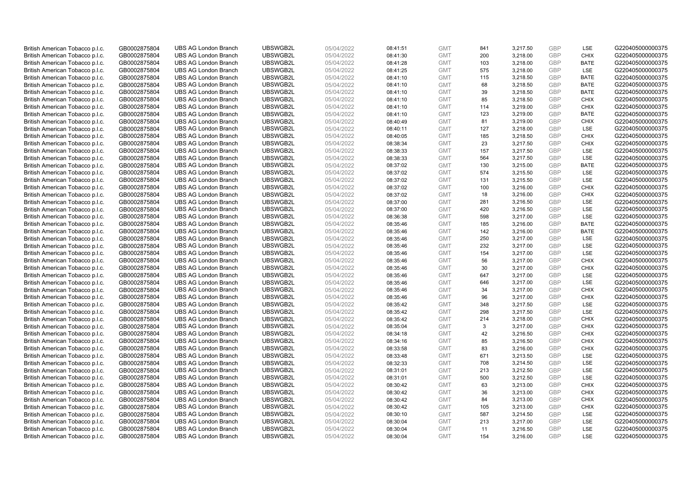| British American Tobacco p.l.c. | GB0002875804 | <b>UBS AG London Branch</b> | UBSWGB2L | 05/04/2022 | 08:41:51 | <b>GMT</b> | 841       | 3,217.50 | <b>GBP</b> | LSE         | G220405000000375 |
|---------------------------------|--------------|-----------------------------|----------|------------|----------|------------|-----------|----------|------------|-------------|------------------|
| British American Tobacco p.l.c. | GB0002875804 | <b>UBS AG London Branch</b> | UBSWGB2L | 05/04/2022 | 08:41:30 | <b>GMT</b> | 200       | 3,218.00 | GBP        | CHIX        | G220405000000375 |
| British American Tobacco p.l.c. | GB0002875804 | <b>UBS AG London Branch</b> | UBSWGB2L | 05/04/2022 | 08:41:28 | <b>GMT</b> | 103       | 3,218.00 | GBP        | <b>BATE</b> | G220405000000375 |
| British American Tobacco p.l.c. | GB0002875804 | <b>UBS AG London Branch</b> | UBSWGB2L | 05/04/2022 | 08:41:25 | <b>GMT</b> | 575       | 3,218.00 | <b>GBP</b> | LSE         | G220405000000375 |
| British American Tobacco p.l.c. | GB0002875804 | <b>UBS AG London Branch</b> | UBSWGB2L | 05/04/2022 | 08:41:10 | <b>GMT</b> | 115       | 3,218.50 | GBP        | <b>BATE</b> | G220405000000375 |
| British American Tobacco p.l.c. | GB0002875804 | <b>UBS AG London Branch</b> | UBSWGB2L | 05/04/2022 | 08:41:10 | <b>GMT</b> | 68        | 3,218.50 | <b>GBP</b> | <b>BATE</b> | G220405000000375 |
| British American Tobacco p.l.c. | GB0002875804 | <b>UBS AG London Branch</b> | UBSWGB2L | 05/04/2022 | 08:41:10 | <b>GMT</b> | 39        | 3,218.50 | GBP        | <b>BATE</b> | G220405000000375 |
| British American Tobacco p.l.c. | GB0002875804 | <b>UBS AG London Branch</b> | UBSWGB2L | 05/04/2022 | 08:41:10 | <b>GMT</b> | 85        | 3,218.50 | <b>GBP</b> | <b>CHIX</b> | G220405000000375 |
| British American Tobacco p.l.c. | GB0002875804 | <b>UBS AG London Branch</b> | UBSWGB2L | 05/04/2022 | 08:41:10 | <b>GMT</b> | 114       | 3,219.00 | <b>GBP</b> | <b>CHIX</b> | G220405000000375 |
| British American Tobacco p.l.c. | GB0002875804 | <b>UBS AG London Branch</b> | UBSWGB2L | 05/04/2022 | 08:41:10 | <b>GMT</b> | 123       | 3,219.00 | <b>GBP</b> | <b>BATE</b> | G220405000000375 |
| British American Tobacco p.l.c. | GB0002875804 | <b>UBS AG London Branch</b> | UBSWGB2L | 05/04/2022 | 08:40:49 | <b>GMT</b> | 81        | 3,219.00 | <b>GBP</b> | <b>CHIX</b> | G220405000000375 |
| British American Tobacco p.l.c. | GB0002875804 | <b>UBS AG London Branch</b> | UBSWGB2L | 05/04/2022 | 08:40:11 | <b>GMT</b> | 127       | 3,218.00 | <b>GBP</b> | LSE         | G220405000000375 |
| British American Tobacco p.l.c. | GB0002875804 | <b>UBS AG London Branch</b> | UBSWGB2L | 05/04/2022 | 08:40:05 | <b>GMT</b> | 185       | 3,218.50 | <b>GBP</b> | <b>CHIX</b> | G220405000000375 |
| British American Tobacco p.l.c. | GB0002875804 | <b>UBS AG London Branch</b> | UBSWGB2L | 05/04/2022 | 08:38:34 | <b>GMT</b> | 23        | 3,217.50 | <b>GBP</b> | <b>CHIX</b> | G220405000000375 |
| British American Tobacco p.l.c. | GB0002875804 | <b>UBS AG London Branch</b> | UBSWGB2L | 05/04/2022 | 08:38:33 | <b>GMT</b> | 157       | 3,217.50 | GBP        | <b>LSE</b>  | G220405000000375 |
| British American Tobacco p.l.c. | GB0002875804 | <b>UBS AG London Branch</b> | UBSWGB2L | 05/04/2022 | 08:38:33 | <b>GMT</b> | 564       | 3,217.50 | <b>GBP</b> | LSE         | G220405000000375 |
| British American Tobacco p.l.c. | GB0002875804 | <b>UBS AG London Branch</b> | UBSWGB2L | 05/04/2022 | 08:37:02 | <b>GMT</b> | 130       | 3,215.00 | GBP        | <b>BATE</b> | G220405000000375 |
| British American Tobacco p.l.c. | GB0002875804 | <b>UBS AG London Branch</b> | UBSWGB2L | 05/04/2022 | 08:37:02 | <b>GMT</b> | 574       | 3,215.50 | <b>GBP</b> | LSE         | G220405000000375 |
| British American Tobacco p.l.c. | GB0002875804 | <b>UBS AG London Branch</b> | UBSWGB2L | 05/04/2022 | 08:37:02 | <b>GMT</b> | 131       | 3,215.50 | <b>GBP</b> | <b>LSE</b>  | G220405000000375 |
| British American Tobacco p.l.c. | GB0002875804 | <b>UBS AG London Branch</b> | UBSWGB2L | 05/04/2022 | 08:37:02 | <b>GMT</b> | 100       | 3,216.00 | <b>GBP</b> | <b>CHIX</b> | G220405000000375 |
| British American Tobacco p.l.c. | GB0002875804 | <b>UBS AG London Branch</b> | UBSWGB2L | 05/04/2022 | 08:37:02 | <b>GMT</b> | 18        | 3,216.00 | <b>GBP</b> | <b>CHIX</b> | G220405000000375 |
| British American Tobacco p.l.c. | GB0002875804 | <b>UBS AG London Branch</b> | UBSWGB2L | 05/04/2022 | 08:37:00 | <b>GMT</b> | 281       | 3,216.50 | GBP        | LSE         | G220405000000375 |
| British American Tobacco p.l.c. | GB0002875804 | <b>UBS AG London Branch</b> | UBSWGB2L | 05/04/2022 | 08:37:00 | <b>GMT</b> | 420       | 3,216.50 | <b>GBP</b> | LSE         | G220405000000375 |
| British American Tobacco p.l.c. | GB0002875804 | <b>UBS AG London Branch</b> | UBSWGB2L | 05/04/2022 | 08:36:38 | <b>GMT</b> | 598       | 3.217.00 | GBP        | <b>LSE</b>  | G220405000000375 |
| British American Tobacco p.l.c. | GB0002875804 | <b>UBS AG London Branch</b> | UBSWGB2L | 05/04/2022 | 08:35:46 | <b>GMT</b> | 185       | 3,216.00 | <b>GBP</b> | <b>BATE</b> | G220405000000375 |
| British American Tobacco p.l.c. | GB0002875804 | <b>UBS AG London Branch</b> | UBSWGB2L | 05/04/2022 | 08:35:46 | <b>GMT</b> | 142       | 3,216.00 | GBP        | <b>BATE</b> | G220405000000375 |
| British American Tobacco p.l.c. | GB0002875804 | <b>UBS AG London Branch</b> | UBSWGB2L | 05/04/2022 | 08:35:46 | <b>GMT</b> | 250       | 3,217.00 | <b>GBP</b> | LSE         | G220405000000375 |
| British American Tobacco p.l.c. | GB0002875804 | <b>UBS AG London Branch</b> | UBSWGB2L | 05/04/2022 | 08:35:46 | <b>GMT</b> | 232       | 3,217.00 | GBP        | LSE         | G220405000000375 |
| British American Tobacco p.l.c. | GB0002875804 | <b>UBS AG London Branch</b> | UBSWGB2L | 05/04/2022 | 08:35:46 | <b>GMT</b> | 154       | 3,217.00 | <b>GBP</b> | LSE         | G220405000000375 |
| British American Tobacco p.l.c. | GB0002875804 | <b>UBS AG London Branch</b> | UBSWGB2L | 05/04/2022 | 08:35:46 | <b>GMT</b> | 56        | 3,217.00 | GBP        | <b>CHIX</b> | G220405000000375 |
| British American Tobacco p.l.c. | GB0002875804 | <b>UBS AG London Branch</b> | UBSWGB2L | 05/04/2022 | 08:35:46 | <b>GMT</b> | 30        | 3,217.00 | <b>GBP</b> | <b>CHIX</b> | G220405000000375 |
| British American Tobacco p.l.c. | GB0002875804 | <b>UBS AG London Branch</b> | UBSWGB2L | 05/04/2022 | 08:35:46 | <b>GMT</b> | 647       | 3,217.00 | GBP        | <b>LSE</b>  | G220405000000375 |
| British American Tobacco p.l.c. | GB0002875804 | <b>UBS AG London Branch</b> | UBSWGB2L | 05/04/2022 | 08:35:46 | <b>GMT</b> | 646       | 3,217.00 | <b>GBP</b> | LSE         | G220405000000375 |
| British American Tobacco p.l.c. | GB0002875804 | <b>UBS AG London Branch</b> | UBSWGB2L | 05/04/2022 | 08:35:46 | <b>GMT</b> | 34        | 3,217.00 | <b>GBP</b> | <b>CHIX</b> | G220405000000375 |
| British American Tobacco p.l.c. | GB0002875804 | <b>UBS AG London Branch</b> | UBSWGB2L | 05/04/2022 | 08:35:46 | <b>GMT</b> | 96        | 3,217.00 | GBP        | <b>CHIX</b> | G220405000000375 |
| British American Tobacco p.l.c. | GB0002875804 | <b>UBS AG London Branch</b> | UBSWGB2L | 05/04/2022 | 08:35:42 | <b>GMT</b> | 348       | 3,217.50 | <b>GBP</b> | LSE         | G220405000000375 |
| British American Tobacco p.l.c. | GB0002875804 | <b>UBS AG London Branch</b> | UBSWGB2L | 05/04/2022 | 08:35:42 | <b>GMT</b> | 298       | 3,217.50 | GBP        | <b>LSE</b>  | G220405000000375 |
| British American Tobacco p.l.c. | GB0002875804 | <b>UBS AG London Branch</b> | UBSWGB2L | 05/04/2022 | 08:35:42 | <b>GMT</b> | 214       | 3,218.00 | <b>GBP</b> | <b>CHIX</b> | G220405000000375 |
| British American Tobacco p.l.c. | GB0002875804 | <b>UBS AG London Branch</b> | UBSWGB2L | 05/04/2022 | 08:35:04 | <b>GMT</b> | 3         | 3,217.00 | <b>GBP</b> | <b>CHIX</b> | G220405000000375 |
| British American Tobacco p.l.c. | GB0002875804 | <b>UBS AG London Branch</b> | UBSWGB2L | 05/04/2022 | 08:34:18 | <b>GMT</b> | 42        | 3,216.50 | <b>GBP</b> | <b>CHIX</b> | G220405000000375 |
| British American Tobacco p.l.c. | GB0002875804 | <b>UBS AG London Branch</b> | UBSWGB2L | 05/04/2022 | 08:34:16 | <b>GMT</b> | 85        | 3,216.50 | GBP        | <b>CHIX</b> | G220405000000375 |
| British American Tobacco p.l.c. | GB0002875804 | <b>UBS AG London Branch</b> | UBSWGB2L | 05/04/2022 | 08:33:58 | <b>GMT</b> | 83        | 3,216.00 | <b>GBP</b> | <b>CHIX</b> | G220405000000375 |
| British American Tobacco p.l.c. | GB0002875804 | <b>UBS AG London Branch</b> | UBSWGB2L | 05/04/2022 | 08:33:48 | <b>GMT</b> | 671       | 3,213.50 | <b>GBP</b> | LSE         | G220405000000375 |
| British American Tobacco p.l.c. |              | <b>UBS AG London Branch</b> | UBSWGB2L | 05/04/2022 |          | <b>GMT</b> | 708       | 3,214.50 | <b>GBP</b> | LSE         | G220405000000375 |
|                                 | GB0002875804 |                             | UBSWGB2L |            | 08:32:33 |            |           |          | <b>GBP</b> | LSE         | G220405000000375 |
| British American Tobacco p.l.c. | GB0002875804 | <b>UBS AG London Branch</b> |          | 05/04/2022 | 08:31:01 | <b>GMT</b> | 213       | 3,212.50 |            |             |                  |
| British American Tobacco p.l.c. | GB0002875804 | <b>UBS AG London Branch</b> | UBSWGB2L | 05/04/2022 | 08:31:01 | <b>GMT</b> | 500<br>63 | 3,212.50 | <b>GBP</b> | LSE         | G220405000000375 |
| British American Tobacco p.l.c. | GB0002875804 | <b>UBS AG London Branch</b> | UBSWGB2L | 05/04/2022 | 08:30:42 | <b>GMT</b> |           | 3,213.00 | <b>GBP</b> | <b>CHIX</b> | G220405000000375 |
| British American Tobacco p.l.c. | GB0002875804 | <b>UBS AG London Branch</b> | UBSWGB2L | 05/04/2022 | 08:30:42 | <b>GMT</b> | 36        | 3,213.00 | <b>GBP</b> | <b>CHIX</b> | G220405000000375 |
| British American Tobacco p.l.c. | GB0002875804 | <b>UBS AG London Branch</b> | UBSWGB2L | 05/04/2022 | 08:30:42 | <b>GMT</b> | 84        | 3,213.00 | <b>GBP</b> | <b>CHIX</b> | G220405000000375 |
| British American Tobacco p.l.c. | GB0002875804 | <b>UBS AG London Branch</b> | UBSWGB2L | 05/04/2022 | 08:30:42 | <b>GMT</b> | 105       | 3,213.00 | <b>GBP</b> | <b>CHIX</b> | G220405000000375 |
| British American Tobacco p.l.c. | GB0002875804 | <b>UBS AG London Branch</b> | UBSWGB2L | 05/04/2022 | 08:30:10 | <b>GMT</b> | 587       | 3,214.50 | <b>GBP</b> | LSE         | G220405000000375 |
| British American Tobacco p.l.c. | GB0002875804 | <b>UBS AG London Branch</b> | UBSWGB2L | 05/04/2022 | 08:30:04 | <b>GMT</b> | 213       | 3,217.00 | <b>GBP</b> | LSE         | G220405000000375 |
| British American Tobacco p.l.c. | GB0002875804 | <b>UBS AG London Branch</b> | UBSWGB2L | 05/04/2022 | 08:30:04 | <b>GMT</b> | 11        | 3,216.50 | <b>GBP</b> | LSE         | G220405000000375 |
| British American Tobacco p.l.c. | GB0002875804 | <b>UBS AG London Branch</b> | UBSWGB2L | 05/04/2022 | 08:30:04 | <b>GMT</b> | 154       | 3.216.00 | GBP        | <b>LSE</b>  | G220405000000375 |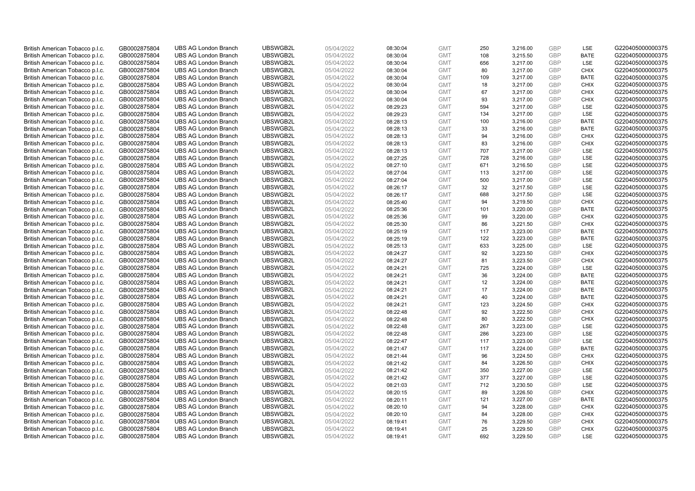| British American Tobacco p.l.c. | GB0002875804 | <b>UBS AG London Branch</b> | UBSWGB2L | 05/04/2022 | 08:30:04 | <b>GMT</b> | 250 | 3,216.00 | <b>GBP</b> | LSE         | G220405000000375 |
|---------------------------------|--------------|-----------------------------|----------|------------|----------|------------|-----|----------|------------|-------------|------------------|
|                                 |              |                             |          |            |          |            | 108 |          | GBP        | <b>BATE</b> |                  |
| British American Tobacco p.l.c. | GB0002875804 | <b>UBS AG London Branch</b> | UBSWGB2L | 05/04/2022 | 08:30:04 | <b>GMT</b> |     | 3,215.50 |            |             | G220405000000375 |
| British American Tobacco p.l.c. | GB0002875804 | <b>UBS AG London Branch</b> | UBSWGB2L | 05/04/2022 | 08:30:04 | <b>GMT</b> | 656 | 3,217.00 | <b>GBP</b> | LSE         | G220405000000375 |
| British American Tobacco p.l.c. | GB0002875804 | <b>UBS AG London Branch</b> | UBSWGB2L | 05/04/2022 | 08:30:04 | <b>GMT</b> | 80  | 3,217.00 | <b>GBP</b> | <b>CHIX</b> | G220405000000375 |
| British American Tobacco p.l.c. | GB0002875804 | <b>UBS AG London Branch</b> | UBSWGB2L | 05/04/2022 | 08:30:04 | <b>GMT</b> | 109 | 3,217.00 | <b>GBP</b> | <b>BATE</b> | G220405000000375 |
| British American Tobacco p.l.c. | GB0002875804 | <b>UBS AG London Branch</b> | UBSWGB2L | 05/04/2022 | 08:30:04 | <b>GMT</b> | 18  | 3,217.00 | <b>GBP</b> | <b>CHIX</b> | G220405000000375 |
| British American Tobacco p.l.c. | GB0002875804 | <b>UBS AG London Branch</b> | UBSWGB2L | 05/04/2022 | 08:30:04 | <b>GMT</b> | 67  | 3,217.00 | GBP        | <b>CHIX</b> | G220405000000375 |
| British American Tobacco p.l.c. | GB0002875804 | <b>UBS AG London Branch</b> | UBSWGB2L | 05/04/2022 | 08:30:04 | <b>GMT</b> | 93  | 3,217.00 | <b>GBP</b> | <b>CHIX</b> | G220405000000375 |
| British American Tobacco p.l.c. | GB0002875804 | <b>UBS AG London Branch</b> | UBSWGB2L | 05/04/2022 | 08:29:23 | <b>GMT</b> | 594 | 3,217.00 | GBP        | LSE         | G220405000000375 |
| British American Tobacco p.l.c. | GB0002875804 | <b>UBS AG London Branch</b> | UBSWGB2L | 05/04/2022 | 08:29:23 | <b>GMT</b> | 134 | 3,217.00 | <b>GBP</b> | LSE         | G220405000000375 |
| British American Tobacco p.l.c. | GB0002875804 | <b>UBS AG London Branch</b> | UBSWGB2L | 05/04/2022 | 08:28:13 | <b>GMT</b> | 100 | 3,216.00 | GBP        | <b>BATE</b> | G220405000000375 |
| British American Tobacco p.l.c. | GB0002875804 | <b>UBS AG London Branch</b> | UBSWGB2L | 05/04/2022 | 08:28:13 | <b>GMT</b> | 33  | 3,216.00 | <b>GBP</b> | <b>BATE</b> | G220405000000375 |
| British American Tobacco p.l.c. | GB0002875804 | <b>UBS AG London Branch</b> | UBSWGB2L | 05/04/2022 | 08:28:13 | <b>GMT</b> | 94  | 3,216.00 | <b>GBP</b> | <b>CHIX</b> | G220405000000375 |
| British American Tobacco p.l.c. | GB0002875804 | <b>UBS AG London Branch</b> | UBSWGB2L | 05/04/2022 | 08:28:13 | <b>GMT</b> | 83  | 3,216.00 | <b>GBP</b> | <b>CHIX</b> | G220405000000375 |
| British American Tobacco p.l.c. | GB0002875804 | <b>UBS AG London Branch</b> | UBSWGB2L | 05/04/2022 | 08:28:13 | <b>GMT</b> | 707 | 3,217.00 | GBP        | <b>LSE</b>  | G220405000000375 |
| British American Tobacco p.l.c. | GB0002875804 | <b>UBS AG London Branch</b> | UBSWGB2L | 05/04/2022 | 08:27:25 | <b>GMT</b> | 728 | 3,216.00 | GBP        | LSE         | G220405000000375 |
| British American Tobacco p.l.c. | GB0002875804 | <b>UBS AG London Branch</b> | UBSWGB2L | 05/04/2022 | 08:27:10 | <b>GMT</b> | 671 | 3,216.50 | GBP        | LSE         | G220405000000375 |
| British American Tobacco p.l.c. | GB0002875804 | <b>UBS AG London Branch</b> | UBSWGB2L | 05/04/2022 | 08:27:04 | <b>GMT</b> | 113 | 3,217.00 | <b>GBP</b> | LSE         | G220405000000375 |
| British American Tobacco p.l.c. | GB0002875804 | <b>UBS AG London Branch</b> | UBSWGB2L | 05/04/2022 | 08:27:04 | <b>GMT</b> | 500 | 3,217.00 | <b>GBP</b> | <b>LSE</b>  | G220405000000375 |
| British American Tobacco p.l.c. | GB0002875804 | <b>UBS AG London Branch</b> | UBSWGB2L | 05/04/2022 | 08:26:17 | <b>GMT</b> | 32  | 3,217.50 | <b>GBP</b> | LSE         | G220405000000375 |
| British American Tobacco p.l.c. | GB0002875804 | <b>UBS AG London Branch</b> | UBSWGB2L | 05/04/2022 | 08:26:17 | <b>GMT</b> | 688 | 3,217.50 | <b>GBP</b> | LSE         | G220405000000375 |
| British American Tobacco p.l.c. | GB0002875804 | <b>UBS AG London Branch</b> | UBSWGB2L | 05/04/2022 | 08:25:40 | <b>GMT</b> | 94  | 3,219.50 | GBP        | <b>CHIX</b> | G220405000000375 |
| British American Tobacco p.l.c. | GB0002875804 | <b>UBS AG London Branch</b> | UBSWGB2L | 05/04/2022 | 08:25:36 | <b>GMT</b> | 101 | 3,220.00 | <b>GBP</b> | <b>BATE</b> | G220405000000375 |
| British American Tobacco p.l.c. | GB0002875804 | <b>UBS AG London Branch</b> | UBSWGB2L | 05/04/2022 | 08:25:36 | <b>GMT</b> | 99  | 3,220.00 | GBP        | <b>CHIX</b> | G220405000000375 |
| British American Tobacco p.l.c. | GB0002875804 | <b>UBS AG London Branch</b> | UBSWGB2L | 05/04/2022 | 08:25:30 | <b>GMT</b> | 86  | 3,221.50 | <b>GBP</b> | <b>CHIX</b> | G220405000000375 |
| British American Tobacco p.l.c. | GB0002875804 | <b>UBS AG London Branch</b> | UBSWGB2L | 05/04/2022 | 08:25:19 | <b>GMT</b> | 117 | 3,223.00 | <b>GBP</b> | <b>BATE</b> | G220405000000375 |
| British American Tobacco p.l.c. | GB0002875804 | <b>UBS AG London Branch</b> | UBSWGB2L | 05/04/2022 | 08:25:19 | <b>GMT</b> | 122 | 3,223.00 | <b>GBP</b> | <b>BATE</b> | G220405000000375 |
| British American Tobacco p.l.c. | GB0002875804 | <b>UBS AG London Branch</b> | UBSWGB2L | 05/04/2022 | 08:25:13 | <b>GMT</b> | 633 | 3,225.00 | GBP        | LSE         | G220405000000375 |
| British American Tobacco p.l.c. | GB0002875804 | <b>UBS AG London Branch</b> | UBSWGB2L | 05/04/2022 | 08:24:27 | <b>GMT</b> | 92  | 3,223.50 | <b>GBP</b> | <b>CHIX</b> | G220405000000375 |
| British American Tobacco p.l.c. | GB0002875804 | <b>UBS AG London Branch</b> | UBSWGB2L | 05/04/2022 | 08:24:27 | <b>GMT</b> | 81  | 3,223.50 | GBP        | <b>CHIX</b> | G220405000000375 |
| British American Tobacco p.l.c. | GB0002875804 | <b>UBS AG London Branch</b> | UBSWGB2L | 05/04/2022 | 08:24:21 | <b>GMT</b> | 725 | 3,224.00 | <b>GBP</b> | <b>LSE</b>  | G220405000000375 |
| British American Tobacco p.l.c. | GB0002875804 | <b>UBS AG London Branch</b> | UBSWGB2L | 05/04/2022 | 08:24:21 | <b>GMT</b> | 36  | 3,224.00 | GBP        | <b>BATE</b> | G220405000000375 |
| British American Tobacco p.l.c. | GB0002875804 | <b>UBS AG London Branch</b> | UBSWGB2L | 05/04/2022 | 08:24:21 | <b>GMT</b> | 12  | 3,224.00 | <b>GBP</b> | <b>BATE</b> | G220405000000375 |
| British American Tobacco p.l.c. | GB0002875804 | <b>UBS AG London Branch</b> | UBSWGB2L | 05/04/2022 | 08:24:21 | <b>GMT</b> | 17  | 3,224.00 | <b>GBP</b> | <b>BATE</b> | G220405000000375 |
| British American Tobacco p.l.c. | GB0002875804 | <b>UBS AG London Branch</b> | UBSWGB2L | 05/04/2022 | 08:24:21 | <b>GMT</b> | 40  | 3,224.00 | <b>GBP</b> | <b>BATE</b> | G220405000000375 |
| British American Tobacco p.l.c. | GB0002875804 | <b>UBS AG London Branch</b> | UBSWGB2L | 05/04/2022 | 08:24:21 | <b>GMT</b> | 123 | 3,224.50 | <b>GBP</b> | <b>CHIX</b> | G220405000000375 |
| British American Tobacco p.l.c. | GB0002875804 | <b>UBS AG London Branch</b> | UBSWGB2L | 05/04/2022 | 08:22:48 | <b>GMT</b> | 92  | 3,222.50 | <b>GBP</b> | <b>CHIX</b> | G220405000000375 |
| British American Tobacco p.l.c. | GB0002875804 | <b>UBS AG London Branch</b> | UBSWGB2L | 05/04/2022 | 08:22:48 | <b>GMT</b> | 80  | 3,222.50 | <b>GBP</b> | <b>CHIX</b> | G220405000000375 |
| British American Tobacco p.l.c. | GB0002875804 | <b>UBS AG London Branch</b> | UBSWGB2L | 05/04/2022 | 08:22:48 | <b>GMT</b> | 267 | 3,223.00 | <b>GBP</b> | LSE         | G220405000000375 |
| British American Tobacco p.l.c. | GB0002875804 | <b>UBS AG London Branch</b> | UBSWGB2L | 05/04/2022 | 08:22:48 | <b>GMT</b> | 286 | 3,223.00 | <b>GBP</b> | <b>LSE</b>  | G220405000000375 |
| British American Tobacco p.l.c. | GB0002875804 | <b>UBS AG London Branch</b> | UBSWGB2L | 05/04/2022 | 08:22:47 | <b>GMT</b> | 117 | 3,223.00 | <b>GBP</b> | LSE         | G220405000000375 |
| British American Tobacco p.l.c. | GB0002875804 | <b>UBS AG London Branch</b> | UBSWGB2L | 05/04/2022 | 08:21:47 | <b>GMT</b> | 117 | 3,224.00 | <b>GBP</b> | <b>BATE</b> | G220405000000375 |
| British American Tobacco p.l.c. | GB0002875804 | <b>UBS AG London Branch</b> | UBSWGB2L | 05/04/2022 | 08:21:44 | <b>GMT</b> | 96  | 3,224.50 | <b>GBP</b> | <b>CHIX</b> | G220405000000375 |
| British American Tobacco p.l.c. | GB0002875804 | <b>UBS AG London Branch</b> | UBSWGB2L | 05/04/2022 | 08:21:42 | <b>GMT</b> | 84  | 3,226.50 | <b>GBP</b> | <b>CHIX</b> | G220405000000375 |
| British American Tobacco p.l.c. | GB0002875804 | <b>UBS AG London Branch</b> | UBSWGB2L | 05/04/2022 | 08:21:42 | <b>GMT</b> | 350 | 3,227.00 | <b>GBP</b> | <b>LSE</b>  | G220405000000375 |
| British American Tobacco p.l.c. | GB0002875804 | <b>UBS AG London Branch</b> | UBSWGB2L | 05/04/2022 | 08:21:42 | <b>GMT</b> | 377 | 3,227.00 | <b>GBP</b> | LSE         | G220405000000375 |
| British American Tobacco p.l.c. | GB0002875804 | <b>UBS AG London Branch</b> | UBSWGB2L | 05/04/2022 | 08:21:03 | <b>GMT</b> | 712 | 3,230.50 | <b>GBP</b> | LSE         | G220405000000375 |
| British American Tobacco p.l.c. | GB0002875804 | <b>UBS AG London Branch</b> | UBSWGB2L | 05/04/2022 | 08:20:15 | <b>GMT</b> | 89  | 3,226.50 | <b>GBP</b> | <b>CHIX</b> | G220405000000375 |
|                                 |              |                             |          |            |          | <b>GMT</b> |     |          | <b>GBP</b> |             |                  |
| British American Tobacco p.l.c. | GB0002875804 | <b>UBS AG London Branch</b> | UBSWGB2L | 05/04/2022 | 08:20:11 |            | 121 | 3,227.00 | <b>GBP</b> | <b>BATE</b> | G220405000000375 |
| British American Tobacco p.l.c. | GB0002875804 | <b>UBS AG London Branch</b> | UBSWGB2L | 05/04/2022 | 08:20:10 | <b>GMT</b> | 94  | 3,228.00 |            | <b>CHIX</b> | G220405000000375 |
| British American Tobacco p.l.c. | GB0002875804 | <b>UBS AG London Branch</b> | UBSWGB2L | 05/04/2022 | 08:20:10 | <b>GMT</b> | 84  | 3,228.00 | <b>GBP</b> | <b>CHIX</b> | G220405000000375 |
| British American Tobacco p.l.c. | GB0002875804 | <b>UBS AG London Branch</b> | UBSWGB2L | 05/04/2022 | 08:19:41 | <b>GMT</b> | 76  | 3,229.50 | <b>GBP</b> | <b>CHIX</b> | G220405000000375 |
| British American Tobacco p.l.c. | GB0002875804 | <b>UBS AG London Branch</b> | UBSWGB2L | 05/04/2022 | 08:19:41 | <b>GMT</b> | 25  | 3,229.50 | <b>GBP</b> | <b>CHIX</b> | G220405000000375 |
| British American Tobacco p.l.c. | GB0002875804 | <b>UBS AG London Branch</b> | UBSWGB2L | 05/04/2022 | 08:19:41 | <b>GMT</b> | 692 | 3.229.50 | GBP        | <b>LSE</b>  | G220405000000375 |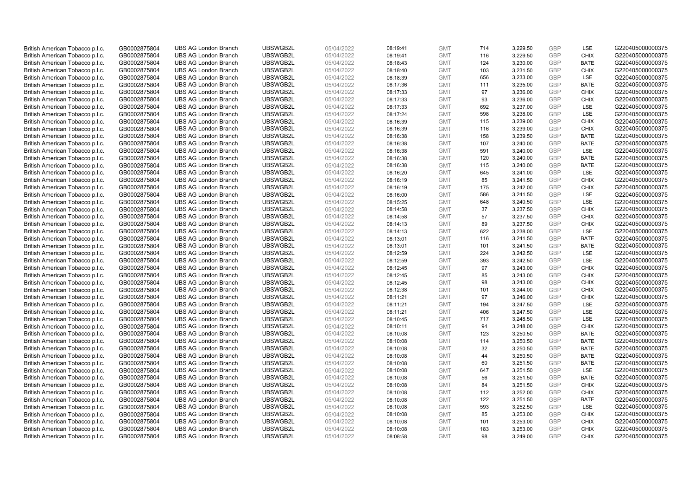| British American Tobacco p.l.c. | GB0002875804 | <b>UBS AG London Branch</b> | UBSWGB2L | 05/04/2022 | 08:19:41 | <b>GMT</b> | 714 | 3,229.50 | <b>GBP</b> | LSE         | G220405000000375 |
|---------------------------------|--------------|-----------------------------|----------|------------|----------|------------|-----|----------|------------|-------------|------------------|
| British American Tobacco p.l.c. | GB0002875804 | <b>UBS AG London Branch</b> | UBSWGB2L | 05/04/2022 | 08:19:41 | <b>GMT</b> | 116 | 3,229.50 | GBP        | <b>CHIX</b> | G220405000000375 |
| British American Tobacco p.l.c. | GB0002875804 | <b>UBS AG London Branch</b> | UBSWGB2L | 05/04/2022 | 08:18:43 | <b>GMT</b> | 124 | 3,230.00 | <b>GBP</b> | <b>BATE</b> | G220405000000375 |
| British American Tobacco p.l.c. | GB0002875804 | <b>UBS AG London Branch</b> | UBSWGB2L | 05/04/2022 | 08:18:40 | <b>GMT</b> | 103 | 3,231.50 | <b>GBP</b> | <b>CHIX</b> | G220405000000375 |
| British American Tobacco p.l.c. | GB0002875804 | <b>UBS AG London Branch</b> | UBSWGB2L | 05/04/2022 | 08:18:39 | <b>GMT</b> | 656 | 3,233.00 | GBP        | <b>LSE</b>  | G220405000000375 |
| British American Tobacco p.l.c. | GB0002875804 | <b>UBS AG London Branch</b> | UBSWGB2L | 05/04/2022 | 08:17:36 | <b>GMT</b> | 111 | 3,235.00 | <b>GBP</b> | <b>BATE</b> | G220405000000375 |
| British American Tobacco p.l.c. | GB0002875804 | <b>UBS AG London Branch</b> | UBSWGB2L | 05/04/2022 | 08:17:33 | <b>GMT</b> | 97  | 3,236.00 | GBP        | <b>CHIX</b> | G220405000000375 |
| British American Tobacco p.l.c. | GB0002875804 | <b>UBS AG London Branch</b> | UBSWGB2L | 05/04/2022 | 08:17:33 | <b>GMT</b> | 93  | 3,236.00 | <b>GBP</b> | <b>CHIX</b> | G220405000000375 |
| British American Tobacco p.l.c. | GB0002875804 | <b>UBS AG London Branch</b> | UBSWGB2L | 05/04/2022 | 08:17:33 | <b>GMT</b> | 692 | 3,237.00 | GBP        | LSE         | G220405000000375 |
| British American Tobacco p.l.c. | GB0002875804 | <b>UBS AG London Branch</b> | UBSWGB2L | 05/04/2022 | 08:17:24 | <b>GMT</b> | 598 | 3,238.00 | <b>GBP</b> | LSE         | G220405000000375 |
| British American Tobacco p.l.c. | GB0002875804 | <b>UBS AG London Branch</b> | UBSWGB2L | 05/04/2022 | 08:16:39 | <b>GMT</b> | 115 | 3,239.00 | GBP        | CHIX        | G220405000000375 |
| British American Tobacco p.l.c. | GB0002875804 | <b>UBS AG London Branch</b> | UBSWGB2L | 05/04/2022 | 08:16:39 | <b>GMT</b> | 116 | 3,239.00 | <b>GBP</b> | <b>CHIX</b> | G220405000000375 |
| British American Tobacco p.l.c. | GB0002875804 | <b>UBS AG London Branch</b> | UBSWGB2L | 05/04/2022 | 08:16:38 | <b>GMT</b> | 158 | 3,239.50 | GBP        | <b>BATE</b> | G220405000000375 |
| British American Tobacco p.l.c. | GB0002875804 | <b>UBS AG London Branch</b> | UBSWGB2L | 05/04/2022 | 08:16:38 | <b>GMT</b> | 107 | 3,240.00 | <b>GBP</b> | <b>BATE</b> | G220405000000375 |
| British American Tobacco p.l.c. | GB0002875804 | <b>UBS AG London Branch</b> | UBSWGB2L | 05/04/2022 | 08:16:38 | <b>GMT</b> | 591 | 3,240.00 | GBP        | <b>LSE</b>  | G220405000000375 |
| British American Tobacco p.l.c. | GB0002875804 | <b>UBS AG London Branch</b> | UBSWGB2L | 05/04/2022 | 08:16:38 | <b>GMT</b> | 120 | 3,240.00 | <b>GBP</b> | <b>BATE</b> | G220405000000375 |
| British American Tobacco p.l.c. | GB0002875804 | <b>UBS AG London Branch</b> | UBSWGB2L | 05/04/2022 | 08:16:38 | <b>GMT</b> | 115 | 3,240.00 | <b>GBP</b> | <b>BATE</b> | G220405000000375 |
| British American Tobacco p.l.c. | GB0002875804 | <b>UBS AG London Branch</b> | UBSWGB2L | 05/04/2022 | 08:16:20 | <b>GMT</b> | 645 | 3,241.00 | <b>GBP</b> | LSE         | G220405000000375 |
| British American Tobacco p.l.c. | GB0002875804 | <b>UBS AG London Branch</b> | UBSWGB2L | 05/04/2022 | 08:16:19 | <b>GMT</b> | 85  | 3,241.50 | <b>GBP</b> | <b>CHIX</b> | G220405000000375 |
| British American Tobacco p.l.c. | GB0002875804 | <b>UBS AG London Branch</b> | UBSWGB2L | 05/04/2022 | 08:16:19 | <b>GMT</b> | 175 | 3,242.00 | <b>GBP</b> | <b>CHIX</b> | G220405000000375 |
| British American Tobacco p.l.c. | GB0002875804 | <b>UBS AG London Branch</b> | UBSWGB2L | 05/04/2022 | 08:16:00 | <b>GMT</b> | 586 | 3,241.50 | <b>GBP</b> | <b>LSE</b>  | G220405000000375 |
| British American Tobacco p.l.c. | GB0002875804 | <b>UBS AG London Branch</b> | UBSWGB2L | 05/04/2022 | 08:15:25 | <b>GMT</b> | 648 | 3,240.50 | <b>GBP</b> | LSE         | G220405000000375 |
| British American Tobacco p.l.c. | GB0002875804 | <b>UBS AG London Branch</b> | UBSWGB2L | 05/04/2022 | 08:14:58 | <b>GMT</b> | 37  | 3,237.50 | <b>GBP</b> | <b>CHIX</b> | G220405000000375 |
| British American Tobacco p.l.c. | GB0002875804 | <b>UBS AG London Branch</b> | UBSWGB2L | 05/04/2022 | 08:14:58 | <b>GMT</b> | 57  | 3,237.50 | GBP        | <b>CHIX</b> | G220405000000375 |
| British American Tobacco p.l.c. | GB0002875804 | <b>UBS AG London Branch</b> | UBSWGB2L | 05/04/2022 | 08:14:13 | <b>GMT</b> | 89  | 3,237.50 | GBP        | <b>CHIX</b> | G220405000000375 |
| British American Tobacco p.l.c. | GB0002875804 | <b>UBS AG London Branch</b> | UBSWGB2L | 05/04/2022 | 08:14:13 | <b>GMT</b> | 622 | 3,238.00 | <b>GBP</b> | <b>LSE</b>  | G220405000000375 |
| British American Tobacco p.l.c. | GB0002875804 | <b>UBS AG London Branch</b> | UBSWGB2L | 05/04/2022 | 08:13:01 | <b>GMT</b> | 116 | 3,241.50 | <b>GBP</b> | <b>BATE</b> | G220405000000375 |
| British American Tobacco p.l.c. | GB0002875804 | <b>UBS AG London Branch</b> | UBSWGB2L | 05/04/2022 | 08:13:01 | <b>GMT</b> | 101 | 3,241.50 | <b>GBP</b> | <b>BATE</b> | G220405000000375 |
| British American Tobacco p.l.c. | GB0002875804 | <b>UBS AG London Branch</b> | UBSWGB2L | 05/04/2022 | 08:12:59 | <b>GMT</b> | 224 | 3,242.50 | <b>GBP</b> | LSE         | G220405000000375 |
| British American Tobacco p.l.c. | GB0002875804 | <b>UBS AG London Branch</b> | UBSWGB2L | 05/04/2022 | 08:12:59 | <b>GMT</b> | 393 | 3,242.50 | <b>GBP</b> | LSE         | G220405000000375 |
| British American Tobacco p.l.c. | GB0002875804 | <b>UBS AG London Branch</b> | UBSWGB2L | 05/04/2022 | 08:12:45 | <b>GMT</b> | 97  | 3,243.00 | <b>GBP</b> | <b>CHIX</b> | G220405000000375 |
| British American Tobacco p.l.c. | GB0002875804 | <b>UBS AG London Branch</b> | UBSWGB2L | 05/04/2022 | 08:12:45 | <b>GMT</b> | 85  | 3,243.00 | <b>GBP</b> | <b>CHIX</b> | G220405000000375 |
| British American Tobacco p.l.c. | GB0002875804 | <b>UBS AG London Branch</b> | UBSWGB2L | 05/04/2022 | 08:12:45 | <b>GMT</b> | 98  | 3,243.00 | <b>GBP</b> | CHIX        | G220405000000375 |
| British American Tobacco p.l.c. | GB0002875804 | <b>UBS AG London Branch</b> | UBSWGB2L | 05/04/2022 | 08:12:38 | <b>GMT</b> | 101 | 3,244.00 | <b>GBP</b> | <b>CHIX</b> | G220405000000375 |
| British American Tobacco p.l.c. | GB0002875804 | <b>UBS AG London Branch</b> | UBSWGB2L | 05/04/2022 | 08:11:21 | <b>GMT</b> | 97  | 3,246.00 | GBP        | CHIX        | G220405000000375 |
| British American Tobacco p.l.c. | GB0002875804 | <b>UBS AG London Branch</b> | UBSWGB2L | 05/04/2022 | 08:11:21 | <b>GMT</b> | 194 | 3,247.50 | <b>GBP</b> | <b>LSE</b>  | G220405000000375 |
| British American Tobacco p.l.c. | GB0002875804 | <b>UBS AG London Branch</b> | UBSWGB2L | 05/04/2022 | 08:11:21 | <b>GMT</b> | 406 | 3,247.50 | GBP        | <b>LSE</b>  | G220405000000375 |
| British American Tobacco p.l.c. | GB0002875804 | <b>UBS AG London Branch</b> | UBSWGB2L | 05/04/2022 | 08:10:45 | <b>GMT</b> | 717 | 3,248.50 | <b>GBP</b> | LSE         | G220405000000375 |
| British American Tobacco p.l.c. | GB0002875804 | <b>UBS AG London Branch</b> | UBSWGB2L | 05/04/2022 | 08:10:11 | <b>GMT</b> | 94  | 3,248.00 | <b>GBP</b> | <b>CHIX</b> | G220405000000375 |
| British American Tobacco p.l.c. | GB0002875804 | <b>UBS AG London Branch</b> | UBSWGB2L | 05/04/2022 | 08:10:08 | <b>GMT</b> | 123 | 3,250.50 | <b>GBP</b> | <b>BATE</b> | G220405000000375 |
| British American Tobacco p.l.c. | GB0002875804 | <b>UBS AG London Branch</b> | UBSWGB2L | 05/04/2022 | 08:10:08 | <b>GMT</b> | 114 | 3,250.50 | <b>GBP</b> | <b>BATE</b> | G220405000000375 |
| British American Tobacco p.l.c. | GB0002875804 | <b>UBS AG London Branch</b> | UBSWGB2L | 05/04/2022 | 08:10:08 | <b>GMT</b> | 32  | 3,250.50 | <b>GBP</b> | <b>BATE</b> | G220405000000375 |
| British American Tobacco p.l.c. | GB0002875804 | <b>UBS AG London Branch</b> | UBSWGB2L | 05/04/2022 | 08:10:08 | <b>GMT</b> | 44  | 3,250.50 | <b>GBP</b> | <b>BATE</b> | G220405000000375 |
| British American Tobacco p.l.c. | GB0002875804 | <b>UBS AG London Branch</b> | UBSWGB2L | 05/04/2022 | 08:10:08 | <b>GMT</b> | 60  | 3,251.50 | <b>GBP</b> | <b>BATE</b> | G220405000000375 |
| British American Tobacco p.l.c. | GB0002875804 | <b>UBS AG London Branch</b> | UBSWGB2L | 05/04/2022 | 08:10:08 | <b>GMT</b> | 647 | 3,251.50 | <b>GBP</b> | LSE         | G220405000000375 |
| British American Tobacco p.l.c. | GB0002875804 | <b>UBS AG London Branch</b> | UBSWGB2L | 05/04/2022 | 08:10:08 | <b>GMT</b> | 56  | 3,251.50 | <b>GBP</b> | <b>BATE</b> | G220405000000375 |
| British American Tobacco p.l.c. | GB0002875804 | <b>UBS AG London Branch</b> | UBSWGB2L | 05/04/2022 | 08:10:08 | <b>GMT</b> | 84  | 3,251.50 | <b>GBP</b> | <b>CHIX</b> | G220405000000375 |
| British American Tobacco p.l.c. | GB0002875804 | <b>UBS AG London Branch</b> | UBSWGB2L | 05/04/2022 | 08:10:08 | <b>GMT</b> | 112 | 3,252.00 | <b>GBP</b> | <b>CHIX</b> | G220405000000375 |
| British American Tobacco p.l.c. | GB0002875804 | <b>UBS AG London Branch</b> | UBSWGB2L | 05/04/2022 | 08:10:08 | <b>GMT</b> | 122 | 3,251.50 | <b>GBP</b> | <b>BATE</b> | G220405000000375 |
| British American Tobacco p.l.c. | GB0002875804 | <b>UBS AG London Branch</b> | UBSWGB2L | 05/04/2022 | 08:10:08 | <b>GMT</b> | 593 | 3,252.50 | <b>GBP</b> | <b>LSE</b>  | G220405000000375 |
| British American Tobacco p.l.c. | GB0002875804 | <b>UBS AG London Branch</b> | UBSWGB2L | 05/04/2022 | 08:10:08 | <b>GMT</b> | 85  | 3,253.00 | <b>GBP</b> | <b>CHIX</b> | G220405000000375 |
| British American Tobacco p.l.c. | GB0002875804 | <b>UBS AG London Branch</b> | UBSWGB2L | 05/04/2022 | 08:10:08 | <b>GMT</b> | 101 | 3,253.00 | <b>GBP</b> | <b>CHIX</b> | G220405000000375 |
| British American Tobacco p.l.c. | GB0002875804 | <b>UBS AG London Branch</b> | UBSWGB2L | 05/04/2022 | 08:10:08 | <b>GMT</b> | 183 | 3,253.00 | <b>GBP</b> | <b>CHIX</b> | G220405000000375 |
| British American Tobacco p.l.c. | GB0002875804 | <b>UBS AG London Branch</b> | UBSWGB2L | 05/04/2022 | 08:08:58 | <b>GMT</b> | 98  | 3.249.00 | GBP        | CHIX        | G220405000000375 |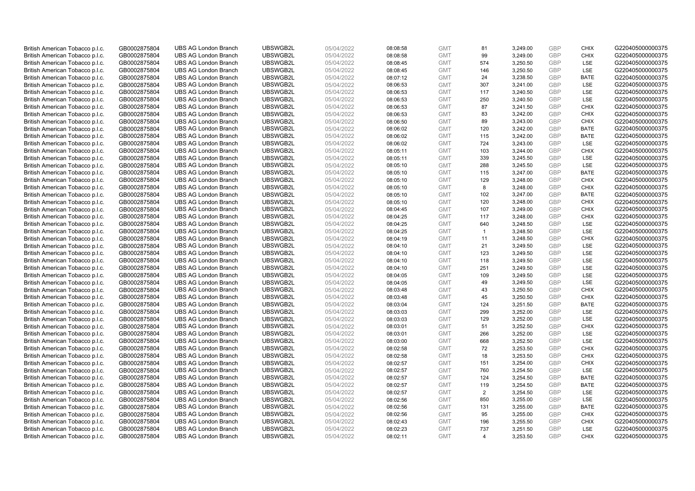| British American Tobacco p.l.c.                                    | GB0002875804                 | <b>UBS AG London Branch</b>                                | UBSWGB2L             | 05/04/2022               | 08:08:58             | <b>GMT</b>               | 81             | 3,249.00             | <b>GBP</b>        | <b>CHIX</b>                | G220405000000375                     |
|--------------------------------------------------------------------|------------------------------|------------------------------------------------------------|----------------------|--------------------------|----------------------|--------------------------|----------------|----------------------|-------------------|----------------------------|--------------------------------------|
| British American Tobacco p.l.c.                                    | GB0002875804                 | <b>UBS AG London Branch</b>                                | UBSWGB2L             | 05/04/2022               | 08:08:58             | <b>GMT</b>               | 99             | 3,249.00             | GBP               | CHIX                       | G220405000000375                     |
| British American Tobacco p.l.c.                                    | GB0002875804                 | <b>UBS AG London Branch</b>                                | UBSWGB2L             | 05/04/2022               | 08:08:45             | <b>GMT</b>               | 574            | 3,250.50             | <b>GBP</b>        | LSE                        | G220405000000375                     |
| British American Tobacco p.l.c.                                    | GB0002875804                 | <b>UBS AG London Branch</b>                                | UBSWGB2L             | 05/04/2022               | 08:08:45             | <b>GMT</b>               | 146            | 3,250.50             | <b>GBP</b>        | LSE                        | G220405000000375                     |
| British American Tobacco p.l.c.                                    | GB0002875804                 | <b>UBS AG London Branch</b>                                | UBSWGB2L             | 05/04/2022               | 08:07:12             | <b>GMT</b>               | 24             | 3,238.50             | <b>GBP</b>        | <b>BATE</b>                | G220405000000375                     |
| British American Tobacco p.l.c.                                    | GB0002875804                 | <b>UBS AG London Branch</b>                                | UBSWGB2L             | 05/04/2022               | 08:06:53             | <b>GMT</b>               | 307            | 3,241.00             | <b>GBP</b>        | <b>LSE</b>                 | G220405000000375                     |
| British American Tobacco p.l.c.                                    | GB0002875804                 | <b>UBS AG London Branch</b>                                | UBSWGB2L             | 05/04/2022               | 08:06:53             | <b>GMT</b>               | 117            | 3,240.50             | <b>GBP</b>        | LSE                        | G220405000000375                     |
| British American Tobacco p.l.c.                                    | GB0002875804                 | <b>UBS AG London Branch</b>                                | UBSWGB2L             | 05/04/2022               | 08:06:53             | <b>GMT</b>               | 250            | 3,240.50             | <b>GBP</b>        | LSE                        | G220405000000375                     |
| British American Tobacco p.l.c.                                    | GB0002875804                 | <b>UBS AG London Branch</b>                                | UBSWGB2L             | 05/04/2022               | 08:06:53             | <b>GMT</b>               | 87             | 3,241.50             | <b>GBP</b>        | <b>CHIX</b>                | G220405000000375                     |
| British American Tobacco p.l.c.                                    | GB0002875804                 | <b>UBS AG London Branch</b>                                | UBSWGB2L             | 05/04/2022               | 08:06:53             | <b>GMT</b>               | 83             | 3,242.00             | <b>GBP</b>        | <b>CHIX</b>                | G220405000000375                     |
| British American Tobacco p.l.c.                                    | GB0002875804                 | <b>UBS AG London Branch</b>                                | UBSWGB2L             | 05/04/2022               | 08:06:50             | <b>GMT</b>               | 89             | 3,243.00             | <b>GBP</b>        | <b>CHIX</b>                | G220405000000375                     |
| British American Tobacco p.l.c.                                    | GB0002875804                 | <b>UBS AG London Branch</b>                                | UBSWGB2L             | 05/04/2022               | 08:06:02             | <b>GMT</b>               | 120            | 3,242.00             | <b>GBP</b>        | <b>BATE</b>                | G220405000000375                     |
| British American Tobacco p.l.c.                                    | GB0002875804                 | <b>UBS AG London Branch</b>                                | UBSWGB2L             | 05/04/2022               | 08:06:02             | <b>GMT</b>               | 115            | 3,242.00             | GBP               | <b>BATE</b>                | G220405000000375                     |
| British American Tobacco p.l.c.                                    | GB0002875804                 | <b>UBS AG London Branch</b>                                | UBSWGB2L             | 05/04/2022               | 08:06:02             | <b>GMT</b>               | 724            | 3,243.00             | <b>GBP</b><br>GBP | LSE<br>CHIX                | G220405000000375                     |
| British American Tobacco p.l.c.                                    | GB0002875804                 | <b>UBS AG London Branch</b>                                | UBSWGB2L             | 05/04/2022               | 08:05:11             | <b>GMT</b>               | 103            | 3,244.00             |                   |                            | G220405000000375                     |
| British American Tobacco p.l.c.                                    | GB0002875804                 | <b>UBS AG London Branch</b>                                | UBSWGB2L<br>UBSWGB2L | 05/04/2022               | 08:05:11             | <b>GMT</b>               | 339            | 3,245.50             | GBP<br>GBP        | <b>LSE</b>                 | G220405000000375                     |
| British American Tobacco p.l.c.                                    | GB0002875804                 | <b>UBS AG London Branch</b>                                |                      | 05/04/2022               | 08:05:10             | <b>GMT</b>               | 288            | 3,245.50             | GBP               | LSE                        | G220405000000375                     |
| British American Tobacco p.l.c.                                    | GB0002875804                 | <b>UBS AG London Branch</b>                                | UBSWGB2L             | 05/04/2022               | 08:05:10             | <b>GMT</b>               | 115            | 3,247.00             |                   | <b>BATE</b>                | G220405000000375                     |
| British American Tobacco p.l.c.                                    | GB0002875804                 | <b>UBS AG London Branch</b>                                | UBSWGB2L             | 05/04/2022               | 08:05:10             | <b>GMT</b>               | 129            | 3,248.00             | <b>GBP</b>        | <b>CHIX</b>                | G220405000000375                     |
| British American Tobacco p.l.c.                                    | GB0002875804                 | <b>UBS AG London Branch</b>                                | UBSWGB2L             | 05/04/2022               | 08:05:10             | <b>GMT</b>               | 8              | 3,248.00             | <b>GBP</b>        | <b>CHIX</b>                | G220405000000375                     |
| British American Tobacco p.l.c.                                    | GB0002875804                 | <b>UBS AG London Branch</b>                                | UBSWGB2L<br>UBSWGB2L | 05/04/2022<br>05/04/2022 | 08:05:10             | <b>GMT</b>               | 102<br>120     | 3,247.00             | <b>GBP</b><br>GBP | <b>BATE</b><br><b>CHIX</b> | G220405000000375<br>G220405000000375 |
| British American Tobacco p.l.c.                                    | GB0002875804                 | <b>UBS AG London Branch</b>                                |                      |                          | 08:05:10             | <b>GMT</b>               |                | 3,248.00             |                   |                            |                                      |
| British American Tobacco p.l.c.<br>British American Tobacco p.l.c. | GB0002875804<br>GB0002875804 | <b>UBS AG London Branch</b><br><b>UBS AG London Branch</b> | UBSWGB2L<br>UBSWGB2L | 05/04/2022<br>05/04/2022 | 08:04:45             | <b>GMT</b><br><b>GMT</b> | 107<br>117     | 3,249.00             | <b>GBP</b><br>GBP | <b>CHIX</b><br><b>CHIX</b> | G220405000000375<br>G220405000000375 |
|                                                                    |                              | <b>UBS AG London Branch</b>                                | UBSWGB2L             |                          | 08:04:25             |                          | 640            | 3,248.00<br>3,248.50 | <b>GBP</b>        | LSE                        | G220405000000375                     |
| British American Tobacco p.l.c.<br>British American Tobacco p.l.c. | GB0002875804<br>GB0002875804 | <b>UBS AG London Branch</b>                                | UBSWGB2L             | 05/04/2022<br>05/04/2022 | 08:04:25<br>08:04:25 | <b>GMT</b><br><b>GMT</b> | $\overline{1}$ | 3,248.50             | GBP               | LSE                        | G220405000000375                     |
|                                                                    |                              | <b>UBS AG London Branch</b>                                | UBSWGB2L             |                          |                      | <b>GMT</b>               | 11             |                      | <b>GBP</b>        | <b>CHIX</b>                | G220405000000375                     |
| British American Tobacco p.l.c.<br>British American Tobacco p.l.c. | GB0002875804                 | <b>UBS AG London Branch</b>                                | UBSWGB2L             | 05/04/2022<br>05/04/2022 | 08:04:19             | <b>GMT</b>               | 21             | 3,248.50<br>3,249.50 | GBP               | <b>LSE</b>                 | G220405000000375                     |
| British American Tobacco p.l.c.                                    | GB0002875804<br>GB0002875804 | <b>UBS AG London Branch</b>                                | UBSWGB2L             | 05/04/2022               | 08:04:10<br>08:04:10 | <b>GMT</b>               | 123            | 3,249.50             | <b>GBP</b>        | LSE                        | G220405000000375                     |
| British American Tobacco p.l.c.                                    | GB0002875804                 | <b>UBS AG London Branch</b>                                | UBSWGB2L             | 05/04/2022               | 08:04:10             | <b>GMT</b>               | 118            | 3,249.50             | GBP               | LSE                        | G220405000000375                     |
| British American Tobacco p.l.c.                                    | GB0002875804                 | <b>UBS AG London Branch</b>                                | UBSWGB2L             | 05/04/2022               | 08:04:10             | <b>GMT</b>               | 251            | 3,249.50             | <b>GBP</b>        | LSE                        | G220405000000375                     |
| British American Tobacco p.l.c.                                    | GB0002875804                 | <b>UBS AG London Branch</b>                                | UBSWGB2L             | 05/04/2022               | 08:04:05             | <b>GMT</b>               | 109            | 3,249.50             | <b>GBP</b>        | <b>LSE</b>                 | G220405000000375                     |
| British American Tobacco p.l.c.                                    | GB0002875804                 | <b>UBS AG London Branch</b>                                | UBSWGB2L             | 05/04/2022               | 08:04:05             | <b>GMT</b>               | 49             | 3,249.50             | <b>GBP</b>        | LSE                        | G220405000000375                     |
| British American Tobacco p.l.c.                                    | GB0002875804                 | <b>UBS AG London Branch</b>                                | UBSWGB2L             | 05/04/2022               | 08:03:48             | <b>GMT</b>               | 43             | 3,250.50             | <b>GBP</b>        | <b>CHIX</b>                | G220405000000375                     |
| British American Tobacco p.l.c.                                    | GB0002875804                 | <b>UBS AG London Branch</b>                                | UBSWGB2L             | 05/04/2022               | 08:03:48             | <b>GMT</b>               | 45             | 3,250.50             | <b>GBP</b>        | <b>CHIX</b>                | G220405000000375                     |
| British American Tobacco p.l.c.                                    | GB0002875804                 | <b>UBS AG London Branch</b>                                | UBSWGB2L             | 05/04/2022               | 08:03:04             | <b>GMT</b>               | 124            | 3,251.50             | <b>GBP</b>        | <b>BATE</b>                | G220405000000375                     |
| British American Tobacco p.l.c.                                    | GB0002875804                 | <b>UBS AG London Branch</b>                                | UBSWGB2L             | 05/04/2022               | 08:03:03             | <b>GMT</b>               | 299            | 3,252.00             | <b>GBP</b>        | <b>LSE</b>                 | G220405000000375                     |
| British American Tobacco p.l.c.                                    | GB0002875804                 | <b>UBS AG London Branch</b>                                | UBSWGB2L             | 05/04/2022               | 08:03:03             | <b>GMT</b>               | 129            | 3,252.00             | <b>GBP</b>        | LSE                        | G220405000000375                     |
| British American Tobacco p.l.c.                                    | GB0002875804                 | <b>UBS AG London Branch</b>                                | UBSWGB2L             | 05/04/2022               | 08:03:01             | <b>GMT</b>               | 51             | 3,252.50             | <b>GBP</b>        | <b>CHIX</b>                | G220405000000375                     |
| British American Tobacco p.l.c.                                    | GB0002875804                 | <b>UBS AG London Branch</b>                                | UBSWGB2L             | 05/04/2022               | 08:03:01             | <b>GMT</b>               | 266            | 3,252.00             | <b>GBP</b>        | <b>LSE</b>                 | G220405000000375                     |
| British American Tobacco p.l.c.                                    | GB0002875804                 | <b>UBS AG London Branch</b>                                | UBSWGB2L             | 05/04/2022               | 08:03:00             | <b>GMT</b>               | 668            | 3,252.50             | <b>GBP</b>        | LSE                        | G220405000000375                     |
| British American Tobacco p.l.c.                                    | GB0002875804                 | <b>UBS AG London Branch</b>                                | UBSWGB2L             | 05/04/2022               | 08:02:58             | <b>GMT</b>               | 72             | 3,253.50             | <b>GBP</b>        | <b>CHIX</b>                | G220405000000375                     |
| British American Tobacco p.l.c.                                    | GB0002875804                 | <b>UBS AG London Branch</b>                                | UBSWGB2L             | 05/04/2022               | 08:02:58             | <b>GMT</b>               | 18             | 3,253.50             | <b>GBP</b>        | <b>CHIX</b>                | G220405000000375                     |
| British American Tobacco p.l.c.                                    | GB0002875804                 | <b>UBS AG London Branch</b>                                | UBSWGB2L             | 05/04/2022               | 08:02:57             | <b>GMT</b>               | 151            | 3,254.00             | <b>GBP</b>        | <b>CHIX</b>                | G220405000000375                     |
| British American Tobacco p.l.c.                                    | GB0002875804                 | <b>UBS AG London Branch</b>                                | UBSWGB2L             | 05/04/2022               | 08:02:57             | <b>GMT</b>               | 760            | 3,254.50             | <b>GBP</b>        | LSE                        | G220405000000375                     |
| British American Tobacco p.l.c.                                    | GB0002875804                 | <b>UBS AG London Branch</b>                                | UBSWGB2L             | 05/04/2022               | 08:02:57             | <b>GMT</b>               | 124            | 3,254.50             | <b>GBP</b>        | <b>BATE</b>                | G220405000000375                     |
| British American Tobacco p.l.c.                                    | GB0002875804                 | <b>UBS AG London Branch</b>                                | UBSWGB2L             | 05/04/2022               | 08:02:57             | <b>GMT</b>               | 119            | 3,254.50             | <b>GBP</b>        | <b>BATE</b>                | G220405000000375                     |
| British American Tobacco p.l.c.                                    | GB0002875804                 | <b>UBS AG London Branch</b>                                | UBSWGB2L             | 05/04/2022               | 08:02:57             | <b>GMT</b>               | 2              | 3,254.50             | GBP               | LSE                        | G220405000000375                     |
| British American Tobacco p.l.c.                                    | GB0002875804                 | <b>UBS AG London Branch</b>                                | UBSWGB2L             | 05/04/2022               | 08:02:56             | <b>GMT</b>               | 850            | 3,255.00             | <b>GBP</b>        | LSE                        | G220405000000375                     |
| British American Tobacco p.l.c.                                    | GB0002875804                 | <b>UBS AG London Branch</b>                                | UBSWGB2L             | 05/04/2022               | 08:02:56             | <b>GMT</b>               | 131            | 3,255.00             | GBP               | <b>BATE</b>                | G220405000000375                     |
| British American Tobacco p.l.c.                                    | GB0002875804                 | <b>UBS AG London Branch</b>                                | UBSWGB2L             | 05/04/2022               | 08:02:56             | <b>GMT</b>               | 95             | 3,255.00             | <b>GBP</b>        | <b>CHIX</b>                | G220405000000375                     |
| British American Tobacco p.l.c.                                    | GB0002875804                 | <b>UBS AG London Branch</b>                                | UBSWGB2L             | 05/04/2022               | 08:02:43             | <b>GMT</b>               | 196            | 3,255.50             | <b>GBP</b>        | <b>CHIX</b>                | G220405000000375                     |
| British American Tobacco p.l.c.                                    | GB0002875804                 | <b>UBS AG London Branch</b>                                | UBSWGB2L             | 05/04/2022               | 08:02:23             | <b>GMT</b>               | 737            | 3,251.50             | <b>GBP</b>        | <b>LSE</b>                 | G220405000000375                     |
| British American Tobacco p.l.c.                                    | GB0002875804                 | <b>UBS AG London Branch</b>                                | UBSWGB2L             | 05/04/2022               | 08:02:11             | <b>GMT</b>               | $\overline{4}$ | 3.253.50             | GBP               | CHIX                       | G220405000000375                     |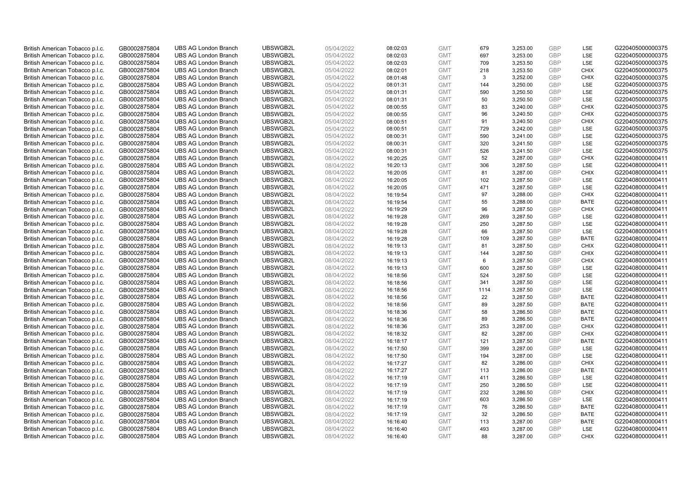| British American Tobacco p.l.c. | GB0002875804 | <b>UBS AG London Branch</b> | UBSWGB2L | 05/04/2022 | 08:02:03 | <b>GMT</b> | 679       | 3,253.00 | <b>GBP</b>               | LSE         | G220405000000375 |
|---------------------------------|--------------|-----------------------------|----------|------------|----------|------------|-----------|----------|--------------------------|-------------|------------------|
| British American Tobacco p.l.c. | GB0002875804 | <b>UBS AG London Branch</b> | UBSWGB2L | 05/04/2022 | 08:02:03 | <b>GMT</b> | 697       | 3,253.00 | <b>GBP</b>               | LSE         | G220405000000375 |
| British American Tobacco p.l.c. | GB0002875804 | <b>UBS AG London Branch</b> | UBSWGB2L | 05/04/2022 | 08:02:03 | <b>GMT</b> | 709       | 3,253.50 | <b>GBP</b>               | LSE         | G220405000000375 |
| British American Tobacco p.l.c. | GB0002875804 | <b>UBS AG London Branch</b> | UBSWGB2L | 05/04/2022 | 08:02:01 | <b>GMT</b> | 218       | 3,253.50 | <b>GBP</b>               | <b>CHIX</b> | G220405000000375 |
| British American Tobacco p.l.c. | GB0002875804 | <b>UBS AG London Branch</b> | UBSWGB2L | 05/04/2022 | 08:01:48 | <b>GMT</b> | 3         | 3,252.00 | <b>GBP</b>               | <b>CHIX</b> | G220405000000375 |
| British American Tobacco p.l.c. | GB0002875804 | <b>UBS AG London Branch</b> | UBSWGB2L | 05/04/2022 | 08:01:31 | <b>GMT</b> | 144       | 3,250.00 | <b>GBP</b>               | LSE         | G220405000000375 |
| British American Tobacco p.l.c. | GB0002875804 | <b>UBS AG London Branch</b> | UBSWGB2L | 05/04/2022 | 08:01:31 | <b>GMT</b> | 590       | 3,250.50 | <b>GBP</b>               | LSE         | G220405000000375 |
| British American Tobacco p.l.c. | GB0002875804 | <b>UBS AG London Branch</b> | UBSWGB2L | 05/04/2022 | 08:01:31 | <b>GMT</b> | 50        | 3,250.50 | <b>GBP</b>               | LSE         | G220405000000375 |
| British American Tobacco p.l.c. | GB0002875804 | <b>UBS AG London Branch</b> | UBSWGB2L | 05/04/2022 | 08:00:55 | <b>GMT</b> | 83        | 3,240.00 | <b>GBP</b>               | <b>CHIX</b> | G220405000000375 |
| British American Tobacco p.l.c. | GB0002875804 | <b>UBS AG London Branch</b> | UBSWGB2L | 05/04/2022 | 08:00:55 | <b>GMT</b> | 96        | 3,240.50 | <b>GBP</b>               | <b>CHIX</b> | G220405000000375 |
| British American Tobacco p.l.c. | GB0002875804 | <b>UBS AG London Branch</b> | UBSWGB2L | 05/04/2022 | 08:00:51 | <b>GMT</b> | 91        | 3,240.50 | <b>GBP</b>               | <b>CHIX</b> | G220405000000375 |
| British American Tobacco p.l.c. | GB0002875804 | <b>UBS AG London Branch</b> | UBSWGB2L | 05/04/2022 | 08:00:51 | <b>GMT</b> | 729       | 3,242.00 | <b>GBP</b>               | LSE         | G220405000000375 |
| British American Tobacco p.l.c. | GB0002875804 | <b>UBS AG London Branch</b> | UBSWGB2L | 05/04/2022 | 08:00:31 | <b>GMT</b> | 590       | 3,241.00 | <b>GBP</b>               | LSE         | G220405000000375 |
| British American Tobacco p.l.c. | GB0002875804 | <b>UBS AG London Branch</b> | UBSWGB2L | 05/04/2022 | 08:00:31 | <b>GMT</b> | 320       | 3,241.50 | <b>GBP</b>               | LSE         | G220405000000375 |
| British American Tobacco p.l.c. | GB0002875804 | <b>UBS AG London Branch</b> | UBSWGB2L | 05/04/2022 | 08:00:31 | <b>GMT</b> | 526       | 3,241.50 | <b>GBP</b>               | LSE         | G220405000000375 |
| British American Tobacco p.l.c. | GB0002875804 | <b>UBS AG London Branch</b> | UBSWGB2L | 08/04/2022 | 16:20:25 | <b>GMT</b> | 52        | 3,287.00 | <b>GBP</b>               | <b>CHIX</b> | G220408000000411 |
|                                 | GB0002875804 | <b>UBS AG London Branch</b> | UBSWGB2L | 08/04/2022 | 16:20:13 | <b>GMT</b> |           | 3,287.50 | <b>GBP</b>               | LSE         | G220408000000411 |
| British American Tobacco p.l.c. |              |                             |          |            |          |            | 306<br>81 |          | <b>GBP</b>               | <b>CHIX</b> |                  |
| British American Tobacco p.l.c. | GB0002875804 | <b>UBS AG London Branch</b> | UBSWGB2L | 08/04/2022 | 16:20:05 | <b>GMT</b> |           | 3,287.00 |                          | <b>LSE</b>  | G220408000000411 |
| British American Tobacco p.l.c. | GB0002875804 | <b>UBS AG London Branch</b> | UBSWGB2L | 08/04/2022 | 16:20:05 | <b>GMT</b> | 102       | 3,287.50 | <b>GBP</b><br><b>GBP</b> |             | G220408000000411 |
| British American Tobacco p.l.c. | GB0002875804 | <b>UBS AG London Branch</b> | UBSWGB2L | 08/04/2022 | 16:20:05 | <b>GMT</b> | 471       | 3,287.50 |                          | LSE         | G220408000000411 |
| British American Tobacco p.l.c. | GB0002875804 | <b>UBS AG London Branch</b> | UBSWGB2L | 08/04/2022 | 16:19:54 | <b>GMT</b> | 97        | 3,288.00 | <b>GBP</b>               | <b>CHIX</b> | G220408000000411 |
| British American Tobacco p.l.c. | GB0002875804 | <b>UBS AG London Branch</b> | UBSWGB2L | 08/04/2022 | 16:19:54 | <b>GMT</b> | 55        | 3,288.00 | <b>GBP</b>               | <b>BATE</b> | G220408000000411 |
| British American Tobacco p.l.c. | GB0002875804 | <b>UBS AG London Branch</b> | UBSWGB2L | 08/04/2022 | 16:19:29 | <b>GMT</b> | 96        | 3,287.50 | <b>GBP</b>               | <b>CHIX</b> | G220408000000411 |
| British American Tobacco p.l.c. | GB0002875804 | <b>UBS AG London Branch</b> | UBSWGB2L | 08/04/2022 | 16:19:28 | <b>GMT</b> | 269       | 3,287.50 | <b>GBP</b>               | LSE         | G220408000000411 |
| British American Tobacco p.l.c. | GB0002875804 | <b>UBS AG London Branch</b> | UBSWGB2L | 08/04/2022 | 16:19:28 | <b>GMT</b> | 250       | 3,287.50 | <b>GBP</b>               | LSE         | G220408000000411 |
| British American Tobacco p.l.c. | GB0002875804 | <b>UBS AG London Branch</b> | UBSWGB2L | 08/04/2022 | 16:19:28 | <b>GMT</b> | 66        | 3,287.50 | <b>GBP</b>               | LSE         | G220408000000411 |
| British American Tobacco p.l.c. | GB0002875804 | <b>UBS AG London Branch</b> | UBSWGB2L | 08/04/2022 | 16:19:28 | <b>GMT</b> | 109       | 3,287.50 | <b>GBP</b>               | <b>BATE</b> | G220408000000411 |
| British American Tobacco p.l.c. | GB0002875804 | <b>UBS AG London Branch</b> | UBSWGB2L | 08/04/2022 | 16:19:13 | <b>GMT</b> | 81        | 3,287.50 | <b>GBP</b>               | <b>CHIX</b> | G220408000000411 |
| British American Tobacco p.l.c. | GB0002875804 | <b>UBS AG London Branch</b> | UBSWGB2L | 08/04/2022 | 16:19:13 | <b>GMT</b> | 144       | 3,287.50 | <b>GBP</b>               | <b>CHIX</b> | G220408000000411 |
| British American Tobacco p.l.c. | GB0002875804 | <b>UBS AG London Branch</b> | UBSWGB2L | 08/04/2022 | 16:19:13 | <b>GMT</b> | 6         | 3,287.50 | <b>GBP</b>               | <b>CHIX</b> | G220408000000411 |
| British American Tobacco p.l.c. | GB0002875804 | <b>UBS AG London Branch</b> | UBSWGB2L | 08/04/2022 | 16:19:13 | <b>GMT</b> | 600       | 3,287.50 | <b>GBP</b>               | LSE         | G220408000000411 |
| British American Tobacco p.l.c. | GB0002875804 | <b>UBS AG London Branch</b> | UBSWGB2L | 08/04/2022 | 16:18:56 | <b>GMT</b> | 524       | 3,287.50 | <b>GBP</b>               | LSE         | G220408000000411 |
| British American Tobacco p.l.c. | GB0002875804 | <b>UBS AG London Branch</b> | UBSWGB2L | 08/04/2022 | 16:18:56 | <b>GMT</b> | 341       | 3,287.50 | <b>GBP</b>               | LSE         | G220408000000411 |
| British American Tobacco p.l.c. | GB0002875804 | <b>UBS AG London Branch</b> | UBSWGB2L | 08/04/2022 | 16:18:56 | <b>GMT</b> | 1114      | 3,287.50 | <b>GBP</b>               | LSE         | G220408000000411 |
| British American Tobacco p.l.c. | GB0002875804 | <b>UBS AG London Branch</b> | UBSWGB2L | 08/04/2022 | 16:18:56 | <b>GMT</b> | 22        | 3,287.50 | <b>GBP</b>               | <b>BATE</b> | G220408000000411 |
| British American Tobacco p.l.c. | GB0002875804 | <b>UBS AG London Branch</b> | UBSWGB2L | 08/04/2022 | 16:18:56 | <b>GMT</b> | 89        | 3,287.50 | <b>GBP</b>               | <b>BATE</b> | G220408000000411 |
| British American Tobacco p.l.c. | GB0002875804 | <b>UBS AG London Branch</b> | UBSWGB2L | 08/04/2022 | 16:18:36 | <b>GMT</b> | 58        | 3,286.50 | <b>GBP</b>               | <b>BATE</b> | G220408000000411 |
| British American Tobacco p.l.c. | GB0002875804 | <b>UBS AG London Branch</b> | UBSWGB2L | 08/04/2022 | 16:18:36 | <b>GMT</b> | 89        | 3,286.50 | <b>GBP</b>               | <b>BATE</b> | G220408000000411 |
| British American Tobacco p.l.c. | GB0002875804 | <b>UBS AG London Branch</b> | UBSWGB2L | 08/04/2022 | 16:18:36 | <b>GMT</b> | 253       | 3,287.00 | <b>GBP</b>               | <b>CHIX</b> | G220408000000411 |
| British American Tobacco p.l.c. | GB0002875804 | <b>UBS AG London Branch</b> | UBSWGB2L | 08/04/2022 | 16:18:32 | <b>GMT</b> | 82        | 3,287.00 | <b>GBP</b>               | <b>CHIX</b> | G220408000000411 |
| British American Tobacco p.l.c. | GB0002875804 | <b>UBS AG London Branch</b> | UBSWGB2L | 08/04/2022 | 16:18:17 | <b>GMT</b> | 121       | 3,287.50 | <b>GBP</b>               | <b>BATE</b> | G220408000000411 |
| British American Tobacco p.l.c. | GB0002875804 | <b>UBS AG London Branch</b> | UBSWGB2L | 08/04/2022 | 16:17:50 | <b>GMT</b> | 399       | 3,287.00 | <b>GBP</b>               | LSE         | G220408000000411 |
| British American Tobacco p.l.c. | GB0002875804 | <b>UBS AG London Branch</b> | UBSWGB2L | 08/04/2022 | 16:17:50 | <b>GMT</b> | 194       | 3,287.00 | <b>GBP</b>               | LSE         | G220408000000411 |
| British American Tobacco p.l.c. | GB0002875804 | <b>UBS AG London Branch</b> | UBSWGB2L | 08/04/2022 | 16:17:27 | <b>GMT</b> | 82        | 3,286.00 | <b>GBP</b>               | <b>CHIX</b> | G220408000000411 |
| British American Tobacco p.l.c. | GB0002875804 | <b>UBS AG London Branch</b> | UBSWGB2L | 08/04/2022 | 16:17:27 | <b>GMT</b> | 113       | 3,286.00 | <b>GBP</b>               | <b>BATE</b> | G220408000000411 |
| British American Tobacco p.l.c. | GB0002875804 | <b>UBS AG London Branch</b> | UBSWGB2L | 08/04/2022 | 16:17:19 | <b>GMT</b> | 411       | 3,286.50 | <b>GBP</b>               | LSE         | G220408000000411 |
| British American Tobacco p.l.c. | GB0002875804 | <b>UBS AG London Branch</b> | UBSWGB2L | 08/04/2022 | 16:17:19 | <b>GMT</b> | 250       | 3,286.50 | <b>GBP</b>               | LSE         | G220408000000411 |
| British American Tobacco p.l.c. | GB0002875804 | <b>UBS AG London Branch</b> | UBSWGB2L | 08/04/2022 | 16:17:19 | <b>GMT</b> | 232       | 3,286.50 | <b>GBP</b>               | <b>CHIX</b> | G220408000000411 |
| British American Tobacco p.l.c. | GB0002875804 | <b>UBS AG London Branch</b> | UBSWGB2L | 08/04/2022 | 16:17:19 | <b>GMT</b> | 603       | 3,286.50 | <b>GBP</b>               | LSE         | G220408000000411 |
| British American Tobacco p.l.c. | GB0002875804 | <b>UBS AG London Branch</b> | UBSWGB2L | 08/04/2022 | 16:17:19 | <b>GMT</b> | 76        | 3,286.50 | <b>GBP</b>               | <b>BATE</b> | G220408000000411 |
| British American Tobacco p.l.c. | GB0002875804 | <b>UBS AG London Branch</b> | UBSWGB2L | 08/04/2022 | 16:17:19 | <b>GMT</b> | 32        | 3,286.50 | <b>GBP</b>               | <b>BATE</b> | G220408000000411 |
| British American Tobacco p.l.c. | GB0002875804 | <b>UBS AG London Branch</b> | UBSWGB2L | 08/04/2022 | 16:16:40 | <b>GMT</b> | 113       | 3,287.00 | <b>GBP</b>               | <b>BATE</b> | G220408000000411 |
| British American Tobacco p.l.c. | GB0002875804 | <b>UBS AG London Branch</b> | UBSWGB2L | 08/04/2022 | 16:16:40 | <b>GMT</b> | 493       | 3,287.00 | <b>GBP</b>               | <b>LSE</b>  | G220408000000411 |
| British American Tobacco p.l.c. | GB0002875804 | <b>UBS AG London Branch</b> | UBSWGB2L | 08/04/2022 | 16:16:40 | <b>GMT</b> | 88        | 3.287.00 | GBP                      | <b>CHIX</b> | G220408000000411 |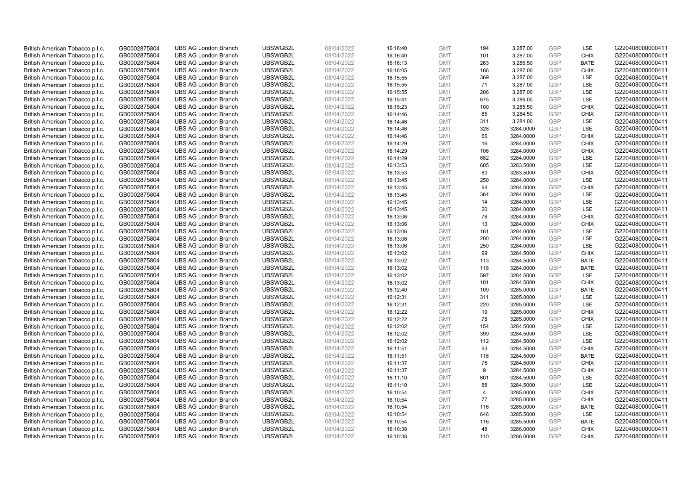| British American Tobacco p.l.c. | GB0002875804 | <b>UBS AG London Branch</b> | UBSWGB2L | 08/04/2022 | 16:16:40 | <b>GMT</b> | 194            | 3,287.00  | <b>GBP</b> | LSE         | G220408000000411 |
|---------------------------------|--------------|-----------------------------|----------|------------|----------|------------|----------------|-----------|------------|-------------|------------------|
| British American Tobacco p.l.c. | GB0002875804 | <b>UBS AG London Branch</b> | UBSWGB2L | 08/04/2022 | 16:16:40 | <b>GMT</b> | 101            | 3,287.00  | GBP        | <b>CHIX</b> | G220408000000411 |
| British American Tobacco p.l.c. | GB0002875804 | <b>UBS AG London Branch</b> | UBSWGB2L | 08/04/2022 | 16:16:13 | <b>GMT</b> | 263            | 3,286.50  | GBP        | <b>BATE</b> | G220408000000411 |
| British American Tobacco p.l.c. | GB0002875804 | <b>UBS AG London Branch</b> | UBSWGB2L | 08/04/2022 | 16:16:05 | <b>GMT</b> | 186            | 3,287.00  | GBP        | <b>CHIX</b> | G220408000000411 |
| British American Tobacco p.l.c. | GB0002875804 | <b>UBS AG London Branch</b> | UBSWGB2L | 08/04/2022 | 16:15:55 | <b>GMT</b> | 369            | 3,287.00  | <b>GBP</b> | LSE         | G220408000000411 |
| British American Tobacco p.l.c. | GB0002875804 | <b>UBS AG London Branch</b> | UBSWGB2L | 08/04/2022 | 16:15:55 | <b>GMT</b> | 71             | 3,287.00  | <b>GBP</b> | LSE         | G220408000000411 |
| British American Tobacco p.l.c. | GB0002875804 | <b>UBS AG London Branch</b> | UBSWGB2L | 08/04/2022 | 16:15:55 | <b>GMT</b> | 206            | 3,287.00  | GBP        | LSE         | G220408000000411 |
| British American Tobacco p.l.c. | GB0002875804 | <b>UBS AG London Branch</b> | UBSWGB2L | 08/04/2022 | 16:15:41 | <b>GMT</b> | 675            | 3,286.00  | GBP        | LSE         | G220408000000411 |
| British American Tobacco p.l.c. | GB0002875804 | <b>UBS AG London Branch</b> | UBSWGB2L | 08/04/2022 | 16:15:23 | <b>GMT</b> | 100            | 3,285.50  | GBP        | <b>CHIX</b> | G220408000000411 |
| British American Tobacco p.l.c. | GB0002875804 | <b>UBS AG London Branch</b> | UBSWGB2L | 08/04/2022 | 16:14:46 | <b>GMT</b> | 85             | 3,284.50  | <b>GBP</b> | <b>CHIX</b> | G220408000000411 |
| British American Tobacco p.l.c. | GB0002875804 | <b>UBS AG London Branch</b> | UBSWGB2L | 08/04/2022 | 16:14:46 | <b>GMT</b> | 311            | 3,284.00  | GBP        | <b>LSE</b>  | G220408000000411 |
| British American Tobacco p.l.c. | GB0002875804 | <b>UBS AG London Branch</b> | UBSWGB2L | 08/04/2022 | 16:14:46 | <b>GMT</b> | 328            | 3284.0000 | <b>GBP</b> | LSE         | G220408000000411 |
| British American Tobacco p.l.c. | GB0002875804 | <b>UBS AG London Branch</b> | UBSWGB2L | 08/04/2022 | 16:14:46 | <b>GMT</b> | 66             | 3284.0000 | GBP        | <b>CHIX</b> | G220408000000411 |
| British American Tobacco p.l.c. | GB0002875804 | <b>UBS AG London Branch</b> | UBSWGB2L | 08/04/2022 | 16:14:29 | <b>GMT</b> | 16             | 3284.0000 | <b>GBP</b> | <b>CHIX</b> | G220408000000411 |
| British American Tobacco p.l.c. | GB0002875804 | <b>UBS AG London Branch</b> | UBSWGB2L | 08/04/2022 | 16:14:29 | <b>GMT</b> | 106            | 3284.0000 | <b>GBP</b> | <b>CHIX</b> | G220408000000411 |
| British American Tobacco p.l.c. | GB0002875804 | <b>UBS AG London Branch</b> | UBSWGB2L | 08/04/2022 | 16:14:29 | <b>GMT</b> | 682            | 3284.0000 | GBP        | <b>LSE</b>  | G220408000000411 |
| British American Tobacco p.l.c. | GB0002875804 | <b>UBS AG London Branch</b> | UBSWGB2L | 08/04/2022 | 16:13:53 | <b>GMT</b> | 605            | 3283.5000 | <b>GBP</b> | LSE         | G220408000000411 |
| British American Tobacco p.l.c. | GB0002875804 | <b>UBS AG London Branch</b> | UBSWGB2L | 08/04/2022 | 16:13:53 | <b>GMT</b> | 80             | 3283.5000 | GBP        | <b>CHIX</b> | G220408000000411 |
| British American Tobacco p.l.c. | GB0002875804 | <b>UBS AG London Branch</b> | UBSWGB2L | 08/04/2022 | 16:13:45 | <b>GMT</b> | 250            | 3284.0000 | <b>GBP</b> | <b>LSE</b>  | G220408000000411 |
| British American Tobacco p.l.c. | GB0002875804 | <b>UBS AG London Branch</b> | UBSWGB2L | 08/04/2022 | 16:13:45 | <b>GMT</b> | 94             | 3284.0000 | GBP        | <b>CHIX</b> | G220408000000411 |
| British American Tobacco p.l.c. | GB0002875804 | <b>UBS AG London Branch</b> | UBSWGB2L | 08/04/2022 | 16:13:45 | <b>GMT</b> | 364            | 3284.0000 | <b>GBP</b> | LSE         | G220408000000411 |
| British American Tobacco p.l.c. | GB0002875804 | <b>UBS AG London Branch</b> | UBSWGB2L | 08/04/2022 | 16:13:45 | <b>GMT</b> | 14             | 3284.0000 | GBP        | LSE         | G220408000000411 |
| British American Tobacco p.l.c. | GB0002875804 | <b>UBS AG London Branch</b> | UBSWGB2L | 08/04/2022 | 16:13:45 | <b>GMT</b> | 20             | 3284.0000 | <b>GBP</b> | LSE         | G220408000000411 |
| British American Tobacco p.l.c. | GB0002875804 | <b>UBS AG London Branch</b> | UBSWGB2L | 08/04/2022 | 16:13:06 | <b>GMT</b> | 76             | 3284.0000 | GBP        | <b>CHIX</b> | G220408000000411 |
| British American Tobacco p.l.c. | GB0002875804 | <b>UBS AG London Branch</b> | UBSWGB2L | 08/04/2022 | 16:13:06 | <b>GMT</b> | 13             | 3284.0000 | <b>GBP</b> | <b>CHIX</b> | G220408000000411 |
| British American Tobacco p.l.c. | GB0002875804 | <b>UBS AG London Branch</b> | UBSWGB2L | 08/04/2022 | 16:13:06 | <b>GMT</b> | 161            | 3284.0000 | <b>GBP</b> | LSE         | G220408000000411 |
| British American Tobacco p.l.c. | GB0002875804 | <b>UBS AG London Branch</b> | UBSWGB2L | 08/04/2022 | 16:13:06 | <b>GMT</b> | 200            | 3284.0000 | GBP        | <b>LSE</b>  | G220408000000411 |
| British American Tobacco p.l.c. | GB0002875804 | <b>UBS AG London Branch</b> | UBSWGB2L | 08/04/2022 | 16:13:06 | <b>GMT</b> | 250            | 3284.0000 | <b>GBP</b> | <b>LSE</b>  | G220408000000411 |
| British American Tobacco p.l.c. | GB0002875804 | <b>UBS AG London Branch</b> | UBSWGB2L | 08/04/2022 | 16:13:02 | <b>GMT</b> | 99             | 3284.5000 | GBP        | <b>CHIX</b> | G220408000000411 |
| British American Tobacco p.l.c. | GB0002875804 | <b>UBS AG London Branch</b> | UBSWGB2L | 08/04/2022 | 16:13:02 | <b>GMT</b> | 113            | 3284.5000 | GBP        | <b>BATE</b> | G220408000000411 |
| British American Tobacco p.l.c. | GB0002875804 | <b>UBS AG London Branch</b> | UBSWGB2L | 08/04/2022 | 16:13:02 | <b>GMT</b> | 118            | 3284.0000 | GBP        | <b>BATE</b> | G220408000000411 |
| British American Tobacco p.l.c. | GB0002875804 | <b>UBS AG London Branch</b> | UBSWGB2L | 08/04/2022 | 16:13:02 | <b>GMT</b> | 597            | 3284.5000 | GBP        | <b>LSE</b>  | G220408000000411 |
| British American Tobacco p.l.c. | GB0002875804 | <b>UBS AG London Branch</b> | UBSWGB2L | 08/04/2022 | 16:13:02 | <b>GMT</b> | 101            | 3284.5000 | <b>GBP</b> | <b>CHIX</b> | G220408000000411 |
| British American Tobacco p.l.c. | GB0002875804 | <b>UBS AG London Branch</b> | UBSWGB2L | 08/04/2022 | 16:12:40 | <b>GMT</b> | 109            | 3285.0000 | GBP        | <b>BATE</b> | G220408000000411 |
| British American Tobacco p.l.c. | GB0002875804 | <b>UBS AG London Branch</b> | UBSWGB2L | 08/04/2022 | 16:12:31 | <b>GMT</b> | 311            | 3285.0000 | GBP        | LSE         | G220408000000411 |
| British American Tobacco p.l.c. | GB0002875804 | <b>UBS AG London Branch</b> | UBSWGB2L | 08/04/2022 | 16:12:31 | <b>GMT</b> | 220            | 3285.0000 | <b>GBP</b> | LSE         | G220408000000411 |
| British American Tobacco p.l.c. | GB0002875804 | <b>UBS AG London Branch</b> | UBSWGB2L | 08/04/2022 | 16:12:22 | <b>GMT</b> | 19             | 3285.0000 | GBP        | <b>CHIX</b> | G220408000000411 |
| British American Tobacco p.l.c. | GB0002875804 | <b>UBS AG London Branch</b> | UBSWGB2L | 08/04/2022 | 16:12:22 | <b>GMT</b> | 78             | 3285.0000 | <b>GBP</b> | <b>CHIX</b> | G220408000000411 |
| British American Tobacco p.l.c. | GB0002875804 | <b>UBS AG London Branch</b> | UBSWGB2L | 08/04/2022 | 16:12:02 | <b>GMT</b> | 154            | 3284.5000 | GBP        | LSE         | G220408000000411 |
| British American Tobacco p.l.c. | GB0002875804 | <b>UBS AG London Branch</b> | UBSWGB2L | 08/04/2022 | 16:12:02 | <b>GMT</b> | 399            | 3284.5000 | GBP        | <b>LSE</b>  | G220408000000411 |
| British American Tobacco p.l.c. | GB0002875804 | <b>UBS AG London Branch</b> | UBSWGB2L | 08/04/2022 | 16:12:02 | <b>GMT</b> | 112            | 3284.5000 | <b>GBP</b> | <b>LSE</b>  | G220408000000411 |
| British American Tobacco p.l.c. | GB0002875804 | <b>UBS AG London Branch</b> | UBSWGB2L | 08/04/2022 | 16:11:51 | <b>GMT</b> | 93             | 3284.5000 | GBP        | <b>CHIX</b> | G220408000000411 |
| British American Tobacco p.l.c. | GB0002875804 | <b>UBS AG London Branch</b> | UBSWGB2L | 08/04/2022 | 16:11:51 | <b>GMT</b> | 116            | 3284.5000 | GBP        | <b>BATE</b> | G220408000000411 |
| British American Tobacco p.l.c. | GB0002875804 | <b>UBS AG London Branch</b> | UBSWGB2L | 08/04/2022 | 16:11:37 | <b>GMT</b> | 78             | 3284.5000 | GBP        | <b>CHIX</b> | G220408000000411 |
| British American Tobacco p.l.c. | GB0002875804 | <b>UBS AG London Branch</b> | UBSWGB2L | 08/04/2022 | 16:11:37 | <b>GMT</b> | 9              | 3284.5000 | GBP        | <b>CHIX</b> | G220408000000411 |
| British American Tobacco p.l.c. | GB0002875804 | <b>UBS AG London Branch</b> | UBSWGB2L | 08/04/2022 | 16:11:10 | <b>GMT</b> | 601            | 3284.5000 | <b>GBP</b> | LSE         | G220408000000411 |
| British American Tobacco p.l.c. | GB0002875804 | <b>UBS AG London Branch</b> | UBSWGB2L | 08/04/2022 | 16:11:10 | <b>GMT</b> | 88             | 3284.5000 | GBP        | LSE         | G220408000000411 |
| British American Tobacco p.l.c. | GB0002875804 | <b>UBS AG London Branch</b> | UBSWGB2L | 08/04/2022 | 16:10:54 | <b>GMT</b> | $\overline{4}$ | 3285.0000 | GBP        | <b>CHIX</b> | G220408000000411 |
| British American Tobacco p.l.c. | GB0002875804 | <b>UBS AG London Branch</b> | UBSWGB2L | 08/04/2022 | 16:10:54 | <b>GMT</b> | 77             | 3285.0000 | GBP        | <b>CHIX</b> | G220408000000411 |
| British American Tobacco p.l.c. | GB0002875804 | <b>UBS AG London Branch</b> | UBSWGB2L | 08/04/2022 | 16:10:54 | <b>GMT</b> | 116            | 3285.0000 | GBP        | <b>BATE</b> | G220408000000411 |
| British American Tobacco p.l.c. | GB0002875804 | <b>UBS AG London Branch</b> | UBSWGB2L | 08/04/2022 | 16:10:54 | <b>GMT</b> | 646            | 3285.5000 | <b>GBP</b> | LSE         | G220408000000411 |
| British American Tobacco p.l.c. | GB0002875804 | <b>UBS AG London Branch</b> | UBSWGB2L | 08/04/2022 | 16:10:54 | <b>GMT</b> | 116            | 3285.5000 | GBP        | <b>BATE</b> | G220408000000411 |
| British American Tobacco p.l.c. | GB0002875804 | <b>UBS AG London Branch</b> | UBSWGB2L | 08/04/2022 | 16:10:38 | <b>GMT</b> | 48             | 3286.0000 | GBP        | <b>CHIX</b> | G220408000000411 |
| British American Tobacco p.l.c. | GB0002875804 | <b>UBS AG London Branch</b> | UBSWGB2L | 08/04/2022 | 16:10:38 | <b>GMT</b> | 110            | 3286.0000 | GBP        | <b>CHIX</b> | G220408000000411 |
|                                 |              |                             |          |            |          |            |                |           |            |             |                  |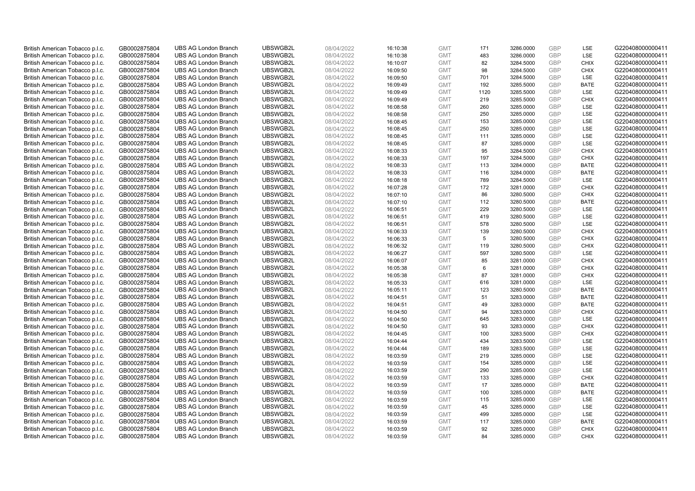| British American Tobacco p.l.c. | GB0002875804 | <b>UBS AG London Branch</b> | UBSWGB2L | 08/04/2022 | 16:10:38 | <b>GMT</b> | 171  | 3286.0000 | <b>GBP</b> | LSE         | G220408000000411 |
|---------------------------------|--------------|-----------------------------|----------|------------|----------|------------|------|-----------|------------|-------------|------------------|
| British American Tobacco p.l.c. | GB0002875804 | <b>UBS AG London Branch</b> | UBSWGB2L | 08/04/2022 | 16:10:38 | <b>GMT</b> | 483  | 3286.0000 | <b>GBP</b> | LSE         | G220408000000411 |
| British American Tobacco p.l.c. | GB0002875804 | <b>UBS AG London Branch</b> | UBSWGB2L | 08/04/2022 | 16:10:07 | <b>GMT</b> | 82   | 3284.5000 | GBP        | <b>CHIX</b> | G220408000000411 |
| British American Tobacco p.l.c. | GB0002875804 | <b>UBS AG London Branch</b> | UBSWGB2L | 08/04/2022 | 16:09:50 | <b>GMT</b> | 98   | 3284.5000 | GBP        | <b>CHIX</b> | G220408000000411 |
| British American Tobacco p.l.c. | GB0002875804 | <b>UBS AG London Branch</b> | UBSWGB2L | 08/04/2022 | 16:09:50 | <b>GMT</b> | 701  | 3284.5000 | <b>GBP</b> | LSE         | G220408000000411 |
| British American Tobacco p.l.c. | GB0002875804 | <b>UBS AG London Branch</b> | UBSWGB2L | 08/04/2022 | 16:09:49 | <b>GMT</b> | 192  | 3285.5000 | <b>GBP</b> | <b>BATE</b> | G220408000000411 |
| British American Tobacco p.l.c. | GB0002875804 | <b>UBS AG London Branch</b> | UBSWGB2L | 08/04/2022 | 16:09:49 | <b>GMT</b> | 1120 | 3285.5000 | <b>GBP</b> | LSE         | G220408000000411 |
| British American Tobacco p.l.c. | GB0002875804 | <b>UBS AG London Branch</b> | UBSWGB2L | 08/04/2022 | 16:09:49 | <b>GMT</b> | 219  | 3285.5000 | <b>GBP</b> | <b>CHIX</b> | G220408000000411 |
| British American Tobacco p.l.c. | GB0002875804 | <b>UBS AG London Branch</b> | UBSWGB2L | 08/04/2022 | 16:08:58 | <b>GMT</b> | 260  | 3285.0000 | <b>GBP</b> | LSE         | G220408000000411 |
| British American Tobacco p.l.c. | GB0002875804 | <b>UBS AG London Branch</b> | UBSWGB2L | 08/04/2022 | 16:08:58 | <b>GMT</b> | 250  | 3285.0000 | <b>GBP</b> | LSE         | G220408000000411 |
| British American Tobacco p.l.c. | GB0002875804 | <b>UBS AG London Branch</b> | UBSWGB2L | 08/04/2022 | 16:08:45 | <b>GMT</b> | 153  | 3285.0000 | <b>GBP</b> | LSE         | G220408000000411 |
| British American Tobacco p.l.c. | GB0002875804 | <b>UBS AG London Branch</b> | UBSWGB2L | 08/04/2022 | 16:08:45 | <b>GMT</b> | 250  | 3285.0000 | <b>GBP</b> | LSE         | G220408000000411 |
| British American Tobacco p.l.c. | GB0002875804 | <b>UBS AG London Branch</b> | UBSWGB2L | 08/04/2022 | 16:08:45 | <b>GMT</b> | 111  | 3285.0000 | <b>GBP</b> | LSE         | G220408000000411 |
| British American Tobacco p.l.c. | GB0002875804 | <b>UBS AG London Branch</b> | UBSWGB2L | 08/04/2022 | 16:08:45 | <b>GMT</b> | 87   | 3285.0000 | <b>GBP</b> | LSE         | G220408000000411 |
| British American Tobacco p.l.c. | GB0002875804 | <b>UBS AG London Branch</b> | UBSWGB2L | 08/04/2022 | 16:08:33 | <b>GMT</b> | 95   | 3284.5000 | <b>GBP</b> | <b>CHIX</b> | G220408000000411 |
| British American Tobacco p.l.c. | GB0002875804 | <b>UBS AG London Branch</b> | UBSWGB2L | 08/04/2022 | 16:08:33 | <b>GMT</b> | 197  | 3284.5000 | GBP        | <b>CHIX</b> | G220408000000411 |
| British American Tobacco p.l.c. | GB0002875804 | <b>UBS AG London Branch</b> | UBSWGB2L | 08/04/2022 | 16:08:33 | <b>GMT</b> | 113  | 3284.0000 | <b>GBP</b> | <b>BATE</b> | G220408000000411 |
| British American Tobacco p.l.c. | GB0002875804 | <b>UBS AG London Branch</b> | UBSWGB2L | 08/04/2022 | 16:08:33 | <b>GMT</b> | 116  | 3284.0000 | GBP        | <b>BATE</b> | G220408000000411 |
| British American Tobacco p.l.c. | GB0002875804 | <b>UBS AG London Branch</b> | UBSWGB2L | 08/04/2022 | 16:08:18 | <b>GMT</b> | 789  | 3284.5000 | <b>GBP</b> | <b>LSE</b>  | G220408000000411 |
| British American Tobacco p.l.c. | GB0002875804 | <b>UBS AG London Branch</b> | UBSWGB2L | 08/04/2022 | 16:07:28 | <b>GMT</b> | 172  | 3281.0000 | <b>GBP</b> | <b>CHIX</b> | G220408000000411 |
| British American Tobacco p.l.c. | GB0002875804 | <b>UBS AG London Branch</b> | UBSWGB2L | 08/04/2022 | 16:07:10 | <b>GMT</b> | 86   | 3280.5000 | <b>GBP</b> | <b>CHIX</b> | G220408000000411 |
| British American Tobacco p.l.c. | GB0002875804 | <b>UBS AG London Branch</b> | UBSWGB2L | 08/04/2022 | 16:07:10 | <b>GMT</b> | 112  | 3280.5000 | <b>GBP</b> | <b>BATE</b> | G220408000000411 |
| British American Tobacco p.l.c. | GB0002875804 | <b>UBS AG London Branch</b> | UBSWGB2L | 08/04/2022 | 16:06:51 | <b>GMT</b> | 229  | 3280.5000 | <b>GBP</b> | LSE         | G220408000000411 |
| British American Tobacco p.l.c. | GB0002875804 | <b>UBS AG London Branch</b> | UBSWGB2L | 08/04/2022 | 16:06:51 | <b>GMT</b> | 419  | 3280.5000 | <b>GBP</b> | LSE         | G220408000000411 |
| British American Tobacco p.l.c. | GB0002875804 | <b>UBS AG London Branch</b> | UBSWGB2L | 08/04/2022 | 16:06:51 | <b>GMT</b> | 578  | 3280.5000 | <b>GBP</b> | LSE         | G220408000000411 |
| British American Tobacco p.l.c. | GB0002875804 | <b>UBS AG London Branch</b> | UBSWGB2L | 08/04/2022 | 16:06:33 | <b>GMT</b> | 139  | 3280.5000 | <b>GBP</b> | <b>CHIX</b> | G220408000000411 |
| British American Tobacco p.l.c. | GB0002875804 | <b>UBS AG London Branch</b> | UBSWGB2L | 08/04/2022 | 16:06:33 | <b>GMT</b> | 5    | 3280.5000 | <b>GBP</b> | <b>CHIX</b> | G220408000000411 |
| British American Tobacco p.l.c. | GB0002875804 | <b>UBS AG London Branch</b> | UBSWGB2L | 08/04/2022 | 16:06:32 | <b>GMT</b> | 119  | 3280.5000 | <b>GBP</b> | <b>CHIX</b> | G220408000000411 |
| British American Tobacco p.l.c. | GB0002875804 | <b>UBS AG London Branch</b> | UBSWGB2L | 08/04/2022 | 16:06:27 | <b>GMT</b> | 597  | 3280.5000 | GBP        | <b>LSE</b>  | G220408000000411 |
| British American Tobacco p.l.c. | GB0002875804 | <b>UBS AG London Branch</b> | UBSWGB2L | 08/04/2022 | 16:06:07 | <b>GMT</b> | 85   | 3281.0000 | <b>GBP</b> | <b>CHIX</b> | G220408000000411 |
| British American Tobacco p.l.c. | GB0002875804 | <b>UBS AG London Branch</b> | UBSWGB2L | 08/04/2022 | 16:05:38 | <b>GMT</b> | 6    | 3281.0000 | GBP        | <b>CHIX</b> | G220408000000411 |
| British American Tobacco p.l.c. | GB0002875804 | <b>UBS AG London Branch</b> | UBSWGB2L | 08/04/2022 | 16:05:38 | <b>GMT</b> | 87   | 3281.0000 | <b>GBP</b> | <b>CHIX</b> | G220408000000411 |
| British American Tobacco p.l.c. | GB0002875804 | <b>UBS AG London Branch</b> | UBSWGB2L | 08/04/2022 | 16:05:33 | <b>GMT</b> | 616  | 3281.0000 | GBP        | LSE         | G220408000000411 |
| British American Tobacco p.l.c. | GB0002875804 | <b>UBS AG London Branch</b> | UBSWGB2L | 08/04/2022 | 16:05:11 | <b>GMT</b> | 123  | 3280.5000 | GBP        | <b>BATE</b> | G220408000000411 |
| British American Tobacco p.l.c. | GB0002875804 | <b>UBS AG London Branch</b> | UBSWGB2L | 08/04/2022 | 16:04:51 | <b>GMT</b> | 51   | 3283.0000 | GBP        | <b>BATE</b> | G220408000000411 |
| British American Tobacco p.l.c. | GB0002875804 | <b>UBS AG London Branch</b> | UBSWGB2L | 08/04/2022 | 16:04:51 | <b>GMT</b> | 49   | 3283.0000 | <b>GBP</b> | <b>BATE</b> | G220408000000411 |
| British American Tobacco p.l.c. | GB0002875804 | <b>UBS AG London Branch</b> | UBSWGB2L | 08/04/2022 | 16:04:50 | <b>GMT</b> | 94   | 3283.0000 | GBP        | <b>CHIX</b> | G220408000000411 |
| British American Tobacco p.l.c. | GB0002875804 | <b>UBS AG London Branch</b> | UBSWGB2L | 08/04/2022 | 16:04:50 | <b>GMT</b> | 645  | 3283.0000 | <b>GBP</b> | LSE         | G220408000000411 |
| British American Tobacco p.l.c. | GB0002875804 | <b>UBS AG London Branch</b> | UBSWGB2L | 08/04/2022 | 16:04:50 | <b>GMT</b> | 93   | 3283.0000 | GBP        | <b>CHIX</b> | G220408000000411 |
| British American Tobacco p.l.c. | GB0002875804 | <b>UBS AG London Branch</b> | UBSWGB2L | 08/04/2022 | 16:04:45 | <b>GMT</b> | 100  | 3283.5000 | <b>GBP</b> | <b>CHIX</b> | G220408000000411 |
| British American Tobacco p.l.c. | GB0002875804 | <b>UBS AG London Branch</b> | UBSWGB2L | 08/04/2022 | 16:04:44 | <b>GMT</b> | 434  | 3283.5000 | <b>GBP</b> | <b>LSE</b>  | G220408000000411 |
| British American Tobacco p.l.c. | GB0002875804 | <b>UBS AG London Branch</b> | UBSWGB2L | 08/04/2022 | 16:04:44 | <b>GMT</b> | 189  | 3283.5000 | GBP        | LSE         | G220408000000411 |
| British American Tobacco p.l.c. | GB0002875804 | <b>UBS AG London Branch</b> | UBSWGB2L | 08/04/2022 | 16:03:59 | <b>GMT</b> | 219  | 3285.0000 | <b>GBP</b> | LSE         | G220408000000411 |
| British American Tobacco p.l.c. |              | <b>UBS AG London Branch</b> | UBSWGB2L | 08/04/2022 |          | <b>GMT</b> | 154  | 3285.0000 | GBP        | LSE         | G220408000000411 |
|                                 | GB0002875804 |                             | UBSWGB2L |            | 16:03:59 |            | 290  |           | GBP        | <b>LSE</b>  |                  |
| British American Tobacco p.l.c. | GB0002875804 | <b>UBS AG London Branch</b> |          | 08/04/2022 | 16:03:59 | <b>GMT</b> |      | 3285.0000 | GBP        |             | G220408000000411 |
| British American Tobacco p.l.c. | GB0002875804 | <b>UBS AG London Branch</b> | UBSWGB2L | 08/04/2022 | 16:03:59 | <b>GMT</b> | 133  | 3285.0000 |            | <b>CHIX</b> | G220408000000411 |
| British American Tobacco p.l.c. | GB0002875804 | <b>UBS AG London Branch</b> | UBSWGB2L | 08/04/2022 | 16:03:59 | <b>GMT</b> | 17   | 3285.0000 | GBP        | <b>BATE</b> | G220408000000411 |
| British American Tobacco p.l.c. | GB0002875804 | <b>UBS AG London Branch</b> | UBSWGB2L | 08/04/2022 | 16:03:59 | <b>GMT</b> | 100  | 3285.0000 | GBP        | <b>BATE</b> | G220408000000411 |
| British American Tobacco p.l.c. | GB0002875804 | <b>UBS AG London Branch</b> | UBSWGB2L | 08/04/2022 | 16:03:59 | <b>GMT</b> | 115  | 3285.0000 | GBP        | LSE         | G220408000000411 |
| British American Tobacco p.l.c. | GB0002875804 | <b>UBS AG London Branch</b> | UBSWGB2L | 08/04/2022 | 16:03:59 | <b>GMT</b> | 45   | 3285.0000 | GBP        | LSE         | G220408000000411 |
| British American Tobacco p.l.c. | GB0002875804 | <b>UBS AG London Branch</b> | UBSWGB2L | 08/04/2022 | 16:03:59 | <b>GMT</b> | 499  | 3285.0000 | <b>GBP</b> | LSE         | G220408000000411 |
| British American Tobacco p.l.c. | GB0002875804 | <b>UBS AG London Branch</b> | UBSWGB2L | 08/04/2022 | 16:03:59 | <b>GMT</b> | 117  | 3285.0000 | GBP        | <b>BATE</b> | G220408000000411 |
| British American Tobacco p.l.c. | GB0002875804 | <b>UBS AG London Branch</b> | UBSWGB2L | 08/04/2022 | 16:03:59 | <b>GMT</b> | 92   | 3285.0000 | GBP        | <b>CHIX</b> | G220408000000411 |
| British American Tobacco p.l.c. | GB0002875804 | <b>UBS AG London Branch</b> | UBSWGB2L | 08/04/2022 | 16:03:59 | <b>GMT</b> | 84   | 3285.0000 | GBP        | <b>CHIX</b> | G220408000000411 |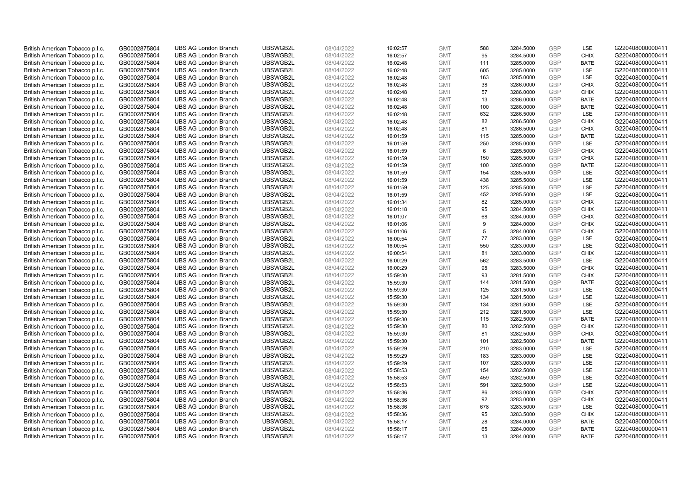| British American Tobacco p.l.c. | GB0002875804 | <b>UBS AG London Branch</b> | UBSWGB2L | 08/04/2022 | 16:02:57 | <b>GMT</b> | 588 | 3284.5000 | <b>GBP</b> | LSE         | G220408000000411 |
|---------------------------------|--------------|-----------------------------|----------|------------|----------|------------|-----|-----------|------------|-------------|------------------|
| British American Tobacco p.l.c. | GB0002875804 | <b>UBS AG London Branch</b> | UBSWGB2L | 08/04/2022 | 16:02:57 | <b>GMT</b> | 95  | 3284.5000 | GBP        | <b>CHIX</b> | G220408000000411 |
| British American Tobacco p.l.c. | GB0002875804 | <b>UBS AG London Branch</b> | UBSWGB2L | 08/04/2022 | 16:02:48 | <b>GMT</b> | 111 | 3285.0000 | <b>GBP</b> | <b>BATE</b> | G220408000000411 |
| British American Tobacco p.l.c. | GB0002875804 | <b>UBS AG London Branch</b> | UBSWGB2L | 08/04/2022 | 16:02:48 | <b>GMT</b> | 605 | 3285.0000 | GBP        | LSE         | G220408000000411 |
| British American Tobacco p.l.c. | GB0002875804 | <b>UBS AG London Branch</b> | UBSWGB2L | 08/04/2022 | 16:02:48 | <b>GMT</b> | 163 | 3285.0000 | <b>GBP</b> | <b>LSE</b>  | G220408000000411 |
| British American Tobacco p.l.c. | GB0002875804 | <b>UBS AG London Branch</b> | UBSWGB2L | 08/04/2022 | 16:02:48 | <b>GMT</b> | 38  | 3286.0000 | GBP        | <b>CHIX</b> | G220408000000411 |
| British American Tobacco p.l.c. | GB0002875804 | <b>UBS AG London Branch</b> | UBSWGB2L | 08/04/2022 | 16:02:48 | <b>GMT</b> | 57  | 3286.0000 | <b>GBP</b> | <b>CHIX</b> | G220408000000411 |
| British American Tobacco p.l.c. | GB0002875804 | <b>UBS AG London Branch</b> | UBSWGB2L | 08/04/2022 | 16:02:48 | <b>GMT</b> | 13  | 3286.0000 | GBP        | <b>BATE</b> | G220408000000411 |
| British American Tobacco p.l.c. | GB0002875804 | <b>UBS AG London Branch</b> | UBSWGB2L | 08/04/2022 | 16:02:48 | <b>GMT</b> | 100 | 3286.0000 | <b>GBP</b> | <b>BATE</b> | G220408000000411 |
| British American Tobacco p.l.c. | GB0002875804 | <b>UBS AG London Branch</b> | UBSWGB2L | 08/04/2022 | 16:02:48 | <b>GMT</b> | 632 | 3286.5000 | <b>GBP</b> | <b>LSE</b>  | G220408000000411 |
| British American Tobacco p.l.c. | GB0002875804 | <b>UBS AG London Branch</b> | UBSWGB2L | 08/04/2022 | 16:02:48 | <b>GMT</b> | 82  | 3286.5000 | GBP        | <b>CHIX</b> | G220408000000411 |
| British American Tobacco p.l.c. | GB0002875804 | <b>UBS AG London Branch</b> | UBSWGB2L | 08/04/2022 | 16:02:48 | <b>GMT</b> | 81  | 3286.5000 | <b>GBP</b> | <b>CHIX</b> | G220408000000411 |
| British American Tobacco p.l.c. | GB0002875804 | <b>UBS AG London Branch</b> | UBSWGB2L | 08/04/2022 | 16:01:59 | <b>GMT</b> | 115 | 3285.0000 | GBP        | <b>BATE</b> | G220408000000411 |
| British American Tobacco p.l.c. | GB0002875804 | <b>UBS AG London Branch</b> | UBSWGB2L | 08/04/2022 | 16:01:59 | <b>GMT</b> | 250 | 3285.0000 | <b>GBP</b> | <b>LSE</b>  | G220408000000411 |
| British American Tobacco p.l.c. | GB0002875804 | <b>UBS AG London Branch</b> | UBSWGB2L | 08/04/2022 | 16:01:59 | <b>GMT</b> | 6   | 3285.5000 | GBP        | <b>CHIX</b> | G220408000000411 |
| British American Tobacco p.l.c. | GB0002875804 | <b>UBS AG London Branch</b> | UBSWGB2L | 08/04/2022 | 16:01:59 | <b>GMT</b> | 150 | 3285.5000 | <b>GBP</b> | <b>CHIX</b> | G220408000000411 |
| British American Tobacco p.l.c. | GB0002875804 | <b>UBS AG London Branch</b> | UBSWGB2L | 08/04/2022 | 16:01:59 | <b>GMT</b> | 100 | 3285.0000 | GBP        | <b>BATE</b> | G220408000000411 |
| British American Tobacco p.l.c. | GB0002875804 | <b>UBS AG London Branch</b> | UBSWGB2L | 08/04/2022 | 16:01:59 | <b>GMT</b> | 154 | 3285.5000 | GBP        | LSE         | G220408000000411 |
| British American Tobacco p.l.c. | GB0002875804 | <b>UBS AG London Branch</b> | UBSWGB2L | 08/04/2022 | 16:01:59 | <b>GMT</b> | 438 | 3285.5000 | <b>GBP</b> | <b>LSE</b>  | G220408000000411 |
| British American Tobacco p.l.c. | GB0002875804 | <b>UBS AG London Branch</b> | UBSWGB2L | 08/04/2022 | 16:01:59 | <b>GMT</b> | 125 | 3285.5000 | <b>GBP</b> | LSE         | G220408000000411 |
| British American Tobacco p.l.c. | GB0002875804 | <b>UBS AG London Branch</b> | UBSWGB2L | 08/04/2022 | 16:01:59 | <b>GMT</b> | 452 | 3285.5000 | GBP        | LSE         | G220408000000411 |
| British American Tobacco p.l.c. | GB0002875804 | <b>UBS AG London Branch</b> | UBSWGB2L | 08/04/2022 | 16:01:34 | <b>GMT</b> | 82  | 3285.0000 | GBP        | <b>CHIX</b> | G220408000000411 |
| British American Tobacco p.l.c. | GB0002875804 | <b>UBS AG London Branch</b> | UBSWGB2L | 08/04/2022 | 16:01:18 | <b>GMT</b> | 95  | 3284.5000 | GBP        | <b>CHIX</b> | G220408000000411 |
| British American Tobacco p.l.c. | GB0002875804 | <b>UBS AG London Branch</b> | UBSWGB2L | 08/04/2022 | 16:01:07 | <b>GMT</b> | 68  | 3284.0000 | <b>GBP</b> | <b>CHIX</b> | G220408000000411 |
| British American Tobacco p.l.c. | GB0002875804 | <b>UBS AG London Branch</b> | UBSWGB2L | 08/04/2022 | 16:01:06 | <b>GMT</b> | 9   | 3284.0000 | GBP        | <b>CHIX</b> | G220408000000411 |
| British American Tobacco p.l.c. | GB0002875804 | <b>UBS AG London Branch</b> | UBSWGB2L | 08/04/2022 | 16:01:06 | <b>GMT</b> | 5   | 3284.0000 | GBP        | <b>CHIX</b> | G220408000000411 |
| British American Tobacco p.l.c. | GB0002875804 | <b>UBS AG London Branch</b> | UBSWGB2L | 08/04/2022 | 16:00:54 | <b>GMT</b> | 77  | 3283.0000 | <b>GBP</b> | LSE         | G220408000000411 |
| British American Tobacco p.l.c. | GB0002875804 | <b>UBS AG London Branch</b> | UBSWGB2L | 08/04/2022 | 16:00:54 | <b>GMT</b> | 550 | 3283.0000 | GBP        | LSE         | G220408000000411 |
| British American Tobacco p.l.c. | GB0002875804 | <b>UBS AG London Branch</b> | UBSWGB2L | 08/04/2022 | 16:00:54 | <b>GMT</b> | 81  | 3283.0000 | GBP        | <b>CHIX</b> | G220408000000411 |
| British American Tobacco p.l.c. | GB0002875804 | <b>UBS AG London Branch</b> | UBSWGB2L | 08/04/2022 | 16:00:29 | <b>GMT</b> | 562 | 3283.5000 | GBP        | LSE         | G220408000000411 |
| British American Tobacco p.l.c. | GB0002875804 | <b>UBS AG London Branch</b> | UBSWGB2L | 08/04/2022 | 16:00:29 | <b>GMT</b> | 98  | 3283.5000 | <b>GBP</b> | <b>CHIX</b> | G220408000000411 |
| British American Tobacco p.l.c. | GB0002875804 | <b>UBS AG London Branch</b> | UBSWGB2L | 08/04/2022 | 15:59:30 | <b>GMT</b> | 93  | 3281.5000 | <b>GBP</b> | <b>CHIX</b> | G220408000000411 |
| British American Tobacco p.l.c. | GB0002875804 | <b>UBS AG London Branch</b> | UBSWGB2L | 08/04/2022 | 15:59:30 | <b>GMT</b> | 144 | 3281.5000 | GBP        | <b>BATE</b> | G220408000000411 |
| British American Tobacco p.l.c. | GB0002875804 | <b>UBS AG London Branch</b> | UBSWGB2L | 08/04/2022 | 15:59:30 | <b>GMT</b> | 125 | 3281.5000 | <b>GBP</b> | <b>LSE</b>  | G220408000000411 |
| British American Tobacco p.l.c. | GB0002875804 | <b>UBS AG London Branch</b> | UBSWGB2L | 08/04/2022 | 15:59:30 | <b>GMT</b> | 134 | 3281.5000 | <b>GBP</b> | LSE         | G220408000000411 |
| British American Tobacco p.l.c. | GB0002875804 | <b>UBS AG London Branch</b> | UBSWGB2L | 08/04/2022 | 15:59:30 | <b>GMT</b> | 134 | 3281.5000 | GBP        | <b>LSE</b>  | G220408000000411 |
| British American Tobacco p.l.c. | GB0002875804 | <b>UBS AG London Branch</b> | UBSWGB2L | 08/04/2022 | 15:59:30 | <b>GMT</b> | 212 | 3281.5000 | GBP        | LSE         | G220408000000411 |
| British American Tobacco p.l.c. | GB0002875804 | <b>UBS AG London Branch</b> | UBSWGB2L | 08/04/2022 | 15:59:30 | <b>GMT</b> | 115 | 3282.5000 | <b>GBP</b> | <b>BATE</b> | G220408000000411 |
| British American Tobacco p.l.c. | GB0002875804 | <b>UBS AG London Branch</b> | UBSWGB2L | 08/04/2022 | 15:59:30 | <b>GMT</b> | 80  | 3282.5000 | GBP        | <b>CHIX</b> | G220408000000411 |
| British American Tobacco p.l.c. | GB0002875804 | <b>UBS AG London Branch</b> | UBSWGB2L | 08/04/2022 | 15:59:30 | <b>GMT</b> | 81  | 3282.5000 | <b>GBP</b> | <b>CHIX</b> | G220408000000411 |
| British American Tobacco p.l.c. | GB0002875804 | <b>UBS AG London Branch</b> | UBSWGB2L | 08/04/2022 | 15:59:30 | <b>GMT</b> | 101 | 3282.5000 | <b>GBP</b> | <b>BATE</b> | G220408000000411 |
| British American Tobacco p.l.c. | GB0002875804 | <b>UBS AG London Branch</b> | UBSWGB2L | 08/04/2022 | 15:59:29 | <b>GMT</b> | 210 | 3283.0000 | GBP        | LSE         | G220408000000411 |
| British American Tobacco p.l.c. | GB0002875804 | <b>UBS AG London Branch</b> | UBSWGB2L | 08/04/2022 | 15:59:29 | <b>GMT</b> | 183 | 3283.0000 | <b>GBP</b> | LSE         | G220408000000411 |
| British American Tobacco p.l.c. | GB0002875804 | <b>UBS AG London Branch</b> | UBSWGB2L | 08/04/2022 | 15:59:29 | <b>GMT</b> | 107 | 3283.0000 | <b>GBP</b> | LSE         | G220408000000411 |
| British American Tobacco p.l.c. | GB0002875804 | <b>UBS AG London Branch</b> | UBSWGB2L | 08/04/2022 | 15:58:53 | <b>GMT</b> | 154 | 3282.5000 | <b>GBP</b> | <b>LSE</b>  | G220408000000411 |
| British American Tobacco p.l.c. | GB0002875804 | <b>UBS AG London Branch</b> | UBSWGB2L | 08/04/2022 | 15:58:53 | <b>GMT</b> | 459 | 3282.5000 | GBP        | LSE         | G220408000000411 |
| British American Tobacco p.l.c. | GB0002875804 | <b>UBS AG London Branch</b> | UBSWGB2L | 08/04/2022 | 15:58:53 | <b>GMT</b> | 591 | 3282.5000 | <b>GBP</b> | LSE         | G220408000000411 |
| British American Tobacco p.l.c. | GB0002875804 | <b>UBS AG London Branch</b> | UBSWGB2L | 08/04/2022 | 15:58:36 | <b>GMT</b> | 86  | 3283.0000 | GBP        | <b>CHIX</b> | G220408000000411 |
| British American Tobacco p.l.c. | GB0002875804 | <b>UBS AG London Branch</b> | UBSWGB2L | 08/04/2022 | 15:58:36 | <b>GMT</b> | 92  | 3283.0000 | <b>GBP</b> | <b>CHIX</b> | G220408000000411 |
| British American Tobacco p.l.c. | GB0002875804 | <b>UBS AG London Branch</b> | UBSWGB2L | 08/04/2022 | 15:58:36 | <b>GMT</b> | 678 | 3283.5000 | GBP        | <b>LSE</b>  | G220408000000411 |
| British American Tobacco p.l.c. | GB0002875804 | <b>UBS AG London Branch</b> | UBSWGB2L | 08/04/2022 | 15:58:36 | <b>GMT</b> | 95  | 3283.5000 | <b>GBP</b> | <b>CHIX</b> | G220408000000411 |
| British American Tobacco p.l.c. | GB0002875804 | <b>UBS AG London Branch</b> | UBSWGB2L | 08/04/2022 | 15:58:17 | <b>GMT</b> | 28  | 3284.0000 | GBP        | <b>BATE</b> | G220408000000411 |
| British American Tobacco p.l.c. | GB0002875804 | <b>UBS AG London Branch</b> | UBSWGB2L | 08/04/2022 | 15:58:17 | <b>GMT</b> | 65  | 3284.0000 | GBP        | <b>BATE</b> | G220408000000411 |
| British American Tobacco p.l.c. | GB0002875804 | <b>UBS AG London Branch</b> | UBSWGB2L | 08/04/2022 | 15:58:17 | <b>GMT</b> | 13  | 3284.0000 | GBP        | <b>BATE</b> | G220408000000411 |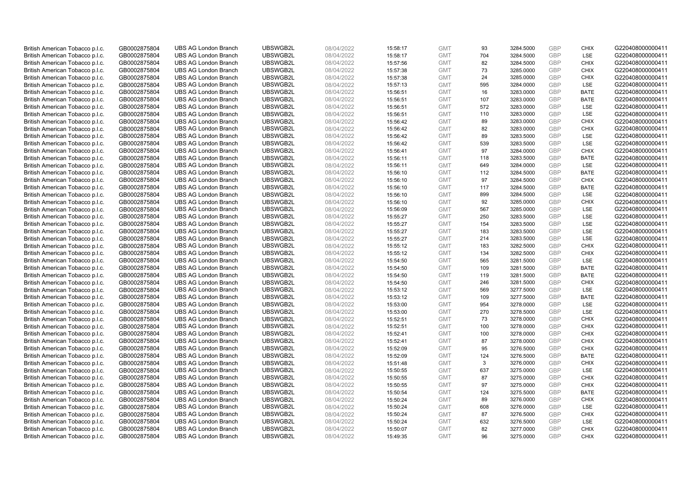| British American Tobacco p.l.c. | GB0002875804 | <b>UBS AG London Branch</b> | UBSWGB2L | 08/04/2022 | 15:58:17 | <b>GMT</b> | 93  | 3284.5000 | <b>GBP</b> | <b>CHIX</b> | G220408000000411 |
|---------------------------------|--------------|-----------------------------|----------|------------|----------|------------|-----|-----------|------------|-------------|------------------|
| British American Tobacco p.l.c. | GB0002875804 | <b>UBS AG London Branch</b> | UBSWGB2L | 08/04/2022 | 15:58:17 | <b>GMT</b> | 704 | 3284.5000 | GBP        | LSE         | G220408000000411 |
| British American Tobacco p.l.c. | GB0002875804 | <b>UBS AG London Branch</b> | UBSWGB2L | 08/04/2022 | 15:57:56 | <b>GMT</b> | 82  | 3284.5000 | <b>GBP</b> | <b>CHIX</b> | G220408000000411 |
| British American Tobacco p.l.c. | GB0002875804 | <b>UBS AG London Branch</b> | UBSWGB2L | 08/04/2022 | 15:57:38 | <b>GMT</b> | 73  | 3285.0000 | GBP        | <b>CHIX</b> | G220408000000411 |
| British American Tobacco p.l.c. | GB0002875804 | <b>UBS AG London Branch</b> | UBSWGB2L | 08/04/2022 | 15:57:38 | <b>GMT</b> | 24  | 3285.0000 | <b>GBP</b> | <b>CHIX</b> | G220408000000411 |
| British American Tobacco p.l.c. | GB0002875804 | <b>UBS AG London Branch</b> | UBSWGB2L | 08/04/2022 | 15:57:13 | <b>GMT</b> | 595 | 3284.0000 | GBP        | <b>LSE</b>  | G220408000000411 |
| British American Tobacco p.l.c. | GB0002875804 | <b>UBS AG London Branch</b> | UBSWGB2L | 08/04/2022 | 15:56:51 | <b>GMT</b> | 16  | 3283.0000 | <b>GBP</b> | <b>BATE</b> | G220408000000411 |
| British American Tobacco p.l.c. | GB0002875804 | <b>UBS AG London Branch</b> | UBSWGB2L | 08/04/2022 | 15:56:51 | <b>GMT</b> | 107 | 3283.0000 | GBP        | <b>BATE</b> | G220408000000411 |
| British American Tobacco p.l.c. | GB0002875804 | <b>UBS AG London Branch</b> | UBSWGB2L | 08/04/2022 | 15:56:51 | <b>GMT</b> | 572 | 3283.0000 | <b>GBP</b> | LSE         | G220408000000411 |
| British American Tobacco p.l.c. | GB0002875804 | <b>UBS AG London Branch</b> | UBSWGB2L | 08/04/2022 | 15:56:51 | <b>GMT</b> | 110 | 3283.0000 | <b>GBP</b> | <b>LSE</b>  | G220408000000411 |
| British American Tobacco p.l.c. | GB0002875804 | <b>UBS AG London Branch</b> | UBSWGB2L | 08/04/2022 | 15:56:42 | <b>GMT</b> | 89  | 3283.0000 | <b>GBP</b> | <b>CHIX</b> | G220408000000411 |
| British American Tobacco p.l.c. | GB0002875804 | <b>UBS AG London Branch</b> | UBSWGB2L | 08/04/2022 | 15:56:42 | <b>GMT</b> | 82  | 3283.0000 | <b>GBP</b> | <b>CHIX</b> | G220408000000411 |
| British American Tobacco p.l.c. | GB0002875804 | <b>UBS AG London Branch</b> | UBSWGB2L | 08/04/2022 | 15:56:42 | <b>GMT</b> | 89  | 3283.5000 | <b>GBP</b> | LSE         | G220408000000411 |
| British American Tobacco p.l.c. | GB0002875804 | <b>UBS AG London Branch</b> | UBSWGB2L | 08/04/2022 | 15:56:42 | <b>GMT</b> | 539 | 3283.5000 | <b>GBP</b> | <b>LSE</b>  | G220408000000411 |
| British American Tobacco p.l.c. | GB0002875804 | <b>UBS AG London Branch</b> | UBSWGB2L | 08/04/2022 | 15:56:41 | <b>GMT</b> | 97  | 3284.0000 | GBP        | <b>CHIX</b> | G220408000000411 |
| British American Tobacco p.l.c. | GB0002875804 | <b>UBS AG London Branch</b> | UBSWGB2L | 08/04/2022 | 15:56:11 | <b>GMT</b> | 118 | 3283.5000 | <b>GBP</b> | <b>BATE</b> | G220408000000411 |
| British American Tobacco p.l.c. | GB0002875804 | <b>UBS AG London Branch</b> | UBSWGB2L | 08/04/2022 | 15:56:11 | <b>GMT</b> | 649 | 3284.0000 | GBP        | <b>LSE</b>  | G220408000000411 |
| British American Tobacco p.l.c. | GB0002875804 | <b>UBS AG London Branch</b> | UBSWGB2L | 08/04/2022 | 15:56:10 | <b>GMT</b> | 112 | 3284.5000 | GBP        | <b>BATE</b> | G220408000000411 |
| British American Tobacco p.l.c. | GB0002875804 | <b>UBS AG London Branch</b> | UBSWGB2L | 08/04/2022 | 15:56:10 | <b>GMT</b> | 97  | 3284.5000 | GBP        | <b>CHIX</b> | G220408000000411 |
| British American Tobacco p.l.c. | GB0002875804 | <b>UBS AG London Branch</b> | UBSWGB2L | 08/04/2022 | 15:56:10 | <b>GMT</b> | 117 | 3284.5000 | <b>GBP</b> | <b>BATE</b> | G220408000000411 |
| British American Tobacco p.l.c. | GB0002875804 | <b>UBS AG London Branch</b> | UBSWGB2L | 08/04/2022 | 15:56:10 | <b>GMT</b> | 899 | 3284.5000 | GBP        | LSE         | G220408000000411 |
| British American Tobacco p.l.c. | GB0002875804 | <b>UBS AG London Branch</b> | UBSWGB2L | 08/04/2022 | 15:56:10 | <b>GMT</b> | 92  | 3285.0000 | GBP        | <b>CHIX</b> | G220408000000411 |
| British American Tobacco p.l.c. | GB0002875804 | <b>UBS AG London Branch</b> | UBSWGB2L | 08/04/2022 | 15:56:09 | <b>GMT</b> | 567 | 3285.0000 | GBP        | <b>LSE</b>  | G220408000000411 |
| British American Tobacco p.l.c. | GB0002875804 | <b>UBS AG London Branch</b> | UBSWGB2L | 08/04/2022 | 15:55:27 | <b>GMT</b> | 250 | 3283.5000 | <b>GBP</b> | LSE         | G220408000000411 |
| British American Tobacco p.l.c. | GB0002875804 | <b>UBS AG London Branch</b> | UBSWGB2L | 08/04/2022 | 15:55:27 | <b>GMT</b> | 154 | 3283.5000 | <b>GBP</b> | LSE         | G220408000000411 |
| British American Tobacco p.l.c. | GB0002875804 | <b>UBS AG London Branch</b> | UBSWGB2L | 08/04/2022 | 15:55:27 | <b>GMT</b> | 183 | 3283.5000 | <b>GBP</b> | LSE         | G220408000000411 |
| British American Tobacco p.l.c. | GB0002875804 | <b>UBS AG London Branch</b> | UBSWGB2L | 08/04/2022 | 15:55:27 | <b>GMT</b> | 214 | 3283.5000 | <b>GBP</b> | LSE         | G220408000000411 |
| British American Tobacco p.l.c. | GB0002875804 | <b>UBS AG London Branch</b> | UBSWGB2L | 08/04/2022 | 15:55:12 | <b>GMT</b> | 183 | 3282.5000 | GBP        | <b>CHIX</b> | G220408000000411 |
| British American Tobacco p.l.c. | GB0002875804 | <b>UBS AG London Branch</b> | UBSWGB2L | 08/04/2022 | 15:55:12 | <b>GMT</b> | 134 | 3282.5000 | GBP        | <b>CHIX</b> | G220408000000411 |
| British American Tobacco p.l.c. | GB0002875804 | <b>UBS AG London Branch</b> | UBSWGB2L | 08/04/2022 | 15:54:50 | <b>GMT</b> | 565 | 3281.5000 | GBP        | LSE         | G220408000000411 |
| British American Tobacco p.l.c. | GB0002875804 | <b>UBS AG London Branch</b> | UBSWGB2L | 08/04/2022 | 15:54:50 | <b>GMT</b> | 109 | 3281.5000 | <b>GBP</b> | <b>BATE</b> | G220408000000411 |
| British American Tobacco p.l.c. | GB0002875804 | <b>UBS AG London Branch</b> | UBSWGB2L | 08/04/2022 | 15:54:50 | <b>GMT</b> | 119 | 3281.5000 | <b>GBP</b> | <b>BATE</b> | G220408000000411 |
| British American Tobacco p.l.c. | GB0002875804 | <b>UBS AG London Branch</b> | UBSWGB2L | 08/04/2022 | 15:54:50 | <b>GMT</b> | 246 | 3281.5000 | GBP        | <b>CHIX</b> | G220408000000411 |
| British American Tobacco p.l.c. | GB0002875804 | <b>UBS AG London Branch</b> | UBSWGB2L | 08/04/2022 | 15:53:12 | <b>GMT</b> | 569 | 3277.5000 | <b>GBP</b> | <b>LSE</b>  | G220408000000411 |
| British American Tobacco p.l.c. | GB0002875804 | <b>UBS AG London Branch</b> | UBSWGB2L | 08/04/2022 | 15:53:12 | <b>GMT</b> | 109 | 3277.5000 | <b>GBP</b> | <b>BATE</b> | G220408000000411 |
| British American Tobacco p.l.c. | GB0002875804 | <b>UBS AG London Branch</b> | UBSWGB2L | 08/04/2022 | 15:53:00 | <b>GMT</b> | 954 | 3278.0000 | <b>GBP</b> | <b>LSE</b>  | G220408000000411 |
| British American Tobacco p.l.c. | GB0002875804 | <b>UBS AG London Branch</b> | UBSWGB2L | 08/04/2022 | 15:53:00 | <b>GMT</b> | 270 | 3278.5000 | <b>GBP</b> | LSE         | G220408000000411 |
| British American Tobacco p.l.c. | GB0002875804 | <b>UBS AG London Branch</b> | UBSWGB2L | 08/04/2022 | 15:52:51 | <b>GMT</b> | 73  | 3278.0000 | <b>GBP</b> | <b>CHIX</b> | G220408000000411 |
| British American Tobacco p.l.c. | GB0002875804 | <b>UBS AG London Branch</b> | UBSWGB2L | 08/04/2022 | 15:52:51 | <b>GMT</b> | 100 | 3278.0000 | <b>GBP</b> | <b>CHIX</b> | G220408000000411 |
| British American Tobacco p.l.c. | GB0002875804 | <b>UBS AG London Branch</b> | UBSWGB2L | 08/04/2022 | 15:52:41 | <b>GMT</b> | 100 | 3278.0000 | <b>GBP</b> | <b>CHIX</b> | G220408000000411 |
| British American Tobacco p.l.c. | GB0002875804 | <b>UBS AG London Branch</b> | UBSWGB2L | 08/04/2022 | 15:52:41 | <b>GMT</b> | 87  | 3278.0000 | <b>GBP</b> | <b>CHIX</b> | G220408000000411 |
| British American Tobacco p.l.c. | GB0002875804 | <b>UBS AG London Branch</b> | UBSWGB2L | 08/04/2022 | 15:52:09 | <b>GMT</b> | 95  | 3276.5000 | <b>GBP</b> | <b>CHIX</b> | G220408000000411 |
| British American Tobacco p.l.c. | GB0002875804 | <b>UBS AG London Branch</b> | UBSWGB2L | 08/04/2022 | 15:52:09 | <b>GMT</b> | 124 | 3276.5000 | <b>GBP</b> | <b>BATE</b> | G220408000000411 |
| British American Tobacco p.l.c. | GB0002875804 | <b>UBS AG London Branch</b> | UBSWGB2L | 08/04/2022 | 15:51:48 | <b>GMT</b> | 3   | 3276.0000 | GBP        | <b>CHIX</b> | G220408000000411 |
| British American Tobacco p.l.c. | GB0002875804 | <b>UBS AG London Branch</b> | UBSWGB2L | 08/04/2022 | 15:50:55 | <b>GMT</b> | 637 | 3275.0000 | <b>GBP</b> | <b>LSE</b>  | G220408000000411 |
| British American Tobacco p.l.c. | GB0002875804 | <b>UBS AG London Branch</b> | UBSWGB2L | 08/04/2022 | 15:50:55 | <b>GMT</b> | 87  | 3275.0000 | <b>GBP</b> | <b>CHIX</b> | G220408000000411 |
| British American Tobacco p.l.c. | GB0002875804 | <b>UBS AG London Branch</b> | UBSWGB2L | 08/04/2022 | 15:50:55 | <b>GMT</b> | 97  | 3275.0000 | <b>GBP</b> | <b>CHIX</b> | G220408000000411 |
| British American Tobacco p.l.c. | GB0002875804 | <b>UBS AG London Branch</b> | UBSWGB2L | 08/04/2022 | 15:50:54 | <b>GMT</b> | 124 | 3275.5000 | <b>GBP</b> | <b>BATE</b> | G220408000000411 |
| British American Tobacco p.l.c. | GB0002875804 | <b>UBS AG London Branch</b> | UBSWGB2L | 08/04/2022 | 15:50:24 | <b>GMT</b> | 89  | 3276.0000 | <b>GBP</b> | <b>CHIX</b> | G220408000000411 |
| British American Tobacco p.l.c. | GB0002875804 | <b>UBS AG London Branch</b> | UBSWGB2L | 08/04/2022 | 15:50:24 | <b>GMT</b> | 608 | 3276.0000 | <b>GBP</b> | <b>LSE</b>  | G220408000000411 |
| British American Tobacco p.l.c. | GB0002875804 | <b>UBS AG London Branch</b> | UBSWGB2L | 08/04/2022 | 15:50:24 | <b>GMT</b> | 87  | 3276.5000 | GBP        | <b>CHIX</b> | G220408000000411 |
| British American Tobacco p.l.c. | GB0002875804 | <b>UBS AG London Branch</b> | UBSWGB2L | 08/04/2022 | 15:50:24 | <b>GMT</b> | 632 | 3276.5000 | <b>GBP</b> | LSE         | G220408000000411 |
| British American Tobacco p.l.c. | GB0002875804 | <b>UBS AG London Branch</b> | UBSWGB2L | 08/04/2022 | 15:50:07 | <b>GMT</b> | 82  | 3277.0000 | GBP        | <b>CHIX</b> | G220408000000411 |
| British American Tobacco p.l.c. | GB0002875804 | <b>UBS AG London Branch</b> | UBSWGB2L | 08/04/2022 | 15:49:35 | <b>GMT</b> | 96  | 3275.0000 | GBP        | <b>CHIX</b> | G220408000000411 |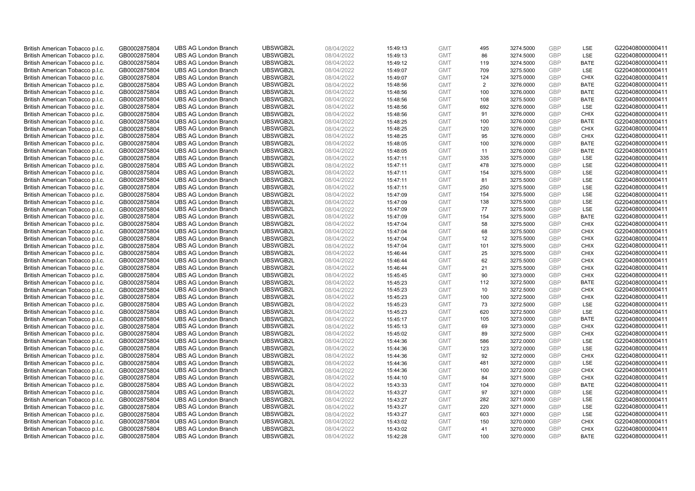| British American Tobacco p.l.c. | GB0002875804 | <b>UBS AG London Branch</b> | UBSWGB2L | 08/04/2022 | 15:49:13 | <b>GMT</b> | 495            | 3274.5000 | <b>GBP</b> | LSE         | G220408000000411 |
|---------------------------------|--------------|-----------------------------|----------|------------|----------|------------|----------------|-----------|------------|-------------|------------------|
| British American Tobacco p.l.c. | GB0002875804 | <b>UBS AG London Branch</b> | UBSWGB2L | 08/04/2022 | 15:49:13 | <b>GMT</b> | 86             | 3274.5000 | <b>GBP</b> | LSE         | G220408000000411 |
| British American Tobacco p.l.c. | GB0002875804 | <b>UBS AG London Branch</b> | UBSWGB2L | 08/04/2022 | 15:49:12 | <b>GMT</b> | 119            | 3274.5000 | <b>GBP</b> | <b>BATE</b> | G220408000000411 |
| British American Tobacco p.l.c. | GB0002875804 | <b>UBS AG London Branch</b> | UBSWGB2L | 08/04/2022 | 15:49:07 | <b>GMT</b> | 709            | 3275.5000 | <b>GBP</b> | <b>LSE</b>  | G220408000000411 |
| British American Tobacco p.l.c. | GB0002875804 | <b>UBS AG London Branch</b> | UBSWGB2L | 08/04/2022 | 15:49:07 | <b>GMT</b> | 124            | 3275.0000 | <b>GBP</b> | <b>CHIX</b> | G220408000000411 |
| British American Tobacco p.l.c. | GB0002875804 | <b>UBS AG London Branch</b> | UBSWGB2L | 08/04/2022 | 15:48:56 | <b>GMT</b> | $\overline{2}$ | 3276.0000 | <b>GBP</b> | <b>BATE</b> | G220408000000411 |
| British American Tobacco p.l.c. | GB0002875804 | <b>UBS AG London Branch</b> | UBSWGB2L | 08/04/2022 | 15:48:56 | <b>GMT</b> | 100            | 3276.0000 | <b>GBP</b> | <b>BATE</b> | G220408000000411 |
| British American Tobacco p.l.c. | GB0002875804 | <b>UBS AG London Branch</b> | UBSWGB2L | 08/04/2022 | 15:48:56 | <b>GMT</b> | 108            | 3275.5000 | <b>GBP</b> | <b>BATE</b> | G220408000000411 |
| British American Tobacco p.l.c. | GB0002875804 | <b>UBS AG London Branch</b> | UBSWGB2L | 08/04/2022 | 15:48:56 | <b>GMT</b> | 692            | 3276.0000 | <b>GBP</b> | LSE         | G220408000000411 |
| British American Tobacco p.l.c. | GB0002875804 | <b>UBS AG London Branch</b> | UBSWGB2L | 08/04/2022 | 15:48:56 | <b>GMT</b> | 91             | 3276.0000 | <b>GBP</b> | <b>CHIX</b> | G220408000000411 |
| British American Tobacco p.l.c. | GB0002875804 | <b>UBS AG London Branch</b> | UBSWGB2L | 08/04/2022 | 15:48:25 | <b>GMT</b> | 100            | 3276.0000 | GBP        | <b>BATE</b> | G220408000000411 |
| British American Tobacco p.l.c. | GB0002875804 | <b>UBS AG London Branch</b> | UBSWGB2L | 08/04/2022 | 15:48:25 | <b>GMT</b> | 120            | 3276.0000 | <b>GBP</b> | <b>CHIX</b> | G220408000000411 |
| British American Tobacco p.l.c. | GB0002875804 | <b>UBS AG London Branch</b> | UBSWGB2L | 08/04/2022 | 15:48:25 | <b>GMT</b> | 95             | 3276.0000 | <b>GBP</b> | <b>CHIX</b> | G220408000000411 |
| British American Tobacco p.l.c. | GB0002875804 | <b>UBS AG London Branch</b> | UBSWGB2L | 08/04/2022 | 15:48:05 | <b>GMT</b> | 100            | 3276.0000 | <b>GBP</b> | <b>BATE</b> | G220408000000411 |
| British American Tobacco p.l.c. | GB0002875804 | <b>UBS AG London Branch</b> | UBSWGB2L | 08/04/2022 | 15:48:05 | <b>GMT</b> | 11             | 3276.0000 | GBP        | <b>BATE</b> | G220408000000411 |
| British American Tobacco p.l.c. | GB0002875804 | <b>UBS AG London Branch</b> | UBSWGB2L | 08/04/2022 | 15:47:11 | <b>GMT</b> | 335            | 3275.0000 | <b>GBP</b> | LSE         | G220408000000411 |
| British American Tobacco p.l.c. | GB0002875804 | <b>UBS AG London Branch</b> | UBSWGB2L | 08/04/2022 | 15:47:11 | <b>GMT</b> | 478            | 3275.0000 | <b>GBP</b> | <b>LSE</b>  | G220408000000411 |
| British American Tobacco p.l.c. | GB0002875804 | <b>UBS AG London Branch</b> | UBSWGB2L | 08/04/2022 | 15:47:11 | <b>GMT</b> | 154            | 3275.5000 | GBP        | LSE         | G220408000000411 |
| British American Tobacco p.l.c. | GB0002875804 | <b>UBS AG London Branch</b> | UBSWGB2L | 08/04/2022 | 15:47:11 | <b>GMT</b> | 81             | 3275.5000 | <b>GBP</b> | <b>LSE</b>  | G220408000000411 |
| British American Tobacco p.l.c. | GB0002875804 | <b>UBS AG London Branch</b> | UBSWGB2L | 08/04/2022 | 15:47:11 | <b>GMT</b> | 250            | 3275.5000 | <b>GBP</b> | LSE         | G220408000000411 |
| British American Tobacco p.l.c. | GB0002875804 | <b>UBS AG London Branch</b> | UBSWGB2L | 08/04/2022 | 15:47:09 | <b>GMT</b> | 154            | 3275.5000 | <b>GBP</b> | LSE         | G220408000000411 |
| British American Tobacco p.l.c. | GB0002875804 | <b>UBS AG London Branch</b> | UBSWGB2L | 08/04/2022 | 15:47:09 | <b>GMT</b> | 138            | 3275.5000 | GBP        | <b>LSE</b>  | G220408000000411 |
| British American Tobacco p.l.c. | GB0002875804 | <b>UBS AG London Branch</b> | UBSWGB2L | 08/04/2022 | 15:47:09 | <b>GMT</b> | 77             | 3275.5000 | <b>GBP</b> | LSE         | G220408000000411 |
| British American Tobacco p.l.c. | GB0002875804 | <b>UBS AG London Branch</b> | UBSWGB2L | 08/04/2022 | 15:47:09 | <b>GMT</b> | 154            | 3275.5000 | <b>GBP</b> | <b>BATE</b> | G220408000000411 |
| British American Tobacco p.l.c. | GB0002875804 | <b>UBS AG London Branch</b> | UBSWGB2L | 08/04/2022 | 15:47:04 | <b>GMT</b> | 58             | 3275.5000 | GBP        | <b>CHIX</b> | G220408000000411 |
| British American Tobacco p.l.c. | GB0002875804 | <b>UBS AG London Branch</b> | UBSWGB2L | 08/04/2022 | 15:47:04 | <b>GMT</b> | 68             | 3275.5000 | GBP        | <b>CHIX</b> | G220408000000411 |
| British American Tobacco p.l.c. | GB0002875804 | <b>UBS AG London Branch</b> | UBSWGB2L | 08/04/2022 | 15:47:04 | <b>GMT</b> | 12             | 3275.5000 | <b>GBP</b> | <b>CHIX</b> | G220408000000411 |
| British American Tobacco p.l.c. | GB0002875804 | <b>UBS AG London Branch</b> | UBSWGB2L | 08/04/2022 | 15:47:04 | <b>GMT</b> | 101            | 3275.5000 | GBP        | <b>CHIX</b> | G220408000000411 |
| British American Tobacco p.l.c. | GB0002875804 | <b>UBS AG London Branch</b> | UBSWGB2L | 08/04/2022 | 15:46:44 | <b>GMT</b> | 25             | 3275.5000 | GBP        | <b>CHIX</b> | G220408000000411 |
| British American Tobacco p.l.c. | GB0002875804 | <b>UBS AG London Branch</b> | UBSWGB2L | 08/04/2022 | 15:46:44 | <b>GMT</b> | 62             | 3275.5000 | GBP        | <b>CHIX</b> | G220408000000411 |
| British American Tobacco p.l.c. | GB0002875804 | <b>UBS AG London Branch</b> | UBSWGB2L | 08/04/2022 | 15:46:44 | <b>GMT</b> | 21             | 3275.5000 | <b>GBP</b> | <b>CHIX</b> | G220408000000411 |
| British American Tobacco p.l.c. | GB0002875804 | <b>UBS AG London Branch</b> | UBSWGB2L | 08/04/2022 | 15:45:45 | <b>GMT</b> | 90             | 3273.0000 | GBP        | <b>CHIX</b> | G220408000000411 |
| British American Tobacco p.l.c. | GB0002875804 | <b>UBS AG London Branch</b> | UBSWGB2L | 08/04/2022 | 15:45:23 | <b>GMT</b> | 112            | 3272.5000 | GBP        | <b>BATE</b> | G220408000000411 |
| British American Tobacco p.l.c. | GB0002875804 | <b>UBS AG London Branch</b> | UBSWGB2L | 08/04/2022 | 15:45:23 | <b>GMT</b> | 10             | 3272.5000 | <b>GBP</b> | <b>CHIX</b> | G220408000000411 |
| British American Tobacco p.l.c. | GB0002875804 | <b>UBS AG London Branch</b> | UBSWGB2L | 08/04/2022 | 15:45:23 | <b>GMT</b> | 100            | 3272.5000 | <b>GBP</b> | <b>CHIX</b> | G220408000000411 |
| British American Tobacco p.l.c. | GB0002875804 | <b>UBS AG London Branch</b> | UBSWGB2L | 08/04/2022 | 15:45:23 | <b>GMT</b> | 73             | 3272.5000 | <b>GBP</b> | <b>LSE</b>  | G220408000000411 |
| British American Tobacco p.l.c. | GB0002875804 | <b>UBS AG London Branch</b> | UBSWGB2L | 08/04/2022 | 15:45:23 | <b>GMT</b> | 620            | 3272.5000 | GBP        | LSE         | G220408000000411 |
| British American Tobacco p.l.c. | GB0002875804 | <b>UBS AG London Branch</b> | UBSWGB2L | 08/04/2022 | 15:45:17 | <b>GMT</b> | 105            | 3273.0000 | <b>GBP</b> | <b>BATE</b> | G220408000000411 |
| British American Tobacco p.l.c. | GB0002875804 | <b>UBS AG London Branch</b> | UBSWGB2L | 08/04/2022 | 15:45:13 | <b>GMT</b> | 69             | 3273.0000 | GBP        | <b>CHIX</b> | G220408000000411 |
| British American Tobacco p.l.c. | GB0002875804 | <b>UBS AG London Branch</b> | UBSWGB2L | 08/04/2022 | 15:45:02 | <b>GMT</b> | 89             | 3272.5000 | <b>GBP</b> | <b>CHIX</b> | G220408000000411 |
| British American Tobacco p.l.c. | GB0002875804 | <b>UBS AG London Branch</b> | UBSWGB2L | 08/04/2022 | 15:44:36 | <b>GMT</b> | 586            | 3272.0000 | <b>GBP</b> | <b>LSE</b>  | G220408000000411 |
| British American Tobacco p.l.c. | GB0002875804 | <b>UBS AG London Branch</b> | UBSWGB2L | 08/04/2022 | 15:44:36 | <b>GMT</b> | 123            | 3272.0000 | GBP        | LSE         | G220408000000411 |
| British American Tobacco p.l.c. | GB0002875804 | <b>UBS AG London Branch</b> | UBSWGB2L | 08/04/2022 | 15:44:36 | <b>GMT</b> | 92             | 3272.0000 | <b>GBP</b> | <b>CHIX</b> | G220408000000411 |
| British American Tobacco p.l.c. | GB0002875804 | <b>UBS AG London Branch</b> | UBSWGB2L | 08/04/2022 | 15:44:36 | <b>GMT</b> | 481            | 3272.0000 | GBP        | LSE         | G220408000000411 |
| British American Tobacco p.l.c. | GB0002875804 | <b>UBS AG London Branch</b> | UBSWGB2L | 08/04/2022 | 15:44:36 | <b>GMT</b> | 100            | 3272.0000 | <b>GBP</b> | <b>CHIX</b> | G220408000000411 |
| British American Tobacco p.l.c. | GB0002875804 | <b>UBS AG London Branch</b> | UBSWGB2L | 08/04/2022 | 15:44:10 | <b>GMT</b> | 84             | 3271.5000 | GBP        | <b>CHIX</b> | G220408000000411 |
| British American Tobacco p.l.c. | GB0002875804 | <b>UBS AG London Branch</b> | UBSWGB2L | 08/04/2022 | 15:43:33 | <b>GMT</b> | 104            | 3270.0000 | <b>GBP</b> | <b>BATE</b> | G220408000000411 |
| British American Tobacco p.l.c. | GB0002875804 | <b>UBS AG London Branch</b> | UBSWGB2L | 08/04/2022 | 15:43:27 | <b>GMT</b> | 97             | 3271.0000 | <b>GBP</b> | LSE         | G220408000000411 |
| British American Tobacco p.l.c. | GB0002875804 | <b>UBS AG London Branch</b> | UBSWGB2L | 08/04/2022 | 15:43:27 | <b>GMT</b> | 282            | 3271.0000 | GBP        | LSE         | G220408000000411 |
| British American Tobacco p.l.c. | GB0002875804 | <b>UBS AG London Branch</b> | UBSWGB2L | 08/04/2022 | 15:43:27 | <b>GMT</b> | 220            | 3271.0000 | <b>GBP</b> | LSE         | G220408000000411 |
| British American Tobacco p.l.c. | GB0002875804 | <b>UBS AG London Branch</b> | UBSWGB2L | 08/04/2022 | 15:43:27 | <b>GMT</b> | 603            | 3271.0000 | <b>GBP</b> | LSE         | G220408000000411 |
| British American Tobacco p.l.c. | GB0002875804 | <b>UBS AG London Branch</b> | UBSWGB2L | 08/04/2022 | 15:43:02 | <b>GMT</b> | 150            | 3270.0000 | GBP        | <b>CHIX</b> | G220408000000411 |
| British American Tobacco p.l.c. | GB0002875804 | <b>UBS AG London Branch</b> | UBSWGB2L | 08/04/2022 | 15:43:02 | <b>GMT</b> | 41             | 3270.0000 | GBP        | <b>CHIX</b> | G220408000000411 |
| British American Tobacco p.l.c. | GB0002875804 | <b>UBS AG London Branch</b> | UBSWGB2L | 08/04/2022 | 15:42:28 | <b>GMT</b> | 100            | 3270.0000 | GBP        | <b>BATE</b> | G220408000000411 |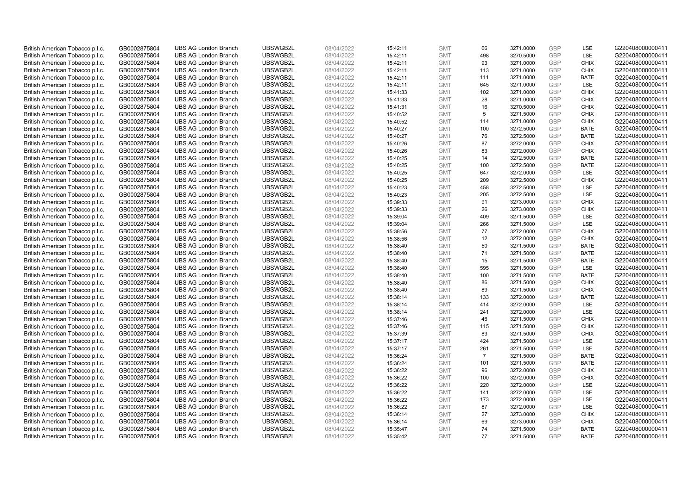| British American Tobacco p.l.c. | GB0002875804 | <b>UBS AG London Branch</b> | UBSWGB2L | 08/04/2022 | 15:42:11 | <b>GMT</b> | 66             | 3271.0000 | <b>GBP</b> | LSE         | G220408000000411 |
|---------------------------------|--------------|-----------------------------|----------|------------|----------|------------|----------------|-----------|------------|-------------|------------------|
| British American Tobacco p.l.c. | GB0002875804 | <b>UBS AG London Branch</b> | UBSWGB2L | 08/04/2022 | 15:42:11 | <b>GMT</b> | 498            | 3270.5000 | <b>GBP</b> | LSE         | G220408000000411 |
| British American Tobacco p.l.c. | GB0002875804 | <b>UBS AG London Branch</b> | UBSWGB2L | 08/04/2022 | 15:42:11 | <b>GMT</b> | 93             | 3271.0000 | GBP        | <b>CHIX</b> | G220408000000411 |
| British American Tobacco p.l.c. | GB0002875804 | <b>UBS AG London Branch</b> | UBSWGB2L | 08/04/2022 | 15:42:11 | <b>GMT</b> | 113            | 3271.0000 | GBP        | <b>CHIX</b> | G220408000000411 |
| British American Tobacco p.l.c. | GB0002875804 | <b>UBS AG London Branch</b> | UBSWGB2L | 08/04/2022 | 15:42:11 | <b>GMT</b> | 111            | 3271.0000 | <b>GBP</b> | <b>BATE</b> | G220408000000411 |
| British American Tobacco p.l.c. | GB0002875804 | <b>UBS AG London Branch</b> | UBSWGB2L | 08/04/2022 | 15:42:11 | <b>GMT</b> | 645            | 3271.0000 | <b>GBP</b> | <b>LSE</b>  | G220408000000411 |
| British American Tobacco p.l.c. | GB0002875804 | <b>UBS AG London Branch</b> | UBSWGB2L | 08/04/2022 | 15:41:33 | <b>GMT</b> | 102            | 3271.0000 | GBP        | <b>CHIX</b> | G220408000000411 |
| British American Tobacco p.l.c. | GB0002875804 | <b>UBS AG London Branch</b> | UBSWGB2L | 08/04/2022 | 15:41:33 | <b>GMT</b> | 28             | 3271.0000 | <b>GBP</b> | <b>CHIX</b> | G220408000000411 |
| British American Tobacco p.l.c. | GB0002875804 | <b>UBS AG London Branch</b> | UBSWGB2L | 08/04/2022 | 15:41:31 | <b>GMT</b> | 16             | 3270.5000 | GBP        | <b>CHIX</b> | G220408000000411 |
| British American Tobacco p.l.c. | GB0002875804 | <b>UBS AG London Branch</b> | UBSWGB2L | 08/04/2022 | 15:40:52 | <b>GMT</b> | 5              | 3271.5000 | <b>GBP</b> | <b>CHIX</b> | G220408000000411 |
| British American Tobacco p.l.c. | GB0002875804 | <b>UBS AG London Branch</b> | UBSWGB2L | 08/04/2022 | 15:40:52 | <b>GMT</b> | 114            | 3271.0000 | GBP        | <b>CHIX</b> | G220408000000411 |
| British American Tobacco p.l.c. | GB0002875804 | <b>UBS AG London Branch</b> | UBSWGB2L | 08/04/2022 | 15:40:27 | <b>GMT</b> | 100            | 3272.5000 | <b>GBP</b> | <b>BATE</b> | G220408000000411 |
| British American Tobacco p.l.c. | GB0002875804 | <b>UBS AG London Branch</b> | UBSWGB2L | 08/04/2022 | 15:40:27 | <b>GMT</b> | 76             | 3272.5000 | <b>GBP</b> | <b>BATE</b> | G220408000000411 |
| British American Tobacco p.l.c. | GB0002875804 | <b>UBS AG London Branch</b> | UBSWGB2L | 08/04/2022 | 15:40:26 | <b>GMT</b> | 87             | 3272.0000 | <b>GBP</b> | <b>CHIX</b> | G220408000000411 |
| British American Tobacco p.l.c. | GB0002875804 | <b>UBS AG London Branch</b> | UBSWGB2L | 08/04/2022 | 15:40:26 | <b>GMT</b> | 83             | 3272.0000 | <b>GBP</b> | <b>CHIX</b> | G220408000000411 |
| British American Tobacco p.l.c. | GB0002875804 | <b>UBS AG London Branch</b> | UBSWGB2L | 08/04/2022 | 15:40:25 | <b>GMT</b> | 14             | 3272.5000 | GBP        | <b>BATE</b> | G220408000000411 |
| British American Tobacco p.l.c. | GB0002875804 | <b>UBS AG London Branch</b> | UBSWGB2L | 08/04/2022 | 15:40:25 | <b>GMT</b> | 100            | 3272.5000 | GBP        | <b>BATE</b> | G220408000000411 |
| British American Tobacco p.l.c. | GB0002875804 | <b>UBS AG London Branch</b> | UBSWGB2L | 08/04/2022 | 15:40:25 | <b>GMT</b> | 647            | 3272.0000 | GBP        | LSE         | G220408000000411 |
| British American Tobacco p.l.c. | GB0002875804 | <b>UBS AG London Branch</b> | UBSWGB2L | 08/04/2022 | 15:40:25 | <b>GMT</b> | 209            | 3272.5000 | <b>GBP</b> | <b>CHIX</b> | G220408000000411 |
| British American Tobacco p.l.c. | GB0002875804 | <b>UBS AG London Branch</b> | UBSWGB2L | 08/04/2022 | 15:40:23 | <b>GMT</b> | 458            | 3272.5000 | GBP        | LSE         | G220408000000411 |
| British American Tobacco p.l.c. | GB0002875804 | <b>UBS AG London Branch</b> | UBSWGB2L | 08/04/2022 | 15:40:23 | <b>GMT</b> | 205            | 3272.5000 | <b>GBP</b> | LSE         | G220408000000411 |
| British American Tobacco p.l.c. | GB0002875804 | <b>UBS AG London Branch</b> | UBSWGB2L | 08/04/2022 | 15:39:33 | <b>GMT</b> | 91             | 3273.0000 | GBP        | <b>CHIX</b> | G220408000000411 |
| British American Tobacco p.l.c. | GB0002875804 | <b>UBS AG London Branch</b> | UBSWGB2L | 08/04/2022 | 15:39:33 | <b>GMT</b> | 26             | 3273.0000 | <b>GBP</b> | <b>CHIX</b> | G220408000000411 |
| British American Tobacco p.l.c. | GB0002875804 | <b>UBS AG London Branch</b> | UBSWGB2L | 08/04/2022 | 15:39:04 | <b>GMT</b> | 409            | 3271.5000 | GBP        | <b>LSE</b>  | G220408000000411 |
| British American Tobacco p.l.c. | GB0002875804 | <b>UBS AG London Branch</b> | UBSWGB2L | 08/04/2022 | 15:39:04 | <b>GMT</b> | 266            | 3271.5000 | <b>GBP</b> | LSE         | G220408000000411 |
| British American Tobacco p.l.c. | GB0002875804 | <b>UBS AG London Branch</b> | UBSWGB2L | 08/04/2022 | 15:38:56 | <b>GMT</b> | 77             | 3272.0000 | GBP        | <b>CHIX</b> | G220408000000411 |
| British American Tobacco p.l.c. | GB0002875804 | <b>UBS AG London Branch</b> | UBSWGB2L | 08/04/2022 | 15:38:56 | <b>GMT</b> | 12             | 3272.0000 | <b>GBP</b> | <b>CHIX</b> | G220408000000411 |
| British American Tobacco p.l.c. | GB0002875804 | <b>UBS AG London Branch</b> | UBSWGB2L | 08/04/2022 | 15:38:40 | <b>GMT</b> | 50             | 3271.5000 | <b>GBP</b> | <b>BATE</b> | G220408000000411 |
| British American Tobacco p.l.c. | GB0002875804 | <b>UBS AG London Branch</b> | UBSWGB2L | 08/04/2022 | 15:38:40 | <b>GMT</b> | 71             | 3271.5000 | GBP        | <b>BATE</b> | G220408000000411 |
| British American Tobacco p.l.c. | GB0002875804 | <b>UBS AG London Branch</b> | UBSWGB2L | 08/04/2022 | 15:38:40 | <b>GMT</b> | 15             | 3271.5000 | GBP        | <b>BATE</b> | G220408000000411 |
| British American Tobacco p.l.c. | GB0002875804 | <b>UBS AG London Branch</b> | UBSWGB2L | 08/04/2022 | 15:38:40 | <b>GMT</b> | 595            | 3271.5000 | GBP        | LSE         | G220408000000411 |
| British American Tobacco p.l.c. | GB0002875804 | <b>UBS AG London Branch</b> | UBSWGB2L | 08/04/2022 | 15:38:40 | <b>GMT</b> | 100            | 3271.5000 | GBP        | <b>BATE</b> | G220408000000411 |
| British American Tobacco p.l.c. | GB0002875804 | <b>UBS AG London Branch</b> | UBSWGB2L | 08/04/2022 | 15:38:40 | <b>GMT</b> | 86             | 3271.5000 | GBP        | <b>CHIX</b> | G220408000000411 |
| British American Tobacco p.l.c. | GB0002875804 | <b>UBS AG London Branch</b> | UBSWGB2L | 08/04/2022 | 15:38:40 | <b>GMT</b> | 89             | 3271.5000 | GBP        | <b>CHIX</b> | G220408000000411 |
| British American Tobacco p.l.c. | GB0002875804 | <b>UBS AG London Branch</b> | UBSWGB2L | 08/04/2022 | 15:38:14 | <b>GMT</b> | 133            | 3272.0000 | GBP        | <b>BATE</b> | G220408000000411 |
| British American Tobacco p.l.c. | GB0002875804 | <b>UBS AG London Branch</b> | UBSWGB2L | 08/04/2022 | 15:38:14 | <b>GMT</b> | 414            | 3272.0000 | <b>GBP</b> | LSE         | G220408000000411 |
| British American Tobacco p.l.c. | GB0002875804 | <b>UBS AG London Branch</b> | UBSWGB2L | 08/04/2022 | 15:38:14 | <b>GMT</b> | 241            | 3272.0000 | GBP        | LSE         | G220408000000411 |
| British American Tobacco p.l.c. | GB0002875804 | <b>UBS AG London Branch</b> | UBSWGB2L | 08/04/2022 | 15:37:46 | <b>GMT</b> | 46             | 3271.5000 | <b>GBP</b> | <b>CHIX</b> | G220408000000411 |
| British American Tobacco p.l.c. | GB0002875804 | <b>UBS AG London Branch</b> | UBSWGB2L | 08/04/2022 | 15:37:46 | <b>GMT</b> | 115            | 3271.5000 | GBP        | <b>CHIX</b> | G220408000000411 |
| British American Tobacco p.l.c. | GB0002875804 | <b>UBS AG London Branch</b> | UBSWGB2L | 08/04/2022 | 15:37:39 | <b>GMT</b> | 83             | 3271.5000 | <b>GBP</b> | <b>CHIX</b> | G220408000000411 |
| British American Tobacco p.l.c. | GB0002875804 | <b>UBS AG London Branch</b> | UBSWGB2L | 08/04/2022 | 15:37:17 | <b>GMT</b> | 424            | 3271.5000 | <b>GBP</b> | <b>LSE</b>  | G220408000000411 |
| British American Tobacco p.l.c. | GB0002875804 | <b>UBS AG London Branch</b> | UBSWGB2L | 08/04/2022 | 15:37:17 | <b>GMT</b> | 261            | 3271.5000 | GBP        | LSE         | G220408000000411 |
| British American Tobacco p.l.c. | GB0002875804 | <b>UBS AG London Branch</b> | UBSWGB2L | 08/04/2022 | 15:36:24 | <b>GMT</b> | $\overline{7}$ | 3271.5000 | GBP        | <b>BATE</b> | G220408000000411 |
| British American Tobacco p.l.c. | GB0002875804 | <b>UBS AG London Branch</b> | UBSWGB2L | 08/04/2022 | 15:36:24 | <b>GMT</b> | 101            | 3271.5000 | GBP        | <b>BATE</b> | G220408000000411 |
| British American Tobacco p.l.c. | GB0002875804 | <b>UBS AG London Branch</b> | UBSWGB2L | 08/04/2022 | 15:36:22 | <b>GMT</b> | 96             | 3272.0000 | GBP        | <b>CHIX</b> | G220408000000411 |
| British American Tobacco p.l.c. | GB0002875804 | <b>UBS AG London Branch</b> | UBSWGB2L | 08/04/2022 | 15:36:22 | <b>GMT</b> | 100            | 3272.0000 | <b>GBP</b> | <b>CHIX</b> | G220408000000411 |
| British American Tobacco p.l.c. | GB0002875804 | <b>UBS AG London Branch</b> | UBSWGB2L | 08/04/2022 | 15:36:22 | <b>GMT</b> | 220            | 3272.0000 | <b>GBP</b> | LSE         | G220408000000411 |
| British American Tobacco p.l.c. | GB0002875804 | <b>UBS AG London Branch</b> | UBSWGB2L | 08/04/2022 | 15:36:22 | <b>GMT</b> | 141            | 3272.0000 | <b>GBP</b> | LSE         | G220408000000411 |
| British American Tobacco p.l.c. | GB0002875804 | <b>UBS AG London Branch</b> | UBSWGB2L | 08/04/2022 | 15:36:22 | <b>GMT</b> | 173            | 3272.0000 | GBP        | LSE         | G220408000000411 |
| British American Tobacco p.l.c. | GB0002875804 | <b>UBS AG London Branch</b> | UBSWGB2L | 08/04/2022 | 15:36:22 | <b>GMT</b> | 87             | 3272.0000 | GBP        | LSE         | G220408000000411 |
| British American Tobacco p.l.c. | GB0002875804 | <b>UBS AG London Branch</b> | UBSWGB2L | 08/04/2022 | 15:36:14 | <b>GMT</b> | 27             | 3273.0000 | GBP        | <b>CHIX</b> | G220408000000411 |
| British American Tobacco p.l.c. | GB0002875804 | <b>UBS AG London Branch</b> | UBSWGB2L | 08/04/2022 | 15:36:14 | <b>GMT</b> | 69             | 3273.0000 | GBP        | <b>CHIX</b> | G220408000000411 |
| British American Tobacco p.l.c. | GB0002875804 | <b>UBS AG London Branch</b> | UBSWGB2L | 08/04/2022 | 15:35:47 | <b>GMT</b> | 74             | 3271.5000 | GBP        | <b>BATE</b> | G220408000000411 |
| British American Tobacco p.l.c. | GB0002875804 | <b>UBS AG London Branch</b> | UBSWGB2L | 08/04/2022 | 15:35:42 | <b>GMT</b> | 77             | 3271.5000 | <b>GBP</b> | <b>BATE</b> | G220408000000411 |
|                                 |              |                             |          |            |          |            |                |           |            |             |                  |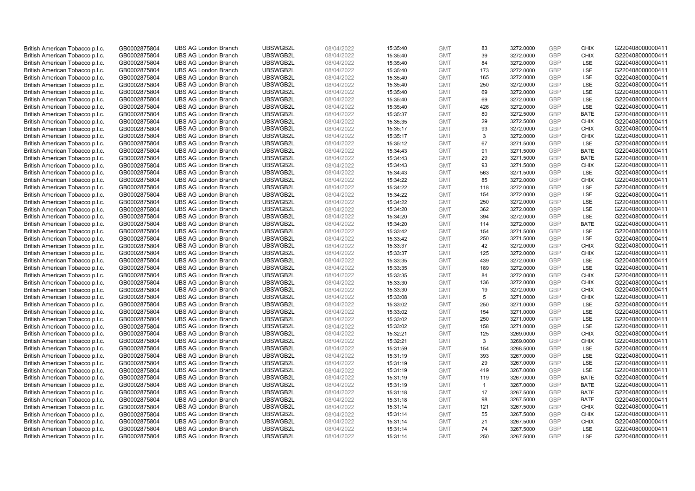| British American Tobacco p.l.c.                                    | GB0002875804 | <b>UBS AG London Branch</b> | UBSWGB2L | 08/04/2022 | 15:35:40 | <b>GMT</b> | 83             | 3272.0000 | <b>GBP</b> | <b>CHIX</b> | G220408000000411 |
|--------------------------------------------------------------------|--------------|-----------------------------|----------|------------|----------|------------|----------------|-----------|------------|-------------|------------------|
| British American Tobacco p.l.c.                                    | GB0002875804 | <b>UBS AG London Branch</b> | UBSWGB2L | 08/04/2022 | 15:35:40 | <b>GMT</b> | 39             | 3272.0000 | <b>GBP</b> | <b>CHIX</b> | G220408000000411 |
| British American Tobacco p.l.c.                                    | GB0002875804 | <b>UBS AG London Branch</b> | UBSWGB2L | 08/04/2022 | 15:35:40 | <b>GMT</b> | 84             | 3272.0000 | GBP        | LSE         | G220408000000411 |
| British American Tobacco p.l.c.                                    | GB0002875804 | <b>UBS AG London Branch</b> | UBSWGB2L | 08/04/2022 | 15:35:40 | <b>GMT</b> | 173            | 3272.0000 | GBP        | LSE         | G220408000000411 |
| British American Tobacco p.l.c.                                    | GB0002875804 | <b>UBS AG London Branch</b> | UBSWGB2L | 08/04/2022 | 15:35:40 | <b>GMT</b> | 165            | 3272.0000 | <b>GBP</b> | LSE         | G220408000000411 |
| British American Tobacco p.l.c.                                    | GB0002875804 | <b>UBS AG London Branch</b> | UBSWGB2L | 08/04/2022 | 15:35:40 | <b>GMT</b> | 250            | 3272.0000 | <b>GBP</b> | LSE         | G220408000000411 |
| British American Tobacco p.l.c.                                    | GB0002875804 | <b>UBS AG London Branch</b> | UBSWGB2L | 08/04/2022 | 15:35:40 | <b>GMT</b> | 69             | 3272.0000 | GBP        | LSE         | G220408000000411 |
| British American Tobacco p.l.c.                                    | GB0002875804 | <b>UBS AG London Branch</b> | UBSWGB2L | 08/04/2022 | 15:35:40 | <b>GMT</b> | 69             | 3272.0000 | <b>GBP</b> | LSE         | G220408000000411 |
| British American Tobacco p.l.c.                                    | GB0002875804 | <b>UBS AG London Branch</b> | UBSWGB2L | 08/04/2022 | 15:35:40 | <b>GMT</b> | 426            | 3272.0000 | GBP        | LSE         | G220408000000411 |
| British American Tobacco p.l.c.                                    | GB0002875804 | <b>UBS AG London Branch</b> | UBSWGB2L | 08/04/2022 | 15:35:37 | <b>GMT</b> | 80             | 3272.5000 | <b>GBP</b> | <b>BATE</b> | G220408000000411 |
| British American Tobacco p.l.c.                                    | GB0002875804 | <b>UBS AG London Branch</b> | UBSWGB2L | 08/04/2022 | 15:35:35 | <b>GMT</b> | 29             | 3272.5000 | GBP        | <b>CHIX</b> | G220408000000411 |
| British American Tobacco p.l.c.                                    | GB0002875804 | <b>UBS AG London Branch</b> | UBSWGB2L | 08/04/2022 | 15:35:17 | <b>GMT</b> | 93             | 3272.0000 | <b>GBP</b> | <b>CHIX</b> | G220408000000411 |
| British American Tobacco p.l.c.                                    | GB0002875804 | <b>UBS AG London Branch</b> | UBSWGB2L | 08/04/2022 | 15:35:17 | <b>GMT</b> | 3              | 3272.0000 | <b>GBP</b> | <b>CHIX</b> | G220408000000411 |
| British American Tobacco p.l.c.                                    | GB0002875804 | <b>UBS AG London Branch</b> | UBSWGB2L | 08/04/2022 | 15:35:12 | <b>GMT</b> | 67             | 3271.5000 | <b>GBP</b> | <b>LSE</b>  | G220408000000411 |
| British American Tobacco p.l.c.                                    | GB0002875804 | <b>UBS AG London Branch</b> | UBSWGB2L | 08/04/2022 | 15:34:43 | <b>GMT</b> | 91             | 3271.5000 | <b>GBP</b> | <b>BATE</b> | G220408000000411 |
| British American Tobacco p.l.c.                                    | GB0002875804 | <b>UBS AG London Branch</b> | UBSWGB2L | 08/04/2022 | 15:34:43 | <b>GMT</b> | 29             | 3271.5000 | GBP        | <b>BATE</b> | G220408000000411 |
| British American Tobacco p.l.c.                                    | GB0002875804 | <b>UBS AG London Branch</b> | UBSWGB2L | 08/04/2022 | 15:34:43 | <b>GMT</b> | 93             | 3271.5000 | GBP        | <b>CHIX</b> | G220408000000411 |
| British American Tobacco p.l.c.                                    | GB0002875804 | <b>UBS AG London Branch</b> | UBSWGB2L | 08/04/2022 | 15:34:43 | <b>GMT</b> | 563            | 3271.5000 | GBP        | LSE         | G220408000000411 |
| British American Tobacco p.l.c.                                    | GB0002875804 | <b>UBS AG London Branch</b> | UBSWGB2L | 08/04/2022 | 15:34:22 | <b>GMT</b> | 85             | 3272.0000 | <b>GBP</b> | <b>CHIX</b> | G220408000000411 |
| British American Tobacco p.l.c.                                    | GB0002875804 | <b>UBS AG London Branch</b> | UBSWGB2L | 08/04/2022 | 15:34:22 | <b>GMT</b> | 118            | 3272.0000 | GBP        | LSE         | G220408000000411 |
| British American Tobacco p.l.c.                                    | GB0002875804 | <b>UBS AG London Branch</b> | UBSWGB2L | 08/04/2022 | 15:34:22 | <b>GMT</b> | 154            | 3272.0000 | <b>GBP</b> | LSE         | G220408000000411 |
| British American Tobacco p.l.c.                                    | GB0002875804 | <b>UBS AG London Branch</b> | UBSWGB2L | 08/04/2022 | 15:34:22 | <b>GMT</b> | 250            | 3272.0000 | <b>GBP</b> | LSE         | G220408000000411 |
| British American Tobacco p.l.c.                                    | GB0002875804 | <b>UBS AG London Branch</b> | UBSWGB2L | 08/04/2022 | 15:34:20 | <b>GMT</b> | 362            | 3272.0000 | <b>GBP</b> | LSE         | G220408000000411 |
| British American Tobacco p.l.c.                                    | GB0002875804 | <b>UBS AG London Branch</b> | UBSWGB2L | 08/04/2022 | 15:34:20 | <b>GMT</b> | 394            | 3272.0000 | GBP        | LSE         | G220408000000411 |
| British American Tobacco p.l.c.                                    | GB0002875804 | <b>UBS AG London Branch</b> | UBSWGB2L | 08/04/2022 | 15:34:20 | <b>GMT</b> | 114            | 3272.0000 | <b>GBP</b> | <b>BATE</b> | G220408000000411 |
| British American Tobacco p.l.c.                                    | GB0002875804 | <b>UBS AG London Branch</b> | UBSWGB2L | 08/04/2022 | 15:33:42 | <b>GMT</b> | 154            | 3271.5000 | <b>GBP</b> | LSE         | G220408000000411 |
| British American Tobacco p.l.c.                                    | GB0002875804 | <b>UBS AG London Branch</b> | UBSWGB2L | 08/04/2022 | 15:33:42 | <b>GMT</b> | 250            | 3271.5000 | GBP        | <b>LSE</b>  | G220408000000411 |
| British American Tobacco p.l.c.                                    | GB0002875804 | <b>UBS AG London Branch</b> | UBSWGB2L | 08/04/2022 | 15:33:37 | <b>GMT</b> | 42             | 3272.0000 | <b>GBP</b> | <b>CHIX</b> | G220408000000411 |
| British American Tobacco p.l.c.                                    | GB0002875804 | <b>UBS AG London Branch</b> | UBSWGB2L | 08/04/2022 | 15:33:37 | <b>GMT</b> | 125            | 3272.0000 | GBP        | <b>CHIX</b> | G220408000000411 |
| British American Tobacco p.l.c.                                    | GB0002875804 | <b>UBS AG London Branch</b> | UBSWGB2L | 08/04/2022 | 15:33:35 | <b>GMT</b> | 439            | 3272.0000 | GBP        | LSE         | G220408000000411 |
| British American Tobacco p.l.c.                                    | GB0002875804 | <b>UBS AG London Branch</b> | UBSWGB2L | 08/04/2022 | 15:33:35 | <b>GMT</b> | 189            | 3272.0000 | GBP        | LSE         | G220408000000411 |
| British American Tobacco p.l.c.                                    | GB0002875804 | <b>UBS AG London Branch</b> | UBSWGB2L | 08/04/2022 | 15:33:35 | <b>GMT</b> | 84             | 3272.0000 | GBP        | <b>CHIX</b> | G220408000000411 |
| British American Tobacco p.l.c.                                    | GB0002875804 | <b>UBS AG London Branch</b> | UBSWGB2L | 08/04/2022 | 15:33:30 | <b>GMT</b> | 136            | 3272.0000 | GBP        | <b>CHIX</b> | G220408000000411 |
| British American Tobacco p.l.c.                                    | GB0002875804 | <b>UBS AG London Branch</b> | UBSWGB2L | 08/04/2022 | 15:33:30 | <b>GMT</b> | 19             | 3272.0000 | GBP        | <b>CHIX</b> | G220408000000411 |
| British American Tobacco p.l.c.                                    | GB0002875804 | <b>UBS AG London Branch</b> | UBSWGB2L | 08/04/2022 | 15:33:08 | <b>GMT</b> | 5              | 3271.0000 | GBP        | <b>CHIX</b> | G220408000000411 |
| British American Tobacco p.l.c.                                    | GB0002875804 | <b>UBS AG London Branch</b> | UBSWGB2L | 08/04/2022 | 15:33:02 | <b>GMT</b> | 250            | 3271.0000 | <b>GBP</b> | LSE         | G220408000000411 |
| British American Tobacco p.l.c.                                    | GB0002875804 | <b>UBS AG London Branch</b> | UBSWGB2L | 08/04/2022 | 15:33:02 | <b>GMT</b> | 154            | 3271.0000 | GBP        | LSE         | G220408000000411 |
| British American Tobacco p.l.c.                                    | GB0002875804 | <b>UBS AG London Branch</b> | UBSWGB2L | 08/04/2022 | 15:33:02 | <b>GMT</b> | 250            | 3271.0000 | <b>GBP</b> | LSE         | G220408000000411 |
| British American Tobacco p.l.c.                                    | GB0002875804 | <b>UBS AG London Branch</b> | UBSWGB2L | 08/04/2022 | 15:33:02 | <b>GMT</b> | 158            | 3271.0000 | GBP        | LSE         | G220408000000411 |
| British American Tobacco p.l.c.                                    | GB0002875804 | <b>UBS AG London Branch</b> | UBSWGB2L | 08/04/2022 | 15:32:21 | <b>GMT</b> | 125            | 3269.0000 | <b>GBP</b> | <b>CHIX</b> | G220408000000411 |
| British American Tobacco p.l.c.                                    | GB0002875804 | <b>UBS AG London Branch</b> | UBSWGB2L | 08/04/2022 | 15:32:21 | <b>GMT</b> | 3              | 3269.0000 | <b>GBP</b> | <b>CHIX</b> | G220408000000411 |
| British American Tobacco p.l.c.                                    | GB0002875804 | <b>UBS AG London Branch</b> | UBSWGB2L | 08/04/2022 | 15:31:59 | <b>GMT</b> | 154            | 3268.5000 | GBP        | <b>LSE</b>  | G220408000000411 |
|                                                                    | GB0002875804 | <b>UBS AG London Branch</b> | UBSWGB2L | 08/04/2022 | 15:31:19 | <b>GMT</b> | 393            | 3267.0000 | <b>GBP</b> | LSE         | G220408000000411 |
| British American Tobacco p.l.c.<br>British American Tobacco p.l.c. |              | <b>UBS AG London Branch</b> | UBSWGB2L | 08/04/2022 |          | <b>GMT</b> | 29             | 3267.0000 | GBP        | LSE         | G220408000000411 |
|                                                                    | GB0002875804 |                             | UBSWGB2L |            | 15:31:19 |            | 419            |           | GBP        | <b>LSE</b>  |                  |
| British American Tobacco p.l.c.                                    | GB0002875804 | <b>UBS AG London Branch</b> |          | 08/04/2022 | 15:31:19 | <b>GMT</b> |                | 3267.0000 |            |             | G220408000000411 |
| British American Tobacco p.l.c.                                    | GB0002875804 | <b>UBS AG London Branch</b> | UBSWGB2L | 08/04/2022 | 15:31:19 | <b>GMT</b> | 119            | 3267.0000 | GBP        | <b>BATE</b> | G220408000000411 |
| British American Tobacco p.l.c.                                    | GB0002875804 | <b>UBS AG London Branch</b> | UBSWGB2L | 08/04/2022 | 15:31:19 | <b>GMT</b> | $\overline{1}$ | 3267.0000 | GBP        | <b>BATE</b> | G220408000000411 |
| British American Tobacco p.l.c.                                    | GB0002875804 | <b>UBS AG London Branch</b> | UBSWGB2L | 08/04/2022 | 15:31:18 | <b>GMT</b> | 17             | 3267.5000 | GBP        | <b>BATE</b> | G220408000000411 |
| British American Tobacco p.l.c.                                    | GB0002875804 | <b>UBS AG London Branch</b> | UBSWGB2L | 08/04/2022 | 15:31:18 | <b>GMT</b> | 98             | 3267.5000 | GBP        | <b>BATE</b> | G220408000000411 |
| British American Tobacco p.l.c.                                    | GB0002875804 | <b>UBS AG London Branch</b> | UBSWGB2L | 08/04/2022 | 15:31:14 | <b>GMT</b> | 121            | 3267.5000 | GBP        | <b>CHIX</b> | G220408000000411 |
| British American Tobacco p.l.c.                                    | GB0002875804 | <b>UBS AG London Branch</b> | UBSWGB2L | 08/04/2022 | 15:31:14 | <b>GMT</b> | 55             | 3267.5000 | GBP        | <b>CHIX</b> | G220408000000411 |
| British American Tobacco p.l.c.                                    | GB0002875804 | <b>UBS AG London Branch</b> | UBSWGB2L | 08/04/2022 | 15:31:14 | <b>GMT</b> | 21             | 3267.5000 | <b>GBP</b> | <b>CHIX</b> | G220408000000411 |
| British American Tobacco p.l.c.                                    | GB0002875804 | <b>UBS AG London Branch</b> | UBSWGB2L | 08/04/2022 | 15:31:14 | <b>GMT</b> | 74             | 3267.5000 | GBP        | LSE         | G220408000000411 |
| British American Tobacco p.l.c.                                    | GB0002875804 | <b>UBS AG London Branch</b> | UBSWGB2L | 08/04/2022 | 15:31:14 | <b>GMT</b> | 250            | 3267.5000 | GBP        | <b>LSE</b>  | G220408000000411 |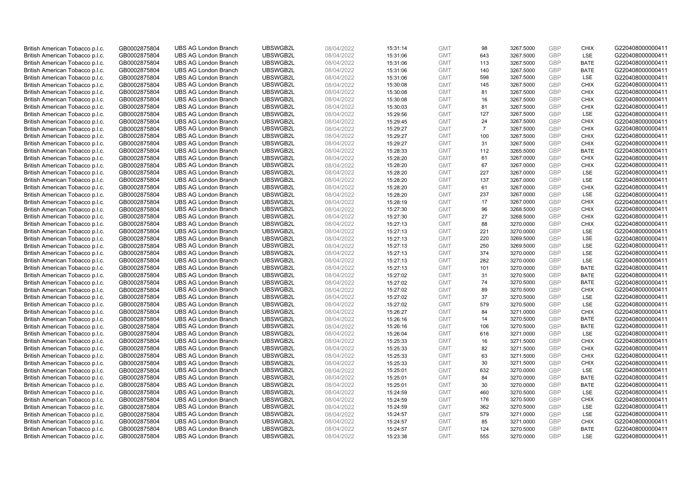| British American Tobacco p.l.c. | GB0002875804                 | <b>UBS AG London Branch</b> | UBSWGB2L             | 08/04/2022               | 15:31:14 | <b>GMT</b>               | 98             | 3267.5000              | <b>GBP</b> | <b>CHIX</b>               | G220408000000411 |
|---------------------------------|------------------------------|-----------------------------|----------------------|--------------------------|----------|--------------------------|----------------|------------------------|------------|---------------------------|------------------|
| British American Tobacco p.l.c. | GB0002875804                 | <b>UBS AG London Branch</b> | UBSWGB2L             | 08/04/2022               | 15:31:06 | <b>GMT</b>               | 643            | 3267.5000              | GBP        | LSE                       | G220408000000411 |
| British American Tobacco p.l.c. | GB0002875804                 | <b>UBS AG London Branch</b> | UBSWGB2L             | 08/04/2022               | 15:31:06 | <b>GMT</b>               | 113            | 3267.5000              | <b>GBP</b> | <b>BATE</b>               | G220408000000411 |
| British American Tobacco p.l.c. | GB0002875804                 | <b>UBS AG London Branch</b> | UBSWGB2L             | 08/04/2022               | 15:31:06 | <b>GMT</b>               | 140            | 3267.5000              | GBP        | <b>BATE</b>               | G220408000000411 |
| British American Tobacco p.l.c. | GB0002875804                 | <b>UBS AG London Branch</b> | UBSWGB2L             | 08/04/2022               | 15:31:06 | <b>GMT</b>               | 598            | 3267.5000              | <b>GBP</b> | <b>LSE</b>                | G220408000000411 |
| British American Tobacco p.l.c. | GB0002875804                 | <b>UBS AG London Branch</b> | UBSWGB2L             | 08/04/2022               | 15:30:08 | <b>GMT</b>               | 145            | 3267.5000              | GBP        | <b>CHIX</b>               | G220408000000411 |
| British American Tobacco p.l.c. | GB0002875804                 | <b>UBS AG London Branch</b> | UBSWGB2L             | 08/04/2022               | 15:30:08 | <b>GMT</b>               | 81             | 3267.5000              | <b>GBP</b> | <b>CHIX</b>               | G220408000000411 |
| British American Tobacco p.l.c. | GB0002875804                 | <b>UBS AG London Branch</b> | UBSWGB2L             | 08/04/2022               | 15:30:08 | <b>GMT</b>               | 16             | 3267.5000              | <b>GBP</b> | <b>CHIX</b>               | G220408000000411 |
| British American Tobacco p.l.c. | GB0002875804                 | <b>UBS AG London Branch</b> | UBSWGB2L             | 08/04/2022               | 15:30:03 | <b>GMT</b>               | 81             | 3267.5000              | <b>GBP</b> | <b>CHIX</b>               | G220408000000411 |
| British American Tobacco p.l.c. | GB0002875804                 | <b>UBS AG London Branch</b> | UBSWGB2L             | 08/04/2022               | 15:29:56 | <b>GMT</b>               | 127            | 3267.5000              | GBP        | <b>LSE</b>                | G220408000000411 |
| British American Tobacco p.l.c. | GB0002875804                 | <b>UBS AG London Branch</b> | UBSWGB2L             | 08/04/2022               | 15:29:45 | <b>GMT</b>               | 24             | 3267.5000              | GBP        | <b>CHIX</b>               | G220408000000411 |
| British American Tobacco p.l.c. | GB0002875804                 | <b>UBS AG London Branch</b> | UBSWGB2L             | 08/04/2022               | 15:29:27 | <b>GMT</b>               | $\overline{7}$ | 3267.5000              | <b>GBP</b> | <b>CHIX</b>               | G220408000000411 |
| British American Tobacco p.l.c. | GB0002875804                 | <b>UBS AG London Branch</b> | UBSWGB2L             | 08/04/2022               | 15:29:27 | <b>GMT</b>               | 100            | 3267.5000              | GBP        | <b>CHIX</b>               | G220408000000411 |
| British American Tobacco p.l.c. | GB0002875804                 | <b>UBS AG London Branch</b> | UBSWGB2L             | 08/04/2022               | 15:29:27 | <b>GMT</b>               | 31             | 3267.5000              | <b>GBP</b> | <b>CHIX</b>               | G220408000000411 |
| British American Tobacco p.l.c. | GB0002875804                 | <b>UBS AG London Branch</b> | UBSWGB2L             | 08/04/2022               | 15:28:33 | <b>GMT</b>               | 112            | 3265.5000              | GBP        | <b>BATE</b>               | G220408000000411 |
| British American Tobacco p.l.c. | GB0002875804                 | <b>UBS AG London Branch</b> | UBSWGB2L             | 08/04/2022               | 15:28:20 | <b>GMT</b>               | 61             | 3267.0000              | <b>GBP</b> | <b>CHIX</b>               | G220408000000411 |
| British American Tobacco p.l.c. | GB0002875804                 | <b>UBS AG London Branch</b> | UBSWGB2L             | 08/04/2022               | 15:28:20 | <b>GMT</b>               | 67             | 3267.0000              | GBP        | <b>CHIX</b>               | G220408000000411 |
| British American Tobacco p.l.c. | GB0002875804                 | <b>UBS AG London Branch</b> | UBSWGB2L             | 08/04/2022               | 15:28:20 | <b>GMT</b>               | 227            | 3267.0000              | GBP        | LSE                       | G220408000000411 |
| British American Tobacco p.l.c. | GB0002875804                 | <b>UBS AG London Branch</b> | UBSWGB2L             | 08/04/2022               | 15:28:20 | <b>GMT</b>               | 137            | 3267.0000              | GBP        | <b>LSE</b>                | G220408000000411 |
| British American Tobacco p.l.c. | GB0002875804                 | <b>UBS AG London Branch</b> | UBSWGB2L             | 08/04/2022               | 15:28:20 | <b>GMT</b>               | 61             | 3267.0000              | <b>GBP</b> | <b>CHIX</b>               | G220408000000411 |
| British American Tobacco p.l.c. | GB0002875804                 | <b>UBS AG London Branch</b> | UBSWGB2L             | 08/04/2022               | 15:28:20 | <b>GMT</b>               | 237            | 3267.0000              | GBP        | LSE                       | G220408000000411 |
| British American Tobacco p.l.c. | GB0002875804                 | <b>UBS AG London Branch</b> | UBSWGB2L             | 08/04/2022               | 15:28:19 | <b>GMT</b>               | 17             | 3267.0000              | GBP        | <b>CHIX</b>               | G220408000000411 |
| British American Tobacco p.l.c. | GB0002875804                 | <b>UBS AG London Branch</b> | UBSWGB2L             | 08/04/2022               | 15:27:30 | <b>GMT</b>               | 96             | 3268.5000              | GBP        | <b>CHIX</b>               | G220408000000411 |
| British American Tobacco p.l.c. | GB0002875804                 | <b>UBS AG London Branch</b> | UBSWGB2L             | 08/04/2022               | 15:27:30 | <b>GMT</b>               | 27             | 3268.5000              | <b>GBP</b> | <b>CHIX</b>               | G220408000000411 |
| British American Tobacco p.l.c. | GB0002875804                 | <b>UBS AG London Branch</b> | UBSWGB2L             | 08/04/2022               | 15:27:13 | <b>GMT</b>               | 88             | 3270.0000              | <b>GBP</b> | <b>CHIX</b>               | G220408000000411 |
| British American Tobacco p.l.c. | GB0002875804                 | <b>UBS AG London Branch</b> | UBSWGB2L             | 08/04/2022               | 15:27:13 | <b>GMT</b>               | 221            | 3270.0000              | GBP        | LSE                       | G220408000000411 |
| British American Tobacco p.l.c. | GB0002875804                 | <b>UBS AG London Branch</b> | UBSWGB2L             | 08/04/2022               | 15:27:13 | <b>GMT</b>               | 220            | 3269.5000              | <b>GBP</b> | LSE                       | G220408000000411 |
| British American Tobacco p.l.c. | GB0002875804                 | <b>UBS AG London Branch</b> | UBSWGB2L             | 08/04/2022               | 15:27:13 | <b>GMT</b>               | 250            | 3269.5000              | <b>GBP</b> | LSE                       | G220408000000411 |
| British American Tobacco p.l.c. | GB0002875804                 | <b>UBS AG London Branch</b> | UBSWGB2L             | 08/04/2022               | 15:27:13 | <b>GMT</b>               | 374            | 3270.0000              | GBP        | LSE                       | G220408000000411 |
| British American Tobacco p.l.c. | GB0002875804                 | <b>UBS AG London Branch</b> | UBSWGB2L             | 08/04/2022               | 15:27:13 | <b>GMT</b>               | 282            | 3270.0000              | GBP        | LSE                       | G220408000000411 |
| British American Tobacco p.l.c. | GB0002875804                 | <b>UBS AG London Branch</b> | UBSWGB2L             | 08/04/2022               | 15:27:13 | <b>GMT</b>               | 101            | 3270.0000              | <b>GBP</b> | <b>BATE</b>               | G220408000000411 |
| British American Tobacco p.l.c. | GB0002875804                 | <b>UBS AG London Branch</b> | UBSWGB2L             | 08/04/2022               | 15:27:02 | <b>GMT</b>               | 31             | 3270.5000              | GBP        | <b>BATE</b>               | G220408000000411 |
| British American Tobacco p.l.c. | GB0002875804                 | <b>UBS AG London Branch</b> | UBSWGB2L             | 08/04/2022               | 15:27:02 | <b>GMT</b>               | 74             | 3270.5000              | GBP        | <b>BATE</b>               | G220408000000411 |
| British American Tobacco p.l.c. | GB0002875804                 | <b>UBS AG London Branch</b> | UBSWGB2L             | 08/04/2022               | 15:27:02 | <b>GMT</b>               | 89             | 3270.5000              | <b>GBP</b> | <b>CHIX</b>               | G220408000000411 |
| British American Tobacco p.l.c. | GB0002875804                 | <b>UBS AG London Branch</b> | UBSWGB2L             | 08/04/2022               | 15:27:02 | <b>GMT</b>               | 37             | 3270.5000              | <b>GBP</b> | LSE                       | G220408000000411 |
| British American Tobacco p.l.c. | GB0002875804                 | <b>UBS AG London Branch</b> | UBSWGB2L             | 08/04/2022               | 15:27:02 | <b>GMT</b>               | 579            | 3270.5000              | <b>GBP</b> | <b>LSE</b>                | G220408000000411 |
| British American Tobacco p.l.c. | GB0002875804                 | <b>UBS AG London Branch</b> | UBSWGB2L             | 08/04/2022               | 15:26:27 | <b>GMT</b>               | 84             | 3271.0000              | GBP        | <b>CHIX</b>               | G220408000000411 |
| British American Tobacco p.l.c. | GB0002875804                 | <b>UBS AG London Branch</b> | UBSWGB2L             | 08/04/2022               | 15:26:16 | <b>GMT</b>               | 14             | 3270.5000              | <b>GBP</b> | <b>BATE</b>               | G220408000000411 |
| British American Tobacco p.l.c. | GB0002875804                 | <b>UBS AG London Branch</b> | UBSWGB2L             | 08/04/2022               | 15:26:16 | <b>GMT</b>               | 106            | 3270.5000              | GBP        | <b>BATE</b>               | G220408000000411 |
| British American Tobacco p.l.c. | GB0002875804                 | <b>UBS AG London Branch</b> | UBSWGB2L             | 08/04/2022               | 15:26:04 | <b>GMT</b>               | 616            | 3271.0000              | <b>GBP</b> | LSE                       | G220408000000411 |
| British American Tobacco p.l.c. | GB0002875804                 | <b>UBS AG London Branch</b> | UBSWGB2L             | 08/04/2022               | 15:25:33 | <b>GMT</b>               | 16             | 3271.5000              | <b>GBP</b> | <b>CHIX</b>               | G220408000000411 |
| British American Tobacco p.l.c. | GB0002875804                 | <b>UBS AG London Branch</b> | UBSWGB2L             | 08/04/2022               | 15:25:33 | <b>GMT</b>               | 82             | 3271.5000              | GBP        | <b>CHIX</b>               | G220408000000411 |
| British American Tobacco p.l.c. | GB0002875804                 | <b>UBS AG London Branch</b> | UBSWGB2L             | 08/04/2022               | 15:25:33 | <b>GMT</b>               | 63             | 3271.5000              | <b>GBP</b> | <b>CHIX</b>               | G220408000000411 |
| British American Tobacco p.l.c. | GB0002875804                 | <b>UBS AG London Branch</b> | UBSWGB2L             | 08/04/2022               | 15:25:33 | <b>GMT</b>               | 30             | 3271.5000              | GBP        | <b>CHIX</b>               | G220408000000411 |
| British American Tobacco p.l.c. | GB0002875804                 | <b>UBS AG London Branch</b> | UBSWGB2L             | 08/04/2022               | 15:25:01 | <b>GMT</b>               | 632            | 3270.0000              | <b>GBP</b> | <b>LSE</b>                | G220408000000411 |
| British American Tobacco p.l.c. | GB0002875804                 | <b>UBS AG London Branch</b> | UBSWGB2L             | 08/04/2022               | 15:25:01 | <b>GMT</b>               | 84             | 3270.0000              | <b>GBP</b> | <b>BATE</b>               | G220408000000411 |
| British American Tobacco p.l.c. | GB0002875804                 | <b>UBS AG London Branch</b> | UBSWGB2L             | 08/04/2022               | 15:25:01 | <b>GMT</b>               | 30             | 3270.0000              | <b>GBP</b> | <b>BATE</b>               | G220408000000411 |
| British American Tobacco p.l.c. | GB0002875804                 | <b>UBS AG London Branch</b> | UBSWGB2L             | 08/04/2022               | 15:24:59 | <b>GMT</b>               | 460            | 3270.5000              | <b>GBP</b> | LSE                       | G220408000000411 |
| British American Tobacco p.l.c. | GB0002875804                 | <b>UBS AG London Branch</b> | UBSWGB2L             | 08/04/2022               | 15:24:59 | <b>GMT</b>               | 176            | 3270.5000              | <b>GBP</b> | <b>CHIX</b>               | G220408000000411 |
| British American Tobacco p.l.c. | GB0002875804                 | <b>UBS AG London Branch</b> | UBSWGB2L             | 08/04/2022               | 15:24:59 | <b>GMT</b>               | 362            | 3270.5000              | GBP        | <b>LSE</b>                | G220408000000411 |
| British American Tobacco p.l.c. | GB0002875804                 | <b>UBS AG London Branch</b> | UBSWGB2L             | 08/04/2022               | 15:24:57 | <b>GMT</b>               | 579            | 3271.0000              | <b>GBP</b> | LSE                       | G220408000000411 |
| British American Tobacco p.l.c. | GB0002875804                 | <b>UBS AG London Branch</b> | UBSWGB2L             | 08/04/2022               | 15:24:57 | <b>GMT</b>               | 85             | 3271.0000              | GBP<br>GBP | <b>CHIX</b>               | G220408000000411 |
| British American Tobacco p.l.c. | GB0002875804<br>GB0002875804 | <b>UBS AG London Branch</b> | UBSWGB2L<br>UBSWGB2L | 08/04/2022<br>08/04/2022 | 15:24:57 | <b>GMT</b><br><b>GMT</b> | 124<br>555     | 3270.5000<br>3270.0000 | GBP        | <b>BATE</b><br><b>LSE</b> | G220408000000411 |
| British American Tobacco p.l.c. |                              | <b>UBS AG London Branch</b> |                      |                          | 15:23:38 |                          |                |                        |            |                           | G220408000000411 |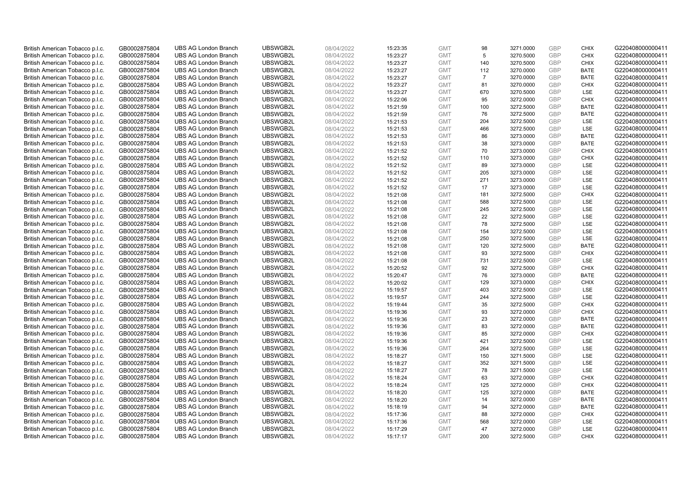| British American Tobacco p.l.c. | GB0002875804 | <b>UBS AG London Branch</b> | UBSWGB2L | 08/04/2022 | 15:23:35 | <b>GMT</b> | 98             | 3271.0000 | <b>GBP</b> | <b>CHIX</b> | G220408000000411 |
|---------------------------------|--------------|-----------------------------|----------|------------|----------|------------|----------------|-----------|------------|-------------|------------------|
| British American Tobacco p.l.c. | GB0002875804 | <b>UBS AG London Branch</b> | UBSWGB2L | 08/04/2022 | 15:23:27 | <b>GMT</b> | 5              | 3270.5000 | GBP        | <b>CHIX</b> | G220408000000411 |
| British American Tobacco p.l.c. | GB0002875804 | <b>UBS AG London Branch</b> | UBSWGB2L | 08/04/2022 | 15:23:27 | <b>GMT</b> | 140            | 3270.5000 | <b>GBP</b> | <b>CHIX</b> | G220408000000411 |
| British American Tobacco p.l.c. | GB0002875804 | <b>UBS AG London Branch</b> | UBSWGB2L | 08/04/2022 | 15:23:27 | <b>GMT</b> | 112            | 3270.0000 | GBP        | <b>BATE</b> | G220408000000411 |
| British American Tobacco p.l.c. | GB0002875804 | <b>UBS AG London Branch</b> | UBSWGB2L | 08/04/2022 | 15:23:27 | <b>GMT</b> | $\overline{7}$ | 3270.0000 | <b>GBP</b> | <b>BATE</b> | G220408000000411 |
| British American Tobacco p.l.c. | GB0002875804 | <b>UBS AG London Branch</b> | UBSWGB2L | 08/04/2022 | 15:23:27 | <b>GMT</b> | 81             | 3270.0000 | GBP        | <b>CHIX</b> | G220408000000411 |
| British American Tobacco p.l.c. | GB0002875804 | <b>UBS AG London Branch</b> | UBSWGB2L | 08/04/2022 | 15:23:27 | <b>GMT</b> | 670            | 3270.5000 | <b>GBP</b> | LSE         | G220408000000411 |
| British American Tobacco p.l.c. | GB0002875804 | <b>UBS AG London Branch</b> | UBSWGB2L | 08/04/2022 | 15:22:06 | <b>GMT</b> | 95             | 3272.0000 | <b>GBP</b> | <b>CHIX</b> | G220408000000411 |
| British American Tobacco p.l.c. | GB0002875804 | <b>UBS AG London Branch</b> | UBSWGB2L | 08/04/2022 | 15:21:59 | <b>GMT</b> | 100            | 3272.5000 | <b>GBP</b> | <b>BATE</b> | G220408000000411 |
| British American Tobacco p.l.c. | GB0002875804 | <b>UBS AG London Branch</b> | UBSWGB2L | 08/04/2022 | 15:21:59 | <b>GMT</b> | 76             | 3272.5000 | GBP        | <b>BATE</b> | G220408000000411 |
| British American Tobacco p.l.c. | GB0002875804 | <b>UBS AG London Branch</b> | UBSWGB2L | 08/04/2022 | 15:21:53 | <b>GMT</b> | 204            | 3272.5000 | <b>GBP</b> | LSE         | G220408000000411 |
| British American Tobacco p.l.c. | GB0002875804 | <b>UBS AG London Branch</b> | UBSWGB2L | 08/04/2022 | 15:21:53 | <b>GMT</b> | 466            | 3272.5000 | <b>GBP</b> | LSE         | G220408000000411 |
| British American Tobacco p.l.c. | GB0002875804 | <b>UBS AG London Branch</b> | UBSWGB2L | 08/04/2022 | 15:21:53 | <b>GMT</b> | 86             | 3273.0000 | <b>GBP</b> | <b>BATE</b> | G220408000000411 |
| British American Tobacco p.l.c. | GB0002875804 | <b>UBS AG London Branch</b> | UBSWGB2L | 08/04/2022 | 15:21:53 | <b>GMT</b> | 38             | 3273.0000 | <b>GBP</b> | <b>BATE</b> | G220408000000411 |
| British American Tobacco p.l.c. | GB0002875804 | <b>UBS AG London Branch</b> | UBSWGB2L | 08/04/2022 | 15:21:52 | <b>GMT</b> | 70             | 3273.0000 | GBP        | <b>CHIX</b> | G220408000000411 |
| British American Tobacco p.l.c. | GB0002875804 | <b>UBS AG London Branch</b> | UBSWGB2L | 08/04/2022 | 15:21:52 | <b>GMT</b> | 110            | 3273.0000 | <b>GBP</b> | <b>CHIX</b> | G220408000000411 |
| British American Tobacco p.l.c. | GB0002875804 | <b>UBS AG London Branch</b> | UBSWGB2L | 08/04/2022 | 15:21:52 | <b>GMT</b> | 89             | 3273.0000 | <b>GBP</b> | <b>LSE</b>  | G220408000000411 |
| British American Tobacco p.l.c. | GB0002875804 | <b>UBS AG London Branch</b> | UBSWGB2L | 08/04/2022 | 15:21:52 | <b>GMT</b> | 205            | 3273.0000 | GBP        | LSE         | G220408000000411 |
| British American Tobacco p.l.c. | GB0002875804 | <b>UBS AG London Branch</b> | UBSWGB2L | 08/04/2022 | 15:21:52 | <b>GMT</b> | 271            | 3273.0000 | <b>GBP</b> | <b>LSE</b>  | G220408000000411 |
| British American Tobacco p.l.c. | GB0002875804 | <b>UBS AG London Branch</b> | UBSWGB2L | 08/04/2022 | 15:21:52 | <b>GMT</b> | 17             | 3273.0000 | <b>GBP</b> | LSE         | G220408000000411 |
| British American Tobacco p.l.c. | GB0002875804 | <b>UBS AG London Branch</b> | UBSWGB2L | 08/04/2022 | 15:21:08 | <b>GMT</b> | 181            | 3272.5000 | <b>GBP</b> | <b>CHIX</b> | G220408000000411 |
| British American Tobacco p.l.c. | GB0002875804 | <b>UBS AG London Branch</b> | UBSWGB2L | 08/04/2022 | 15:21:08 | <b>GMT</b> | 588            | 3272.5000 | GBP        | <b>LSE</b>  | G220408000000411 |
| British American Tobacco p.l.c. | GB0002875804 | <b>UBS AG London Branch</b> | UBSWGB2L | 08/04/2022 | 15:21:08 | <b>GMT</b> | 245            | 3272.5000 | <b>GBP</b> | LSE         | G220408000000411 |
| British American Tobacco p.l.c. | GB0002875804 | <b>UBS AG London Branch</b> | UBSWGB2L | 08/04/2022 | 15:21:08 | <b>GMT</b> | 22             | 3272.5000 | <b>GBP</b> | LSE         | G220408000000411 |
| British American Tobacco p.l.c. | GB0002875804 | <b>UBS AG London Branch</b> | UBSWGB2L | 08/04/2022 | 15:21:08 | <b>GMT</b> | 78             | 3272.5000 | <b>GBP</b> | LSE         | G220408000000411 |
| British American Tobacco p.l.c. | GB0002875804 | <b>UBS AG London Branch</b> | UBSWGB2L | 08/04/2022 | 15:21:08 | <b>GMT</b> | 154            | 3272.5000 | GBP        | LSE         | G220408000000411 |
| British American Tobacco p.l.c. | GB0002875804 | <b>UBS AG London Branch</b> | UBSWGB2L | 08/04/2022 | 15:21:08 | <b>GMT</b> | 250            | 3272.5000 | <b>GBP</b> | LSE         | G220408000000411 |
| British American Tobacco p.l.c. | GB0002875804 | <b>UBS AG London Branch</b> | UBSWGB2L | 08/04/2022 | 15:21:08 | <b>GMT</b> | 120            | 3272.5000 | GBP        | <b>BATE</b> | G220408000000411 |
| British American Tobacco p.l.c. | GB0002875804 | <b>UBS AG London Branch</b> | UBSWGB2L | 08/04/2022 | 15:21:08 | <b>GMT</b> | 93             | 3272.5000 | GBP        | <b>CHIX</b> | G220408000000411 |
| British American Tobacco p.l.c. | GB0002875804 | <b>UBS AG London Branch</b> | UBSWGB2L | 08/04/2022 | 15:21:08 | <b>GMT</b> | 731            | 3272.5000 | GBP        | LSE         | G220408000000411 |
| British American Tobacco p.l.c. | GB0002875804 | <b>UBS AG London Branch</b> | UBSWGB2L | 08/04/2022 | 15:20:52 | <b>GMT</b> | 92             | 3272.5000 | <b>GBP</b> | <b>CHIX</b> | G220408000000411 |
| British American Tobacco p.l.c. | GB0002875804 | <b>UBS AG London Branch</b> | UBSWGB2L | 08/04/2022 | 15:20:47 | <b>GMT</b> | 76             | 3273.0000 | <b>GBP</b> | <b>BATE</b> | G220408000000411 |
| British American Tobacco p.l.c. | GB0002875804 | <b>UBS AG London Branch</b> | UBSWGB2L | 08/04/2022 | 15:20:02 | <b>GMT</b> | 129            | 3273.0000 | GBP        | <b>CHIX</b> | G220408000000411 |
| British American Tobacco p.l.c. | GB0002875804 | <b>UBS AG London Branch</b> | UBSWGB2L | 08/04/2022 | 15:19:57 | <b>GMT</b> | 403            | 3272.5000 | <b>GBP</b> | <b>LSE</b>  | G220408000000411 |
| British American Tobacco p.l.c. | GB0002875804 | <b>UBS AG London Branch</b> | UBSWGB2L | 08/04/2022 | 15:19:57 | <b>GMT</b> | 244            | 3272.5000 | <b>GBP</b> | LSE         | G220408000000411 |
| British American Tobacco p.l.c. | GB0002875804 | <b>UBS AG London Branch</b> | UBSWGB2L | 08/04/2022 | 15:19:44 | <b>GMT</b> | 35             | 3272.5000 | <b>GBP</b> | <b>CHIX</b> | G220408000000411 |
| British American Tobacco p.l.c. | GB0002875804 | <b>UBS AG London Branch</b> | UBSWGB2L | 08/04/2022 | 15:19:36 | <b>GMT</b> | 93             | 3272.0000 | GBP        | <b>CHIX</b> | G220408000000411 |
| British American Tobacco p.l.c. | GB0002875804 | <b>UBS AG London Branch</b> | UBSWGB2L | 08/04/2022 | 15:19:36 | <b>GMT</b> | 23             | 3272.0000 | <b>GBP</b> | <b>BATE</b> | G220408000000411 |
| British American Tobacco p.l.c. | GB0002875804 | <b>UBS AG London Branch</b> | UBSWGB2L | 08/04/2022 | 15:19:36 | <b>GMT</b> | 83             | 3272.0000 | GBP        | <b>BATE</b> | G220408000000411 |
| British American Tobacco p.l.c. | GB0002875804 | <b>UBS AG London Branch</b> | UBSWGB2L | 08/04/2022 | 15:19:36 | <b>GMT</b> | 85             | 3272.0000 | <b>GBP</b> | <b>CHIX</b> | G220408000000411 |
| British American Tobacco p.l.c. | GB0002875804 | <b>UBS AG London Branch</b> | UBSWGB2L | 08/04/2022 | 15:19:36 | <b>GMT</b> | 421            | 3272.5000 | GBP        | <b>LSE</b>  | G220408000000411 |
| British American Tobacco p.l.c. | GB0002875804 | <b>UBS AG London Branch</b> | UBSWGB2L | 08/04/2022 | 15:19:36 | <b>GMT</b> | 264            | 3272.5000 | GBP        | LSE         | G220408000000411 |
| British American Tobacco p.l.c. | GB0002875804 | <b>UBS AG London Branch</b> | UBSWGB2L | 08/04/2022 | 15:18:27 | <b>GMT</b> | 150            | 3271.5000 | <b>GBP</b> | LSE         | G220408000000411 |
| British American Tobacco p.l.c. | GB0002875804 | <b>UBS AG London Branch</b> | UBSWGB2L | 08/04/2022 | 15:18:27 | <b>GMT</b> | 352            | 3271.5000 | GBP        | LSE         | G220408000000411 |
| British American Tobacco p.l.c. | GB0002875804 | <b>UBS AG London Branch</b> | UBSWGB2L | 08/04/2022 | 15:18:27 | <b>GMT</b> | 78             | 3271.5000 | <b>GBP</b> | <b>LSE</b>  | G220408000000411 |
| British American Tobacco p.l.c. | GB0002875804 | <b>UBS AG London Branch</b> | UBSWGB2L | 08/04/2022 | 15:18:24 | <b>GMT</b> | 63             | 3272.0000 | GBP        | <b>CHIX</b> | G220408000000411 |
| British American Tobacco p.l.c. | GB0002875804 | <b>UBS AG London Branch</b> | UBSWGB2L | 08/04/2022 | 15:18:24 | <b>GMT</b> | 125            | 3272.0000 | <b>GBP</b> | <b>CHIX</b> | G220408000000411 |
| British American Tobacco p.l.c. | GB0002875804 | <b>UBS AG London Branch</b> | UBSWGB2L | 08/04/2022 | 15:18:20 | <b>GMT</b> | 125            | 3272.0000 | GBP        | <b>BATE</b> | G220408000000411 |
| British American Tobacco p.l.c. | GB0002875804 | <b>UBS AG London Branch</b> | UBSWGB2L | 08/04/2022 | 15:18:20 | <b>GMT</b> | 14             | 3272.0000 | <b>GBP</b> | <b>BATE</b> | G220408000000411 |
| British American Tobacco p.l.c. | GB0002875804 | <b>UBS AG London Branch</b> | UBSWGB2L | 08/04/2022 | 15:18:19 | <b>GMT</b> | 94             | 3272.0000 | GBP        | <b>BATE</b> | G220408000000411 |
| British American Tobacco p.l.c. | GB0002875804 | <b>UBS AG London Branch</b> | UBSWGB2L | 08/04/2022 | 15:17:36 | <b>GMT</b> | 88             | 3272.0000 | GBP        | <b>CHIX</b> | G220408000000411 |
| British American Tobacco p.l.c. | GB0002875804 | <b>UBS AG London Branch</b> | UBSWGB2L | 08/04/2022 | 15:17:36 | <b>GMT</b> | 568            | 3272.0000 | <b>GBP</b> | LSE         | G220408000000411 |
| British American Tobacco p.l.c. | GB0002875804 | <b>UBS AG London Branch</b> | UBSWGB2L | 08/04/2022 | 15:17:29 | <b>GMT</b> | 47             | 3272.0000 | GBP        | LSE         | G220408000000411 |
| British American Tobacco p.l.c. | GB0002875804 | <b>UBS AG London Branch</b> | UBSWGB2L | 08/04/2022 | 15:17:17 | <b>GMT</b> | 200            | 3272.5000 | GBP        | <b>CHIX</b> | G220408000000411 |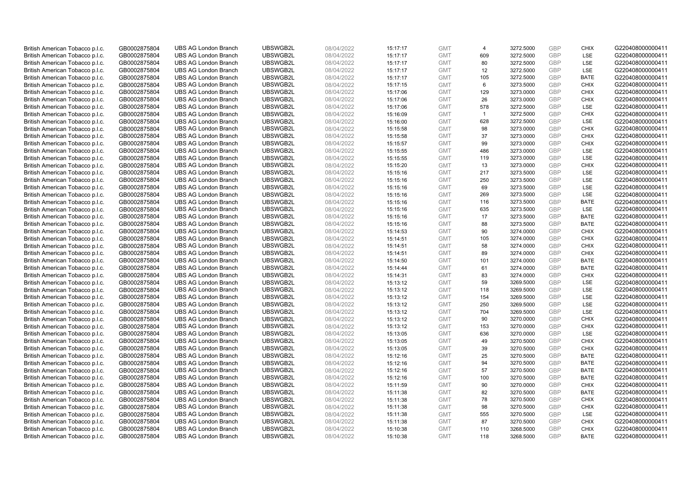| British American Tobacco p.l.c. | GB0002875804 | <b>UBS AG London Branch</b> | UBSWGB2L | 08/04/2022 | 15:17:17 | <b>GMT</b> | $\overline{4}$ | 3272.5000 | <b>GBP</b> | <b>CHIX</b> | G220408000000411 |
|---------------------------------|--------------|-----------------------------|----------|------------|----------|------------|----------------|-----------|------------|-------------|------------------|
| British American Tobacco p.l.c. | GB0002875804 | <b>UBS AG London Branch</b> | UBSWGB2L | 08/04/2022 | 15:17:17 | <b>GMT</b> | 609            | 3272.5000 | GBP        | LSE         | G220408000000411 |
| British American Tobacco p.l.c. | GB0002875804 | <b>UBS AG London Branch</b> | UBSWGB2L | 08/04/2022 | 15:17:17 | <b>GMT</b> | 80             | 3272.5000 | <b>GBP</b> | <b>LSE</b>  | G220408000000411 |
| British American Tobacco p.l.c. | GB0002875804 | <b>UBS AG London Branch</b> | UBSWGB2L | 08/04/2022 | 15:17:17 | <b>GMT</b> | 12             | 3272.5000 | GBP        | LSE         | G220408000000411 |
| British American Tobacco p.l.c. | GB0002875804 | <b>UBS AG London Branch</b> | UBSWGB2L | 08/04/2022 | 15:17:17 | <b>GMT</b> | 105            | 3272.5000 | <b>GBP</b> | <b>BATE</b> | G220408000000411 |
| British American Tobacco p.l.c. | GB0002875804 | <b>UBS AG London Branch</b> | UBSWGB2L | 08/04/2022 | 15:17:15 | <b>GMT</b> | 6              | 3273.5000 | <b>GBP</b> | <b>CHIX</b> | G220408000000411 |
| British American Tobacco p.l.c. | GB0002875804 | <b>UBS AG London Branch</b> | UBSWGB2L | 08/04/2022 | 15:17:06 | <b>GMT</b> | 129            | 3273.0000 | <b>GBP</b> | <b>CHIX</b> | G220408000000411 |
| British American Tobacco p.l.c. | GB0002875804 | <b>UBS AG London Branch</b> | UBSWGB2L | 08/04/2022 | 15:17:06 | <b>GMT</b> | 26             | 3273.0000 | <b>GBP</b> | <b>CHIX</b> | G220408000000411 |
| British American Tobacco p.l.c. | GB0002875804 | <b>UBS AG London Branch</b> | UBSWGB2L | 08/04/2022 | 15:17:06 | <b>GMT</b> | 578            | 3272.5000 | <b>GBP</b> | <b>LSE</b>  | G220408000000411 |
| British American Tobacco p.l.c. | GB0002875804 | <b>UBS AG London Branch</b> | UBSWGB2L | 08/04/2022 | 15:16:09 | <b>GMT</b> | $\overline{1}$ | 3272.5000 | GBP        | <b>CHIX</b> | G220408000000411 |
| British American Tobacco p.l.c. | GB0002875804 | <b>UBS AG London Branch</b> | UBSWGB2L | 08/04/2022 | 15:16:00 | <b>GMT</b> | 628            | 3272.5000 | GBP        | LSE         | G220408000000411 |
| British American Tobacco p.l.c. | GB0002875804 | <b>UBS AG London Branch</b> | UBSWGB2L | 08/04/2022 | 15:15:58 | <b>GMT</b> | 98             | 3273.0000 | <b>GBP</b> | <b>CHIX</b> | G220408000000411 |
| British American Tobacco p.l.c. | GB0002875804 | <b>UBS AG London Branch</b> | UBSWGB2L | 08/04/2022 | 15:15:58 | <b>GMT</b> | 37             | 3273.0000 | GBP        | <b>CHIX</b> | G220408000000411 |
| British American Tobacco p.l.c. | GB0002875804 | <b>UBS AG London Branch</b> | UBSWGB2L | 08/04/2022 | 15:15:57 | <b>GMT</b> | 99             | 3273.0000 | <b>GBP</b> | <b>CHIX</b> | G220408000000411 |
| British American Tobacco p.l.c. | GB0002875804 | <b>UBS AG London Branch</b> | UBSWGB2L | 08/04/2022 | 15:15:55 | <b>GMT</b> | 486            | 3273.0000 | GBP        | LSE         | G220408000000411 |
| British American Tobacco p.l.c. | GB0002875804 | <b>UBS AG London Branch</b> | UBSWGB2L | 08/04/2022 | 15:15:55 | <b>GMT</b> | 119            | 3273.0000 | <b>GBP</b> | LSE         | G220408000000411 |
| British American Tobacco p.l.c. | GB0002875804 | <b>UBS AG London Branch</b> | UBSWGB2L | 08/04/2022 | 15:15:20 | <b>GMT</b> | 13             | 3273.0000 | <b>GBP</b> | <b>CHIX</b> | G220408000000411 |
| British American Tobacco p.l.c. | GB0002875804 | <b>UBS AG London Branch</b> | UBSWGB2L | 08/04/2022 | 15:15:16 | <b>GMT</b> | 217            | 3273.5000 | GBP        | <b>LSE</b>  | G220408000000411 |
| British American Tobacco p.l.c. | GB0002875804 | <b>UBS AG London Branch</b> | UBSWGB2L | 08/04/2022 | 15:15:16 | <b>GMT</b> | 250            | 3273.5000 | <b>GBP</b> | <b>LSE</b>  | G220408000000411 |
| British American Tobacco p.l.c. | GB0002875804 | <b>UBS AG London Branch</b> | UBSWGB2L | 08/04/2022 | 15:15:16 | <b>GMT</b> | 69             | 3273.5000 | <b>GBP</b> | LSE         | G220408000000411 |
| British American Tobacco p.l.c. | GB0002875804 | <b>UBS AG London Branch</b> | UBSWGB2L | 08/04/2022 | 15:15:16 | <b>GMT</b> | 269            | 3273.5000 | <b>GBP</b> | LSE         | G220408000000411 |
| British American Tobacco p.l.c. | GB0002875804 | <b>UBS AG London Branch</b> | UBSWGB2L | 08/04/2022 | 15:15:16 | <b>GMT</b> | 116            | 3273.5000 | GBP        | <b>BATE</b> | G220408000000411 |
| British American Tobacco p.l.c. | GB0002875804 | <b>UBS AG London Branch</b> | UBSWGB2L | 08/04/2022 | 15:15:16 | <b>GMT</b> | 635            | 3273.5000 | GBP        | LSE         | G220408000000411 |
| British American Tobacco p.l.c. | GB0002875804 | <b>UBS AG London Branch</b> | UBSWGB2L | 08/04/2022 | 15:15:16 | <b>GMT</b> | 17             | 3273.5000 | <b>GBP</b> | <b>BATE</b> | G220408000000411 |
| British American Tobacco p.l.c. | GB0002875804 | <b>UBS AG London Branch</b> | UBSWGB2L | 08/04/2022 | 15:15:16 | <b>GMT</b> | 88             | 3273.5000 | <b>GBP</b> | <b>BATE</b> | G220408000000411 |
| British American Tobacco p.l.c. | GB0002875804 | <b>UBS AG London Branch</b> | UBSWGB2L | 08/04/2022 | 15:14:53 | <b>GMT</b> | 90             | 3274.0000 | GBP        | <b>CHIX</b> | G220408000000411 |
| British American Tobacco p.l.c. | GB0002875804 | <b>UBS AG London Branch</b> | UBSWGB2L | 08/04/2022 | 15:14:51 | <b>GMT</b> | 105            | 3274.0000 | <b>GBP</b> | <b>CHIX</b> | G220408000000411 |
| British American Tobacco p.l.c. | GB0002875804 | <b>UBS AG London Branch</b> | UBSWGB2L | 08/04/2022 | 15:14:51 | <b>GMT</b> | 58             | 3274.0000 | GBP        | <b>CHIX</b> | G220408000000411 |
| British American Tobacco p.l.c. | GB0002875804 | <b>UBS AG London Branch</b> | UBSWGB2L | 08/04/2022 | 15:14:51 | <b>GMT</b> | 89             | 3274.0000 | GBP        | <b>CHIX</b> | G220408000000411 |
| British American Tobacco p.l.c. | GB0002875804 | <b>UBS AG London Branch</b> | UBSWGB2L | 08/04/2022 | 15:14:50 | <b>GMT</b> | 101            | 3274.0000 | GBP        | <b>BATE</b> | G220408000000411 |
| British American Tobacco p.l.c. | GB0002875804 | <b>UBS AG London Branch</b> | UBSWGB2L | 08/04/2022 | 15:14:44 | <b>GMT</b> | 61             | 3274.0000 | <b>GBP</b> | <b>BATE</b> | G220408000000411 |
| British American Tobacco p.l.c. | GB0002875804 | <b>UBS AG London Branch</b> | UBSWGB2L | 08/04/2022 | 15:14:31 | <b>GMT</b> | 83             | 3274.0000 | <b>GBP</b> | <b>CHIX</b> | G220408000000411 |
| British American Tobacco p.l.c. | GB0002875804 | <b>UBS AG London Branch</b> | UBSWGB2L | 08/04/2022 | 15:13:12 | <b>GMT</b> | 59             | 3269.5000 | GBP        | LSE         | G220408000000411 |
| British American Tobacco p.l.c. | GB0002875804 | <b>UBS AG London Branch</b> | UBSWGB2L | 08/04/2022 | 15:13:12 | <b>GMT</b> | 118            | 3269.5000 | <b>GBP</b> | LSE         | G220408000000411 |
| British American Tobacco p.l.c. | GB0002875804 | <b>UBS AG London Branch</b> | UBSWGB2L | 08/04/2022 | 15:13:12 | <b>GMT</b> | 154            | 3269.5000 | <b>GBP</b> | LSE         | G220408000000411 |
| British American Tobacco p.l.c. | GB0002875804 | <b>UBS AG London Branch</b> | UBSWGB2L | 08/04/2022 | 15:13:12 | <b>GMT</b> | 250            | 3269.5000 | <b>GBP</b> | <b>LSE</b>  | G220408000000411 |
| British American Tobacco p.l.c. | GB0002875804 | <b>UBS AG London Branch</b> | UBSWGB2L | 08/04/2022 | 15:13:12 | <b>GMT</b> | 704            | 3269.5000 | GBP        | LSE         | G220408000000411 |
| British American Tobacco p.l.c. | GB0002875804 | <b>UBS AG London Branch</b> | UBSWGB2L | 08/04/2022 | 15:13:12 | <b>GMT</b> | 90             | 3270.0000 | <b>GBP</b> | <b>CHIX</b> | G220408000000411 |
| British American Tobacco p.l.c. | GB0002875804 | <b>UBS AG London Branch</b> | UBSWGB2L | 08/04/2022 | 15:13:12 | <b>GMT</b> | 153            | 3270.0000 | GBP        | <b>CHIX</b> | G220408000000411 |
| British American Tobacco p.l.c. | GB0002875804 | <b>UBS AG London Branch</b> | UBSWGB2L | 08/04/2022 | 15:13:05 | <b>GMT</b> | 636            | 3270.0000 | <b>GBP</b> | LSE         | G220408000000411 |
| British American Tobacco p.l.c. | GB0002875804 | <b>UBS AG London Branch</b> | UBSWGB2L | 08/04/2022 | 15:13:05 | <b>GMT</b> | 49             | 3270.5000 | <b>GBP</b> | <b>CHIX</b> | G220408000000411 |
| British American Tobacco p.l.c. | GB0002875804 | <b>UBS AG London Branch</b> | UBSWGB2L | 08/04/2022 | 15:13:05 | <b>GMT</b> | 39             | 3270.5000 | GBP        | <b>CHIX</b> | G220408000000411 |
| British American Tobacco p.l.c. | GB0002875804 | <b>UBS AG London Branch</b> | UBSWGB2L | 08/04/2022 | 15:12:16 | <b>GMT</b> | 25             | 3270.5000 | GBP        | <b>BATE</b> | G220408000000411 |
| British American Tobacco p.l.c. | GB0002875804 | <b>UBS AG London Branch</b> | UBSWGB2L | 08/04/2022 | 15:12:16 | <b>GMT</b> | 94             | 3270.5000 | GBP        | <b>BATE</b> | G220408000000411 |
| British American Tobacco p.l.c. | GB0002875804 | <b>UBS AG London Branch</b> | UBSWGB2L | 08/04/2022 | 15:12:16 | <b>GMT</b> | 57             | 3270.5000 | <b>GBP</b> | <b>BATE</b> | G220408000000411 |
| British American Tobacco p.l.c. | GB0002875804 | <b>UBS AG London Branch</b> | UBSWGB2L | 08/04/2022 | 15:12:16 | <b>GMT</b> | 100            | 3270.5000 | GBP        | <b>BATE</b> | G220408000000411 |
| British American Tobacco p.l.c. | GB0002875804 | <b>UBS AG London Branch</b> | UBSWGB2L | 08/04/2022 | 15:11:59 | <b>GMT</b> | 90             | 3270.0000 | <b>GBP</b> | <b>CHIX</b> | G220408000000411 |
| British American Tobacco p.l.c. | GB0002875804 | <b>UBS AG London Branch</b> | UBSWGB2L | 08/04/2022 | 15:11:38 | <b>GMT</b> | 82             | 3270.5000 | GBP        | <b>BATE</b> | G220408000000411 |
| British American Tobacco p.l.c. | GB0002875804 | <b>UBS AG London Branch</b> | UBSWGB2L | 08/04/2022 | 15:11:38 | <b>GMT</b> | 78             | 3270.5000 | <b>GBP</b> | <b>CHIX</b> | G220408000000411 |
| British American Tobacco p.l.c. | GB0002875804 | <b>UBS AG London Branch</b> | UBSWGB2L | 08/04/2022 | 15:11:38 | <b>GMT</b> | 98             | 3270.5000 | GBP        | <b>CHIX</b> | G220408000000411 |
| British American Tobacco p.l.c. | GB0002875804 | <b>UBS AG London Branch</b> | UBSWGB2L | 08/04/2022 | 15:11:38 | <b>GMT</b> | 555            | 3270.5000 | <b>GBP</b> | LSE         | G220408000000411 |
| British American Tobacco p.l.c. | GB0002875804 | <b>UBS AG London Branch</b> | UBSWGB2L | 08/04/2022 | 15:11:38 | <b>GMT</b> | 87             | 3270.5000 | GBP        | <b>CHIX</b> | G220408000000411 |
| British American Tobacco p.l.c. | GB0002875804 | <b>UBS AG London Branch</b> | UBSWGB2L | 08/04/2022 | 15:10:38 | <b>GMT</b> | 110            | 3268.5000 | <b>GBP</b> | <b>CHIX</b> | G220408000000411 |
| British American Tobacco p.l.c. | GB0002875804 | <b>UBS AG London Branch</b> | UBSWGB2L | 08/04/2022 | 15:10:38 | <b>GMT</b> | 118            | 3268.5000 | GBP        | <b>BATE</b> | G220408000000411 |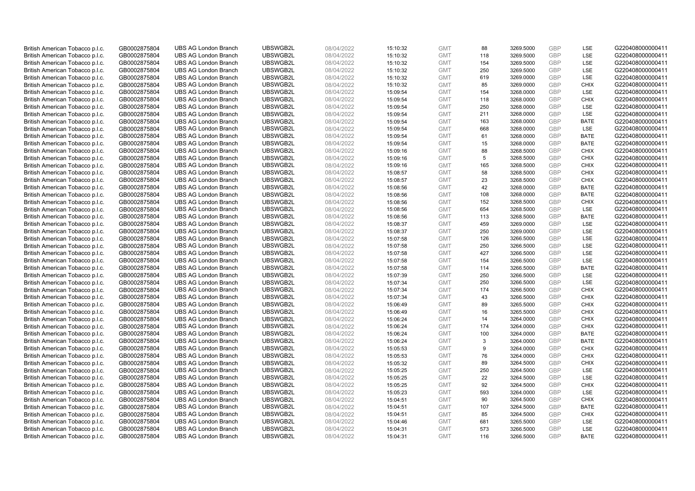| British American Tobacco p.l.c. | GB0002875804                 | <b>UBS AG London Branch</b> | UBSWGB2L             | 08/04/2022               | 15:10:32 | <b>GMT</b>               | 88         | 3269.5000              | <b>GBP</b> | LSE                | G220408000000411 |
|---------------------------------|------------------------------|-----------------------------|----------------------|--------------------------|----------|--------------------------|------------|------------------------|------------|--------------------|------------------|
| British American Tobacco p.l.c. | GB0002875804                 | <b>UBS AG London Branch</b> | UBSWGB2L             | 08/04/2022               | 15:10:32 | <b>GMT</b>               | 118        | 3269.5000              | GBP        | LSE                | G220408000000411 |
| British American Tobacco p.l.c. | GB0002875804                 | <b>UBS AG London Branch</b> | UBSWGB2L             | 08/04/2022               | 15:10:32 | <b>GMT</b>               | 154        | 3269.5000              | <b>GBP</b> | LSE                | G220408000000411 |
| British American Tobacco p.l.c. | GB0002875804                 | <b>UBS AG London Branch</b> | UBSWGB2L             | 08/04/2022               | 15:10:32 | <b>GMT</b>               | 250        | 3269.5000              | GBP        | LSE                | G220408000000411 |
| British American Tobacco p.l.c. | GB0002875804                 | <b>UBS AG London Branch</b> | UBSWGB2L             | 08/04/2022               | 15:10:32 | <b>GMT</b>               | 619        | 3269.0000              | <b>GBP</b> | <b>LSE</b>         | G220408000000411 |
| British American Tobacco p.l.c. | GB0002875804                 | <b>UBS AG London Branch</b> | UBSWGB2L             | 08/04/2022               | 15:10:32 | <b>GMT</b>               | 85         | 3269.0000              | GBP        | <b>CHIX</b>        | G220408000000411 |
| British American Tobacco p.l.c. | GB0002875804                 | <b>UBS AG London Branch</b> | UBSWGB2L             | 08/04/2022               | 15:09:54 | <b>GMT</b>               | 154        | 3268.0000              | <b>GBP</b> | LSE                | G220408000000411 |
| British American Tobacco p.l.c. | GB0002875804                 | <b>UBS AG London Branch</b> | UBSWGB2L             | 08/04/2022               | 15:09:54 | <b>GMT</b>               | 118        | 3268.0000              | GBP        | <b>CHIX</b>        | G220408000000411 |
| British American Tobacco p.l.c. | GB0002875804                 | <b>UBS AG London Branch</b> | UBSWGB2L             | 08/04/2022               | 15:09:54 | <b>GMT</b>               | 250        | 3268.0000              | <b>GBP</b> | <b>LSE</b>         | G220408000000411 |
| British American Tobacco p.l.c. | GB0002875804                 | <b>UBS AG London Branch</b> | UBSWGB2L             | 08/04/2022               | 15:09:54 | <b>GMT</b>               | 211        | 3268.0000              | <b>GBP</b> | <b>LSE</b>         | G220408000000411 |
| British American Tobacco p.l.c. | GB0002875804                 | <b>UBS AG London Branch</b> | UBSWGB2L             | 08/04/2022               | 15:09:54 | <b>GMT</b>               | 163        | 3268.0000              | GBP        | <b>BATE</b>        | G220408000000411 |
| British American Tobacco p.l.c. | GB0002875804                 | <b>UBS AG London Branch</b> | UBSWGB2L             | 08/04/2022               | 15:09:54 | <b>GMT</b>               | 668        | 3268.0000              | <b>GBP</b> | LSE                | G220408000000411 |
| British American Tobacco p.l.c. | GB0002875804                 | <b>UBS AG London Branch</b> | UBSWGB2L             | 08/04/2022               | 15:09:54 | <b>GMT</b>               | 61         | 3268.0000              | GBP        | <b>BATE</b>        | G220408000000411 |
| British American Tobacco p.l.c. | GB0002875804                 | <b>UBS AG London Branch</b> | UBSWGB2L             | 08/04/2022               | 15:09:54 | <b>GMT</b>               | 15         | 3268.0000              | <b>GBP</b> | <b>BATE</b>        | G220408000000411 |
| British American Tobacco p.l.c. | GB0002875804                 | <b>UBS AG London Branch</b> | UBSWGB2L             | 08/04/2022               | 15:09:16 | <b>GMT</b>               | 88         | 3268.5000              | GBP        | <b>CHIX</b>        | G220408000000411 |
| British American Tobacco p.l.c. | GB0002875804                 | <b>UBS AG London Branch</b> | UBSWGB2L             | 08/04/2022               | 15:09:16 | <b>GMT</b>               | 5          | 3268.5000              | <b>GBP</b> | <b>CHIX</b>        | G220408000000411 |
| British American Tobacco p.l.c. | GB0002875804                 | <b>UBS AG London Branch</b> | UBSWGB2L             | 08/04/2022               | 15:09:16 | <b>GMT</b>               | 165        | 3268.5000              | <b>GBP</b> | <b>CHIX</b>        | G220408000000411 |
| British American Tobacco p.l.c. | GB0002875804                 | <b>UBS AG London Branch</b> | UBSWGB2L             | 08/04/2022               | 15:08:57 | <b>GMT</b>               | 58         | 3268.5000              | GBP        | <b>CHIX</b>        | G220408000000411 |
| British American Tobacco p.l.c. | GB0002875804                 | <b>UBS AG London Branch</b> | UBSWGB2L             | 08/04/2022               | 15:08:57 | <b>GMT</b>               | 23         | 3268.5000              | <b>GBP</b> | <b>CHIX</b>        | G220408000000411 |
| British American Tobacco p.l.c. | GB0002875804                 | <b>UBS AG London Branch</b> | UBSWGB2L             | 08/04/2022               | 15:08:56 | <b>GMT</b>               | 42         | 3268.0000              | <b>GBP</b> | <b>BATE</b>        | G220408000000411 |
| British American Tobacco p.l.c. | GB0002875804                 | <b>UBS AG London Branch</b> | UBSWGB2L             | 08/04/2022               | 15:08:56 | <b>GMT</b>               | 108        | 3268.0000              | <b>GBP</b> | <b>BATE</b>        | G220408000000411 |
| British American Tobacco p.l.c. | GB0002875804                 | <b>UBS AG London Branch</b> | UBSWGB2L             | 08/04/2022               | 15:08:56 | <b>GMT</b>               | 152        | 3268.5000              | GBP        | <b>CHIX</b>        | G220408000000411 |
| British American Tobacco p.l.c. | GB0002875804                 | <b>UBS AG London Branch</b> | UBSWGB2L             | 08/04/2022               | 15:08:56 | <b>GMT</b>               | 654        | 3268.5000              | <b>GBP</b> | LSE                | G220408000000411 |
| British American Tobacco p.l.c. | GB0002875804                 | <b>UBS AG London Branch</b> | UBSWGB2L             | 08/04/2022               | 15:08:56 | <b>GMT</b>               | 113        | 3268.5000              | <b>GBP</b> | <b>BATE</b>        | G220408000000411 |
| British American Tobacco p.l.c. | GB0002875804                 | <b>UBS AG London Branch</b> | UBSWGB2L             | 08/04/2022               | 15:08:37 | <b>GMT</b>               | 459        | 3269.0000              | <b>GBP</b> | <b>LSE</b>         | G220408000000411 |
| British American Tobacco p.l.c. | GB0002875804                 | <b>UBS AG London Branch</b> | UBSWGB2L             | 08/04/2022               | 15:08:37 | <b>GMT</b>               | 250        | 3269.0000              | <b>GBP</b> | LSE                | G220408000000411 |
| British American Tobacco p.l.c. | GB0002875804                 | <b>UBS AG London Branch</b> | UBSWGB2L             | 08/04/2022               | 15:07:58 | <b>GMT</b>               | 126        | 3266.5000              | <b>GBP</b> | LSE                | G220408000000411 |
| British American Tobacco p.l.c. | GB0002875804                 | <b>UBS AG London Branch</b> | UBSWGB2L             | 08/04/2022               | 15:07:58 | <b>GMT</b>               | 250        | 3266.5000              | <b>GBP</b> | LSE                | G220408000000411 |
| British American Tobacco p.l.c. | GB0002875804                 | <b>UBS AG London Branch</b> | UBSWGB2L             | 08/04/2022               | 15:07:58 | <b>GMT</b>               | 427        | 3266.5000              | <b>GBP</b> | LSE                | G220408000000411 |
| British American Tobacco p.l.c. | GB0002875804                 | <b>UBS AG London Branch</b> | UBSWGB2L             | 08/04/2022               | 15:07:58 | <b>GMT</b>               | 154        | 3266.5000              | GBP        | LSE                | G220408000000411 |
| British American Tobacco p.l.c. | GB0002875804                 | <b>UBS AG London Branch</b> | UBSWGB2L             | 08/04/2022               | 15:07:58 | <b>GMT</b>               | 114        | 3266.5000              | <b>GBP</b> | <b>BATE</b>        | G220408000000411 |
| British American Tobacco p.l.c. | GB0002875804                 | <b>UBS AG London Branch</b> | UBSWGB2L             | 08/04/2022               | 15:07:39 | <b>GMT</b>               | 250        | 3266.5000              | <b>GBP</b> | <b>LSE</b>         | G220408000000411 |
| British American Tobacco p.l.c. | GB0002875804                 | <b>UBS AG London Branch</b> | UBSWGB2L             | 08/04/2022               | 15:07:34 | <b>GMT</b>               | 250        | 3266.5000              | <b>GBP</b> | LSE                | G220408000000411 |
| British American Tobacco p.l.c. | GB0002875804                 | <b>UBS AG London Branch</b> | UBSWGB2L             | 08/04/2022               | 15:07:34 | <b>GMT</b>               | 174        | 3266.5000              | <b>GBP</b> | <b>CHIX</b>        | G220408000000411 |
| British American Tobacco p.l.c. | GB0002875804                 | <b>UBS AG London Branch</b> | UBSWGB2L             | 08/04/2022               | 15:07:34 | <b>GMT</b>               | 43         | 3266.5000              | <b>GBP</b> | <b>CHIX</b>        | G220408000000411 |
| British American Tobacco p.l.c. | GB0002875804                 | <b>UBS AG London Branch</b> | UBSWGB2L             | 08/04/2022               | 15:06:49 | <b>GMT</b>               | 89         | 3265.5000              | <b>GBP</b> | <b>CHIX</b>        | G220408000000411 |
| British American Tobacco p.l.c. | GB0002875804                 | <b>UBS AG London Branch</b> | UBSWGB2L             | 08/04/2022               | 15:06:49 | <b>GMT</b>               | 16         | 3265.5000              | GBP        | <b>CHIX</b>        | G220408000000411 |
| British American Tobacco p.l.c. | GB0002875804                 | <b>UBS AG London Branch</b> | UBSWGB2L             | 08/04/2022               | 15:06:24 | <b>GMT</b>               | 14         | 3264.0000              | <b>GBP</b> | <b>CHIX</b>        | G220408000000411 |
| British American Tobacco p.l.c. | GB0002875804                 | <b>UBS AG London Branch</b> | UBSWGB2L             | 08/04/2022               | 15:06:24 | <b>GMT</b>               | 174        | 3264.0000              | <b>GBP</b> | <b>CHIX</b>        | G220408000000411 |
| British American Tobacco p.l.c. | GB0002875804                 | <b>UBS AG London Branch</b> | UBSWGB2L             | 08/04/2022               | 15:06:24 | <b>GMT</b>               | 100        | 3264.0000              | <b>GBP</b> | <b>BATE</b>        | G220408000000411 |
| British American Tobacco p.l.c. | GB0002875804                 | <b>UBS AG London Branch</b> | UBSWGB2L             | 08/04/2022               | 15:06:24 | <b>GMT</b>               | 3          | 3264.0000              | <b>GBP</b> | <b>BATE</b>        | G220408000000411 |
| British American Tobacco p.l.c. | GB0002875804                 | <b>UBS AG London Branch</b> | UBSWGB2L             | 08/04/2022               | 15:05:53 | <b>GMT</b>               | 9          | 3264.0000              | <b>GBP</b> | <b>CHIX</b>        | G220408000000411 |
| British American Tobacco p.l.c. | GB0002875804                 | <b>UBS AG London Branch</b> | UBSWGB2L             | 08/04/2022               | 15:05:53 | <b>GMT</b>               | 76         | 3264.0000              | <b>GBP</b> | <b>CHIX</b>        | G220408000000411 |
| British American Tobacco p.l.c. | GB0002875804                 | <b>UBS AG London Branch</b> | UBSWGB2L             | 08/04/2022               | 15:05:32 | <b>GMT</b>               | 89         | 3264.5000              | <b>GBP</b> | <b>CHIX</b>        | G220408000000411 |
| British American Tobacco p.l.c. | GB0002875804                 | <b>UBS AG London Branch</b> | UBSWGB2L             | 08/04/2022               | 15:05:25 | <b>GMT</b>               | 250        | 3264.5000              | <b>GBP</b> | <b>LSE</b>         | G220408000000411 |
| British American Tobacco p.l.c. | GB0002875804                 | <b>UBS AG London Branch</b> | UBSWGB2L             | 08/04/2022               | 15:05:25 | <b>GMT</b>               | 22         | 3264.5000              | <b>GBP</b> | LSE                | G220408000000411 |
| British American Tobacco p.l.c. | GB0002875804                 | <b>UBS AG London Branch</b> | UBSWGB2L             | 08/04/2022               | 15:05:25 | <b>GMT</b>               | 92         | 3264.5000              | <b>GBP</b> | <b>CHIX</b>        | G220408000000411 |
| British American Tobacco p.l.c. | GB0002875804                 | <b>UBS AG London Branch</b> | UBSWGB2L             | 08/04/2022               | 15:05:23 | <b>GMT</b>               | 593        | 3264.0000              | <b>GBP</b> | LSE                | G220408000000411 |
| British American Tobacco p.l.c. | GB0002875804                 | <b>UBS AG London Branch</b> | UBSWGB2L             | 08/04/2022               | 15:04:51 | <b>GMT</b>               | 90         | 3264.5000              | <b>GBP</b> | <b>CHIX</b>        | G220408000000411 |
| British American Tobacco p.l.c. | GB0002875804                 | <b>UBS AG London Branch</b> | UBSWGB2L             | 08/04/2022               | 15:04:51 | <b>GMT</b>               | 107        | 3264.5000              | <b>GBP</b> | <b>BATE</b>        | G220408000000411 |
| British American Tobacco p.l.c. | GB0002875804                 | <b>UBS AG London Branch</b> | UBSWGB2L             | 08/04/2022               | 15:04:51 | <b>GMT</b>               | 85         | 3264.5000              | GBP        | <b>CHIX</b>        | G220408000000411 |
| British American Tobacco p.l.c. | GB0002875804                 | <b>UBS AG London Branch</b> | UBSWGB2L             | 08/04/2022               | 15:04:46 | <b>GMT</b>               | 681        | 3265.5000              | <b>GBP</b> | LSE                | G220408000000411 |
| British American Tobacco p.l.c. | GB0002875804<br>GB0002875804 | <b>UBS AG London Branch</b> | UBSWGB2L<br>UBSWGB2L | 08/04/2022<br>08/04/2022 | 15:04:31 | <b>GMT</b><br><b>GMT</b> | 573<br>116 | 3266.5000<br>3266.5000 | GBP<br>GBP | LSE<br><b>BATE</b> | G220408000000411 |
| British American Tobacco p.l.c. |                              | <b>UBS AG London Branch</b> |                      |                          | 15:04:31 |                          |            |                        |            |                    | G220408000000411 |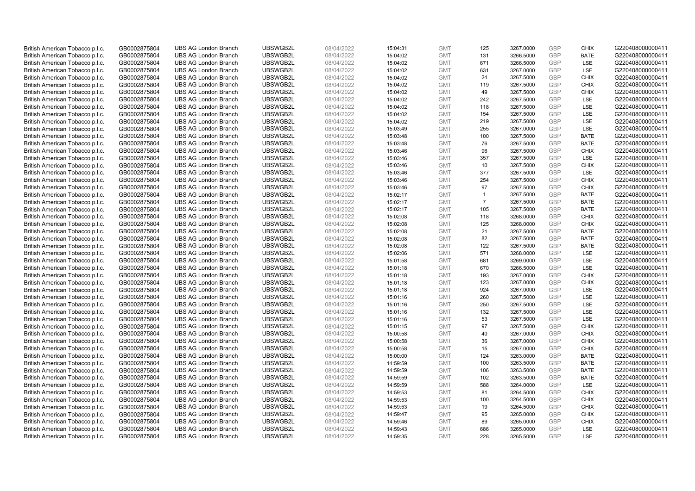| British American Tobacco p.l.c. | GB0002875804 | <b>UBS AG London Branch</b> | UBSWGB2L | 08/04/2022 | 15:04:31 | <b>GMT</b> | 125            | 3267.0000 | <b>GBP</b> | <b>CHIX</b> | G220408000000411 |
|---------------------------------|--------------|-----------------------------|----------|------------|----------|------------|----------------|-----------|------------|-------------|------------------|
| British American Tobacco p.l.c. | GB0002875804 | <b>UBS AG London Branch</b> | UBSWGB2L | 08/04/2022 | 15:04:02 | <b>GMT</b> | 131            | 3266.5000 | <b>GBP</b> | <b>BATE</b> | G220408000000411 |
| British American Tobacco p.l.c. | GB0002875804 | <b>UBS AG London Branch</b> | UBSWGB2L | 08/04/2022 | 15:04:02 | <b>GMT</b> | 671            | 3266.5000 | <b>GBP</b> | LSE         | G220408000000411 |
| British American Tobacco p.l.c. | GB0002875804 | <b>UBS AG London Branch</b> | UBSWGB2L | 08/04/2022 | 15:04:02 | <b>GMT</b> | 631            | 3267.0000 | GBP        | LSE         | G220408000000411 |
| British American Tobacco p.l.c. | GB0002875804 | <b>UBS AG London Branch</b> | UBSWGB2L | 08/04/2022 | 15:04:02 | <b>GMT</b> | 24             | 3267.5000 | <b>GBP</b> | <b>CHIX</b> | G220408000000411 |
| British American Tobacco p.l.c. | GB0002875804 | <b>UBS AG London Branch</b> | UBSWGB2L | 08/04/2022 | 15:04:02 | <b>GMT</b> | 119            | 3267.5000 | <b>GBP</b> | <b>CHIX</b> | G220408000000411 |
| British American Tobacco p.l.c. | GB0002875804 | <b>UBS AG London Branch</b> | UBSWGB2L | 08/04/2022 | 15:04:02 | <b>GMT</b> | 49             | 3267.5000 | <b>GBP</b> | <b>CHIX</b> | G220408000000411 |
| British American Tobacco p.l.c. | GB0002875804 | <b>UBS AG London Branch</b> | UBSWGB2L | 08/04/2022 | 15:04:02 | <b>GMT</b> | 242            | 3267.5000 | <b>GBP</b> | LSE         | G220408000000411 |
| British American Tobacco p.l.c. | GB0002875804 | <b>UBS AG London Branch</b> | UBSWGB2L | 08/04/2022 | 15:04:02 | <b>GMT</b> | 118            | 3267.5000 | <b>GBP</b> | <b>LSE</b>  | G220408000000411 |
| British American Tobacco p.l.c. | GB0002875804 | <b>UBS AG London Branch</b> | UBSWGB2L | 08/04/2022 | 15:04:02 | <b>GMT</b> | 154            | 3267.5000 | <b>GBP</b> | <b>LSE</b>  | G220408000000411 |
| British American Tobacco p.l.c. | GB0002875804 | <b>UBS AG London Branch</b> | UBSWGB2L | 08/04/2022 | 15:04:02 | <b>GMT</b> | 219            | 3267.5000 | GBP        | LSE         | G220408000000411 |
| British American Tobacco p.l.c. | GB0002875804 | <b>UBS AG London Branch</b> | UBSWGB2L | 08/04/2022 | 15:03:49 | <b>GMT</b> | 255            | 3267.0000 | <b>GBP</b> | LSE         | G220408000000411 |
| British American Tobacco p.l.c. | GB0002875804 | <b>UBS AG London Branch</b> | UBSWGB2L | 08/04/2022 | 15:03:48 | <b>GMT</b> | 100            | 3267.5000 | <b>GBP</b> | <b>BATE</b> | G220408000000411 |
| British American Tobacco p.l.c. | GB0002875804 | <b>UBS AG London Branch</b> | UBSWGB2L | 08/04/2022 | 15:03:48 | <b>GMT</b> | 76             | 3267.5000 | <b>GBP</b> | <b>BATE</b> | G220408000000411 |
| British American Tobacco p.l.c. | GB0002875804 | <b>UBS AG London Branch</b> | UBSWGB2L | 08/04/2022 | 15:03:46 | <b>GMT</b> | 96             | 3267.5000 | GBP        | <b>CHIX</b> | G220408000000411 |
| British American Tobacco p.l.c. | GB0002875804 | <b>UBS AG London Branch</b> | UBSWGB2L | 08/04/2022 | 15:03:46 | <b>GMT</b> | 357            | 3267.5000 | <b>GBP</b> | LSE         | G220408000000411 |
| British American Tobacco p.l.c. | GB0002875804 | <b>UBS AG London Branch</b> | UBSWGB2L | 08/04/2022 | 15:03:46 | <b>GMT</b> | 10             | 3267.5000 | <b>GBP</b> | <b>CHIX</b> | G220408000000411 |
| British American Tobacco p.l.c. | GB0002875804 | <b>UBS AG London Branch</b> | UBSWGB2L | 08/04/2022 | 15:03:46 | <b>GMT</b> | 377            | 3267.5000 | GBP        | LSE         | G220408000000411 |
| British American Tobacco p.l.c. | GB0002875804 | <b>UBS AG London Branch</b> | UBSWGB2L | 08/04/2022 | 15:03:46 | <b>GMT</b> | 254            | 3267.5000 | GBP        | <b>CHIX</b> | G220408000000411 |
| British American Tobacco p.l.c. | GB0002875804 | <b>UBS AG London Branch</b> | UBSWGB2L | 08/04/2022 | 15:03:46 | <b>GMT</b> | 97             | 3267.5000 | <b>GBP</b> | <b>CHIX</b> | G220408000000411 |
| British American Tobacco p.l.c. | GB0002875804 | <b>UBS AG London Branch</b> | UBSWGB2L | 08/04/2022 | 15:02:17 | <b>GMT</b> | $\mathbf{1}$   | 3267.5000 | GBP        | <b>BATE</b> | G220408000000411 |
| British American Tobacco p.l.c. | GB0002875804 | <b>UBS AG London Branch</b> | UBSWGB2L | 08/04/2022 | 15:02:17 | <b>GMT</b> | $\overline{7}$ | 3267.5000 | GBP        | <b>BATE</b> | G220408000000411 |
| British American Tobacco p.l.c. | GB0002875804 | <b>UBS AG London Branch</b> | UBSWGB2L | 08/04/2022 | 15:02:17 | <b>GMT</b> | 105            | 3267.5000 | <b>GBP</b> | <b>BATE</b> | G220408000000411 |
| British American Tobacco p.l.c. | GB0002875804 | <b>UBS AG London Branch</b> | UBSWGB2L | 08/04/2022 | 15:02:08 | <b>GMT</b> | 118            | 3268.0000 | <b>GBP</b> | <b>CHIX</b> | G220408000000411 |
| British American Tobacco p.l.c. | GB0002875804 | <b>UBS AG London Branch</b> | UBSWGB2L | 08/04/2022 | 15:02:08 | <b>GMT</b> | 125            | 3268.0000 | GBP        | <b>CHIX</b> | G220408000000411 |
| British American Tobacco p.l.c. | GB0002875804 | <b>UBS AG London Branch</b> | UBSWGB2L | 08/04/2022 | 15:02:08 | <b>GMT</b> | 21             | 3267.5000 | GBP        | <b>BATE</b> | G220408000000411 |
| British American Tobacco p.l.c. | GB0002875804 | <b>UBS AG London Branch</b> | UBSWGB2L | 08/04/2022 | 15:02:08 | <b>GMT</b> | 82             | 3267.5000 | <b>GBP</b> | <b>BATE</b> | G220408000000411 |
| British American Tobacco p.l.c. | GB0002875804 | <b>UBS AG London Branch</b> | UBSWGB2L | 08/04/2022 | 15:02:08 | <b>GMT</b> | 122            | 3267.5000 | <b>GBP</b> | <b>BATE</b> | G220408000000411 |
| British American Tobacco p.l.c. | GB0002875804 | <b>UBS AG London Branch</b> | UBSWGB2L | 08/04/2022 | 15:02:06 | <b>GMT</b> | 571            | 3268.0000 | GBP        | LSE         | G220408000000411 |
| British American Tobacco p.l.c. | GB0002875804 | <b>UBS AG London Branch</b> | UBSWGB2L | 08/04/2022 | 15:01:58 | <b>GMT</b> | 681            | 3269.0000 | <b>GBP</b> | LSE         | G220408000000411 |
| British American Tobacco p.l.c. | GB0002875804 | <b>UBS AG London Branch</b> | UBSWGB2L | 08/04/2022 | 15:01:18 | <b>GMT</b> | 670            | 3266.5000 | <b>GBP</b> | LSE         | G220408000000411 |
| British American Tobacco p.l.c. | GB0002875804 | <b>UBS AG London Branch</b> | UBSWGB2L | 08/04/2022 | 15:01:18 | <b>GMT</b> | 193            | 3267.0000 | <b>GBP</b> | <b>CHIX</b> | G220408000000411 |
| British American Tobacco p.l.c. | GB0002875804 | <b>UBS AG London Branch</b> | UBSWGB2L | 08/04/2022 | 15:01:18 | <b>GMT</b> | 123            | 3267.0000 | GBP        | <b>CHIX</b> | G220408000000411 |
| British American Tobacco p.l.c. | GB0002875804 | <b>UBS AG London Branch</b> | UBSWGB2L | 08/04/2022 | 15:01:18 | <b>GMT</b> | 924            | 3267.0000 | <b>GBP</b> | <b>LSE</b>  | G220408000000411 |
| British American Tobacco p.l.c. | GB0002875804 | <b>UBS AG London Branch</b> | UBSWGB2L | 08/04/2022 | 15:01:16 | <b>GMT</b> | 260            | 3267.5000 | <b>GBP</b> | LSE         | G220408000000411 |
| British American Tobacco p.l.c. | GB0002875804 | <b>UBS AG London Branch</b> | UBSWGB2L | 08/04/2022 | 15:01:16 | <b>GMT</b> | 250            | 3267.5000 | <b>GBP</b> | <b>LSE</b>  | G220408000000411 |
| British American Tobacco p.l.c. | GB0002875804 | <b>UBS AG London Branch</b> | UBSWGB2L | 08/04/2022 | 15:01:16 | <b>GMT</b> | 132            | 3267.5000 | GBP        | LSE         | G220408000000411 |
| British American Tobacco p.l.c. | GB0002875804 | <b>UBS AG London Branch</b> | UBSWGB2L | 08/04/2022 | 15:01:16 | <b>GMT</b> | 53             | 3267.5000 | <b>GBP</b> | LSE         | G220408000000411 |
| British American Tobacco p.l.c. | GB0002875804 | <b>UBS AG London Branch</b> | UBSWGB2L | 08/04/2022 | 15:01:15 | <b>GMT</b> | 97             | 3267.5000 | GBP        | <b>CHIX</b> | G220408000000411 |
| British American Tobacco p.l.c. | GB0002875804 | <b>UBS AG London Branch</b> | UBSWGB2L | 08/04/2022 | 15:00:58 | <b>GMT</b> | 40             | 3267.0000 | <b>GBP</b> | <b>CHIX</b> | G220408000000411 |
| British American Tobacco p.l.c. | GB0002875804 | <b>UBS AG London Branch</b> | UBSWGB2L | 08/04/2022 | 15:00:58 | <b>GMT</b> | 36             | 3267.0000 | <b>GBP</b> | <b>CHIX</b> | G220408000000411 |
| British American Tobacco p.l.c. | GB0002875804 | <b>UBS AG London Branch</b> | UBSWGB2L | 08/04/2022 | 15:00:58 | <b>GMT</b> | 15             | 3267.0000 | GBP        | <b>CHIX</b> | G220408000000411 |
| British American Tobacco p.l.c. | GB0002875804 | <b>UBS AG London Branch</b> | UBSWGB2L | 08/04/2022 | 15:00:00 | <b>GMT</b> | 124            | 3263.0000 | GBP        | <b>BATE</b> | G220408000000411 |
| British American Tobacco p.l.c. | GB0002875804 | <b>UBS AG London Branch</b> | UBSWGB2L | 08/04/2022 | 14:59:59 | <b>GMT</b> | 100            | 3263.5000 | GBP        | <b>BATE</b> | G220408000000411 |
| British American Tobacco p.l.c. | GB0002875804 | <b>UBS AG London Branch</b> | UBSWGB2L | 08/04/2022 | 14:59:59 | <b>GMT</b> | 106            | 3263.5000 | <b>GBP</b> | <b>BATE</b> | G220408000000411 |
| British American Tobacco p.l.c. | GB0002875804 | <b>UBS AG London Branch</b> | UBSWGB2L | 08/04/2022 | 14:59:59 | <b>GMT</b> | 102            | 3263.5000 | GBP        | <b>BATE</b> | G220408000000411 |
| British American Tobacco p.l.c. | GB0002875804 | <b>UBS AG London Branch</b> | UBSWGB2L | 08/04/2022 | 14:59:59 | <b>GMT</b> | 588            | 3264.0000 | <b>GBP</b> | LSE         | G220408000000411 |
| British American Tobacco p.l.c. | GB0002875804 | <b>UBS AG London Branch</b> | UBSWGB2L | 08/04/2022 | 14:59:53 | <b>GMT</b> | 81             | 3264.5000 | GBP        | <b>CHIX</b> | G220408000000411 |
| British American Tobacco p.l.c. | GB0002875804 | <b>UBS AG London Branch</b> | UBSWGB2L | 08/04/2022 | 14:59:53 | <b>GMT</b> | 100            | 3264.5000 | <b>GBP</b> | <b>CHIX</b> | G220408000000411 |
| British American Tobacco p.l.c. | GB0002875804 | <b>UBS AG London Branch</b> | UBSWGB2L | 08/04/2022 | 14:59:53 | <b>GMT</b> | 19             | 3264.5000 | GBP        | <b>CHIX</b> | G220408000000411 |
| British American Tobacco p.l.c. | GB0002875804 | <b>UBS AG London Branch</b> | UBSWGB2L | 08/04/2022 | 14:59:47 | <b>GMT</b> | 95             | 3265.0000 | <b>GBP</b> | <b>CHIX</b> | G220408000000411 |
| British American Tobacco p.l.c. | GB0002875804 | <b>UBS AG London Branch</b> | UBSWGB2L | 08/04/2022 | 14:59:46 | <b>GMT</b> | 89             | 3265.0000 | GBP        | <b>CHIX</b> | G220408000000411 |
| British American Tobacco p.l.c. | GB0002875804 | <b>UBS AG London Branch</b> | UBSWGB2L | 08/04/2022 | 14:59:43 | <b>GMT</b> | 686            | 3265.0000 | GBP        | LSE         | G220408000000411 |
| British American Tobacco p.l.c. | GB0002875804 | <b>UBS AG London Branch</b> | UBSWGB2L | 08/04/2022 | 14:59:35 | <b>GMT</b> | 228            | 3265.5000 | GBP        | <b>LSE</b>  | G220408000000411 |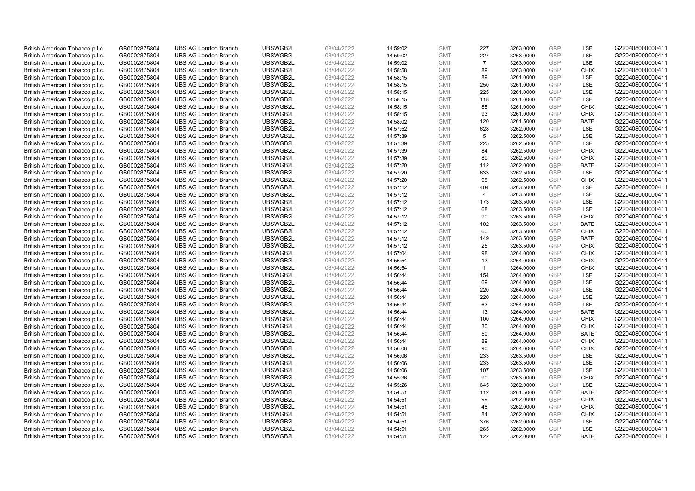| British American Tobacco p.l.c. | GB0002875804 | <b>UBS AG London Branch</b> | UBSWGB2L | 08/04/2022 | 14:59:02 | <b>GMT</b> | 227            | 3263.0000 | <b>GBP</b> | LSE         | G220408000000411 |
|---------------------------------|--------------|-----------------------------|----------|------------|----------|------------|----------------|-----------|------------|-------------|------------------|
| British American Tobacco p.l.c. | GB0002875804 | <b>UBS AG London Branch</b> | UBSWGB2L | 08/04/2022 | 14:59:02 | <b>GMT</b> | 227            | 3263.0000 | <b>GBP</b> | LSE         | G220408000000411 |
| British American Tobacco p.l.c. | GB0002875804 | <b>UBS AG London Branch</b> | UBSWGB2L | 08/04/2022 | 14:59:02 | <b>GMT</b> | $\overline{7}$ | 3263.0000 | GBP        | LSE         | G220408000000411 |
| British American Tobacco p.l.c. | GB0002875804 | <b>UBS AG London Branch</b> | UBSWGB2L | 08/04/2022 | 14:58:58 | <b>GMT</b> | 89             | 3263.0000 | GBP        | <b>CHIX</b> | G220408000000411 |
| British American Tobacco p.l.c. | GB0002875804 | <b>UBS AG London Branch</b> | UBSWGB2L | 08/04/2022 | 14:58:15 | <b>GMT</b> | 89             | 3261.0000 | <b>GBP</b> | LSE         | G220408000000411 |
| British American Tobacco p.l.c. | GB0002875804 | <b>UBS AG London Branch</b> | UBSWGB2L | 08/04/2022 | 14:58:15 | <b>GMT</b> | 250            | 3261.0000 | <b>GBP</b> | LSE         | G220408000000411 |
| British American Tobacco p.l.c. | GB0002875804 | <b>UBS AG London Branch</b> | UBSWGB2L | 08/04/2022 | 14:58:15 | <b>GMT</b> | 225            | 3261.0000 | GBP        | LSE         | G220408000000411 |
| British American Tobacco p.l.c. | GB0002875804 | <b>UBS AG London Branch</b> | UBSWGB2L | 08/04/2022 | 14:58:15 | <b>GMT</b> | 118            | 3261.0000 | <b>GBP</b> | LSE         | G220408000000411 |
| British American Tobacco p.l.c. | GB0002875804 | <b>UBS AG London Branch</b> | UBSWGB2L | 08/04/2022 | 14:58:15 | <b>GMT</b> | 85             | 3261.0000 | GBP        | <b>CHIX</b> | G220408000000411 |
| British American Tobacco p.l.c. | GB0002875804 | <b>UBS AG London Branch</b> | UBSWGB2L | 08/04/2022 | 14:58:15 | <b>GMT</b> | 93             | 3261.0000 | <b>GBP</b> | <b>CHIX</b> | G220408000000411 |
| British American Tobacco p.l.c. | GB0002875804 | <b>UBS AG London Branch</b> | UBSWGB2L | 08/04/2022 | 14:58:02 | <b>GMT</b> | 120            | 3261.5000 | GBP        | <b>BATE</b> | G220408000000411 |
| British American Tobacco p.l.c. | GB0002875804 | <b>UBS AG London Branch</b> | UBSWGB2L | 08/04/2022 | 14:57:52 | <b>GMT</b> | 628            | 3262.0000 | <b>GBP</b> | LSE         | G220408000000411 |
| British American Tobacco p.l.c. | GB0002875804 | <b>UBS AG London Branch</b> | UBSWGB2L | 08/04/2022 | 14:57:39 | <b>GMT</b> | 5              | 3262.5000 | <b>GBP</b> | LSE         | G220408000000411 |
| British American Tobacco p.l.c. | GB0002875804 | <b>UBS AG London Branch</b> | UBSWGB2L | 08/04/2022 | 14:57:39 | <b>GMT</b> | 225            | 3262.5000 | <b>GBP</b> | LSE         | G220408000000411 |
| British American Tobacco p.l.c. | GB0002875804 | <b>UBS AG London Branch</b> | UBSWGB2L | 08/04/2022 | 14:57:39 | <b>GMT</b> | 84             | 3262.5000 | <b>GBP</b> | <b>CHIX</b> | G220408000000411 |
| British American Tobacco p.l.c. | GB0002875804 | <b>UBS AG London Branch</b> | UBSWGB2L | 08/04/2022 | 14:57:39 | <b>GMT</b> | 89             | 3262.5000 | GBP        | <b>CHIX</b> | G220408000000411 |
| British American Tobacco p.l.c. | GB0002875804 | <b>UBS AG London Branch</b> | UBSWGB2L | 08/04/2022 | 14:57:20 | <b>GMT</b> | 112            | 3262.0000 | GBP        | <b>BATE</b> | G220408000000411 |
| British American Tobacco p.l.c. | GB0002875804 | <b>UBS AG London Branch</b> | UBSWGB2L | 08/04/2022 | 14:57:20 | <b>GMT</b> | 633            | 3262.5000 | GBP        | LSE         | G220408000000411 |
| British American Tobacco p.l.c. | GB0002875804 | <b>UBS AG London Branch</b> | UBSWGB2L | 08/04/2022 | 14:57:20 | <b>GMT</b> | 98             | 3262.5000 | <b>GBP</b> | <b>CHIX</b> | G220408000000411 |
| British American Tobacco p.l.c. | GB0002875804 | <b>UBS AG London Branch</b> | UBSWGB2L | 08/04/2022 | 14:57:12 | <b>GMT</b> | 404            | 3263.5000 | GBP        | LSE         | G220408000000411 |
| British American Tobacco p.l.c. | GB0002875804 | <b>UBS AG London Branch</b> | UBSWGB2L | 08/04/2022 | 14:57:12 | <b>GMT</b> | 4              | 3263.5000 | <b>GBP</b> | LSE         | G220408000000411 |
| British American Tobacco p.l.c. | GB0002875804 | <b>UBS AG London Branch</b> | UBSWGB2L | 08/04/2022 | 14:57:12 | <b>GMT</b> | 173            | 3263.5000 | <b>GBP</b> | LSE         | G220408000000411 |
| British American Tobacco p.l.c. | GB0002875804 | <b>UBS AG London Branch</b> | UBSWGB2L | 08/04/2022 | 14:57:12 | <b>GMT</b> | 68             | 3263.5000 | <b>GBP</b> | LSE         | G220408000000411 |
| British American Tobacco p.l.c. | GB0002875804 | <b>UBS AG London Branch</b> | UBSWGB2L | 08/04/2022 | 14:57:12 | <b>GMT</b> | 90             | 3263.5000 | GBP        | <b>CHIX</b> | G220408000000411 |
| British American Tobacco p.l.c. | GB0002875804 | <b>UBS AG London Branch</b> | UBSWGB2L | 08/04/2022 | 14:57:12 | <b>GMT</b> | 102            | 3263.5000 | <b>GBP</b> | <b>BATE</b> | G220408000000411 |
| British American Tobacco p.l.c. | GB0002875804 | <b>UBS AG London Branch</b> | UBSWGB2L | 08/04/2022 | 14:57:12 | <b>GMT</b> | 60             | 3263.5000 | GBP        | <b>CHIX</b> | G220408000000411 |
| British American Tobacco p.l.c. | GB0002875804 | <b>UBS AG London Branch</b> | UBSWGB2L | 08/04/2022 | 14:57:12 | <b>GMT</b> | 149            | 3263.5000 | <b>GBP</b> | <b>BATE</b> | G220408000000411 |
| British American Tobacco p.l.c. | GB0002875804 | <b>UBS AG London Branch</b> | UBSWGB2L | 08/04/2022 | 14:57:12 | <b>GMT</b> | 25             | 3263.5000 | <b>GBP</b> | <b>CHIX</b> | G220408000000411 |
| British American Tobacco p.l.c. | GB0002875804 | <b>UBS AG London Branch</b> | UBSWGB2L | 08/04/2022 | 14:57:04 | <b>GMT</b> | 98             | 3264.0000 | GBP        | <b>CHIX</b> | G220408000000411 |
| British American Tobacco p.l.c. | GB0002875804 | <b>UBS AG London Branch</b> | UBSWGB2L | 08/04/2022 | 14:56:54 | <b>GMT</b> | 13             | 3264.0000 | GBP        | <b>CHIX</b> | G220408000000411 |
| British American Tobacco p.l.c. | GB0002875804 | <b>UBS AG London Branch</b> | UBSWGB2L | 08/04/2022 | 14:56:54 | <b>GMT</b> | $\mathbf{1}$   | 3264.0000 | GBP        | <b>CHIX</b> | G220408000000411 |
| British American Tobacco p.l.c. | GB0002875804 | <b>UBS AG London Branch</b> | UBSWGB2L | 08/04/2022 | 14:56:44 | <b>GMT</b> | 154            | 3264.0000 | GBP        | <b>LSE</b>  | G220408000000411 |
| British American Tobacco p.l.c. | GB0002875804 | <b>UBS AG London Branch</b> | UBSWGB2L | 08/04/2022 | 14:56:44 | <b>GMT</b> | 69             | 3264.0000 | GBP        | LSE         | G220408000000411 |
| British American Tobacco p.l.c. | GB0002875804 | <b>UBS AG London Branch</b> | UBSWGB2L | 08/04/2022 | 14:56:44 | <b>GMT</b> | 220            | 3264.0000 | GBP        | LSE         | G220408000000411 |
| British American Tobacco p.l.c. | GB0002875804 | <b>UBS AG London Branch</b> | UBSWGB2L | 08/04/2022 | 14:56:44 | <b>GMT</b> | 220            | 3264.0000 | <b>GBP</b> | LSE         | G220408000000411 |
| British American Tobacco p.l.c. | GB0002875804 | <b>UBS AG London Branch</b> | UBSWGB2L | 08/04/2022 | 14:56:44 | <b>GMT</b> | 63             | 3264.0000 | <b>GBP</b> | LSE         | G220408000000411 |
| British American Tobacco p.l.c. | GB0002875804 | <b>UBS AG London Branch</b> | UBSWGB2L | 08/04/2022 | 14:56:44 | <b>GMT</b> | 13             | 3264.0000 | GBP        | <b>BATE</b> | G220408000000411 |
| British American Tobacco p.l.c. | GB0002875804 | <b>UBS AG London Branch</b> | UBSWGB2L | 08/04/2022 | 14:56:44 | <b>GMT</b> | 100            | 3264.0000 | <b>GBP</b> | <b>CHIX</b> | G220408000000411 |
| British American Tobacco p.l.c. | GB0002875804 | <b>UBS AG London Branch</b> | UBSWGB2L | 08/04/2022 | 14:56:44 | <b>GMT</b> | 30             | 3264.0000 | GBP        | <b>CHIX</b> | G220408000000411 |
| British American Tobacco p.l.c. | GB0002875804 | <b>UBS AG London Branch</b> | UBSWGB2L | 08/04/2022 | 14:56:44 | <b>GMT</b> | 50             | 3264.0000 | <b>GBP</b> | <b>BATE</b> | G220408000000411 |
| British American Tobacco p.l.c. | GB0002875804 | <b>UBS AG London Branch</b> | UBSWGB2L | 08/04/2022 | 14:56:44 | <b>GMT</b> | 89             | 3264.0000 | <b>GBP</b> | <b>CHIX</b> | G220408000000411 |
| British American Tobacco p.l.c. | GB0002875804 | <b>UBS AG London Branch</b> | UBSWGB2L | 08/04/2022 | 14:56:08 | <b>GMT</b> | 90             | 3264.0000 | GBP        | <b>CHIX</b> | G220408000000411 |
| British American Tobacco p.l.c. | GB0002875804 | <b>UBS AG London Branch</b> | UBSWGB2L | 08/04/2022 | 14:56:06 | <b>GMT</b> | 233            | 3263.5000 | GBP        | LSE         | G220408000000411 |
| British American Tobacco p.l.c. | GB0002875804 | <b>UBS AG London Branch</b> | UBSWGB2L | 08/04/2022 | 14:56:06 | <b>GMT</b> | 233            | 3263.5000 | GBP        | <b>LSE</b>  | G220408000000411 |
| British American Tobacco p.l.c. | GB0002875804 | <b>UBS AG London Branch</b> | UBSWGB2L | 08/04/2022 | 14:56:06 | <b>GMT</b> | 107            | 3263.5000 | GBP        | <b>LSE</b>  | G220408000000411 |
| British American Tobacco p.l.c. | GB0002875804 | <b>UBS AG London Branch</b> | UBSWGB2L | 08/04/2022 | 14:55:36 | <b>GMT</b> | 90             | 3263.0000 | GBP        | <b>CHIX</b> | G220408000000411 |
| British American Tobacco p.l.c. | GB0002875804 | <b>UBS AG London Branch</b> | UBSWGB2L | 08/04/2022 | 14:55:26 | <b>GMT</b> | 645            | 3262.0000 | GBP        | LSE         | G220408000000411 |
| British American Tobacco p.l.c. | GB0002875804 | <b>UBS AG London Branch</b> | UBSWGB2L | 08/04/2022 | 14:54:51 | <b>GMT</b> | 112            | 3261.5000 | GBP        | <b>BATE</b> | G220408000000411 |
| British American Tobacco p.l.c. | GB0002875804 | <b>UBS AG London Branch</b> | UBSWGB2L | 08/04/2022 | 14:54:51 | <b>GMT</b> | 99             | 3262.0000 | GBP        | <b>CHIX</b> | G220408000000411 |
| British American Tobacco p.l.c. | GB0002875804 | <b>UBS AG London Branch</b> | UBSWGB2L | 08/04/2022 | 14:54:51 | <b>GMT</b> | 48             | 3262.0000 | GBP        | <b>CHIX</b> | G220408000000411 |
| British American Tobacco p.l.c. | GB0002875804 | <b>UBS AG London Branch</b> | UBSWGB2L | 08/04/2022 | 14:54:51 | <b>GMT</b> | 84             | 3262.0000 | GBP        | <b>CHIX</b> | G220408000000411 |
| British American Tobacco p.l.c. | GB0002875804 | <b>UBS AG London Branch</b> | UBSWGB2L | 08/04/2022 | 14:54:51 | <b>GMT</b> | 376            | 3262.0000 | <b>GBP</b> | LSE         | G220408000000411 |
| British American Tobacco p.l.c. | GB0002875804 | <b>UBS AG London Branch</b> | UBSWGB2L | 08/04/2022 | 14:54:51 | <b>GMT</b> | 265            | 3262.0000 | GBP        | LSE         | G220408000000411 |
| British American Tobacco p.l.c. | GB0002875804 | <b>UBS AG London Branch</b> | UBSWGB2L | 08/04/2022 | 14:54:51 | <b>GMT</b> | 122            | 3262.0000 | GBP        | <b>BATE</b> | G220408000000411 |
|                                 |              |                             |          |            |          |            |                |           |            |             |                  |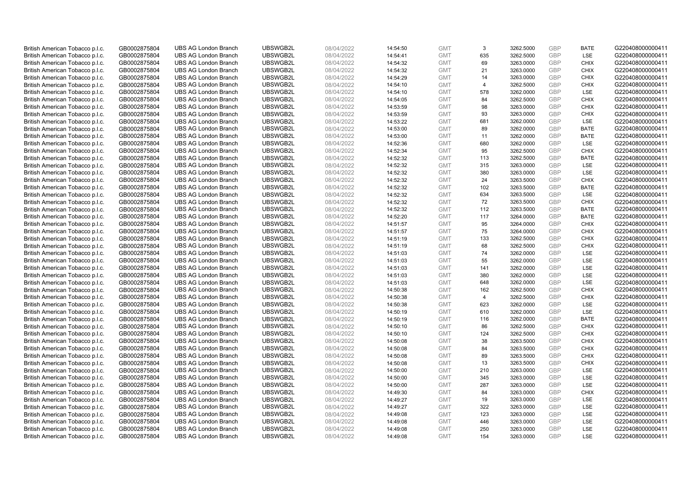| British American Tobacco p.l.c. | GB0002875804                 | <b>UBS AG London Branch</b> | UBSWGB2L             | 08/04/2022               | 14:54:50 | <b>GMT</b>               | 3              | 3262.5000              | <b>GBP</b> | <b>BATE</b>       | G220408000000411 |
|---------------------------------|------------------------------|-----------------------------|----------------------|--------------------------|----------|--------------------------|----------------|------------------------|------------|-------------------|------------------|
| British American Tobacco p.l.c. | GB0002875804                 | <b>UBS AG London Branch</b> | UBSWGB2L             | 08/04/2022               | 14:54:41 | <b>GMT</b>               | 635            | 3262.5000              | GBP        | LSE               | G220408000000411 |
| British American Tobacco p.l.c. | GB0002875804                 | <b>UBS AG London Branch</b> | UBSWGB2L             | 08/04/2022               | 14:54:32 | <b>GMT</b>               | 69             | 3263.0000              | <b>GBP</b> | <b>CHIX</b>       | G220408000000411 |
| British American Tobacco p.l.c. | GB0002875804                 | <b>UBS AG London Branch</b> | UBSWGB2L             | 08/04/2022               | 14:54:32 | <b>GMT</b>               | 21             | 3263.0000              | GBP        | <b>CHIX</b>       | G220408000000411 |
| British American Tobacco p.l.c. | GB0002875804                 | <b>UBS AG London Branch</b> | UBSWGB2L             | 08/04/2022               | 14:54:29 | <b>GMT</b>               | 14             | 3263.0000              | <b>GBP</b> | <b>CHIX</b>       | G220408000000411 |
| British American Tobacco p.l.c. | GB0002875804                 | <b>UBS AG London Branch</b> | UBSWGB2L             | 08/04/2022               | 14:54:10 | <b>GMT</b>               | $\overline{4}$ | 3262.5000              | GBP        | <b>CHIX</b>       | G220408000000411 |
| British American Tobacco p.l.c. | GB0002875804                 | <b>UBS AG London Branch</b> | UBSWGB2L             | 08/04/2022               | 14:54:10 | <b>GMT</b>               | 578            | 3262.0000              | <b>GBP</b> | LSE               | G220408000000411 |
| British American Tobacco p.l.c. | GB0002875804                 | <b>UBS AG London Branch</b> | UBSWGB2L             | 08/04/2022               | 14:54:05 | <b>GMT</b>               | 84             | 3262.5000              | GBP        | <b>CHIX</b>       | G220408000000411 |
| British American Tobacco p.l.c. | GB0002875804                 | <b>UBS AG London Branch</b> | UBSWGB2L             | 08/04/2022               | 14:53:59 | <b>GMT</b>               | 98             | 3263.0000              | <b>GBP</b> | <b>CHIX</b>       | G220408000000411 |
| British American Tobacco p.l.c. | GB0002875804                 | <b>UBS AG London Branch</b> | UBSWGB2L             | 08/04/2022               | 14:53:59 | <b>GMT</b>               | 93             | 3263.0000              | GBP        | <b>CHIX</b>       | G220408000000411 |
| British American Tobacco p.l.c. | GB0002875804                 | <b>UBS AG London Branch</b> | UBSWGB2L             | 08/04/2022               | 14:53:22 | <b>GMT</b>               | 681            | 3262.0000              | GBP        | LSE               | G220408000000411 |
| British American Tobacco p.l.c. | GB0002875804                 | <b>UBS AG London Branch</b> | UBSWGB2L             | 08/04/2022               | 14:53:00 | <b>GMT</b>               | 89             | 3262.0000              | <b>GBP</b> | <b>BATE</b>       | G220408000000411 |
| British American Tobacco p.l.c. | GB0002875804                 | <b>UBS AG London Branch</b> | UBSWGB2L             | 08/04/2022               | 14:53:00 | <b>GMT</b>               | 11             | 3262.0000              | GBP        | <b>BATE</b>       | G220408000000411 |
| British American Tobacco p.l.c. | GB0002875804                 | <b>UBS AG London Branch</b> | UBSWGB2L             | 08/04/2022               | 14:52:36 | <b>GMT</b>               | 680            | 3262.0000              | <b>GBP</b> | <b>LSE</b>        | G220408000000411 |
| British American Tobacco p.l.c. | GB0002875804                 | <b>UBS AG London Branch</b> | UBSWGB2L             | 08/04/2022               | 14:52:34 | <b>GMT</b>               | 95             | 3262.5000              | GBP        | <b>CHIX</b>       | G220408000000411 |
| British American Tobacco p.l.c. | GB0002875804                 | <b>UBS AG London Branch</b> | UBSWGB2L             | 08/04/2022               | 14:52:32 | <b>GMT</b>               | 113            | 3262.5000              | <b>GBP</b> | <b>BATE</b>       | G220408000000411 |
| British American Tobacco p.l.c. | GB0002875804                 | <b>UBS AG London Branch</b> | UBSWGB2L             | 08/04/2022               | 14:52:32 | <b>GMT</b>               | 315            | 3263.0000              | <b>GBP</b> | LSE               | G220408000000411 |
| British American Tobacco p.l.c. | GB0002875804                 | <b>UBS AG London Branch</b> | UBSWGB2L             | 08/04/2022               | 14:52:32 | <b>GMT</b>               | 380            | 3263.0000              | GBP        | LSE               | G220408000000411 |
| British American Tobacco p.l.c. | GB0002875804                 | <b>UBS AG London Branch</b> | UBSWGB2L             | 08/04/2022               | 14:52:32 | <b>GMT</b>               | 24             | 3263.5000              | GBP        | <b>CHIX</b>       | G220408000000411 |
| British American Tobacco p.l.c. | GB0002875804                 | <b>UBS AG London Branch</b> | UBSWGB2L             | 08/04/2022               | 14:52:32 | <b>GMT</b>               | 102            | 3263.5000              | <b>GBP</b> | <b>BATE</b>       | G220408000000411 |
| British American Tobacco p.l.c. | GB0002875804                 | <b>UBS AG London Branch</b> | UBSWGB2L             | 08/04/2022               | 14:52:32 | <b>GMT</b>               | 634            | 3263.5000              | GBP        | LSE               | G220408000000411 |
| British American Tobacco p.l.c. | GB0002875804                 | <b>UBS AG London Branch</b> | UBSWGB2L             | 08/04/2022               | 14:52:32 | <b>GMT</b>               | 72             | 3263.5000              | GBP        | <b>CHIX</b>       | G220408000000411 |
| British American Tobacco p.l.c. | GB0002875804                 | <b>UBS AG London Branch</b> | UBSWGB2L             | 08/04/2022               | 14:52:32 | <b>GMT</b>               | 112            | 3263.5000              | GBP        | <b>BATE</b>       | G220408000000411 |
| British American Tobacco p.l.c. | GB0002875804                 | <b>UBS AG London Branch</b> | UBSWGB2L             | 08/04/2022               | 14:52:20 | <b>GMT</b>               | 117            | 3264.0000              | GBP        | <b>BATE</b>       | G220408000000411 |
| British American Tobacco p.l.c. | GB0002875804                 | <b>UBS AG London Branch</b> | UBSWGB2L             | 08/04/2022               | 14:51:57 | <b>GMT</b>               | 95             | 3264.0000              | GBP        | <b>CHIX</b>       | G220408000000411 |
| British American Tobacco p.l.c. | GB0002875804                 | <b>UBS AG London Branch</b> | UBSWGB2L             | 08/04/2022               | 14:51:57 | <b>GMT</b>               | 75             | 3264.0000              | GBP        | <b>CHIX</b>       | G220408000000411 |
| British American Tobacco p.l.c. | GB0002875804                 | <b>UBS AG London Branch</b> | UBSWGB2L             | 08/04/2022               | 14:51:19 | <b>GMT</b>               | 133            | 3262.5000              | <b>GBP</b> | <b>CHIX</b>       | G220408000000411 |
| British American Tobacco p.l.c. | GB0002875804                 | <b>UBS AG London Branch</b> | UBSWGB2L             | 08/04/2022               | 14:51:19 | <b>GMT</b>               | 68             | 3262.5000              | <b>GBP</b> | <b>CHIX</b>       | G220408000000411 |
| British American Tobacco p.l.c. | GB0002875804                 | <b>UBS AG London Branch</b> | UBSWGB2L             | 08/04/2022               | 14:51:03 | <b>GMT</b>               | 74             | 3262.0000              | GBP        | LSE               | G220408000000411 |
| British American Tobacco p.l.c. | GB0002875804                 | <b>UBS AG London Branch</b> | UBSWGB2L             | 08/04/2022               | 14:51:03 | <b>GMT</b>               | 55             | 3262.0000              | <b>GBP</b> | LSE               | G220408000000411 |
| British American Tobacco p.l.c. | GB0002875804                 | <b>UBS AG London Branch</b> | UBSWGB2L             | 08/04/2022               | 14:51:03 | <b>GMT</b>               | 141            | 3262.0000              | <b>GBP</b> | LSE               | G220408000000411 |
| British American Tobacco p.l.c. | GB0002875804                 | <b>UBS AG London Branch</b> | UBSWGB2L             | 08/04/2022               | 14:51:03 | <b>GMT</b>               | 380            | 3262.0000              | GBP        | LSE               | G220408000000411 |
| British American Tobacco p.l.c. | GB0002875804                 | <b>UBS AG London Branch</b> | UBSWGB2L             | 08/04/2022               | 14:51:03 | <b>GMT</b>               | 648            | 3262.0000              | GBP        | LSE               | G220408000000411 |
| British American Tobacco p.l.c. | GB0002875804                 | <b>UBS AG London Branch</b> | UBSWGB2L             | 08/04/2022               | 14:50:38 | <b>GMT</b>               | 162            | 3262.5000              | <b>GBP</b> | <b>CHIX</b>       | G220408000000411 |
| British American Tobacco p.l.c. | GB0002875804                 | <b>UBS AG London Branch</b> | UBSWGB2L             | 08/04/2022               | 14:50:38 | <b>GMT</b>               | $\overline{4}$ | 3262.5000              | <b>GBP</b> | <b>CHIX</b>       | G220408000000411 |
| British American Tobacco p.l.c. | GB0002875804                 | <b>UBS AG London Branch</b> | UBSWGB2L             | 08/04/2022               | 14:50:38 | <b>GMT</b>               | 623            | 3262.0000              | <b>GBP</b> | <b>LSE</b>        | G220408000000411 |
| British American Tobacco p.l.c. | GB0002875804                 | <b>UBS AG London Branch</b> | UBSWGB2L             | 08/04/2022               | 14:50:19 | <b>GMT</b>               | 610            | 3262.0000              | GBP        | LSE               | G220408000000411 |
| British American Tobacco p.l.c. | GB0002875804                 | <b>UBS AG London Branch</b> | UBSWGB2L             | 08/04/2022               | 14:50:19 | <b>GMT</b>               | 116            | 3262.0000              | <b>GBP</b> | <b>BATE</b>       | G220408000000411 |
| British American Tobacco p.l.c. | GB0002875804                 | <b>UBS AG London Branch</b> | UBSWGB2L             | 08/04/2022               | 14:50:10 | <b>GMT</b>               | 86             | 3262.5000              | GBP        | <b>CHIX</b>       | G220408000000411 |
| British American Tobacco p.l.c. | GB0002875804                 | <b>UBS AG London Branch</b> | UBSWGB2L             | 08/04/2022               | 14:50:10 | <b>GMT</b>               | 124            | 3262.5000              | <b>GBP</b> | <b>CHIX</b>       | G220408000000411 |
| British American Tobacco p.l.c. | GB0002875804                 | <b>UBS AG London Branch</b> | UBSWGB2L             | 08/04/2022               | 14:50:08 | <b>GMT</b>               | 38             | 3263.5000              | <b>GBP</b> | <b>CHIX</b>       | G220408000000411 |
| British American Tobacco p.l.c. | GB0002875804                 | <b>UBS AG London Branch</b> | UBSWGB2L             | 08/04/2022               | 14:50:08 | <b>GMT</b>               | 84             | 3263.5000              | GBP        | <b>CHIX</b>       | G220408000000411 |
| British American Tobacco p.l.c. | GB0002875804                 | <b>UBS AG London Branch</b> | UBSWGB2L             | 08/04/2022               | 14:50:08 | <b>GMT</b>               | 89             | 3263.5000              | <b>GBP</b> | <b>CHIX</b>       | G220408000000411 |
| British American Tobacco p.l.c. | GB0002875804                 | <b>UBS AG London Branch</b> | UBSWGB2L             | 08/04/2022               | 14:50:08 | <b>GMT</b>               | 13             | 3263.5000              | <b>GBP</b> | <b>CHIX</b>       | G220408000000411 |
| British American Tobacco p.l.c. | GB0002875804                 | <b>UBS AG London Branch</b> | UBSWGB2L             | 08/04/2022               | 14:50:00 | <b>GMT</b>               | 210            | 3263.0000              | <b>GBP</b> | <b>LSE</b>        | G220408000000411 |
| British American Tobacco p.l.c. | GB0002875804                 | <b>UBS AG London Branch</b> | UBSWGB2L             | 08/04/2022               | 14:50:00 | <b>GMT</b>               | 345            | 3263.0000              | GBP        | LSE               | G220408000000411 |
| British American Tobacco p.l.c. | GB0002875804                 | <b>UBS AG London Branch</b> | UBSWGB2L             | 08/04/2022               | 14:50:00 | <b>GMT</b>               | 287            | 3263.0000              | <b>GBP</b> | LSE               | G220408000000411 |
| British American Tobacco p.l.c. | GB0002875804                 | <b>UBS AG London Branch</b> | UBSWGB2L             | 08/04/2022               | 14:49:30 | <b>GMT</b>               | 84             | 3263.0000              | <b>GBP</b> | <b>CHIX</b>       | G220408000000411 |
| British American Tobacco p.l.c. | GB0002875804                 | <b>UBS AG London Branch</b> | UBSWGB2L             | 08/04/2022               | 14:49:27 | <b>GMT</b>               | 19             | 3263.0000              | <b>GBP</b> | LSE               | G220408000000411 |
| British American Tobacco p.l.c. | GB0002875804                 | <b>UBS AG London Branch</b> | UBSWGB2L             | 08/04/2022               | 14:49:27 | <b>GMT</b>               | 322            | 3263.0000              | GBP        | LSE               | G220408000000411 |
| British American Tobacco p.l.c. | GB0002875804                 | <b>UBS AG London Branch</b> | UBSWGB2L             | 08/04/2022               | 14:49:08 | <b>GMT</b>               | 123            | 3263.0000              | GBP        | LSE               | G220408000000411 |
| British American Tobacco p.l.c. | GB0002875804                 | <b>UBS AG London Branch</b> | UBSWGB2L             | 08/04/2022               | 14:49:08 | <b>GMT</b>               | 446            | 3263.0000              | <b>GBP</b> | LSE               | G220408000000411 |
| British American Tobacco p.l.c. | GB0002875804<br>GB0002875804 | <b>UBS AG London Branch</b> | UBSWGB2L<br>UBSWGB2L | 08/04/2022<br>08/04/2022 | 14:49:08 | <b>GMT</b><br><b>GMT</b> | 250<br>154     | 3263.0000<br>3263.0000 | GBP<br>GBP | LSE<br><b>LSE</b> | G220408000000411 |
| British American Tobacco p.l.c. |                              | <b>UBS AG London Branch</b> |                      |                          | 14:49:08 |                          |                |                        |            |                   | G220408000000411 |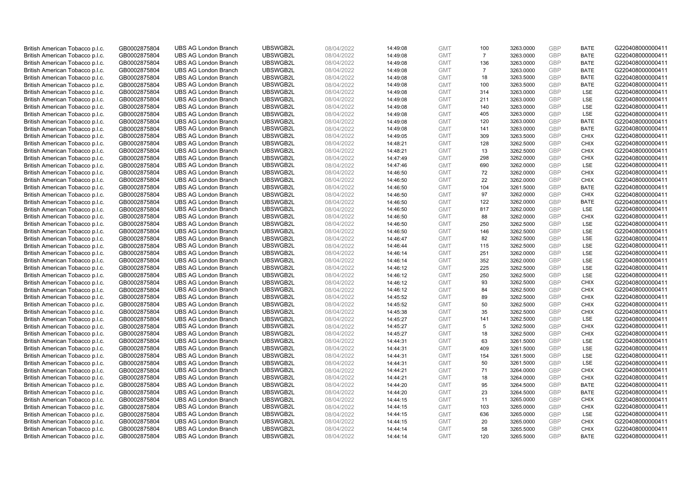| British American Tobacco p.l.c. | GB0002875804                 | <b>UBS AG London Branch</b> | UBSWGB2L             | 08/04/2022               | 14:49:08 | <b>GMT</b>               | 100            | 3263.0000              | <b>GBP</b>        | <b>BATE</b>                | G220408000000411 |
|---------------------------------|------------------------------|-----------------------------|----------------------|--------------------------|----------|--------------------------|----------------|------------------------|-------------------|----------------------------|------------------|
| British American Tobacco p.l.c. | GB0002875804                 | <b>UBS AG London Branch</b> | UBSWGB2L             | 08/04/2022               | 14:49:08 | <b>GMT</b>               | $\overline{7}$ | 3263.0000              | GBP               | <b>BATE</b>                | G220408000000411 |
| British American Tobacco p.l.c. | GB0002875804                 | <b>UBS AG London Branch</b> | UBSWGB2L             | 08/04/2022               | 14:49:08 | <b>GMT</b>               | 136            | 3263.0000              | <b>GBP</b>        | <b>BATE</b>                | G220408000000411 |
| British American Tobacco p.l.c. | GB0002875804                 | <b>UBS AG London Branch</b> | UBSWGB2L             | 08/04/2022               | 14:49:08 | <b>GMT</b>               | $\overline{7}$ | 3263.0000              | GBP               | <b>BATE</b>                | G220408000000411 |
| British American Tobacco p.l.c. | GB0002875804                 | <b>UBS AG London Branch</b> | UBSWGB2L             | 08/04/2022               | 14:49:08 | <b>GMT</b>               | 18             | 3263.5000              | <b>GBP</b>        | <b>BATE</b>                | G220408000000411 |
| British American Tobacco p.l.c. | GB0002875804                 | <b>UBS AG London Branch</b> | UBSWGB2L             | 08/04/2022               | 14:49:08 | <b>GMT</b>               | 100            | 3263.5000              | GBP               | <b>BATE</b>                | G220408000000411 |
| British American Tobacco p.l.c. | GB0002875804                 | <b>UBS AG London Branch</b> | UBSWGB2L             | 08/04/2022               | 14:49:08 | <b>GMT</b>               | 314            | 3263.0000              | <b>GBP</b>        | LSE                        | G220408000000411 |
| British American Tobacco p.l.c. | GB0002875804                 | <b>UBS AG London Branch</b> | UBSWGB2L             | 08/04/2022               | 14:49:08 | <b>GMT</b>               | 211            | 3263.0000              | <b>GBP</b>        | LSE                        | G220408000000411 |
| British American Tobacco p.l.c. | GB0002875804                 | <b>UBS AG London Branch</b> | UBSWGB2L             | 08/04/2022               | 14:49:08 | <b>GMT</b>               | 140            | 3263.0000              | <b>GBP</b>        | LSE                        | G220408000000411 |
| British American Tobacco p.l.c. | GB0002875804                 | <b>UBS AG London Branch</b> | UBSWGB2L             | 08/04/2022               | 14:49:08 | <b>GMT</b>               | 405            | 3263.0000              | <b>GBP</b>        | <b>LSE</b>                 | G220408000000411 |
| British American Tobacco p.l.c. | GB0002875804                 | <b>UBS AG London Branch</b> | UBSWGB2L             | 08/04/2022               | 14:49:08 | <b>GMT</b>               | 120            | 3263.0000              | GBP               | <b>BATE</b>                | G220408000000411 |
| British American Tobacco p.l.c. | GB0002875804                 | <b>UBS AG London Branch</b> | UBSWGB2L             | 08/04/2022               | 14:49:08 | <b>GMT</b>               | 141            | 3263.0000              | <b>GBP</b>        | <b>BATE</b>                | G220408000000411 |
| British American Tobacco p.l.c. | GB0002875804                 | <b>UBS AG London Branch</b> | UBSWGB2L             | 08/04/2022               | 14:49:05 | <b>GMT</b>               | 309            | 3263.5000              | GBP               | <b>CHIX</b>                | G220408000000411 |
| British American Tobacco p.l.c. | GB0002875804                 | <b>UBS AG London Branch</b> | UBSWGB2L             | 08/04/2022               | 14:48:21 | <b>GMT</b>               | 128            | 3262.5000              | <b>GBP</b>        | <b>CHIX</b>                | G220408000000411 |
| British American Tobacco p.l.c. | GB0002875804                 | <b>UBS AG London Branch</b> | UBSWGB2L             | 08/04/2022               | 14:48:21 | <b>GMT</b>               | 13             | 3262.5000              | GBP               | <b>CHIX</b>                | G220408000000411 |
| British American Tobacco p.l.c. | GB0002875804                 | <b>UBS AG London Branch</b> | UBSWGB2L             | 08/04/2022               | 14:47:49 | <b>GMT</b>               | 298            | 3262.0000              | <b>GBP</b>        | <b>CHIX</b>                | G220408000000411 |
| British American Tobacco p.l.c. | GB0002875804                 | <b>UBS AG London Branch</b> | UBSWGB2L             | 08/04/2022               | 14:47:46 | <b>GMT</b>               | 690            | 3262.0000              | GBP               | <b>LSE</b>                 | G220408000000411 |
| British American Tobacco p.l.c. | GB0002875804                 | <b>UBS AG London Branch</b> | UBSWGB2L             | 08/04/2022               | 14:46:50 | <b>GMT</b>               | 72             | 3262.0000              | GBP               | <b>CHIX</b>                | G220408000000411 |
| British American Tobacco p.l.c. | GB0002875804                 | <b>UBS AG London Branch</b> | UBSWGB2L             | 08/04/2022               | 14:46:50 | <b>GMT</b>               | 22             | 3262.0000              | GBP               | <b>CHIX</b>                | G220408000000411 |
| British American Tobacco p.l.c. | GB0002875804                 | <b>UBS AG London Branch</b> | UBSWGB2L             | 08/04/2022               | 14:46:50 | <b>GMT</b>               | 104            | 3261.5000              | <b>GBP</b>        | <b>BATE</b>                | G220408000000411 |
| British American Tobacco p.l.c. | GB0002875804                 | <b>UBS AG London Branch</b> | UBSWGB2L             | 08/04/2022               | 14:46:50 | <b>GMT</b>               | 97             | 3262.0000              | GBP               | <b>CHIX</b>                | G220408000000411 |
| British American Tobacco p.l.c. | GB0002875804                 | <b>UBS AG London Branch</b> | UBSWGB2L             | 08/04/2022               | 14:46:50 | <b>GMT</b>               | 122            | 3262.0000              | GBP               | <b>BATE</b>                | G220408000000411 |
| British American Tobacco p.l.c. | GB0002875804                 | <b>UBS AG London Branch</b> | UBSWGB2L             | 08/04/2022               | 14:46:50 | <b>GMT</b>               | 817            | 3262.0000              | GBP               | LSE                        | G220408000000411 |
| British American Tobacco p.l.c. | GB0002875804                 | <b>UBS AG London Branch</b> | UBSWGB2L             | 08/04/2022               | 14:46:50 | <b>GMT</b>               | 88             | 3262.0000              | <b>GBP</b>        | <b>CHIX</b>                | G220408000000411 |
| British American Tobacco p.l.c. | GB0002875804                 | <b>UBS AG London Branch</b> | UBSWGB2L             | 08/04/2022               | 14:46:50 | <b>GMT</b>               | 250            | 3262.5000              | <b>GBP</b>        | <b>LSE</b>                 | G220408000000411 |
| British American Tobacco p.l.c. | GB0002875804                 | <b>UBS AG London Branch</b> | UBSWGB2L             | 08/04/2022               | 14:46:50 | <b>GMT</b>               | 146            | 3262.5000              | <b>GBP</b>        | LSE                        | G220408000000411 |
| British American Tobacco p.l.c. | GB0002875804                 | <b>UBS AG London Branch</b> | UBSWGB2L             | 08/04/2022               | 14:46:47 | <b>GMT</b>               | 82             | 3262.5000              | <b>GBP</b>        | LSE                        | G220408000000411 |
| British American Tobacco p.l.c. | GB0002875804                 | <b>UBS AG London Branch</b> | UBSWGB2L             | 08/04/2022               | 14:46:44 | <b>GMT</b>               | 115            | 3262.5000              | <b>GBP</b>        | LSE                        | G220408000000411 |
| British American Tobacco p.l.c. | GB0002875804                 | <b>UBS AG London Branch</b> | UBSWGB2L             | 08/04/2022               | 14:46:14 | <b>GMT</b>               | 251            | 3262.0000              | GBP               | LSE                        | G220408000000411 |
| British American Tobacco p.l.c. | GB0002875804                 | <b>UBS AG London Branch</b> | UBSWGB2L             | 08/04/2022               | 14:46:14 | <b>GMT</b>               | 352            | 3262.0000              | GBP               | LSE                        | G220408000000411 |
| British American Tobacco p.l.c. | GB0002875804                 | <b>UBS AG London Branch</b> | UBSWGB2L             | 08/04/2022               | 14:46:12 | <b>GMT</b>               | 225            | 3262.5000              | <b>GBP</b>        | LSE                        | G220408000000411 |
| British American Tobacco p.l.c. | GB0002875804                 | <b>UBS AG London Branch</b> | UBSWGB2L             | 08/04/2022               | 14:46:12 | <b>GMT</b>               | 250            | 3262.5000              | <b>GBP</b>        | LSE                        | G220408000000411 |
| British American Tobacco p.l.c. | GB0002875804                 | <b>UBS AG London Branch</b> | UBSWGB2L             | 08/04/2022               | 14:46:12 | <b>GMT</b>               | 93             | 3262.5000              | GBP               | <b>CHIX</b>                | G220408000000411 |
| British American Tobacco p.l.c. | GB0002875804                 | <b>UBS AG London Branch</b> | UBSWGB2L             | 08/04/2022               | 14:46:12 | <b>GMT</b>               | 84             | 3262.5000              | <b>GBP</b>        | <b>CHIX</b>                | G220408000000411 |
| British American Tobacco p.l.c. | GB0002875804                 | <b>UBS AG London Branch</b> | UBSWGB2L             | 08/04/2022               | 14:45:52 | <b>GMT</b>               | 89             | 3262.5000              | <b>GBP</b>        | <b>CHIX</b>                | G220408000000411 |
| British American Tobacco p.l.c. | GB0002875804                 | <b>UBS AG London Branch</b> | UBSWGB2L             | 08/04/2022               | 14:45:52 | <b>GMT</b>               | 50             | 3262.5000              | <b>GBP</b>        | <b>CHIX</b>                | G220408000000411 |
| British American Tobacco p.l.c. | GB0002875804                 | <b>UBS AG London Branch</b> | UBSWGB2L             | 08/04/2022               | 14:45:38 | <b>GMT</b>               | 35             | 3262.5000              | GBP               | <b>CHIX</b>                | G220408000000411 |
| British American Tobacco p.l.c. | GB0002875804                 | <b>UBS AG London Branch</b> | UBSWGB2L             | 08/04/2022               | 14:45:27 | <b>GMT</b>               | 141            | 3262.5000              | <b>GBP</b>        | LSE                        | G220408000000411 |
| British American Tobacco p.l.c. | GB0002875804                 | <b>UBS AG London Branch</b> | UBSWGB2L             | 08/04/2022               | 14:45:27 | <b>GMT</b>               | 5              | 3262.5000              | GBP               | <b>CHIX</b>                | G220408000000411 |
| British American Tobacco p.l.c. | GB0002875804                 | <b>UBS AG London Branch</b> | UBSWGB2L             | 08/04/2022               | 14:45:27 | <b>GMT</b>               | 18             | 3262.5000              | <b>GBP</b>        | <b>CHIX</b>                | G220408000000411 |
| British American Tobacco p.l.c. | GB0002875804                 | <b>UBS AG London Branch</b> | UBSWGB2L             | 08/04/2022               | 14:44:31 | <b>GMT</b>               | 63             | 3261.5000              | GBP               | <b>LSE</b>                 | G220408000000411 |
| British American Tobacco p.l.c. | GB0002875804                 | <b>UBS AG London Branch</b> | UBSWGB2L             | 08/04/2022               | 14:44:31 | <b>GMT</b>               | 409            | 3261.5000              | GBP               | LSE                        | G220408000000411 |
| British American Tobacco p.l.c. | GB0002875804                 | <b>UBS AG London Branch</b> | UBSWGB2L             | 08/04/2022               | 14:44:31 | <b>GMT</b>               | 154            | 3261.5000              | <b>GBP</b>        | LSE                        | G220408000000411 |
| British American Tobacco p.l.c. | GB0002875804                 | <b>UBS AG London Branch</b> | UBSWGB2L             | 08/04/2022               | 14:44:31 | <b>GMT</b>               | 50             | 3261.5000              | GBP               | LSE                        | G220408000000411 |
| British American Tobacco p.l.c. | GB0002875804                 | <b>UBS AG London Branch</b> | UBSWGB2L             | 08/04/2022               | 14:44:21 | <b>GMT</b>               | 71             | 3264.0000              | <b>GBP</b>        | <b>CHIX</b>                | G220408000000411 |
| British American Tobacco p.l.c. | GB0002875804                 | <b>UBS AG London Branch</b> | UBSWGB2L             | 08/04/2022               | 14:44:21 | <b>GMT</b>               | 18             | 3264.0000              | GBP               | <b>CHIX</b>                | G220408000000411 |
| British American Tobacco p.l.c. | GB0002875804                 | <b>UBS AG London Branch</b> | UBSWGB2L             | 08/04/2022               | 14:44:20 | <b>GMT</b>               | 95             | 3264.5000              | GBP               | <b>BATE</b>                | G220408000000411 |
| British American Tobacco p.l.c. | GB0002875804                 | <b>UBS AG London Branch</b> | UBSWGB2L             | 08/04/2022               | 14:44:20 | <b>GMT</b>               | 23             | 3264.5000              | GBP               | <b>BATE</b>                | G220408000000411 |
| British American Tobacco p.l.c. | GB0002875804                 | <b>UBS AG London Branch</b> | UBSWGB2L             | 08/04/2022               | 14:44:15 | <b>GMT</b>               | 11             | 3265.0000              | <b>GBP</b>        | <b>CHIX</b>                | G220408000000411 |
| British American Tobacco p.l.c. | GB0002875804                 | <b>UBS AG London Branch</b> | UBSWGB2L             | 08/04/2022               | 14:44:15 | <b>GMT</b>               | 103            | 3265.0000              | GBP               | <b>CHIX</b>                | G220408000000411 |
| British American Tobacco p.l.c. | GB0002875804                 | <b>UBS AG London Branch</b> | UBSWGB2L             | 08/04/2022               | 14:44:15 | <b>GMT</b>               | 636            | 3265.0000              | <b>GBP</b>        | LSE                        | G220408000000411 |
| British American Tobacco p.l.c. | GB0002875804                 | <b>UBS AG London Branch</b> | UBSWGB2L             | 08/04/2022               | 14:44:15 | <b>GMT</b>               | 20             | 3265.0000              | GBP               | <b>CHIX</b>                | G220408000000411 |
| British American Tobacco p.l.c. | GB0002875804<br>GB0002875804 | <b>UBS AG London Branch</b> | UBSWGB2L<br>UBSWGB2L | 08/04/2022<br>08/04/2022 | 14:44:14 | <b>GMT</b><br><b>GMT</b> | 58<br>120      | 3265.5000<br>3265.5000 | <b>GBP</b><br>GBP | <b>CHIX</b><br><b>BATE</b> | G220408000000411 |
| British American Tobacco p.l.c. |                              | <b>UBS AG London Branch</b> |                      |                          | 14:44:14 |                          |                |                        |                   |                            | G220408000000411 |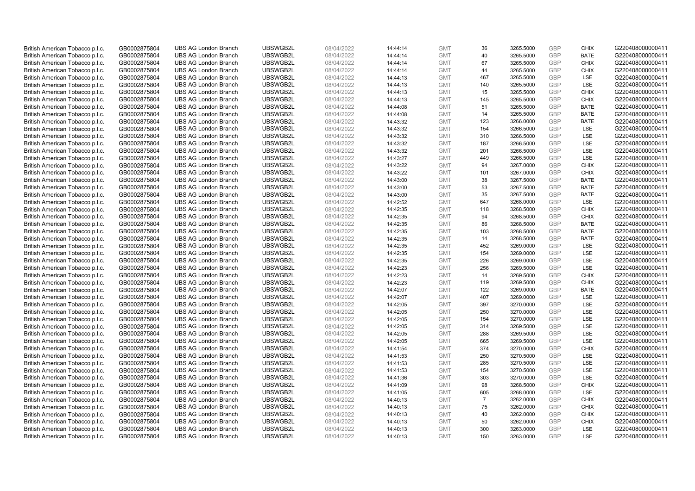| British American Tobacco p.l.c. | GB0002875804 | <b>UBS AG London Branch</b> | UBSWGB2L | 08/04/2022 | 14:44:14 | <b>GMT</b> | 36             | 3265.5000 | <b>GBP</b> | <b>CHIX</b> | G220408000000411 |
|---------------------------------|--------------|-----------------------------|----------|------------|----------|------------|----------------|-----------|------------|-------------|------------------|
| British American Tobacco p.l.c. | GB0002875804 | <b>UBS AG London Branch</b> | UBSWGB2L | 08/04/2022 | 14:44:14 | <b>GMT</b> | 40             | 3265.5000 | GBP        | <b>BATE</b> | G220408000000411 |
| British American Tobacco p.l.c. | GB0002875804 | <b>UBS AG London Branch</b> | UBSWGB2L | 08/04/2022 | 14:44:14 | <b>GMT</b> | 67             | 3265.5000 | <b>GBP</b> | <b>CHIX</b> | G220408000000411 |
| British American Tobacco p.l.c. | GB0002875804 | <b>UBS AG London Branch</b> | UBSWGB2L | 08/04/2022 | 14:44:14 | <b>GMT</b> | 44             | 3265.5000 | GBP        | <b>CHIX</b> | G220408000000411 |
| British American Tobacco p.l.c. | GB0002875804 | <b>UBS AG London Branch</b> | UBSWGB2L | 08/04/2022 | 14:44:13 | <b>GMT</b> | 467            | 3265.5000 | <b>GBP</b> | <b>LSE</b>  | G220408000000411 |
| British American Tobacco p.l.c. | GB0002875804 | <b>UBS AG London Branch</b> | UBSWGB2L | 08/04/2022 | 14:44:13 | <b>GMT</b> | 140            | 3265.5000 | GBP        | LSE         | G220408000000411 |
| British American Tobacco p.l.c. | GB0002875804 | <b>UBS AG London Branch</b> | UBSWGB2L | 08/04/2022 | 14:44:13 | <b>GMT</b> | 15             | 3265.5000 | <b>GBP</b> | <b>CHIX</b> | G220408000000411 |
| British American Tobacco p.l.c. | GB0002875804 | <b>UBS AG London Branch</b> | UBSWGB2L | 08/04/2022 | 14:44:13 | <b>GMT</b> | 145            | 3265.5000 | <b>GBP</b> | <b>CHIX</b> | G220408000000411 |
| British American Tobacco p.l.c. | GB0002875804 | <b>UBS AG London Branch</b> | UBSWGB2L | 08/04/2022 | 14:44:08 | <b>GMT</b> | 51             | 3265.5000 | GBP        | <b>BATE</b> | G220408000000411 |
| British American Tobacco p.l.c. | GB0002875804 | <b>UBS AG London Branch</b> | UBSWGB2L | 08/04/2022 | 14:44:08 | <b>GMT</b> | 14             | 3265.5000 | GBP        | <b>BATE</b> | G220408000000411 |
| British American Tobacco p.l.c. | GB0002875804 | <b>UBS AG London Branch</b> | UBSWGB2L | 08/04/2022 | 14:43:32 | <b>GMT</b> | 123            | 3266.0000 | GBP        | <b>BATE</b> | G220408000000411 |
| British American Tobacco p.l.c. | GB0002875804 | <b>UBS AG London Branch</b> | UBSWGB2L | 08/04/2022 | 14:43:32 | <b>GMT</b> | 154            | 3266.5000 | <b>GBP</b> | LSE         | G220408000000411 |
| British American Tobacco p.l.c. | GB0002875804 | <b>UBS AG London Branch</b> | UBSWGB2L | 08/04/2022 | 14:43:32 | <b>GMT</b> | 310            | 3266.5000 | <b>GBP</b> | LSE         | G220408000000411 |
| British American Tobacco p.l.c. | GB0002875804 | <b>UBS AG London Branch</b> | UBSWGB2L | 08/04/2022 | 14:43:32 | <b>GMT</b> | 187            | 3266.5000 | <b>GBP</b> | LSE         | G220408000000411 |
| British American Tobacco p.l.c. | GB0002875804 | <b>UBS AG London Branch</b> | UBSWGB2L | 08/04/2022 | 14:43:32 | <b>GMT</b> | 201            | 3266.5000 | GBP        | LSE         | G220408000000411 |
| British American Tobacco p.l.c. | GB0002875804 | <b>UBS AG London Branch</b> | UBSWGB2L | 08/04/2022 | 14:43:27 | <b>GMT</b> | 449            | 3266.5000 | <b>GBP</b> | LSE         | G220408000000411 |
| British American Tobacco p.l.c. | GB0002875804 | <b>UBS AG London Branch</b> | UBSWGB2L | 08/04/2022 | 14:43:22 | <b>GMT</b> | 94             | 3267.0000 | GBP        | <b>CHIX</b> | G220408000000411 |
| British American Tobacco p.l.c. | GB0002875804 | <b>UBS AG London Branch</b> | UBSWGB2L | 08/04/2022 | 14:43:22 | <b>GMT</b> | 101            | 3267.0000 | GBP        | <b>CHIX</b> | G220408000000411 |
| British American Tobacco p.l.c. | GB0002875804 | <b>UBS AG London Branch</b> | UBSWGB2L | 08/04/2022 | 14:43:00 | <b>GMT</b> | 38             | 3267.5000 | GBP        | <b>BATE</b> | G220408000000411 |
| British American Tobacco p.l.c. | GB0002875804 | <b>UBS AG London Branch</b> | UBSWGB2L | 08/04/2022 | 14:43:00 | <b>GMT</b> | 53             | 3267.5000 | <b>GBP</b> | <b>BATE</b> | G220408000000411 |
| British American Tobacco p.l.c. | GB0002875804 | <b>UBS AG London Branch</b> | UBSWGB2L | 08/04/2022 | 14:43:00 | <b>GMT</b> | 35             | 3267.5000 | GBP        | <b>BATE</b> | G220408000000411 |
| British American Tobacco p.l.c. | GB0002875804 | <b>UBS AG London Branch</b> | UBSWGB2L | 08/04/2022 | 14:42:52 | <b>GMT</b> | 647            | 3268.0000 | GBP        | <b>LSE</b>  | G220408000000411 |
| British American Tobacco p.l.c. | GB0002875804 | <b>UBS AG London Branch</b> | UBSWGB2L | 08/04/2022 | 14:42:35 | <b>GMT</b> | 118            | 3268.5000 | GBP        | <b>CHIX</b> | G220408000000411 |
| British American Tobacco p.l.c. | GB0002875804 | <b>UBS AG London Branch</b> | UBSWGB2L | 08/04/2022 | 14:42:35 | <b>GMT</b> | 94             | 3268.5000 | <b>GBP</b> | <b>CHIX</b> | G220408000000411 |
| British American Tobacco p.l.c. | GB0002875804 | <b>UBS AG London Branch</b> | UBSWGB2L | 08/04/2022 | 14:42:35 | <b>GMT</b> | 86             | 3268.5000 | GBP        | <b>BATE</b> | G220408000000411 |
| British American Tobacco p.l.c. | GB0002875804 | <b>UBS AG London Branch</b> | UBSWGB2L | 08/04/2022 | 14:42:35 | <b>GMT</b> | 103            | 3268.5000 | GBP        | <b>BATE</b> | G220408000000411 |
| British American Tobacco p.l.c. | GB0002875804 | <b>UBS AG London Branch</b> | UBSWGB2L | 08/04/2022 | 14:42:35 | <b>GMT</b> | 14             | 3268.5000 | <b>GBP</b> | <b>BATE</b> | G220408000000411 |
| British American Tobacco p.l.c. | GB0002875804 | <b>UBS AG London Branch</b> | UBSWGB2L | 08/04/2022 | 14:42:35 | <b>GMT</b> | 452            | 3269.0000 | <b>GBP</b> | LSE         | G220408000000411 |
| British American Tobacco p.l.c. | GB0002875804 | <b>UBS AG London Branch</b> | UBSWGB2L | 08/04/2022 | 14:42:35 | <b>GMT</b> | 154            | 3269.0000 | GBP        | LSE         | G220408000000411 |
| British American Tobacco p.l.c. | GB0002875804 | <b>UBS AG London Branch</b> | UBSWGB2L | 08/04/2022 | 14:42:35 | <b>GMT</b> | 226            | 3269.0000 | GBP        | LSE         | G220408000000411 |
| British American Tobacco p.l.c. | GB0002875804 | <b>UBS AG London Branch</b> | UBSWGB2L | 08/04/2022 | 14:42:23 | <b>GMT</b> | 256            | 3269.5000 | <b>GBP</b> | LSE         | G220408000000411 |
| British American Tobacco p.l.c. | GB0002875804 | <b>UBS AG London Branch</b> | UBSWGB2L | 08/04/2022 | 14:42:23 | <b>GMT</b> | 14             | 3269.5000 | GBP        | <b>CHIX</b> | G220408000000411 |
| British American Tobacco p.l.c. | GB0002875804 | <b>UBS AG London Branch</b> | UBSWGB2L | 08/04/2022 | 14:42:23 | <b>GMT</b> | 119            | 3269.5000 | GBP        | <b>CHIX</b> | G220408000000411 |
| British American Tobacco p.l.c. | GB0002875804 | <b>UBS AG London Branch</b> | UBSWGB2L | 08/04/2022 | 14:42:07 | <b>GMT</b> | 122            | 3269.0000 | <b>GBP</b> | <b>BATE</b> | G220408000000411 |
| British American Tobacco p.l.c. | GB0002875804 | <b>UBS AG London Branch</b> | UBSWGB2L | 08/04/2022 | 14:42:07 | <b>GMT</b> | 407            | 3269.0000 | <b>GBP</b> | LSE         | G220408000000411 |
| British American Tobacco p.l.c. | GB0002875804 | <b>UBS AG London Branch</b> | UBSWGB2L | 08/04/2022 | 14:42:05 | <b>GMT</b> | 397            | 3270.0000 | <b>GBP</b> | <b>LSE</b>  | G220408000000411 |
| British American Tobacco p.l.c. | GB0002875804 | <b>UBS AG London Branch</b> | UBSWGB2L | 08/04/2022 | 14:42:05 | <b>GMT</b> | 250            | 3270.0000 | GBP        | LSE         | G220408000000411 |
| British American Tobacco p.l.c. | GB0002875804 | <b>UBS AG London Branch</b> | UBSWGB2L | 08/04/2022 | 14:42:05 | <b>GMT</b> | 154            | 3270.0000 | <b>GBP</b> | LSE         | G220408000000411 |
| British American Tobacco p.l.c. | GB0002875804 | <b>UBS AG London Branch</b> | UBSWGB2L | 08/04/2022 | 14:42:05 | <b>GMT</b> | 314            | 3269.5000 | <b>GBP</b> | LSE         | G220408000000411 |
| British American Tobacco p.l.c. | GB0002875804 | <b>UBS AG London Branch</b> | UBSWGB2L | 08/04/2022 | 14:42:05 | <b>GMT</b> | 288            | 3269.5000 | <b>GBP</b> | LSE         | G220408000000411 |
| British American Tobacco p.l.c. | GB0002875804 | <b>UBS AG London Branch</b> | UBSWGB2L | 08/04/2022 | 14:42:05 | <b>GMT</b> | 665            | 3269.5000 | <b>GBP</b> | LSE         | G220408000000411 |
| British American Tobacco p.l.c. | GB0002875804 | <b>UBS AG London Branch</b> | UBSWGB2L | 08/04/2022 | 14:41:54 | <b>GMT</b> | 374            | 3270.0000 | GBP        | <b>CHIX</b> | G220408000000411 |
| British American Tobacco p.l.c. | GB0002875804 | <b>UBS AG London Branch</b> | UBSWGB2L | 08/04/2022 | 14:41:53 | <b>GMT</b> | 250            | 3270.5000 | <b>GBP</b> | <b>LSE</b>  | G220408000000411 |
| British American Tobacco p.l.c. | GB0002875804 | <b>UBS AG London Branch</b> | UBSWGB2L | 08/04/2022 | 14:41:53 | <b>GMT</b> | 285            | 3270.5000 | <b>GBP</b> | LSE         | G220408000000411 |
| British American Tobacco p.l.c. | GB0002875804 | <b>UBS AG London Branch</b> | UBSWGB2L | 08/04/2022 | 14:41:53 | <b>GMT</b> | 154            | 3270.5000 | <b>GBP</b> | <b>LSE</b>  | G220408000000411 |
| British American Tobacco p.l.c. | GB0002875804 | <b>UBS AG London Branch</b> | UBSWGB2L | 08/04/2022 | 14:41:36 | <b>GMT</b> | 303            | 3270.0000 | <b>GBP</b> | LSE         | G220408000000411 |
| British American Tobacco p.l.c. | GB0002875804 | <b>UBS AG London Branch</b> | UBSWGB2L | 08/04/2022 | 14:41:09 | <b>GMT</b> | 98             | 3268.5000 | <b>GBP</b> | <b>CHIX</b> | G220408000000411 |
| British American Tobacco p.l.c. | GB0002875804 | <b>UBS AG London Branch</b> | UBSWGB2L | 08/04/2022 | 14:41:05 | <b>GMT</b> | 605            | 3268.0000 | <b>GBP</b> | LSE         | G220408000000411 |
| British American Tobacco p.l.c. | GB0002875804 | <b>UBS AG London Branch</b> | UBSWGB2L | 08/04/2022 | 14:40:13 | <b>GMT</b> | $\overline{7}$ | 3262.0000 | <b>GBP</b> | <b>CHIX</b> | G220408000000411 |
| British American Tobacco p.l.c. | GB0002875804 | <b>UBS AG London Branch</b> | UBSWGB2L | 08/04/2022 | 14:40:13 | <b>GMT</b> | 75             | 3262.0000 | GBP        | <b>CHIX</b> | G220408000000411 |
| British American Tobacco p.l.c. | GB0002875804 | <b>UBS AG London Branch</b> | UBSWGB2L | 08/04/2022 | 14:40:13 | <b>GMT</b> | 40             | 3262.0000 | <b>GBP</b> | <b>CHIX</b> | G220408000000411 |
| British American Tobacco p.l.c. | GB0002875804 | <b>UBS AG London Branch</b> | UBSWGB2L | 08/04/2022 | 14:40:13 | <b>GMT</b> | 50             | 3262.0000 | <b>GBP</b> | <b>CHIX</b> | G220408000000411 |
| British American Tobacco p.l.c. | GB0002875804 | <b>UBS AG London Branch</b> | UBSWGB2L | 08/04/2022 | 14:40:13 | <b>GMT</b> | 300            | 3263.0000 | GBP        | LSE         | G220408000000411 |
| British American Tobacco p.l.c. | GB0002875804 | <b>UBS AG London Branch</b> | UBSWGB2L | 08/04/2022 | 14:40:13 | <b>GMT</b> | 150            | 3263.0000 | GBP        | <b>LSE</b>  | G220408000000411 |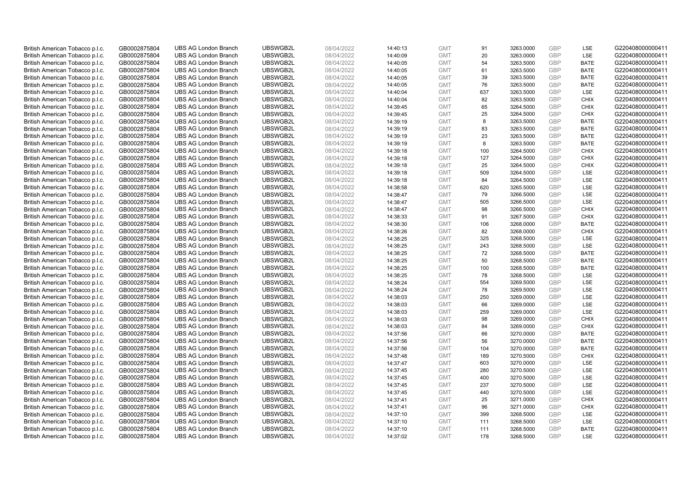| British American Tobacco p.l.c. | GB0002875804                 | <b>UBS AG London Branch</b> | UBSWGB2L             | 08/04/2022               | 14:40:13 | <b>GMT</b>               | 91         | 3263.0000              | <b>GBP</b> | LSE                       | G220408000000411 |
|---------------------------------|------------------------------|-----------------------------|----------------------|--------------------------|----------|--------------------------|------------|------------------------|------------|---------------------------|------------------|
| British American Tobacco p.l.c. | GB0002875804                 | <b>UBS AG London Branch</b> | UBSWGB2L             | 08/04/2022               | 14:40:09 | <b>GMT</b>               | 20         | 3263.0000              | <b>GBP</b> | LSE                       | G220408000000411 |
| British American Tobacco p.l.c. | GB0002875804                 | <b>UBS AG London Branch</b> | UBSWGB2L             | 08/04/2022               | 14:40:05 | <b>GMT</b>               | 54         | 3263.5000              | <b>GBP</b> | <b>BATE</b>               | G220408000000411 |
| British American Tobacco p.l.c. | GB0002875804                 | <b>UBS AG London Branch</b> | UBSWGB2L             | 08/04/2022               | 14:40:05 | <b>GMT</b>               | 61         | 3263.5000              | <b>GBP</b> | <b>BATE</b>               | G220408000000411 |
| British American Tobacco p.l.c. | GB0002875804                 | <b>UBS AG London Branch</b> | UBSWGB2L             | 08/04/2022               | 14:40:05 | <b>GMT</b>               | 39         | 3263.5000              | <b>GBP</b> | <b>BATE</b>               | G220408000000411 |
| British American Tobacco p.l.c. | GB0002875804                 | <b>UBS AG London Branch</b> | UBSWGB2L             | 08/04/2022               | 14:40:05 | <b>GMT</b>               | 76         | 3263.5000              | <b>GBP</b> | <b>BATE</b>               | G220408000000411 |
| British American Tobacco p.l.c. | GB0002875804                 | <b>UBS AG London Branch</b> | UBSWGB2L             | 08/04/2022               | 14:40:04 | <b>GMT</b>               | 637        | 3263.5000              | <b>GBP</b> | LSE                       | G220408000000411 |
| British American Tobacco p.l.c. | GB0002875804                 | <b>UBS AG London Branch</b> | UBSWGB2L             | 08/04/2022               | 14:40:04 | <b>GMT</b>               | 82         | 3263.5000              | <b>GBP</b> | <b>CHIX</b>               | G220408000000411 |
| British American Tobacco p.l.c. | GB0002875804                 | <b>UBS AG London Branch</b> | UBSWGB2L             | 08/04/2022               | 14:39:45 | <b>GMT</b>               | 65         | 3264.5000              | <b>GBP</b> | <b>CHIX</b>               | G220408000000411 |
| British American Tobacco p.l.c. | GB0002875804                 | <b>UBS AG London Branch</b> | UBSWGB2L             | 08/04/2022               | 14:39:45 | <b>GMT</b>               | 25         | 3264.5000              | <b>GBP</b> | <b>CHIX</b>               | G220408000000411 |
| British American Tobacco p.l.c. | GB0002875804                 | <b>UBS AG London Branch</b> | UBSWGB2L             | 08/04/2022               | 14:39:19 | <b>GMT</b>               | 8          | 3263.5000              | GBP        | <b>BATE</b>               | G220408000000411 |
| British American Tobacco p.l.c. | GB0002875804                 | <b>UBS AG London Branch</b> | UBSWGB2L             | 08/04/2022               | 14:39:19 | <b>GMT</b>               | 83         | 3263.5000              | <b>GBP</b> | <b>BATE</b>               | G220408000000411 |
| British American Tobacco p.l.c. | GB0002875804                 | <b>UBS AG London Branch</b> | UBSWGB2L             | 08/04/2022               | 14:39:19 | <b>GMT</b>               | 23         | 3263.5000              | <b>GBP</b> | <b>BATE</b>               | G220408000000411 |
| British American Tobacco p.l.c. | GB0002875804                 | <b>UBS AG London Branch</b> | UBSWGB2L             | 08/04/2022               | 14:39:19 | <b>GMT</b>               | 8          | 3263.5000              | <b>GBP</b> | <b>BATE</b>               | G220408000000411 |
| British American Tobacco p.l.c. | GB0002875804                 | <b>UBS AG London Branch</b> | UBSWGB2L             | 08/04/2022               | 14:39:18 | <b>GMT</b>               | 100        | 3264.5000              | <b>GBP</b> | <b>CHIX</b>               | G220408000000411 |
| British American Tobacco p.l.c. | GB0002875804                 | <b>UBS AG London Branch</b> | UBSWGB2L             | 08/04/2022               | 14:39:18 | <b>GMT</b>               | 127        | 3264.5000              | <b>GBP</b> | <b>CHIX</b>               | G220408000000411 |
| British American Tobacco p.l.c. | GB0002875804                 | <b>UBS AG London Branch</b> | UBSWGB2L             | 08/04/2022               | 14:39:18 | <b>GMT</b>               | 25         | 3264.5000              | <b>GBP</b> | <b>CHIX</b>               | G220408000000411 |
| British American Tobacco p.l.c. | GB0002875804                 | <b>UBS AG London Branch</b> | UBSWGB2L             | 08/04/2022               | 14:39:18 | <b>GMT</b>               | 509        | 3264.5000              | GBP        | LSE                       | G220408000000411 |
| British American Tobacco p.l.c. | GB0002875804                 | <b>UBS AG London Branch</b> | UBSWGB2L             | 08/04/2022               | 14:39:18 | <b>GMT</b>               | 84         | 3264.5000              | <b>GBP</b> | <b>LSE</b>                | G220408000000411 |
| British American Tobacco p.l.c. | GB0002875804                 | <b>UBS AG London Branch</b> | UBSWGB2L             | 08/04/2022               | 14:38:58 | <b>GMT</b>               | 620        | 3265.5000              | <b>GBP</b> | LSE                       | G220408000000411 |
| British American Tobacco p.l.c. | GB0002875804                 | <b>UBS AG London Branch</b> | UBSWGB2L             | 08/04/2022               | 14:38:47 | <b>GMT</b>               | 79         | 3266.5000              | <b>GBP</b> | LSE                       | G220408000000411 |
| British American Tobacco p.l.c. | GB0002875804                 | <b>UBS AG London Branch</b> | UBSWGB2L             | 08/04/2022               | 14:38:47 | <b>GMT</b>               | 505        | 3266.5000              | GBP        | <b>LSE</b>                | G220408000000411 |
| British American Tobacco p.l.c. | GB0002875804                 | <b>UBS AG London Branch</b> | UBSWGB2L             | 08/04/2022               | 14:38:47 | <b>GMT</b>               | 98         | 3266.5000              | <b>GBP</b> | <b>CHIX</b>               | G220408000000411 |
| British American Tobacco p.l.c. | GB0002875804                 | <b>UBS AG London Branch</b> | UBSWGB2L             | 08/04/2022               | 14:38:33 | <b>GMT</b>               | 91         | 3267.5000              | <b>GBP</b> | <b>CHIX</b>               | G220408000000411 |
| British American Tobacco p.l.c. | GB0002875804                 | <b>UBS AG London Branch</b> | UBSWGB2L             | 08/04/2022               | 14:38:30 | <b>GMT</b>               | 106        | 3268.0000              | <b>GBP</b> | <b>BATE</b>               | G220408000000411 |
| British American Tobacco p.l.c. | GB0002875804                 | <b>UBS AG London Branch</b> | UBSWGB2L             | 08/04/2022               | 14:38:26 | <b>GMT</b>               | 82         | 3268.0000              | GBP        | <b>CHIX</b>               | G220408000000411 |
| British American Tobacco p.l.c. | GB0002875804                 | <b>UBS AG London Branch</b> | UBSWGB2L             | 08/04/2022               | 14:38:25 | <b>GMT</b>               | 325        | 3268.5000              | <b>GBP</b> | LSE                       | G220408000000411 |
| British American Tobacco p.l.c. | GB0002875804                 | <b>UBS AG London Branch</b> | UBSWGB2L             | 08/04/2022               | 14:38:25 | <b>GMT</b>               | 243        | 3268.5000              | <b>GBP</b> | LSE                       | G220408000000411 |
| British American Tobacco p.l.c. | GB0002875804                 | <b>UBS AG London Branch</b> | UBSWGB2L             | 08/04/2022               | 14:38:25 | <b>GMT</b>               | 72         | 3268.5000              | GBP        | <b>BATE</b>               | G220408000000411 |
| British American Tobacco p.l.c. | GB0002875804                 | <b>UBS AG London Branch</b> | UBSWGB2L             | 08/04/2022               | 14:38:25 | <b>GMT</b>               | 50         | 3268.5000              | GBP        | <b>BATE</b>               | G220408000000411 |
| British American Tobacco p.l.c. | GB0002875804                 | <b>UBS AG London Branch</b> | UBSWGB2L             | 08/04/2022               | 14:38:25 | <b>GMT</b>               | 100        | 3268.5000              | <b>GBP</b> | <b>BATE</b>               | G220408000000411 |
| British American Tobacco p.l.c. | GB0002875804                 | <b>UBS AG London Branch</b> | UBSWGB2L             | 08/04/2022               | 14:38:25 | <b>GMT</b>               | 78         | 3268.5000              | <b>GBP</b> | <b>LSE</b>                | G220408000000411 |
| British American Tobacco p.l.c. | GB0002875804                 | <b>UBS AG London Branch</b> | UBSWGB2L             | 08/04/2022               | 14:38:24 | <b>GMT</b>               | 554        | 3269.5000              | GBP        | LSE                       | G220408000000411 |
| British American Tobacco p.l.c. | GB0002875804                 | <b>UBS AG London Branch</b> | UBSWGB2L             | 08/04/2022               | 14:38:24 | <b>GMT</b>               | 78         | 3269.5000              | <b>GBP</b> | LSE                       | G220408000000411 |
| British American Tobacco p.l.c. | GB0002875804                 | <b>UBS AG London Branch</b> | UBSWGB2L             | 08/04/2022               | 14:38:03 | <b>GMT</b>               | 250        | 3269.0000              | <b>GBP</b> | LSE                       | G220408000000411 |
| British American Tobacco p.l.c. | GB0002875804                 | <b>UBS AG London Branch</b> | UBSWGB2L             | 08/04/2022               | 14:38:03 | <b>GMT</b>               | 66         | 3269.0000              | <b>GBP</b> | <b>LSE</b>                | G220408000000411 |
| British American Tobacco p.l.c. | GB0002875804                 | <b>UBS AG London Branch</b> | UBSWGB2L             | 08/04/2022               | 14:38:03 | <b>GMT</b>               | 259        | 3269.0000              | GBP        | LSE                       | G220408000000411 |
| British American Tobacco p.l.c. | GB0002875804                 | <b>UBS AG London Branch</b> | UBSWGB2L             | 08/04/2022               | 14:38:03 | <b>GMT</b>               | 98         | 3269.0000              | <b>GBP</b> | <b>CHIX</b>               | G220408000000411 |
| British American Tobacco p.l.c. | GB0002875804                 | <b>UBS AG London Branch</b> | UBSWGB2L             | 08/04/2022               | 14:38:03 | <b>GMT</b>               | 84         | 3269.0000              | GBP        | <b>CHIX</b>               | G220408000000411 |
| British American Tobacco p.l.c. | GB0002875804                 | <b>UBS AG London Branch</b> | UBSWGB2L             | 08/04/2022               | 14:37:56 | <b>GMT</b>               | 66         | 3270.0000              | <b>GBP</b> | <b>BATE</b>               | G220408000000411 |
| British American Tobacco p.l.c. | GB0002875804                 | <b>UBS AG London Branch</b> | UBSWGB2L             | 08/04/2022               | 14:37:56 | <b>GMT</b>               | 56         | 3270.0000              | <b>GBP</b> | <b>BATE</b>               | G220408000000411 |
| British American Tobacco p.l.c. | GB0002875804                 | <b>UBS AG London Branch</b> | UBSWGB2L             | 08/04/2022               | 14:37:56 | <b>GMT</b>               | 104        | 3270.0000              | GBP        | <b>BATE</b>               | G220408000000411 |
| British American Tobacco p.l.c. | GB0002875804                 | <b>UBS AG London Branch</b> | UBSWGB2L             | 08/04/2022               | 14:37:48 | <b>GMT</b>               | 189        | 3270.5000              | <b>GBP</b> | <b>CHIX</b>               | G220408000000411 |
| British American Tobacco p.l.c. | GB0002875804                 | <b>UBS AG London Branch</b> | UBSWGB2L             | 08/04/2022               | 14:37:47 | <b>GMT</b>               | 603        | 3270.0000              | <b>GBP</b> | LSE                       | G220408000000411 |
| British American Tobacco p.l.c. | GB0002875804                 | <b>UBS AG London Branch</b> | UBSWGB2L             | 08/04/2022               | 14:37:45 | <b>GMT</b>               | 280        | 3270.5000              | <b>GBP</b> | <b>LSE</b>                | G220408000000411 |
| British American Tobacco p.l.c. | GB0002875804                 | <b>UBS AG London Branch</b> | UBSWGB2L             | 08/04/2022               | 14:37:45 | <b>GMT</b>               | 400        | 3270.5000              | GBP        | LSE                       | G220408000000411 |
| British American Tobacco p.l.c. | GB0002875804                 | <b>UBS AG London Branch</b> | UBSWGB2L             | 08/04/2022               | 14:37:45 | <b>GMT</b>               | 237        | 3270.5000              | <b>GBP</b> | LSE                       | G220408000000411 |
| British American Tobacco p.l.c. | GB0002875804                 | <b>UBS AG London Branch</b> | UBSWGB2L             | 08/04/2022               | 14:37:45 | <b>GMT</b>               | 440        | 3270.5000              | <b>GBP</b> | LSE                       | G220408000000411 |
| British American Tobacco p.l.c. | GB0002875804                 | <b>UBS AG London Branch</b> | UBSWGB2L             | 08/04/2022               | 14:37:41 | <b>GMT</b>               | 25         | 3271.0000              | <b>GBP</b> | <b>CHIX</b>               | G220408000000411 |
| British American Tobacco p.l.c. | GB0002875804                 | <b>UBS AG London Branch</b> | UBSWGB2L             | 08/04/2022               | 14:37:41 | <b>GMT</b>               | 96         | 3271.0000              | GBP        | <b>CHIX</b>               | G220408000000411 |
| British American Tobacco p.l.c. | GB0002875804                 | <b>UBS AG London Branch</b> | UBSWGB2L             | 08/04/2022               | 14:37:10 | <b>GMT</b>               | 399        | 3268.5000              | <b>GBP</b> | LSE                       | G220408000000411 |
| British American Tobacco p.l.c. | GB0002875804                 | <b>UBS AG London Branch</b> | UBSWGB2L             | 08/04/2022               | 14:37:10 | <b>GMT</b>               | 111        | 3268.5000              | GBP        | LSE                       | G220408000000411 |
| British American Tobacco p.l.c. | GB0002875804<br>GB0002875804 | <b>UBS AG London Branch</b> | UBSWGB2L<br>UBSWGB2L | 08/04/2022<br>08/04/2022 | 14:37:10 | <b>GMT</b><br><b>GMT</b> | 111<br>178 | 3268.5000<br>3268.5000 | GBP<br>GBP | <b>BATE</b><br><b>LSE</b> | G220408000000411 |
| British American Tobacco p.l.c. |                              | <b>UBS AG London Branch</b> |                      |                          | 14:37:02 |                          |            |                        |            |                           | G220408000000411 |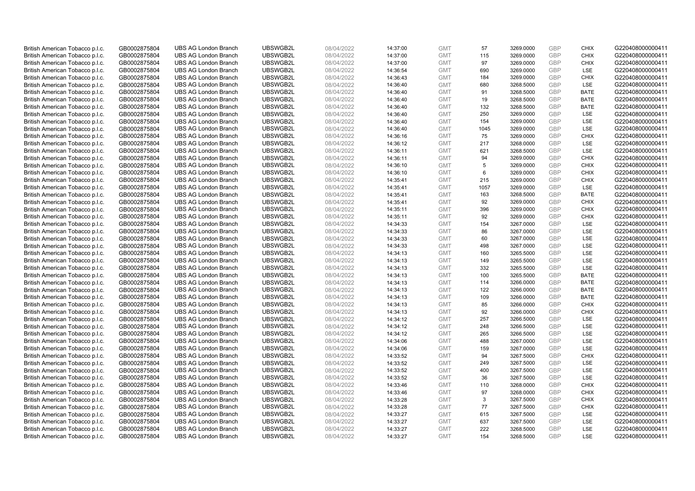| British American Tobacco p.l.c. | GB0002875804 | <b>UBS AG London Branch</b> | UBSWGB2L | 08/04/2022 | 14:37:00 | <b>GMT</b> | 57   | 3269.0000 | <b>GBP</b> | <b>CHIX</b>        | G220408000000411 |
|---------------------------------|--------------|-----------------------------|----------|------------|----------|------------|------|-----------|------------|--------------------|------------------|
| British American Tobacco p.l.c. | GB0002875804 | <b>UBS AG London Branch</b> | UBSWGB2L | 08/04/2022 | 14:37:00 | <b>GMT</b> | 115  | 3269.0000 | <b>GBP</b> | <b>CHIX</b>        | G220408000000411 |
| British American Tobacco p.l.c. | GB0002875804 | <b>UBS AG London Branch</b> | UBSWGB2L | 08/04/2022 | 14:37:00 | <b>GMT</b> | 97   | 3269.0000 | GBP        | <b>CHIX</b>        | G220408000000411 |
| British American Tobacco p.l.c. | GB0002875804 | <b>UBS AG London Branch</b> | UBSWGB2L | 08/04/2022 | 14:36:54 | <b>GMT</b> | 690  | 3269.0000 | GBP        | <b>LSE</b>         | G220408000000411 |
| British American Tobacco p.l.c. | GB0002875804 | <b>UBS AG London Branch</b> | UBSWGB2L | 08/04/2022 | 14:36:43 | <b>GMT</b> | 184  | 3269.0000 | <b>GBP</b> | <b>CHIX</b>        | G220408000000411 |
| British American Tobacco p.l.c. | GB0002875804 | <b>UBS AG London Branch</b> | UBSWGB2L | 08/04/2022 | 14:36:40 | <b>GMT</b> | 680  | 3268.5000 | <b>GBP</b> | <b>LSE</b>         | G220408000000411 |
| British American Tobacco p.l.c. | GB0002875804 | <b>UBS AG London Branch</b> | UBSWGB2L | 08/04/2022 | 14:36:40 | <b>GMT</b> | 91   | 3268.5000 | GBP        | <b>BATE</b>        | G220408000000411 |
| British American Tobacco p.l.c. | GB0002875804 | <b>UBS AG London Branch</b> | UBSWGB2L | 08/04/2022 | 14:36:40 | <b>GMT</b> | 19   | 3268.5000 | <b>GBP</b> | <b>BATE</b>        | G220408000000411 |
| British American Tobacco p.l.c. | GB0002875804 | <b>UBS AG London Branch</b> | UBSWGB2L | 08/04/2022 | 14:36:40 | <b>GMT</b> | 132  | 3268.5000 | GBP        | <b>BATE</b>        | G220408000000411 |
| British American Tobacco p.l.c. | GB0002875804 | <b>UBS AG London Branch</b> | UBSWGB2L | 08/04/2022 | 14:36:40 | <b>GMT</b> | 250  | 3269.0000 | <b>GBP</b> | LSE                | G220408000000411 |
| British American Tobacco p.l.c. | GB0002875804 | <b>UBS AG London Branch</b> | UBSWGB2L | 08/04/2022 | 14:36:40 | <b>GMT</b> | 154  | 3269.0000 | GBP        | LSE                | G220408000000411 |
| British American Tobacco p.l.c. | GB0002875804 | <b>UBS AG London Branch</b> | UBSWGB2L | 08/04/2022 | 14:36:40 | <b>GMT</b> | 1045 | 3269.0000 | <b>GBP</b> | LSE                | G220408000000411 |
| British American Tobacco p.l.c. | GB0002875804 | <b>UBS AG London Branch</b> | UBSWGB2L | 08/04/2022 | 14:36:16 | <b>GMT</b> | 75   | 3269.0000 | <b>GBP</b> | <b>CHIX</b>        | G220408000000411 |
| British American Tobacco p.l.c. | GB0002875804 | <b>UBS AG London Branch</b> | UBSWGB2L | 08/04/2022 | 14:36:12 | <b>GMT</b> | 217  | 3268.0000 | <b>GBP</b> | <b>LSE</b>         | G220408000000411 |
| British American Tobacco p.l.c. | GB0002875804 | <b>UBS AG London Branch</b> | UBSWGB2L | 08/04/2022 | 14:36:11 | <b>GMT</b> | 621  | 3268.5000 | <b>GBP</b> | <b>LSE</b>         | G220408000000411 |
| British American Tobacco p.l.c. | GB0002875804 | <b>UBS AG London Branch</b> | UBSWGB2L | 08/04/2022 | 14:36:11 | <b>GMT</b> | 94   | 3269.0000 | GBP        | <b>CHIX</b>        | G220408000000411 |
| British American Tobacco p.l.c. | GB0002875804 | <b>UBS AG London Branch</b> | UBSWGB2L | 08/04/2022 | 14:36:10 | <b>GMT</b> | 5    | 3269.0000 | GBP        | <b>CHIX</b>        | G220408000000411 |
| British American Tobacco p.l.c. | GB0002875804 | <b>UBS AG London Branch</b> | UBSWGB2L | 08/04/2022 | 14:36:10 | <b>GMT</b> | 6    | 3269.0000 | GBP        | <b>CHIX</b>        | G220408000000411 |
| British American Tobacco p.l.c. | GB0002875804 | <b>UBS AG London Branch</b> | UBSWGB2L | 08/04/2022 | 14:35:41 | <b>GMT</b> | 215  | 3269.0000 | <b>GBP</b> | <b>CHIX</b>        | G220408000000411 |
| British American Tobacco p.l.c. | GB0002875804 | <b>UBS AG London Branch</b> | UBSWGB2L | 08/04/2022 | 14:35:41 | <b>GMT</b> | 1057 | 3269.0000 | GBP        | LSE                | G220408000000411 |
| British American Tobacco p.l.c. | GB0002875804 | <b>UBS AG London Branch</b> | UBSWGB2L | 08/04/2022 | 14:35:41 | <b>GMT</b> | 163  | 3268.5000 | <b>GBP</b> | <b>BATE</b>        | G220408000000411 |
| British American Tobacco p.l.c. | GB0002875804 | <b>UBS AG London Branch</b> | UBSWGB2L | 08/04/2022 | 14:35:41 | <b>GMT</b> | 92   | 3269.0000 | GBP        | <b>CHIX</b>        | G220408000000411 |
| British American Tobacco p.l.c. | GB0002875804 | <b>UBS AG London Branch</b> | UBSWGB2L | 08/04/2022 | 14:35:11 | <b>GMT</b> | 396  | 3269.0000 | <b>GBP</b> | <b>CHIX</b>        | G220408000000411 |
| British American Tobacco p.l.c. | GB0002875804 | <b>UBS AG London Branch</b> | UBSWGB2L | 08/04/2022 | 14:35:11 | <b>GMT</b> | 92   | 3269.0000 | GBP        | <b>CHIX</b>        | G220408000000411 |
| British American Tobacco p.l.c. | GB0002875804 | <b>UBS AG London Branch</b> | UBSWGB2L | 08/04/2022 | 14:34:33 | <b>GMT</b> | 154  | 3267.0000 | <b>GBP</b> | LSE                | G220408000000411 |
| British American Tobacco p.l.c. | GB0002875804 | <b>UBS AG London Branch</b> | UBSWGB2L | 08/04/2022 | 14:34:33 | <b>GMT</b> | 86   | 3267.0000 | <b>GBP</b> | LSE                | G220408000000411 |
| British American Tobacco p.l.c. | GB0002875804 | <b>UBS AG London Branch</b> | UBSWGB2L | 08/04/2022 | 14:34:33 | <b>GMT</b> | 60   | 3267.0000 | GBP        | LSE                | G220408000000411 |
| British American Tobacco p.l.c. | GB0002875804 | <b>UBS AG London Branch</b> | UBSWGB2L | 08/04/2022 | 14:34:33 | <b>GMT</b> | 498  | 3267.0000 | <b>GBP</b> | <b>LSE</b>         | G220408000000411 |
| British American Tobacco p.l.c. | GB0002875804 | <b>UBS AG London Branch</b> | UBSWGB2L | 08/04/2022 | 14:34:13 | <b>GMT</b> | 160  | 3265.5000 | GBP        | LSE                | G220408000000411 |
| British American Tobacco p.l.c. | GB0002875804 | <b>UBS AG London Branch</b> | UBSWGB2L | 08/04/2022 | 14:34:13 | <b>GMT</b> | 149  | 3265.5000 | <b>GBP</b> | LSE                | G220408000000411 |
| British American Tobacco p.l.c. | GB0002875804 | <b>UBS AG London Branch</b> | UBSWGB2L | 08/04/2022 | 14:34:13 | <b>GMT</b> | 332  | 3265.5000 | GBP        | LSE                | G220408000000411 |
| British American Tobacco p.l.c. | GB0002875804 | <b>UBS AG London Branch</b> | UBSWGB2L | 08/04/2022 | 14:34:13 | <b>GMT</b> | 100  | 3265.5000 | GBP        | <b>BATE</b>        | G220408000000411 |
| British American Tobacco p.l.c. | GB0002875804 | <b>UBS AG London Branch</b> | UBSWGB2L | 08/04/2022 | 14:34:13 | <b>GMT</b> | 114  | 3266.0000 | GBP        | <b>BATE</b>        | G220408000000411 |
| British American Tobacco p.l.c. | GB0002875804 | <b>UBS AG London Branch</b> | UBSWGB2L | 08/04/2022 | 14:34:13 | <b>GMT</b> | 122  | 3266.0000 | GBP        | <b>BATE</b>        | G220408000000411 |
| British American Tobacco p.l.c. | GB0002875804 | <b>UBS AG London Branch</b> | UBSWGB2L | 08/04/2022 | 14:34:13 | <b>GMT</b> | 109  | 3266.0000 | GBP        | <b>BATE</b>        | G220408000000411 |
| British American Tobacco p.l.c. | GB0002875804 | <b>UBS AG London Branch</b> | UBSWGB2L | 08/04/2022 | 14:34:13 | <b>GMT</b> | 85   | 3266.0000 | <b>GBP</b> | <b>CHIX</b>        | G220408000000411 |
| British American Tobacco p.l.c. | GB0002875804 | <b>UBS AG London Branch</b> | UBSWGB2L | 08/04/2022 | 14:34:13 | <b>GMT</b> | 92   | 3266.0000 | GBP        | <b>CHIX</b>        | G220408000000411 |
| British American Tobacco p.l.c. | GB0002875804 | <b>UBS AG London Branch</b> | UBSWGB2L | 08/04/2022 | 14:34:12 | <b>GMT</b> | 257  | 3266.5000 | <b>GBP</b> | LSE                | G220408000000411 |
| British American Tobacco p.l.c. | GB0002875804 | <b>UBS AG London Branch</b> | UBSWGB2L | 08/04/2022 | 14:34:12 | <b>GMT</b> | 248  | 3266.5000 | <b>GBP</b> | LSE                | G220408000000411 |
| British American Tobacco p.l.c. | GB0002875804 | <b>UBS AG London Branch</b> | UBSWGB2L | 08/04/2022 | 14:34:12 | <b>GMT</b> | 265  | 3266.5000 | GBP        | LSE                | G220408000000411 |
| British American Tobacco p.l.c. | GB0002875804 | <b>UBS AG London Branch</b> | UBSWGB2L | 08/04/2022 | 14:34:06 | <b>GMT</b> | 488  | 3267.0000 | <b>GBP</b> | <b>LSE</b>         | G220408000000411 |
| British American Tobacco p.l.c. | GB0002875804 | <b>UBS AG London Branch</b> | UBSWGB2L | 08/04/2022 | 14:34:06 | <b>GMT</b> | 159  | 3267.0000 | GBP        | LSE                | G220408000000411 |
| British American Tobacco p.l.c. | GB0002875804 | <b>UBS AG London Branch</b> | UBSWGB2L | 08/04/2022 | 14:33:52 | <b>GMT</b> | 94   | 3267.5000 | <b>GBP</b> | <b>CHIX</b>        | G220408000000411 |
| British American Tobacco p.l.c. |              | <b>UBS AG London Branch</b> | UBSWGB2L | 08/04/2022 |          | <b>GMT</b> | 249  | 3267.5000 | GBP        | <b>LSE</b>         | G220408000000411 |
|                                 | GB0002875804 |                             | UBSWGB2L |            | 14:33:52 |            | 400  |           | GBP        | <b>LSE</b>         |                  |
| British American Tobacco p.l.c. | GB0002875804 | <b>UBS AG London Branch</b> |          | 08/04/2022 | 14:33:52 | <b>GMT</b> |      | 3267.5000 |            |                    | G220408000000411 |
| British American Tobacco p.l.c. | GB0002875804 | <b>UBS AG London Branch</b> | UBSWGB2L | 08/04/2022 | 14:33:52 | <b>GMT</b> | 36   | 3267.5000 | GBP        | LSE<br><b>CHIX</b> | G220408000000411 |
| British American Tobacco p.l.c. | GB0002875804 | <b>UBS AG London Branch</b> | UBSWGB2L | 08/04/2022 | 14:33:46 | <b>GMT</b> | 110  | 3268.0000 | GBP        |                    | G220408000000411 |
| British American Tobacco p.l.c. | GB0002875804 | <b>UBS AG London Branch</b> | UBSWGB2L | 08/04/2022 | 14:33:46 | <b>GMT</b> | 97   | 3268.0000 | GBP        | <b>CHIX</b>        | G220408000000411 |
| British American Tobacco p.l.c. | GB0002875804 | <b>UBS AG London Branch</b> | UBSWGB2L | 08/04/2022 | 14:33:28 | <b>GMT</b> | 3    | 3267.5000 | GBP        | <b>CHIX</b>        | G220408000000411 |
| British American Tobacco p.l.c. | GB0002875804 | <b>UBS AG London Branch</b> | UBSWGB2L | 08/04/2022 | 14:33:28 | <b>GMT</b> | 77   | 3267.5000 | GBP        | <b>CHIX</b>        | G220408000000411 |
| British American Tobacco p.l.c. | GB0002875804 | <b>UBS AG London Branch</b> | UBSWGB2L | 08/04/2022 | 14:33:27 | <b>GMT</b> | 615  | 3267.5000 | GBP        | LSE                | G220408000000411 |
| British American Tobacco p.l.c. | GB0002875804 | <b>UBS AG London Branch</b> | UBSWGB2L | 08/04/2022 | 14:33:27 | <b>GMT</b> | 637  | 3267.5000 | <b>GBP</b> | LSE                | G220408000000411 |
| British American Tobacco p.l.c. | GB0002875804 | <b>UBS AG London Branch</b> | UBSWGB2L | 08/04/2022 | 14:33:27 | <b>GMT</b> | 222  | 3268.5000 | GBP        | LSE                | G220408000000411 |
| British American Tobacco p.l.c. | GB0002875804 | <b>UBS AG London Branch</b> | UBSWGB2L | 08/04/2022 | 14:33:27 | <b>GMT</b> | 154  | 3268.5000 | GBP        | <b>LSE</b>         | G220408000000411 |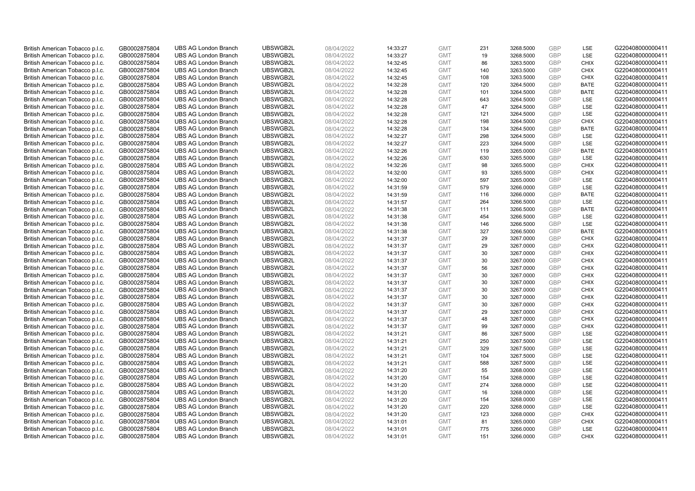| British American Tobacco p.l.c. | GB0002875804 | <b>UBS AG London Branch</b> | UBSWGB2L | 08/04/2022 | 14:33:27 | <b>GMT</b> | 231 | 3268.5000 | <b>GBP</b> | LSE         | G220408000000411 |
|---------------------------------|--------------|-----------------------------|----------|------------|----------|------------|-----|-----------|------------|-------------|------------------|
| British American Tobacco p.l.c. | GB0002875804 | <b>UBS AG London Branch</b> | UBSWGB2L | 08/04/2022 | 14:33:27 | <b>GMT</b> | 19  | 3268.5000 | GBP        | LSE         | G220408000000411 |
| British American Tobacco p.l.c. | GB0002875804 | <b>UBS AG London Branch</b> | UBSWGB2L | 08/04/2022 | 14:32:45 | <b>GMT</b> | 86  | 3263.5000 | <b>GBP</b> | <b>CHIX</b> | G220408000000411 |
| British American Tobacco p.l.c. | GB0002875804 | <b>UBS AG London Branch</b> | UBSWGB2L | 08/04/2022 | 14:32:45 | <b>GMT</b> | 140 | 3263.5000 | GBP        | <b>CHIX</b> | G220408000000411 |
| British American Tobacco p.l.c. | GB0002875804 | <b>UBS AG London Branch</b> | UBSWGB2L | 08/04/2022 | 14:32:45 | <b>GMT</b> | 108 | 3263.5000 | <b>GBP</b> | <b>CHIX</b> | G220408000000411 |
| British American Tobacco p.l.c. | GB0002875804 | <b>UBS AG London Branch</b> | UBSWGB2L | 08/04/2022 | 14:32:28 | <b>GMT</b> | 120 | 3264.5000 | GBP        | <b>BATE</b> | G220408000000411 |
| British American Tobacco p.l.c. | GB0002875804 | <b>UBS AG London Branch</b> | UBSWGB2L | 08/04/2022 | 14:32:28 | <b>GMT</b> | 101 | 3264.5000 | <b>GBP</b> | <b>BATE</b> | G220408000000411 |
| British American Tobacco p.l.c. | GB0002875804 | <b>UBS AG London Branch</b> | UBSWGB2L | 08/04/2022 | 14:32:28 | <b>GMT</b> | 643 | 3264.5000 | <b>GBP</b> | LSE         | G220408000000411 |
| British American Tobacco p.l.c. | GB0002875804 | <b>UBS AG London Branch</b> | UBSWGB2L | 08/04/2022 | 14:32:28 | <b>GMT</b> | 47  | 3264.5000 | <b>GBP</b> | LSE         | G220408000000411 |
| British American Tobacco p.l.c. | GB0002875804 | <b>UBS AG London Branch</b> | UBSWGB2L | 08/04/2022 | 14:32:28 | <b>GMT</b> | 121 | 3264.5000 | <b>GBP</b> | <b>LSE</b>  | G220408000000411 |
| British American Tobacco p.l.c. | GB0002875804 | <b>UBS AG London Branch</b> | UBSWGB2L | 08/04/2022 | 14:32:28 | <b>GMT</b> | 198 | 3264.5000 | GBP        | <b>CHIX</b> | G220408000000411 |
| British American Tobacco p.l.c. | GB0002875804 | <b>UBS AG London Branch</b> | UBSWGB2L | 08/04/2022 | 14:32:28 | <b>GMT</b> | 134 | 3264.5000 | <b>GBP</b> | <b>BATE</b> | G220408000000411 |
| British American Tobacco p.l.c. | GB0002875804 | <b>UBS AG London Branch</b> | UBSWGB2L | 08/04/2022 | 14:32:27 | <b>GMT</b> | 298 | 3264.5000 | <b>GBP</b> | LSE         | G220408000000411 |
| British American Tobacco p.l.c. | GB0002875804 | <b>UBS AG London Branch</b> | UBSWGB2L | 08/04/2022 | 14:32:27 | <b>GMT</b> | 223 | 3264.5000 | <b>GBP</b> | <b>LSE</b>  | G220408000000411 |
| British American Tobacco p.l.c. | GB0002875804 | <b>UBS AG London Branch</b> | UBSWGB2L | 08/04/2022 | 14:32:26 | <b>GMT</b> | 119 | 3265.0000 | GBP        | <b>BATE</b> | G220408000000411 |
| British American Tobacco p.l.c. | GB0002875804 | <b>UBS AG London Branch</b> | UBSWGB2L | 08/04/2022 | 14:32:26 | <b>GMT</b> | 630 | 3265.5000 | <b>GBP</b> | LSE         | G220408000000411 |
| British American Tobacco p.l.c. | GB0002875804 | <b>UBS AG London Branch</b> | UBSWGB2L | 08/04/2022 | 14:32:26 | <b>GMT</b> | 98  | 3265.5000 | <b>GBP</b> | <b>CHIX</b> | G220408000000411 |
| British American Tobacco p.l.c. | GB0002875804 | <b>UBS AG London Branch</b> | UBSWGB2L | 08/04/2022 | 14:32:00 | <b>GMT</b> | 93  | 3265.5000 | GBP        | <b>CHIX</b> | G220408000000411 |
| British American Tobacco p.l.c. | GB0002875804 | <b>UBS AG London Branch</b> | UBSWGB2L | 08/04/2022 | 14:32:00 | <b>GMT</b> | 597 | 3265.0000 | GBP        | <b>LSE</b>  | G220408000000411 |
| British American Tobacco p.l.c. | GB0002875804 | <b>UBS AG London Branch</b> | UBSWGB2L | 08/04/2022 | 14:31:59 | <b>GMT</b> | 579 | 3266.0000 | <b>GBP</b> | LSE         | G220408000000411 |
| British American Tobacco p.l.c. | GB0002875804 | <b>UBS AG London Branch</b> | UBSWGB2L | 08/04/2022 | 14:31:59 | <b>GMT</b> | 116 | 3266.0000 | GBP        | <b>BATE</b> | G220408000000411 |
| British American Tobacco p.l.c. | GB0002875804 | <b>UBS AG London Branch</b> | UBSWGB2L | 08/04/2022 | 14:31:57 | <b>GMT</b> | 264 | 3266.5000 | GBP        | <b>LSE</b>  | G220408000000411 |
| British American Tobacco p.l.c. | GB0002875804 | <b>UBS AG London Branch</b> | UBSWGB2L | 08/04/2022 | 14:31:38 | <b>GMT</b> | 111 | 3266.5000 | <b>GBP</b> | <b>BATE</b> | G220408000000411 |
| British American Tobacco p.l.c. | GB0002875804 | <b>UBS AG London Branch</b> | UBSWGB2L | 08/04/2022 | 14:31:38 | <b>GMT</b> | 454 | 3266.5000 | <b>GBP</b> | LSE         | G220408000000411 |
| British American Tobacco p.l.c. | GB0002875804 | <b>UBS AG London Branch</b> | UBSWGB2L | 08/04/2022 | 14:31:38 | <b>GMT</b> | 146 | 3266.5000 | GBP        | LSE         | G220408000000411 |
| British American Tobacco p.l.c. | GB0002875804 | <b>UBS AG London Branch</b> | UBSWGB2L | 08/04/2022 | 14:31:38 | <b>GMT</b> | 327 | 3266.5000 | GBP        | <b>BATE</b> | G220408000000411 |
| British American Tobacco p.l.c. | GB0002875804 | <b>UBS AG London Branch</b> | UBSWGB2L | 08/04/2022 | 14:31:37 | <b>GMT</b> | 29  | 3267.0000 | <b>GBP</b> | <b>CHIX</b> | G220408000000411 |
| British American Tobacco p.l.c. | GB0002875804 | <b>UBS AG London Branch</b> | UBSWGB2L | 08/04/2022 | 14:31:37 | <b>GMT</b> | 29  | 3267.0000 | <b>GBP</b> | <b>CHIX</b> | G220408000000411 |
| British American Tobacco p.l.c. | GB0002875804 | <b>UBS AG London Branch</b> | UBSWGB2L | 08/04/2022 | 14:31:37 | <b>GMT</b> | 30  | 3267.0000 | GBP        | <b>CHIX</b> | G220408000000411 |
| British American Tobacco p.l.c. | GB0002875804 | <b>UBS AG London Branch</b> | UBSWGB2L | 08/04/2022 | 14:31:37 | <b>GMT</b> | 30  | 3267.0000 | GBP        | <b>CHIX</b> | G220408000000411 |
| British American Tobacco p.l.c. | GB0002875804 | <b>UBS AG London Branch</b> | UBSWGB2L | 08/04/2022 | 14:31:37 | <b>GMT</b> | 56  | 3267.0000 | <b>GBP</b> | <b>CHIX</b> | G220408000000411 |
| British American Tobacco p.l.c. | GB0002875804 | <b>UBS AG London Branch</b> | UBSWGB2L | 08/04/2022 | 14:31:37 | <b>GMT</b> | 30  | 3267.0000 | GBP        | <b>CHIX</b> | G220408000000411 |
| British American Tobacco p.l.c. | GB0002875804 | <b>UBS AG London Branch</b> | UBSWGB2L | 08/04/2022 | 14:31:37 | <b>GMT</b> | 30  | 3267.0000 | GBP        | <b>CHIX</b> | G220408000000411 |
| British American Tobacco p.l.c. | GB0002875804 | <b>UBS AG London Branch</b> | UBSWGB2L | 08/04/2022 | 14:31:37 | <b>GMT</b> | 30  | 3267.0000 | <b>GBP</b> | <b>CHIX</b> | G220408000000411 |
| British American Tobacco p.l.c. | GB0002875804 | <b>UBS AG London Branch</b> | UBSWGB2L | 08/04/2022 | 14:31:37 | <b>GMT</b> | 30  | 3267.0000 | <b>GBP</b> | <b>CHIX</b> | G220408000000411 |
| British American Tobacco p.l.c. | GB0002875804 | <b>UBS AG London Branch</b> | UBSWGB2L | 08/04/2022 | 14:31:37 | <b>GMT</b> | 30  | 3267.0000 | <b>GBP</b> | <b>CHIX</b> | G220408000000411 |
| British American Tobacco p.l.c. | GB0002875804 | <b>UBS AG London Branch</b> | UBSWGB2L | 08/04/2022 | 14:31:37 | <b>GMT</b> | 29  | 3267.0000 | GBP        | <b>CHIX</b> | G220408000000411 |
| British American Tobacco p.l.c. | GB0002875804 | <b>UBS AG London Branch</b> | UBSWGB2L | 08/04/2022 | 14:31:37 | <b>GMT</b> | 48  | 3267.0000 | <b>GBP</b> | <b>CHIX</b> | G220408000000411 |
| British American Tobacco p.l.c. | GB0002875804 | <b>UBS AG London Branch</b> | UBSWGB2L | 08/04/2022 | 14:31:37 | <b>GMT</b> | 99  | 3267.0000 | <b>GBP</b> | <b>CHIX</b> | G220408000000411 |
| British American Tobacco p.l.c. | GB0002875804 | <b>UBS AG London Branch</b> | UBSWGB2L | 08/04/2022 | 14:31:21 | <b>GMT</b> | 86  | 3267.5000 | <b>GBP</b> | LSE         | G220408000000411 |
| British American Tobacco p.l.c. | GB0002875804 | <b>UBS AG London Branch</b> | UBSWGB2L | 08/04/2022 | 14:31:21 | <b>GMT</b> | 250 | 3267.5000 | GBP        | <b>LSE</b>  | G220408000000411 |
| British American Tobacco p.l.c. | GB0002875804 | <b>UBS AG London Branch</b> | UBSWGB2L | 08/04/2022 | 14:31:21 | <b>GMT</b> | 329 | 3267.5000 | GBP        | LSE         | G220408000000411 |
| British American Tobacco p.l.c. | GB0002875804 | <b>UBS AG London Branch</b> | UBSWGB2L | 08/04/2022 | 14:31:21 | <b>GMT</b> | 104 | 3267.5000 | <b>GBP</b> | LSE         | G220408000000411 |
| British American Tobacco p.l.c. | GB0002875804 | <b>UBS AG London Branch</b> | UBSWGB2L | 08/04/2022 | 14:31:21 | <b>GMT</b> | 588 | 3267.5000 | <b>GBP</b> | LSE         | G220408000000411 |
| British American Tobacco p.l.c. | GB0002875804 | <b>UBS AG London Branch</b> | UBSWGB2L | 08/04/2022 | 14:31:20 | <b>GMT</b> | 55  | 3268.0000 | <b>GBP</b> | <b>LSE</b>  | G220408000000411 |
| British American Tobacco p.l.c. | GB0002875804 | <b>UBS AG London Branch</b> | UBSWGB2L | 08/04/2022 | 14:31:20 | <b>GMT</b> | 154 | 3268.0000 | <b>GBP</b> | LSE         | G220408000000411 |
| British American Tobacco p.l.c. | GB0002875804 | <b>UBS AG London Branch</b> | UBSWGB2L | 08/04/2022 | 14:31:20 | <b>GMT</b> | 274 | 3268.0000 | <b>GBP</b> | LSE         | G220408000000411 |
| British American Tobacco p.l.c. | GB0002875804 | <b>UBS AG London Branch</b> | UBSWGB2L | 08/04/2022 | 14:31:20 | <b>GMT</b> | 16  | 3268.0000 | <b>GBP</b> | LSE         | G220408000000411 |
| British American Tobacco p.l.c. | GB0002875804 | <b>UBS AG London Branch</b> | UBSWGB2L | 08/04/2022 | 14:31:20 | <b>GMT</b> | 154 | 3268.0000 | <b>GBP</b> | LSE         | G220408000000411 |
| British American Tobacco p.l.c. | GB0002875804 | <b>UBS AG London Branch</b> | UBSWGB2L | 08/04/2022 | 14:31:20 | <b>GMT</b> | 220 | 3268.0000 | <b>GBP</b> | <b>LSE</b>  | G220408000000411 |
| British American Tobacco p.l.c. | GB0002875804 | <b>UBS AG London Branch</b> | UBSWGB2L | 08/04/2022 | 14:31:20 | <b>GMT</b> | 123 | 3268.0000 | <b>GBP</b> | <b>CHIX</b> | G220408000000411 |
| British American Tobacco p.l.c. | GB0002875804 | <b>UBS AG London Branch</b> | UBSWGB2L | 08/04/2022 | 14:31:01 | <b>GMT</b> | 81  | 3265.0000 | <b>GBP</b> | <b>CHIX</b> | G220408000000411 |
| British American Tobacco p.l.c. | GB0002875804 | <b>UBS AG London Branch</b> | UBSWGB2L | 08/04/2022 | 14:31:01 | <b>GMT</b> | 775 | 3266.0000 | GBP        | LSE         | G220408000000411 |
| British American Tobacco p.l.c. | GB0002875804 | <b>UBS AG London Branch</b> | UBSWGB2L | 08/04/2022 | 14:31:01 | <b>GMT</b> | 151 | 3266.0000 | GBP        | <b>CHIX</b> | G220408000000411 |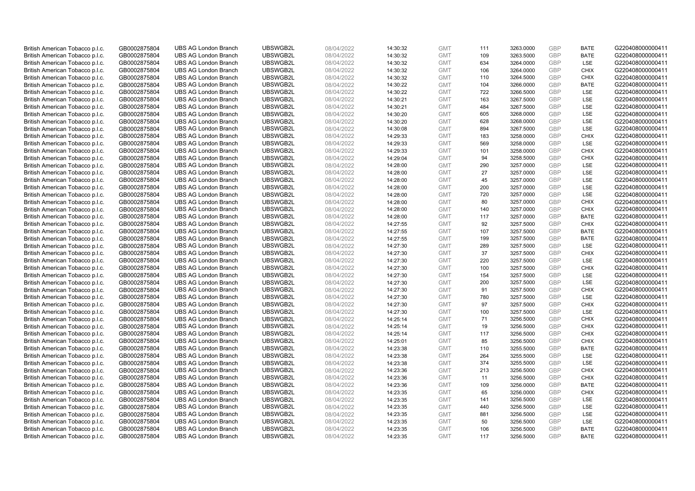| British American Tobacco p.l.c. | GB0002875804                 | <b>UBS AG London Branch</b> | UBSWGB2L             | 08/04/2022               | 14:30:32 | <b>GMT</b>               | 111        | 3263.0000              | <b>GBP</b> | <b>BATE</b>                | G220408000000411 |
|---------------------------------|------------------------------|-----------------------------|----------------------|--------------------------|----------|--------------------------|------------|------------------------|------------|----------------------------|------------------|
| British American Tobacco p.l.c. | GB0002875804                 | <b>UBS AG London Branch</b> | UBSWGB2L             | 08/04/2022               | 14:30:32 | <b>GMT</b>               | 109        | 3263.5000              | <b>GBP</b> | <b>BATE</b>                | G220408000000411 |
| British American Tobacco p.l.c. | GB0002875804                 | <b>UBS AG London Branch</b> | UBSWGB2L             | 08/04/2022               | 14:30:32 | <b>GMT</b>               | 634        | 3264.0000              | <b>GBP</b> | LSE                        | G220408000000411 |
| British American Tobacco p.l.c. | GB0002875804                 | <b>UBS AG London Branch</b> | UBSWGB2L             | 08/04/2022               | 14:30:32 | <b>GMT</b>               | 106        | 3264.0000              | <b>GBP</b> | <b>CHIX</b>                | G220408000000411 |
| British American Tobacco p.l.c. | GB0002875804                 | <b>UBS AG London Branch</b> | UBSWGB2L             | 08/04/2022               | 14:30:32 | <b>GMT</b>               | 110        | 3264.5000              | <b>GBP</b> | <b>CHIX</b>                | G220408000000411 |
| British American Tobacco p.l.c. | GB0002875804                 | <b>UBS AG London Branch</b> | UBSWGB2L             | 08/04/2022               | 14:30:22 | <b>GMT</b>               | 104        | 3266.0000              | <b>GBP</b> | <b>BATE</b>                | G220408000000411 |
| British American Tobacco p.l.c. | GB0002875804                 | <b>UBS AG London Branch</b> | UBSWGB2L             | 08/04/2022               | 14:30:22 | <b>GMT</b>               | 722        | 3266.5000              | <b>GBP</b> | LSE                        | G220408000000411 |
| British American Tobacco p.l.c. | GB0002875804                 | <b>UBS AG London Branch</b> | UBSWGB2L             | 08/04/2022               | 14:30:21 | <b>GMT</b>               | 163        | 3267.5000              | <b>GBP</b> | LSE                        | G220408000000411 |
| British American Tobacco p.l.c. | GB0002875804                 | <b>UBS AG London Branch</b> | UBSWGB2L             | 08/04/2022               | 14:30:21 | <b>GMT</b>               | 484        | 3267.5000              | <b>GBP</b> | LSE                        | G220408000000411 |
| British American Tobacco p.l.c. | GB0002875804                 | <b>UBS AG London Branch</b> | UBSWGB2L             | 08/04/2022               | 14:30:20 | <b>GMT</b>               | 605        | 3268.0000              | <b>GBP</b> | <b>LSE</b>                 | G220408000000411 |
| British American Tobacco p.l.c. | GB0002875804                 | <b>UBS AG London Branch</b> | UBSWGB2L             | 08/04/2022               | 14:30:20 | <b>GMT</b>               | 628        | 3268.0000              | <b>GBP</b> | LSE                        | G220408000000411 |
| British American Tobacco p.l.c. | GB0002875804                 | <b>UBS AG London Branch</b> | UBSWGB2L             | 08/04/2022               | 14:30:08 | <b>GMT</b>               | 894        | 3267.5000              | <b>GBP</b> | LSE                        | G220408000000411 |
| British American Tobacco p.l.c. | GB0002875804                 | <b>UBS AG London Branch</b> | UBSWGB2L             | 08/04/2022               | 14:29:33 | <b>GMT</b>               | 183        | 3258.0000              | <b>GBP</b> | <b>CHIX</b>                | G220408000000411 |
| British American Tobacco p.l.c. | GB0002875804                 | <b>UBS AG London Branch</b> | UBSWGB2L             | 08/04/2022               | 14:29:33 | <b>GMT</b>               | 569        | 3258.0000              | <b>GBP</b> | <b>LSE</b>                 | G220408000000411 |
| British American Tobacco p.l.c. | GB0002875804                 | <b>UBS AG London Branch</b> | UBSWGB2L             | 08/04/2022               | 14:29:33 | <b>GMT</b>               | 101        | 3258.0000              | <b>GBP</b> | <b>CHIX</b>                | G220408000000411 |
| British American Tobacco p.l.c. | GB0002875804                 | <b>UBS AG London Branch</b> | UBSWGB2L             | 08/04/2022               | 14:29:04 | <b>GMT</b>               | 94         | 3258.5000              | <b>GBP</b> | <b>CHIX</b>                | G220408000000411 |
| British American Tobacco p.l.c. | GB0002875804                 | <b>UBS AG London Branch</b> | UBSWGB2L             | 08/04/2022               | 14:28:00 | <b>GMT</b>               | 290        | 3257.0000              | <b>GBP</b> | <b>LSE</b>                 | G220408000000411 |
| British American Tobacco p.l.c. | GB0002875804                 | <b>UBS AG London Branch</b> | UBSWGB2L             | 08/04/2022               | 14:28:00 | <b>GMT</b>               | 27         | 3257.0000              | GBP        | LSE                        | G220408000000411 |
| British American Tobacco p.l.c. | GB0002875804                 | <b>UBS AG London Branch</b> | UBSWGB2L             | 08/04/2022               | 14:28:00 | <b>GMT</b>               | 45         | 3257.0000              | <b>GBP</b> | <b>LSE</b>                 | G220408000000411 |
| British American Tobacco p.l.c. | GB0002875804                 | <b>UBS AG London Branch</b> | UBSWGB2L             | 08/04/2022               | 14:28:00 | <b>GMT</b>               | 200        | 3257.0000              | <b>GBP</b> | LSE                        | G220408000000411 |
| British American Tobacco p.l.c. | GB0002875804                 | <b>UBS AG London Branch</b> | UBSWGB2L             | 08/04/2022               | 14:28:00 | <b>GMT</b>               | 720        | 3257.0000              | <b>GBP</b> | LSE                        | G220408000000411 |
| British American Tobacco p.l.c. | GB0002875804                 | <b>UBS AG London Branch</b> | UBSWGB2L             | 08/04/2022               | 14:28:00 | <b>GMT</b>               | 80         | 3257.0000              | GBP        | <b>CHIX</b>                | G220408000000411 |
| British American Tobacco p.l.c. | GB0002875804                 | <b>UBS AG London Branch</b> | UBSWGB2L             | 08/04/2022               | 14:28:00 | <b>GMT</b>               | 140        | 3257.0000              | <b>GBP</b> | <b>CHIX</b>                | G220408000000411 |
| British American Tobacco p.l.c. | GB0002875804                 | <b>UBS AG London Branch</b> | UBSWGB2L             | 08/04/2022               | 14:28:00 | <b>GMT</b>               | 117        | 3257.0000              | <b>GBP</b> | <b>BATE</b>                | G220408000000411 |
| British American Tobacco p.l.c. | GB0002875804                 | <b>UBS AG London Branch</b> | UBSWGB2L             | 08/04/2022               | 14:27:55 | <b>GMT</b>               | 92         | 3257.5000              | GBP        | <b>CHIX</b>                | G220408000000411 |
| British American Tobacco p.l.c. | GB0002875804                 | <b>UBS AG London Branch</b> | UBSWGB2L             | 08/04/2022               | 14:27:55 | <b>GMT</b>               | 107        | 3257.5000              | GBP        | <b>BATE</b>                | G220408000000411 |
| British American Tobacco p.l.c. | GB0002875804                 | <b>UBS AG London Branch</b> | UBSWGB2L             | 08/04/2022               | 14:27:55 | <b>GMT</b>               | 199        | 3257.5000              | <b>GBP</b> | <b>BATE</b>                | G220408000000411 |
| British American Tobacco p.l.c. | GB0002875804                 | <b>UBS AG London Branch</b> | UBSWGB2L             | 08/04/2022               | 14:27:30 | <b>GMT</b>               | 289        | 3257.5000              | <b>GBP</b> | LSE                        | G220408000000411 |
| British American Tobacco p.l.c. | GB0002875804                 | <b>UBS AG London Branch</b> | UBSWGB2L             | 08/04/2022               | 14:27:30 | <b>GMT</b>               | 37         | 3257.5000              | <b>GBP</b> | <b>CHIX</b>                | G220408000000411 |
| British American Tobacco p.l.c. | GB0002875804                 | <b>UBS AG London Branch</b> | UBSWGB2L             | 08/04/2022               | 14:27:30 | <b>GMT</b>               | 220        | 3257.5000              | GBP        | LSE                        | G220408000000411 |
| British American Tobacco p.l.c. | GB0002875804                 | <b>UBS AG London Branch</b> | UBSWGB2L             | 08/04/2022               | 14:27:30 | <b>GMT</b>               | 100        | 3257.5000              | <b>GBP</b> | <b>CHIX</b>                | G220408000000411 |
| British American Tobacco p.l.c. | GB0002875804                 | <b>UBS AG London Branch</b> | UBSWGB2L             | 08/04/2022               | 14:27:30 | <b>GMT</b>               | 154        | 3257.5000              | <b>GBP</b> | <b>LSE</b>                 | G220408000000411 |
| British American Tobacco p.l.c. | GB0002875804                 | <b>UBS AG London Branch</b> | UBSWGB2L             | 08/04/2022               | 14:27:30 | <b>GMT</b>               | 200        | 3257.5000              | GBP        | LSE                        | G220408000000411 |
| British American Tobacco p.l.c. | GB0002875804                 | <b>UBS AG London Branch</b> | UBSWGB2L             | 08/04/2022               | 14:27:30 | <b>GMT</b>               | 91         | 3257.5000              | <b>GBP</b> | <b>CHIX</b>                | G220408000000411 |
| British American Tobacco p.l.c. | GB0002875804                 | <b>UBS AG London Branch</b> | UBSWGB2L             | 08/04/2022               | 14:27:30 | <b>GMT</b>               | 780        | 3257.5000              | <b>GBP</b> | LSE                        | G220408000000411 |
| British American Tobacco p.l.c. | GB0002875804                 | <b>UBS AG London Branch</b> | UBSWGB2L             | 08/04/2022               | 14:27:30 | <b>GMT</b>               | 97         | 3257.5000              | <b>GBP</b> | <b>CHIX</b>                | G220408000000411 |
| British American Tobacco p.l.c. | GB0002875804                 | <b>UBS AG London Branch</b> | UBSWGB2L             | 08/04/2022               | 14:27:30 | <b>GMT</b>               | 100        | 3257.5000              | GBP        | <b>LSE</b>                 | G220408000000411 |
| British American Tobacco p.l.c. | GB0002875804                 | <b>UBS AG London Branch</b> | UBSWGB2L             | 08/04/2022               | 14:25:14 | <b>GMT</b>               | 71         | 3256.5000              | <b>GBP</b> | <b>CHIX</b>                | G220408000000411 |
| British American Tobacco p.l.c. | GB0002875804                 | <b>UBS AG London Branch</b> | UBSWGB2L             | 08/04/2022               | 14:25:14 | <b>GMT</b>               | 19         | 3256.5000              | GBP        | <b>CHIX</b>                | G220408000000411 |
| British American Tobacco p.l.c. | GB0002875804                 | <b>UBS AG London Branch</b> | UBSWGB2L             | 08/04/2022               | 14:25:14 | <b>GMT</b>               | 117        | 3256.5000              | <b>GBP</b> | <b>CHIX</b>                | G220408000000411 |
| British American Tobacco p.l.c. | GB0002875804                 | <b>UBS AG London Branch</b> | UBSWGB2L             | 08/04/2022               | 14:25:01 | <b>GMT</b>               | 85         | 3256.5000              | <b>GBP</b> | <b>CHIX</b>                | G220408000000411 |
| British American Tobacco p.l.c. | GB0002875804                 | <b>UBS AG London Branch</b> | UBSWGB2L             | 08/04/2022               | 14:23:38 | <b>GMT</b>               | 110        | 3255.5000              | GBP        | <b>BATE</b>                | G220408000000411 |
| British American Tobacco p.l.c. | GB0002875804                 | <b>UBS AG London Branch</b> | UBSWGB2L             | 08/04/2022               | 14:23:38 | <b>GMT</b>               | 264        | 3255.5000              | <b>GBP</b> | LSE                        | G220408000000411 |
| British American Tobacco p.l.c. | GB0002875804                 | <b>UBS AG London Branch</b> | UBSWGB2L             | 08/04/2022               | 14:23:38 | <b>GMT</b>               | 374        | 3255.5000              | GBP        | LSE                        | G220408000000411 |
| British American Tobacco p.l.c. | GB0002875804                 | <b>UBS AG London Branch</b> | UBSWGB2L             | 08/04/2022               | 14:23:36 | <b>GMT</b>               | 213        | 3256.5000              | <b>GBP</b> | <b>CHIX</b>                | G220408000000411 |
| British American Tobacco p.l.c. | GB0002875804                 | <b>UBS AG London Branch</b> | UBSWGB2L             | 08/04/2022               | 14:23:36 | <b>GMT</b>               | 11         | 3256.5000              | GBP        | <b>CHIX</b>                | G220408000000411 |
| British American Tobacco p.l.c. | GB0002875804                 | <b>UBS AG London Branch</b> | UBSWGB2L             | 08/04/2022               | 14:23:36 | <b>GMT</b>               | 109        | 3256.0000              | <b>GBP</b> | <b>BATE</b>                | G220408000000411 |
| British American Tobacco p.l.c. | GB0002875804                 | <b>UBS AG London Branch</b> | UBSWGB2L             | 08/04/2022               | 14:23:35 | <b>GMT</b>               | 65         | 3256.0000              | <b>GBP</b> | <b>CHIX</b>                | G220408000000411 |
| British American Tobacco p.l.c. | GB0002875804                 | <b>UBS AG London Branch</b> | UBSWGB2L             | 08/04/2022               | 14:23:35 | <b>GMT</b>               | 141        | 3256.5000              | <b>GBP</b> | LSE                        | G220408000000411 |
| British American Tobacco p.l.c. | GB0002875804                 | <b>UBS AG London Branch</b> | UBSWGB2L             | 08/04/2022               | 14:23:35 | <b>GMT</b>               | 440        | 3256.5000              | GBP        | LSE                        | G220408000000411 |
| British American Tobacco p.l.c. | GB0002875804                 | <b>UBS AG London Branch</b> | UBSWGB2L             | 08/04/2022               | 14:23:35 | <b>GMT</b>               | 881        | 3256.5000              | GBP        | LSE                        | G220408000000411 |
| British American Tobacco p.l.c. | GB0002875804                 | <b>UBS AG London Branch</b> | UBSWGB2L             | 08/04/2022               | 14:23:35 | <b>GMT</b>               | 50         | 3256.5000              | GBP        | LSE                        | G220408000000411 |
| British American Tobacco p.l.c. | GB0002875804<br>GB0002875804 | <b>UBS AG London Branch</b> | UBSWGB2L<br>UBSWGB2L | 08/04/2022<br>08/04/2022 | 14:23:35 | <b>GMT</b><br><b>GMT</b> | 106<br>117 | 3256.5000<br>3256.5000 | GBP<br>GBP | <b>BATE</b><br><b>BATE</b> | G220408000000411 |
| British American Tobacco p.l.c. |                              | <b>UBS AG London Branch</b> |                      |                          | 14:23:35 |                          |            |                        |            |                            | G220408000000411 |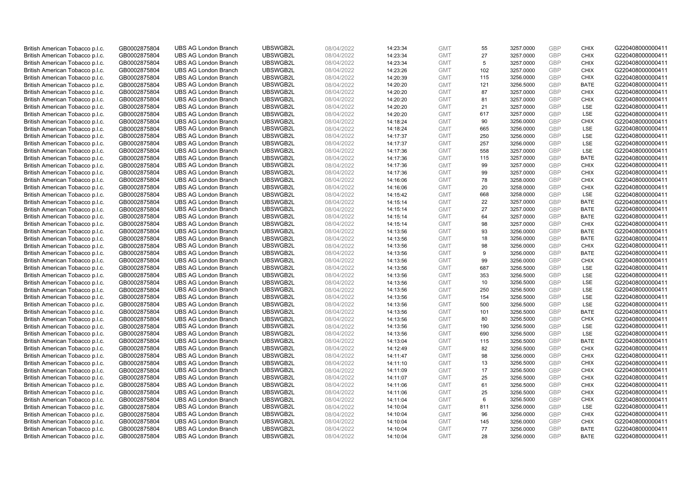| British American Tobacco p.l.c. | GB0002875804 | <b>UBS AG London Branch</b> | UBSWGB2L | 08/04/2022 | 14:23:34 | <b>GMT</b> | 55  | 3257.0000 | <b>GBP</b> | <b>CHIX</b> | G220408000000411 |
|---------------------------------|--------------|-----------------------------|----------|------------|----------|------------|-----|-----------|------------|-------------|------------------|
| British American Tobacco p.l.c. | GB0002875804 | <b>UBS AG London Branch</b> | UBSWGB2L | 08/04/2022 | 14:23:34 | <b>GMT</b> | 27  | 3257.0000 | <b>GBP</b> | <b>CHIX</b> | G220408000000411 |
| British American Tobacco p.l.c. | GB0002875804 | <b>UBS AG London Branch</b> | UBSWGB2L | 08/04/2022 | 14:23:34 | <b>GMT</b> | 5   | 3257.0000 | GBP        | <b>CHIX</b> | G220408000000411 |
| British American Tobacco p.l.c. | GB0002875804 | <b>UBS AG London Branch</b> | UBSWGB2L | 08/04/2022 | 14:23:26 | <b>GMT</b> | 102 | 3257.0000 | <b>GBP</b> | <b>CHIX</b> | G220408000000411 |
| British American Tobacco p.l.c. | GB0002875804 | <b>UBS AG London Branch</b> | UBSWGB2L | 08/04/2022 | 14:20:39 | <b>GMT</b> | 115 | 3256.0000 | GBP        | <b>CHIX</b> | G220408000000411 |
| British American Tobacco p.l.c. | GB0002875804 | <b>UBS AG London Branch</b> | UBSWGB2L | 08/04/2022 | 14:20:20 | <b>GMT</b> | 121 | 3256.5000 | <b>GBP</b> | <b>BATE</b> | G220408000000411 |
| British American Tobacco p.l.c. | GB0002875804 | <b>UBS AG London Branch</b> | UBSWGB2L | 08/04/2022 | 14:20:20 | <b>GMT</b> | 87  | 3257.0000 | GBP        | <b>CHIX</b> | G220408000000411 |
| British American Tobacco p.l.c. | GB0002875804 | <b>UBS AG London Branch</b> | UBSWGB2L | 08/04/2022 | 14:20:20 | <b>GMT</b> | 81  | 3257.0000 | <b>GBP</b> | <b>CHIX</b> | G220408000000411 |
| British American Tobacco p.l.c. | GB0002875804 | <b>UBS AG London Branch</b> | UBSWGB2L | 08/04/2022 | 14:20:20 | <b>GMT</b> | 21  | 3257.0000 | GBP        | LSE         | G220408000000411 |
| British American Tobacco p.l.c. | GB0002875804 | <b>UBS AG London Branch</b> | UBSWGB2L | 08/04/2022 | 14:20:20 | <b>GMT</b> | 617 | 3257.0000 | <b>GBP</b> | LSE         | G220408000000411 |
| British American Tobacco p.l.c. | GB0002875804 | <b>UBS AG London Branch</b> | UBSWGB2L | 08/04/2022 | 14:18:24 | <b>GMT</b> | 90  | 3256.0000 | GBP        | <b>CHIX</b> | G220408000000411 |
| British American Tobacco p.l.c. | GB0002875804 | <b>UBS AG London Branch</b> | UBSWGB2L | 08/04/2022 | 14:18:24 | <b>GMT</b> | 665 | 3256.0000 | <b>GBP</b> | LSE         | G220408000000411 |
| British American Tobacco p.l.c. | GB0002875804 | <b>UBS AG London Branch</b> | UBSWGB2L | 08/04/2022 | 14:17:37 | <b>GMT</b> | 250 | 3256.0000 | <b>GBP</b> | LSE         | G220408000000411 |
| British American Tobacco p.l.c. | GB0002875804 | <b>UBS AG London Branch</b> | UBSWGB2L | 08/04/2022 | 14:17:37 | <b>GMT</b> | 257 | 3256.0000 | <b>GBP</b> | LSE         | G220408000000411 |
| British American Tobacco p.l.c. | GB0002875804 | <b>UBS AG London Branch</b> | UBSWGB2L | 08/04/2022 | 14:17:36 | <b>GMT</b> | 558 | 3257.0000 | <b>GBP</b> | LSE         | G220408000000411 |
| British American Tobacco p.l.c. | GB0002875804 | <b>UBS AG London Branch</b> | UBSWGB2L | 08/04/2022 | 14:17:36 | <b>GMT</b> | 115 | 3257.0000 | GBP        | <b>BATE</b> | G220408000000411 |
| British American Tobacco p.l.c. | GB0002875804 | <b>UBS AG London Branch</b> | UBSWGB2L | 08/04/2022 | 14:17:36 | <b>GMT</b> | 99  | 3257.0000 | GBP        | <b>CHIX</b> | G220408000000411 |
| British American Tobacco p.l.c. | GB0002875804 | <b>UBS AG London Branch</b> | UBSWGB2L | 08/04/2022 | 14:17:36 | <b>GMT</b> | 99  | 3257.0000 | GBP        | <b>CHIX</b> | G220408000000411 |
| British American Tobacco p.l.c. | GB0002875804 | <b>UBS AG London Branch</b> | UBSWGB2L | 08/04/2022 | 14:16:06 | <b>GMT</b> | 78  | 3258.0000 | <b>GBP</b> | <b>CHIX</b> | G220408000000411 |
| British American Tobacco p.l.c. | GB0002875804 | <b>UBS AG London Branch</b> | UBSWGB2L | 08/04/2022 | 14:16:06 | <b>GMT</b> | 20  | 3258.0000 | GBP        | <b>CHIX</b> | G220408000000411 |
| British American Tobacco p.l.c. | GB0002875804 | <b>UBS AG London Branch</b> | UBSWGB2L | 08/04/2022 | 14:15:42 | <b>GMT</b> | 668 | 3258.0000 | <b>GBP</b> | LSE         | G220408000000411 |
| British American Tobacco p.l.c. | GB0002875804 | <b>UBS AG London Branch</b> | UBSWGB2L | 08/04/2022 | 14:15:14 | <b>GMT</b> | 22  | 3257.0000 | GBP        | <b>BATE</b> | G220408000000411 |
| British American Tobacco p.l.c. | GB0002875804 | <b>UBS AG London Branch</b> | UBSWGB2L | 08/04/2022 | 14:15:14 | <b>GMT</b> | 27  | 3257.0000 | <b>GBP</b> | <b>BATE</b> | G220408000000411 |
| British American Tobacco p.l.c. | GB0002875804 | <b>UBS AG London Branch</b> | UBSWGB2L | 08/04/2022 | 14:15:14 | <b>GMT</b> | 64  | 3257.0000 | GBP        | <b>BATE</b> | G220408000000411 |
| British American Tobacco p.l.c. | GB0002875804 | <b>UBS AG London Branch</b> | UBSWGB2L | 08/04/2022 | 14:15:14 | <b>GMT</b> | 98  | 3257.0000 | <b>GBP</b> | <b>CHIX</b> | G220408000000411 |
| British American Tobacco p.l.c. | GB0002875804 | <b>UBS AG London Branch</b> | UBSWGB2L | 08/04/2022 | 14:13:56 | <b>GMT</b> | 93  | 3256.0000 | GBP        | <b>BATE</b> | G220408000000411 |
| British American Tobacco p.l.c. | GB0002875804 | <b>UBS AG London Branch</b> | UBSWGB2L | 08/04/2022 | 14:13:56 | <b>GMT</b> | 18  | 3256.0000 | <b>GBP</b> | <b>BATE</b> | G220408000000411 |
| British American Tobacco p.l.c. | GB0002875804 | <b>UBS AG London Branch</b> | UBSWGB2L | 08/04/2022 | 14:13:56 | <b>GMT</b> | 98  | 3256.0000 | <b>GBP</b> | <b>CHIX</b> | G220408000000411 |
| British American Tobacco p.l.c. | GB0002875804 | <b>UBS AG London Branch</b> | UBSWGB2L | 08/04/2022 | 14:13:56 | <b>GMT</b> | 9   | 3256.0000 | GBP        | <b>BATE</b> | G220408000000411 |
| British American Tobacco p.l.c. | GB0002875804 | <b>UBS AG London Branch</b> | UBSWGB2L | 08/04/2022 | 14:13:56 | <b>GMT</b> | 99  | 3256.0000 | GBP        | <b>CHIX</b> | G220408000000411 |
| British American Tobacco p.l.c. | GB0002875804 | <b>UBS AG London Branch</b> | UBSWGB2L | 08/04/2022 | 14:13:56 | <b>GMT</b> | 687 | 3256.5000 | GBP        | LSE         | G220408000000411 |
| British American Tobacco p.l.c. | GB0002875804 | <b>UBS AG London Branch</b> | UBSWGB2L | 08/04/2022 | 14:13:56 | <b>GMT</b> | 353 | 3256.5000 | GBP        | <b>LSE</b>  | G220408000000411 |
| British American Tobacco p.l.c. | GB0002875804 | <b>UBS AG London Branch</b> | UBSWGB2L | 08/04/2022 | 14:13:56 | <b>GMT</b> | 10  | 3256.5000 | GBP        | LSE         | G220408000000411 |
| British American Tobacco p.l.c. | GB0002875804 | <b>UBS AG London Branch</b> | UBSWGB2L | 08/04/2022 | 14:13:56 | <b>GMT</b> | 250 | 3256.5000 | GBP        | LSE         | G220408000000411 |
| British American Tobacco p.l.c. | GB0002875804 | <b>UBS AG London Branch</b> | UBSWGB2L | 08/04/2022 | 14:13:56 | <b>GMT</b> | 154 | 3256.5000 | <b>GBP</b> | LSE         | G220408000000411 |
| British American Tobacco p.l.c. | GB0002875804 | <b>UBS AG London Branch</b> | UBSWGB2L | 08/04/2022 | 14:13:56 | <b>GMT</b> | 500 | 3256.5000 | <b>GBP</b> | LSE         | G220408000000411 |
| British American Tobacco p.l.c. | GB0002875804 | <b>UBS AG London Branch</b> | UBSWGB2L | 08/04/2022 | 14:13:56 | <b>GMT</b> | 101 | 3256.5000 | GBP        | <b>BATE</b> | G220408000000411 |
| British American Tobacco p.l.c. | GB0002875804 | <b>UBS AG London Branch</b> | UBSWGB2L | 08/04/2022 | 14:13:56 | <b>GMT</b> | 80  | 3256.5000 | <b>GBP</b> | <b>CHIX</b> | G220408000000411 |
| British American Tobacco p.l.c. | GB0002875804 | <b>UBS AG London Branch</b> | UBSWGB2L | 08/04/2022 | 14:13:56 | <b>GMT</b> | 190 | 3256.5000 | GBP        | LSE         | G220408000000411 |
| British American Tobacco p.l.c. | GB0002875804 | <b>UBS AG London Branch</b> | UBSWGB2L | 08/04/2022 | 14:13:56 | <b>GMT</b> | 690 | 3256.5000 | GBP        | <b>LSE</b>  | G220408000000411 |
| British American Tobacco p.l.c. | GB0002875804 | <b>UBS AG London Branch</b> | UBSWGB2L | 08/04/2022 | 14:13:04 | <b>GMT</b> | 115 | 3256.5000 | <b>GBP</b> | <b>BATE</b> | G220408000000411 |
| British American Tobacco p.l.c. | GB0002875804 | <b>UBS AG London Branch</b> | UBSWGB2L | 08/04/2022 | 14:12:49 | <b>GMT</b> | 82  | 3256.5000 | GBP        | <b>CHIX</b> | G220408000000411 |
| British American Tobacco p.l.c. | GB0002875804 | <b>UBS AG London Branch</b> | UBSWGB2L | 08/04/2022 | 14:11:47 | <b>GMT</b> | 98  | 3256.0000 | GBP        | <b>CHIX</b> | G220408000000411 |
| British American Tobacco p.l.c. |              | <b>UBS AG London Branch</b> | UBSWGB2L | 08/04/2022 |          | <b>GMT</b> | 13  | 3256.5000 | GBP        | <b>CHIX</b> | G220408000000411 |
|                                 | GB0002875804 |                             | UBSWGB2L |            | 14:11:10 |            | 17  |           | GBP        |             |                  |
| British American Tobacco p.l.c. | GB0002875804 | <b>UBS AG London Branch</b> |          | 08/04/2022 | 14:11:09 | <b>GMT</b> |     | 3256.5000 | GBP        | <b>CHIX</b> | G220408000000411 |
| British American Tobacco p.l.c. | GB0002875804 | <b>UBS AG London Branch</b> | UBSWGB2L | 08/04/2022 | 14:11:07 | <b>GMT</b> | 25  | 3256.5000 |            | <b>CHIX</b> | G220408000000411 |
| British American Tobacco p.l.c. | GB0002875804 | <b>UBS AG London Branch</b> | UBSWGB2L | 08/04/2022 | 14:11:06 | <b>GMT</b> | 61  | 3256.5000 | GBP        | <b>CHIX</b> | G220408000000411 |
| British American Tobacco p.l.c. | GB0002875804 | <b>UBS AG London Branch</b> | UBSWGB2L | 08/04/2022 | 14:11:06 | <b>GMT</b> | 25  | 3256.5000 | GBP        | <b>CHIX</b> | G220408000000411 |
| British American Tobacco p.l.c. | GB0002875804 | <b>UBS AG London Branch</b> | UBSWGB2L | 08/04/2022 | 14:11:04 | <b>GMT</b> | 6   | 3256.5000 | GBP        | <b>CHIX</b> | G220408000000411 |
| British American Tobacco p.l.c. | GB0002875804 | <b>UBS AG London Branch</b> | UBSWGB2L | 08/04/2022 | 14:10:04 | <b>GMT</b> | 811 | 3256.0000 | GBP        | <b>LSE</b>  | G220408000000411 |
| British American Tobacco p.l.c. | GB0002875804 | <b>UBS AG London Branch</b> | UBSWGB2L | 08/04/2022 | 14:10:04 | <b>GMT</b> | 96  | 3256.0000 | <b>GBP</b> | <b>CHIX</b> | G220408000000411 |
| British American Tobacco p.l.c. | GB0002875804 | <b>UBS AG London Branch</b> | UBSWGB2L | 08/04/2022 | 14:10:04 | <b>GMT</b> | 145 | 3256.0000 | GBP        | <b>CHIX</b> | G220408000000411 |
| British American Tobacco p.l.c. | GB0002875804 | <b>UBS AG London Branch</b> | UBSWGB2L | 08/04/2022 | 14:10:04 | <b>GMT</b> | 77  | 3256.0000 | GBP        | <b>BATE</b> | G220408000000411 |
| British American Tobacco p.l.c. | GB0002875804 | <b>UBS AG London Branch</b> | UBSWGB2L | 08/04/2022 | 14:10:04 | <b>GMT</b> | 28  | 3256.0000 | GBP        | <b>BATE</b> | G220408000000411 |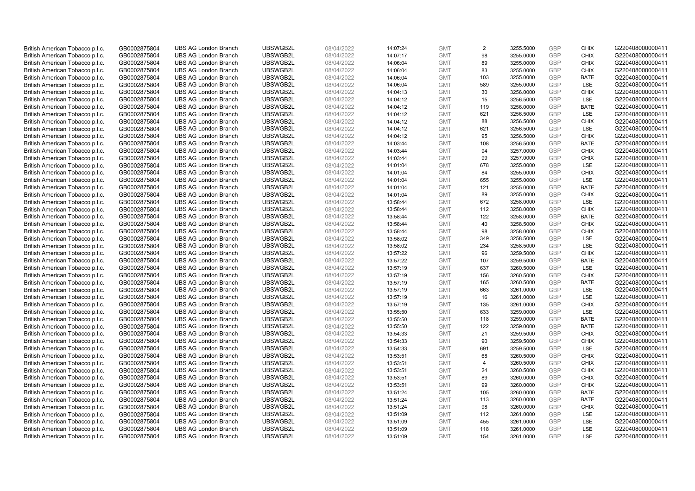| British American Tobacco p.l.c. | GB0002875804 | <b>UBS AG London Branch</b> | UBSWGB2L | 08/04/2022 | 14:07:24 | <b>GMT</b> | 2              | 3255.5000 | <b>GBP</b> | <b>CHIX</b> | G220408000000411 |
|---------------------------------|--------------|-----------------------------|----------|------------|----------|------------|----------------|-----------|------------|-------------|------------------|
| British American Tobacco p.l.c. | GB0002875804 | <b>UBS AG London Branch</b> | UBSWGB2L | 08/04/2022 | 14:07:17 | <b>GMT</b> | 98             | 3255.0000 | <b>GBP</b> | <b>CHIX</b> | G220408000000411 |
| British American Tobacco p.l.c. | GB0002875804 | <b>UBS AG London Branch</b> | UBSWGB2L | 08/04/2022 | 14:06:04 | <b>GMT</b> | 89             | 3255.0000 | GBP        | <b>CHIX</b> | G220408000000411 |
| British American Tobacco p.l.c. | GB0002875804 | <b>UBS AG London Branch</b> | UBSWGB2L | 08/04/2022 | 14:06:04 | <b>GMT</b> | 83             | 3255.0000 | GBP        | <b>CHIX</b> | G220408000000411 |
| British American Tobacco p.l.c. | GB0002875804 | <b>UBS AG London Branch</b> | UBSWGB2L | 08/04/2022 | 14:06:04 | <b>GMT</b> | 103            | 3255.0000 | <b>GBP</b> | <b>BATE</b> | G220408000000411 |
| British American Tobacco p.l.c. | GB0002875804 | <b>UBS AG London Branch</b> | UBSWGB2L | 08/04/2022 | 14:06:04 | <b>GMT</b> | 589            | 3255.0000 | <b>GBP</b> | <b>LSE</b>  | G220408000000411 |
| British American Tobacco p.l.c. | GB0002875804 | <b>UBS AG London Branch</b> | UBSWGB2L | 08/04/2022 | 14:04:13 | <b>GMT</b> | 30             | 3256.0000 | <b>GBP</b> | <b>CHIX</b> | G220408000000411 |
| British American Tobacco p.l.c. | GB0002875804 | <b>UBS AG London Branch</b> | UBSWGB2L | 08/04/2022 | 14:04:12 | <b>GMT</b> | 15             | 3256.5000 | <b>GBP</b> | LSE         | G220408000000411 |
| British American Tobacco p.l.c. | GB0002875804 | <b>UBS AG London Branch</b> | UBSWGB2L | 08/04/2022 | 14:04:12 | <b>GMT</b> | 119            | 3256.0000 | <b>GBP</b> | <b>BATE</b> | G220408000000411 |
| British American Tobacco p.l.c. | GB0002875804 | <b>UBS AG London Branch</b> | UBSWGB2L | 08/04/2022 | 14:04:12 | <b>GMT</b> | 621            | 3256.5000 | <b>GBP</b> | <b>LSE</b>  | G220408000000411 |
| British American Tobacco p.l.c. | GB0002875804 | <b>UBS AG London Branch</b> | UBSWGB2L | 08/04/2022 | 14:04:12 | <b>GMT</b> | 88             | 3256.5000 | <b>GBP</b> | <b>CHIX</b> | G220408000000411 |
| British American Tobacco p.l.c. | GB0002875804 | <b>UBS AG London Branch</b> | UBSWGB2L | 08/04/2022 | 14:04:12 | <b>GMT</b> | 621            | 3256.5000 | <b>GBP</b> | LSE         | G220408000000411 |
| British American Tobacco p.l.c. | GB0002875804 | <b>UBS AG London Branch</b> | UBSWGB2L | 08/04/2022 | 14:04:12 | <b>GMT</b> | 95             | 3256.5000 | <b>GBP</b> | <b>CHIX</b> | G220408000000411 |
| British American Tobacco p.l.c. | GB0002875804 | <b>UBS AG London Branch</b> | UBSWGB2L | 08/04/2022 | 14:03:44 | <b>GMT</b> | 108            | 3256.5000 | <b>GBP</b> | <b>BATE</b> | G220408000000411 |
| British American Tobacco p.l.c. | GB0002875804 | <b>UBS AG London Branch</b> | UBSWGB2L | 08/04/2022 | 14:03:44 | <b>GMT</b> | 94             | 3257.0000 | <b>GBP</b> | <b>CHIX</b> | G220408000000411 |
| British American Tobacco p.l.c. | GB0002875804 | <b>UBS AG London Branch</b> | UBSWGB2L | 08/04/2022 | 14:03:44 | <b>GMT</b> | 99             | 3257.0000 | GBP        | <b>CHIX</b> | G220408000000411 |
| British American Tobacco p.l.c. | GB0002875804 | <b>UBS AG London Branch</b> | UBSWGB2L | 08/04/2022 | 14:01:04 | <b>GMT</b> | 678            | 3255.0000 | <b>GBP</b> | <b>LSE</b>  | G220408000000411 |
| British American Tobacco p.l.c. | GB0002875804 | <b>UBS AG London Branch</b> | UBSWGB2L | 08/04/2022 | 14:01:04 | <b>GMT</b> | 84             | 3255.0000 | GBP        | <b>CHIX</b> | G220408000000411 |
| British American Tobacco p.l.c. | GB0002875804 | <b>UBS AG London Branch</b> | UBSWGB2L | 08/04/2022 | 14:01:04 | <b>GMT</b> | 655            | 3255.0000 | <b>GBP</b> | <b>LSE</b>  | G220408000000411 |
| British American Tobacco p.l.c. | GB0002875804 | <b>UBS AG London Branch</b> | UBSWGB2L | 08/04/2022 | 14:01:04 | <b>GMT</b> | 121            | 3255.0000 | <b>GBP</b> | <b>BATE</b> | G220408000000411 |
| British American Tobacco p.l.c. | GB0002875804 | <b>UBS AG London Branch</b> | UBSWGB2L | 08/04/2022 | 14:01:04 | <b>GMT</b> | 89             | 3255.0000 | <b>GBP</b> | <b>CHIX</b> | G220408000000411 |
| British American Tobacco p.l.c. | GB0002875804 | <b>UBS AG London Branch</b> | UBSWGB2L | 08/04/2022 | 13:58:44 | <b>GMT</b> | 672            | 3258.0000 | <b>GBP</b> | LSE         | G220408000000411 |
| British American Tobacco p.l.c. | GB0002875804 | <b>UBS AG London Branch</b> | UBSWGB2L | 08/04/2022 | 13:58:44 | <b>GMT</b> | 112            | 3258.0000 | <b>GBP</b> | <b>CHIX</b> | G220408000000411 |
| British American Tobacco p.l.c. | GB0002875804 | <b>UBS AG London Branch</b> | UBSWGB2L | 08/04/2022 | 13:58:44 | <b>GMT</b> | 122            | 3258.0000 | <b>GBP</b> | <b>BATE</b> | G220408000000411 |
| British American Tobacco p.l.c. | GB0002875804 | <b>UBS AG London Branch</b> | UBSWGB2L | 08/04/2022 | 13:58:44 | <b>GMT</b> | 40             | 3258.5000 | <b>GBP</b> | <b>CHIX</b> | G220408000000411 |
| British American Tobacco p.l.c. | GB0002875804 | <b>UBS AG London Branch</b> | UBSWGB2L | 08/04/2022 | 13:58:44 | <b>GMT</b> | 98             | 3258.0000 | <b>GBP</b> | <b>CHIX</b> | G220408000000411 |
| British American Tobacco p.l.c. | GB0002875804 | <b>UBS AG London Branch</b> | UBSWGB2L | 08/04/2022 | 13:58:02 | <b>GMT</b> | 349            | 3258.5000 | <b>GBP</b> | <b>LSE</b>  | G220408000000411 |
| British American Tobacco p.l.c. | GB0002875804 | <b>UBS AG London Branch</b> | UBSWGB2L | 08/04/2022 | 13:58:02 | <b>GMT</b> | 234            | 3258.5000 | <b>GBP</b> | <b>LSE</b>  | G220408000000411 |
| British American Tobacco p.l.c. | GB0002875804 | <b>UBS AG London Branch</b> | UBSWGB2L | 08/04/2022 | 13:57:22 | <b>GMT</b> | 96             | 3259.5000 | GBP        | <b>CHIX</b> | G220408000000411 |
| British American Tobacco p.l.c. | GB0002875804 | <b>UBS AG London Branch</b> | UBSWGB2L | 08/04/2022 | 13:57:22 | <b>GMT</b> | 107            | 3259.5000 | <b>GBP</b> | <b>BATE</b> | G220408000000411 |
| British American Tobacco p.l.c. | GB0002875804 | <b>UBS AG London Branch</b> | UBSWGB2L | 08/04/2022 | 13:57:19 | <b>GMT</b> | 637            | 3260.5000 | GBP        | LSE         | G220408000000411 |
| British American Tobacco p.l.c. | GB0002875804 | <b>UBS AG London Branch</b> | UBSWGB2L | 08/04/2022 | 13:57:19 | <b>GMT</b> | 156            | 3260.5000 | <b>GBP</b> | <b>CHIX</b> | G220408000000411 |
| British American Tobacco p.l.c. | GB0002875804 | <b>UBS AG London Branch</b> | UBSWGB2L | 08/04/2022 | 13:57:19 | <b>GMT</b> | 165            | 3260.5000 | GBP        | <b>BATE</b> | G220408000000411 |
| British American Tobacco p.l.c. | GB0002875804 | <b>UBS AG London Branch</b> | UBSWGB2L | 08/04/2022 | 13:57:19 | <b>GMT</b> | 663            | 3261.0000 | GBP        | LSE         | G220408000000411 |
| British American Tobacco p.l.c. | GB0002875804 | <b>UBS AG London Branch</b> | UBSWGB2L | 08/04/2022 | 13:57:19 | <b>GMT</b> | 16             | 3261.0000 | GBP        | LSE         | G220408000000411 |
| British American Tobacco p.l.c. | GB0002875804 | <b>UBS AG London Branch</b> | UBSWGB2L | 08/04/2022 | 13:57:19 | <b>GMT</b> | 135            | 3261.0000 | <b>GBP</b> | <b>CHIX</b> | G220408000000411 |
| British American Tobacco p.l.c. | GB0002875804 | <b>UBS AG London Branch</b> | UBSWGB2L | 08/04/2022 | 13:55:50 | <b>GMT</b> | 633            | 3259.0000 | GBP        | <b>LSE</b>  | G220408000000411 |
| British American Tobacco p.l.c. | GB0002875804 | <b>UBS AG London Branch</b> | UBSWGB2L | 08/04/2022 | 13:55:50 | <b>GMT</b> | 118            | 3259.0000 | <b>GBP</b> | <b>BATE</b> | G220408000000411 |
| British American Tobacco p.l.c. | GB0002875804 | <b>UBS AG London Branch</b> | UBSWGB2L | 08/04/2022 | 13:55:50 | <b>GMT</b> | 122            | 3259.0000 | GBP        | <b>BATE</b> | G220408000000411 |
| British American Tobacco p.l.c. | GB0002875804 | <b>UBS AG London Branch</b> | UBSWGB2L | 08/04/2022 | 13:54:33 | <b>GMT</b> | 21             | 3259.5000 | <b>GBP</b> | <b>CHIX</b> | G220408000000411 |
| British American Tobacco p.l.c. | GB0002875804 | <b>UBS AG London Branch</b> | UBSWGB2L | 08/04/2022 | 13:54:33 | <b>GMT</b> | 90             | 3259.5000 | <b>GBP</b> | <b>CHIX</b> | G220408000000411 |
| British American Tobacco p.l.c. | GB0002875804 | <b>UBS AG London Branch</b> | UBSWGB2L | 08/04/2022 | 13:54:33 | <b>GMT</b> | 691            | 3259.5000 | GBP        | <b>LSE</b>  | G220408000000411 |
| British American Tobacco p.l.c. | GB0002875804 | <b>UBS AG London Branch</b> | UBSWGB2L | 08/04/2022 | 13:53:51 | <b>GMT</b> | 68             | 3260.5000 | GBP        | <b>CHIX</b> | G220408000000411 |
| British American Tobacco p.l.c. | GB0002875804 | <b>UBS AG London Branch</b> | UBSWGB2L | 08/04/2022 | 13:53:51 | <b>GMT</b> | $\overline{4}$ | 3260.5000 | GBP        | <b>CHIX</b> | G220408000000411 |
| British American Tobacco p.l.c. | GB0002875804 | <b>UBS AG London Branch</b> | UBSWGB2L | 08/04/2022 | 13:53:51 | <b>GMT</b> | 24             | 3260.5000 | GBP        | <b>CHIX</b> | G220408000000411 |
| British American Tobacco p.l.c. | GB0002875804 | <b>UBS AG London Branch</b> | UBSWGB2L | 08/04/2022 | 13:53:51 | <b>GMT</b> | 89             | 3260.0000 | GBP        | <b>CHIX</b> | G220408000000411 |
| British American Tobacco p.l.c. | GB0002875804 | <b>UBS AG London Branch</b> | UBSWGB2L | 08/04/2022 | 13:53:51 | <b>GMT</b> | 99             | 3260.0000 | GBP        | <b>CHIX</b> | G220408000000411 |
| British American Tobacco p.l.c. | GB0002875804 | <b>UBS AG London Branch</b> | UBSWGB2L | 08/04/2022 | 13:51:24 | <b>GMT</b> | 105            | 3260.0000 | GBP        | <b>BATE</b> | G220408000000411 |
| British American Tobacco p.l.c. | GB0002875804 | <b>UBS AG London Branch</b> | UBSWGB2L | 08/04/2022 | 13:51:24 | <b>GMT</b> | 113            | 3260.0000 | GBP        | <b>BATE</b> | G220408000000411 |
| British American Tobacco p.l.c. | GB0002875804 | <b>UBS AG London Branch</b> | UBSWGB2L | 08/04/2022 | 13:51:24 | <b>GMT</b> | 98             | 3260.0000 | GBP        | <b>CHIX</b> | G220408000000411 |
| British American Tobacco p.l.c. | GB0002875804 | <b>UBS AG London Branch</b> | UBSWGB2L | 08/04/2022 | 13:51:09 | <b>GMT</b> | 112            | 3261.0000 | <b>GBP</b> | LSE         | G220408000000411 |
| British American Tobacco p.l.c. | GB0002875804 | <b>UBS AG London Branch</b> | UBSWGB2L | 08/04/2022 | 13:51:09 | <b>GMT</b> | 455            | 3261.0000 | <b>GBP</b> | LSE         | G220408000000411 |
| British American Tobacco p.l.c. | GB0002875804 | <b>UBS AG London Branch</b> | UBSWGB2L | 08/04/2022 | 13:51:09 | <b>GMT</b> | 118            | 3261.0000 | GBP        | LSE         | G220408000000411 |
| British American Tobacco p.l.c. | GB0002875804 | <b>UBS AG London Branch</b> | UBSWGB2L | 08/04/2022 | 13:51:09 | <b>GMT</b> | 154            | 3261.0000 | GBP        | <b>LSE</b>  | G220408000000411 |
|                                 |              |                             |          |            |          |            |                |           |            |             |                  |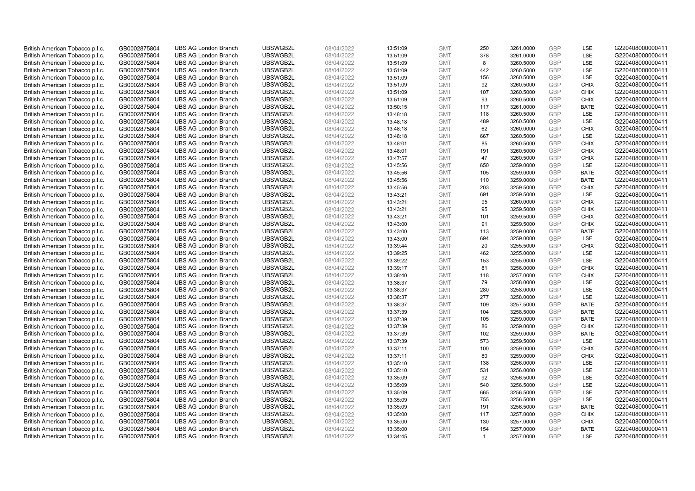| British American Tobacco p.l.c. | GB0002875804 | <b>UBS AG London Branch</b> | UBSWGB2L | 08/04/2022 | 13:51:09 | <b>GMT</b> | 250            | 3261.0000 | <b>GBP</b> | LSE         | G220408000000411 |
|---------------------------------|--------------|-----------------------------|----------|------------|----------|------------|----------------|-----------|------------|-------------|------------------|
| British American Tobacco p.l.c. | GB0002875804 | <b>UBS AG London Branch</b> | UBSWGB2L | 08/04/2022 | 13:51:09 | <b>GMT</b> | 378            | 3261.0000 | GBP        | LSE         | G220408000000411 |
| British American Tobacco p.l.c. | GB0002875804 | <b>UBS AG London Branch</b> | UBSWGB2L | 08/04/2022 | 13:51:09 | <b>GMT</b> | 8              | 3260.5000 | <b>GBP</b> | LSE         | G220408000000411 |
| British American Tobacco p.l.c. | GB0002875804 | <b>UBS AG London Branch</b> | UBSWGB2L | 08/04/2022 | 13:51:09 | <b>GMT</b> | 442            | 3260.5000 | GBP        | LSE         | G220408000000411 |
| British American Tobacco p.l.c. | GB0002875804 | <b>UBS AG London Branch</b> | UBSWGB2L | 08/04/2022 | 13:51:09 | <b>GMT</b> | 156            | 3260.5000 | <b>GBP</b> | <b>LSE</b>  | G220408000000411 |
| British American Tobacco p.l.c. | GB0002875804 | <b>UBS AG London Branch</b> | UBSWGB2L | 08/04/2022 | 13:51:09 | <b>GMT</b> | 92             | 3260.5000 | <b>GBP</b> | <b>CHIX</b> | G220408000000411 |
| British American Tobacco p.l.c. | GB0002875804 | <b>UBS AG London Branch</b> | UBSWGB2L | 08/04/2022 | 13:51:09 | <b>GMT</b> | 107            | 3260.5000 | <b>GBP</b> | <b>CHIX</b> | G220408000000411 |
| British American Tobacco p.l.c. | GB0002875804 | <b>UBS AG London Branch</b> | UBSWGB2L | 08/04/2022 | 13:51:09 | <b>GMT</b> | 93             | 3260.5000 | GBP        | <b>CHIX</b> | G220408000000411 |
| British American Tobacco p.l.c. | GB0002875804 | <b>UBS AG London Branch</b> | UBSWGB2L | 08/04/2022 | 13:50:15 | <b>GMT</b> | 117            | 3261.0000 | <b>GBP</b> | <b>BATE</b> | G220408000000411 |
| British American Tobacco p.l.c. | GB0002875804 | <b>UBS AG London Branch</b> | UBSWGB2L | 08/04/2022 | 13:48:18 | <b>GMT</b> | 118            | 3260.5000 | GBP        | <b>LSE</b>  | G220408000000411 |
| British American Tobacco p.l.c. | GB0002875804 | <b>UBS AG London Branch</b> | UBSWGB2L | 08/04/2022 | 13:48:18 | <b>GMT</b> | 489            | 3260.5000 | <b>GBP</b> | LSE         | G220408000000411 |
| British American Tobacco p.l.c. | GB0002875804 | <b>UBS AG London Branch</b> | UBSWGB2L | 08/04/2022 | 13:48:18 | <b>GMT</b> | 62             | 3260.0000 | <b>GBP</b> | <b>CHIX</b> | G220408000000411 |
| British American Tobacco p.l.c. | GB0002875804 | <b>UBS AG London Branch</b> | UBSWGB2L | 08/04/2022 | 13:48:18 | <b>GMT</b> | 667            | 3260.5000 | GBP        | LSE         | G220408000000411 |
| British American Tobacco p.l.c. | GB0002875804 | <b>UBS AG London Branch</b> | UBSWGB2L | 08/04/2022 | 13:48:01 | <b>GMT</b> | 85             | 3260.5000 | <b>GBP</b> | <b>CHIX</b> | G220408000000411 |
| British American Tobacco p.l.c. | GB0002875804 | <b>UBS AG London Branch</b> | UBSWGB2L | 08/04/2022 | 13:48:01 | <b>GMT</b> | 191            | 3260.5000 | <b>GBP</b> | <b>CHIX</b> | G220408000000411 |
| British American Tobacco p.l.c. | GB0002875804 | <b>UBS AG London Branch</b> | UBSWGB2L | 08/04/2022 | 13:47:57 | <b>GMT</b> | 47             | 3260.5000 | <b>GBP</b> | <b>CHIX</b> | G220408000000411 |
| British American Tobacco p.l.c. | GB0002875804 | <b>UBS AG London Branch</b> | UBSWGB2L | 08/04/2022 | 13:45:56 | <b>GMT</b> | 650            | 3259.0000 | <b>GBP</b> | LSE         | G220408000000411 |
| British American Tobacco p.l.c. | GB0002875804 | <b>UBS AG London Branch</b> | UBSWGB2L | 08/04/2022 | 13:45:56 | <b>GMT</b> | 105            | 3259.0000 | GBP        | <b>BATE</b> | G220408000000411 |
| British American Tobacco p.l.c. | GB0002875804 | <b>UBS AG London Branch</b> | UBSWGB2L | 08/04/2022 | 13:45:56 | <b>GMT</b> | 110            | 3259.0000 | <b>GBP</b> | <b>BATE</b> | G220408000000411 |
| British American Tobacco p.l.c. | GB0002875804 | <b>UBS AG London Branch</b> | UBSWGB2L | 08/04/2022 | 13:45:56 | <b>GMT</b> | 203            | 3259.5000 | <b>GBP</b> | <b>CHIX</b> | G220408000000411 |
| British American Tobacco p.l.c. | GB0002875804 | <b>UBS AG London Branch</b> | UBSWGB2L | 08/04/2022 | 13:43:21 | <b>GMT</b> | 691            | 3259.5000 | <b>GBP</b> | LSE         | G220408000000411 |
| British American Tobacco p.l.c. | GB0002875804 | <b>UBS AG London Branch</b> | UBSWGB2L | 08/04/2022 | 13:43:21 | <b>GMT</b> | 95             | 3260.0000 | GBP        | <b>CHIX</b> | G220408000000411 |
| British American Tobacco p.l.c. | GB0002875804 | <b>UBS AG London Branch</b> | UBSWGB2L | 08/04/2022 | 13:43:21 | <b>GMT</b> | 95             | 3259.5000 | <b>GBP</b> | <b>CHIX</b> | G220408000000411 |
| British American Tobacco p.l.c. | GB0002875804 | <b>UBS AG London Branch</b> | UBSWGB2L | 08/04/2022 | 13:43:21 | <b>GMT</b> | 101            | 3259.5000 | <b>GBP</b> | <b>CHIX</b> | G220408000000411 |
| British American Tobacco p.l.c. | GB0002875804 | <b>UBS AG London Branch</b> | UBSWGB2L | 08/04/2022 | 13:43:00 | <b>GMT</b> | 91             | 3259.5000 | <b>GBP</b> | <b>CHIX</b> | G220408000000411 |
| British American Tobacco p.l.c. | GB0002875804 | <b>UBS AG London Branch</b> | UBSWGB2L | 08/04/2022 | 13:43:00 | <b>GMT</b> | 113            | 3259.0000 | GBP        | <b>BATE</b> | G220408000000411 |
| British American Tobacco p.l.c. | GB0002875804 | <b>UBS AG London Branch</b> | UBSWGB2L | 08/04/2022 | 13:43:00 | <b>GMT</b> | 694            | 3259.0000 | <b>GBP</b> | LSE         | G220408000000411 |
| British American Tobacco p.l.c. | GB0002875804 | <b>UBS AG London Branch</b> | UBSWGB2L | 08/04/2022 | 13:39:44 | <b>GMT</b> | 20             | 3255.5000 | <b>GBP</b> | <b>CHIX</b> | G220408000000411 |
| British American Tobacco p.l.c. | GB0002875804 | <b>UBS AG London Branch</b> | UBSWGB2L | 08/04/2022 | 13:39:25 | <b>GMT</b> | 462            | 3255.0000 | <b>GBP</b> | LSE         | G220408000000411 |
| British American Tobacco p.l.c. | GB0002875804 | <b>UBS AG London Branch</b> | UBSWGB2L | 08/04/2022 | 13:39:22 | <b>GMT</b> | 153            | 3255.0000 | GBP        | LSE         | G220408000000411 |
| British American Tobacco p.l.c. | GB0002875804 | <b>UBS AG London Branch</b> | UBSWGB2L | 08/04/2022 | 13:39:17 | <b>GMT</b> | 81             | 3256.0000 | <b>GBP</b> | <b>CHIX</b> | G220408000000411 |
| British American Tobacco p.l.c. | GB0002875804 | <b>UBS AG London Branch</b> | UBSWGB2L | 08/04/2022 | 13:38:40 | <b>GMT</b> | 118            | 3257.0000 | GBP        | <b>CHIX</b> | G220408000000411 |
| British American Tobacco p.l.c. | GB0002875804 | <b>UBS AG London Branch</b> | UBSWGB2L | 08/04/2022 | 13:38:37 | <b>GMT</b> | 79             | 3258.0000 | <b>GBP</b> | LSE         | G220408000000411 |
| British American Tobacco p.l.c. | GB0002875804 | <b>UBS AG London Branch</b> | UBSWGB2L | 08/04/2022 | 13:38:37 | <b>GMT</b> | 280            | 3258.0000 | <b>GBP</b> | LSE         | G220408000000411 |
| British American Tobacco p.l.c. | GB0002875804 | <b>UBS AG London Branch</b> | UBSWGB2L | 08/04/2022 | 13:38:37 | <b>GMT</b> | 277            | 3258.0000 | <b>GBP</b> | LSE         | G220408000000411 |
| British American Tobacco p.l.c. | GB0002875804 | <b>UBS AG London Branch</b> | UBSWGB2L | 08/04/2022 | 13:38:37 | <b>GMT</b> | 109            | 3257.5000 | GBP        | <b>BATE</b> | G220408000000411 |
| British American Tobacco p.l.c. | GB0002875804 | <b>UBS AG London Branch</b> | UBSWGB2L | 08/04/2022 | 13:37:39 | <b>GMT</b> | 104            | 3258.5000 | GBP        | <b>BATE</b> | G220408000000411 |
| British American Tobacco p.l.c. | GB0002875804 | <b>UBS AG London Branch</b> | UBSWGB2L | 08/04/2022 | 13:37:39 | <b>GMT</b> | 105            | 3259.0000 | <b>GBP</b> | <b>BATE</b> | G220408000000411 |
| British American Tobacco p.l.c. | GB0002875804 | <b>UBS AG London Branch</b> | UBSWGB2L | 08/04/2022 | 13:37:39 | <b>GMT</b> | 86             | 3259.0000 | <b>GBP</b> | <b>CHIX</b> | G220408000000411 |
| British American Tobacco p.l.c. | GB0002875804 | <b>UBS AG London Branch</b> | UBSWGB2L | 08/04/2022 | 13:37:39 | <b>GMT</b> | 102            | 3259.0000 | <b>GBP</b> | <b>BATE</b> | G220408000000411 |
| British American Tobacco p.l.c. | GB0002875804 | <b>UBS AG London Branch</b> | UBSWGB2L | 08/04/2022 | 13:37:39 | <b>GMT</b> | 573            | 3259.5000 | <b>GBP</b> | <b>LSE</b>  | G220408000000411 |
| British American Tobacco p.l.c. | GB0002875804 | <b>UBS AG London Branch</b> | UBSWGB2L | 08/04/2022 | 13:37:11 | <b>GMT</b> | 100            | 3259.0000 | <b>GBP</b> | <b>CHIX</b> | G220408000000411 |
| British American Tobacco p.l.c. | GB0002875804 | <b>UBS AG London Branch</b> | UBSWGB2L | 08/04/2022 | 13:37:11 | <b>GMT</b> | 80             | 3259.0000 | <b>GBP</b> | <b>CHIX</b> | G220408000000411 |
| British American Tobacco p.l.c. | GB0002875804 | <b>UBS AG London Branch</b> | UBSWGB2L | 08/04/2022 | 13:35:10 | <b>GMT</b> | 138            | 3256.0000 | <b>GBP</b> | LSE         | G220408000000411 |
| British American Tobacco p.l.c. | GB0002875804 | <b>UBS AG London Branch</b> | UBSWGB2L | 08/04/2022 | 13:35:10 | <b>GMT</b> | 531            | 3256.0000 | <b>GBP</b> | <b>LSE</b>  | G220408000000411 |
| British American Tobacco p.l.c. | GB0002875804 | <b>UBS AG London Branch</b> | UBSWGB2L | 08/04/2022 | 13:35:09 | <b>GMT</b> | 92             | 3256.5000 | <b>GBP</b> | LSE         | G220408000000411 |
| British American Tobacco p.l.c. | GB0002875804 | <b>UBS AG London Branch</b> | UBSWGB2L | 08/04/2022 | 13:35:09 | <b>GMT</b> | 540            | 3256.5000 | <b>GBP</b> | LSE         | G220408000000411 |
| British American Tobacco p.l.c. | GB0002875804 | <b>UBS AG London Branch</b> | UBSWGB2L | 08/04/2022 | 13:35:09 | <b>GMT</b> | 665            | 3256.5000 | <b>GBP</b> | LSE         | G220408000000411 |
| British American Tobacco p.l.c. | GB0002875804 | <b>UBS AG London Branch</b> | UBSWGB2L | 08/04/2022 | 13:35:09 | <b>GMT</b> | 755            | 3256.5000 | <b>GBP</b> | LSE         | G220408000000411 |
| British American Tobacco p.l.c. | GB0002875804 | <b>UBS AG London Branch</b> | UBSWGB2L | 08/04/2022 | 13:35:09 | <b>GMT</b> | 191            | 3256.5000 | GBP        | <b>BATE</b> | G220408000000411 |
| British American Tobacco p.l.c. | GB0002875804 | <b>UBS AG London Branch</b> | UBSWGB2L | 08/04/2022 | 13:35:00 | <b>GMT</b> | 117            | 3257.0000 | <b>GBP</b> | <b>CHIX</b> | G220408000000411 |
| British American Tobacco p.l.c. | GB0002875804 | <b>UBS AG London Branch</b> | UBSWGB2L | 08/04/2022 | 13:35:00 | <b>GMT</b> | 130            | 3257.0000 | GBP        | <b>CHIX</b> | G220408000000411 |
| British American Tobacco p.l.c. | GB0002875804 | <b>UBS AG London Branch</b> | UBSWGB2L | 08/04/2022 | 13:35:00 | <b>GMT</b> | 154            | 3257.0000 | GBP        | <b>BATE</b> | G220408000000411 |
| British American Tobacco p.l.c. | GB0002875804 | <b>UBS AG London Branch</b> | UBSWGB2L | 08/04/2022 | 13:34:45 | <b>GMT</b> | $\overline{1}$ | 3257.0000 | GBP        | <b>LSE</b>  | G220408000000411 |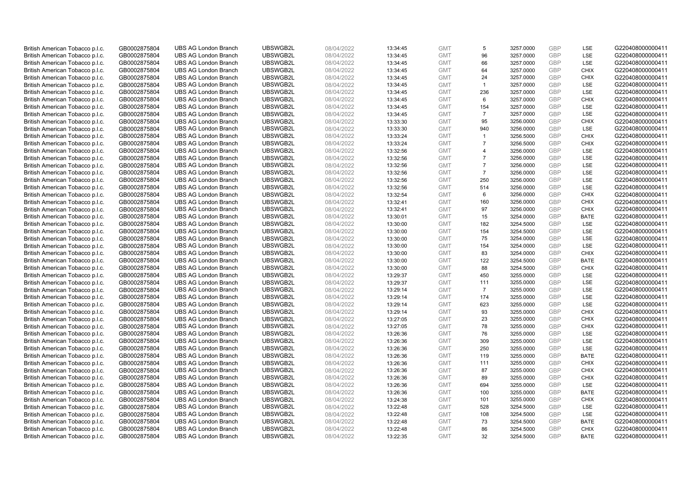| British American Tobacco p.l.c. | GB0002875804 | <b>UBS AG London Branch</b> | UBSWGB2L | 08/04/2022 | 13:34:45 | <b>GMT</b> | 5              | 3257.0000 | GBP        | LSE         | G220408000000411 |
|---------------------------------|--------------|-----------------------------|----------|------------|----------|------------|----------------|-----------|------------|-------------|------------------|
| British American Tobacco p.l.c. | GB0002875804 | <b>UBS AG London Branch</b> | UBSWGB2L | 08/04/2022 | 13:34:45 | <b>GMT</b> | 96             | 3257.0000 | <b>GBP</b> | LSE         | G220408000000411 |
| British American Tobacco p.l.c. | GB0002875804 | <b>UBS AG London Branch</b> | UBSWGB2L | 08/04/2022 | 13:34:45 | <b>GMT</b> | 66             | 3257.0000 | GBP        | LSE         | G220408000000411 |
| British American Tobacco p.l.c. | GB0002875804 | <b>UBS AG London Branch</b> | UBSWGB2L | 08/04/2022 | 13:34:45 | <b>GMT</b> | 64             | 3257.0000 | GBP        | <b>CHIX</b> | G220408000000411 |
| British American Tobacco p.l.c. | GB0002875804 | <b>UBS AG London Branch</b> | UBSWGB2L | 08/04/2022 | 13:34:45 | <b>GMT</b> | 24             | 3257.0000 | <b>GBP</b> | <b>CHIX</b> | G220408000000411 |
| British American Tobacco p.l.c. | GB0002875804 | <b>UBS AG London Branch</b> | UBSWGB2L | 08/04/2022 | 13:34:45 | <b>GMT</b> | $\overline{1}$ | 3257.0000 | <b>GBP</b> | <b>LSE</b>  | G220408000000411 |
| British American Tobacco p.l.c. | GB0002875804 | <b>UBS AG London Branch</b> | UBSWGB2L | 08/04/2022 | 13:34:45 | <b>GMT</b> | 236            | 3257.0000 | GBP        | LSE         | G220408000000411 |
| British American Tobacco p.l.c. | GB0002875804 | <b>UBS AG London Branch</b> | UBSWGB2L | 08/04/2022 | 13:34:45 | <b>GMT</b> | 6              | 3257.0000 | <b>GBP</b> | <b>CHIX</b> | G220408000000411 |
| British American Tobacco p.l.c. | GB0002875804 | <b>UBS AG London Branch</b> | UBSWGB2L | 08/04/2022 | 13:34:45 | <b>GMT</b> | 154            | 3257.0000 | GBP        | LSE         | G220408000000411 |
| British American Tobacco p.l.c. | GB0002875804 | <b>UBS AG London Branch</b> | UBSWGB2L | 08/04/2022 | 13:34:45 | <b>GMT</b> | $\overline{7}$ | 3257.0000 | <b>GBP</b> | LSE         | G220408000000411 |
| British American Tobacco p.l.c. | GB0002875804 | <b>UBS AG London Branch</b> | UBSWGB2L | 08/04/2022 | 13:33:30 | <b>GMT</b> | 95             | 3256.0000 | GBP        | <b>CHIX</b> | G220408000000411 |
| British American Tobacco p.l.c. | GB0002875804 | <b>UBS AG London Branch</b> | UBSWGB2L | 08/04/2022 | 13:33:30 | <b>GMT</b> | 940            | 3256.0000 | <b>GBP</b> | LSE         | G220408000000411 |
| British American Tobacco p.l.c. | GB0002875804 | <b>UBS AG London Branch</b> | UBSWGB2L | 08/04/2022 | 13:33:24 | <b>GMT</b> | $\mathbf{1}$   | 3256.5000 | <b>GBP</b> | <b>CHIX</b> | G220408000000411 |
| British American Tobacco p.l.c. | GB0002875804 | <b>UBS AG London Branch</b> | UBSWGB2L | 08/04/2022 | 13:33:24 | <b>GMT</b> | $\overline{7}$ | 3256.5000 | <b>GBP</b> | <b>CHIX</b> | G220408000000411 |
| British American Tobacco p.l.c. | GB0002875804 | <b>UBS AG London Branch</b> | UBSWGB2L | 08/04/2022 | 13:32:56 | <b>GMT</b> | $\overline{4}$ | 3256.0000 | <b>GBP</b> | <b>LSE</b>  | G220408000000411 |
| British American Tobacco p.l.c. | GB0002875804 | <b>UBS AG London Branch</b> | UBSWGB2L | 08/04/2022 | 13:32:56 | <b>GMT</b> | $\overline{7}$ | 3256.0000 | GBP        | LSE         | G220408000000411 |
| British American Tobacco p.l.c. | GB0002875804 | <b>UBS AG London Branch</b> | UBSWGB2L | 08/04/2022 | 13:32:56 | <b>GMT</b> | $\overline{7}$ | 3256.0000 | <b>GBP</b> | LSE         | G220408000000411 |
| British American Tobacco p.l.c. | GB0002875804 | <b>UBS AG London Branch</b> | UBSWGB2L | 08/04/2022 | 13:32:56 | <b>GMT</b> | $\overline{7}$ | 3256.0000 | <b>GBP</b> | LSE         | G220408000000411 |
| British American Tobacco p.l.c. | GB0002875804 | <b>UBS AG London Branch</b> | UBSWGB2L | 08/04/2022 | 13:32:56 | <b>GMT</b> | 250            | 3256.0000 | GBP        | <b>LSE</b>  | G220408000000411 |
| British American Tobacco p.l.c. | GB0002875804 | <b>UBS AG London Branch</b> | UBSWGB2L | 08/04/2022 | 13:32:56 | <b>GMT</b> | 514            | 3256.0000 | GBP        | LSE         | G220408000000411 |
| British American Tobacco p.l.c. | GB0002875804 | <b>UBS AG London Branch</b> | UBSWGB2L | 08/04/2022 | 13:32:54 | <b>GMT</b> | 6              | 3256.0000 | <b>GBP</b> | <b>CHIX</b> | G220408000000411 |
| British American Tobacco p.l.c. | GB0002875804 | <b>UBS AG London Branch</b> | UBSWGB2L | 08/04/2022 | 13:32:41 | <b>GMT</b> | 160            | 3256.0000 | GBP        | <b>CHIX</b> | G220408000000411 |
| British American Tobacco p.l.c. | GB0002875804 | <b>UBS AG London Branch</b> | UBSWGB2L | 08/04/2022 | 13:32:41 | <b>GMT</b> | 97             | 3256.0000 | <b>GBP</b> | <b>CHIX</b> | G220408000000411 |
| British American Tobacco p.l.c. | GB0002875804 | <b>UBS AG London Branch</b> | UBSWGB2L | 08/04/2022 | 13:30:01 | <b>GMT</b> | 15             | 3254.0000 | GBP        | <b>BATE</b> | G220408000000411 |
| British American Tobacco p.l.c. | GB0002875804 | <b>UBS AG London Branch</b> | UBSWGB2L | 08/04/2022 | 13:30:00 | <b>GMT</b> | 182            | 3254.5000 | <b>GBP</b> | LSE         | G220408000000411 |
| British American Tobacco p.l.c. | GB0002875804 | <b>UBS AG London Branch</b> | UBSWGB2L | 08/04/2022 | 13:30:00 | <b>GMT</b> | 154            | 3254.5000 | <b>GBP</b> | LSE         | G220408000000411 |
| British American Tobacco p.l.c. | GB0002875804 | <b>UBS AG London Branch</b> | UBSWGB2L | 08/04/2022 | 13:30:00 | <b>GMT</b> | 75             | 3254.0000 | GBP        | LSE         | G220408000000411 |
| British American Tobacco p.l.c. | GB0002875804 | <b>UBS AG London Branch</b> | UBSWGB2L | 08/04/2022 | 13:30:00 | <b>GMT</b> | 154            | 3254.0000 | <b>GBP</b> | <b>LSE</b>  | G220408000000411 |
| British American Tobacco p.l.c. | GB0002875804 | <b>UBS AG London Branch</b> | UBSWGB2L | 08/04/2022 | 13:30:00 | <b>GMT</b> | 83             | 3254.0000 | GBP        | <b>CHIX</b> | G220408000000411 |
| British American Tobacco p.l.c. | GB0002875804 | <b>UBS AG London Branch</b> | UBSWGB2L | 08/04/2022 | 13:30:00 | <b>GMT</b> | 122            | 3254.5000 | GBP        | <b>BATE</b> | G220408000000411 |
| British American Tobacco p.l.c. | GB0002875804 | <b>UBS AG London Branch</b> | UBSWGB2L | 08/04/2022 | 13:30:00 | <b>GMT</b> | 88             | 3254.5000 | GBP        | <b>CHIX</b> | G220408000000411 |
| British American Tobacco p.l.c. | GB0002875804 | <b>UBS AG London Branch</b> | UBSWGB2L | 08/04/2022 | 13:29:37 | <b>GMT</b> | 450            | 3255.0000 | GBP        | <b>LSE</b>  | G220408000000411 |
| British American Tobacco p.l.c. | GB0002875804 | <b>UBS AG London Branch</b> | UBSWGB2L | 08/04/2022 | 13:29:37 | <b>GMT</b> | 111            | 3255.0000 | GBP        | LSE         | G220408000000411 |
| British American Tobacco p.l.c. | GB0002875804 | <b>UBS AG London Branch</b> | UBSWGB2L | 08/04/2022 | 13:29:14 | <b>GMT</b> | $\overline{7}$ | 3255.0000 | GBP        | LSE         | G220408000000411 |
| British American Tobacco p.l.c. | GB0002875804 | <b>UBS AG London Branch</b> | UBSWGB2L | 08/04/2022 | 13:29:14 | <b>GMT</b> | 174            | 3255.0000 | GBP        | LSE         | G220408000000411 |
| British American Tobacco p.l.c. | GB0002875804 | <b>UBS AG London Branch</b> | UBSWGB2L | 08/04/2022 | 13:29:14 | <b>GMT</b> | 623            | 3255.0000 | <b>GBP</b> | LSE         | G220408000000411 |
| British American Tobacco p.l.c. | GB0002875804 | <b>UBS AG London Branch</b> | UBSWGB2L | 08/04/2022 | 13:29:14 | <b>GMT</b> | 93             | 3255.0000 | GBP        | <b>CHIX</b> | G220408000000411 |
| British American Tobacco p.l.c. | GB0002875804 | <b>UBS AG London Branch</b> | UBSWGB2L | 08/04/2022 | 13:27:05 | <b>GMT</b> | 23             | 3255.0000 | <b>GBP</b> | <b>CHIX</b> | G220408000000411 |
| British American Tobacco p.l.c. | GB0002875804 | <b>UBS AG London Branch</b> | UBSWGB2L | 08/04/2022 | 13:27:05 | <b>GMT</b> | 78             | 3255.0000 | GBP        | <b>CHIX</b> | G220408000000411 |
| British American Tobacco p.l.c. | GB0002875804 | <b>UBS AG London Branch</b> | UBSWGB2L | 08/04/2022 | 13:26:36 | <b>GMT</b> | 76             | 3255.0000 | <b>GBP</b> | <b>LSE</b>  | G220408000000411 |
| British American Tobacco p.l.c. | GB0002875804 | <b>UBS AG London Branch</b> | UBSWGB2L | 08/04/2022 | 13:26:36 | <b>GMT</b> | 309            | 3255.0000 | <b>GBP</b> | LSE         | G220408000000411 |
| British American Tobacco p.l.c. | GB0002875804 | <b>UBS AG London Branch</b> | UBSWGB2L | 08/04/2022 | 13:26:36 | <b>GMT</b> | 250            | 3255.0000 | GBP        | LSE         | G220408000000411 |
| British American Tobacco p.l.c. | GB0002875804 | <b>UBS AG London Branch</b> | UBSWGB2L | 08/04/2022 | 13:26:36 | <b>GMT</b> | 119            | 3255.0000 | GBP        | <b>BATE</b> | G220408000000411 |
| British American Tobacco p.l.c. |              | <b>UBS AG London Branch</b> | UBSWGB2L | 08/04/2022 |          | <b>GMT</b> | 111            | 3255.0000 | GBP        | <b>CHIX</b> | G220408000000411 |
|                                 | GB0002875804 |                             | UBSWGB2L |            | 13:26:36 |            | 87             |           | GBP        |             |                  |
| British American Tobacco p.l.c. | GB0002875804 | <b>UBS AG London Branch</b> |          | 08/04/2022 | 13:26:36 | <b>GMT</b> |                | 3255.0000 |            | <b>CHIX</b> | G220408000000411 |
| British American Tobacco p.l.c. | GB0002875804 | <b>UBS AG London Branch</b> | UBSWGB2L | 08/04/2022 | 13:26:36 | <b>GMT</b> | 89             | 3255.0000 | <b>GBP</b> | <b>CHIX</b> | G220408000000411 |
| British American Tobacco p.l.c. | GB0002875804 | <b>UBS AG London Branch</b> | UBSWGB2L | 08/04/2022 | 13:26:36 | <b>GMT</b> | 694            | 3255.0000 | GBP        | LSE         | G220408000000411 |
| British American Tobacco p.l.c. | GB0002875804 | <b>UBS AG London Branch</b> | UBSWGB2L | 08/04/2022 | 13:26:36 | <b>GMT</b> | 100            | 3255.0000 | GBP        | <b>BATE</b> | G220408000000411 |
| British American Tobacco p.l.c. | GB0002875804 | <b>UBS AG London Branch</b> | UBSWGB2L | 08/04/2022 | 13:24:38 | <b>GMT</b> | 101            | 3255.0000 | GBP        | <b>CHIX</b> | G220408000000411 |
| British American Tobacco p.l.c. | GB0002875804 | <b>UBS AG London Branch</b> | UBSWGB2L | 08/04/2022 | 13:22:48 | <b>GMT</b> | 528            | 3254.5000 | GBP        | <b>LSE</b>  | G220408000000411 |
| British American Tobacco p.l.c. | GB0002875804 | <b>UBS AG London Branch</b> | UBSWGB2L | 08/04/2022 | 13:22:48 | <b>GMT</b> | 108            | 3254.5000 | <b>GBP</b> | LSE         | G220408000000411 |
| British American Tobacco p.l.c. | GB0002875804 | <b>UBS AG London Branch</b> | UBSWGB2L | 08/04/2022 | 13:22:48 | <b>GMT</b> | 73             | 3254.5000 | <b>GBP</b> | <b>BATE</b> | G220408000000411 |
| British American Tobacco p.l.c. | GB0002875804 | <b>UBS AG London Branch</b> | UBSWGB2L | 08/04/2022 | 13:22:48 | <b>GMT</b> | 86             | 3254.5000 | GBP        | <b>CHIX</b> | G220408000000411 |
| British American Tobacco p.l.c. | GB0002875804 | <b>UBS AG London Branch</b> | UBSWGB2L | 08/04/2022 | 13:22:35 | <b>GMT</b> | 32             | 3254.5000 | GBP        | <b>BATE</b> | G220408000000411 |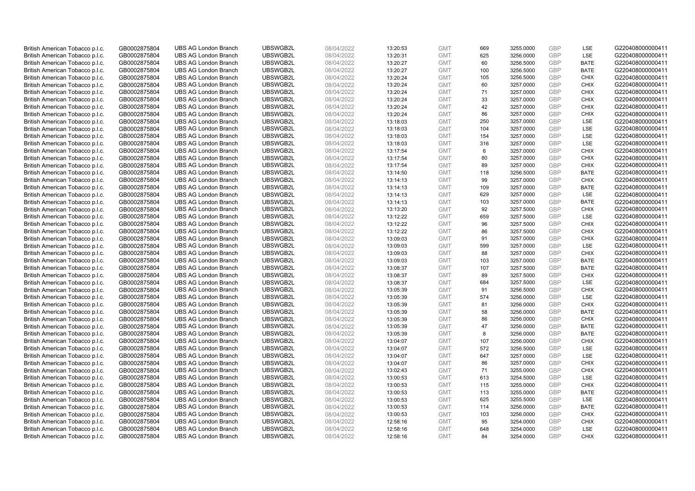| British American Tobacco p.l.c. | GB0002875804                 | <b>UBS AG London Branch</b> | UBSWGB2L             | 08/04/2022               | 13:20:53 | <b>GMT</b>               | 669       | 3255.0000              | <b>GBP</b> | LSE                | G220408000000411 |
|---------------------------------|------------------------------|-----------------------------|----------------------|--------------------------|----------|--------------------------|-----------|------------------------|------------|--------------------|------------------|
| British American Tobacco p.l.c. | GB0002875804                 | <b>UBS AG London Branch</b> | UBSWGB2L             | 08/04/2022               | 13:20:31 | <b>GMT</b>               | 625       | 3256.0000              | GBP        | LSE                | G220408000000411 |
| British American Tobacco p.l.c. | GB0002875804                 | <b>UBS AG London Branch</b> | UBSWGB2L             | 08/04/2022               | 13:20:27 | <b>GMT</b>               | 60        | 3256.5000              | <b>GBP</b> | <b>BATE</b>        | G220408000000411 |
| British American Tobacco p.l.c. | GB0002875804                 | <b>UBS AG London Branch</b> | UBSWGB2L             | 08/04/2022               | 13:20:27 | <b>GMT</b>               | 100       | 3256.5000              | GBP        | <b>BATE</b>        | G220408000000411 |
| British American Tobacco p.l.c. | GB0002875804                 | <b>UBS AG London Branch</b> | UBSWGB2L             | 08/04/2022               | 13:20:24 | <b>GMT</b>               | 105       | 3256.5000              | <b>GBP</b> | <b>CHIX</b>        | G220408000000411 |
| British American Tobacco p.l.c. | GB0002875804                 | <b>UBS AG London Branch</b> | UBSWGB2L             | 08/04/2022               | 13:20:24 | <b>GMT</b>               | 60        | 3257.0000              | GBP        | <b>CHIX</b>        | G220408000000411 |
| British American Tobacco p.l.c. | GB0002875804                 | <b>UBS AG London Branch</b> | UBSWGB2L             | 08/04/2022               | 13:20:24 | <b>GMT</b>               | 71        | 3257.0000              | <b>GBP</b> | <b>CHIX</b>        | G220408000000411 |
| British American Tobacco p.l.c. | GB0002875804                 | <b>UBS AG London Branch</b> | UBSWGB2L             | 08/04/2022               | 13:20:24 | <b>GMT</b>               | 33        | 3257.0000              | <b>GBP</b> | <b>CHIX</b>        | G220408000000411 |
| British American Tobacco p.l.c. | GB0002875804                 | <b>UBS AG London Branch</b> | UBSWGB2L             | 08/04/2022               | 13:20:24 | <b>GMT</b>               | 42        | 3257.0000              | <b>GBP</b> | <b>CHIX</b>        | G220408000000411 |
| British American Tobacco p.l.c. | GB0002875804                 | <b>UBS AG London Branch</b> | UBSWGB2L             | 08/04/2022               | 13:20:24 | <b>GMT</b>               | 86        | 3257.0000              | GBP        | <b>CHIX</b>        | G220408000000411 |
| British American Tobacco p.l.c. | GB0002875804                 | <b>UBS AG London Branch</b> | UBSWGB2L             | 08/04/2022               | 13:18:03 | <b>GMT</b>               | 250       | 3257.0000              | <b>GBP</b> | LSE                | G220408000000411 |
| British American Tobacco p.l.c. | GB0002875804                 | <b>UBS AG London Branch</b> | UBSWGB2L             | 08/04/2022               | 13:18:03 | <b>GMT</b>               | 104       | 3257.0000              | <b>GBP</b> | LSE                | G220408000000411 |
| British American Tobacco p.l.c. | GB0002875804                 | <b>UBS AG London Branch</b> | UBSWGB2L             | 08/04/2022               | 13:18:03 | <b>GMT</b>               | 154       | 3257.0000              | <b>GBP</b> | LSE                | G220408000000411 |
| British American Tobacco p.l.c. | GB0002875804                 | <b>UBS AG London Branch</b> | UBSWGB2L             | 08/04/2022               | 13:18:03 | <b>GMT</b>               | 316       | 3257.0000              | <b>GBP</b> | <b>LSE</b>         | G220408000000411 |
| British American Tobacco p.l.c. | GB0002875804                 | <b>UBS AG London Branch</b> | UBSWGB2L             | 08/04/2022               | 13:17:54 | <b>GMT</b>               | 6         | 3257.0000              | GBP        | <b>CHIX</b>        | G220408000000411 |
| British American Tobacco p.l.c. | GB0002875804                 | <b>UBS AG London Branch</b> | UBSWGB2L             | 08/04/2022               | 13:17:54 | <b>GMT</b>               | 80        | 3257.0000              | <b>GBP</b> | <b>CHIX</b>        | G220408000000411 |
| British American Tobacco p.l.c. | GB0002875804                 | <b>UBS AG London Branch</b> | UBSWGB2L             | 08/04/2022               | 13:17:54 | <b>GMT</b>               | 89        | 3257.0000              | GBP        | <b>CHIX</b>        | G220408000000411 |
| British American Tobacco p.l.c. | GB0002875804                 | <b>UBS AG London Branch</b> | UBSWGB2L             | 08/04/2022               | 13:14:50 | <b>GMT</b>               | 118       | 3256.5000              | GBP        | <b>BATE</b>        | G220408000000411 |
| British American Tobacco p.l.c. | GB0002875804                 | <b>UBS AG London Branch</b> | UBSWGB2L             | 08/04/2022               | 13:14:13 | <b>GMT</b>               | 99        | 3257.0000              | GBP        | <b>CHIX</b>        | G220408000000411 |
| British American Tobacco p.l.c. | GB0002875804                 | <b>UBS AG London Branch</b> | UBSWGB2L             | 08/04/2022               | 13:14:13 | <b>GMT</b>               | 109       | 3257.0000              | <b>GBP</b> | <b>BATE</b>        | G220408000000411 |
| British American Tobacco p.l.c. | GB0002875804                 | <b>UBS AG London Branch</b> | UBSWGB2L             | 08/04/2022               | 13:14:13 | <b>GMT</b>               | 629       | 3257.0000              | GBP        | LSE                | G220408000000411 |
| British American Tobacco p.l.c. | GB0002875804                 | <b>UBS AG London Branch</b> | UBSWGB2L             | 08/04/2022               | 13:14:13 | <b>GMT</b>               | 103       | 3257.0000              | GBP        | <b>BATE</b>        | G220408000000411 |
| British American Tobacco p.l.c. | GB0002875804                 | <b>UBS AG London Branch</b> | UBSWGB2L             | 08/04/2022               | 13:13:20 | <b>GMT</b>               | 92        | 3257.5000              | GBP        | <b>CHIX</b>        | G220408000000411 |
| British American Tobacco p.l.c. | GB0002875804                 | <b>UBS AG London Branch</b> | UBSWGB2L             | 08/04/2022               | 13:12:22 | <b>GMT</b>               | 659       | 3257.5000              | <b>GBP</b> | LSE                | G220408000000411 |
| British American Tobacco p.l.c. | GB0002875804                 | <b>UBS AG London Branch</b> | UBSWGB2L             | 08/04/2022               | 13:12:22 | <b>GMT</b>               | 96        | 3257.5000              | <b>GBP</b> | <b>CHIX</b>        | G220408000000411 |
| British American Tobacco p.l.c. | GB0002875804                 | <b>UBS AG London Branch</b> | UBSWGB2L             | 08/04/2022               | 13:12:22 | <b>GMT</b>               | 86        | 3257.5000              | GBP        | <b>CHIX</b>        | G220408000000411 |
| British American Tobacco p.l.c. | GB0002875804                 | <b>UBS AG London Branch</b> | UBSWGB2L             | 08/04/2022               | 13:09:03 | <b>GMT</b>               | 91        | 3257.0000              | <b>GBP</b> | <b>CHIX</b>        | G220408000000411 |
| British American Tobacco p.l.c. | GB0002875804                 | <b>UBS AG London Branch</b> | UBSWGB2L             | 08/04/2022               | 13:09:03 | <b>GMT</b>               | 599       | 3257.0000              | GBP        | LSE                | G220408000000411 |
| British American Tobacco p.l.c. | GB0002875804                 | <b>UBS AG London Branch</b> | UBSWGB2L             | 08/04/2022               | 13:09:03 | <b>GMT</b>               | 88        | 3257.0000              | GBP        | <b>CHIX</b>        | G220408000000411 |
| British American Tobacco p.l.c. | GB0002875804                 | <b>UBS AG London Branch</b> | UBSWGB2L             | 08/04/2022               | 13:09:03 | <b>GMT</b>               | 103       | 3257.0000              | GBP        | <b>BATE</b>        | G220408000000411 |
| British American Tobacco p.l.c. | GB0002875804                 | <b>UBS AG London Branch</b> | UBSWGB2L             | 08/04/2022               | 13:08:37 | <b>GMT</b>               | 107       | 3257.5000              | <b>GBP</b> | <b>BATE</b>        | G220408000000411 |
| British American Tobacco p.l.c. | GB0002875804                 | <b>UBS AG London Branch</b> | UBSWGB2L             | 08/04/2022               | 13:08:37 | <b>GMT</b>               | 89        | 3257.5000              | <b>GBP</b> | <b>CHIX</b>        | G220408000000411 |
| British American Tobacco p.l.c. | GB0002875804                 | <b>UBS AG London Branch</b> | UBSWGB2L             | 08/04/2022               | 13:08:37 | <b>GMT</b>               | 684       | 3257.5000              | GBP        | LSE                | G220408000000411 |
| British American Tobacco p.l.c. | GB0002875804                 | <b>UBS AG London Branch</b> | UBSWGB2L             | 08/04/2022               | 13:05:39 | <b>GMT</b>               | 91        | 3256.5000              | <b>GBP</b> | <b>CHIX</b>        | G220408000000411 |
| British American Tobacco p.l.c. | GB0002875804                 | <b>UBS AG London Branch</b> | UBSWGB2L             | 08/04/2022               | 13:05:39 | <b>GMT</b>               | 574       | 3256.0000              | <b>GBP</b> | LSE                | G220408000000411 |
| British American Tobacco p.l.c. | GB0002875804                 | <b>UBS AG London Branch</b> | UBSWGB2L             | 08/04/2022               | 13:05:39 | <b>GMT</b>               | 81        | 3256.0000              | GBP        | <b>CHIX</b>        | G220408000000411 |
| British American Tobacco p.l.c. | GB0002875804                 | <b>UBS AG London Branch</b> | UBSWGB2L             | 08/04/2022               | 13:05:39 | <b>GMT</b>               | 58        | 3256.0000              | GBP        | <b>BATE</b>        | G220408000000411 |
| British American Tobacco p.l.c. | GB0002875804                 | <b>UBS AG London Branch</b> | UBSWGB2L             | 08/04/2022               | 13:05:39 | <b>GMT</b>               | 86        | 3256.0000              | <b>GBP</b> | <b>CHIX</b>        | G220408000000411 |
| British American Tobacco p.l.c. | GB0002875804                 | <b>UBS AG London Branch</b> | UBSWGB2L             | 08/04/2022               | 13:05:39 | <b>GMT</b>               | 47        | 3256.0000              | GBP        | <b>BATE</b>        | G220408000000411 |
| British American Tobacco p.l.c. | GB0002875804                 | <b>UBS AG London Branch</b> | UBSWGB2L             | 08/04/2022               | 13:05:39 | <b>GMT</b>               | 8         | 3256.0000              | <b>GBP</b> | <b>BATE</b>        | G220408000000411 |
| British American Tobacco p.l.c. | GB0002875804                 | <b>UBS AG London Branch</b> | UBSWGB2L             | 08/04/2022               | 13:04:07 | <b>GMT</b>               | 107       | 3256.0000              | <b>GBP</b> | <b>CHIX</b>        | G220408000000411 |
| British American Tobacco p.l.c. | GB0002875804                 | <b>UBS AG London Branch</b> | UBSWGB2L             | 08/04/2022               | 13:04:07 | <b>GMT</b>               | 572       | 3256.5000              | GBP        | LSE                | G220408000000411 |
| British American Tobacco p.l.c. | GB0002875804                 | <b>UBS AG London Branch</b> | UBSWGB2L             | 08/04/2022               | 13:04:07 | <b>GMT</b>               | 647       | 3257.0000              | <b>GBP</b> | <b>LSE</b>         | G220408000000411 |
| British American Tobacco p.l.c. | GB0002875804                 | <b>UBS AG London Branch</b> | UBSWGB2L             | 08/04/2022               | 13:04:07 | <b>GMT</b>               | 86        | 3257.0000              | GBP        | <b>CHIX</b>        | G220408000000411 |
| British American Tobacco p.l.c. | GB0002875804                 | <b>UBS AG London Branch</b> | UBSWGB2L             | 08/04/2022               | 13:02:43 | <b>GMT</b>               | 71        | 3255.0000              | <b>GBP</b> | <b>CHIX</b>        | G220408000000411 |
| British American Tobacco p.l.c. | GB0002875804                 | <b>UBS AG London Branch</b> | UBSWGB2L             | 08/04/2022               | 13:00:53 | <b>GMT</b>               | 613       | 3254.5000              | GBP        | LSE                | G220408000000411 |
| British American Tobacco p.l.c. | GB0002875804                 | <b>UBS AG London Branch</b> | UBSWGB2L             | 08/04/2022               | 13:00:53 | <b>GMT</b>               | 115       | 3255.0000              | <b>GBP</b> | <b>CHIX</b>        | G220408000000411 |
| British American Tobacco p.l.c. | GB0002875804                 | <b>UBS AG London Branch</b> | UBSWGB2L             | 08/04/2022               | 13:00:53 | <b>GMT</b>               | 113       | 3255.0000              | GBP        | <b>BATE</b>        | G220408000000411 |
| British American Tobacco p.l.c. | GB0002875804                 | <b>UBS AG London Branch</b> | UBSWGB2L             | 08/04/2022               | 13:00:53 | <b>GMT</b>               | 625       | 3255.5000              | <b>GBP</b> | LSE                | G220408000000411 |
| British American Tobacco p.l.c. | GB0002875804                 | <b>UBS AG London Branch</b> | UBSWGB2L             | 08/04/2022               | 13:00:53 | <b>GMT</b>               | 114       | 3256.0000              | GBP        | <b>BATE</b>        | G220408000000411 |
| British American Tobacco p.l.c. | GB0002875804                 | <b>UBS AG London Branch</b> | UBSWGB2L             | 08/04/2022               | 13:00:53 | <b>GMT</b>               | 103       | 3256.0000              | <b>GBP</b> | <b>CHIX</b>        | G220408000000411 |
| British American Tobacco p.l.c. | GB0002875804                 | <b>UBS AG London Branch</b> | UBSWGB2L             | 08/04/2022               | 12:58:16 | <b>GMT</b>               | 95        | 3254.0000              | GBP        | <b>CHIX</b>        | G220408000000411 |
| British American Tobacco p.l.c. | GB0002875804<br>GB0002875804 | <b>UBS AG London Branch</b> | UBSWGB2L<br>UBSWGB2L | 08/04/2022<br>08/04/2022 | 12:58:16 | <b>GMT</b><br><b>GMT</b> | 648<br>84 | 3254.0000<br>3254.0000 | GBP<br>GBP | LSE<br><b>CHIX</b> | G220408000000411 |
| British American Tobacco p.l.c. |                              | <b>UBS AG London Branch</b> |                      |                          | 12:58:16 |                          |           |                        |            |                    | G220408000000411 |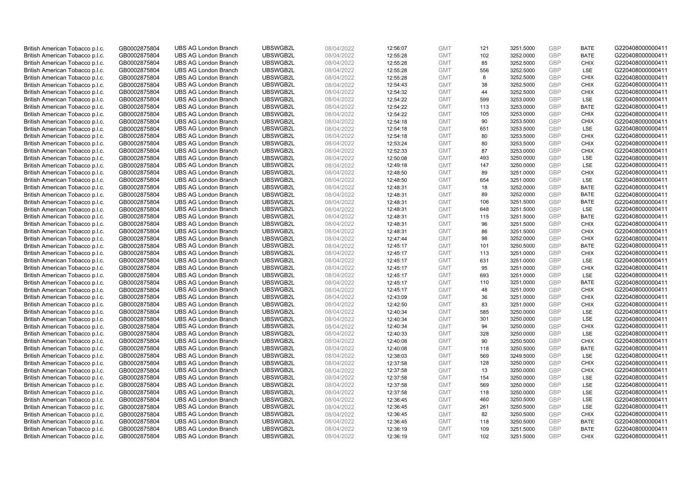| British American Tobacco p.l.c. | GB0002875804                 | <b>UBS AG London Branch</b> | UBSWGB2L             | 08/04/2022               | 12:56:07 | <b>GMT</b>               | 121        | 3251.5000              | <b>GBP</b> | <b>BATE</b>                | G220408000000411 |
|---------------------------------|------------------------------|-----------------------------|----------------------|--------------------------|----------|--------------------------|------------|------------------------|------------|----------------------------|------------------|
| British American Tobacco p.l.c. | GB0002875804                 | <b>UBS AG London Branch</b> | UBSWGB2L             | 08/04/2022               | 12:55:28 | <b>GMT</b>               | 102        | 3252.0000              | GBP        | <b>BATE</b>                | G220408000000411 |
| British American Tobacco p.l.c. | GB0002875804                 | <b>UBS AG London Branch</b> | UBSWGB2L             | 08/04/2022               | 12:55:28 | <b>GMT</b>               | 85         | 3252.5000              | <b>GBP</b> | <b>CHIX</b>                | G220408000000411 |
| British American Tobacco p.l.c. | GB0002875804                 | <b>UBS AG London Branch</b> | UBSWGB2L             | 08/04/2022               | 12:55:28 | <b>GMT</b>               | 556        | 3252.5000              | GBP        | LSE                        | G220408000000411 |
| British American Tobacco p.l.c. | GB0002875804                 | <b>UBS AG London Branch</b> | UBSWGB2L             | 08/04/2022               | 12:55:28 | <b>GMT</b>               | 8          | 3252.5000              | <b>GBP</b> | <b>CHIX</b>                | G220408000000411 |
| British American Tobacco p.l.c. | GB0002875804                 | <b>UBS AG London Branch</b> | UBSWGB2L             | 08/04/2022               | 12:54:43 | <b>GMT</b>               | 38         | 3252.5000              | GBP        | <b>CHIX</b>                | G220408000000411 |
| British American Tobacco p.l.c. | GB0002875804                 | <b>UBS AG London Branch</b> | UBSWGB2L             | 08/04/2022               | 12:54:32 | <b>GMT</b>               | 44         | 3252.5000              | <b>GBP</b> | <b>CHIX</b>                | G220408000000411 |
| British American Tobacco p.l.c. | GB0002875804                 | <b>UBS AG London Branch</b> | UBSWGB2L             | 08/04/2022               | 12:54:22 | <b>GMT</b>               | 599        | 3253.0000              | GBP        | LSE                        | G220408000000411 |
| British American Tobacco p.l.c. | GB0002875804                 | <b>UBS AG London Branch</b> | UBSWGB2L             | 08/04/2022               | 12:54:22 | <b>GMT</b>               | 113        | 3253.0000              | <b>GBP</b> | <b>BATE</b>                | G220408000000411 |
| British American Tobacco p.l.c. | GB0002875804                 | <b>UBS AG London Branch</b> | UBSWGB2L             | 08/04/2022               | 12:54:22 | <b>GMT</b>               | 105        | 3253.0000              | GBP        | <b>CHIX</b>                | G220408000000411 |
| British American Tobacco p.l.c. | GB0002875804                 | <b>UBS AG London Branch</b> | UBSWGB2L             | 08/04/2022               | 12:54:18 | <b>GMT</b>               | 90         | 3253.5000              | <b>GBP</b> | <b>CHIX</b>                | G220408000000411 |
| British American Tobacco p.l.c. | GB0002875804                 | <b>UBS AG London Branch</b> | UBSWGB2L             | 08/04/2022               | 12:54:18 | <b>GMT</b>               | 651        | 3253.5000              | <b>GBP</b> | LSE                        | G220408000000411 |
| British American Tobacco p.l.c. | GB0002875804                 | <b>UBS AG London Branch</b> | UBSWGB2L             | 08/04/2022               | 12:54:18 | <b>GMT</b>               | 80         | 3253.5000              | GBP        | <b>CHIX</b>                | G220408000000411 |
| British American Tobacco p.l.c. | GB0002875804                 | <b>UBS AG London Branch</b> | UBSWGB2L             | 08/04/2022               | 12:53:24 | <b>GMT</b>               | 80         | 3253.5000              | <b>GBP</b> | <b>CHIX</b>                | G220408000000411 |
| British American Tobacco p.l.c. | GB0002875804                 | <b>UBS AG London Branch</b> | UBSWGB2L             | 08/04/2022               | 12:52:33 | <b>GMT</b>               | 87         | 3253.0000              | GBP        | <b>CHIX</b>                | G220408000000411 |
| British American Tobacco p.l.c. | GB0002875804                 | <b>UBS AG London Branch</b> | UBSWGB2L             | 08/04/2022               | 12:50:08 | <b>GMT</b>               | 493        | 3250.0000              | <b>GBP</b> | LSE                        | G220408000000411 |
| British American Tobacco p.l.c. | GB0002875804                 | <b>UBS AG London Branch</b> | UBSWGB2L             | 08/04/2022               | 12:49:18 | <b>GMT</b>               | 147        | 3250.0000              | <b>GBP</b> | <b>LSE</b>                 | G220408000000411 |
| British American Tobacco p.l.c. | GB0002875804                 | <b>UBS AG London Branch</b> | UBSWGB2L             | 08/04/2022               | 12:48:50 | <b>GMT</b>               | 89         | 3251.0000              | GBP        | <b>CHIX</b>                | G220408000000411 |
| British American Tobacco p.l.c. | GB0002875804                 | <b>UBS AG London Branch</b> | UBSWGB2L             | 08/04/2022               | 12:48:50 | <b>GMT</b>               | 654        | 3251.0000              | GBP        | <b>LSE</b>                 | G220408000000411 |
| British American Tobacco p.l.c. | GB0002875804                 | <b>UBS AG London Branch</b> | UBSWGB2L             | 08/04/2022               | 12:48:31 | <b>GMT</b>               | 18         | 3252.0000              | <b>GBP</b> | <b>BATE</b>                | G220408000000411 |
| British American Tobacco p.l.c. | GB0002875804                 | <b>UBS AG London Branch</b> | UBSWGB2L             | 08/04/2022               | 12:48:31 | <b>GMT</b>               | 89         | 3252.0000              | GBP        | <b>BATE</b>                | G220408000000411 |
| British American Tobacco p.l.c. | GB0002875804                 | <b>UBS AG London Branch</b> | UBSWGB2L             | 08/04/2022               | 12:48:31 | <b>GMT</b>               | 106        | 3251.5000              | GBP        | <b>BATE</b>                | G220408000000411 |
| British American Tobacco p.l.c. | GB0002875804                 | <b>UBS AG London Branch</b> | UBSWGB2L             | 08/04/2022               | 12:48:31 | <b>GMT</b>               | 648        | 3251.5000              | <b>GBP</b> | LSE                        | G220408000000411 |
| British American Tobacco p.l.c. | GB0002875804                 | <b>UBS AG London Branch</b> | UBSWGB2L             | 08/04/2022               | 12:48:31 | <b>GMT</b>               | 115        | 3251.5000              | <b>GBP</b> | <b>BATE</b>                | G220408000000411 |
| British American Tobacco p.l.c. | GB0002875804                 | <b>UBS AG London Branch</b> | UBSWGB2L             | 08/04/2022               | 12:48:31 | <b>GMT</b>               | 96         | 3251.5000              | <b>GBP</b> | <b>CHIX</b>                | G220408000000411 |
| British American Tobacco p.l.c. | GB0002875804                 | <b>UBS AG London Branch</b> | UBSWGB2L             | 08/04/2022               | 12:48:31 | <b>GMT</b>               | 86         | 3251.5000              | GBP        | <b>CHIX</b>                | G220408000000411 |
| British American Tobacco p.l.c. | GB0002875804                 | <b>UBS AG London Branch</b> | UBSWGB2L             | 08/04/2022               | 12:47:44 | <b>GMT</b>               | 98         | 3252.0000              | <b>GBP</b> | <b>CHIX</b>                | G220408000000411 |
| British American Tobacco p.l.c. | GB0002875804                 | <b>UBS AG London Branch</b> | UBSWGB2L             | 08/04/2022               | 12:45:17 | <b>GMT</b>               | 101        | 3250.5000              | GBP        | <b>BATE</b>                | G220408000000411 |
| British American Tobacco p.l.c. | GB0002875804                 | <b>UBS AG London Branch</b> | UBSWGB2L             | 08/04/2022               | 12:45:17 | <b>GMT</b>               | 113        | 3251.0000              | GBP        | <b>CHIX</b>                | G220408000000411 |
| British American Tobacco p.l.c. | GB0002875804                 | <b>UBS AG London Branch</b> | UBSWGB2L             | 08/04/2022               | 12:45:17 | <b>GMT</b>               | 631        | 3251.0000              | GBP        | LSE                        | G220408000000411 |
| British American Tobacco p.l.c. | GB0002875804                 | <b>UBS AG London Branch</b> | UBSWGB2L             | 08/04/2022               | 12:45:17 | <b>GMT</b>               | 95         | 3251.0000              | <b>GBP</b> | <b>CHIX</b>                | G220408000000411 |
| British American Tobacco p.l.c. | GB0002875804                 | <b>UBS AG London Branch</b> | UBSWGB2L             | 08/04/2022               | 12:45:17 | <b>GMT</b>               | 693        | 3251.0000              | <b>GBP</b> | <b>LSE</b>                 | G220408000000411 |
| British American Tobacco p.l.c. | GB0002875804                 | <b>UBS AG London Branch</b> | UBSWGB2L             | 08/04/2022               | 12:45:17 | <b>GMT</b>               | 110        | 3251.0000              | GBP        | <b>BATE</b>                | G220408000000411 |
| British American Tobacco p.l.c. | GB0002875804                 | <b>UBS AG London Branch</b> | UBSWGB2L             | 08/04/2022               | 12:45:17 | <b>GMT</b>               | 48         | 3251.0000              | <b>GBP</b> | <b>CHIX</b>                | G220408000000411 |
| British American Tobacco p.l.c. | GB0002875804                 | <b>UBS AG London Branch</b> | UBSWGB2L             | 08/04/2022               | 12:43:09 | <b>GMT</b>               | 36         | 3251.0000              | <b>GBP</b> | <b>CHIX</b>                | G220408000000411 |
| British American Tobacco p.l.c. | GB0002875804                 | <b>UBS AG London Branch</b> | UBSWGB2L             | 08/04/2022               | 12:42:50 | <b>GMT</b>               | 83         | 3251.0000              | <b>GBP</b> | <b>CHIX</b>                | G220408000000411 |
| British American Tobacco p.l.c. | GB0002875804                 | <b>UBS AG London Branch</b> | UBSWGB2L             | 08/04/2022               | 12:40:34 | <b>GMT</b>               | 585        | 3250.0000              | GBP        | <b>LSE</b>                 | G220408000000411 |
| British American Tobacco p.l.c. | GB0002875804                 | <b>UBS AG London Branch</b> | UBSWGB2L             | 08/04/2022               | 12:40:34 | <b>GMT</b>               | 301        | 3250.0000              | <b>GBP</b> | LSE                        | G220408000000411 |
| British American Tobacco p.l.c. | GB0002875804                 | <b>UBS AG London Branch</b> | UBSWGB2L             | 08/04/2022               | 12:40:34 | <b>GMT</b>               | 94         | 3250.0000              | GBP        | <b>CHIX</b>                | G220408000000411 |
| British American Tobacco p.l.c. | GB0002875804                 | <b>UBS AG London Branch</b> | UBSWGB2L             | 08/04/2022               | 12:40:33 | <b>GMT</b>               | 328        | 3250.0000              | <b>GBP</b> | LSE                        | G220408000000411 |
| British American Tobacco p.l.c. | GB0002875804                 | <b>UBS AG London Branch</b> | UBSWGB2L             | 08/04/2022               | 12:40:08 | <b>GMT</b>               | 90         | 3250.5000              | GBP        | <b>CHIX</b>                | G220408000000411 |
| British American Tobacco p.l.c. | GB0002875804                 | <b>UBS AG London Branch</b> | UBSWGB2L             | 08/04/2022               | 12:40:08 | <b>GMT</b>               | 118        | 3250.5000              | GBP        | <b>BATE</b>                | G220408000000411 |
| British American Tobacco p.l.c. | GB0002875804                 | <b>UBS AG London Branch</b> | UBSWGB2L             | 08/04/2022               | 12:38:03 | <b>GMT</b>               | 569        | 3249.5000              | <b>GBP</b> | <b>LSE</b>                 | G220408000000411 |
| British American Tobacco p.l.c. | GB0002875804                 | <b>UBS AG London Branch</b> | UBSWGB2L             | 08/04/2022               | 12:37:58 | <b>GMT</b>               | 128        | 3250.0000              | GBP        | <b>CHIX</b>                | G220408000000411 |
| British American Tobacco p.l.c. | GB0002875804                 | <b>UBS AG London Branch</b> | UBSWGB2L             | 08/04/2022               | 12:37:58 | <b>GMT</b>               | 13         | 3250.0000              | <b>GBP</b> | <b>CHIX</b>                | G220408000000411 |
| British American Tobacco p.l.c. | GB0002875804                 | <b>UBS AG London Branch</b> | UBSWGB2L             | 08/04/2022               | 12:37:58 | <b>GMT</b>               | 154        | 3250.0000              | GBP        | LSE                        | G220408000000411 |
| British American Tobacco p.l.c. | GB0002875804                 | <b>UBS AG London Branch</b> | UBSWGB2L             | 08/04/2022               | 12:37:58 | <b>GMT</b>               | 569        | 3250.0000              | <b>GBP</b> | LSE                        | G220408000000411 |
| British American Tobacco p.l.c. | GB0002875804                 | <b>UBS AG London Branch</b> | UBSWGB2L             | 08/04/2022               | 12:37:58 | <b>GMT</b>               | 118        | 3250.0000              | <b>GBP</b> | LSE                        | G220408000000411 |
| British American Tobacco p.l.c. | GB0002875804                 | <b>UBS AG London Branch</b> | UBSWGB2L             | 08/04/2022               | 12:36:45 | <b>GMT</b>               | 460        | 3250.5000              | <b>GBP</b> | LSE                        | G220408000000411 |
| British American Tobacco p.l.c. | GB0002875804                 | <b>UBS AG London Branch</b> | UBSWGB2L             | 08/04/2022               | 12:36:45 | <b>GMT</b>               | 261        | 3250.5000              | GBP        | <b>LSE</b>                 | G220408000000411 |
| British American Tobacco p.l.c. | GB0002875804                 | <b>UBS AG London Branch</b> | UBSWGB2L             | 08/04/2022               | 12:36:45 | <b>GMT</b>               | 82         | 3250.5000              | <b>GBP</b> | <b>CHIX</b>                | G220408000000411 |
| British American Tobacco p.l.c. | GB0002875804                 | <b>UBS AG London Branch</b> | UBSWGB2L             | 08/04/2022               | 12:36:45 | <b>GMT</b>               | 118        | 3250.5000              | GBP        | <b>BATE</b>                | G220408000000411 |
| British American Tobacco p.l.c. | GB0002875804<br>GB0002875804 | <b>UBS AG London Branch</b> | UBSWGB2L<br>UBSWGB2L | 08/04/2022<br>08/04/2022 | 12:36:19 | <b>GMT</b><br><b>GMT</b> | 109<br>102 | 3251.5000<br>3251.5000 | GBP<br>GBP | <b>BATE</b><br><b>CHIX</b> | G220408000000411 |
| British American Tobacco p.l.c. |                              | <b>UBS AG London Branch</b> |                      |                          | 12:36:19 |                          |            |                        |            |                            | G220408000000411 |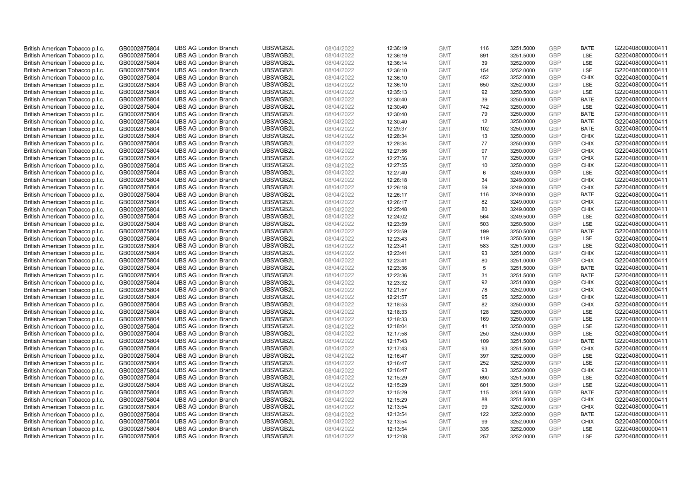| British American Tobacco p.l.c. | GB0002875804                 | <b>UBS AG London Branch</b> | UBSWGB2L             | 08/04/2022               | 12:36:19 | <b>GMT</b>               | 116        | 3251.5000              | <b>GBP</b> | <b>BATE</b>              | G220408000000411 |
|---------------------------------|------------------------------|-----------------------------|----------------------|--------------------------|----------|--------------------------|------------|------------------------|------------|--------------------------|------------------|
| British American Tobacco p.l.c. | GB0002875804                 | <b>UBS AG London Branch</b> | UBSWGB2L             | 08/04/2022               | 12:36:19 | <b>GMT</b>               | 891        | 3251.5000              | GBP        | LSE                      | G220408000000411 |
| British American Tobacco p.l.c. | GB0002875804                 | <b>UBS AG London Branch</b> | UBSWGB2L             | 08/04/2022               | 12:36:14 | <b>GMT</b>               | 39         | 3252.0000              | <b>GBP</b> | <b>LSE</b>               | G220408000000411 |
| British American Tobacco p.l.c. | GB0002875804                 | <b>UBS AG London Branch</b> | UBSWGB2L             | 08/04/2022               | 12:36:10 | <b>GMT</b>               | 154        | 3252.0000              | GBP        | LSE                      | G220408000000411 |
| British American Tobacco p.l.c. | GB0002875804                 | <b>UBS AG London Branch</b> | UBSWGB2L             | 08/04/2022               | 12:36:10 | <b>GMT</b>               | 452        | 3252.0000              | <b>GBP</b> | <b>CHIX</b>              | G220408000000411 |
| British American Tobacco p.l.c. | GB0002875804                 | <b>UBS AG London Branch</b> | UBSWGB2L             | 08/04/2022               | 12:36:10 | <b>GMT</b>               | 650        | 3252.0000              | GBP        | <b>LSE</b>               | G220408000000411 |
| British American Tobacco p.l.c. | GB0002875804                 | <b>UBS AG London Branch</b> | UBSWGB2L             | 08/04/2022               | 12:35:13 | <b>GMT</b>               | 92         | 3250.5000              | <b>GBP</b> | LSE                      | G220408000000411 |
| British American Tobacco p.l.c. | GB0002875804                 | <b>UBS AG London Branch</b> | UBSWGB2L             | 08/04/2022               | 12:30:40 | <b>GMT</b>               | 39         | 3250.0000              | GBP        | <b>BATE</b>              | G220408000000411 |
| British American Tobacco p.l.c. | GB0002875804                 | <b>UBS AG London Branch</b> | UBSWGB2L             | 08/04/2022               | 12:30:40 | <b>GMT</b>               | 742        | 3250.0000              | <b>GBP</b> | LSE                      | G220408000000411 |
| British American Tobacco p.l.c. | GB0002875804                 | <b>UBS AG London Branch</b> | UBSWGB2L             | 08/04/2022               | 12:30:40 | <b>GMT</b>               | 79         | 3250.0000              | <b>GBP</b> | <b>BATE</b>              | G220408000000411 |
| British American Tobacco p.l.c. | GB0002875804                 | <b>UBS AG London Branch</b> | UBSWGB2L             | 08/04/2022               | 12:30:40 | <b>GMT</b>               | 12         | 3250.0000              | GBP        | <b>BATE</b>              | G220408000000411 |
| British American Tobacco p.l.c. | GB0002875804                 | <b>UBS AG London Branch</b> | UBSWGB2L             | 08/04/2022               | 12:29:37 | <b>GMT</b>               | 102        | 3250.0000              | <b>GBP</b> | <b>BATE</b>              | G220408000000411 |
| British American Tobacco p.l.c. | GB0002875804                 | <b>UBS AG London Branch</b> | UBSWGB2L             | 08/04/2022               | 12:28:34 | <b>GMT</b>               | 13         | 3250.0000              | GBP        | <b>CHIX</b>              | G220408000000411 |
| British American Tobacco p.l.c. | GB0002875804                 | <b>UBS AG London Branch</b> | UBSWGB2L             | 08/04/2022               | 12:28:34 | <b>GMT</b>               | 77         | 3250.0000              | <b>GBP</b> | <b>CHIX</b>              | G220408000000411 |
| British American Tobacco p.l.c. | GB0002875804                 | <b>UBS AG London Branch</b> | UBSWGB2L             | 08/04/2022               | 12:27:56 | <b>GMT</b>               | 97         | 3250.0000              | GBP        | <b>CHIX</b>              | G220408000000411 |
| British American Tobacco p.l.c. | GB0002875804                 | <b>UBS AG London Branch</b> | UBSWGB2L             | 08/04/2022               | 12:27:56 | <b>GMT</b>               | 17         | 3250.0000              | <b>GBP</b> | <b>CHIX</b>              | G220408000000411 |
| British American Tobacco p.l.c. | GB0002875804                 | <b>UBS AG London Branch</b> | UBSWGB2L             | 08/04/2022               | 12:27:55 | <b>GMT</b>               | 10         | 3250.0000              | GBP        | <b>CHIX</b>              | G220408000000411 |
| British American Tobacco p.l.c. | GB0002875804                 | <b>UBS AG London Branch</b> | UBSWGB2L             | 08/04/2022               | 12:27:40 | <b>GMT</b>               | 6          | 3249.0000              | GBP        | LSE                      | G220408000000411 |
| British American Tobacco p.l.c. | GB0002875804                 | <b>UBS AG London Branch</b> | UBSWGB2L             | 08/04/2022               | 12:26:18 | <b>GMT</b>               | 34         | 3249.0000              | GBP        | <b>CHIX</b>              | G220408000000411 |
| British American Tobacco p.l.c. | GB0002875804                 | <b>UBS AG London Branch</b> | UBSWGB2L             | 08/04/2022               | 12:26:18 | <b>GMT</b>               | 59         | 3249.0000              | <b>GBP</b> | <b>CHIX</b>              | G220408000000411 |
| British American Tobacco p.l.c. | GB0002875804                 | <b>UBS AG London Branch</b> | UBSWGB2L             | 08/04/2022               | 12:26:17 | <b>GMT</b>               | 116        | 3249.0000              | GBP        | <b>BATE</b>              | G220408000000411 |
| British American Tobacco p.l.c. | GB0002875804                 | <b>UBS AG London Branch</b> | UBSWGB2L             | 08/04/2022               | 12:26:17 | <b>GMT</b>               | 82         | 3249.0000              | GBP        | <b>CHIX</b>              | G220408000000411 |
| British American Tobacco p.l.c. | GB0002875804                 | <b>UBS AG London Branch</b> | UBSWGB2L             | 08/04/2022               | 12:25:48 | <b>GMT</b>               | 80         | 3249.0000              | GBP        | <b>CHIX</b>              | G220408000000411 |
| British American Tobacco p.l.c. | GB0002875804                 | <b>UBS AG London Branch</b> | UBSWGB2L             | 08/04/2022               | 12:24:02 | <b>GMT</b>               | 564        | 3249.5000              | <b>GBP</b> | LSE                      | G220408000000411 |
| British American Tobacco p.l.c. | GB0002875804                 | <b>UBS AG London Branch</b> | UBSWGB2L             | 08/04/2022               | 12:23:59 | <b>GMT</b>               | 503        | 3250.5000              | <b>GBP</b> | LSE                      | G220408000000411 |
| British American Tobacco p.l.c. | GB0002875804                 | <b>UBS AG London Branch</b> | UBSWGB2L             | 08/04/2022               | 12:23:59 | <b>GMT</b>               | 199        | 3250.5000              | GBP        | <b>BATE</b>              | G220408000000411 |
| British American Tobacco p.l.c. | GB0002875804                 | <b>UBS AG London Branch</b> | UBSWGB2L             | 08/04/2022               | 12:23:43 | <b>GMT</b>               | 119        | 3250.5000              | <b>GBP</b> | LSE                      | G220408000000411 |
| British American Tobacco p.l.c. | GB0002875804                 | <b>UBS AG London Branch</b> | UBSWGB2L             | 08/04/2022               | 12:23:41 | <b>GMT</b>               | 583        | 3251.0000              | <b>GBP</b> | LSE                      | G220408000000411 |
| British American Tobacco p.l.c. | GB0002875804                 | <b>UBS AG London Branch</b> | UBSWGB2L             | 08/04/2022               | 12:23:41 | <b>GMT</b>               | 93         | 3251.0000              | GBP        | <b>CHIX</b>              | G220408000000411 |
| British American Tobacco p.l.c. | GB0002875804                 | <b>UBS AG London Branch</b> | UBSWGB2L             | 08/04/2022               | 12:23:41 | <b>GMT</b>               | 80         | 3251.0000              | GBP        | <b>CHIX</b>              | G220408000000411 |
| British American Tobacco p.l.c. | GB0002875804                 | <b>UBS AG London Branch</b> | UBSWGB2L             | 08/04/2022               | 12:23:36 | <b>GMT</b>               | 5          | 3251.5000              | <b>GBP</b> | <b>BATE</b>              | G220408000000411 |
| British American Tobacco p.l.c. | GB0002875804                 | <b>UBS AG London Branch</b> | UBSWGB2L             | 08/04/2022               | 12:23:36 | <b>GMT</b>               | 31         | 3251.5000              | <b>GBP</b> | <b>BATE</b>              | G220408000000411 |
| British American Tobacco p.l.c. | GB0002875804                 | <b>UBS AG London Branch</b> | UBSWGB2L             | 08/04/2022               | 12:23:32 | <b>GMT</b>               | 92         | 3251.0000              | GBP        | <b>CHIX</b>              | G220408000000411 |
| British American Tobacco p.l.c. | GB0002875804                 | <b>UBS AG London Branch</b> | UBSWGB2L             | 08/04/2022               | 12:21:57 | <b>GMT</b>               | 78         | 3252.0000              | <b>GBP</b> | <b>CHIX</b>              | G220408000000411 |
| British American Tobacco p.l.c. | GB0002875804                 | <b>UBS AG London Branch</b> | UBSWGB2L             | 08/04/2022               | 12:21:57 | <b>GMT</b>               | 95         | 3252.0000              | <b>GBP</b> | <b>CHIX</b>              | G220408000000411 |
| British American Tobacco p.l.c. | GB0002875804                 | <b>UBS AG London Branch</b> | UBSWGB2L             | 08/04/2022               | 12:18:53 | <b>GMT</b>               | 82         | 3250.0000              | <b>GBP</b> | <b>CHIX</b>              | G220408000000411 |
| British American Tobacco p.l.c. | GB0002875804                 | <b>UBS AG London Branch</b> | UBSWGB2L             | 08/04/2022               | 12:18:33 | <b>GMT</b>               | 128        | 3250.0000              | GBP        | <b>LSE</b>               | G220408000000411 |
| British American Tobacco p.l.c. | GB0002875804                 | <b>UBS AG London Branch</b> | UBSWGB2L             | 08/04/2022               | 12:18:33 | <b>GMT</b>               | 169        | 3250.0000              | <b>GBP</b> | LSE                      | G220408000000411 |
| British American Tobacco p.l.c. | GB0002875804                 | <b>UBS AG London Branch</b> | UBSWGB2L             | 08/04/2022               | 12:18:04 | <b>GMT</b>               | 41         | 3250.0000              | GBP        | LSE                      | G220408000000411 |
| British American Tobacco p.l.c. | GB0002875804                 | <b>UBS AG London Branch</b> | UBSWGB2L             | 08/04/2022               | 12:17:58 | <b>GMT</b>               | 250        | 3250.0000              | <b>GBP</b> | LSE                      | G220408000000411 |
| British American Tobacco p.l.c. | GB0002875804                 | <b>UBS AG London Branch</b> | UBSWGB2L             | 08/04/2022               | 12:17:43 | <b>GMT</b>               | 109        | 3251.5000              | <b>GBP</b> | <b>BATE</b>              | G220408000000411 |
| British American Tobacco p.l.c. | GB0002875804                 | <b>UBS AG London Branch</b> | UBSWGB2L             | 08/04/2022               | 12:17:43 | <b>GMT</b>               | 93         | 3251.5000              | GBP        | <b>CHIX</b>              | G220408000000411 |
| British American Tobacco p.l.c. | GB0002875804                 | <b>UBS AG London Branch</b> | UBSWGB2L             | 08/04/2022               | 12:16:47 | <b>GMT</b>               | 397        | 3252.0000              | <b>GBP</b> | LSE                      | G220408000000411 |
| British American Tobacco p.l.c. | GB0002875804                 | <b>UBS AG London Branch</b> | UBSWGB2L             | 08/04/2022               | 12:16:47 | <b>GMT</b>               | 252        | 3252.0000              | GBP        | LSE                      | G220408000000411 |
| British American Tobacco p.l.c. | GB0002875804                 | <b>UBS AG London Branch</b> | UBSWGB2L             | 08/04/2022               | 12:16:47 | <b>GMT</b>               | 93         | 3252.0000              | <b>GBP</b> | <b>CHIX</b>              | G220408000000411 |
| British American Tobacco p.l.c. | GB0002875804                 | <b>UBS AG London Branch</b> | UBSWGB2L             | 08/04/2022               | 12:15:29 | <b>GMT</b>               | 690        | 3251.5000              | <b>GBP</b> | LSE                      | G220408000000411 |
| British American Tobacco p.l.c. | GB0002875804                 | <b>UBS AG London Branch</b> | UBSWGB2L             | 08/04/2022               | 12:15:29 | <b>GMT</b>               | 601        | 3251.5000              | <b>GBP</b> | LSE                      | G220408000000411 |
| British American Tobacco p.l.c. | GB0002875804                 | <b>UBS AG London Branch</b> | UBSWGB2L             | 08/04/2022               | 12:15:29 | <b>GMT</b>               | 115        | 3251.5000              | <b>GBP</b> | <b>BATE</b>              | G220408000000411 |
| British American Tobacco p.l.c. | GB0002875804                 | <b>UBS AG London Branch</b> | UBSWGB2L             | 08/04/2022               | 12:15:29 | <b>GMT</b>               | 88         | 3251.5000              | <b>GBP</b> | <b>CHIX</b>              | G220408000000411 |
| British American Tobacco p.l.c. | GB0002875804                 | <b>UBS AG London Branch</b> | UBSWGB2L             | 08/04/2022               | 12:13:54 | <b>GMT</b>               | 99         | 3252.0000              | <b>GBP</b> | <b>CHIX</b>              | G220408000000411 |
| British American Tobacco p.l.c. | GB0002875804                 | <b>UBS AG London Branch</b> | UBSWGB2L             | 08/04/2022               | 12:13:54 | <b>GMT</b>               | 122        | 3252.0000              | <b>GBP</b> | <b>BATE</b>              | G220408000000411 |
| British American Tobacco p.l.c. | GB0002875804                 | <b>UBS AG London Branch</b> | UBSWGB2L             | 08/04/2022               | 12:13:54 | <b>GMT</b>               | 99         | 3252.0000              | <b>GBP</b> | <b>CHIX</b>              | G220408000000411 |
| British American Tobacco p.l.c. | GB0002875804<br>GB0002875804 | <b>UBS AG London Branch</b> | UBSWGB2L<br>UBSWGB2L | 08/04/2022<br>08/04/2022 | 12:13:54 | <b>GMT</b><br><b>GMT</b> | 335<br>257 | 3252.0000<br>3252.0000 | GBP<br>GBP | <b>LSE</b><br><b>LSE</b> | G220408000000411 |
| British American Tobacco p.l.c. |                              | <b>UBS AG London Branch</b> |                      |                          | 12:12:08 |                          |            |                        |            |                          | G220408000000411 |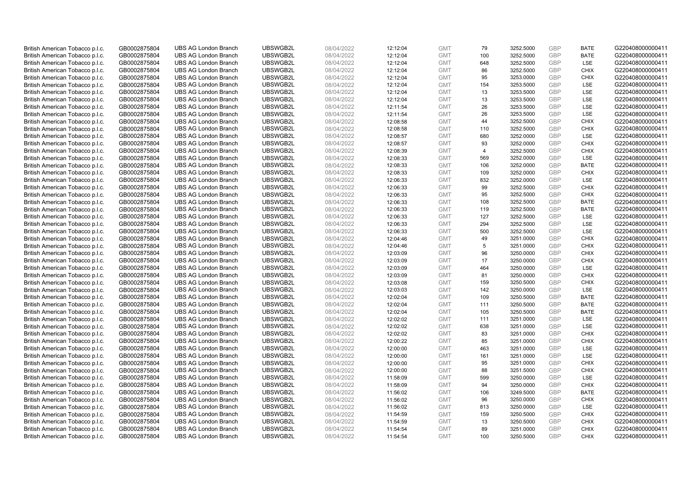| British American Tobacco p.l.c. | GB0002875804                 | <b>UBS AG London Branch</b> | UBSWGB2L             | 08/04/2022               | 12:12:04 | <b>GMT</b>               | 79             | 3252.5000              | <b>GBP</b> | <b>BATE</b>                | G220408000000411 |
|---------------------------------|------------------------------|-----------------------------|----------------------|--------------------------|----------|--------------------------|----------------|------------------------|------------|----------------------------|------------------|
| British American Tobacco p.l.c. | GB0002875804                 | <b>UBS AG London Branch</b> | UBSWGB2L             | 08/04/2022               | 12:12:04 | <b>GMT</b>               | 100            | 3252.5000              | <b>GBP</b> | <b>BATE</b>                | G220408000000411 |
| British American Tobacco p.l.c. | GB0002875804                 | <b>UBS AG London Branch</b> | UBSWGB2L             | 08/04/2022               | 12:12:04 | <b>GMT</b>               | 648            | 3252.5000              | <b>GBP</b> | <b>LSE</b>                 | G220408000000411 |
| British American Tobacco p.l.c. | GB0002875804                 | <b>UBS AG London Branch</b> | UBSWGB2L             | 08/04/2022               | 12:12:04 | <b>GMT</b>               | 86             | 3252.5000              | <b>GBP</b> | <b>CHIX</b>                | G220408000000411 |
| British American Tobacco p.l.c. | GB0002875804                 | <b>UBS AG London Branch</b> | UBSWGB2L             | 08/04/2022               | 12:12:04 | <b>GMT</b>               | 95             | 3253.0000              | <b>GBP</b> | <b>CHIX</b>                | G220408000000411 |
| British American Tobacco p.l.c. | GB0002875804                 | <b>UBS AG London Branch</b> | UBSWGB2L             | 08/04/2022               | 12:12:04 | <b>GMT</b>               | 154            | 3253.5000              | <b>GBP</b> | <b>LSE</b>                 | G220408000000411 |
| British American Tobacco p.l.c. | GB0002875804                 | <b>UBS AG London Branch</b> | UBSWGB2L             | 08/04/2022               | 12:12:04 | <b>GMT</b>               | 13             | 3253.5000              | <b>GBP</b> | LSE                        | G220408000000411 |
| British American Tobacco p.l.c. | GB0002875804                 | <b>UBS AG London Branch</b> | UBSWGB2L             | 08/04/2022               | 12:12:04 | <b>GMT</b>               | 13             | 3253.5000              | <b>GBP</b> | LSE                        | G220408000000411 |
| British American Tobacco p.l.c. | GB0002875804                 | <b>UBS AG London Branch</b> | UBSWGB2L             | 08/04/2022               | 12:11:54 | <b>GMT</b>               | 26             | 3253.5000              | <b>GBP</b> | LSE                        | G220408000000411 |
| British American Tobacco p.l.c. | GB0002875804                 | <b>UBS AG London Branch</b> | UBSWGB2L             | 08/04/2022               | 12:11:54 | <b>GMT</b>               | 26             | 3253.5000              | <b>GBP</b> | <b>LSE</b>                 | G220408000000411 |
| British American Tobacco p.l.c. | GB0002875804                 | <b>UBS AG London Branch</b> | UBSWGB2L             | 08/04/2022               | 12:08:58 | <b>GMT</b>               | 44             | 3252.5000              | <b>GBP</b> | <b>CHIX</b>                | G220408000000411 |
| British American Tobacco p.l.c. | GB0002875804                 | <b>UBS AG London Branch</b> | UBSWGB2L             | 08/04/2022               | 12:08:58 | <b>GMT</b>               | 110            | 3252.5000              | <b>GBP</b> | <b>CHIX</b>                | G220408000000411 |
| British American Tobacco p.l.c. | GB0002875804                 | <b>UBS AG London Branch</b> | UBSWGB2L             | 08/04/2022               | 12:08:57 | <b>GMT</b>               | 680            | 3252.0000              | <b>GBP</b> | LSE                        | G220408000000411 |
| British American Tobacco p.l.c. | GB0002875804                 | <b>UBS AG London Branch</b> | UBSWGB2L             | 08/04/2022               | 12:08:57 | <b>GMT</b>               | 93             | 3252.0000              | <b>GBP</b> | <b>CHIX</b>                | G220408000000411 |
| British American Tobacco p.l.c. | GB0002875804                 | <b>UBS AG London Branch</b> | UBSWGB2L             | 08/04/2022               | 12:08:39 | <b>GMT</b>               | $\overline{4}$ | 3252.5000              | <b>GBP</b> | <b>CHIX</b>                | G220408000000411 |
| British American Tobacco p.l.c. | GB0002875804                 | <b>UBS AG London Branch</b> | UBSWGB2L             | 08/04/2022               | 12:08:33 | <b>GMT</b>               | 569            | 3252.0000              | <b>GBP</b> | LSE                        | G220408000000411 |
| British American Tobacco p.l.c. | GB0002875804                 | <b>UBS AG London Branch</b> | UBSWGB2L             | 08/04/2022               | 12:08:33 | <b>GMT</b>               | 106            | 3252.0000              | <b>GBP</b> | <b>BATE</b>                | G220408000000411 |
| British American Tobacco p.l.c. | GB0002875804                 | <b>UBS AG London Branch</b> | UBSWGB2L             | 08/04/2022               | 12:08:33 | <b>GMT</b>               | 109            | 3252.0000              | GBP        | <b>CHIX</b>                | G220408000000411 |
| British American Tobacco p.l.c. | GB0002875804                 | <b>UBS AG London Branch</b> | UBSWGB2L             | 08/04/2022               | 12:06:33 | <b>GMT</b>               | 832            | 3252.0000              | <b>GBP</b> | <b>LSE</b>                 | G220408000000411 |
| British American Tobacco p.l.c. | GB0002875804                 | <b>UBS AG London Branch</b> | UBSWGB2L             | 08/04/2022               | 12:06:33 | <b>GMT</b>               | 99             | 3252.5000              | <b>GBP</b> | <b>CHIX</b>                | G220408000000411 |
| British American Tobacco p.l.c. | GB0002875804                 | <b>UBS AG London Branch</b> | UBSWGB2L             | 08/04/2022               | 12:06:33 | <b>GMT</b>               | 95             | 3252.5000              | GBP        | <b>CHIX</b>                | G220408000000411 |
| British American Tobacco p.l.c. | GB0002875804                 | <b>UBS AG London Branch</b> | UBSWGB2L             | 08/04/2022               | 12:06:33 | <b>GMT</b>               | 108            | 3252.5000              | GBP        | <b>BATE</b>                | G220408000000411 |
| British American Tobacco p.l.c. | GB0002875804                 | <b>UBS AG London Branch</b> | UBSWGB2L             | 08/04/2022               | 12:06:33 | <b>GMT</b>               | 119            | 3252.5000              | GBP        | <b>BATE</b>                | G220408000000411 |
| British American Tobacco p.l.c. | GB0002875804                 | <b>UBS AG London Branch</b> | UBSWGB2L             | 08/04/2022               | 12:06:33 | <b>GMT</b>               | 127            | 3252.5000              | <b>GBP</b> | LSE                        | G220408000000411 |
| British American Tobacco p.l.c. | GB0002875804                 | <b>UBS AG London Branch</b> | UBSWGB2L             | 08/04/2022               | 12:06:33 | <b>GMT</b>               | 294            | 3252.5000              | <b>GBP</b> | LSE                        | G220408000000411 |
| British American Tobacco p.l.c. | GB0002875804                 | <b>UBS AG London Branch</b> | UBSWGB2L             | 08/04/2022               | 12:06:33 | <b>GMT</b>               | 500            | 3252.5000              | GBP        | LSE                        | G220408000000411 |
| British American Tobacco p.l.c. | GB0002875804                 | <b>UBS AG London Branch</b> | UBSWGB2L             | 08/04/2022               | 12:04:46 | <b>GMT</b>               | 49             | 3251.0000              | <b>GBP</b> | <b>CHIX</b>                | G220408000000411 |
| British American Tobacco p.l.c. | GB0002875804                 | <b>UBS AG London Branch</b> | UBSWGB2L             | 08/04/2022               | 12:04:46 | <b>GMT</b>               | 5              | 3251.0000              | GBP        | <b>CHIX</b>                | G220408000000411 |
| British American Tobacco p.l.c. | GB0002875804                 | <b>UBS AG London Branch</b> | UBSWGB2L             | 08/04/2022               | 12:03:09 | <b>GMT</b>               | 96             | 3250.0000              | GBP        | <b>CHIX</b>                | G220408000000411 |
| British American Tobacco p.l.c. | GB0002875804                 | <b>UBS AG London Branch</b> | UBSWGB2L             | 08/04/2022               | 12:03:09 | <b>GMT</b>               | 17             | 3250.0000              | GBP        | <b>CHIX</b>                | G220408000000411 |
| British American Tobacco p.l.c. | GB0002875804                 | <b>UBS AG London Branch</b> | UBSWGB2L             | 08/04/2022               | 12:03:09 | <b>GMT</b>               | 464            | 3250.0000              | <b>GBP</b> | LSE                        | G220408000000411 |
| British American Tobacco p.l.c. | GB0002875804                 | <b>UBS AG London Branch</b> | UBSWGB2L             | 08/04/2022               | 12:03:09 | <b>GMT</b>               | 81             | 3250.0000              | <b>GBP</b> | <b>CHIX</b>                | G220408000000411 |
| British American Tobacco p.l.c. | GB0002875804                 | <b>UBS AG London Branch</b> | UBSWGB2L             | 08/04/2022               | 12:03:08 | <b>GMT</b>               | 159            | 3250.5000              | GBP        | <b>CHIX</b>                | G220408000000411 |
| British American Tobacco p.l.c. | GB0002875804                 | <b>UBS AG London Branch</b> | UBSWGB2L             | 08/04/2022               | 12:03:03 | <b>GMT</b>               | 142            | 3250.0000              | <b>GBP</b> | LSE                        | G220408000000411 |
| British American Tobacco p.l.c. | GB0002875804                 | <b>UBS AG London Branch</b> | UBSWGB2L             | 08/04/2022               | 12:02:04 | <b>GMT</b>               | 109            | 3250.5000              | GBP        | <b>BATE</b>                | G220408000000411 |
| British American Tobacco p.l.c. | GB0002875804                 | <b>UBS AG London Branch</b> | UBSWGB2L             | 08/04/2022               | 12:02:04 | <b>GMT</b>               | 111            | 3250.5000              | GBP        | <b>BATE</b>                | G220408000000411 |
| British American Tobacco p.l.c. | GB0002875804                 | <b>UBS AG London Branch</b> | UBSWGB2L             | 08/04/2022               | 12:02:04 | <b>GMT</b>               | 105            | 3250.5000              | GBP        | <b>BATE</b>                | G220408000000411 |
| British American Tobacco p.l.c. | GB0002875804                 | <b>UBS AG London Branch</b> | UBSWGB2L             | 08/04/2022               | 12:02:02 | <b>GMT</b>               | 111            | 3251.0000              | <b>GBP</b> | LSE                        | G220408000000411 |
| British American Tobacco p.l.c. | GB0002875804                 | <b>UBS AG London Branch</b> | UBSWGB2L             | 08/04/2022               | 12:02:02 | <b>GMT</b>               | 638            | 3251.0000              | <b>GBP</b> | <b>LSE</b>                 | G220408000000411 |
| British American Tobacco p.l.c. | GB0002875804                 | <b>UBS AG London Branch</b> | UBSWGB2L             | 08/04/2022               | 12:02:02 | <b>GMT</b>               | 83             | 3251.0000              | <b>GBP</b> | <b>CHIX</b>                | G220408000000411 |
| British American Tobacco p.l.c. | GB0002875804                 | <b>UBS AG London Branch</b> | UBSWGB2L             | 08/04/2022               | 12:00:22 | <b>GMT</b>               | 85             | 3251.0000              | <b>GBP</b> | <b>CHIX</b>                | G220408000000411 |
| British American Tobacco p.l.c. | GB0002875804                 | <b>UBS AG London Branch</b> | UBSWGB2L             | 08/04/2022               | 12:00:00 | <b>GMT</b>               | 463            | 3251.0000              | GBP        | LSE                        | G220408000000411 |
| British American Tobacco p.l.c. | GB0002875804                 | <b>UBS AG London Branch</b> | UBSWGB2L             | 08/04/2022               | 12:00:00 | <b>GMT</b>               | 161            | 3251.0000              | <b>GBP</b> | LSE                        | G220408000000411 |
| British American Tobacco p.l.c. | GB0002875804                 | <b>UBS AG London Branch</b> | UBSWGB2L             | 08/04/2022               | 12:00:00 | <b>GMT</b>               | 95             | 3251.0000              | GBP        | <b>CHIX</b>                | G220408000000411 |
| British American Tobacco p.l.c. | GB0002875804                 | <b>UBS AG London Branch</b> | UBSWGB2L             | 08/04/2022               | 12:00:00 | <b>GMT</b>               | 88             | 3251.5000              | <b>GBP</b> | <b>CHIX</b>                | G220408000000411 |
| British American Tobacco p.l.c. | GB0002875804                 | <b>UBS AG London Branch</b> | UBSWGB2L             | 08/04/2022               | 11:58:09 | <b>GMT</b>               | 599            | 3250.0000              | GBP        | LSE                        | G220408000000411 |
| British American Tobacco p.l.c. | GB0002875804                 | <b>UBS AG London Branch</b> | UBSWGB2L             | 08/04/2022               | 11:58:09 | <b>GMT</b>               | 94             | 3250.0000              | <b>GBP</b> | <b>CHIX</b>                | G220408000000411 |
| British American Tobacco p.l.c. | GB0002875804                 | <b>UBS AG London Branch</b> | UBSWGB2L             | 08/04/2022               | 11:56:02 | <b>GMT</b>               | 106            | 3249.5000              | GBP        | <b>BATE</b>                | G220408000000411 |
| British American Tobacco p.l.c. | GB0002875804                 | <b>UBS AG London Branch</b> | UBSWGB2L             | 08/04/2022               | 11:56:02 | <b>GMT</b>               | 96             | 3250.0000              | <b>GBP</b> | <b>CHIX</b>                | G220408000000411 |
| British American Tobacco p.l.c. | GB0002875804                 | <b>UBS AG London Branch</b> | UBSWGB2L             | 08/04/2022               | 11:56:02 | <b>GMT</b>               | 813            | 3250.0000              | GBP        | <b>LSE</b>                 | G220408000000411 |
| British American Tobacco p.l.c. | GB0002875804                 | <b>UBS AG London Branch</b> | UBSWGB2L             | 08/04/2022               | 11:54:59 | <b>GMT</b>               | 159            | 3250.5000              | <b>GBP</b> | <b>CHIX</b>                | G220408000000411 |
| British American Tobacco p.l.c. | GB0002875804                 | <b>UBS AG London Branch</b> | UBSWGB2L             | 08/04/2022               | 11:54:59 | <b>GMT</b>               | 13             | 3250.5000              | GBP        | <b>CHIX</b>                | G220408000000411 |
| British American Tobacco p.l.c. | GB0002875804<br>GB0002875804 | <b>UBS AG London Branch</b> | UBSWGB2L<br>UBSWGB2L | 08/04/2022<br>08/04/2022 | 11:54:54 | <b>GMT</b><br><b>GMT</b> | 89<br>100      | 3251.0000<br>3250.5000 | GBP<br>GBP | <b>CHIX</b><br><b>CHIX</b> | G220408000000411 |
| British American Tobacco p.l.c. |                              | <b>UBS AG London Branch</b> |                      |                          | 11:54:54 |                          |                |                        |            |                            | G220408000000411 |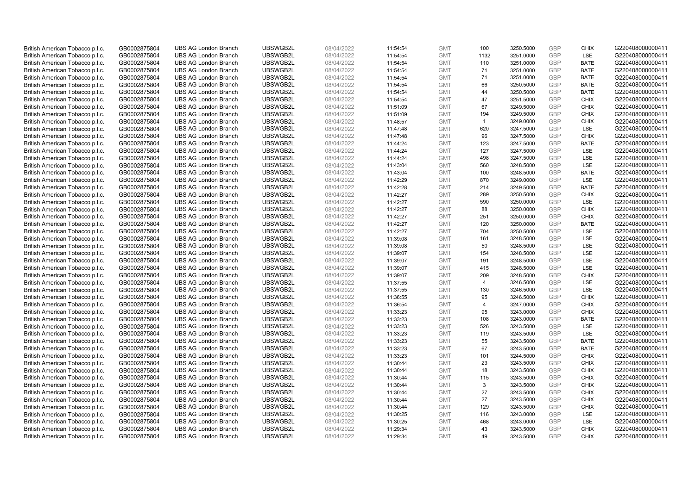| British American Tobacco p.l.c. | GB0002875804 | <b>UBS AG London Branch</b> | UBSWGB2L | 08/04/2022 | 11:54:54 | <b>GMT</b> | 100            | 3250.5000 | <b>GBP</b> | <b>CHIX</b> | G220408000000411 |
|---------------------------------|--------------|-----------------------------|----------|------------|----------|------------|----------------|-----------|------------|-------------|------------------|
| British American Tobacco p.l.c. | GB0002875804 | <b>UBS AG London Branch</b> | UBSWGB2L | 08/04/2022 | 11:54:54 | <b>GMT</b> | 1132           | 3251.0000 | GBP        | LSE         | G220408000000411 |
| British American Tobacco p.l.c. | GB0002875804 | <b>UBS AG London Branch</b> | UBSWGB2L | 08/04/2022 | 11:54:54 | <b>GMT</b> | 110            | 3251.0000 | <b>GBP</b> | <b>BATE</b> | G220408000000411 |
| British American Tobacco p.l.c. | GB0002875804 | <b>UBS AG London Branch</b> | UBSWGB2L | 08/04/2022 | 11:54:54 | <b>GMT</b> | 71             | 3251.0000 | GBP        | <b>BATE</b> | G220408000000411 |
| British American Tobacco p.l.c. | GB0002875804 | <b>UBS AG London Branch</b> | UBSWGB2L | 08/04/2022 | 11:54:54 | <b>GMT</b> | 71             | 3251.0000 | <b>GBP</b> | <b>BATE</b> | G220408000000411 |
| British American Tobacco p.l.c. | GB0002875804 | <b>UBS AG London Branch</b> | UBSWGB2L | 08/04/2022 | 11:54:54 | <b>GMT</b> | 66             | 3250.5000 | GBP        | <b>BATE</b> | G220408000000411 |
| British American Tobacco p.l.c. | GB0002875804 | <b>UBS AG London Branch</b> | UBSWGB2L | 08/04/2022 | 11:54:54 | <b>GMT</b> | 44             | 3250.5000 | <b>GBP</b> | <b>BATE</b> | G220408000000411 |
| British American Tobacco p.l.c. | GB0002875804 | <b>UBS AG London Branch</b> | UBSWGB2L | 08/04/2022 | 11:54:54 | <b>GMT</b> | 47             | 3251.5000 | <b>GBP</b> | <b>CHIX</b> | G220408000000411 |
| British American Tobacco p.l.c. | GB0002875804 | <b>UBS AG London Branch</b> | UBSWGB2L | 08/04/2022 | 11:51:09 | <b>GMT</b> | 67             | 3249.5000 | <b>GBP</b> | <b>CHIX</b> | G220408000000411 |
| British American Tobacco p.l.c. | GB0002875804 | <b>UBS AG London Branch</b> | UBSWGB2L | 08/04/2022 | 11:51:09 | <b>GMT</b> | 194            | 3249.5000 | GBP        | <b>CHIX</b> | G220408000000411 |
| British American Tobacco p.l.c. | GB0002875804 | <b>UBS AG London Branch</b> | UBSWGB2L | 08/04/2022 | 11:48:57 | <b>GMT</b> | $\overline{1}$ | 3249.0000 | GBP        | <b>CHIX</b> | G220408000000411 |
| British American Tobacco p.l.c. | GB0002875804 | <b>UBS AG London Branch</b> | UBSWGB2L | 08/04/2022 | 11:47:48 | <b>GMT</b> | 620            | 3247.5000 | <b>GBP</b> | <b>LSE</b>  | G220408000000411 |
| British American Tobacco p.l.c. | GB0002875804 | <b>UBS AG London Branch</b> | UBSWGB2L | 08/04/2022 | 11:47:48 | <b>GMT</b> | 96             | 3247.5000 | <b>GBP</b> | <b>CHIX</b> | G220408000000411 |
| British American Tobacco p.l.c. | GB0002875804 | <b>UBS AG London Branch</b> | UBSWGB2L | 08/04/2022 | 11:44:24 | <b>GMT</b> | 123            | 3247.5000 | <b>GBP</b> | <b>BATE</b> | G220408000000411 |
| British American Tobacco p.l.c. | GB0002875804 | <b>UBS AG London Branch</b> | UBSWGB2L | 08/04/2022 | 11:44:24 | <b>GMT</b> | 127            | 3247.5000 | GBP        | LSE         | G220408000000411 |
| British American Tobacco p.l.c. | GB0002875804 | <b>UBS AG London Branch</b> | UBSWGB2L | 08/04/2022 | 11:44:24 | <b>GMT</b> | 498            | 3247.5000 | <b>GBP</b> | LSE         | G220408000000411 |
| British American Tobacco p.l.c. | GB0002875804 | <b>UBS AG London Branch</b> | UBSWGB2L | 08/04/2022 | 11:43:04 | <b>GMT</b> | 560            | 3248.5000 | <b>GBP</b> | <b>LSE</b>  | G220408000000411 |
| British American Tobacco p.l.c. | GB0002875804 | <b>UBS AG London Branch</b> | UBSWGB2L | 08/04/2022 | 11:43:04 | <b>GMT</b> | 100            | 3248.5000 | GBP        | <b>BATE</b> | G220408000000411 |
| British American Tobacco p.l.c. | GB0002875804 | <b>UBS AG London Branch</b> | UBSWGB2L | 08/04/2022 | 11:42:29 | <b>GMT</b> | 870            | 3249.0000 | GBP        | <b>LSE</b>  | G220408000000411 |
| British American Tobacco p.l.c. | GB0002875804 | <b>UBS AG London Branch</b> | UBSWGB2L | 08/04/2022 | 11:42:28 | <b>GMT</b> | 214            | 3249.5000 | <b>GBP</b> | <b>BATE</b> | G220408000000411 |
| British American Tobacco p.l.c. | GB0002875804 | <b>UBS AG London Branch</b> | UBSWGB2L | 08/04/2022 | 11:42:27 | <b>GMT</b> | 289            | 3250.5000 | GBP        | <b>CHIX</b> | G220408000000411 |
| British American Tobacco p.l.c. | GB0002875804 | <b>UBS AG London Branch</b> | UBSWGB2L | 08/04/2022 | 11:42:27 | <b>GMT</b> | 590            | 3250.0000 | GBP        | <b>LSE</b>  | G220408000000411 |
| British American Tobacco p.l.c. | GB0002875804 | <b>UBS AG London Branch</b> | UBSWGB2L | 08/04/2022 | 11:42:27 | <b>GMT</b> | 88             | 3250.0000 | GBP        | <b>CHIX</b> | G220408000000411 |
| British American Tobacco p.l.c. | GB0002875804 | <b>UBS AG London Branch</b> | UBSWGB2L | 08/04/2022 | 11:42:27 | <b>GMT</b> | 251            | 3250.0000 | <b>GBP</b> | <b>CHIX</b> | G220408000000411 |
| British American Tobacco p.l.c. | GB0002875804 | <b>UBS AG London Branch</b> | UBSWGB2L | 08/04/2022 | 11:42:27 | <b>GMT</b> | 120            | 3250.0000 | GBP        | <b>BATE</b> | G220408000000411 |
| British American Tobacco p.l.c. | GB0002875804 | <b>UBS AG London Branch</b> | UBSWGB2L | 08/04/2022 | 11:42:27 | <b>GMT</b> | 704            | 3250.5000 | GBP        | LSE         | G220408000000411 |
| British American Tobacco p.l.c. | GB0002875804 | <b>UBS AG London Branch</b> | UBSWGB2L | 08/04/2022 | 11:39:08 | <b>GMT</b> | 161            | 3248.5000 | <b>GBP</b> | LSE         | G220408000000411 |
| British American Tobacco p.l.c. | GB0002875804 | <b>UBS AG London Branch</b> | UBSWGB2L | 08/04/2022 | 11:39:08 | <b>GMT</b> | 50             | 3248.5000 | <b>GBP</b> | LSE         | G220408000000411 |
| British American Tobacco p.l.c. | GB0002875804 | <b>UBS AG London Branch</b> | UBSWGB2L | 08/04/2022 | 11:39:07 | <b>GMT</b> | 154            | 3248.5000 | GBP        | LSE         | G220408000000411 |
| British American Tobacco p.l.c. | GB0002875804 | <b>UBS AG London Branch</b> | UBSWGB2L | 08/04/2022 | 11:39:07 | <b>GMT</b> | 191            | 3248.5000 | GBP        | LSE         | G220408000000411 |
| British American Tobacco p.l.c. | GB0002875804 | <b>UBS AG London Branch</b> | UBSWGB2L | 08/04/2022 | 11:39:07 | <b>GMT</b> | 415            | 3248.5000 | <b>GBP</b> | LSE         | G220408000000411 |
| British American Tobacco p.l.c. | GB0002875804 | <b>UBS AG London Branch</b> | UBSWGB2L | 08/04/2022 | 11:39:07 | <b>GMT</b> | 209            | 3248.5000 | <b>GBP</b> | <b>CHIX</b> | G220408000000411 |
| British American Tobacco p.l.c. | GB0002875804 | <b>UBS AG London Branch</b> | UBSWGB2L | 08/04/2022 | 11:37:55 | <b>GMT</b> | $\overline{4}$ | 3246.5000 | GBP        | LSE         | G220408000000411 |
| British American Tobacco p.l.c. | GB0002875804 | <b>UBS AG London Branch</b> | UBSWGB2L | 08/04/2022 | 11:37:55 | <b>GMT</b> | 130            | 3246.5000 | <b>GBP</b> | <b>LSE</b>  | G220408000000411 |
| British American Tobacco p.l.c. | GB0002875804 | <b>UBS AG London Branch</b> | UBSWGB2L | 08/04/2022 | 11:36:55 | <b>GMT</b> | 95             | 3246.5000 | <b>GBP</b> | <b>CHIX</b> | G220408000000411 |
| British American Tobacco p.l.c. | GB0002875804 | <b>UBS AG London Branch</b> | UBSWGB2L | 08/04/2022 | 11:36:54 | <b>GMT</b> | $\overline{4}$ | 3247.0000 | <b>GBP</b> | <b>CHIX</b> | G220408000000411 |
| British American Tobacco p.l.c. | GB0002875804 | <b>UBS AG London Branch</b> | UBSWGB2L | 08/04/2022 | 11:33:23 | <b>GMT</b> | 95             | 3243.0000 | GBP        | <b>CHIX</b> | G220408000000411 |
| British American Tobacco p.l.c. | GB0002875804 | <b>UBS AG London Branch</b> | UBSWGB2L | 08/04/2022 | 11:33:23 | <b>GMT</b> | 108            | 3243.0000 | <b>GBP</b> | <b>BATE</b> | G220408000000411 |
| British American Tobacco p.l.c. | GB0002875804 | <b>UBS AG London Branch</b> | UBSWGB2L | 08/04/2022 | 11:33:23 | <b>GMT</b> | 526            | 3243.5000 | GBP        | <b>LSE</b>  | G220408000000411 |
| British American Tobacco p.l.c. | GB0002875804 | <b>UBS AG London Branch</b> | UBSWGB2L | 08/04/2022 | 11:33:23 | <b>GMT</b> | 119            | 3243.5000 | <b>GBP</b> | LSE         | G220408000000411 |
| British American Tobacco p.l.c. | GB0002875804 | <b>UBS AG London Branch</b> | UBSWGB2L | 08/04/2022 | 11:33:23 | <b>GMT</b> | 55             | 3243.5000 | <b>GBP</b> | <b>BATE</b> | G220408000000411 |
| British American Tobacco p.l.c. | GB0002875804 | <b>UBS AG London Branch</b> | UBSWGB2L | 08/04/2022 | 11:33:23 | <b>GMT</b> | 67             | 3243.5000 | GBP        | <b>BATE</b> | G220408000000411 |
| British American Tobacco p.l.c. | GB0002875804 | <b>UBS AG London Branch</b> | UBSWGB2L | 08/04/2022 | 11:33:23 | <b>GMT</b> | 101            | 3244.5000 | <b>GBP</b> | <b>CHIX</b> | G220408000000411 |
| British American Tobacco p.l.c. | GB0002875804 | <b>UBS AG London Branch</b> | UBSWGB2L | 08/04/2022 | 11:30:44 | <b>GMT</b> | 23             | 3243.5000 | GBP        | <b>CHIX</b> | G220408000000411 |
| British American Tobacco p.l.c. | GB0002875804 | <b>UBS AG London Branch</b> | UBSWGB2L | 08/04/2022 | 11:30:44 | <b>GMT</b> | 18             | 3243.5000 | <b>GBP</b> | <b>CHIX</b> | G220408000000411 |
| British American Tobacco p.l.c. | GB0002875804 | <b>UBS AG London Branch</b> | UBSWGB2L | 08/04/2022 | 11:30:44 | <b>GMT</b> | 115            | 3243.5000 | GBP        | <b>CHIX</b> | G220408000000411 |
| British American Tobacco p.l.c. | GB0002875804 | <b>UBS AG London Branch</b> | UBSWGB2L | 08/04/2022 | 11:30:44 | <b>GMT</b> | 3              | 3243.5000 | <b>GBP</b> | <b>CHIX</b> | G220408000000411 |
| British American Tobacco p.l.c. | GB0002875804 | <b>UBS AG London Branch</b> | UBSWGB2L | 08/04/2022 | 11:30:44 | <b>GMT</b> | 27             | 3243.5000 | GBP        | <b>CHIX</b> | G220408000000411 |
| British American Tobacco p.l.c. | GB0002875804 | <b>UBS AG London Branch</b> | UBSWGB2L | 08/04/2022 | 11:30:44 | <b>GMT</b> | 27             | 3243.5000 | <b>GBP</b> | <b>CHIX</b> | G220408000000411 |
| British American Tobacco p.l.c. | GB0002875804 | <b>UBS AG London Branch</b> | UBSWGB2L | 08/04/2022 | 11:30:44 | <b>GMT</b> | 129            | 3243.5000 | GBP        | <b>CHIX</b> | G220408000000411 |
| British American Tobacco p.l.c. | GB0002875804 | <b>UBS AG London Branch</b> | UBSWGB2L | 08/04/2022 | 11:30:25 | <b>GMT</b> | 116            | 3243.0000 | <b>GBP</b> | LSE         | G220408000000411 |
| British American Tobacco p.l.c. | GB0002875804 | <b>UBS AG London Branch</b> | UBSWGB2L | 08/04/2022 | 11:30:25 | <b>GMT</b> | 468            | 3243.0000 | <b>GBP</b> | LSE         | G220408000000411 |
| British American Tobacco p.l.c. | GB0002875804 | <b>UBS AG London Branch</b> | UBSWGB2L | 08/04/2022 | 11:29:34 | <b>GMT</b> | 43             | 3243.5000 | GBP        | <b>CHIX</b> | G220408000000411 |
| British American Tobacco p.l.c. | GB0002875804 | <b>UBS AG London Branch</b> | UBSWGB2L | 08/04/2022 | 11:29:34 | <b>GMT</b> | 49             | 3243.5000 | GBP        | <b>CHIX</b> | G220408000000411 |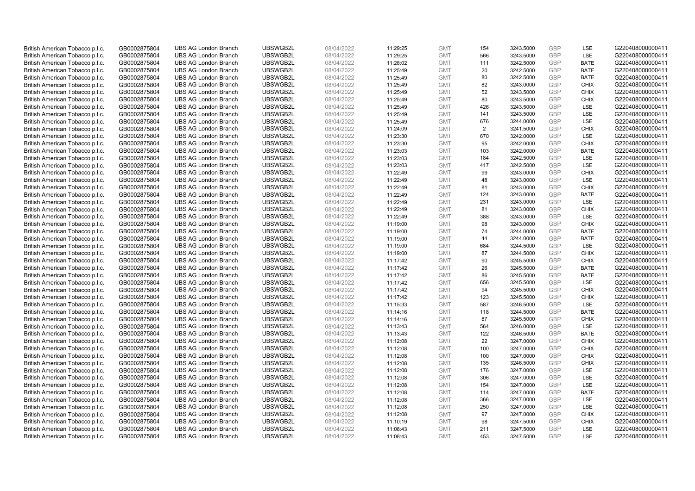| British American Tobacco p.l.c. | GB0002875804 | <b>UBS AG London Branch</b> | UBSWGB2L | 08/04/2022 | 11:29:25 | <b>GMT</b> | 154            | 3243.5000 | <b>GBP</b> | LSE         | G220408000000411 |
|---------------------------------|--------------|-----------------------------|----------|------------|----------|------------|----------------|-----------|------------|-------------|------------------|
| British American Tobacco p.l.c. | GB0002875804 | <b>UBS AG London Branch</b> | UBSWGB2L | 08/04/2022 | 11:29:25 | <b>GMT</b> | 566            | 3243.5000 | <b>GBP</b> | LSE         | G220408000000411 |
| British American Tobacco p.l.c. | GB0002875804 | <b>UBS AG London Branch</b> | UBSWGB2L | 08/04/2022 | 11:28:02 | <b>GMT</b> | 111            | 3242.5000 | GBP        | <b>BATE</b> | G220408000000411 |
| British American Tobacco p.l.c. | GB0002875804 | <b>UBS AG London Branch</b> | UBSWGB2L | 08/04/2022 | 11:25:49 | <b>GMT</b> | 20             | 3242.5000 | GBP        | <b>BATE</b> | G220408000000411 |
| British American Tobacco p.l.c. | GB0002875804 | <b>UBS AG London Branch</b> | UBSWGB2L | 08/04/2022 | 11:25:49 | <b>GMT</b> | 80             | 3242.5000 | GBP        | <b>BATE</b> | G220408000000411 |
| British American Tobacco p.l.c. | GB0002875804 | <b>UBS AG London Branch</b> | UBSWGB2L | 08/04/2022 | 11:25:49 | <b>GMT</b> | 82             | 3243.0000 | <b>GBP</b> | <b>CHIX</b> | G220408000000411 |
| British American Tobacco p.l.c. | GB0002875804 | <b>UBS AG London Branch</b> | UBSWGB2L | 08/04/2022 | 11:25:49 | <b>GMT</b> | 52             | 3243.5000 | GBP        | <b>CHIX</b> | G220408000000411 |
| British American Tobacco p.l.c. | GB0002875804 | <b>UBS AG London Branch</b> | UBSWGB2L | 08/04/2022 | 11:25:49 | <b>GMT</b> | 80             | 3243.5000 | <b>GBP</b> | <b>CHIX</b> | G220408000000411 |
| British American Tobacco p.l.c. | GB0002875804 | <b>UBS AG London Branch</b> | UBSWGB2L | 08/04/2022 | 11:25:49 | <b>GMT</b> | 426            | 3243.5000 | GBP        | LSE         | G220408000000411 |
| British American Tobacco p.l.c. | GB0002875804 | <b>UBS AG London Branch</b> | UBSWGB2L | 08/04/2022 | 11:25:49 | <b>GMT</b> | 141            | 3243.5000 | <b>GBP</b> | LSE         | G220408000000411 |
| British American Tobacco p.l.c. | GB0002875804 | <b>UBS AG London Branch</b> | UBSWGB2L | 08/04/2022 | 11:25:49 | <b>GMT</b> | 676            | 3244.0000 | GBP        | LSE         | G220408000000411 |
| British American Tobacco p.l.c. | GB0002875804 | <b>UBS AG London Branch</b> | UBSWGB2L | 08/04/2022 | 11:24:09 | <b>GMT</b> | $\overline{2}$ | 3241.5000 | <b>GBP</b> | <b>CHIX</b> | G220408000000411 |
| British American Tobacco p.l.c. | GB0002875804 | <b>UBS AG London Branch</b> | UBSWGB2L | 08/04/2022 | 11:23:30 | <b>GMT</b> | 670            | 3242.0000 | GBP        | <b>LSE</b>  | G220408000000411 |
| British American Tobacco p.l.c. | GB0002875804 | <b>UBS AG London Branch</b> | UBSWGB2L | 08/04/2022 | 11:23:30 | <b>GMT</b> | 95             | 3242.0000 | <b>GBP</b> | <b>CHIX</b> | G220408000000411 |
| British American Tobacco p.l.c. | GB0002875804 | <b>UBS AG London Branch</b> | UBSWGB2L | 08/04/2022 | 11:23:03 | <b>GMT</b> | 103            | 3242.0000 | <b>GBP</b> | <b>BATE</b> | G220408000000411 |
| British American Tobacco p.l.c. | GB0002875804 | <b>UBS AG London Branch</b> | UBSWGB2L | 08/04/2022 | 11:23:03 | <b>GMT</b> | 184            | 3242.5000 | GBP        | LSE         | G220408000000411 |
| British American Tobacco p.l.c. | GB0002875804 | <b>UBS AG London Branch</b> | UBSWGB2L | 08/04/2022 | 11:23:03 | <b>GMT</b> | 417            | 3242.5000 | <b>GBP</b> | LSE         | G220408000000411 |
| British American Tobacco p.l.c. | GB0002875804 | <b>UBS AG London Branch</b> | UBSWGB2L | 08/04/2022 | 11:22:49 | <b>GMT</b> | 99             | 3243.0000 | GBP        | <b>CHIX</b> | G220408000000411 |
| British American Tobacco p.l.c. | GB0002875804 | <b>UBS AG London Branch</b> | UBSWGB2L | 08/04/2022 | 11:22:49 | <b>GMT</b> | 48             | 3243.0000 | <b>GBP</b> | <b>LSE</b>  | G220408000000411 |
| British American Tobacco p.l.c. | GB0002875804 | <b>UBS AG London Branch</b> | UBSWGB2L | 08/04/2022 | 11:22:49 | <b>GMT</b> | 81             | 3243.0000 | GBP        | <b>CHIX</b> | G220408000000411 |
| British American Tobacco p.l.c. | GB0002875804 | <b>UBS AG London Branch</b> | UBSWGB2L | 08/04/2022 | 11:22:49 | <b>GMT</b> | 124            | 3243.0000 | <b>GBP</b> | <b>BATE</b> | G220408000000411 |
| British American Tobacco p.l.c. | GB0002875804 | <b>UBS AG London Branch</b> | UBSWGB2L | 08/04/2022 | 11:22:49 | <b>GMT</b> | 231            | 3243.0000 | GBP        | LSE         | G220408000000411 |
| British American Tobacco p.l.c. | GB0002875804 | <b>UBS AG London Branch</b> | UBSWGB2L | 08/04/2022 | 11:22:49 | <b>GMT</b> | 81             | 3243.0000 | <b>GBP</b> | <b>CHIX</b> | G220408000000411 |
| British American Tobacco p.l.c. | GB0002875804 | <b>UBS AG London Branch</b> | UBSWGB2L | 08/04/2022 | 11:22:49 | <b>GMT</b> | 388            | 3243.0000 | GBP        | <b>LSE</b>  | G220408000000411 |
| British American Tobacco p.l.c. | GB0002875804 | <b>UBS AG London Branch</b> | UBSWGB2L | 08/04/2022 | 11:19:00 | <b>GMT</b> | 98             | 3243.0000 | <b>GBP</b> | <b>CHIX</b> | G220408000000411 |
| British American Tobacco p.l.c. | GB0002875804 | <b>UBS AG London Branch</b> | UBSWGB2L | 08/04/2022 | 11:19:00 | <b>GMT</b> | 74             | 3244.0000 | GBP        | <b>BATE</b> | G220408000000411 |
| British American Tobacco p.l.c. | GB0002875804 | <b>UBS AG London Branch</b> | UBSWGB2L | 08/04/2022 | 11:19:00 | <b>GMT</b> | 44             | 3244.0000 | <b>GBP</b> | <b>BATE</b> | G220408000000411 |
| British American Tobacco p.l.c. | GB0002875804 | <b>UBS AG London Branch</b> | UBSWGB2L | 08/04/2022 | 11:19:00 | <b>GMT</b> | 684            | 3244.5000 | <b>GBP</b> | LSE         | G220408000000411 |
| British American Tobacco p.l.c. | GB0002875804 | <b>UBS AG London Branch</b> | UBSWGB2L | 08/04/2022 | 11:19:00 | <b>GMT</b> | 87             | 3244.5000 | GBP        | <b>CHIX</b> | G220408000000411 |
| British American Tobacco p.l.c. | GB0002875804 | <b>UBS AG London Branch</b> | UBSWGB2L | 08/04/2022 | 11:17:42 | <b>GMT</b> | 90             | 3245.5000 | GBP        | <b>CHIX</b> | G220408000000411 |
| British American Tobacco p.l.c. | GB0002875804 | <b>UBS AG London Branch</b> | UBSWGB2L | 08/04/2022 | 11:17:42 | <b>GMT</b> | 26             | 3245.5000 | GBP        | <b>BATE</b> | G220408000000411 |
| British American Tobacco p.l.c. | GB0002875804 | <b>UBS AG London Branch</b> | UBSWGB2L | 08/04/2022 | 11:17:42 | <b>GMT</b> | 86             | 3245.5000 | GBP        | <b>BATE</b> | G220408000000411 |
| British American Tobacco p.l.c. | GB0002875804 | <b>UBS AG London Branch</b> | UBSWGB2L | 08/04/2022 | 11:17:42 | <b>GMT</b> | 656            | 3245.5000 | GBP        | LSE         | G220408000000411 |
| British American Tobacco p.l.c. | GB0002875804 | <b>UBS AG London Branch</b> | UBSWGB2L | 08/04/2022 | 11:17:42 | <b>GMT</b> | 94             | 3245.5000 | GBP        | <b>CHIX</b> | G220408000000411 |
| British American Tobacco p.l.c. | GB0002875804 | <b>UBS AG London Branch</b> | UBSWGB2L | 08/04/2022 | 11:17:42 | <b>GMT</b> | 123            | 3245.5000 | GBP        | <b>CHIX</b> | G220408000000411 |
| British American Tobacco p.l.c. | GB0002875804 | <b>UBS AG London Branch</b> | UBSWGB2L | 08/04/2022 | 11:15:33 | <b>GMT</b> | 587            | 3246.5000 | <b>GBP</b> | LSE         | G220408000000411 |
| British American Tobacco p.l.c. | GB0002875804 | <b>UBS AG London Branch</b> | UBSWGB2L | 08/04/2022 | 11:14:16 | <b>GMT</b> | 118            | 3244.5000 | GBP        | <b>BATE</b> | G220408000000411 |
| British American Tobacco p.l.c. | GB0002875804 | <b>UBS AG London Branch</b> | UBSWGB2L | 08/04/2022 | 11:14:16 | <b>GMT</b> | 87             | 3245.5000 | <b>GBP</b> | <b>CHIX</b> | G220408000000411 |
| British American Tobacco p.l.c. | GB0002875804 | <b>UBS AG London Branch</b> | UBSWGB2L | 08/04/2022 | 11:13:43 | <b>GMT</b> | 564            | 3246.0000 | GBP        | LSE         | G220408000000411 |
| British American Tobacco p.l.c. | GB0002875804 | <b>UBS AG London Branch</b> | UBSWGB2L | 08/04/2022 | 11:13:43 | <b>GMT</b> | 122            | 3246.5000 | GBP        | <b>BATE</b> | G220408000000411 |
| British American Tobacco p.l.c. | GB0002875804 | <b>UBS AG London Branch</b> | UBSWGB2L | 08/04/2022 | 11:12:08 | <b>GMT</b> | 22             | 3247.0000 | <b>GBP</b> | <b>CHIX</b> | G220408000000411 |
| British American Tobacco p.l.c. | GB0002875804 | <b>UBS AG London Branch</b> | UBSWGB2L | 08/04/2022 | 11:12:08 | <b>GMT</b> | 100            | 3247.0000 | GBP        | <b>CHIX</b> | G220408000000411 |
| British American Tobacco p.l.c. | GB0002875804 | <b>UBS AG London Branch</b> | UBSWGB2L | 08/04/2022 | 11:12:08 | <b>GMT</b> | 100            | 3247.0000 | GBP        | <b>CHIX</b> | G220408000000411 |
| British American Tobacco p.l.c. | GB0002875804 | <b>UBS AG London Branch</b> | UBSWGB2L | 08/04/2022 | 11:12:08 | <b>GMT</b> | 135            | 3246.5000 | GBP        | <b>CHIX</b> | G220408000000411 |
| British American Tobacco p.l.c. | GB0002875804 | <b>UBS AG London Branch</b> | UBSWGB2L | 08/04/2022 | 11:12:08 | <b>GMT</b> | 176            | 3247.0000 | GBP        | <b>LSE</b>  | G220408000000411 |
| British American Tobacco p.l.c. | GB0002875804 | <b>UBS AG London Branch</b> | UBSWGB2L | 08/04/2022 | 11:12:08 | <b>GMT</b> | 306            | 3247.0000 | <b>GBP</b> | LSE         | G220408000000411 |
| British American Tobacco p.l.c. | GB0002875804 | <b>UBS AG London Branch</b> | UBSWGB2L | 08/04/2022 | 11:12:08 | <b>GMT</b> | 154            | 3247.0000 | <b>GBP</b> | LSE         | G220408000000411 |
| British American Tobacco p.l.c. | GB0002875804 | <b>UBS AG London Branch</b> | UBSWGB2L | 08/04/2022 | 11:12:08 | <b>GMT</b> | 114            | 3247.0000 | GBP        | <b>BATE</b> | G220408000000411 |
| British American Tobacco p.l.c. | GB0002875804 | <b>UBS AG London Branch</b> | UBSWGB2L | 08/04/2022 | 11:12:08 | <b>GMT</b> | 366            | 3247.0000 | GBP        | LSE         | G220408000000411 |
| British American Tobacco p.l.c. | GB0002875804 | <b>UBS AG London Branch</b> | UBSWGB2L | 08/04/2022 | 11:12:08 | <b>GMT</b> | 250            | 3247.0000 | GBP        | LSE         | G220408000000411 |
| British American Tobacco p.l.c. | GB0002875804 | <b>UBS AG London Branch</b> | UBSWGB2L | 08/04/2022 | 11:12:08 | <b>GMT</b> | 97             | 3247.0000 | GBP        | <b>CHIX</b> | G220408000000411 |
| British American Tobacco p.l.c. | GB0002875804 | <b>UBS AG London Branch</b> | UBSWGB2L | 08/04/2022 | 11:10:19 | <b>GMT</b> | 98             | 3247.5000 | <b>GBP</b> | <b>CHIX</b> | G220408000000411 |
| British American Tobacco p.l.c. | GB0002875804 | <b>UBS AG London Branch</b> | UBSWGB2L | 08/04/2022 | 11:08:43 | <b>GMT</b> | 211            | 3247.5000 | GBP        | LSE         | G220408000000411 |
| British American Tobacco p.l.c. | GB0002875804 | <b>UBS AG London Branch</b> | UBSWGB2L | 08/04/2022 | 11:08:43 | <b>GMT</b> | 453            | 3247.5000 | GBP        | <b>LSE</b>  | G220408000000411 |
|                                 |              |                             |          |            |          |            |                |           |            |             |                  |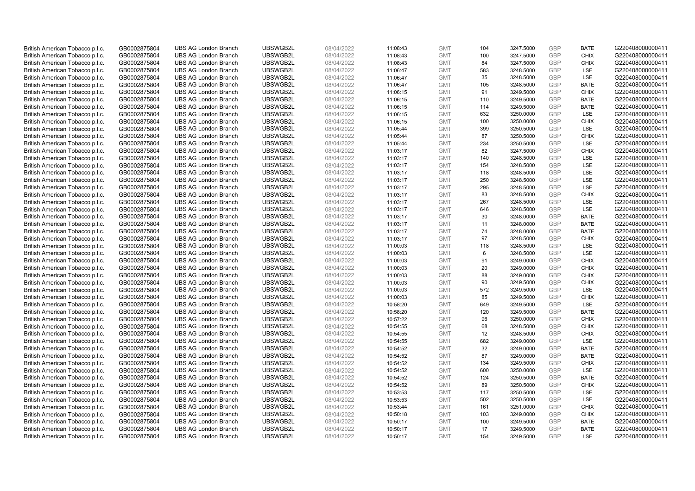| British American Tobacco p.l.c. | GB0002875804                 | <b>UBS AG London Branch</b> | UBSWGB2L             | 08/04/2022               | 11:08:43 | <b>GMT</b>               | 104       | 3247.5000              | <b>GBP</b> | <b>BATE</b>               | G220408000000411 |
|---------------------------------|------------------------------|-----------------------------|----------------------|--------------------------|----------|--------------------------|-----------|------------------------|------------|---------------------------|------------------|
| British American Tobacco p.l.c. | GB0002875804                 | <b>UBS AG London Branch</b> | UBSWGB2L             | 08/04/2022               | 11:08:43 | <b>GMT</b>               | 100       | 3247.5000              | GBP        | <b>CHIX</b>               | G220408000000411 |
| British American Tobacco p.l.c. | GB0002875804                 | <b>UBS AG London Branch</b> | UBSWGB2L             | 08/04/2022               | 11:08:43 | <b>GMT</b>               | 84        | 3247.5000              | <b>GBP</b> | <b>CHIX</b>               | G220408000000411 |
| British American Tobacco p.l.c. | GB0002875804                 | <b>UBS AG London Branch</b> | UBSWGB2L             | 08/04/2022               | 11:06:47 | <b>GMT</b>               | 583       | 3248.5000              | GBP        | LSE                       | G220408000000411 |
| British American Tobacco p.l.c. | GB0002875804                 | <b>UBS AG London Branch</b> | UBSWGB2L             | 08/04/2022               | 11:06:47 | <b>GMT</b>               | 35        | 3248.5000              | <b>GBP</b> | <b>LSE</b>                | G220408000000411 |
| British American Tobacco p.l.c. | GB0002875804                 | <b>UBS AG London Branch</b> | UBSWGB2L             | 08/04/2022               | 11:06:47 | <b>GMT</b>               | 105       | 3248.5000              | GBP        | <b>BATE</b>               | G220408000000411 |
| British American Tobacco p.l.c. | GB0002875804                 | <b>UBS AG London Branch</b> | UBSWGB2L             | 08/04/2022               | 11:06:15 | <b>GMT</b>               | 91        | 3249.5000              | <b>GBP</b> | <b>CHIX</b>               | G220408000000411 |
| British American Tobacco p.l.c. | GB0002875804                 | <b>UBS AG London Branch</b> | UBSWGB2L             | 08/04/2022               | 11:06:15 | <b>GMT</b>               | 110       | 3249.5000              | <b>GBP</b> | <b>BATE</b>               | G220408000000411 |
| British American Tobacco p.l.c. | GB0002875804                 | <b>UBS AG London Branch</b> | UBSWGB2L             | 08/04/2022               | 11:06:15 | <b>GMT</b>               | 114       | 3249.5000              | <b>GBP</b> | <b>BATE</b>               | G220408000000411 |
| British American Tobacco p.l.c. | GB0002875804                 | <b>UBS AG London Branch</b> | UBSWGB2L             | 08/04/2022               | 11:06:15 | <b>GMT</b>               | 632       | 3250.0000              | <b>GBP</b> | <b>LSE</b>                | G220408000000411 |
| British American Tobacco p.l.c. | GB0002875804                 | <b>UBS AG London Branch</b> | UBSWGB2L             | 08/04/2022               | 11:06:15 | <b>GMT</b>               | 100       | 3250.0000              | <b>GBP</b> | <b>CHIX</b>               | G220408000000411 |
| British American Tobacco p.l.c. | GB0002875804                 | <b>UBS AG London Branch</b> | UBSWGB2L             | 08/04/2022               | 11:05:44 | <b>GMT</b>               | 399       | 3250.5000              | <b>GBP</b> | <b>LSE</b>                | G220408000000411 |
| British American Tobacco p.l.c. | GB0002875804                 | <b>UBS AG London Branch</b> | UBSWGB2L             | 08/04/2022               | 11:05:44 | <b>GMT</b>               | 87        | 3250.5000              | <b>GBP</b> | <b>CHIX</b>               | G220408000000411 |
| British American Tobacco p.l.c. | GB0002875804                 | <b>UBS AG London Branch</b> | UBSWGB2L             | 08/04/2022               | 11:05:44 | <b>GMT</b>               | 234       | 3250.5000              | <b>GBP</b> | <b>LSE</b>                | G220408000000411 |
| British American Tobacco p.l.c. | GB0002875804                 | <b>UBS AG London Branch</b> | UBSWGB2L             | 08/04/2022               | 11:03:17 | <b>GMT</b>               | 82        | 3247.5000              | GBP        | <b>CHIX</b>               | G220408000000411 |
| British American Tobacco p.l.c. | GB0002875804                 | <b>UBS AG London Branch</b> | UBSWGB2L             | 08/04/2022               | 11:03:17 | <b>GMT</b>               | 140       | 3248.5000              | <b>GBP</b> | LSE                       | G220408000000411 |
| British American Tobacco p.l.c. | GB0002875804                 | <b>UBS AG London Branch</b> | UBSWGB2L             | 08/04/2022               | 11:03:17 | <b>GMT</b>               | 154       | 3248.5000              | <b>GBP</b> | <b>LSE</b>                | G220408000000411 |
| British American Tobacco p.l.c. | GB0002875804                 | <b>UBS AG London Branch</b> | UBSWGB2L             | 08/04/2022               | 11:03:17 | <b>GMT</b>               | 118       | 3248.5000              | GBP        | LSE                       | G220408000000411 |
| British American Tobacco p.l.c. | GB0002875804                 | <b>UBS AG London Branch</b> | UBSWGB2L             | 08/04/2022               | 11:03:17 | <b>GMT</b>               | 250       | 3248.5000              | <b>GBP</b> | <b>LSE</b>                | G220408000000411 |
| British American Tobacco p.l.c. | GB0002875804                 | <b>UBS AG London Branch</b> | UBSWGB2L             | 08/04/2022               | 11:03:17 | <b>GMT</b>               | 295       | 3248.5000              | <b>GBP</b> | LSE                       | G220408000000411 |
| British American Tobacco p.l.c. | GB0002875804                 | <b>UBS AG London Branch</b> | UBSWGB2L             | 08/04/2022               | 11:03:17 | <b>GMT</b>               | 83        | 3248.5000              | GBP        | <b>CHIX</b>               | G220408000000411 |
| British American Tobacco p.l.c. | GB0002875804                 | <b>UBS AG London Branch</b> | UBSWGB2L             | 08/04/2022               | 11:03:17 | <b>GMT</b>               | 267       | 3248.5000              | GBP        | <b>LSE</b>                | G220408000000411 |
| British American Tobacco p.l.c. | GB0002875804                 | <b>UBS AG London Branch</b> | UBSWGB2L             | 08/04/2022               | 11:03:17 | <b>GMT</b>               | 646       | 3248.5000              | <b>GBP</b> | LSE                       | G220408000000411 |
| British American Tobacco p.l.c. | GB0002875804                 | <b>UBS AG London Branch</b> | UBSWGB2L             | 08/04/2022               | 11:03:17 | <b>GMT</b>               | 30        | 3248.0000              | GBP        | <b>BATE</b>               | G220408000000411 |
| British American Tobacco p.l.c. | GB0002875804                 | <b>UBS AG London Branch</b> | UBSWGB2L             | 08/04/2022               | 11:03:17 | <b>GMT</b>               | 11        | 3248.0000              | GBP        | <b>BATE</b>               | G220408000000411 |
| British American Tobacco p.l.c. | GB0002875804                 | <b>UBS AG London Branch</b> | UBSWGB2L             | 08/04/2022               | 11:03:17 | <b>GMT</b>               | 74        | 3248.0000              | GBP        | <b>BATE</b>               | G220408000000411 |
| British American Tobacco p.l.c. | GB0002875804                 | <b>UBS AG London Branch</b> | UBSWGB2L             | 08/04/2022               | 11:03:17 | <b>GMT</b>               | 97        | 3248.5000              | <b>GBP</b> | <b>CHIX</b>               | G220408000000411 |
| British American Tobacco p.l.c. | GB0002875804                 | <b>UBS AG London Branch</b> | UBSWGB2L             | 08/04/2022               | 11:00:03 | <b>GMT</b>               | 118       | 3248.5000              | <b>GBP</b> | LSE                       | G220408000000411 |
| British American Tobacco p.l.c. | GB0002875804                 | <b>UBS AG London Branch</b> | UBSWGB2L             | 08/04/2022               | 11:00:03 | <b>GMT</b>               | 6         | 3248.5000              | GBP        | LSE                       | G220408000000411 |
| British American Tobacco p.l.c. | GB0002875804                 | <b>UBS AG London Branch</b> | UBSWGB2L             | 08/04/2022               | 11:00:03 | <b>GMT</b>               | 91        | 3249.0000              | GBP        | <b>CHIX</b>               | G220408000000411 |
| British American Tobacco p.l.c. | GB0002875804                 | <b>UBS AG London Branch</b> | UBSWGB2L             | 08/04/2022               | 11:00:03 | <b>GMT</b>               | 20        | 3249.0000              | <b>GBP</b> | <b>CHIX</b>               | G220408000000411 |
| British American Tobacco p.l.c. | GB0002875804                 | <b>UBS AG London Branch</b> | UBSWGB2L             | 08/04/2022               | 11:00:03 | <b>GMT</b>               | 88        | 3249.0000              | <b>GBP</b> | <b>CHIX</b>               | G220408000000411 |
| British American Tobacco p.l.c. | GB0002875804                 | <b>UBS AG London Branch</b> | UBSWGB2L             | 08/04/2022               | 11:00:03 | <b>GMT</b>               | 90        | 3249.5000              | GBP        | <b>CHIX</b>               | G220408000000411 |
| British American Tobacco p.l.c. | GB0002875804                 | <b>UBS AG London Branch</b> | UBSWGB2L             | 08/04/2022               | 11:00:03 | <b>GMT</b>               | 572       | 3249.5000              | <b>GBP</b> | LSE                       | G220408000000411 |
| British American Tobacco p.l.c. | GB0002875804                 | <b>UBS AG London Branch</b> | UBSWGB2L             | 08/04/2022               | 11:00:03 | <b>GMT</b>               | 85        | 3249.5000              | <b>GBP</b> | <b>CHIX</b>               | G220408000000411 |
| British American Tobacco p.l.c. | GB0002875804                 | <b>UBS AG London Branch</b> | UBSWGB2L             | 08/04/2022               | 10:58:20 | <b>GMT</b>               | 649       | 3249.5000              | <b>GBP</b> | <b>LSE</b>                | G220408000000411 |
| British American Tobacco p.l.c. | GB0002875804                 | <b>UBS AG London Branch</b> | UBSWGB2L             | 08/04/2022               | 10:58:20 | <b>GMT</b>               | 120       | 3249.5000              | GBP        | <b>BATE</b>               | G220408000000411 |
| British American Tobacco p.l.c. | GB0002875804                 | <b>UBS AG London Branch</b> | UBSWGB2L             | 08/04/2022               | 10:57:22 | <b>GMT</b>               | 96        | 3250.0000              | <b>GBP</b> | <b>CHIX</b>               | G220408000000411 |
| British American Tobacco p.l.c. | GB0002875804                 | <b>UBS AG London Branch</b> | UBSWGB2L             | 08/04/2022               | 10:54:55 | <b>GMT</b>               | 68        | 3248.5000              | GBP        | <b>CHIX</b>               | G220408000000411 |
| British American Tobacco p.l.c. | GB0002875804                 | <b>UBS AG London Branch</b> | UBSWGB2L             | 08/04/2022               | 10:54:55 | <b>GMT</b>               | 12        | 3248.5000              | <b>GBP</b> | <b>CHIX</b>               | G220408000000411 |
| British American Tobacco p.l.c. | GB0002875804                 | <b>UBS AG London Branch</b> | UBSWGB2L             | 08/04/2022               | 10:54:55 | <b>GMT</b>               | 682       | 3249.0000              | <b>GBP</b> | <b>LSE</b>                | G220408000000411 |
| British American Tobacco p.l.c. | GB0002875804                 | <b>UBS AG London Branch</b> | UBSWGB2L             | 08/04/2022               | 10:54:52 | <b>GMT</b>               | 32        | 3249.0000              | GBP        | <b>BATE</b>               | G220408000000411 |
| British American Tobacco p.l.c. | GB0002875804                 | <b>UBS AG London Branch</b> | UBSWGB2L             | 08/04/2022               | 10:54:52 | <b>GMT</b>               | 87        | 3249.0000              | <b>GBP</b> | <b>BATE</b>               | G220408000000411 |
| British American Tobacco p.l.c. | GB0002875804                 | <b>UBS AG London Branch</b> | UBSWGB2L             | 08/04/2022               | 10:54:52 | <b>GMT</b>               | 134       | 3249.5000              | GBP        | <b>CHIX</b>               | G220408000000411 |
| British American Tobacco p.l.c. | GB0002875804                 | <b>UBS AG London Branch</b> | UBSWGB2L             | 08/04/2022               | 10:54:52 | <b>GMT</b>               | 600       | 3250.0000              | <b>GBP</b> | <b>LSE</b>                | G220408000000411 |
| British American Tobacco p.l.c. | GB0002875804                 | <b>UBS AG London Branch</b> | UBSWGB2L             | 08/04/2022               | 10:54:52 | <b>GMT</b>               | 124       | 3250.5000              | <b>GBP</b> | <b>BATE</b>               | G220408000000411 |
| British American Tobacco p.l.c. | GB0002875804                 | <b>UBS AG London Branch</b> | UBSWGB2L             | 08/04/2022               | 10:54:52 | <b>GMT</b>               | 89        | 3250.5000              | <b>GBP</b> | <b>CHIX</b>               | G220408000000411 |
| British American Tobacco p.l.c. | GB0002875804                 | <b>UBS AG London Branch</b> | UBSWGB2L             | 08/04/2022               | 10:53:53 | <b>GMT</b>               | 117       | 3250.5000              | <b>GBP</b> | LSE                       | G220408000000411 |
| British American Tobacco p.l.c. | GB0002875804                 | <b>UBS AG London Branch</b> | UBSWGB2L             | 08/04/2022               | 10:53:53 | <b>GMT</b>               | 502       | 3250.5000              | <b>GBP</b> | LSE                       | G220408000000411 |
| British American Tobacco p.l.c. | GB0002875804                 | <b>UBS AG London Branch</b> | UBSWGB2L             | 08/04/2022               | 10:53:44 | <b>GMT</b>               | 161       | 3251.0000              | GBP        | <b>CHIX</b>               | G220408000000411 |
| British American Tobacco p.l.c. | GB0002875804                 | <b>UBS AG London Branch</b> | UBSWGB2L             | 08/04/2022               | 10:50:18 | <b>GMT</b>               | 103       | 3249.0000              | <b>GBP</b> | <b>CHIX</b>               | G220408000000411 |
| British American Tobacco p.l.c. | GB0002875804                 | <b>UBS AG London Branch</b> | UBSWGB2L             | 08/04/2022               | 10:50:17 | <b>GMT</b>               | 100       | 3249.5000              | GBP        | <b>BATE</b>               | G220408000000411 |
| British American Tobacco p.l.c. | GB0002875804<br>GB0002875804 | <b>UBS AG London Branch</b> | UBSWGB2L<br>UBSWGB2L | 08/04/2022<br>08/04/2022 | 10:50:17 | <b>GMT</b><br><b>GMT</b> | 17<br>154 | 3249.5000<br>3249.5000 | GBP<br>GBP | <b>BATE</b><br><b>LSE</b> | G220408000000411 |
| British American Tobacco p.l.c. |                              | <b>UBS AG London Branch</b> |                      |                          | 10:50:17 |                          |           |                        |            |                           | G220408000000411 |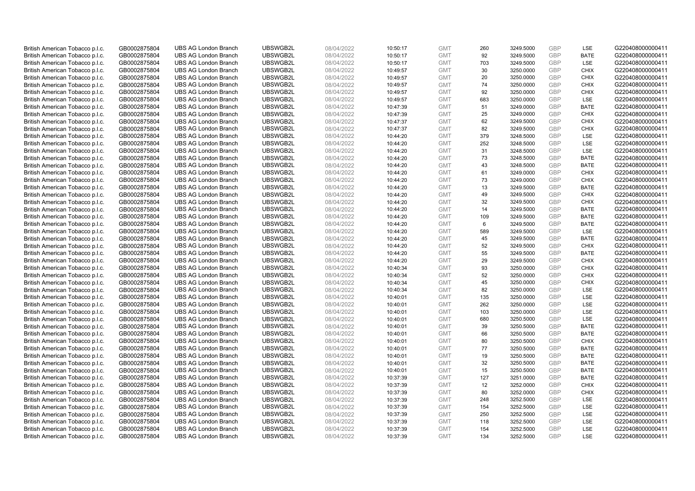| British American Tobacco p.l.c. | GB0002875804 | <b>UBS AG London Branch</b> | UBSWGB2L | 08/04/2022 | 10:50:17 | <b>GMT</b> | 260 | 3249.5000 | <b>GBP</b> | <b>LSE</b>  | G220408000000411 |
|---------------------------------|--------------|-----------------------------|----------|------------|----------|------------|-----|-----------|------------|-------------|------------------|
| British American Tobacco p.l.c. | GB0002875804 | <b>UBS AG London Branch</b> | UBSWGB2L | 08/04/2022 | 10:50:17 | <b>GMT</b> | 92  | 3249.5000 | GBP        | <b>BATE</b> | G220408000000411 |
| British American Tobacco p.l.c. | GB0002875804 | <b>UBS AG London Branch</b> | UBSWGB2L | 08/04/2022 | 10:50:17 | <b>GMT</b> | 703 | 3249.5000 | <b>GBP</b> | LSE         | G220408000000411 |
| British American Tobacco p.l.c. | GB0002875804 | <b>UBS AG London Branch</b> | UBSWGB2L | 08/04/2022 | 10:49:57 | <b>GMT</b> | 30  | 3250.0000 | GBP        | <b>CHIX</b> | G220408000000411 |
| British American Tobacco p.l.c. | GB0002875804 | <b>UBS AG London Branch</b> | UBSWGB2L | 08/04/2022 | 10:49:57 | <b>GMT</b> | 20  | 3250.0000 | <b>GBP</b> | <b>CHIX</b> | G220408000000411 |
| British American Tobacco p.l.c. | GB0002875804 | <b>UBS AG London Branch</b> | UBSWGB2L | 08/04/2022 | 10:49:57 | <b>GMT</b> | 74  | 3250.0000 | <b>GBP</b> | <b>CHIX</b> | G220408000000411 |
| British American Tobacco p.l.c. | GB0002875804 | <b>UBS AG London Branch</b> | UBSWGB2L | 08/04/2022 | 10:49:57 | <b>GMT</b> | 92  | 3250.0000 | <b>GBP</b> | <b>CHIX</b> | G220408000000411 |
| British American Tobacco p.l.c. | GB0002875804 | <b>UBS AG London Branch</b> | UBSWGB2L | 08/04/2022 | 10:49:57 | <b>GMT</b> | 683 | 3250.0000 | GBP        | LSE         | G220408000000411 |
| British American Tobacco p.l.c. | GB0002875804 | <b>UBS AG London Branch</b> | UBSWGB2L | 08/04/2022 | 10:47:39 | <b>GMT</b> | 51  | 3249.0000 | <b>GBP</b> | <b>BATE</b> | G220408000000411 |
| British American Tobacco p.l.c. | GB0002875804 | <b>UBS AG London Branch</b> | UBSWGB2L | 08/04/2022 | 10:47:39 | <b>GMT</b> | 25  | 3249.0000 | GBP        | <b>CHIX</b> | G220408000000411 |
| British American Tobacco p.l.c. | GB0002875804 | <b>UBS AG London Branch</b> | UBSWGB2L | 08/04/2022 | 10:47:37 | <b>GMT</b> | 62  | 3249.5000 | <b>GBP</b> | <b>CHIX</b> | G220408000000411 |
| British American Tobacco p.l.c. | GB0002875804 | <b>UBS AG London Branch</b> | UBSWGB2L | 08/04/2022 | 10:47:37 | <b>GMT</b> | 82  | 3249.5000 | <b>GBP</b> | <b>CHIX</b> | G220408000000411 |
| British American Tobacco p.l.c. | GB0002875804 | <b>UBS AG London Branch</b> | UBSWGB2L | 08/04/2022 | 10:44:20 | <b>GMT</b> | 379 | 3248.5000 | <b>GBP</b> | LSE         | G220408000000411 |
| British American Tobacco p.l.c. | GB0002875804 | <b>UBS AG London Branch</b> | UBSWGB2L | 08/04/2022 | 10:44:20 | <b>GMT</b> | 252 | 3248.5000 | <b>GBP</b> | <b>LSE</b>  | G220408000000411 |
| British American Tobacco p.l.c. | GB0002875804 | <b>UBS AG London Branch</b> | UBSWGB2L | 08/04/2022 | 10:44:20 | <b>GMT</b> | 31  | 3248.5000 | GBP        | LSE         | G220408000000411 |
| British American Tobacco p.l.c. | GB0002875804 | <b>UBS AG London Branch</b> | UBSWGB2L | 08/04/2022 | 10:44:20 | <b>GMT</b> | 73  | 3248.5000 | <b>GBP</b> | <b>BATE</b> | G220408000000411 |
| British American Tobacco p.l.c. | GB0002875804 | <b>UBS AG London Branch</b> | UBSWGB2L | 08/04/2022 | 10:44:20 | <b>GMT</b> | 43  | 3248.5000 | GBP        | <b>BATE</b> | G220408000000411 |
| British American Tobacco p.l.c. | GB0002875804 | <b>UBS AG London Branch</b> | UBSWGB2L | 08/04/2022 | 10:44:20 | <b>GMT</b> | 61  | 3249.0000 | GBP        | <b>CHIX</b> | G220408000000411 |
| British American Tobacco p.l.c. | GB0002875804 | <b>UBS AG London Branch</b> | UBSWGB2L | 08/04/2022 | 10:44:20 | <b>GMT</b> | 73  | 3249.0000 | GBP        | <b>CHIX</b> | G220408000000411 |
| British American Tobacco p.l.c. | GB0002875804 | <b>UBS AG London Branch</b> | UBSWGB2L | 08/04/2022 | 10:44:20 | <b>GMT</b> | 13  | 3249.5000 | <b>GBP</b> | <b>BATE</b> | G220408000000411 |
| British American Tobacco p.l.c. | GB0002875804 | <b>UBS AG London Branch</b> | UBSWGB2L | 08/04/2022 | 10:44:20 | <b>GMT</b> | 49  | 3249.5000 | GBP        | <b>CHIX</b> | G220408000000411 |
| British American Tobacco p.l.c. | GB0002875804 | <b>UBS AG London Branch</b> | UBSWGB2L | 08/04/2022 | 10:44:20 | <b>GMT</b> | 32  | 3249.5000 | GBP        | <b>CHIX</b> | G220408000000411 |
| British American Tobacco p.l.c. | GB0002875804 | <b>UBS AG London Branch</b> | UBSWGB2L | 08/04/2022 | 10:44:20 | <b>GMT</b> | 14  | 3249.5000 | GBP        | <b>BATE</b> | G220408000000411 |
| British American Tobacco p.l.c. | GB0002875804 | <b>UBS AG London Branch</b> | UBSWGB2L | 08/04/2022 | 10:44:20 | <b>GMT</b> | 109 | 3249.5000 | <b>GBP</b> | <b>BATE</b> | G220408000000411 |
| British American Tobacco p.l.c. | GB0002875804 | <b>UBS AG London Branch</b> | UBSWGB2L | 08/04/2022 | 10:44:20 | <b>GMT</b> | 6   | 3249.5000 | GBP        | <b>BATE</b> | G220408000000411 |
| British American Tobacco p.l.c. | GB0002875804 | <b>UBS AG London Branch</b> | UBSWGB2L | 08/04/2022 | 10:44:20 | <b>GMT</b> | 589 | 3249.5000 | GBP        | LSE         | G220408000000411 |
| British American Tobacco p.l.c. | GB0002875804 | <b>UBS AG London Branch</b> | UBSWGB2L | 08/04/2022 | 10:44:20 | <b>GMT</b> | 45  | 3249.5000 | <b>GBP</b> | <b>BATE</b> | G220408000000411 |
| British American Tobacco p.l.c. | GB0002875804 | <b>UBS AG London Branch</b> | UBSWGB2L | 08/04/2022 | 10:44:20 | <b>GMT</b> | 52  | 3249.5000 | GBP        | <b>CHIX</b> | G220408000000411 |
| British American Tobacco p.l.c. | GB0002875804 | <b>UBS AG London Branch</b> | UBSWGB2L | 08/04/2022 | 10:44:20 | <b>GMT</b> | 55  | 3249.5000 | GBP        | <b>BATE</b> | G220408000000411 |
| British American Tobacco p.l.c. | GB0002875804 | <b>UBS AG London Branch</b> | UBSWGB2L | 08/04/2022 | 10:44:20 | <b>GMT</b> | 29  | 3249.5000 | GBP        | <b>CHIX</b> | G220408000000411 |
| British American Tobacco p.l.c. | GB0002875804 | <b>UBS AG London Branch</b> | UBSWGB2L | 08/04/2022 | 10:40:34 | <b>GMT</b> | 93  | 3250.0000 | <b>GBP</b> | <b>CHIX</b> | G220408000000411 |
| British American Tobacco p.l.c. | GB0002875804 | <b>UBS AG London Branch</b> | UBSWGB2L | 08/04/2022 | 10:40:34 | <b>GMT</b> | 52  | 3250.0000 | <b>GBP</b> | <b>CHIX</b> | G220408000000411 |
| British American Tobacco p.l.c. | GB0002875804 | <b>UBS AG London Branch</b> | UBSWGB2L | 08/04/2022 | 10:40:34 | <b>GMT</b> | 45  | 3250.0000 | GBP        | <b>CHIX</b> | G220408000000411 |
| British American Tobacco p.l.c. | GB0002875804 | <b>UBS AG London Branch</b> | UBSWGB2L | 08/04/2022 | 10:40:34 | <b>GMT</b> | 82  | 3250.0000 | <b>GBP</b> | <b>LSE</b>  | G220408000000411 |
| British American Tobacco p.l.c. | GB0002875804 | <b>UBS AG London Branch</b> | UBSWGB2L | 08/04/2022 | 10:40:01 | <b>GMT</b> | 135 | 3250.0000 | <b>GBP</b> | LSE         | G220408000000411 |
| British American Tobacco p.l.c. | GB0002875804 | <b>UBS AG London Branch</b> | UBSWGB2L | 08/04/2022 | 10:40:01 | <b>GMT</b> | 262 | 3250.0000 | <b>GBP</b> | <b>LSE</b>  | G220408000000411 |
| British American Tobacco p.l.c. | GB0002875804 | <b>UBS AG London Branch</b> | UBSWGB2L | 08/04/2022 | 10:40:01 | <b>GMT</b> | 103 | 3250.0000 | GBP        | LSE         | G220408000000411 |
| British American Tobacco p.l.c. | GB0002875804 | <b>UBS AG London Branch</b> | UBSWGB2L | 08/04/2022 | 10:40:01 | <b>GMT</b> | 680 | 3250.5000 | <b>GBP</b> | LSE         | G220408000000411 |
| British American Tobacco p.l.c. | GB0002875804 | <b>UBS AG London Branch</b> | UBSWGB2L | 08/04/2022 | 10:40:01 | <b>GMT</b> | 39  | 3250.5000 | GBP        | <b>BATE</b> | G220408000000411 |
| British American Tobacco p.l.c. | GB0002875804 | <b>UBS AG London Branch</b> | UBSWGB2L | 08/04/2022 | 10:40:01 | <b>GMT</b> | 66  | 3250.5000 | <b>GBP</b> | <b>BATE</b> | G220408000000411 |
| British American Tobacco p.l.c. | GB0002875804 | <b>UBS AG London Branch</b> | UBSWGB2L | 08/04/2022 | 10:40:01 | <b>GMT</b> | 80  | 3250.5000 | <b>GBP</b> | <b>CHIX</b> | G220408000000411 |
| British American Tobacco p.l.c. | GB0002875804 | <b>UBS AG London Branch</b> | UBSWGB2L | 08/04/2022 | 10:40:01 | <b>GMT</b> | 77  | 3250.5000 | GBP        | <b>BATE</b> | G220408000000411 |
| British American Tobacco p.l.c. | GB0002875804 | <b>UBS AG London Branch</b> | UBSWGB2L | 08/04/2022 | 10:40:01 | <b>GMT</b> | 19  | 3250.5000 | <b>GBP</b> | <b>BATE</b> | G220408000000411 |
| British American Tobacco p.l.c. | GB0002875804 | <b>UBS AG London Branch</b> | UBSWGB2L | 08/04/2022 | 10:40:01 | <b>GMT</b> | 32  | 3250.5000 | GBP        | <b>BATE</b> | G220408000000411 |
| British American Tobacco p.l.c. | GB0002875804 | <b>UBS AG London Branch</b> | UBSWGB2L | 08/04/2022 | 10:40:01 | <b>GMT</b> | 15  | 3250.5000 | <b>GBP</b> | <b>BATE</b> | G220408000000411 |
| British American Tobacco p.l.c. | GB0002875804 | <b>UBS AG London Branch</b> | UBSWGB2L | 08/04/2022 | 10:37:39 | <b>GMT</b> | 127 | 3251.0000 | GBP        | <b>BATE</b> | G220408000000411 |
| British American Tobacco p.l.c. | GB0002875804 | <b>UBS AG London Branch</b> | UBSWGB2L | 08/04/2022 | 10:37:39 | <b>GMT</b> | 12  | 3252.0000 | <b>GBP</b> | <b>CHIX</b> | G220408000000411 |
| British American Tobacco p.l.c. | GB0002875804 | <b>UBS AG London Branch</b> | UBSWGB2L | 08/04/2022 | 10:37:39 | <b>GMT</b> | 80  | 3252.0000 | <b>GBP</b> | <b>CHIX</b> | G220408000000411 |
| British American Tobacco p.l.c. | GB0002875804 | <b>UBS AG London Branch</b> | UBSWGB2L | 08/04/2022 | 10:37:39 | <b>GMT</b> | 248 | 3252.5000 | <b>GBP</b> | LSE         | G220408000000411 |
| British American Tobacco p.l.c. | GB0002875804 | <b>UBS AG London Branch</b> | UBSWGB2L | 08/04/2022 | 10:37:39 | <b>GMT</b> | 154 | 3252.5000 | GBP        | LSE         | G220408000000411 |
| British American Tobacco p.l.c. | GB0002875804 | <b>UBS AG London Branch</b> | UBSWGB2L | 08/04/2022 | 10:37:39 | <b>GMT</b> | 250 | 3252.5000 | GBP        | LSE         | G220408000000411 |
| British American Tobacco p.l.c. | GB0002875804 | <b>UBS AG London Branch</b> | UBSWGB2L | 08/04/2022 | 10:37:39 | <b>GMT</b> | 118 | 3252.5000 | <b>GBP</b> | LSE         | G220408000000411 |
| British American Tobacco p.l.c. | GB0002875804 | <b>UBS AG London Branch</b> | UBSWGB2L | 08/04/2022 | 10:37:39 | <b>GMT</b> | 154 | 3252.5000 | GBP        | LSE         | G220408000000411 |
| British American Tobacco p.l.c. | GB0002875804 | <b>UBS AG London Branch</b> | UBSWGB2L | 08/04/2022 | 10:37:39 | <b>GMT</b> | 134 | 3252.5000 | GBP        | <b>LSE</b>  | G220408000000411 |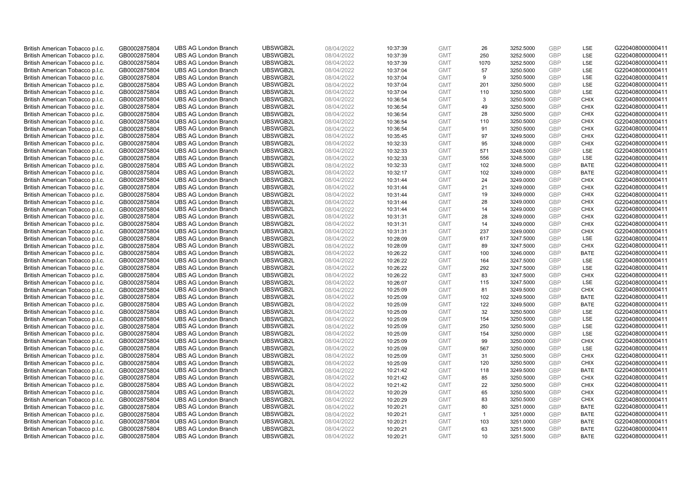| British American Tobacco p.l.c. | GB0002875804 | <b>UBS AG London Branch</b>                                | UBSWGB2L             | 08/04/2022 | 10:37:39 | <b>GMT</b>               | 26              | 3252.5000              | <b>GBP</b> | LSE         | G220408000000411                     |
|---------------------------------|--------------|------------------------------------------------------------|----------------------|------------|----------|--------------------------|-----------------|------------------------|------------|-------------|--------------------------------------|
| British American Tobacco p.l.c. | GB0002875804 | <b>UBS AG London Branch</b>                                | UBSWGB2L             | 08/04/2022 | 10:37:39 | <b>GMT</b>               | 250             | 3252.5000              | GBP        | LSE         | G220408000000411                     |
| British American Tobacco p.l.c. | GB0002875804 | <b>UBS AG London Branch</b>                                | UBSWGB2L             | 08/04/2022 | 10:37:39 | <b>GMT</b>               | 1070            | 3252.5000              | GBP        | LSE         | G220408000000411                     |
| British American Tobacco p.l.c. | GB0002875804 | <b>UBS AG London Branch</b>                                | UBSWGB2L             | 08/04/2022 | 10:37:04 | <b>GMT</b>               | 57              | 3250.5000              | GBP        | LSE         | G220408000000411                     |
| British American Tobacco p.l.c. | GB0002875804 | <b>UBS AG London Branch</b>                                | UBSWGB2L             | 08/04/2022 | 10:37:04 | <b>GMT</b>               | 9               | 3250.5000              | <b>GBP</b> | LSE         | G220408000000411                     |
| British American Tobacco p.l.c. | GB0002875804 | <b>UBS AG London Branch</b>                                | UBSWGB2L             | 08/04/2022 | 10:37:04 | <b>GMT</b>               | 201             | 3250.5000              | <b>GBP</b> | LSE         | G220408000000411                     |
| British American Tobacco p.l.c. | GB0002875804 | <b>UBS AG London Branch</b>                                | UBSWGB2L             | 08/04/2022 | 10:37:04 | <b>GMT</b>               | 110             | 3250.5000              | GBP        | LSE         | G220408000000411                     |
| British American Tobacco p.l.c. | GB0002875804 | <b>UBS AG London Branch</b>                                | UBSWGB2L             | 08/04/2022 | 10:36:54 | <b>GMT</b>               | 3               | 3250.5000              | <b>GBP</b> | <b>CHIX</b> | G220408000000411                     |
| British American Tobacco p.l.c. | GB0002875804 | <b>UBS AG London Branch</b>                                | UBSWGB2L             | 08/04/2022 | 10:36:54 | <b>GMT</b>               | 49              | 3250.5000              | GBP        | <b>CHIX</b> | G220408000000411                     |
| British American Tobacco p.l.c. | GB0002875804 | <b>UBS AG London Branch</b>                                | UBSWGB2L             | 08/04/2022 | 10:36:54 | <b>GMT</b>               | 28              | 3250.5000              | <b>GBP</b> | <b>CHIX</b> | G220408000000411                     |
| British American Tobacco p.l.c. | GB0002875804 | <b>UBS AG London Branch</b>                                | UBSWGB2L             | 08/04/2022 | 10:36:54 | <b>GMT</b>               | 110             | 3250.5000              | GBP        | <b>CHIX</b> | G220408000000411                     |
| British American Tobacco p.l.c. | GB0002875804 | <b>UBS AG London Branch</b>                                | UBSWGB2L             | 08/04/2022 | 10:36:54 | <b>GMT</b>               | 91              | 3250.5000              | <b>GBP</b> | <b>CHIX</b> | G220408000000411                     |
| British American Tobacco p.l.c. | GB0002875804 | <b>UBS AG London Branch</b>                                | UBSWGB2L             | 08/04/2022 | 10:35:45 | <b>GMT</b>               | 97              | 3249.5000              | GBP        | <b>CHIX</b> | G220408000000411                     |
| British American Tobacco p.l.c. | GB0002875804 | <b>UBS AG London Branch</b>                                | UBSWGB2L             | 08/04/2022 | 10:32:33 | <b>GMT</b>               | 95              | 3248.0000              | <b>GBP</b> | <b>CHIX</b> | G220408000000411                     |
| British American Tobacco p.l.c. | GB0002875804 | <b>UBS AG London Branch</b>                                | UBSWGB2L             | 08/04/2022 | 10:32:33 | <b>GMT</b>               | 571             | 3248.5000              | <b>GBP</b> | <b>LSE</b>  | G220408000000411                     |
| British American Tobacco p.l.c. | GB0002875804 | <b>UBS AG London Branch</b>                                | UBSWGB2L             | 08/04/2022 | 10:32:33 | <b>GMT</b>               | 556             | 3248.5000              | GBP        | LSE         | G220408000000411                     |
| British American Tobacco p.l.c. | GB0002875804 | <b>UBS AG London Branch</b>                                | UBSWGB2L             | 08/04/2022 | 10:32:33 | <b>GMT</b>               | 102             | 3248.5000              | GBP        | <b>BATE</b> | G220408000000411                     |
| British American Tobacco p.l.c. | GB0002875804 | <b>UBS AG London Branch</b>                                | UBSWGB2L             | 08/04/2022 | 10:32:17 | <b>GMT</b>               | 102             | 3249.0000              | GBP        | <b>BATE</b> | G220408000000411                     |
| British American Tobacco p.l.c. | GB0002875804 | <b>UBS AG London Branch</b>                                | UBSWGB2L             | 08/04/2022 | 10:31:44 | <b>GMT</b>               | 24              | 3249.0000              | <b>GBP</b> | <b>CHIX</b> | G220408000000411                     |
| British American Tobacco p.l.c. | GB0002875804 | <b>UBS AG London Branch</b>                                | UBSWGB2L             | 08/04/2022 | 10:31:44 | <b>GMT</b>               | 21              | 3249.0000              | GBP        | <b>CHIX</b> | G220408000000411                     |
| British American Tobacco p.l.c. | GB0002875804 | <b>UBS AG London Branch</b>                                | UBSWGB2L             | 08/04/2022 | 10:31:44 | <b>GMT</b>               | 19              | 3249.0000              | <b>GBP</b> | <b>CHIX</b> | G220408000000411                     |
| British American Tobacco p.l.c. | GB0002875804 | <b>UBS AG London Branch</b>                                | UBSWGB2L             | 08/04/2022 | 10:31:44 | <b>GMT</b>               | 28              | 3249.0000              | GBP        | <b>CHIX</b> | G220408000000411                     |
| British American Tobacco p.l.c. | GB0002875804 | <b>UBS AG London Branch</b>                                | UBSWGB2L             | 08/04/2022 | 10:31:44 | <b>GMT</b>               | 14              | 3249.0000              | <b>GBP</b> | <b>CHIX</b> | G220408000000411                     |
| British American Tobacco p.l.c. | GB0002875804 | <b>UBS AG London Branch</b>                                | UBSWGB2L             | 08/04/2022 | 10:31:31 | <b>GMT</b>               | 28              | 3249.0000              | GBP        | <b>CHIX</b> | G220408000000411                     |
| British American Tobacco p.l.c. | GB0002875804 | <b>UBS AG London Branch</b>                                | UBSWGB2L             | 08/04/2022 | 10:31:31 | <b>GMT</b>               | 14              | 3249.0000              | <b>GBP</b> | <b>CHIX</b> | G220408000000411                     |
| British American Tobacco p.l.c. | GB0002875804 | <b>UBS AG London Branch</b>                                | UBSWGB2L             | 08/04/2022 | 10:31:31 | <b>GMT</b>               | 237             | 3249.0000              | GBP        | <b>CHIX</b> | G220408000000411                     |
| British American Tobacco p.l.c. | GB0002875804 | <b>UBS AG London Branch</b>                                | UBSWGB2L             | 08/04/2022 | 10:28:09 | <b>GMT</b>               | 617             | 3247.5000              | <b>GBP</b> | <b>LSE</b>  | G220408000000411                     |
| British American Tobacco p.l.c. | GB0002875804 | <b>UBS AG London Branch</b>                                | UBSWGB2L             | 08/04/2022 | 10:28:09 | <b>GMT</b>               | 89              | 3247.5000              | GBP        | <b>CHIX</b> | G220408000000411                     |
| British American Tobacco p.l.c. | GB0002875804 | <b>UBS AG London Branch</b>                                | UBSWGB2L             | 08/04/2022 | 10:26:22 | <b>GMT</b>               | 100             | 3246.0000              | GBP        | <b>BATE</b> | G220408000000411                     |
| British American Tobacco p.l.c. | GB0002875804 | <b>UBS AG London Branch</b>                                | UBSWGB2L             | 08/04/2022 | 10:26:22 | <b>GMT</b>               | 164             | 3247.5000              | GBP        | LSE         | G220408000000411                     |
| British American Tobacco p.l.c. | GB0002875804 | <b>UBS AG London Branch</b>                                | UBSWGB2L             | 08/04/2022 | 10:26:22 | <b>GMT</b>               | 292             | 3247.5000              | GBP        | LSE         | G220408000000411                     |
| British American Tobacco p.l.c. | GB0002875804 | <b>UBS AG London Branch</b>                                | UBSWGB2L             | 08/04/2022 | 10:26:22 | <b>GMT</b>               | 83              | 3247.5000              | GBP        | <b>CHIX</b> | G220408000000411                     |
| British American Tobacco p.l.c. | GB0002875804 | <b>UBS AG London Branch</b>                                | UBSWGB2L             | 08/04/2022 | 10:26:07 | <b>GMT</b>               | 115             | 3247.5000              | GBP        | LSE         | G220408000000411                     |
|                                 |              |                                                            |                      |            |          |                          | 81              |                        | GBP        | <b>CHIX</b> |                                      |
| British American Tobacco p.l.c. | GB0002875804 | <b>UBS AG London Branch</b><br><b>UBS AG London Branch</b> | UBSWGB2L<br>UBSWGB2L | 08/04/2022 | 10:25:09 | <b>GMT</b><br><b>GMT</b> | 102             | 3249.5000<br>3249.5000 | GBP        | <b>BATE</b> | G220408000000411<br>G220408000000411 |
| British American Tobacco p.l.c. | GB0002875804 |                                                            |                      | 08/04/2022 | 10:25:09 |                          |                 |                        |            |             |                                      |
| British American Tobacco p.l.c. | GB0002875804 | <b>UBS AG London Branch</b>                                | UBSWGB2L             | 08/04/2022 | 10:25:09 | <b>GMT</b>               | 122             | 3249.5000              | <b>GBP</b> | <b>BATE</b> | G220408000000411                     |
| British American Tobacco p.l.c. | GB0002875804 | <b>UBS AG London Branch</b>                                | UBSWGB2L             | 08/04/2022 | 10:25:09 | <b>GMT</b>               | 32              | 3250.5000              | GBP        | LSE         | G220408000000411                     |
| British American Tobacco p.l.c. | GB0002875804 | <b>UBS AG London Branch</b>                                | UBSWGB2L             | 08/04/2022 | 10:25:09 | <b>GMT</b>               | 154             | 3250.5000              | <b>GBP</b> | LSE         | G220408000000411                     |
| British American Tobacco p.l.c. | GB0002875804 | <b>UBS AG London Branch</b>                                | UBSWGB2L             | 08/04/2022 | 10:25:09 | <b>GMT</b>               | 250             | 3250.5000              | GBP        | LSE         | G220408000000411                     |
| British American Tobacco p.l.c. | GB0002875804 | <b>UBS AG London Branch</b>                                | UBSWGB2L             | 08/04/2022 | 10:25:09 | <b>GMT</b>               | 154             | 3250.0000              | GBP        | LSE         | G220408000000411                     |
| British American Tobacco p.l.c. | GB0002875804 | <b>UBS AG London Branch</b>                                | UBSWGB2L             | 08/04/2022 | 10:25:09 | <b>GMT</b>               | 99              | 3250.0000              | GBP        | <b>CHIX</b> | G220408000000411                     |
| British American Tobacco p.l.c. | GB0002875804 | <b>UBS AG London Branch</b>                                | UBSWGB2L             | 08/04/2022 | 10:25:09 | <b>GMT</b>               | 567             | 3250.0000              | GBP        | <b>LSE</b>  | G220408000000411                     |
| British American Tobacco p.l.c. | GB0002875804 | <b>UBS AG London Branch</b>                                | UBSWGB2L             | 08/04/2022 | 10:25:09 | <b>GMT</b>               | 31              | 3250.5000              | GBP        | <b>CHIX</b> | G220408000000411                     |
| British American Tobacco p.l.c. | GB0002875804 | <b>UBS AG London Branch</b>                                | UBSWGB2L             | 08/04/2022 | 10:25:09 | <b>GMT</b>               | 120             | 3250.5000              | GBP        | <b>CHIX</b> | G220408000000411                     |
| British American Tobacco p.l.c. | GB0002875804 | <b>UBS AG London Branch</b>                                | UBSWGB2L             | 08/04/2022 | 10:21:42 | <b>GMT</b>               | 118             | 3249.5000              | GBP        | <b>BATE</b> | G220408000000411                     |
| British American Tobacco p.l.c. | GB0002875804 | <b>UBS AG London Branch</b>                                | UBSWGB2L             | 08/04/2022 | 10:21:42 | <b>GMT</b>               | 85              | 3250.5000              | GBP        | <b>CHIX</b> | G220408000000411                     |
| British American Tobacco p.l.c. | GB0002875804 | <b>UBS AG London Branch</b>                                | UBSWGB2L             | 08/04/2022 | 10:21:42 | <b>GMT</b>               | 22              | 3250.5000              | GBP        | <b>CHIX</b> | G220408000000411                     |
| British American Tobacco p.l.c. | GB0002875804 | <b>UBS AG London Branch</b>                                | UBSWGB2L             | 08/04/2022 | 10:20:29 | <b>GMT</b>               | 65              | 3250.5000              | GBP        | <b>CHIX</b> | G220408000000411                     |
| British American Tobacco p.l.c. | GB0002875804 | <b>UBS AG London Branch</b>                                | UBSWGB2L             | 08/04/2022 | 10:20:29 | <b>GMT</b>               | 83              | 3250.5000              | GBP        | <b>CHIX</b> | G220408000000411                     |
| British American Tobacco p.l.c. | GB0002875804 | <b>UBS AG London Branch</b>                                | UBSWGB2L             | 08/04/2022 | 10:20:21 | <b>GMT</b>               | 80              | 3251.0000              | GBP        | <b>BATE</b> | G220408000000411                     |
| British American Tobacco p.l.c. | GB0002875804 | <b>UBS AG London Branch</b>                                | UBSWGB2L             | 08/04/2022 | 10:20:21 | <b>GMT</b>               | $\mathbf{1}$    | 3251.0000              | <b>GBP</b> | <b>BATE</b> | G220408000000411                     |
| British American Tobacco p.l.c. | GB0002875804 | <b>UBS AG London Branch</b>                                | UBSWGB2L             | 08/04/2022 | 10:20:21 | <b>GMT</b>               | 103             | 3251.0000              | <b>GBP</b> | <b>BATE</b> | G220408000000411                     |
| British American Tobacco p.l.c. | GB0002875804 | <b>UBS AG London Branch</b>                                | UBSWGB2L             | 08/04/2022 | 10:20:21 | <b>GMT</b>               | 63              | 3251.5000              | GBP        | <b>BATE</b> | G220408000000411                     |
| British American Tobacco p.l.c. | GB0002875804 | <b>UBS AG London Branch</b>                                | UBSWGB2L             | 08/04/2022 | 10:20:21 | <b>GMT</b>               | 10 <sup>1</sup> | 3251.5000              | GBP        | <b>BATE</b> | G220408000000411                     |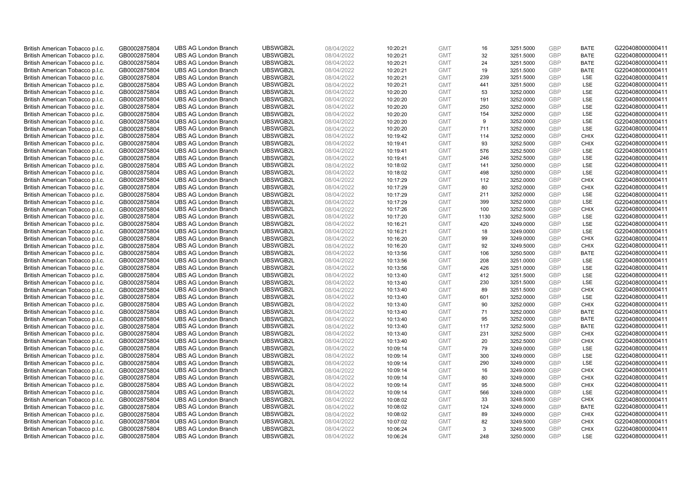| British American Tobacco p.l.c. | GB0002875804 | <b>UBS AG London Branch</b> | UBSWGB2L | 08/04/2022 | 10:20:21 | <b>GMT</b> | 16   | 3251.5000 | <b>GBP</b> | <b>BATE</b> | G220408000000411 |
|---------------------------------|--------------|-----------------------------|----------|------------|----------|------------|------|-----------|------------|-------------|------------------|
| British American Tobacco p.l.c. | GB0002875804 | <b>UBS AG London Branch</b> | UBSWGB2L | 08/04/2022 | 10:20:21 | <b>GMT</b> | 32   | 3251.5000 | GBP        | <b>BATE</b> | G220408000000411 |
| British American Tobacco p.l.c. | GB0002875804 | <b>UBS AG London Branch</b> | UBSWGB2L | 08/04/2022 | 10:20:21 | <b>GMT</b> | 24   | 3251.5000 | <b>GBP</b> | <b>BATE</b> | G220408000000411 |
| British American Tobacco p.l.c. | GB0002875804 | <b>UBS AG London Branch</b> | UBSWGB2L | 08/04/2022 | 10:20:21 | <b>GMT</b> | 19   | 3251.5000 | GBP        | <b>BATE</b> | G220408000000411 |
| British American Tobacco p.l.c. | GB0002875804 | <b>UBS AG London Branch</b> | UBSWGB2L | 08/04/2022 | 10:20:21 | <b>GMT</b> | 239  | 3251.5000 | <b>GBP</b> | <b>LSE</b>  | G220408000000411 |
| British American Tobacco p.l.c. | GB0002875804 | <b>UBS AG London Branch</b> | UBSWGB2L | 08/04/2022 | 10:20:21 | <b>GMT</b> | 441  | 3251.5000 | <b>GBP</b> | LSE         | G220408000000411 |
| British American Tobacco p.l.c. | GB0002875804 | <b>UBS AG London Branch</b> | UBSWGB2L | 08/04/2022 | 10:20:20 | <b>GMT</b> | 53   | 3252.0000 | <b>GBP</b> | LSE         | G220408000000411 |
| British American Tobacco p.l.c. | GB0002875804 | <b>UBS AG London Branch</b> | UBSWGB2L | 08/04/2022 | 10:20:20 | <b>GMT</b> | 191  | 3252.0000 | <b>GBP</b> | LSE         | G220408000000411 |
| British American Tobacco p.l.c. | GB0002875804 | <b>UBS AG London Branch</b> | UBSWGB2L | 08/04/2022 | 10:20:20 | <b>GMT</b> | 250  | 3252.0000 | <b>GBP</b> | LSE         | G220408000000411 |
| British American Tobacco p.l.c. | GB0002875804 | <b>UBS AG London Branch</b> | UBSWGB2L | 08/04/2022 | 10:20:20 | <b>GMT</b> | 154  | 3252.0000 | <b>GBP</b> | <b>LSE</b>  | G220408000000411 |
| British American Tobacco p.l.c. | GB0002875804 | <b>UBS AG London Branch</b> | UBSWGB2L | 08/04/2022 | 10:20:20 | <b>GMT</b> | 9    | 3252.0000 | <b>GBP</b> | LSE         | G220408000000411 |
| British American Tobacco p.l.c. | GB0002875804 | <b>UBS AG London Branch</b> | UBSWGB2L | 08/04/2022 | 10:20:20 | <b>GMT</b> | 711  | 3252.0000 | <b>GBP</b> | LSE         | G220408000000411 |
| British American Tobacco p.l.c. | GB0002875804 | <b>UBS AG London Branch</b> | UBSWGB2L | 08/04/2022 | 10:19:42 | <b>GMT</b> | 114  | 3252.0000 | GBP        | <b>CHIX</b> | G220408000000411 |
| British American Tobacco p.l.c. | GB0002875804 | <b>UBS AG London Branch</b> | UBSWGB2L | 08/04/2022 | 10:19:41 | <b>GMT</b> | 93   | 3252.5000 | <b>GBP</b> | <b>CHIX</b> | G220408000000411 |
| British American Tobacco p.l.c. | GB0002875804 | <b>UBS AG London Branch</b> | UBSWGB2L | 08/04/2022 | 10:19:41 | <b>GMT</b> | 576  | 3252.5000 | GBP        | LSE         | G220408000000411 |
| British American Tobacco p.l.c. | GB0002875804 | <b>UBS AG London Branch</b> | UBSWGB2L | 08/04/2022 | 10:19:41 | <b>GMT</b> | 246  | 3252.5000 | <b>GBP</b> | LSE         | G220408000000411 |
| British American Tobacco p.l.c. | GB0002875804 | <b>UBS AG London Branch</b> | UBSWGB2L | 08/04/2022 | 10:18:02 | <b>GMT</b> | 141  | 3250.0000 | <b>GBP</b> | LSE         | G220408000000411 |
| British American Tobacco p.l.c. | GB0002875804 | <b>UBS AG London Branch</b> | UBSWGB2L | 08/04/2022 | 10:18:02 | <b>GMT</b> | 498  | 3250.0000 | GBP        | LSE         | G220408000000411 |
| British American Tobacco p.l.c. | GB0002875804 | <b>UBS AG London Branch</b> | UBSWGB2L | 08/04/2022 | 10:17:29 | <b>GMT</b> | 112  | 3252.0000 | GBP        | <b>CHIX</b> | G220408000000411 |
| British American Tobacco p.l.c. | GB0002875804 | <b>UBS AG London Branch</b> | UBSWGB2L | 08/04/2022 | 10:17:29 | <b>GMT</b> | 80   | 3252.0000 | <b>GBP</b> | <b>CHIX</b> | G220408000000411 |
| British American Tobacco p.l.c. | GB0002875804 | <b>UBS AG London Branch</b> | UBSWGB2L | 08/04/2022 | 10:17:29 | <b>GMT</b> | 211  | 3252.0000 | <b>GBP</b> | LSE         | G220408000000411 |
| British American Tobacco p.l.c. | GB0002875804 | <b>UBS AG London Branch</b> | UBSWGB2L | 08/04/2022 | 10:17:29 | <b>GMT</b> | 399  | 3252.0000 | GBP        | <b>LSE</b>  | G220408000000411 |
| British American Tobacco p.l.c. | GB0002875804 | <b>UBS AG London Branch</b> | UBSWGB2L | 08/04/2022 | 10:17:26 | <b>GMT</b> | 100  | 3252.5000 | <b>GBP</b> | <b>CHIX</b> | G220408000000411 |
| British American Tobacco p.l.c. | GB0002875804 | <b>UBS AG London Branch</b> | UBSWGB2L | 08/04/2022 | 10:17:20 | <b>GMT</b> | 1130 | 3252.5000 | <b>GBP</b> | LSE         | G220408000000411 |
| British American Tobacco p.l.c. | GB0002875804 | <b>UBS AG London Branch</b> | UBSWGB2L | 08/04/2022 | 10:16:21 | <b>GMT</b> | 420  | 3249.0000 | <b>GBP</b> | LSE         | G220408000000411 |
| British American Tobacco p.l.c. | GB0002875804 | <b>UBS AG London Branch</b> | UBSWGB2L | 08/04/2022 | 10:16:21 | <b>GMT</b> | 18   | 3249.0000 | GBP        | LSE         | G220408000000411 |
| British American Tobacco p.l.c. | GB0002875804 | <b>UBS AG London Branch</b> | UBSWGB2L | 08/04/2022 | 10:16:20 | <b>GMT</b> | 99   | 3249.0000 | <b>GBP</b> | <b>CHIX</b> | G220408000000411 |
| British American Tobacco p.l.c. | GB0002875804 | <b>UBS AG London Branch</b> | UBSWGB2L | 08/04/2022 | 10:16:20 | <b>GMT</b> | 92   | 3249.5000 | <b>GBP</b> | <b>CHIX</b> | G220408000000411 |
| British American Tobacco p.l.c. | GB0002875804 | <b>UBS AG London Branch</b> | UBSWGB2L | 08/04/2022 | 10:13:56 | <b>GMT</b> | 106  | 3250.5000 | <b>GBP</b> | <b>BATE</b> | G220408000000411 |
| British American Tobacco p.l.c. | GB0002875804 | <b>UBS AG London Branch</b> | UBSWGB2L | 08/04/2022 | 10:13:56 | <b>GMT</b> | 208  | 3251.0000 | GBP        | LSE         | G220408000000411 |
| British American Tobacco p.l.c. | GB0002875804 | <b>UBS AG London Branch</b> | UBSWGB2L | 08/04/2022 | 10:13:56 | <b>GMT</b> | 426  | 3251.0000 | <b>GBP</b> | LSE         | G220408000000411 |
| British American Tobacco p.l.c. | GB0002875804 | <b>UBS AG London Branch</b> | UBSWGB2L | 08/04/2022 | 10:13:40 | <b>GMT</b> | 412  | 3251.5000 | <b>GBP</b> | LSE         | G220408000000411 |
| British American Tobacco p.l.c. | GB0002875804 | <b>UBS AG London Branch</b> | UBSWGB2L | 08/04/2022 | 10:13:40 | <b>GMT</b> | 230  | 3251.5000 | <b>GBP</b> | LSE         | G220408000000411 |
| British American Tobacco p.l.c. | GB0002875804 | <b>UBS AG London Branch</b> | UBSWGB2L | 08/04/2022 | 10:13:40 | <b>GMT</b> | 89   | 3251.5000 | <b>GBP</b> | <b>CHIX</b> | G220408000000411 |
| British American Tobacco p.l.c. | GB0002875804 | <b>UBS AG London Branch</b> | UBSWGB2L | 08/04/2022 | 10:13:40 | <b>GMT</b> | 601  | 3252.0000 | <b>GBP</b> | LSE         | G220408000000411 |
| British American Tobacco p.l.c. | GB0002875804 | <b>UBS AG London Branch</b> | UBSWGB2L | 08/04/2022 | 10:13:40 | <b>GMT</b> | 90   | 3252.0000 | GBP        | <b>CHIX</b> | G220408000000411 |
| British American Tobacco p.l.c. | GB0002875804 | <b>UBS AG London Branch</b> | UBSWGB2L | 08/04/2022 | 10:13:40 | <b>GMT</b> | 71   | 3252.0000 | GBP        | <b>BATE</b> | G220408000000411 |
| British American Tobacco p.l.c. | GB0002875804 | <b>UBS AG London Branch</b> | UBSWGB2L | 08/04/2022 | 10:13:40 | <b>GMT</b> | 95   | 3252.0000 | <b>GBP</b> | <b>BATE</b> | G220408000000411 |
| British American Tobacco p.l.c. | GB0002875804 | <b>UBS AG London Branch</b> | UBSWGB2L | 08/04/2022 | 10:13:40 | <b>GMT</b> | 117  | 3252.5000 | <b>GBP</b> | <b>BATE</b> | G220408000000411 |
| British American Tobacco p.l.c. | GB0002875804 | <b>UBS AG London Branch</b> | UBSWGB2L | 08/04/2022 | 10:13:40 | <b>GMT</b> | 231  | 3252.5000 | <b>GBP</b> | <b>CHIX</b> | G220408000000411 |
| British American Tobacco p.l.c. | GB0002875804 | <b>UBS AG London Branch</b> | UBSWGB2L | 08/04/2022 | 10:13:40 | <b>GMT</b> | 20   | 3252.5000 | GBP        | <b>CHIX</b> | G220408000000411 |
| British American Tobacco p.l.c. | GB0002875804 | <b>UBS AG London Branch</b> | UBSWGB2L | 08/04/2022 | 10:09:14 | <b>GMT</b> | 79   | 3249.0000 | <b>GBP</b> | LSE         | G220408000000411 |
| British American Tobacco p.l.c. | GB0002875804 | <b>UBS AG London Branch</b> | UBSWGB2L | 08/04/2022 | 10:09:14 | <b>GMT</b> | 300  | 3249.0000 | <b>GBP</b> | LSE         | G220408000000411 |
| British American Tobacco p.l.c. | GB0002875804 | <b>UBS AG London Branch</b> | UBSWGB2L | 08/04/2022 | 10:09:14 | <b>GMT</b> | 290  | 3249.0000 | GBP        | LSE         | G220408000000411 |
| British American Tobacco p.l.c. | GB0002875804 | <b>UBS AG London Branch</b> | UBSWGB2L | 08/04/2022 | 10:09:14 | <b>GMT</b> | 16   | 3249.0000 | <b>GBP</b> | <b>CHIX</b> | G220408000000411 |
| British American Tobacco p.l.c. | GB0002875804 | <b>UBS AG London Branch</b> | UBSWGB2L | 08/04/2022 | 10:09:14 | <b>GMT</b> | 80   | 3249.0000 | <b>GBP</b> | <b>CHIX</b> | G220408000000411 |
| British American Tobacco p.l.c. | GB0002875804 | <b>UBS AG London Branch</b> | UBSWGB2L | 08/04/2022 | 10:09:14 | <b>GMT</b> | 95   | 3248.5000 | <b>GBP</b> | <b>CHIX</b> | G220408000000411 |
| British American Tobacco p.l.c. | GB0002875804 | <b>UBS AG London Branch</b> | UBSWGB2L | 08/04/2022 | 10:09:14 | <b>GMT</b> | 566  | 3249.0000 | <b>GBP</b> | LSE         | G220408000000411 |
| British American Tobacco p.l.c. | GB0002875804 | <b>UBS AG London Branch</b> | UBSWGB2L | 08/04/2022 | 10:08:02 | <b>GMT</b> | 33   | 3248.5000 | <b>GBP</b> | <b>CHIX</b> | G220408000000411 |
| British American Tobacco p.l.c. | GB0002875804 | <b>UBS AG London Branch</b> | UBSWGB2L | 08/04/2022 | 10:08:02 | <b>GMT</b> | 124  | 3249.0000 | GBP        | <b>BATE</b> | G220408000000411 |
| British American Tobacco p.l.c. | GB0002875804 | <b>UBS AG London Branch</b> | UBSWGB2L | 08/04/2022 | 10:08:02 | <b>GMT</b> | 89   | 3249.0000 | <b>GBP</b> | <b>CHIX</b> | G220408000000411 |
| British American Tobacco p.l.c. | GB0002875804 | <b>UBS AG London Branch</b> | UBSWGB2L | 08/04/2022 | 10:07:02 | <b>GMT</b> | 82   | 3249.5000 | <b>GBP</b> | <b>CHIX</b> | G220408000000411 |
| British American Tobacco p.l.c. | GB0002875804 | <b>UBS AG London Branch</b> | UBSWGB2L | 08/04/2022 | 10:06:24 | <b>GMT</b> | 3    | 3249.5000 | GBP        | <b>CHIX</b> | G220408000000411 |
| British American Tobacco p.l.c. | GB0002875804 | <b>UBS AG London Branch</b> | UBSWGB2L | 08/04/2022 | 10:06:24 | <b>GMT</b> | 248  | 3250.0000 | GBP        | <b>LSE</b>  | G220408000000411 |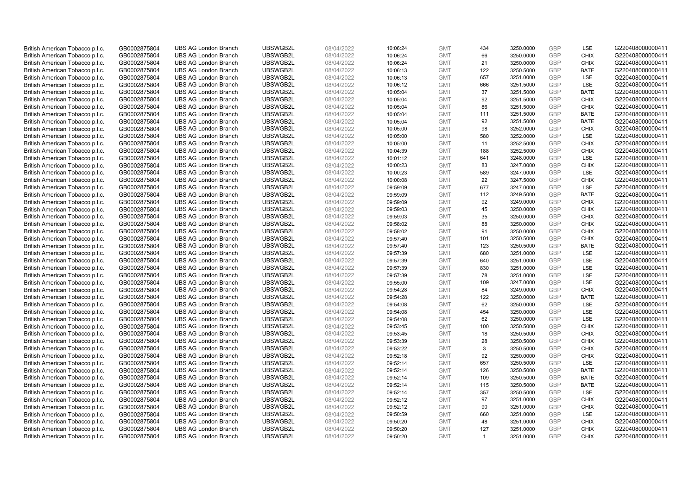| British American Tobacco p.l.c. | GB0002875804 | <b>UBS AG London Branch</b> | UBSWGB2L | 08/04/2022 | 10:06:24 | <b>GMT</b> | 434            | 3250.0000 | <b>GBP</b> | LSE         | G220408000000411 |
|---------------------------------|--------------|-----------------------------|----------|------------|----------|------------|----------------|-----------|------------|-------------|------------------|
| British American Tobacco p.l.c. | GB0002875804 | <b>UBS AG London Branch</b> | UBSWGB2L | 08/04/2022 | 10:06:24 | <b>GMT</b> | 66             | 3250.0000 | <b>GBP</b> | <b>CHIX</b> | G220408000000411 |
| British American Tobacco p.l.c. | GB0002875804 | <b>UBS AG London Branch</b> | UBSWGB2L | 08/04/2022 | 10:06:24 | <b>GMT</b> | 21             | 3250.0000 | GBP        | <b>CHIX</b> | G220408000000411 |
| British American Tobacco p.l.c. | GB0002875804 | <b>UBS AG London Branch</b> | UBSWGB2L | 08/04/2022 | 10:06:13 | <b>GMT</b> | 122            | 3250.5000 | GBP        | <b>BATE</b> | G220408000000411 |
| British American Tobacco p.l.c. | GB0002875804 | <b>UBS AG London Branch</b> | UBSWGB2L | 08/04/2022 | 10:06:13 | <b>GMT</b> | 657            | 3251.0000 | <b>GBP</b> | LSE         | G220408000000411 |
| British American Tobacco p.l.c. | GB0002875804 | <b>UBS AG London Branch</b> | UBSWGB2L | 08/04/2022 | 10:06:12 | <b>GMT</b> | 666            | 3251.5000 | <b>GBP</b> | <b>LSE</b>  | G220408000000411 |
| British American Tobacco p.l.c. | GB0002875804 | <b>UBS AG London Branch</b> | UBSWGB2L | 08/04/2022 | 10:05:04 | <b>GMT</b> | 37             | 3251.5000 | GBP        | <b>BATE</b> | G220408000000411 |
| British American Tobacco p.l.c. | GB0002875804 | <b>UBS AG London Branch</b> | UBSWGB2L | 08/04/2022 | 10:05:04 | <b>GMT</b> | 92             | 3251.5000 | <b>GBP</b> | <b>CHIX</b> | G220408000000411 |
| British American Tobacco p.l.c. | GB0002875804 | <b>UBS AG London Branch</b> | UBSWGB2L | 08/04/2022 | 10:05:04 | <b>GMT</b> | 86             | 3251.5000 | GBP        | <b>CHIX</b> | G220408000000411 |
| British American Tobacco p.l.c. | GB0002875804 | <b>UBS AG London Branch</b> | UBSWGB2L | 08/04/2022 | 10:05:04 | <b>GMT</b> | 111            | 3251.5000 | <b>GBP</b> | <b>BATE</b> | G220408000000411 |
| British American Tobacco p.l.c. | GB0002875804 | <b>UBS AG London Branch</b> | UBSWGB2L | 08/04/2022 | 10:05:04 | <b>GMT</b> | 92             | 3251.5000 | GBP        | <b>BATE</b> | G220408000000411 |
| British American Tobacco p.l.c. | GB0002875804 | <b>UBS AG London Branch</b> | UBSWGB2L | 08/04/2022 | 10:05:00 | <b>GMT</b> | 98             | 3252.0000 | <b>GBP</b> | <b>CHIX</b> | G220408000000411 |
| British American Tobacco p.l.c. | GB0002875804 | <b>UBS AG London Branch</b> | UBSWGB2L | 08/04/2022 | 10:05:00 | <b>GMT</b> | 580            | 3252.0000 | <b>GBP</b> | <b>LSE</b>  | G220408000000411 |
| British American Tobacco p.l.c. | GB0002875804 | <b>UBS AG London Branch</b> | UBSWGB2L | 08/04/2022 | 10:05:00 | <b>GMT</b> | 11             | 3252.5000 | <b>GBP</b> | <b>CHIX</b> | G220408000000411 |
| British American Tobacco p.l.c. | GB0002875804 | <b>UBS AG London Branch</b> | UBSWGB2L | 08/04/2022 | 10:04:39 | <b>GMT</b> | 188            | 3252.5000 | <b>GBP</b> | <b>CHIX</b> | G220408000000411 |
| British American Tobacco p.l.c. | GB0002875804 | <b>UBS AG London Branch</b> | UBSWGB2L | 08/04/2022 | 10:01:12 | <b>GMT</b> | 641            | 3248.0000 | GBP        | <b>LSE</b>  | G220408000000411 |
| British American Tobacco p.l.c. | GB0002875804 | <b>UBS AG London Branch</b> | UBSWGB2L | 08/04/2022 | 10:00:23 | <b>GMT</b> | 83             | 3247.0000 | GBP        | <b>CHIX</b> | G220408000000411 |
| British American Tobacco p.l.c. | GB0002875804 | <b>UBS AG London Branch</b> | UBSWGB2L | 08/04/2022 | 10:00:23 | <b>GMT</b> | 589            | 3247.0000 | GBP        | LSE         | G220408000000411 |
| British American Tobacco p.l.c. | GB0002875804 | <b>UBS AG London Branch</b> | UBSWGB2L | 08/04/2022 | 10:00:08 | <b>GMT</b> | 22             | 3247.5000 | <b>GBP</b> | <b>CHIX</b> | G220408000000411 |
| British American Tobacco p.l.c. | GB0002875804 | <b>UBS AG London Branch</b> | UBSWGB2L | 08/04/2022 | 09:59:09 | <b>GMT</b> | 677            | 3247.0000 | GBP        | LSE         | G220408000000411 |
| British American Tobacco p.l.c. | GB0002875804 | <b>UBS AG London Branch</b> | UBSWGB2L | 08/04/2022 | 09:59:09 | <b>GMT</b> | 112            | 3249.5000 | <b>GBP</b> | <b>BATE</b> | G220408000000411 |
| British American Tobacco p.l.c. | GB0002875804 | <b>UBS AG London Branch</b> | UBSWGB2L | 08/04/2022 | 09:59:09 | <b>GMT</b> | 92             | 3249.0000 | GBP        | <b>CHIX</b> | G220408000000411 |
| British American Tobacco p.l.c. | GB0002875804 | <b>UBS AG London Branch</b> | UBSWGB2L | 08/04/2022 | 09:59:03 | <b>GMT</b> | 45             | 3250.0000 | <b>GBP</b> | <b>CHIX</b> | G220408000000411 |
| British American Tobacco p.l.c. | GB0002875804 | <b>UBS AG London Branch</b> | UBSWGB2L | 08/04/2022 | 09:59:03 | <b>GMT</b> | 35             | 3250.0000 | GBP        | <b>CHIX</b> | G220408000000411 |
| British American Tobacco p.l.c. | GB0002875804 | <b>UBS AG London Branch</b> | UBSWGB2L | 08/04/2022 | 09:58:02 | <b>GMT</b> | 88             | 3250.0000 | <b>GBP</b> | <b>CHIX</b> | G220408000000411 |
| British American Tobacco p.l.c. | GB0002875804 | <b>UBS AG London Branch</b> | UBSWGB2L | 08/04/2022 | 09:58:02 | <b>GMT</b> | 91             | 3250.0000 | GBP        | <b>CHIX</b> | G220408000000411 |
| British American Tobacco p.l.c. | GB0002875804 | <b>UBS AG London Branch</b> | UBSWGB2L | 08/04/2022 | 09:57:40 | <b>GMT</b> | 101            | 3250.5000 | <b>GBP</b> | <b>CHIX</b> | G220408000000411 |
| British American Tobacco p.l.c. | GB0002875804 | <b>UBS AG London Branch</b> | UBSWGB2L | 08/04/2022 | 09:57:40 | <b>GMT</b> | 123            | 3250.5000 | <b>GBP</b> | <b>BATE</b> | G220408000000411 |
| British American Tobacco p.l.c. | GB0002875804 | <b>UBS AG London Branch</b> | UBSWGB2L | 08/04/2022 | 09:57:39 | <b>GMT</b> | 680            | 3251.0000 | GBP        | <b>LSE</b>  | G220408000000411 |
| British American Tobacco p.l.c. | GB0002875804 | <b>UBS AG London Branch</b> | UBSWGB2L | 08/04/2022 | 09:57:39 | <b>GMT</b> | 640            | 3251.0000 | <b>GBP</b> | LSE         | G220408000000411 |
| British American Tobacco p.l.c. | GB0002875804 | <b>UBS AG London Branch</b> | UBSWGB2L | 08/04/2022 | 09:57:39 | <b>GMT</b> | 830            | 3251.0000 | GBP        | LSE         | G220408000000411 |
| British American Tobacco p.l.c. | GB0002875804 | <b>UBS AG London Branch</b> | UBSWGB2L | 08/04/2022 | 09:57:39 | <b>GMT</b> | 78             | 3251.0000 | GBP        | <b>LSE</b>  | G220408000000411 |
| British American Tobacco p.l.c. | GB0002875804 | <b>UBS AG London Branch</b> | UBSWGB2L | 08/04/2022 | 09:55:00 | <b>GMT</b> | 109            | 3247.0000 | GBP        | LSE         | G220408000000411 |
| British American Tobacco p.l.c. | GB0002875804 | <b>UBS AG London Branch</b> | UBSWGB2L | 08/04/2022 | 09:54:28 | <b>GMT</b> | 84             | 3249.0000 | GBP        | <b>CHIX</b> | G220408000000411 |
| British American Tobacco p.l.c. | GB0002875804 | <b>UBS AG London Branch</b> | UBSWGB2L | 08/04/2022 | 09:54:28 | <b>GMT</b> | 122            | 3250.0000 | GBP        | <b>BATE</b> | G220408000000411 |
| British American Tobacco p.l.c. | GB0002875804 | <b>UBS AG London Branch</b> | UBSWGB2L | 08/04/2022 | 09:54:08 | <b>GMT</b> | 62             | 3250.0000 | <b>GBP</b> | LSE         | G220408000000411 |
| British American Tobacco p.l.c. | GB0002875804 | <b>UBS AG London Branch</b> | UBSWGB2L | 08/04/2022 | 09:54:08 | <b>GMT</b> | 454            | 3250.0000 | GBP        | LSE         | G220408000000411 |
| British American Tobacco p.l.c. | GB0002875804 | <b>UBS AG London Branch</b> | UBSWGB2L | 08/04/2022 | 09:54:08 | <b>GMT</b> | 62             | 3250.0000 | <b>GBP</b> | LSE         | G220408000000411 |
| British American Tobacco p.l.c. | GB0002875804 | <b>UBS AG London Branch</b> | UBSWGB2L | 08/04/2022 | 09:53:45 | <b>GMT</b> | 100            | 3250.5000 | GBP        | <b>CHIX</b> | G220408000000411 |
| British American Tobacco p.l.c. | GB0002875804 | <b>UBS AG London Branch</b> | UBSWGB2L | 08/04/2022 | 09:53:45 | <b>GMT</b> | 18             | 3250.5000 | <b>GBP</b> | <b>CHIX</b> | G220408000000411 |
| British American Tobacco p.l.c. | GB0002875804 | <b>UBS AG London Branch</b> | UBSWGB2L | 08/04/2022 | 09:53:39 | <b>GMT</b> | 28             | 3250.5000 | <b>GBP</b> | <b>CHIX</b> | G220408000000411 |
| British American Tobacco p.l.c. | GB0002875804 | <b>UBS AG London Branch</b> | UBSWGB2L | 08/04/2022 | 09:53:22 | <b>GMT</b> | 3              | 3250.5000 | GBP        | <b>CHIX</b> | G220408000000411 |
| British American Tobacco p.l.c. | GB0002875804 | <b>UBS AG London Branch</b> | UBSWGB2L | 08/04/2022 | 09:52:18 | <b>GMT</b> | 92             | 3250.0000 | GBP        | <b>CHIX</b> | G220408000000411 |
| British American Tobacco p.l.c. | GB0002875804 | <b>UBS AG London Branch</b> | UBSWGB2L | 08/04/2022 | 09:52:14 | <b>GMT</b> | 657            | 3250.5000 | GBP        | <b>LSE</b>  | G220408000000411 |
| British American Tobacco p.l.c. | GB0002875804 | <b>UBS AG London Branch</b> | UBSWGB2L | 08/04/2022 | 09:52:14 | <b>GMT</b> | 126            | 3250.5000 | GBP        | <b>BATE</b> | G220408000000411 |
| British American Tobacco p.l.c. | GB0002875804 | <b>UBS AG London Branch</b> | UBSWGB2L | 08/04/2022 | 09:52:14 | <b>GMT</b> | 109            | 3250.5000 | GBP        | <b>BATE</b> | G220408000000411 |
| British American Tobacco p.l.c. | GB0002875804 | <b>UBS AG London Branch</b> | UBSWGB2L | 08/04/2022 | 09:52:14 | <b>GMT</b> | 115            | 3250.5000 | GBP        | <b>BATE</b> | G220408000000411 |
| British American Tobacco p.l.c. | GB0002875804 | <b>UBS AG London Branch</b> | UBSWGB2L | 08/04/2022 | 09:52:14 | <b>GMT</b> | 357            | 3250.5000 | <b>GBP</b> | LSE         | G220408000000411 |
| British American Tobacco p.l.c. | GB0002875804 | <b>UBS AG London Branch</b> | UBSWGB2L | 08/04/2022 | 09:52:12 | <b>GMT</b> | 97             | 3251.0000 | GBP        | <b>CHIX</b> | G220408000000411 |
| British American Tobacco p.l.c. | GB0002875804 | <b>UBS AG London Branch</b> | UBSWGB2L | 08/04/2022 | 09:52:12 | <b>GMT</b> | 90             | 3251.0000 | GBP        | <b>CHIX</b> | G220408000000411 |
| British American Tobacco p.l.c. | GB0002875804 | <b>UBS AG London Branch</b> | UBSWGB2L | 08/04/2022 | 09:50:59 | <b>GMT</b> | 660            | 3251.0000 | <b>GBP</b> | LSE         | G220408000000411 |
| British American Tobacco p.l.c. | GB0002875804 | <b>UBS AG London Branch</b> | UBSWGB2L | 08/04/2022 | 09:50:20 | <b>GMT</b> | 48             | 3251.0000 | GBP        | <b>CHIX</b> | G220408000000411 |
| British American Tobacco p.l.c. | GB0002875804 | <b>UBS AG London Branch</b> | UBSWGB2L | 08/04/2022 | 09:50:20 | <b>GMT</b> | 127            | 3251.0000 | GBP        | <b>CHIX</b> | G220408000000411 |
| British American Tobacco p.l.c. | GB0002875804 | <b>UBS AG London Branch</b> | UBSWGB2L | 08/04/2022 | 09:50:20 | <b>GMT</b> | $\overline{1}$ | 3251.0000 | GBP        | <b>CHIX</b> | G220408000000411 |
|                                 |              |                             |          |            |          |            |                |           |            |             |                  |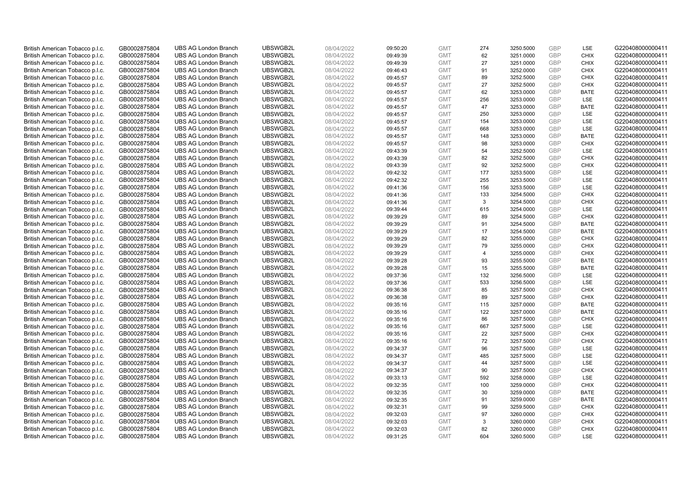| British American Tobacco p.l.c. | GB0002875804                 | <b>UBS AG London Branch</b> | UBSWGB2L             | 08/04/2022               | 09:50:20 | <b>GMT</b>               | 274            | 3250.5000              | <b>GBP</b> | LSE                       | G220408000000411 |
|---------------------------------|------------------------------|-----------------------------|----------------------|--------------------------|----------|--------------------------|----------------|------------------------|------------|---------------------------|------------------|
| British American Tobacco p.l.c. | GB0002875804                 | <b>UBS AG London Branch</b> | UBSWGB2L             | 08/04/2022               | 09:49:39 | <b>GMT</b>               | 62             | 3251.0000              | GBP        | <b>CHIX</b>               | G220408000000411 |
| British American Tobacco p.l.c. | GB0002875804                 | <b>UBS AG London Branch</b> | UBSWGB2L             | 08/04/2022               | 09:49:39 | <b>GMT</b>               | 27             | 3251.0000              | <b>GBP</b> | <b>CHIX</b>               | G220408000000411 |
| British American Tobacco p.l.c. | GB0002875804                 | <b>UBS AG London Branch</b> | UBSWGB2L             | 08/04/2022               | 09:46:43 | <b>GMT</b>               | 91             | 3252.0000              | GBP        | <b>CHIX</b>               | G220408000000411 |
| British American Tobacco p.l.c. | GB0002875804                 | <b>UBS AG London Branch</b> | UBSWGB2L             | 08/04/2022               | 09:45:57 | <b>GMT</b>               | 89             | 3252.5000              | <b>GBP</b> | <b>CHIX</b>               | G220408000000411 |
| British American Tobacco p.l.c. | GB0002875804                 | <b>UBS AG London Branch</b> | UBSWGB2L             | 08/04/2022               | 09:45:57 | <b>GMT</b>               | 27             | 3252.5000              | GBP        | <b>CHIX</b>               | G220408000000411 |
| British American Tobacco p.l.c. | GB0002875804                 | <b>UBS AG London Branch</b> | UBSWGB2L             | 08/04/2022               | 09:45:57 | <b>GMT</b>               | 62             | 3253.0000              | <b>GBP</b> | <b>BATE</b>               | G220408000000411 |
| British American Tobacco p.l.c. | GB0002875804                 | <b>UBS AG London Branch</b> | UBSWGB2L             | 08/04/2022               | 09:45:57 | <b>GMT</b>               | 256            | 3253.0000              | GBP        | LSE                       | G220408000000411 |
| British American Tobacco p.l.c. | GB0002875804                 | <b>UBS AG London Branch</b> | UBSWGB2L             | 08/04/2022               | 09:45:57 | <b>GMT</b>               | 47             | 3253.0000              | <b>GBP</b> | <b>BATE</b>               | G220408000000411 |
| British American Tobacco p.l.c. | GB0002875804                 | <b>UBS AG London Branch</b> | UBSWGB2L             | 08/04/2022               | 09:45:57 | <b>GMT</b>               | 250            | 3253.0000              | GBP        | <b>LSE</b>                | G220408000000411 |
| British American Tobacco p.l.c. | GB0002875804                 | <b>UBS AG London Branch</b> | UBSWGB2L             | 08/04/2022               | 09:45:57 | <b>GMT</b>               | 154            | 3253.0000              | <b>GBP</b> | LSE                       | G220408000000411 |
| British American Tobacco p.l.c. | GB0002875804                 | <b>UBS AG London Branch</b> | UBSWGB2L             | 08/04/2022               | 09:45:57 | <b>GMT</b>               | 668            | 3253.0000              | <b>GBP</b> | LSE                       | G220408000000411 |
| British American Tobacco p.l.c. | GB0002875804                 | <b>UBS AG London Branch</b> | UBSWGB2L             | 08/04/2022               | 09:45:57 | <b>GMT</b>               | 148            | 3253.0000              | GBP        | <b>BATE</b>               | G220408000000411 |
| British American Tobacco p.l.c. | GB0002875804                 | <b>UBS AG London Branch</b> | UBSWGB2L             | 08/04/2022               | 09:45:57 | <b>GMT</b>               | 98             | 3253.0000              | <b>GBP</b> | <b>CHIX</b>               | G220408000000411 |
| British American Tobacco p.l.c. | GB0002875804                 | <b>UBS AG London Branch</b> | UBSWGB2L             | 08/04/2022               | 09:43:39 | <b>GMT</b>               | 54             | 3252.5000              | GBP        | LSE                       | G220408000000411 |
| British American Tobacco p.l.c. | GB0002875804                 | <b>UBS AG London Branch</b> | UBSWGB2L             | 08/04/2022               | 09:43:39 | <b>GMT</b>               | 82             | 3252.5000              | <b>GBP</b> | <b>CHIX</b>               | G220408000000411 |
| British American Tobacco p.l.c. | GB0002875804                 | <b>UBS AG London Branch</b> | UBSWGB2L             | 08/04/2022               | 09:43:39 | <b>GMT</b>               | 92             | 3252.5000              | GBP        | <b>CHIX</b>               | G220408000000411 |
| British American Tobacco p.l.c. | GB0002875804                 | <b>UBS AG London Branch</b> | UBSWGB2L             | 08/04/2022               | 09:42:32 | <b>GMT</b>               | 177            | 3253.5000              | GBP        | LSE                       | G220408000000411 |
| British American Tobacco p.l.c. | GB0002875804                 | <b>UBS AG London Branch</b> | UBSWGB2L             | 08/04/2022               | 09:42:32 | <b>GMT</b>               | 255            | 3253.5000              | <b>GBP</b> | <b>LSE</b>                | G220408000000411 |
| British American Tobacco p.l.c. | GB0002875804                 | <b>UBS AG London Branch</b> | UBSWGB2L             | 08/04/2022               | 09:41:36 | <b>GMT</b>               | 156            | 3253.5000              | <b>GBP</b> | LSE                       | G220408000000411 |
| British American Tobacco p.l.c. | GB0002875804                 | <b>UBS AG London Branch</b> | UBSWGB2L             | 08/04/2022               | 09:41:36 | <b>GMT</b>               | 133            | 3254.5000              | GBP        | <b>CHIX</b>               | G220408000000411 |
| British American Tobacco p.l.c. | GB0002875804                 | <b>UBS AG London Branch</b> | UBSWGB2L             | 08/04/2022               | 09:41:36 | <b>GMT</b>               | 3              | 3254.5000              | GBP        | <b>CHIX</b>               | G220408000000411 |
| British American Tobacco p.l.c. | GB0002875804                 | <b>UBS AG London Branch</b> | UBSWGB2L             | 08/04/2022               | 09:39:44 | <b>GMT</b>               | 615            | 3254.0000              | GBP        | <b>LSE</b>                | G220408000000411 |
| British American Tobacco p.l.c. | GB0002875804                 | <b>UBS AG London Branch</b> | UBSWGB2L             | 08/04/2022               | 09:39:29 | <b>GMT</b>               | 89             | 3254.5000              | <b>GBP</b> | <b>CHIX</b>               | G220408000000411 |
| British American Tobacco p.l.c. | GB0002875804                 | <b>UBS AG London Branch</b> | UBSWGB2L             | 08/04/2022               | 09:39:29 | <b>GMT</b>               | 91             | 3254.5000              | <b>GBP</b> | <b>BATE</b>               | G220408000000411 |
| British American Tobacco p.l.c. | GB0002875804                 | <b>UBS AG London Branch</b> | UBSWGB2L             | 08/04/2022               | 09:39:29 | <b>GMT</b>               | 17             | 3254.5000              | GBP        | <b>BATE</b>               | G220408000000411 |
| British American Tobacco p.l.c. | GB0002875804                 | <b>UBS AG London Branch</b> | UBSWGB2L             | 08/04/2022               | 09:39:29 | <b>GMT</b>               | 82             | 3255.0000              | <b>GBP</b> | <b>CHIX</b>               | G220408000000411 |
| British American Tobacco p.l.c. | GB0002875804                 | <b>UBS AG London Branch</b> | UBSWGB2L             | 08/04/2022               | 09:39:29 | <b>GMT</b>               | 79             | 3255.0000              | <b>GBP</b> | <b>CHIX</b>               | G220408000000411 |
| British American Tobacco p.l.c. | GB0002875804                 | <b>UBS AG London Branch</b> | UBSWGB2L             | 08/04/2022               | 09:39:29 | <b>GMT</b>               | $\overline{4}$ | 3255.0000              | GBP        | <b>CHIX</b>               | G220408000000411 |
| British American Tobacco p.l.c. | GB0002875804                 | <b>UBS AG London Branch</b> | UBSWGB2L             | 08/04/2022               | 09:39:28 | <b>GMT</b>               | 93             | 3255.5000              | GBP        | <b>BATE</b>               | G220408000000411 |
| British American Tobacco p.l.c. | GB0002875804                 | <b>UBS AG London Branch</b> | UBSWGB2L             | 08/04/2022               | 09:39:28 | <b>GMT</b>               | 15             | 3255.5000              | <b>GBP</b> | <b>BATE</b>               | G220408000000411 |
| British American Tobacco p.l.c. | GB0002875804                 | <b>UBS AG London Branch</b> | UBSWGB2L             | 08/04/2022               | 09:37:36 | <b>GMT</b>               | 132            | 3256.5000              | <b>GBP</b> | <b>LSE</b>                | G220408000000411 |
| British American Tobacco p.l.c. | GB0002875804                 | <b>UBS AG London Branch</b> | UBSWGB2L             | 08/04/2022               | 09:37:36 | <b>GMT</b>               | 533            | 3256.5000              | GBP        | LSE                       | G220408000000411 |
| British American Tobacco p.l.c. | GB0002875804                 | <b>UBS AG London Branch</b> | UBSWGB2L             | 08/04/2022               | 09:36:38 | <b>GMT</b>               | 85             | 3257.5000              | <b>GBP</b> | <b>CHIX</b>               | G220408000000411 |
| British American Tobacco p.l.c. | GB0002875804                 | <b>UBS AG London Branch</b> | UBSWGB2L             | 08/04/2022               | 09:36:38 | <b>GMT</b>               | 89             | 3257.5000              | <b>GBP</b> | <b>CHIX</b>               | G220408000000411 |
| British American Tobacco p.l.c. | GB0002875804                 | <b>UBS AG London Branch</b> | UBSWGB2L             | 08/04/2022               | 09:35:16 | <b>GMT</b>               | 115            | 3257.0000              | <b>GBP</b> | <b>BATE</b>               | G220408000000411 |
| British American Tobacco p.l.c. | GB0002875804                 | <b>UBS AG London Branch</b> | UBSWGB2L             | 08/04/2022               | 09:35:16 | <b>GMT</b>               | 122            | 3257.0000              | GBP        | <b>BATE</b>               | G220408000000411 |
| British American Tobacco p.l.c. | GB0002875804                 | <b>UBS AG London Branch</b> | UBSWGB2L             | 08/04/2022               | 09:35:16 | <b>GMT</b>               | 86             | 3257.5000              | <b>GBP</b> | <b>CHIX</b>               | G220408000000411 |
| British American Tobacco p.l.c. | GB0002875804                 | <b>UBS AG London Branch</b> | UBSWGB2L             | 08/04/2022               | 09:35:16 | <b>GMT</b>               | 667            | 3257.5000              | <b>GBP</b> | <b>LSE</b>                | G220408000000411 |
| British American Tobacco p.l.c. | GB0002875804                 | <b>UBS AG London Branch</b> | UBSWGB2L             | 08/04/2022               | 09:35:16 | <b>GMT</b>               | 22             | 3257.5000              | <b>GBP</b> | <b>CHIX</b>               | G220408000000411 |
| British American Tobacco p.l.c. | GB0002875804                 | <b>UBS AG London Branch</b> | UBSWGB2L             | 08/04/2022               | 09:35:16 | <b>GMT</b>               | 72             | 3257.5000              | <b>GBP</b> | <b>CHIX</b>               | G220408000000411 |
| British American Tobacco p.l.c. | GB0002875804                 | <b>UBS AG London Branch</b> | UBSWGB2L             | 08/04/2022               | 09:34:37 | <b>GMT</b>               | 96             | 3257.5000              | <b>GBP</b> | LSE                       | G220408000000411 |
| British American Tobacco p.l.c. | GB0002875804                 | <b>UBS AG London Branch</b> | UBSWGB2L             | 08/04/2022               | 09:34:37 | <b>GMT</b>               | 485            | 3257.5000              | <b>GBP</b> | LSE                       | G220408000000411 |
| British American Tobacco p.l.c. | GB0002875804                 | <b>UBS AG London Branch</b> | UBSWGB2L             | 08/04/2022               | 09:34:37 | <b>GMT</b>               | 44             | 3257.5000              | GBP        | LSE                       | G220408000000411 |
| British American Tobacco p.l.c. | GB0002875804                 | <b>UBS AG London Branch</b> | UBSWGB2L             | 08/04/2022               | 09:34:37 | <b>GMT</b>               | 90             | 3257.5000              | <b>GBP</b> | <b>CHIX</b>               | G220408000000411 |
| British American Tobacco p.l.c. | GB0002875804                 | <b>UBS AG London Branch</b> | UBSWGB2L             | 08/04/2022               | 09:33:13 | <b>GMT</b>               | 592            | 3258.0000              | GBP        | LSE                       | G220408000000411 |
| British American Tobacco p.l.c. | GB0002875804                 | <b>UBS AG London Branch</b> | UBSWGB2L             | 08/04/2022               | 09:32:35 | <b>GMT</b>               | 100            | 3259.0000              | <b>GBP</b> | <b>CHIX</b>               | G220408000000411 |
| British American Tobacco p.l.c. | GB0002875804                 | <b>UBS AG London Branch</b> | UBSWGB2L             | 08/04/2022               | 09:32:35 | <b>GMT</b>               | 30             | 3259.0000              | <b>GBP</b> | <b>BATE</b>               | G220408000000411 |
| British American Tobacco p.l.c. | GB0002875804                 | <b>UBS AG London Branch</b> | UBSWGB2L             | 08/04/2022               | 09:32:35 | <b>GMT</b>               | 91             | 3259.0000              | <b>GBP</b> | <b>BATE</b>               | G220408000000411 |
| British American Tobacco p.l.c. | GB0002875804                 | <b>UBS AG London Branch</b> | UBSWGB2L             | 08/04/2022               | 09:32:31 | <b>GMT</b>               | 99             | 3259.5000              | GBP        | <b>CHIX</b>               | G220408000000411 |
| British American Tobacco p.l.c. | GB0002875804                 | <b>UBS AG London Branch</b> | UBSWGB2L             | 08/04/2022               | 09:32:03 | <b>GMT</b>               | 97             | 3260.0000              | <b>GBP</b> | <b>CHIX</b>               | G220408000000411 |
| British American Tobacco p.l.c. | GB0002875804                 | <b>UBS AG London Branch</b> | UBSWGB2L             | 08/04/2022               | 09:32:03 | <b>GMT</b>               | 3              | 3260.0000              | <b>GBP</b> | <b>CHIX</b>               | G220408000000411 |
| British American Tobacco p.l.c. | GB0002875804<br>GB0002875804 | <b>UBS AG London Branch</b> | UBSWGB2L<br>UBSWGB2L | 08/04/2022<br>08/04/2022 | 09:32:03 | <b>GMT</b><br><b>GMT</b> | 82<br>604      | 3260.0000<br>3260.5000 | GBP<br>GBP | <b>CHIX</b><br><b>LSE</b> | G220408000000411 |
| British American Tobacco p.l.c. |                              | <b>UBS AG London Branch</b> |                      |                          | 09:31:25 |                          |                |                        |            |                           | G220408000000411 |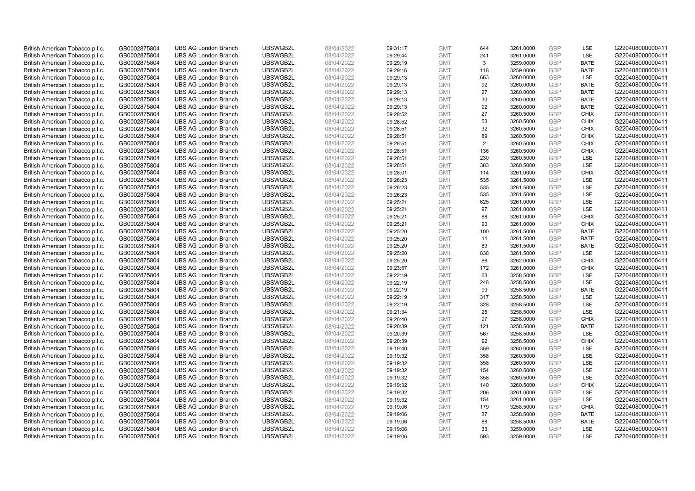| British American Tobacco p.l.c. | GB0002875804                 | <b>UBS AG London Branch</b> | UBSWGB2L             | 08/04/2022               | 09:31:17 | <b>GMT</b>               | 644       | 3261.0000              | <b>GBP</b> | LSE                      | G220408000000411 |
|---------------------------------|------------------------------|-----------------------------|----------------------|--------------------------|----------|--------------------------|-----------|------------------------|------------|--------------------------|------------------|
| British American Tobacco p.l.c. | GB0002875804                 | <b>UBS AG London Branch</b> | UBSWGB2L             | 08/04/2022               | 09:29:44 | <b>GMT</b>               | 241       | 3261.0000              | <b>GBP</b> | LSE                      | G220408000000411 |
| British American Tobacco p.l.c. | GB0002875804                 | <b>UBS AG London Branch</b> | UBSWGB2L             | 08/04/2022               | 09:29:19 | <b>GMT</b>               | 3         | 3259.0000              | <b>GBP</b> | <b>BATE</b>              | G220408000000411 |
| British American Tobacco p.l.c. | GB0002875804                 | <b>UBS AG London Branch</b> | UBSWGB2L             | 08/04/2022               | 09:29:16 | <b>GMT</b>               | 118       | 3259.0000              | <b>GBP</b> | <b>BATE</b>              | G220408000000411 |
| British American Tobacco p.l.c. | GB0002875804                 | <b>UBS AG London Branch</b> | UBSWGB2L             | 08/04/2022               | 09:29:13 | <b>GMT</b>               | 663       | 3260.0000              | <b>GBP</b> | <b>LSE</b>               | G220408000000411 |
| British American Tobacco p.l.c. | GB0002875804                 | <b>UBS AG London Branch</b> | UBSWGB2L             | 08/04/2022               | 09:29:13 | <b>GMT</b>               | 92        | 3260.0000              | <b>GBP</b> | <b>BATE</b>              | G220408000000411 |
| British American Tobacco p.l.c. | GB0002875804                 | <b>UBS AG London Branch</b> | UBSWGB2L             | 08/04/2022               | 09:29:13 | <b>GMT</b>               | 27        | 3260.0000              | <b>GBP</b> | <b>BATE</b>              | G220408000000411 |
| British American Tobacco p.l.c. | GB0002875804                 | <b>UBS AG London Branch</b> | UBSWGB2L             | 08/04/2022               | 09:29:13 | <b>GMT</b>               | 30        | 3260.0000              | <b>GBP</b> | <b>BATE</b>              | G220408000000411 |
| British American Tobacco p.l.c. | GB0002875804                 | <b>UBS AG London Branch</b> | UBSWGB2L             | 08/04/2022               | 09:29:13 | <b>GMT</b>               | 92        | 3260.0000              | <b>GBP</b> | <b>BATE</b>              | G220408000000411 |
| British American Tobacco p.l.c. | GB0002875804                 | <b>UBS AG London Branch</b> | UBSWGB2L             | 08/04/2022               | 09:28:52 | <b>GMT</b>               | 27        | 3260.5000              | <b>GBP</b> | <b>CHIX</b>              | G220408000000411 |
| British American Tobacco p.l.c. | GB0002875804                 | <b>UBS AG London Branch</b> | UBSWGB2L             | 08/04/2022               | 09:28:52 | <b>GMT</b>               | 53        | 3260.5000              | <b>GBP</b> | <b>CHIX</b>              | G220408000000411 |
| British American Tobacco p.l.c. | GB0002875804                 | <b>UBS AG London Branch</b> | UBSWGB2L             | 08/04/2022               | 09:28:51 | <b>GMT</b>               | 32        | 3260.5000              | <b>GBP</b> | <b>CHIX</b>              | G220408000000411 |
| British American Tobacco p.l.c. | GB0002875804                 | <b>UBS AG London Branch</b> | UBSWGB2L             | 08/04/2022               | 09:28:51 | <b>GMT</b>               | 89        | 3260.5000              | GBP        | <b>CHIX</b>              | G220408000000411 |
| British American Tobacco p.l.c. | GB0002875804                 | <b>UBS AG London Branch</b> | UBSWGB2L             | 08/04/2022               | 09:28:51 | <b>GMT</b>               | 2         | 3260.5000              | <b>GBP</b> | <b>CHIX</b>              | G220408000000411 |
| British American Tobacco p.l.c. | GB0002875804                 | <b>UBS AG London Branch</b> | UBSWGB2L             | 08/04/2022               | 09:28:51 | <b>GMT</b>               | 136       | 3260.5000              | GBP        | <b>CHIX</b>              | G220408000000411 |
| British American Tobacco p.l.c. | GB0002875804                 | <b>UBS AG London Branch</b> | UBSWGB2L             | 08/04/2022               | 09:28:51 | <b>GMT</b>               | 230       | 3260.5000              | <b>GBP</b> | LSE                      | G220408000000411 |
| British American Tobacco p.l.c. | GB0002875804                 | <b>UBS AG London Branch</b> | UBSWGB2L             | 08/04/2022               | 09:28:51 | <b>GMT</b>               | 383       | 3260.5000              | <b>GBP</b> | <b>LSE</b>               | G220408000000411 |
| British American Tobacco p.l.c. | GB0002875804                 | <b>UBS AG London Branch</b> | UBSWGB2L             | 08/04/2022               | 09:28:01 | <b>GMT</b>               | 114       | 3261.0000              | GBP        | <b>CHIX</b>              | G220408000000411 |
| British American Tobacco p.l.c. | GB0002875804                 | <b>UBS AG London Branch</b> | UBSWGB2L             | 08/04/2022               | 09:26:23 | <b>GMT</b>               | 535       | 3261.5000              | GBP        | <b>LSE</b>               | G220408000000411 |
| British American Tobacco p.l.c. | GB0002875804                 | <b>UBS AG London Branch</b> | UBSWGB2L             | 08/04/2022               | 09:26:23 | <b>GMT</b>               | 535       | 3261.5000              | <b>GBP</b> | <b>LSE</b>               | G220408000000411 |
| British American Tobacco p.l.c. | GB0002875804                 | <b>UBS AG London Branch</b> | UBSWGB2L             | 08/04/2022               | 09:26:23 | <b>GMT</b>               | 535       | 3261.5000              | <b>GBP</b> | LSE                      | G220408000000411 |
| British American Tobacco p.l.c. | GB0002875804                 | <b>UBS AG London Branch</b> | UBSWGB2L             | 08/04/2022               | 09:25:21 | <b>GMT</b>               | 625       | 3261.0000              | GBP        | <b>LSE</b>               | G220408000000411 |
| British American Tobacco p.l.c. | GB0002875804                 | <b>UBS AG London Branch</b> | UBSWGB2L             | 08/04/2022               | 09:25:21 | <b>GMT</b>               | 97        | 3261.0000              | GBP        | LSE                      | G220408000000411 |
| British American Tobacco p.l.c. | GB0002875804                 | <b>UBS AG London Branch</b> | UBSWGB2L             | 08/04/2022               | 09:25:21 | <b>GMT</b>               | 88        | 3261.0000              | <b>GBP</b> | <b>CHIX</b>              | G220408000000411 |
| British American Tobacco p.l.c. | GB0002875804                 | <b>UBS AG London Branch</b> | UBSWGB2L             | 08/04/2022               | 09:25:21 | <b>GMT</b>               | 90        | 3261.0000              | GBP        | <b>CHIX</b>              | G220408000000411 |
| British American Tobacco p.l.c. | GB0002875804                 | <b>UBS AG London Branch</b> | UBSWGB2L             | 08/04/2022               | 09:25:20 | <b>GMT</b>               | 100       | 3261.5000              | GBP        | <b>BATE</b>              | G220408000000411 |
| British American Tobacco p.l.c. | GB0002875804                 | <b>UBS AG London Branch</b> | UBSWGB2L             | 08/04/2022               | 09:25:20 | <b>GMT</b>               | 11        | 3261.5000              | <b>GBP</b> | <b>BATE</b>              | G220408000000411 |
| British American Tobacco p.l.c. | GB0002875804                 | <b>UBS AG London Branch</b> | UBSWGB2L             | 08/04/2022               | 09:25:20 | <b>GMT</b>               | 89        | 3261.5000              | <b>GBP</b> | <b>BATE</b>              | G220408000000411 |
| British American Tobacco p.l.c. | GB0002875804                 | <b>UBS AG London Branch</b> | UBSWGB2L             | 08/04/2022               | 09:25:20 | <b>GMT</b>               | 838       | 3261.5000              | GBP        | LSE                      | G220408000000411 |
| British American Tobacco p.l.c. | GB0002875804                 | <b>UBS AG London Branch</b> | UBSWGB2L             | 08/04/2022               | 09:25:20 | <b>GMT</b>               | 88        | 3262.0000              | GBP        | <b>CHIX</b>              | G220408000000411 |
| British American Tobacco p.l.c. | GB0002875804                 | <b>UBS AG London Branch</b> | UBSWGB2L             | 08/04/2022               | 09:23:57 | <b>GMT</b>               | 172       | 3261.0000              | <b>GBP</b> | <b>CHIX</b>              | G220408000000411 |
| British American Tobacco p.l.c. | GB0002875804                 | <b>UBS AG London Branch</b> | UBSWGB2L             | 08/04/2022               | 09:22:19 | <b>GMT</b>               | 63        | 3258.5000              | <b>GBP</b> | <b>LSE</b>               | G220408000000411 |
| British American Tobacco p.l.c. | GB0002875804                 | <b>UBS AG London Branch</b> | UBSWGB2L             | 08/04/2022               | 09:22:19 | <b>GMT</b>               | 248       | 3258.5000              | GBP        | LSE                      | G220408000000411 |
| British American Tobacco p.l.c. | GB0002875804                 | <b>UBS AG London Branch</b> | UBSWGB2L             | 08/04/2022               | 09:22:19 | <b>GMT</b>               | 99        | 3258.5000              | <b>GBP</b> | <b>BATE</b>              | G220408000000411 |
| British American Tobacco p.l.c. | GB0002875804                 | <b>UBS AG London Branch</b> | UBSWGB2L             | 08/04/2022               | 09:22:19 | <b>GMT</b>               | 317       | 3258.5000              | <b>GBP</b> | LSE                      | G220408000000411 |
| British American Tobacco p.l.c. | GB0002875804                 | <b>UBS AG London Branch</b> | UBSWGB2L             | 08/04/2022               | 09:22:19 | <b>GMT</b>               | 328       | 3258.5000              | <b>GBP</b> | <b>LSE</b>               | G220408000000411 |
| British American Tobacco p.l.c. | GB0002875804                 | <b>UBS AG London Branch</b> | UBSWGB2L             | 08/04/2022               | 09:21:34 | <b>GMT</b>               | 25        | 3258.5000              | GBP        | LSE                      | G220408000000411 |
| British American Tobacco p.l.c. | GB0002875804                 | <b>UBS AG London Branch</b> | UBSWGB2L             | 08/04/2022               | 09:20:40 | <b>GMT</b>               | 97        | 3258.0000              | <b>GBP</b> | <b>CHIX</b>              | G220408000000411 |
| British American Tobacco p.l.c. | GB0002875804                 | <b>UBS AG London Branch</b> | UBSWGB2L             | 08/04/2022               | 09:20:39 | <b>GMT</b>               | 121       | 3258.5000              | GBP        | <b>BATE</b>              | G220408000000411 |
| British American Tobacco p.l.c. | GB0002875804                 | <b>UBS AG London Branch</b> | UBSWGB2L             | 08/04/2022               | 09:20:39 | <b>GMT</b>               | 567       | 3258.5000              | <b>GBP</b> | LSE                      | G220408000000411 |
| British American Tobacco p.l.c. | GB0002875804                 | <b>UBS AG London Branch</b> | UBSWGB2L             | 08/04/2022               | 09:20:39 | <b>GMT</b>               | 92        | 3258.5000              | <b>GBP</b> | <b>CHIX</b>              | G220408000000411 |
| British American Tobacco p.l.c. | GB0002875804                 | <b>UBS AG London Branch</b> | UBSWGB2L             | 08/04/2022               | 09:19:40 | <b>GMT</b>               | 359       | 3260.0000              | GBP        | LSE                      | G220408000000411 |
| British American Tobacco p.l.c. | GB0002875804                 | <b>UBS AG London Branch</b> | UBSWGB2L             | 08/04/2022               | 09:19:32 | <b>GMT</b>               | 358       | 3260.5000              | <b>GBP</b> | LSE                      | G220408000000411 |
| British American Tobacco p.l.c. | GB0002875804                 | <b>UBS AG London Branch</b> | UBSWGB2L             | 08/04/2022               | 09:19:32 | <b>GMT</b>               | 358       | 3260.5000              | <b>GBP</b> | LSE                      | G220408000000411 |
| British American Tobacco p.l.c. | GB0002875804                 | <b>UBS AG London Branch</b> | UBSWGB2L             | 08/04/2022               | 09:19:32 | <b>GMT</b>               | 154       | 3260.5000              | <b>GBP</b> | <b>LSE</b>               | G220408000000411 |
| British American Tobacco p.l.c. | GB0002875804                 | <b>UBS AG London Branch</b> | UBSWGB2L             | 08/04/2022               | 09:19:32 | <b>GMT</b>               | 358       | 3260.5000              | GBP        | LSE                      | G220408000000411 |
| British American Tobacco p.l.c. | GB0002875804                 | <b>UBS AG London Branch</b> | UBSWGB2L             | 08/04/2022               | 09:19:32 | <b>GMT</b>               | 140       | 3260.5000              | <b>GBP</b> | <b>CHIX</b>              | G220408000000411 |
| British American Tobacco p.l.c. | GB0002875804                 | <b>UBS AG London Branch</b> | UBSWGB2L             | 08/04/2022               | 09:19:32 | <b>GMT</b>               | 206       | 3261.0000              | <b>GBP</b> | LSE                      | G220408000000411 |
| British American Tobacco p.l.c. | GB0002875804                 | <b>UBS AG London Branch</b> | UBSWGB2L             | 08/04/2022               | 09:19:32 | <b>GMT</b>               | 154       | 3261.0000              | <b>GBP</b> | LSE                      | G220408000000411 |
| British American Tobacco p.l.c. | GB0002875804                 | <b>UBS AG London Branch</b> | UBSWGB2L             | 08/04/2022               | 09:19:06 | <b>GMT</b>               | 179       | 3258.5000              | GBP        | <b>CHIX</b>              | G220408000000411 |
| British American Tobacco p.l.c. | GB0002875804                 | <b>UBS AG London Branch</b> | UBSWGB2L             | 08/04/2022               | 09:19:06 | <b>GMT</b>               | 37        | 3258.5000              | <b>GBP</b> | <b>BATE</b>              | G220408000000411 |
| British American Tobacco p.l.c. | GB0002875804                 | <b>UBS AG London Branch</b> | UBSWGB2L             | 08/04/2022               | 09:19:06 | <b>GMT</b>               | 88        | 3258.5000              | <b>GBP</b> | <b>BATE</b>              | G220408000000411 |
| British American Tobacco p.l.c. | GB0002875804<br>GB0002875804 | <b>UBS AG London Branch</b> | UBSWGB2L<br>UBSWGB2L | 08/04/2022<br>08/04/2022 | 09:19:06 | <b>GMT</b><br><b>GMT</b> | 33<br>593 | 3259.0000<br>3259.0000 | GBP<br>GBP | <b>LSE</b><br><b>LSE</b> | G220408000000411 |
| British American Tobacco p.l.c. |                              | <b>UBS AG London Branch</b> |                      |                          | 09:19:06 |                          |           |                        |            |                          | G220408000000411 |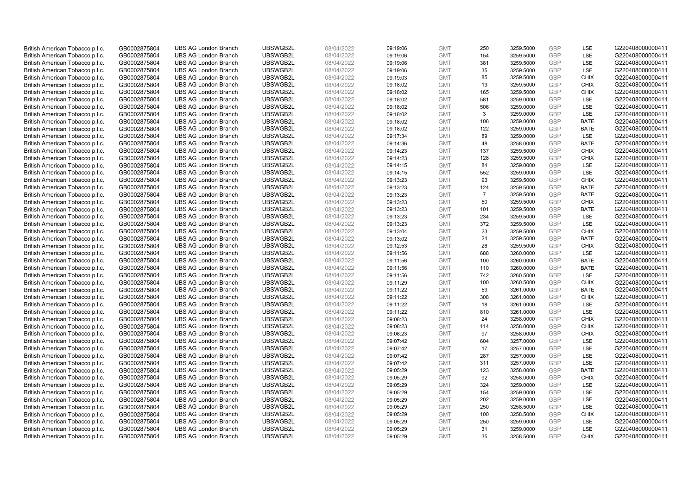| British American Tobacco p.l.c. | GB0002875804 | <b>UBS AG London Branch</b> | UBSWGB2L | 08/04/2022 | 09:19:06 | <b>GMT</b> | 250            | 3259.5000 | <b>GBP</b> | LSE         | G220408000000411 |
|---------------------------------|--------------|-----------------------------|----------|------------|----------|------------|----------------|-----------|------------|-------------|------------------|
| British American Tobacco p.l.c. | GB0002875804 | <b>UBS AG London Branch</b> | UBSWGB2L | 08/04/2022 | 09:19:06 | <b>GMT</b> | 154            | 3259.5000 | GBP        | LSE         | G220408000000411 |
| British American Tobacco p.l.c. | GB0002875804 | <b>UBS AG London Branch</b> | UBSWGB2L | 08/04/2022 | 09:19:06 | <b>GMT</b> | 381            | 3259.5000 | <b>GBP</b> | LSE         | G220408000000411 |
| British American Tobacco p.l.c. | GB0002875804 | <b>UBS AG London Branch</b> | UBSWGB2L | 08/04/2022 | 09:19:06 | <b>GMT</b> | 35             | 3259.5000 | GBP        | LSE         | G220408000000411 |
| British American Tobacco p.l.c. | GB0002875804 | <b>UBS AG London Branch</b> | UBSWGB2L | 08/04/2022 | 09:19:03 | <b>GMT</b> | 85             | 3259.5000 | <b>GBP</b> | <b>CHIX</b> | G220408000000411 |
| British American Tobacco p.l.c. | GB0002875804 | <b>UBS AG London Branch</b> | UBSWGB2L | 08/04/2022 | 09:18:02 | <b>GMT</b> | 13             | 3259.5000 | GBP        | <b>CHIX</b> | G220408000000411 |
| British American Tobacco p.l.c. | GB0002875804 | <b>UBS AG London Branch</b> | UBSWGB2L | 08/04/2022 | 09:18:02 | <b>GMT</b> | 165            | 3259.5000 | <b>GBP</b> | <b>CHIX</b> | G220408000000411 |
| British American Tobacco p.l.c. | GB0002875804 | <b>UBS AG London Branch</b> | UBSWGB2L | 08/04/2022 | 09:18:02 | <b>GMT</b> | 581            | 3259.0000 | <b>GBP</b> | <b>LSE</b>  | G220408000000411 |
| British American Tobacco p.l.c. | GB0002875804 | <b>UBS AG London Branch</b> | UBSWGB2L | 08/04/2022 | 09:18:02 | <b>GMT</b> | 506            | 3259.0000 | <b>GBP</b> | <b>LSE</b>  | G220408000000411 |
| British American Tobacco p.l.c. | GB0002875804 | <b>UBS AG London Branch</b> | UBSWGB2L | 08/04/2022 | 09:18:02 | <b>GMT</b> | 3              | 3259.0000 | GBP        | <b>LSE</b>  | G220408000000411 |
| British American Tobacco p.l.c. | GB0002875804 | <b>UBS AG London Branch</b> | UBSWGB2L | 08/04/2022 | 09:18:02 | <b>GMT</b> | 108            | 3259.0000 | GBP        | <b>BATE</b> | G220408000000411 |
| British American Tobacco p.l.c. | GB0002875804 | <b>UBS AG London Branch</b> | UBSWGB2L | 08/04/2022 | 09:18:02 | <b>GMT</b> | 122            | 3259.0000 | <b>GBP</b> | <b>BATE</b> | G220408000000411 |
| British American Tobacco p.l.c. | GB0002875804 | <b>UBS AG London Branch</b> | UBSWGB2L | 08/04/2022 | 09:17:34 | <b>GMT</b> | 89             | 3259.0000 | GBP        | LSE         | G220408000000411 |
| British American Tobacco p.l.c. | GB0002875804 | <b>UBS AG London Branch</b> | UBSWGB2L | 08/04/2022 | 09:14:36 | <b>GMT</b> | 48             | 3258.0000 | <b>GBP</b> | <b>BATE</b> | G220408000000411 |
| British American Tobacco p.l.c. | GB0002875804 | <b>UBS AG London Branch</b> | UBSWGB2L | 08/04/2022 | 09:14:23 | <b>GMT</b> | 137            | 3259.5000 | GBP        | <b>CHIX</b> | G220408000000411 |
| British American Tobacco p.l.c. | GB0002875804 | <b>UBS AG London Branch</b> | UBSWGB2L | 08/04/2022 | 09:14:23 | <b>GMT</b> | 128            | 3259.5000 | <b>GBP</b> | <b>CHIX</b> | G220408000000411 |
| British American Tobacco p.l.c. | GB0002875804 | <b>UBS AG London Branch</b> | UBSWGB2L | 08/04/2022 | 09:14:15 | <b>GMT</b> | 84             | 3259.0000 | GBP        | <b>LSE</b>  | G220408000000411 |
| British American Tobacco p.l.c. | GB0002875804 | <b>UBS AG London Branch</b> | UBSWGB2L | 08/04/2022 | 09:14:15 | <b>GMT</b> | 552            | 3259.0000 | GBP        | LSE         | G220408000000411 |
| British American Tobacco p.l.c. | GB0002875804 | <b>UBS AG London Branch</b> | UBSWGB2L | 08/04/2022 | 09:13:23 | <b>GMT</b> | 93             | 3259.5000 | GBP        | <b>CHIX</b> | G220408000000411 |
| British American Tobacco p.l.c. | GB0002875804 | <b>UBS AG London Branch</b> | UBSWGB2L | 08/04/2022 | 09:13:23 | <b>GMT</b> | 124            | 3259.5000 | <b>GBP</b> | <b>BATE</b> | G220408000000411 |
| British American Tobacco p.l.c. | GB0002875804 | <b>UBS AG London Branch</b> | UBSWGB2L | 08/04/2022 | 09:13:23 | <b>GMT</b> | $\overline{7}$ | 3259.5000 | GBP        | <b>BATE</b> | G220408000000411 |
| British American Tobacco p.l.c. | GB0002875804 | <b>UBS AG London Branch</b> | UBSWGB2L | 08/04/2022 | 09:13:23 | <b>GMT</b> | 50             | 3259.5000 | GBP        | <b>CHIX</b> | G220408000000411 |
| British American Tobacco p.l.c. | GB0002875804 | <b>UBS AG London Branch</b> | UBSWGB2L | 08/04/2022 | 09:13:23 | <b>GMT</b> | 101            | 3259.5000 | GBP        | <b>BATE</b> | G220408000000411 |
| British American Tobacco p.l.c. | GB0002875804 | <b>UBS AG London Branch</b> | UBSWGB2L | 08/04/2022 | 09:13:23 | <b>GMT</b> | 234            | 3259.5000 | <b>GBP</b> | LSE         | G220408000000411 |
| British American Tobacco p.l.c. | GB0002875804 | <b>UBS AG London Branch</b> | UBSWGB2L | 08/04/2022 | 09:13:23 | <b>GMT</b> | 372            | 3259.5000 | <b>GBP</b> | LSE         | G220408000000411 |
| British American Tobacco p.l.c. | GB0002875804 | <b>UBS AG London Branch</b> | UBSWGB2L | 08/04/2022 | 09:13:04 | <b>GMT</b> | 23             | 3259.5000 | GBP        | <b>CHIX</b> | G220408000000411 |
| British American Tobacco p.l.c. | GB0002875804 | <b>UBS AG London Branch</b> | UBSWGB2L | 08/04/2022 | 09:13:02 | <b>GMT</b> | 24             | 3259.5000 | <b>GBP</b> | <b>BATE</b> | G220408000000411 |
| British American Tobacco p.l.c. | GB0002875804 | <b>UBS AG London Branch</b> | UBSWGB2L | 08/04/2022 | 09:12:53 | <b>GMT</b> | 26             | 3259.5000 | GBP        | <b>CHIX</b> | G220408000000411 |
| British American Tobacco p.l.c. | GB0002875804 | <b>UBS AG London Branch</b> | UBSWGB2L | 08/04/2022 | 09:11:56 | <b>GMT</b> | 688            | 3260.0000 | GBP        | LSE         | G220408000000411 |
| British American Tobacco p.l.c. | GB0002875804 | <b>UBS AG London Branch</b> | UBSWGB2L | 08/04/2022 | 09:11:56 | <b>GMT</b> | 100            | 3260.0000 | GBP        | <b>BATE</b> | G220408000000411 |
| British American Tobacco p.l.c. | GB0002875804 | <b>UBS AG London Branch</b> | UBSWGB2L | 08/04/2022 | 09:11:56 | <b>GMT</b> | 110            | 3260.0000 | <b>GBP</b> | <b>BATE</b> | G220408000000411 |
| British American Tobacco p.l.c. | GB0002875804 | <b>UBS AG London Branch</b> | UBSWGB2L | 08/04/2022 | 09:11:56 | <b>GMT</b> | 742            | 3260.5000 | <b>GBP</b> | <b>LSE</b>  | G220408000000411 |
| British American Tobacco p.l.c. | GB0002875804 | <b>UBS AG London Branch</b> | UBSWGB2L | 08/04/2022 | 09:11:29 | <b>GMT</b> | 100            | 3260.5000 | GBP        | <b>CHIX</b> | G220408000000411 |
| British American Tobacco p.l.c. | GB0002875804 | <b>UBS AG London Branch</b> | UBSWGB2L | 08/04/2022 | 09:11:22 | <b>GMT</b> | 59             | 3261.0000 | <b>GBP</b> | <b>BATE</b> | G220408000000411 |
| British American Tobacco p.l.c. | GB0002875804 | <b>UBS AG London Branch</b> | UBSWGB2L | 08/04/2022 | 09:11:22 | <b>GMT</b> | 308            | 3261.0000 | <b>GBP</b> | <b>CHIX</b> | G220408000000411 |
| British American Tobacco p.l.c. | GB0002875804 | <b>UBS AG London Branch</b> | UBSWGB2L | 08/04/2022 | 09:11:22 | <b>GMT</b> | 18             | 3261.0000 | <b>GBP</b> | <b>LSE</b>  | G220408000000411 |
| British American Tobacco p.l.c. | GB0002875804 | <b>UBS AG London Branch</b> | UBSWGB2L | 08/04/2022 | 09:11:22 | <b>GMT</b> | 810            | 3261.0000 | GBP        | LSE         | G220408000000411 |
| British American Tobacco p.l.c. | GB0002875804 | <b>UBS AG London Branch</b> | UBSWGB2L | 08/04/2022 | 09:08:23 | <b>GMT</b> | 24             | 3258.0000 | <b>GBP</b> | <b>CHIX</b> | G220408000000411 |
| British American Tobacco p.l.c. | GB0002875804 | <b>UBS AG London Branch</b> | UBSWGB2L | 08/04/2022 | 09:08:23 | <b>GMT</b> | 114            | 3258.0000 | GBP        | <b>CHIX</b> | G220408000000411 |
| British American Tobacco p.l.c. | GB0002875804 | <b>UBS AG London Branch</b> | UBSWGB2L | 08/04/2022 | 09:08:23 | <b>GMT</b> | 97             | 3258.0000 | <b>GBP</b> | <b>CHIX</b> | G220408000000411 |
| British American Tobacco p.l.c. | GB0002875804 | <b>UBS AG London Branch</b> | UBSWGB2L | 08/04/2022 | 09:07:42 | <b>GMT</b> | 604            | 3257.0000 | GBP        | <b>LSE</b>  | G220408000000411 |
| British American Tobacco p.l.c. | GB0002875804 | <b>UBS AG London Branch</b> | UBSWGB2L | 08/04/2022 | 09:07:42 | <b>GMT</b> | 17             | 3257.0000 | GBP        | LSE         | G220408000000411 |
| British American Tobacco p.l.c. | GB0002875804 | <b>UBS AG London Branch</b> | UBSWGB2L | 08/04/2022 | 09:07:42 | <b>GMT</b> | 287            | 3257.0000 | <b>GBP</b> | LSE         | G220408000000411 |
| British American Tobacco p.l.c. | GB0002875804 | <b>UBS AG London Branch</b> | UBSWGB2L | 08/04/2022 | 09:07:42 | <b>GMT</b> | 311            | 3257.0000 | GBP        | LSE         | G220408000000411 |
| British American Tobacco p.l.c. | GB0002875804 | <b>UBS AG London Branch</b> | UBSWGB2L | 08/04/2022 | 09:05:29 | <b>GMT</b> | 123            | 3258.0000 | <b>GBP</b> | <b>BATE</b> | G220408000000411 |
| British American Tobacco p.l.c. | GB0002875804 | <b>UBS AG London Branch</b> | UBSWGB2L | 08/04/2022 | 09:05:29 | <b>GMT</b> | 92             | 3258.0000 | GBP        | <b>CHIX</b> | G220408000000411 |
| British American Tobacco p.l.c. | GB0002875804 | <b>UBS AG London Branch</b> | UBSWGB2L | 08/04/2022 | 09:05:29 | <b>GMT</b> | 324            | 3259.0000 | <b>GBP</b> | LSE         | G220408000000411 |
| British American Tobacco p.l.c. | GB0002875804 | <b>UBS AG London Branch</b> | UBSWGB2L | 08/04/2022 | 09:05:29 | <b>GMT</b> | 154            | 3259.0000 | <b>GBP</b> | LSE         | G220408000000411 |
| British American Tobacco p.l.c. | GB0002875804 | <b>UBS AG London Branch</b> | UBSWGB2L | 08/04/2022 | 09:05:29 | <b>GMT</b> | 202            | 3259.0000 | <b>GBP</b> | LSE         | G220408000000411 |
| British American Tobacco p.l.c. | GB0002875804 | <b>UBS AG London Branch</b> | UBSWGB2L | 08/04/2022 | 09:05:29 | <b>GMT</b> | 250            | 3258.5000 | GBP        | <b>LSE</b>  | G220408000000411 |
| British American Tobacco p.l.c. | GB0002875804 | <b>UBS AG London Branch</b> | UBSWGB2L | 08/04/2022 | 09:05:29 | <b>GMT</b> | 100            | 3258.5000 | GBP        | <b>CHIX</b> | G220408000000411 |
| British American Tobacco p.l.c. | GB0002875804 | <b>UBS AG London Branch</b> | UBSWGB2L | 08/04/2022 | 09:05:29 | <b>GMT</b> | 250            | 3259.0000 | <b>GBP</b> | LSE         | G220408000000411 |
| British American Tobacco p.l.c. | GB0002875804 | <b>UBS AG London Branch</b> | UBSWGB2L | 08/04/2022 | 09:05:29 | <b>GMT</b> | 31             | 3259.0000 | GBP        | LSE         | G220408000000411 |
| British American Tobacco p.l.c. | GB0002875804 | <b>UBS AG London Branch</b> | UBSWGB2L | 08/04/2022 | 09:05:29 | <b>GMT</b> | 35             | 3258.5000 | GBP        | <b>CHIX</b> | G220408000000411 |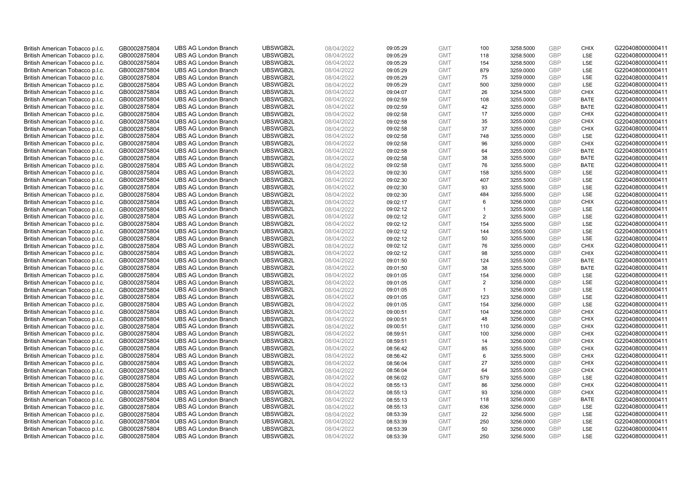| British American Tobacco p.l.c. | GB0002875804 | <b>UBS AG London Branch</b> | UBSWGB2L | 08/04/2022 | 09:05:29 | <b>GMT</b> | 100                  | 3258.5000 | <b>GBP</b> | <b>CHIX</b> | G220408000000411 |
|---------------------------------|--------------|-----------------------------|----------|------------|----------|------------|----------------------|-----------|------------|-------------|------------------|
| British American Tobacco p.l.c. | GB0002875804 | <b>UBS AG London Branch</b> | UBSWGB2L | 08/04/2022 | 09:05:29 | <b>GMT</b> | 118                  | 3258.5000 | GBP        | LSE         | G220408000000411 |
| British American Tobacco p.l.c. | GB0002875804 | <b>UBS AG London Branch</b> | UBSWGB2L | 08/04/2022 | 09:05:29 | <b>GMT</b> | 154                  | 3258.5000 | <b>GBP</b> | <b>LSE</b>  | G220408000000411 |
| British American Tobacco p.l.c. | GB0002875804 | <b>UBS AG London Branch</b> | UBSWGB2L | 08/04/2022 | 09:05:29 | <b>GMT</b> | 879                  | 3259.0000 | GBP        | LSE         | G220408000000411 |
| British American Tobacco p.l.c. | GB0002875804 | <b>UBS AG London Branch</b> | UBSWGB2L | 08/04/2022 | 09:05:29 | <b>GMT</b> | 75                   | 3259.0000 | <b>GBP</b> | <b>LSE</b>  | G220408000000411 |
| British American Tobacco p.l.c. | GB0002875804 | <b>UBS AG London Branch</b> | UBSWGB2L | 08/04/2022 | 09:05:29 | <b>GMT</b> | 500                  | 3259.0000 | GBP        | LSE         | G220408000000411 |
| British American Tobacco p.l.c. | GB0002875804 | <b>UBS AG London Branch</b> | UBSWGB2L | 08/04/2022 | 09:04:07 | <b>GMT</b> | 26                   | 3254.5000 | <b>GBP</b> | <b>CHIX</b> | G220408000000411 |
| British American Tobacco p.l.c. | GB0002875804 | <b>UBS AG London Branch</b> | UBSWGB2L | 08/04/2022 | 09:02:59 | <b>GMT</b> | 108                  | 3255.0000 | GBP        | <b>BATE</b> | G220408000000411 |
| British American Tobacco p.l.c. | GB0002875804 | <b>UBS AG London Branch</b> | UBSWGB2L | 08/04/2022 | 09:02:59 | <b>GMT</b> | 42                   | 3255.0000 | <b>GBP</b> | <b>BATE</b> | G220408000000411 |
| British American Tobacco p.l.c. | GB0002875804 | <b>UBS AG London Branch</b> | UBSWGB2L | 08/04/2022 | 09:02:58 | <b>GMT</b> | 17                   | 3255.0000 | GBP        | <b>CHIX</b> | G220408000000411 |
| British American Tobacco p.l.c. | GB0002875804 | <b>UBS AG London Branch</b> | UBSWGB2L | 08/04/2022 | 09:02:58 | <b>GMT</b> | 35                   | 3255.0000 | <b>GBP</b> | <b>CHIX</b> | G220408000000411 |
| British American Tobacco p.l.c. | GB0002875804 | <b>UBS AG London Branch</b> | UBSWGB2L | 08/04/2022 | 09:02:58 | <b>GMT</b> | 37                   | 3255.0000 | <b>GBP</b> | <b>CHIX</b> | G220408000000411 |
| British American Tobacco p.l.c. | GB0002875804 | <b>UBS AG London Branch</b> | UBSWGB2L | 08/04/2022 | 09:02:58 | <b>GMT</b> | 748                  | 3255.0000 | GBP        | LSE         | G220408000000411 |
| British American Tobacco p.l.c. | GB0002875804 | <b>UBS AG London Branch</b> | UBSWGB2L | 08/04/2022 | 09:02:58 | <b>GMT</b> | 96                   | 3255.0000 | <b>GBP</b> | <b>CHIX</b> | G220408000000411 |
| British American Tobacco p.l.c. | GB0002875804 | <b>UBS AG London Branch</b> | UBSWGB2L | 08/04/2022 | 09:02:58 | <b>GMT</b> | 64                   | 3255.0000 | GBP        | <b>BATE</b> | G220408000000411 |
| British American Tobacco p.l.c. | GB0002875804 | <b>UBS AG London Branch</b> | UBSWGB2L | 08/04/2022 | 09:02:58 | <b>GMT</b> | 38                   | 3255.5000 | <b>GBP</b> | <b>BATE</b> | G220408000000411 |
| British American Tobacco p.l.c. | GB0002875804 | <b>UBS AG London Branch</b> | UBSWGB2L | 08/04/2022 | 09:02:58 | <b>GMT</b> | 76                   | 3255.5000 | <b>GBP</b> | <b>BATE</b> | G220408000000411 |
| British American Tobacco p.l.c. | GB0002875804 | <b>UBS AG London Branch</b> | UBSWGB2L | 08/04/2022 | 09:02:30 | <b>GMT</b> | 158                  | 3255.5000 | GBP        | LSE         | G220408000000411 |
| British American Tobacco p.l.c. | GB0002875804 | <b>UBS AG London Branch</b> | UBSWGB2L | 08/04/2022 | 09:02:30 | <b>GMT</b> | 407                  | 3255.5000 | <b>GBP</b> | <b>LSE</b>  | G220408000000411 |
| British American Tobacco p.l.c. | GB0002875804 | <b>UBS AG London Branch</b> | UBSWGB2L | 08/04/2022 | 09:02:30 | <b>GMT</b> | 93                   | 3255.5000 | <b>GBP</b> | LSE         | G220408000000411 |
| British American Tobacco p.l.c. | GB0002875804 | <b>UBS AG London Branch</b> | UBSWGB2L | 08/04/2022 | 09:02:30 | <b>GMT</b> | 484                  | 3255.5000 | GBP        | LSE         | G220408000000411 |
| British American Tobacco p.l.c. | GB0002875804 | <b>UBS AG London Branch</b> | UBSWGB2L | 08/04/2022 | 09:02:17 | <b>GMT</b> | 6                    | 3256.0000 | GBP        | <b>CHIX</b> | G220408000000411 |
| British American Tobacco p.l.c. | GB0002875804 | <b>UBS AG London Branch</b> | UBSWGB2L | 08/04/2022 | 09:02:12 | <b>GMT</b> | $\blacktriangleleft$ | 3255.5000 | GBP        | <b>LSE</b>  | G220408000000411 |
| British American Tobacco p.l.c. | GB0002875804 | <b>UBS AG London Branch</b> | UBSWGB2L | 08/04/2022 | 09:02:12 | <b>GMT</b> | 2                    | 3255.5000 | <b>GBP</b> | LSE         | G220408000000411 |
| British American Tobacco p.l.c. | GB0002875804 | <b>UBS AG London Branch</b> | UBSWGB2L | 08/04/2022 | 09:02:12 | <b>GMT</b> | 154                  | 3255.5000 | <b>GBP</b> | LSE         | G220408000000411 |
| British American Tobacco p.l.c. | GB0002875804 | <b>UBS AG London Branch</b> | UBSWGB2L | 08/04/2022 | 09:02:12 | <b>GMT</b> | 144                  | 3255.5000 | <b>GBP</b> | LSE         | G220408000000411 |
| British American Tobacco p.l.c. | GB0002875804 | <b>UBS AG London Branch</b> | UBSWGB2L | 08/04/2022 | 09:02:12 | <b>GMT</b> | 50                   | 3255.5000 | <b>GBP</b> | LSE         | G220408000000411 |
| British American Tobacco p.l.c. | GB0002875804 | <b>UBS AG London Branch</b> | UBSWGB2L | 08/04/2022 | 09:02:12 | <b>GMT</b> | 76                   | 3255.0000 | GBP        | <b>CHIX</b> | G220408000000411 |
| British American Tobacco p.l.c. | GB0002875804 | <b>UBS AG London Branch</b> | UBSWGB2L | 08/04/2022 | 09:02:12 | <b>GMT</b> | 98                   | 3255.0000 | GBP        | <b>CHIX</b> | G220408000000411 |
| British American Tobacco p.l.c. | GB0002875804 | <b>UBS AG London Branch</b> | UBSWGB2L | 08/04/2022 | 09:01:50 | <b>GMT</b> | 124                  | 3255.5000 | GBP        | <b>BATE</b> | G220408000000411 |
| British American Tobacco p.l.c. | GB0002875804 | <b>UBS AG London Branch</b> | UBSWGB2L | 08/04/2022 | 09:01:50 | <b>GMT</b> | 38                   | 3255.5000 | <b>GBP</b> | <b>BATE</b> | G220408000000411 |
| British American Tobacco p.l.c. | GB0002875804 | <b>UBS AG London Branch</b> | UBSWGB2L | 08/04/2022 | 09:01:05 | <b>GMT</b> | 154                  | 3256.0000 | <b>GBP</b> | <b>LSE</b>  | G220408000000411 |
| British American Tobacco p.l.c. | GB0002875804 | <b>UBS AG London Branch</b> | UBSWGB2L | 08/04/2022 | 09:01:05 | <b>GMT</b> | 2                    | 3256.0000 | GBP        | LSE         | G220408000000411 |
| British American Tobacco p.l.c. | GB0002875804 | <b>UBS AG London Branch</b> | UBSWGB2L | 08/04/2022 | 09:01:05 | <b>GMT</b> | $\mathbf{1}$         | 3256.0000 | <b>GBP</b> | LSE         | G220408000000411 |
| British American Tobacco p.l.c. | GB0002875804 | <b>UBS AG London Branch</b> | UBSWGB2L | 08/04/2022 | 09:01:05 | <b>GMT</b> | 123                  | 3256.0000 | <b>GBP</b> | LSE         | G220408000000411 |
| British American Tobacco p.l.c. | GB0002875804 | <b>UBS AG London Branch</b> | UBSWGB2L | 08/04/2022 | 09:01:05 | <b>GMT</b> | 154                  | 3256.0000 | <b>GBP</b> | <b>LSE</b>  | G220408000000411 |
| British American Tobacco p.l.c. | GB0002875804 | <b>UBS AG London Branch</b> | UBSWGB2L | 08/04/2022 | 09:00:51 | <b>GMT</b> | 104                  | 3256.0000 | GBP        | <b>CHIX</b> | G220408000000411 |
| British American Tobacco p.l.c. | GB0002875804 | <b>UBS AG London Branch</b> | UBSWGB2L | 08/04/2022 | 09:00:51 | <b>GMT</b> | 48                   | 3256.0000 | <b>GBP</b> | <b>CHIX</b> | G220408000000411 |
| British American Tobacco p.l.c. | GB0002875804 | <b>UBS AG London Branch</b> | UBSWGB2L | 08/04/2022 | 09:00:51 | <b>GMT</b> | 110                  | 3256.0000 | GBP        | <b>CHIX</b> | G220408000000411 |
| British American Tobacco p.l.c. | GB0002875804 | <b>UBS AG London Branch</b> | UBSWGB2L | 08/04/2022 | 08:59:51 | <b>GMT</b> | 100                  | 3256.0000 | <b>GBP</b> | <b>CHIX</b> | G220408000000411 |
| British American Tobacco p.l.c. | GB0002875804 | <b>UBS AG London Branch</b> | UBSWGB2L | 08/04/2022 | 08:59:51 | <b>GMT</b> | 14                   | 3256.0000 | <b>GBP</b> | <b>CHIX</b> | G220408000000411 |
| British American Tobacco p.l.c. | GB0002875804 | <b>UBS AG London Branch</b> | UBSWGB2L | 08/04/2022 | 08:56:42 | <b>GMT</b> | 85                   | 3255.5000 | GBP        | <b>CHIX</b> | G220408000000411 |
| British American Tobacco p.l.c. | GB0002875804 | <b>UBS AG London Branch</b> | UBSWGB2L | 08/04/2022 | 08:56:42 | <b>GMT</b> | 6                    | 3255.5000 | GBP        | <b>CHIX</b> | G220408000000411 |
| British American Tobacco p.l.c. | GB0002875804 | <b>UBS AG London Branch</b> | UBSWGB2L | 08/04/2022 | 08:56:04 | <b>GMT</b> | 27                   | 3255.0000 | GBP        | <b>CHIX</b> | G220408000000411 |
| British American Tobacco p.l.c. | GB0002875804 | <b>UBS AG London Branch</b> | UBSWGB2L | 08/04/2022 | 08:56:04 | <b>GMT</b> | 64                   | 3255.0000 | <b>GBP</b> | <b>CHIX</b> | G220408000000411 |
| British American Tobacco p.l.c. | GB0002875804 | <b>UBS AG London Branch</b> | UBSWGB2L | 08/04/2022 | 08:56:02 | <b>GMT</b> | 579                  | 3255.5000 | GBP        | LSE         | G220408000000411 |
| British American Tobacco p.l.c. | GB0002875804 | <b>UBS AG London Branch</b> | UBSWGB2L | 08/04/2022 | 08:55:13 | <b>GMT</b> | 86                   | 3256.0000 | <b>GBP</b> | <b>CHIX</b> | G220408000000411 |
| British American Tobacco p.l.c. | GB0002875804 | <b>UBS AG London Branch</b> | UBSWGB2L | 08/04/2022 | 08:55:13 | <b>GMT</b> | 93                   | 3256.0000 | GBP        | <b>CHIX</b> | G220408000000411 |
| British American Tobacco p.l.c. | GB0002875804 | <b>UBS AG London Branch</b> | UBSWGB2L | 08/04/2022 | 08:55:13 | <b>GMT</b> | 118                  | 3256.0000 | <b>GBP</b> | <b>BATE</b> | G220408000000411 |
| British American Tobacco p.l.c. | GB0002875804 | <b>UBS AG London Branch</b> | UBSWGB2L | 08/04/2022 | 08:55:13 | <b>GMT</b> | 636                  | 3256.0000 | GBP        | LSE         | G220408000000411 |
| British American Tobacco p.l.c. | GB0002875804 | <b>UBS AG London Branch</b> | UBSWGB2L | 08/04/2022 | 08:53:39 | <b>GMT</b> | 22                   | 3256.5000 | <b>GBP</b> | LSE         | G220408000000411 |
| British American Tobacco p.l.c. | GB0002875804 | <b>UBS AG London Branch</b> | UBSWGB2L | 08/04/2022 | 08:53:39 | <b>GMT</b> | 250                  | 3256.0000 | <b>GBP</b> | LSE         | G220408000000411 |
| British American Tobacco p.l.c. | GB0002875804 | <b>UBS AG London Branch</b> | UBSWGB2L | 08/04/2022 | 08:53:39 | <b>GMT</b> | 50                   | 3256.0000 | GBP        | LSE         | G220408000000411 |
| British American Tobacco p.l.c. | GB0002875804 | <b>UBS AG London Branch</b> | UBSWGB2L | 08/04/2022 | 08:53:39 | <b>GMT</b> | 250                  | 3256.5000 | GBP        | <b>LSE</b>  | G220408000000411 |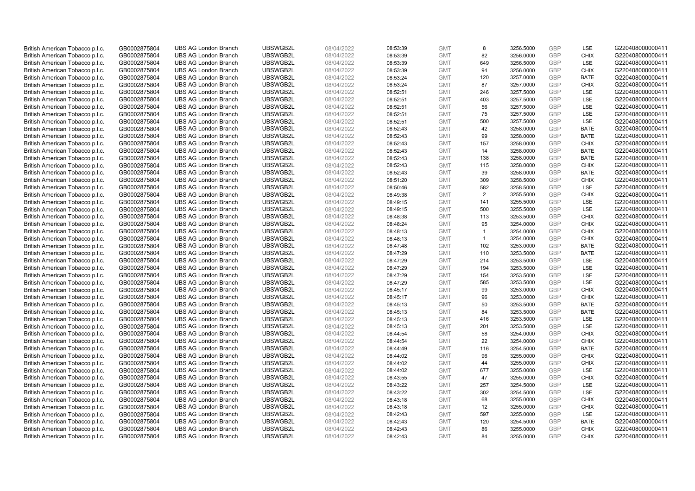| British American Tobacco p.l.c. | GB0002875804                 | <b>UBS AG London Branch</b> | UBSWGB2L             | 08/04/2022               | 08:53:39             | <b>GMT</b>               | 8              | 3256.5000              | <b>GBP</b> | LSE                        | G220408000000411 |
|---------------------------------|------------------------------|-----------------------------|----------------------|--------------------------|----------------------|--------------------------|----------------|------------------------|------------|----------------------------|------------------|
| British American Tobacco p.l.c. | GB0002875804                 | <b>UBS AG London Branch</b> | UBSWGB2L             | 08/04/2022               | 08:53:39             | <b>GMT</b>               | 82             | 3256.0000              | <b>GBP</b> | <b>CHIX</b>                | G220408000000411 |
| British American Tobacco p.l.c. | GB0002875804                 | <b>UBS AG London Branch</b> | UBSWGB2L             | 08/04/2022               | 08:53:39             | <b>GMT</b>               | 649            | 3256.5000              | GBP        | LSE                        | G220408000000411 |
| British American Tobacco p.l.c. | GB0002875804                 | <b>UBS AG London Branch</b> | UBSWGB2L             | 08/04/2022               | 08:53:39             | <b>GMT</b>               | 94             | 3256.0000              | GBP        | <b>CHIX</b>                | G220408000000411 |
| British American Tobacco p.l.c. | GB0002875804                 | <b>UBS AG London Branch</b> | UBSWGB2L             | 08/04/2022               | 08:53:24             | <b>GMT</b>               | 120            | 3257.0000              | <b>GBP</b> | <b>BATE</b>                | G220408000000411 |
| British American Tobacco p.l.c. | GB0002875804                 | <b>UBS AG London Branch</b> | UBSWGB2L             | 08/04/2022               | 08:53:24             | <b>GMT</b>               | 87             | 3257.0000              | <b>GBP</b> | <b>CHIX</b>                | G220408000000411 |
| British American Tobacco p.l.c. | GB0002875804                 | <b>UBS AG London Branch</b> | UBSWGB2L             | 08/04/2022               | 08:52:51             | <b>GMT</b>               | 246            | 3257.5000              | GBP        | LSE                        | G220408000000411 |
| British American Tobacco p.l.c. | GB0002875804                 | <b>UBS AG London Branch</b> | UBSWGB2L             | 08/04/2022               | 08:52:51             | <b>GMT</b>               | 403            | 3257.5000              | <b>GBP</b> | LSE                        | G220408000000411 |
| British American Tobacco p.l.c. | GB0002875804                 | <b>UBS AG London Branch</b> | UBSWGB2L             | 08/04/2022               | 08:52:51             | <b>GMT</b>               | 56             | 3257.5000              | <b>GBP</b> | LSE                        | G220408000000411 |
| British American Tobacco p.l.c. | GB0002875804                 | <b>UBS AG London Branch</b> | UBSWGB2L             | 08/04/2022               | 08:52:51             | <b>GMT</b>               | 75             | 3257.5000              | <b>GBP</b> | <b>LSE</b>                 | G220408000000411 |
| British American Tobacco p.l.c. | GB0002875804                 | <b>UBS AG London Branch</b> | UBSWGB2L             | 08/04/2022               | 08:52:51             | <b>GMT</b>               | 500            | 3257.5000              | GBP        | LSE                        | G220408000000411 |
| British American Tobacco p.l.c. | GB0002875804                 | <b>UBS AG London Branch</b> | UBSWGB2L             | 08/04/2022               | 08:52:43             | <b>GMT</b>               | 42             | 3258.0000              | <b>GBP</b> | <b>BATE</b>                | G220408000000411 |
| British American Tobacco p.l.c. | GB0002875804                 | <b>UBS AG London Branch</b> | UBSWGB2L             | 08/04/2022               | 08:52:43             | <b>GMT</b>               | 99             | 3258.0000              | GBP        | <b>BATE</b>                | G220408000000411 |
| British American Tobacco p.l.c. | GB0002875804                 | <b>UBS AG London Branch</b> | UBSWGB2L             | 08/04/2022               | 08:52:43             | <b>GMT</b>               | 157            | 3258.0000              | <b>GBP</b> | <b>CHIX</b>                | G220408000000411 |
| British American Tobacco p.l.c. | GB0002875804                 | <b>UBS AG London Branch</b> | UBSWGB2L             | 08/04/2022               | 08:52:43             | <b>GMT</b>               | 14             | 3258.0000              | <b>GBP</b> | <b>BATE</b>                | G220408000000411 |
| British American Tobacco p.l.c. | GB0002875804                 | <b>UBS AG London Branch</b> | UBSWGB2L             | 08/04/2022               | 08:52:43             | <b>GMT</b>               | 138            | 3258.0000              | GBP        | <b>BATE</b>                | G220408000000411 |
| British American Tobacco p.l.c. | GB0002875804                 | <b>UBS AG London Branch</b> | UBSWGB2L             | 08/04/2022               | 08:52:43             | <b>GMT</b>               | 115            | 3258.0000              | GBP        | <b>CHIX</b>                | G220408000000411 |
| British American Tobacco p.l.c. | GB0002875804                 | <b>UBS AG London Branch</b> | UBSWGB2L             | 08/04/2022               | 08:52:43             | <b>GMT</b>               | 39             | 3258.0000              | GBP        | <b>BATE</b>                | G220408000000411 |
| British American Tobacco p.l.c. | GB0002875804                 | <b>UBS AG London Branch</b> | UBSWGB2L             | 08/04/2022               | 08:51:20             | <b>GMT</b>               | 309            | 3258.5000              | <b>GBP</b> | <b>CHIX</b>                | G220408000000411 |
| British American Tobacco p.l.c. | GB0002875804                 | <b>UBS AG London Branch</b> | UBSWGB2L             | 08/04/2022               | 08:50:46             | <b>GMT</b>               | 582            | 3258.5000              | GBP        | LSE                        | G220408000000411 |
| British American Tobacco p.l.c. | GB0002875804                 | <b>UBS AG London Branch</b> | UBSWGB2L             | 08/04/2022               | 08:49:38             | <b>GMT</b>               | $\overline{2}$ | 3255.5000              | <b>GBP</b> | <b>CHIX</b>                | G220408000000411 |
| British American Tobacco p.l.c. | GB0002875804                 | <b>UBS AG London Branch</b> | UBSWGB2L             | 08/04/2022               | 08:49:15             | <b>GMT</b>               | 141            | 3255.5000              | GBP        | LSE                        | G220408000000411 |
| British American Tobacco p.l.c. | GB0002875804                 | <b>UBS AG London Branch</b> | UBSWGB2L             | 08/04/2022               | 08:49:15             | <b>GMT</b>               | 500            | 3255.5000              | <b>GBP</b> | LSE                        | G220408000000411 |
| British American Tobacco p.l.c. | GB0002875804                 | <b>UBS AG London Branch</b> | UBSWGB2L             | 08/04/2022               | 08:48:38             | <b>GMT</b>               | 113            | 3253.5000              | GBP        | <b>CHIX</b>                | G220408000000411 |
| British American Tobacco p.l.c. | GB0002875804                 | <b>UBS AG London Branch</b> | UBSWGB2L             | 08/04/2022               | 08:48:24             | <b>GMT</b>               | 95             | 3254.0000              | <b>GBP</b> | <b>CHIX</b>                | G220408000000411 |
| British American Tobacco p.l.c. | GB0002875804                 | <b>UBS AG London Branch</b> | UBSWGB2L             | 08/04/2022               | 08:48:13             | <b>GMT</b>               | $\mathbf{1}$   | 3254.0000              | GBP        | <b>CHIX</b>                | G220408000000411 |
| British American Tobacco p.l.c. | GB0002875804                 | <b>UBS AG London Branch</b> | UBSWGB2L             | 08/04/2022               | 08:48:13             | <b>GMT</b>               | $\mathbf{1}$   | 3254.0000              | <b>GBP</b> | <b>CHIX</b>                | G220408000000411 |
| British American Tobacco p.l.c. | GB0002875804                 | <b>UBS AG London Branch</b> | UBSWGB2L             | 08/04/2022               | 08:47:48             | <b>GMT</b>               | 102            | 3253.0000              | <b>GBP</b> | <b>BATE</b>                | G220408000000411 |
| British American Tobacco p.l.c. | GB0002875804                 | <b>UBS AG London Branch</b> | UBSWGB2L             | 08/04/2022               | 08:47:29             | <b>GMT</b>               | 110            | 3253.5000              | GBP        | <b>BATE</b>                | G220408000000411 |
| British American Tobacco p.l.c. | GB0002875804                 | <b>UBS AG London Branch</b> | UBSWGB2L             | 08/04/2022               | 08:47:29             | <b>GMT</b>               | 214            | 3253.5000              | <b>GBP</b> | LSE                        | G220408000000411 |
| British American Tobacco p.l.c. | GB0002875804                 | <b>UBS AG London Branch</b> | UBSWGB2L             | 08/04/2022               | 08:47:29             | <b>GMT</b>               | 194            | 3253.5000              | GBP        | LSE                        | G220408000000411 |
| British American Tobacco p.l.c. | GB0002875804                 | <b>UBS AG London Branch</b> | UBSWGB2L             | 08/04/2022               | 08:47:29             | <b>GMT</b>               | 154            | 3253.5000              | <b>GBP</b> | <b>LSE</b>                 | G220408000000411 |
| British American Tobacco p.l.c. | GB0002875804                 | <b>UBS AG London Branch</b> | UBSWGB2L             | 08/04/2022               | 08:47:29             | <b>GMT</b>               | 585            | 3253.5000              | GBP        | LSE                        | G220408000000411 |
| British American Tobacco p.l.c. | GB0002875804                 | <b>UBS AG London Branch</b> | UBSWGB2L             | 08/04/2022               | 08:45:17             | <b>GMT</b>               | 99             | 3253.0000              | GBP        | <b>CHIX</b>                | G220408000000411 |
| British American Tobacco p.l.c. | GB0002875804                 | <b>UBS AG London Branch</b> | UBSWGB2L             | 08/04/2022               | 08:45:17             | <b>GMT</b>               | 96             | 3253.0000              | GBP        | <b>CHIX</b>                | G220408000000411 |
| British American Tobacco p.l.c. | GB0002875804                 | <b>UBS AG London Branch</b> | UBSWGB2L             | 08/04/2022               | 08:45:13             | <b>GMT</b>               | 50             | 3253.5000              | <b>GBP</b> | <b>BATE</b>                | G220408000000411 |
| British American Tobacco p.l.c. | GB0002875804                 | <b>UBS AG London Branch</b> | UBSWGB2L             | 08/04/2022               | 08:45:13             | <b>GMT</b>               | 84             | 3253.5000              | GBP        | <b>BATE</b>                | G220408000000411 |
| British American Tobacco p.l.c. | GB0002875804                 | <b>UBS AG London Branch</b> | UBSWGB2L             | 08/04/2022               | 08:45:13             | <b>GMT</b>               | 416            | 3253.5000              | <b>GBP</b> | LSE                        | G220408000000411 |
| British American Tobacco p.l.c. | GB0002875804                 | <b>UBS AG London Branch</b> | UBSWGB2L             | 08/04/2022               | 08:45:13             | <b>GMT</b>               | 201            | 3253.5000              | GBP        | LSE                        | G220408000000411 |
| British American Tobacco p.l.c. | GB0002875804                 | <b>UBS AG London Branch</b> | UBSWGB2L             | 08/04/2022               | 08:44:54             | <b>GMT</b>               | 58             | 3254.0000              | <b>GBP</b> | <b>CHIX</b>                | G220408000000411 |
| British American Tobacco p.l.c. | GB0002875804                 | <b>UBS AG London Branch</b> | UBSWGB2L             | 08/04/2022               | 08:44:54             | <b>GMT</b>               | 22             | 3254.0000              | <b>GBP</b> | <b>CHIX</b>                | G220408000000411 |
| British American Tobacco p.l.c. | GB0002875804                 | <b>UBS AG London Branch</b> | UBSWGB2L             | 08/04/2022               | 08:44:49             | <b>GMT</b>               | 116            | 3254.5000              | GBP        | <b>BATE</b>                | G220408000000411 |
| British American Tobacco p.l.c. | GB0002875804                 | <b>UBS AG London Branch</b> | UBSWGB2L             | 08/04/2022               | 08:44:02             | <b>GMT</b>               | 96             | 3255.0000              | GBP        | <b>CHIX</b>                | G220408000000411 |
| British American Tobacco p.l.c. | GB0002875804                 | <b>UBS AG London Branch</b> | UBSWGB2L             | 08/04/2022               | 08:44:02             | <b>GMT</b>               | 44             | 3255.0000              | GBP        | <b>CHIX</b>                | G220408000000411 |
| British American Tobacco p.l.c. | GB0002875804                 | <b>UBS AG London Branch</b> | UBSWGB2L             | 08/04/2022               | 08:44:02             | <b>GMT</b>               | 677            | 3255.0000              | GBP        | <b>LSE</b>                 | G220408000000411 |
| British American Tobacco p.l.c. | GB0002875804                 | <b>UBS AG London Branch</b> | UBSWGB2L             | 08/04/2022               | 08:43:55             | <b>GMT</b>               | 47             | 3255.0000              | <b>GBP</b> | <b>CHIX</b>                | G220408000000411 |
| British American Tobacco p.l.c. | GB0002875804                 | <b>UBS AG London Branch</b> | UBSWGB2L             | 08/04/2022               | 08:43:22             | <b>GMT</b>               | 257            | 3254.5000              | <b>GBP</b> | LSE                        | G220408000000411 |
| British American Tobacco p.l.c. | GB0002875804                 | <b>UBS AG London Branch</b> | UBSWGB2L             | 08/04/2022               | 08:43:22             | <b>GMT</b>               | 302            | 3254.5000              | GBP        | LSE                        | G220408000000411 |
| British American Tobacco p.l.c. | GB0002875804                 | <b>UBS AG London Branch</b> | UBSWGB2L             | 08/04/2022               | 08:43:18             | <b>GMT</b>               | 68             | 3255.0000              | GBP        | <b>CHIX</b>                | G220408000000411 |
| British American Tobacco p.l.c. | GB0002875804                 | <b>UBS AG London Branch</b> | UBSWGB2L             | 08/04/2022               | 08:43:18             | <b>GMT</b>               | 12             | 3255.0000              | GBP        | <b>CHIX</b>                | G220408000000411 |
| British American Tobacco p.l.c. |                              | <b>UBS AG London Branch</b> | UBSWGB2L             | 08/04/2022               |                      | <b>GMT</b>               | 597            | 3255.0000              | <b>GBP</b> | LSE                        | G220408000000411 |
| British American Tobacco p.l.c. | GB0002875804                 | <b>UBS AG London Branch</b> | UBSWGB2L             | 08/04/2022               | 08:42:43<br>08:42:43 | <b>GMT</b>               | 120            | 3254.5000              | <b>GBP</b> | <b>BATE</b>                | G220408000000411 |
|                                 | GB0002875804                 |                             |                      |                          |                      |                          |                |                        | GBP        |                            |                  |
| British American Tobacco p.l.c. | GB0002875804<br>GB0002875804 | <b>UBS AG London Branch</b> | UBSWGB2L<br>UBSWGB2L | 08/04/2022<br>08/04/2022 | 08:42:43             | <b>GMT</b><br><b>GMT</b> | 86<br>84       | 3255.0000<br>3255.0000 | GBP        | <b>CHIX</b><br><b>CHIX</b> | G220408000000411 |
| British American Tobacco p.l.c. |                              | <b>UBS AG London Branch</b> |                      |                          | 08:42:43             |                          |                |                        |            |                            | G220408000000411 |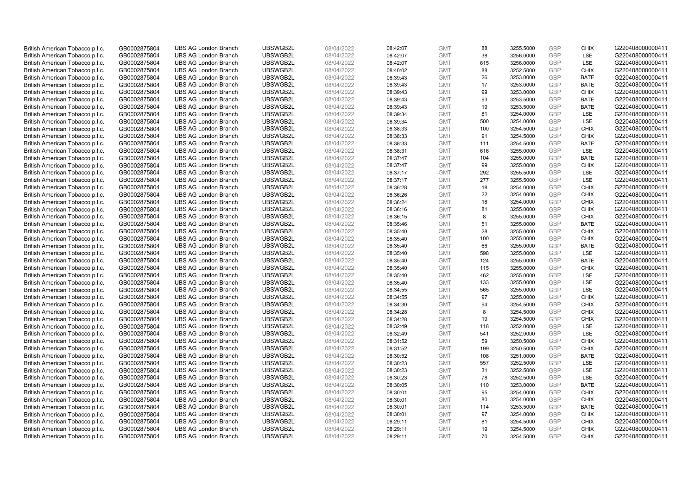| British American Tobacco p.l.c. | GB0002875804 | <b>UBS AG London Branch</b> | UBSWGB2L | 08/04/2022 | 08:42:07 | <b>GMT</b> | 88  | 3255.5000 | <b>GBP</b> | <b>CHIX</b> | G220408000000411 |
|---------------------------------|--------------|-----------------------------|----------|------------|----------|------------|-----|-----------|------------|-------------|------------------|
| British American Tobacco p.l.c. | GB0002875804 | <b>UBS AG London Branch</b> | UBSWGB2L | 08/04/2022 | 08:42:07 | <b>GMT</b> | 38  | 3256.0000 | <b>GBP</b> | <b>LSE</b>  | G220408000000411 |
| British American Tobacco p.l.c. | GB0002875804 | <b>UBS AG London Branch</b> | UBSWGB2L | 08/04/2022 | 08:42:07 | <b>GMT</b> | 615 | 3256.0000 | GBP        | LSE         | G220408000000411 |
| British American Tobacco p.l.c. | GB0002875804 | <b>UBS AG London Branch</b> | UBSWGB2L | 08/04/2022 | 08:40:02 | <b>GMT</b> | 88  | 3252.5000 | GBP        | <b>CHIX</b> | G220408000000411 |
| British American Tobacco p.l.c. | GB0002875804 | <b>UBS AG London Branch</b> | UBSWGB2L | 08/04/2022 | 08:39:43 | <b>GMT</b> | 26  | 3253.0000 | GBP        | <b>BATE</b> | G220408000000411 |
| British American Tobacco p.l.c. | GB0002875804 | <b>UBS AG London Branch</b> | UBSWGB2L | 08/04/2022 | 08:39:43 | <b>GMT</b> | 17  | 3253.0000 | <b>GBP</b> | <b>BATE</b> | G220408000000411 |
| British American Tobacco p.l.c. | GB0002875804 | <b>UBS AG London Branch</b> | UBSWGB2L | 08/04/2022 | 08:39:43 | <b>GMT</b> | 99  | 3253.0000 | GBP        | <b>CHIX</b> | G220408000000411 |
| British American Tobacco p.l.c. | GB0002875804 | <b>UBS AG London Branch</b> | UBSWGB2L | 08/04/2022 | 08:39:43 | <b>GMT</b> | 93  | 3253.5000 | <b>GBP</b> | <b>BATE</b> | G220408000000411 |
| British American Tobacco p.l.c. | GB0002875804 | <b>UBS AG London Branch</b> | UBSWGB2L | 08/04/2022 | 08:39:43 | <b>GMT</b> | 19  | 3253.5000 | GBP        | <b>BATE</b> | G220408000000411 |
| British American Tobacco p.l.c. | GB0002875804 | <b>UBS AG London Branch</b> | UBSWGB2L | 08/04/2022 | 08:39:34 | <b>GMT</b> | 81  | 3254.0000 | <b>GBP</b> | LSE         | G220408000000411 |
| British American Tobacco p.l.c. | GB0002875804 | <b>UBS AG London Branch</b> | UBSWGB2L | 08/04/2022 | 08:39:34 | <b>GMT</b> | 500 | 3254.0000 | GBP        | LSE         | G220408000000411 |
| British American Tobacco p.l.c. | GB0002875804 | <b>UBS AG London Branch</b> | UBSWGB2L | 08/04/2022 | 08:38:33 | <b>GMT</b> | 100 | 3254.5000 | <b>GBP</b> | <b>CHIX</b> | G220408000000411 |
| British American Tobacco p.l.c. | GB0002875804 | <b>UBS AG London Branch</b> | UBSWGB2L | 08/04/2022 | 08:38:33 | <b>GMT</b> | 91  | 3254.5000 | GBP        | <b>CHIX</b> | G220408000000411 |
| British American Tobacco p.l.c. | GB0002875804 | <b>UBS AG London Branch</b> | UBSWGB2L | 08/04/2022 | 08:38:33 | <b>GMT</b> | 111 | 3254.5000 | <b>GBP</b> | <b>BATE</b> | G220408000000411 |
| British American Tobacco p.l.c. | GB0002875804 | <b>UBS AG London Branch</b> | UBSWGB2L | 08/04/2022 | 08:38:31 | <b>GMT</b> | 616 | 3255.0000 | <b>GBP</b> | LSE         | G220408000000411 |
| British American Tobacco p.l.c. | GB0002875804 | <b>UBS AG London Branch</b> | UBSWGB2L | 08/04/2022 | 08:37:47 | <b>GMT</b> | 104 | 3255.0000 | GBP        | <b>BATE</b> | G220408000000411 |
| British American Tobacco p.l.c. | GB0002875804 | <b>UBS AG London Branch</b> | UBSWGB2L | 08/04/2022 | 08:37:47 | <b>GMT</b> | 99  | 3255.0000 | GBP        | <b>CHIX</b> | G220408000000411 |
| British American Tobacco p.l.c. | GB0002875804 | <b>UBS AG London Branch</b> | UBSWGB2L | 08/04/2022 | 08:37:17 | <b>GMT</b> | 292 | 3255.5000 | <b>GBP</b> | LSE         | G220408000000411 |
| British American Tobacco p.l.c. | GB0002875804 | <b>UBS AG London Branch</b> | UBSWGB2L | 08/04/2022 | 08:37:17 | <b>GMT</b> | 277 | 3255.5000 | <b>GBP</b> | <b>LSE</b>  | G220408000000411 |
| British American Tobacco p.l.c. | GB0002875804 | <b>UBS AG London Branch</b> | UBSWGB2L | 08/04/2022 | 08:36:28 | <b>GMT</b> | 18  | 3254.0000 | GBP        | <b>CHIX</b> | G220408000000411 |
| British American Tobacco p.l.c. | GB0002875804 | <b>UBS AG London Branch</b> | UBSWGB2L | 08/04/2022 | 08:36:26 | <b>GMT</b> | 22  | 3254.0000 | <b>GBP</b> | <b>CHIX</b> | G220408000000411 |
| British American Tobacco p.l.c. | GB0002875804 | <b>UBS AG London Branch</b> | UBSWGB2L | 08/04/2022 | 08:36:24 | <b>GMT</b> | 18  | 3254.0000 | GBP        | <b>CHIX</b> | G220408000000411 |
| British American Tobacco p.l.c. | GB0002875804 | <b>UBS AG London Branch</b> | UBSWGB2L | 08/04/2022 | 08:36:16 | <b>GMT</b> | 81  | 3255.0000 | <b>GBP</b> | <b>CHIX</b> | G220408000000411 |
| British American Tobacco p.l.c. | GB0002875804 | <b>UBS AG London Branch</b> | UBSWGB2L | 08/04/2022 | 08:36:15 | <b>GMT</b> | 8   | 3255.0000 | GBP        | <b>CHIX</b> | G220408000000411 |
| British American Tobacco p.l.c. | GB0002875804 | <b>UBS AG London Branch</b> | UBSWGB2L | 08/04/2022 | 08:35:46 | <b>GMT</b> | 51  | 3255.0000 | <b>GBP</b> | <b>BATE</b> | G220408000000411 |
| British American Tobacco p.l.c. | GB0002875804 | <b>UBS AG London Branch</b> | UBSWGB2L | 08/04/2022 | 08:35:40 | <b>GMT</b> | 28  | 3255.0000 | GBP        | <b>CHIX</b> | G220408000000411 |
| British American Tobacco p.l.c. | GB0002875804 | <b>UBS AG London Branch</b> | UBSWGB2L | 08/04/2022 | 08:35:40 | <b>GMT</b> | 100 | 3255.0000 | <b>GBP</b> | <b>CHIX</b> | G220408000000411 |
| British American Tobacco p.l.c. | GB0002875804 | <b>UBS AG London Branch</b> | UBSWGB2L | 08/04/2022 | 08:35:40 | <b>GMT</b> | 66  | 3255.0000 | GBP        | <b>BATE</b> | G220408000000411 |
| British American Tobacco p.l.c. | GB0002875804 | <b>UBS AG London Branch</b> | UBSWGB2L | 08/04/2022 | 08:35:40 | <b>GMT</b> | 598 | 3255.0000 | GBP        | LSE         | G220408000000411 |
| British American Tobacco p.l.c. | GB0002875804 | <b>UBS AG London Branch</b> | UBSWGB2L | 08/04/2022 | 08:35:40 | <b>GMT</b> | 124 | 3255.0000 | GBP        | <b>BATE</b> | G220408000000411 |
| British American Tobacco p.l.c. | GB0002875804 | <b>UBS AG London Branch</b> | UBSWGB2L | 08/04/2022 | 08:35:40 | <b>GMT</b> | 115 | 3255.0000 | GBP        | <b>CHIX</b> | G220408000000411 |
| British American Tobacco p.l.c. | GB0002875804 | <b>UBS AG London Branch</b> | UBSWGB2L | 08/04/2022 | 08:35:40 | <b>GMT</b> | 462 | 3255.0000 | GBP        | <b>LSE</b>  | G220408000000411 |
| British American Tobacco p.l.c. | GB0002875804 | <b>UBS AG London Branch</b> | UBSWGB2L | 08/04/2022 | 08:35:40 | <b>GMT</b> | 133 | 3255.0000 | GBP        | LSE         | G220408000000411 |
| British American Tobacco p.l.c. | GB0002875804 | <b>UBS AG London Branch</b> | UBSWGB2L | 08/04/2022 | 08:34:55 | <b>GMT</b> | 565 | 3255.0000 | GBP        | LSE         | G220408000000411 |
| British American Tobacco p.l.c. | GB0002875804 | <b>UBS AG London Branch</b> | UBSWGB2L | 08/04/2022 | 08:34:55 | <b>GMT</b> | 97  | 3255.0000 | GBP        | <b>CHIX</b> | G220408000000411 |
| British American Tobacco p.l.c. | GB0002875804 | <b>UBS AG London Branch</b> | UBSWGB2L | 08/04/2022 | 08:34:30 | <b>GMT</b> | 94  | 3254.5000 | <b>GBP</b> | <b>CHIX</b> | G220408000000411 |
| British American Tobacco p.l.c. | GB0002875804 | <b>UBS AG London Branch</b> | UBSWGB2L | 08/04/2022 | 08:34:28 | <b>GMT</b> | 8   | 3254.5000 | GBP        | <b>CHIX</b> | G220408000000411 |
| British American Tobacco p.l.c. | GB0002875804 | <b>UBS AG London Branch</b> | UBSWGB2L | 08/04/2022 | 08:34:28 | <b>GMT</b> | 19  | 3254.5000 | <b>GBP</b> | <b>CHIX</b> | G220408000000411 |
| British American Tobacco p.l.c. | GB0002875804 | <b>UBS AG London Branch</b> | UBSWGB2L | 08/04/2022 | 08:32:49 | <b>GMT</b> | 118 | 3252.0000 | GBP        | LSE         | G220408000000411 |
| British American Tobacco p.l.c. | GB0002875804 | <b>UBS AG London Branch</b> | UBSWGB2L | 08/04/2022 | 08:32:49 | <b>GMT</b> | 541 | 3252.0000 | GBP        | <b>LSE</b>  | G220408000000411 |
| British American Tobacco p.l.c. | GB0002875804 | <b>UBS AG London Branch</b> | UBSWGB2L | 08/04/2022 | 08:31:52 | <b>GMT</b> | 59  | 3250.5000 | <b>GBP</b> | <b>CHIX</b> | G220408000000411 |
| British American Tobacco p.l.c. | GB0002875804 | <b>UBS AG London Branch</b> | UBSWGB2L | 08/04/2022 | 08:31:52 | <b>GMT</b> | 199 | 3250.5000 | GBP        | <b>CHIX</b> | G220408000000411 |
| British American Tobacco p.l.c. | GB0002875804 | <b>UBS AG London Branch</b> | UBSWGB2L | 08/04/2022 | 08:30:52 | <b>GMT</b> | 108 | 3251.0000 | GBP        | <b>BATE</b> | G220408000000411 |
| British American Tobacco p.l.c. | GB0002875804 | <b>UBS AG London Branch</b> | UBSWGB2L | 08/04/2022 | 08:30:23 | <b>GMT</b> | 557 | 3252.5000 | GBP        | LSE         | G220408000000411 |
| British American Tobacco p.l.c. | GB0002875804 | <b>UBS AG London Branch</b> | UBSWGB2L | 08/04/2022 | 08:30:23 | <b>GMT</b> | 31  | 3252.5000 | GBP        | <b>LSE</b>  | G220408000000411 |
| British American Tobacco p.l.c. | GB0002875804 | <b>UBS AG London Branch</b> | UBSWGB2L | 08/04/2022 | 08:30:23 | <b>GMT</b> | 78  | 3252.5000 | GBP        | LSE         | G220408000000411 |
| British American Tobacco p.l.c. | GB0002875804 | <b>UBS AG London Branch</b> | UBSWGB2L | 08/04/2022 | 08:30:05 | <b>GMT</b> | 110 | 3253.0000 | GBP        | <b>BATE</b> | G220408000000411 |
| British American Tobacco p.l.c. | GB0002875804 | <b>UBS AG London Branch</b> | UBSWGB2L | 08/04/2022 | 08:30:01 | <b>GMT</b> | 95  | 3254.0000 | GBP        | <b>CHIX</b> | G220408000000411 |
| British American Tobacco p.l.c. | GB0002875804 | <b>UBS AG London Branch</b> | UBSWGB2L | 08/04/2022 | 08:30:01 | <b>GMT</b> | 80  | 3254.0000 | GBP        | <b>CHIX</b> | G220408000000411 |
| British American Tobacco p.l.c. | GB0002875804 | <b>UBS AG London Branch</b> | UBSWGB2L | 08/04/2022 | 08:30:01 | <b>GMT</b> | 114 | 3253.5000 | GBP        | <b>BATE</b> | G220408000000411 |
| British American Tobacco p.l.c. | GB0002875804 | <b>UBS AG London Branch</b> | UBSWGB2L | 08/04/2022 | 08:30:01 | <b>GMT</b> | 97  | 3254.0000 | <b>GBP</b> | <b>CHIX</b> | G220408000000411 |
| British American Tobacco p.l.c. | GB0002875804 | <b>UBS AG London Branch</b> | UBSWGB2L | 08/04/2022 | 08:29:11 | <b>GMT</b> | 81  | 3254.5000 | <b>GBP</b> | <b>CHIX</b> | G220408000000411 |
| British American Tobacco p.l.c. | GB0002875804 | <b>UBS AG London Branch</b> | UBSWGB2L | 08/04/2022 | 08:29:11 | <b>GMT</b> | 19  | 3254.5000 | GBP        | <b>CHIX</b> | G220408000000411 |
| British American Tobacco p.l.c. | GB0002875804 | <b>UBS AG London Branch</b> | UBSWGB2L | 08/04/2022 | 08:29:11 | <b>GMT</b> | 70  | 3254.5000 | GBP        | <b>CHIX</b> | G220408000000411 |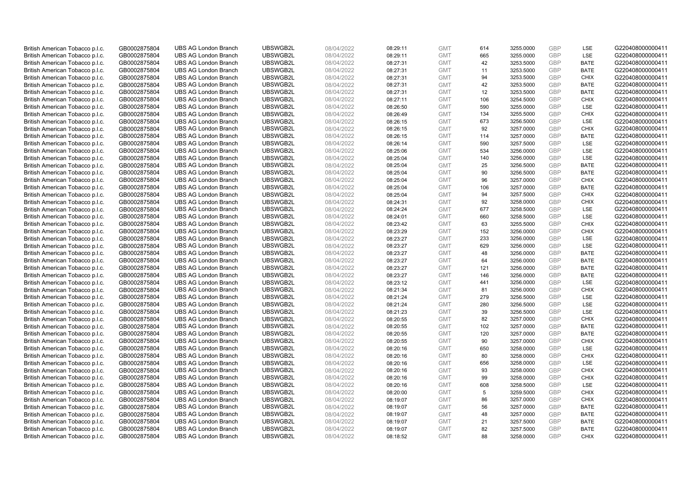| British American Tobacco p.l.c. | GB0002875804 | <b>UBS AG London Branch</b> | UBSWGB2L | 08/04/2022 | 08:29:11 | <b>GMT</b> | 614 | 3255.0000 | <b>GBP</b> | LSE         | G220408000000411 |
|---------------------------------|--------------|-----------------------------|----------|------------|----------|------------|-----|-----------|------------|-------------|------------------|
| British American Tobacco p.l.c. | GB0002875804 | <b>UBS AG London Branch</b> | UBSWGB2L | 08/04/2022 | 08:29:11 | <b>GMT</b> | 665 | 3255.0000 | GBP        | LSE         | G220408000000411 |
| British American Tobacco p.l.c. | GB0002875804 | <b>UBS AG London Branch</b> | UBSWGB2L | 08/04/2022 | 08:27:31 | <b>GMT</b> | 42  | 3253.5000 | <b>GBP</b> | <b>BATE</b> | G220408000000411 |
| British American Tobacco p.l.c. | GB0002875804 | <b>UBS AG London Branch</b> | UBSWGB2L | 08/04/2022 | 08:27:31 | <b>GMT</b> | 11  | 3253.5000 | GBP        | <b>BATE</b> | G220408000000411 |
| British American Tobacco p.l.c. | GB0002875804 | <b>UBS AG London Branch</b> | UBSWGB2L | 08/04/2022 | 08:27:31 | <b>GMT</b> | 94  | 3253.5000 | <b>GBP</b> | <b>CHIX</b> | G220408000000411 |
| British American Tobacco p.l.c. | GB0002875804 | <b>UBS AG London Branch</b> | UBSWGB2L | 08/04/2022 | 08:27:31 | <b>GMT</b> | 42  | 3253.5000 | GBP        | <b>BATE</b> | G220408000000411 |
| British American Tobacco p.l.c. | GB0002875804 | <b>UBS AG London Branch</b> | UBSWGB2L | 08/04/2022 | 08:27:31 | <b>GMT</b> | 12  | 3253.5000 | <b>GBP</b> | <b>BATE</b> | G220408000000411 |
| British American Tobacco p.l.c. | GB0002875804 | <b>UBS AG London Branch</b> | UBSWGB2L | 08/04/2022 | 08:27:11 | <b>GMT</b> | 106 | 3254.5000 | <b>GBP</b> | <b>CHIX</b> | G220408000000411 |
| British American Tobacco p.l.c. | GB0002875804 | <b>UBS AG London Branch</b> | UBSWGB2L | 08/04/2022 | 08:26:50 | <b>GMT</b> | 590 | 3255.0000 | <b>GBP</b> | <b>LSE</b>  | G220408000000411 |
| British American Tobacco p.l.c. | GB0002875804 | <b>UBS AG London Branch</b> | UBSWGB2L | 08/04/2022 | 08:26:49 | <b>GMT</b> | 134 | 3255.5000 | GBP        | <b>CHIX</b> | G220408000000411 |
| British American Tobacco p.l.c. | GB0002875804 | <b>UBS AG London Branch</b> | UBSWGB2L | 08/04/2022 | 08:26:15 | <b>GMT</b> | 673 | 3256.5000 | GBP        | LSE         | G220408000000411 |
| British American Tobacco p.l.c. | GB0002875804 | <b>UBS AG London Branch</b> | UBSWGB2L | 08/04/2022 | 08:26:15 | <b>GMT</b> | 92  | 3257.0000 | <b>GBP</b> | <b>CHIX</b> | G220408000000411 |
| British American Tobacco p.l.c. | GB0002875804 | <b>UBS AG London Branch</b> | UBSWGB2L | 08/04/2022 | 08:26:15 | <b>GMT</b> | 114 | 3257.0000 | GBP        | <b>BATE</b> | G220408000000411 |
| British American Tobacco p.l.c. | GB0002875804 | <b>UBS AG London Branch</b> | UBSWGB2L | 08/04/2022 | 08:26:14 | <b>GMT</b> | 590 | 3257.5000 | <b>GBP</b> | <b>LSE</b>  | G220408000000411 |
| British American Tobacco p.l.c. | GB0002875804 | <b>UBS AG London Branch</b> | UBSWGB2L | 08/04/2022 | 08:25:06 | <b>GMT</b> | 534 | 3256.0000 | GBP        | LSE         | G220408000000411 |
| British American Tobacco p.l.c. | GB0002875804 | <b>UBS AG London Branch</b> | UBSWGB2L | 08/04/2022 | 08:25:04 | <b>GMT</b> | 140 | 3256.0000 | <b>GBP</b> | LSE         | G220408000000411 |
| British American Tobacco p.l.c. | GB0002875804 | <b>UBS AG London Branch</b> | UBSWGB2L | 08/04/2022 | 08:25:04 | <b>GMT</b> | 25  | 3256.5000 | GBP        | <b>BATE</b> | G220408000000411 |
| British American Tobacco p.l.c. | GB0002875804 | <b>UBS AG London Branch</b> | UBSWGB2L | 08/04/2022 | 08:25:04 | <b>GMT</b> | 90  | 3256.5000 | GBP        | <b>BATE</b> | G220408000000411 |
| British American Tobacco p.l.c. | GB0002875804 | <b>UBS AG London Branch</b> | UBSWGB2L | 08/04/2022 | 08:25:04 | <b>GMT</b> | 96  | 3257.0000 | GBP        | <b>CHIX</b> | G220408000000411 |
| British American Tobacco p.l.c. | GB0002875804 | <b>UBS AG London Branch</b> | UBSWGB2L | 08/04/2022 | 08:25:04 | <b>GMT</b> | 106 | 3257.0000 | <b>GBP</b> | <b>BATE</b> | G220408000000411 |
| British American Tobacco p.l.c. | GB0002875804 | <b>UBS AG London Branch</b> | UBSWGB2L | 08/04/2022 | 08:25:04 | <b>GMT</b> | 94  | 3257.5000 | GBP        | <b>CHIX</b> | G220408000000411 |
| British American Tobacco p.l.c. | GB0002875804 | <b>UBS AG London Branch</b> | UBSWGB2L | 08/04/2022 | 08:24:31 | <b>GMT</b> | 92  | 3258.0000 | GBP        | <b>CHIX</b> | G220408000000411 |
| British American Tobacco p.l.c. | GB0002875804 | <b>UBS AG London Branch</b> | UBSWGB2L | 08/04/2022 | 08:24:24 | <b>GMT</b> | 677 | 3258.5000 | GBP        | <b>LSE</b>  | G220408000000411 |
| British American Tobacco p.l.c. | GB0002875804 | <b>UBS AG London Branch</b> | UBSWGB2L | 08/04/2022 | 08:24:01 | <b>GMT</b> | 660 | 3258.5000 | <b>GBP</b> | LSE         | G220408000000411 |
| British American Tobacco p.l.c. | GB0002875804 | <b>UBS AG London Branch</b> | UBSWGB2L | 08/04/2022 | 08:23:42 | <b>GMT</b> | 63  | 3255.5000 | <b>GBP</b> | <b>CHIX</b> | G220408000000411 |
| British American Tobacco p.l.c. | GB0002875804 | <b>UBS AG London Branch</b> | UBSWGB2L | 08/04/2022 | 08:23:29 | <b>GMT</b> | 152 | 3256.0000 | GBP        | <b>CHIX</b> | G220408000000411 |
| British American Tobacco p.l.c. | GB0002875804 | <b>UBS AG London Branch</b> | UBSWGB2L | 08/04/2022 | 08:23:27 | <b>GMT</b> | 233 | 3256.0000 | <b>GBP</b> | LSE         | G220408000000411 |
| British American Tobacco p.l.c. | GB0002875804 | <b>UBS AG London Branch</b> | UBSWGB2L | 08/04/2022 | 08:23:27 | <b>GMT</b> | 629 | 3256.0000 | <b>GBP</b> | LSE         | G220408000000411 |
| British American Tobacco p.l.c. | GB0002875804 | <b>UBS AG London Branch</b> | UBSWGB2L | 08/04/2022 | 08:23:27 | <b>GMT</b> | 48  | 3256.0000 | GBP        | <b>BATE</b> | G220408000000411 |
| British American Tobacco p.l.c. | GB0002875804 | <b>UBS AG London Branch</b> | UBSWGB2L | 08/04/2022 | 08:23:27 | <b>GMT</b> | 64  | 3256.0000 | GBP        | <b>BATE</b> | G220408000000411 |
| British American Tobacco p.l.c. | GB0002875804 | <b>UBS AG London Branch</b> | UBSWGB2L | 08/04/2022 | 08:23:27 | <b>GMT</b> | 121 | 3256.0000 | <b>GBP</b> | <b>BATE</b> | G220408000000411 |
| British American Tobacco p.l.c. | GB0002875804 | <b>UBS AG London Branch</b> | UBSWGB2L | 08/04/2022 | 08:23:27 | <b>GMT</b> | 146 | 3256.0000 | <b>GBP</b> | <b>BATE</b> | G220408000000411 |
| British American Tobacco p.l.c. | GB0002875804 | <b>UBS AG London Branch</b> | UBSWGB2L | 08/04/2022 | 08:23:12 | <b>GMT</b> | 441 | 3256.0000 | GBP        | <b>LSE</b>  | G220408000000411 |
| British American Tobacco p.l.c. | GB0002875804 | <b>UBS AG London Branch</b> | UBSWGB2L | 08/04/2022 | 08:21:34 | <b>GMT</b> | 81  | 3256.0000 | <b>GBP</b> | <b>CHIX</b> | G220408000000411 |
| British American Tobacco p.l.c. | GB0002875804 | <b>UBS AG London Branch</b> | UBSWGB2L | 08/04/2022 | 08:21:24 | <b>GMT</b> | 279 | 3256.5000 | <b>GBP</b> | LSE         | G220408000000411 |
| British American Tobacco p.l.c. | GB0002875804 | <b>UBS AG London Branch</b> | UBSWGB2L | 08/04/2022 | 08:21:24 | <b>GMT</b> | 280 | 3256.5000 | <b>GBP</b> | <b>LSE</b>  | G220408000000411 |
| British American Tobacco p.l.c. | GB0002875804 | <b>UBS AG London Branch</b> | UBSWGB2L | 08/04/2022 | 08:21:23 | <b>GMT</b> | 39  | 3256.5000 | GBP        | LSE         | G220408000000411 |
| British American Tobacco p.l.c. | GB0002875804 | <b>UBS AG London Branch</b> | UBSWGB2L | 08/04/2022 | 08:20:55 | <b>GMT</b> | 82  | 3257.0000 | <b>GBP</b> | <b>CHIX</b> | G220408000000411 |
| British American Tobacco p.l.c. | GB0002875804 | <b>UBS AG London Branch</b> | UBSWGB2L | 08/04/2022 | 08:20:55 | <b>GMT</b> | 102 | 3257.0000 | GBP        | <b>BATE</b> | G220408000000411 |
| British American Tobacco p.l.c. | GB0002875804 | <b>UBS AG London Branch</b> | UBSWGB2L | 08/04/2022 | 08:20:55 | <b>GMT</b> | 120 | 3257.0000 | <b>GBP</b> | <b>BATE</b> | G220408000000411 |
| British American Tobacco p.l.c. | GB0002875804 | <b>UBS AG London Branch</b> | UBSWGB2L | 08/04/2022 | 08:20:55 | <b>GMT</b> | 90  | 3257.0000 | <b>GBP</b> | <b>CHIX</b> | G220408000000411 |
| British American Tobacco p.l.c. | GB0002875804 | <b>UBS AG London Branch</b> | UBSWGB2L | 08/04/2022 | 08:20:16 | <b>GMT</b> | 650 | 3258.0000 | GBP        | LSE         | G220408000000411 |
| British American Tobacco p.l.c. | GB0002875804 | <b>UBS AG London Branch</b> | UBSWGB2L | 08/04/2022 | 08:20:16 | <b>GMT</b> | 80  | 3258.0000 | <b>GBP</b> | <b>CHIX</b> | G220408000000411 |
| British American Tobacco p.l.c. | GB0002875804 | <b>UBS AG London Branch</b> | UBSWGB2L | 08/04/2022 | 08:20:16 | <b>GMT</b> | 656 | 3258.0000 | GBP        | LSE         | G220408000000411 |
| British American Tobacco p.l.c. | GB0002875804 | <b>UBS AG London Branch</b> | UBSWGB2L | 08/04/2022 | 08:20:16 | <b>GMT</b> | 93  | 3258.0000 | <b>GBP</b> | <b>CHIX</b> | G220408000000411 |
| British American Tobacco p.l.c. | GB0002875804 | <b>UBS AG London Branch</b> | UBSWGB2L | 08/04/2022 | 08:20:16 | <b>GMT</b> | 99  | 3258.0000 | GBP        | <b>CHIX</b> | G220408000000411 |
| British American Tobacco p.l.c. | GB0002875804 | <b>UBS AG London Branch</b> | UBSWGB2L | 08/04/2022 | 08:20:16 | <b>GMT</b> | 608 | 3258.5000 | <b>GBP</b> | LSE         | G220408000000411 |
| British American Tobacco p.l.c. | GB0002875804 | <b>UBS AG London Branch</b> | UBSWGB2L | 08/04/2022 | 08:20:00 | <b>GMT</b> | 5   | 3259.5000 | GBP        | <b>CHIX</b> | G220408000000411 |
| British American Tobacco p.l.c. | GB0002875804 | <b>UBS AG London Branch</b> | UBSWGB2L | 08/04/2022 | 08:19:07 | <b>GMT</b> | 86  | 3257.0000 | <b>GBP</b> | <b>CHIX</b> | G220408000000411 |
| British American Tobacco p.l.c. | GB0002875804 | <b>UBS AG London Branch</b> | UBSWGB2L | 08/04/2022 | 08:19:07 | <b>GMT</b> | 56  | 3257.0000 | GBP        | <b>BATE</b> | G220408000000411 |
| British American Tobacco p.l.c. | GB0002875804 | <b>UBS AG London Branch</b> | UBSWGB2L | 08/04/2022 | 08:19:07 | <b>GMT</b> | 48  | 3257.0000 | <b>GBP</b> | <b>BATE</b> | G220408000000411 |
| British American Tobacco p.l.c. | GB0002875804 | <b>UBS AG London Branch</b> | UBSWGB2L | 08/04/2022 | 08:19:07 | <b>GMT</b> | 21  | 3257.5000 | GBP        | <b>BATE</b> | G220408000000411 |
| British American Tobacco p.l.c. | GB0002875804 | <b>UBS AG London Branch</b> | UBSWGB2L | 08/04/2022 | 08:19:07 | <b>GMT</b> | 82  | 3257.5000 | GBP        | <b>BATE</b> | G220408000000411 |
| British American Tobacco p.l.c. | GB0002875804 | <b>UBS AG London Branch</b> | UBSWGB2L | 08/04/2022 | 08:18:52 | <b>GMT</b> | 88  | 3258.0000 | GBP        | <b>CHIX</b> | G220408000000411 |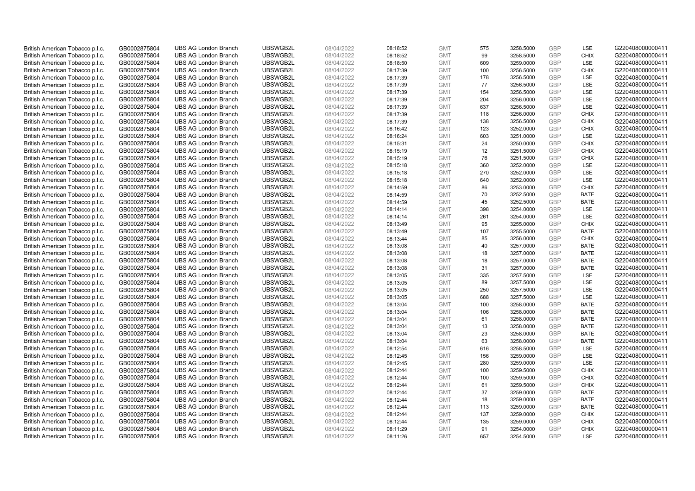| British American Tobacco p.l.c. | GB0002875804 | <b>UBS AG London Branch</b> | UBSWGB2L | 08/04/2022 | 08:18:52 | <b>GMT</b> | 575 | 3258.5000 | <b>GBP</b> | LSE         | G220408000000411 |
|---------------------------------|--------------|-----------------------------|----------|------------|----------|------------|-----|-----------|------------|-------------|------------------|
| British American Tobacco p.l.c. | GB0002875804 | <b>UBS AG London Branch</b> | UBSWGB2L | 08/04/2022 | 08:18:52 | <b>GMT</b> | 99  | 3258.5000 | GBP        | <b>CHIX</b> | G220408000000411 |
| British American Tobacco p.l.c. | GB0002875804 | <b>UBS AG London Branch</b> | UBSWGB2L | 08/04/2022 | 08:18:50 | <b>GMT</b> | 609 | 3259.0000 | <b>GBP</b> | <b>LSE</b>  | G220408000000411 |
| British American Tobacco p.l.c. | GB0002875804 | <b>UBS AG London Branch</b> | UBSWGB2L | 08/04/2022 | 08:17:39 | <b>GMT</b> | 100 | 3256.5000 | GBP        | <b>CHIX</b> | G220408000000411 |
| British American Tobacco p.l.c. | GB0002875804 | <b>UBS AG London Branch</b> | UBSWGB2L | 08/04/2022 | 08:17:39 | <b>GMT</b> | 178 | 3256.5000 | <b>GBP</b> | <b>LSE</b>  | G220408000000411 |
| British American Tobacco p.l.c. | GB0002875804 | <b>UBS AG London Branch</b> | UBSWGB2L | 08/04/2022 | 08:17:39 | <b>GMT</b> | 77  | 3256.5000 | GBP        | LSE         | G220408000000411 |
| British American Tobacco p.l.c. | GB0002875804 | <b>UBS AG London Branch</b> | UBSWGB2L | 08/04/2022 | 08:17:39 | <b>GMT</b> | 154 | 3256.5000 | <b>GBP</b> | LSE         | G220408000000411 |
| British American Tobacco p.l.c. | GB0002875804 | <b>UBS AG London Branch</b> | UBSWGB2L | 08/04/2022 | 08:17:39 | <b>GMT</b> | 204 | 3256.0000 | <b>GBP</b> | LSE         | G220408000000411 |
| British American Tobacco p.l.c. | GB0002875804 | <b>UBS AG London Branch</b> | UBSWGB2L | 08/04/2022 | 08:17:39 | <b>GMT</b> | 637 | 3256.5000 | <b>GBP</b> | LSE         | G220408000000411 |
| British American Tobacco p.l.c. | GB0002875804 | <b>UBS AG London Branch</b> | UBSWGB2L | 08/04/2022 | 08:17:39 | <b>GMT</b> | 118 | 3256.0000 | GBP        | <b>CHIX</b> | G220408000000411 |
| British American Tobacco p.l.c. | GB0002875804 | <b>UBS AG London Branch</b> | UBSWGB2L | 08/04/2022 | 08:17:39 | <b>GMT</b> | 138 | 3256.5000 | GBP        | <b>CHIX</b> | G220408000000411 |
| British American Tobacco p.l.c. | GB0002875804 | <b>UBS AG London Branch</b> | UBSWGB2L | 08/04/2022 | 08:16:42 | <b>GMT</b> | 123 | 3252.0000 | <b>GBP</b> | <b>CHIX</b> | G220408000000411 |
| British American Tobacco p.l.c. | GB0002875804 | <b>UBS AG London Branch</b> | UBSWGB2L | 08/04/2022 | 08:16:24 | <b>GMT</b> | 603 | 3251.0000 | GBP        | LSE         | G220408000000411 |
| British American Tobacco p.l.c. | GB0002875804 | <b>UBS AG London Branch</b> | UBSWGB2L | 08/04/2022 | 08:15:31 | <b>GMT</b> | 24  | 3250.0000 | <b>GBP</b> | <b>CHIX</b> | G220408000000411 |
| British American Tobacco p.l.c. | GB0002875804 | <b>UBS AG London Branch</b> | UBSWGB2L | 08/04/2022 | 08:15:19 | <b>GMT</b> | 12  | 3251.5000 | GBP        | <b>CHIX</b> | G220408000000411 |
| British American Tobacco p.l.c. | GB0002875804 | <b>UBS AG London Branch</b> | UBSWGB2L | 08/04/2022 | 08:15:19 | <b>GMT</b> | 76  | 3251.5000 | <b>GBP</b> | <b>CHIX</b> | G220408000000411 |
| British American Tobacco p.l.c. | GB0002875804 | <b>UBS AG London Branch</b> | UBSWGB2L | 08/04/2022 | 08:15:18 | <b>GMT</b> | 360 | 3252.0000 | <b>GBP</b> | <b>LSE</b>  | G220408000000411 |
| British American Tobacco p.l.c. | GB0002875804 | <b>UBS AG London Branch</b> | UBSWGB2L | 08/04/2022 | 08:15:18 | <b>GMT</b> | 270 | 3252.0000 | GBP        | LSE         | G220408000000411 |
| British American Tobacco p.l.c. | GB0002875804 | <b>UBS AG London Branch</b> | UBSWGB2L | 08/04/2022 | 08:15:18 | <b>GMT</b> | 640 | 3252.0000 | GBP        | <b>LSE</b>  | G220408000000411 |
| British American Tobacco p.l.c. | GB0002875804 | <b>UBS AG London Branch</b> | UBSWGB2L | 08/04/2022 | 08:14:59 | <b>GMT</b> | 86  | 3253.0000 | <b>GBP</b> | <b>CHIX</b> | G220408000000411 |
| British American Tobacco p.l.c. | GB0002875804 | <b>UBS AG London Branch</b> | UBSWGB2L | 08/04/2022 | 08:14:59 | <b>GMT</b> | 70  | 3252.5000 | GBP        | <b>BATE</b> | G220408000000411 |
| British American Tobacco p.l.c. | GB0002875804 | <b>UBS AG London Branch</b> | UBSWGB2L | 08/04/2022 | 08:14:59 | <b>GMT</b> | 45  | 3252.5000 | GBP        | <b>BATE</b> | G220408000000411 |
| British American Tobacco p.l.c. | GB0002875804 | <b>UBS AG London Branch</b> | UBSWGB2L | 08/04/2022 | 08:14:14 | <b>GMT</b> | 398 | 3254.0000 | GBP        | LSE         | G220408000000411 |
| British American Tobacco p.l.c. | GB0002875804 | <b>UBS AG London Branch</b> | UBSWGB2L | 08/04/2022 | 08:14:14 | <b>GMT</b> | 261 | 3254.0000 | <b>GBP</b> | LSE         | G220408000000411 |
| British American Tobacco p.l.c. | GB0002875804 | <b>UBS AG London Branch</b> | UBSWGB2L | 08/04/2022 | 08:13:49 | <b>GMT</b> | 95  | 3255.0000 | GBP        | <b>CHIX</b> | G220408000000411 |
| British American Tobacco p.l.c. | GB0002875804 | <b>UBS AG London Branch</b> | UBSWGB2L | 08/04/2022 | 08:13:49 | <b>GMT</b> | 107 | 3255.5000 | GBP        | <b>BATE</b> | G220408000000411 |
| British American Tobacco p.l.c. | GB0002875804 | <b>UBS AG London Branch</b> | UBSWGB2L | 08/04/2022 | 08:13:44 | <b>GMT</b> | 85  | 3256.0000 | <b>GBP</b> | <b>CHIX</b> | G220408000000411 |
| British American Tobacco p.l.c. | GB0002875804 | <b>UBS AG London Branch</b> | UBSWGB2L | 08/04/2022 | 08:13:08 | <b>GMT</b> | 40  | 3257.0000 | GBP        | <b>BATE</b> | G220408000000411 |
| British American Tobacco p.l.c. | GB0002875804 | <b>UBS AG London Branch</b> | UBSWGB2L | 08/04/2022 | 08:13:08 | <b>GMT</b> | 18  | 3257.0000 | GBP        | <b>BATE</b> | G220408000000411 |
| British American Tobacco p.l.c. | GB0002875804 | <b>UBS AG London Branch</b> | UBSWGB2L | 08/04/2022 | 08:13:08 | <b>GMT</b> | 18  | 3257.0000 | GBP        | <b>BATE</b> | G220408000000411 |
| British American Tobacco p.l.c. | GB0002875804 | <b>UBS AG London Branch</b> | UBSWGB2L | 08/04/2022 | 08:13:08 | <b>GMT</b> | 31  | 3257.0000 | <b>GBP</b> | <b>BATE</b> | G220408000000411 |
| British American Tobacco p.l.c. | GB0002875804 | <b>UBS AG London Branch</b> | UBSWGB2L | 08/04/2022 | 08:13:05 | <b>GMT</b> | 335 | 3257.5000 | <b>GBP</b> | <b>LSE</b>  | G220408000000411 |
| British American Tobacco p.l.c. | GB0002875804 | <b>UBS AG London Branch</b> | UBSWGB2L | 08/04/2022 | 08:13:05 | <b>GMT</b> | 89  | 3257.5000 | GBP        | LSE         | G220408000000411 |
| British American Tobacco p.l.c. | GB0002875804 | <b>UBS AG London Branch</b> | UBSWGB2L | 08/04/2022 | 08:13:05 | <b>GMT</b> | 250 | 3257.5000 | <b>GBP</b> | LSE         | G220408000000411 |
| British American Tobacco p.l.c. | GB0002875804 | <b>UBS AG London Branch</b> | UBSWGB2L | 08/04/2022 | 08:13:05 | <b>GMT</b> | 688 | 3257.5000 | <b>GBP</b> | <b>LSE</b>  | G220408000000411 |
| British American Tobacco p.l.c. | GB0002875804 | <b>UBS AG London Branch</b> | UBSWGB2L | 08/04/2022 | 08:13:04 | <b>GMT</b> | 100 | 3258.0000 | GBP        | <b>BATE</b> | G220408000000411 |
| British American Tobacco p.l.c. | GB0002875804 | <b>UBS AG London Branch</b> | UBSWGB2L | 08/04/2022 | 08:13:04 | <b>GMT</b> | 106 | 3258.0000 | GBP        | <b>BATE</b> | G220408000000411 |
| British American Tobacco p.l.c. | GB0002875804 | <b>UBS AG London Branch</b> | UBSWGB2L | 08/04/2022 | 08:13:04 | <b>GMT</b> | 61  | 3258.0000 | <b>GBP</b> | <b>BATE</b> | G220408000000411 |
| British American Tobacco p.l.c. | GB0002875804 | <b>UBS AG London Branch</b> | UBSWGB2L | 08/04/2022 | 08:13:04 | <b>GMT</b> | 13  | 3258.0000 | GBP        | <b>BATE</b> | G220408000000411 |
| British American Tobacco p.l.c. | GB0002875804 | <b>UBS AG London Branch</b> | UBSWGB2L | 08/04/2022 | 08:13:04 | <b>GMT</b> | 23  | 3258.0000 | <b>GBP</b> | <b>BATE</b> | G220408000000411 |
| British American Tobacco p.l.c. | GB0002875804 | <b>UBS AG London Branch</b> | UBSWGB2L | 08/04/2022 | 08:13:04 | <b>GMT</b> | 63  | 3258.0000 | <b>GBP</b> | <b>BATE</b> | G220408000000411 |
| British American Tobacco p.l.c. | GB0002875804 | <b>UBS AG London Branch</b> | UBSWGB2L | 08/04/2022 | 08:12:54 | <b>GMT</b> | 616 | 3258.5000 | GBP        | LSE         | G220408000000411 |
| British American Tobacco p.l.c. | GB0002875804 | <b>UBS AG London Branch</b> | UBSWGB2L | 08/04/2022 | 08:12:45 | <b>GMT</b> | 156 | 3259.0000 | <b>GBP</b> | LSE         | G220408000000411 |
| British American Tobacco p.l.c. | GB0002875804 | <b>UBS AG London Branch</b> | UBSWGB2L | 08/04/2022 | 08:12:45 | <b>GMT</b> | 280 | 3259.0000 | GBP        | LSE         | G220408000000411 |
| British American Tobacco p.l.c. | GB0002875804 | <b>UBS AG London Branch</b> | UBSWGB2L | 08/04/2022 | 08:12:44 | <b>GMT</b> | 100 | 3259.5000 | <b>GBP</b> | <b>CHIX</b> | G220408000000411 |
| British American Tobacco p.l.c. | GB0002875804 | <b>UBS AG London Branch</b> | UBSWGB2L | 08/04/2022 | 08:12:44 | <b>GMT</b> | 100 | 3259.5000 | GBP        | <b>CHIX</b> | G220408000000411 |
| British American Tobacco p.l.c. | GB0002875804 | <b>UBS AG London Branch</b> | UBSWGB2L | 08/04/2022 | 08:12:44 | <b>GMT</b> | 61  | 3259.5000 | <b>GBP</b> | <b>CHIX</b> | G220408000000411 |
| British American Tobacco p.l.c. | GB0002875804 | <b>UBS AG London Branch</b> | UBSWGB2L | 08/04/2022 | 08:12:44 | <b>GMT</b> | 37  | 3259.0000 | GBP        | <b>BATE</b> | G220408000000411 |
| British American Tobacco p.l.c. | GB0002875804 | <b>UBS AG London Branch</b> | UBSWGB2L | 08/04/2022 | 08:12:44 | <b>GMT</b> | 18  | 3259.0000 | <b>GBP</b> | <b>BATE</b> | G220408000000411 |
| British American Tobacco p.l.c. | GB0002875804 | <b>UBS AG London Branch</b> | UBSWGB2L | 08/04/2022 | 08:12:44 | <b>GMT</b> | 113 | 3259.0000 | GBP        | <b>BATE</b> | G220408000000411 |
| British American Tobacco p.l.c. | GB0002875804 | <b>UBS AG London Branch</b> | UBSWGB2L | 08/04/2022 | 08:12:44 | <b>GMT</b> | 137 | 3259.0000 | <b>GBP</b> | <b>CHIX</b> | G220408000000411 |
| British American Tobacco p.l.c. | GB0002875804 | <b>UBS AG London Branch</b> | UBSWGB2L | 08/04/2022 | 08:12:44 | <b>GMT</b> | 135 | 3259.0000 | GBP        | <b>CHIX</b> | G220408000000411 |
| British American Tobacco p.l.c. | GB0002875804 | <b>UBS AG London Branch</b> | UBSWGB2L | 08/04/2022 | 08:11:29 | <b>GMT</b> | 91  | 3254.0000 | GBP        | <b>CHIX</b> | G220408000000411 |
| British American Tobacco p.l.c. | GB0002875804 | <b>UBS AG London Branch</b> | UBSWGB2L | 08/04/2022 | 08:11:26 | <b>GMT</b> | 657 | 3254.5000 | GBP        | <b>LSE</b>  | G220408000000411 |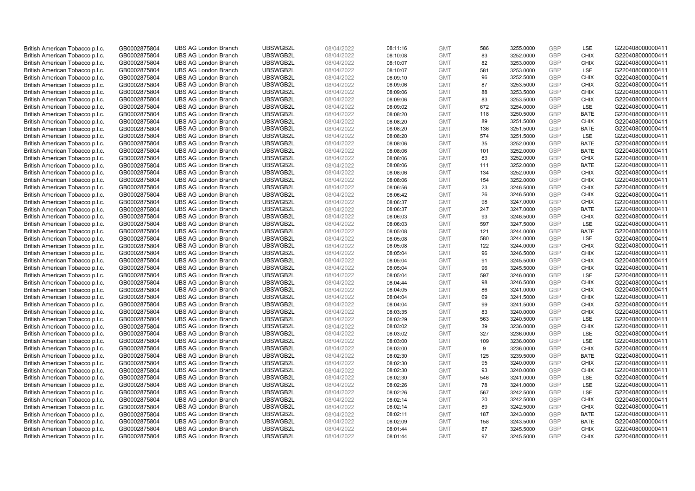| British American Tobacco p.l.c. | GB0002875804 | <b>UBS AG London Branch</b> | UBSWGB2L | 08/04/2022 | 08:11:16 | <b>GMT</b> | 586 | 3255.0000 | <b>GBP</b> | LSE         | G220408000000411 |
|---------------------------------|--------------|-----------------------------|----------|------------|----------|------------|-----|-----------|------------|-------------|------------------|
| British American Tobacco p.l.c. | GB0002875804 | <b>UBS AG London Branch</b> | UBSWGB2L | 08/04/2022 | 08:10:08 | <b>GMT</b> | 83  | 3252.0000 | <b>GBP</b> | <b>CHIX</b> | G220408000000411 |
| British American Tobacco p.l.c. | GB0002875804 | <b>UBS AG London Branch</b> | UBSWGB2L | 08/04/2022 | 08:10:07 | <b>GMT</b> | 82  | 3253.0000 | <b>GBP</b> | <b>CHIX</b> | G220408000000411 |
| British American Tobacco p.l.c. | GB0002875804 | <b>UBS AG London Branch</b> | UBSWGB2L | 08/04/2022 | 08:10:07 | <b>GMT</b> | 581 | 3253.0000 | GBP        | LSE         | G220408000000411 |
| British American Tobacco p.l.c. | GB0002875804 | <b>UBS AG London Branch</b> | UBSWGB2L | 08/04/2022 | 08:09:10 | <b>GMT</b> | 96  | 3252.5000 | <b>GBP</b> | <b>CHIX</b> | G220408000000411 |
| British American Tobacco p.l.c. | GB0002875804 | <b>UBS AG London Branch</b> | UBSWGB2L | 08/04/2022 | 08:09:06 | <b>GMT</b> | 87  | 3253.5000 | <b>GBP</b> | <b>CHIX</b> | G220408000000411 |
| British American Tobacco p.l.c. | GB0002875804 | <b>UBS AG London Branch</b> | UBSWGB2L | 08/04/2022 | 08:09:06 | <b>GMT</b> | 88  | 3253.5000 | <b>GBP</b> | <b>CHIX</b> | G220408000000411 |
| British American Tobacco p.l.c. | GB0002875804 | <b>UBS AG London Branch</b> | UBSWGB2L | 08/04/2022 | 08:09:06 | <b>GMT</b> | 83  | 3253.5000 | <b>GBP</b> | <b>CHIX</b> | G220408000000411 |
| British American Tobacco p.l.c. | GB0002875804 | <b>UBS AG London Branch</b> | UBSWGB2L | 08/04/2022 | 08:09:02 | <b>GMT</b> | 672 | 3254.0000 | <b>GBP</b> | LSE         | G220408000000411 |
| British American Tobacco p.l.c. | GB0002875804 | <b>UBS AG London Branch</b> | UBSWGB2L | 08/04/2022 | 08:08:20 | <b>GMT</b> | 118 | 3250.5000 | <b>GBP</b> | <b>BATE</b> | G220408000000411 |
| British American Tobacco p.l.c. | GB0002875804 | <b>UBS AG London Branch</b> | UBSWGB2L | 08/04/2022 | 08:08:20 | <b>GMT</b> | 89  | 3251.5000 | <b>GBP</b> | <b>CHIX</b> | G220408000000411 |
| British American Tobacco p.l.c. | GB0002875804 | <b>UBS AG London Branch</b> | UBSWGB2L | 08/04/2022 | 08:08:20 | <b>GMT</b> | 136 | 3251.5000 | <b>GBP</b> | <b>BATE</b> | G220408000000411 |
| British American Tobacco p.l.c. | GB0002875804 | <b>UBS AG London Branch</b> | UBSWGB2L | 08/04/2022 | 08:08:20 | <b>GMT</b> | 574 | 3251.5000 | <b>GBP</b> | LSE         | G220408000000411 |
| British American Tobacco p.l.c. | GB0002875804 | <b>UBS AG London Branch</b> | UBSWGB2L | 08/04/2022 | 08:08:06 | <b>GMT</b> | 35  | 3252.0000 | <b>GBP</b> | <b>BATE</b> | G220408000000411 |
| British American Tobacco p.l.c. | GB0002875804 | <b>UBS AG London Branch</b> | UBSWGB2L | 08/04/2022 | 08:08:06 | <b>GMT</b> | 101 | 3252.0000 | <b>GBP</b> | <b>BATE</b> | G220408000000411 |
| British American Tobacco p.l.c. | GB0002875804 | <b>UBS AG London Branch</b> | UBSWGB2L | 08/04/2022 | 08:08:06 | <b>GMT</b> | 83  | 3252.0000 | GBP        | <b>CHIX</b> | G220408000000411 |
| British American Tobacco p.l.c. | GB0002875804 | <b>UBS AG London Branch</b> | UBSWGB2L | 08/04/2022 | 08:08:06 | <b>GMT</b> | 111 | 3252.0000 | <b>GBP</b> | <b>BATE</b> | G220408000000411 |
| British American Tobacco p.l.c. | GB0002875804 | <b>UBS AG London Branch</b> | UBSWGB2L | 08/04/2022 | 08:08:06 | <b>GMT</b> | 134 | 3252.0000 | GBP        | <b>CHIX</b> | G220408000000411 |
| British American Tobacco p.l.c. | GB0002875804 | <b>UBS AG London Branch</b> | UBSWGB2L | 08/04/2022 | 08:08:06 | <b>GMT</b> | 154 | 3252.0000 | <b>GBP</b> | <b>CHIX</b> | G220408000000411 |
| British American Tobacco p.l.c. | GB0002875804 | <b>UBS AG London Branch</b> | UBSWGB2L | 08/04/2022 | 08:06:56 | <b>GMT</b> | 23  | 3246.5000 | <b>GBP</b> | <b>CHIX</b> | G220408000000411 |
| British American Tobacco p.l.c. | GB0002875804 | <b>UBS AG London Branch</b> | UBSWGB2L | 08/04/2022 | 08:06:42 | <b>GMT</b> | 26  | 3246.5000 | <b>GBP</b> | <b>CHIX</b> | G220408000000411 |
| British American Tobacco p.l.c. | GB0002875804 | <b>UBS AG London Branch</b> | UBSWGB2L | 08/04/2022 | 08:06:37 | <b>GMT</b> | 98  | 3247.0000 | <b>GBP</b> | <b>CHIX</b> | G220408000000411 |
| British American Tobacco p.l.c. | GB0002875804 | <b>UBS AG London Branch</b> | UBSWGB2L | 08/04/2022 | 08:06:37 | <b>GMT</b> | 247 | 3247.0000 | <b>GBP</b> | <b>BATE</b> | G220408000000411 |
| British American Tobacco p.l.c. | GB0002875804 | <b>UBS AG London Branch</b> | UBSWGB2L | 08/04/2022 | 08:06:03 | <b>GMT</b> | 93  | 3246.5000 | <b>GBP</b> | <b>CHIX</b> | G220408000000411 |
| British American Tobacco p.l.c. | GB0002875804 | <b>UBS AG London Branch</b> | UBSWGB2L | 08/04/2022 | 08:06:03 | <b>GMT</b> | 597 | 3247.5000 | <b>GBP</b> | LSE         | G220408000000411 |
| British American Tobacco p.l.c. | GB0002875804 | <b>UBS AG London Branch</b> | UBSWGB2L | 08/04/2022 | 08:05:08 | <b>GMT</b> | 121 | 3244.0000 | <b>GBP</b> | <b>BATE</b> | G220408000000411 |
| British American Tobacco p.l.c. | GB0002875804 | <b>UBS AG London Branch</b> | UBSWGB2L | 08/04/2022 | 08:05:08 | <b>GMT</b> | 580 | 3244.0000 | <b>GBP</b> | LSE         | G220408000000411 |
| British American Tobacco p.l.c. | GB0002875804 | <b>UBS AG London Branch</b> | UBSWGB2L | 08/04/2022 | 08:05:08 | <b>GMT</b> | 122 | 3244.0000 | <b>GBP</b> | <b>CHIX</b> | G220408000000411 |
| British American Tobacco p.l.c. | GB0002875804 | <b>UBS AG London Branch</b> | UBSWGB2L | 08/04/2022 | 08:05:04 | <b>GMT</b> | 96  | 3246.5000 | GBP        | <b>CHIX</b> | G220408000000411 |
| British American Tobacco p.l.c. | GB0002875804 | <b>UBS AG London Branch</b> | UBSWGB2L | 08/04/2022 | 08:05:04 | <b>GMT</b> | 91  | 3245.5000 | <b>GBP</b> | <b>CHIX</b> | G220408000000411 |
| British American Tobacco p.l.c. | GB0002875804 | <b>UBS AG London Branch</b> | UBSWGB2L | 08/04/2022 | 08:05:04 | <b>GMT</b> | 96  | 3245.5000 | GBP        | <b>CHIX</b> | G220408000000411 |
| British American Tobacco p.l.c. | GB0002875804 | <b>UBS AG London Branch</b> | UBSWGB2L | 08/04/2022 | 08:05:04 | <b>GMT</b> | 597 | 3246.0000 | <b>GBP</b> | <b>LSE</b>  | G220408000000411 |
| British American Tobacco p.l.c. | GB0002875804 | <b>UBS AG London Branch</b> | UBSWGB2L | 08/04/2022 | 08:04:44 | <b>GMT</b> | 98  | 3246.5000 | <b>GBP</b> | <b>CHIX</b> | G220408000000411 |
| British American Tobacco p.l.c. | GB0002875804 | <b>UBS AG London Branch</b> | UBSWGB2L | 08/04/2022 | 08:04:05 | <b>GMT</b> | 86  | 3241.0000 | GBP        | <b>CHIX</b> | G220408000000411 |
| British American Tobacco p.l.c. | GB0002875804 | <b>UBS AG London Branch</b> | UBSWGB2L | 08/04/2022 | 08:04:04 | <b>GMT</b> | 69  | 3241.5000 | GBP        | <b>CHIX</b> | G220408000000411 |
| British American Tobacco p.l.c. | GB0002875804 | <b>UBS AG London Branch</b> | UBSWGB2L | 08/04/2022 | 08:04:04 | <b>GMT</b> | 99  | 3241.5000 | <b>GBP</b> | <b>CHIX</b> | G220408000000411 |
| British American Tobacco p.l.c. | GB0002875804 | <b>UBS AG London Branch</b> | UBSWGB2L | 08/04/2022 | 08:03:35 | <b>GMT</b> | 83  | 3240.0000 | GBP        | <b>CHIX</b> | G220408000000411 |
| British American Tobacco p.l.c. | GB0002875804 | <b>UBS AG London Branch</b> | UBSWGB2L | 08/04/2022 | 08:03:29 | <b>GMT</b> | 563 | 3240.5000 | <b>GBP</b> | LSE         | G220408000000411 |
| British American Tobacco p.l.c. | GB0002875804 | <b>UBS AG London Branch</b> | UBSWGB2L | 08/04/2022 | 08:03:02 | <b>GMT</b> | 39  | 3236.0000 | GBP        | <b>CHIX</b> | G220408000000411 |
| British American Tobacco p.l.c. | GB0002875804 | <b>UBS AG London Branch</b> | UBSWGB2L | 08/04/2022 | 08:03:02 | <b>GMT</b> | 327 | 3236.0000 | <b>GBP</b> | <b>LSE</b>  | G220408000000411 |
| British American Tobacco p.l.c. | GB0002875804 | <b>UBS AG London Branch</b> | UBSWGB2L | 08/04/2022 | 08:03:00 | <b>GMT</b> | 109 | 3236.0000 | <b>GBP</b> | LSE         | G220408000000411 |
| British American Tobacco p.l.c. | GB0002875804 | <b>UBS AG London Branch</b> | UBSWGB2L | 08/04/2022 | 08:03:00 | <b>GMT</b> | 9   | 3236.0000 | GBP        | <b>CHIX</b> | G220408000000411 |
| British American Tobacco p.l.c. | GB0002875804 | <b>UBS AG London Branch</b> | UBSWGB2L | 08/04/2022 | 08:02:30 | <b>GMT</b> | 125 | 3239.5000 | GBP        | <b>BATE</b> | G220408000000411 |
| British American Tobacco p.l.c. | GB0002875804 | <b>UBS AG London Branch</b> | UBSWGB2L | 08/04/2022 | 08:02:30 | <b>GMT</b> | 95  | 3240.0000 | GBP        | <b>CHIX</b> | G220408000000411 |
| British American Tobacco p.l.c. | GB0002875804 | <b>UBS AG London Branch</b> | UBSWGB2L | 08/04/2022 | 08:02:30 | <b>GMT</b> | 93  | 3240.0000 | GBP        | <b>CHIX</b> | G220408000000411 |
| British American Tobacco p.l.c. | GB0002875804 | <b>UBS AG London Branch</b> | UBSWGB2L | 08/04/2022 | 08:02:30 | <b>GMT</b> | 546 | 3241.0000 | <b>GBP</b> | LSE         | G220408000000411 |
| British American Tobacco p.l.c. | GB0002875804 | <b>UBS AG London Branch</b> | UBSWGB2L | 08/04/2022 | 08:02:26 | <b>GMT</b> | 78  | 3241.0000 | <b>GBP</b> | LSE         | G220408000000411 |
| British American Tobacco p.l.c. | GB0002875804 | <b>UBS AG London Branch</b> | UBSWGB2L | 08/04/2022 | 08:02:26 | <b>GMT</b> | 567 | 3242.5000 | <b>GBP</b> | LSE         | G220408000000411 |
| British American Tobacco p.l.c. | GB0002875804 | <b>UBS AG London Branch</b> | UBSWGB2L | 08/04/2022 | 08:02:14 | <b>GMT</b> | 20  | 3242.5000 | GBP        | <b>CHIX</b> | G220408000000411 |
| British American Tobacco p.l.c. | GB0002875804 | <b>UBS AG London Branch</b> | UBSWGB2L | 08/04/2022 | 08:02:14 | <b>GMT</b> | 89  | 3242.5000 | GBP        | <b>CHIX</b> | G220408000000411 |
| British American Tobacco p.l.c. | GB0002875804 | <b>UBS AG London Branch</b> | UBSWGB2L | 08/04/2022 | 08:02:11 | <b>GMT</b> | 187 | 3243.0000 | <b>GBP</b> | <b>BATE</b> | G220408000000411 |
| British American Tobacco p.l.c. | GB0002875804 | <b>UBS AG London Branch</b> | UBSWGB2L | 08/04/2022 | 08:02:09 | <b>GMT</b> | 158 | 3243.5000 | <b>GBP</b> | <b>BATE</b> | G220408000000411 |
| British American Tobacco p.l.c. | GB0002875804 | <b>UBS AG London Branch</b> | UBSWGB2L | 08/04/2022 | 08:01:44 | <b>GMT</b> | 87  | 3245.5000 | GBP        | <b>CHIX</b> | G220408000000411 |
| British American Tobacco p.l.c. | GB0002875804 | <b>UBS AG London Branch</b> | UBSWGB2L | 08/04/2022 | 08:01:44 | <b>GMT</b> | 97  | 3245.5000 | GBP        | <b>CHIX</b> | G220408000000411 |
|                                 |              |                             |          |            |          |            |     |           |            |             |                  |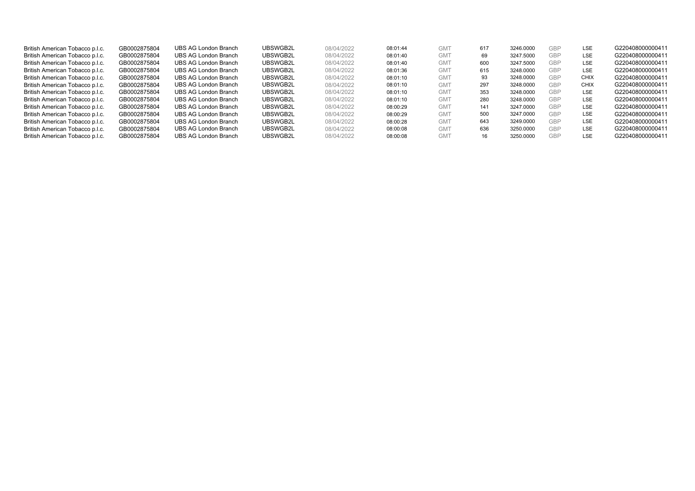| British American Tobacco p.l.c. | GB0002875804 | UBS AG London Branch | UBSWGB2L | 08/04/2022 | 08:01:44 | GM <sup>-</sup> | 617 | 3246.0000 | <b>GBP</b> | <b>LSE</b>  | G220408000000411 |
|---------------------------------|--------------|----------------------|----------|------------|----------|-----------------|-----|-----------|------------|-------------|------------------|
| British American Tobacco p.l.c. | GB0002875804 | UBS AG London Branch | UBSWGB2L | 08/04/2022 | 08:01:40 | GM <sub>1</sub> | 69  | 3247.5000 | <b>GBP</b> | <b>LSE</b>  | G220408000000411 |
| British American Tobacco p.l.c. | GB0002875804 | UBS AG London Branch | UBSWGB2L | 08/04/2022 | 08:01:40 | GM <sub>1</sub> | 600 | 3247.5000 | <b>GBP</b> | <b>LSE</b>  | G220408000000411 |
| British American Tobacco p.l.c. | GB0002875804 | UBS AG London Branch | UBSWGB2L | 08/04/2022 | 08:01:36 | GM <sub>1</sub> | 615 | 3248.0000 | <b>GBP</b> | <b>LSE</b>  | G220408000000411 |
| British American Tobacco p.l.c. | GB0002875804 | UBS AG London Branch | UBSWGB2L | 08/04/2022 | 08:01:10 | GM <sub>1</sub> | 93  | 3248.0000 | <b>GBP</b> | <b>CHIX</b> | G220408000000411 |
| British American Tobacco p.l.c. | GB0002875804 | UBS AG London Branch | UBSWGB2L | 08/04/2022 | 08:01:10 | <b>GMT</b>      | 297 | 3248.0000 | <b>GBP</b> | <b>CHIX</b> | G220408000000411 |
| British American Tobacco p.l.c. | GB0002875804 | UBS AG London Branch | UBSWGB2L | 08/04/2022 | 08:01:10 | <b>GMT</b>      | 353 | 3248.0000 | <b>GBP</b> | <b>LSE</b>  | G220408000000411 |
| British American Tobacco p.l.c. | GB0002875804 | UBS AG London Branch | UBSWGB2L | 08/04/2022 | 08:01:10 | GM <sub>1</sub> | 280 | 3248.0000 | <b>GBP</b> | <b>LSE</b>  | G220408000000411 |
| British American Tobacco p.l.c. | GB0002875804 | UBS AG London Branch | UBSWGB2L | 08/04/2022 | 08:00:29 | GM <sub>1</sub> | 141 | 3247.0000 | GBP        | <b>LSE</b>  | G220408000000411 |
| British American Tobacco p.l.c. | GB0002875804 | UBS AG London Branch | UBSWGB2L | 08/04/2022 | 08:00:29 | GM <sub>1</sub> | 500 | 3247.0000 | <b>GBP</b> | <b>LSE</b>  | G220408000000411 |
| British American Tobacco p.l.c. | GB0002875804 | UBS AG London Branch | UBSWGB2L | 08/04/2022 | 08:00:28 | GM <sub>1</sub> | 643 | 3249.0000 | <b>GBP</b> | <b>LSE</b>  | G220408000000411 |
| British American Tobacco p.l.c. | GB0002875804 | UBS AG London Branch | UBSWGB2L | 08/04/2022 | 08:00:08 | GM <sub>1</sub> | 636 | 3250.0000 | GBP        | <b>LSE</b>  | G220408000000411 |
| British American Tobacco p.l.c. | GB0002875804 | UBS AG London Branch | UBSWGB2L | 08/04/2022 | 08:00:08 | GM <sub>1</sub> | 16  | 3250.0000 | <b>GBP</b> | <b>LSE</b>  | G220408000000411 |